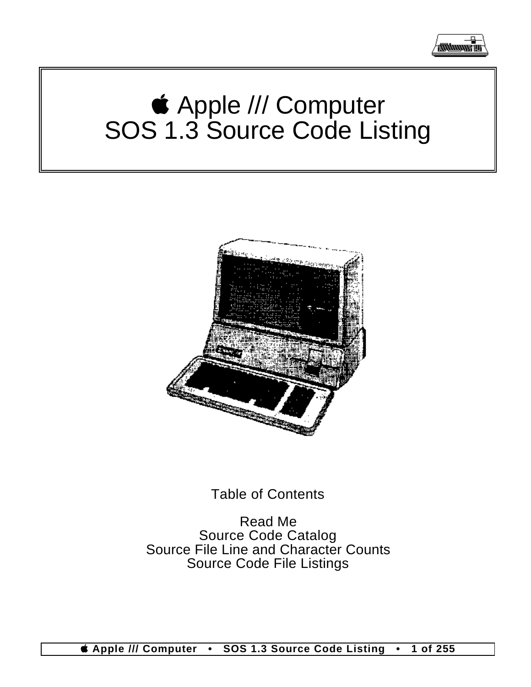

# Apple /// Computer SOS 1.3 Source Code Listing



## Table of Contents

Read Me Source Code Catalog Source File Line and Character Counts Source Code File Listings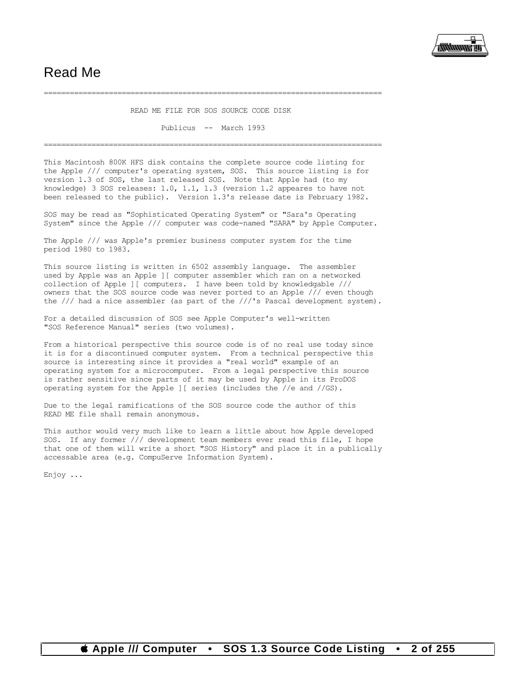

### Read Me

#### ============================================================================== READ ME FILE FOR SOS SOURCE CODE DISK

#### Publicus -- March 1993

==============================================================================

This Macintosh 800K HFS disk contains the complete source code listing for the Apple /// computer's operating system, SOS. This source listing is for version 1.3 of SOS, the last released SOS. Note that Apple had (to my knowledge) 3 SOS releases: 1.0, 1.1, 1.3 (version 1.2 appeares to have not been released to the public). Version 1.3's release date is February 1982.

SOS may be read as "Sophisticated Operating System" or "Sara's Operating System" since the Apple /// computer was code-named "SARA" by Apple Computer.

The Apple /// was Apple's premier business computer system for the time period 1980 to 1983.

This source listing is written in 6502 assembly language. The assembler used by Apple was an Apple ][ computer assembler which ran on a networked collection of Apple ][ computers. I have been told by knowledgable /// owners that the SOS source code was never ported to an Apple /// even though the /// had a nice assembler (as part of the ///'s Pascal development system).

For a detailed discussion of SOS see Apple Computer's well-written "SOS Reference Manual" series (two volumes).

From a historical perspective this source code is of no real use today since it is for a discontinued computer system. From a technical perspective this source is interesting since it provides a "real world" example of an operating system for a microcomputer. From a legal perspective this source is rather sensitive since parts of it may be used by Apple in its ProDOS operating system for the Apple ][ series (includes the //e and //GS).

Due to the legal ramifications of the SOS source code the author of this READ ME file shall remain anonymous.

This author would very much like to learn a little about how Apple developed SOS. If any former /// development team members ever read this file, I hope that one of them will write a short "SOS History" and place it in a publically accessable area (e.g. CompuServe Information System).

Enjoy ...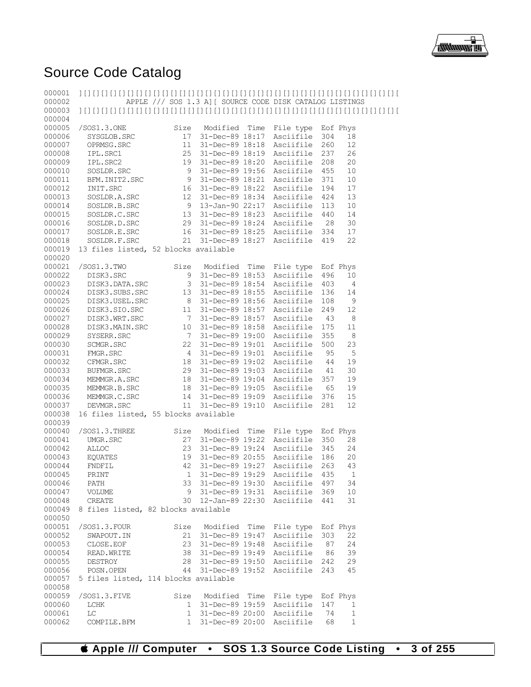

## Source Code Catalog

| 000001<br>000002 |                                      |                       | APPLE /// SOS 1.3 A] [ SOURCE CODE DISK CATALOG LISTINGS |      |                           |            |              |  |
|------------------|--------------------------------------|-----------------------|----------------------------------------------------------|------|---------------------------|------------|--------------|--|
| 000003<br>000004 |                                      |                       |                                                          |      |                           |            |              |  |
| 000005           | /SOS1.3.0NE                          | Size                  | Modified Time                                            |      | File type                 | Eof Phys   |              |  |
| 000006           | SYSGLOB.SRC                          | 17                    | 31-Dec-89 18:17                                          |      | Asciifile                 | 304        | 18           |  |
| 000007           | OPRMSG.SRC                           | 11                    | 31-Dec-89 18:18                                          |      | Asciifile                 | 260        | 12           |  |
| 000008           | IPL.SRC1                             | 25                    | 31-Dec-89 18:19                                          |      | Asciifile                 | 237        | 26           |  |
| 000009<br>000010 | IPL.SRC2                             | 19<br>9               | 31-Dec-89 18:20<br>31-Dec-89 19:56                       |      | Asciifile<br>Asciifile    | 208<br>455 | 20<br>10     |  |
| 000011           | SOSLDR.SRC<br>BFM. INIT2. SRC        | 9                     | 31-Dec-89 18:21                                          |      | Asciifile                 | 371        | 10           |  |
| 000012           | INIT.SRC                             | 16                    | 31-Dec-89 18:22                                          |      | Asciifile                 | 194        | 17           |  |
| 000013           | SOSLDR.A.SRC                         | 12                    | 31-Dec-89 18:34                                          |      | Asciifile                 | 424        | 13           |  |
| 000014           | SOSLDR.B.SRC                         | 9                     | 13-Jan-90 22:17                                          |      | Asciifile                 | 113        | 10           |  |
| 000015           | SOSLDR.C.SRC                         |                       | 13 31-Dec-89 18:23                                       |      | Asciifile                 | 440        | 14           |  |
| 000016           | SOSLDR.D.SRC                         |                       | 29 31-Dec-89 18:24                                       |      | Asciifile                 | 28         | 30           |  |
| 000017           | SOSLDR.E.SRC                         |                       | 16 31-Dec-89 18:25                                       |      | Asciifile                 | 334        | 17           |  |
| 000018           | SOSLDR.F.SRC                         | 21                    | 31-Dec-89 18:27                                          |      | Asciifile                 | 419        | 22           |  |
| 000019<br>000020 | 13 files listed, 52 blocks available |                       |                                                          |      |                           |            |              |  |
| 000021           | /SOS1.3.TWO                          | Size                  | Modified                                                 | Time | File type                 |            | Eof Phys     |  |
| 000022           | DISK3.SRC                            |                       | 9 31-Dec-89 18:53                                        |      | Asciifile                 | 496        | 10           |  |
| 000023           | DISK3.DATA.SRC                       |                       | 3 31-Dec-89 18:54                                        |      | Asciifile                 | 403        | 4            |  |
| 000024           | DISK3.SUBS.SRC                       | 13                    | 31-Dec-89 18:55                                          |      | Asciifile                 | 136        | 14           |  |
| 000025<br>000026 | DISK3.USEL.SRC<br>DISK3.SIO.SRC      |                       | 8 31-Dec-89 18:56                                        |      | Asciifile                 | 108        | 9            |  |
| 000027           | DISK3.WRT.SRC                        | 11<br>$7\overline{ }$ | 31-Dec-89 18:57<br>31-Dec-89 18:57                       |      | Asciifile<br>Asciifile    | 249<br>43  | 12<br>8      |  |
| 000028           | DISK3.MAIN.SRC                       |                       | 10 31-Dec-89 18:58                                       |      | Asciifile                 | 175        | 11           |  |
| 000029           | SYSERR.SRC                           | 7                     | 31-Dec-89 19:00                                          |      | Asciifile                 | 355        | $\,8\,$      |  |
| 000030           | SCMGR.SRC                            | 22                    | 31-Dec-89 19:01                                          |      | Asciifile                 | 500        | 23           |  |
| 000031           | FMGR.SRC                             | $4\overline{ }$       | 31-Dec-89 19:01                                          |      | Asciifile                 | 95         | 5            |  |
| 000032           | CFMGR.SRC                            |                       | 18 31-Dec-89 19:02                                       |      | Asciifile                 | 44         | 19           |  |
| 000033           | BUFMGR.SRC                           |                       | 29 31-Dec-89 19:03                                       |      | Asciifile                 | 41         | 30           |  |
| 000034           | MEMMGR.A.SRC                         |                       | 18 31-Dec-89 19:04                                       |      | Asciifile                 | 357        | 19           |  |
| 000035           | MEMMGR.B.SRC                         |                       | 18 31-Dec-89 19:05                                       |      | Asciifile                 | 65         | 19           |  |
| 000036           | MEMMGR.C.SRC                         | 14                    | 31-Dec-89 19:09                                          |      | Asciifile                 | 376        | 15           |  |
| 000037           | DEVMGR.SRC                           | 11                    | 31-Dec-89 19:10                                          |      | Asciifile                 | 281        | 12           |  |
| 000038           | 16 files listed, 55 blocks available |                       |                                                          |      |                           |            |              |  |
| 000039           |                                      |                       |                                                          |      |                           |            |              |  |
| 000040           | /SOS1.3.THREE                        | Size                  | Modified                                                 | Time | File type Eof Phys        |            |              |  |
| 000041           | UMGR.SRC                             | 27                    | 31-Dec-89 19:22                                          |      | Asciifile                 | 350        | 28           |  |
| 000042           | <b>ALLOC</b>                         | 23                    | 31-Dec-89 19:24                                          |      | Asciifile                 | 345        | 24           |  |
| 000043           | EQUATES                              | 19                    | 31-Dec-89 20:55                                          |      | Asciifile                 | 186        | 20<br>43     |  |
| 000044           | FNDFIL                               | 42                    | 31-Dec-89 19:27<br>1 31-Dec-89 19:29 Asciifile           |      | Asciifile                 | 263        | 435 1        |  |
| 000045<br>000046 | PRINT<br>PATH                        |                       | 33 31-Dec-89 19:30 Asciifile 497                         |      |                           |            | 34           |  |
| 000047           | VOLUME                               | 9                     | 31-Dec-89 19:31 Asciifile 369                            |      |                           |            | 10           |  |
| 000048           | CREATE                               |                       | 30 12-Jan-89 22:30 Asciifile                             |      |                           | 441        | 31           |  |
| 000049<br>000050 | 8 files listed, 82 blocks available  |                       |                                                          |      |                           |            |              |  |
| 000051           | /SOS1.3.FOUR                         |                       | Size Modified Time                                       |      | File type Eof Phys        |            |              |  |
| 000052           | SWAPOUT.IN                           | 21                    | 31-Dec-89 19:47                                          |      | Asciifile                 | 303        | 22           |  |
| 000053           | CLOSE.EOF                            |                       | 23 31-Dec-89 19:48                                       |      | Asciifile                 | - 87       | 24           |  |
| 000054           | READ. WRITE                          |                       | 38 31-Dec-89 19:49 Asciifile                             |      |                           | 86         | 39           |  |
| 000055           | DESTROY                              |                       | 28 31-Dec-89 19:50                                       |      | Asciifile 242             |            | 29           |  |
| 000056           | POSN.OPEN                            |                       | 44 31-Dec-89 19:52                                       |      | Asciifile                 | 243        | 45           |  |
| 000057<br>000058 | 5 files listed, 114 blocks available |                       |                                                          |      |                           |            |              |  |
| 000059           | /SOS1.3.FIVE                         | Size                  | Modified Time                                            |      | File type Eof Phys        |            |              |  |
| 000060           | LCHK                                 | 1                     |                                                          |      | 31-Dec-89 19:59 Asciifile | 147        | 1            |  |
| 000061           | LC                                   |                       | 1 31-Dec-89 20:00                                        |      | Asciifile                 | 74         | 1            |  |
| 000062           | COMPILE.BFM                          | 1                     |                                                          |      | 31-Dec-89 20:00 Asciifile | 68         | $\mathbf{1}$ |  |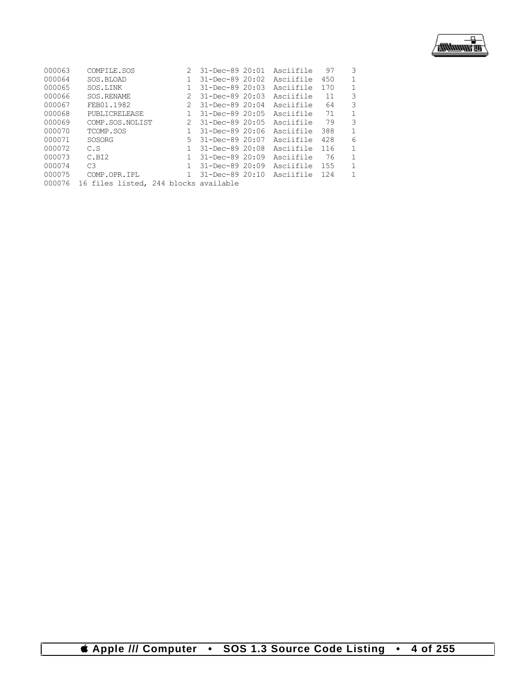

| 000063 | COMPILE.SOS                           | 2            | 31-Dec-89 20:01      | Asciifile | 97  | 3            |
|--------|---------------------------------------|--------------|----------------------|-----------|-----|--------------|
| 000064 | SOS.BLOAD                             |              | 31-Dec-89 20:02      | Asciifile | 450 | 1            |
| 000065 | SOS.LINK                              |              | 31-Dec-89 20:03      | Asciifile | 170 | 1            |
| 000066 | SOS.RENAME                            | 2            | 31-Dec-89 20:03      | Asciifile | 11  | 3            |
| 000067 | FEB01.1982                            | 2            | $31 - Dec - 8920:04$ | Asciifile | 64  | 3            |
| 000068 | PUBLICRELEASE                         |              | 31-Dec-89 20:05      | Asciifile | 71  | 1            |
| 000069 | COMP.SOS.NOLIST                       | 2            | 31-Dec-89 20:05      | Asciifile | 79  | 3            |
| 000070 | TCOMP.SOS                             |              | $31 - Dec - 8920:06$ | Asciifile | 388 | $\mathbf{1}$ |
| 000071 | SOSORG                                | 5.           | 31-Dec-89 20:07      | Asciifile | 428 | 6            |
| 000072 | C.S                                   |              | 31-Dec-89 20:08      | Asciifile | 116 | $\mathbf{1}$ |
| 000073 | C.BI2                                 | $\mathbf{1}$ | 31-Dec-89 20:09      | Asciifile | 76  | 1            |
| 000074 | C.3                                   |              | 31-Dec-89 20:09      | Asciifile | 155 | 1            |
| 000075 | COMP.OPR.IPL                          |              | 31-Dec-89 20:10      | Asciifile | 124 | 1            |
| 000076 | 16 files listed, 244 blocks available |              |                      |           |     |              |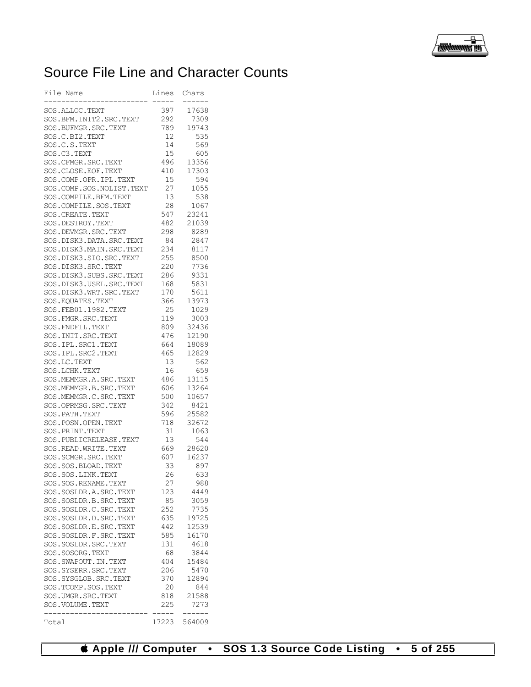

## Source File Line and Character Counts

| File Name                                          | Lines      | Chars         |
|----------------------------------------------------|------------|---------------|
|                                                    |            |               |
| SOS.ALLOC.TEXT                                     | 397        | 17638         |
| SOS.BFM.INIT2.SRC.TEXT                             | 292        | 7309          |
| SOS.BUFMGR.SRC.TEXT                                | 789        | 19743         |
| SOS.C.BI2.TEXT                                     | 12         | 535           |
| SOS.C.S.TEXT                                       | 14         | 569           |
| SOS.C3.TEXT                                        | 15         | 605           |
| SOS.CFMGR.SRC.TEXT                                 | 496        | 13356         |
| SOS.CLOSE.EOF.TEXT                                 | 410        | 17303         |
| SOS.COMP.OPR.IPL.TEXT<br>SOS.COMP.SOS.NOLIST.TEXT  | 15         | 594           |
|                                                    | 27<br>13   | 1055          |
| SOS.COMPILE.BFM.TEXT                               |            | 538           |
| SOS.COMPILE.SOS.TEXT<br>SOS.CREATE.TEXT            | 28         | 1067<br>23241 |
|                                                    | 547<br>482 | 21039         |
| SOS.DESTROY.TEXT                                   | 298        | 8289          |
| SOS.DEVMGR.SRC.TEXT<br>SOS. DISK3. DATA. SRC. TEXT | 84         | 2847          |
| SOS.DISK3.MAIN.SRC.TEXT                            | 234        | 8117          |
| SOS.DISK3.SIO.SRC.TEXT                             | 255        | 8500          |
| SOS.DISK3.SRC.TEXT                                 | 220        | 7736          |
| SOS.DISK3.SUBS.SRC.TEXT                            | 286        | 9331          |
| SOS.DISK3.USEL.SRC.TEXT                            | 168        | 5831          |
| SOS.DISK3.WRT.SRC.TEXT                             | 170        | 5611          |
| SOS. EQUATES. TEXT                                 | 366        | 13973         |
| SOS.FEB01.1982.TEXT                                | 25         | 1029          |
| SOS. FMGR. SRC. TEXT                               | 119        | 3003          |
| SOS. FNDFIL. TEXT                                  | 809        | 32436         |
| SOS. INIT. SRC. TEXT                               | 476        | 12190         |
| SOS. IPL. SRC1. TEXT                               | 664        | 18089         |
| SOS. IPL. SRC2. TEXT                               | 465        | 12829         |
| SOS.LC.TEXT                                        | 13         | 562           |
| SOS.LCHK.TEXT                                      | 16         | 659           |
| SOS.MEMMGR.A.SRC.TEXT                              | 486        | 13115         |
| SOS.MEMMGR.B.SRC.TEXT                              | 606        | 13264         |
| SOS.MEMMGR.C.SRC.TEXT                              | 500        | 10657         |
| SOS.OPRMSG.SRC.TEXT                                | 342        | 8421          |
| SOS. PATH. TEXT                                    | 596        | 25582         |
| SOS.POSN.OPEN.TEXT                                 | 718        | 32672         |
| SOS. PRINT. TEXT                                   | 31         | 1063          |
| SOS.PUBLICRELEASE.TEXT                             | 13         | 544           |
| SOS.READ.WRITE.TEXT                                | 669        | 28620         |
| SOS.SCMGR.SRC.TEXT                                 | 607        | 16237         |
| SOS.SOS.BLOAD.TEXT                                 | 33         | 897           |
| SOS.SOS.LINK.TEXT                                  | 26         | 633           |
| SOS.SOS.RENAME.TEXT                                | 27         | 988           |
| SOS.SOSLDR.A.SRC.TEXT                              | 123        | 4449          |
| SOS.SOSLDR.B.SRC.TEXT                              | 85         | 3059          |
| SOS.SOSLDR.C.SRC.TEXT                              | 252        | 7735          |
| SOS.SOSLDR.D.SRC.TEXT                              | 635        | 19725         |
| SOS.SOSLDR.E.SRC.TEXT                              | 442        | 12539         |
| SOS.SOSLDR.F.SRC.TEXT                              | 585        | 16170         |
| SOS.SOSLDR.SRC.TEXT                                | 131        | 4618          |
| SOS.SOSORG.TEXT                                    | 68         | 3844          |
| SOS.SWAPOUT.IN.TEXT                                | 404        | 15484         |
| SOS.SYSERR.SRC.TEXT                                | 206        | 5470          |
| SOS.SYSGLOB.SRC.TEXT                               | 370        | 12894         |
| SOS.TCOMP.SOS.TEXT                                 | 20         | 844           |
| SOS.UMGR.SRC.TEXT                                  | 818        | 21588         |
| SOS.VOLUME.TEXT                                    | 225        | 7273          |
|                                                    | $--- -$    | .             |
| Total                                              | 17223      | 564009        |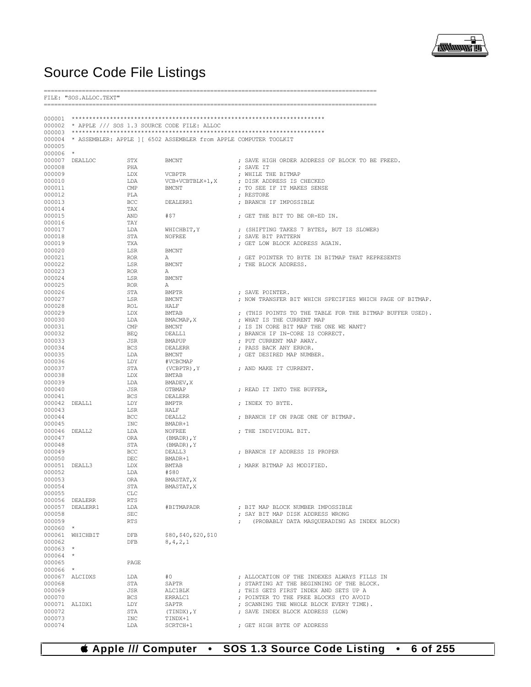

## **Source Code File Listings**

FILE: "SOS.ALLOC.TEXT" 000002 \* APPLE /// SOS 1.3 SOURCE CODE FILE: ALLOC 000003 000004 \* ASSEMBLER: APPLE ] [ 6502 ASSEMBLER from APPLE COMPUTER TOOLKIT 000005 000006 \* 000007 DEALLOC STX **BMCNT** ; SAVE HIGH ORDER ADDRESS OF BLOCK TO BE FREED. ; SAVE IT 000008 PHA 000009 LDX **VCBPTR** ; WHILE THE BITMAP 000010 VCB+VCBTBLK+1, X ; DISK ADDRESS IS CHECKED T.DA 000011  $CMP$ **BMCNT** ; TO SEE IF IT MAKES SENSE 000012 ; RESTORE PLA 000013  $BCC$ DEALERR1 ; BRANCH IF IMPOSSIBLE 000014 TAX ; GET THE BIT TO BE OR-ED IN. 000015  $#57$ AND 000016 TAY WHICHBIT, Y ; (SHIFTING TAKES 7 BYTES, BUT IS SLOWER) 000017 LDA 000018 : SAVE BIT PATTERN **STA NOFREE** ; GET LOW BLOCK ADDRESS AGAIN. 000019 **TXA BMCNT** 000020 LSR 000021 ; GET POINTER TO BYTE IN BITMAP THAT REPRESENTS **ROR**  $\overline{A}$ **BMCNT** 000022 : THE BLOCK ADDRESS. **LSR** 000023 **ROR**  $\mathbbm{A}$ 000024 **LSR BMCNT** 000025 **ROB**  $\Delta$ 000026 STA **RMPTR** ; SAVE POINTER. 000027 **LSR BMCNT** ; NOW TRANSFER BIT WHICH SPECIFIES WHICH PAGE OF BITMAP. 000028  $ROT$ .  $H\Delta T.F$ ; (THIS POINTS TO THE TABLE FOR THE BITMAP BUFFER USED). 000029 LDX **BMTAB** 000030 LDA  $\texttt{BMACMAP}{}$  ,  $\texttt{X}$ ; WHAT IS THE CURRENT MAP ; IS IN CORE BIT MAP THE ONE WE WANT? 000031  $CMP$ **RMCNT** ; BRANCH IF IN-CORE IS CORRECT. 000032 **BEQ** DEALL1 000033 **JSR BMAPUP** ; PUT CURRENT MAP AWAY. 000034 **BCS DEALERR** ; PASS BACK ANY ERROR. 000035 LDA  $\operatorname{BMCNT}$ ; GET DESIRED MAP NUMBER. 000036 LDY #VCBCMAP 000037 STA (VCBPTR),  $Y$ ; AND MAKE IT CURRENT. 000038 LDX **BMTAB** 000039 LDA BMADEV, X 000040 JSR **GTBMAP** ; READ IT INTO THE BUFFER, 000041 **BCS DEALERR** 000042 DEALL1 LDY **BMPTR** ; INDEX TO BYTE. 000043 **T.SR** HALF 000044 **BCC** DEALL2 ; BRANCH IF ON PAGE ONE OF BITMAP.  $BMADR+1$ 000045 **INC** 000046 DEALL2 T.DA **NOFREE** ; THE INDIVIDUAL BIT. 000047 ORA (BMADR), Y 000048 STA (BMADR), Y 000049 BCC. DEALL3 ; BRANCH IF ADDRESS IS PROPER 000050 BMADR+1 DEC 000051 DEALL3 **BMTAB** : MARK BITMAP AS MODIFIED. T.DX 000052 T.DA #\$80 000053 ORA BMASTAT.X 000054 **STA** BMASTAT, X 000055 CLC.  $000056$  DEALERR **RTS** ; BIT MAP BLOCK NUMBER IMPOSSIBLE 000057 DEALERR1 LDA #BITMAPADR : SAY BIT MAP DISK ADDRESS WRONG 000058 SEC<sup></sub></sup> 000059 **RTS** (PROBABLY DATA MASQUERADING AS INDEX BLOCK)  $\mathcal{L}$ 000060  $000061$  WHICHRIT \$80.\$40.\$20.\$10 DEB 000062 **DFB**  $8, 4, 2, 1$ 000063 000064  $\star$ 000065 PAGE 000066 000067 ALCIDXS T.DA  $\pm \cap$ ; ALLOCATION OF THE INDEXES ALWAYS FILLS IN 000068 STA SAPTR ; STARTING AT THE BEGINNING OF THE BLOCK. 000069 **ALC1BLK** ; THIS GETS FIRST INDEX AND SETS UP A **JSR** 000070 **BCS** ERRALC1 ; POINTER TO THE FREE BLOCKS (TO AVOID 000071 ALIDX1 LDY SAPTR ; SCANNING THE WHOLE BLOCK EVERY TIME). 000072  $_{\footnotesize{\texttt{STA}}}$  $(\texttt{TINDX})$  ,  $\texttt{Y}$ ; SAVE INDEX BLOCK ADDRESS (LOW) 000073 TINDX+1 **TNC** 000074 ; GET HIGH BYTE OF ADDRESS LDA SCRTCH+1

**4 Apple /// Computer SOS 1.3 Source Code Listing** 6 of 255  $\bullet$  $\bullet$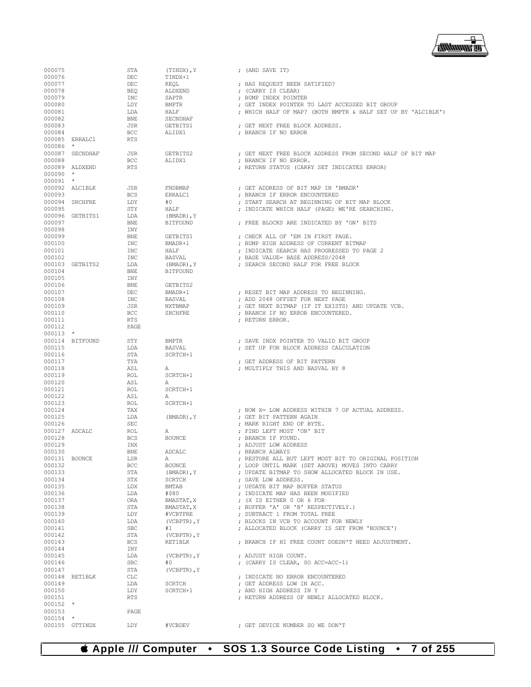## **Apple /// Computer • SOS 1.3 Source Code Listing • 7 of 255**

| 000075           |                           | STA               | (TINDX), Y             | ; (AND SAVE IT)                                              |
|------------------|---------------------------|-------------------|------------------------|--------------------------------------------------------------|
| 000076<br>000077 |                           | DEC<br>$\rm DEC$  | TINDX+1<br><b>REOL</b> | ; HAS REQUEST BEEN SATIFIED?                                 |
| 000078           |                           | BEO               | ALDXEND                | ; (CARRY IS CLEAR)                                           |
| 000079           |                           | INC               | SAPTR                  | ; BUMP INDEX POINTER                                         |
| 000080           |                           | LDY               | <b>BMPTR</b>           | ; GET INDEX POINTER TO LAST ACCESSED BIT GROUP               |
| 000081           |                           | LDA               | HALF                   | ; WHICH HALF OF MAP? (BOTH BMPTR & HALF SET UP BY 'ALC1BLK') |
| 000082           |                           | BNE               | SECNDHAF               |                                                              |
| 000083           |                           | <b>JSR</b>        | GETBITS1               | ; GET NEXT FREE BLOCK ADDRESS.                               |
| 000084           |                           | BCC               | ALIDX1                 | ; BRANCH IF NO ERROR                                         |
| 000086           | 000085 ERRALC1<br>$\star$ | <b>RTS</b>        |                        |                                                              |
|                  | 000087 SECNDHAF           | JSR               | GETBITS2               | : GET NEXT FREE BLOCK ADDRESS FROM SECOND HALF OF BIT MAP    |
| 000088           |                           | BCC               | ALIDX1                 | ; BRANCH IF NO ERROR.                                        |
|                  | 000089 ALDXEND            | RTS               |                        | ; RETURN STATUS (CARRY SET INDICATES ERROR)                  |
| 000090           | $\star$                   |                   |                        |                                                              |
| 000091 *         |                           |                   |                        |                                                              |
|                  | 000092 ALC1BLK            | JSR               | FNDBMAP                | ; GET ADDRESS OF BIT MAP IN 'BMADR'                          |
| 000093           |                           | <b>BCS</b>        | ERRALC1                | ; BRANCH IF ERROR ENCOUNTERED                                |
|                  | 000094 SRCHFRE            | LDY               | #0                     | ; START SEARCH AT BEGINNING OF BIT MAP BLOCK                 |
| 000095           |                           | STY               | HALF                   | ; INDICATE WHICH HALF (PAGE) WE'RE SEARCHING.                |
|                  | 000096 GETBITS1           | LDA               | $(BMADR)$ , Y          |                                                              |
| 000097<br>000098 |                           | BNE<br>INY        | <b>BITFOUND</b>        | ; FREE BLOCKS ARE INDICATED BY 'ON' BITS                     |
| 000099           |                           | BNE               | GETBITS1               | ; CHECK ALL OF 'EM IN FIRST PAGE.                            |
| 000100           |                           | INC               | BMADR+1                | ; BUMP HIGH ADDRESS OF CURRENT BITMAP                        |
| 000101           |                           | INC               | HALF                   | ; INDICATE SEARCH HAS PROGRESSED TO PAGE 2                   |
| 000102           |                           | INC               | BASVAL                 | ; BASE VALUE= BASE ADDRESS/2048                              |
|                  | 000103 GETBITS2           | LDA               | $(BMADR)$ , Y          | ; SEARCH SECOND HALF FOR FREE BLOCK                          |
| 000104           |                           | BNE               | <b>BITFOUND</b>        |                                                              |
| 000105           |                           | INY               |                        |                                                              |
| 000106           |                           | BNE               | GETBITS2               |                                                              |
| 000107           |                           | DEC               | BMADR+1                | ; RESET BIT MAP ADDRESS TO BEGINNING.                        |
| 000108           |                           | INC               | <b>BASVAL</b>          | ; ADD 2048 OFFSET FOR NEXT PAGE                              |
| 000109<br>000110 |                           | JSR<br>BCC        | NXTBMAP                | ; GET NEXT BITMAP (IF IT EXISTS) AND UPDATE VCB.             |
| 000111           |                           | RTS               | SRCHFRE                | ; BRANCH IF NO ERROR ENCOUNTERED.<br>; RETURN ERROR.         |
| 000112           |                           | PAGE              |                        |                                                              |
| $000113$ *       |                           |                   |                        |                                                              |
|                  | 000114 BITFOUND           | STY               | <b>BMPTR</b>           | ; SAVE INDX POINTER TO VALID BIT GROUP                       |
| 000115           |                           | LDA               | <b>BASVAL</b>          | ; SET UP FOR BLOCK ADDRESS CALCULATION                       |
| 000116           |                           | STA               | SCRTCH+1               |                                                              |
| 000117           |                           | TYA               |                        | ; GET ADDRESS OF BIT PATTERN                                 |
| 000118           |                           | ASL               | Α                      | ; MULTIPLY THIS AND BASVAL BY 8                              |
| 000119           |                           | ROL               | SCRTCH+1               |                                                              |
| 000120           |                           | ASL               | Α                      |                                                              |
| 000121           |                           | ROL               | SCRTCH+1               |                                                              |
| 000122<br>000123 |                           | ASL<br>ROL        | A<br>SCRTCH+1          |                                                              |
| 000124           |                           | TAX               |                        | ; NOW X= LOW ADDRESS WITHIN 7 OF ACTUAL ADDRESS.             |
| 000125           |                           | LDA               | $(BMADR)$ , $Y$        | ; GET BIT PATTERN AGAIN                                      |
| 000126           |                           | <b>SEC</b>        |                        | ; MARK RIGHT END OF BYTE.                                    |
| 000127 ADCALC    |                           | ROL               | Α                      | ; FIND LEFT MOST 'ON' BIT                                    |
| 000128           |                           | <b>BCS</b>        | <b>BOUNCE</b>          | ; BRANCH IF FOUND.                                           |
| 000129           |                           | INX               |                        | ; ADJUST LOW ADDRESS                                         |
| 000130           |                           | <b>BNE</b>        | ADCALC                 | ; BRANCH ALWAYS                                              |
| 000131 BOUNCE    |                           | LSR               | А                      | ; RESTORE ALL BUT LEFT MOST BIT TO ORIGINAL POSITION         |
| 000132           |                           | BCC               | <b>BOUNCE</b>          | ; LOOP UNTIL MARK (SET ABOVE) MOVES INTO CARRY               |
| 000133           |                           | STA               | (BMADR), Y             | ; UPDATE BITMAP TO SHOW ALLOCATED BLOCK IN USE.              |
| 000134<br>000135 |                           | STX<br>LDX        | SCRTCH<br>BMTAB        | ; SAVE LOW ADDRESS.<br>; UPDATE BIT MAP BUFFER STATUS        |
| 000136           |                           | LDA               | #\$80                  | ; INDICATE MAP HAS BEEN MODIFIED                             |
| 000137           |                           | ORA               | BMASTAT, X             | ; (X IS EITHER 0 OR 6 FOR                                    |
| 000138           |                           | STA               | BMASTAT, X             | ; BUFFER 'A' OR 'B' RESPECTIVELY.)                           |
| 000139           |                           | LDY               | #VCBTFRE               | ; SUBTRACT 1 FROM TOTAL FREE                                 |
| 000140           |                           | LDA               | $(VCBPTR)$ , $Y$       | ; BLOCKS IN VCB TO ACCOUNT FOR NEWLY                         |
| 000141           |                           | SBC               | #1                     | ; ALLOCATED BLOCK (CARRY IS SET FROM 'BOUNCE')               |
| 000142           |                           | STA               | $(VCBPTR)$ , $Y$       |                                                              |
| 000143           |                           | BCS               | RET1BLK                | ; BRANCH IF HI FREE COUNT DOESN'T NEED ADJUSTMENT.           |
| 000144           |                           | INY               |                        |                                                              |
| 000145           |                           | LDA               | (VCBPTR), Y            | ; ADJUST HIGH COUNT.                                         |
| 000146<br>000147 |                           | <b>SBC</b><br>STA | #O<br>(VCBPTR), Y      | ; (CARRY IS CLEAR, SO ACC=ACC-1)                             |
|                  | 000148 RET1BLK            | CLC               |                        | ; INDICATE NO ERROR ENCOUNTERED                              |
| 000149           |                           | LDA               | SCRTCH                 | ; GET ADDRESS LOW IN ACC.                                    |
| 000150           |                           | LDY               | SCRTCH+1               | ; AND HIGH ADDRESS IN Y                                      |
| 000151           |                           | RTS               |                        | ; RETURN ADDRESS OF NEWLY ALLOCATED BLOCK.                   |
| $000152$ *       |                           |                   |                        |                                                              |
| 000153           |                           | PAGE              |                        |                                                              |
| 000154 *         |                           |                   |                        |                                                              |
|                  | 000155 GTTINDX            | LDY               | #VCBDEV                | ; GET DEVICE NUMBER SO WE DON'T                              |

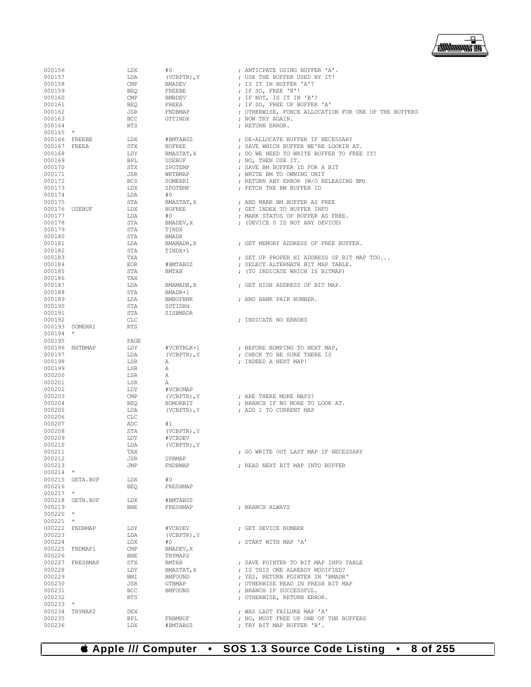

| 000156       |                 | LDX            | #0               | ; ANTICPATE USING BUFFER 'A'.                        |
|--------------|-----------------|----------------|------------------|------------------------------------------------------|
| 000157       |                 | LDA            | (VCBPTR), Y      | ; USE THE BUFFER USED BY IT!                         |
| 000158       |                 | $\text{CMP}$   | BMADEV           | ; IS IT IN BUFFER 'A'?                               |
| 000159       |                 | BEO            | FREEBE           | ; IF SO, FREE 'B'!                                   |
|              |                 |                |                  |                                                      |
| 000160       |                 | $\mathsf{CMP}$ | BMBDEV           | ; IF NOT, IS IT IN 'B'?                              |
| 000161       |                 | BEQ            | FREEA            | ; IF SO, FREE UP BUFFER 'A'                          |
| 000162       |                 | JSR            | FNDBMAP          | ; OTHERWISE, FORCE ALLOCATION FOR ONE OF THE BUFFERS |
| 000163       |                 | <b>BCC</b>     | GTTINDX          | ; NOW TRY AGAIN.                                     |
| 000164       |                 | RTS            |                  | ; RETURN ERROR.                                      |
| $000165$ *   |                 |                |                  |                                                      |
|              | 000166 FREEBE   | LDX            | #BMTABSZ         | ; DE-ALLOCATE BUFFER IF NECESSARY                    |
| 000167 FREEA |                 | STX            | NOFREE           | ; SAVE WHICH BUFFER WE'RE LOOKIN AT.                 |
| 000168       |                 | LDY            | BMASTAT, X       | ; DO WE NEED TO WRITE BUFFER TO FREE IT?             |
| 000169       |                 | BPL            | USEBUF           |                                                      |
|              |                 |                |                  | ; NO, THEN USE IT.                                   |
| 000170       |                 | STX            | ZPGTEMP          | ; SAVE BM BUFFER ID FOR A BIT                        |
| 000171       |                 | JSR            | WRTBMAP          | ; WRITE BM TO OWNING UNIT                            |
| 000172       |                 | BCS            | SOMERR1          | ; RETURN ANY ERROR (W/O RELEASING BM)                |
| 000173       |                 | LDX            | ZPGTEMP          | ; FETCH THE BM BUFFER ID                             |
| 000174       |                 | LDA            | #O               |                                                      |
| 000175       |                 | STA            | BMASTAT, X       | ; AND MARK BM BUFFER AS FREE                         |
|              | 000176 USEBUF   | LDX            | NOFREE           | ; GET INDEX TO BUFFER INFO                           |
| 000177       |                 | LDA            | #O               | ; MARK STATUS OF BUFFER AS FREE.                     |
|              |                 |                |                  |                                                      |
| 000178       |                 | STA            | BMADEV, X        | ; (DEVICE 0 IS NOT ANY DEVICE)                       |
| 000179       |                 | STA            | TINDX            |                                                      |
| 000180       |                 | STA            | <b>BMADR</b>     |                                                      |
| 000181       |                 | LDA            | BMAMADR, X       | ; GET MEMORY ADDRESS OF FREE BUFFER.                 |
| 000182       |                 | STA            | TINDX+1          |                                                      |
| 000183       |                 | TXA            |                  | ; SET UP PROPER HI ADDRESS OF BIT MAP TOO            |
| 000184       |                 | EOR            | #BMTABSZ         | ; SELECT ALTERNATE BIT MAP TABLE.                    |
|              |                 |                | BMTAB            |                                                      |
| 000185       |                 | STA            |                  | ; (TO INDICATE WHICH IS BITMAP)                      |
| 000186       |                 | TAX            |                  |                                                      |
| 000187       |                 | LDA            | BMAMADR, X       | ; GET HIGH ADDRESS OF BIT MAP.                       |
| 000188       |                 | STA            | BMADR+1          |                                                      |
| 000189       |                 | LDA            | BMBUFBNK         | ; AND BANK PAIR NUMBER.                              |
| 000190       |                 | STA            | SSTIDXH          |                                                      |
| 000191       |                 | STA            | SISBMADR         |                                                      |
| 000192       |                 | CLC            |                  | ; INDICATE NO ERRORS                                 |
|              |                 |                |                  |                                                      |
|              | 000193 SOMERR1  | <b>RTS</b>     |                  |                                                      |
| $000194$ *   |                 |                |                  |                                                      |
| 000195       |                 | PAGE           |                  |                                                      |
|              | 000196 NXTBMAP  | LDY            | #VCBTBLK+1       | ; BEFORE BUMPING TO NEXT MAP,                        |
| 000197       |                 | LDA            | (VCBPTR), Y      | ; CHECK TO BE SURE THERE IS                          |
| 000198       |                 | LSR            | Α                | ; INDEED A NEXT MAP!                                 |
| 000199       |                 | LSR            | Α                |                                                      |
| 000200       |                 | LSR            | А                |                                                      |
|              |                 |                |                  |                                                      |
| 000201       |                 | LSR            | Α                |                                                      |
| 000202       |                 | LDY            | #VCBCMAP         |                                                      |
| 000203       |                 | CMP            | (VCBPTR), Y      | ; ARE THERE MORE MAPS?                               |
| 000204       |                 | BEQ            | NOMORBIT         | ; BRANCH IF NO MORE TO LOOK AT.                      |
| 000205       |                 | LDA            | (VCBPTR), Y      | ; ADD 1 TO CURRENT MAP                               |
| 000206       |                 | CLC            |                  |                                                      |
| 000207       |                 | ADC            | #1               |                                                      |
|              |                 |                |                  |                                                      |
| 000208       |                 | STA            | (VCBPTR), Y      |                                                      |
| 000209       |                 | LDY            | #VCBDEV          |                                                      |
| 000210       |                 | LDA            | (VCBPTR), Y      |                                                      |
| 000211       |                 | TAX            |                  | ; GO WRITE OUT LAST MAP IF NECESSARY                 |
| 000212       |                 | JSR            | UPBMAP           |                                                      |
| 000213       |                 | JMP            | FNDBMAP          | ; READ NEXT BIT MAP INTO BUFFER                      |
| $000214$ *   |                 |                |                  |                                                      |
|              | 000215 GETA.BUF | LDX            | #0               |                                                      |
| 000216       |                 | BEO            | FRESHMAP         |                                                      |
| $000217$ *   |                 |                |                  |                                                      |
|              |                 |                |                  |                                                      |
|              | 000218 GETB.BUF | LDX            | #BMTABSZ         |                                                      |
| 000219       |                 | BNE            | FRESHMAP         | ; BRANCH ALWAYS                                      |
| $000220$ *   |                 |                |                  |                                                      |
| $000221$ *   |                 |                |                  |                                                      |
|              | 000222 FNDBMAP  | LDY            | #VCBDEV          | ; GET DEVICE NUMBER                                  |
| 000223       |                 | LDA            | $(VCBPTR)$ , $Y$ |                                                      |
| 000224       |                 | LDX            | #0               | ; START WITH MAP 'A'                                 |
|              | 000225 FNDMAP1  | $\text{CMP}$   | BMADEV, X        |                                                      |
|              |                 |                |                  |                                                      |
| 000226       |                 | BNE            | TRYMAP2          |                                                      |
|              | 000227 FRESHMAP | STX            | BMTAB            | ; SAVE POINTER TO BIT MAP INFO TABLE                 |
| 000228       |                 | LDY            | BMASTAT, X       | ; IS THIS ONE ALREADY MODIFIED?                      |
| 000229       |                 | BMI            | BMFOUND          | ; YES, RETURN POINTER IN 'BMADR'                     |
| 000230       |                 | JSR            | GTBMAP           | ; OTHERWISE READ IN FRESH BIT MAP                    |
| 000231       |                 | BCC            | BMFOUND          | ; BRANCH IF SUCCESSFUL.                              |
| 000232       |                 | <b>RTS</b>     |                  | ; OTHERWISE, RETURN ERROR.                           |
| $000233$ *   |                 |                |                  |                                                      |
|              |                 |                |                  |                                                      |
|              | 000234 TRYMAP2  | DEX            |                  | ; WAS LAST FAILURE MAP 'A'                           |
| 000235       |                 | BPL            | FRBMBUF          | ; NO, MUST FREE UP ONE OF THE BUFFERS                |
| 000236       |                 | LDX            | #BMTABSZ         | ; TRY BIT MAP BUFFER 'B'.                            |

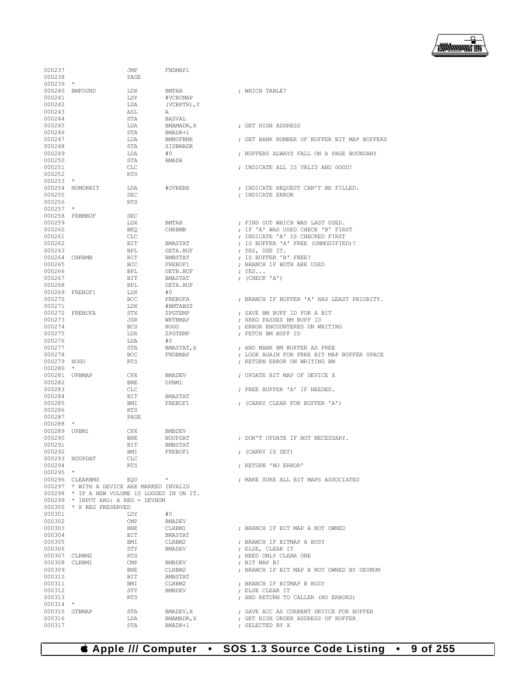

| 000237               |                                                              | JMP               | FNDMAP1              |                                             |
|----------------------|--------------------------------------------------------------|-------------------|----------------------|---------------------------------------------|
| 000238               |                                                              | PAGE              |                      |                                             |
| $000239$ *           |                                                              |                   |                      |                                             |
|                      | 000240 BMFOUND                                               | LDX               | <b>BMTAB</b>         | ; WHICH TABLE?                              |
| 000241               |                                                              | LDY               | #VCBCMAP             |                                             |
| 000242               |                                                              | LDA               | (VCBPTR), Y          |                                             |
| 000243               |                                                              | ASL               | Α                    |                                             |
| 000244<br>000245     |                                                              | STA<br>LDA        | BASVAL<br>BMAMADR, X | : GET HIGH ADDRESS                          |
| 000246               |                                                              | STA               | BMADR+1              |                                             |
| 000247               |                                                              | LDA               | BMBUFBNK             | ; GET BANK NUMBER OF BUFFER BIT MAP BUFFERS |
| 000248               |                                                              | STA               | SISBMADR             |                                             |
| 000249               |                                                              | LDA               | #0                   | ; BUFFERS ALWAYS FALL ON A PAGE BOUNDARY    |
| 000250               |                                                              | STA               | <b>BMADR</b>         |                                             |
| 000251               |                                                              | CLC               |                      | ; INDICATE ALL IS VALID AND GOOD!           |
| 000252               |                                                              | RTS               |                      |                                             |
| $000253$ *           |                                                              |                   |                      |                                             |
|                      | 000254 NOMORBIT                                              | LDA               | #OVRERR              | ; INDICATE REQUEST CAN'T BE FILLED.         |
| 000255               |                                                              | SEC               |                      | ; INDICATE ERROR                            |
| 000256<br>$000257$ * |                                                              | <b>RTS</b>        |                      |                                             |
|                      | 000258 FRBMBUF                                               | <b>SEC</b>        |                      |                                             |
| 000259               |                                                              | LDX               | BMTAB                | ; FIND OUT WHICH WAS LAST USED.             |
| 000260               |                                                              | BEO               | CHKBMB               | ; IF 'A' WAS USED CHECK 'B' FIRST           |
| 000261               |                                                              | <b>CLC</b>        |                      | ; INDICATE 'A' IS CHECKED FIRST             |
| 000262               |                                                              | BIT               | BMASTAT              | ; IS BUFFER 'A' FREE (UNMODIFIED)?          |
| 000263               |                                                              | BPL               | GETA.BUF             | ; YES, USE IT.                              |
| 000264 CHKBMB        |                                                              | BIT               | BMBSTAT              | ; IS BUFFER 'B' FREE?                       |
| 000265               |                                                              | <b>BCC</b>        | FREBUF1              | : BRANCH IF BOTH ARE USED                   |
| 000266               |                                                              | BPL               | GETB.BUF             | $;$ YES                                     |
| 000267               |                                                              | BIT               | BMASTAT              | ; $(CHECK 'A')$                             |
| 000268               |                                                              | BPL               | GETA.BUF             |                                             |
|                      | 000269 FREBUF1                                               | LDX               | #0                   |                                             |
| 000270<br>000271     |                                                              | <b>BCC</b><br>LDX | FREBUFA<br>#BMTABSZ  | ; BRANCH IF BUFFER 'A' HAS LEAST PRIORITY.  |
|                      | 000272 FREBUFA                                               | STX               | ZPGTEMP              | ; SAVE BM BUFF ID FOR A BIT                 |
| 000273               |                                                              | JSR               | WRTBMAP              | ; XREG PASSES BM BUFF ID                    |
| 000274               |                                                              | BCS               | NOGO                 | ; ERROR ENCOUNTERED ON WRITING              |
| 000275               |                                                              | LDX               | ZPGTEMP              | ; FETCH BM BUFF ID                          |
| 000276               |                                                              | LDA               | #O                   |                                             |
| 000277               |                                                              | STA               | BMASTAT, X           | ; AND MARK BM BUFFER AS FREE                |
| 000278               |                                                              | BCC               | FNDBMAP              | ; LOOK AGAIN FOR FRRE BIT MAP BUFFER SPACE  |
| 000279 NOGO          |                                                              | RTS               |                      | ; RETURN ERROR ON WRITING BM                |
| 000280               | $\star$                                                      |                   |                      |                                             |
| 000281 UPBMAP        |                                                              | CPX               | BMADEV               | ; UPDATE BIT MAP OF DEVICE X                |
| 000282               |                                                              | BNE               | UPBM1                |                                             |
| 000283<br>000284     |                                                              | CLC<br>BIT        | BMASTAT              | ; FREE BUFFER 'A' IF NEEDED.                |
| 000285               |                                                              | BMI               | FREBUF1              | ; (CARRY CLEAR FOR BUFFER 'A')              |
| 000286               |                                                              | RTS               |                      |                                             |
| 000287               |                                                              | PAGE              |                      |                                             |
| $000288$ *           |                                                              |                   |                      |                                             |
| 000289 UPBM1         |                                                              | CPX               | BMBDEV               |                                             |
| 000290               |                                                              | BNE               | NOUPDAT              | : DON'T UPDATE IF NOT NECESSARY.            |
| 000291               |                                                              | <b>BIT</b>        | <b>BMBSTAT</b>       |                                             |
| 000292               |                                                              | BMI               | FREBUF1              | ; (CARRY IS SET)                            |
|                      | 000293 NOUPDAT                                               | CLC               |                      |                                             |
| 000294               |                                                              | <b>RTS</b>        |                      | ; RETURN 'NO ERROR'                         |
| $000295$ *           |                                                              | $\sim$ $ \star$   |                      | : MAKE SURE ALL BIT MAPS ASSOCIATED         |
|                      | 000296 CLEARBMS<br>000297 * WITH A DEVICE ARE MARKED INVALID | EOU               |                      |                                             |
|                      | 000298 * IF A NEW VOLUME IS LOGGED IN ON IT.                 |                   |                      |                                             |
|                      | $000299$ * INPUT ARG: A REG = DEVNUM                         |                   |                      |                                             |
|                      | 000300 * X REG PRESERVED                                     |                   |                      |                                             |
| 000301               |                                                              | LDY               | #0                   |                                             |
| 000302               |                                                              | $\mathsf{CMP}$    | BMADEV               |                                             |
| 000303               |                                                              | BNE               | CLRBM1               | ; BRANCH IF BIT MAP A NOT OWNED             |
| 000304               |                                                              | BIT               | BMASTAT              |                                             |
| 000305               |                                                              | BMI               | CLRBM2               | ; BRANCH IF BITMAP A BUSY                   |
| 000306               |                                                              | STY               | BMADEV               | ; ELSE, CLEAR IT                            |
|                      | 000307 CLRBM2                                                | RTS               |                      | ; NEED ONLY CLEAR ONE                       |
|                      | 000308 CLRBM1                                                | CMP               | BMBDEV               | : BIT MAP B?                                |
| 000309<br>000310     |                                                              | BNE<br>BIT        | CLRBM2               | ; BRANCH IF BIT MAP B NOT OWNED BY DEVNUM   |
| 000311               |                                                              | BMI               | BMBSTAT<br>CLRBM2    | ; BRANCH IF BITMAP B BUSY                   |
| 000312               |                                                              | STY               | BMBDEV               | ; ELSE CLEAR IT                             |
| 000313               |                                                              | RTS               |                      | ; AND RETURN TO CALLER (NO ERRORS)          |
| $000314$ *           |                                                              |                   |                      |                                             |
|                      | 000315 GTBMAP                                                | STA               | BMADEV, X            | ; SAVE ACC AS CURRENT DEVICE FOR BUFFER     |
| 000316               |                                                              | LDA               | BMAMADR, X           | ; GET HIGH ORDER ADDRESS OF BUFFER          |
| 000317               |                                                              | STA               | BMADR+1              | ; SELECTED BY X                             |
|                      |                                                              |                   |                      |                                             |

 **Apple /// Computer • SOS 1.3 Source Code Listing • 9 of 255**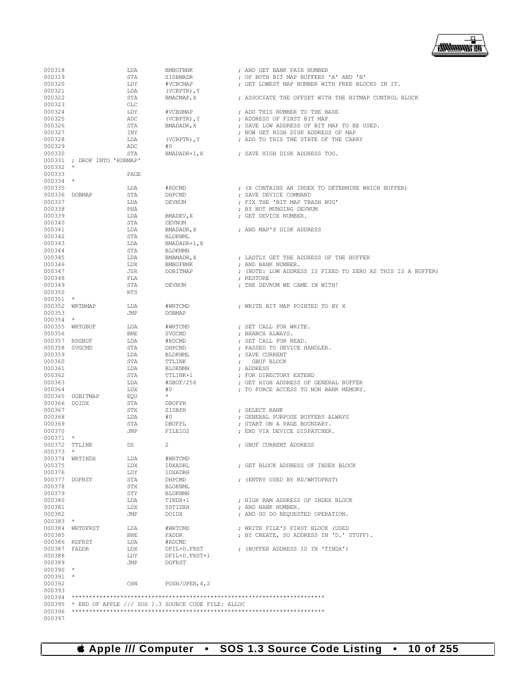| 000318       |                             | LDA        | BMBUFBNK                                           | ; AND GET BANK PAIR NUMBER                                 |
|--------------|-----------------------------|------------|----------------------------------------------------|------------------------------------------------------------|
| 000319       |                             | STA        | SISBMADR                                           | ; OF BOTH BIT MAP BUFFERS 'A' AND 'B'                      |
| 000320       |                             | LDY        | #VCBCMAP                                           | : GET LOWEST MAP NUMBER WITH FREE BLOCKS IN IT.            |
| 000321       |                             | LDA        | $(VCBPTR)$ , $Y$                                   |                                                            |
|              |                             |            |                                                    |                                                            |
| 000322       |                             | STA        | BMACMAP, X                                         | ; ASSOCIATE THE OFFSET WITH THE BITMAP CONTROL BLOCK       |
| 000323       |                             | <b>CLC</b> |                                                    |                                                            |
| 000324       |                             | LDY        | #VCBDMAP                                           | ; ADD THIS NUMBER TO THE BASE                              |
| 000325       |                             | ADC        | $(VCBPTR)$ , $Y$                                   | ; ADDRESS OF FIRST BIT MAP                                 |
| 000326       |                             | STA        | BMADADR, X                                         | ; SAVE LOW ADDRESS OF BIT MAP TO BE USED.                  |
| 000327       |                             | INY        |                                                    | ; NOW GET HIGH DISK ADDRESS OF MAP                         |
| 000328       |                             | LDA        | $(VCBPTR)$ , $Y$                                   | ; ADD TO THIS THE STATE OF THE CARRY                       |
|              |                             |            |                                                    |                                                            |
| 000329       |                             | ADC        | #0                                                 |                                                            |
| 000330       |                             | STA        | BMADADR+1, X                                       | ; SAVE HIGH DISK ADDRESS TOO.                              |
|              | 000331 ; DROP INTO 'RDBMAP' |            |                                                    |                                                            |
| $000332$ *   |                             |            |                                                    |                                                            |
| 000333       |                             | PAGE       |                                                    |                                                            |
| $000334$ *   |                             |            |                                                    |                                                            |
|              |                             |            |                                                    |                                                            |
| 000335       |                             | LDA        | #RDCMD                                             | ; (X CONTAINS AN INDEX TO DETERMINE WHICH BUFFER)          |
|              | 000336 DOBMAP               | STA        | DHPCMD                                             | ; SAVE DEVICE COMMAND                                      |
| 000337       |                             | LDA        | DEVNUM                                             | ; FIX THE 'BIT MAP TRASH BUG'                              |
| 000338       |                             | PHA        |                                                    | ; BY NOT MUNGING DEVNUM                                    |
| 000339       |                             | LDA        | BMADEV, X                                          | ; GET DEVICE NUMBER.                                       |
| 000340       |                             | STA        | DEVNUM                                             |                                                            |
|              |                             |            |                                                    |                                                            |
| 000341       |                             | LDA        | BMADADR, X                                         | ; AND MAP'S DISK ADDRESS                                   |
| 000342       |                             | STA        | <b>BLOKNML</b>                                     |                                                            |
| 000343       |                             | LDA        | BMADADR+1, X                                       |                                                            |
| 000344       |                             | STA        | <b>BLOKNMH</b>                                     |                                                            |
| 000345       |                             | LDA        | BMAMADR, X                                         | ; LASTLY GET THE ADDRESS OF THE BUFFER                     |
| 000346       |                             | LDX        | BMBUFBNK                                           | ; AND BANK NUMBER.                                         |
|              |                             |            |                                                    |                                                            |
| 000347       |                             | JSR        | DOBITMAP                                           | ; (NOTE: LOW ADDRESS IS FIXED TO ZERO AS THIS IS A BUFFER) |
| 000348       |                             | PLA        |                                                    | ; RESTORE                                                  |
| 000349       |                             | STA        | DEVNUM                                             | ; THE DEVNUM WE CAME IN WITH!                              |
| 000350       |                             | <b>RTS</b> |                                                    |                                                            |
| $000351$ *   |                             |            |                                                    |                                                            |
|              | 000352 WRTBMAP              | LDA        | #WRTCMD                                            | ; WRITE BIT MAP POINTED TO BY X                            |
|              |                             |            |                                                    |                                                            |
| 000353       |                             | JMP        | <b>DOBMAP</b>                                      |                                                            |
| $000354$ *   |                             |            |                                                    |                                                            |
|              | 000355 WRTGBUF              | LDA        | #WRTCMD                                            | ; SET CALL FOR WRITE.                                      |
| 000356       |                             | <b>BNE</b> | SVGCMD                                             | ; BRANCH ALWAYS.                                           |
|              | 000357 RDGBUF               | LDA        | #RDCMD                                             | ; SET CALL FOR READ.                                       |
|              | 000358 SVGCMD               | STA        | DHPCMD                                             | ; PASSED TO DEVICE HANDLER.                                |
| 000359       |                             | LDA        |                                                    | ; SAVE CURRENT                                             |
|              |                             |            | BLOKNML                                            |                                                            |
| 000360       |                             | STA        | TTLINK                                             | ; GBUF BLOCK                                               |
| 000361       |                             | LDA        | BLOKNMH                                            | ; ADDRESS                                                  |
| 000362       |                             | STA        | TTLINK+1                                           | ; FOR DIRECTORY EXTEND                                     |
| 000363       |                             | LDA        | #GBUF/256                                          | ; GET HIGH ADDRESS OF GENERAL BUFFER                       |
| 000364       |                             | LDX        | #0                                                 | ; TO FORCE ACCESS TO NON BANK MEMORY.                      |
|              | 000365 DOBITMAP             | EQU        | $\star$                                            |                                                            |
|              |                             |            |                                                    |                                                            |
| 000366 DOIDX |                             | STA        | DBUFPH                                             |                                                            |
| 000367       |                             | STX        | SISBPH                                             | ; SELECT BANK                                              |
| 000368       |                             | LDA        | #0                                                 | ; GENERAL PURPOSE BUFFERS ALWAYS                           |
| 000369       |                             | STA        | DBUFPL                                             | ; START ON A PAGE BOUNDARY.                                |
| 000370       |                             | JMP        | FILEIO2                                            | ; END VIA DEVICE DISPATCHER.                               |
| $000371$ *   |                             |            |                                                    |                                                            |
|              | 000372 TTLINK               | <b>DS</b>  | 2                                                  |                                                            |
|              |                             |            |                                                    | ; GBUF CURRENT ADDRESS                                     |
| $000373$ *   |                             |            |                                                    |                                                            |
|              | 000374 WRTINDX              | LDA        | #WRTCMD                                            |                                                            |
| 000375       |                             | LDX        | IDXADRL                                            | ; GET BLOCK ADDRESS OF INDEX BLOCK                         |
| 000376       |                             | LDY        | IDXADRH                                            |                                                            |
|              | 000377 DOFRST               | STA        | DHPCMD                                             | ; (ENTRY USED BY RD/WRTDFRST)                              |
|              |                             |            |                                                    |                                                            |
| 000378       |                             | STX        | BLOKNML                                            |                                                            |
| 000379       |                             | STY        | <b>BLOKNMH</b>                                     |                                                            |
| 000380       |                             | LDA        | TINDX+1                                            | ; HIGH RAM ADDRESS OF INDEX BLOCK                          |
| 000381       |                             | LDX        | SSTIDXH                                            | ; AND BANK NUMBER.                                         |
| 000382       |                             | JMP        | DOIDX                                              | ; AND GO DO REQUESTED OPERATION.                           |
| $000383$ *   |                             |            |                                                    |                                                            |
|              |                             |            |                                                    | ; WRITE FILE'S FIRST BLOCK (USED                           |
|              | 000384 WRTDFRST             | LDA        | #WRTCMD                                            |                                                            |
| 000385       |                             | <b>BNE</b> | <b>FADDR</b>                                       | ; BY CREATE, SO ADDRESS IN 'D.' STUFF).                    |
|              | 000386 RDFRST               | LDA        | #RDCMD                                             |                                                            |
| 000387 FADDR |                             | LDX        | DFIL+D.FRST                                        | ; (BUFFER ADDRESS IS IN 'TINDX')                           |
| 000388       |                             | LDY        | DFIL+D.FRST+1                                      |                                                            |
| 000389       |                             | JMP        | DOFRST                                             |                                                            |
| $000390$ *   |                             |            |                                                    |                                                            |
|              |                             |            |                                                    |                                                            |
| $000391$ *   |                             |            |                                                    |                                                            |
| 000392       |                             | CHN        | POSN/OPEN, 4, 2                                    |                                                            |
| 000393       |                             |            |                                                    |                                                            |
|              |                             |            |                                                    |                                                            |
| 000395       |                             |            | * END OF APPLE /// SOS 1.3 SOURCE CODE FILE: ALLOC |                                                            |
| 000396       |                             |            |                                                    |                                                            |
|              |                             |            |                                                    |                                                            |
| 000397       |                             |            |                                                    |                                                            |

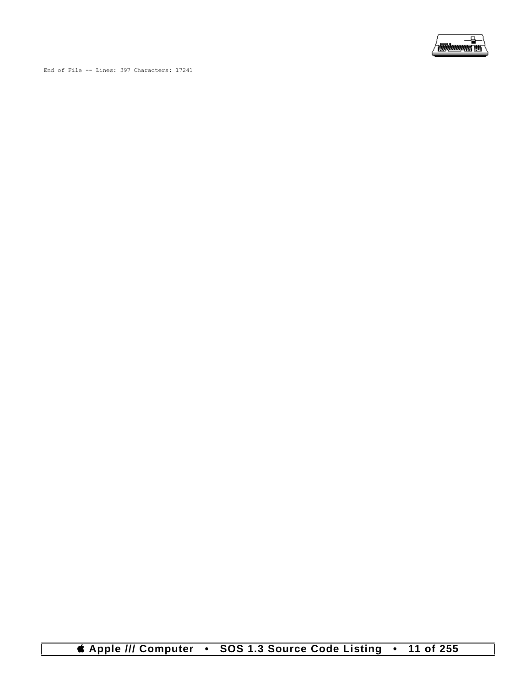

End of File -- Lines: 397 Characters: 17241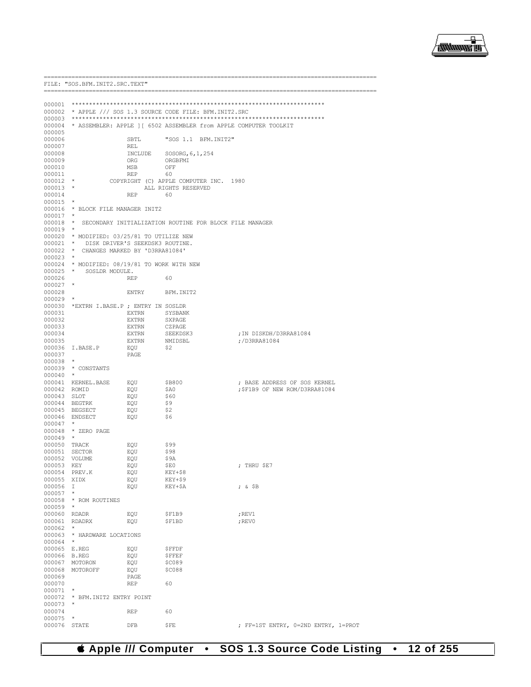

|                  | FILE: "SOS.BFM.INIT2.SRC.TEXT"                                                         |                  |                                                                          |                                     |
|------------------|----------------------------------------------------------------------------------------|------------------|--------------------------------------------------------------------------|-------------------------------------|
|                  |                                                                                        |                  |                                                                          |                                     |
|                  |                                                                                        |                  |                                                                          |                                     |
|                  |                                                                                        |                  | 000002 * APPLE /// SOS 1.3 SOURCE CODE FILE: BFM.INIT2.SRC               |                                     |
|                  |                                                                                        |                  |                                                                          |                                     |
|                  |                                                                                        |                  | 000004 * ASSEMBLER: APPLE ] [ 6502 ASSEMBLER from APPLE COMPUTER TOOLKIT |                                     |
| 000005           |                                                                                        |                  |                                                                          |                                     |
| 000006           |                                                                                        | SBTL             | "SOS 1.1 BFM. INIT2"                                                     |                                     |
| 000007           |                                                                                        | REL              |                                                                          |                                     |
| 000008<br>000009 |                                                                                        | ORG              | INCLUDE SOSORG, 6, 1, 254<br>ORGBFMI                                     |                                     |
| 000010           |                                                                                        | MSB              | OFF                                                                      |                                     |
| 000011           |                                                                                        | REP              | 60                                                                       |                                     |
| $000012$ *       |                                                                                        |                  | COPYRIGHT (C) APPLE COMPUTER INC. 1980                                   |                                     |
| $000013$ *       |                                                                                        |                  | ALL RIGHTS RESERVED                                                      |                                     |
| 000014           |                                                                                        | REP 60           |                                                                          |                                     |
| 000015           | $\star$                                                                                |                  |                                                                          |                                     |
|                  | 000016 * BLOCK FILE MANAGER INIT2                                                      |                  |                                                                          |                                     |
| 000017           |                                                                                        |                  |                                                                          |                                     |
|                  |                                                                                        |                  | 000018 * SECONDARY INITIALIZATION ROUTINE FOR BLOCK FILE MANAGER         |                                     |
| $000019$ *       |                                                                                        |                  |                                                                          |                                     |
|                  | 000020 * MODIFIED: 03/25/81 TO UTILIZE NEW<br>000021 * DISK DRIVER'S SEEKDSK3 ROUTINE. |                  |                                                                          |                                     |
|                  | 000022 * CHANGES MARKED BY 'D3RRA81084'                                                |                  |                                                                          |                                     |
| 000023           |                                                                                        |                  |                                                                          |                                     |
|                  | 000024 * MODIFIED: 08/19/81 TO WORK WITH NEW                                           |                  |                                                                          |                                     |
|                  | 000025 * SOSLDR MODULE.                                                                |                  |                                                                          |                                     |
| 000026           |                                                                                        | REP              | 60                                                                       |                                     |
| $000027$ *       |                                                                                        |                  |                                                                          |                                     |
| 000028           |                                                                                        | ENTRY BFM. INIT2 |                                                                          |                                     |
| $000029$ *       |                                                                                        |                  |                                                                          |                                     |
|                  | 000030 *EXTRN I.BASE.P ; ENTRY IN SOSLDR                                               |                  |                                                                          |                                     |
| 000031<br>000032 |                                                                                        | EXTRN<br>EXTRN   | SYSBANK<br>SXPAGE                                                        |                                     |
| 000033           |                                                                                        | EXTRN            | CZPAGE                                                                   |                                     |
| 000034           |                                                                                        | EXTRN            |                                                                          | ; IN DISKDH/D3RRA81084              |
| 000035           |                                                                                        | EXTRN            | SEEKDSK3<br>NMIDSBL                                                      | ;/D3RRA81084                        |
|                  | 000036 I.BASE.P                                                                        | EQU              | \$2                                                                      |                                     |
| 000037           |                                                                                        | PAGE             |                                                                          |                                     |
| $000038$ *       |                                                                                        |                  |                                                                          |                                     |
|                  | 000039 * CONSTANTS                                                                     |                  |                                                                          |                                     |
| $000040$ *       |                                                                                        |                  |                                                                          |                                     |
|                  | 000041 KERNEL.BASE EQU                                                                 |                  | \$B800                                                                   | ; BASE ADDRESS OF SOS KERNEL        |
| 000042 ROMID     | 000043 SLOT                                                                            | EQU              | \$A0<br>\$60                                                             | ;\$F1B9 OF NEW ROM/D3RRA81084       |
|                  | 000044 BEGTRK                                                                          | EQU<br>EQU       | \$9                                                                      |                                     |
|                  | 000045 BEGSECT                                                                         | EQU              | \$2                                                                      |                                     |
|                  | 000046 ENDSECT                                                                         | EQU              | \$6                                                                      |                                     |
| $000047$ *       |                                                                                        |                  |                                                                          |                                     |
|                  | 000048 * ZERO PAGE                                                                     |                  |                                                                          |                                     |
| $000049$ *       |                                                                                        |                  |                                                                          |                                     |
|                  | 000050 TRACK                                                                           | EQU              | \$99                                                                     |                                     |
|                  | 000051 SECTOR                                                                          | EOU              | \$98                                                                     |                                     |
|                  | 000052 VOLUME                                                                          | EOU              | \$9A                                                                     |                                     |
| 000053 KEY       |                                                                                        | EQU              | ŞE0                                                                      | ; THRU \$E7                         |
| 000054<br>000055 | PREV.K<br>XIDX                                                                         | EQU<br>EQU       | $KEY+$8$<br>KEY+\$9                                                      |                                     |
| 000056           | $\mathbb{I}$                                                                           | EQU              | KEY+\$A                                                                  | $;$ & $$B$                          |
| 000057           |                                                                                        |                  |                                                                          |                                     |
|                  | 000058 * ROM ROUTINES                                                                  |                  |                                                                          |                                     |
| 000059           | $\star$                                                                                |                  |                                                                          |                                     |
| 000060 RDADR     |                                                                                        | EQU              | \$F1B9                                                                   | ; REV1                              |
| 000061           | RDADRX                                                                                 | EQU              | \$F1BD                                                                   | ; REVO                              |
| 000062           | $\star$                                                                                |                  |                                                                          |                                     |
| 000063           | * HARDWARE LOCATIONS                                                                   |                  |                                                                          |                                     |
| 000064 *         |                                                                                        |                  |                                                                          |                                     |
| 000065 E.REG     |                                                                                        | EQU              | \$FFDF                                                                   |                                     |
| 000066 B.REG     |                                                                                        | EQU              | <b>\$FFEF</b>                                                            |                                     |
| 000067           | MOTORON<br>000068 MOTOROFF                                                             | EQU<br>EQU       | \$C089<br>\$C088                                                         |                                     |
| 000069           |                                                                                        | PAGE             |                                                                          |                                     |
| 000070           |                                                                                        | <b>REP</b>       | 60                                                                       |                                     |
| 000071 *         |                                                                                        |                  |                                                                          |                                     |
| 000072           | * BFM.INIT2 ENTRY POINT                                                                |                  |                                                                          |                                     |
| 000073           |                                                                                        |                  |                                                                          |                                     |
| 000074           |                                                                                        | REP              | 60                                                                       |                                     |
| 000075           | $^{\star}$                                                                             |                  |                                                                          |                                     |
| 000076           | STATE                                                                                  | DFB              | <b>SFE</b>                                                               | ; FF=1ST ENTRY, 0=2ND ENTRY, 1=PROT |

*# Apple /// Computer* • SOS 1.3 Source Code Listing • 12 of 255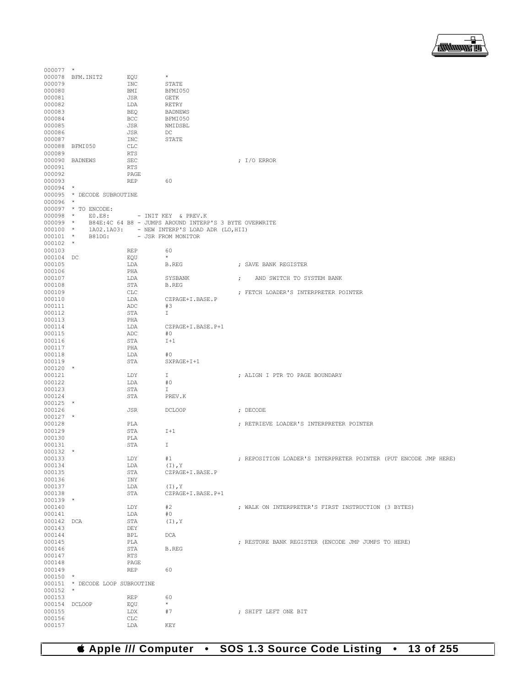

| $000077$ *    |                                 |            |                                                        |            |                                                                 |
|---------------|---------------------------------|------------|--------------------------------------------------------|------------|-----------------------------------------------------------------|
|               | 000078 BFM. INIT2               | EOU        | $\star$                                                |            |                                                                 |
| 000079        |                                 | <b>INC</b> | STATE                                                  |            |                                                                 |
| 000080        |                                 | BMI        | BFMI050                                                |            |                                                                 |
| 000081        |                                 | JSR        | <b>GETK</b>                                            |            |                                                                 |
| 000082        |                                 | LDA        | <b>RETRY</b>                                           |            |                                                                 |
| 000083        |                                 | <b>BEQ</b> | <b>BADNEWS</b>                                         |            |                                                                 |
| 000084        |                                 | <b>BCC</b> | BFMI050                                                |            |                                                                 |
| 000085        |                                 | JSR        | NMIDSBL                                                |            |                                                                 |
| 000086        |                                 | JSR        | DC                                                     |            |                                                                 |
| 000087        |                                 | <b>INC</b> | STATE                                                  |            |                                                                 |
|               | 000088 BFMI050                  | <b>CLC</b> |                                                        |            |                                                                 |
| 000089        |                                 | RTS        |                                                        |            |                                                                 |
|               | 000090 BADNEWS                  | <b>SEC</b> |                                                        |            | ; $I/O$ ERROR                                                   |
| 000091        |                                 | <b>RTS</b> |                                                        |            |                                                                 |
| 000092        |                                 | PAGE       |                                                        |            |                                                                 |
| 000093        |                                 | <b>REP</b> | 60                                                     |            |                                                                 |
| $000094$ *    |                                 |            |                                                        |            |                                                                 |
|               | 000095 * DECODE SUBROUTINE      |            |                                                        |            |                                                                 |
| $000096$ *    |                                 |            |                                                        |            |                                                                 |
|               | 000097 * TO ENCODE:             |            |                                                        |            |                                                                 |
| $000098$ *    | EO.E8:                          |            | - INIT KEY & PREV.K                                    |            |                                                                 |
| $000099$ *    |                                 |            | B84E:4C 64 B8 - JUMPS AROUND INTERP'S 3 BYTE OVERWRITE |            |                                                                 |
| $000100$ *    |                                 |            | 1A02.1A03: - NEW INTERP'S LOAD ADR (LO, HII)           |            |                                                                 |
| $000101$ *    | B81DG:                          |            | - JSR FROM MONITOR                                     |            |                                                                 |
| $000102$ *    |                                 |            |                                                        |            |                                                                 |
| 000103        |                                 | <b>REP</b> | 60                                                     |            |                                                                 |
| 000104 DC     |                                 | EQU        | $\star$                                                |            |                                                                 |
|               |                                 |            |                                                        |            |                                                                 |
| 000105        |                                 | LDA        | <b>B.REG</b>                                           |            | ; SAVE BANK REGISTER                                            |
| 000106        |                                 | PHA        |                                                        |            |                                                                 |
| 000107        |                                 | LDA        | SYSBANK                                                | $\ddot{ }$ | AND SWITCH TO SYSTEM BANK                                       |
| 000108        |                                 | STA        | <b>B.REG</b>                                           |            |                                                                 |
| 000109        |                                 | <b>CLC</b> |                                                        |            | ; FETCH LOADER'S INTERPRETER POINTER                            |
| 000110        |                                 | LDA        | CZPAGE+I.BASE.P                                        |            |                                                                 |
| 000111        |                                 | ADC        | #3                                                     |            |                                                                 |
| 000112        |                                 | STA        | I                                                      |            |                                                                 |
| 000113        |                                 | PHA        |                                                        |            |                                                                 |
| 000114        |                                 | LDA        | CZPAGE+I.BASE.P+1                                      |            |                                                                 |
| 000115        |                                 | ADC        | #0                                                     |            |                                                                 |
| 000116        |                                 | STA        | $I+1$                                                  |            |                                                                 |
| 000117        |                                 | PHA        |                                                        |            |                                                                 |
| 000118        |                                 | LDA        | #0                                                     |            |                                                                 |
| 000119        |                                 | STA        | SXPAGE+I+1                                             |            |                                                                 |
| $000120$ *    |                                 |            |                                                        |            |                                                                 |
| 000121        |                                 | LDY        | I                                                      |            | ; ALIGN I PTR TO PAGE BOUNDARY                                  |
| 000122        |                                 | LDA        | #0                                                     |            |                                                                 |
| 000123        |                                 | STA        | I                                                      |            |                                                                 |
| 000124        |                                 | STA        | PREV.K                                                 |            |                                                                 |
| $000125$ *    |                                 |            |                                                        |            |                                                                 |
| 000126        |                                 | JSR        | <b>DCLOOP</b>                                          |            | ; DECODE                                                        |
| $000127$ *    |                                 |            |                                                        |            |                                                                 |
| 000128        |                                 | PLA        |                                                        |            | ; RETRIEVE LOADER'S INTERPRETER POINTER                         |
| 000129        |                                 | STA        | $I+1$                                                  |            |                                                                 |
| 000130        |                                 | PLA        |                                                        |            |                                                                 |
| 000131        |                                 | STA        | I                                                      |            |                                                                 |
| $000132$ *    |                                 |            |                                                        |            |                                                                 |
| 000133        |                                 | LDY        | #1                                                     |            | ; REPOSITION LOADER'S INTERPRETER POINTER (PUT ENCODE JMP HERE) |
| 000134        |                                 | LDA        | $(I)$ , Y                                              |            |                                                                 |
| 000135        |                                 | STA        | CZPAGE+I.BASE.P                                        |            |                                                                 |
| 000136        |                                 | INY        |                                                        |            |                                                                 |
| 000137        |                                 | LDA        | $(I)$ , Y                                              |            |                                                                 |
| 000138        |                                 | STA        | CZPAGE+I.BASE.P+1                                      |            |                                                                 |
| $000139$ *    |                                 |            |                                                        |            |                                                                 |
| 000140        |                                 | LDY        | #2                                                     |            | ; WALK ON INTERPRETER'S FIRST INSTRUCTION (3 BYTES)             |
| 000141        |                                 | LDA        | #0                                                     |            |                                                                 |
| 000142 DCA    |                                 | STA        | $(I)$ , Y                                              |            |                                                                 |
| 000143        |                                 | DEY        |                                                        |            |                                                                 |
| 000144        |                                 | BPL        | DCA                                                    |            |                                                                 |
| 000145        |                                 | PLA        |                                                        |            | ; RESTORE BANK REGISTER (ENCODE JMP JUMPS TO HERE)              |
| 000146        |                                 | STA        | <b>B.REG</b>                                           |            |                                                                 |
| 000147        |                                 | <b>RTS</b> |                                                        |            |                                                                 |
| 000148        |                                 | PAGE       |                                                        |            |                                                                 |
| 000149        |                                 | REP        | 60                                                     |            |                                                                 |
| $000150$ *    |                                 |            |                                                        |            |                                                                 |
|               | 000151 * DECODE LOOP SUBROUTINE |            |                                                        |            |                                                                 |
| $000152$ *    |                                 |            |                                                        |            |                                                                 |
| 000153        |                                 | REP        | 60                                                     |            |                                                                 |
| 000154 DCLOOP |                                 | EQU        | $\star$                                                |            |                                                                 |
| 000155        |                                 | LDX        | #7                                                     |            | ; SHIFT LEFT ONE BIT                                            |
| 000156        |                                 | CLC        |                                                        |            |                                                                 |
| 000157        |                                 | LDA        | KEY                                                    |            |                                                                 |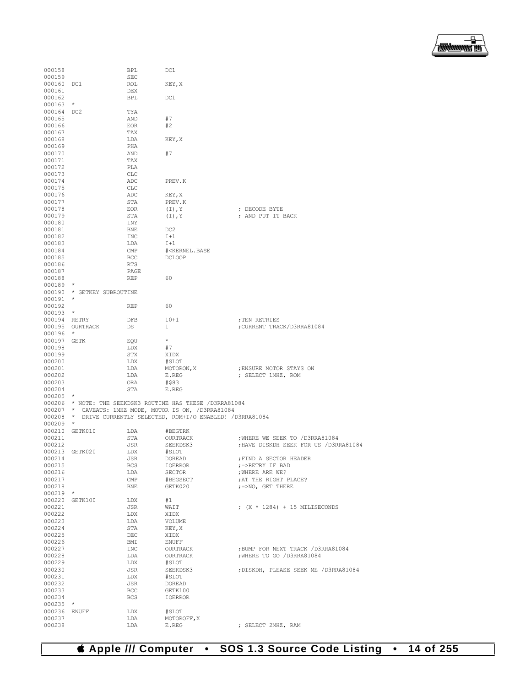

| 000158       |                            | BPL          | DC1                                                              |                                        |
|--------------|----------------------------|--------------|------------------------------------------------------------------|----------------------------------------|
| 000159       |                            | <b>SEC</b>   |                                                                  |                                        |
| 000160 DC1   |                            | ROL          | KEY, X                                                           |                                        |
| 000161       |                            | DEX          |                                                                  |                                        |
| 000162       |                            | BPL          | DC1                                                              |                                        |
| 000163       | $\star$                    |              |                                                                  |                                        |
| 000164 DC2   |                            | TYA          |                                                                  |                                        |
| 000165       |                            | AND          | #7                                                               |                                        |
| 000166       |                            | <b>EOR</b>   | #2                                                               |                                        |
|              |                            |              |                                                                  |                                        |
| 000167       |                            | TAX          |                                                                  |                                        |
| 000168       |                            | LDA          | KEY, X                                                           |                                        |
| 000169       |                            | PHA          |                                                                  |                                        |
| 000170       |                            | AND          | #7                                                               |                                        |
| 000171       |                            | TAX          |                                                                  |                                        |
| 000172       |                            | PLA          |                                                                  |                                        |
| 000173       |                            | CLC          |                                                                  |                                        |
| 000174       |                            | ADC          | PREV.K                                                           |                                        |
| 000175       |                            | $_{\rm CLC}$ |                                                                  |                                        |
| 000176       |                            | ADC          | KEY, X                                                           |                                        |
| 000177       |                            | STA          | PREV.K                                                           |                                        |
| 000178       |                            | EOR          | $(I)$ , Y                                                        | ; DECODE BYTE                          |
| 000179       |                            | STA          | $(I)$ , Y                                                        | ; AND PUT IT BACK                      |
|              |                            |              |                                                                  |                                        |
| 000180       |                            | INY          |                                                                  |                                        |
| 000181       |                            | BNE          | DC <sub>2</sub>                                                  |                                        |
| 000182       |                            | INC          | $I+1$                                                            |                                        |
| 000183       |                            | LDA          | $I+1$                                                            |                                        |
| 000184       |                            | CMP          | # <kernel.base< td=""><td></td></kernel.base<>                   |                                        |
| 000185       |                            | BCC          | <b>DCLOOP</b>                                                    |                                        |
| 000186       |                            | RTS          |                                                                  |                                        |
| 000187       |                            | PAGE         |                                                                  |                                        |
| 000188       |                            | REP          | 60                                                               |                                        |
| $000189$ *   |                            |              |                                                                  |                                        |
|              | 000190 * GETKEY SUBROUTINE |              |                                                                  |                                        |
| $000191$ *   |                            |              |                                                                  |                                        |
| 000192       |                            |              | 60                                                               |                                        |
|              |                            | REP          |                                                                  |                                        |
| $000193$ *   |                            |              |                                                                  |                                        |
| 000194 RETRY |                            | DFB          | $10 + 1$                                                         | ; TEN RETRIES                          |
|              | 000195 OURTRACK            | DS           | 1                                                                | CURRENT TRACK/D3RRA81084;              |
| $000196$ *   |                            |              |                                                                  |                                        |
| 000197 GETK  |                            | EQU          | $\star$                                                          |                                        |
| 000198       |                            | LDX          | #7                                                               |                                        |
| 000199       |                            | STX          | XIDX                                                             |                                        |
| 000200       |                            | LDX          | #SLOT                                                            |                                        |
| 000201       |                            | LDA          | MOTORON, X                                                       | ; ENSURE MOTOR STAYS ON                |
| 000202       |                            | LDA          | E.REG                                                            | ; SELECT 1MHZ, ROM                     |
| 000203       |                            | ORA          | #\$83                                                            |                                        |
| 000204       |                            | STA          | E.REG                                                            |                                        |
|              |                            |              |                                                                  |                                        |
| $000205$ *   |                            |              |                                                                  |                                        |
|              |                            |              | 000206 * NOTE: THE SEEKDSK3 ROUTINE HAS THESE / D3RRA81084       |                                        |
|              |                            |              | 000207 * CAVEATS: 1MHZ MODE, MOTOR IS ON, /D3RRA81084            |                                        |
|              |                            |              | 000208 * DRIVE CURRENTLY SELECTED, ROM+I/O ENABLED! / D3RRA81084 |                                        |
| $000209$ *   |                            |              |                                                                  |                                        |
|              | 000210 GETK010             | LDA          | #BEGTRK                                                          |                                        |
| 000211       |                            | STA          | OURTRACK                                                         | ; WHERE WE SEEK TO / D3RRA81084        |
| 000212       |                            | JSR          | SEEKDSK3                                                         | ; HAVE DISKDH SEEK FOR US / D3RRA81084 |
|              | 000213 GETK020             | LDX          | #SLOT                                                            |                                        |
| 000214       |                            | JSR          | DOREAD                                                           | ; FIND A SECTOR HEADER                 |
| 000215       |                            | <b>BCS</b>   | IOERROR                                                          | ;=>RETRY IF BAD                        |
| 000216       |                            | LDA          | SECTOR                                                           | ; WHERE ARE WE?                        |
| 000217       |                            | CMP          | #BEGSECT                                                         | ; AT THE RIGHT PLACE?                  |
|              |                            |              |                                                                  |                                        |
| 000218       |                            | <b>BNE</b>   | GETK020                                                          | ; =>NO, GET THERE                      |
| 000219       | $\star$                    |              |                                                                  |                                        |
|              | 000220 GETK100             | LDX          | #1                                                               |                                        |
| 000221       |                            | JSR          | WAIT                                                             | ; $(X * 1284) + 15$ MILISECONDS        |
| 000222       |                            | LDX          | XIDX                                                             |                                        |
| 000223       |                            | LDA          | VOLUME                                                           |                                        |
| 000224       |                            | STA          | KEY, X                                                           |                                        |
| 000225       |                            | DEC          | XIDX                                                             |                                        |
| 000226       |                            | BMI          | <b>ENUFF</b>                                                     |                                        |
| 000227       |                            | INC          | OURTRACK                                                         | ; BUMP FOR NEXT TRACK / D3RRA81084     |
| 000228       |                            | LDA          | OURTRACK                                                         | ; WHERE TO GO / D3RRA81084             |
| 000229       |                            | LDX          | #SLOT                                                            |                                        |
|              |                            |              |                                                                  |                                        |
| 000230       |                            | JSR          | SEEKDSK3                                                         | ; DISKDH, PLEASE SEEK ME / D3RRA81084  |
| 000231       |                            | LDX          | #SLOT                                                            |                                        |
| 000232       |                            | JSR          | DOREAD                                                           |                                        |
| 000233       |                            | BCC          | GETK100                                                          |                                        |
| 000234       |                            | <b>BCS</b>   | IOERROR                                                          |                                        |
| 000235       | $\ast$                     |              |                                                                  |                                        |
| 000236       | ENUFF                      | LDX          | #SLOT                                                            |                                        |
| 000237       |                            | LDA          | MOTOROFF, X                                                      |                                        |
| 000238       |                            | LDA          | E.REG                                                            | ; SELECT 2MHZ, RAM                     |
|              |                            |              |                                                                  |                                        |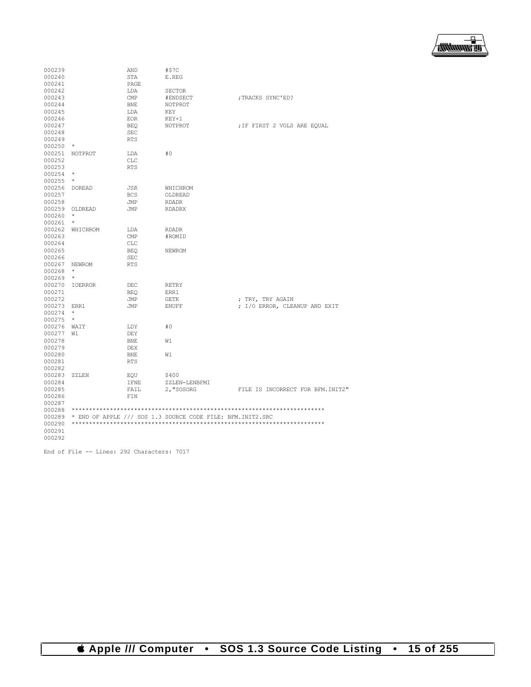

| 000239<br>000240<br>000241                                         |                               | AND<br><b>STA</b><br>PAGE                              | #STC<br>E.REG                                              |                                   |
|--------------------------------------------------------------------|-------------------------------|--------------------------------------------------------|------------------------------------------------------------|-----------------------------------|
| 000242<br>000243<br>000244<br>000245<br>000246                     |                               | LDA<br>$\text{CMP}$<br><b>BNE</b><br>LDA<br><b>EOR</b> | <b>SECTOR</b><br>#ENDSECT<br>NOTPROT<br>KEY<br>$KEY+1$     | ; TRACKS SYNC'ED?                 |
| 000247<br>000248<br>000249<br>000250                               | *                             | BEO<br><b>SEC</b><br><b>RTS</b>                        | NOTPROT                                                    | ; IF FIRST 2 VOLS ARE EQUAL       |
| 000251<br>000252<br>000253<br>000254<br>000255                     | NOTPROT<br>$\star$<br>$\star$ | LDA<br><b>CLC</b><br><b>RTS</b>                        | #0                                                         |                                   |
| 000256<br>000257<br>000258                                         | <b>DOREAD</b>                 | <b>JSR</b><br><b>BCS</b><br>JMP                        | WHICHROM<br>OLDREAD<br><b>RDADR</b>                        |                                   |
| 000259<br>000260<br>000261                                         | OLDREAD<br>$\star$<br>$\star$ | JMP                                                    | <b>RDADRX</b>                                              |                                   |
| 000262<br>000263<br>000264<br>000265<br>000266                     | WHICHROM                      | LDA<br>CMP<br><b>CLC</b><br><b>BEO</b>                 | <b>RDADR</b><br>#ROMID<br>NEWROM                           |                                   |
| 000267<br>000268<br>000269                                         | NEWROM<br>$\star$<br>$\star$  | SEC<br><b>RTS</b>                                      |                                                            |                                   |
| 000270<br>000271<br>000272                                         | <b>IOERROR</b>                | DEC<br><b>BEQ</b><br>JMP                               | <b>RETRY</b><br>ERR1<br><b>GETK</b>                        | ; TRY, TRY AGAIN                  |
| 000273<br>000274<br>000275                                         | ERR1<br>$^{\star}$<br>$\star$ | JMP                                                    | <b>ENUFF</b>                                               | ; I/O ERROR, CLEANUP AND EXIT     |
| 000276<br>000277<br>000278<br>000279<br>000280<br>000281<br>000282 | WAIT<br>W1                    | LDY<br>DEY<br><b>BNE</b><br>DEX<br><b>BNE</b><br>RTS   | #0<br>W1<br>W1                                             |                                   |
| 000283<br>000284<br>000285<br>000286<br>000287                     | ZZLEN                         | EQU<br><b>IFNE</b><br>FAIL<br>FIN                      | \$400<br>ZZLEN-LENBFMI<br>2, "SOSORG                       | FILE IS INCORRECT FOR BFM. INIT2" |
| 000288<br>000289<br>000290<br>000291<br>000292                     |                               |                                                        | * END OF APPLE /// SOS 1.3 SOURCE CODE FILE: BFM.INIT2.SRC |                                   |

End of File -- Lines: 292 Characters: 7017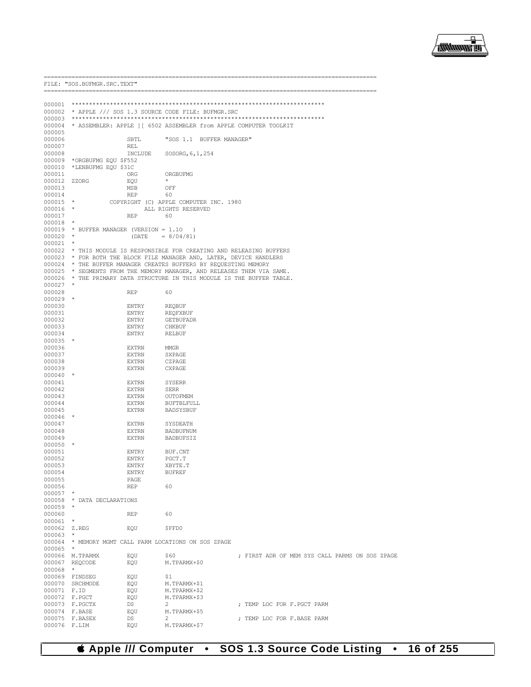

-------------------------

|                      | FILE: "SOS.BUFMGR.SRC.TEXT              |                       |                                                                                                                                                |                                                |
|----------------------|-----------------------------------------|-----------------------|------------------------------------------------------------------------------------------------------------------------------------------------|------------------------------------------------|
|                      |                                         |                       |                                                                                                                                                |                                                |
|                      |                                         |                       |                                                                                                                                                |                                                |
|                      |                                         |                       | 000002 * APPLE /// SOS 1.3 SOURCE CODE FILE: BUFMGR.SRC                                                                                        |                                                |
| 000003               |                                         |                       |                                                                                                                                                |                                                |
| 000004<br>000005     |                                         |                       | * ASSEMBLER: APPLE ] [ 6502 ASSEMBLER from APPLE COMPUTER TOOLKIT                                                                              |                                                |
| 000006               |                                         | SBTL                  | "SOS 1.1 BUFFER MANAGER"                                                                                                                       |                                                |
| 000007               |                                         | REL                   |                                                                                                                                                |                                                |
| 000008               |                                         | INCLUDE               | SOSORG, 6, 1, 254                                                                                                                              |                                                |
| 000009               | *ORGBUFMG EQU \$F552                    |                       |                                                                                                                                                |                                                |
| 000010<br>000011     | *LENBUFMG EQU \$31C                     | ORG                   | ORGBUFMG                                                                                                                                       |                                                |
| 000012 ZZORG         |                                         | EQU                   |                                                                                                                                                |                                                |
| 000013               |                                         | MSB                   | OFF                                                                                                                                            |                                                |
| 000014               |                                         | REP                   | 60                                                                                                                                             |                                                |
| $000015$ *           |                                         |                       | COPYRIGHT (C) APPLE COMPUTER INC. 1980                                                                                                         |                                                |
| 000016<br>000017     | $\star$                                 | REP                   | ALL RIGHTS RESERVED<br>60                                                                                                                      |                                                |
| 000018               | $\star$                                 |                       |                                                                                                                                                |                                                |
|                      | 000019 * BUFFER MANAGER (VERSION = 1.10 |                       | $\rightarrow$                                                                                                                                  |                                                |
| $000020$ *           |                                         | (DATE)                | $= 8/04/81$                                                                                                                                    |                                                |
| $000021$ *           |                                         |                       |                                                                                                                                                |                                                |
|                      |                                         |                       | 000022 * THIS MODULE IS RESPONSIBLE FOR CREATING AND RELEASING BUFFERS<br>000023 * FOR BOTH THE BLOCK FILE MANAGER AND, LATER, DEVICE HANDLERS |                                                |
|                      |                                         |                       | 000024 * THE BUFFER MANAGER CREATES BUFFERS BY REQUESTING MEMORY                                                                               |                                                |
|                      |                                         |                       | 000025 * SEGMENTS FROM THE MEMORY MANAGER, AND RELEASES THEM VIA SAME.                                                                         |                                                |
|                      |                                         |                       | 000026 * THE PRIMARY DATA STRUCTURE IN THIS MODULE IS THE BUFFER TABLE.                                                                        |                                                |
| $000027$ *           |                                         |                       |                                                                                                                                                |                                                |
| 000028<br>$000029$ * |                                         | REP                   | 60                                                                                                                                             |                                                |
| 000030               |                                         | ENTRY                 | <b>REOBUF</b>                                                                                                                                  |                                                |
| 000031               |                                         | ENTRY                 | REQFXBUF                                                                                                                                       |                                                |
| 000032               |                                         | ENTRY                 | <b>GETBUFADR</b>                                                                                                                               |                                                |
| 000033               |                                         | ENTRY                 | CHKBUF                                                                                                                                         |                                                |
| 000034<br>$000035$ * |                                         | ENTRY                 | RELBUF                                                                                                                                         |                                                |
| 000036               |                                         | EXTRN                 | <b>MMGR</b>                                                                                                                                    |                                                |
| 000037               |                                         | EXTRN                 | SXPAGE                                                                                                                                         |                                                |
| 000038               |                                         | EXTRN                 | CZPAGE                                                                                                                                         |                                                |
| 000039               |                                         | EXTRN                 | CXPAGE                                                                                                                                         |                                                |
| 000040<br>000041     | *                                       | EXTRN                 | SYSERR                                                                                                                                         |                                                |
| 000042               |                                         | EXTRN                 | SERR                                                                                                                                           |                                                |
| 000043               |                                         | EXTRN                 | OUTOFMEM                                                                                                                                       |                                                |
| 000044               |                                         | <b>EXTRN</b>          | <b>BUFTBLFULL</b>                                                                                                                              |                                                |
| 000045               | $\star$                                 | EXTRN                 | BADSYSBUF                                                                                                                                      |                                                |
| 000046<br>000047     |                                         | <b>EXTRN</b>          | SYSDEATH                                                                                                                                       |                                                |
| 000048               |                                         | EXTRN                 | BADBUFNUM                                                                                                                                      |                                                |
| 000049               |                                         | EXTRN                 | BADBUFSIZ                                                                                                                                      |                                                |
| 000050               | $\star$                                 |                       |                                                                                                                                                |                                                |
| 000051               |                                         | ENTRY                 | BUF.CNT                                                                                                                                        |                                                |
| 000052<br>000053     |                                         | ENTRY<br><b>ENTRY</b> | PGCT.T<br>XBYTE.T                                                                                                                              |                                                |
| 000054               |                                         | ENTRY                 | <b>BUFREF</b>                                                                                                                                  |                                                |
| 000055               |                                         | PAGE                  |                                                                                                                                                |                                                |
| 000056               |                                         | <b>REP</b>            | 60                                                                                                                                             |                                                |
| $000057$ *           | 000058 * DATA DECLARATIONS              |                       |                                                                                                                                                |                                                |
| $000059$ *           |                                         |                       |                                                                                                                                                |                                                |
| 000060               |                                         | <b>REP</b>            | 60                                                                                                                                             |                                                |
| 000061               | $\star$                                 |                       |                                                                                                                                                |                                                |
| 000062 Z.REG         |                                         | EOU                   | \$FFD0                                                                                                                                         |                                                |
| 000063               |                                         |                       | 000064 * MEMORY MGMT CALL PARM LOCATIONS ON SOS ZPAGE                                                                                          |                                                |
| 000065               | $\star$                                 |                       |                                                                                                                                                |                                                |
|                      | 000066 M.TPARMX                         | EQU                   | \$60                                                                                                                                           | ; FIRST ADR OF MEM SYS CALL PARMS ON SOS ZPAGE |
|                      | 000067 REQCODE                          | EQU                   | M.TPARMX+\$0                                                                                                                                   |                                                |
| 000068 *             |                                         |                       |                                                                                                                                                |                                                |
|                      | 000069 FINDSEG<br>000070 SRCHMODE       | EQU                   | \$1                                                                                                                                            |                                                |
| 000071 F.ID          |                                         | EQU<br>EQU            | M.TPARMX+\$1<br>M.TPARMX+\$2                                                                                                                   |                                                |
|                      | 000072 F.PGCT                           | EQU                   | M.TPARMX+\$3                                                                                                                                   |                                                |
|                      | 000073 F.PGCTX                          | DS                    | $\overline{2}$                                                                                                                                 | ; TEMP LOC FOR F.PGCT PARM                     |
| 000074 F.BASE        |                                         | EQU                   | M.TPARMX+\$5                                                                                                                                   |                                                |
| 000076 F.LIM         | 000075 F.BASEX                          | DS                    | 2<br>M.TPARMX+\$7                                                                                                                              | ; TEMP LOC FOR F.BASE PARM                     |
|                      |                                         | EQU                   |                                                                                                                                                |                                                |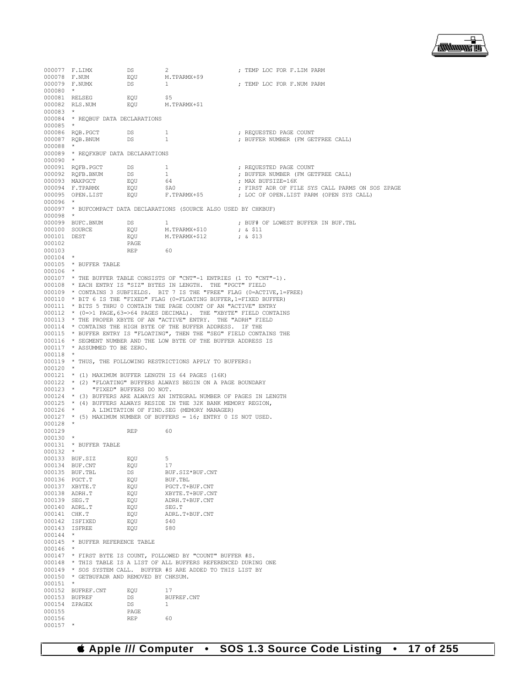모 **睡睡睡眠** 

000077 F.LIMX DS 2<br>000078 F.NUM ROU M.TPARMX+\$9 **; TEMP** LOC FOR F.LIM PARM 000078 F.NUM EQU M.<br>000079 F.NUMX DS 1 : TEMP LOC FOR F.NUM PARM 000080 \* 000081 RELSEG EQU \$5 000082 RLS.NUM 000083 \* 000084 \* REQBUF DATA DECLARATIONS 000085 \*<br>000086 RQB.PGCT 000086 RQB.PGCT DS 1 ; REQUESTED PAGE COUNT ; BUFFER NUMBER (FM GETFREE CALL) 000088 \* 000089 \* REQFXBUF DATA DECLARATIONS 000090 \*<br>000091 RQFB.PGCT % 000091 RQFB.PGCT DS 1 <br>000092 RQFB.BNUM DS 1 7 FEQUESTED PAGE COUNT 000092 RQFB.BNUM DS 1 ; BUFFER NUMBER (FM GETFREE CALL)  $000093$  MAXPGCT  $EQU$  64<br> $000094$  F.TPARMX  $EQU$  \$A0 000094 F.TPARMX EQU \$A0 ; FIRST ADR OF FILE SYS CALL PARMS ON SOS ZPAGE ; LOC OF OPEN.LIST PARM (OPEN SYS CALL) 000096 000097 \* BUFCOMPACT DATA DECLARATIONS (SOURCE ALSO USED BY CHKBUF) 000098 \*<br>000099 BUFC.BNUM 000099 BUFC.BNUM DS 1  $\mu$ , FUF# OF LOWEST BUFFER IN BUF.TBL 000100 SOURCE EQU M.TPARMX+\$10  $\mu$  & \$11 000100 SOURCE **EQU** M.TPARMX+\$10 **;** & \$11 000101 DEST EQU M.TPARMX+\$12 ; & \$13 000102 PAGE<br>000103 REP 000103 REP 60  $000104$  \* 000105 \* BUFFER TABLE 000106 \* 000107 \* THE BUFFER TABLE CONSISTS OF "CNT"-1 ENTRIES (1 TO "CNT"-1). 000108 \* EACH ENTRY IS "SIZ" BYTES IN LENGTH. THE "PGCT" FIELD 000109 \* CONTAINS 3 SUBFIELDS. BIT 7 IS THE "FREE" FLAG (0=ACTIVE,1=FREE) 000110 \* BIT 6 IS THE "FIXED" FLAG (0=FLOATING BUFFER,1=FIXED BUFFER) 000111 \* BITS 5 THRU 0 CONTAIN THE PAGE COUNT OF AN "ACTIVE" ENTRY 000112 \*  $(0=)1$  PAGE, 63=>64 PAGES DECIMAL). THE "XBYTE" FIELD CONTAINS 000113 \* THE PROPER XBYTE OF AN "ACTIVE" ENTRY. THE "ADRH" FIELD 000114 \* CONTAINS THE HIGH BYTE OF THE BUFFER ADDRESS. IF THE 000115 \* BUFFER ENTRY IS "FLOATING", THEN THE "SEG" FIELD CONTAINS THE 000116  $*$  SEGMENT NUMBER AND THE LOW BYTE OF THE BUFFER ADDRESS IS 000117  $*$  assummed to be zero. \* ASSUMMED TO BE ZERO. 000118 \* 000119 \* THUS, THE FOLLOWING RESTRICTIONS APPLY TO BUFFERS:  $000120$  \* 000121 \* (1) MAXIMUM BUFFER LENGTH IS 64 PAGES (16K) 000122 \* (2) "FLOATING" BUFFERS ALWAYS BEGIN ON A PAGE BOUNDARY 000123 \* "FIXED" BUFFERS DO NOT. "FIXED" BUFFERS DO NOT. 000124  $\star$  (3) BUFFERS ARE ALWAYS AN INTEGRAL NUMBER OF PAGES IN LENGTH 000125  $\star$  (4) BUFFERS ALWAYS RESIDE IN THE 32K BANK MEMORY REGION, 000125  $*$  (4) BUFFERS ALWAYS RESIDE IN THE 32K BANK MEMORY REGION, 000126  $*$  A LIMITATION OF FIND. SEG (MEMORY MANAGER) A LIMITATION OF FIND. SEG (MEMORY MANAGER) 000127 \* (5) MAXIMUM NUMBER OF BUFFERS = 16; ENTRY 0 IS NOT USED. 000128 \* 000129 REP 60 000130 \* 000131 \* BUFFER TABLE  $000132$  \* 000133 BUF.SIZ EQU 5<br>000134 BUF.CNT ROU 17 000134 BUF.CNT EQU<br>000135 BUF.TBL DS DS BUF.SIZ\*BUF.CNT<br>EOU BUF.TBL 000136 PGCT.T EQU BUF.TBL 000137 XBYTE.T EQU<br>000138 ADRH.T F.CU 000138 ADRH.T EQU XBYTE.T+BUF.CNT 000139 SEG.T EQU ADRH.T+BUF.CNT 000140 ADRL.T EQU SEG.T EQU ADRL.T+BUF.CNT<br>EQU \$40 000142 ISFIXED EQU \$40<br>000143 ISFREE EQU \$80 000143 **ISFREE** 000144 000145 \* BUFFER REFERENCE TABLE 000146 000147 \* FIRST BYTE IS COUNT, FOLLOWED BY "COUNT" BUFFER #S. 000148 \* THIS TABLE IS A LIST OF ALL BUFFERS REFERENCED DURING ONE 000149 \* SOS SYSTEM CALL. BUFFER #S ARE ADDED TO THIS LIST BY 000150 \* GETBUFADR AND REMOVED BY CHKSUM. 000151 \* 000152 BUFREF.CNT EQU 17<br>000153 BUFREF DS BUFREF.CNT 000153 BUFREF DS BUS<br>000154 ZPAGEX DS 1 000154 ZPAGEX DS<br>000155 PAGE 000155 PAGE<br>000156 REP 000156 REP 60 000157 \*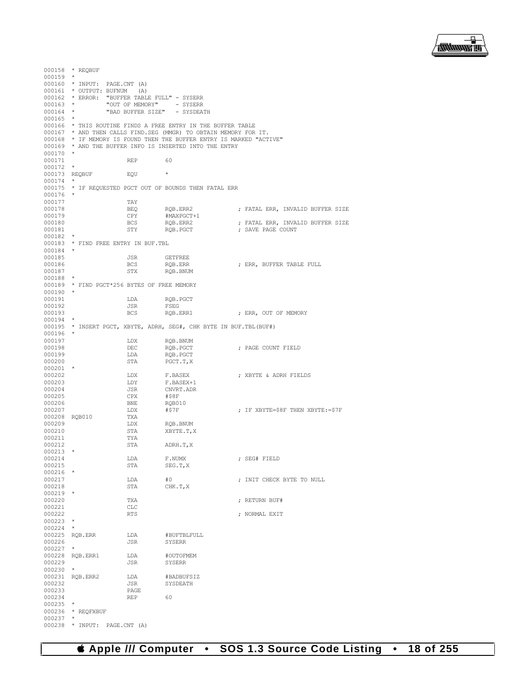

```
000158 * REQBUF
000159 *
000160 * INPUT: PAGE.CNT (A)
000161 * OUTPUT: BUFNUM (A)
000162 * ERROR: "BUFFER TABLE FULL" - SYSERR 000163 * "OUT OF MEMORY" - SYSERR
000163 * "OUT OF MEMORY"<br>000164 * "BAD BUFFER SIZE"
       * "BAD BUFFER SIZE" - SYSDEATH
000165 *
000166 \star THIS ROUTINE FINDS A FREE ENTRY IN THE BUFFER TABLE 000167 \star AND THEN CALLS FIND.SEG (MMGR) TO OBTAIN MEMORY FOR
       * AND THEN CALLS FIND.SEG (MMGR) TO OBTAIN MEMORY FOR IT.
000168 \star IF MEMORY IS FOUND THEN THE BUFFER ENTRY IS MARKED "ACTIVE" 000169 \star AND THE BUFFER INFO IS INSERTED INTO THE ENTRY
      * AND THE BUFFER INFO IS INSERTED INTO THE ENTRY
000170 *
000171 REP 60
000172<br>000173
      REQBUF EQU *
000174<br>000175
       * IF REQUESTED PGCT OUT OF BOUNDS THEN FATAL ERR
000176
000177 TAY<br>000178 BEQ
000178 BEQ RQB.ERR2 ; FATAL ERR, INVALID BUFFER SIZE
000179 CPY #MAXPGCT+1
000180 BCS RQB.ERR2 ; FATAL ERR, INVALID BUFFER SIZE
                                                    ; SAVE PAGE COUNT
000182 *
000183 * FIND FREE ENTRY IN BUF.TBL
000184<br>000185
000185 JSR GETFREE
000186 BCS RQB.ERR ; ERR, BUFFER TABLE FULL
                                ROB. BNUM
000188 *
000189 * FIND PGCT*256 BYTES OF FREE MEMORY
000190<br>000191
000191 LDA RQB.PGCT<br>000192 JSR FSEG
000192 JSR FSEG
000193 BCS RQB.ERR1 ; ERR, OUT OF MEMORY
000194
000195 * INSERT PGCT, XBYTE, ADRH, SEG#, CHK BYTE IN BUF.TBL(BUF#)
000196 *<br>000197
000197 LDX RQB.BNUM 000198 DEC RQB.PGCT
000198 DEC RQB.PGCT ; PAGE COUNT FIELD
000199 LDA RQB.PGCT<br>000200 STA PGCT.T,X
                                PGCT.T,X
000201 *<br>000202000202 LDX F.BASEX ; XBYTE & ADRH FIELDS
\begin{array}{cccc}\n 000203 & & & \text{LDY} & & \text{F.BASEX+1} \\
 000204 & & & \text{JSR} & & \text{CNVRT.ADR}\n \end{array}JSR CNVRT.ADR<br>CPX #$8F
000205 CPX #$8F
000206 BNE RQB010<br>000207 LDX #$7F
000207 LDX #$7F ; IF XBYTE=$8F THEN XBYTE:=$7F
000208 RQB010 TXA<br>000209 LDX
000209 LDX RQB.BNUM 000210 STA XBYTE.T,
                      STA XBYTE.T, X<br>TYA
000211 TYA<br>000212 STA
                                ADRH.T, X
000213<br>000214
000214 LDA F.NUMX ; SEG# FIELD
                                SEG.T.X
000216<br>000217
000217 LDA #0 ; INIT CHECK BYTE TO NULL
                                CHK.T.X
000219<br>000220
                      TXA \cdot RETURN BUF#
000221 CLC<br>000222 RTS
                                                    . NORMAL EXIT
000223 *
000224 *<br>000225 ROB. ERR
000225 RQB.ERR LDA #BUFTBLFULL 000226
                                SYSERR
000227 *
000228 RQB.ERR1 LDA #OUTOFMEM
                                SYSERR
000230 *
000231 RQB.ERR2 LDA #BADBUFSIZ
000232 JSR JSR SHOP
000233 PAGE<br>000234 REP
000234 REP 60
000235<br>000236
       * REQFXBUF
000237<br>000238
      * INPUT: PAGE.CNT (A)
```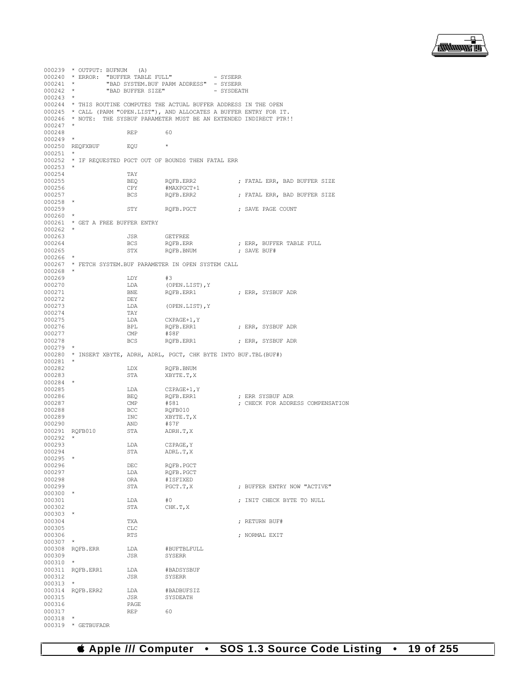

|                      | $000239$ * OUTPUT: BUFNUM (A)       |                            |                                                                        |            |                                         |
|----------------------|-------------------------------------|----------------------------|------------------------------------------------------------------------|------------|-----------------------------------------|
| $000241$ *           | 000240 * ERROR: "BUFFER TABLE FULL" |                            |                                                                        | - SYSERR   |                                         |
| $000242$ *           |                                     | "BAD BUFFER SIZE"          | "BAD SYSTEM.BUF PARM ADDRESS" - SYSERR                                 | - SYSDEATH |                                         |
| $000243$ *           |                                     |                            |                                                                        |            |                                         |
|                      |                                     |                            | 000244 * THIS ROUTINE COMPUTES THE ACTUAL BUFFER ADDRESS IN THE OPEN   |            |                                         |
|                      |                                     |                            | 000245 * CALL (PARM "OPEN.LIST"), AND ALLOCATES A BUFFER ENTRY FOR IT. |            |                                         |
|                      |                                     |                            | 000246 * NOTE: THE SYSBUF PARAMETER MUST BE AN EXTENDED INDIRECT PTR!! |            |                                         |
| $000247$ *<br>000248 |                                     | REP                        | 60                                                                     |            |                                         |
| $000249$ *           |                                     |                            |                                                                        |            |                                         |
|                      | 000250 REQFXBUF EQU                 | $\sim$ 100 $\pm$ 100 $\pm$ |                                                                        |            |                                         |
| $000251$ *           |                                     |                            |                                                                        |            |                                         |
|                      |                                     |                            | 000252 * IF REQUESTED PGCT OUT OF BOUNDS THEN FATAL ERR                |            |                                         |
| $000253$ *<br>000254 |                                     | TAY                        |                                                                        |            |                                         |
| 000255               |                                     | BEO                        | RQFB.ERR2                                                              |            | ; FATAL ERR, BAD BUFFER SIZE            |
| 000256               |                                     | CPY                        | #MAXPGCT+1                                                             |            |                                         |
| 000257               |                                     | BCS                        | RQFB.ERR2                                                              |            | ; FATAL ERR, BAD BUFFER SIZE            |
| $000258$ *<br>000259 |                                     | STY                        | RQFB.PGCT ( ) ; SAVE PAGE COUNT                                        |            |                                         |
| $000260$ *           |                                     |                            |                                                                        |            |                                         |
|                      | 000261 * GET A FREE BUFFER ENTRY    |                            |                                                                        |            |                                         |
| $000262$ *           |                                     |                            |                                                                        |            |                                         |
| 000263<br>000264     |                                     | JSR                        | <b>GETFREE</b>                                                         |            |                                         |
| 000265               |                                     | BCS<br>STX                 | RQFB.ERR<br>RQFB.BNUM                                                  |            | ; ERR, BUFFER TABLE FULL<br>; SAVE BUF# |
| $000266$ *           |                                     |                            |                                                                        |            |                                         |
|                      |                                     |                            | 000267 * FETCH SYSTEM. BUF PARAMETER IN OPEN SYSTEM CALL               |            |                                         |
| $000268$ *           |                                     |                            |                                                                        |            |                                         |
| 000269<br>000270     |                                     | LDY<br>LDA                 | #3<br>(OPEN.LIST), Y                                                   |            |                                         |
| 000271               |                                     | BNE                        | ROFB.ERR1                                                              |            | ; ERR, SYSBUF ADR                       |
| 000272               |                                     | DEY                        |                                                                        |            |                                         |
| 000273               |                                     | LDA                        | (OPEN.LIST), Y                                                         |            |                                         |
| 000274<br>000275     |                                     | TAY<br>LDA                 |                                                                        |            |                                         |
| 000276               |                                     | BPL                        | CXPAGE+1, Y<br>RQFB.ERR1                                               |            | ; ERR, SYSBUF ADR                       |
| 000277               |                                     | $\mathop{\mathrm{CMP}}$    | #\$8F                                                                  |            |                                         |
| 000278               |                                     | <b>BCS</b>                 | RQFB.ERR1                                                              |            | ; ERR, SYSBUF ADR                       |
| $000279$ *           |                                     |                            |                                                                        |            |                                         |
| 000281               |                                     |                            | 000280 * INSERT XBYTE, ADRH, ADRL, PGCT, CHK BYTE INTO BUF. TBL (BUF#) |            |                                         |
| 000282               |                                     | LDX                        | RQFB.BNUM                                                              |            |                                         |
| 000283               |                                     | STA                        | XBYTE.T,X                                                              |            |                                         |
| $000284$ *           |                                     |                            |                                                                        |            |                                         |
| 000285<br>000286     |                                     | LDA<br>BEQ                 | CZPAGE+1,Y<br>RQFB.ERR1                                                |            | ; ERR SYSBUF ADR                        |
| 000287               |                                     | $\mathsf{CMP}$             | #\$81                                                                  |            | ; CHECK FOR ADDRESS COMPENSATION        |
| 000288               |                                     | BCC                        | RQFB010                                                                |            |                                         |
| 000289               |                                     | INC                        | XBYTE.T,X                                                              |            |                                         |
| 000290               |                                     | AND                        | #\$7F                                                                  |            |                                         |
| $000292$ *           | 000291 RQFB010                      | STA                        | ADRH.T,X                                                               |            |                                         |
| 000293               |                                     | LDA                        | CZPAGE, Y                                                              |            |                                         |
| 000294               |                                     | STA                        | ADRL.T, X                                                              |            |                                         |
| 000295               |                                     |                            |                                                                        |            |                                         |
| 000296<br>000297     |                                     | DEC<br>LDA                 | ROFB.PGCT<br>RQFB.PGCT                                                 |            |                                         |
| 000298               |                                     | ORA                        | #ISFIXED                                                               |            |                                         |
| 000299               |                                     | STA                        | PGCT.T,X                                                               |            | ; BUFFER ENTRY NOW "ACTIVE"             |
| $000300$ *           |                                     |                            |                                                                        |            |                                         |
| 000301<br>000302     |                                     | LDA<br>STA                 | #0<br>CHK.T, X                                                         |            | ; INIT CHECK BYTE TO NULL               |
| 000303               | $\star$                             |                            |                                                                        |            |                                         |
| 000304               |                                     | TXA                        |                                                                        |            | : RETURN BUF#                           |
| 000305               |                                     | CLC                        |                                                                        |            |                                         |
| 000306               |                                     | RTS                        |                                                                        |            | ; NORMAL EXIT                           |
| 000307               | 000308 RQFB.ERR                     | LDA                        | #BUFTBLFULL                                                            |            |                                         |
| 000309               |                                     | JSR                        | SYSERR                                                                 |            |                                         |
| 000310               | $\star$                             |                            |                                                                        |            |                                         |
|                      | 000311 RQFB.ERR1                    | LDA                        | #BADSYSBUF                                                             |            |                                         |
| 000312<br>000313     | $\star$                             | JSR                        | SYSERR                                                                 |            |                                         |
|                      | 000314 RQFB.ERR2                    | LDA                        | #BADBUFSIZ                                                             |            |                                         |
| 000315               |                                     | JSR                        | SYSDEATH                                                               |            |                                         |
| 000316               |                                     | PAGE                       |                                                                        |            |                                         |
| 000317               |                                     | <b>REP</b>                 | 60                                                                     |            |                                         |
| 000318               | 000319 * GETBUFADR                  |                            |                                                                        |            |                                         |
|                      |                                     |                            |                                                                        |            |                                         |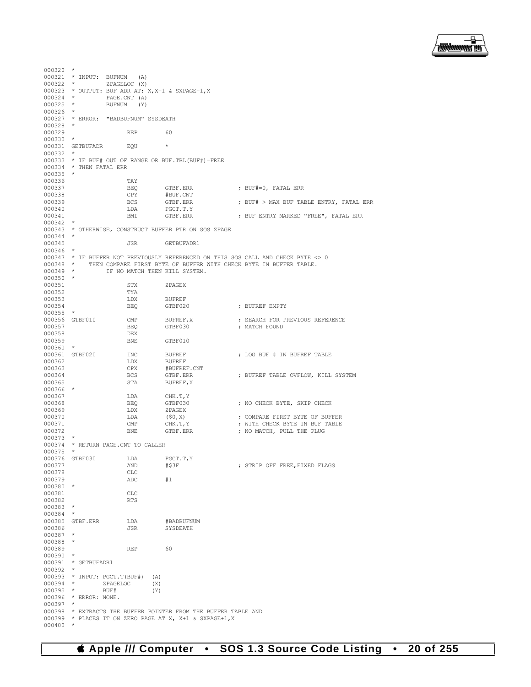

 $000320$  \*  $000321$  \* INPUT: BUFNUM (A)<br>000322 \* ZPAGELOC (X)  $000322$  \* ZPAGELOC (X)<br> $000323$  \* OUTPUT: BUF ADR AT: 000323 \* OUTPUT: BUF ADR AT: X, X+1 & SXPAGE+1, X 000324 \* PAGE.CNT (A)  $000324$  \* PAGE.CNT (A)<br> $000325$  \* RIFNIM (Y) BUFNUM (Y) 000326<br>000327 \* ERROR: "BADBUFNUM" SYSDEATH 000328 \* 000329 REP 60 000330 \* 000331 GETBUFADR EQU \* 000332<br>000333 000333 \* IF BUF# OUT OF RANGE OR BUF.TBL(BUF#)=FREE 000334 \* THEN FATAL ERR  $*$  THEN FATAL ERR 000335 \* 000336 TAY<br>000337 BEQ 000337 BEQ GTBF.ERR ; BUF#=0, FATAL ERR 000338 CPY #BUF.CNT<br>000339 BCS GTBF.ERR 000339 BCS GTBF.ERR ; BUF# > MAX BUF TABLE ENTRY, FATAL ERR 000340 LDA PGCT.T, Y<br>000341 BMI GTBF.ERR ; BUF ENTRY MARKED "FREE", FATAL ERR 000342 \* 000343 \* OTHERWISE, CONSTRUCT BUFFER PTR ON SOS ZPAGE  $000344$  \*<br>000345 JSR GETBUFADR1 000346 \* 000347 \* IF BUFFER NOT PREVIOUSLY REFERENCED ON THIS SOS CALL AND CHECK BYTE  $\lt$  > 0<br>000348 \* THEN COMPARE FIRST BYTE OF BUFFER WITH CHECK BYTE IN BUFFER TABLE. 000348 \* THEN COMPARE FIRST BYTE OF BUFFER WITH CHECK BYTE IN BUFFER TABLE. 000349 \* IF NO MATCH THEN KILL SYSTEM. IF NO MATCH THEN KILL SYSTEM. 000350<br>000351 000351 STX ZPAGEX 000352 TYA<br>000353 T.DX 000353 LDX BUFREF<br>000354 BEO GTBF020 : BUFREF EMPTY 000355 \*<br>000356 GTBF010 000356 GTBF010 CMP BUFREF, X ; SEARCH FOR PREVIOUS REFERENCE 000357 BEQ GTBF030 ; MATCH FOUND DEX 000358 DEX<br>000359 BNE GTBF010 000360 \*<br>000361 GTBF020 000361 GTBF020 INC BUFREF  $\,$  ; LOG BUF # IN BUFREF 000362  $\,$  LDX  $\,$  BUFREF  $\,$ 000362 LDX BUFREF<br>000363 CPX #BUFRE 000363 CPX #BUFREF.CNT 000364 BCS GTBF.ERR ; BUFREF TABLE OVFLOW, KILL SYSTEM BUFREF, X 000366<br>000367 000367 LDA CHK.T, Y<br>000368 BEQ GTBF030 000368 BEQ GTBF030 ; NO CHECK BYTE, SKIP CHECK  $000369$   $LDX$   $ZPAGEX$ <br> $000370$   $LDA$   $(50, X)$ 000370  $LDA$  (\$0,X) ; COMPARE FIRST BYTE OF BUFFER 000371 CMP CHK.T, Y ; WITH CHECK BYTE IN BUF TABLE 000371 CMP CHK.T, Y ; WITH CHECK BYTE IN BUF TABLE 000372 BNE GTBF.ERR ; NO MATCH, PULL THE PLUG ; NO MATCH, PULL THE PLUG 000373 \* 000374 \* RETURN PAGE.CNT TO CALLER 000375 \* 000376 GTBF030 LDA PGCT.T, Y<br>000377 AND #\$3F  ${\small \begin{array}{ll} \tt AND \end{array} \hspace{1.5cm} \centering \begin{array}{ll} \tt ATRIP \; OFF \; FREE, \tt FIXED \; FLAGS \end{array} }$   ${\small \begin{array}{ll} \tt CLC \end{array} }$ 000378 CLC<br>000379 ADC 000379 ADC #1 000380 \* 000381 CLC<br>000382 RTS 000382 000383 \* 000384 \* 000385 GTBF.ERR LDA #BADBUFNUM<br>000386 JSR SYSDEATH SYSDEATH 000387 000388 \* 000389 REP 60 000390 \* 000391 \* GETBUFADR1  $000392$  \*<br>000393 \* 000393 \* INPUT: PGCT.T(BUF#) (A)<br>000394 \* ZPAGELOC (X) ZPAGELOC (X)<br>BUF# (Y) 000395<br>000396 \* ERROR: NONE. 000397<br>000398 000398 \* EXTRACTS THE BUFFER POINTER FROM THE BUFFER TABLE AND 000399 \* PLACES IT ON ZERO PAGE AT X, X+1 & SXPAGE+1, X \* PLACES IT ON ZERO PAGE AT X, X+1 & SXPAGE+1, X + 000400 \*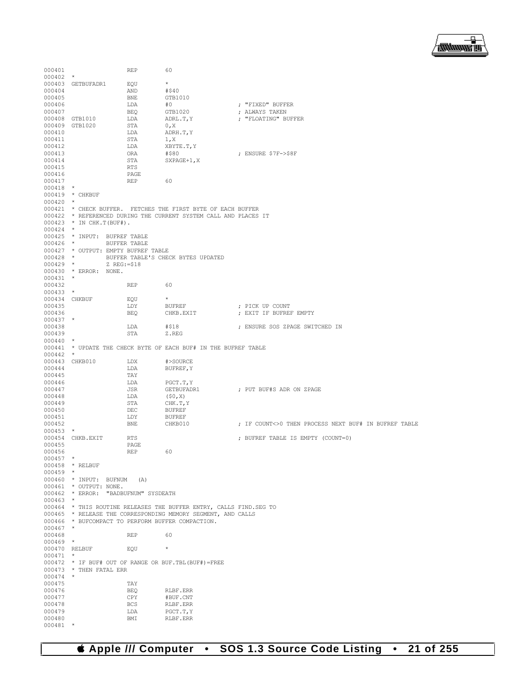

000401 REP 60 000402 \* 000403 GETBUFADR1 EQU  $\star$ <br>000404 AND #\$40 000404 AND<br>000405 BNF. 000405 BNE GTB1010<br>000406 LDA #0 000406 LDA #0 ; "FIXED" BUFFER 000407 BEQ GTB1020 ; ALWAYS TAKEN  $\begin{array}{lllll} \texttt{LDA} & \texttt{ADRL.T,Y} & \texttt{; "FLOATING" BUFFER} \\ \texttt{STA} & \texttt{0,X} & \texttt{.} \end{array}$ 000409 GTB1020 STA<br>000410 LDA LDA ADRH.T, Y<br>STA 1, X 000411 STA 1,DA 1,DA  $\begin{array}{lllllll} 000412 \qquad & \text{LDA} & \text{XBYTE.T,Y} \\ 000413 \qquad & \text{ORA} & \text{\#$$80} \end{array}$ 000413 ORA #\$80 ; ENSURE \$7F->\$8F STA SXPAGE+1, X<br>RTS 000415 RTS<br>000416 PAGE 000416 PAGE<br>000417 REP 000417 REP 60 000418<br>000419  $*$  CHKBUF 000420<br>000421 000421  $\star$  CHECK BUFFER. FETCHES THE FIRST BYTE OF EACH BUFFER<br>000422  $\star$  REFERENCED DURING THE CURRENT SYSTEM CALL AND PLACES 000422 \* REFERENCED DURING THE CURRENT SYSTEM CALL AND PLACES IT 000423 \* IN CHK.T(BUF#). \* IN CHK.T(BUF#).  $000424$  \* 000425 \* INPUT: BUFREF TABLE<br>000426 \* BUFFER TABLE BUFFER TABLE 000427  $\star$  OUTPUT: EMPTY BUFREF TABLE 000428  $\star$  BUFFER TABLE'S CHE 000428 \* BUFFER TABLE'S CHECK BYTES UPDATED<br>000429 \*  $Z \, \text{RFG} := 518$ 000429 \* Z REG:=\$18 000430 \* ERROR: NONE. 000431<br>000432 000432 REP 60  $000433$  \*  $000434$  CHKBUF  $EQU$   $\star$  EUN  $\star$  EUEREE 000435 LDY BUFREF ; PICK UP COUNT : EXIT IF BUFREF EMPTY  $000437$  \*<br>000438 000438 LDA #\$18 ; ENSURE SOS ZPAGE SWITCHED IN Z.REG 000440 \* 000441 \* UPDATE THE CHECK BYTE OF EACH BUF# IN THE BUFREF TABLE  $000442$  \* 000443 CHKB010 LDX #>SOURCE<br>000444 LDA BUFREF, Y LDA BUFREF, Y 000445 TAY<br>000446 LDA 000446 LDA PGCT.T, Y<br>000447 JSR GETBUFADR1 000447 JSR GETBUFADR1 ; PUT BUF#S ADR ON ZPAGE  $\begin{array}{cccc}\n 000448 & & & \text{LDA} & & \text{ }(\mathfrak{50},\mathbf{X})\\ \n 000449 & & & \text{STA} & & \text{CHK.T}\n \end{array}$ STA CHK.T, Y<br>DEC BUFREF 000450 DEC DEC DEC 000451 LDY BUFREF ; IF COUNT<>0 THEN PROCESS NEXT BUF# IN BUFREF TABLE 000453 \*<br>000454 CHKB.EXIT 000454 CHKB.EXIT RTS ; BUFREF TABLE IS EMPTY (COUNT=0) 000455 PAGE<br>000456 REP 000456 REP 60 000457<br>000458 \* RELBUF 000459 000460 \* INPUT: BUFNUM (A) 000461 \* OUTPUT: NONE. 000462 \* ERROR: "BADBUFNUM" SYSDEATH 000463 000464 \* THIS ROUTINE RELEASES THE BUFFER ENTRY, CALLS FIND.SEG TO 000465 \* RELEASE THE CORRESPONDING MEMORY SEGMENT, AND CALLS 000466 \* BUFCOMPACT TO PERFORM BUFFER COMPACTION.  $000467$  000468 000468 REP 60 000469 \* 000470 RELBUF EQU \* 000471 \* 000472 \* IF BUF# OUT OF RANGE OR BUF.TBL(BUF#)=FREE 000473 \* THEN FATAL ERR  $*$  THEN FATAL ERR 000474 000475 TAY<br>000476 BEQ 000476 BEQ RLBF.ERR<br>000477 CPY #BUF.CNT 000477 CPY #BUF.CNT 000478 BCS RLBF.ERR 000478 BCS RLBF.ERR 000479 LDA PGCT.T,Y RLBF.ERR 000481 \*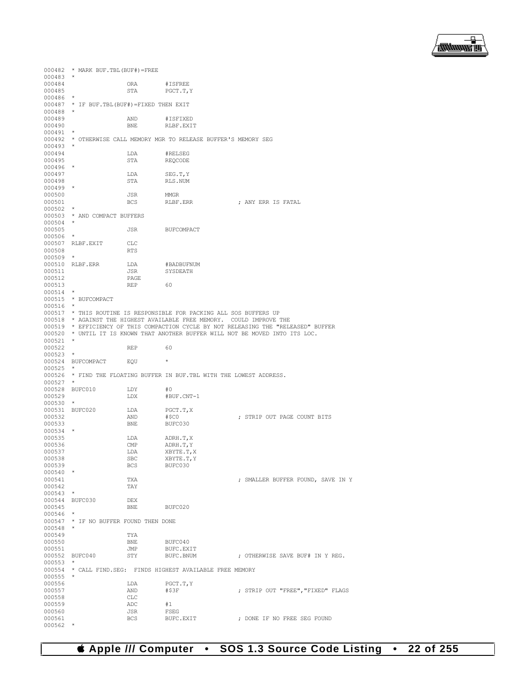

000482 \* MARK BUF.TBL(BUF#)=FREE 000483<br>000484 000484 ORA #ISFREE PGCT.T, Y 000486 \* 000487 \* IF BUF.TBL(BUF#)=FIXED THEN EXIT  $000488$  \* 000489 AND #ISFIXED RLBF.EXIT 000491<br>000492 \* OTHERWISE CALL MEMORY MGR TO RELEASE BUFFER'S MEMORY SEG 000493<br>000494 000494 LDA #RELSEG REQCODE  $000496$  \*<br>000497 000497 LDA SEG.T, Y<br>000498 STA RLS.NUM RLS.NUM 000499 \*  $\begin{array}{cccc} \texttt{JSR} & \texttt{MMGR} \\ \texttt{000501} & \texttt{BCS} & \texttt{RLBF. ERR} \end{array}$ ; ANY ERR IS FATAL 000502 \* 000503 \* AND COMPACT BUFFERS 000504<br>000505 JSR BUFCOMPACT 000506 000507 RLBF.EXIT CLC<br>000508 RTS 000508 000509 \* 000510 RLBF.ERR LDA #BADBUFNUM<br>000511 .TSR SYSDEATH SYSDEATH 000512 PAGE<br>000513 PEP 000513 REP 60  $000514$  \* 000515 \* BUFCOMPACT 000516 \* 000517 \* THIS ROUTINE IS RESPONSIBLE FOR PACKING ALL SOS BUFFERS UP 000518 \* AGAINST THE HIGHEST AVAILABLE FREE MEMORY. COULD IMPROVE THE 000519 \* EFFICIENCY OF THIS COMPACTION CYCLE BY NOT RELEASING THE "RELEASED" BUFFER 000520 \* UNTIL IT IS KNOWN THAT ANOTHER BUFFER WILL NOT BE MOVED INTO ITS LOC.  $000521$  \* 000522 REP 60 000523 \* 000524 BUFCOMPACT EQU \* 000525<br>000526 \* FIND THE FLOATING BUFFER IN BUF. TBL WITH THE LOWEST ADDRESS. 000527 \* 000528 BUFC010 LDY #0<br>000529 LDX #B 000529 LDX #BUF.CNT-1 000530 \* 000531 BUFC020 LDA PGCT.T, X<br>000532 AND #\$C0 000532 AND #\$C0 ; STRIP OUT PAGE COUNT BITS BUFC030 000534<br>000535 000535 LDA ADRH.T,X<br>000536 CMP ADRH.T,Y 000536 CMP ADRH.T, Y<br>000537 LDA XBYTE.T, Y 000537 LDA XBYTE.T, X 000538 SBC XBYTE.T, Y  $000538$  SBC  $XBYTE.T, Y$ <br>000539 BCS BUFC030 BUFC030 000540<br>000541 TXA **FOUND, SAVE IN YEARLER BUFFER FOUND, SAVE IN Y** 000542 TAY 000543 \* 000544 BUFC030 DEX 000545 BNE BUFC020  $000546$  \* 000547 \* IF NO BUFFER FOUND THEN DONE 000548 \* 000549 TYA<br>000550 BNE 000550 BNE BUFC040<br>000551 JMP BUFC.EX 000551 JMP BUFC.EXIT<br>000552 BUFC040 STY BUFC.BNUM ; OTHERWISE SAVE BUF# IN Y REG. 000553 \* 000554 \* CALL FIND.SEG: FINDS HIGHEST AVAILABLE FREE MEMORY 000555<br>000556 000556 LDA PGCT.T, Y <br/> 000557 AND #\$3F AND  $\#$ \$3F ; STRIP OUT "FREE", "FIXED" FLAGS CLC 000558 CLC<br>000559 ADC 000559 ADC #1 000560 JSR FSEG ; DONE IF NO FREE SEG FOUND 000562 \*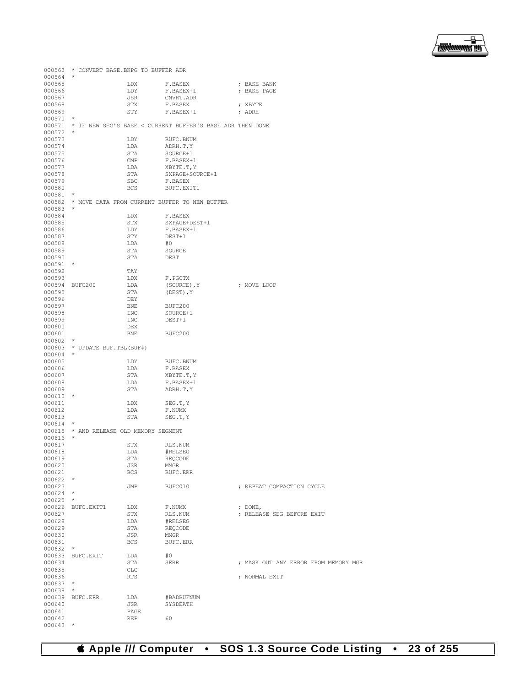

|                          | 000563 * CONVERT BASE. BKPG TO BUFFER ADR |             |                                                                  |                                      |
|--------------------------|-------------------------------------------|-------------|------------------------------------------------------------------|--------------------------------------|
| $000564$ *               |                                           |             |                                                                  |                                      |
| 000565                   |                                           | LDX         | F.BASEX                                                          | ; BASE BANK                          |
| 000566                   |                                           | LDY         | F.BASEX+1                                                        | ; BASE PAGE                          |
| 000567                   |                                           | JSR         | CNVRT.ADR                                                        |                                      |
| 000568                   |                                           | STX         | F.BASEX                                                          | ; XBYTE                              |
| 000569                   |                                           | STY         | F.BASEX+1                                                        | ; ADRH                               |
| $000570$ *<br>$000572$ * |                                           |             | 000571 * IF NEW SEG'S BASE < CURRENT BUFFER'S BASE ADR THEN DONE |                                      |
| 000573                   |                                           | LDY         | BUFC.BNUM                                                        |                                      |
| 000574                   |                                           | LDA         | ADRH.T, Y                                                        |                                      |
| 000575                   |                                           | STA         | SOURCE+1                                                         |                                      |
| 000576                   |                                           | CMP         | F.BASEX+1                                                        |                                      |
| 000577                   |                                           | LDA         | XBYTE.T, Y                                                       |                                      |
| 000578                   |                                           | STA         | SXPAGE+SOURCE+1                                                  |                                      |
| 000579                   |                                           | SBC         | F.BASEX                                                          |                                      |
| 000580                   |                                           | BCS         | BUFC.EXIT1                                                       |                                      |
| $000581$ *               |                                           |             |                                                                  |                                      |
| $000583$ *               |                                           |             | 000582 * MOVE DATA FROM CURRENT BUFFER TO NEW BUFFER             |                                      |
| 000584                   |                                           | LDX         | F.BASEX                                                          |                                      |
| 000585                   |                                           | STX         | SXPAGE+DEST+1                                                    |                                      |
| 000586                   |                                           | LDY         | F.BASEX+1                                                        |                                      |
| 000587                   |                                           | STY         | DEST+1                                                           |                                      |
| 000588                   |                                           | LDA         | #0                                                               |                                      |
| 000589                   |                                           | STA         | SOURCE                                                           |                                      |
| 000590                   |                                           | STA         | DEST                                                             |                                      |
| $000591$ *               |                                           |             |                                                                  |                                      |
| 000592                   |                                           | TAY         |                                                                  |                                      |
| 000593                   |                                           | LDX         | F.PGCTX                                                          |                                      |
| 000595                   | 000594 BUFC200                            | LDA<br>STA  | (SOURCE), Y<br>$($ DEST $)$ , Y                                  | ; MOVE LOOP                          |
| 000596                   |                                           | DEY         |                                                                  |                                      |
| 000597                   |                                           | <b>BNE</b>  | BUFC200                                                          |                                      |
| 000598                   |                                           | INC         | SOURCE+1                                                         |                                      |
| 000599                   |                                           | INC         | DEST+1                                                           |                                      |
| 000600                   |                                           | DEX         |                                                                  |                                      |
| 000601                   |                                           | BNE         | BUFC200                                                          |                                      |
| $000602$ *               |                                           |             |                                                                  |                                      |
| $000604$ *               | 000603 * UPDATE BUF.TBL(BUF#)             |             |                                                                  |                                      |
| 000605                   |                                           | LDY         | BUFC.BNUM                                                        |                                      |
| 000606                   |                                           | LDA         | F.BASEX                                                          |                                      |
| 000607                   |                                           | STA         | XBYTE.T, Y                                                       |                                      |
| 000608                   |                                           | LDA         | F.BASEX+1                                                        |                                      |
| 000609                   |                                           | STA         | ADRH.T, Y                                                        |                                      |
| 000610 *                 |                                           |             |                                                                  |                                      |
| 000611                   |                                           | LDX         | SEG.T, Y                                                         |                                      |
| 000612                   |                                           | LDA         | F.NUMX                                                           |                                      |
| 000613<br>$000614$ *     |                                           | STA         | SEG.T, Y                                                         |                                      |
|                          | 000615 * AND RELEASE OLD MEMORY SEGMENT   |             |                                                                  |                                      |
| $000616$ *               |                                           |             |                                                                  |                                      |
| 000617                   |                                           | STX         | RLS.NUM                                                          |                                      |
| 000618                   |                                           | LDA         | #RELSEG                                                          |                                      |
| 000619                   |                                           | STA         | REQCODE                                                          |                                      |
| 000620                   |                                           | JSR         | MMGR                                                             |                                      |
| 000621                   |                                           | BCS         | BUFC.ERR                                                         |                                      |
| $000622$ *<br>000623     |                                           | JMP         |                                                                  |                                      |
| $000624$ *               |                                           |             | BUFC010                                                          | ; REPEAT COMPACTION CYCLE            |
| $000625$ *               |                                           |             |                                                                  |                                      |
|                          | 000626 BUFC.EXIT1                         | LDX         | F.NUMX                                                           | ; $DONE,$                            |
| 000627                   |                                           | STX         | RLS.NUM                                                          | ; RELEASE SEG BEFORE EXIT            |
| 000628                   |                                           | LDA         | #RELSEG                                                          |                                      |
| 000629                   |                                           | STA         | REQCODE                                                          |                                      |
| 000630                   |                                           | JSR         | MMGR                                                             |                                      |
| 000631                   |                                           | BCS         | BUFC.ERR                                                         |                                      |
| $000632$ *               |                                           |             |                                                                  |                                      |
| 000634                   | 000633 BUFC.EXIT                          | LDA<br>STA  | #0<br>SERR                                                       | ; MASK OUT ANY ERROR FROM MEMORY MGR |
| 000635                   |                                           | CLC         |                                                                  |                                      |
| 000636                   |                                           | <b>RTS</b>  |                                                                  | ; NORMAL EXIT                        |
| $000637$ *               |                                           |             |                                                                  |                                      |
| $000638$ *               |                                           |             |                                                                  |                                      |
|                          | 000639 BUFC.ERR                           | LDA         | #BADBUFNUM                                                       |                                      |
| 000640                   |                                           | JSR         | SYSDEATH                                                         |                                      |
| 000641<br>000642         |                                           | PAGE<br>REP | 60                                                               |                                      |
| $000643$ *               |                                           |             |                                                                  |                                      |

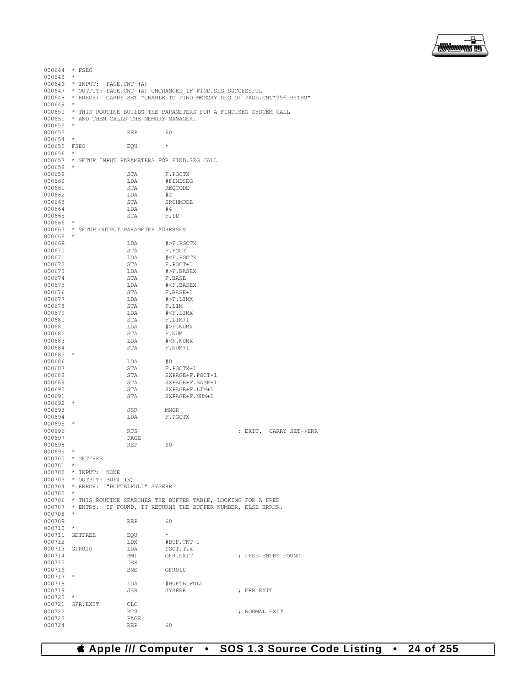

000644 \* FSEG 000645 \* 000646 \* INPUT: PAGE.CNT (A)<br>000647 \* OUTPUT: PAGE.CNT (A) \* OUTPUT: PAGE.CNT (A) UNCHANGED IF FIND.SEG SUCCESSFUL 000648 \* ERROR: CARRY SET "UNABLE TO FIND MEMORY SEG OF PAGE.CNT\*256 BYTES" 000649 \* 000650  $\star$  THIS ROUTINE BUILDS THE PARAMETERS FOR A FIND. SEG SYSTEM CALL 000651  $\star$  and then calls the memory manager \* AND THEN CALLS THE MEMORY MANAGER. 000652 \* 000653<br>000654 \* REP 60 000654 \*<br>000655 FSEG 000655 FSEG EQU \* 000656<br>000657 \* SETUP INPUT PARAMETERS FOR FIND.SEG CALL 000658<br>000659 000659 STA F.PGCTX<br>000660 LDA #FINDSE 000660 LDA #FINDSEG<br>000661 STA REQCODE STA REQCODE<br>LDA #2 000662 LDA<br>000663 STA STA SRCHMODE<br>LDA #4  $\begin{tabular}{ccccc} 000664 & & & \text{LDA} & & \text{\#4} \\ 000665 & & & \text{STA} & & \text{F.ID} \\ \end{tabular}$ 000665 000666 \* 000667 \* SETUP OUTPUT PARAMETER ADRESSES 000668<br>000669  $000669$   $LDA$   $\#$ >F.PGCTX<br>000670 STA F.PGCT 000670 STA F.PGCT<br>000671 T.DA #<F.PG 000671 LDA #<F.PGCTX 000672 STA F.PGCT+1<br>000673 T.DA #>F\_BASE 000673 LDA #>F.BASEX  $000674$  STA F.BASE<br>  $000675$   $1.00$   $\text{#} < F$   $B$ 000675 LDA #<F.BASEX  $000676$  STA F.BASE+1<br> $000677$  LDA  $\#$ >F.LIMX  $000677$   $LDA$   $\#$ >F.LIMX<br>000678  $STA$   $R$   $R$   $I.TM$ 000678 STA F.LIM 000679 LDA #<F.LIMX 000680 STA F.LIM+1<br>000681 T.DA #>F.NUM3  $\begin{array}{lll}\n\text{LDA} & & \text{#}> \text{F} \cdot \text{NUMX} \\
\text{STA} & & \text{F} \cdot \text{NUM}\n\end{array}$ 000682 STA STA PLAN  $\begin{tabular}{lllllllllll} 000683 & \text{LDA} & \text{\#$  $F.$  NUM+1 000685 \* 000686 LDA #0<br>000687 STA F.I  $\begin{array}{cccc}\n 000687 & & & \text{STA} & & \text{F.PGCTX}+1 \\
 000688 & & & \text{STA} & & \text{SYPAGE}+\text{F}.\n \end{array}$ 000688 STA SXPAGE+F.PGCT+1 000689 STA SXPAGE+F.BASE+1<br>000690 STA SXPAGE+F.LIM+1 000690 STA SXPAGE+F.LIM+1<br>000691 STA SXPAGE+F.NUM+1 SXPAGE+F.NUM+1 000692 \* 000693 JSR MMGR<br>000694 LDA F.PG F.PGCTX 000695<br>000696 000696 RTS ; EXIT. CARRY SET->ERR 000697 PAGE PAGE 000698 REP 60 000699<br>000700  $*$  GETFREE 000701<br>000702 000702 \* INPUT: NONE<br>000703 \* OUTPUT: BUF#  $000703$  \* OUTPUT: BUF# (X)<br>000704 \* ERROR: "BUFTBLE \* ERROR: "BUFTBLFULL" SYSERR 000705 \* 000706 \* THIS ROUTINE SEARCHES THE BUFFER TABLE, LOOKING FOR A FREE 000707 \* ENTRY. IF FOUND, IT RETURNS THE BUFFER NUMBER, ELSE ERROR. 000708 \* 000709 REP 60 000710 \* 000711 GETFREE EQU<br>000712 LDX LDX #BUF.CNT-1<br>LDA PGCT.T,X 000713 GFR010 LDA PGCT.T, X<br>000714 BMI GFR.EXIT **DEX GER.EXIT : FREE ENTRY FOUND**<br>DEX 000715 DEX<br>000716 BNE 000716 BNE GFR010 000717<br>000718  $\begin{tabular}{llllll} 000718 & & & & \texttt{LDA} & & \texttt{\#BUFFBLFULL} \\ 000719 & & & \texttt{JSR} & & \texttt{SYSERR} \end{tabular}$ ; ERR EXIT 000720 \* 000721 GFR.EXIT CLC<br>000722 RTS 000722 RTS ; NORMAL EXIT 000723 PAGE PAGE 000724 REP 60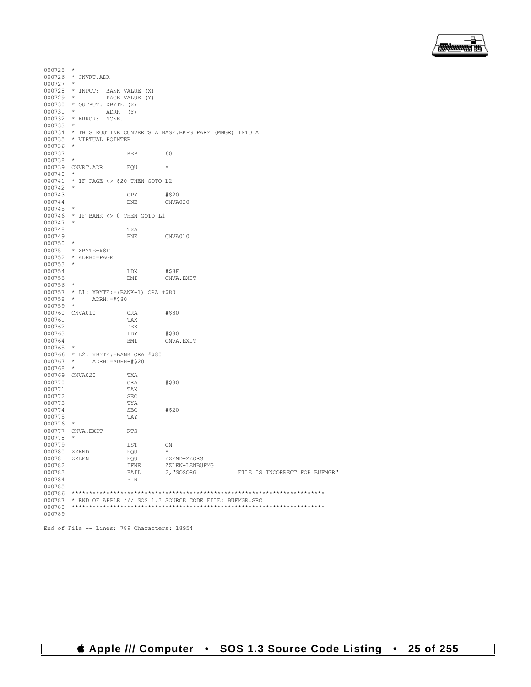

| 000725       | $\star$                                    |                |                                                                |                               |  |
|--------------|--------------------------------------------|----------------|----------------------------------------------------------------|-------------------------------|--|
|              | 000726 * CNVRT.ADR                         |                |                                                                |                               |  |
| 000727       |                                            |                |                                                                |                               |  |
|              |                                            |                |                                                                |                               |  |
|              | 000728 * INPUT: BANK VALUE (X)             |                |                                                                |                               |  |
| $000729$ *   |                                            | PAGE VALUE (Y) |                                                                |                               |  |
|              | 000730 * OUTPUT: XBYTE (X)                 |                |                                                                |                               |  |
| $000731$ *   |                                            | ADRH (Y)       |                                                                |                               |  |
|              | 000732 * ERROR: NONE.                      |                |                                                                |                               |  |
| $000733$ *   |                                            |                |                                                                |                               |  |
|              |                                            |                |                                                                |                               |  |
|              |                                            |                | 000734 * THIS ROUTINE CONVERTS A BASE. BKPG PARM (MMGR) INTO A |                               |  |
| 000735       | * VIRTUAL POINTER                          |                |                                                                |                               |  |
| $000736$ *   |                                            |                |                                                                |                               |  |
| 000737       |                                            | <b>REP</b>     | 60                                                             |                               |  |
| 000738       | $\star$                                    |                |                                                                |                               |  |
|              | 000739 CNVRT.ADR                           | EOU            | $\star$                                                        |                               |  |
|              |                                            |                |                                                                |                               |  |
| $000740$ *   |                                            |                |                                                                |                               |  |
|              | 000741 * IF PAGE <> \$20 THEN GOTO L2      |                |                                                                |                               |  |
| 000742       |                                            |                |                                                                |                               |  |
| 000743       |                                            | CPY            | #\$20                                                          |                               |  |
| 000744       |                                            | <b>BNE</b>     | CNVA020                                                        |                               |  |
|              | $\star$                                    |                |                                                                |                               |  |
| 000745       |                                            |                |                                                                |                               |  |
|              | 000746 * IF BANK <> 0 THEN GOTO L1         |                |                                                                |                               |  |
| $000747$ *   |                                            |                |                                                                |                               |  |
| 000748       |                                            | TXA            |                                                                |                               |  |
| 000749       |                                            | ${\tt BNE}$    | CNVA010                                                        |                               |  |
| $000750$ *   |                                            |                |                                                                |                               |  |
|              |                                            |                |                                                                |                               |  |
|              | 000751 * XBYTE=\$8F                        |                |                                                                |                               |  |
|              | 000752 * ADRH:=PAGE                        |                |                                                                |                               |  |
| $000753$ *   |                                            |                |                                                                |                               |  |
| 000754       |                                            | LDX            | #\$8F                                                          |                               |  |
| 000755       |                                            | BMI            | CNVA.EXIT                                                      |                               |  |
| 000756       |                                            |                |                                                                |                               |  |
|              |                                            |                |                                                                |                               |  |
|              | $000757$ * L1: XBYTE: = (BANK-1) ORA #\$80 |                |                                                                |                               |  |
| $000758$ *   | ADRH:=#\$80                                |                |                                                                |                               |  |
| 000759       | $\star$                                    |                |                                                                |                               |  |
|              | 000760 CNVA010                             | ORA            | #\$80                                                          |                               |  |
| 000761       |                                            | TAX            |                                                                |                               |  |
| 000762       |                                            | DEX            |                                                                |                               |  |
| 000763       |                                            |                | #\$80                                                          |                               |  |
|              |                                            | LDY            |                                                                |                               |  |
| 000764       |                                            | BMI            | CNVA.EXIT                                                      |                               |  |
| 000765       | $\star$                                    |                |                                                                |                               |  |
|              | 000766 * L2: XBYTE: = BANK ORA #\$80       |                |                                                                |                               |  |
| $000767$ *   | ADRH:=ADRH-#\$20                           |                |                                                                |                               |  |
| 000768       | $\star$                                    |                |                                                                |                               |  |
|              |                                            |                |                                                                |                               |  |
|              | 000769 CNVA020                             | TXA            |                                                                |                               |  |
| 000770       |                                            | ORA            | #\$80                                                          |                               |  |
| 000771       |                                            | TAX            |                                                                |                               |  |
| 000772       |                                            | SEC            |                                                                |                               |  |
| 000773       |                                            | TYA            |                                                                |                               |  |
| 000774       |                                            | <b>SBC</b>     | #\$20                                                          |                               |  |
|              |                                            |                |                                                                |                               |  |
| 000775       |                                            | TAY            |                                                                |                               |  |
| 000776       | $\star$                                    |                |                                                                |                               |  |
|              | 000777 CNVA.EXIT                           | <b>RTS</b>     |                                                                |                               |  |
| 000778       |                                            |                |                                                                |                               |  |
| 000779       |                                            | LST            | ON                                                             |                               |  |
| 000780 ZZEND |                                            | EQU            | $\star$                                                        |                               |  |
| 000781 ZZLEN |                                            |                | ZZEND-ZZORG                                                    |                               |  |
|              |                                            | EOU            |                                                                |                               |  |
| 000782       |                                            | IFNE           | ZZLEN-LENBUFMG                                                 |                               |  |
| 000783       |                                            | FAIL           | 2, "SOSORG                                                     | FILE IS INCORRECT FOR BUFMGR" |  |
| 000784       |                                            | FIN            |                                                                |                               |  |
| 000785       |                                            |                |                                                                |                               |  |
| 000786       |                                            |                |                                                                |                               |  |
| 000787       |                                            |                | * END OF APPLE /// SOS 1.3 SOURCE CODE FILE: BUFMGR.SRC        |                               |  |
|              |                                            |                |                                                                |                               |  |
| 000788       |                                            |                |                                                                |                               |  |
| 000789       |                                            |                |                                                                |                               |  |

```
End of File -- Lines: 789 Characters: 18954
```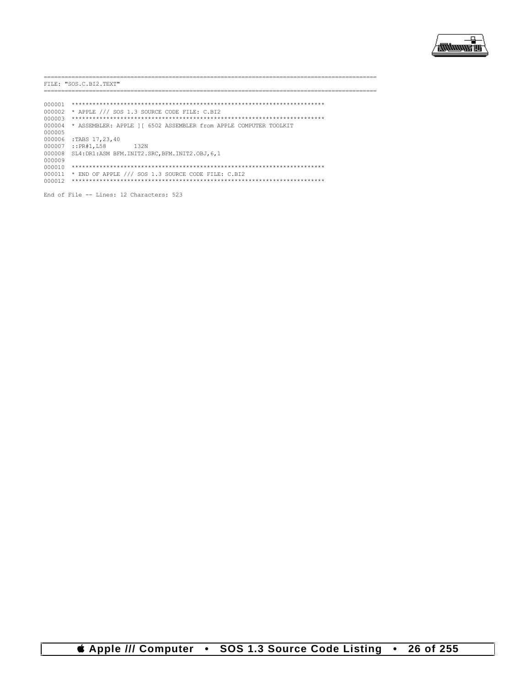

----------------------------FILE: "SOS.C.BI2.TEXT" -------------------- $\begin{tabular}{ll} 000002 & \star & \texttt{APPLE} \end{tabular} \begin{tabular}{ll} \star & \texttt{APPLE} \end{tabular} \begin{tabular}{ll} \texttt{S-1.3} & \texttt{SOUNCE} & \texttt{CODE} & \texttt{FILE:} & \texttt{C.BI2} \end{tabular} \end{tabular}$ 000004 \* ASSEMBLER: APPLE ] [ 6502 ASSEMBLER from APPLE COMPUTER TOOLKIT 000005 000006 :TABS 17, 23, 40 000007 :: PR#1, L58 132N 000008 SL4: DR1:ASM BFM. INIT2. SRC, BFM. INIT2. OBJ, 6, 1 000009 000011 \* END OF APPLE /// SOS 1.3 SOURCE CODE FILE: C.BI2<br>000011 \* END OF APPLE /// SOS 1.3 SOURCE CODE FILE: C.BI2

End of File -- Lines: 12 Characters: 523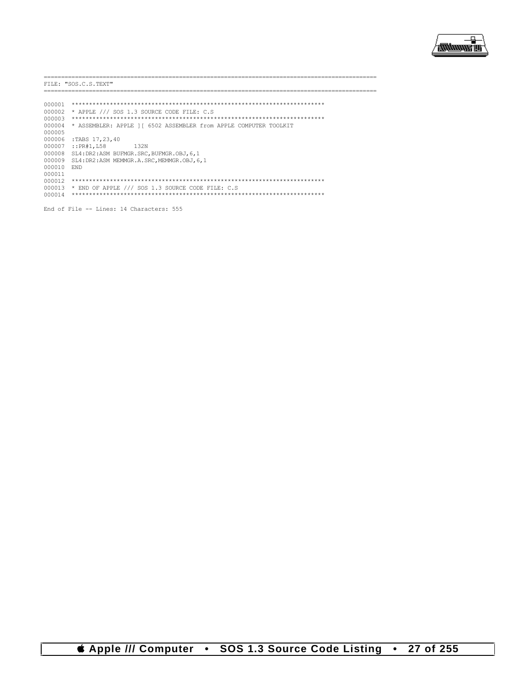

.\_\_\_\_\_\_\_\_\_\_\_\_\_\_\_\_\_\_\_\_\_\_\_\_\_\_ FILE: "SOS.C.S.TEXT" \_\_\_\_\_\_\_\_\_\_\_\_\_\_\_\_\_ .\_\_\_\_\_\_\_\_\_\_\_\_\_\_\_\_\_\_\_\_\_\_\_\_\_\_\_ =================== 000004 \* ASSEMBLER: APPLE ] [ 6502 ASSEMBLER from APPLE COMPUTER TOOLKIT 000005 000006 :TABS 17, 23, 40  $000007 :: PR#1, L58$ 132N 000008 SL4: DR2: ASM BUFMGR. SRC, BUFMGR. OBJ, 6, 1 000009 SL4: DR2: ASM MEMMGR.A.SRC, MEMMGR.OBJ, 6, 1 000010 END 000011 000013 \* END OF APPLE /// SOS 1.3 SOURCE CODE FILE: C.S 

End of File -- Lines: 14 Characters: 555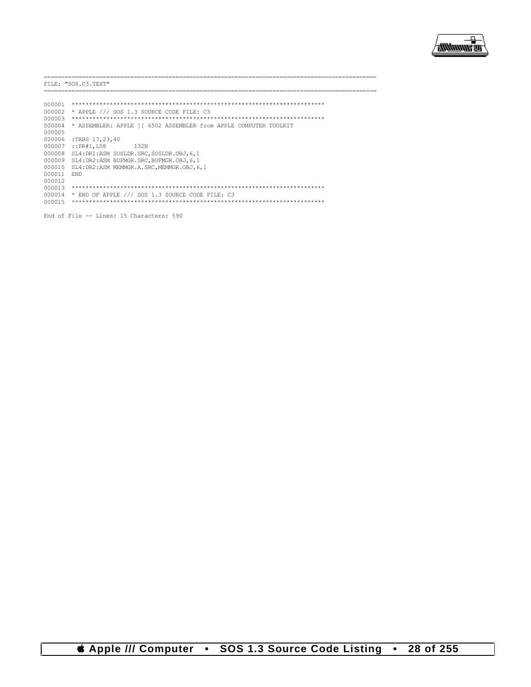

-----------------------FILE: "SOS.C3.TEXT" \_\_\_\_\_\_\_\_\_\_\_\_\_\_\_\_ ------------------------================= 000004 \* ASSEMBLER: APPLE ] [ 6502 ASSEMBLER from APPLE COMPUTER TOOLKIT 000005 000006 :TABS 17, 23, 40 000007 :: PR#1, L58 132N 000008 SL4: DR1:ASM SOSLDR. SRC, SOSLDR. OBJ, 6, 1 000009 SL4:DR2:ASM BUFMGR.SRC, BUFMGR.OBJ, 6, 1 000010 SL4: DR2: ASM MEMMGR.A.SRC, MEMMGR.OBJ, 6, 1 000011 END 000012  $000014$  \* END OF APPLE /// SOS 1.3 SOURCE CODE FILE: C3 \*\*\*\*\*\*\*\*\*\*\*\*\*\*\*\*\*\*\*\*\*\*\*\*\*\*\*

End of File -- Lines: 15 Characters: 590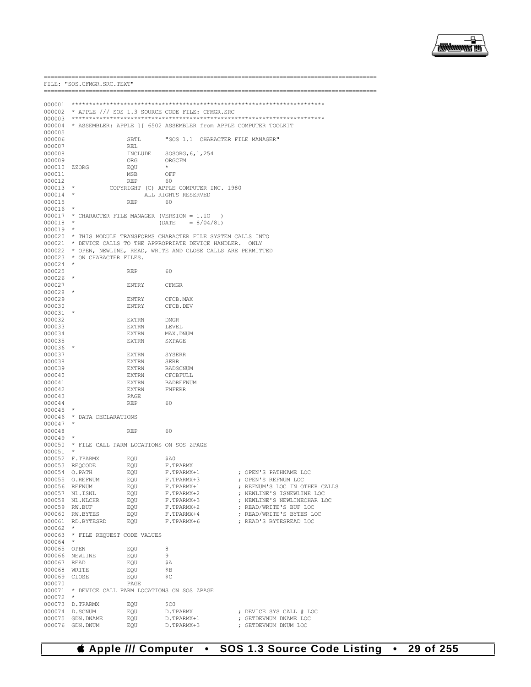

| FILE: "SOS.CFMGR.SRC.TEXT" |                                                        |                |                                        |                                                                   |
|----------------------------|--------------------------------------------------------|----------------|----------------------------------------|-------------------------------------------------------------------|
|                            | ====================                                   |                |                                        |                                                                   |
|                            |                                                        |                |                                        |                                                                   |
|                            | 000002 * APPLE /// SOS 1.3 SOURCE CODE FILE: CFMGR.SRC |                |                                        |                                                                   |
| 000003<br>000004           |                                                        |                |                                        |                                                                   |
| 000005                     |                                                        |                |                                        | * ASSEMBLER: APPLE ] [ 6502 ASSEMBLER from APPLE COMPUTER TOOLKIT |
| 000006                     |                                                        | SBTL           |                                        | "SOS 1.1 CHARACTER FILE MANAGER"                                  |
| 000007                     |                                                        | REL            |                                        |                                                                   |
| 000008                     |                                                        | INCLUDE        | SOSORG, 6, 1, 254                      |                                                                   |
| 000009                     |                                                        | ORG            | ORGCFM                                 |                                                                   |
| 000010<br>000011           | ZZORG                                                  | EQU<br>MSB     | OFF                                    |                                                                   |
| 000012                     |                                                        | REP            | 60                                     |                                                                   |
| $000013$ *                 |                                                        |                | COPYRIGHT (C) APPLE COMPUTER INC. 1980 |                                                                   |
| $000014$ *                 |                                                        |                | ALL RIGHTS RESERVED                    |                                                                   |
| 000015                     |                                                        | REP            | 60                                     |                                                                   |
| 000016<br>000017           | * CHARACTER FILE MANAGER (VERSION = 1.10               |                |                                        | $\rightarrow$                                                     |
| 000018                     | $\star$                                                |                | $(DATE = 8/04/81)$                     |                                                                   |
| 000019                     |                                                        |                |                                        |                                                                   |
|                            |                                                        |                |                                        | 000020 * THIS MODULE TRANSFORMS CHARACTER FILE SYSTEM CALLS INTO  |
| 000021                     |                                                        |                |                                        | * DEVICE CALLS TO THE APPROPRIATE DEVICE HANDLER. ONLY            |
|                            | 000023 * ON CHARACTER FILES.                           |                |                                        | 000022 * OPEN, NEWLINE, READ, WRITE AND CLOSE CALLS ARE PERMITTED |
| 000024                     | $\star$                                                |                |                                        |                                                                   |
| 000025                     |                                                        | REP            | 60                                     |                                                                   |
| 000026                     |                                                        |                |                                        |                                                                   |
| 000027                     |                                                        | ENTRY          | CFMGR                                  |                                                                   |
| 000028<br>000029           |                                                        | ENTRY          | CFCB.MAX                               |                                                                   |
| 000030                     |                                                        | ENTRY          | CFCB.DEV                               |                                                                   |
| 000031                     |                                                        |                |                                        |                                                                   |
| 000032                     |                                                        | EXTRN          | DMGR                                   |                                                                   |
| 000033                     |                                                        | EXTRN          | LEVEL                                  |                                                                   |
| 000034<br>000035           |                                                        | EXTRN<br>EXTRN | MAX.DNUM<br>SXPAGE                     |                                                                   |
| 000036                     |                                                        |                |                                        |                                                                   |
| 000037                     |                                                        | EXTRN          | SYSERR                                 |                                                                   |
| 000038                     |                                                        | EXTRN          | SERR                                   |                                                                   |
| 000039                     |                                                        | EXTRN          | BADSCNUM                               |                                                                   |
| 000040<br>000041           |                                                        | EXTRN<br>EXTRN | CFCBFULL<br>BADREFNUM                  |                                                                   |
| 000042                     |                                                        | EXTRN          | FNFERR                                 |                                                                   |
| 000043                     |                                                        | PAGE           |                                        |                                                                   |
| 000044                     |                                                        | REP            | 60                                     |                                                                   |
| 000045                     | $\star$                                                |                |                                        |                                                                   |
| 000046<br>000047           | * DATA DECLARATIONS<br>$\star$                         |                |                                        |                                                                   |
| 000048                     |                                                        | <b>REP</b>     | 60                                     |                                                                   |
| 000049                     |                                                        |                |                                        |                                                                   |
| 000050                     | * FILE CALL PARM LOCATIONS ON SOS ZPAGE                |                |                                        |                                                                   |
| 000051                     | $\star$                                                |                |                                        |                                                                   |
| 000052                     | F.TPARMX<br>000053 REQCODE                             | EQU<br>EQU     | \$A0<br>F.TPARMX                       |                                                                   |
|                            | 000054 O.PATH                                          | EQU            | F.TPARMX+1                             | ; OPEN'S PATHNAME LOC                                             |
|                            | 000055 O.REFNUM                                        | EQU            | F.TPARMX+3                             | ; OPEN'S REFNUM LOC                                               |
|                            | 000056 REFNUM                                          | EQU            | F.TPARMX+1                             | ; REFNUM'S LOC IN OTHER CALLS                                     |
|                            | 000057 NL.ISNL                                         | EQU            | F.TPARMX+2                             | ; NEWLINE'S ISNEWLINE LOC<br>; NEWLINE'S NEWLINECHAR LOC          |
|                            | 000058 NL.NLCHR<br>000059 RW.BUF                       | EQU<br>EQU     | F.TPARMX+3<br>F.TPARMX+2               | ; READ/WRITE'S BUF LOC                                            |
|                            | 000060 RW.BYTES                                        | EQU            | F.TPARMX+4                             | ; READ/WRITE'S BYTES LOC                                          |
|                            | 000061 RD.BYTESRD                                      | EQU            | F.TPARMX+6                             | ; READ'S BYTESREAD LOC                                            |
| 000062                     | $\star$                                                |                |                                        |                                                                   |
|                            | 000063 * FILE REQUEST CODE VALUES                      |                |                                        |                                                                   |
| 000064<br>000065 OPEN      |                                                        | EQU            | 8                                      |                                                                   |
|                            | 000066 NEWLINE                                         | EOU            | 9                                      |                                                                   |
| 000067 READ                |                                                        | EQU            | \$Α                                    |                                                                   |
| 000068 WRITE               |                                                        | EQU            | \$Β                                    |                                                                   |
| 000069 CLOSE               |                                                        | EQU            | \$C                                    |                                                                   |
| 000070                     | 000071 * DEVICE CALL PARM LOCATIONS ON SOS ZPAGE       | PAGE           |                                        |                                                                   |
| 000072                     | $\star$                                                |                |                                        |                                                                   |
|                            | 000073 D.TPARMX                                        | EQU            | \$C0                                   |                                                                   |
| 000074                     | D.SCNUM                                                | EQU            | D.TPARMX                               | ; DEVICE SYS CALL # LOC                                           |
| 000075<br>000076           | GDN.DNAME<br>GDN.DNUM                                  | EQU<br>EQU     | D.TPARMX+1<br>D.TPARMX+3               | ; GETDEVNUM DNAME LOC<br>; GETDEVNUM DNUM LOC                     |
|                            |                                                        |                |                                        |                                                                   |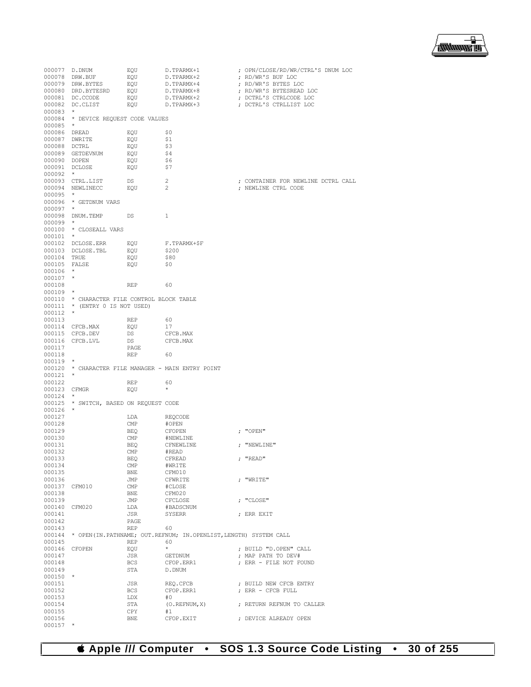

|              | 000077 D.DNUM                               | EQU                     | D.TPARMX+1                                                              | ; OPN/CLOSE/RD/WR/CTRL'S DNUM LOC                |
|--------------|---------------------------------------------|-------------------------|-------------------------------------------------------------------------|--------------------------------------------------|
|              | 000078 DRW.BUF                              | EQU                     |                                                                         | ; RD/WR'S BUF LOC                                |
|              | 000079 DRW.BYTES                            | EQU                     | D.TPARMX+2<br>D.TPARMX+4                                                |                                                  |
|              |                                             |                         | D.TPARMX+8                                                              | ; RD/WR'S BYTES LOC<br>; RD/WR'S BYTESREAD LOC   |
|              |                                             |                         |                                                                         |                                                  |
|              |                                             |                         | D.TPARMX+2<br>D.TPARMX+3                                                | ; DCTRL'S CTRLCODE LOC<br>; DCTRL'S CTRLLIST LOC |
| $000083$ *   |                                             |                         |                                                                         |                                                  |
|              |                                             |                         |                                                                         |                                                  |
|              | 000084 * DEVICE REQUEST CODE VALUES         |                         |                                                                         |                                                  |
| 000085 *     |                                             |                         |                                                                         |                                                  |
|              | 000086 DREAD                                | EQU                     | \$0                                                                     |                                                  |
|              | 000087 DWRITE                               | EQU                     | \$1                                                                     |                                                  |
|              | 000088 DCTRL                                | EQU                     | \$3                                                                     |                                                  |
|              | 000089 GETDEVNUM                            | EQU                     | \$4                                                                     |                                                  |
|              | 000090 DOPEN                                | EQU                     | \$6                                                                     |                                                  |
|              | 000091 DCLOSE                               | EQU                     | \$7                                                                     |                                                  |
| $000092$ *   |                                             |                         |                                                                         |                                                  |
|              | 000093 CTRL.LIST                            | DS                      | $\overline{2}$                                                          | ; CONTAINER FOR NEWLINE DCTRL CALL               |
|              | 000094 NEWLINECC                            | EQU                     | $\overline{2}$                                                          | ; NEWLINE CTRL CODE                              |
| 000095 *     |                                             |                         |                                                                         |                                                  |
|              | 000096 * GETDNUM VARS                       |                         |                                                                         |                                                  |
| $000097$ *   |                                             |                         |                                                                         |                                                  |
|              | 000098 DNUM.TEMP                            | DS                      | $\mathbf{1}$                                                            |                                                  |
| $000099$ *   |                                             |                         |                                                                         |                                                  |
|              | 000100 * CLOSEALL VARS                      |                         |                                                                         |                                                  |
| $000101$ *   |                                             |                         |                                                                         |                                                  |
|              |                                             |                         | F.TPARMX+SF                                                             |                                                  |
|              | 000102 DCLOSE.ERR                           | EQU                     |                                                                         |                                                  |
|              | 000103 DCLOSE.TBL                           | EQU                     | \$200                                                                   |                                                  |
|              | 000104 TRUE                                 | EQU                     | \$80                                                                    |                                                  |
|              | 000105 FALSE                                | EQU                     | \$0                                                                     |                                                  |
| 000106 *     |                                             |                         |                                                                         |                                                  |
| $000107$ *   |                                             |                         |                                                                         |                                                  |
| 000108       |                                             | REP                     | 60                                                                      |                                                  |
| $000109$ *   |                                             |                         |                                                                         |                                                  |
|              | 000110 * CHARACTER FILE CONTROL BLOCK TABLE |                         |                                                                         |                                                  |
|              | 000111 * (ENTRY 0 IS NOT USED)              |                         |                                                                         |                                                  |
| $000112$ *   |                                             |                         |                                                                         |                                                  |
| 000113       |                                             | REP                     | 60                                                                      |                                                  |
|              | 000114 CFCB.MAX                             | EQU                     | 17                                                                      |                                                  |
|              | 000115 CFCB.DEV                             | DS                      | CFCB.MAX                                                                |                                                  |
|              | 000116 CFCB.LVL                             | DS                      | CFCB.MAX                                                                |                                                  |
| 000117       |                                             | PAGE                    |                                                                         |                                                  |
| 000118       |                                             | REP 60                  |                                                                         |                                                  |
| $000119$ *   |                                             |                         |                                                                         |                                                  |
|              |                                             |                         | 000120 * CHARACTER FILE MANAGER - MAIN ENTRY POINT                      |                                                  |
| $000121$ *   |                                             |                         |                                                                         |                                                  |
| 000122       |                                             | REP                     | 60                                                                      |                                                  |
| 000123 CFMGR |                                             | EOU                     | $\star$                                                                 |                                                  |
| $000124$ *   |                                             |                         |                                                                         |                                                  |
|              | 000125 * SWITCH, BASED ON REQUEST CODE      |                         |                                                                         |                                                  |
| $000126$ *   |                                             |                         |                                                                         |                                                  |
| 000127       |                                             | LDA                     |                                                                         |                                                  |
| 000128       |                                             | $\text{CMP}$            | REQCODE                                                                 |                                                  |
|              |                                             |                         | #OPEN                                                                   |                                                  |
| 000129       |                                             | BEQ                     | CFOPEN                                                                  | ; "OPEN"                                         |
| 000130       |                                             | $\mathop{\mathrm{CMP}}$ | #NEWLINE                                                                |                                                  |
| 000131       |                                             | BEQ                     | CFNEWLINE                                                               | ; "NEWLINE"                                      |
| 000132       |                                             | $\text{CMP}$            | #READ                                                                   |                                                  |
| 000133       |                                             | BEQ                     | CFREAD                                                                  | ; "READ"                                         |
| 000134       |                                             | CMP                     | #WRITE                                                                  |                                                  |
| 000135       |                                             | BNE                     | CFM010                                                                  |                                                  |
| 000136       |                                             | JMP                     | CFWRITE                                                                 | ; "WRITE"                                        |
|              | 000137 CFM010                               | $\text{CMP}$            | #CLOSE                                                                  |                                                  |
| 000138       |                                             | BNE                     | CFM020                                                                  |                                                  |
| 000139       |                                             | JMP                     | CFCLOSE                                                                 | ; "CLOSE"                                        |
|              | 000140 CFM020                               | LDA                     | #BADSCNUM                                                               |                                                  |
| 000141       |                                             | JSR                     | SYSERR                                                                  | ; ERR EXIT                                       |
| 000142       |                                             | PAGE                    |                                                                         |                                                  |
| 000143       |                                             | REP                     | 60                                                                      |                                                  |
|              |                                             |                         | 000144 * OPEN(IN.PATHNAME; OUT.REFNUM; IN.OPENLIST, LENGTH) SYSTEM CALL |                                                  |
| 000145       |                                             | REP                     | 60                                                                      |                                                  |
|              | 000146 CFOPEN                               | EQU                     | $\star$                                                                 | ; BUILD "D.OPEN" CALL                            |
| 000147       |                                             | JSR                     | GETDNUM                                                                 | ; MAP PATH TO DEV#                               |
| 000148       |                                             | BCS                     | CFOP.ERR1                                                               | ; ERR - FILE NOT FOUND                           |
| 000149       |                                             | STA                     | D.DNUM                                                                  |                                                  |
| $000150$ *   |                                             |                         |                                                                         |                                                  |
| 000151       |                                             |                         |                                                                         |                                                  |
|              |                                             | JSR                     | REQ.CFCB                                                                | ; BUILD NEW CFCB ENTRY                           |
| 000152       |                                             | BCS                     | CFOP.ERR1                                                               | ; ERR - CFCB FULL                                |
| 000153       |                                             | LDX                     | #0                                                                      |                                                  |
| 000154       |                                             | STA                     | (O. REFNUM, X)                                                          | ; RETURN REFNUM TO CALLER                        |
| 000155       |                                             | CPY                     | #1                                                                      |                                                  |
| 000156       |                                             | BNE                     | CFOP.EXIT                                                               | ; DEVICE ALREADY OPEN                            |
| $000157$ *   |                                             |                         |                                                                         |                                                  |

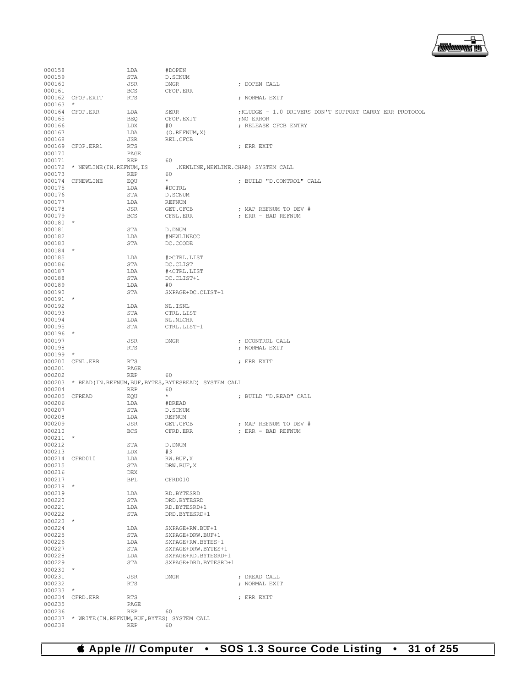

| 000158               |                                                     | LDA                | #DOPEN                                                            |                                                         |
|----------------------|-----------------------------------------------------|--------------------|-------------------------------------------------------------------|---------------------------------------------------------|
| 000159               |                                                     | STA                | D. SCNUM                                                          |                                                         |
| 000160<br>000161     |                                                     | JSR<br><b>BCS</b>  | <b>DMGR</b><br>CFOP.ERR                                           | ; DOPEN CALL                                            |
|                      | 000162 CFOP.EXIT                                    | <b>RTS</b>         |                                                                   | ; NORMAL EXIT                                           |
| $000163$ *           |                                                     |                    |                                                                   |                                                         |
|                      | 000164 CFOP.ERR                                     | LDA                | SERR                                                              | ; KLUDGE - 1.0 DRIVERS DON'T SUPPORT CARRY ERR PROTOCOL |
| 000165<br>000166     |                                                     | <b>BEQ</b><br>LDX  | CFOP.EXIT<br>#O                                                   | : NO ERROR<br>; RELEASE CFCB ENTRY                      |
| 000167               |                                                     | LDA                | (O. REFNUM, X)                                                    |                                                         |
| 000168               |                                                     | JSR                | REL.CFCB                                                          |                                                         |
|                      | 000169 CFOP.ERR1                                    | RTS                |                                                                   | ; ERR EXIT                                              |
| 000170<br>000171     |                                                     | PAGE<br><b>REP</b> | 60                                                                |                                                         |
|                      | 000172 * NEWLINE (IN. REFNUM, IS                    |                    | .NEWLINE, NEWLINE. CHAR) SYSTEM CALL                              |                                                         |
| 000173               |                                                     | REP                | 60                                                                |                                                         |
|                      | 000174 CFNEWLINE                                    | EOU                | $\star$                                                           | ; BUILD "D.CONTROL" CALL                                |
| 000175<br>000176     |                                                     | LDA<br>STA         | #DCTRL<br>D. SCNUM                                                |                                                         |
| 000177               |                                                     | LDA                | REFNUM                                                            |                                                         |
| 000178               |                                                     | JSR                | GET.CFCB                                                          | ; MAP REFNUM TO DEV #                                   |
| 000179               |                                                     | <b>BCS</b>         | CFNL.ERR                                                          | ; ERR - BAD REFNUM                                      |
| $000180$ *           |                                                     |                    |                                                                   |                                                         |
| 000181<br>000182     |                                                     | STA<br>LDA         | D.DNUM<br>#NEWLINECC                                              |                                                         |
| 000183               |                                                     | STA                | DC.CCODE                                                          |                                                         |
| $000184$ *           |                                                     |                    |                                                                   |                                                         |
| 000185               |                                                     | LDA                | #>CTRL.LIST                                                       |                                                         |
| 000186<br>000187     |                                                     | STA<br>LDA         | DC.CLIST<br># <ctrl.list< td=""><td></td></ctrl.list<>            |                                                         |
| 000188               |                                                     | STA                | DC.CLIST+1                                                        |                                                         |
| 000189               |                                                     | LDA                | #O                                                                |                                                         |
| 000190               |                                                     | STA                | SXPAGE+DC.CLIST+1                                                 |                                                         |
| $000191$ *           |                                                     |                    |                                                                   |                                                         |
| 000192<br>000193     |                                                     | LDA<br>STA         | NL.ISNL<br>CTRL.LIST                                              |                                                         |
| 000194               |                                                     | LDA                | NL.NLCHR                                                          |                                                         |
| 000195               |                                                     | STA                | CTRL.LIST+1                                                       |                                                         |
| $000196$ *           |                                                     |                    |                                                                   |                                                         |
| 000197<br>000198     |                                                     | JSR<br><b>RTS</b>  | DMGR                                                              | ; DCONTROL CALL<br>; NORMAL EXIT                        |
| $000199$ *           |                                                     |                    |                                                                   |                                                         |
|                      | 000200 CFNL.ERR                                     | <b>RTS</b>         |                                                                   | ; ERR EXIT                                              |
| 000201               |                                                     | PAGE               |                                                                   |                                                         |
| 000202               |                                                     | REP                | 60<br>000203 * READ(IN.REFNUM, BUF, BYTES, BYTESREAD) SYSTEM CALL |                                                         |
| 000204               |                                                     |                    | 60                                                                |                                                         |
| 000205 CFREAD        |                                                     |                    |                                                                   |                                                         |
|                      |                                                     | <b>REP</b><br>EQU  | $\star$                                                           | ; BUILD "D.READ" CALL                                   |
| 000206               |                                                     | LDA                | #DREAD                                                            |                                                         |
| 000207               |                                                     | STA                | D.SCNUM                                                           |                                                         |
| 000208               |                                                     | LDA                | REFNUM                                                            |                                                         |
| 000209<br>000210     |                                                     | JSR<br><b>BCS</b>  | GET.CFCB<br>CFRD.ERR                                              | ; MAP REFNUM TO DEV #<br>; ERR - BAD REFNUM             |
| $000211$ *           |                                                     |                    |                                                                   |                                                         |
| 000212               |                                                     | STA                | D. DNUM                                                           |                                                         |
| 000213               |                                                     | LDX                | #3                                                                |                                                         |
| 000215               | 000214 CFRD010                                      | LDA<br>STA         | RW.BUF, X<br>DRW.BUF, X                                           |                                                         |
| 000216               |                                                     | DEX                |                                                                   |                                                         |
| 000217               |                                                     | BPL                | CFRD010                                                           |                                                         |
| $000218$ *           |                                                     |                    |                                                                   |                                                         |
| 000219<br>000220     |                                                     | LDA<br>STA         | RD.BYTESRD<br>DRD.BYTESRD                                         |                                                         |
| 000221               |                                                     | LDA                | RD.BYTESRD+1                                                      |                                                         |
| 000222               |                                                     | STA                | DRD.BYTESRD+1                                                     |                                                         |
| $000223$ *           |                                                     |                    |                                                                   |                                                         |
| 000224<br>000225     |                                                     | LDA<br>STA         | SXPAGE+RW.BUF+1<br>SXPAGE+DRW.BUF+1                               |                                                         |
| 000226               |                                                     | LDA                | SXPAGE+RW.BYTES+1                                                 |                                                         |
| 000227               |                                                     | STA                | SXPAGE+DRW.BYTES+1                                                |                                                         |
| 000228               |                                                     | LDA                | SXPAGE+RD.BYTESRD+1                                               |                                                         |
| 000229<br>$000230$ * |                                                     | STA                | SXPAGE+DRD.BYTESRD+1                                              |                                                         |
| 000231               |                                                     | JSR                | <b>DMGR</b>                                                       | ; DREAD CALL                                            |
| 000232               |                                                     | RTS                |                                                                   | ; NORMAL EXIT                                           |
| $000233$ *           |                                                     |                    |                                                                   |                                                         |
| 000235               | 000234 CFRD.ERR                                     | RTS<br>PAGE        |                                                                   | ; ERR EXIT                                              |
| 000236               |                                                     | REP                | 60                                                                |                                                         |
| 000238               | 000237 * WRITE (IN. REFNUM, BUF, BYTES) SYSTEM CALL | <b>REP</b>         | 60                                                                |                                                         |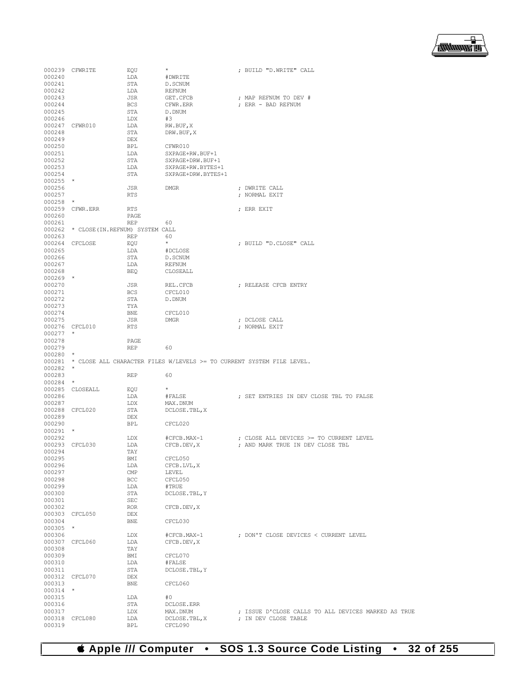

|                      | 000239 CFWRITE                          | EQU               | $\star$                                                                      | ; BUILD "D.WRITE" CALL                                                      |
|----------------------|-----------------------------------------|-------------------|------------------------------------------------------------------------------|-----------------------------------------------------------------------------|
| 000240               |                                         | LDA               | #DWRITE                                                                      |                                                                             |
| 000241               |                                         | STA               | D. SCNUM                                                                     |                                                                             |
| 000242               |                                         | LDA               | REFNUM                                                                       |                                                                             |
| 000243<br>000244     |                                         | JSR               | GET.CFCB                                                                     | ; MAP REFNUM TO DEV #                                                       |
| 000245               |                                         | BCS<br>STA        | CFWR.ERR<br>D.DNUM                                                           | ; ERR - BAD REFNUM                                                          |
| 000246               |                                         | LDX               | #3                                                                           |                                                                             |
|                      | 000247 CFWR010                          | LDA               | RW.BUF, X                                                                    |                                                                             |
| 000248               |                                         | STA               | DRW.BUF, X                                                                   |                                                                             |
| 000249               |                                         | DEX               |                                                                              |                                                                             |
| 000250               |                                         | BPL               | CFWR010                                                                      |                                                                             |
| 000251               |                                         | LDA               | SXPAGE+RW.BUF+1                                                              |                                                                             |
| 000252               |                                         | STA               | SXPAGE+DRW.BUF+1                                                             |                                                                             |
| 000253               |                                         | LDA               | SXPAGE+RW.BYTES+1                                                            |                                                                             |
| 000254               |                                         | STA               | SXPAGE+DRW.BYTES+1                                                           |                                                                             |
| $000255$ *           |                                         |                   |                                                                              |                                                                             |
| 000256<br>000257     |                                         | JSR<br><b>RTS</b> | DMGR                                                                         | ; DWRITE CALL<br>; NORMAL EXIT                                              |
| $000258$ *           |                                         |                   |                                                                              |                                                                             |
|                      | 000259 CFWR.ERR                         | <b>RTS</b>        |                                                                              | ; ERR EXIT                                                                  |
| 000260               |                                         | PAGE              |                                                                              |                                                                             |
| 000261               |                                         | <b>REP</b>        | 60                                                                           |                                                                             |
|                      | 000262 * CLOSE (IN. REFNUM) SYSTEM CALL |                   |                                                                              |                                                                             |
| 000263               |                                         | <b>REP</b>        | 60                                                                           |                                                                             |
|                      | 000264 CFCLOSE                          | EQU               | $\star$                                                                      | ; BUILD "D.CLOSE" CALL                                                      |
| 000265               |                                         | LDA               | #DCLOSE                                                                      |                                                                             |
| 000266               |                                         | STA               | D.SCNUM                                                                      |                                                                             |
| 000267               |                                         | LDA               | <b>REFNUM</b>                                                                |                                                                             |
| 000268               |                                         | <b>BEQ</b>        | CLOSEALL                                                                     |                                                                             |
| $000269$ *           |                                         |                   |                                                                              |                                                                             |
| 000270<br>000271     |                                         | JSR<br>BCS        | REL.CFCB<br>CFCL010                                                          | ; RELEASE CFCB ENTRY                                                        |
| 000272               |                                         | STA               | D.DNUM                                                                       |                                                                             |
| 000273               |                                         | TYA               |                                                                              |                                                                             |
| 000274               |                                         | BNE               | CFCL010                                                                      |                                                                             |
| 000275               |                                         | JSR               | DMGR                                                                         | ; DCLOSE CALL                                                               |
|                      | 000276 CFCL010                          | RTS               |                                                                              | ; NORMAL EXIT                                                               |
| $000277$ *           |                                         |                   |                                                                              |                                                                             |
| 000278               |                                         | PAGE              |                                                                              |                                                                             |
| 000279               |                                         | <b>REP</b>        | 60                                                                           |                                                                             |
| $000280$ *           |                                         |                   |                                                                              |                                                                             |
| $000282$ *           |                                         |                   | 000281 * CLOSE ALL CHARACTER FILES W/LEVELS >= TO CURRENT SYSTEM FILE LEVEL. |                                                                             |
| 000283               |                                         | REP               | 60                                                                           |                                                                             |
| $000284$ *           |                                         |                   |                                                                              |                                                                             |
|                      | 000285 CLOSEALL                         | EQU               | $\star$                                                                      |                                                                             |
| 000286               |                                         | LDA               | #FALSE                                                                       | ; SET ENTRIES IN DEV CLOSE TBL TO FALSE                                     |
| 000287               |                                         | LDX               | MAX.DNUM                                                                     |                                                                             |
|                      | 000288 CFCL020                          | STA               | DCLOSE.TBL, X                                                                |                                                                             |
| 000289               |                                         | DEX               |                                                                              |                                                                             |
| 000290               |                                         | <b>BPL</b>        | CFCL020                                                                      |                                                                             |
| $000291$ *           |                                         |                   |                                                                              |                                                                             |
| 000292               |                                         | LDX               | #CFCB.MAX-1<br>CFCB.DEV, X                                                   | ; CLOSE ALL DEVICES >= TO CURRENT LEVEL                                     |
|                      | 000293 CFCL030                          | LDA<br>TAY        |                                                                              | ; AND MARK TRUE IN DEV CLOSE TBL                                            |
| 000294<br>000295     |                                         | BMI               | CFCL050                                                                      |                                                                             |
| 000296               |                                         | LDA               | CFCB.LVL, X                                                                  |                                                                             |
| 000297               |                                         | $\mathsf{CMP}$    | LEVEL                                                                        |                                                                             |
| 000298               |                                         | BCC               | CFCL050                                                                      |                                                                             |
| 000299               |                                         | LDA               | #TRUE                                                                        |                                                                             |
| 000300               |                                         | STA               | DCLOSE. TBL, Y                                                               |                                                                             |
| 000301               |                                         | SEC               |                                                                              |                                                                             |
| 000302               |                                         | <b>ROR</b>        | CFCB.DEV, X                                                                  |                                                                             |
|                      | 000303 CFCL050                          | DEX               |                                                                              |                                                                             |
| 000304               |                                         | BNE               | CFCL030                                                                      |                                                                             |
| $000305$ *<br>000306 |                                         |                   | #CFCB.MAX-1                                                                  | ; DON'T CLOSE DEVICES < CURRENT LEVEL                                       |
|                      | 000307 CFCL060                          | LDX<br>LDA        | CFCB.DEV, X                                                                  |                                                                             |
| 000308               |                                         | TAY               |                                                                              |                                                                             |
| 000309               |                                         | BMI               | CFCL070                                                                      |                                                                             |
| 000310               |                                         | LDA               | #FALSE                                                                       |                                                                             |
| 000311               |                                         | STA               | DCLOSE. TBL, Y                                                               |                                                                             |
|                      | 000312 CFCL070                          | DEX               |                                                                              |                                                                             |
| 000313               |                                         | BNE               | CFCL060                                                                      |                                                                             |
| $000314$ *           |                                         |                   |                                                                              |                                                                             |
| 000315               |                                         | LDA               | #0                                                                           |                                                                             |
| 000316               |                                         | STA               | DCLOSE.ERR                                                                   |                                                                             |
| 000317               | 000318 CFCL080                          | LDX<br>LDA        | MAX.DNUM<br>DCLOSE.TBL, X                                                    | ; ISSUE D'CLOSE CALLS TO ALL DEVICES MARKED AS TRUE<br>; IN DEV CLOSE TABLE |
| 000319               |                                         | BPL               | CFCL090                                                                      |                                                                             |
|                      |                                         |                   |                                                                              |                                                                             |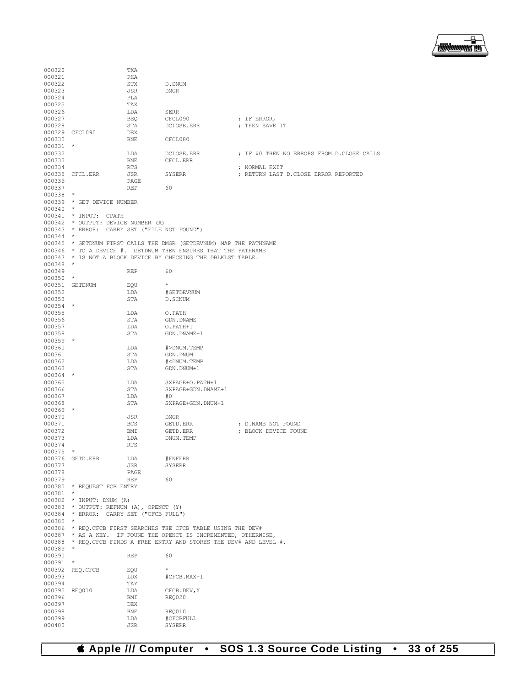

| 000320           |                                              | TXA        |                                                                        |                                            |
|------------------|----------------------------------------------|------------|------------------------------------------------------------------------|--------------------------------------------|
| 000321           |                                              | PHA        |                                                                        |                                            |
| 000322           |                                              | STX        | D.DNUM                                                                 |                                            |
| 000323           |                                              | JSR        | <b>DMGR</b>                                                            |                                            |
|                  |                                              |            |                                                                        |                                            |
| 000324           |                                              | <b>PLA</b> |                                                                        |                                            |
| 000325           |                                              | TAX        |                                                                        |                                            |
| 000326           |                                              | LDA        | SERR                                                                   |                                            |
| 000327           |                                              | BEO        | CFCL090                                                                | ; IF ERROR,                                |
| 000328           |                                              | STA        | DCLOSE.ERR                                                             | ; THEN SAVE IT                             |
|                  |                                              |            |                                                                        |                                            |
|                  | 000329 CFCL090                               | <b>DEX</b> |                                                                        |                                            |
| 000330           |                                              | BNE        | CFCL080                                                                |                                            |
| 000331 *         |                                              |            |                                                                        |                                            |
| 000332           |                                              | LDA        | DCLOSE.ERR                                                             | ; IF \$0 THEN NO ERRORS FROM D.CLOSE CALLS |
| 000333           |                                              | <b>BNE</b> | CFCL.ERR                                                               |                                            |
|                  |                                              |            |                                                                        |                                            |
| 000334           |                                              | RTS        |                                                                        | ; NORMAL EXIT                              |
|                  | 000335 CFCL.ERR                              | JSR        | SYSERR                                                                 | ; RETURN LAST D.CLOSE ERROR REPORTED       |
| 000336           |                                              | PAGE       |                                                                        |                                            |
| 000337           |                                              | REP        | 60                                                                     |                                            |
| $000338$ *       |                                              |            |                                                                        |                                            |
|                  | 000339 * GET DEVICE NUMBER                   |            |                                                                        |                                            |
|                  |                                              |            |                                                                        |                                            |
| $000340$ *       |                                              |            |                                                                        |                                            |
|                  | 000341 * INPUT: CPATH                        |            |                                                                        |                                            |
|                  | 000342 * OUTPUT: DEVICE NUMBER (A)           |            |                                                                        |                                            |
|                  | 000343 * ERROR: CARRY SET ("FILE NOT FOUND") |            |                                                                        |                                            |
| 000344           | $\star$                                      |            |                                                                        |                                            |
|                  |                                              |            | 000345 * GETDNUM FIRST CALLS THE DMGR (GETDEVNUM) MAP THE PATHNAME     |                                            |
|                  |                                              |            |                                                                        |                                            |
|                  |                                              |            | 000346 * TO A DEVICE #. GETDNUM THEN ENSURES THAT THE PATHNAME         |                                            |
|                  |                                              |            | 000347 * IS NOT A BLOCK DEVICE BY CHECKING THE DBLKLST TABLE.          |                                            |
| 000348 *         |                                              |            |                                                                        |                                            |
| 000349           |                                              | REP        | 60                                                                     |                                            |
| $000350$ *       |                                              |            |                                                                        |                                            |
|                  | 000351 GETDNUM                               | EQU        | $\star$                                                                |                                            |
|                  |                                              |            |                                                                        |                                            |
| 000352           |                                              | LDA        | #GETDEVNUM                                                             |                                            |
| 000353           |                                              | STA        | D. SCNUM                                                               |                                            |
| 000354 *         |                                              |            |                                                                        |                                            |
| 000355           |                                              | LDA        | O.PATH                                                                 |                                            |
| 000356           |                                              | STA        | GDN.DNAME                                                              |                                            |
|                  |                                              |            |                                                                        |                                            |
| 000357           |                                              | LDA        | O.PATH+1                                                               |                                            |
| 000358           |                                              | STA        | GDN.DNAME+1                                                            |                                            |
| $000359$ *       |                                              |            |                                                                        |                                            |
| 000360           |                                              | LDA        | #>DNUM.TEMP                                                            |                                            |
| 000361           |                                              | STA        | GDN.DNUM                                                               |                                            |
| 000362           |                                              | LDA        | # <dnum.temp< td=""><td></td></dnum.temp<>                             |                                            |
|                  |                                              |            |                                                                        |                                            |
| 000363           |                                              | STA        | GDN.DNUM+1                                                             |                                            |
| 000364 *         |                                              |            |                                                                        |                                            |
| 000365           |                                              | LDA        | SXPAGE+O.PATH+1                                                        |                                            |
| 000366           |                                              | STA        | SXPAGE+GDN.DNAME+1                                                     |                                            |
| 000367           |                                              | LDA        | #0                                                                     |                                            |
| 000368           |                                              | STA        | SXPAGE+GDN.DNUM+1                                                      |                                            |
|                  |                                              |            |                                                                        |                                            |
| $000369$ *       |                                              |            |                                                                        |                                            |
| 000370           |                                              | JSR        | DMGR                                                                   |                                            |
| 000371           |                                              | <b>BCS</b> | GETD.ERR                                                               | ; D.NAME NOT FOUND                         |
| 000372           |                                              | BMI        | GETD.ERR                                                               | ; BLOCK DEVICE FOUND                       |
| 000373           |                                              | LDA        | DNUM.TEMP                                                              |                                            |
| 000374           |                                              | <b>RTS</b> |                                                                        |                                            |
|                  |                                              |            |                                                                        |                                            |
| $000375$ *       |                                              |            |                                                                        |                                            |
| 000376 GETD.ERR  |                                              |            |                                                                        |                                            |
| 000377           |                                              | LDA        | $\#\mathrm{FNFERR}$                                                    |                                            |
| 000378           |                                              | JSR        | SYSERR                                                                 |                                            |
| 000379           |                                              | PAGE       |                                                                        |                                            |
|                  |                                              | REP        | 60                                                                     |                                            |
|                  |                                              |            |                                                                        |                                            |
|                  | 000380 * REQUEST FCB ENTRY                   |            |                                                                        |                                            |
| $000381$ *       |                                              |            |                                                                        |                                            |
|                  | 000382 * INPUT: DNUM (A)                     |            |                                                                        |                                            |
|                  | 000383 * OUTPUT: REFNUM (A), OPENCT (Y)      |            |                                                                        |                                            |
|                  | 000384 * ERROR: CARRY SET ("CFCB FULL")      |            |                                                                        |                                            |
|                  |                                              |            |                                                                        |                                            |
| 000385 *         |                                              |            |                                                                        |                                            |
|                  |                                              |            | 000386 * REQ.CFCB FIRST SEARCHES THE CFCB TABLE USING THE DEV#         |                                            |
|                  |                                              |            | 000387 * AS A KEY. IF FOUND THE OPENCT IS INCREMENTED, OTHERWISE,      |                                            |
|                  |                                              |            | 000388 * REQ. CFCB FINDS A FREE ENTRY AND STORES THE DEV# AND LEVEL #. |                                            |
| 000389           |                                              |            |                                                                        |                                            |
| 000390           |                                              | REP        | 60                                                                     |                                            |
| 000391           | $^{\star}$                                   |            |                                                                        |                                            |
|                  |                                              |            | $\star$                                                                |                                            |
|                  | 000392 REQ.CFCB                              | EQU        |                                                                        |                                            |
| 000393           |                                              | LDX        | #CFCB.MAX-1                                                            |                                            |
| 000394           |                                              | TAY        |                                                                        |                                            |
|                  | 000395 REQ010                                | LDA        | CFCB.DEV, X                                                            |                                            |
| 000396           |                                              | BMI        | REQ020                                                                 |                                            |
|                  |                                              |            |                                                                        |                                            |
| 000397           |                                              | DEX        |                                                                        |                                            |
| 000398           |                                              | BNE        | REQ010                                                                 |                                            |
| 000399<br>000400 |                                              | LDA<br>JSR | #CFCBFULL<br>SYSERR                                                    |                                            |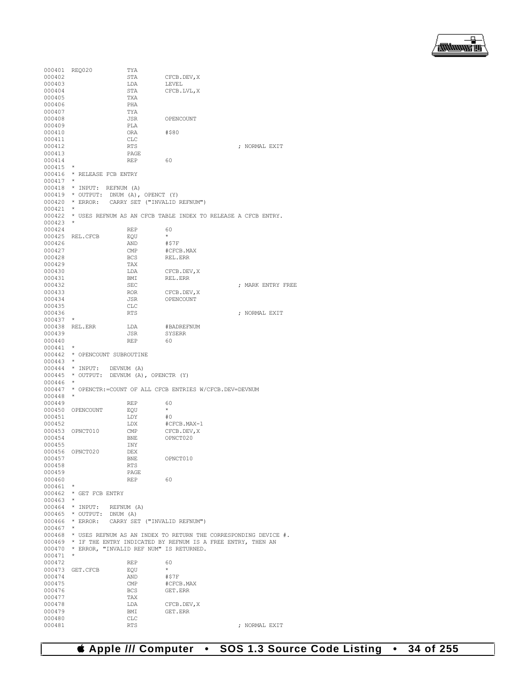

000401 REQ020 TYA STA CFCB.DEV, X<br>LDA LEVEL  $\begin{tabular}{llllll} 000403 & \text{LDA} \\ 000404 & \text{STA} \end{tabular}$ STA CFCB.LVL,X 000405 TXA<br>000406 PHA 000406 PHA<br>000407 TYA 000407 TYA TYA JSR JSR OPENCOUNT PLA 000409 PLA<br>000410 ORA 000410 ORA #\$80<br>000411 CLC 000411 CLC<br>000412 RTS  $$\mathsf{RTS}$$   $$\mathsf{PAGE}$$ 000413 PAGE PAGE 000414 REP 60 000415<br>000416  $*$  RELEASE FCB ENTRY  $000417$ <br> $000418$ 000418 \* INPUT: REFNUM (A)<br>000419 \* OUTPUT: DNUM (A), 000419 \* OUTPUT: DNUM (A), OPENCT (Y) 000420 \* ERROR: CARRY SET ("INVALID REFNUM") 000421<br>000422 \* USES REFNUM AS AN CFCB TABLE INDEX TO RELEASE A CFCB ENTRY. 000423 \* 000424 REP 60  $000425$  REL.CFCB EQU  $\star$ <br>000426 AND #\$7F 000426 AND<br>000427 CMP #CFCB.MAX 000428 BCS REL.ERR<br>000429 TAX 000429 TAX<br>000430 LDA CFCB.DEV, X 000431 BMI REL.ERR<br>000432 SEC 000432 SEC ; MARK ENTRY FREE 000433 ROR CFCB.DEV,X JSR OPENCOUNT 000435 CLC<br>000436 RTS ; NORMAL EXIT 000437 \* 000438 REL.ERR LDA #BADREFNUM<br>000439 JSR SYSERR JSR SYSERR<br>REP 60 000440 000441 \* 000442 \* OPENCOUNT SUBROUTINE  $000443$ <br> $000444$ 000444 \* INPUT: DEVNUM (A) 000445 \* OUTPUT: DEVNUM (A), OPENCTR (Y)  $000446$ <br> $000447$ \* OPENCTR:=COUNT OF ALL CFCB ENTRIES W/CFCB.DEV=DEVNUM 000448 \*  $\begin{tabular}{lcccc} 000449 & & & & & & & & 60 \\ 000450 & & 0PENCOUNT & & & & & \xi QU & & & \star \end{tabular}$ 000450 OPENCOUNT EQU  $\star$  000451 + LDY #0 000451 LDY LDY LDX LDX #CFCB.MAX-1<br>CMP CFCB.DEV,X 000453 OPNCT010 CMP<br>000454 BNE BNE OPNCT020<br>INY 000455 INY 000456 OPNCT020 DEX<br>000457 BNE BNE OPNCT010<br>RTS 000458 RTS<br>000459 PAGE 000459 PAGE<br>000460 REP 000460 REP 60 000461<br>000462  $_{\star}^{\star}$  GET FCB ENTRY 000463 \* 000464 \* INPUT: REFNUM  $(A)$ <br>000465 \* OUTPUT: DNUM  $(A)$ 000465 \* OUTPUT: DNUM (A)<br>000466 \* ERROR: CARRY SET \* ERROR: CARRY SET ("INVALID REFNUM")  $000467$  000468  $*$  USES REFNUM AS AN INDEX TO RETURN THE CORRESPONDING DEVICE  $#$ . 000469 \* IF THE ENTRY INDICATED BY REFNUM IS A FREE ENTRY, THEN AN 000470 \* ERROR, "INVALID REF NUM" IS RETURNED.  $^\star$  ERROR, "INVALID REF NUM" IS RETURNED. 000471 \*  $\begin{tabular}{lllll} 000472 & & & & & & & 60 \\ 000473 & GET.CFCB & & & & & \end{tabular}$ GET.CFCB EQU \*<br>AND #\$7F  $000474 \qquad \qquad {\rm AND} \\ 000475 \qquad \qquad {\rm CMP}$ 000475 CMP #CFCB.MAX BCS GET.ERR TAX 000477 TAX<br>000478 LDA 000478 LDA CFCB.DEV, X <br/>  $\,$  CDDA CFCB.DEV, X  $\,$  000479  $\,$  BMI GET.ERR BMI GET.ERR 000480 CLC<br>000481 RTS ; NORMAL EXIT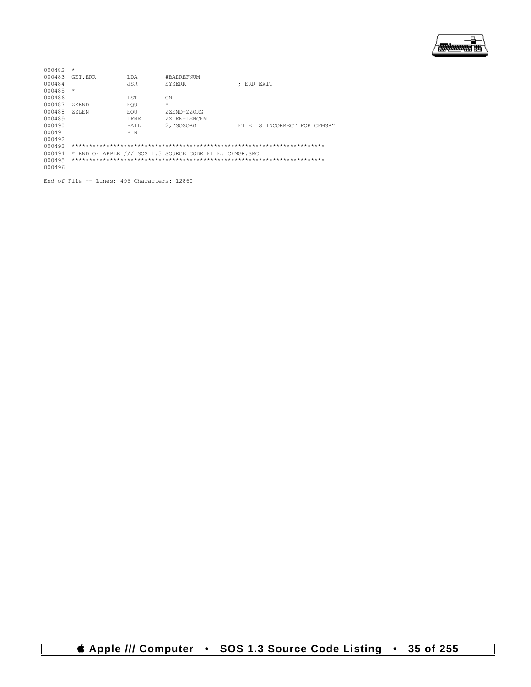

| 000482 | $\star$  |             |                                                        |                              |
|--------|----------|-------------|--------------------------------------------------------|------------------------------|
| 000483 | GET FRR  | T.DA        | #BADREFNUM                                             |                              |
| 000484 |          | <b>JSR</b>  | SYSERR                                                 | : ERR EXIT                   |
| 000485 | $\star$  |             |                                                        |                              |
| 000486 |          | <b>T.ST</b> | ON                                                     |                              |
| 000487 | 7.ZEND   | EOU         | $\star$                                                |                              |
| 000488 | $ZZ$ LEN | EOU         | ZZEND-ZZORG                                            |                              |
| 000489 |          | T FNE       | 77LEN-LENCEM                                           |                              |
| 000490 |          | FATT.       | 2. "SOSORG                                             | FILE IS INCORRECT FOR CFMGR" |
| 000491 |          | <b>FTN</b>  |                                                        |                              |
| 000492 |          |             |                                                        |                              |
| 000493 |          |             |                                                        |                              |
| 000494 |          |             | * END OF APPLE /// SOS 1.3 SOURCE CODE FILE: CFMGR.SRC |                              |
| 000495 |          |             |                                                        |                              |
| 000496 |          |             |                                                        |                              |
|        |          |             |                                                        |                              |

End of File -- Lines: 496 Characters: 12860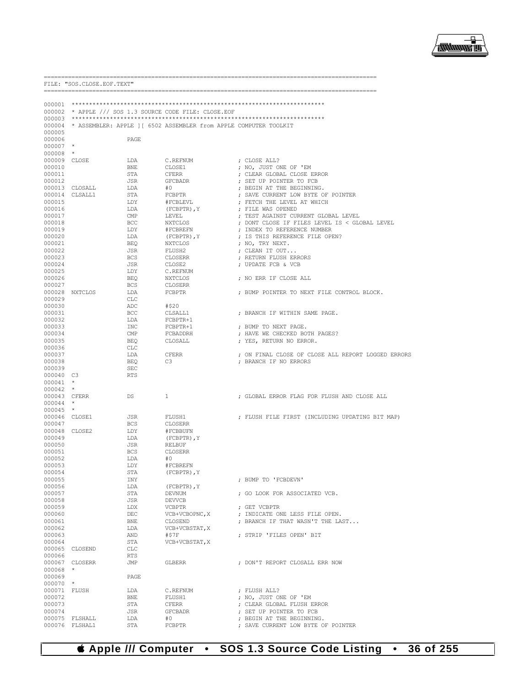

| FILE: "SOS.CLOSE.EOF.TEXT" |                                  |                   |                                                        |                                                                   |  |
|----------------------------|----------------------------------|-------------------|--------------------------------------------------------|-------------------------------------------------------------------|--|
| 000001                     |                                  |                   |                                                        |                                                                   |  |
|                            |                                  |                   | 000002 * APPLE /// SOS 1.3 SOURCE CODE FILE: CLOSE.EOF |                                                                   |  |
| 000003                     |                                  |                   |                                                        |                                                                   |  |
| 000004                     |                                  |                   |                                                        | * ASSEMBLER: APPLE ] [ 6502 ASSEMBLER from APPLE COMPUTER TOOLKIT |  |
| 000005                     |                                  |                   |                                                        |                                                                   |  |
| 000006<br>000007           | $\star$                          | PAGE              |                                                        |                                                                   |  |
| 000008                     | $\star$                          |                   |                                                        |                                                                   |  |
| 000009 CLOSE               |                                  | LDA               | C.REFNUM                                               | ; CLOSE ALL?                                                      |  |
| 000010                     |                                  | BNE               | CLOSE1                                                 | ; NO, JUST ONE OF 'EM                                             |  |
| 000011                     |                                  | STA               | CFERR                                                  | ; CLEAR GLOBAL CLOSE ERROR                                        |  |
| 000012                     |                                  | JSR               | GFCBADR                                                | ; SET UP POINTER TO FCB                                           |  |
|                            | 000013 CLOSALL<br>000014 CLSALL1 | LDA<br>STA        | #0<br>FCBPTR                                           | ; BEGIN AT THE BEGINNING.<br>; SAVE CURRENT LOW BYTE OF POINTER   |  |
| 000015                     |                                  | LDY               | #FCBLEVL                                               | ; FETCH THE LEVEL AT WHICH                                        |  |
| 000016                     |                                  | LDA               | (FCBPTR), Y                                            | ; FILE WAS OPENED                                                 |  |
| 000017                     |                                  | CMP               | LEVEL                                                  | ; TEST AGAINST CURRENT GLOBAL LEVEL                               |  |
| 000018                     |                                  | BCC               | NXTCLOS                                                | ; DONT CLOSE IF FILES LEVEL IS < GLOBAL LEVEL                     |  |
| 000019<br>000020           |                                  | LDY<br>LDA        | #FCBREFN                                               | ; INDEX TO REFERENCE NUMBER                                       |  |
| 000021                     |                                  | BEQ               | (FCBPTR), Y<br>NXTCLOS                                 | ; IS THIS REFERENCE FILE OPEN?<br>; NO, TRY NEXT.                 |  |
| 000022                     |                                  | JSR               | FLUSH2                                                 | ; CLEAN IT OUT                                                    |  |
| 000023                     |                                  | BCS               | CLOSERR                                                | ; RETURN FLUSH ERRORS                                             |  |
| 000024                     |                                  | JSR               | CLOSE2                                                 | ; UPDATE FCB & VCB                                                |  |
| 000025                     |                                  | LDY               | C.REFNUM                                               |                                                                   |  |
| 000026                     |                                  | BEQ               | NXTCLOS                                                | ; NO ERR IF CLOSE ALL                                             |  |
| 000027<br>000028           | NXTCLOS                          | <b>BCS</b><br>LDA | CLOSERR<br>FCBPTR                                      | ; BUMP POINTER TO NEXT FILE CONTROL BLOCK.                        |  |
| 000029                     |                                  | CLC               |                                                        |                                                                   |  |
| 000030                     |                                  | ADC               | #\$20                                                  |                                                                   |  |
| 000031                     |                                  | BCC               | CLSALL1                                                | ; BRANCH IF WITHIN SAME PAGE.                                     |  |
| 000032                     |                                  | LDA               | FCBPTR+1                                               |                                                                   |  |
| 000033                     |                                  | INC               | FCBPTR+1                                               | ; BUMP TO NEXT PAGE.                                              |  |
| 000034<br>000035           |                                  | CMP<br>BEQ        | FCBADDRH<br>CLOSALL                                    | ; HAVE WE CHECKED BOTH PAGES?<br>; YES, RETURN NO ERROR.          |  |
| 000036                     |                                  | CLC               |                                                        |                                                                   |  |
| 000037                     |                                  | LDA               | CFERR                                                  | ; ON FINAL CLOSE OF CLOSE ALL REPORT LOGGED ERRORS                |  |
| 000038                     |                                  | BEQ               | C3                                                     | ; BRANCH IF NO ERRORS                                             |  |
| 000039                     |                                  | SEC               |                                                        |                                                                   |  |
| 000040 C3                  |                                  | RTS               |                                                        |                                                                   |  |
| 000041<br>000042           | $\ast$<br>$\star$                |                   |                                                        |                                                                   |  |
| 000043 CFERR               |                                  | DS                | 1                                                      | ; GLOBAL ERROR FLAG FOR FLUSH AND CLOSE ALL                       |  |
| 000044                     |                                  |                   |                                                        |                                                                   |  |
| 000045                     | $\star$                          |                   |                                                        |                                                                   |  |
|                            | 000046 CLOSE1                    | JSR               | FLUSH1                                                 | ; FLUSH FILE FIRST (INCLUDING UPDATING BIT MAP)                   |  |
| 000047                     | 000048 CLOSE2                    | BCS               | CLOSERR                                                |                                                                   |  |
| 000049                     |                                  | LDY<br>LDA        | #FCBBUFN<br>(FCBPTR), Y                                |                                                                   |  |
| 000050                     |                                  | JSR               | <b>RELBUF</b>                                          |                                                                   |  |
| 000051                     |                                  | <b>BCS</b>        | CLOSERR                                                |                                                                   |  |
| 000052                     |                                  | LDA               | #0                                                     |                                                                   |  |
| 000053                     |                                  | LDY               | #FCBREFN                                               |                                                                   |  |
| 000054<br>000055           |                                  | STA<br>INY        | $(FCBPTR)$ , $Y$                                       | ; BUMP TO 'FCBDEVN'                                               |  |
| 000056                     |                                  | LDA               | $(FCBPTR)$ , $Y$                                       |                                                                   |  |
| 000057                     |                                  | STA               | <b>DEVNUM</b>                                          | ; GO LOOK FOR ASSOCIATED VCB.                                     |  |
| 000058                     |                                  | JSR               | <b>DEVVCB</b>                                          |                                                                   |  |
| 000059                     |                                  | LDX               | VCBPTR                                                 | ; GET VCBPTR                                                      |  |
| 000060                     |                                  | DEC               | VCB+VCBOPNC, X                                         | ; INDICATE ONE LESS FILE OPEN.                                    |  |
| 000061<br>000062           |                                  | BNE<br>LDA        | CLOSEND                                                | ; BRANCH IF THAT WASN'T THE LAST                                  |  |
| 000063                     |                                  | AND               | VCB+VCBSTAT, X<br>#STF                                 | ; STRIP 'FILES OPEN' BIT                                          |  |
| 000064                     |                                  | STA               | VCB+VCBSTAT, X                                         |                                                                   |  |
|                            | 000065 CLOSEND                   | CLC               |                                                        |                                                                   |  |
| 000066                     |                                  | RTS               |                                                        |                                                                   |  |
| 000068 *                   | 000067 CLOSERR                   | JMP               | GLBERR                                                 | ; DON'T REPORT CLOSALL ERR NOW                                    |  |
| 000069<br>$000070$ *       |                                  | PAGE              |                                                        |                                                                   |  |
| 000071 FLUSH               |                                  | LDA               | C.REFNUM                                               | ; FLUSH ALL?                                                      |  |
| 000072                     |                                  | BNE               | FLUSH1                                                 | ; NO, JUST ONE OF 'EM                                             |  |
| 000073<br>000074           |                                  | STA<br>JSR        | CFERR<br>GFCBADR                                       | ; CLEAR GLOBAL FLUSH ERROR<br>; SET UP POINTER TO FCB             |  |
|                            | 000075 FLSHALL                   | LDA               | #0                                                     | ; BEGIN AT THE BEGINNING.                                         |  |
|                            | 000076 FLSHAL1                   | STA               | FCBPTR                                                 | ; SAVE CURRENT LOW BYTE OF POINTER                                |  |

### *CApple III Computer* • SOS 1.3 Source Code Listing • 36 of 255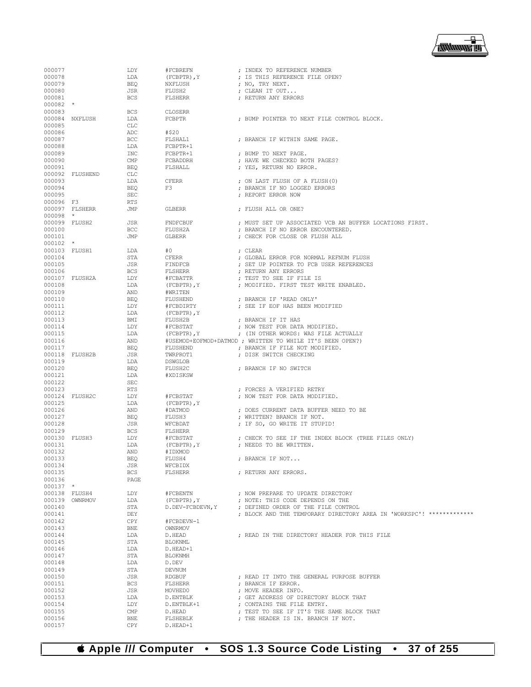

| 000077           |                | LDY        | #FCBREFN             | ; INDEX TO REFERENCE NUMBER                                          |
|------------------|----------------|------------|----------------------|----------------------------------------------------------------------|
| 000078           |                | LDA        | $(FCBPTR)$ , $Y$     | ; IS THIS REFERENCE FILE OPEN?                                       |
| 000079           |                | <b>BEO</b> | NXFLUSH              | ; NO, TRY NEXT.                                                      |
| 000080           |                | JSR        | FLUSH2               | ; CLEAN IT OUT                                                       |
| 000081           |                | <b>BCS</b> | FLSHERR              | ; RETURN ANY ERRORS                                                  |
| 000082           | $^\star$       |            |                      |                                                                      |
| 000083           |                | <b>BCS</b> | CLOSERR              |                                                                      |
| 000084           | NXFLUSH        | LDA        | FCBPTR               | ; BUMP POINTER TO NEXT FILE CONTROL BLOCK.                           |
| 000085           |                | <b>CLC</b> |                      |                                                                      |
| 000086           |                | ADC        | #\$20                |                                                                      |
| 000087           |                | BCC        | FLSHAL1              | ; BRANCH IF WITHIN SAME PAGE.                                        |
| 000088           |                | LDA        | FCBPTR+1             |                                                                      |
| 000089           |                | INC        | FCBPTR+1             | ; BUMP TO NEXT PAGE.                                                 |
| 000090           |                | CMP        | FCBADDRH             | ; HAVE WE CHECKED BOTH PAGES?                                        |
| 000091           |                | <b>BEQ</b> | FLSHALL              | ; YES, RETURN NO ERROR.                                              |
| 000092           | FLUSHEND       | CLC        |                      |                                                                      |
| 000093           |                | LDA        | <b>CFERR</b>         | ; ON LAST FLUSH OF A FLUSH (0)                                       |
| 000094           |                | <b>BEQ</b> | F3                   | ; BRANCH IF NO LOGGED ERRORS                                         |
| 000095           |                | <b>SEC</b> |                      | ; REPORT ERROR NOW                                                   |
| 000096 F3        |                | <b>RTS</b> |                      |                                                                      |
|                  | 000097 FLSHERR | JMP        | GLBERR               | ; FLUSH ALL OR ONE?                                                  |
| $000098$ *       |                |            |                      |                                                                      |
| 000099 FLUSH2    |                | JSR        | FNDFCBUF             | ; MUST SET UP ASSOCIATED VCB AN BUFFER LOCATIONS FIRST.              |
| 000100           |                | BCC        | FLUSH2A              | ; BRANCH IF NO ERROR ENCOUNTERED.                                    |
| 000101           |                | JMP        | GLBERR               | ; CHECK FOR CLOSE OR FLUSH ALL                                       |
| $000102$ *       |                |            |                      |                                                                      |
| 000103 FLUSH1    |                | LDA        | #0                   | ; CLEAR                                                              |
| 000104           |                | STA        | CFERR                | ; GLOBAL ERROR FOR NORMAL REFNUM FLUSH                               |
| 000105           |                | JSR        | FINDFCB              | ; SET UP POINTER TO FCB USER REFERENCES                              |
| 000106           |                | <b>BCS</b> | FLSHERR              | ; RETURN ANY ERRORS                                                  |
|                  | 000107 FLUSH2A | LDY        | #FCBATTR             | ; TEST TO SEE IF FILE IS                                             |
| 000108           |                | LDA        | (FCBPTR), Y          | ; MODIFIED. FIRST TEST WRITE ENABLED.                                |
| 000109           |                | AND        | #WRITEN              |                                                                      |
| 000110           |                | <b>BEQ</b> | FLUSHEND             | ; BRANCH IF 'READ ONLY'                                              |
| 000111           |                | LDY        | #FCBDIRTY            | ; SEE IF EOF HAS BEEN MODIFIED                                       |
| 000112           |                | LDA        | (FCBPTR), Y          |                                                                      |
| 000113           |                | BMI        | FLUSH2B              | ; BRANCH IF IT HAS                                                   |
| 000114           |                | LDY        | #FCBSTAT             | ; NOW TEST FOR DATA MODIFIED.                                        |
| 000115           |                | LDA        | $(FCBPTR)$ , $Y$     | ; (IN OTHER WORDS: WAS FILE ACTUALLY                                 |
| 000116           |                | AND        |                      | #USEMOD+EOFMOD+DATMOD ; WRITTEN TO WHILE IT'S BEEN OPEN?)            |
| 000117           |                | <b>BEO</b> | FLUSHEND             | ; BRANCH IF FILE NOT MODIFIED.                                       |
| 000118           | FLUSH2B        | JSR        | TWRPROT1             | ; DISK SWITCH CHECKING                                               |
| 000119           |                | LDA        | DSWGLOB              |                                                                      |
| 000120           |                | <b>BEQ</b> | FLUSH2C              | ; BRANCH IF NO SWITCH                                                |
| 000121           |                | LDA        | #XDISKSW             |                                                                      |
| 000122           |                | <b>SEC</b> |                      |                                                                      |
| 000123           |                | <b>RTS</b> |                      | ; FORCES A VERIFIED RETRY                                            |
| 000124           | FLUSH2C        | LDY        | #FCBSTAT             | ; NOW TEST FOR DATA MODIFIED.                                        |
| 000125           |                | LDA        | (FCBPTR), Y          |                                                                      |
| 000126           |                | AND        | #DATMOD              | ; DOES CURRENT DATA BUFFER NEED TO BE                                |
| 000127           |                | <b>BEQ</b> | FLUSH3               | ; WRITTEN? BRANCH IF NOT.                                            |
| 000128           |                | JSR        | WFCBDAT              | ; IF SO, GO WRITE IT STUPID!                                         |
| 000129           |                | <b>BCS</b> | FLSHERR              |                                                                      |
| 000130           | FLUSH3         | LDY        | #FCBSTAT             | ; CHECK TO SEE IF THE INDEX BLOCK (TREE FILES ONLY)                  |
| 000131           |                | LDA        | $(FCBPTR)$ , $Y$     | ; NEEDS TO BE WRITTEN.                                               |
| 000132           |                | AND        | #IDXMOD              |                                                                      |
| 000133           |                | BEQ        | FLUSH4               | ; BRANCH IF NOT                                                      |
| 000134           |                | JSR        | WFCBIDX              |                                                                      |
| 000135           |                | <b>BCS</b> | <b>FLSHERR</b>       | ; RETURN ANY ERRORS.                                                 |
| 000136           |                | PAGE       |                      |                                                                      |
| $000137$ *       |                |            |                      |                                                                      |
| 000138 FLUSH4    |                | LDY        | #FCBENTN             | ; NOW PREPARE TO UPDATE DIRECTORY                                    |
| 000139           | OWNRMOV        | LDA        | (FCBPTR), Y          | ; NOTE: THIS CODE DEPENDS ON THE                                     |
| 000140           |                | STA        | D.DEV-FCBDEVN, Y     | ; DEFINED ORDER OF THE FILE CONTROL                                  |
| 000141           |                | DEY        |                      | ; BLOCK AND THE TEMPORARY DIRECTORY AREA IN 'WORKSPC'! ************* |
| 000142           |                | CPY        | #FCBDEVN-1           |                                                                      |
| 000143           |                | <b>BNE</b> | OWNRMOV              |                                                                      |
| 000144           |                | LDA        | D.HEAD               | ; READ IN THE DIRECTORY HEADER FOR THIS FILE                         |
| 000145           |                | STA        | <b>BLOKNML</b>       |                                                                      |
| 000146           |                | LDA        | D.HEAD+1             |                                                                      |
| 000147           |                | STA        | <b>BLOKNMH</b>       |                                                                      |
| 000148           |                | LDA        | D.DEV                |                                                                      |
| 000149           |                | STA        | DEVNUM               |                                                                      |
| 000150           |                | JSR        | <b>RDGBUF</b>        | ; READ IT INTO THE GENERAL PURPOSE BUFFER                            |
| 000151           |                | <b>BCS</b> | <b>FLSHERR</b>       | ; BRANCH IF ERROR.                                                   |
| 000152           |                | JSR        | MOVHED0              | ; MOVE HEADER INFO.                                                  |
|                  |                |            |                      |                                                                      |
| 000153<br>000154 |                | LDA        | D.ENTBLK             | ; GET ADDRESS OF DIRECTORY BLOCK THAT<br>; CONTAINS THE FILE ENTRY.  |
|                  |                | LDY        | D.ENTBLK+1           |                                                                      |
| 000155           |                | CMP        | D.HEAD               | ; TEST TO SEE IF IT'S THE SAME BLOCK THAT                            |
| 000156<br>000157 |                | <b>BNE</b> | FLSHEBLK<br>D.HEAD+1 | ; THE HEADER IS IN. BRANCH IF NOT.                                   |
|                  |                | CPY        |                      |                                                                      |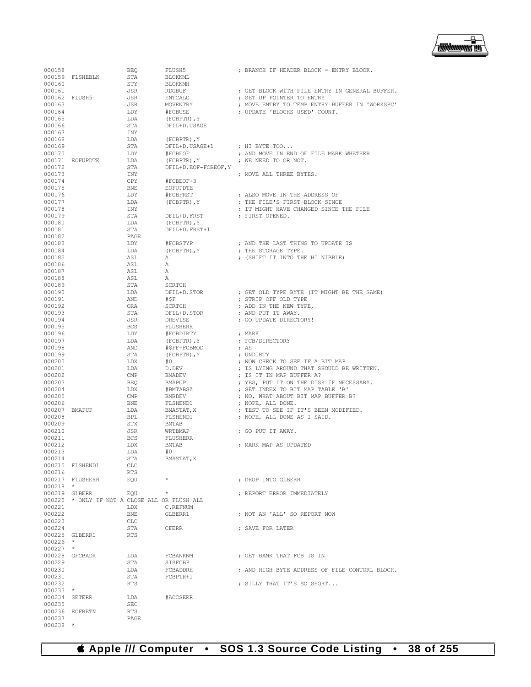

000238 \*

| 000158        |                                               |            |                      | ; BRANCH IF HEADER BLOCK = ENTRY BLOCK.        |
|---------------|-----------------------------------------------|------------|----------------------|------------------------------------------------|
|               |                                               | BEQ        | FLUSH5               |                                                |
|               | 000159 FLSHEBLK                               | STA        | <b>BLOKNML</b>       |                                                |
| 000160        |                                               | STY        | BLOKNMH              |                                                |
| 000161        |                                               | JSR        | RDGBUF               | ; GET BLOCK WITH FILE ENTRY IN GENERAL BUFFER. |
| 000162 FLUSH5 |                                               | JSR        | ENTCALC              | ; SET UP POINTER TO ENTRY                      |
| 000163        |                                               | JSR        | MOVENTRY             | ; MOVE ENTRY TO TEMP ENTRY BUFFER IN 'WORKSPC' |
| 000164        |                                               | LDY        | #FCBUSE              | ; UPDATE 'BLOCKS USED' COUNT.                  |
| 000165        |                                               | LDA        | $(FCBPTR)$ , $Y$     |                                                |
| 000166        |                                               | STA        | DFIL+D.USAGE         |                                                |
| 000167        |                                               | INY        |                      |                                                |
| 000168        |                                               | LDA        | $(FCBPTR)$ , $Y$     |                                                |
| 000169        |                                               | STA        | DFIL+D.USAGE+1       | ; HI BYTE TOO                                  |
|               |                                               |            |                      | ; AND MOVE IN END OF FILE MARK WHETHER         |
| 000170        |                                               | LDY        | #FCBEOF              |                                                |
|               | 000171 EOFUPDTE                               | LDA        | (FCBPTR), Y          | ; WE NEED TO OR NOT.                           |
| 000172        |                                               | STA        | DFIL+D.EOF-FCBEOF, Y |                                                |
| 000173        |                                               | INY        |                      | ; MOVE ALL THREE BYTES.                        |
| 000174        |                                               | CPY        | #FCBEOF+3            |                                                |
| 000175        |                                               | BNE        | EOFUPDTE             |                                                |
| 000176        |                                               | LDY        | #FCBFRST             | ; ALSO MOVE IN THE ADDRESS OF                  |
| 000177        |                                               | LDA        | $(FCBPTR)$ , $Y$     | ; THE FILE'S FIRST BLOCK SINCE                 |
| 000178        |                                               | INY        |                      | ; IT MIGHT HAVE CHANGED SINCE THE FILE         |
|               |                                               |            |                      |                                                |
| 000179        |                                               | STA        | DFIL+D.FRST          | ; FIRST OPENED.                                |
| 000180        |                                               | LDA        | $(FCBPTR)$ , $Y$     |                                                |
| 000181        |                                               | STA        | DFIL+D.FRST+1        |                                                |
| 000182        |                                               | PAGE       |                      |                                                |
| 000183        |                                               | LDY        | #FCBSTYP             | ; AND THE LAST THING TO UPDATE IS              |
| 000184        |                                               | LDA        | (FCBPTR), Y          | ; THE STORAGE TYPE.                            |
| 000185        |                                               | ASL        | Α                    | ; (SHIFT IT INTO THE HI NIBBLE)                |
| 000186        |                                               | ASL        | Α                    |                                                |
| 000187        |                                               |            | Α                    |                                                |
|               |                                               | ASL        |                      |                                                |
| 000188        |                                               | ASL        | Α                    |                                                |
| 000189        |                                               | STA        | <b>SCRTCH</b>        |                                                |
| 000190        |                                               | LDA        | DFIL+D.STOR          | ; GET OLD TYPE BYTE (IT MIGHT BE THE SAME)     |
| 000191        |                                               | AND        | #ŞF                  | ; STRIP OFF OLD TYPE                           |
| 000192        |                                               | ORA        | SCRTCH               | ; ADD IN THE NEW TYPE,                         |
| 000193        |                                               | STA        | DFIL+D.STOR          | ; AND PUT IT AWAY.                             |
| 000194        |                                               | JSR        | DREVISE              | ; GO UPDATE DIRECTORY!                         |
| 000195        |                                               | <b>BCS</b> | FLUSHERR             |                                                |
| 000196        |                                               | LDY        | #FCBDIRTY            | ; MARK                                         |
|               |                                               |            |                      |                                                |
| 000197        |                                               | LDA        | (FCBPTR), Y          | ; FCB/DIRECTORY                                |
| 000198        |                                               | AND        | #\$FF-FCBMOD         | ; AS                                           |
| 000199        |                                               | STA        | (FCBPTR), Y          | ; UNDIRTY                                      |
| 000200        |                                               | LDX        | #0                   | ; NOW CHECK TO SEE IF A BIT MAP                |
| 000201        |                                               | LDA        | D.DEV                | ; IS LYING AROUND THAT SHOULD BE WRITTEN.      |
| 000202        |                                               | CMP        | BMADEV               | ; IS IT IN MAP BUFFER A?                       |
| 000203        |                                               | BEQ        | BMAPUP               | ; YES, PUT IT ON THE DISK IF NECESSARY.        |
| 000204        |                                               | LDX        | #BMTABSZ             | ; SET INDEX TO BIT MAP TABLE 'B'               |
| 000205        |                                               | CMP        | BMBDEV               | ; NO, WHAT ABOUT BIT MAP BUFFER B?             |
| 000206        |                                               | BNE        | FLSHEND1             |                                                |
|               |                                               |            |                      | ; NOPE, ALL DONE.                              |
| 000207        | BMAPUP                                        | LDA        | BMASTAT, X           | ; TEST TO SEE IF IT'S BEEN MODIFIED.           |
| 000208        |                                               | BPL        | FLSHEND1             | ; NOPE, ALL DONE AS I SAID.                    |
| 000209        |                                               | STX        | BMTAB                |                                                |
| 000210        |                                               | JSR        | WRTBMAP              | ; GO PUT IT AWAY.                              |
| 000211        |                                               | <b>BCS</b> | FLUSHERR             |                                                |
| 000212        |                                               | LDX        | <b>BMTAB</b>         | ; MARK MAP AS UPDATED                          |
| 000213        |                                               | LDA        | #0                   |                                                |
| 000214        |                                               | STA        | BMASTAT, X           |                                                |
|               | 000215 FLSHEND1                               | CLC        |                      |                                                |
| 000216        |                                               | RTS        |                      |                                                |
|               |                                               |            | $\star$              |                                                |
|               | 000217 FLUSHERR                               | EOU        |                      | ; DROP INTO GLBERR                             |
| $000218$ *    |                                               |            |                      |                                                |
|               | 000219 GLBERR                                 | EQU        | $\star$              | ; REPORT ERROR IMMEDIATELY                     |
|               | 000220 * ONLY IF NOT A CLOSE ALL OR FLUSH ALL |            |                      |                                                |
| 000221        |                                               | LDX        | C.REFNUM             |                                                |
| 000222        |                                               | BNE        | GLBERR1              | ; NOT AN 'ALL' SO REPORT NOW                   |
| 000223        |                                               | CLC        |                      |                                                |
| 000224        |                                               | STA        | <b>CFERR</b>         | ; SAVE FOR LATER                               |
|               | 000225 GLBERR1                                | RTS        |                      |                                                |
| $000226$ *    |                                               |            |                      |                                                |
|               |                                               |            |                      |                                                |
| $000227$ *    |                                               |            |                      |                                                |
|               | 000228 GFCBADR                                | LDA        | FCBANKNM             | ; GET BANK THAT FCB IS IN                      |
| 000229        |                                               | STA        | SISFCBP              |                                                |
| 000230        |                                               | LDA        | FCBADDRH             | ; AND HIGH BYTE ADDRESS OF FILE CONTORL BLOCK. |
| 000231        |                                               | STA        | FCBPTR+1             |                                                |
| 000232        |                                               | RTS        |                      | ; SILLY THAT IT'S SO SHORT                     |
| $000233$ *    |                                               |            |                      |                                                |
|               | 000234 SETERR                                 | LDA        | #ACCSERR             |                                                |
| 000235        |                                               | SEC        |                      |                                                |
|               | 000236 EOFRETN                                | RTS        |                      |                                                |
|               |                                               |            |                      |                                                |
| 000237        |                                               | PAGE       |                      |                                                |

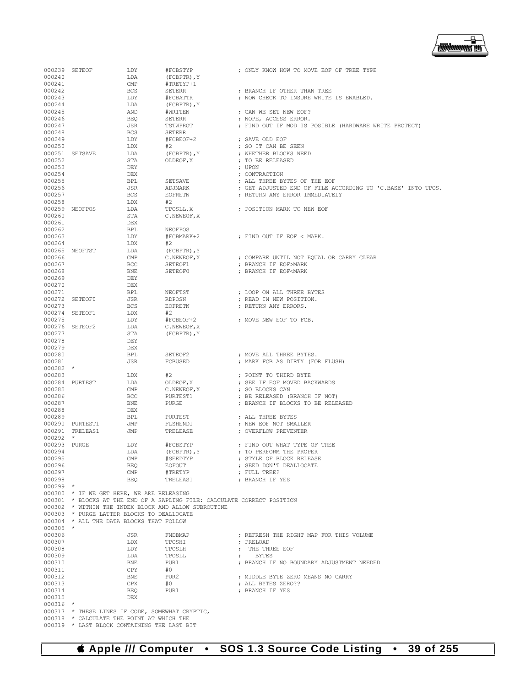000319 \* LAST BLOCK CONTAINING THE LAST BIT

000239 SETEOF LDY #FCBSTYP ; ONLY KNOW HOW TO MOVE EOF OF TREE TYPE 000240 **LDA** (FCBPTR), Y<br>000241 **CMP** #TRETYP+1  $\begin{array}{cccc}\n 000241 & & & & \textrm{CMP} & & \text{\#TRETYP+1} \\
 000242 & & & & \textrm{BCS} & & \textrm{SETERR}\n \end{array}$ 000242 BCS SETERR ; BRANCH IF OTHER THAN TREE 000243 LDY #FCBATTR ; NOW CHECK TO INSURE WRITE IS ENABLED.  $\begin{array}{cccc} 000244 & \text{LDA} & \text{(FCBPTR) \textit{, Y}} \\ 000245 & \text{AND} & \text{\#WRITEN} \end{array}$ 000245 AND #WRITEN ; CAN WE SET NEW EOF? 000246 BEQ SETERR ; NOPE, ACCESS ERROR. 000247 JSR TSTWPROT ; FIND OUT IF MOD IS POSIBLE (HARDWARE WRITE PROTECT) 000248 BCS SETERR<br>000249 T.DY #FCBEOF+2 000249 LDY  $\text{LDY}$  #FCBEOF+2 ; SAVE OLD EOF 000250 LDX  $\text{LDX}$  #2 ; SO IT CAN BE 000250 LDX #2 ; SO IT CAN BE SEEN 000251 SETSAVE LDA (FCBPTR), Y , WHETHER BLOCKS NEED 000252 STA OLDEOF, X ; TO BE RELEASED 000252 STA OLDEOF,X ; TO BE RELEASED 000253 DEY ; UPON 000254 DEX ; CONTRACTION 000255 BPL SETSAVE ; ALL THREE BYTES OF THE EOF 000256 JSR ADJMARK ; GET ADJUSTED END OF FILE ACCORDING TO 'C.BASE' INTO TPOS. BCS EOFRETN ; RETURN ANY ERROR IMMEDIATELY LDX  $#2$ 000258 LDX #2<br>000259 NEOFPOS LDA TPOSLL, X 000259 NEOFPOS LDA TPOSLL, X ; POSITION MARK TO NEW EOF 000260 STA C.NEWEOF, X 000261 DEX<br>000262 BPL 000262 BPL NEOFPOS  $\text{LDY}$   $\text{#FCBMARK}+2$  ; FIND OUT IF EOF < MARK.<br>  $\text{LDX}$   $\text{#2}$ 000264 <br>000265 NEOFTST LDA (FCBPTR), Y 000265 NEOFTST LDA (FCBPTR), Y<br>000266 CMP C.NEWEOF, X 000266 CMP C.NEWEOF,X ; COMPARE UNTIL NOT EQUAL OR CARRY CLEAR 000267 BCC SETEOF1 ; BRANCH IF EOF>MARK : BRANCH IF EOF<MARK 000269 DEY<br>000270 DEX 000270 DEX<br>000271 RPL 000271 BPL NEOFTST ; LOOP ON ALL THREE BYTES 000272 SETEOF0 JSR RDPOSN ; READ IN NEW POSITION.  $\begin{array}{lll} \text{BCS} & \text{EOFFETN} & \text{FETURN ANY ERRORS.} \\ \text{LDX} & \text{#2} & \end{array}$ 000274 SETEOF1 LDX #2<br>000275 LDY #FCBEOF+2  $\text{LDY}$  #FCBEOF+2 ; MOVE NEW EOF TO FCB.<br>
1.DA C. NEWEOF.X 000276 SETEOF2 LDA<br>000277 STA  $\begin{array}{lll} \texttt{STA} & \qquad & \texttt{(FCBPTR)}\texttt{, Y} \\ \texttt{DEY} & \qquad & \end{array}$ 000278 DEY 000279 DEX<br>000280 BPL 000280 BPL SETEOF2 ; MOVE ALL THREE BYTES. ; MARK FCB AS DIRTY (FOR FLUSH) 000282<br>000283 000283 LDX #2 ; POINT TO THIRD BYTE 000284 PURTEST LDA OLDEOF,X ; SEE IF EOF MOVED BACKWARDS 000285 CMP C.NEWEOF, X ; SO BLOCKS CAN COO286 CONFIDENT CONFIDENTI 000286 BCC PURTEST1 ; BE RELEASED (BRANCH IF NOT) **DE BIVE BURGE ; BRANCH IF BLOCKS TO BE RELEASED** 000288 DEX<br>000289 BPL 000289 BPL PURTEST ; ALL THREE BYTES 000290 PURTEST1 JMP FLSHEND1 ; NEW EOF NOT SMALLER ; OVERFLOW PREVENTER 000292 \*<br>000293 PURGE 000293 PURGE LDY #FCBSTYP ; FIND OUT WHAT TYPE OF TREE <br/>
LDA (FCBPTR), Y ; TO PERFORM THE PROPER 000294 LDA (FCBPTR),Y ; TO PERFORM THE PROPER 000295 CMP #SEEDTYP ; STYLE OF BLOCK RELEASE 000296 BEQ EOFOUT ; SEED DON'T DEALLOCATE 000297 CMP #TRETYP ; FULL TREE? : BRANCH IF YES 000299 \* 000300 \* IF WE GET HERE, WE ARE RELEASING 000301 \* BLOCKS AT THE END OF A SAPLING FILE: CALCULATE CORRECT POSITION 000302  $*$  WITHIN THE INDEX BLOCK AND ALLOW SUBROUTINE 000303  $*$  PURGE LATTER BLOCKS TO DEALLOCATE 000303  $\star$  PURGE LATTER BLOCKS TO DEALLOCATE 000304  $\star$  all the data blocks that follow \* ALL THE DATA BLOCKS THAT FOLLOW  $000305$   $000306$ 000306 JSR FNDBMAP ; REFRESH THE RIGHT MAP FOR THIS VOLUME 000307 LDX TPOSHI ; PRELOAD 000308 LDY TPOSLH ; THE THREE EOF 000309 LDA TPOSLL ; BYTES 000310 BNE PUR1 ; BRANCH IF NO BOUNDARY ADJUSTMENT NEEDED 000311 CPY  $\#0$ 000311 CPY #0<br>000312 BNE PUR2 000312 BNE PUR2 ; MIDDLE BYTE ZERO MEANS NO CARRY  $\begin{array}{ccccccccc} 000313 &&&&&&&&\texttt{CPX}&&\texttt{#0}&&&&&&\texttt{; ALL BYTES ZERO??}\\ 000314 &&&&&&&&\texttt{BEQ}&&&&&\texttt{PURI}&&&&&&\texttt{; BRANCH IFYES} \end{array}$ BEQ PUR1 ; BRANCH IF YES 000315 000316<br>000317 000317  $*$  THESE LINES IF CODE, SOMEWHAT CRYPTIC, 000318  $*$  CALCULATE THE POINT AT WHICH THE 000318 \* CALCULATE THE POINT AT WHICH THE 000319 \* LAST BLOCK CONTAINING THE LAST B

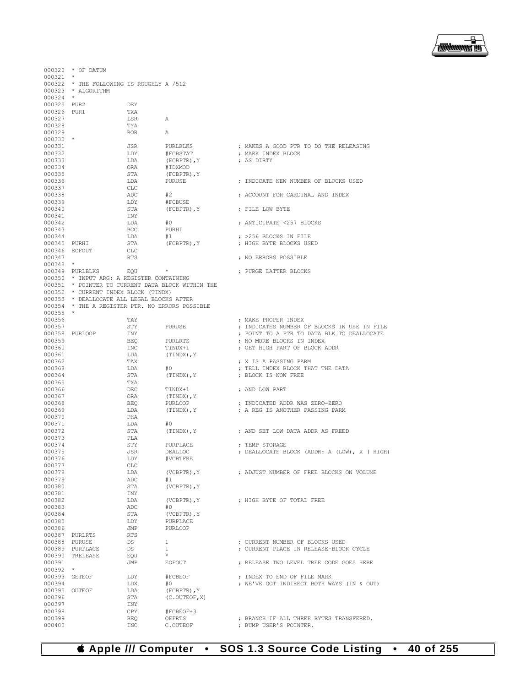## **Apple /// Computer • SOS 1.3 Source Code Listing • 40 of 255**

|                         | 000320 * OF DATUM                                                                             |            |                       |                                              |
|-------------------------|-----------------------------------------------------------------------------------------------|------------|-----------------------|----------------------------------------------|
| $000321$ *              |                                                                                               |            |                       |                                              |
|                         | 000322 * THE FOLLOWING IS ROUGHLY A /512                                                      |            |                       |                                              |
|                         | 000323 * ALGORITHM                                                                            |            |                       |                                              |
| $000324$ *              |                                                                                               |            |                       |                                              |
| 000325 PUR2             |                                                                                               | DEY        |                       |                                              |
| 000326 PUR1             |                                                                                               | TXA        |                       |                                              |
| 000327<br>000328        |                                                                                               | LSR<br>TYA | Α                     |                                              |
| 000329                  |                                                                                               | <b>ROR</b> | А                     |                                              |
| $000330$ *              |                                                                                               |            |                       |                                              |
| 000331                  |                                                                                               | JSR        | PURLBLKS              | ; MAKES A GOOD PTR TO DO THE RELEASING       |
| 000332                  |                                                                                               | LDY        | #FCBSTAT              | ; MARK INDEX BLOCK                           |
| 000333                  |                                                                                               | LDA        | (FCBPTR), Y           | ; AS DIRTY                                   |
| 000334                  |                                                                                               | ORA        | #IDXMOD               |                                              |
| 000335                  |                                                                                               | STA        | (FCBPTR), Y           |                                              |
| 000336                  |                                                                                               | LDA        | PURUSE                | ; INDICATE NEW NUMBER OF BLOCKS USED         |
| 000337                  |                                                                                               | CLC        |                       |                                              |
| 000338                  |                                                                                               | ADC        | #2                    | ; ACCOUNT FOR CARDINAL AND INDEX             |
| 000339                  |                                                                                               | LDY        | #FCBUSE               |                                              |
| 000340                  |                                                                                               | STA        | (FCBPTR), Y           | ; FILE LOW BYTE                              |
| 000341<br>000342        |                                                                                               | INY<br>LDA | #0                    | ; ANTICIPATE <257 BLOCKS                     |
| 000343                  |                                                                                               | BCC        | PURHI                 |                                              |
| 000344                  |                                                                                               | LDA        | #1                    | ; >256 BLOCKS IN FILE                        |
| 000345 PURHI            |                                                                                               | STA        | (FCBPTR), Y           | ; HIGH BYTE BLOCKS USED                      |
| 000346 EOFOUT           |                                                                                               | CLC        |                       |                                              |
| 000347                  |                                                                                               | <b>RTS</b> |                       | ; NO ERRORS POSSIBLE                         |
| $000348$ *              |                                                                                               |            |                       |                                              |
|                         | 000349 PURLBLKS                                                                               | EOU        | $\star$               | ; PURGE LATTER BLOCKS                        |
|                         | 000350 * INPUT ARG: A REGISTER CONTAINING                                                     |            |                       |                                              |
|                         | 000351 * POINTER TO CURRENT DATA BLOCK WITHIN THE                                             |            |                       |                                              |
|                         | 000352 * CURRENT INDEX BLOCK (TINDX)                                                          |            |                       |                                              |
|                         | 000353 * DEALLOCATE ALL LEGAL BLOCKS AFTER<br>000354 * THE A REGISTER PTR. NO ERRORS POSSIBLE |            |                       |                                              |
| $000355$ *              |                                                                                               |            |                       |                                              |
| 000356                  |                                                                                               | TAY        |                       | ; MAKE PROPER INDEX                          |
| 000357                  |                                                                                               | STY        | PURUSE                | ; INDICATES NUMBER OF BLOCKS IN USE IN FILE  |
|                         | 000358 PURLOOP                                                                                | INY        |                       | ; POINT TO A PTR TO DATA BLK TO DEALLOCATE   |
| 000359                  |                                                                                               | BEQ        | PURLRTS               | ; NO MORE BLOCKS IN INDEX                    |
| 000360                  |                                                                                               | INC        | TINDX+1               | ; GET HIGH PART OF BLOCK ADDR                |
| 000361                  |                                                                                               | LDA        | (TINDX), Y            |                                              |
| 000362                  |                                                                                               | TAX        |                       | ; X IS A PASSING PARM                        |
| 000363                  |                                                                                               | LDA        | #0                    | ; TELL INDEX BLOCK THAT THE DATA             |
| 000364                  |                                                                                               | STA        | (TINDX), Y            | ; BLOCK IS NOW FREE                          |
| 000365                  |                                                                                               | TXA        |                       |                                              |
| 000366                  |                                                                                               | DEC        | TINDX+1               | ; AND LOW PART                               |
| 000367<br>000368        |                                                                                               | ORA<br>BEQ | (TINDX), Y<br>PURLOOP | ; INDICATED ADDR WAS ZERO-ZERO               |
| 000369                  |                                                                                               | LDA        | (TINDX), Y            | ; A REG IS ANOTHER PASSING PARM              |
| 000370                  |                                                                                               | PHA        |                       |                                              |
| 000371                  |                                                                                               | LDA        | #0                    |                                              |
| 000372                  |                                                                                               | STA        | (TINDX), Y            | ; AND SET LOW DATA ADDR AS FREED             |
| 000373                  |                                                                                               | PLA        |                       |                                              |
| 000374                  |                                                                                               | STY        | PURPLACE              | ; TEMP STORAGE                               |
| 000375                  |                                                                                               | JSR        | <b>DEALLOC</b>        | ; DEALLOCATE BLOCK (ADDR: A (LOW), X ( HIGH) |
| 000376                  |                                                                                               | LDY        | #VCBTFRE              |                                              |
| 000377                  |                                                                                               | <b>CLC</b> |                       |                                              |
| 000378                  |                                                                                               | LDA        | $(VCBPTR)$ , $Y$      | ; ADJUST NUMBER OF FREE BLOCKS ON VOLUME     |
| 000379<br>000380        |                                                                                               | ADC        | #1                    |                                              |
| 000381                  |                                                                                               | STA<br>INY | (VCBPTR), Y           |                                              |
| 000382                  |                                                                                               | LDA        | (VCBPTR), Y           | : HIGH BYTE OF TOTAL FREE                    |
| 000383                  |                                                                                               | ADC        | #0                    |                                              |
| 000384                  |                                                                                               | STA        | $(VCBPTR)$ , $Y$      |                                              |
| 000385                  |                                                                                               | LDY        | PURPLACE              |                                              |
| 000386                  |                                                                                               | JMP        | <b>PURLOOP</b>        |                                              |
|                         | 000387 PURLRTS                                                                                | <b>RTS</b> |                       |                                              |
| 000388 PURUSE           |                                                                                               | <b>DS</b>  | $\mathbf{1}$          | : CURRENT NUMBER OF BLOCKS USED              |
|                         | 000389 PURPLACE                                                                               | DS         | $\mathbf{1}$          | ; CURRENT PLACE IN RELEASE-BLOCK CYCLE       |
|                         | 000390 TRELEASE                                                                               | EOU        | $\star$               |                                              |
| 000391                  |                                                                                               | JMP        | EOFOUT                | ; RELEASE TWO LEVEL TREE CODE GOES HERE      |
| $000392$ *              |                                                                                               |            |                       |                                              |
| 000393 GETEOF           |                                                                                               | LDY<br>LDX | #FCBEOF<br>#0         | ; INDEX TO END OF FILE MARK                  |
| 000394<br>000395 OUTEOF |                                                                                               | LDA        | (FCBPTR), Y           | ; WE'VE GOT INDIRECT BOTH WAYS (IN & OUT)    |
| 000396                  |                                                                                               | STA        | (C. OUTEOF, X)        |                                              |
| 000397                  |                                                                                               | INY        |                       |                                              |
| 000398                  |                                                                                               | CPY        | #FCBEOF+3             |                                              |
| 000399                  |                                                                                               | BEO        | OFFRTS                | ; BRANCH IF ALL THREE BYTES TRANSFERED.      |
| 000400                  |                                                                                               | INC        | C.OUTEOF              | ; BUMP USER'S POINTER.                       |

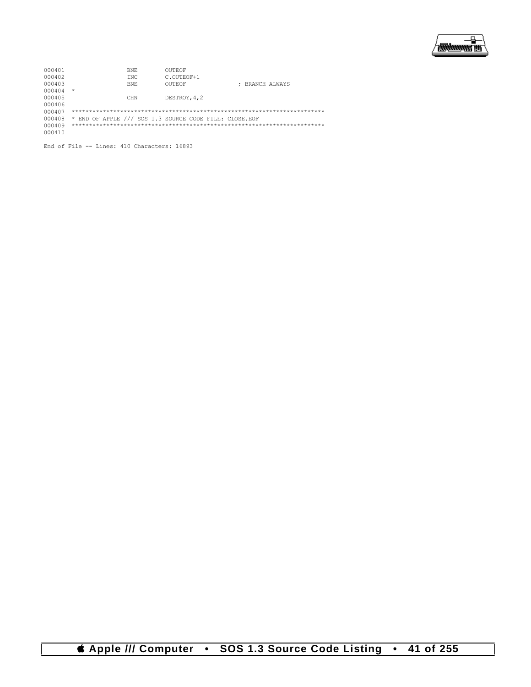

| 000401 | BNF.                                                   | OUTEOF        |                 |
|--------|--------------------------------------------------------|---------------|-----------------|
| 000402 | TNC.                                                   | C.OUTEOF+1    |                 |
| 000403 | BNE.                                                   | OUTEOF        | : BRANCH ALWAYS |
| 000404 | $\star$                                                |               |                 |
| 000405 | CHN                                                    | DESTROY, 4, 2 |                 |
| 000406 |                                                        |               |                 |
| 000407 |                                                        |               |                 |
| 000408 | * END OF APPLE /// SOS 1.3 SOURCE CODE FILE: CLOSE.EOF |               |                 |
| 000409 |                                                        |               |                 |
| 000410 |                                                        |               |                 |
|        |                                                        |               |                 |

End of File -- Lines: 410 Characters: 16893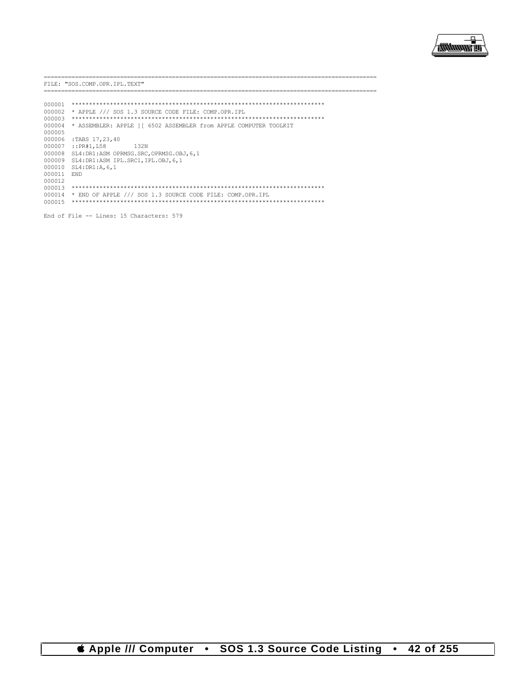

========================= FILE: "SOS.COMP.OPR.IPL.TEXT" .================= 000004 \* ASSEMBLER: APPLE ] [ 6502 ASSEMBLER from APPLE COMPUTER TOOLKIT 000005 000006 :TABS 17, 23, 40 000007 :: PR#1, L58 132N 000008 SL4: DR1:ASM OPRMSG. SRC, OPRMSG. OBJ, 6, 1 000009 SL4:DR1:ASM IPL.SRC1, IPL.OBJ, 6, 1 000010 SL4:DR1:A, 6, 1 000011 END 000012 000014 \* END OF APPLE /// SOS 1.3 SOURCE CODE FILE: COMP.OPR.IPL 

End of File -- Lines: 15 Characters: 579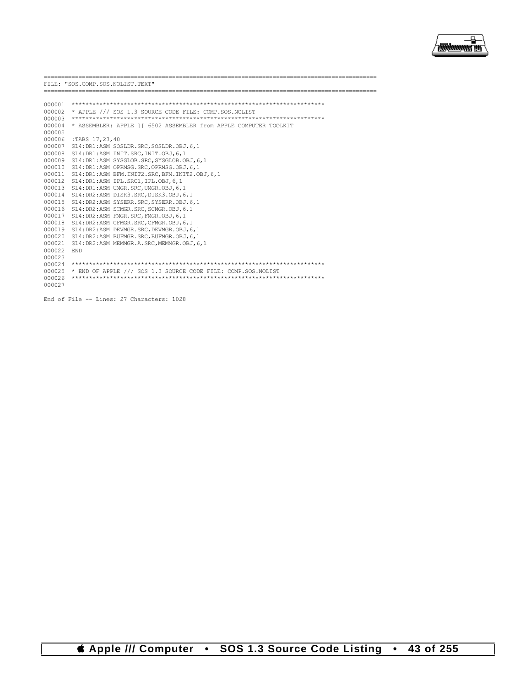

----------------

FILE: "SOS.COMP.SOS.NOLIST.TEXT"

| 000001 |                                                                  |
|--------|------------------------------------------------------------------|
| 000002 | * APPLE /// SOS 1.3 SOURCE CODE FILE: COMP.SOS.NOLIST            |
| 000003 |                                                                  |
| 000004 | * ASSEMBLER: APPLE 11 6502 ASSEMBLER from APPLE COMPUTER TOOLKIT |
| 000005 |                                                                  |
| 000006 | :TABS 17,23,40                                                   |
| 000007 | SL4: DR1:ASM SOSLDR. SRC. SOSLDR. OBJ. 6.1                       |
| 000008 | SL4: DR1:ASM INIT. SRC. INIT. OBJ. 6.1                           |
| 000009 | SL4: DR1:ASM SYSGLOB. SRC, SYSGLOB. OBJ, 6, 1                    |
| 000010 | SL4: DR1:ASM OPRMSG. SRC. OPRMSG. OBJ. 6.1                       |
| 000011 | SL4: DR1: ASM BFM. INIT2. SRC, BFM. INIT2. OBJ, 6, 1             |
| 000012 | SL4:DR1:ASM IPL.SRC1, IPL.OBJ.6.1                                |
| 000013 | SL4: DR1:ASM UMGR. SRC. UMGR. OBJ. 6.1                           |
| 000014 | SL4: DR2:ASM DISK3.SRC, DISK3.OBJ, 6, 1                          |
| 000015 | SL4: DR2:ASM SYSERR. SRC. SYSERR. OBJ. 6.1                       |
| 000016 | SL4:DR2:ASM SCMGR.SRC.SCMGR.OBJ.6.1                              |
| 000017 | SL4: DR2:ASM FMGR. SRC. FMGR. OBJ. 6.1                           |
| 000018 | SL4: DR2:ASM CFMGR. SRC. CFMGR. OBJ. 6.1                         |
| 000019 | SL4: DR2:ASM DEVMGR. SRC. DEVMGR. OBJ. 6.1                       |
| 000020 | SL4: DR2:ASM BUFMGR. SRC. BUFMGR. OBJ. 6.1                       |
| 000021 | SL4: DR2: ASM MEMMGR.A. SRC. MEMMGR.OBJ. 6.1                     |
| 000022 | <b>END</b>                                                       |
| 000023 |                                                                  |
| 000024 |                                                                  |
| 000025 | * END OF APPLE /// SOS 1.3 SOURCE CODE FILE: COMP.SOS.NOLIST     |
| 000026 |                                                                  |
| 000027 |                                                                  |

```
End of File -- Lines: 27 Characters: 1028
```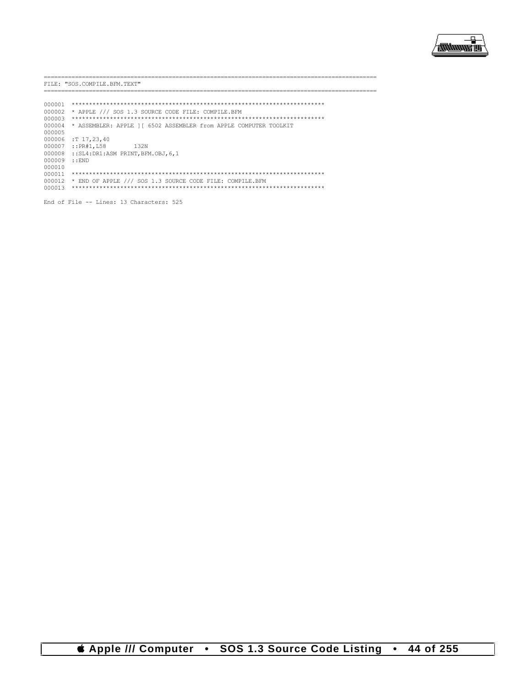

. \_\_\_\_\_\_\_\_\_\_\_\_\_\_\_\_\_\_\_\_\_\_\_\_\_\_\_\_

FILE: "SOS.COMPILE.BFM.TEXT"

-----------------------

| 000001 |                                                                  |
|--------|------------------------------------------------------------------|
| 000002 | * APPLE /// SOS 1.3 SOURCE CODE FILE: COMPILE.BFM                |
| 000003 |                                                                  |
| 000004 | * ASSEMBLER: APPLE 11 6502 ASSEMBLER from APPLE COMPUTER TOOLKIT |
| 000005 |                                                                  |
| 000006 | :T 17,23,40                                                      |
| 000007 | ::PR#1, L58<br>1.32N                                             |
| 000008 | $::SL4:DR1:ASM$ PRINT, BFM. $OBJ, 6, 1$                          |
| 000009 | : FND                                                            |
| 000010 |                                                                  |
| 000011 |                                                                  |
| 000012 | * END OF APPLE /// SOS 1.3 SOURCE CODE FILE: COMPILE.BFM         |
| 000013 |                                                                  |
|        |                                                                  |

End of File -- Lines: 13 Characters: 525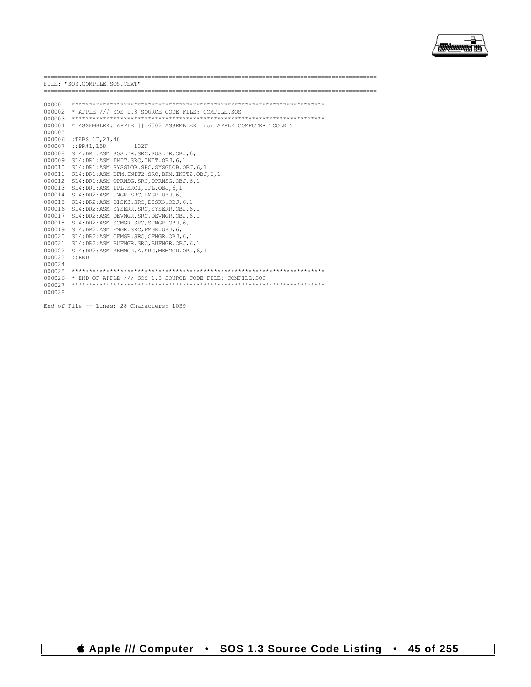

-----------------------

FILE: "SOS.COMPILE.SOS.TEXT"

--------------------

| 000001<br>000002<br>000003<br>000004<br>000005<br>000006<br>000007<br>000008<br>000009<br>000010<br>000011<br>000012<br>000013 | * APPLE /// SOS 1.3 SOURCE CODE FILE: COMPILE.SOS<br>* ASSEMBLER: APPLE 11 6502 ASSEMBLER from APPLE COMPUTER TOOLKIT<br>:TABS 17,23,40<br>$:$ : PR#1, L58<br>1.32N<br>SL4: DR1:ASM SOSLDR. SRC, SOSLDR. OBJ, 6, 1<br>SL4: DR1:ASM INIT. SRC. INIT. OBJ. 6.1<br>SL4: DR1:ASM SYSGLOB. SRC, SYSGLOB. OBJ, 6, 1<br>SL4: DR1: ASM BFM. INIT2. SRC, BFM. INIT2. OBJ, 6, 1<br>SL4: DR1:ASM OPRMSG. SRC, OPRMSG. OBJ, 6, 1<br>SL4: DR1:ASM IPL. SRC1, IPL. OBJ, 6, 1 |
|--------------------------------------------------------------------------------------------------------------------------------|----------------------------------------------------------------------------------------------------------------------------------------------------------------------------------------------------------------------------------------------------------------------------------------------------------------------------------------------------------------------------------------------------------------------------------------------------------------|
| 000014                                                                                                                         | SL4: DR2:ASM UMGR. SRC. UMGR. OBJ. 6.1                                                                                                                                                                                                                                                                                                                                                                                                                         |
| 000015                                                                                                                         | SL4: DR2:ASM DISK3.SRC. DISK3.OBJ.6.1                                                                                                                                                                                                                                                                                                                                                                                                                          |
| 000016                                                                                                                         | SL4: DR2:ASM SYSERR. SRC, SYSERR. OBJ, 6, 1                                                                                                                                                                                                                                                                                                                                                                                                                    |
| 000017                                                                                                                         | SL4: DR2:ASM DEVMGR. SRC, DEVMGR. OBJ, 6, 1                                                                                                                                                                                                                                                                                                                                                                                                                    |
| 000018                                                                                                                         | SL4: DR2:ASM SCMGR. SRC, SCMGR. OBJ, 6, 1                                                                                                                                                                                                                                                                                                                                                                                                                      |
| 000019                                                                                                                         | SL4: DR2:ASM FMGR. SRC. FMGR. OBJ. 6.1                                                                                                                                                                                                                                                                                                                                                                                                                         |
| 000020                                                                                                                         | SL4: DR2:ASM CFMGR. SRC. CFMGR. OBJ. 6.1                                                                                                                                                                                                                                                                                                                                                                                                                       |
| 000021                                                                                                                         | SL4: DR2:ASM BUFMGR. SRC. BUFMGR. OBJ. 6.1                                                                                                                                                                                                                                                                                                                                                                                                                     |
| 000022                                                                                                                         | SL4: DR2:ASM MEMMGR.A.SRC.MEMMGR.OBJ.6.1                                                                                                                                                                                                                                                                                                                                                                                                                       |
| 000023                                                                                                                         | : FND                                                                                                                                                                                                                                                                                                                                                                                                                                                          |
| 000024<br>000025                                                                                                               |                                                                                                                                                                                                                                                                                                                                                                                                                                                                |
| 000026                                                                                                                         | * END OF APPLE /// SOS 1.3 SOURCE CODE FILE: COMPILE.SOS                                                                                                                                                                                                                                                                                                                                                                                                       |
| 000027                                                                                                                         |                                                                                                                                                                                                                                                                                                                                                                                                                                                                |
| 000028                                                                                                                         |                                                                                                                                                                                                                                                                                                                                                                                                                                                                |

End of File -- Lines: 28 Characters: 1039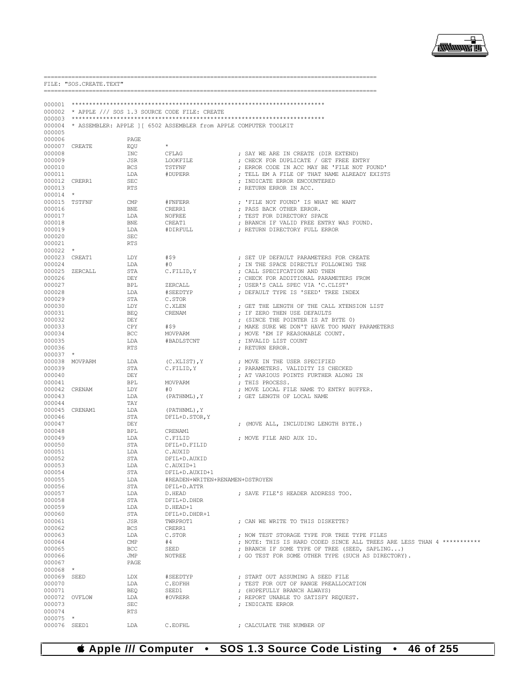

|                           | FILE: "SOS. CREATE. TEXT" |                   |                                                                   |                                                                                       |
|---------------------------|---------------------------|-------------------|-------------------------------------------------------------------|---------------------------------------------------------------------------------------|
| 000001                    |                           |                   |                                                                   |                                                                                       |
|                           |                           |                   | 000002 * APPLE /// SOS 1.3 SOURCE CODE FILE: CREATE               |                                                                                       |
| 000003                    |                           |                   |                                                                   |                                                                                       |
| 000004<br>000005          |                           |                   | * ASSEMBLER: APPLE ] [ 6502 ASSEMBLER from APPLE COMPUTER TOOLKIT |                                                                                       |
| 000006                    |                           | PAGE              |                                                                   |                                                                                       |
| 000007                    | CREATE                    | EQU               | $\star$                                                           |                                                                                       |
| 000008                    |                           | INC               | CFLAG                                                             | ; SAY WE ARE IN CREATE (DIR EXTEND)                                                   |
| 000009<br>000010          |                           | JSR<br><b>BCS</b> | LOOKFILE<br>TSTFNF                                                | ; CHECK FOR DUPLICATE / GET FREE ENTRY<br>; ERROR CODE IN ACC MAY BE 'FILE NOT FOUND' |
| 000011                    |                           | LDA               | #DUPERR                                                           | ; TELL EM A FILE OF THAT NAME ALREADY EXISTS                                          |
| 000012                    | CRERR1                    | <b>SEC</b>        |                                                                   | ; INDICATE ERROR ENCOUNTERED                                                          |
| 000013                    |                           | <b>RTS</b>        |                                                                   | ; RETURN ERROR IN ACC.                                                                |
| $000014$ *                |                           |                   |                                                                   |                                                                                       |
|                           | 000015 TSTFNF             | CMP               | #FNFERR                                                           | ; 'FILE NOT FOUND' IS WHAT WE WANT                                                    |
| 000016                    |                           | <b>BNE</b>        | CRERR1                                                            | ; PASS BACK OTHER ERROR.                                                              |
| 000017<br>000018          |                           | LDA<br>BNE        | NOFREE<br>CREAT1                                                  | ; TEST FOR DIRECTORY SPACE<br>; BRANCH IF VALID FREE ENTRY WAS FOUND.                 |
| 000019                    |                           | LDA               | #DIRFULL                                                          | ; RETURN DIRECTORY FULL ERROR                                                         |
| 000020                    |                           | SEC               |                                                                   |                                                                                       |
| 000021                    |                           | <b>RTS</b>        |                                                                   |                                                                                       |
| 000022                    | $\star$                   |                   |                                                                   |                                                                                       |
| 000023                    | CREAT1                    | LDY               | #\$9                                                              | ; SET UP DEFAULT PARAMETERS FOR CREATE                                                |
| 000024                    |                           | LDA               | #0<br>C.FILID, Y                                                  | ; IN THE SPACE DIRECTLY FOLLOWING THE<br>; CALL SPECIFCATION AND THEN                 |
| 000025<br>000026          | ZERCALL                   | STA<br>DEY        |                                                                   | ; CHECK FOR ADDITIONAL PARAMETERS FROM                                                |
| 000027                    |                           | BPL               | ZERCALL                                                           | ; USER'S CALL SPEC VIA 'C.CLIST'                                                      |
| 000028                    |                           | LDA               | #SEEDTYP                                                          | ; DEFAULT TYPE IS 'SEED' TREE INDEX                                                   |
| 000029                    |                           | STA               | C.STOR                                                            |                                                                                       |
| 000030                    |                           | LDY               | C.XLEN                                                            | ; GET THE LENGTH OF THE CALL XTENSION LIST                                            |
| 000031                    |                           | <b>BEQ</b>        | CRENAM                                                            | ; IF ZERO THEN USE DEFAULTS                                                           |
| 000032<br>000033          |                           | DEY<br>CPY        | #\$9                                                              | ; (SINCE THE POINTER IS AT BYTE 0)<br>; MAKE SURE WE DON'T HAVE TOO MANY PARAMETERS   |
| 000034                    |                           | BCC               | MOVPARM                                                           | ; MOVE 'EM IF REASONABLE COUNT.                                                       |
| 000035                    |                           | LDA               | #BADLSTCNT                                                        | ; INVALID LIST COUNT                                                                  |
| 000036                    |                           | <b>RTS</b>        |                                                                   | ; RETURN ERROR.                                                                       |
| $000037$ *                |                           |                   |                                                                   |                                                                                       |
| 000038                    | MOVPARM                   | LDA               | $(C.XLIST)$ , Y                                                   | ; MOVE IN THE USER SPECIFIED                                                          |
| 000039<br>000040          |                           | STA<br>DEY        | C.FILID, Y                                                        | ; PARAMETERS. VALIDITY IS CHECKED                                                     |
| 000041                    |                           | BPL               | MOVPARM                                                           | ; AT VARIOUS POINTS FURTHER ALONG IN<br>; THIS PROCESS.                               |
| 000042                    | CRENAM                    | LDY               | #0                                                                | ; MOVE LOCAL FILE NAME TO ENTRY BUFFER.                                               |
| 000043                    |                           | LDA               | (PATHNML), Y                                                      | ; GET LENGTH OF LOCAL NAME                                                            |
| 000044                    |                           | TAY               |                                                                   |                                                                                       |
| 000045                    | CRENAM1                   | LDA               | (PATHNML), Y                                                      |                                                                                       |
| 000046                    |                           | STA               | DFIL+D.STOR, Y                                                    |                                                                                       |
| 000047<br>000048          |                           | DEY<br><b>BPL</b> | CRENAM1                                                           | ; (MOVE ALL, INCLUDING LENGTH BYTE.)                                                  |
| 000049                    |                           | LDA               | C.FILID                                                           | ; MOVE FILE AND AUX ID.                                                               |
| 000050                    |                           | STA               | DFIL+D.FILID                                                      |                                                                                       |
| 000051                    |                           | LDA               | C.AUXID                                                           |                                                                                       |
| 000052                    |                           | STA               | DFIL+D.AUXID                                                      |                                                                                       |
| 000053                    |                           | LDA               | C.AUXID+1                                                         |                                                                                       |
| 000054<br>000055          |                           | STA<br>LDA        | DFIL+D.AUXID+1<br>#READEN+WRITEN+RENAMEN+DSTROYEN                 |                                                                                       |
| 000056                    |                           | STA               | DFIL+D.ATTR                                                       |                                                                                       |
| 000057                    |                           | LDA               | D.HEAD                                                            | ; SAVE FILE'S HEADER ADDRESS TOO.                                                     |
| 000058                    |                           | STA               | DFIL+D.DHDR                                                       |                                                                                       |
| 000059                    |                           | LDA               | D.HEAD+1                                                          |                                                                                       |
| 000060                    |                           | STA               | DFIL+D.DHDR+1                                                     |                                                                                       |
| 000061<br>000062          |                           | JSR<br>BCS        | TWRPROT1<br>CRERR1                                                | ; CAN WE WRITE TO THIS DISKETTE?                                                      |
| 000063                    |                           | LDA               | C.STOR                                                            | ; NOW TEST STORAGE TYPE FOR TREE TYPE FILES                                           |
| 000064                    |                           | $\text{CMP}$      | #4                                                                | ; NOTE: THIS IS HARD CODED SINCE ALL TREES ARE LESS THAN 4 ***********                |
| 000065                    |                           | BCC               | SEED                                                              | ; BRANCH IF SOME TYPE OF TREE (SEED, SAPLING)                                         |
| 000066                    |                           | JMP               | NOTREE                                                            | ; GO TEST FOR SOME OTHER TYPE (SUCH AS DIRECTORY).                                    |
| 000067                    |                           | PAGE              |                                                                   |                                                                                       |
| $000068$ *<br>000069 SEED |                           | LDX               | #SEEDTYP                                                          | ; START OUT ASSUMING A SEED FILE                                                      |
| 000070                    |                           | LDA               | C.EOFHH                                                           | ; TEST FOR OUT OF RANGE PREALLOCATION                                                 |
| 000071                    |                           | BEO               | SEED1                                                             | ; (HOPEFULLY BRANCH ALWAYS)                                                           |
|                           | 000072 OVFLOW             | LDA               | #OVRERR                                                           | ; REPORT UNABLE TO SATISFY REQUEST.                                                   |
| 000073                    |                           | SEC               |                                                                   | ; INDICATE ERROR                                                                      |
| 000074                    |                           | <b>RTS</b>        |                                                                   |                                                                                       |
| 000075<br>000076 SEED1    | $\star$                   | LDA               | C.EOFHL                                                           | ; CALCULATE THE NUMBER OF                                                             |
|                           |                           |                   |                                                                   |                                                                                       |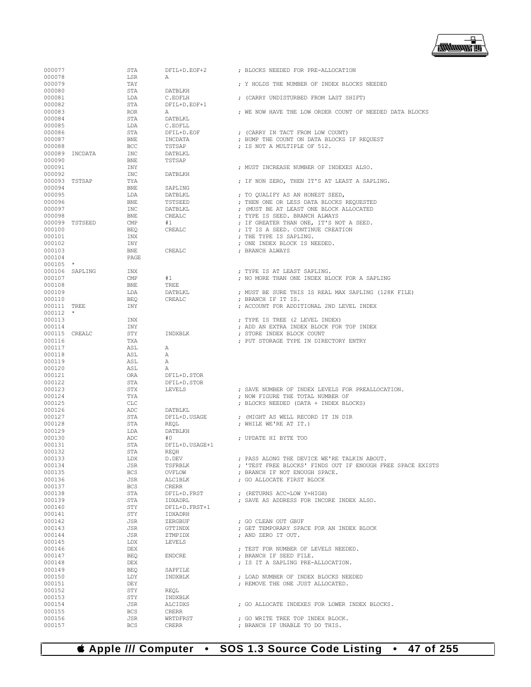

| 000077                  |                | STA                      | DFIL+D.EOF+2            | ; BLOCKS NEEDED FOR PRE-ALLOCATION                                                          |
|-------------------------|----------------|--------------------------|-------------------------|---------------------------------------------------------------------------------------------|
| 000078                  |                | LSR                      | Α                       |                                                                                             |
| 000079                  |                | TAY                      |                         | ; Y HOLDS THE NUMBER OF INDEX BLOCKS NEEDED                                                 |
| 000080                  |                | STA                      | DATBLKH                 |                                                                                             |
| 000081<br>000082        |                | LDA<br>STA               | C.EOFLH<br>DFIL+D.EOF+1 | ; (CARRY UNDISTURBED FROM LAST SHIFT)                                                       |
| 000083                  |                | <b>ROR</b>               | Α                       | ; WE NOW HAVE THE LOW ORDER COUNT OF NEEDED DATA BLOCKS                                     |
| 000084                  |                | STA                      | DATBLKL                 |                                                                                             |
| 000085                  |                | LDA                      | C.EOFLL                 |                                                                                             |
| 000086                  |                | STA                      | DFIL+D.EOF              | ; (CARRY IN TACT FROM LOW COUNT)                                                            |
| 000087                  |                | <b>BNE</b>               | INCDATA                 | ; BUMP THE COUNT ON DATA BLOCKS IF REQUEST                                                  |
| 000088                  |                | <b>BCC</b>               | TSTSAP                  | ; IS NOT A MULTIPLE OF 512.                                                                 |
|                         | 000089 INCDATA | INC                      | DATBLKL                 |                                                                                             |
| 000090                  |                | <b>BNE</b>               | TSTSAP                  |                                                                                             |
| 000091                  |                | INY                      |                         | ; MUST INCREASE NUMBER OF INDEXES ALSO.                                                     |
| 000092                  |                | <b>INC</b>               | DATBLKH                 |                                                                                             |
| 000093 TSTSAP<br>000094 |                | TYA<br><b>BNE</b>        | SAPLING                 | ; IF NON ZERO, THEN IT'S AT LEAST A SAPLING.                                                |
| 000095                  |                | LDA                      | DATBLKL                 | ; TO QUALIFY AS AN HONEST SEED,                                                             |
| 000096                  |                | <b>BNE</b>               | TSTSEED                 | ; THEN ONE OR LESS DATA BLOCKS REQUESTED                                                    |
| 000097                  |                | <b>INC</b>               | DATBLKL                 | ; (MUST BE AT LEAST ONE BLOCK ALLOCATED                                                     |
| 000098                  |                | <b>BNE</b>               | CREALC                  | ; TYPE IS SEED. BRANCH ALWAYS                                                               |
|                         | 000099 TSTSEED | CMP                      | #1                      | ; IF GREATER THAN ONE, IT'S NOT A SEED.                                                     |
| 000100                  |                | BEO                      | CREALC                  | ; IT IS A SEED. CONTINUE CREATION                                                           |
| 000101                  |                | INX                      |                         | ; THE TYPE IS SAPLING.                                                                      |
| 000102                  |                | INY                      |                         | ; ONE INDEX BLOCK IS NEEDED.                                                                |
| 000103                  |                | <b>BNE</b>               | CREALC                  | ; BRANCH ALWAYS                                                                             |
| 000104                  |                | PAGE                     |                         |                                                                                             |
| $000105$ *              |                |                          |                         |                                                                                             |
| 000107                  | 000106 SAPLING | INX<br>CMP               | #1                      | ; TYPE IS AT LEAST SAPLING.<br>; NO MORE THAN ONE INDEX BLOCK FOR A SAPLING                 |
| 000108                  |                | <b>BNE</b>               | TREE                    |                                                                                             |
| 000109                  |                | LDA                      | DATBLKL                 | ; MUST BE SURE THIS IS REAL MAX SAPLING (128K FILE)                                         |
| 000110                  |                | <b>BEQ</b>               | CREALC                  | ; BRANCH IF IT IS.                                                                          |
| 000111 TREE             |                | INY                      |                         | ; ACCOUNT FOR ADDITIONAL 2ND LEVEL INDEX                                                    |
| 000112                  | $\star$        |                          |                         |                                                                                             |
| 000113                  |                | INX                      |                         | ; TYPE IS TREE (2 LEVEL INDEX)                                                              |
| 000114                  |                | INY                      |                         | ; ADD AN EXTRA INDEX BLOCK FOR TOP INDEX                                                    |
| 000115 CREALC           |                | STY                      | INDXBLK                 | ; STORE INDEX BLOCK COUNT                                                                   |
| 000116                  |                | TXA                      |                         | ; PUT STORAGE TYPE IN DIRECTORY ENTRY                                                       |
| 000117                  |                | ASL                      | Α                       |                                                                                             |
| 000118<br>000119        |                | ASL<br>ASL               | Α<br>Α                  |                                                                                             |
| 000120                  |                | ASL                      | А                       |                                                                                             |
| 000121                  |                | <b>ORA</b>               | DFIL+D.STOR             |                                                                                             |
| 000122                  |                |                          |                         |                                                                                             |
|                         |                |                          |                         |                                                                                             |
| 000123                  |                | STA<br>STX               | DFIL+D.STOR<br>LEVELS   |                                                                                             |
| 000124                  |                | TYA                      |                         | ; SAVE NUMBER OF INDEX LEVELS FOR PREALLOCATION.<br>; NOW FIGURE THE TOTAL NUMBER OF        |
| 000125                  |                | CLC                      |                         | ; BLOCKS NEEDED (DATA + INDEX BLOCKS)                                                       |
| 000126                  |                | ADC                      | DATBLKL                 |                                                                                             |
| 000127                  |                | STA                      | DFIL+D.USAGE            | ; (MIGHT AS WELL RECORD IT IN DIR                                                           |
| 000128                  |                | STA                      | REQL                    | ; WHILE WE'RE AT IT.)                                                                       |
| 000129                  |                | LDA                      | DATBLKH                 |                                                                                             |
| 000130                  |                | ADC                      | #0                      | ; UPDATE HI BYTE TOO                                                                        |
| 000131                  |                | STA                      | DFIL+D.USAGE+1          |                                                                                             |
| 000132                  |                | <b>STA</b>               | <b>REOH</b>             |                                                                                             |
| 000133                  |                | LDX                      | D.DEV                   | ; PASS ALONG THE DEVICE WE'RE TALKIN ABOUT.                                                 |
| 000134                  |                | JSR                      | TSFRBLK                 | ; 'TEST FREE BLOCKS' FINDS OUT IF ENOUGH FREE SPACE EXISTS<br>: BRANCH IF NOT ENOUGH SPACE. |
| 000135<br>000136        |                | <b>BCS</b><br>JSR        | OVFLOW<br>ALC1BLK       | ; GO ALLOCATE FIRST BLOCK                                                                   |
| 000137                  |                | <b>BCS</b>               | CRERR                   |                                                                                             |
| 000138                  |                | STA                      | DFIL+D.FRST             | ; (RETURNS ACC=LOW Y=HIGH)                                                                  |
| 000139                  |                | STA                      | IDXADRL                 | ; SAVE AS ADDRESS FOR INCORE INDEX ALSO.                                                    |
| 000140                  |                | STY                      | DFIL+D.FRST+1           |                                                                                             |
| 000141                  |                | STY                      | IDXADRH                 |                                                                                             |
| 000142                  |                | JSR                      | ZERGBUF                 | ; GO CLEAN OUT GBUF                                                                         |
| 000143                  |                | JSR                      | GTTINDX                 | ; GET TEMPORARY SPACE FOR AN INDEX BLOCK                                                    |
| 000144                  |                | JSR                      | ZTMPIDX                 | ; AND ZERO IT OUT.                                                                          |
| 000145                  |                | LDX                      | LEVELS                  |                                                                                             |
| 000146                  |                | DEX                      |                         | ; TEST FOR NUMBER OF LEVELS NEEDED.                                                         |
| 000147<br>000148        |                | <b>BEO</b><br><b>DEX</b> | <b>ENDCRE</b>           | ; BRANCH IF SEED FILE.<br>; IS IT A SAPLING PRE-ALLOCATION.                                 |
| 000149                  |                | <b>BEQ</b>               | SAPFILE                 |                                                                                             |
| 000150                  |                | LDY                      | INDXBLK                 | ; LOAD NUMBER OF INDEX BLOCKS NEEDED                                                        |
| 000151                  |                | DEY                      |                         | ; REMOVE THE ONE JUST ALLOCATED.                                                            |
| 000152                  |                | STY                      | REQL                    |                                                                                             |
| 000153                  |                | STY                      | INDXBLK                 |                                                                                             |
| 000154                  |                | JSR                      | ALCIDXS                 | ; GO ALLOCATE INDEXES FOR LOWER INDEX BLOCKS.                                               |
| 000155                  |                | <b>BCS</b>               | <b>CRERR</b>            |                                                                                             |
| 000156<br>000157        |                | JSR<br>BCS               | WRTDFRST<br>CRERR       | ; GO WRITE TREE TOP INDEX BLOCK.<br>; BRANCH IF UNABLE TO DO THIS.                          |

 **Apple /// Computer • SOS 1.3 Source Code Listing • 47 of 255**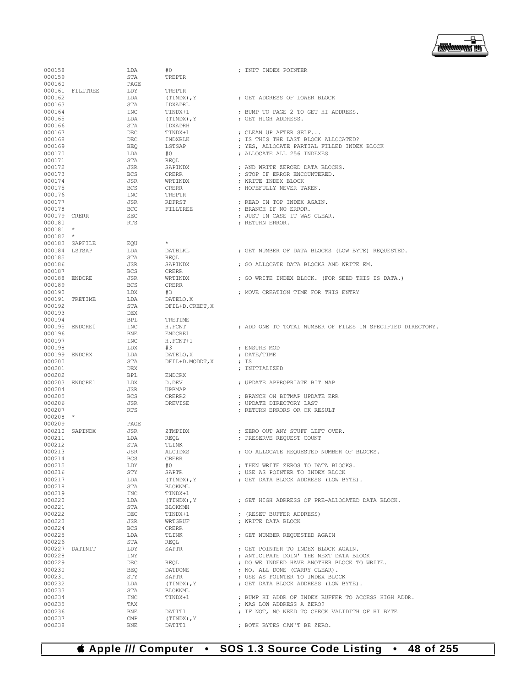

| 000158       |                 | LDA            | #0              | ; INIT INDEX POINTER                                       |
|--------------|-----------------|----------------|-----------------|------------------------------------------------------------|
| 000159       |                 | STA            | TREPTR          |                                                            |
| 000160       |                 | PAGE           |                 |                                                            |
|              | 000161 FILLTREE | LDY            | TREPTR          |                                                            |
| 000162       |                 | LDA            | (TINDX), Y      | ; GET ADDRESS OF LOWER BLOCK                               |
| 000163       |                 | STA            | IDXADRL         |                                                            |
| 000164       |                 | INC            | TINDX+1         | ; BUMP TO PAGE 2 TO GET HI ADDRESS.                        |
| 000165       |                 | LDA            | (TINDX), Y      | ; GET HIGH ADDRESS.                                        |
| 000166       |                 | STA            | IDXADRH         |                                                            |
| 000167       |                 | DEC            | TINDX+1         | ; CLEAN UP AFTER SELF                                      |
| 000168       |                 | DEC            | INDXBLK         | ; IS THIS THE LAST BLOCK ALLOCATED?                        |
| 000169       |                 | <b>BEO</b>     | LSTSAP          | ; YES, ALLOCATE PARTIAL FILLED INDEX BLOCK                 |
| 000170       |                 | LDA            | #0              | ; ALLOCATE ALL 256 INDEXES                                 |
| 000171       |                 | STA            | REQL            |                                                            |
| 000172       |                 | JSR            | SAPINDX         | ; AND WRITE ZEROED DATA BLOCKS.                            |
| 000173       |                 | <b>BCS</b>     | <b>CRERR</b>    | ; STOP IF ERROR ENCOUNTERED.                               |
| 000174       |                 | JSR            | WRTINDX         | ; WRITE INDEX BLOCK                                        |
| 000175       |                 | <b>BCS</b>     | <b>CRERR</b>    | ; HOPEFULLY NEVER TAKEN.                                   |
| 000176       |                 | INC            | TREPTR          |                                                            |
|              |                 |                |                 |                                                            |
| 000177       |                 | JSR            | RDFRST          | ; READ IN TOP INDEX AGAIN.                                 |
| 000178       |                 | BCC            | FILLTREE        | ; BRANCH IF NO ERROR.                                      |
| 000179 CRERR |                 | SEC            |                 | ; JUST IN CASE IT WAS CLEAR.                               |
| 000180       |                 | <b>RTS</b>     |                 | ; RETURN ERROR.                                            |
| $000181$ *   |                 |                |                 |                                                            |
| $000182$ *   |                 |                |                 |                                                            |
|              | 000183 SAPFILE  | EQU            | $\star$         |                                                            |
|              | 000184 LSTSAP   | LDA            | DATBLKL         | ; GET NUMBER OF DATA BLOCKS (LOW BYTE) REQUESTED.          |
| 000185       |                 | STA            | REOL            |                                                            |
| 000186       |                 | JSR            | SAPINDX         | ; GO ALLOCATE DATA BLOCKS AND WRITE EM.                    |
| 000187       |                 | <b>BCS</b>     | <b>CRERR</b>    |                                                            |
|              | 000188 ENDCRE   | JSR            | WRTINDX         | ; GO WRITE INDEX BLOCK. (FOR SEED THIS IS DATA.)           |
| 000189       |                 | <b>BCS</b>     | <b>CRERR</b>    |                                                            |
| 000190       |                 | LDX            | #3              | ; MOVE CREATION TIME FOR THIS ENTRY                        |
|              | 000191 TRETIME  | LDA            | DATELO, X       |                                                            |
| 000192       |                 |                |                 |                                                            |
|              |                 | STA            | DFIL+D.CREDT, X |                                                            |
| 000193       |                 | DEX            |                 |                                                            |
| 000194       |                 | BPL            | TRETIME         |                                                            |
|              | 000195 ENDCRE0  | <b>INC</b>     | H.FCNT          | ; ADD ONE TO TOTAL NUMBER OF FILES IN SPECIFIED DIRECTORY. |
| 000196       |                 | BNE            | ENDCRE1         |                                                            |
| 000197       |                 | INC            | H.FCNT+1        |                                                            |
| 000198       |                 | LDX            | #3              | ; ENSURE MOD                                               |
|              | 000199 ENDCRX   | LDA            | DATELO, X       | ; DATE/TIME                                                |
| 000200       |                 | STA            | DFIL+D.MODDT, X | ; IS                                                       |
| 000201       |                 | DEX            |                 | ; INITIALIZED                                              |
| 000202       |                 | <b>BPL</b>     | <b>ENDCRX</b>   |                                                            |
|              | 000203 ENDCRE1  | LDX            | D.DEV           | ; UPDATE APPROPRIATE BIT MAP                               |
| 000204       |                 | JSR            | <b>UPBMAP</b>   |                                                            |
| 000205       |                 | <b>BCS</b>     | CRERR2          | ; BRANCH ON BITMAP UPDATE ERR                              |
| 000206       |                 | JSR            | DREVISE         | ; UPDATE DIRECTORY LAST                                    |
| 000207       |                 | <b>RTS</b>     |                 | ; RETURN ERRORS OR OK RESULT                               |
| $000208$ *   |                 |                |                 |                                                            |
| 000209       |                 | PAGE           |                 |                                                            |
|              | 000210 SAPINDX  |                |                 |                                                            |
|              |                 | JSR            | ZTMPIDX         | ; ZERO OUT ANY STUFF LEFT OVER.                            |
| 000211       |                 | LDA            | REQL            | ; PRESERVE REQUEST COUNT                                   |
| 000212       |                 | STA            | TLINK           |                                                            |
| 000213       |                 | <b>JSR</b>     | ALCIDXS         | ; GO ALLOCATE REQUESTED NUMBER OF BLOCKS.                  |
| 000214       |                 | BCS.           | CRERR           |                                                            |
| 000215       |                 | LDY            | #0              | ; THEN WRITE ZEROS TO DATA BLOCKS.                         |
| 000216       |                 | STY            | SAPTR           | ; USE AS POINTER TO INDEX BLOCK                            |
| 000217       |                 | LDA            | (TINDX), Y      | ; GET DATA BLOCK ADDRESS (LOW BYTE).                       |
| 000218       |                 | STA            | BLOKNML         |                                                            |
| 000219       |                 | INC            | TINDX+1         |                                                            |
| 000220       |                 | LDA            | (TINDX), Y      | ; GET HIGH ADRRESS OF PRE-ALLOCATED DATA BLOCK.            |
| 000221       |                 | STA            | <b>BLOKNMH</b>  |                                                            |
| 000222       |                 | DEC            | TINDX+1         | ; (RESET BUFFER ADDRESS)                                   |
| 000223       |                 | JSR            | WRTGBUF         | ; WRITE DATA BLOCK                                         |
| 000224       |                 | <b>BCS</b>     | <b>CRERR</b>    |                                                            |
| 000225       |                 | LDA            | TLINK           | ; GET NUMBER REQUESTED AGAIN                               |
| 000226       |                 | STA            | REQL            |                                                            |
|              | 000227 DATINIT  | LDY            | SAPTR           | ; GET POINTER TO INDEX BLOCK AGAIN.                        |
| 000228       |                 | INY            |                 | ; ANTICIPATE DOIN' THE NEXT DATA BLOCK                     |
|              |                 |                |                 |                                                            |
| 000229       |                 | $\rm DEC$      | REOL            | ; DO WE INDEED HAVE ANOTHER BLOCK TO WRITE.                |
| 000230       |                 | <b>BEQ</b>     | DATDONE         | ; NO, ALL DONE (CARRY CLEAR).                              |
| 000231       |                 | STY            | SAPTR           | ; USE AS POINTER TO INDEX BLOCK                            |
| 000232       |                 | LDA            | (TINDX), Y      | ; GET DATA BLOCK ADDRESS (LOW BYTE).                       |
| 000233       |                 | STA            | BLOKNML         |                                                            |
| 000234       |                 | INC            | TINDX+1         | ; BUMP HI ADDR OF INDEX BUFFER TO ACCESS HIGH ADDR.        |
| 000235       |                 | TAX            |                 | ; WAS LOW ADDRESS A ZERO?                                  |
| 000236       |                 | BNE            | DATIT1          | ; IF NOT, NO NEED TO CHECK VALIDITH OF HI BYTE             |
| 000237       |                 | $\mathsf{CMP}$ | (TINDX), Y      |                                                            |
| 000238       |                 | BNE            | DATIT1          | ; BOTH BYTES CAN'T BE ZERO.                                |
|              |                 |                |                 |                                                            |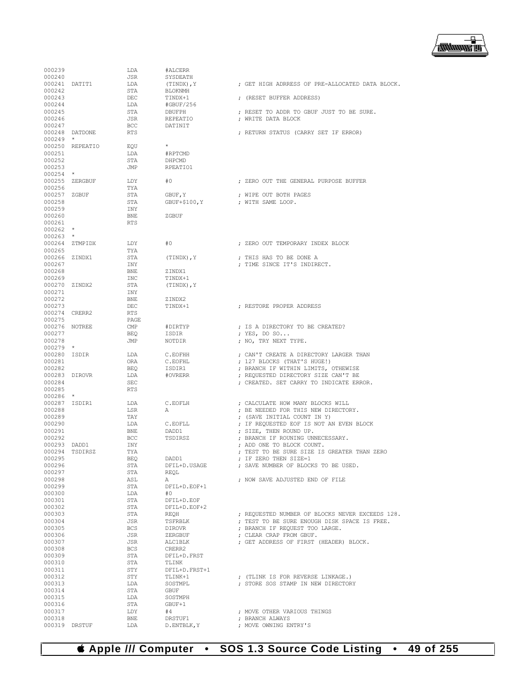

|                         |                 | LDA               | #ALCERR                   |                                                                    |
|-------------------------|-----------------|-------------------|---------------------------|--------------------------------------------------------------------|
| 000240                  |                 | JSR               | SYSDEATH                  |                                                                    |
|                         | 000241 DATIT1   | LDA               | (TINDX), Y                | ; GET HIGH ADRRESS OF PRE-ALLOCATED DATA BLOCK.                    |
| 000242<br>000243        |                 | STA<br>DEC        | <b>BLOKNMH</b><br>TINDX+1 |                                                                    |
| 000244                  |                 | LDA               | #GBUF/256                 | ; (RESET BUFFER ADDRESS)                                           |
| 000245                  |                 | STA               | DBUFPH                    | ; RESET TO ADDR TO GBUF JUST TO BE SURE.                           |
| 000246                  |                 | JSR               | REPEATIO                  | ; WRITE DATA BLOCK                                                 |
| 000247                  |                 | BCC               | DATINIT                   |                                                                    |
|                         | 000248 DATDONE  | RTS               |                           | ; RETURN STATUS (CARRY SET IF ERROR)                               |
| 000249                  | $\star$         |                   |                           |                                                                    |
|                         | 000250 REPEATIO | EQU               | $^{\star}$                |                                                                    |
| 000251<br>000252        |                 | LDA<br>STA        | #RPTCMD<br>DHPCMD         |                                                                    |
| 000253                  |                 | JMP               | RPEATIO1                  |                                                                    |
| $000254$ *              |                 |                   |                           |                                                                    |
|                         | 000255 ZERGBUF  | LDY               | #0                        | ; ZERO OUT THE GENERAL PURPOSE BUFFER                              |
| 000256                  |                 | TYA               |                           |                                                                    |
| 000257 ZGBUF            |                 | STA               | GBUF, Y                   | ; WIPE OUT BOTH PAGES                                              |
| 000258                  |                 | STA               | GBUF+\$100, Y             | ; WITH SAME LOOP.                                                  |
| 000259<br>000260        |                 | INY<br><b>BNE</b> | ZGBUF                     |                                                                    |
| 000261                  |                 | <b>RTS</b>        |                           |                                                                    |
| $000262$ *              |                 |                   |                           |                                                                    |
| $000263$ *              |                 |                   |                           |                                                                    |
|                         | 000264 ZTMPIDX  | LDY               | #0                        | : ZERO OUT TEMPORARY INDEX BLOCK                                   |
| 000265                  |                 | TYA               |                           |                                                                    |
| 000266 ZINDX1           |                 | STA               | (TINDX), Y                | ; THIS HAS TO BE DONE A                                            |
| 000267                  |                 | INY               |                           | ; TIME SINCE IT'S INDIRECT.                                        |
| 000268                  |                 | BNE               | ZINDX1<br>TINDX+1         |                                                                    |
| 000269<br>000270 ZINDX2 |                 | INC<br>STA        | (TINDX), Y                |                                                                    |
| 000271                  |                 | INY               |                           |                                                                    |
| 000272                  |                 | BNE               | ZINDX2                    |                                                                    |
| 000273                  |                 | DEC               | TINDX+1                   | ; RESTORE PROPER ADDRESS                                           |
| 000274 CRERR2           |                 | RTS               |                           |                                                                    |
| 000275                  |                 | PAGE              |                           |                                                                    |
| 000276 NOTREE           |                 | $\text{CMP}$      | #DIRTYP                   | ; IS A DIRECTORY TO BE CREATED?                                    |
| 000277                  |                 | BEQ               | ISDIR                     | ; YES, DO SO                                                       |
| 000278<br>$000279$ *    |                 | JMP               | NOTDIR                    | ; NO, TRY NEXT TYPE.                                               |
| 000280 ISDIR            |                 | LDA               | C.EOFHH                   | ; CAN'T CREATE A DIRECTORY LARGER THAN                             |
| 000281                  |                 | ORA               | C.EOFHL                   | ; 127 BLOCKS (THAT'S HUGE!)                                        |
| 000282                  |                 | BEO               | ISDIR1                    | ; BRANCH IF WITHIN LIMITS, OTHEWISE                                |
| 000283 DIROVR           |                 | LDA               | #OVRERR                   | ; REQUESTED DIRECTORY SIZE CAN'T BE                                |
|                         |                 |                   |                           | ; CREATED. SET CARRY TO INDICATE ERROR.                            |
| 000284                  |                 | SEC               |                           |                                                                    |
| 000285                  |                 | <b>RTS</b>        |                           |                                                                    |
| $000286$ *              |                 |                   |                           |                                                                    |
| 000287 ISDIR1           |                 | LDA               | C.EOFLH                   | ; CALCULATE HOW MANY BLOCKS WILL                                   |
| 000288                  |                 | LSR<br>TAY        | Α                         | : BE NEEDED FOR THIS NEW DIRECTORY.<br>; (SAVE INITIAL COUNT IN Y) |
| 000289<br>000290        |                 | LDA               | C.EOFLL                   | ; IF REQUESTED EOF IS NOT AN EVEN BLOCK                            |
| 000291                  |                 | <b>BNE</b>        | DADD1                     | ; SIZE, THEN ROUND UP.                                             |
| 000292                  |                 | BCC               | TSDIRSZ                   | ; BRANCH IF ROUNING UNNECESSARY.                                   |
| 000293 DADD1            |                 | INY               |                           | ; ADD ONE TO BLOCK COUNT.                                          |
| 000294                  | TSDIRSZ         | TYA               |                           | ; TEST TO BE SURE SIZE IS GREATER THAN ZERO                        |
| 000295                  |                 | BEQ               | DADD1                     | ; IF ZERO THEN SIZE=1                                              |
| 000296                  |                 | STA               | DFIL+D.USAGE              | ; SAVE NUMBER OF BLOCKS TO BE USED.                                |
| 000297                  |                 | STA               | REOL<br>Α                 |                                                                    |
| 000298<br>000299        |                 | ASL<br>STA        | DFIL+D.EOF+1              | ; NOW SAVE ADJUSTED END OF FILE                                    |
| 000300                  |                 | LDA               | #0                        |                                                                    |
| 000301                  |                 | STA               | DFIL+D.EOF                |                                                                    |
| 000302                  |                 | STA               | DFIL+D.EOF+2              |                                                                    |
| 000303                  |                 | STA               | REOH                      | ; REQUESTED NUMBER OF BLOCKS NEVER EXCEEDS 128.                    |
| 000304                  |                 | JSR               | TSFRBLK                   | ; TEST TO BE SURE ENOUGH DISK SPACE IS FREE.                       |
| 000305                  |                 | <b>BCS</b>        | DIROVR                    | ; BRANCH IF REQUEST TOO LARGE.                                     |
| 000306                  |                 | JSR               | ZERGBUF                   | : CLEAR CRAP FROM GBUF.                                            |
| 000307<br>000308        |                 | JSR<br>BCS        | ALC1BLK<br>CRERR2         | ; GET ADDRESS OF FIRST (HEADER) BLOCK.                             |
| 000309                  |                 | STA               | DFIL+D.FRST               |                                                                    |
| 000310                  |                 | STA               | TLINK                     |                                                                    |
| 000311                  |                 | STY               | DFIL+D.FRST+1             |                                                                    |
| 000312                  |                 | STY               | TLINK+1                   | ; (TLINK IS FOR REVERSE LINKAGE.)                                  |
| 000313                  |                 | LDA               | SOSTMPL                   | ; STORE SOS STAMP IN NEW DIRECTORY                                 |
| 000314                  |                 | STA               | GBUF                      |                                                                    |
| 000315                  |                 | LDA               | SOSTMPH                   |                                                                    |
| 000316<br>000317        |                 | STA<br>LDY        | GBUF+1<br>#4              | ; MOVE OTHER VARIOUS THINGS                                        |
| 000318                  |                 | <b>BNE</b>        | DRSTUF1                   | ; BRANCH ALWAYS                                                    |

 **Apple /// Computer • SOS 1.3 Source Code Listing • 49 of 255**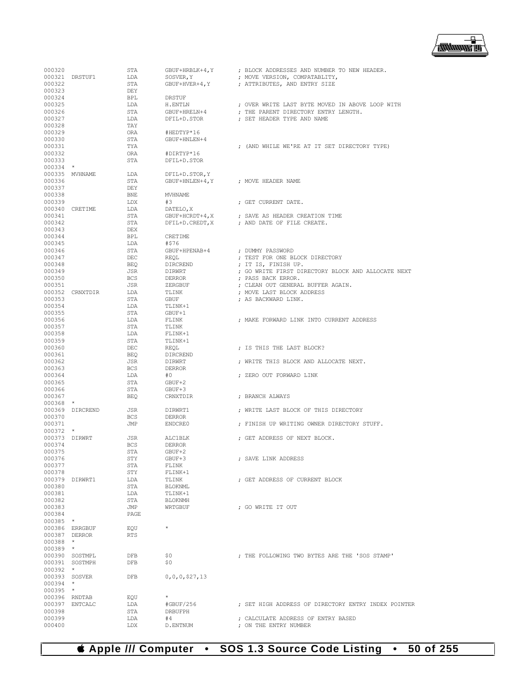

| 000320                 |                 | STA        | GBUF+HRBLK+4, Y                    | ; BLOCK ADDRESSES AND NUMBER TO NEW HEADER.                                             |
|------------------------|-----------------|------------|------------------------------------|-----------------------------------------------------------------------------------------|
|                        | 000321 DRSTUF1  | LDA        | SOSVER, Y                          | ; MOVE VERSION, COMPATABLITY,                                                           |
| 000322                 |                 | STA        | GBUF+HVER+4, Y                     | ; ATTRIBUTES, AND ENTRY SIZE                                                            |
| 000323                 |                 | DEY        |                                    |                                                                                         |
| 000324<br>000325       |                 | BPL<br>LDA | DRSTUF                             |                                                                                         |
| 000326                 |                 | STA        | H.ENTLN<br>GBUF+HRELN+4            | ; OVER WRITE LAST BYTE MOVED IN ABOVE LOOP WITH<br>; THE PARENT DIRECTORY ENTRY LENGTH. |
| 000327                 |                 | LDA        | DFIL+D.STOR                        | ; SET HEADER TYPE AND NAME                                                              |
| 000328                 |                 | TAY        |                                    |                                                                                         |
| 000329                 |                 | ORA        | #HEDTYP*16                         |                                                                                         |
| 000330                 |                 | STA        | GBUF+HNLEN+4                       |                                                                                         |
| 000331                 |                 | TYA        |                                    | ; (AND WHILE WE'RE AT IT SET DIRECTORY TYPE)                                            |
| 000332                 |                 | ORA        | #DIRTYP*16                         |                                                                                         |
| 000333                 |                 | STA        | DFIL+D.STOR                        |                                                                                         |
| $000334$ *             |                 |            |                                    |                                                                                         |
|                        | 000335 MVHNAME  | LDA        | DFIL+D.STOR, Y                     |                                                                                         |
| 000336                 |                 | STA        | GBUF+HNLEN+4, Y ; MOVE HEADER NAME |                                                                                         |
| 000337<br>000338       |                 | DEY<br>BNE | <b>MVHNAME</b>                     |                                                                                         |
| 000339                 |                 | LDX        | #3                                 | ; GET CURRENT DATE.                                                                     |
|                        | 000340 CRETIME  | LDA        | DATELO, X                          |                                                                                         |
| 000341                 |                 | STA        | GBUF+HCRDT+4, X                    | ; SAVE AS HEADER CREATION TIME                                                          |
| 000342                 |                 | STA        | DFIL+D.CREDT, X                    | ; AND DATE OF FILE CREATE.                                                              |
| 000343                 |                 | DEX        |                                    |                                                                                         |
| 000344                 |                 | BPL        | CRETIME                            |                                                                                         |
| 000345                 |                 | LDA        | #\$76                              |                                                                                         |
| 000346                 |                 | STA        | GBUF+HPENAB+4                      | : DUMMY PASSWORD                                                                        |
| 000347                 |                 | DEC        | REQL                               | ; TEST FOR ONE BLOCK DIRECTORY                                                          |
| 000348                 |                 | BEO        | DIRCREND                           | ; IT IS, FINISH UP.                                                                     |
| 000349                 |                 | JSR        | DIRWRT                             | ; GO WRITE FIRST DIRECTORY BLOCK AND ALLOCATE NEXT                                      |
| 000350                 |                 | BCS        | DERROR                             | ; PASS BACK ERROR.                                                                      |
| 000351                 |                 | JSR        | ZERGBUF                            | ; CLEAN OUT GENERAL BUFFER AGAIN.                                                       |
| 000353                 | 000352 CRNXTDIR | LDA        | TLINK                              | ; MOVE LAST BLOCK ADDRESS<br>; AS BACKWARD LINK.                                        |
| 000354                 |                 | STA<br>LDA | GBUF<br>TLINK+1                    |                                                                                         |
| 000355                 |                 | STA        | GBUF+1                             |                                                                                         |
| 000356                 |                 | LDA        | FLINK                              | ; MAKE FORWARD LINK INTO CURRENT ADDRESS                                                |
| 000357                 |                 | STA        | TLINK                              |                                                                                         |
| 000358                 |                 | LDA        | FLINK+1                            |                                                                                         |
| 000359                 |                 | STA        | TLINK+1                            |                                                                                         |
| 000360                 |                 | DEC        | REOL                               | ; IS THIS THE LAST BLOCK?                                                               |
| 000361                 |                 | BEQ        | DIRCREND                           |                                                                                         |
| 000362                 |                 | JSR        | DIRWRT                             | ; WRITE THIS BLOCK AND ALLOCATE NEXT.                                                   |
| 000363                 |                 | <b>BCS</b> | <b>DERROR</b>                      |                                                                                         |
| 000364                 |                 | LDA        | #0                                 | ; ZERO OUT FORWARD LINK                                                                 |
| 000365                 |                 | STA        | GBUF+2                             |                                                                                         |
| 000366<br>000367       |                 | STA        | GBUF+3                             | ; BRANCH ALWAYS                                                                         |
| $000368$ *             |                 | BEQ        | CRNXTDIR                           |                                                                                         |
|                        | 000369 DIRCREND | JSR        | DIRWRT1                            | ; WRITE LAST BLOCK OF THIS DIRECTORY                                                    |
| 000370                 |                 | BCS        | DERROR                             |                                                                                         |
| 000371                 |                 | JMP        | ENDCRE0                            | ; FINISH UP WRITING OWNER DIRECTORY STUFF.                                              |
| $000372$ *             |                 |            |                                    |                                                                                         |
| 000373 DIRWRT          |                 | JSR        | ALC1BLK                            | ; GET ADDRESS OF NEXT BLOCK.                                                            |
| 000374                 |                 | <b>BCS</b> | <b>DERROR</b>                      |                                                                                         |
| 000375                 |                 | <b>STA</b> | GBUF+2                             |                                                                                         |
| 000376                 |                 | STY        | GBUF+3                             | ; SAVE LINK ADDRESS                                                                     |
| 000377                 |                 | STA        | FLINK                              |                                                                                         |
| 000378                 |                 | STY        | FLINK+1                            |                                                                                         |
|                        | 000379 DIRWRT1  | LDA<br>STA | TLINK<br>BLOKNML                   | ; GET ADDRESS OF CURRENT BLOCK                                                          |
| 000380<br>000381       |                 | LDA        | TLINK+1                            |                                                                                         |
| 000382                 |                 | STA        | <b>BLOKNMH</b>                     |                                                                                         |
| 000383                 |                 | JMP        | WRTGBUF                            | ; GO WRITE IT OUT                                                                       |
| 000384                 |                 | PAGE       |                                    |                                                                                         |
| 000385 *               |                 |            |                                    |                                                                                         |
|                        | 000386 ERRGBUF  | EQU        | $\star$                            |                                                                                         |
|                        | 000387 DERROR   | <b>RTS</b> |                                    |                                                                                         |
| $000388$ *             |                 |            |                                    |                                                                                         |
| 000389 *               |                 |            |                                    |                                                                                         |
|                        | 000390 SOSTMPL  | DFB        | \$0                                | ; THE FOLLOWING TWO BYTES ARE THE 'SOS STAMP'                                           |
|                        | 000391 SOSTMPH  | DFB        | \$0                                |                                                                                         |
| $000392$ *             |                 |            |                                    |                                                                                         |
| 000393 SOSVER          |                 | DFB        | 0, 0, 0, 527, 13                   |                                                                                         |
| $000394$ *<br>000395 * |                 |            |                                    |                                                                                         |
|                        | 000396 RNDTAB   | EOU        | $\star$                            |                                                                                         |
|                        | 000397 ENTCALC  | LDA        | #GBUF/256                          | ; SET HIGH ADDRESS OF DIRECTORY ENTRY INDEX POINTER                                     |
| 000398                 |                 | STA        | DRBUFPH                            |                                                                                         |
| 000399                 |                 | LDA        | #4                                 | ; CALCULATE ADDRESS OF ENTRY BASED                                                      |
| 000400                 |                 | LDX        | D.ENTNUM                           | ; ON THE ENTRY NUMBER                                                                   |
|                        |                 |            |                                    |                                                                                         |

 **Apple /// Computer • SOS 1.3 Source Code Listing • 50 of 255**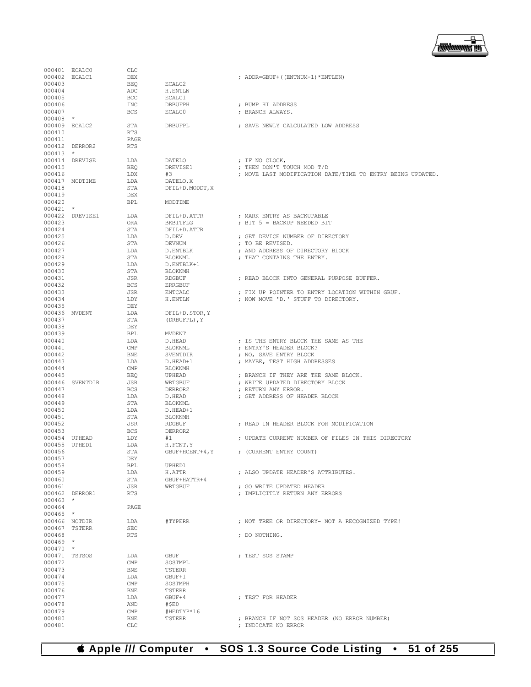

|                  | 000401 ECALC0   | CLC                     |                    |                                                            |
|------------------|-----------------|-------------------------|--------------------|------------------------------------------------------------|
| 000402 ECALC1    |                 | DEX                     |                    | ; ADDR=GBUF+((ENTNUM-1)*ENTLEN)                            |
| 000403           |                 | <b>BEO</b>              | ECALC2             |                                                            |
| 000404           |                 | ADC                     | H.ENTLN            |                                                            |
| 000405           |                 | <b>BCC</b>              | ECALC1             |                                                            |
| 000406           |                 | INC                     | DRBUFPH            | ; BUMP HI ADDRESS                                          |
| 000407           |                 | <b>BCS</b>              | <b>ECALCO</b>      | : BRANCH ALWAYS.                                           |
| $000408$ *       |                 |                         |                    |                                                            |
| 000409 ECALC2    |                 | STA                     | DRBUFPL            | ; SAVE NEWLY CALCULATED LOW ADDRESS                        |
| 000410           |                 | RTS                     |                    |                                                            |
| 000411           |                 | PAGE                    |                    |                                                            |
|                  | 000412 DERROR2  | <b>RTS</b>              |                    |                                                            |
| $000413$ *       |                 |                         |                    |                                                            |
|                  | 000414 DREVISE  | LDA                     | <b>DATELO</b>      | ; IF NO CLOCK,                                             |
| 000415           |                 | <b>BEO</b>              | DREVISE1           | ; THEN DON'T TOUCH MOD T/D                                 |
| 000416           |                 | LDX                     | #3                 | ; MOVE LAST MODIFICATION DATE/TIME TO ENTRY BEING UPDATED. |
|                  | 000417 MODTIME  | LDA                     | DATELO, X          |                                                            |
| 000418           |                 | STA                     | DFIL+D.MODDT, X    |                                                            |
| 000419           |                 | DEX                     |                    |                                                            |
| 000420           |                 | <b>BPL</b>              | MODTIME            |                                                            |
| $000421$ *       |                 |                         |                    |                                                            |
|                  | 000422 DREVISE1 | LDA                     | DFIL+D.ATTR        | ; MARK ENTRY AS BACKUPABLE                                 |
| 000423           |                 | ORA                     | BKBITFLG           | ; BIT 5 = BACKUP NEEDED BIT                                |
| 000424           |                 | STA                     | DFIL+D.ATTR        |                                                            |
| 000425           |                 | LDA                     | D.DEV              | ; GET DEVICE NUMBER OF DIRECTORY                           |
| 000426           |                 | STA                     | DEVNUM             | ; TO BE REVISED.                                           |
| 000427           |                 | LDA                     | D.ENTBLK           | ; AND ADDRESS OF DIRECTORY BLOCK                           |
| 000428           |                 | STA                     | BLOKNML            | ; THAT CONTAINS THE ENTRY.                                 |
| 000429           |                 | LDA                     | D.ENTBLK+1         |                                                            |
| 000430<br>000431 |                 | STA                     | BLOKNMH            | : READ BLOCK INTO GENERAL PURPOSE BUFFER.                  |
|                  |                 | JSR                     | RDGBUF             |                                                            |
| 000432<br>000433 |                 | <b>BCS</b><br>JSR       | ERRGBUF<br>ENTCALC | ; FIX UP POINTER TO ENTRY LOCATION WITHIN GBUF.            |
| 000434           |                 | LDY                     | H.ENTLN            | ; NOW MOVE 'D.' STUFF TO DIRECTORY.                        |
| 000435           |                 | DEY                     |                    |                                                            |
| 000436 MVDENT    |                 | LDA                     | DFIL+D. STOR, Y    |                                                            |
| 000437           |                 | STA                     | (DRBUFPL), Y       |                                                            |
| 000438           |                 | DEY                     |                    |                                                            |
| 000439           |                 | <b>BPL</b>              | MVDENT             |                                                            |
| 000440           |                 | LDA                     | D.HEAD             | ; IS THE ENTRY BLOCK THE SAME AS THE                       |
| 000441           |                 | CMP                     | BLOKNML            | ; ENTRY'S HEADER BLOCK?                                    |
| 000442           |                 | <b>BNE</b>              | SVENTDIR           | ; NO, SAVE ENTRY BLOCK                                     |
| 000443           |                 | LDA                     | D.HEAD+1           | ; MAYBE, TEST HIGH ADDRESSES                               |
| 000444           |                 | $\text{CMP}$            | BLOKNMH            |                                                            |
| 000445           |                 | <b>BEO</b>              | UPHEAD             | ; BRANCH IF THEY ARE THE SAME BLOCK.                       |
|                  | 000446 SVENTDIR | JSR                     | WRTGBUF            | ; WRITE UPDATED DIRECTORY BLOCK                            |
| 000447           |                 | <b>BCS</b>              | DERROR2            | ; RETURN ANY ERROR.                                        |
| 000448           |                 | LDA                     | D.HEAD             | ; GET ADDRESS OF HEADER BLOCK                              |
| 000449           |                 | STA                     | BLOKNML            |                                                            |
| 000450           |                 | LDA                     | D.HEAD+1           |                                                            |
| 000451           |                 | STA                     | BLOKNMH            |                                                            |
| 000452           |                 | JSR                     | RDGBUF             | ; READ IN HEADER BLOCK FOR MODIFICATION                    |
| 000453           |                 | <b>BCS</b>              | DERROR2            |                                                            |
|                  | 000454 UPHEAD   | LDY                     | #1                 | ; UPDATE CURRENT NUMBER OF FILES IN THIS DIRECTORY         |
| 000455 UPHED1    |                 | LDA<br><b>STA</b>       | H. FCNT, Y         |                                                            |
| 000456<br>000457 |                 | DEY                     | $GBUF+HCENT+4, Y$  | ; (CURRENT ENTRY COUNT)                                    |
| 000458           |                 | BPL                     | UPHED1             |                                                            |
| 000459           |                 | LDA                     | H.ATTR             | ; ALSO UPDATE HEADER'S ATTRIBUTES.                         |
| 000460           |                 | STA                     | GBUF+HATTR+4       |                                                            |
| 000461           |                 | JSR                     | WRTGBUF            | ; GO WRITE UPDATED HEADER                                  |
|                  | 000462 DERROR1  | <b>RTS</b>              |                    | : IMPLICITLY RETURN ANY ERRORS                             |
| $000463$ *       |                 |                         |                    |                                                            |
| 000464           |                 | PAGE                    |                    |                                                            |
| $000465$ *       |                 |                         |                    |                                                            |
|                  | 000466 NOTDIR   | LDA                     | #TYPERR            | ; NOT TREE OR DIRECTORY- NOT A RECOGNIZED TYPE!            |
|                  | 000467 TSTERR   | SEC                     |                    |                                                            |
| 000468           |                 | <b>RTS</b>              |                    | ; DO NOTHING.                                              |
| $000469$ *       |                 |                         |                    |                                                            |
| $000470$ *       |                 |                         |                    |                                                            |
|                  | 000471 TSTSOS   | LDA                     | GBUF               | : TEST SOS STAMP                                           |
| 000472           |                 | $\text{CMP}$            | SOSTMPL            |                                                            |
| 000473           |                 | BNE                     | TSTERR             |                                                            |
| 000474           |                 | LDA                     | GBUF+1             |                                                            |
| 000475<br>000476 |                 | $\text{CMP}$            | SOSTMPH            |                                                            |
| 000477           |                 | BNE<br>LDA              | TSTERR<br>GBUF+4   | ; TEST FOR HEADER                                          |
| 000478           |                 | AND                     | #\$EO              |                                                            |
| 000479           |                 | $\mathop{\mathrm{CMP}}$ | #HEDTYP*16         |                                                            |
| 000480           |                 | BNE                     | TSTERR             | ; BRANCH IF NOT SOS HEADER (NO ERROR NUMBER)               |
|                  |                 |                         |                    | ; INDICATE NO ERROR                                        |
| 000481           |                 | CLC                     |                    |                                                            |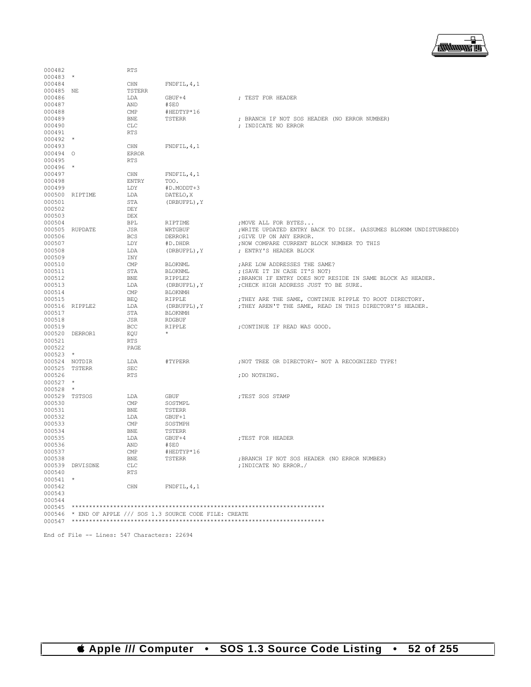

| 000482           |                 | <b>RTS</b>    |                                                              |                                                                   |
|------------------|-----------------|---------------|--------------------------------------------------------------|-------------------------------------------------------------------|
| $000483$ *       |                 |               |                                                              |                                                                   |
| 000484           |                 | CHN           | FNDFTL, 4, 1                                                 |                                                                   |
| 000485 NE        |                 | <b>TSTERR</b> |                                                              |                                                                   |
| 000486           |                 | LDA           | GBUF+4                                                       | ; TEST FOR HEADER                                                 |
| 000487           |                 | AND           | #\$E0                                                        |                                                                   |
| 000488           |                 | <b>CMP</b>    | #HEDTYP*16                                                   |                                                                   |
|                  |                 |               |                                                              | ; BRANCH IF NOT SOS HEADER (NO ERROR NUMBER)                      |
| 000489<br>000490 |                 | <b>BNE</b>    | TSTERR                                                       |                                                                   |
|                  |                 | <b>CLC</b>    |                                                              | ; INDICATE NO ERROR                                               |
| 000491           |                 | <b>RTS</b>    |                                                              |                                                                   |
| $000492$ *       |                 |               |                                                              |                                                                   |
| 000493           |                 | CHN           | FNDFTL, 4, 1                                                 |                                                                   |
| 000494 0         |                 | <b>ERROR</b>  |                                                              |                                                                   |
| 000495           |                 | <b>RTS</b>    |                                                              |                                                                   |
| $000496$ *       |                 |               |                                                              |                                                                   |
| 000497           |                 | CHN           | FNDFIL, 4, 1                                                 |                                                                   |
| 000498           |                 | <b>ENTRY</b>  | TOO.                                                         |                                                                   |
| 000499           |                 | LDY           | #D.MODDT+3                                                   |                                                                   |
|                  | 000500 RIPTIME  | LDA           | DATELO, X                                                    |                                                                   |
| 000501           |                 | <b>STA</b>    | (DRBUFPL), Y                                                 |                                                                   |
| 000502           |                 | DEY           |                                                              |                                                                   |
| 000503           |                 | DEX           |                                                              |                                                                   |
| 000504           |                 | <b>BPL</b>    | RIPTIME                                                      | ; MOVE ALL FOR BYTES                                              |
|                  | 000505 RUPDATE  | <b>JSR</b>    | WRTGBUF                                                      | ; WRITE UPDATED ENTRY BACK TO DISK. (ASSUMES BLOKNM UNDISTURBEDD) |
| 000506           |                 | <b>BCS</b>    | DERROR1                                                      | ;GIVE UP ON ANY ERROR.                                            |
| 000507           |                 | LDY           | #D.DHDR                                                      | ; NOW COMPARE CURRENT BLOCK NUMBER TO THIS                        |
| 000508           |                 | LDA           | (DRBUFPL), Y                                                 | ; ENTRY'S HEADER BLOCK                                            |
| 000509           |                 | INY           |                                                              |                                                                   |
|                  |                 |               |                                                              | : ARE LOW ADDRESSES THE SAME?                                     |
| 000510           |                 | CMP           | <b>BLOKNML</b>                                               |                                                                   |
| 000511           |                 | STA           | <b>BLOKNML</b>                                               | ; (SAVE IT IN CASE IT'S NOT)                                      |
| 000512           |                 | <b>BNE</b>    | RIPPLE2                                                      | ; BRANCH IF ENTRY DOES NOT RESIDE IN SAME BLOCK AS HEADER.        |
| 000513           |                 | LDA           | (DRBUFPL), Y                                                 | ; CHECK HIGH ADDRESS JUST TO BE SURE.                             |
| 000514           |                 | CMP           | <b>BLOKNMH</b>                                               |                                                                   |
| 000515           |                 | <b>BEQ</b>    | RIPPLE                                                       | ; THEY ARE THE SAME, CONTINUE RIPPLE TO ROOT DIRECTORY.           |
|                  | 000516 RIPPLE2  | LDA           | (DRBUFPL), Y                                                 | ; THEY AREN'T THE SAME, READ IN THIS DIRECTORY'S HEADER.          |
| 000517           |                 | STA           | <b>BLOKNMH</b>                                               |                                                                   |
| 000518           |                 | JSR           | <b>RDGBUF</b>                                                |                                                                   |
| 000519           |                 | BCC           | RIPPLE                                                       | ; CONTINUE IF READ WAS GOOD.                                      |
|                  | 000520 DERROR1  | EQU           | $\star$                                                      |                                                                   |
| 000521           |                 | <b>RTS</b>    |                                                              |                                                                   |
| 000522           |                 | PAGE          |                                                              |                                                                   |
| $000523$ *       |                 |               |                                                              |                                                                   |
| 000524 NOTDIR    |                 | LDA           | #TYPERR                                                      | ; NOT TREE OR DIRECTORY- NOT A RECOGNIZED TYPE!                   |
| 000525 TSTERR    |                 | <b>SEC</b>    |                                                              |                                                                   |
| 000526           |                 | <b>RTS</b>    |                                                              | ; DO NOTHING.                                                     |
| $000527$ *       |                 |               |                                                              |                                                                   |
| 000528           | $\star$         |               |                                                              |                                                                   |
| 000529 TSTSOS    |                 | LDA           | <b>GBUF</b>                                                  | ; TEST SOS STAMP                                                  |
| 000530           |                 | <b>CMP</b>    | SOSTMPL                                                      |                                                                   |
| 000531           |                 | <b>BNE</b>    | <b>TSTERR</b>                                                |                                                                   |
| 000532           |                 | LDA           | GBUF+1                                                       |                                                                   |
| 000533           |                 |               |                                                              |                                                                   |
|                  |                 | <b>CMP</b>    | SOSTMPH                                                      |                                                                   |
| 000534           |                 | <b>BNE</b>    | <b>TSTERR</b>                                                |                                                                   |
| 000535           |                 | LDA           | $GBUF+4$                                                     | ; TEST FOR HEADER                                                 |
| 000536           |                 | AND           | #\$E0                                                        |                                                                   |
| 000537           |                 | CMP           | #HEDTYP*16                                                   |                                                                   |
| 000538           |                 | <b>BNE</b>    | TSTERR                                                       | ; BRANCH IF NOT SOS HEADER (NO ERROR NUMBER)                      |
|                  | 000539 DRVISDNE | CLC           |                                                              | ; INDICATE NO ERROR./                                             |
| 000540           |                 | <b>RTS</b>    |                                                              |                                                                   |
| 000541 *         |                 |               |                                                              |                                                                   |
| 000542           |                 | CHN           | FNDFIL, 4, 1                                                 |                                                                   |
| 000543           |                 |               |                                                              |                                                                   |
| 000544           |                 |               |                                                              |                                                                   |
| 000545           |                 |               |                                                              |                                                                   |
|                  |                 |               | $000546$ * END OF APPLE /// SOS 1.3 SOURCE CODE FILE: CREATE |                                                                   |
| 000547           |                 |               |                                                              |                                                                   |
|                  |                 |               |                                                              |                                                                   |

End of File -- Lines: 547 Characters: 22694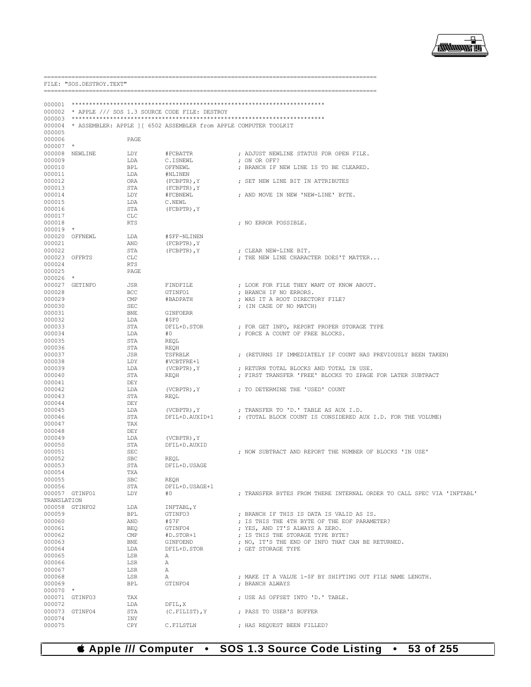## ₽ **/<del>露睡睡</del> 画**

--------------------

|                  | FILE: "SOS.DESTROY.TEXT"  |                          |                                                                   |                                                                                |
|------------------|---------------------------|--------------------------|-------------------------------------------------------------------|--------------------------------------------------------------------------------|
|                  |                           |                          |                                                                   | =====================                                                          |
| 000001           |                           |                          |                                                                   |                                                                                |
| 000002           |                           |                          | * APPLE /// SOS 1.3 SOURCE CODE FILE: DESTROY                     |                                                                                |
| 000003           |                           |                          |                                                                   |                                                                                |
| 000004<br>000005 |                           |                          | * ASSEMBLER: APPLE 1 [ 6502 ASSEMBLER from APPLE COMPUTER TOOLKIT |                                                                                |
| 000006           |                           | PAGE                     |                                                                   |                                                                                |
| 000007           | $\star$                   |                          |                                                                   |                                                                                |
| 000008           | NEWLINE                   | LDY                      | #FCBATTR                                                          | ; ADJUST NEWLINE STATUS FOR OPEN FILE.                                         |
| 000009           |                           | LDA                      | C.ISNEWL                                                          | ; ON OR OFF?                                                                   |
| 000010<br>000011 |                           | <b>BPL</b><br>LDA        | OFFNEWL<br>#NLINEN                                                | ; BRANCH IF NEW LINE IS TO BE CLEARED.                                         |
| 000012           |                           | ORA                      | $(FCBPTR)$ , $Y$                                                  | ; SET NEW LINE BIT IN ATTRIBUTES                                               |
| 000013           |                           | STA                      | (FCBPTR), Y                                                       |                                                                                |
| 000014           |                           | LDY                      | #FCBNEWL                                                          | ; AND MOVE IN NEW 'NEW-LINE' BYTE.                                             |
| 000015<br>000016 |                           | LDA<br>STA               | C.NEWL<br>(FCBPTR), Y                                             |                                                                                |
| 000017           |                           | CLC                      |                                                                   |                                                                                |
| 000018           |                           | RTS                      |                                                                   | ; NO ERROR POSSIBLE.                                                           |
| 000019           | $\star$                   |                          |                                                                   |                                                                                |
| 000021           | 000020 OFFNEWL            | LDA<br>AND               | #\$FF-NLINEN                                                      |                                                                                |
| 000022           |                           | STA                      | $(FCBPTR)$ , $Y$<br>(FCBPTR), Y                                   | : CLEAR NEW-LINE BIT.                                                          |
|                  | 000023 OFFRTS             | CLC                      |                                                                   | ; THE NEW LINE CHARACTER DOES'T MATTER                                         |
| 000024           |                           | RTS                      |                                                                   |                                                                                |
| 000025<br>000026 | $\star$                   | PAGE                     |                                                                   |                                                                                |
| 000027           | GETINFO                   | JSR                      | FINDFILE                                                          | : LOOK FOR FILE THEY WANT OT KNOW ABOUT.                                       |
| 000028           |                           | BCC                      | GTINFO1                                                           | ; BRANCH IF NO ERRORS.                                                         |
| 000029           |                           | $\text{CMP}$             | #BADPATH                                                          | ; WAS IT A ROOT DIRECTORY FILE?                                                |
| 000030           |                           | <b>SEC</b>               |                                                                   | ; (IN CASE OF NO MATCH)                                                        |
| 000031<br>000032 |                           | <b>BNE</b><br>LDA        | <b>GINFOERR</b><br>#SFO                                           |                                                                                |
| 000033           |                           | STA                      | DFIL+D.STOR                                                       | ; FOR GET INFO, REPORT PROPER STORAGE TYPE                                     |
| 000034           |                           | LDA                      | #0                                                                | ; FORCE A COUNT OF FREE BLOCKS.                                                |
| 000035           |                           | STA                      | REQL                                                              |                                                                                |
| 000036<br>000037 |                           | STA<br>JSR               | REOH<br>TSFRBLK                                                   | ; (RETURNS IF IMMEDIATELY IF COUNT HAS PREVIOUSLY BEEN TAKEN)                  |
| 000038           |                           | LDY                      | #VCBTFRE+1                                                        |                                                                                |
| 000039           |                           | LDA                      | (VCBPTR), Y                                                       | ; RETURN TOTAL BLOCKS AND TOTAL IN USE.                                        |
| 000040           |                           | STA                      | REQH                                                              | ; FIRST TRANSFER 'FREE' BLOCKS TO ZPAGE FOR LATER SUBTRACT                     |
| 000041<br>000042 |                           | DEY<br>LDA               | $(VCBPTR)$ , $Y$                                                  | ; TO DETERMINE THE 'USED' COUNT                                                |
| 000043           |                           | STA                      | REQL                                                              |                                                                                |
| 000044           |                           | DEY                      |                                                                   |                                                                                |
| 000045           |                           | LDA                      | $(VCBPTR)$ , $Y$                                                  | ; TRANSFER TO 'D.' TABLE AS AUX I.D.                                           |
| 000046<br>000047 |                           | STA<br>TAX               | DFIL+D.AUXID+1                                                    | ; (TOTAL BLOCK COUNT IS CONSIDERED AUX I.D. FOR THE VOLUME)                    |
| 000048           |                           | DEY                      |                                                                   |                                                                                |
| 000049           |                           | LDA                      | $(VCBPTR)$ , $Y$                                                  |                                                                                |
| 000050           |                           | STA                      | DFIL+D.AUXID                                                      |                                                                                |
| 000051<br>000052 |                           | <b>SEC</b><br><b>SBC</b> | REOL                                                              | ; NOW SUBTRACT AND REPORT THE NUMBER OF BLOCKS 'IN USE'                        |
| 000053           |                           | STA                      | DFIL+D.USAGE                                                      |                                                                                |
| 000054           |                           | TXA                      |                                                                   |                                                                                |
| 000055           |                           | SBC                      | REOH                                                              |                                                                                |
| 000056           | 000057 GTINFO1            | STA<br>LDY               | DFIL+D.USAGE+1<br>#0                                              | ; TRANSFER BYTES FROM THERE INTERNAL ORDER TO CALL SPEC VIA 'INFTABL'          |
| TRANSLATION      |                           |                          |                                                                   |                                                                                |
|                  | 000058 GTINFO2            | LDA                      | INFTABL, Y                                                        |                                                                                |
| 000059           |                           | BPL                      | GTINFO3                                                           | ; BRANCH IF THIS IS DATA IS VALID AS IS.                                       |
| 000060<br>000061 |                           | AND<br><b>BEQ</b>        | #\$7F<br>GTINFO4                                                  | ; IS THIS THE 4TH BYTE OF THE EOF PARAMETER?<br>; YES, AND IT'S ALWAYS A ZERO. |
| 000062           |                           | $\text{CMP}$             | #D.STOR+1                                                         | ; IS THIS THE STORAGE TYPE BYTE?                                               |
| 000063           |                           | BNE                      | GINFOEND                                                          | ; NO, IT'S THE END OF INFO THAT CAN BE RETURNED.                               |
| 000064           |                           | LDA                      | DFIL+D.STOR                                                       | ; GET STORAGE TYPE                                                             |
| 000065<br>000066 |                           | LSR<br>LSR               | Α<br>Α                                                            |                                                                                |
| 000067           |                           | LSR                      | Α                                                                 |                                                                                |
| 000068           |                           | LSR                      | Α                                                                 | ; MAKE IT A VALUE 1-\$F BY SHIFTING OUT FILE NAME LENGTH.                      |
| 000069           |                           | BPL                      | GTINFO4                                                           | ; BRANCH ALWAYS                                                                |
| 000070           | $\star$<br>000071 GTINFO3 | TAX                      |                                                                   | ; USE AS OFFSET INTO 'D.' TABLE.                                               |
| 000072           |                           | LDA                      | DFIL, X                                                           |                                                                                |
|                  | 000073 GTINFO4            | STA                      | $(C.FILIST)$ , $Y$                                                | ; PASS TO USER'S BUFFER                                                        |
| 000074<br>000075 |                           | INY<br>CPY               |                                                                   |                                                                                |
|                  |                           |                          | C.FILSTLN                                                         | ; HAS REQUEST BEEN FILLED?                                                     |

## **& Apple /// Computer · SOS 1.3 Source Code Listing · 53 of 255**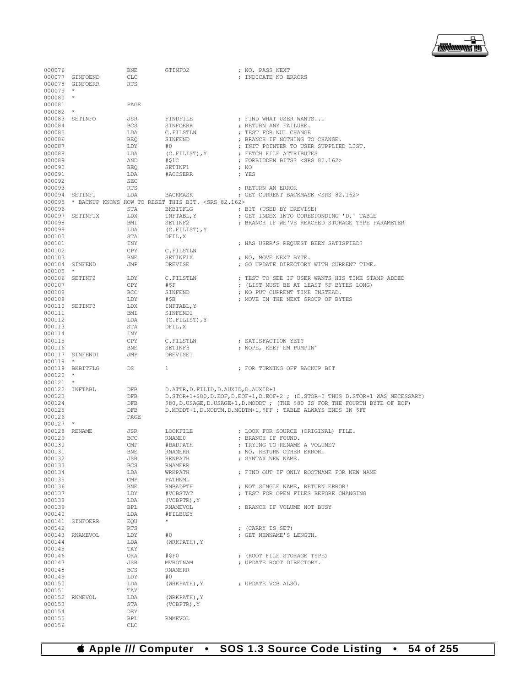▕<del>▓▓▓▓</del>▊

| 000076           |                 | BNE               | GTINFO2                                                            | ; NO, PASS NEXT                                                                                                                                                     |
|------------------|-----------------|-------------------|--------------------------------------------------------------------|---------------------------------------------------------------------------------------------------------------------------------------------------------------------|
|                  | 000077 GINFOEND | <b>CLC</b>        |                                                                    | ; INDICATE NO ERRORS                                                                                                                                                |
|                  | 000078 GINFOERR | <b>RTS</b>        |                                                                    |                                                                                                                                                                     |
| $000079$ *       |                 |                   |                                                                    |                                                                                                                                                                     |
| $000080$ *       |                 |                   |                                                                    |                                                                                                                                                                     |
| 000081           |                 | PAGE              |                                                                    |                                                                                                                                                                     |
| $000082$ *       |                 |                   |                                                                    |                                                                                                                                                                     |
|                  | 000083 SETINFO  | JSR               | FINDFILE                                                           | ; FIND WHAT USER WANTS                                                                                                                                              |
| 000084           |                 | <b>BCS</b>        | SINFOERR                                                           | ; RETURN ANY FAILURE.                                                                                                                                               |
| 000085           |                 | LDA               | C.FILSTLN                                                          | ; TEST FOR NUL CHANGE                                                                                                                                               |
| 000086           |                 | <b>BEQ</b>        | SINFEND                                                            | ; BRANCH IF NOTHING TO CHANGE.                                                                                                                                      |
| 000087<br>000088 |                 | LDY<br>LDA        | #0<br>(C.FILIST), Y                                                | ; INIT POINTER TO USER SUPPLIED LIST.<br>; FETCH FILE ATTRIBUTES                                                                                                    |
| 000089           |                 | AND               | # \$1C                                                             | ; FORBIDDEN BITS? <srs 82.162=""></srs>                                                                                                                             |
| 000090           |                 | BEQ               | SETINF1                                                            | : N <sup>O</sup>                                                                                                                                                    |
| 000091           |                 | LDA               | #ACCSERR                                                           | ; YES                                                                                                                                                               |
| 000092           |                 | SEC               |                                                                    |                                                                                                                                                                     |
| 000093           |                 | <b>RTS</b>        |                                                                    | ; RETURN AN ERROR                                                                                                                                                   |
|                  | 000094 SETINF1  | LDA               | BACKMASK                                                           | ; GET CURRENT BACKMASK <srs 82.162=""></srs>                                                                                                                        |
|                  |                 |                   | 000095 * BACKUP KNOWS HOW TO RESET THIS BIT. <srs 82.162=""></srs> |                                                                                                                                                                     |
| 000096           |                 | STA               | BKBITFLG                                                           | ; BIT (USED BY DREVISE)                                                                                                                                             |
|                  | 000097 SETINF1X | LDX               | INFTABL, Y                                                         | ; GET INDEX INTO CORESPONDING 'D.' TABLE                                                                                                                            |
| 000098<br>000099 |                 | BMI               | SETINF2                                                            | ; BRANCH IF WE'VE REACHED STORAGE TYPE PARAMETER                                                                                                                    |
| 000100           |                 | LDA<br>STA        | (C.FILIST), Y<br>DFIL, X                                           |                                                                                                                                                                     |
| 000101           |                 | INY               |                                                                    | ; HAS USER'S REQUEST BEEN SATISFIED?                                                                                                                                |
| 000102           |                 | CPY               | C.FILSTLN                                                          |                                                                                                                                                                     |
| 000103           |                 | BNE               | SETINF1X                                                           | ; NO, MOVE NEXT BYTE.                                                                                                                                               |
|                  | 000104 SINFEND  | JMP               | DREVISE                                                            | ; GO UPDATE DIRECTORY WITH CURRENT TIME.                                                                                                                            |
| $000105$ *       |                 |                   |                                                                    |                                                                                                                                                                     |
|                  | 000106 SETINF2  | LDY               | C.FILSTLN                                                          | : TEST TO SEE IF USER WANTS HIS TIME STAMP ADDED                                                                                                                    |
| 000107           |                 | CPY               | #\$F                                                               | ; (LIST MUST BE AT LEAST \$F BYTES LONG)                                                                                                                            |
| 000108           |                 | BCC               | SINFEND                                                            | ; NO PUT CURRENT TIME INSTEAD.                                                                                                                                      |
| 000109           |                 | LDY               | #\$B                                                               | ; MOVE IN THE NEXT GROUP OF BYTES                                                                                                                                   |
|                  | 000110 SETINF3  | LDX               | INFTABL, Y                                                         |                                                                                                                                                                     |
| 000111<br>000112 |                 | BMI<br>LDA        | SINFEND1<br>$(C.FILIST)$ , Y                                       |                                                                                                                                                                     |
| 000113           |                 | STA               | DFIL, X                                                            |                                                                                                                                                                     |
| 000114           |                 | INY               |                                                                    |                                                                                                                                                                     |
| 000115           |                 | CPY               | C.FILSTLN                                                          | ; SATISFACTION YET?                                                                                                                                                 |
| 000116           |                 | <b>BNE</b>        | SETINF3                                                            | ; NOPE, KEEP EM PUMPIN'                                                                                                                                             |
|                  | 000117 SINFEND1 | JMP               | DREVISE1                                                           |                                                                                                                                                                     |
| $000118$ *       |                 |                   |                                                                    |                                                                                                                                                                     |
|                  | 000119 BKBITFLG | DS                | $\mathbf{1}$                                                       | ; FOR TURNING OFF BACKUP BIT                                                                                                                                        |
| $000120$ *       |                 |                   |                                                                    |                                                                                                                                                                     |
| $000121$ *       |                 |                   |                                                                    |                                                                                                                                                                     |
| 000123           | 000122 INFTABL  | DFB<br>DFB        | D. ATTR, D. FILID, D. AUXID, D. AUXID+1                            |                                                                                                                                                                     |
| 000124           |                 | DFB               |                                                                    | D. STOR+1+\$80, D. EOF, D. EOF+1, D. EOF+2; (D. STOR=0 THUS D. STOR+1 WAS NECESSARY)<br>\$80, D.USAGE, D.USAGE+1, D.MODDT; (THE \$80 IS FOR THE FOURTH BYTE OF EOF) |
| 000125           |                 | DFB               |                                                                    | D. MODDT+1, D. MODTM, D. MODTM+1, SFF ; TABLE ALWAYS ENDS IN SFF                                                                                                    |
| 000126           |                 | PAGE              |                                                                    |                                                                                                                                                                     |
| $000127$ *       |                 |                   |                                                                    |                                                                                                                                                                     |
| 000128 RENAME    |                 | JSR               | LOOKFILE                                                           | ; LOOK FOR SOURCE (ORIGINAL) FILE.                                                                                                                                  |
| 000129           |                 | BCC               | RNAME0                                                             | ; BRANCH IF FOUND.                                                                                                                                                  |
| 000130           |                 | CMP               | #BADPATH                                                           | ; TRYING TO RENAME A VOLUME?                                                                                                                                        |
| 000131           |                 | BNE               | <b>RNAMERR</b>                                                     | ; NO, RETURN OTHER ERROR.                                                                                                                                           |
| 000132           |                 | JSR               | RENPATH                                                            | ; SYNTAX NEW NAME.                                                                                                                                                  |
| 000133<br>000134 |                 | BCS<br>LDA        | RNAMERR<br>WRKPATH                                                 | ; FIND OUT IF ONLY ROOTNAME FOR NEW NAME                                                                                                                            |
| 000135           |                 | $\mathbb{CMP}$    | PATHNML                                                            |                                                                                                                                                                     |
| 000136           |                 | BNE               | RNBADPTH                                                           | ; NOT SINGLE NAME, RETURN ERROR!                                                                                                                                    |
| 000137           |                 | LDY               | #VCBSTAT                                                           | ; TEST FOR OPEN FILES BEFORE CHANGING                                                                                                                               |
| 000138           |                 | LDA               | (VCBPTR), Y                                                        |                                                                                                                                                                     |
| 000139           |                 | BPL               | RNAMEVOL                                                           | ; BRANCH IF VOLUME NOT BUSY                                                                                                                                         |
| 000140           |                 | LDA               | #FILBUSY                                                           |                                                                                                                                                                     |
|                  | 000141 SINFOERR | EQU               | $\star$                                                            |                                                                                                                                                                     |
| 000142           |                 | RTS               |                                                                    | ; (CARRY IS SET)                                                                                                                                                    |
|                  | 000143 RNAMEVOL | LDY               | #0                                                                 | ; GET NEWNAME'S LENGTH.                                                                                                                                             |
| 000144           |                 | LDA               | (WRKPATH), Y                                                       |                                                                                                                                                                     |
| 000145<br>000146 |                 | TAY<br>ORA        | #SFO                                                               | ; (ROOT FILE STORAGE TYPE)                                                                                                                                          |
| 000147           |                 | JSR               | MVROTNAM                                                           | ; UPDATE ROOT DIRECTORY.                                                                                                                                            |
| 000148           |                 | BCS               | <b>RNAMERR</b>                                                     |                                                                                                                                                                     |
| 000149           |                 | LDY               | #0                                                                 |                                                                                                                                                                     |
| 000150           |                 | LDA               | (WRKPATH), Y                                                       | ; UPDATE VCB ALSO.                                                                                                                                                  |
| 000151           |                 | TAY               |                                                                    |                                                                                                                                                                     |
|                  | 000152 RNMEVOL  | LDA               | (WRKPATH), Y                                                       |                                                                                                                                                                     |
| 000153           |                 | STA               | (VCBPTR), Y                                                        |                                                                                                                                                                     |
| 000154           |                 | DEY               |                                                                    |                                                                                                                                                                     |
| 000155<br>000156 |                 | BPL<br><b>CLC</b> | RNMEVOL                                                            |                                                                                                                                                                     |
|                  |                 |                   |                                                                    |                                                                                                                                                                     |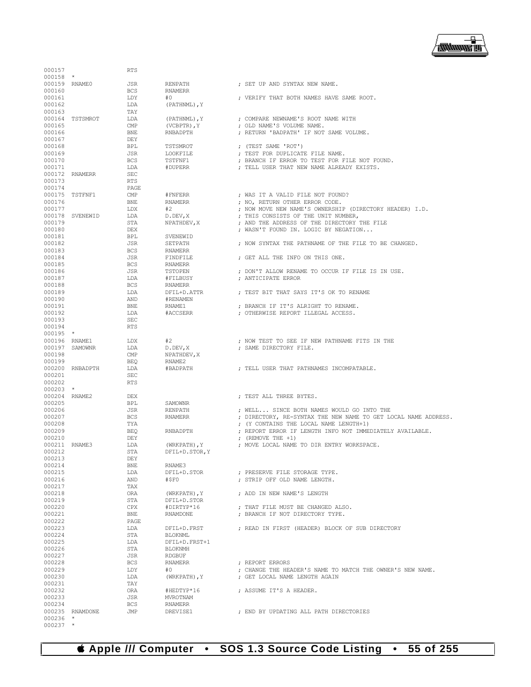## **Apple /// Computer • SOS 1.3 Source Code Listing • 55 of 255**

000237 \*

| 000157                  |                 | <b>RTS</b>        |                                |                                                                  |
|-------------------------|-----------------|-------------------|--------------------------------|------------------------------------------------------------------|
| $000158$ *              |                 |                   |                                |                                                                  |
| 000159 RNAME0           |                 | JSR               | RENPATH                        | ; SET UP AND SYNTAX NEW NAME.                                    |
| 000160                  |                 | <b>BCS</b>        | RNAMERR                        |                                                                  |
| 000161                  |                 | LDY               | #0                             | ; VERIFY THAT BOTH NAMES HAVE SAME ROOT.                         |
| 000162                  |                 | LDA               | (PATHNML), Y                   |                                                                  |
| 000163                  |                 | TAY               |                                |                                                                  |
|                         | 000164 TSTSMROT | LDA               | (PATHNML), Y                   | ; COMPARE NEWNAME'S ROOT NAME WITH                               |
| 000165                  |                 | CMP               | $(VCBPTR)$ , $Y$               | ; OLD NAME'S VOLUME NAME.                                        |
| 000166                  |                 | BNE               | RNBADPTH                       | ; RETURN 'BADPATH' IF NOT SAME VOLUME.                           |
| 000167<br>000168        |                 | DEY<br>BPL        | TSTSMROT                       | ; (TEST SAME 'ROT')                                              |
| 000169                  |                 | JSR               | LOOKFILE                       | ; TEST FOR DUPLICATE FILE NAME.                                  |
| 000170                  |                 | <b>BCS</b>        | TSTFNF1                        | ; BRANCH IF ERROR TO TEST FOR FILE NOT FOUND.                    |
| 000171                  |                 | LDA               | #DUPERR                        | ; TELL USER THAT NEW NAME ALREADY EXISTS.                        |
|                         | 000172 RNAMERR  | <b>SEC</b>        |                                |                                                                  |
| 000173                  |                 | <b>RTS</b>        |                                |                                                                  |
| 000174                  |                 | PAGE              |                                |                                                                  |
|                         | 000175 TSTFNF1  | $\text{CMP}$      | #FNFERR                        | ; WAS IT A VALID FILE NOT FOUND?                                 |
| 000176                  |                 | BNE               | <b>RNAMERR</b>                 | ; NO, RETURN OTHER ERROR CODE.                                   |
| 000177                  |                 | LDX               | #2                             | ; NOW MOVE NEW NAME'S OWNERSHIP (DIRECTORY HEADER) I.D.          |
|                         | 000178 SVENEWID | LDA               | D.DEV, X                       | ; THIS CONSISTS OF THE UNIT NUMBER,                              |
| 000179                  |                 | STA               | NPATHDEV, X                    | ; AND THE ADDRESS OF THE DIRECTORY THE FILE                      |
| 000180                  |                 | DEX               |                                | ; WASN'T FOUND IN. LOGIC BY NEGATION                             |
| 000181                  |                 | BPL               | SVENEWID                       |                                                                  |
| 000182<br>000183        |                 | JSR<br><b>BCS</b> | SETPATH<br><b>RNAMERR</b>      | ; NOW SYNTAX THE PATHNAME OF THE FILE TO BE CHANGED.             |
| 000184                  |                 | JSR               | FINDFILE                       | ; GET ALL THE INFO ON THIS ONE.                                  |
| 000185                  |                 | <b>BCS</b>        | RNAMERR                        |                                                                  |
| 000186                  |                 | JSR               | TSTOPEN                        | ; DON'T ALLOW RENAME TO OCCUR IF FILE IS IN USE.                 |
| 000187                  |                 | LDA               | #FILBUSY                       | ; ANTICIPATE ERROR                                               |
| 000188                  |                 | <b>BCS</b>        | <b>RNAMERR</b>                 |                                                                  |
| 000189                  |                 | LDA               | DFIL+D.ATTR                    | ; TEST BIT THAT SAYS IT'S OK TO RENAME                           |
| 000190                  |                 | AND               | #RENAMEN                       |                                                                  |
| 000191                  |                 | <b>BNE</b>        | RNAME1                         | ; BRANCH IF IT'S ALRIGHT TO RENAME.                              |
| 000192                  |                 | LDA               | #ACCSERR                       | ; OTHERWISE REPORT ILLEGAL ACCESS.                               |
| 000193                  |                 | <b>SEC</b>        |                                |                                                                  |
| 000194                  |                 | <b>RTS</b>        |                                |                                                                  |
| $000195$ *              |                 |                   |                                |                                                                  |
| 000196 RNAME1           |                 | LDX               | #2                             | ; NOW TEST TO SEE IF NEW PATHNAME FITS IN THE                    |
| 000198                  | 000197 SAMOWNR  | LDA<br>CMP        | D.DEV, X                       | ; SAME DIRECTORY FILE.                                           |
| 000199                  |                 | BEO               | NPATHDEV, X<br>RNAME2          |                                                                  |
|                         | 000200 RNBADPTH | LDA               | #BADPATH                       | ; TELL USER THAT PATHNAMES INCOMPATABLE.                         |
| 000201                  |                 | <b>SEC</b>        |                                |                                                                  |
| 000202                  |                 | <b>RTS</b>        |                                |                                                                  |
| $000203$ *              |                 |                   |                                |                                                                  |
| 000204 RNAME2           |                 | DEX               |                                | ; TEST ALL THREE BYTES.                                          |
| 000205                  |                 | BPL               | <b>SAMOWNR</b>                 |                                                                  |
| 000206                  |                 | JSR               | <b>RENPATH</b>                 | ; WELL SINCE BOTH NAMES WOULD GO INTO THE                        |
| 000207                  |                 | <b>BCS</b>        | RNAMERR                        | ; DIRECTORY, RE-SYNTAX THE NEW NAME TO GET LOCAL NAME ADDRESS.   |
| 000208                  |                 | TYA               |                                | ; (Y CONTAINS THE LOCAL NAME LENGTH+1)                           |
| 000209                  |                 | <b>BEQ</b>        | RNBADPTH                       | ; REPORT ERROR IF LENGTH INFO NOT IMMEDIATELY AVAILABLE.         |
| 000210<br>000211 RNAME3 |                 | DEY               |                                | ; $(REMOVE THE +1)$<br>; MOVE LOCAL NAME TO DIR ENTRY WORKSPACE. |
| 000212                  |                 | LDA<br>STA        | (WRKPATH), Y<br>DFIL+D.STOR, Y |                                                                  |
| 000213                  |                 | DEY               |                                |                                                                  |
| 000214                  |                 | <b>BNE</b>        | RNAME3                         |                                                                  |
| 000215                  |                 | LDA               | DFIL+D.STOR                    | ; PRESERVE FILE STORAGE TYPE.                                    |
| 000216                  |                 | AND               | #\$F0                          | ; STRIP OFF OLD NAME LENGTH.                                     |
| 000217                  |                 | TAX               |                                |                                                                  |
| 000218                  |                 | ORA               | (WRKPATH), Y                   | ; ADD IN NEW NAME'S LENGTH                                       |
| 000219                  |                 | STA               | DFIL+D.STOR                    |                                                                  |
| 000220                  |                 | CPX               | #DIRTYP*16                     | ; THAT FILE MUST BE CHANGED ALSO.                                |
| 000221                  |                 | BNE               | <b>RNAMDONE</b>                | ; BRANCH IF NOT DIRECTORY TYPE.                                  |
| 000222                  |                 | PAGE              |                                |                                                                  |
| 000223<br>000224        |                 | LDA<br>STA        | DFIL+D.FRST<br><b>BLOKNML</b>  | ; READ IN FIRST (HEADER) BLOCK OF SUB DIRECTORY                  |
| 000225                  |                 | LDA               | DFIL+D.FRST+1                  |                                                                  |
| 000226                  |                 | STA               | <b>BLOKNMH</b>                 |                                                                  |
| 000227                  |                 | JSR               | <b>RDGBUF</b>                  |                                                                  |
| 000228                  |                 | <b>BCS</b>        | <b>RNAMERR</b>                 | ; REPORT ERRORS                                                  |
| 000229                  |                 | LDY               | #0                             | ; CHANGE THE HEADER'S NAME TO MATCH THE OWNER'S NEW NAME.        |
| 000230                  |                 | LDA               | (WRKPATH), Y                   | ; GET LOCAL NAME LENGTH AGAIN                                    |
| 000231                  |                 | TAY               |                                |                                                                  |
|                         |                 | ORA               | #HEDTYP*16                     | ; ASSUME IT'S A HEADER.                                          |
| 000232                  |                 |                   |                                |                                                                  |
| 000233                  |                 | JSR               | MVROTNAM                       |                                                                  |
| 000234                  |                 | <b>BCS</b>        | RNAMERR                        |                                                                  |
| $000236$ *              | 000235 RNAMDONE | JMP               | DREVISE1                       | ; END BY UPDATING ALL PATH DIRECTORIES                           |

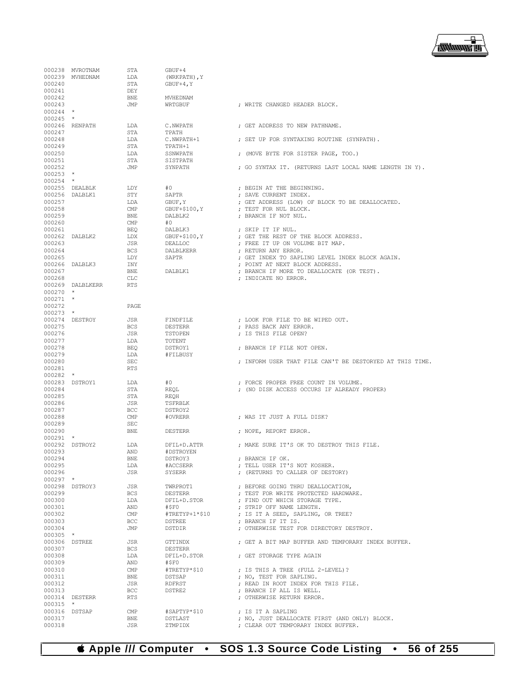

|                      | 000238 MVROTNAM  | STA                       | GBUF+4             |                                                                                      |
|----------------------|------------------|---------------------------|--------------------|--------------------------------------------------------------------------------------|
|                      | 000239 MVHEDNAM  | LDA                       | (WRKPATH), Y       |                                                                                      |
| 000240               |                  | STA                       | $GBUF+4, Y$        |                                                                                      |
| 000241               |                  | DEY                       |                    |                                                                                      |
| 000242               |                  | <b>BNE</b>                | MVHEDNAM           |                                                                                      |
| 000243<br>$000244$ * |                  | JMP                       | WRTGBUF            | ; WRITE CHANGED HEADER BLOCK.                                                        |
| $000245$ *           |                  |                           |                    |                                                                                      |
|                      | 000246 RENPATH   | LDA                       | C.NWPATH           | ; GET ADDRESS TO NEW PATHNAME.                                                       |
| 000247               |                  | STA                       | TPATH              |                                                                                      |
| 000248               |                  | LDA                       | C.NWPATH+1         | ; SET UP FOR SYNTAXING ROUTINE (SYNPATH).                                            |
| 000249               |                  | STA                       | TPATH+1            |                                                                                      |
| 000250               |                  | LDA                       | SSNWPATH           | ; (MOVE BYTE FOR SISTER PAGE, TOO.)                                                  |
| 000251               |                  | STA                       | SISTPATH           |                                                                                      |
| 000252               |                  | JMP                       | SYNPATH            | ; GO SYNTAX IT. (RETURNS LAST LOCAL NAME LENGTH IN Y).                               |
| $000253$ *           |                  |                           |                    |                                                                                      |
| $000254$ *           |                  |                           |                    |                                                                                      |
|                      | 000255 DEALBLK   | LDY                       | #0                 | ; BEGIN AT THE BEGINNING.                                                            |
|                      | 000256 DALBLK1   | STY                       | SAPTR              | ; SAVE CURRENT INDEX.                                                                |
| 000257               |                  | LDA                       | GBUF, Y            | ; GET ADDRESS (LOW) OF BLOCK TO BE DEALLOCATED.                                      |
| 000258               |                  | CMP                       | $GBUF+$100, Y$     | ; TEST FOR NUL BLOCK.                                                                |
| 000259               |                  | <b>BNE</b>                | DALBLK2            | ; BRANCH IF NOT NUL.                                                                 |
| 000260               |                  | CMP                       | #0                 |                                                                                      |
| 000261               |                  | <b>BEQ</b>                | DALBLK3            | ; SKIP IT IF NUL.                                                                    |
|                      | 000262 DALBLK2   | LDX                       | $GBUF+$100, Y$     | ; GET THE REST OF THE BLOCK ADDRESS.                                                 |
| 000263               |                  | JSR                       | DEALLOC            | ; FREE IT UP ON VOLUME BIT MAP.                                                      |
| 000264               |                  | <b>BCS</b>                | DALBLKERR          | ; RETURN ANY ERROR.                                                                  |
| 000265               |                  | LDY                       | SAPTR              | ; GET INDEX TO SAPLING LEVEL INDEX BLOCK AGAIN.                                      |
|                      | 000266 DALBLK3   | INY                       |                    | ; POINT AT NEXT BLOCK ADDRESS.                                                       |
| 000267               |                  | <b>BNE</b>                | DALBLK1            | ; BRANCH IF MORE TO DEALLOCATE (OR TEST).                                            |
| 000268               |                  | CLC                       |                    | ; INDICATE NO ERROR.                                                                 |
|                      | 000269 DALBLKERR | <b>RTS</b>                |                    |                                                                                      |
| $000270$ *           |                  |                           |                    |                                                                                      |
| $000271$ *           |                  |                           |                    |                                                                                      |
| 000272               |                  | PAGE                      |                    |                                                                                      |
| $000273$ *           | 000274 DESTROY   | JSR                       | FINDFILE           |                                                                                      |
| 000275               |                  | <b>BCS</b>                | DESTERR            | ; LOOK FOR FILE TO BE WIPED OUT.<br>; PASS BACK ANY ERROR.                           |
| 000276               |                  | JSR                       | TSTOPEN            | ; IS THIS FILE OPEN?                                                                 |
| 000277               |                  | LDA                       | TOTENT             |                                                                                      |
| 000278               |                  | <b>BEQ</b>                | DSTROY1            | ; BRANCH IF FILE NOT OPEN.                                                           |
| 000279               |                  | LDA                       | #FILBUSY           |                                                                                      |
| 000280               |                  | <b>SEC</b>                |                    | ; INFORM USER THAT FILE CAN'T BE DESTORYED AT THIS TIME.                             |
| 000281               |                  | <b>RTS</b>                |                    |                                                                                      |
| $000282$ *           |                  |                           |                    |                                                                                      |
|                      | 000283 DSTROY1   | LDA                       | #0                 | ; FORCE PROPER FREE COUNT IN VOLUME.                                                 |
| 000284               |                  |                           | REQL               | ; (NO DISK ACCESS OCCURS IF ALREADY PROPER)                                          |
| 000285               |                  | STA                       |                    |                                                                                      |
| 000286               |                  |                           |                    |                                                                                      |
|                      |                  | STA<br>JSR                | REQH<br>TSFRBLK    |                                                                                      |
| 000287               |                  | <b>BCC</b>                | DSTROY2            |                                                                                      |
| 000288               |                  | CMP                       | #OVRERR            | ; WAS IT JUST A FULL DISK?                                                           |
| 000289               |                  | SEC                       |                    |                                                                                      |
| 000290               |                  | <b>BNE</b>                | DESTERR            | ; NOPE, REPORT ERROR.                                                                |
| $000291$ *           |                  |                           |                    |                                                                                      |
|                      | 000292 DSTROY2   | LDA                       | DFIL+D.ATTR        | ; MAKE SURE IT'S OK TO DESTROY THIS FILE.                                            |
| 000293               |                  | AND                       | #DSTROYEN          |                                                                                      |
| 000294               |                  | BNE                       | DSTROY3            | ; BRANCH IF OK.                                                                      |
| 000295               |                  | LDA                       | #ACCSERR           | ; TELL USER IT'S NOT KOSHER.                                                         |
| 000296               |                  | JSR                       | SYSERR             | ; (RETURNS TO CALLER OF DESTORY)                                                     |
| $000297$ *           |                  |                           |                    |                                                                                      |
|                      | 000298 DSTROY3   | JSR                       | TWRPROT1           | ; BEFORE GOING THRU DEALLOCATION,                                                    |
| 000299               |                  | BCS                       | DESTERR            | ; TEST FOR WRITE PROTECTED HARDWARE.                                                 |
| 000300               |                  | LDA                       | DFIL+D.STOR        | ; FIND OUT WHICH STORAGE TYPE.                                                       |
| 000301               |                  | AND                       | #\$F0              | ; STRIP OFF NAME LENGTH.                                                             |
| 000302               |                  | $\text{CMP}$              | #TRETYP+1*\$10     | ; IS IT A SEED, SAPLING, OR TREE?                                                    |
| 000303               |                  | BCC                       | DSTREE             | ; BRANCH IF IT IS.                                                                   |
| 000304               |                  | JMP                       | DSTDIR             | ; OTHERWISE TEST FOR DIRECTORY DESTROY.                                              |
| 000305 *             |                  |                           |                    |                                                                                      |
| 000306 DSTREE        |                  | JSR                       | GTTINDX            | ; GET A BIT MAP BUFFER AND TEMPORARY INDEX BUFFER.                                   |
| 000307               |                  | BCS                       | <b>DESTERR</b>     |                                                                                      |
| 000308               |                  | LDA                       | DFIL+D.STOR        | ; GET STORAGE TYPE AGAIN                                                             |
| 000309               |                  | AND                       | #\$F0              |                                                                                      |
| 000310               |                  | $\text{CMP}$              | #TRETYP*\$10       | ; IS THIS A TREE (FULL 2-LEVEL)?                                                     |
| 000311               |                  | BNE                       | DSTSAP             | ; NO, TEST FOR SAPLING.                                                              |
| 000312               |                  | JSR                       | RDFRST             | ; READ IN ROOT INDEX FOR THIS FILE.                                                  |
| 000313               |                  | <b>BCC</b>                | DSTRE2             | ; BRANCH IF ALL IS WELL.                                                             |
|                      | 000314 DESTERR   | <b>RTS</b>                |                    | ; OTHERWISE RETURN ERROR.                                                            |
| $000315$ *           |                  |                           |                    |                                                                                      |
| 000316 DSTSAP        |                  | CMP                       | #SAPTYP*\$10       | ; IS IT A SAPLING                                                                    |
| 000317<br>000318     |                  | ${\tt BNE}$<br><b>JSR</b> | DSTLAST<br>ZTMPIDX | ; NO, JUST DEALLOCATE FIRST (AND ONLY) BLOCK.<br>; CLEAR OUT TEMPORARY INDEX BUFFER. |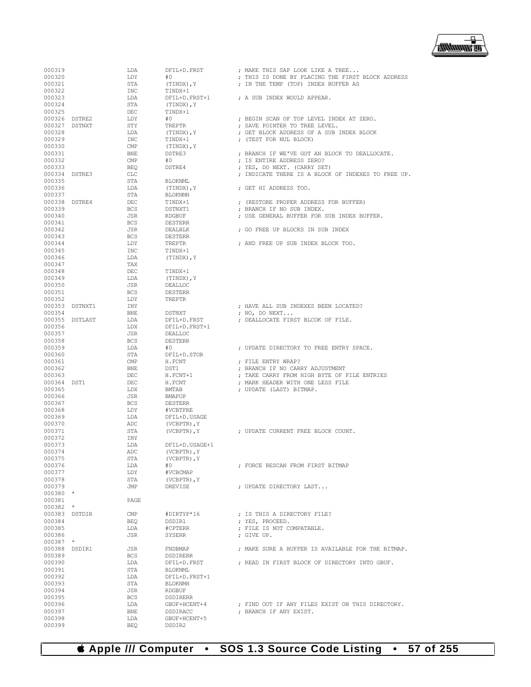

| 000319                  |                | LDA               | DFIL+D.FRST              | ; MAKE THIS SAP LOOK LIKE A TREE                                   |
|-------------------------|----------------|-------------------|--------------------------|--------------------------------------------------------------------|
| 000320                  |                | LDY               | #O                       | ; THIS IS DONE BY PLACING THE FIRST BLOCK ADDRESS                  |
| 000321                  |                | STA               | (TINDX), Y               | ; IN THE TEMP (TOP) INDEX BUFFER AS                                |
| 000322                  |                | INC               | TINDX+1                  |                                                                    |
| 000323                  |                | LDA               | DFIL+D.FRST+1            | ; A SUB INDEX WOULD APPEAR.                                        |
| 000324<br>000325        |                | STA<br>DEC        | (TINDX), Y<br>TINDX+1    |                                                                    |
| 000326 DSTRE2           |                | LDY               | #0                       | ; BEGIN SCAN OF TOP LEVEL INDEX AT ZERO.                           |
| 000327 DSTNXT           |                | STY               | TREPTR                   | ; SAVE POINTER TO TREE LEVEL.                                      |
| 000328                  |                | LDA               | (TINDX), Y               | ; GET BLOCK ADDRESS OF A SUB INDEX BLOCK                           |
| 000329                  |                | INC               | TINDX+1                  | ; (TEST FOR NUL BLOCK)                                             |
| 000330                  |                | CMP               | (TINDX), Y               |                                                                    |
| 000331                  |                | BNE               | DSTRE3                   | ; BRANCH IF WE'VE GOT AN BLOCK TO DEALLOCATE.                      |
| 000332                  |                | CMP               | #O                       | ; IS ENTIRE ADDRESS ZERO?                                          |
| 000333                  |                | BEQ               | DSTRE4                   | ; YES, DO NEXT. (CARRY SET)                                        |
|                         | 000334 DSTRE3  | CLC               |                          | ; INDICATE THERE IS A BLOCK OF INDEXES TO FREE UP.                 |
| 000335                  |                | STA               | BLOKNML                  |                                                                    |
| 000336                  |                | LDA               | (TINDX), Y               | ; GET HI ADDRESS TOO.                                              |
| 000337<br>000338 DSTRE4 |                | STA<br>DEC        | BLOKNMH<br>TINDX+1       |                                                                    |
| 000339                  |                | <b>BCS</b>        | DSTNXT1                  | ; (RESTORE PROPER ADDRESS FOR BUFFER)<br>; BRANCH IF NO SUB INDEX. |
| 000340                  |                | JSR               | RDGBUF                   | ; USE GENERAL BUFFER FOR SUB INDEX BUFFER.                         |
| 000341                  |                | <b>BCS</b>        | DESTERR                  |                                                                    |
| 000342                  |                | JSR               | DEALBLK                  | ; GO FREE UP BLOCKS IN SUB INDEX                                   |
| 000343                  |                | <b>BCS</b>        | DESTERR                  |                                                                    |
| 000344                  |                | LDY               | TREPTR                   | ; AND FREE UP SUB INDEX BLOCK TOO.                                 |
| 000345                  |                | INC               | TINDX+1                  |                                                                    |
| 000346                  |                | LDA               | (TINDX), Y               |                                                                    |
| 000347                  |                | TAX               |                          |                                                                    |
| 000348                  |                | DEC               | TINDX+1                  |                                                                    |
| 000349                  |                | LDA               | (TINDX), Y               |                                                                    |
| 000350                  |                | JSR               | DEALLOC                  |                                                                    |
| 000351<br>000352        |                | <b>BCS</b><br>LDY | <b>DESTERR</b><br>TREPTR |                                                                    |
|                         | 000353 DSTNXT1 | INY               |                          | : HAVE ALL SUB INDEXES BEEN LOCATED?                               |
| 000354                  |                | BNE               | DSTNXT                   | ; NO, DO NEXT                                                      |
|                         | 000355 DSTLAST | LDA               | DFIL+D.FRST              | ; DEALLOCATE FIRST BLCOK OF FILE.                                  |
| 000356                  |                | LDX               | DFIL+D.FRST+1            |                                                                    |
| 000357                  |                | JSR               | DEALLOC                  |                                                                    |
| 000358                  |                | <b>BCS</b>        | DESTERR                  |                                                                    |
| 000359                  |                | LDA               | #0                       | ; UPDATE DIRECTORY TO FREE ENTRY SPACE.                            |
| 000360                  |                | STA               | DFIL+D.STOR              |                                                                    |
| 000361                  |                | CMP               | H.FCNT                   | ; FILE ENTRY WRAP?                                                 |
| 000362                  |                | BNE               | DST1                     | ; BRANCH IF NO CARRY ADJUSTMENT                                    |
| 000363                  |                | DEC               | H.FCNT+1                 | ; TAKE CARRY FROM HIGH BYTE OF FILE ENTRIES                        |
| 000364 DST1             |                | DEC               | H.FCNT                   | ; MARK HEADER WITH ONE LESS FILE                                   |
| 000365<br>000366        |                | LDX<br>JSR        | BMTAB<br>BMAPUP          | ; UPDATE (LAST) BITMAP.                                            |
| 000367                  |                | <b>BCS</b>        | <b>DESTERR</b>           |                                                                    |
| 000368                  |                | LDY               | #VCBTFRE                 |                                                                    |
| 000369                  |                | LDA               | DFIL+D.USAGE             |                                                                    |
| 000370                  |                | ADC               | $(VCBPTR)$ , $Y$         |                                                                    |
| 000371                  |                | STA               | (VCBPTR), Y              | : UPDATE CURRENT FREE BLOCK COUNT.                                 |
| 000372                  |                | INY               |                          |                                                                    |
| 000373                  |                | LDA               |                          |                                                                    |
| 000374                  |                |                   | DFIL+D.USAGE+1           |                                                                    |
| 000375                  |                | ADC               | (VCBPTR), $Y$            |                                                                    |
| 000376                  |                | STA               | (VCBPTR), Y              |                                                                    |
| 000377                  |                | LDA               | #0                       | ; FORCE RESCAN FROM FIRST BITMAP                                   |
|                         |                | LDY               | #VCBCMAP                 |                                                                    |
| 000378                  |                | STA               | (VCBPTR), Y              |                                                                    |
| 000379                  |                | JMP               | DREVISE                  | : UPDATE DIRECTORY LAST                                            |
| 000380 *                |                | PAGE              |                          |                                                                    |
| 000381<br>$000382$ *    |                |                   |                          |                                                                    |
|                         | 000383 DSTDIR  | CMP               | #DIRTYP*16               | ; IS THIS A DIRECTORY FILE?                                        |
| 000384                  |                | BEO               | DSDIR1                   | ; YES, PROCEED.                                                    |
| 000385                  |                | LDA               | #CPTERR                  | ; FILE IS NOT COMPATABLE.                                          |
| 000386                  |                | JSR               | SYSERR                   | ; GIVE UP.                                                         |
| $000387$ *              |                |                   |                          |                                                                    |
| 000388 DSDIR1           |                | JSR               | FNDBMAP                  | ; MAKE SURE A BUFFER IS AVAILABLE FOR THE BITMAP.                  |
| 000389                  |                | <b>BCS</b>        | DSDIRERR                 |                                                                    |
| 000390                  |                | LDA               | DFIL+D.FRST              | ; READ IN FIRST BLOCK OF DIRECTORY INTO GBUF.                      |
| 000391                  |                | STA               | BLOKNML                  |                                                                    |
| 000392                  |                | LDA               | DFIL+D.FRST+1            |                                                                    |
| 000393<br>000394        |                | STA<br>JSR        | <b>BLOKNMH</b><br>RDGBUF |                                                                    |
| 000395                  |                | <b>BCS</b>        | <b>DSDIRERR</b>          |                                                                    |
| 000396                  |                | LDA               | GBUF+HCENT+4             | ; FIND OUT IF ANY FILES EXIST ON THIS DIRECTORY.                   |
| 000397                  |                | BNE               | DSDIRACC                 | ; BRANCH IF ANY EXIST.                                             |
| 000398<br>000399        |                | LDA<br><b>BEO</b> | GBUF+HCENT+5<br>DSDIR2   |                                                                    |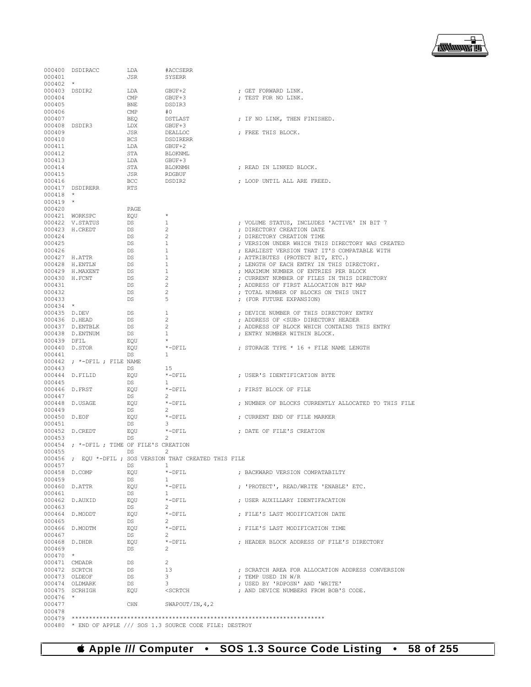

|               | 000400 DSDIRACC                          | LDA          | #ACCSERR                                                 |                                                     |
|---------------|------------------------------------------|--------------|----------------------------------------------------------|-----------------------------------------------------|
| 000401        |                                          | JSR.         | <b>SYSERR</b>                                            |                                                     |
| $000402$ *    |                                          |              |                                                          |                                                     |
| 000403 DSDIR2 |                                          | LDA          | GBUF+2                                                   | ; GET FORWARD LINK.                                 |
| 000404        |                                          | CMP          | GBUF+3                                                   | ; TEST FOR NO LINK.                                 |
| 000405        |                                          | <b>BNE</b>   | DSDIR3                                                   |                                                     |
| 000406        |                                          | $\text{CMP}$ | #0                                                       |                                                     |
| 000407        |                                          | <b>BEO</b>   | DSTLAST                                                  | ; IF NO LINK, THEN FINISHED.                        |
|               |                                          |              |                                                          |                                                     |
| 000408 DSDIR3 |                                          | LDX          | GBUF+3                                                   |                                                     |
| 000409        |                                          | JSR          | DEALLOC                                                  | ; FREE THIS BLOCK.                                  |
| 000410        |                                          | <b>BCS</b>   | <b>DSDIRERR</b>                                          |                                                     |
| 000411        |                                          | LDA          | GBUF+2                                                   |                                                     |
| 000412        |                                          | STA          | BLOKNML                                                  |                                                     |
| 000413        |                                          | LDA          | GBUF+3                                                   |                                                     |
| 000414        |                                          | STA          | <b>BLOKNMH</b>                                           | ; READ IN LINKED BLOCK.                             |
| 000415        |                                          | JSR          | RDGBUF                                                   |                                                     |
| 000416        |                                          | <b>BCC</b>   | DSDIR2                                                   | ; LOOP UNTIL ALL ARE FREED.                         |
|               | 000417 DSDIRERR                          | <b>RTS</b>   |                                                          |                                                     |
| $000418$ *    |                                          |              |                                                          |                                                     |
| $000419$ *    |                                          |              |                                                          |                                                     |
|               |                                          |              |                                                          |                                                     |
| 000420        |                                          | PAGE         | $\star$                                                  |                                                     |
|               | 000421 WORKSPC                           | EOU          |                                                          |                                                     |
|               | 000422 V.STATUS                          | DS           | 1                                                        | ; VOLUME STATUS, INCLUDES 'ACTIVE' IN BIT 7         |
|               | 000423 H.CREDT                           | DS           | 2                                                        | ; DIRECTORY CREATION DATE                           |
| 000424        |                                          | DS           | 2                                                        | ; DIRECTORY CREATION TIME                           |
| 000425        |                                          | <b>DS</b>    | 1                                                        | ; VERSION UNDER WHICH THIS DIRECTORY WAS CREATED    |
| 000426        |                                          | DS           | 1                                                        | ; EARLIEST VERSION THAT IT'S COMPATABLE WITH        |
| 000427 H.ATTR |                                          | DS           | 1                                                        | ; ATTRIBUTES (PROTECT BIT, ETC.)                    |
|               | 000428 H.ENTLN                           | <b>DS</b>    | 1                                                        | : LENGTH OF EACH ENTRY IN THIS DIRECTORY.           |
|               | 000429 H.MAXENT                          | DS           | 1                                                        | ; MAXIMUM NUMBER OF ENTRIES PER BLOCK               |
| 000430 H.FCNT |                                          | DS           | $\mathbf{2}$                                             | ; CURRENT NUMBER OF FILES IN THIS DIRECTORY         |
|               |                                          |              |                                                          |                                                     |
| 000431        |                                          | DS           | $\overline{c}$                                           | ; ADDRESS OF FIRST ALLOCATION BIT MAP               |
| 000432        |                                          | DS           | 2                                                        | ; TOTAL NUMBER OF BLOCKS ON THIS UNIT               |
| 000433        |                                          | DS           | 5                                                        | ; (FOR FUTURE EXPANSION)                            |
| $000434$ *    |                                          |              |                                                          |                                                     |
| 000435 D.DEV  |                                          | DS           | 1                                                        | ; DEVICE NUMBER OF THIS DIRECTORY ENTRY             |
| 000436 D.HEAD |                                          | DS           | 2                                                        | ; ADDRESS OF <sub> DIRECTORY HEADER</sub>           |
|               | 000437 D.ENTBLK                          | DS           | 2                                                        | ; ADDRESS OF BLOCK WHICH CONTAINS THIS ENTRY        |
|               | 000438 D.ENTNUM                          | DS           | 1                                                        | ; ENTRY NUMBER WITHIN BLOCK.                        |
| 000439 DFIL   |                                          | EQU          | $\star$                                                  |                                                     |
| 000440 D.STOR |                                          | EOU          | $*$ -DFIL                                                | ; STORAGE TYPE * 16 + FILE NAME LENGTH              |
| 000441        |                                          | DS           | $\mathbf{1}$                                             |                                                     |
|               | $000442$ ; *-DFIL ; FILE NAME            |              |                                                          |                                                     |
|               |                                          |              |                                                          |                                                     |
| 000443        |                                          | DS           | 15                                                       |                                                     |
|               | 000444 D.FILID                           | EQU          | $*$ -DFIL                                                | ; USER'S IDENTIFICATION BYTE                        |
| 000445        |                                          | DS           | -1.                                                      |                                                     |
| 000446 D.FRST |                                          | EOU          | $*$ -DFIL                                                | ; FIRST BLOCK OF FILE                               |
| 000447        |                                          | DS           | 2                                                        |                                                     |
|               | 000448 D.USAGE                           | EQU          | $*$ -DFIL                                                | ; NUMBER OF BLOCKS CURRENTLY ALLOCATED TO THIS FILE |
| 000449        |                                          | DS           | 2                                                        |                                                     |
| 000450 D.EOF  |                                          | EQU          | *-DFIL                                                   | ; CURRENT END OF FILE MARKER                        |
| 000451        |                                          | DS           | 3                                                        |                                                     |
|               | 000452 D.CREDT                           | EOU          | *-DFIL                                                   | ; DATE OF FILE'S CREATION                           |
| 000453        |                                          | DS           | 2                                                        |                                                     |
|               | 000454 ; *-DFIL; TIME OF FILE'S CREATION |              |                                                          |                                                     |
|               |                                          |              |                                                          |                                                     |
| 000455        |                                          | <b>DS</b>    | 2                                                        |                                                     |
|               |                                          |              | 000456 ; EQU *-DFIL ; SOS VERSION THAT CREATED THIS FILE |                                                     |
| 000457        |                                          | DS           | -1.                                                      |                                                     |
| 000458 D.COMP |                                          | EOU          | $*$ -DFIL                                                | ; BACKWARD VERSION COMPATABILTY                     |
| 000459        |                                          | DS           | -1                                                       |                                                     |
| 000460 D.ATTR |                                          | EQU          | *-DFIL                                                   | ; 'PROTECT', READ/WRITE 'ENABLE' ETC.               |
| 000461        |                                          | DS           | $\mathbf{1}$                                             |                                                     |
|               | 000462 D.AUXID                           | EQU          | $*$ -DFIL                                                | ; USER AUXILLARY IDENTIFACATION                     |
| 000463        |                                          | DS           | 2                                                        |                                                     |
|               | 000464 D.MODDT                           | EOU          | *-DFIL                                                   | ; FILE'S LAST MODIFICATION DATE                     |
| 000465        |                                          | DS           | 2                                                        |                                                     |
|               | 000466 D.MODTM                           | EQU          | *-DFIL                                                   | ; FILE'S LAST MODIFICATION TIME                     |
| 000467        |                                          | DS           | 2                                                        |                                                     |
|               |                                          |              |                                                          |                                                     |
| 000468 D.DHDR |                                          | EQU          | $*$ -DFTL                                                | ; HEADER BLOCK ADDRESS OF FILE'S DIRECTORY          |
| 000469        |                                          | DS           | 2                                                        |                                                     |
| $000470$ *    |                                          |              |                                                          |                                                     |
| 000471 CMDADR |                                          | DS           | $\overline{2}$                                           |                                                     |
| 000472 SCRTCH |                                          | DS           | 13                                                       | ; SCRATCH AREA FOR ALLOCATION ADDRESS CONVERSION    |
| 000473 OLDEOF |                                          | DS           | 3                                                        | ; TEMP USED IN W/R                                  |
|               | 000474 OLDMARK                           | DS           | 3                                                        | ; USED BY 'RDPOSN' AND 'WRITE'                      |
|               | 000475 SCRHIGH                           | EQU          | $<$ SCRTCH                                               | ; AND DEVICE NUMBERS FROM BOB'S CODE.               |
| $000476$ *    |                                          |              |                                                          |                                                     |
| 000477        |                                          | CHN          | SWAPOUT/IN, $4, 2$                                       |                                                     |
| 000478        |                                          |              |                                                          |                                                     |
|               |                                          |              |                                                          |                                                     |
|               |                                          |              |                                                          |                                                     |

 **Apple /// Computer • SOS 1.3 Source Code Listing • 58 of 255**

000480 \* END OF APPLE /// SOS 1.3 SOURCE CODE FILE: DESTROY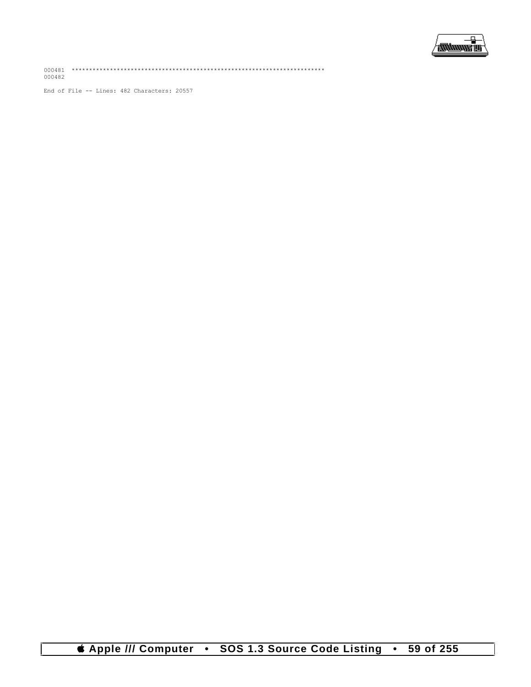

End of File -- Lines: 482 Characters: 20557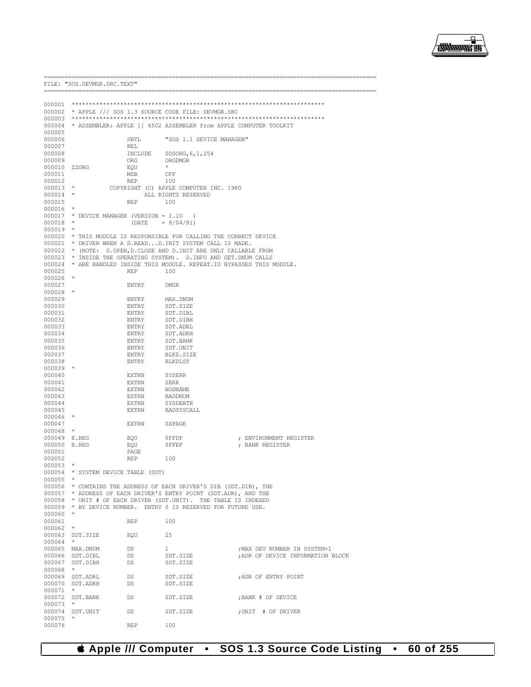

| 000001       |                                           |                 |                                                                           |                                   |
|--------------|-------------------------------------------|-----------------|---------------------------------------------------------------------------|-----------------------------------|
|              |                                           |                 | 000002 * APPLE /// SOS 1.3 SOURCE CODE FILE: DEVMGR.SRC                   |                                   |
|              |                                           |                 |                                                                           |                                   |
|              |                                           |                 | 000004 * ASSEMBLER: APPLE 1 [ 6502 ASSEMBLER from APPLE COMPUTER TOOLKIT  |                                   |
| 000005       |                                           |                 |                                                                           |                                   |
| 000006       |                                           | SBTL            | "SOS 1.1 DEVICE MANAGER"                                                  |                                   |
| 000007       |                                           | REL             |                                                                           |                                   |
| 000008       |                                           | INCLUDE         | SOSORG, 6, 1, 254                                                         |                                   |
| 000009       |                                           | ORG             | ORGDMGR                                                                   |                                   |
| 000010       | ZZORG                                     | EQU             | $\star$                                                                   |                                   |
| 000011       |                                           | MSB             | OFF                                                                       |                                   |
| 000012       |                                           | <b>REP</b>      | 100                                                                       |                                   |
| $000013$ *   |                                           |                 | COPYRIGHT (C) APPLE COMPUTER INC. 1980                                    |                                   |
| 000014       |                                           |                 | ALL RIGHTS RESERVED                                                       |                                   |
| 000015       |                                           | <b>REP</b>      | 100                                                                       |                                   |
| 000016       | $\star$                                   |                 |                                                                           |                                   |
|              | $000017$ * DEVICE MANAGER (VERSION = 1.10 |                 |                                                                           |                                   |
|              |                                           |                 | $\rightarrow$                                                             |                                   |
| $000018$ *   |                                           | (DATE)          | $= 8/04/81$                                                               |                                   |
| $000019$ *   |                                           |                 |                                                                           |                                   |
|              |                                           |                 | 000020 * THIS MODULE IS RESPONSIBLE FOR CALLING THE CORRECT DEVICE        |                                   |
|              |                                           |                 | 000021 * DRIVER WHEN A D.READD. INIT SYSTEM CALL IS MADE.                 |                                   |
|              |                                           |                 | 000022 * (NOTE: D.OPEN, D.CLOSE AND D.INIT ARE ONLY CALLABLE FROM         |                                   |
|              |                                           |                 | 000023 * INSIDE THE OPERATING SYSTEM). D. INFO AND GET. DNUM CALLS        |                                   |
|              |                                           |                 | 000024 * ARE HANDLED INSIDE THIS MODULE. REPEAT. IO BYPASSES THIS MODULE. |                                   |
| 000025       |                                           | REP             | 100                                                                       |                                   |
| 000026       | $\star$                                   |                 |                                                                           |                                   |
| 000027       |                                           | ENTRY           | DMGR                                                                      |                                   |
| 000028       | $\star$                                   |                 |                                                                           |                                   |
| 000029       |                                           | ENTRY           | MAX.DNUM                                                                  |                                   |
| 000030       |                                           | ENTRY           | SDT.SIZE                                                                  |                                   |
| 000031       |                                           | ENTRY           | SDT.DIBL                                                                  |                                   |
| 000032       |                                           | ENTRY           | SDT.DIBH                                                                  |                                   |
| 000033       |                                           | ENTRY           | SDT.ADRL                                                                  |                                   |
| 000034       |                                           | ENTRY           | SDT.ADRH                                                                  |                                   |
| 000035       |                                           | ENTRY           | SDT.BANK                                                                  |                                   |
| 000036       |                                           | ENTRY           | SDT.UNIT                                                                  |                                   |
| 000037       |                                           | ENTRY           | BLKD.SIZE                                                                 |                                   |
| 000038       |                                           | ENTRY           | BLKDLST                                                                   |                                   |
| $000039$ *   |                                           |                 |                                                                           |                                   |
| 000040       |                                           | EXTRN           | SYSERR                                                                    |                                   |
| 000041       |                                           | <b>EXTRN</b>    | <b>SERR</b>                                                               |                                   |
| 000042       |                                           | EXTRN           | NODNAME                                                                   |                                   |
| 000043       |                                           | EXTRN           | BADDNUM                                                                   |                                   |
| 000044       |                                           | EXTRN           | SYSDEATH                                                                  |                                   |
| 000045       |                                           | EXTRN           | BADSYSCALL                                                                |                                   |
| 000046       | $\star$                                   |                 |                                                                           |                                   |
| 000047       |                                           | EXTRN           | SXPAGE                                                                    |                                   |
| 000048       | $\star$                                   |                 |                                                                           |                                   |
| 000049 E.REG |                                           | EQU             | \$FFDF                                                                    | : ENVIRONMENT REGISTER            |
| 000050 B.REG |                                           | EQU             | ŞFFEF                                                                     | ; BANK REGISTER                   |
| 000051       |                                           | PAGE            |                                                                           |                                   |
| 000052       |                                           | REP             | 100                                                                       |                                   |
| 000053       | $\star$                                   |                 |                                                                           |                                   |
|              | 000054 * SYSTEM DEVICE TABLE (SDT)        |                 |                                                                           |                                   |
| 000055       | $\star$                                   |                 |                                                                           |                                   |
|              |                                           |                 |                                                                           |                                   |
| 000056       |                                           |                 | * CONTAINS THE ADDRESS OF EACH DRIVER'S DIB (SDT.DIB), THE                |                                   |
|              |                                           |                 | 000057 * ADDRESS OF EACH DRIVER'S ENTRY POINT (SDT.ADR), AND THE          |                                   |
|              |                                           |                 | 000058 * UNIT # OF EACH DRIVER (SDT.UNIT). THE TABLE IS INDEXED           |                                   |
|              |                                           |                 | 000059 * BY DEVICE NUMBER. ENTRY 0 IS RESERVED FOR FUTURE USE.            |                                   |
| $000060$ *   |                                           |                 |                                                                           |                                   |
| 000061       |                                           | REP             | 100                                                                       |                                   |
| 000062       | $\star$                                   |                 |                                                                           |                                   |
|              | 000063 SDT.SIZE                           | EQU             | 25                                                                        |                                   |
| 000064 *     |                                           |                 |                                                                           |                                   |
|              | 000065 MAX.DNUM                           | DS              | $\mathbf{1}$                                                              | ; MAX DEV NUMBER IN SYSTEM+1      |
|              | 000066 SDT.DIBL                           | DS              | SDT.SIZE                                                                  | ; ADR OF DEVICE INFORMATION BLOCK |
|              | 000067 SDT.DIBH                           | DS              | SDT.SIZE                                                                  |                                   |
| 000068       | $\star$                                   |                 |                                                                           |                                   |
|              | 000069 SDT.ADRL                           | DS              | SDT.SIZE                                                                  | ; ADR OF ENTRY POINT              |
|              | 000070 SDT.ADRH                           | DS              | SDT.SIZE                                                                  |                                   |
| 000071       | $\star$                                   |                 |                                                                           |                                   |
|              | 000072 SDT. BANK                          | DS <sub>1</sub> | SDT.SIZE                                                                  | ; BANK # OF DEVICE                |
| 000073       | $\star$                                   |                 |                                                                           |                                   |
|              | 000074 SDT.UNIT                           | DS              | SDT.SIZE                                                                  | ; UNIT # OF DRIVER                |
| 000075       |                                           |                 |                                                                           |                                   |
| 000076       |                                           | <b>REP</b>      | 100                                                                       |                                   |

FILE: "SOS.DEVMGR.SRC.TEXT"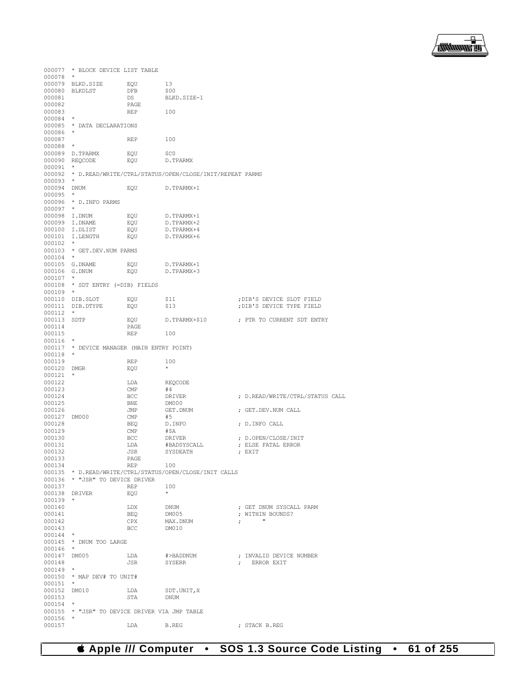

|                      | 000077 * BLOCK DEVICE LIST TABLE              |                 |                                                                |                                 |
|----------------------|-----------------------------------------------|-----------------|----------------------------------------------------------------|---------------------------------|
| $000078$ *           |                                               |                 |                                                                |                                 |
|                      | 000079 BLKD.SIZE                              | EQU             | 13                                                             |                                 |
|                      | 000080 BLKDLST                                | DFB             | \$00                                                           |                                 |
| 000081               |                                               | DS              | BLKD.SIZE-1                                                    |                                 |
| 000082               |                                               | PAGE            |                                                                |                                 |
| 000083               |                                               | <b>REP</b>      | 100                                                            |                                 |
| $000084$ *           |                                               |                 |                                                                |                                 |
|                      | 000085 * DATA DECLARATIONS                    |                 |                                                                |                                 |
| 000086 *             |                                               |                 |                                                                |                                 |
| 000087               |                                               | REP             | 100                                                            |                                 |
| $000088$ *           |                                               |                 |                                                                |                                 |
|                      | 000089 D.TPARMX                               | EQU             | - \$CO                                                         |                                 |
|                      |                                               |                 |                                                                |                                 |
|                      | 000090 REQCODE                                | EQU             | D.TPARMX                                                       |                                 |
| $000091$ *           |                                               |                 | 000092 * D.READ/WRITE/CTRL/STATUS/OPEN/CLOSE/INIT/REPEAT PARMS |                                 |
| $000093$ *           |                                               |                 |                                                                |                                 |
| 000094 DNUM          |                                               | EQU             | D.TPARMX+1                                                     |                                 |
| 000095               | $\star$                                       |                 |                                                                |                                 |
|                      | 000096 * D. INFO PARMS                        |                 |                                                                |                                 |
| $000097$ *           |                                               |                 |                                                                |                                 |
|                      | 000098 I.DNUM                                 | EQU             |                                                                |                                 |
|                      |                                               |                 | D.TPARMX+1<br>D.TPARMX+2                                       |                                 |
|                      | 000099 I.DNAME                                | EQU             |                                                                |                                 |
|                      | 000100 I.DLIST<br>000101 I.LENGTH             | EQU             | D.TPARMX+4                                                     |                                 |
| $000102$ *           |                                               | EQU             | D.TPARMX+6                                                     |                                 |
|                      |                                               |                 |                                                                |                                 |
| $000104$ *           | 000103 * GET. DEV. NUM PARMS                  |                 |                                                                |                                 |
|                      |                                               |                 |                                                                |                                 |
|                      | 000105 G.DNAME<br>000106 G.DNUM               | EQU<br>EQU      | D.TPARMX+1<br>D.TPARMX+3                                       |                                 |
|                      |                                               |                 |                                                                |                                 |
| $000107$ *           | 000108 * SDT ENTRY (=DIB) FIELDS              |                 |                                                                |                                 |
| $000109$ *           |                                               |                 |                                                                |                                 |
|                      | 000110 DIB.SLOT                               |                 |                                                                | ; DIB'S DEVICE SLOT FIELD       |
|                      | 000111 DIB.DTYPE                              | EQU             | \$11                                                           | ; DIB'S DEVICE TYPE FIELD       |
| $000112$ *           |                                               | EQU             | \$13                                                           |                                 |
| 000113 SDTP          |                                               | EQU             | D.TPARMX+\$10                                                  | ; PTR TO CURRENT SDT ENTRY      |
| 000114               |                                               | PAGE            |                                                                |                                 |
| 000115               |                                               | REP             | 100                                                            |                                 |
| $000116$ *           |                                               |                 |                                                                |                                 |
|                      | 000117 * DEVICE MANAGER (MAIN ENTRY POINT)    |                 |                                                                |                                 |
| $000118$ *           |                                               |                 |                                                                |                                 |
| 000119               |                                               | REP             | 100                                                            |                                 |
| 000120 DMGR          |                                               | EQU             | $\star$                                                        |                                 |
| $000121$ *           |                                               |                 |                                                                |                                 |
| 000122               |                                               | LDA             | REQCODE                                                        |                                 |
| 000123               |                                               | CMP             | #4                                                             |                                 |
| 000124               |                                               | BCC             | DRIVER                                                         | ; D.READ/WRITE/CTRL/STATUS CALL |
| 000125               |                                               | BNE             | DM000                                                          |                                 |
| 000126               |                                               | JMP             | GET.DNUM                                                       | ; GET.DEV.NUM CALL              |
| 000127 DM000         |                                               | $\mathsf{CMP}$  | #5                                                             |                                 |
| 000128               |                                               | BEQ             | D.INFO                                                         | ; D.INFO CALL                   |
| 000129               |                                               | CMP             | #\$A                                                           |                                 |
| 000130               |                                               | <b>BCC</b>      | DRIVER                                                         | ; D.OPEN/CLOSE/INIT             |
| 000131               |                                               | LDA             | #BADSYSCALL                                                    | ; ELSE FATAL ERROR              |
| 000132               |                                               | JSR             | SYSDEATH                                                       | ; EXIT                          |
| 000133               |                                               |                 |                                                                |                                 |
| 000134               |                                               | PAGE<br>REP 100 |                                                                |                                 |
|                      |                                               |                 | 000135 * D.READ/WRITE/CTRL/STATUS/OPEN/CLOSE/INIT CALLS        |                                 |
|                      | 000136 * "JSR" TO DEVICE DRIVER               |                 |                                                                |                                 |
| 000137               |                                               | 100<br>REP      |                                                                |                                 |
|                      | 000138 DRIVER                                 | EQU             | $\rightarrow$                                                  |                                 |
| $000139$ *           |                                               |                 |                                                                |                                 |
| 000140               |                                               | LDX DNUM        |                                                                | ; GET DNUM SYSCALL PARM         |
| 000141               |                                               | BEQ             | DM005                                                          | ; WITHIN BOUNDS?                |
| 000142               |                                               | CPX             | MAX.DNUM                                                       | $\tau$ , and $\tau$             |
| 000143               |                                               | BCC DM010       |                                                                |                                 |
| $000144$ *           |                                               |                 |                                                                |                                 |
|                      | 000145 * DNUM TOO LARGE                       |                 |                                                                |                                 |
| $000146$ *           |                                               |                 |                                                                |                                 |
| 000147 DM005         |                                               | LDA             | #>BADDNUM                                                      | ; INVALID DEVICE NUMBER         |
| 000148               |                                               | JSR             | SYSERR                                                         | ; ERROR EXIT                    |
| $000149$ *           |                                               |                 |                                                                |                                 |
|                      |                                               |                 |                                                                |                                 |
| $000151$ *           | 000150 * MAP DEV# TO UNIT#                    |                 |                                                                |                                 |
|                      | 000152 DM010                                  |                 |                                                                |                                 |
|                      |                                               | LDA SDT.UNIT, X | DNUM                                                           |                                 |
| 000153<br>$000154$ * |                                               | STA             |                                                                |                                 |
|                      | 000155 * "JSR" TO DEVICE DRIVER VIA JMP TABLE |                 |                                                                |                                 |
| $000156$ *           |                                               |                 |                                                                |                                 |
| 000157               |                                               | LDA             | B.REG                                                          | ; STACK B.REG                   |
|                      |                                               |                 |                                                                |                                 |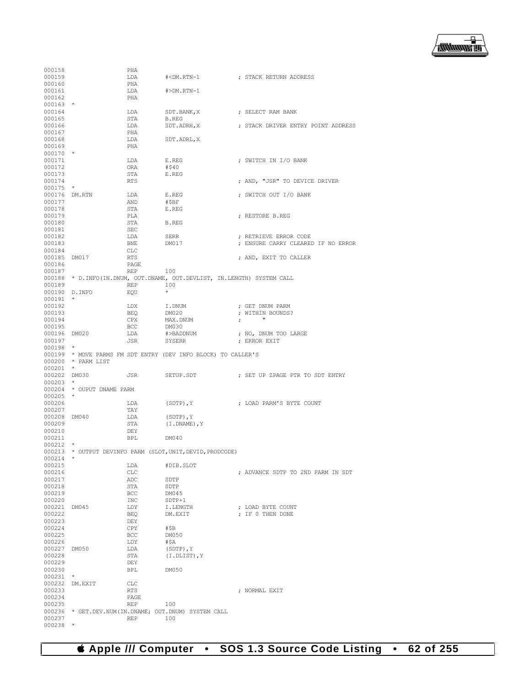

| 000158<br>PHA<br>000159<br>LDA<br>000160<br>PHA<br>000161<br>LDA<br>$#>DM$ . $RTN-1$<br>PHA<br>000162<br>$000163$ *<br>000164<br>LDA<br>SDT.BANK, X ; SELECT RAM BANK<br>STA<br>000165<br>B.REG<br>; STACK DRIVER ENTRY POINT ADDRESS<br>000166<br>LDA<br>SDT.ADRH, X<br>000167<br>PHA<br>000168<br>LDA<br>SDT.ADRL.X<br>000169<br>PHA<br>$000170$ *<br>000171<br>LDA<br>; SWITCH IN I/O BANK<br>E.REG<br>000172<br>ORA<br>#\$40<br>000173<br>STA<br>E.REG<br>000174<br><b>RTS</b><br>; AND, "JSR" TO DEVICE DRIVER<br>000175<br>$\star$ |  |
|------------------------------------------------------------------------------------------------------------------------------------------------------------------------------------------------------------------------------------------------------------------------------------------------------------------------------------------------------------------------------------------------------------------------------------------------------------------------------------------------------------------------------------------|--|
|                                                                                                                                                                                                                                                                                                                                                                                                                                                                                                                                          |  |
|                                                                                                                                                                                                                                                                                                                                                                                                                                                                                                                                          |  |
|                                                                                                                                                                                                                                                                                                                                                                                                                                                                                                                                          |  |
|                                                                                                                                                                                                                                                                                                                                                                                                                                                                                                                                          |  |
|                                                                                                                                                                                                                                                                                                                                                                                                                                                                                                                                          |  |
|                                                                                                                                                                                                                                                                                                                                                                                                                                                                                                                                          |  |
|                                                                                                                                                                                                                                                                                                                                                                                                                                                                                                                                          |  |
|                                                                                                                                                                                                                                                                                                                                                                                                                                                                                                                                          |  |
|                                                                                                                                                                                                                                                                                                                                                                                                                                                                                                                                          |  |
|                                                                                                                                                                                                                                                                                                                                                                                                                                                                                                                                          |  |
|                                                                                                                                                                                                                                                                                                                                                                                                                                                                                                                                          |  |
|                                                                                                                                                                                                                                                                                                                                                                                                                                                                                                                                          |  |
|                                                                                                                                                                                                                                                                                                                                                                                                                                                                                                                                          |  |
|                                                                                                                                                                                                                                                                                                                                                                                                                                                                                                                                          |  |
|                                                                                                                                                                                                                                                                                                                                                                                                                                                                                                                                          |  |
|                                                                                                                                                                                                                                                                                                                                                                                                                                                                                                                                          |  |
|                                                                                                                                                                                                                                                                                                                                                                                                                                                                                                                                          |  |
|                                                                                                                                                                                                                                                                                                                                                                                                                                                                                                                                          |  |
|                                                                                                                                                                                                                                                                                                                                                                                                                                                                                                                                          |  |
|                                                                                                                                                                                                                                                                                                                                                                                                                                                                                                                                          |  |
|                                                                                                                                                                                                                                                                                                                                                                                                                                                                                                                                          |  |
|                                                                                                                                                                                                                                                                                                                                                                                                                                                                                                                                          |  |
| 000176 DM.RTN<br>LDA<br>E.REG<br>; SWITCH OUT I/O BANK                                                                                                                                                                                                                                                                                                                                                                                                                                                                                   |  |
| 000177<br>AND<br>#\$BF                                                                                                                                                                                                                                                                                                                                                                                                                                                                                                                   |  |
|                                                                                                                                                                                                                                                                                                                                                                                                                                                                                                                                          |  |
| 000178<br>STA<br>E.REG                                                                                                                                                                                                                                                                                                                                                                                                                                                                                                                   |  |
| 000179<br>PLA<br>; RESTORE B.REG                                                                                                                                                                                                                                                                                                                                                                                                                                                                                                         |  |
| 000180<br>STA<br>B.REG                                                                                                                                                                                                                                                                                                                                                                                                                                                                                                                   |  |
| 000181<br>SEC                                                                                                                                                                                                                                                                                                                                                                                                                                                                                                                            |  |
| 000182<br>LDA<br>SERR<br>; RETRIEVE ERROR CODE                                                                                                                                                                                                                                                                                                                                                                                                                                                                                           |  |
|                                                                                                                                                                                                                                                                                                                                                                                                                                                                                                                                          |  |
| 000183<br>BNE<br>DM017<br>; ENSURE CARRY CLEARED IF NO ERROR                                                                                                                                                                                                                                                                                                                                                                                                                                                                             |  |
| 000184<br>CLC                                                                                                                                                                                                                                                                                                                                                                                                                                                                                                                            |  |
| 000185 DM017<br>RTS<br>; AND, EXIT TO CALLER                                                                                                                                                                                                                                                                                                                                                                                                                                                                                             |  |
|                                                                                                                                                                                                                                                                                                                                                                                                                                                                                                                                          |  |
| 000186<br>PAGE                                                                                                                                                                                                                                                                                                                                                                                                                                                                                                                           |  |
| 000187<br>REP<br>100                                                                                                                                                                                                                                                                                                                                                                                                                                                                                                                     |  |
| 000188 * D.INFO(IN.DNUM, OUT.DNAME, OUT.DEVLIST, IN.LENGTH) SYSTEM CALL                                                                                                                                                                                                                                                                                                                                                                                                                                                                  |  |
| 100<br>000189<br>REP                                                                                                                                                                                                                                                                                                                                                                                                                                                                                                                     |  |
| $\star$<br>000190 D.INFO                                                                                                                                                                                                                                                                                                                                                                                                                                                                                                                 |  |
| EQU                                                                                                                                                                                                                                                                                                                                                                                                                                                                                                                                      |  |
| $000191$ *                                                                                                                                                                                                                                                                                                                                                                                                                                                                                                                               |  |
| 000192<br>LDX<br>I.DNUM<br>; GET DNUM PARM                                                                                                                                                                                                                                                                                                                                                                                                                                                                                               |  |
| 000193<br>BEQ<br>DM020<br>; WITHIN BOUNDS?                                                                                                                                                                                                                                                                                                                                                                                                                                                                                               |  |
| $\mathbf{u}$<br>000194<br>CPX<br>MAX.DNUM                                                                                                                                                                                                                                                                                                                                                                                                                                                                                                |  |
| $\ddot{\phantom{1}}$                                                                                                                                                                                                                                                                                                                                                                                                                                                                                                                     |  |
| 000195<br>BCC<br>DM030                                                                                                                                                                                                                                                                                                                                                                                                                                                                                                                   |  |
| 000196 DM020<br>LDA<br>#>BADDNUM<br>; NO, DNUM TOO LARGE                                                                                                                                                                                                                                                                                                                                                                                                                                                                                 |  |
| 000197<br>JSR<br>SYSERR<br>; ERROR EXIT                                                                                                                                                                                                                                                                                                                                                                                                                                                                                                  |  |
| $000198$ *                                                                                                                                                                                                                                                                                                                                                                                                                                                                                                                               |  |
|                                                                                                                                                                                                                                                                                                                                                                                                                                                                                                                                          |  |
| 000199 * MOVE PARMS FM SDT ENTRY (DEV INFO BLOCK) TO CALLER'S                                                                                                                                                                                                                                                                                                                                                                                                                                                                            |  |
| 000200 * PARM LIST                                                                                                                                                                                                                                                                                                                                                                                                                                                                                                                       |  |
| $\star$<br>000201                                                                                                                                                                                                                                                                                                                                                                                                                                                                                                                        |  |
| 000202 DM030<br>JSR<br>SETUP.SDT<br>; SET UP ZPAGE PTR TO SDT ENTRY                                                                                                                                                                                                                                                                                                                                                                                                                                                                      |  |
|                                                                                                                                                                                                                                                                                                                                                                                                                                                                                                                                          |  |
| 000203                                                                                                                                                                                                                                                                                                                                                                                                                                                                                                                                   |  |
|                                                                                                                                                                                                                                                                                                                                                                                                                                                                                                                                          |  |
| 000204 * OUPUT DNAME PARM                                                                                                                                                                                                                                                                                                                                                                                                                                                                                                                |  |
| 000205<br>$\star$                                                                                                                                                                                                                                                                                                                                                                                                                                                                                                                        |  |
|                                                                                                                                                                                                                                                                                                                                                                                                                                                                                                                                          |  |
| 000206<br>LDA<br>(SDTP), Y<br>; LOAD PARM'S BYTE COUNT                                                                                                                                                                                                                                                                                                                                                                                                                                                                                   |  |
| 000207<br>TAY                                                                                                                                                                                                                                                                                                                                                                                                                                                                                                                            |  |
| 000208 DM040<br>LDA<br>(SDTP), Y                                                                                                                                                                                                                                                                                                                                                                                                                                                                                                         |  |
| 000209<br>STA                                                                                                                                                                                                                                                                                                                                                                                                                                                                                                                            |  |
| $(I.DNAME)$ , $Y$                                                                                                                                                                                                                                                                                                                                                                                                                                                                                                                        |  |
| 000210<br>DEY                                                                                                                                                                                                                                                                                                                                                                                                                                                                                                                            |  |
| 000211<br>DM040<br>BPL                                                                                                                                                                                                                                                                                                                                                                                                                                                                                                                   |  |
| 000212<br>$\star$                                                                                                                                                                                                                                                                                                                                                                                                                                                                                                                        |  |
| 000213                                                                                                                                                                                                                                                                                                                                                                                                                                                                                                                                   |  |
| * OUTPUT DEVINFO PARM (SLOT, UNIT, DEVID, PRODCODE)                                                                                                                                                                                                                                                                                                                                                                                                                                                                                      |  |
| $000214$ *                                                                                                                                                                                                                                                                                                                                                                                                                                                                                                                               |  |
| 000215<br>LDA<br>#DIB.SLOT                                                                                                                                                                                                                                                                                                                                                                                                                                                                                                               |  |
| 000216<br>CLC<br>; ADVANCE SDTP TO 2ND PARM IN SDT                                                                                                                                                                                                                                                                                                                                                                                                                                                                                       |  |
| 000217<br>ADC<br>SDTP                                                                                                                                                                                                                                                                                                                                                                                                                                                                                                                    |  |
|                                                                                                                                                                                                                                                                                                                                                                                                                                                                                                                                          |  |
| 000218<br>STA<br>SDTP                                                                                                                                                                                                                                                                                                                                                                                                                                                                                                                    |  |
| 000219<br><b>BCC</b><br>DM045                                                                                                                                                                                                                                                                                                                                                                                                                                                                                                            |  |
| 000220<br>INC<br>$SDTP+1$                                                                                                                                                                                                                                                                                                                                                                                                                                                                                                                |  |
| DM045<br>I.LENGTH<br>; LOAD BYTE COUNT                                                                                                                                                                                                                                                                                                                                                                                                                                                                                                   |  |
| 000221<br>LDY                                                                                                                                                                                                                                                                                                                                                                                                                                                                                                                            |  |
| 000222<br>; IF 0 THEN DONE<br><b>BEO</b><br>DM.EXIT                                                                                                                                                                                                                                                                                                                                                                                                                                                                                      |  |
| 000223<br>DEY                                                                                                                                                                                                                                                                                                                                                                                                                                                                                                                            |  |
| 000224<br>CPY<br>#\$B                                                                                                                                                                                                                                                                                                                                                                                                                                                                                                                    |  |
| 000225<br><b>BCC</b><br>DM050                                                                                                                                                                                                                                                                                                                                                                                                                                                                                                            |  |
|                                                                                                                                                                                                                                                                                                                                                                                                                                                                                                                                          |  |
| 000226<br>LDY<br>#\$A                                                                                                                                                                                                                                                                                                                                                                                                                                                                                                                    |  |
| 000227<br>DM050<br>LDA<br>$(SDTP)$ , Y                                                                                                                                                                                                                                                                                                                                                                                                                                                                                                   |  |
| 000228<br>STA<br>(I.DLIST), Y                                                                                                                                                                                                                                                                                                                                                                                                                                                                                                            |  |
| 000229<br>DEY                                                                                                                                                                                                                                                                                                                                                                                                                                                                                                                            |  |
|                                                                                                                                                                                                                                                                                                                                                                                                                                                                                                                                          |  |
| 000230<br>BPL<br>DM050                                                                                                                                                                                                                                                                                                                                                                                                                                                                                                                   |  |
| 000231<br>$\star$                                                                                                                                                                                                                                                                                                                                                                                                                                                                                                                        |  |
| 000232<br>DM.EXIT<br><b>CLC</b>                                                                                                                                                                                                                                                                                                                                                                                                                                                                                                          |  |
| 000233<br>RTS<br>; NORMAL EXIT                                                                                                                                                                                                                                                                                                                                                                                                                                                                                                           |  |
|                                                                                                                                                                                                                                                                                                                                                                                                                                                                                                                                          |  |
| 000234<br>PAGE                                                                                                                                                                                                                                                                                                                                                                                                                                                                                                                           |  |
| 000235<br><b>REP</b><br>100                                                                                                                                                                                                                                                                                                                                                                                                                                                                                                              |  |
| * GET.DEV.NUM(IN.DNAME; OUT.DNUM) SYSTEM CALL<br>000236                                                                                                                                                                                                                                                                                                                                                                                                                                                                                  |  |
| 000237<br><b>REP</b><br>100                                                                                                                                                                                                                                                                                                                                                                                                                                                                                                              |  |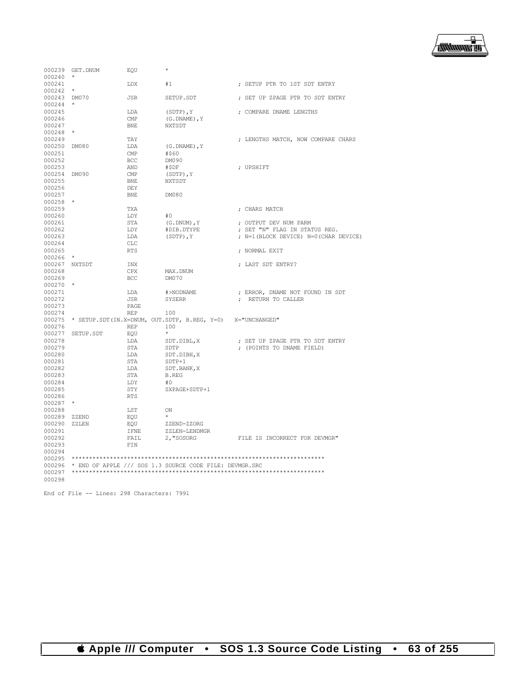

| 000239       | GET.DNUM  | EOU        | $\star$                                                        |                                      |
|--------------|-----------|------------|----------------------------------------------------------------|--------------------------------------|
| 000240       | $\star$   |            |                                                                |                                      |
| 000241       |           | LDX        | #1                                                             | ; SETUP PTR TO 1ST SDT ENTRY         |
| 000242       | $\star$   |            |                                                                |                                      |
| 000243 DM070 |           | JSR        | SETUP.SDT                                                      | ; SET UP ZPAGE PTR TO SDT ENTRY      |
| 000244       | $\star$   |            |                                                                |                                      |
| 000245       |           | LDA        | $(SDTP)$ , $Y$                                                 | ; COMPARE DNAME LENGTHS              |
| 000246       |           | CMP        | $(G.DNAME)$ , $Y$                                              |                                      |
| 000247       |           | <b>BNE</b> | NXTSDT                                                         |                                      |
| $000248$ *   |           |            |                                                                |                                      |
|              |           |            |                                                                |                                      |
| 000249       |           | TAY        |                                                                | ; LENGTHS MATCH, NOW COMPARE CHARS   |
| 000250       | DM080     | LDA        | $(G.DNAME)$ , Y                                                |                                      |
| 000251       |           | CMP        | #\$60                                                          |                                      |
| 000252       |           | <b>BCC</b> | DM090                                                          |                                      |
| 000253       |           | AND        | #\$DF                                                          | ; UPSHIFT                            |
| 000254 DM090 |           | CMP        | (SDTP), Y                                                      |                                      |
| 000255       |           | <b>BNE</b> | NXTSDT                                                         |                                      |
| 000256       |           | DEY        |                                                                |                                      |
| 000257       |           | <b>BNE</b> | DM080                                                          |                                      |
| 000258       |           |            |                                                                |                                      |
| 000259       |           | TXA        |                                                                | ; CHARS MATCH                        |
| 000260       |           | LDY        | #0                                                             |                                      |
| 000261       |           | STA        | $(G.DNUM)$ , Y                                                 | ; OUTPUT DEV NUM PARM                |
| 000262       |           | LDY        | #DIB.DTYPE                                                     | ; SET "N" FLAG IN STATUS REG.        |
| 000263       |           | LDA        | $(SDTP)$ , $Y$                                                 | ; N=1(BLOCK DEVICE) N=0(CHAR DEVICE) |
|              |           |            |                                                                |                                      |
| 000264       |           | <b>CLC</b> |                                                                |                                      |
| 000265       |           | <b>RTS</b> |                                                                | ; NORMAL EXIT                        |
| 000266       | $\star$   |            |                                                                |                                      |
| 000267       | NXTSDT    | <b>INX</b> |                                                                | ; LAST SDT ENTRY?                    |
| 000268       |           | CPX        | MAX.DNUM                                                       |                                      |
| 000269       |           | <b>BCC</b> | DM070                                                          |                                      |
| $000270$ *   |           |            |                                                                |                                      |
| 000271       |           | LDA        | #>NODNAME                                                      | ; ERROR, DNAME NOT FOUND IN SDT      |
| 000272       |           | JSR        | SYSERR                                                         | ; RETURN TO CALLER                   |
| 000273       |           | PAGE       |                                                                |                                      |
| 000274       |           | <b>REP</b> | 100                                                            |                                      |
| 000275       |           |            | * SETUP.SDT(IN.X=DNUM, OUT.SDTP, B.REG, Y=0)                   | X="UNCHANGED"                        |
| 000276       |           | <b>REP</b> | 100                                                            |                                      |
| 000277       | SETUP.SDT | EOU        | $\star$                                                        |                                      |
| 000278       |           | LDA        | SDT.DIBL, X                                                    | ; SET UP ZPAGE PTR TO SDT ENTRY      |
| 000279       |           | <b>STA</b> | SDTP                                                           | ; (POINTS TO DNAME FIELD)            |
| 000280       |           | LDA        | SDT.DIBH, X                                                    |                                      |
|              |           |            |                                                                |                                      |
| 000281       |           | STA        | SDTP+1                                                         |                                      |
| 000282       |           | LDA        | SDT.BANK, X                                                    |                                      |
| 000283       |           | STA        | <b>B.REG</b>                                                   |                                      |
| 000284       |           | LDY        | #0                                                             |                                      |
| 000285       |           | STY        | SXPAGE+SDTP+1                                                  |                                      |
| 000286       |           | <b>RTS</b> |                                                                |                                      |
| $000287$ *   |           |            |                                                                |                                      |
| 000288       |           | LST        | ON                                                             |                                      |
| 000289       | ZZEND     | EOU        | $\star$                                                        |                                      |
| 000290       | ZZLEN     | EQU        | ZZEND-ZZORG                                                    |                                      |
| 000291       |           | IFNE       | ZZLEN-LENDMGR                                                  |                                      |
| 000292       |           | FAIL       | 2, "SOSORG                                                     | FILE IS INCORRECT FOR DEVMGR"        |
| 000293       |           | FIN        |                                                                |                                      |
| 000294       |           |            |                                                                |                                      |
| 000295       |           |            |                                                                |                                      |
|              |           |            |                                                                |                                      |
|              |           |            | 000296 * END OF APPLE /// SOS 1.3 SOURCE CODE FILE: DEVMGR.SRC |                                      |
| 000297       |           |            |                                                                |                                      |
| 000298       |           |            |                                                                |                                      |

End of File -- Lines: 298 Characters: 7991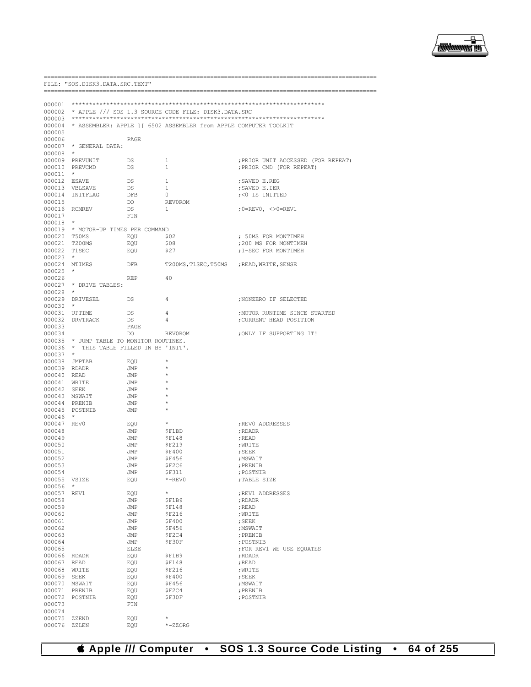

| FILE: "SOS.DISK3.DATA.SRC.TEXT" |                                          |            |                                                                          |                                      |
|---------------------------------|------------------------------------------|------------|--------------------------------------------------------------------------|--------------------------------------|
|                                 | ====================================     |            |                                                                          |                                      |
|                                 |                                          |            |                                                                          |                                      |
|                                 |                                          |            | 000002 * APPLE /// SOS 1.3 SOURCE CODE FILE: DISK3.DATA.SRC              |                                      |
|                                 |                                          |            |                                                                          |                                      |
|                                 |                                          |            | 000004 * ASSEMBLER: APPLE 1 [ 6502 ASSEMBLER from APPLE COMPUTER TOOLKIT |                                      |
| 000005                          |                                          |            |                                                                          |                                      |
| 000006                          |                                          | PAGE       |                                                                          |                                      |
|                                 | 000007 * GENERAL DATA:                   |            |                                                                          |                                      |
| $000008$ *                      |                                          |            |                                                                          |                                      |
|                                 | 000009 PREVUNIT                          | DS         | $\mathbf{1}$                                                             | ; PRIOR UNIT ACCESSED (FOR REPEAT)   |
|                                 | 000010 PREVCMD                           | DS         | $\mathbf{1}$                                                             | ; PRIOR CMD (FOR REPEAT)             |
| $000011$ *<br>000012 ESAVE      |                                          | DS         | 1                                                                        | ; SAVED E.REG                        |
|                                 | 000013 VBLSAVE                           | DS         | 1                                                                        | ; SAVED E.IER                        |
|                                 | 000014 INITFLAG                          | DFB        | $\circ$                                                                  | %%% /> CO IS INITTED                 |
| 000015                          |                                          | DO         | REV0ROM                                                                  |                                      |
|                                 | 000016 ROMREV                            | DS         | 1                                                                        | ;0=REV0, <>0=REV1                    |
| 000017                          |                                          | FIN        |                                                                          |                                      |
| $000018$ *                      |                                          |            |                                                                          |                                      |
|                                 | 000019 * MOTOR-UP TIMES PER COMMAND      |            |                                                                          |                                      |
| 000020 T50MS                    |                                          | EQU \$02   |                                                                          | ; 50MS FOR MONTIMEH                  |
|                                 | 000021 T200MS                            | EQU        | \$08                                                                     | ;200 MS FOR MONTIMEH                 |
| 000022 T1SEC                    |                                          | EQU        | \$27                                                                     | ;1-SEC FOR MONTIMEH                  |
| $000023$ *                      |                                          |            |                                                                          |                                      |
|                                 | 000024 MTIMES                            | DFB        | T200MS, T1SEC, T50MS ; READ, WRITE, SENSE                                |                                      |
| $000025$ *<br>000026            |                                          | REP        | 40                                                                       |                                      |
|                                 | 000027 * DRIVE TABLES:                   |            |                                                                          |                                      |
| $000028$ *                      |                                          |            |                                                                          |                                      |
|                                 | 000029 DRIVESEL                          | DS         | 4                                                                        | ; NONZERO IF SELECTED                |
| $000030$ *                      |                                          |            |                                                                          |                                      |
|                                 | 000031 UPTIME                            | DS         | 4                                                                        | ; MOTOR RUNTIME SINCE STARTED        |
|                                 | 000032 DRVTRACK                          | DS         | 4                                                                        | ; CURRENT HEAD POSITION              |
| 000033                          |                                          | PAGE       |                                                                          |                                      |
| 000034                          |                                          | DO.        | REVOROM                                                                  | ; ONLY IF SUPPORTING IT!             |
|                                 | 000035 * JUMP TABLE TO MONITOR ROUTINES. |            |                                                                          |                                      |
|                                 | 000036 * THIS TABLE FILLED IN BY 'INIT'. |            |                                                                          |                                      |
| $000037$ *                      | 000038 JMPTAB                            |            | $^{\star}$                                                               |                                      |
| 000039 RDADR                    |                                          | EQU<br>JMP | $^{\star}$                                                               |                                      |
| 000040 READ                     |                                          | JMP        |                                                                          |                                      |
|                                 | 000041 WRITE                             | JMP        | $^{\star}$                                                               |                                      |
| 000042 SEEK                     |                                          | JMP        | $\ast$                                                                   |                                      |
|                                 | 000043 MSWAIT                            | JMP        |                                                                          |                                      |
|                                 | 000044 PRENIB                            | JMP        | $\star$                                                                  |                                      |
|                                 | 000045 POSTNIB                           | JMP        | $^{\star}$                                                               |                                      |
| 000046 *                        |                                          |            |                                                                          |                                      |
| 000047 REV0                     |                                          | EQU        | $\star$                                                                  | ; REVO ADDRESSES                     |
| 000048                          |                                          | JMP        | \$F1BD                                                                   | ; RDADR                              |
| 000049                          |                                          | JMP        | \$F148                                                                   | ; READ                               |
| 000050<br>000051                |                                          | JMP<br>JMP | SF219<br>\$F400                                                          | ;WRITE<br>; SEEK                     |
| 000052                          |                                          | JMP        | \$F456                                                                   | ; MSWAIT                             |
| 000053                          |                                          | JMP        | \$F2C6                                                                   | ; PRENIB                             |
| 000054                          |                                          | JMP        | \$F311                                                                   | ; POSTNIB                            |
| 000055 VSIZE                    |                                          | EQU        | $*$ -REVO                                                                | ;TABLE SIZE                          |
| 000056                          | $\star$                                  |            |                                                                          |                                      |
| 000057                          | REV1                                     | EQU        | $\star$                                                                  | ; REV1 ADDRESSES                     |
| 000058                          |                                          | JMP        | \$F1B9                                                                   | ; RDADR                              |
| 000059                          |                                          | JMP        | <b>\$F148</b>                                                            | ; READ                               |
| 000060                          |                                          | JMP        | <b>\$F216</b>                                                            | ; WRITE                              |
| 000061                          |                                          | JMP        | <b>\$F400</b>                                                            | ; SEEK                               |
| 000062                          |                                          | JMP        | \$F456                                                                   | ; MSWAIT                             |
| 000063<br>000064                |                                          | JMP<br>JMP | \$F2C4<br>\$F30F                                                         | ; PRENIB                             |
| 000065                          |                                          | ELSE       |                                                                          | ; POSTNIB<br>FOR REV1 WE USE EQUATES |
| 000066                          | RDADR                                    | EQU        | \$F1B9                                                                   | ; RDADR                              |
| 000067                          | READ                                     | EQU        | <b>\$F148</b>                                                            | ; READ                               |
| 000068                          | WRITE                                    | EQU        | <b>\$F216</b>                                                            | ; WRITE                              |
| 000069                          | SEEK                                     | EQU        | \$F400                                                                   | ; SEEK                               |
| 000070                          | MSWAIT                                   | EQU        | \$F456                                                                   | ; MSWAIT                             |
| 000071                          | PRENIB                                   | EQU        | \$F2C4                                                                   | ; PRENIB                             |
| 000072                          | POSTNIB                                  | EQU        | \$F30F                                                                   | ; POSTNIB                            |
| 000073                          |                                          | FIN        |                                                                          |                                      |
| 000074                          |                                          |            |                                                                          |                                      |
| 000075                          | ZZEND                                    | EQU        | $\star$                                                                  |                                      |
| 000076                          | ZZLEN                                    | EQU        | $*-$ zorg                                                                |                                      |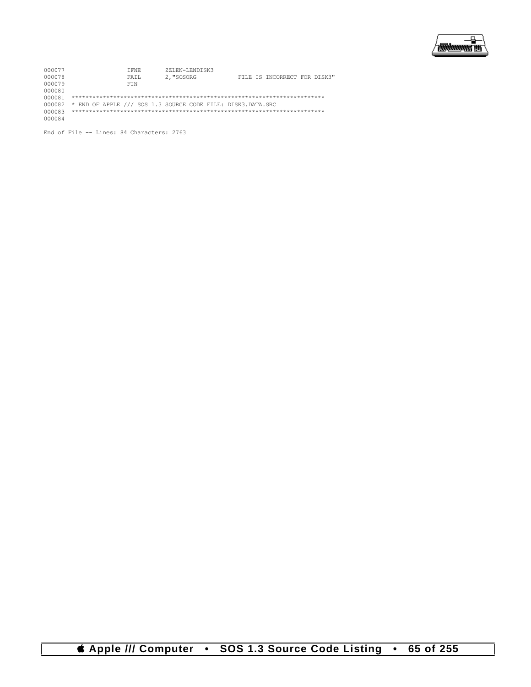

| 000077 | T FINE.                                                     | ZZLEN-LENDISK3 |                              |  |
|--------|-------------------------------------------------------------|----------------|------------------------------|--|
| 000078 | FAIL                                                        | 2. "SOSORG     | FILE IS INCORRECT FOR DISK3" |  |
| 000079 | <b>FTN</b>                                                  |                |                              |  |
| 000080 |                                                             |                |                              |  |
| 000081 |                                                             |                |                              |  |
| 000082 | * END OF APPLE /// SOS 1.3 SOURCE CODE FILE: DISK3.DATA.SRC |                |                              |  |
| 000083 |                                                             |                |                              |  |
| 000084 |                                                             |                |                              |  |

End of File -- Lines: 84 Characters: 2763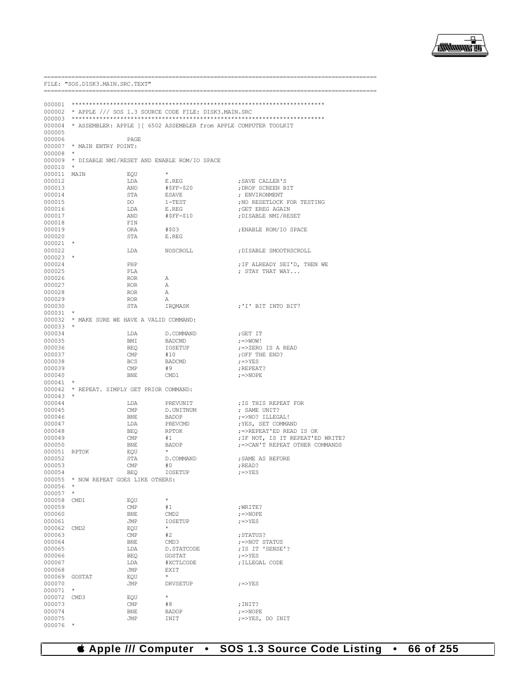

| FILE: "SOS.DISK3.MAIN.SRC.TEXT" |                                             |                              |                                                                          |                                       |  |
|---------------------------------|---------------------------------------------|------------------------------|--------------------------------------------------------------------------|---------------------------------------|--|
|                                 |                                             |                              |                                                                          |                                       |  |
|                                 |                                             |                              |                                                                          |                                       |  |
|                                 |                                             |                              | 000002 * APPLE /// SOS 1.3 SOURCE CODE FILE: DISK3.MAIN.SRC              |                                       |  |
| 000003                          |                                             |                              |                                                                          |                                       |  |
| 000005                          |                                             |                              | 000004 * ASSEMBLER: APPLE 1 [ 6502 ASSEMBLER from APPLE COMPUTER TOOLKIT |                                       |  |
| 000006                          |                                             | PAGE                         |                                                                          |                                       |  |
|                                 | 000007 * MAIN ENTRY POINT:                  |                              |                                                                          |                                       |  |
| 000008                          | $\star$                                     |                              |                                                                          |                                       |  |
| 000010                          | $\star$                                     |                              | 000009 * DISABLE NMI/RESET AND ENABLE ROM/IO SPACE                       |                                       |  |
| 000011 MAIN                     |                                             | EQU                          | $\star$                                                                  |                                       |  |
| 000012                          |                                             | LDA                          | E.REG                                                                    | ; SAVE CALLER'S                       |  |
| 000013<br>000014                |                                             | AND<br>STA                   | #\$FF-\$20<br>ESAVE                                                      | ; DROP SCREEN BIT<br>; ENVIRONMENT    |  |
| 000015                          |                                             | DO                           | $1 - TEST$                                                               | ; NO RESETLOCK FOR TESTING            |  |
| 000016                          |                                             | LDA                          | E.REG                                                                    | ; GET EREG AGAIN                      |  |
| 000017                          |                                             | AND                          | #\$FF-\$10                                                               | ; DISABLE NMI/RESET                   |  |
| 000018<br>000019                |                                             | FIN<br>ORA                   | #\$03                                                                    | ; ENABLE ROM/IO SPACE                 |  |
| 000020                          |                                             | STA                          | E.REG                                                                    |                                       |  |
| $000021$ *                      |                                             |                              |                                                                          |                                       |  |
| 000022                          |                                             | LDA                          | NOSCROLL                                                                 | ; DISABLE SMOOTHSCROLL                |  |
| $000023$ *<br>000024            |                                             | PHP                          |                                                                          | ; IF ALREADY SEI'D, THEN WE           |  |
| 000025                          |                                             | PLA                          |                                                                          | ; STAY THAT WAY                       |  |
| 000026                          |                                             | ROR                          | A                                                                        |                                       |  |
| 000027<br>000028                |                                             | ROR<br>ROR                   | A<br>A                                                                   |                                       |  |
| 000029                          |                                             | ROR                          | A                                                                        |                                       |  |
| 000030                          |                                             | STA                          | IROMASK                                                                  | ;'I' BIT INTO BIT7                    |  |
| 000031                          |                                             |                              |                                                                          |                                       |  |
| 000033                          | 000032 * MAKE SURE WE HAVE A VALID COMMAND: |                              |                                                                          |                                       |  |
| 000034                          |                                             | LDA                          | D.COMMAND                                                                | ;GET IT                               |  |
| 000035                          |                                             | BMI                          | BADCMD                                                                   | ;=>WOW!                               |  |
| 000036                          |                                             | BEQ                          | IOSETUP                                                                  | ;=>ZERO IS A READ                     |  |
| 000037<br>000038                |                                             | $\mathsf{CMP}$<br><b>BCS</b> | #10<br>BADCMD                                                            | ; OFF THE END?<br>;=>YES              |  |
| 000039                          |                                             | CMP                          | #9                                                                       | ; REPEAT?                             |  |
| 000040                          |                                             | BNE                          | CMD1                                                                     | $\gamma = >N$ OPE                     |  |
| $000041$ *                      | 000042 * REPEAT. SIMPLY GET PRIOR COMMAND:  |                              |                                                                          |                                       |  |
| $000043$ *                      |                                             |                              |                                                                          |                                       |  |
| 000044                          |                                             | LDA                          | PREVUNIT                                                                 | ; IS THIS REPEAT FOR                  |  |
| 000045                          |                                             | $\mathbb{CMP}$               | D.UNITNUM                                                                | ; SAME UNIT?                          |  |
| 000046<br>000047                |                                             | BNE<br>LDA                   | BADOP<br>PREVCMD                                                         | ;=>NO? ILLEGAL!<br>; YES, SET COMMAND |  |
| 000048                          |                                             | BEQ                          | RPTOK                                                                    | ;=>REPEAT'ED READ IS OK               |  |
| 000049                          |                                             | $\text{CMP}$                 | #1                                                                       | ; IF NOT, IS IT REPEAT'ED WRITE?      |  |
| 000050                          |                                             | BNE                          | BADOP<br>$\star$                                                         | ; => CAN'T REPEAT OTHER COMMANDS      |  |
| 000051 RPTOK<br>000052          |                                             | EQU<br>STA                   | D.COMMAND                                                                | ; SAME AS BEFORE                      |  |
| 000053                          |                                             | CMP                          | #0                                                                       | ; READ?                               |  |
| 000054                          |                                             | BEO                          | IOSETUP                                                                  | $7 = YES$                             |  |
| 000056 *                        | 000055 * NOW REPEAT GOES LIKE OTHERS:       |                              |                                                                          |                                       |  |
| 000057                          | $\star$                                     |                              |                                                                          |                                       |  |
| 000058 CMD1                     |                                             | EQU                          | $\star$                                                                  |                                       |  |
| 000059                          |                                             | $\text{CMP}{}$               | #1                                                                       | ; WRITE?                              |  |
| 000060<br>000061                |                                             | BNE<br>JMP                   | CMD <sub>2</sub><br>IOSETUP                                              | $\gamma = >NOPE$<br>$; = >YES$        |  |
| 000062 CMD2                     |                                             | EQU                          | $\star$                                                                  |                                       |  |
| 000063                          |                                             | $\text{CMP}$                 | #2                                                                       | ; STATUS?                             |  |
| 000064<br>000065                |                                             | BNE<br>LDA                   | CMD3<br>D.STATCODE                                                       | ;=>NOT STATUS<br>; IS IT 'SENSE'?     |  |
| 000066                          |                                             | BEQ                          | GOSTAT                                                                   | $\left  \right  =>\text{YES}$         |  |
| 000067                          |                                             | LDA                          | #XCTLCODE                                                                | ; ILLEGAL CODE                        |  |
| 000068                          |                                             | JMP                          | EXIT                                                                     |                                       |  |
| 000069 GOSTAT                   |                                             | EQU                          | $\star$                                                                  |                                       |  |
| 000070<br>$000071$ *            |                                             | JMP                          | DRVSETUP                                                                 | $\gamma = > YES$                      |  |
| 000072 CMD3                     |                                             | EQU                          | $\star$                                                                  |                                       |  |
| 000073                          |                                             | $\text{CMP}$                 | #8                                                                       | ; INIT?                               |  |
| 000074<br>000075                |                                             | BNE<br>JMP                   | BADOP<br>INIT                                                            | $\gamma = >N$ OPE<br>;=>YES, DO INIT  |  |
| 000076                          | $\star$                                     |                              |                                                                          |                                       |  |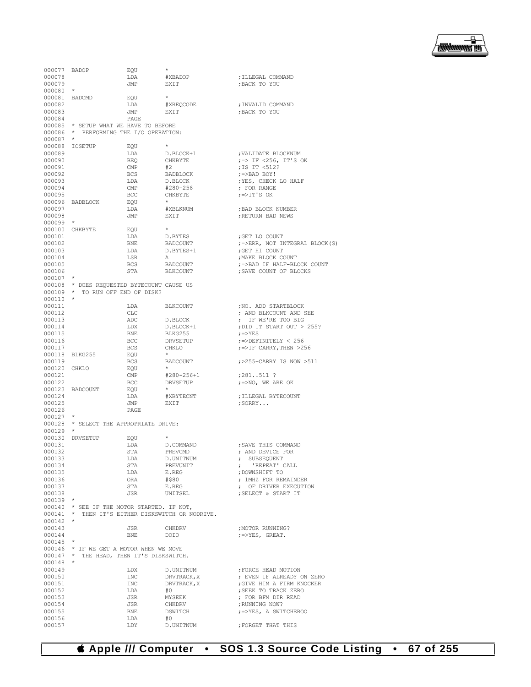

| 000077 BADOP  |                                            | EQU        | $\star$                                          |                                          |
|---------------|--------------------------------------------|------------|--------------------------------------------------|------------------------------------------|
| 000078        |                                            | LDA        | #XBADOP                                          | ; ILLEGAL COMMAND                        |
| 000079        |                                            | JMP        | EXIT                                             | ; BACK TO YOU                            |
| $000080$ *    |                                            |            |                                                  |                                          |
| 000081 BADCMD |                                            | EOU        | $\star$                                          |                                          |
| 000082        |                                            | LDA        | #XREQCODE                                        | ; INVALID COMMAND                        |
|               |                                            |            |                                                  | ; BACK TO YOU                            |
| 000083        |                                            | JMP        | EXIT                                             |                                          |
| 000084        |                                            | PAGE       |                                                  |                                          |
|               | 000085 * SETUP WHAT WE HAVE TO BEFORE      |            |                                                  |                                          |
|               | 000086 * PERFORMING THE I/O OPERATION:     |            |                                                  |                                          |
| $000087$ *    |                                            |            |                                                  |                                          |
|               | 000088 IOSETUP                             | EOU        | $\star$                                          |                                          |
| 000089        |                                            | LDA        | D.BLOCK+1                                        | ; VALIDATE BLOCKNUM                      |
| 000090        |                                            | BEO        | CHKBYTE                                          | $\left  \right  =$ IF <256, IT'S OK      |
| 000091        |                                            | CMP        | #2                                               | ;IS IT <512?                             |
|               |                                            |            |                                                  |                                          |
| 000092        |                                            | BCS        | BADBLOCK                                         | $\left  \right\rangle =>\text{BAD BOY!}$ |
| 000093        |                                            | LDA        | D.BLOCK                                          | ; YES, CHECK LO HALF                     |
| 000094        |                                            | CMP        | #280-256                                         | ; FOR RANGE                              |
| 000095        |                                            | BCC        | CHKBYTE                                          | $\gamma = > I T'S OK$                    |
|               | 000096 BADBLOCK                            | EOU        | $\star$                                          |                                          |
| 000097        |                                            | LDA        | #XBLKNUM                                         | ; BAD BLOCK NUMBER                       |
| 000098        |                                            | JMP        | EXIT                                             | ; RETURN BAD NEWS                        |
| $000099$ *    |                                            |            |                                                  |                                          |
|               | 000100 CHKBYTE                             | EQU        | $\star$                                          |                                          |
| 000101        |                                            |            |                                                  | ; GET LO COUNT                           |
|               |                                            | LDA        | D.BYTES                                          |                                          |
| 000102        |                                            | BNE        | BADCOUNT                                         | ; =>ERR, NOT INTEGRAL BLOCK(S)           |
| 000103        |                                            | LDA        | D.BYTES+1                                        | ; GET HI COUNT                           |
| 000104        |                                            | LSR        | A                                                | ; MAKE BLOCK COUNT                       |
| 000105        |                                            | BCS        | BADCOUNT                                         | ; => BAD IF HALF-BLOCK COUNT             |
| 000106        |                                            | STA        | BLKCOUNT                                         | ; SAVE COUNT OF BLOCKS                   |
| $000107$ *    |                                            |            |                                                  |                                          |
|               | 000108 * DOES REQUESTED BYTECOUNT CAUSE US |            |                                                  |                                          |
|               | 000109 * TO RUN OFF END OF DISK?           |            |                                                  |                                          |
| $000110$ *    |                                            |            |                                                  |                                          |
|               |                                            |            |                                                  |                                          |
| 000111        |                                            | LDA        | BLKCOUNT                                         | ; NO. ADD STARTBLOCK                     |
| 000112        |                                            | CLC        |                                                  | ; AND BLKCOUNT AND SEE                   |
| 000113        |                                            | ADC        | D.BLOCK                                          | ; IF WE'RE TOO BIG                       |
| 000114        |                                            | LDX        | D.BLOCK+1                                        | ; DID IT START OUT > 255?                |
| 000115        |                                            | BNE        | BLKG255                                          | $; = >YES$                               |
| 000116        |                                            | BCC        | DRVSETUP                                         | $\mu$ =>DEFINITELY < 256                 |
| 000117        |                                            | <b>BCS</b> | CHKLO                                            | $\mu$ =>IF CARRY, THEN >256              |
|               | 000118 BLKG255                             | EOU        | $\star$                                          |                                          |
| 000119        |                                            | BCS        | BADCOUNT                                         | ;>255+CARRY IS NOW >511                  |
|               |                                            |            | $\star$                                          |                                          |
| 000120 CHKLO  |                                            | EOU        |                                                  |                                          |
| 000121        |                                            | CMP        | #280-256+1                                       | $;281511$ ?                              |
| 000122        |                                            | <b>BCC</b> | DRVSETUP                                         | $\gamma$ =>NO, WE ARE OK                 |
|               | 000123 BADCOUNT                            | EOU        | $\star$                                          |                                          |
| 000124        |                                            | LDA        | #XBYTECNT                                        | ; ILLEGAL BYTECOUNT                      |
| 000125        |                                            | JMP        | EXIT                                             | $;$ SORRY                                |
| 000126        |                                            | PAGE       |                                                  |                                          |
| $000127$ *    |                                            |            |                                                  |                                          |
|               | 000128 * SELECT THE APPROPRIATE DRIVE:     |            |                                                  |                                          |
| $000129$ *    |                                            |            |                                                  |                                          |
|               |                                            |            |                                                  |                                          |
|               | 000130 DRVSETUP                            | EOU        |                                                  |                                          |
| 000131        |                                            | LDA        | D.COMMAND                                        | ; SAVE THIS COMMAND                      |
| 000132        |                                            | <b>STA</b> | PREVCMD                                          | ; AND DEVICE FOR                         |
| 000133        |                                            | LDA        | D.UNITNUM                                        | ; SUBSEQUENT                             |
| 000134        |                                            | STA        | PREVUNIT                                         | ; 'REPEAT' CALL                          |
| 000135        |                                            | LDA        | E.REG                                            | ; DOWNSHIFT TO                           |
| 000136        |                                            | ORA        | #\$80                                            | ; 1MHZ FOR REMAINDER                     |
| 000137        |                                            | STA        | E.REG                                            | ; OF DRIVER EXECUTION                    |
| 000138        |                                            | JSR        | UNITSEL                                          | ; SELECT & START IT                      |
| $000139$ *    |                                            |            |                                                  |                                          |
|               |                                            |            |                                                  |                                          |
|               | 000140 * SEE IF THE MOTOR STARTED. IF NOT, |            |                                                  |                                          |
|               |                                            |            | 000141 * THEN IT'S EITHER DISKSWITCH OR NODRIVE. |                                          |
| 000142        | $\star$                                    |            |                                                  |                                          |
| 000143        |                                            | JSR        | CHKDRV                                           | ; MOTOR RUNNING?                         |
| 000144        |                                            | BNE        | DOIO                                             | $; = >YES,$ GREAT.                       |
| 000145        | $\star$                                    |            |                                                  |                                          |
|               | 000146 * IF WE GET A MOTOR WHEN WE MOVE    |            |                                                  |                                          |
|               | 000147 * THE HEAD, THEN IT'S DISKSWITCH.   |            |                                                  |                                          |
| 000148        | $\star$                                    |            |                                                  |                                          |
|               |                                            |            |                                                  |                                          |
| 000149        |                                            | LDX        | D.UNITNUM                                        | ; FORCE HEAD MOTION                      |
| 000150        |                                            | INC        | DRVTRACK, X                                      | ; EVEN IF ALREADY ON ZERO                |
| 000151        |                                            | INC        | DRVTRACK, X                                      | ; GIVE HIM A FIRM KNOCKER                |
| 000152        |                                            | LDA        | #0                                               | ; SEEK TO TRACK ZERO                     |
| 000153        |                                            | JSR        | MYSEEK                                           | ; FOR BFM DIR READ                       |
| 000154        |                                            | JSR        | CHKDRV                                           | ; RUNNING NOW?                           |
| 000155        |                                            | BNE        | DSWITCH                                          | ;=>YES, A SWITCHEROO                     |
| 000156        |                                            | LDA        | #0                                               |                                          |
| 000157        |                                            | LDY        | D.UNITNUM                                        | FORGET THAT THIS                         |
|               |                                            |            |                                                  |                                          |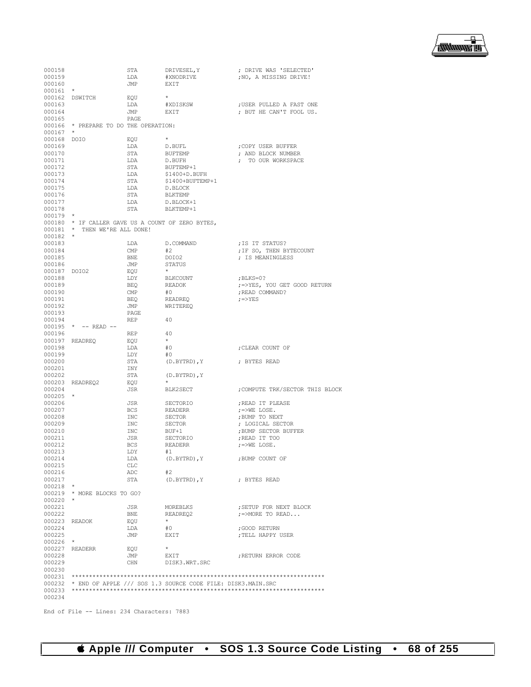书 /<del>1999 -</del> 1999

| 000158     |                                                   | STA        | DRIVESEL, Y                                                        | ; DRIVE WAS 'SELECTED'             |
|------------|---------------------------------------------------|------------|--------------------------------------------------------------------|------------------------------------|
| 000159     |                                                   | LDA        | #XNODRIVE                                                          | ; NO, A MISSING DRIVE!             |
| 000160     |                                                   | JMP        | EXIT                                                               |                                    |
| 000161     | $^{\star}$                                        |            |                                                                    |                                    |
| 000162     | DSWITCH                                           | EQU        | $\star$                                                            |                                    |
| 000163     |                                                   | LDA        | #XDISKSW                                                           | ; USER PULLED A FAST ONE           |
| 000164     |                                                   | JMP        | EXIT                                                               | ; BUT HE CAN'T FOOL US.            |
| 000165     |                                                   | PAGE       |                                                                    |                                    |
| 000166     | * PREPARE TO DO THE OPERATION:                    |            |                                                                    |                                    |
|            | $\star$                                           |            |                                                                    |                                    |
| 000167     |                                                   |            |                                                                    |                                    |
| 000168     | DOIO                                              | EQU        |                                                                    |                                    |
| 000169     |                                                   | LDA        | D.BUFL                                                             | COPY USER BUFFER                   |
| 000170     |                                                   | STA        | BUFTEMP                                                            | ; AND BLOCK NUMBER                 |
| 000171     |                                                   | LDA        | D.BUFH                                                             | ; TO OUR WORKSPACE                 |
| 000172     |                                                   | STA        | BUFTEMP+1                                                          |                                    |
| 000173     |                                                   | LDA        | $$1400+D$ . BUFH                                                   |                                    |
| 000174     |                                                   | STA        | \$1400+BUFTEMP+1                                                   |                                    |
| 000175     |                                                   | LDA        | D.BLOCK                                                            |                                    |
| 000176     |                                                   | STA        | BLKTEMP                                                            |                                    |
| 000177     |                                                   | LDA        |                                                                    |                                    |
|            |                                                   |            | D.BLOCK+1                                                          |                                    |
| 000178     |                                                   | STA        | BLKTEMP+1                                                          |                                    |
| 000179     | $\star$                                           |            |                                                                    |                                    |
|            | 000180 * IF CALLER GAVE US A COUNT OF ZERO BYTES, |            |                                                                    |                                    |
|            | 000181 * THEN WE'RE ALL DONE!                     |            |                                                                    |                                    |
| 000182     | $\star$                                           |            |                                                                    |                                    |
| 000183     |                                                   | LDA        | D. COMMAND                                                         | ; IS IT STATUS?                    |
| 000184     |                                                   | CMP        | #2                                                                 | ; IF SO, THEN BYTECOUNT            |
| 000185     |                                                   | BNE        | DOIO2                                                              | ; IS MEANINGLESS                   |
| 000186     |                                                   | JMP        | STATUS                                                             |                                    |
|            |                                                   |            | $\star$                                                            |                                    |
| 000187     | DOIO2                                             | EQU        |                                                                    |                                    |
| 000188     |                                                   | LDY        | BLKCOUNT                                                           | ; $BLKS=0?$                        |
| 000189     |                                                   | <b>BEQ</b> | <b>READOK</b>                                                      | ; =>YES, YOU GET GOOD RETURN       |
| 000190     |                                                   | CMP        | #0                                                                 | ; READ COMMAND?                    |
| 000191     |                                                   | <b>BEO</b> | <b>READREO</b>                                                     | $; = >YES$                         |
| 000192     |                                                   | JMP        | WRITEREQ                                                           |                                    |
| 000193     |                                                   | PAGE       |                                                                    |                                    |
| 000194     |                                                   | <b>REP</b> | 40                                                                 |                                    |
| 000195     | $*$ -- READ --                                    |            |                                                                    |                                    |
|            |                                                   |            | 40                                                                 |                                    |
| 000196     |                                                   | REP        | $\star$                                                            |                                    |
|            | 000197 READREO                                    | EOU        |                                                                    |                                    |
| 000198     |                                                   | LDA        | #0                                                                 | CLEAR COUNT OF,                    |
| 000199     |                                                   | LDY        | #0                                                                 |                                    |
| 000200     |                                                   | STA        | $(D.BYTRD)$ , Y                                                    | ; BYTES READ                       |
| 000201     |                                                   | INY        |                                                                    |                                    |
| 000202     |                                                   | STA        | $(D.BYTRD)$ , Y                                                    |                                    |
| 000203     | READREO2                                          | EOU        | $\star$                                                            |                                    |
| 000204     |                                                   | JSR        | BLK2SECT                                                           | ; COMPUTE TRK/SECTOR THIS BLOCK    |
| 000205     | $\star$                                           |            |                                                                    |                                    |
| 000206     |                                                   | <b>JSR</b> | SECTORIO                                                           |                                    |
|            |                                                   |            |                                                                    | ; READ IT PLEASE                   |
| 000207     |                                                   | <b>BCS</b> | READERR                                                            | $\gamma = > W E$ LOSE.             |
| 000208     |                                                   | INC        | <b>SECTOR</b>                                                      | ; BUMP TO NEXT                     |
| 000209     |                                                   | <b>INC</b> | SECTOR                                                             | ; LOGICAL SECTOR                   |
| 000210     |                                                   | INC        | BUF+1                                                              | ; BUMP SECTOR BUFFER               |
| 000211     |                                                   | JSR        | SECTORIO                                                           | ; READ IT TOO                      |
| 000212     |                                                   | <b>BCS</b> | <b>READERR</b>                                                     | $\mu$ =>WE LOSE.                   |
| 000213     |                                                   | LDY        | #1                                                                 |                                    |
| 000214     |                                                   | LDA        | (D.BYTRD), Y                                                       | ; BUMP COUNT OF                    |
| 000215     |                                                   | CLC        |                                                                    |                                    |
|            |                                                   |            |                                                                    |                                    |
| 000216     |                                                   | ADC        | #2                                                                 |                                    |
| 000217     |                                                   | STA        | (D.BYTRD), Y                                                       | ; BYTES READ                       |
| $000218$ * |                                                   |            |                                                                    |                                    |
|            | 000219 * MORE BLOCKS TO GO?                       |            |                                                                    |                                    |
| $000220$ * |                                                   |            |                                                                    |                                    |
| 000221     |                                                   | JSR        | MOREBLKS                                                           | SETUP FOR NEXT BLOCK;              |
| 000222     |                                                   | BNE        | READREQ2                                                           | $\mathsf{I}=\mathsf{MORE}$ TO READ |
|            | 000223 READOK                                     | EQU        | $\star$                                                            |                                    |
| 000224     |                                                   | LDA        | #0                                                                 | ;GOOD RETURN                       |
|            |                                                   |            |                                                                    |                                    |
| 000225     |                                                   | JMP        | EXIT                                                               | ; TELL HAPPY USER                  |
| $000226$ * |                                                   |            |                                                                    |                                    |
|            | 000227 READERR                                    | EQU        | $\star$                                                            |                                    |
| 000228     |                                                   | JMP        | EXIT                                                               | ; RETURN ERROR CODE                |
| 000229     |                                                   | CHN        | DISK3.WRT.SRC                                                      |                                    |
| 000230     |                                                   |            |                                                                    |                                    |
|            |                                                   |            |                                                                    |                                    |
|            |                                                   |            | 000232 * END OF APPLE /// SOS 1.3 SOURCE CODE FILE: DISK3.MAIN.SRC |                                    |
|            |                                                   |            |                                                                    |                                    |
| 000234     |                                                   |            |                                                                    |                                    |
|            |                                                   |            |                                                                    |                                    |

End of File -- Lines: 234 Characters: 7883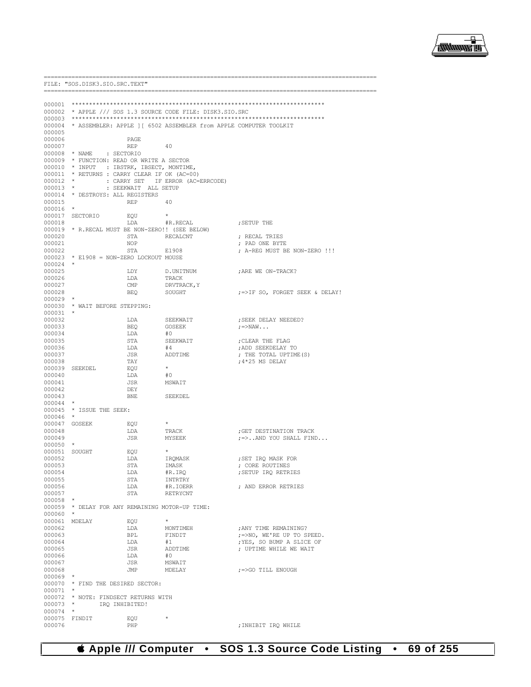

|                      | FILE: "SOS.DISK3.SIO.SRC.TEXT"                                                         |                      |                                                                   |                                                      |
|----------------------|----------------------------------------------------------------------------------------|----------------------|-------------------------------------------------------------------|------------------------------------------------------|
|                      |                                                                                        |                      |                                                                   |                                                      |
| 000001               |                                                                                        |                      |                                                                   |                                                      |
|                      |                                                                                        |                      | 000002 * APPLE /// SOS 1.3 SOURCE CODE FILE: DISK3.SIO.SRC        |                                                      |
| 000004<br>000005     |                                                                                        |                      | * ASSEMBLER: APPLE ] [ 6502 ASSEMBLER from APPLE COMPUTER TOOLKIT |                                                      |
| 000006               |                                                                                        | PAGE                 |                                                                   |                                                      |
| 000007               |                                                                                        | REP                  | 40                                                                |                                                      |
|                      | 000008 * NAME<br>: SECTORIO                                                            |                      |                                                                   |                                                      |
|                      | 000009 * FUNCTION: READ OR WRITE A SECTOR<br>000010 * INPUT : IBSTRK, IBSECT, MONTIME, |                      |                                                                   |                                                      |
|                      | 000011 * RETURNS : CARRY CLEAR IF OK (AC=00)                                           |                      |                                                                   |                                                      |
| $000012$ *           |                                                                                        |                      | : CARRY SET IF ERROR (AC=ERRCODE)                                 |                                                      |
| $000013$ *           |                                                                                        | : SEEKWAIT ALL SETUP |                                                                   |                                                      |
|                      | 000014 * DESTROYS: ALL REGISTERS                                                       |                      |                                                                   |                                                      |
| 000015<br>000016     | $\star$                                                                                | REP                  | 40                                                                |                                                      |
|                      | 000017 SECTORIO                                                                        | EQU                  |                                                                   |                                                      |
| 000018               |                                                                                        | LDA                  | #R.RECAL                                                          | ; SETUP THE                                          |
|                      | 000019 * R.RECAL MUST BE NON-ZERO!! (SEE BELOW)                                        |                      |                                                                   |                                                      |
| 000020               |                                                                                        | STA                  | RECALCNT                                                          | ; RECAL TRIES                                        |
| 000021<br>000022     |                                                                                        | NOP<br>STA           | E1908                                                             | ; PAD ONE BYTE<br>; A-REG MUST BE NON-ZERO !!!       |
|                      | 000023 * E1908 = NON-ZERO LOCKOUT MOUSE                                                |                      |                                                                   |                                                      |
| $000024$ *           |                                                                                        |                      |                                                                   |                                                      |
| 000025               |                                                                                        | LDY                  | D.UNITNUM                                                         | ; ARE WE ON-TRACK?                                   |
| 000026<br>000027     |                                                                                        | LDA<br>CMP           | TRACK<br>DRVTRACK, Y                                              |                                                      |
| 000028               |                                                                                        | <b>BEO</b>           | SOUGHT                                                            | ;=>IF SO, FORGET SEEK & DELAY!                       |
| $000029$ *           |                                                                                        |                      |                                                                   |                                                      |
|                      | 000030 * WAIT BEFORE STEPPING:                                                         |                      |                                                                   |                                                      |
| 000031<br>000032     | $\star$                                                                                |                      |                                                                   |                                                      |
| 000033               |                                                                                        | LDA<br>BEQ           | SEEKWAIT<br>GOSEEK                                                | ; SEEK DELAY NEEDED?<br>$\mu = > NAW$                |
| 000034               |                                                                                        | LDA                  | #0                                                                |                                                      |
| 000035               |                                                                                        | STA                  | SEEKWAIT                                                          | ; CLEAR THE FLAG                                     |
| 000036               |                                                                                        | LDA                  | #4                                                                | ; ADD SEEKDELAY TO                                   |
| 000037<br>000038     |                                                                                        | JSR<br>TAY           | ADDTIME                                                           | ; THE TOTAL UPTIME (S)<br>; 4*25 MS DELAY            |
| 000039               | SEEKDEL                                                                                | EQU                  | $\star$                                                           |                                                      |
| 000040               |                                                                                        | LDA                  | #0                                                                |                                                      |
| 000041               |                                                                                        | JSR                  | MSWAIT                                                            |                                                      |
| 000042               |                                                                                        | DEY                  |                                                                   |                                                      |
| 000043<br>$000044$ * |                                                                                        | BNE                  | SEEKDEL                                                           |                                                      |
| 000045               | * ISSUE THE SEEK:                                                                      |                      |                                                                   |                                                      |
| 000046               | $\star$                                                                                |                      |                                                                   |                                                      |
|                      | 000047 GOSEEK                                                                          | EQU                  |                                                                   |                                                      |
| 000048<br>000049     |                                                                                        | LDA<br>JSR           | TRACK<br>MYSEEK                                                   | ; GET DESTINATION TRACK<br>$:=$ > AND YOU SHALL FIND |
| $000050$ *           |                                                                                        |                      |                                                                   |                                                      |
| 000051               | SOUGHT                                                                                 | EQU                  |                                                                   |                                                      |
| 000052               |                                                                                        | LDA                  | IRQMASK                                                           | ; SET IRQ MASK FOR                                   |
| 000053<br>000054     |                                                                                        | STA<br>LDA           | IMASK<br>#R.IRQ                                                   | ; CORE ROUTINES<br>; SETUP IRQ RETRIES               |
| 000055               |                                                                                        | STA                  | INTRTRY                                                           |                                                      |
| 000056               |                                                                                        | LDA                  | #R.IOERR                                                          | ; AND ERROR RETRIES                                  |
| 000057               |                                                                                        | STA                  | RETRYCNT                                                          |                                                      |
| $000058$ *           | 000059 * DELAY FOR ANY REMAINING MOTOR-UP TIME:                                        |                      |                                                                   |                                                      |
| 000060               | $\star$                                                                                |                      |                                                                   |                                                      |
| 000061               | MDELAY                                                                                 | EQU                  | $\star$                                                           |                                                      |
| 000062               |                                                                                        | LDA                  | MONTIMEH                                                          | ; ANY TIME REMAINING?                                |
| 000063               |                                                                                        | BPL                  | FINDIT                                                            | ; =>NO, WE'RE UP TO SPEED.                           |
| 000064<br>000065     |                                                                                        | LDA<br>JSR           | #1<br>ADDTIME                                                     | ; YES, SO BUMP A SLICE OF<br>; UPTIME WHILE WE WAIT  |
| 000066               |                                                                                        | LDA                  | #0                                                                |                                                      |
| 000067               |                                                                                        | JSR                  | MSWAIT                                                            |                                                      |
| 000068               |                                                                                        | JMP                  | MDELAY                                                            | ;=>GO TILL ENOUGH                                    |
| $000069$ *           |                                                                                        |                      |                                                                   |                                                      |
| $000071$ *           | 000070 * FIND THE DESIRED SECTOR:                                                      |                      |                                                                   |                                                      |
|                      | 000072 * NOTE: FINDSECT RETURNS WITH                                                   |                      |                                                                   |                                                      |
| 000073               | IRQ INHIBITED!<br>$\star$ . The set of $\star$                                         |                      |                                                                   |                                                      |
| 000074               | $\star$                                                                                |                      |                                                                   |                                                      |
| 000075<br>000076     | FINDIT                                                                                 | EQU<br>PHP           | $\star$                                                           |                                                      |
|                      |                                                                                        |                      |                                                                   | ; INHIBIT IRQ WHILE                                  |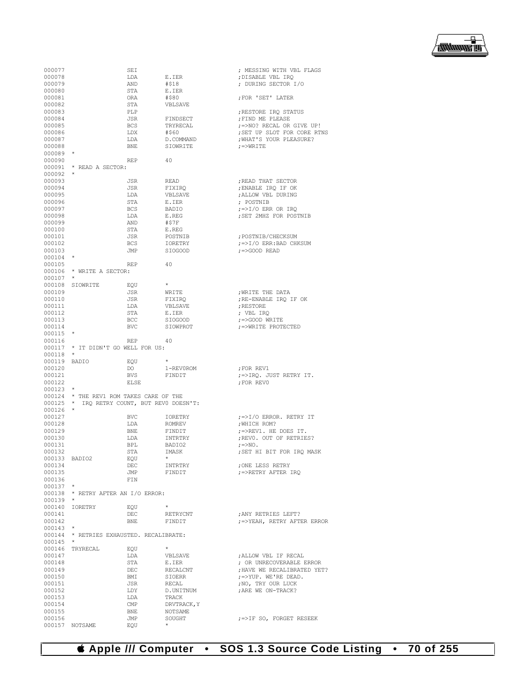▕<del>▓▓▓▓</del>▊

| 000077        |                                             | SEI                     |                | ; MESSING WITH VBL FLAGS      |
|---------------|---------------------------------------------|-------------------------|----------------|-------------------------------|
| 000078        |                                             | LDA                     | E.IER          | ; DISABLE VBL IRQ             |
| 000079        |                                             | AND                     | #\$18          | ; DURING SECTOR I/O           |
|               |                                             |                         |                |                               |
| 000080        |                                             | STA                     | E.IER          |                               |
| 000081        |                                             | ORA                     | #\$80          | FOR 'SET' LATER               |
| 000082        |                                             | STA                     | VBLSAVE        |                               |
| 000083        |                                             | PLP                     |                | ; RESTORE IRO STATUS          |
| 000084        |                                             | JSR                     | FINDSECT       | ; FIND ME PLEASE              |
|               |                                             |                         |                |                               |
| 000085        |                                             | <b>BCS</b>              | TRYRECAL       | ; =>NO? RECAL OR GIVE UP!     |
| 000086        |                                             | LDX                     | #\$60          | ; SET UP SLOT FOR CORE RTNS   |
| 000087        |                                             | LDA                     | D.COMMAND      | ; WHAT'S YOUR PLEASURE?       |
| 000088        |                                             | <b>BNE</b>              | SIOWRITE       | $r = > WRLTE$                 |
|               |                                             |                         |                |                               |
| $000089$ *    |                                             |                         |                |                               |
| 000090        |                                             | <b>REP</b>              | 40             |                               |
|               | 000091 * READ A SECTOR:                     |                         |                |                               |
| $000092$ *    |                                             |                         |                |                               |
|               |                                             |                         |                |                               |
| 000093        |                                             | JSR                     | READ           | ; READ THAT SECTOR            |
| 000094        |                                             | JSR                     | FIXIRQ         | ; ENABLE IRO IF OK            |
| 000095        |                                             | LDA                     | VBLSAVE        | ; ALLOW VBL DURING            |
| 000096        |                                             | STA                     | E.IER          | ; POSTNIB                     |
|               |                                             |                         |                |                               |
| 000097        |                                             | <b>BCS</b>              | BADIO          |                               |
| 000098        |                                             | LDA                     | E.REG          | ; SET 2MHZ FOR POSTNIB        |
| 000099        |                                             | AND                     | #\$7F          |                               |
| 000100        |                                             | STA                     | E.REG          |                               |
|               |                                             |                         |                |                               |
| 000101        |                                             | JSR                     | POSTNIB        | ; POSTNIB/CHECKSUM            |
| 000102        |                                             | <b>BCS</b>              | IORETRY        | $\mu$ =>I/O ERR: BAD CHKSUM   |
| 000103        |                                             | JMP                     | <b>SIOGOOD</b> | $; = >$ GOOD READ             |
| $000104$ *    |                                             |                         |                |                               |
|               |                                             |                         |                |                               |
| 000105        |                                             | <b>REP</b>              | 40             |                               |
|               | 000106 * WRITE A SECTOR:                    |                         |                |                               |
| $000107$ *    |                                             |                         |                |                               |
|               | 000108 SIOWRITE                             |                         | $\star$        |                               |
|               |                                             | EOU                     |                |                               |
| 000109        |                                             | JSR                     | WRITE          | ; WRITE THE DATA              |
| 000110        |                                             | JSR                     | FIXIRQ         | ; RE-ENABLE IRO IF OK         |
| 000111        |                                             | LDA                     | VBLSAVE        | ; RESTORE                     |
|               |                                             |                         |                |                               |
| 000112        |                                             | STA                     | E.IER          | ; VBL IRO                     |
| 000113        |                                             | BCC                     | SIOGOOD        | ;=>GOOD WRITE                 |
| 000114        |                                             | BVC                     | SIOWPROT       | ; =>WRITE PROTECTED           |
| 000115        | $\star$                                     |                         |                |                               |
| 000116        |                                             | REP                     | -40            |                               |
|               |                                             |                         |                |                               |
|               | 000117 * IT DIDN'T GO WELL FOR US:          |                         |                |                               |
| 000118        | $\star$                                     |                         |                |                               |
| 000119 BADIO  |                                             | EQU                     | $\star$        |                               |
| 000120        |                                             | DO                      | 1-REV0ROM      | ;FOR REV1                     |
|               |                                             |                         |                |                               |
| 000121        |                                             | <b>BVS</b>              | FINDIT         | ;=>IRQ. JUST RETRY IT.        |
| 000122        |                                             | ELSE                    |                | ; FOR REVO                    |
| $000123$ *    |                                             |                         |                |                               |
|               | 000124 * THE REV1 ROM TAKES CARE OF THE     |                         |                |                               |
|               |                                             |                         |                |                               |
|               | 000125 * IRQ RETRY COUNT, BUT REVO DOESN'T: |                         |                |                               |
| 000126        | $\star$                                     |                         |                |                               |
| 000127        |                                             | <b>BVC</b>              | IORETRY        | $\mu = > 1/O$ ERROR. RETRY IT |
| 000128        |                                             | LDA                     | ROMREV         | ; WHICH ROM?                  |
|               |                                             |                         |                |                               |
| 000129        |                                             | BNE                     | FINDIT         | ;=>REV1. HE DOES IT.          |
| 000130        |                                             | LDA                     | INTRTRY        | ; REVO. OUT OF RETRIES?       |
| 000131        |                                             | <b>BPL</b>              | BADIO2         | $\epsilon = > NQ$ .           |
|               |                                             |                         | IMASK          |                               |
| 000132        |                                             | STA                     |                | ; SET HI BIT FOR IRQ MASK     |
| 000133 BADIO2 |                                             | EQU                     | $\star$        |                               |
| 000134        |                                             | DEC                     | INTRTRY        | ; ONE LESS RETRY              |
| 000135        |                                             | JMP                     | FINDIT         | ;=>RETRY AFTER IRQ            |
|               |                                             |                         |                |                               |
| 000136        |                                             | FIN                     |                |                               |
| $000137$ *    |                                             |                         |                |                               |
|               | 000138 * RETRY AFTER AN I/O ERROR:          |                         |                |                               |
| $000139$ *    |                                             |                         |                |                               |
|               |                                             |                         | $\star$        |                               |
|               | 000140 IORETRY                              | EQU                     |                |                               |
| 000141        |                                             | DEC                     | RETRYCNT       | ; ANY RETRIES LEFT?           |
| 000142        |                                             | BNE                     | FINDIT         | ;=>YEAH, RETRY AFTER ERROR    |
| $000143$ *    |                                             |                         |                |                               |
|               | 000144 * RETRIES EXHAUSTED. RECALIBRATE:    |                         |                |                               |
|               |                                             |                         |                |                               |
| $000145$ *    |                                             |                         |                |                               |
|               | 000146 TRYRECAL                             | EQU                     | $\star$        |                               |
| 000147        |                                             | LDA                     | VBLSAVE        | ; ALLOW VBL IF RECAL          |
|               |                                             |                         |                |                               |
| 000148        |                                             | STA                     | E.IER          | ; OR UNRECOVERABLE ERROR      |
| 000149        |                                             | DEC                     | RECALCNT       | ; HAVE WE RECALIBRATED YET?   |
| 000150        |                                             | BMI                     | SIOERR         | ;=>YUP. WE'RE DEAD.           |
| 000151        |                                             | JSR                     | RECAL          | ; NO, TRY OUR LUCK            |
|               |                                             |                         |                |                               |
| 000152        |                                             | LDY                     | D.UNITNUM      | ; ARE WE ON-TRACK?            |
| 000153        |                                             | LDA                     | TRACK          |                               |
| 000154        |                                             | $\mathop{\mathrm{CMP}}$ | DRVTRACK, Y    |                               |
| 000155        |                                             | BNE                     | NOTSAME        |                               |
|               |                                             |                         |                |                               |
| 000156        |                                             | JMP                     | SOUGHT         | ;=>IF SO, FORGET RESEEK       |
|               | 000157 NOTSAME                              | EQU                     |                |                               |
|               |                                             |                         |                |                               |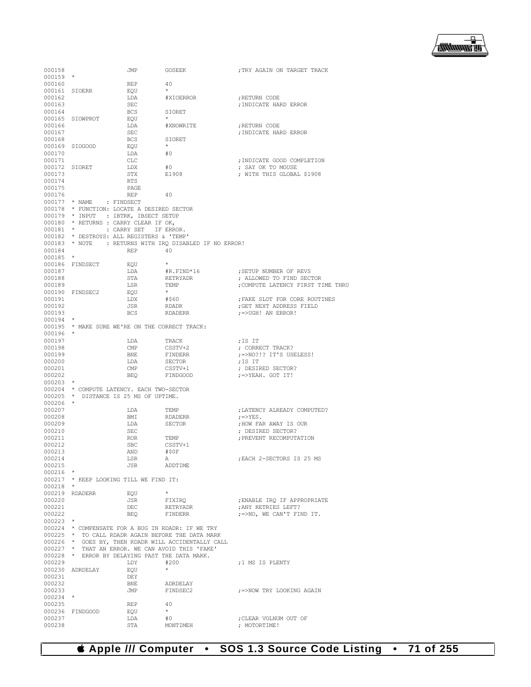

| 000158                                   |                          | JMP                                        | GOSEEK                                                                                             | ; TRY AGAIN ON TARGET TRACK           |
|------------------------------------------|--------------------------|--------------------------------------------|----------------------------------------------------------------------------------------------------|---------------------------------------|
| $000159$ *                               |                          |                                            |                                                                                                    |                                       |
| 000160<br>$000161 \quad \textrm{SIOERR}$ |                          | REP                                        | 40<br>$\star$                                                                                      |                                       |
| 000162                                   |                          | EQU<br>LDA                                 | #XIOERROR                                                                                          | ; RETURN CODE                         |
| 000163                                   |                          | SEC                                        |                                                                                                    | ; INDICATE HARD ERROR                 |
| 000164                                   |                          | BCS                                        | SIORET                                                                                             |                                       |
|                                          | 000165 SIOWPROT          | EQU                                        | $\star$                                                                                            |                                       |
| 000166                                   |                          | LDA                                        | #XNOWRITE                                                                                          | ; RETURN CODE                         |
| 000167                                   |                          | SEC                                        |                                                                                                    | ; INDICATE HARD ERROR                 |
| 000168                                   |                          | BCS                                        | SIORET                                                                                             |                                       |
|                                          | 000169 SIOGOOD           | EQU                                        | $\star$                                                                                            |                                       |
| 000170                                   |                          | LDA                                        | #0                                                                                                 |                                       |
| 000171                                   |                          | CLC                                        |                                                                                                    | ; INDICATE GOOD COMPLETION            |
| 000172 SIORET                            |                          | LDX                                        | #0                                                                                                 | ; SAY OK TO MOUSE                     |
| 000173<br>000174                         |                          | STX<br>RTS                                 | E1908                                                                                              | ; WITH THIS GLOBAL \$1908             |
| 000175                                   |                          | PAGE                                       |                                                                                                    |                                       |
| 000176                                   |                          | REP                                        | 40                                                                                                 |                                       |
|                                          | 000177 * NAME : FINDSECT |                                            |                                                                                                    |                                       |
|                                          |                          | 000178 * FUNCTION: LOCATE A DESIRED SECTOR |                                                                                                    |                                       |
|                                          |                          | 000179 * INPUT : IBTRK, IBSECT SETUP       |                                                                                                    |                                       |
|                                          |                          | 000180 * RETURNS : CARRY CLEAR IF OK,      |                                                                                                    |                                       |
| $000181$ *                               |                          | : CARRY SET IF ERROR.                      |                                                                                                    |                                       |
|                                          |                          | 000182 * DESTROYS: ALL REGISTERS & 'TEMP'  |                                                                                                    |                                       |
|                                          |                          |                                            | 000183 * NOTE : RETURNS WITH IRQ DISABLED IF NO ERROR!                                             |                                       |
| 000184                                   |                          | REP                                        | 40                                                                                                 |                                       |
| $000185$ *                               | 000186 FINDSECT          | EQU                                        |                                                                                                    |                                       |
| 000187                                   |                          | LDA                                        | #R.FIND*16                                                                                         | ; SETUP NUMBER OF REVS                |
| 000188                                   |                          | STA                                        | RETRYADR                                                                                           | ; ALLOWED TO FIND SECTOR              |
| 000189                                   |                          | LSR                                        | TEMP                                                                                               | ; COMPUTE LATENCY FIRST TIME THRU     |
|                                          | 000190 FINDSEC2          | EQU                                        | $\star$                                                                                            |                                       |
| 000191                                   |                          | LDX                                        | #\$60                                                                                              | FAKE SLOT FOR CORE ROUTINES           |
| 000192                                   |                          | JSR                                        | RDADR                                                                                              | ; GET NEXT ADDRESS FIELD              |
| 000193                                   |                          | BCS                                        | RDADERR                                                                                            | $\left  \right  =$ >UGH! AN ERROR!    |
| $000194$ *                               |                          |                                            |                                                                                                    |                                       |
|                                          |                          |                                            | 000195 * MAKE SURE WE'RE ON THE CORRECT TRACK:                                                     |                                       |
| $000196$ *<br>000197                     |                          | LDA                                        | TRACK                                                                                              | ;IS IT                                |
| 000198                                   |                          | CMP                                        | CSSTV+2                                                                                            | ; CORRECT TRACK?                      |
| 000199                                   |                          | BNE                                        | FINDERR                                                                                            | ; =>NO?!? IT'S USELESS!               |
| 000200                                   |                          | LDA                                        | SECTOR                                                                                             | ;IS IT                                |
| 000201                                   |                          | CMP                                        | CSSTV+1                                                                                            | ; DESIRED SECTOR?                     |
| 000202                                   |                          | BEQ                                        | FINDGOOD                                                                                           | $; =$ $YEAH. GOT IT!$                 |
| $000203$ *                               |                          |                                            |                                                                                                    |                                       |
|                                          |                          | 000204 * COMPUTE LATENCY. EACH TWO-SECTOR  |                                                                                                    |                                       |
|                                          | $\star$                  | 000205 * DISTANCE IS 25 MS OF UPTIME.      |                                                                                                    |                                       |
| 000206<br>000207                         |                          |                                            |                                                                                                    | ; LATENCY ALREADY COMPUTED?           |
| 000208                                   |                          | LDA<br>BMI                                 | TEMP<br>RDADERR                                                                                    | $; = > YES$ .                         |
| 000209                                   |                          | LDA                                        | SECTOR                                                                                             | ; HOW FAR AWAY IS OUR                 |
| 000210                                   |                          | SEC                                        |                                                                                                    | ; DESIRED SECTOR?                     |
| 000211                                   |                          | ROR                                        | TEMP                                                                                               | ; PREVENT RECOMPUTATION               |
| 000212                                   |                          | SBC                                        | CSSTV+1                                                                                            |                                       |
| 000213                                   |                          | AND                                        | #50F                                                                                               |                                       |
| 000214                                   |                          | LSR                                        | A                                                                                                  | ; EACH 2-SECTORS IS 25 MS             |
| 000215                                   |                          | <b>JSR</b>                                 | ADDTIME                                                                                            |                                       |
| $000216$ *                               |                          |                                            |                                                                                                    |                                       |
| $000218$ *                               |                          | 000217 * KEEP LOOKING TILL WE FIND IT:     |                                                                                                    |                                       |
|                                          | 000219 RDADERR           | EQU                                        | $\star$                                                                                            |                                       |
| 000220                                   |                          | JSR                                        | FIXIRQ                                                                                             | ENABLE IRQ IF APPROPRIATE             |
| 000221                                   |                          | DEC                                        | RETRYADR                                                                                           | ; ANY RETRIES LEFT?                   |
| 000222                                   |                          | BEQ                                        | FINDERR                                                                                            | ;=>NO, WE CAN'T FIND IT.              |
| $000223$ *                               |                          |                                            |                                                                                                    |                                       |
|                                          |                          |                                            | 000224 * COMPENSATE FOR A BUG IN RDADR: IF WE TRY                                                  |                                       |
|                                          |                          |                                            | 000225 * TO CALL RDADR AGAIN BEFORE THE DATA MARK                                                  |                                       |
|                                          |                          |                                            | 000226 * GOES BY, THEN RDADR WILL ACCIDENTALLY CALL                                                |                                       |
|                                          |                          |                                            | 000227 * THAT AN ERROR. WE CAN AVOID THIS 'FAKE'<br>000228 * ERROR BY DELAYING PAST THE DATA MARK. |                                       |
| 000229                                   |                          | LDY                                        | #200                                                                                               | ;1 MS IS PLENTY                       |
|                                          | 000230 ADRDELAY          | EQU                                        | $\star$                                                                                            |                                       |
| 000231                                   |                          | DEY                                        |                                                                                                    |                                       |
| 000232                                   |                          | BNE                                        | ADRDELAY                                                                                           |                                       |
| 000233                                   |                          |                                            |                                                                                                    | JMP FINDSEC2 ;=>NOW TRY LOOKING AGAIN |
| $000234$ *                               |                          |                                            |                                                                                                    |                                       |
| 000235                                   |                          | <b>REP</b>                                 | 40                                                                                                 |                                       |
|                                          | 000236 FINDGOOD          | EQU                                        | $\rightarrow$                                                                                      |                                       |
| 000237                                   |                          | LDA                                        | #0                                                                                                 | ; CLEAR VOLNUM OUT OF                 |
| 000238                                   |                          | STA                                        | MONTIMEH                                                                                           | ; MOTORTIME!                          |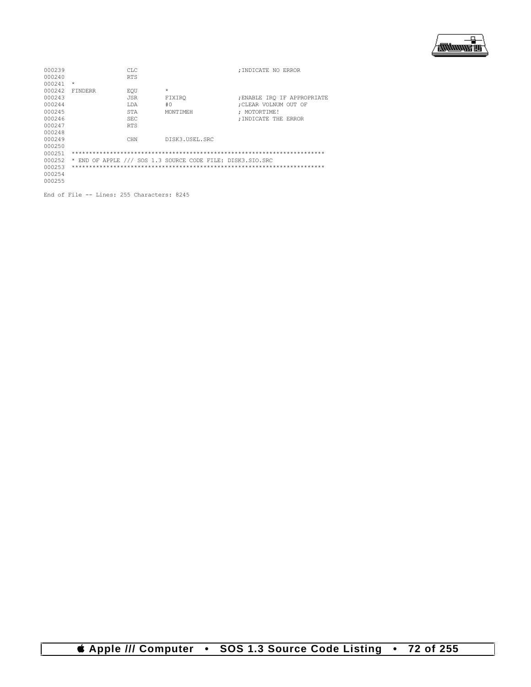

| 000239                                     |                | CLC        |                                                            | : INDICATE NO ERROR         |  |
|--------------------------------------------|----------------|------------|------------------------------------------------------------|-----------------------------|--|
| 000240                                     |                | <b>RTS</b> |                                                            |                             |  |
| 000241                                     | $\star$        |            |                                                            |                             |  |
| 000242                                     | <b>FINDERR</b> | EOU        | $\pm$                                                      |                             |  |
| 000243                                     |                | <b>JSR</b> | FIXIRO                                                     | ; ENABLE IRO IF APPROPRIATE |  |
| 000244                                     |                | T.DA       | #0                                                         | :CLEAR VOLNUM OUT OF        |  |
| 000245                                     |                | STA        | MONTTMEH                                                   | : MOTORTIME!                |  |
| 000246                                     |                | <b>SEC</b> |                                                            | : INDICATE THE ERROR        |  |
| 000247                                     |                | <b>RTS</b> |                                                            |                             |  |
| 000248                                     |                |            |                                                            |                             |  |
| 000249                                     |                | <b>CHN</b> | DISK3.USEL.SRC                                             |                             |  |
| 000250                                     |                |            |                                                            |                             |  |
| 000251                                     |                |            |                                                            |                             |  |
| 000252                                     |                |            | * END OF APPLE /// SOS 1.3 SOURCE CODE FILE: DISK3.SIO.SRC |                             |  |
| 000253                                     |                |            |                                                            |                             |  |
| 000254                                     |                |            |                                                            |                             |  |
| 000255                                     |                |            |                                                            |                             |  |
|                                            |                |            |                                                            |                             |  |
| End of File -- Lines: 255 Characters: 8245 |                |            |                                                            |                             |  |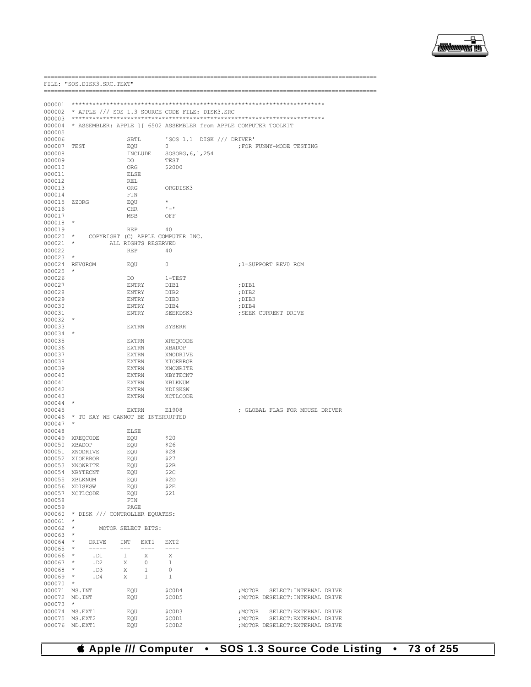

-------------------------

|                  |                     | FILE: "SOS.DISK3.SRC.TEXT"        |                              |                     |                                                 |  |                                                                   |
|------------------|---------------------|-----------------------------------|------------------------------|---------------------|-------------------------------------------------|--|-------------------------------------------------------------------|
|                  |                     |                                   |                              |                     |                                                 |  |                                                                   |
| 000001           |                     |                                   |                              |                     |                                                 |  |                                                                   |
| 000002           |                     |                                   |                              |                     | * APPLE /// SOS 1.3 SOURCE CODE FILE: DISK3.SRC |  |                                                                   |
| 000003           |                     |                                   |                              |                     |                                                 |  |                                                                   |
| 000004           |                     |                                   |                              |                     |                                                 |  | * ASSEMBLER: APPLE ] [ 6502 ASSEMBLER from APPLE COMPUTER TOOLKIT |
| 000005           |                     |                                   |                              |                     |                                                 |  |                                                                   |
| 000006           |                     |                                   | SBTL                         |                     | 'SOS 1.1 DISK /// DRIVER'                       |  |                                                                   |
| 000007<br>000008 | TEST                |                                   | EQU                          | INCLUDE             | 0<br>SOSORG, 6, 1, 254                          |  | ; FOR FUNNY-MODE TESTING                                          |
| 000009           |                     |                                   | DO.                          |                     | TEST                                            |  |                                                                   |
| 000010           |                     |                                   | ORG                          |                     | \$2000                                          |  |                                                                   |
| 000011           |                     |                                   | <b>ELSE</b>                  |                     |                                                 |  |                                                                   |
| 000012           |                     |                                   | REL                          |                     |                                                 |  |                                                                   |
| 000013           |                     |                                   | ORG                          |                     | ORGDISK3                                        |  |                                                                   |
| 000014           |                     |                                   | FIN                          |                     |                                                 |  |                                                                   |
| 000015           | ZZORG               |                                   | EQU                          |                     | $1 - 1$                                         |  |                                                                   |
| 000016<br>000017 |                     |                                   | CHR<br>MSB                   |                     | OFF                                             |  |                                                                   |
| 000018           | $\star$             |                                   |                              |                     |                                                 |  |                                                                   |
| 000019           |                     |                                   | REP                          |                     | 40                                              |  |                                                                   |
| $000020$ *       |                     |                                   |                              |                     | COPYRIGHT (C) APPLE COMPUTER INC.               |  |                                                                   |
| 000021           | $\star$             |                                   |                              | ALL RIGHTS RESERVED |                                                 |  |                                                                   |
| 000022           |                     |                                   | REP                          |                     | 40                                              |  |                                                                   |
| 000023           | $\star$             |                                   |                              |                     |                                                 |  |                                                                   |
| 000024           | REVOROM             |                                   | EQU                          |                     | 0                                               |  | ;1=SUPPORT REVO ROM                                               |
| 000025           | $\star$             |                                   |                              |                     |                                                 |  |                                                                   |
| 000026<br>000027 |                     |                                   | DO<br><b>ENTRY</b>           |                     | $1 - TEST$                                      |  |                                                                   |
| 000028           |                     |                                   | ENTRY                        |                     | DIB1<br>DIB2                                    |  | ; DIB1<br>; DIB2                                                  |
| 000029           |                     |                                   | ENTRY                        |                     | DIB3                                            |  | ;DIB3                                                             |
| 000030           |                     |                                   | ENTRY                        |                     | DIB4                                            |  | ;DIB4                                                             |
| 000031           |                     |                                   | ENTRY                        |                     | SEEKDSK3                                        |  | ; SEEK CURRENT DRIVE                                              |
| 000032           | $\star$             |                                   |                              |                     |                                                 |  |                                                                   |
| 000033           |                     |                                   | <b>EXTRN</b>                 |                     | SYSERR                                          |  |                                                                   |
| $000034$ *       |                     |                                   |                              |                     |                                                 |  |                                                                   |
| 000035<br>000036 |                     |                                   | <b>EXTRN</b><br><b>EXTRN</b> |                     | XREQCODE<br>XBADOP                              |  |                                                                   |
| 000037           |                     |                                   | <b>EXTRN</b>                 |                     | XNODRIVE                                        |  |                                                                   |
| 000038           |                     |                                   | EXTRN                        |                     | XIOERROR                                        |  |                                                                   |
| 000039           |                     |                                   | <b>EXTRN</b>                 |                     | XNOWRITE                                        |  |                                                                   |
| 000040           |                     |                                   | EXTRN                        |                     | XBYTECNT                                        |  |                                                                   |
| 000041           |                     |                                   | EXTRN                        |                     | XBLKNUM                                         |  |                                                                   |
| 000042           |                     |                                   | <b>EXTRN</b>                 |                     | XDISKSW                                         |  |                                                                   |
| 000043           |                     |                                   | <b>EXTRN</b>                 |                     | XCTLCODE                                        |  |                                                                   |
| 000044           | $\star$             |                                   |                              |                     |                                                 |  |                                                                   |
| 000045<br>000046 |                     | * TO SAY WE CANNOT BE INTERRUPTED | EXTRN                        |                     | E1908                                           |  | ; GLOBAL FLAG FOR MOUSE DRIVER                                    |
| 000047           | $\star$             |                                   |                              |                     |                                                 |  |                                                                   |
| 000048           |                     |                                   | ELSE                         |                     |                                                 |  |                                                                   |
| 000049 XREQCODE  |                     |                                   | EQU                          |                     | \$20                                            |  |                                                                   |
| 000050           | XBADOP              |                                   | EQU                          |                     | \$26                                            |  |                                                                   |
| 000051           | XNODRIVE            |                                   | EQU                          |                     | \$28                                            |  |                                                                   |
| 000052           | XIOERROR            |                                   | EQU                          |                     | \$27                                            |  |                                                                   |
| 000053<br>000054 | XNOWRITE            |                                   | EOU                          |                     | \$2B<br>\$2C                                    |  |                                                                   |
| 000055           | XBYTECNT<br>XBLKNUM |                                   | EQU<br>EQU                   |                     | \$2D                                            |  |                                                                   |
| 000056           | XDISKSW             |                                   | EQU                          |                     | \$2E                                            |  |                                                                   |
| 000057           | XCTLCODE            |                                   | EQU                          |                     | \$21                                            |  |                                                                   |
| 000058           |                     |                                   | FIN                          |                     |                                                 |  |                                                                   |
| 000059           |                     |                                   | PAGE                         |                     |                                                 |  |                                                                   |
| 000060           |                     | * DISK /// CONTROLLER EQUATES:    |                              |                     |                                                 |  |                                                                   |
| 000061           | $^{\star}$          |                                   |                              |                     |                                                 |  |                                                                   |
| 000062           | $\star$<br>$\star$  |                                   |                              | MOTOR SELECT BITS:  |                                                 |  |                                                                   |
| 000063<br>000064 | $\star$             | DRIVE                             | INT                          | EXT1                | EXT <sub>2</sub>                                |  |                                                                   |
| 000065           | $\star$             |                                   | $---$                        | ----                | $--- -$                                         |  |                                                                   |
| 000066           | $^{\star}$          | .D1                               | $\mathbf{1}$                 | Χ                   | Χ                                               |  |                                                                   |
| 000067           | $^{\star}$          | .D2                               | Χ                            | 0                   | $\mathbf{1}$                                    |  |                                                                   |
| 000068           | $\star$             | .D3                               | Χ                            | 1                   | 0                                               |  |                                                                   |
| 000069           | $\star$             | .D4                               | X                            | $\mathbf{1}$        | $\mathbf{1}$                                    |  |                                                                   |
| 000070           | $\star$             |                                   |                              |                     |                                                 |  |                                                                   |
| 000071           | MS.INT              |                                   | EQU                          |                     | \$COD4                                          |  | ; MOTOR<br>SELECT: INTERNAL DRIVE                                 |
| 000072<br>000073 | MD.INT<br>$\star$   |                                   | EQU                          |                     | \$COD5                                          |  | ; MOTOR DESELECT: INTERNAL DRIVE                                  |
| 000074           | MS.EXT1             |                                   | EQU                          |                     | \$COD3                                          |  | SELECT: EXTERNAL DRIVE<br>; MOTOR                                 |
| 000075           | MS.EXT2             |                                   | EQU                          |                     | \$COD1                                          |  | SELECT: EXTERNAL DRIVE<br>; MOTOR                                 |
| 000076           | MD.EXT1             |                                   | EQU                          |                     | \$COD2                                          |  | ; MOTOR DESELECT: EXTERNAL DRIVE                                  |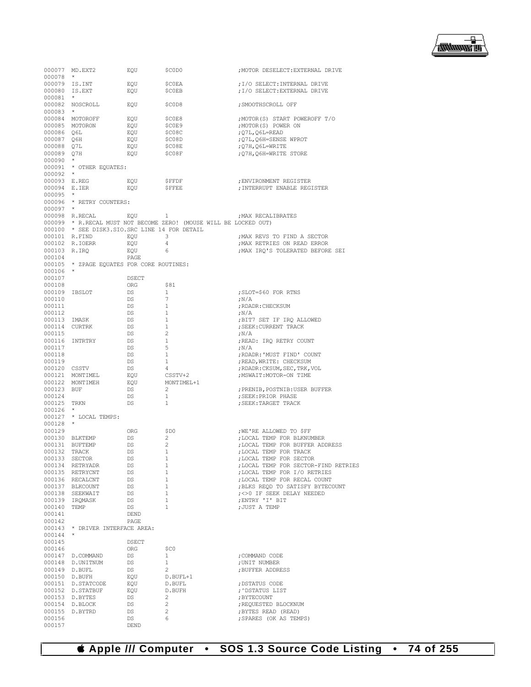▕<del>▓▓▓▓</del>▊

|                  | 000077 MD.EXT2<br>$\star$                       | EQU          | \$C0D0                                                            | ; MOTOR DESELECT: EXTERNAL DRIVE                                     |
|------------------|-------------------------------------------------|--------------|-------------------------------------------------------------------|----------------------------------------------------------------------|
| 000078           | 000079 IS.INT                                   | EQU          | \$C0EA                                                            | ; I/O SELECT: INTERNAL DRIVE                                         |
|                  | 000080 IS.EXT                                   | EQU          | <b>\$COEB</b>                                                     | ; I/O SELECT: EXTERNAL DRIVE                                         |
| 000081           | $\star$                                         |              |                                                                   |                                                                      |
|                  | 000082 NOSCROLL                                 | EQU          | \$C0D8                                                            | ; SMOOTHSCROLL OFF                                                   |
| $000083$ *       |                                                 |              |                                                                   |                                                                      |
|                  | 000084 MOTOROFF                                 | EOU          | \$COE8                                                            | ; MOTOR (S) START POWEROFF T/O                                       |
|                  | 000085 MOTORON                                  | EQU          | \$COE9                                                            | ; MOTOR (S) POWER ON                                                 |
| 000086 Q6L       |                                                 | EQU          | \$C08C                                                            | ; Q7L, Q6L=READ                                                      |
| 000087 Q6H       |                                                 | EOU          | \$C08D                                                            | ; Q7L, Q6H=SENSE WPROT                                               |
| 000088 Q7L       |                                                 | EQU          | \$C08E                                                            | ;Q7H,Q6L=WRITE                                                       |
| 000089 O7H       |                                                 | EQU          | \$CO8F                                                            | ; Q7H, Q6H=WRITE STORE                                               |
| 000090           | $\star$                                         |              |                                                                   |                                                                      |
|                  | 000091 * OTHER EQUATES:                         |              |                                                                   |                                                                      |
| $000092$ *       |                                                 |              |                                                                   |                                                                      |
| 000093 E.REG     |                                                 | EQU          | <b>\$FFDF</b>                                                     | ; ENVIRONMENT REGISTER                                               |
| 000094 E.IER     |                                                 | EQU          | <b>SFFEE</b>                                                      | ; INTERRUPT ENABLE REGISTER                                          |
| 000095           |                                                 |              |                                                                   |                                                                      |
|                  | 000096 * RETRY COUNTERS:                        |              |                                                                   |                                                                      |
| $000097$ *       |                                                 |              |                                                                   |                                                                      |
|                  | 000098 R.RECAL                                  | EQU          | 1                                                                 | ; MAX RECALIBRATES                                                   |
|                  |                                                 |              | 000099 * R.RECAL MUST NOT BECOME ZERO! (MOUSE WILL BE LOCKED OUT) |                                                                      |
|                  | 000100 * SEE DISK3. SIO. SRC LINE 14 FOR DETAIL |              |                                                                   |                                                                      |
|                  | 000101 R.FIND                                   | EQU          | 3                                                                 | ; MAX REVS TO FIND A SECTOR                                          |
|                  | 000102 R.IOERR                                  | EQU          | $\overline{4}$                                                    | ; MAX RETRIES ON READ ERROR                                          |
| 000103 R.IRQ     |                                                 | EQU          | 6                                                                 | ; MAX IRQ'S TOLERATED BEFORE SEI                                     |
| 000104           |                                                 | PAGE         |                                                                   |                                                                      |
|                  | 000105 * ZPAGE EQUATES FOR CORE ROUTINES:       |              |                                                                   |                                                                      |
| $000106$ *       |                                                 |              |                                                                   |                                                                      |
| 000107           |                                                 | DSECT        |                                                                   |                                                                      |
| 000108           |                                                 | ORG          | \$81                                                              |                                                                      |
| 000109 IBSLOT    |                                                 | DS           | $\mathbf{1}$                                                      | ; SLOT=\$60 FOR RTNS                                                 |
| 000110           |                                                 | DS           | 7                                                                 | ;N/A                                                                 |
| 000111           |                                                 | DS           | $\mathbf{1}$                                                      | ; RDADR: CHECKSUM                                                    |
| 000112           |                                                 | DS           | $\mathbf{1}$                                                      | ;N/A                                                                 |
| 000113 IMASK     |                                                 | DS           | $\mathbf{1}$                                                      | ;BIT7 SET IF IRQ ALLOWED                                             |
|                  | 000114 CURTRK                                   | DS           | $\mathbf{1}$                                                      | ; SEEK: CURRENT TRACK                                                |
| 000115           |                                                 | DS           | 2                                                                 | ;N/A                                                                 |
|                  | 000116 INTRTRY                                  | DS           | $\mathbf{1}$                                                      | ; READ: IRQ RETRY COUNT                                              |
| 000117           |                                                 | DS           | 5                                                                 | ;N/A                                                                 |
| 000118           |                                                 | DS           | 1                                                                 | ; RDADR: 'MUST FIND' COUNT                                           |
| 000119           |                                                 | DS           | 1                                                                 | ; READ, WRITE: CHECKSUM                                              |
| 000120 CSSTV     |                                                 | DS           | 4                                                                 | ; RDADR: CKSUM, SEC, TRK, VOL                                        |
|                  | 000121 MONTIMEL                                 | EQU          | CSSTV+2                                                           | ; MSWAIT: MOTOR-ON TIME                                              |
|                  | 000122 MONTIMEH                                 | EQU          | MONTIMEL+1                                                        |                                                                      |
| 000123 BUF       |                                                 | DS           | 2                                                                 | ; PRENIB, POSTNIB: USER BUFFER                                       |
| 000124           |                                                 | DS           | $\mathbf{1}$                                                      | ; SEEK: PRIOR PHASE                                                  |
| 000125 TRKN      |                                                 | DS           | $\mathbf{1}$                                                      | ; SEEK: TARGET TRACK                                                 |
| 000126           | $\star$                                         |              |                                                                   |                                                                      |
|                  | 000127 * LOCAL TEMPS:                           |              |                                                                   |                                                                      |
| $000128$ *       |                                                 |              |                                                                   |                                                                      |
| 000129           |                                                 | ORG          | \$D0                                                              | ; WE'RE ALLOWED TO \$FF                                              |
|                  | 000130 BLKTEMP                                  | DS           | 2<br>2                                                            | ; LOCAL TEMP FOR BLKNUMBER                                           |
|                  | 000131 BUFTEMP                                  | DS           |                                                                   | ; LOCAL TEMP FOR BUFFER ADDRESS                                      |
| 000132           | TRACK                                           | DS           | 1<br>$\mathbf{1}$                                                 | ; LOCAL TEMP FOR TRACK                                               |
|                  | 000133 SECTOR                                   | DS           |                                                                   | ; LOCAL TEMP FOR SECTOR                                              |
|                  | 000134 RETRYADR<br>000135 RETRYCNT              | DS<br>DS     | 1<br>$\mathbf{1}$                                                 | ; LOCAL TEMP FOR SECTOR-FIND RETRIES<br>; LOCAL TEMP FOR I/O RETRIES |
|                  | 000136 RECALCNT                                 | DS           | $\mathbf{1}$                                                      | ; LOCAL TEMP FOR RECAL COUNT                                         |
|                  | 000137 BLKCOUNT                                 | DS           | $\mathbf{1}$                                                      | ; BLKS REOD TO SATISFY BYTECOUNT                                     |
|                  |                                                 | DS           | 1                                                                 | ; <> 0 IF SEEK DELAY NEEDED                                          |
|                  | 000138 SEEKWAIT<br>000139 IRQMASK               | DS           | $\mathbf{1}$                                                      | ; ENTRY 'I' BIT                                                      |
| 000140 TEMP      |                                                 | DS           | $\mathbf{1}$                                                      | ; JUST A TEMP                                                        |
| 000141           |                                                 | DEND         |                                                                   |                                                                      |
| 000142           |                                                 |              |                                                                   |                                                                      |
|                  | 000143 * DRIVER INTERFACE AREA:                 | PAGE         |                                                                   |                                                                      |
| 000144           | $^\star$                                        |              |                                                                   |                                                                      |
| 000145           |                                                 | <b>DSECT</b> |                                                                   |                                                                      |
| 000146           |                                                 | ORG          | \$C0                                                              |                                                                      |
|                  |                                                 |              | $\mathbf{1}$                                                      | : COMMAND CODE                                                       |
|                  | 000147 D.COMMAND<br>000148 D.UNITNUM            | DS           | $\mathbf{1}$                                                      |                                                                      |
|                  |                                                 | DS           |                                                                   | ; UNIT NUMBER                                                        |
|                  | 000149 D.BUFL                                   | DS           | 2                                                                 | ; BUFFER ADDRESS                                                     |
|                  | 000150 D.BUFH                                   | EOU          | D.BUFL+1                                                          |                                                                      |
|                  | 000151 D.STATCODE                               | EQU          | D.BUFL                                                            | ; DSTATUS CODE                                                       |
|                  | 000152 D.STATBUF                                | EQU          | D.BUFH                                                            | , ^DSTATUS LIST                                                      |
|                  | 000153 D.BYTES                                  | DS           | 2                                                                 | ; BYTECOUNT                                                          |
|                  | 000154 D.BLOCK                                  | DS           | 2<br>2                                                            | ; REQUESTED BLOCKNUM                                                 |
|                  | 000155 D.BYTRD                                  | DS<br>DS.    | 6                                                                 | ; BYTES READ (READ)<br>; SPARES (OK AS TEMPS)                        |
| 000156<br>000157 |                                                 |              |                                                                   |                                                                      |
|                  |                                                 | DEND         |                                                                   |                                                                      |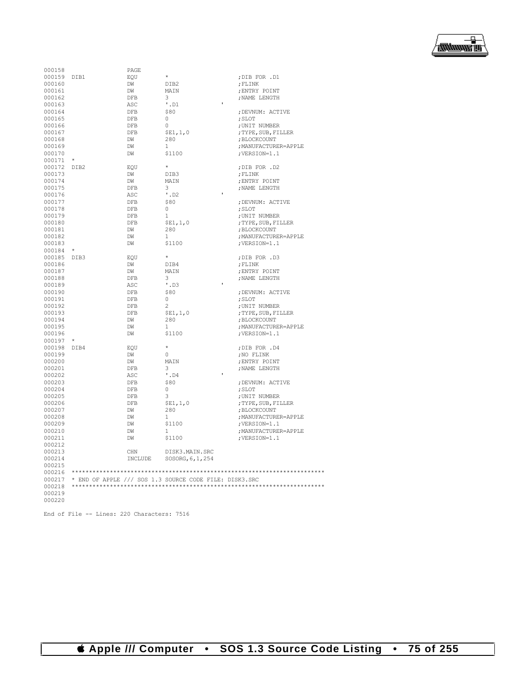

| 000158      |         | PAGE          |                                                        |                      |
|-------------|---------|---------------|--------------------------------------------------------|----------------------|
| 000159 DIB1 |         | EOU           | $\star$                                                | ;DIB FOR .D1         |
| 000160      |         | DW            | DIB2                                                   | ; FLINK              |
| 000161      |         | DW            | MAIN                                                   | ; ENTRY POINT        |
| 000162      |         | DFB           | 3                                                      | ; NAME LENGTH        |
| 000163      |         | ASC           | $'$ . D $1$                                            |                      |
| 000164      |         | DFB           | \$80                                                   | ; DEVNUM: ACTIVE     |
| 000165      |         | DFB           | $\bigcap$                                              | ; SLOT               |
| 000166      |         | $_{\rm{DFB}}$ | $\Omega$                                               | ; UNIT NUMBER        |
| 000167      |         | DFB           | SE1, 1, 0                                              | ; TYPE, SUB, FILLER  |
| 000168      |         | DW            | 280                                                    | ; BLOCKCOUNT         |
| 000169      |         | DW            | -1                                                     | ; MANUFACTURER=APPLE |
| 000170      |         | DW            | \$1100                                                 | ; VERSION=1.1        |
| 000171      | $\star$ |               |                                                        |                      |
| 000172 DIB2 |         | EOU           | $\star$                                                | ;DIB FOR .D2         |
| 000173      |         | DW            | DTB3                                                   | ; FLINK              |
| 000174      |         | DW            | MATN                                                   | ; ENTRY POINT        |
| 000175      |         | DFB           | 3                                                      | ; NAME LENGTH        |
| 000176      |         | ASC           | $'$ .D2                                                |                      |
| 000177      |         | DFB           | \$80                                                   | ; DEVNUM: ACTIVE     |
| 000178      |         | DFB           | $\Omega$                                               | ; SLOT               |
| 000179      |         |               | $\mathbf{1}$                                           |                      |
|             |         | DFB           |                                                        | ; UNIT NUMBER        |
| 000180      |         | <b>DFB</b>    | \$E1, 1, 0                                             | ; TYPE, SUB, FILLER  |
| 000181      |         | DW            | 280                                                    | ; BLOCKCOUNT         |
| 000182      |         | DW            | $\mathbf{1}$                                           | ; MANUFACTURER=APPLE |
| 000183      |         | DW            | \$1100                                                 | ; VERSION=1.1        |
| 000184      | $\star$ |               |                                                        |                      |
| 000185 DIB3 |         | EQU           | $\star$                                                | ;DIB FOR .D3         |
| 000186      |         | DW            | DTB4                                                   | ; FLINK              |
| 000187      |         | DW            | MAIN                                                   | ; ENTRY POINT        |
| 000188      |         | DFB           | 3                                                      | ; NAME LENGTH        |
| 000189      |         | ASC           | $^{\prime}$ .D3                                        |                      |
| 000190      |         | <b>DFB</b>    | \$80                                                   | ; DEVNUM: ACTIVE     |
| 000191      |         | DFB           | 0                                                      | ; SLOT               |
| 000192      |         | DFB           | 2                                                      | ; UNIT NUMBER        |
| 000193      |         | DFB           | SE1, 1, 0                                              | ; TYPE, SUB, FILLER  |
| 000194      |         | DM            | 280                                                    | ; BLOCKCOUNT         |
| 000195      |         | DW            | $\mathbf{1}$                                           | ; MANUFACTURER=APPLE |
| 000196      |         | DW            | \$1100                                                 | ; VERSION=1.1        |
| 000197      | $\star$ |               |                                                        |                      |
| 000198 DIB4 |         | EOU           | $\star$                                                | ;DIB FOR .D4         |
| 000199      |         | DW            | $\circ$                                                | ; NO FLINK           |
| 000200      |         | DW            | MAIN                                                   | ; ENTRY POINT        |
| 000201      |         | DFB           | 3                                                      | ; NAME LENGTH        |
| 000202      |         | ASC           | $'$ . D4                                               |                      |
| 000203      |         | <b>DFB</b>    | \$80                                                   | ; DEVNUM: ACTIVE     |
| 000204      |         | DFB           | $\circ$                                                | ; SLOT               |
| 000205      |         | DFB           | 3                                                      | ; UNIT NUMBER        |
| 000206      |         | DFB           | \$E1, 1, 0                                             | ; TYPE, SUB, FILLER  |
| 000207      |         | DW            | 280                                                    | ; BLOCKCOUNT         |
| 000208      |         | DW            | $\mathbf{1}$                                           | ; MANUFACTURER=APPLE |
| 000209      |         | DW            | \$1100                                                 | ; VERSION=1.1        |
| 000210      |         | DW            | $\mathbf{1}$                                           | ; MANUFACTURER=APPLE |
| 000211      |         | DW            | \$1100                                                 | ; VERSION=1.1        |
| 000212      |         |               |                                                        |                      |
| 000213      |         | CHN           | DISK3.MAIN.SRC                                         |                      |
| 000214      |         | INCLUDE       | SOSORG, 6, 1, 254                                      |                      |
| 000215      |         |               |                                                        |                      |
| 000216      |         |               |                                                        |                      |
| 000217      |         |               | * END OF APPLE /// SOS 1.3 SOURCE CODE FILE: DISK3.SRC |                      |
| 000218      |         |               |                                                        |                      |
| 000219      |         |               |                                                        |                      |
| 000220      |         |               |                                                        |                      |
|             |         |               |                                                        |                      |

End of File -- Lines: 220 Characters: 7516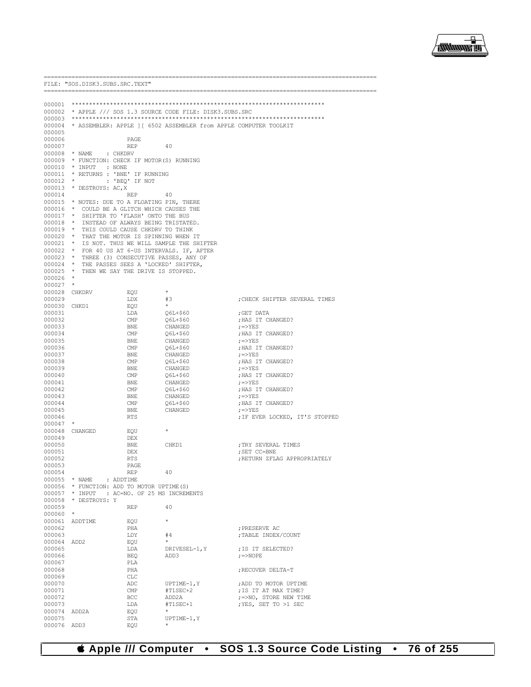

|                       | FILE: "SOS.DISK3.SUBS.SRC.TEXT" |                                                                                   |                                                                          |                                                |
|-----------------------|---------------------------------|-----------------------------------------------------------------------------------|--------------------------------------------------------------------------|------------------------------------------------|
|                       |                                 |                                                                                   |                                                                          |                                                |
| 000001                |                                 |                                                                                   |                                                                          |                                                |
|                       |                                 |                                                                                   | 000002 * APPLE /// SOS 1.3 SOURCE CODE FILE: DISK3.SUBS.SRC              |                                                |
|                       |                                 |                                                                                   |                                                                          |                                                |
| 000005                |                                 |                                                                                   | 000004 * ASSEMBLER: APPLE ] [ 6502 ASSEMBLER from APPLE COMPUTER TOOLKIT |                                                |
| 000006                |                                 | PAGE                                                                              |                                                                          |                                                |
| 000007                |                                 | <b>REP</b>                                                                        | 40                                                                       |                                                |
| 000008 * NAME         |                                 | : CHKDRV                                                                          |                                                                          |                                                |
|                       |                                 | 000009 * FUNCTION: CHECK IF MOTOR(S) RUNNING                                      |                                                                          |                                                |
| 000010                | * INPUT                         | : NONE                                                                            |                                                                          |                                                |
| 000011<br>000012      | $\star$                         | * RETURNS : 'BNE' IF RUNNING<br>: 'BEQ' IF NOT                                    |                                                                          |                                                |
| 000013                | * DESTROYS: AC, X               |                                                                                   |                                                                          |                                                |
| 000014                |                                 | <b>REP</b>                                                                        | 40                                                                       |                                                |
|                       |                                 | 000015 * NOTES: DUE TO A FLOATING PIN, THERE                                      |                                                                          |                                                |
|                       |                                 | 000016 * COULD BE A GLITCH WHICH CAUSES THE                                       |                                                                          |                                                |
| 000017                |                                 | * SHIFTER TO 'FLASH' ONTO THE BUS                                                 |                                                                          |                                                |
| 000018                |                                 | * INSTEAD OF ALWAYS BEING TRISTATED.<br>000019 * THIS COULD CAUSE CHKDRV TO THINK |                                                                          |                                                |
| 000020                |                                 | * THAT THE MOTOR IS SPINNING WHEN IT                                              |                                                                          |                                                |
| 000021                |                                 |                                                                                   | * IS NOT. THUS WE WILL SAMPLE THE SHIFTER                                |                                                |
| 000022                |                                 |                                                                                   | * FOR 40 US AT 6-US INTERVALS. IF, AFTER                                 |                                                |
|                       |                                 | 000023 * THREE (3) CONSECUTIVE PASSES, ANY OF                                     |                                                                          |                                                |
| $000025$ *            |                                 | 000024 * THE PASSES SEES A 'LOCKED' SHIFTER,<br>THEN WE SAY THE DRIVE IS STOPPED. |                                                                          |                                                |
| 000026                | $\star$                         |                                                                                   |                                                                          |                                                |
| 000027                | $\star$                         |                                                                                   |                                                                          |                                                |
| 000028                | CHKDRV                          | EQU                                                                               | $^{\star}$                                                               |                                                |
| 000029                |                                 | LDX                                                                               | #3                                                                       | ; CHECK SHIFTER SEVERAL TIMES                  |
| 000030                | CHKD1                           | EOU                                                                               | $\star$                                                                  |                                                |
| 000031<br>000032      |                                 | LDA<br>CMP                                                                        | Q6L+\$60<br>O6L+\$60                                                     | ;GET DATA<br>; HAS IT CHANGED?                 |
| 000033                |                                 | BNE                                                                               | CHANGED                                                                  | $:$ $\Rightarrow$ YES                          |
| 000034                |                                 | CMP                                                                               | Q6L+\$60                                                                 | ; HAS IT CHANGED?                              |
| 000035                |                                 | BNE                                                                               | CHANGED                                                                  | $7 = YES$                                      |
| 000036                |                                 | CMP                                                                               | Q6L+\$60                                                                 | ; HAS IT CHANGED?                              |
| 000037                |                                 | BNE                                                                               | CHANGED                                                                  | $7 = YES$<br>; HAS IT CHANGED?                 |
| 000038<br>000039      |                                 | CMP<br>BNE                                                                        | Q6L+\$60<br>CHANGED                                                      | $7 = YES$                                      |
| 000040                |                                 | CMP                                                                               | Q6L+\$60                                                                 | ; HAS IT CHANGED?                              |
| 000041                |                                 | BNE                                                                               | CHANGED                                                                  | $7 = YES$                                      |
| 000042                |                                 | CMP                                                                               | $Q6L+560$                                                                | ; HAS IT CHANGED?                              |
| 000043                |                                 | BNE                                                                               | CHANGED                                                                  | $7 = YES$                                      |
| 000044<br>000045      |                                 | CMP<br>BNE                                                                        | $Q6L+560$<br>CHANGED                                                     | ; HAS IT CHANGED?<br>$7 = YES$                 |
| 000046                |                                 | RTS                                                                               |                                                                          | IF EVER LOCKED, IT'S STOPPED;                  |
| 000047                |                                 |                                                                                   |                                                                          |                                                |
| 000048                | CHANGED                         | EOU                                                                               | $\star$                                                                  |                                                |
| 000049                |                                 | DEX                                                                               |                                                                          |                                                |
| 000050<br>000051      |                                 | BNE<br>DEX                                                                        | CHKD1                                                                    | ; TRY SEVERAL TIMES<br>; SET CC=BNE            |
| 000052                |                                 | <b>RTS</b>                                                                        |                                                                          | RETURN ZFLAG APPROPRIATELY                     |
| 000053                |                                 | PAGE                                                                              |                                                                          |                                                |
| 000054                |                                 | REP                                                                               | -40                                                                      |                                                |
|                       | 000055 * NAME                   | : ADDTIME                                                                         |                                                                          |                                                |
|                       |                                 | 000056 * FUNCTION: ADD TO MOTOR UPTIME (S)                                        |                                                                          |                                                |
|                       | 000058 * DESTROYS: Y            | 000057 * INPUT : AC=NO. OF 25 MS INCREMENTS                                       |                                                                          |                                                |
| 000059                |                                 | REP                                                                               | 40                                                                       |                                                |
| 000060                | $\star$                         |                                                                                   |                                                                          |                                                |
| 000061                | ADDTIME                         | EQU                                                                               | $\star$                                                                  |                                                |
| 000062                |                                 | PHA                                                                               |                                                                          | ; PRESERVE AC                                  |
| 000063                |                                 | LDY                                                                               | #4<br>$\star$                                                            | ; TABLE INDEX/COUNT                            |
| 000064 ADD2<br>000065 |                                 | EQU<br>LDA                                                                        | DRIVESEL-1, Y                                                            | ; IS IT SELECTED?                              |
| 000066                |                                 | BEQ                                                                               | ADD3                                                                     | $\epsilon$ =>NOPE                              |
| 000067                |                                 | PLA                                                                               |                                                                          |                                                |
| 000068                |                                 | PHA                                                                               |                                                                          | ; RECOVER DELTA-T                              |
| 000069                |                                 | CLC                                                                               |                                                                          |                                                |
| 000070                |                                 | $\mathsf{ADC}$                                                                    | UPTIME-1,Y                                                               | ; ADD TO MOTOR UPTIME                          |
| 000071<br>000072      |                                 | CMP<br>BCC                                                                        | #T1SEC+2<br>ADD2A                                                        | ; IS IT AT MAX TIME?<br>; =>NO, STORE NEW TIME |
| 000073                |                                 | LDA                                                                               | #T1SEC+1                                                                 | ; YES, SET TO >1 SEC                           |
| 000074                | ADD2A                           | EQU                                                                               |                                                                          |                                                |
| 000075                |                                 | STA                                                                               | $UPTIME-1, Y$                                                            |                                                |
| 000076 ADD3           |                                 | EQU                                                                               |                                                                          |                                                |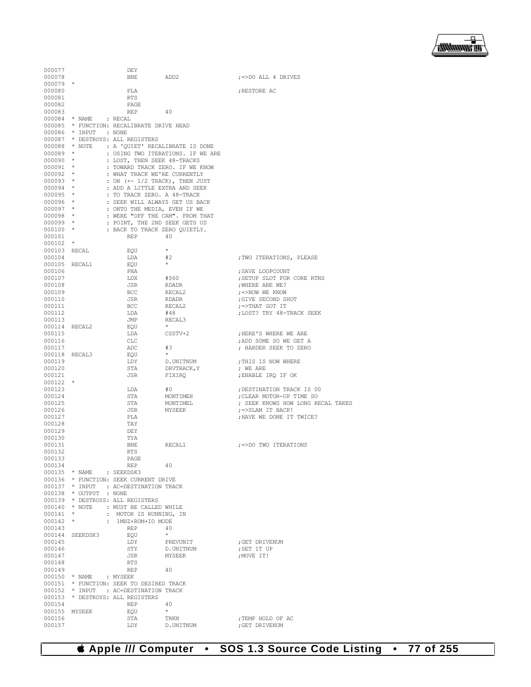▕<del>▓▓▓▓</del>▊

| 000077                   |                          | DEY                                                            |                                   |                                              |
|--------------------------|--------------------------|----------------------------------------------------------------|-----------------------------------|----------------------------------------------|
| 000078                   |                          | BNE<br>ADD2                                                    |                                   | $\left  \right $ =>DO ALL 4 DRIVES           |
| $000079$ *               |                          |                                                                |                                   |                                              |
| 000080                   |                          | PLA                                                            |                                   | ; RESTORE AC                                 |
| 000081<br>000082         |                          | RTS<br>PAGE                                                    |                                   |                                              |
| 000083                   |                          | REP                                                            | 40                                |                                              |
|                          | $000084$ * NAME : RECAL  |                                                                |                                   |                                              |
|                          |                          | 000085 * FUNCTION: RECALIBRATE DRIVE HEAD                      |                                   |                                              |
|                          | 000086 * INPUT : NONE    |                                                                |                                   |                                              |
|                          |                          | 000087 * DESTROYS: ALL REGISTERS                               |                                   |                                              |
| $000089$ *               |                          | 000088 * NOTE : A 'QUIET' RECALIBRATE IS DONE                  | : USING TWO ITERATIONS. IF WE ARE |                                              |
| $000090$ *               |                          | : LOST, THEN SEEK 48-TRACKS                                    |                                   |                                              |
| 000091 *                 |                          | : TOWARD TRACK ZERO. IF WE KNOW                                |                                   |                                              |
| $000092$ *               |                          | : WHAT TRACK WE'RE CURRENTLY                                   |                                   |                                              |
| $000093$ *               |                          | : ON (+- 1/2 TRACK), THEN JUST                                 |                                   |                                              |
| $000094$ *               |                          | : ADD A LITTLE EXTRA AND SEEK                                  |                                   |                                              |
| 000095 *                 |                          | : TO TRACK ZERO. A 48-TRACK                                    |                                   |                                              |
| 000096 *<br>$000097$ *   |                          | : SEEK WILL ALWAYS GET US BACK<br>: ONTO THE MEDIA, EVEN IF WE |                                   |                                              |
| 000098 *                 |                          | : WERE "OFF THE CAM". FROM THAT                                |                                   |                                              |
| 000099 *                 |                          | : POINT, THE 2ND SEEK GETS US                                  |                                   |                                              |
| $000100$ *               |                          | : BACK TO TRACK ZERO QUIETLY.                                  |                                   |                                              |
| 000101                   |                          | REP                                                            | 40                                |                                              |
| $000102$ *               |                          |                                                                |                                   |                                              |
| 000103 RECAL<br>000104   |                          | EOU<br>LDA                                                     | $\star$<br>#2                     | ; TWO ITERATIONS, PLEASE                     |
| 000105 RECAL1            |                          | EOU                                                            | $\star$                           |                                              |
| 000106                   |                          | PHA                                                            |                                   | ; SAVE LOOPCOUNT                             |
| 000107                   |                          | LDX                                                            | #\$60                             | ; SETUP SLOT FOR CORE RTNS                   |
| 000108                   |                          | JSR                                                            | <b>RDADR</b>                      | ; WHERE ARE WE?                              |
| 000109                   |                          | BCC                                                            | RECAL2                            | ;=>NOW WE KNOW                               |
| 000110                   |                          | JSR                                                            | <b>RDADR</b>                      | ;GIVE SECOND SHOT                            |
| 000111<br>000112         |                          | BCC<br>LDA                                                     | RECAL2<br>#48                     | ;=>THAT GOT IT<br>; LOST? TRY 48-TRACK SEEK  |
| 000113                   |                          | JMP                                                            | RECAL3                            |                                              |
| 000114 RECAL2            |                          | EOU                                                            | $\star$ .                         |                                              |
| 000115                   |                          | LDA                                                            | CSSTV+2                           | ; HERE'S WHERE WE ARE                        |
| 000116                   |                          | CLC                                                            |                                   | ; ADD SOME SO WE GET A                       |
| 000117                   |                          | ADC                                                            | #3                                | ; HARDER SEEK TO ZERO                        |
|                          | 000118 RECAL3            | EQU                                                            | $\star$                           |                                              |
| 000119<br>000120         |                          | LDY<br>STA                                                     | D.UNITNUM<br>DRVTRACK, Y          | ; THIS IS NOW WHERE<br>; WE ARE              |
| 000121                   |                          | JSR                                                            | FIXIRQ                            | ; ENABLE IRQ IF OK                           |
| $000122$ *               |                          |                                                                |                                   |                                              |
| 000123                   |                          | LDA                                                            | #0                                | ; DESTINATION TRACK IS 00                    |
| 000124                   |                          | STA                                                            | MONTIMEH                          | ; CLEAR MOTOR-UP TIME SO                     |
| 000125                   |                          | STA                                                            | MONTIMEL                          | ; SEEK KNOWS HOW LONG RECAL TAKES            |
| 000126<br>000127         |                          | JSR<br>PLA                                                     | MYSEEK                            | ;=>SLAM IT BACK!<br>: HAVE WE DONE IT TWICE? |
| 000128                   |                          | TAY                                                            |                                   |                                              |
| 000129                   |                          | DEY                                                            |                                   |                                              |
| 000130                   |                          | TYA                                                            |                                   |                                              |
| 000131                   |                          | BNE                                                            | RECAL1                            | :=>DO TWO ITERATIONS                         |
| 000132                   |                          | <b>RTS</b>                                                     |                                   |                                              |
| 000133<br>000134         |                          | PAGE<br>REP                                                    | 40                                |                                              |
|                          | 000135 * NAME : SEEKDSK3 |                                                                |                                   |                                              |
|                          |                          | 000136 * FUNCTION: SEEK CURRENT DRIVE                          |                                   |                                              |
|                          |                          | 000137 * INPUT : AC=DESTINATION TRACK                          |                                   |                                              |
|                          | 000138 * OUTPUT : NONE   |                                                                |                                   |                                              |
|                          |                          | 000139 * DESTROYS: ALL REGISTERS                               |                                   |                                              |
|                          |                          | 000140 * NOTE : MUST BE CALLED WHILE<br>: MOTOR IS RUNNING, IN |                                   |                                              |
| $000141$ *<br>$000142$ * |                          | : 1MHZ+ROM+IO MODE                                             |                                   |                                              |
| 000143                   |                          | REP                                                            | 40                                |                                              |
|                          | 000144 SEEKDSK3          | EOU                                                            | $\star$                           |                                              |
| 000145                   |                          | LDY                                                            | PREVUNIT                          | ; GET DRIVENUM                               |
| 000146                   |                          | STY                                                            | D.UNITNUM                         | ; SET IT UP                                  |
| 000147                   |                          | JSR                                                            | MYSEEK                            | : MOVE IT!                                   |
| 000148<br>000149         |                          | RTS<br>REP                                                     | 40                                |                                              |
|                          | 000150 * NAME : MYSEEK   |                                                                |                                   |                                              |
|                          |                          | 000151 * FUNCTION: SEEK TO DESIRED TRACK                       |                                   |                                              |
|                          |                          | 000152 * INPUT : AC=DESTINATION TRACK                          |                                   |                                              |
|                          |                          | 000153 * DESTROYS: ALL REGISTERS                               |                                   |                                              |
| 000154                   |                          | <b>REP</b>                                                     | 40                                |                                              |
| 000156                   | 000155 MYSEEK            | EQU<br>STA                                                     | $\star$<br>TRKN                   | ; TEMP HOLD OF AC                            |
| 000157                   |                          | LDY                                                            | D.UNITNUM                         | ; GET DRIVENUM                               |
|                          |                          |                                                                |                                   |                                              |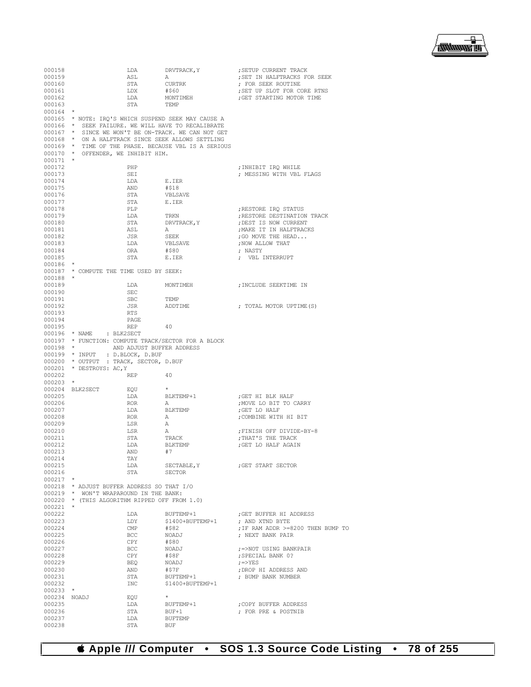▕<del>▓▓▓▓</del>▊

| 000158               |                                               | LDA                     | DRVTRACK, Y                                          | SETUP CURRENT TRACK;                                  |
|----------------------|-----------------------------------------------|-------------------------|------------------------------------------------------|-------------------------------------------------------|
| 000159               |                                               | ASL                     | Α                                                    | ; SET IN HALFTRACKS FOR SEEK                          |
| 000160               |                                               | STA                     | CURTRK                                               | ; FOR SEEK ROUTINE                                    |
| 000161               |                                               | LDX                     | #\$60                                                | ; SET UP SLOT FOR CORE RTNS                           |
| 000162               |                                               | LDA                     | MONTIMEH                                             | GET STARTING MOTOR TIME                               |
| 000163<br>$000164$ * |                                               | STA                     | TEMP                                                 |                                                       |
|                      |                                               |                         | 000165 * NOTE: IRO'S WHICH SUSPEND SEEK MAY CAUSE A  |                                                       |
|                      |                                               |                         | 000166 * SEEK FAILURE. WE WILL HAVE TO RECALIBRATE   |                                                       |
|                      |                                               |                         | 000167 * SINCE WE WON'T BE ON-TRACK. WE CAN NOT GET  |                                                       |
|                      |                                               |                         | 000168 * ON A HALFTRACK SINCE SEEK ALLOWS SETTLING   |                                                       |
|                      |                                               |                         | 000169 * TIME OF THE PHASE. BECAUSE VBL IS A SERIOUS |                                                       |
|                      | 000170 * OFFENDER, WE INHIBIT HIM.            |                         |                                                      |                                                       |
| $000171$ *           |                                               |                         |                                                      |                                                       |
| 000172               |                                               | PHP                     |                                                      | ; INHIBIT IRQ WHILE                                   |
| 000173               |                                               | SEI                     |                                                      | : MESSING WITH VBL FLAGS                              |
| 000174               |                                               | LDA                     | E.IER                                                |                                                       |
| 000175               |                                               | AND                     | #\$18                                                |                                                       |
| 000176               |                                               | STA                     | VBLSAVE                                              |                                                       |
| 000177               |                                               | STA                     | E.IER                                                |                                                       |
| 000178               |                                               | PLP                     |                                                      | ; RESTORE IRQ STATUS                                  |
| 000179               |                                               | LDA                     | TRKN                                                 | ; RESTORE DESTINATION TRACK                           |
| 000180               |                                               | STA                     |                                                      | ; DEST IS NOW CURRENT                                 |
| 000181               |                                               | ASL                     | DRVTRACK, Y<br>A                                     | ; MAKE IT IN HALFTRACKS                               |
| 000182               |                                               | JSR                     | SEEK                                                 | ; GO MOVE THE HEAD                                    |
| 000183               |                                               | LDA                     | VBLSAVE                                              | ; NOW ALLOW THAT                                      |
| 000184               |                                               | ORA                     | #\$80                                                | ; NASTY                                               |
| 000185               |                                               | STA                     | E.IER                                                | ; VBL INTERRUPT                                       |
| 000186 *             |                                               |                         |                                                      |                                                       |
|                      | 000187 * COMPUTE THE TIME USED BY SEEK:       |                         |                                                      |                                                       |
| $000188$ *           |                                               |                         |                                                      |                                                       |
| 000189               |                                               | LDA                     | MONTIMEH                                             | ; INCLUDE SEEKTIME IN                                 |
| 000190               |                                               | SEC                     |                                                      |                                                       |
| 000191               |                                               | SBC                     | TEMP                                                 |                                                       |
| 000192               |                                               | JSR                     | ADDTIME                                              | ; TOTAL MOTOR UPTIME (S)                              |
| 000193               |                                               | RTS                     |                                                      |                                                       |
| 000194               |                                               | PAGE                    |                                                      |                                                       |
| 000195               |                                               | <b>REP</b>              | 40                                                   |                                                       |
|                      | 000196 * NAME : BLK2SECT                      |                         |                                                      |                                                       |
|                      |                                               |                         | 000197 * FUNCTION: COMPUTE TRACK/SECTOR FOR A BLOCK  |                                                       |
| $000198$ *           |                                               |                         | AND ADJUST BUFFER ADDRESS                            |                                                       |
|                      | 000199 * INPUT : D.BLOCK, D.BUF               |                         |                                                      |                                                       |
|                      | 000200 * OUTPUT : TRACK, SECTOR, D.BUF        |                         |                                                      |                                                       |
|                      | 000201 * DESTROYS: AC, Y                      |                         |                                                      |                                                       |
| 000202               |                                               | REP                     | 40                                                   |                                                       |
| $000203$ *           |                                               |                         |                                                      |                                                       |
|                      | 000204 BLK2SECT                               | EQU                     | $\star$                                              |                                                       |
| 000205               |                                               | LDA                     | BLKTEMP+1                                            | GET HI BLK HALF                                       |
| 000206               |                                               | ROR                     | A                                                    | ; MOVE LO BIT TO CARRY                                |
| 000207               |                                               | LDA                     | BLKTEMP                                              | ; GET LO HALF                                         |
| 000208               |                                               | ROR                     | A                                                    | ; COMBINE WITH HI BIT                                 |
| 000209               |                                               | LSR                     | A                                                    |                                                       |
| 000210               |                                               | LSR                     | A                                                    | FINISH OFF DIVIDE-BY-8                                |
| 000211               |                                               | STA                     | TRACK                                                | ; THAT'S THE TRACK                                    |
| 000212               |                                               | LDA                     | <b>BLKTEMP</b>                                       | ; GET LO HALF AGAIN                                   |
| 000213               |                                               | AND                     | #7                                                   |                                                       |
| 000214               |                                               | TAY                     |                                                      |                                                       |
| 000215               |                                               | LDA                     | SECTABLE, Y FOR START SECTOR                         |                                                       |
| 000216               |                                               | STA                     | SECTOR                                               |                                                       |
| $000217$ *           |                                               |                         |                                                      |                                                       |
|                      | 000218 * ADJUST BUFFER ADDRESS SO THAT I/O    |                         |                                                      |                                                       |
|                      | 000219 * WON'T WRAPAROUND IN THE BANK:        |                         |                                                      |                                                       |
|                      | 000220 * (THIS ALGORITHM RIPPED OFF FROM 1.0) |                         |                                                      |                                                       |
| $000221$ *           |                                               |                         |                                                      |                                                       |
| 000222<br>000223     |                                               | LDA                     | BUFTEMP+1<br>\$1400+BUFTEMP+1                        | ; GET BUFFER HI ADDRESS                               |
| 000224               |                                               | LDY                     |                                                      | ; AND XTND BYTE                                       |
| 000225               |                                               | $\mathop{\mathrm{CMP}}$ | #\$82                                                | ; IF RAM ADDR >=8200 THEN BUMP TO<br>; NEXT BANK PAIR |
| 000226               |                                               | BCC<br>CPY              | NOADJ<br>#\$80                                       |                                                       |
| 000227               |                                               | BCC                     | NOADJ                                                | ;=>NOT USING BANKPAIR                                 |
| 000228               |                                               | CPY                     | #\$8F                                                | ; SPECIAL BANK 0?                                     |
| 000229               |                                               | BEQ                     | NOADJ                                                | $;=\gt;$ YES                                          |
| 000230               |                                               | AND                     | #\$7F                                                | ; DROP HI ADDRESS AND                                 |
| 000231               |                                               | STA                     | BUFTEMP+1                                            | ; BUMP BANK NUMBER                                    |
| 000232               |                                               | INC                     | \$1400+BUFTEMP+1                                     |                                                       |
| $000233$ *           |                                               |                         |                                                      |                                                       |
| 000234 NOADJ         |                                               | EQU                     | $\star$                                              |                                                       |
| 000235               |                                               | LDA                     | BUFTEMP+1                                            | ; COPY BUFFER ADDRESS                                 |
| 000236               |                                               | STA                     | BUF+1                                                | ; FOR PRE & POSTNIB                                   |
| 000237               |                                               | LDA                     | BUFTEMP                                              |                                                       |
| 000238               |                                               | STA                     | BUF                                                  |                                                       |
|                      |                                               |                         |                                                      |                                                       |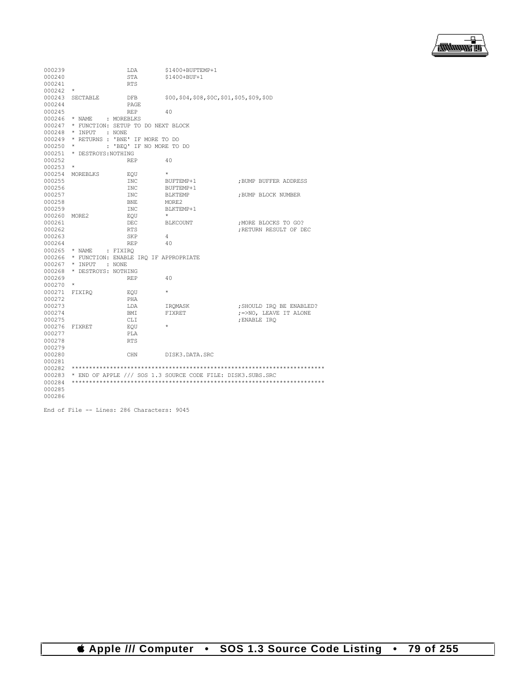

| 000239 |                     | LDA                                   | \$1400+BUFTEMP+1                                            |                          |
|--------|---------------------|---------------------------------------|-------------------------------------------------------------|--------------------------|
| 000240 |                     | STA                                   | $$1400+$ BUF+1                                              |                          |
| 000241 |                     | <b>RTS</b>                            |                                                             |                          |
| 000242 | $^{\star}$          |                                       |                                                             |                          |
| 000243 | SECTABLE            | DFB                                   | \$00, \$04, \$08, \$0C, \$01, \$05, \$09, \$0D              |                          |
| 000244 |                     | PAGE                                  |                                                             |                          |
| 000245 |                     | <b>REP</b>                            | 40                                                          |                          |
| 000246 | * NAME              | : MOREBLKS                            |                                                             |                          |
| 000247 |                     | * FUNCTION: SETUP TO DO NEXT BLOCK    |                                                             |                          |
| 000248 | * INPUT             | : NONE                                |                                                             |                          |
| 000249 |                     | * RETURNS : 'BNE' IF MORE TO DO       |                                                             |                          |
| 000250 |                     | : 'BEQ' IF NO MORE TO DO              |                                                             |                          |
| 000251 | * DESTROYS: NOTHING |                                       |                                                             |                          |
| 000252 |                     | <b>REP</b>                            | 40                                                          |                          |
| 000253 | $\star$             |                                       |                                                             |                          |
| 000254 | MOREBLKS            | EOU                                   | $\star$                                                     |                          |
| 000255 |                     | <b>INC</b>                            | BUFTEMP+1                                                   | ; BUMP BUFFER ADDRESS    |
| 000256 |                     | <b>INC</b>                            | BUFTEMP+1                                                   |                          |
| 000257 |                     | <b>INC</b>                            | <b>BLKTEMP</b>                                              | ; BUMP BLOCK NUMBER      |
| 000258 |                     | <b>BNE</b>                            | MORE2                                                       |                          |
| 000259 |                     | <b>INC</b>                            | BLKTEMP+1                                                   |                          |
| 000260 | MORE <sub>2</sub>   | EOU                                   | $\star$                                                     |                          |
| 000261 |                     | DEC                                   | <b>BLKCOUNT</b>                                             | ; MORE BLOCKS TO GO?     |
| 000262 |                     | <b>RTS</b>                            |                                                             | : RETURN RESULT OF DEC   |
| 000263 |                     | SKP                                   | 4                                                           |                          |
| 000264 |                     | <b>REP</b>                            | 40                                                          |                          |
| 000265 | * NAME              | : FIXIRQ                              |                                                             |                          |
| 000266 |                     | * FUNCTION: ENABLE IRO IF APPROPRIATE |                                                             |                          |
| 000267 | * INPUT             | : NONE                                |                                                             |                          |
| 000268 | * DESTROYS: NOTHING |                                       |                                                             |                          |
| 000269 |                     | <b>REP</b>                            | 40                                                          |                          |
| 000270 | $\star$             |                                       |                                                             |                          |
| 000271 | FIXIRO              | EOU                                   | $\star$                                                     |                          |
| 000272 |                     | PHA                                   |                                                             |                          |
| 000273 |                     | LDA                                   | IROMASK                                                     | ; SHOULD IRO BE ENABLED? |
| 000274 |                     | BMI                                   | FIXRET                                                      | ; =>NO, LEAVE IT ALONE   |
| 000275 |                     | CLI.                                  |                                                             | ; ENABLE IRO             |
| 000276 | FIXRET              | EOU                                   | $\star$                                                     |                          |
| 000277 |                     | PLA                                   |                                                             |                          |
| 000278 |                     | <b>RTS</b>                            |                                                             |                          |
| 000279 |                     |                                       |                                                             |                          |
| 000280 |                     | CHN                                   | DISK3.DATA.SRC                                              |                          |
| 000281 |                     |                                       |                                                             |                          |
| 000282 |                     |                                       |                                                             |                          |
| 000283 |                     |                                       | * END OF APPLE /// SOS 1.3 SOURCE CODE FILE: DISK3.SUBS.SRC |                          |
| 000284 |                     |                                       |                                                             |                          |
| 000285 |                     |                                       |                                                             |                          |
| 000286 |                     |                                       |                                                             |                          |

End of File -- Lines: 286 Characters: 9045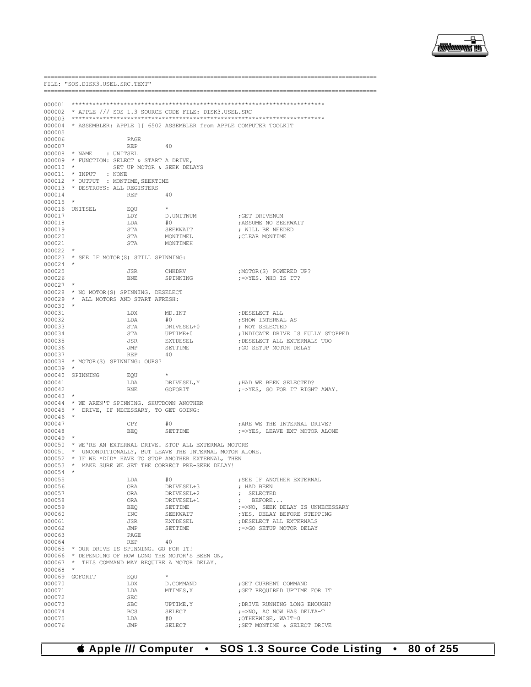

FILE: "SOS.DISK3.USEL.SRC.TEXT" 000002 \* APPLE /// SOS 1.3 SOURCE CODE FILE: DISK3.USEL.SRC  $000003$ 000004 \* ASSEMBLER: APPLE ] [ 6502 ASSEMBLER from APPLE COMPUTER TOOLKIT 000005 000006 **PAGE** 000007  $\ensuremath{\mathsf{REP}}$ 40  $^\star$  NAME : UNITSEL 000008 000009 \* FUNCTION: SELECT & START A DRIVE, 000010  $\sim$ SET UP MOTOR & SEEK DELAYS 000011 \* INPUT : NONE 000012 \* OUTPUT : MONTIME, SEEKTIME 000013 \* DESTROYS: ALL REGISTERS 000014 **REP**  $40$ 000015 000016 UNITSEL EQU  $\ddot{\phantom{1}}$ D.UNITNUM 000017 ; GET DRIVENUM LDY LDA 000018  $#0$ ; ASSUME NO SEEKWAIT STA ; WILL BE NEEDED 000019 SEEKWAIT 000020 MONTTMEL : CLEAR MONTIME **STA** 000021 STA MONTIMEH  $000022$  \* 000023 \* SEE IF MOTOR(S) STILL SPINNING: 000024 000025 **JSR** CHKDRV : MOTOR (S) POWERED UP? 000026 BNE. SPINNING ;=>YES, WHO IS IT? 000027 \* NO MOTOR(S) SPINNING. DESELECT 000028  $^\star$  ALL MOTORS AND START AFRESH: 000029 000030 000031 **T.DX** MD.INT : DESELECT ALL 000032 LDA  $#0$ ; SHOW INTERNAL AS ; NOT SELECTED DRIVESEL+0 000033  $STA$ 000034 STA UPTIME+0 ; INDICATE DRIVE IS FULLY STOPPED 000035 **JSR** EXTDESEL ; DESELECT ALL EXTERNALS TOO  $000036$ TMP. **SETTIME** : GO SETUP MOTOR DELAY 000037  $\ensuremath{\mathsf{REF}}$ 40 000038 \* MOTOR(S) SPINNING: OURS?  $000039$  \* 000040 SPINNING EOU DRIVESEL, Y 000041 ; HAD WE BEEN SELECTED? LDA 000042 BNF. GOFORIT ; = > YES, GO FOR IT RIGHT AWAY. 000043 000044 \* WE AREN'T SPINNING. SHUTDOWN ANOTHER 000045 \* DRIVE, IF NECESSARY, TO GET GOING: 000046 000047 ; ARE WE THE INTERNAL DRIVE? CPY  $#0$ SETTIME 000048 **BEO**  $\mu$  =>YES, LEAVE EXT MOTOR ALONE 000049 000050 \* WE'RE AN EXTERNAL DRIVE. STOP ALL EXTERNAL MOTORS 000051 \* UNCONDITIONALLY, BUT LEAVE THE INTERNAL MOTOR ALONE. \* IF WE \*DID\* HAVE TO STOP ANOTHER EXTERNAL, THEN 000052 \* MAKE SURE WE SET THE CORRECT PRE-SEEK DELAY! 000053 000054 000055 LDA : SEE IF ANOTHER EXTERNAL  $#0$ ; HAD BEEN 000056 ORA DRIVESEL+3 000057 ORA DRTVESEL+2 ; SELECTED 000058 ORA DRIVESEL+1 BEFORE...  $\mathbf{r}$  $\mathit{:=} > \text{NO}$  , SEEK DELAY IS UNNECESSARY 000059 **BEO** SETTIME SEEKWATT ; YES, DELAY BEFORE STEPPING  $000060$ **TNC** 000061 **JSR** EXTDESEL : DESELECT ALL EXTERNALS 000062 **JMP SETTIME** ; =>GO SETUP MOTOR DELAY 000063 **PAGE** 000064 **REP**  $40$ 000065 \* OUR DRIVE IS SPINNING. GO FOR IT! \* DEPENDING OF HOW LONG THE MOTOR'S BEEN ON, 000066 000067 \* THIS COMMAND MAY REQUIRE A MOTOR DELAY. 000068 000069 GOFORTT **F.OU** 000070 LDX D.COMMAND ; GET CURRENT COMMAND 000071 LDA MTIMES, X ; GET REQUIRED UPTIME FOR IT 000072 **SEC** 000073 **SBC** UPTIME.Y ; DRIVE RUNNING LONG ENOUGH? 000074 **BCS**  ${\tt SELECT}$  $\mathit{:=} > \mathrm{NO}$  , AC NOW HAS DELTA-T 000075 T.DA  $#0$ ; OTHERWISE, WAIT=0 000076 JMP SELECT ; SET MONTIME & SELECT DRIVE

#### **4 Apple /// Computer** SOS 1.3 Source Code Listing 80 of 255  $\bullet$  $\bullet$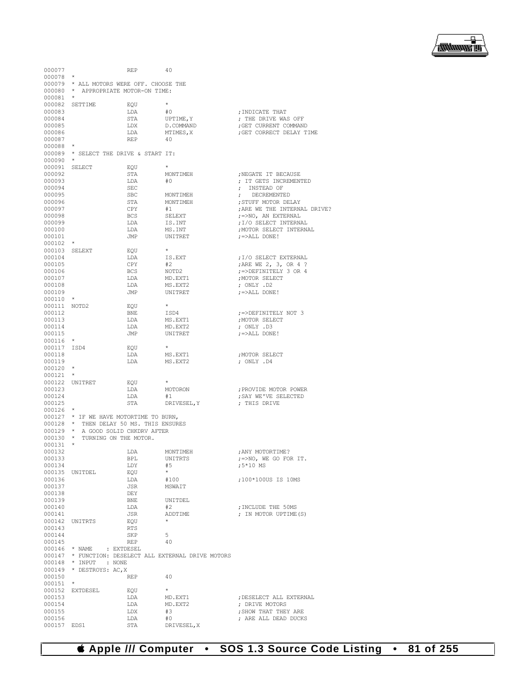

| 000077           |                          | <b>REP</b>                               | 40                                                    |                              |
|------------------|--------------------------|------------------------------------------|-------------------------------------------------------|------------------------------|
| 000078           | $\star$                  |                                          |                                                       |                              |
|                  |                          | 000079 * ALL MOTORS WERE OFF. CHOOSE THE |                                                       |                              |
|                  |                          |                                          |                                                       |                              |
|                  |                          | 000080 * APPROPRIATE MOTOR-ON TIME:      |                                                       |                              |
| 000081           | $\star$                  |                                          |                                                       |                              |
|                  | 000082 SETTIME           | EOU                                      | $^{\star}$                                            |                              |
| 000083           |                          | LDA                                      | #0                                                    | ; INDICATE THAT              |
| 000084           |                          | STA                                      | UPTIME, Y                                             | : THE DRIVE WAS OFF          |
| 000085           |                          | LDX                                      | D.COMMAND                                             | ; GET CURRENT COMMAND        |
| 000086           |                          | LDA                                      | MTIMES, X                                             | ; GET CORRECT DELAY TIME     |
| 000087           |                          | <b>REP</b>                               | 40                                                    |                              |
|                  | $\star$                  |                                          |                                                       |                              |
| 000088           |                          |                                          |                                                       |                              |
|                  |                          | 000089 * SELECT THE DRIVE & START IT:    |                                                       |                              |
| 000090           | $\star$                  |                                          |                                                       |                              |
|                  | 000091 SELECT            | EQU                                      |                                                       |                              |
| 000092           |                          | STA                                      | MONTIMEH                                              | ; NEGATE IT BECAUSE          |
| 000093           |                          | LDA                                      | #0                                                    | ; IT GETS INCREMENTED        |
| 000094           |                          | <b>SEC</b>                               |                                                       | ; INSTEAD OF                 |
| 000095           |                          | <b>SBC</b>                               | MONTIMEH                                              | ; DECREMENTED                |
| 000096           |                          | STA                                      | MONTIMEH                                              | ; STUFF MOTOR DELAY          |
|                  |                          |                                          |                                                       |                              |
| 000097           |                          | CPY                                      | #1                                                    | ; ARE WE THE INTERNAL DRIVE? |
| 000098           |                          | <b>BCS</b>                               | SELEXT                                                | ;=>NO, AN EXTERNAL           |
| 000099           |                          | LDA                                      | IS.INT                                                | ; I/O SELECT INTERNAL        |
| 000100           |                          | LDA                                      | MS.INT                                                | ; MOTOR SELECT INTERNAL      |
| 000101           |                          | JMP                                      | UNITRET                                               | $; =>$ ALL DONE!             |
| $000102$ *       |                          |                                          |                                                       |                              |
| 000103 SELEXT    |                          | EQU                                      | $\star$                                               |                              |
| 000104           |                          | LDA                                      | IS.EXT                                                | ; I/O SELECT EXTERNAL        |
| 000105           |                          |                                          |                                                       |                              |
|                  |                          | CPY                                      | #2                                                    | ; ARE WE 2, 3, OR 4 ?        |
| 000106           |                          | <b>BCS</b>                               | NOTD2                                                 | :=>DEFINITELY 3 OR 4         |
| 000107           |                          | LDA                                      | MD.EXT1                                               | ; MOTOR SELECT               |
| 000108           |                          | LDA                                      | MS.EXT2                                               | ; ONLY .D2                   |
| 000109           |                          | JMP                                      | UNITRET                                               | $; =>$ ALL DONE!             |
| 000110           | $\star$                  |                                          |                                                       |                              |
| 000111 NOTD2     |                          | EOU                                      | $\star$                                               |                              |
| 000112           |                          | <b>BNE</b>                               | ISD4                                                  | :=>DEFINITELY NOT 3          |
| 000113           |                          | LDA                                      |                                                       |                              |
|                  |                          |                                          | MS.EXT1                                               | ; MOTOR SELECT               |
| 000114           |                          | LDA                                      | MD.EXT2                                               | ; ONLY .D3                   |
| 000115           |                          | JMP                                      | UNITRET                                               | $; =>$ ALL DONE!             |
| 000116           | $\star$                  |                                          |                                                       |                              |
| 000117 ISD4      |                          | EOU                                      | $\star$                                               |                              |
| 000118           |                          | LDA                                      | MS.EXT1                                               | ; MOTOR SELECT               |
| 000119           |                          | LDA                                      | MS.EXT2                                               | ; ONLY .D4                   |
| 000120           | $\star$                  |                                          |                                                       |                              |
|                  | $\star$                  |                                          |                                                       |                              |
| 000121           |                          |                                          |                                                       |                              |
|                  | 000122 UNITRET           | EQU                                      |                                                       |                              |
| 000123           |                          | LDA                                      | MOTORON                                               | ; PROVIDE MOTOR POWER        |
| 000124           |                          | LDA                                      | #1                                                    | ; SAY WE'VE SELECTED         |
| 000125           |                          | STA                                      | DRIVESEL, Y                                           | ; THIS DRIVE                 |
| 000126           | $\star$                  |                                          |                                                       |                              |
|                  |                          | 000127 * IF WE HAVE MOTORTIME TO BURN,   |                                                       |                              |
|                  |                          | 000128 * THEN DELAY 50 MS. THIS ENSURES  |                                                       |                              |
|                  |                          | 000129 * A GOOD SOLID CHKDRV AFTER       |                                                       |                              |
|                  |                          |                                          |                                                       |                              |
|                  |                          | 000130 * TURNING ON THE MOTOR.           |                                                       |                              |
| 000131           | $\qquad \, \star$        |                                          |                                                       |                              |
| 000132           |                          | LDA                                      | MONTIMEH                                              | ; ANY MOTORTIME?             |
| 000133           |                          | BPL                                      | UNITRTS                                               | ;=>NO, WE GO FOR IT.         |
| 000134           |                          | LDY                                      | #5                                                    | ;5*10 MS                     |
|                  | 000135 UNITDEL           | EOU                                      | $\star$                                               |                              |
| 000136           |                          | LDA                                      | #100                                                  | :100*100US IS 10MS           |
| 000137           |                          | JSR                                      | MSWAIT                                                |                              |
|                  |                          |                                          |                                                       |                              |
| 000138           |                          | DEY                                      |                                                       |                              |
| 000139           |                          | BNE                                      | UNITDEL                                               |                              |
| 000140           |                          | LDA                                      | #2                                                    | ; INCLUDE THE 50MS           |
| 000141           |                          | JSR                                      | ADDTIME                                               | ; IN MOTOR UPTIME (S)        |
|                  | 000142 UNITRTS           | EQU                                      | $\star$                                               |                              |
| 000143           |                          | RTS                                      |                                                       |                              |
| 000144           |                          | SKP                                      | 5                                                     |                              |
| 000145           |                          | REP                                      | 40                                                    |                              |
|                  | 000146 * NAME            | : EXTDESEL                               |                                                       |                              |
|                  |                          |                                          |                                                       |                              |
|                  |                          |                                          | 000147 * FUNCTION: DESELECT ALL EXTERNAL DRIVE MOTORS |                              |
| 000148           | * INPUT                  | : NONE                                   |                                                       |                              |
|                  | 000149 * DESTROYS: AC, X |                                          |                                                       |                              |
| 000150           |                          | REP                                      | 40                                                    |                              |
| 000151           | $\star$                  |                                          |                                                       |                              |
|                  | 000152 EXTDESEL          | EQU                                      | $\star$                                               |                              |
| 000153           |                          | LDA                                      | MD.EXT1                                               | ; DESELECT ALL EXTERNAL      |
| 000154           |                          | LDA                                      | MD.EXT2                                               | ; DRIVE MOTORS               |
| 000155           |                          | LDX                                      | #3                                                    | ; SHOW THAT THEY ARE         |
|                  |                          |                                          |                                                       |                              |
|                  |                          |                                          |                                                       |                              |
| 000156<br>000157 | EDS1                     | LDA<br>STA                               | #0<br>DRIVESEL, X                                     | ; ARE ALL DEAD DUCKS         |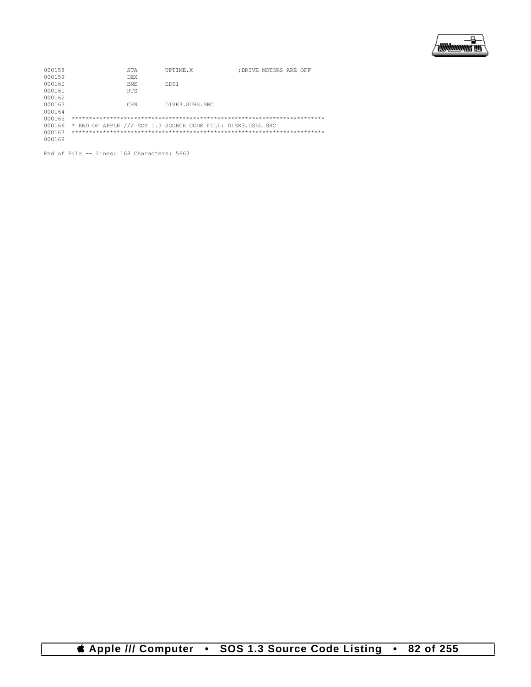

| 000158 | STA                                                         | UPTIME.X       | DRIVE MOTORS ARE OFF: |
|--------|-------------------------------------------------------------|----------------|-----------------------|
| 000159 | <b>DEX</b>                                                  |                |                       |
| 000160 | BNE.                                                        | EDS1           |                       |
| 000161 | RTS.                                                        |                |                       |
| 000162 |                                                             |                |                       |
| 000163 | CHN                                                         | DISK3.SUBS.SRC |                       |
| 000164 |                                                             |                |                       |
| 000165 |                                                             |                |                       |
| 000166 | * END OF APPLE /// SOS 1.3 SOURCE CODE FILE: DISK3.USEL.SRC |                |                       |
| 000167 |                                                             |                |                       |
| 000168 |                                                             |                |                       |
|        |                                                             |                |                       |

End of File -- Lines: 168 Characters: 5663

*CApple III Computer* • SOS 1.3 Source Code Listing • 82 of 255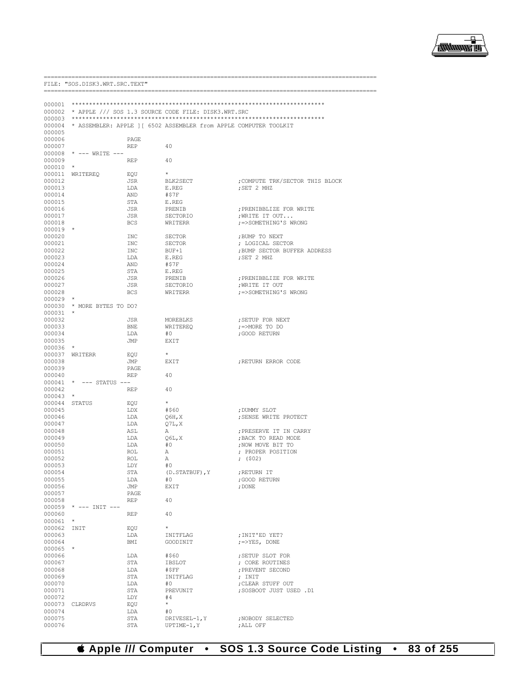

--------------

|                  | FILE: "SOS.DISK3.WRT.SRC.TEXT" |                    |                                                                   |                                                  |  |
|------------------|--------------------------------|--------------------|-------------------------------------------------------------------|--------------------------------------------------|--|
|                  |                                |                    |                                                                   |                                                  |  |
| 000001           |                                |                    |                                                                   |                                                  |  |
| 000002           |                                |                    | * APPLE /// SOS 1.3 SOURCE CODE FILE: DISK3.WRT.SRC               |                                                  |  |
| 000003           |                                |                    |                                                                   |                                                  |  |
| 000004           |                                |                    | * ASSEMBLER: APPLE 1 [ 6502 ASSEMBLER from APPLE COMPUTER TOOLKIT |                                                  |  |
| 000005           |                                |                    |                                                                   |                                                  |  |
| 000006<br>000007 |                                | PAGE<br><b>REP</b> | 40                                                                |                                                  |  |
| 000008           | * --- WRITE ---                |                    |                                                                   |                                                  |  |
| 000009           |                                | <b>REP</b>         | 40                                                                |                                                  |  |
| 000010           | $\star$                        |                    |                                                                   |                                                  |  |
| 000011           | WRITEREQ                       | EQU                | $^{\star}$                                                        |                                                  |  |
| 000012           |                                | JSR                | BLK2SECT                                                          | COMPUTE TRK/SECTOR THIS BLOCK;                   |  |
| 000013<br>000014 |                                | LDA<br>AND         | E.REG<br>#\$7F                                                    | ; SET 2 MHZ                                      |  |
| 000015           |                                | STA                | E.REG                                                             |                                                  |  |
| 000016           |                                | JSR                | PRENIB                                                            | ; PRENIBBLIZE FOR WRITE                          |  |
| 000017           |                                | JSR                | SECTORIO                                                          | ; WRITE IT OUT                                   |  |
| 000018           |                                | <b>BCS</b>         | WRITERR                                                           | ; =>SOMETHING'S WRONG                            |  |
| 000019           | $\star$                        |                    |                                                                   |                                                  |  |
| 000020           |                                | INC                | <b>SECTOR</b>                                                     | ; BUMP TO NEXT                                   |  |
| 000021<br>000022 |                                | INC<br>INC         | <b>SECTOR</b><br>BUF+1                                            | ; LOGICAL SECTOR<br>; BUMP SECTOR BUFFER ADDRESS |  |
| 000023           |                                | LDA                | E.REG                                                             | ; SET 2 MHZ                                      |  |
| 000024           |                                | AND                | #\$7F                                                             |                                                  |  |
| 000025           |                                | STA                | E.REG                                                             |                                                  |  |
| 000026           |                                | JSR                | PRENIB                                                            | ; PRENIBBLIZE FOR WRITE                          |  |
| 000027           |                                | JSR                | SECTORIO                                                          | , WRITE IT OUT<br>; =>SOMETHING'S WRONG          |  |
| 000028<br>000029 | $\ast$                         | <b>BCS</b>         | WRITERR                                                           |                                                  |  |
| 000030           | * MORE BYTES TO DO?            |                    |                                                                   |                                                  |  |
| 000031           |                                |                    |                                                                   |                                                  |  |
| 000032           |                                | JSR                | MOREBLKS                                                          | ; SETUP FOR NEXT                                 |  |
| 000033           |                                | <b>BNE</b>         | WRITEREO                                                          | $\div$ =>MORE TO DO                              |  |
| 000034           |                                | LDA                | #0                                                                | ; GOOD RETURN                                    |  |
| 000035<br>000036 | $\star$                        | JMP                | EXIT                                                              |                                                  |  |
| 000037           | WRITERR                        | EQU                | $^{\star}$                                                        |                                                  |  |
| 000038           |                                | JMP                | EXIT                                                              | ; RETURN ERROR CODE                              |  |
| 000039           |                                | PAGE               |                                                                   |                                                  |  |
| 000040           |                                | <b>REP</b>         | 40                                                                |                                                  |  |
| 000041<br>000042 | * --- STATUS ---               | <b>REP</b>         | 40                                                                |                                                  |  |
| 000043           | $\star$                        |                    |                                                                   |                                                  |  |
| 000044           | STATUS                         | EQU                | $\star$                                                           |                                                  |  |
| 000045           |                                | LDX                | #\$60                                                             | ; DUMMY SLOT                                     |  |
| 000046           |                                | LDA                | $Q6H$ , X                                                         | ; SENSE WRITE PROTECT                            |  |
| 000047<br>000048 |                                | LDA<br>ASL         | Q7L, X<br>Α                                                       | : PRESERVE IT IN CARRY                           |  |
| 000049           |                                | LDA                | 06L, X                                                            | ; BACK TO READ MODE                              |  |
| 000050           |                                | LDA                | #0                                                                | ; NOW MOVE BIT TO                                |  |
| 000051           |                                | ROL                | Α                                                                 | : PROPER POSITION                                |  |
| 000052           |                                | <b>ROL</b>         | Α                                                                 | ; $(502)$                                        |  |
| 000053           |                                | LDY                | #0                                                                |                                                  |  |
| 000054           |                                | STA                | (D. STATBUF), Y                                                   | ; RETURN IT                                      |  |
| 000055<br>000056 |                                | LDA<br>JMP         | #0<br><b>EXIT</b>                                                 | ; GOOD RETURN<br>; DONE                          |  |
| 000057           |                                | PAGE               |                                                                   |                                                  |  |
| 000058           |                                | <b>REP</b>         | 40                                                                |                                                  |  |
| 000059           | $*$ --- INIT ---               |                    |                                                                   |                                                  |  |
| 000060           |                                | <b>REP</b>         | 40                                                                |                                                  |  |
| 000061<br>000062 | $^{\star}$<br>INIT             | EQU                | $\star$                                                           |                                                  |  |
| 000063           |                                | LDA                | INITFLAG                                                          | ; INIT'ED YET?                                   |  |
| 000064           |                                | BMI                | GOODINIT                                                          | $\gamma = > YES,$ DONE                           |  |
| 000065           | $\star$                        |                    |                                                                   |                                                  |  |
| 000066           |                                | LDA                | #\$60                                                             | ; SETUP SLOT FOR                                 |  |
| 000067           |                                | STA                | IBSLOT                                                            | ; CORE ROUTINES                                  |  |
| 000068<br>000069 |                                | LDA<br>STA         | #\$FF<br>INITFLAG                                                 | ; PREVENT SECOND<br>; INIT                       |  |
| 000070           |                                | LDA                | #0                                                                | ; CLEAR STUFF OUT                                |  |
| 000071           |                                | STA                | PREVUNIT                                                          | OSBOOT JUST USED .D1                             |  |
| 000072           |                                | LDY                | #4                                                                |                                                  |  |
| 000073           | CLRDRVS                        | EQU                | $\star$                                                           |                                                  |  |
| 000074<br>000075 |                                | LDA<br>STA         | #0                                                                |                                                  |  |
| 000076           |                                | STA                | DRIVESEL-1, Y<br>$UPTIME-1, Y$                                    | ; NOBODY SELECTED<br>; ALL OFF                   |  |

### **& Apple /// Computer · SOS 1.3 Source Code Listing · 83 of 255**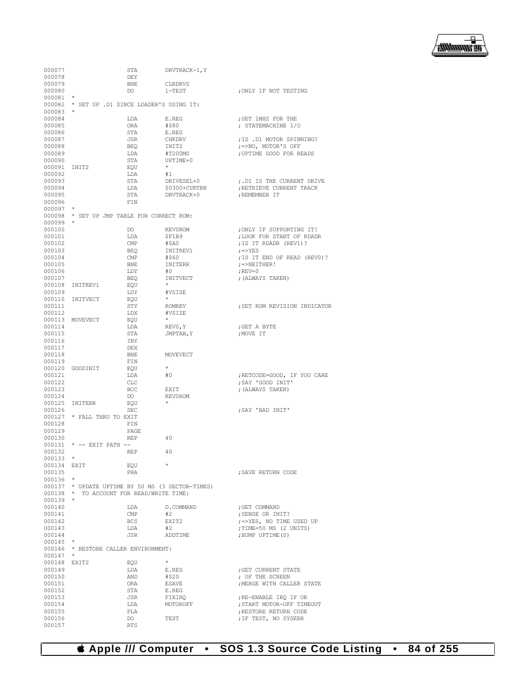

| 000077                    |                                                  | STA               | DRVTRACK-1, Y      |                                                    |
|---------------------------|--------------------------------------------------|-------------------|--------------------|----------------------------------------------------|
| 000078                    |                                                  | DEY               |                    |                                                    |
| 000079                    |                                                  | <b>BNE</b>        | CLRDRVS            |                                                    |
| 000080                    |                                                  | DO                | $1 - TEST$         | ; ONLY IF NOT TESTING                              |
| 000081                    | $^\star$                                         |                   |                    |                                                    |
| 000083                    | 000082 * SET UP .D1 SINCE LOADER'S USING IT:     |                   |                    |                                                    |
| 000084                    |                                                  | LDA               | E.REG              | ; SET 1MHZ FOR THE                                 |
| 000085                    |                                                  | ORA               | #\$80              | ; STATEMACHINE I/O                                 |
| 000086                    |                                                  | STA               | E.REG              |                                                    |
| 000087                    |                                                  | JSR               | CHKDRV             | ; IS .D1 MOTOR SPINNING?                           |
| 000088                    |                                                  | BEQ               | INIT2              | ;=>NO, MOTOR'S OFF                                 |
| 000089                    |                                                  | LDA               | #T200MS            | ; UPTIME GOOD FOR READS                            |
| 000090                    |                                                  | STA               | $IJPTTMF+0$        |                                                    |
| 000091                    | INIT2                                            | EQU               | $\star$            |                                                    |
| 000092<br>000093          |                                                  | LDA<br>STA        | #1<br>DRIVESEL+0   | ; .D1 IS THE CURRENT DRIVE                         |
| 000094                    |                                                  | LDA               | \$0300+CURTRK      | ; RETRIEVE CURRENT TRACK                           |
| 000095                    |                                                  | STA               | DRVTRACK+0         | ; REMEMBER IT                                      |
| 000096                    |                                                  | FIN               |                    |                                                    |
| 000097                    |                                                  |                   |                    |                                                    |
|                           | 000098 * SET UP JMP TABLE FOR CORRECT ROM:       |                   |                    |                                                    |
| 000099                    |                                                  |                   |                    |                                                    |
| 000100                    |                                                  | DO                | <b>REVOROM</b>     | ; ONLY IF SUPPORTING IT!                           |
| 000101<br>000102          |                                                  | LDA<br>CMP        | \$F1B9<br>#\$A0    | ; LOOK FOR START OF RDADR<br>; IS IT RDADR (REV1)? |
| 000103                    |                                                  | <b>BEQ</b>        | INITREV1           | $\gamma = > YES$                                   |
| 000104                    |                                                  | CMP               | #\$60              | ; IS IT END OF READ (REVO)?                        |
| 000105                    |                                                  | <b>BNE</b>        | INITERR            | $; =$ $>$ NEITHER!                                 |
| 000106                    |                                                  | LDY               | #0                 | ; $REV = 0$                                        |
| 000107                    |                                                  | <b>BEQ</b>        | INITVECT           | ; (ALWAYS TAKEN)                                   |
|                           | 000108 INITREV1                                  | EQU               | $\star$            |                                                    |
| 000109                    |                                                  | LDY               | #VSIZE             |                                                    |
|                           | 000110 INITVECT                                  | EQU               | $^{\star}$         |                                                    |
| 000111<br>000112          |                                                  | STY               | ROMREV             | ; SET ROM REVISION INDICATOR                       |
|                           | 000113 MOVEVECT                                  | LDX<br>EQU        | #VSIZE<br>$\star$  |                                                    |
| 000114                    |                                                  | LDA               | REVO, Y            | ; GET A BYTE                                       |
| 000115                    |                                                  | STA               | JMPTAB, Y          | ; MOVE IT                                          |
| 000116                    |                                                  | INY               |                    |                                                    |
| 000117                    |                                                  | DEX               |                    |                                                    |
| 000118                    |                                                  | BNE               | MOVEVECT           |                                                    |
| 000119                    |                                                  | FIN               |                    |                                                    |
|                           | 000120 GOODINIT                                  | EQU               | $\star$            |                                                    |
| 000121                    |                                                  | LDA               | #0                 | ; RETCODE=GOOD, IF YOU CARE                        |
| 000122                    |                                                  | CLC               |                    | ; SAY 'GOOD INIT'                                  |
| 000123<br>000124          |                                                  | <b>BCC</b><br>DO. | EXIT<br>REV0ROM    | ; (ALWAYS TAKEN)                                   |
|                           | 000125 INITERR                                   | EQU               |                    |                                                    |
| 000126                    |                                                  | SEC               |                    | ; SAY 'BAD INIT'                                   |
|                           | 000127 * FALL THRU TO EXIT                       |                   |                    |                                                    |
| 000128                    |                                                  | FIN               |                    |                                                    |
| 000129                    |                                                  | PAGE              |                    |                                                    |
| 000130                    |                                                  | REP               | 40                 |                                                    |
| 000131                    | * -- EXIT PATH --                                |                   |                    |                                                    |
| 000132                    |                                                  | <b>REP</b>        | 40                 |                                                    |
| $000133$ *<br>000134 EXIT |                                                  | EQU               | $\star$            |                                                    |
| 000135                    |                                                  | PHA               |                    | ; SAVE RETURN CODE                                 |
| $000136$ *                |                                                  |                   |                    |                                                    |
|                           | 000137 * UPDATE UPTIME BY 50 MS (3 SECTOR-TIMES) |                   |                    |                                                    |
|                           | 000138 * TO ACCOUNT FOR READ/WRITE TIME:         |                   |                    |                                                    |
| $000139$ *                |                                                  |                   |                    |                                                    |
| 000140                    |                                                  | LDA               | D.COMMAND          | ; GET COMMAND                                      |
| 000141                    |                                                  | CMP               | #2                 | ; SENSE OR INIT?                                   |
| 000142<br>000143          |                                                  | BCS               | EXIT2              | ;=>YES, NO TIME USED UP                            |
| 000144                    |                                                  | LDA<br>JSR        | #2<br>ADDTIME      | ;TIME=50 MS (2 UNITS)<br>; BUMP UPTIME (S)         |
| $000145$ *                |                                                  |                   |                    |                                                    |
|                           | 000146 * RESTORE CALLER ENVIRONMENT:             |                   |                    |                                                    |
| 000147                    | $\star$                                          |                   |                    |                                                    |
| 000148 EXIT2              |                                                  | EQU               | $\star$            |                                                    |
| 000149                    |                                                  | LDA               | E.REG              | GET CURRENT STATE;                                 |
| 000150                    |                                                  | AND               | #\$20              | ; OF THE SCREEN                                    |
| 000151                    |                                                  | ORA               | ESAVE              | ; MERGE WITH CALLER STATE                          |
| 000152                    |                                                  | STA               | E.REG              |                                                    |
| 000153<br>000154          |                                                  | JSR<br>LDA        | FIXIRO<br>MOTOROFF | ;RE-ENABLE IRQ IF OK<br>; START MOTOR-OFF TIMEOUT  |
| 000155                    |                                                  | PLA               |                    | ; RESTORE RETURN CODE                              |
| 000156                    |                                                  | DO.               | TEST               | ; IF TEST, NO SYSERR                               |
| 000157                    |                                                  | <b>RTS</b>        |                    |                                                    |
|                           |                                                  |                   |                    |                                                    |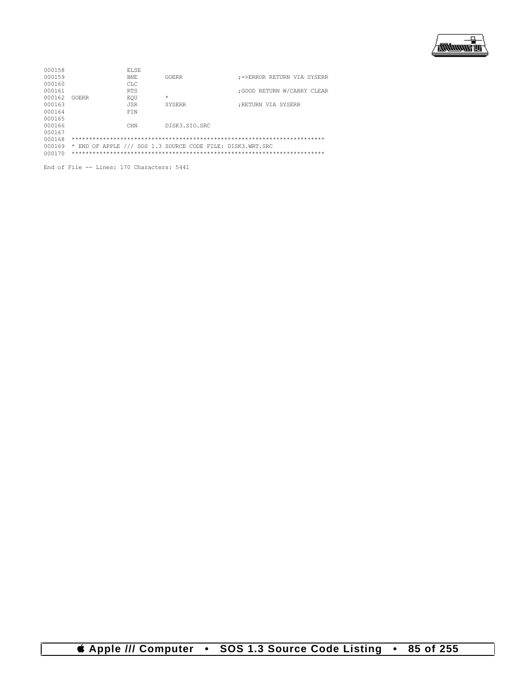

| 000158 |       | ELSE.      |                                                            |                             |
|--------|-------|------------|------------------------------------------------------------|-----------------------------|
| 000159 |       | BNF.       | GOERR                                                      | ;=>ERROR RETURN VIA SYSERR  |
| 000160 |       | CT.C       |                                                            |                             |
| 000161 |       | <b>RTS</b> |                                                            | : GOOD RETURN W/CARRY CLEAR |
| 000162 | GOERR | EOU        | $\star$                                                    |                             |
| 000163 |       | <b>JSR</b> | <b>SYSERR</b>                                              | :RETURN VIA SYSERR          |
| 000164 |       | FTN        |                                                            |                             |
| 000165 |       |            |                                                            |                             |
| 000166 |       | <b>CHN</b> | DISK3.STO.SRC                                              |                             |
| 000167 |       |            |                                                            |                             |
| 000168 |       |            |                                                            |                             |
| 000169 |       |            | * END OF APPLE /// SOS 1.3 SOURCE CODE FILE: DISK3.WRT.SRC |                             |
| 000170 |       |            |                                                            |                             |

End of File -- Lines: 170 Characters: 5441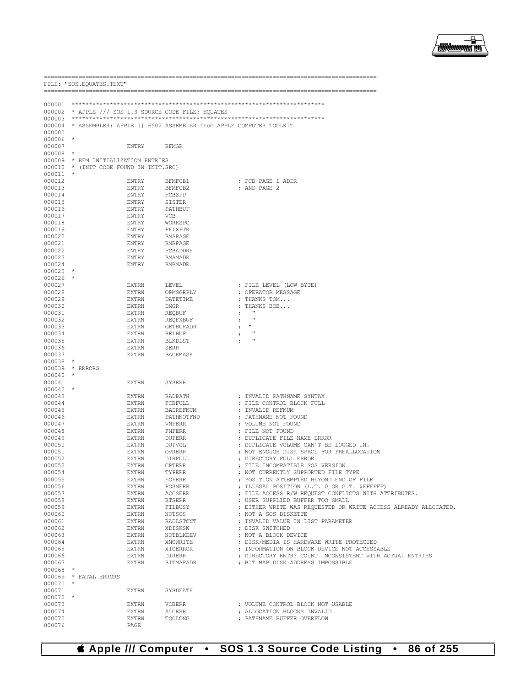000076

PAGE

|                      |         | FILE: "SOS. EQUATES. TEXT"      |                              |                                                                   |            |                                                                                               |
|----------------------|---------|---------------------------------|------------------------------|-------------------------------------------------------------------|------------|-----------------------------------------------------------------------------------------------|
|                      |         |                                 |                              |                                                                   |            |                                                                                               |
| 000001               |         |                                 |                              |                                                                   |            |                                                                                               |
| 000002               |         |                                 |                              | * APPLE /// SOS 1.3 SOURCE CODE FILE: EQUATES                     |            |                                                                                               |
| 000003               |         |                                 |                              |                                                                   |            |                                                                                               |
| 000004               |         |                                 |                              | * ASSEMBLER: APPLE ] [ 6502 ASSEMBLER from APPLE COMPUTER TOOLKIT |            |                                                                                               |
| 000005               |         |                                 |                              |                                                                   |            |                                                                                               |
| 000006<br>000007     |         |                                 | <b>ENTRY</b>                 | <b>BFMGR</b>                                                      |            |                                                                                               |
| 000008               | $\star$ |                                 |                              |                                                                   |            |                                                                                               |
| 000009               |         | * BFM INITIALIZATION ENTRIES    |                              |                                                                   |            |                                                                                               |
| 000010               |         | * (INIT CODE FOUND IN INIT.SRC) |                              |                                                                   |            |                                                                                               |
| 000011               |         |                                 |                              |                                                                   |            |                                                                                               |
| 000012<br>000013     |         |                                 | <b>ENTRY</b><br><b>ENTRY</b> | BFMFCB1<br>BFMFCB2                                                |            | ; FCB PAGE 1 ADDR<br>; AND PAGE 2                                                             |
| 000014               |         |                                 | <b>ENTRY</b>                 | FCBZPP                                                            |            |                                                                                               |
| 000015               |         |                                 | <b>ENTRY</b>                 | SISTER                                                            |            |                                                                                               |
| 000016               |         |                                 | <b>ENTRY</b>                 | PATHBUF                                                           |            |                                                                                               |
| 000017               |         |                                 | <b>ENTRY</b>                 | <b>VCB</b>                                                        |            |                                                                                               |
| 000018               |         |                                 | <b>ENTRY</b>                 | WORKSPC<br>PFIXPTR                                                |            |                                                                                               |
| 000019<br>000020     |         |                                 | <b>ENTRY</b><br><b>ENTRY</b> | <b>BMAPAGE</b>                                                    |            |                                                                                               |
| 000021               |         |                                 | <b>ENTRY</b>                 | <b>BMBPAGE</b>                                                    |            |                                                                                               |
| 000022               |         |                                 | <b>ENTRY</b>                 | FCBADDRH                                                          |            |                                                                                               |
| 000023               |         |                                 | <b>ENTRY</b>                 | <b>BMAMADR</b>                                                    |            |                                                                                               |
| 000024               | $\star$ |                                 | <b>ENTRY</b>                 | <b>BMBMADR</b>                                                    |            |                                                                                               |
| 000025<br>000026     |         |                                 |                              |                                                                   |            |                                                                                               |
| 000027               |         |                                 | <b>EXTRN</b>                 | LEVEL                                                             |            | ; FILE LEVEL (LOW BYTE)                                                                       |
| 000028               |         |                                 | <b>EXTRN</b>                 | OPMSGRPLY                                                         |            | ; OPERATOR MESSAGE                                                                            |
| 000029               |         |                                 | <b>EXTRN</b>                 | DATETIME                                                          |            | ; THANKS TOM                                                                                  |
| 000030               |         |                                 | <b>EXTRN</b>                 | <b>DMGR</b>                                                       |            | ; THANKS BOB<br>ш                                                                             |
| 000031<br>000032     |         |                                 | <b>EXTRN</b><br><b>EXTRN</b> | REQBUF<br>REQFXBUF                                                | $\ddot{ }$ | л                                                                                             |
| 000033               |         |                                 | <b>EXTRN</b>                 | <b>GETBUFADR</b>                                                  | $\ddot{ }$ | $\mathbf{H}$                                                                                  |
| 000034               |         |                                 | <b>EXTRN</b>                 | RELBUF                                                            |            | п                                                                                             |
| 000035               |         |                                 | EXTRN                        | BLKDLST                                                           |            | п                                                                                             |
| 000036               |         |                                 | <b>EXTRN</b>                 | SERR                                                              |            |                                                                                               |
| 000037<br>000038     | $\star$ |                                 | <b>EXTRN</b>                 | <b>BACKMASK</b>                                                   |            |                                                                                               |
| 000039               |         | * ERRORS                        |                              |                                                                   |            |                                                                                               |
| 000040               |         |                                 |                              |                                                                   |            |                                                                                               |
| 000041               |         |                                 | <b>EXTRN</b>                 | <b>SYSERR</b>                                                     |            |                                                                                               |
| 000042               | $\star$ |                                 | <b>EXTRN</b>                 |                                                                   |            |                                                                                               |
| 000043<br>000044     |         |                                 | <b>EXTRN</b>                 | BADPATH<br>FCBFULL                                                |            | ; INVALID PATHNAME SYNTAX<br>; FILE CONTROL BLOCK FULL                                        |
| 000045               |         |                                 | <b>EXTRN</b>                 | <b>BADREFNUM</b>                                                  |            | ; INVALID REFNUM                                                                              |
| 000046               |         |                                 | <b>EXTRN</b>                 | PATHNOTFND                                                        |            | ; PATHNAME NOT FOUND                                                                          |
| 000047               |         |                                 | <b>EXTRN</b>                 | VNFERR                                                            |            | ; VOLUME NOT FOUND                                                                            |
| 000048<br>000049     |         |                                 | <b>EXTRN</b><br><b>EXTRN</b> | <b>FNFERR</b><br><b>DUPERR</b>                                    |            | ; FILE NOT FOUND<br>; DUPLICATE FILE NAME ERROR                                               |
| 000050               |         |                                 | EXTRN                        | DUPVOL                                                            |            | ; DUPLICATE VOLUME CAN'T BE LOGGED IN.                                                        |
| 000051               |         |                                 | <b>EXTRN</b>                 | <b>OVRERR</b>                                                     |            | ; NOT ENOUGH DISK SPACE FOR PREALLOCATION                                                     |
| 000052               |         |                                 | <b>EXTRN</b>                 | DIRFULL                                                           |            | ; DIRECTORY FULL ERROR                                                                        |
| 000053               |         |                                 | <b>EXTRN</b>                 | <b>CPTERR</b>                                                     |            | ; FILE INCOMPATIBLE SOS VERSION                                                               |
| 000054<br>000055     |         |                                 | EXTRN<br><b>EXTRN</b>        | TYPERR<br><b>EOFERR</b>                                           |            | ; NOT CURRENTLY SUPPORTED FILE TYPE<br>; POSITION ATTEMPTED BEYOND END OF FILE                |
| 000056               |         |                                 | <b>EXTRN</b>                 | POSNERR                                                           |            | ; ILLEGAL POSITION (L.T. 0 OR G.T. \$FFFFFF)                                                  |
| 000057               |         |                                 | <b>EXTRN</b>                 | <b>ACCSERR</b>                                                    |            | ; FILE ACCESS R/W REQUEST CONFLICTS WITH ATTRIBUTES.                                          |
| 000058               |         |                                 | <b>EXTRN</b>                 | <b>BTSERR</b>                                                     |            | ; USER SUPPLIED BUFFER TOO SMALL                                                              |
| 000059               |         |                                 | <b>EXTRN</b>                 | FILBUSY                                                           |            | ; EITHER WRITE WAS REQUESTED OR WRITE ACCESS ALREADY ALLOCATED.                               |
| 000060<br>000061     |         |                                 | <b>EXTRN</b><br><b>EXTRN</b> | <b>NOTSOS</b><br>BADLSTCNT                                        |            | : NOT A SOS DISKETTE<br>; INVALID VALUE IN LIST PARAMETER                                     |
| 000062               |         |                                 | <b>EXTRN</b>                 | XDISKSW                                                           |            | ; DISK SWITCHED                                                                               |
| 000063               |         |                                 | <b>EXTRN</b>                 | NOTBLKDEV                                                         |            | : NOT A BLOCK DEVICE                                                                          |
| 000064               |         |                                 | <b>EXTRN</b>                 | XNOWRITE                                                          |            | ; DISK/MEDIA IS HARDWARE WRITE PROTECTED                                                      |
| 000065               |         |                                 | <b>EXTRN</b>                 | XIOERROR                                                          |            | ; INFORMATION ON BLOCK DEVICE NOT ACCESSABLE                                                  |
| 000066<br>000067     |         |                                 | <b>EXTRN</b><br><b>EXTRN</b> | <b>DIRERR</b><br><b>BITMAPADR</b>                                 |            | ; DIRECTORY ENTRY COUNT INCONSISTENT WITH ACTUAL ENTRIES<br>: BIT MAP DISK ADDRESS IMPOSSIBLE |
| 000068               | $\star$ |                                 |                              |                                                                   |            |                                                                                               |
|                      |         | 000069 * FATAL ERRORS           |                              |                                                                   |            |                                                                                               |
| $000070$ *           |         |                                 |                              |                                                                   |            |                                                                                               |
| 000071               |         |                                 | <b>EXTRN</b>                 | SYSDEATH                                                          |            |                                                                                               |
| $000072$ *<br>000073 |         |                                 | <b>EXTRN</b>                 | <b>VCBERR</b>                                                     |            | ; VOLUME CONTROL BLOCK NOT USABLE                                                             |
| 000074               |         |                                 | <b>EXTRN</b>                 | ALCERR                                                            |            | ; ALLOCATION BLOCKS INVALID                                                                   |
| 000075               |         |                                 | <b>EXTRN</b>                 | TOOLONG                                                           |            | ; PATHNAME BUFFER OVERFLOW                                                                    |



.\_\_\_\_\_\_\_\_\_\_\_\_\_\_\_\_\_\_\_\_\_\_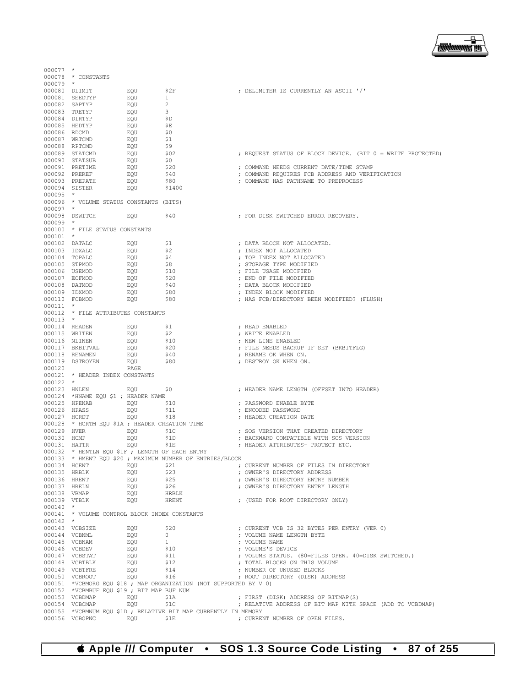

| $000077$ *    |                                                 |            |                                                                    |                                                             |
|---------------|-------------------------------------------------|------------|--------------------------------------------------------------------|-------------------------------------------------------------|
|               | 000078 * CONSTANTS                              |            |                                                                    |                                                             |
| $000079$ *    | 000080 DLIMIT                                   | EQU        | \$2F                                                               | ; DELIMITER IS CURRENTLY AN ASCII '/'                       |
|               | 000081 SEEDTYP                                  | EQU        | $\mathbf{1}$                                                       |                                                             |
|               | 000082 SAPTYP                                   | EQU        | 2                                                                  |                                                             |
|               | 000083 TRETYP                                   | EQU        | 3                                                                  |                                                             |
|               | 000084 DIRTYP                                   | EQU        | \$D                                                                |                                                             |
|               | 000085 HEDTYP                                   | EQU        | \$Е                                                                |                                                             |
| 000086 RDCMD  |                                                 | EQU        | \$0                                                                |                                                             |
|               | 000087 WRTCMD                                   | EQU        | \$1                                                                |                                                             |
|               | 000088 RPTCMD                                   | EQU        | \$9                                                                |                                                             |
|               | 000089 STATCMD                                  | EQU        | \$02                                                               | ; REQUEST STATUS OF BLOCK DEVICE. (BIT 0 = WRITE PROTECTED) |
|               | 000090 STATSUB<br>000091 PRETIME                | EQU<br>EQU | \$0<br>\$20                                                        | ; COMMAND NEEDS CURRENT DATE/TIME STAMP                     |
|               | 000092 PREREF                                   | EQU        | \$40                                                               | ; COMMAND REQUIRES FCB ADDRESS AND VERIFICATION             |
|               | 000093 PREPATH                                  | EQU        | \$80 M                                                             | ; COMMAND HAS PATHNAME TO PREPROCESS                        |
|               | 000094 SISTER                                   | EQU        | \$1400                                                             |                                                             |
| $000095$ *    |                                                 |            |                                                                    |                                                             |
|               | 000096 * VOLUME STATUS CONSTANTS (BITS)         |            |                                                                    |                                                             |
| $000097$ *    |                                                 |            |                                                                    |                                                             |
|               | 000098 DSWITCH                                  | EOU        | \$40                                                               | ; FOR DISK SWITCHED ERROR RECOVERY.                         |
| $000099$ *    |                                                 |            |                                                                    |                                                             |
|               | 000100 * FILE STATUS CONSTANTS                  |            |                                                                    |                                                             |
| $000101$ *    |                                                 |            |                                                                    |                                                             |
|               | 000102 DATALC                                   | EQU        | \$1                                                                | ; DATA BLOCK NOT ALLOCATED.                                 |
| 000103 IDXALC |                                                 | EQU        | \$2                                                                | ; INDEX NOT ALLOCATED                                       |
|               | 000104 TOPALC<br>000105 STPMOD                  | EQU<br>EQU | <b>Ş4</b><br>\$8                                                   | ; TOP INDEX NOT ALLOCATED<br>; STORAGE TYPE MODIFIED        |
|               | 000106 USEMOD                                   | EQU        | \$10                                                               | ; FILE USAGE MODIFIED                                       |
|               | 000107 EOFMOD                                   | EQU        | \$20                                                               | ; END OF FILE MODIFIED                                      |
| 000108 DATMOD |                                                 | EQU        | \$40                                                               | ; DATA BLOCK MODIFIED                                       |
|               | 000109 IDXMOD                                   | EQU        | \$80                                                               | ; INDEX BLOCK MODIFIED                                      |
| 000110 FCBMOD |                                                 | EQU        | \$80                                                               | ; HAS FCB/DIRECTORY BEEN MODIFIED? (FLUSH)                  |
| $000111$ *    |                                                 |            |                                                                    |                                                             |
|               | 000112 * FILE ATTRIBUTES CONSTANTS              |            |                                                                    |                                                             |
| $000113$ *    |                                                 |            |                                                                    |                                                             |
|               | 000114 READEN                                   | EQU        | Ş1                                                                 | ; READ ENABLED                                              |
|               | 000115 WRITEN                                   | EQU        | \$2                                                                | ; WRITE ENABLED                                             |
|               | 000116 NLINEN                                   | EQU        | \$10                                                               | ; NEW LINE ENABLED                                          |
|               | 000117 BKBITVAL                                 | EQU        | \$20                                                               | ; FILE NEEDS BACKUP IF SET (BKBITFLG)                       |
|               | 000118 RENAMEN                                  | EQU        | \$40                                                               | ; RENAME OK WHEN ON.                                        |
| 000120        | 000119 DSTROYEN                                 | EQU        | \$80                                                               | ; DESTROY OK WHEN ON.                                       |
|               | 000121 * HEADER INDEX CONSTANTS                 | PAGE       |                                                                    |                                                             |
| $000122$ *    |                                                 |            |                                                                    |                                                             |
| 000123 HNLEN  |                                                 | EQU        | \$0                                                                | ; HEADER NAME LENGTH (OFFSET INTO HEADER)                   |
|               | 000124 *HNAME EQU \$1 ; HEADER NAME             |            |                                                                    |                                                             |
|               | 000125 HPENAB                                   | EQU        | \$10                                                               | ; PASSWORD ENABLE BYTE                                      |
| 000126 HPASS  |                                                 | EQU        | \$11                                                               | ; ENCODED PASSWORD                                          |
| 000127 HCRDT  |                                                 | EQU        | \$18                                                               | ; HEADER CREATION DATE                                      |
|               | 000128 * HCRTM EQU \$1A ; HEADER CREATION TIME  |            |                                                                    |                                                             |
| 000129 HVER   |                                                 | EOU        | \$1C                                                               | ; SOS VERSION THAT CREATED DIRECTORY                        |
| 000130 HCMP   |                                                 | EQU        | \$1D                                                               | ; BACKWARD COMPATIBLE WITH SOS VERSION                      |
| 000131 HATTR  |                                                 | EQU        | \$1E                                                               | ; HEADER ATTRIBUTES- PROTECT ETC.                           |
|               | 000132 * HENTLN EQU \$1F ; LENGTH OF EACH ENTRY |            | 000133 * HMENT EOU \$20 ; MAXIMUM NUMBER OF ENTRIES/BLOCK          |                                                             |
| 000134 HCENT  |                                                 | EOU        | \$21                                                               | ; CURRENT NUMBER OF FILES IN DIRECTORY                      |
| 000135 HRBLK  |                                                 | EOU        | \$23                                                               | ; OWNER'S DIRECTORY ADDRESS                                 |
| 000136 HRENT  |                                                 | EQU        | \$25                                                               | ; OWNER'S DIRECTORY ENTRY NUMBER                            |
| 000137 HRELN  |                                                 | EOU        | \$26                                                               | ; OWNER'S DIRECTORY ENTRY LENGTH                            |
| 000138 VBMAP  |                                                 | EOU        | HRBLK                                                              |                                                             |
| 000139 VTBLK  |                                                 | EQU        | HRENT                                                              | ; (USED FOR ROOT DIRECTORY ONLY)                            |
| $000140$ *    |                                                 |            |                                                                    |                                                             |
|               | 000141 * VOLUME CONTROL BLOCK INDEX CONSTANTS   |            |                                                                    |                                                             |
| $000142$ *    |                                                 |            |                                                                    |                                                             |
|               | 000143 VCBSIZE                                  | EOU        | \$20                                                               | ; CURRENT VCB IS 32 BYTES PER ENTRY (VER 0)                 |
|               | 000144 VCBNML                                   | EOU        | $\overline{0}$<br>1                                                | ; VOLUME NAME LENGTH BYTE                                   |
|               | 000145 VCBNAM<br>000146 VCBDEV                  | EQU        |                                                                    | ; VOLUME NAME<br>; VOLUME'S DEVICE                          |
|               | 000147 VCBSTAT                                  | EQU<br>EOU | \$10<br>\$11                                                       | ; VOLUME STATUS. (80=FILES OPEN. 40=DISK SWITCHED.)         |
|               | 000148 VCBTBLK                                  | EQU        | \$12                                                               | ; TOTAL BLOCKS ON THIS VOLUME                               |
|               | 000149 VCBTFRE                                  | EQU        | \$14                                                               | ; NUMBER OF UNUSED BLOCKS                                   |
|               | 000150 VCBROOT                                  | EOU        | \$16                                                               | ; ROOT DIRECTORY (DISK) ADDRESS                             |
|               |                                                 |            | 000151 *VCBMORG EQU \$18 ; MAP ORGANIZATION (NOT SUPPORTED BY V 0) |                                                             |
|               | 000152 *VCBMBUF EQU \$19; BIT MAP BUF NUM       |            |                                                                    |                                                             |
|               | 000153 VCBDMAP                                  | EOU        | \$1A                                                               | ; FIRST (DISK) ADDRESS OF BITMAP(S)                         |
|               | 000154 VCBCMAP                                  | EQU        | \$1C                                                               | ; RELATIVE ADDRESS OF BIT MAP WITH SPACE (ADD TO VCBDMAP)   |
|               |                                                 |            | 000155 *VCBMNUM EQU \$1D ; RELATIVE BIT MAP CURRENTLY IN MEMORY    |                                                             |
|               | 000156 VCBOPNC                                  | EOU        | \$1E                                                               | ; CURRENT NUMBER OF OPEN FILES.                             |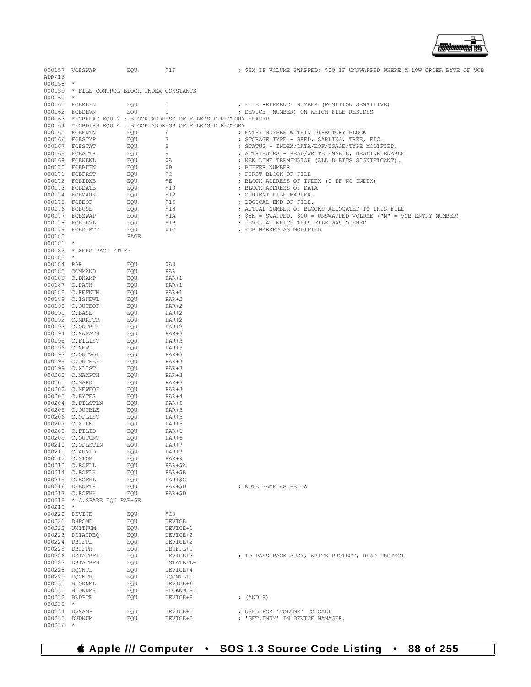

|               | 000157 VCBSWAP                                                                                                                                                                                                                                       | EQU            |                        |                                                                                                                                                                                                                               |  |
|---------------|------------------------------------------------------------------------------------------------------------------------------------------------------------------------------------------------------------------------------------------------------|----------------|------------------------|-------------------------------------------------------------------------------------------------------------------------------------------------------------------------------------------------------------------------------|--|
| ADR/16        |                                                                                                                                                                                                                                                      |                |                        |                                                                                                                                                                                                                               |  |
| $000158$ *    |                                                                                                                                                                                                                                                      |                |                        |                                                                                                                                                                                                                               |  |
|               | 000159 * FILE CONTROL BLOCK INDEX CONSTANTS                                                                                                                                                                                                          |                |                        |                                                                                                                                                                                                                               |  |
| $000160$ *    |                                                                                                                                                                                                                                                      |                |                        |                                                                                                                                                                                                                               |  |
|               | 000161 FCBREFN                                                                                                                                                                                                                                       | EOU            | 0                      | ; FILE REFERENCE NUMBER (POSITION SENSITIVE)                                                                                                                                                                                  |  |
|               |                                                                                                                                                                                                                                                      |                |                        |                                                                                                                                                                                                                               |  |
|               | 000162 FCBDEVN                                                                                                                                                                                                                                       | EQU            | $1 \quad \blacksquare$ | ; DEVICE (NUMBER) ON WHICH FILE RESIDES                                                                                                                                                                                       |  |
|               |                                                                                                                                                                                                                                                      |                |                        | 000163 *FCBHEAD EQU 2 ; BLOCK ADDRESS OF FILE'S DIRECTORY HEADER                                                                                                                                                              |  |
|               | 000164 *FCBDIRB EQU 4 ; BLOCK ADDRESS OF FILE'S DIRECTORY                                                                                                                                                                                            |                |                        |                                                                                                                                                                                                                               |  |
|               | 000165 FCBENTN EQU                                                                                                                                                                                                                                   |                |                        | 6 6 6 6 6 6 6 6 7 7 7 8 7 7 8 7 7 8 7 7 8 7 7 8 7 7 8 7 7 8 7 7 8 7 7 8 7 7 8 7 7 8 7 7 8 7 7 8 7 7 8 7 7 8 7 7 8 7 7 8 7 7 8 7 7 8 7 7 8 7 7 8 7 7 8 7 7 8 7 7 8 7 7 8 7 7 8 7 7 8 7 7 8 7 7 8 7 7 8 7 7 8 7 7 8 7 7 8 7 7 8 |  |
|               | 000166 FCBSTYP                                                                                                                                                                                                                                       |                |                        | ; STORAGE TYPE - SEED, SAPLING, TREE, ETC.                                                                                                                                                                                    |  |
|               | 000167 FCBSTAT                                                                                                                                                                                                                                       | EQU 7<br>EQU 8 |                        | ; STATUS - INDEX/DATA/EOF/USAGE/TYPE MODIFIED.                                                                                                                                                                                |  |
|               |                                                                                                                                                                                                                                                      |                |                        | ; ATTRIBUTES - READ/WRITE ENABLE, NEWLINE ENABLE.                                                                                                                                                                             |  |
|               |                                                                                                                                                                                                                                                      |                |                        | ; NEW LINE TERMINATOR (ALL 8 BITS SIGNIFICANT).                                                                                                                                                                               |  |
|               |                                                                                                                                                                                                                                                      |                |                        | ; BUFFER NUMBER                                                                                                                                                                                                               |  |
|               |                                                                                                                                                                                                                                                      |                |                        | ; FIRST BLOCK OF FILE                                                                                                                                                                                                         |  |
|               |                                                                                                                                                                                                                                                      |                |                        | ; BLOCK ADDRESS OF INDEX (0 IF NO INDEX)                                                                                                                                                                                      |  |
|               |                                                                                                                                                                                                                                                      |                |                        | ; BLOCK ADDRESS OF DATA                                                                                                                                                                                                       |  |
|               |                                                                                                                                                                                                                                                      |                |                        |                                                                                                                                                                                                                               |  |
|               |                                                                                                                                                                                                                                                      |                |                        | ; CURRENT FILE MARKER.                                                                                                                                                                                                        |  |
|               |                                                                                                                                                                                                                                                      |                |                        | ; LOGICAL END OF FILE.                                                                                                                                                                                                        |  |
|               |                                                                                                                                                                                                                                                      |                |                        | ; ACTUAL NUMBER OF BLOCKS ALLOCATED TO THIS FILE.                                                                                                                                                                             |  |
|               |                                                                                                                                                                                                                                                      |                |                        | ; \$8N = SWAPPED, \$00 = UNSWAPPED VOLUME ("N" = VCB ENTRY NUMBER)                                                                                                                                                            |  |
|               |                                                                                                                                                                                                                                                      |                |                        | ; LEVEL AT WHICH THIS FILE WAS OPENED                                                                                                                                                                                         |  |
|               |                                                                                                                                                                                                                                                      |                |                        | ; FCB MARKED AS MODIFIED                                                                                                                                                                                                      |  |
| 000180        |                                                                                                                                                                                                                                                      | PAGE           |                        |                                                                                                                                                                                                                               |  |
| $000181$ *    |                                                                                                                                                                                                                                                      |                |                        |                                                                                                                                                                                                                               |  |
|               | 000182 * ZERO PAGE STUFF                                                                                                                                                                                                                             |                |                        |                                                                                                                                                                                                                               |  |
| $000183$ *    |                                                                                                                                                                                                                                                      |                |                        |                                                                                                                                                                                                                               |  |
| 000184 PAR    |                                                                                                                                                                                                                                                      | EQU            | \$A0                   |                                                                                                                                                                                                                               |  |
|               | 000185 COMMAND                                                                                                                                                                                                                                       | EQU            | PAR                    |                                                                                                                                                                                                                               |  |
|               | 000186 C.DNAMP                                                                                                                                                                                                                                       | EQU            | PAR+1                  |                                                                                                                                                                                                                               |  |
|               |                                                                                                                                                                                                                                                      |                | PAR+1                  |                                                                                                                                                                                                                               |  |
|               |                                                                                                                                                                                                                                                      |                |                        |                                                                                                                                                                                                                               |  |
|               |                                                                                                                                                                                                                                                      |                | PAR+1                  |                                                                                                                                                                                                                               |  |
|               |                                                                                                                                                                                                                                                      |                | PAR+2                  |                                                                                                                                                                                                                               |  |
|               |                                                                                                                                                                                                                                                      |                | $PAR+2$                |                                                                                                                                                                                                                               |  |
|               | 000186 C.NAMP<br>000188 C.REFNUM<br>000189 C.TSNEWL<br>000189 C.TSNEWL<br>000190 C.OUTEOF EQU<br>000191 C.NAKPTR EQU<br>000191 C.NMPATH EQU<br>000193 C.OUTEUF EQU<br>000193 C.NMPATH EQU<br>000194 C.NMPATH EQU<br>000195 C.FILIST EQU<br>000195 C. |                | PAR+2                  |                                                                                                                                                                                                                               |  |
|               |                                                                                                                                                                                                                                                      |                | PAR+2                  |                                                                                                                                                                                                                               |  |
|               |                                                                                                                                                                                                                                                      |                | $PAR+2$                |                                                                                                                                                                                                                               |  |
|               |                                                                                                                                                                                                                                                      |                | PAR+3                  |                                                                                                                                                                                                                               |  |
|               |                                                                                                                                                                                                                                                      |                | PAR+3                  |                                                                                                                                                                                                                               |  |
|               |                                                                                                                                                                                                                                                      |                | $PAR+3$                |                                                                                                                                                                                                                               |  |
|               |                                                                                                                                                                                                                                                      |                | PAR+3                  |                                                                                                                                                                                                                               |  |
|               |                                                                                                                                                                                                                                                      |                | PAR+3                  |                                                                                                                                                                                                                               |  |
|               | 000199 C.XLIST EQU<br>000199 C.XLIST EQU<br>000200 C.MARK EQU<br>000201 C.MARK EQU<br>000202 C.NEWEOF EQU<br>000203 C.BYTES EQU<br>000204 C.FILSTLN EQU<br>000204 C.FILSTLN EQU<br>000204 C.FILSTLN EQU                                              |                | $PAR+3$                |                                                                                                                                                                                                                               |  |
|               |                                                                                                                                                                                                                                                      |                | PAR+3                  |                                                                                                                                                                                                                               |  |
|               |                                                                                                                                                                                                                                                      |                | PAR+3                  |                                                                                                                                                                                                                               |  |
|               |                                                                                                                                                                                                                                                      |                |                        |                                                                                                                                                                                                                               |  |
|               |                                                                                                                                                                                                                                                      |                | $PAR+3$                |                                                                                                                                                                                                                               |  |
|               |                                                                                                                                                                                                                                                      |                | $PAR+4$                |                                                                                                                                                                                                                               |  |
|               |                                                                                                                                                                                                                                                      |                | PAR+5                  |                                                                                                                                                                                                                               |  |
|               |                                                                                                                                                                                                                                                      |                | PAR+5                  |                                                                                                                                                                                                                               |  |
|               |                                                                                                                                                                                                                                                      |                | PAR+5                  |                                                                                                                                                                                                                               |  |
|               |                                                                                                                                                                                                                                                      |                | PAR+5                  |                                                                                                                                                                                                                               |  |
|               | 000205 C.OUTBLK<br>000206 C.OPLIST EQU<br>000206 C.OPLIST EQU<br>000208 C.FILID EQU<br>000209 C.OUTCNT EQU<br>000209 C.OUTCNT EQU                                                                                                                    |                | PAR+6                  |                                                                                                                                                                                                                               |  |
|               |                                                                                                                                                                                                                                                      |                | PAR+6                  |                                                                                                                                                                                                                               |  |
|               | 000210 C.OPLSTLN                                                                                                                                                                                                                                     | EQU            | PAR+7                  |                                                                                                                                                                                                                               |  |
|               | 000211 C.AUXID                                                                                                                                                                                                                                       | EQU            | $PAR+7$                |                                                                                                                                                                                                                               |  |
| 000212 C.STOR |                                                                                                                                                                                                                                                      | EQU            | PAR+9                  |                                                                                                                                                                                                                               |  |
|               | 000213 C.EOFLL                                                                                                                                                                                                                                       | EQU            | PAR+\$A                |                                                                                                                                                                                                                               |  |
|               | 000214 C.EOFLH                                                                                                                                                                                                                                       | EQU            | PAR+\$B                |                                                                                                                                                                                                                               |  |
|               | 000215 C.EOFHL                                                                                                                                                                                                                                       | EOU            | PAR+\$C                |                                                                                                                                                                                                                               |  |
|               | 000216 DEBUPTR                                                                                                                                                                                                                                       | EQU            | PAR+\$D                | ; NOTE SAME AS BELOW                                                                                                                                                                                                          |  |
|               | 000217 C.EOFHH                                                                                                                                                                                                                                       | EQU            | PAR+\$D                |                                                                                                                                                                                                                               |  |
|               | 000218 * C.SPARE EQU PAR+\$E                                                                                                                                                                                                                         |                |                        |                                                                                                                                                                                                                               |  |
|               |                                                                                                                                                                                                                                                      |                |                        |                                                                                                                                                                                                                               |  |
| $000219$ *    |                                                                                                                                                                                                                                                      |                |                        |                                                                                                                                                                                                                               |  |
| 000220 DEVICE |                                                                                                                                                                                                                                                      | EQU            | \$C0                   |                                                                                                                                                                                                                               |  |
| 000221 DHPCMD |                                                                                                                                                                                                                                                      | EQU            | DEVICE                 |                                                                                                                                                                                                                               |  |
|               | 000222 UNITNUM                                                                                                                                                                                                                                       | EQU            | DEVICE+1               |                                                                                                                                                                                                                               |  |
|               | 000223 DSTATREQ                                                                                                                                                                                                                                      | EQU            | DEVICE+2               |                                                                                                                                                                                                                               |  |
| 000224 DBUFPL |                                                                                                                                                                                                                                                      | EOU            | DEVICE+2               |                                                                                                                                                                                                                               |  |
| 000225 DBUFPH |                                                                                                                                                                                                                                                      | EQU            | DBUFPL+1               |                                                                                                                                                                                                                               |  |
|               | 000226 DSTATBFL                                                                                                                                                                                                                                      | EQU            | DEVICE+3               | ; TO PASS BACK BUSY, WRITE PROTECT, READ PROTECT.                                                                                                                                                                             |  |
|               | 000227 DSTATBFH                                                                                                                                                                                                                                      | EQU            | DSTATBFL+1             |                                                                                                                                                                                                                               |  |
| 000228 RQCNTL |                                                                                                                                                                                                                                                      | EQU            | DEVICE+4               |                                                                                                                                                                                                                               |  |
| 000229 RQCNTH |                                                                                                                                                                                                                                                      | EQU            | RQCNTL+1               |                                                                                                                                                                                                                               |  |
|               | 000230 BLOKNML                                                                                                                                                                                                                                       | EOU            | DEVICE+6               |                                                                                                                                                                                                                               |  |
|               | 000231 BLOKNMH                                                                                                                                                                                                                                       | EQU            | BLOKNML+1              |                                                                                                                                                                                                                               |  |
| 000232 BRDPTR |                                                                                                                                                                                                                                                      | EQU            | DEVICE+8               | ; $(AND 9)$                                                                                                                                                                                                                   |  |
|               |                                                                                                                                                                                                                                                      |                |                        |                                                                                                                                                                                                                               |  |
| $000233$ *    |                                                                                                                                                                                                                                                      |                |                        |                                                                                                                                                                                                                               |  |
| 000234 DVNAMP |                                                                                                                                                                                                                                                      | EQU            | DEVICE+1               | ; USED FOR 'VOLUME' TO CALL                                                                                                                                                                                                   |  |
| 000235 DVDNUM |                                                                                                                                                                                                                                                      | EQU            | DEVICE+3               | ; 'GET.DNUM' IN DEVICE MANAGER.                                                                                                                                                                                               |  |
| $000236$ *    |                                                                                                                                                                                                                                                      |                |                        |                                                                                                                                                                                                                               |  |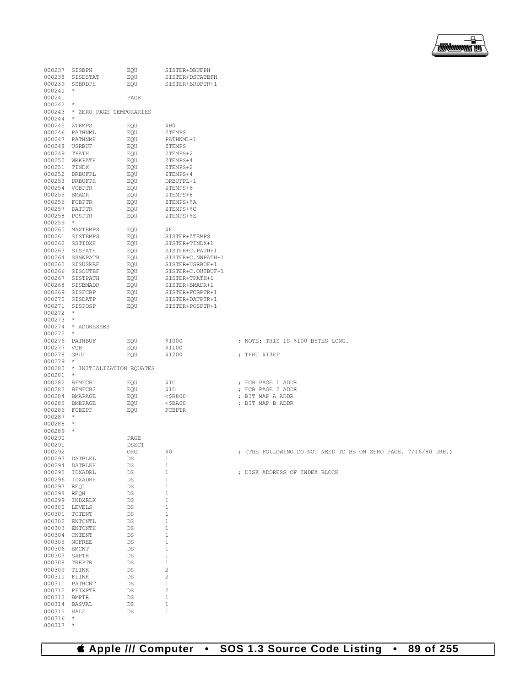

| 000237 SISBPH                 |                                   | EQU          | SISTER+DBUFPH                        |                                                                |
|-------------------------------|-----------------------------------|--------------|--------------------------------------|----------------------------------------------------------------|
|                               | 000238 SISDSTAT                   | EOU          | SISTER+DSTATBFH                      |                                                                |
|                               | 000239 SSBRDPH                    | EQU          | SISTER+BRDPTR+1                      |                                                                |
| $000240$ *                    |                                   |              |                                      |                                                                |
| 000241<br>$000242$ *          |                                   | PAGE         |                                      |                                                                |
|                               | 000243 * ZERO PAGE TEMPORARIES    |              |                                      |                                                                |
| $000244$ *                    |                                   |              |                                      |                                                                |
| 000245 ZTEMPS                 |                                   | EQU          | \$B0                                 |                                                                |
|                               | 000246 PATHNML                    | EQU          | ZTEMPS                               |                                                                |
|                               | 000247 PATHNMH                    | EOU          | PATHNML+1                            |                                                                |
| 000248 USRBUF                 |                                   | EQU          | ZTEMPS                               |                                                                |
| 000249 TPATH                  |                                   | EQU          | ZTEMPS+2                             |                                                                |
|                               | 000250 WRKPATH                    | EQU          | ZTEMPS+4                             |                                                                |
| 000251 TINDX                  |                                   | EQU          | ZTEMPS+2                             |                                                                |
|                               | 000252 DRBUFPL                    | EQU          | ZTEMPS+4<br>DRBUFPL+1                |                                                                |
| 000254 VCBPTR                 | 000253 DRBUFPH                    | EOU<br>EQU   | ZTEMPS+6                             |                                                                |
| 000255 BMADR                  |                                   | EQU          | ZTEMPS+8                             |                                                                |
| 000256 FCBPTR                 |                                   | EOU          | ZTEMPS+\$A                           |                                                                |
| 000257 DATPTR                 |                                   | EQU          | ZTEMPS+\$C                           |                                                                |
| 000258 POSPTR                 |                                   | EQU          | ZTEMPS+\$E                           |                                                                |
| $000259$ *                    |                                   |              |                                      |                                                                |
|                               | 000260 MAXTEMPS                   | EQU          | \$F                                  |                                                                |
|                               | 000261 SISTEMPS                   | EQU          | SISTER+ZTEMPS                        |                                                                |
|                               | 000262 SSTIDXH                    | EOU          | SISTER+TINDX+1                       |                                                                |
|                               | 000263 SISPATH<br>000264 SSNWPATH | EQU          | SISTER+C. PATH+1                     |                                                                |
|                               | 000265 SISUSRBF                   | EQU<br>EOU   | SISTER+C.NWPATH+1<br>SISTER+USRBUF+1 |                                                                |
|                               | 000266 SISOUTBF                   | EQU          | SISTER+C.OUTBUF+1                    |                                                                |
|                               | 000267 SISTPATH                   | EQU          | SISTER+TPATH+1                       |                                                                |
|                               | 000268 SISBMADR                   | EQU          | SISTER+BMADR+1                       |                                                                |
|                               | 000269 SISFCBP                    | EQU          | SISTER+FCBPTR+1                      |                                                                |
|                               | 000270 SISDATP                    | EQU          | SISTER+DATPTR+1                      |                                                                |
|                               | 000271 SISPOSP                    | EOU          | SISTER+POSPTR+1                      |                                                                |
| $000272$ *                    |                                   |              |                                      |                                                                |
| $000273$ *                    |                                   |              |                                      |                                                                |
|                               | 000274 * ADDRESSES                |              |                                      |                                                                |
| $000275$ *                    |                                   |              |                                      |                                                                |
| 000277 VCB                    | 000276 PATHBUF                    | EQU<br>EOU   | \$1000                               | ; NOTE: THIS IS \$100 BYTES LONG.                              |
| 000278 GBUF                   |                                   | EQU          | \$1100<br>\$1200                     | ; THRU \$13FF                                                  |
| $000279$ *                    |                                   |              |                                      |                                                                |
|                               | 000280 * INITIALIZATION EQUATES   |              |                                      |                                                                |
| $000281$ *                    |                                   |              |                                      |                                                                |
|                               | 000282 BFMFCB1                    | EQU          | \$1C                                 | ; FCB PAGE 1 ADDR                                              |
|                               | 000283 BFMFCB2                    | EOU          | \$1D                                 | ; FCB PAGE 2 ADDR                                              |
|                               | 000284 BMAPAGE                    | EQU          | <\$B800                              | ; BIT MAP A ADDR                                               |
|                               | 000285 BMBPAGE                    | EQU          | $<$ \$BA00                           | ; BIT MAP B ADDR                                               |
| 000286 FCBZPP                 |                                   | EQU          | FCBPTR                               |                                                                |
| $000287$ *<br>000288 *        |                                   |              |                                      |                                                                |
| $000289$ *                    |                                   |              |                                      |                                                                |
| 000290                        |                                   | PAGE         |                                      |                                                                |
| 000291                        |                                   | <b>DSECT</b> |                                      |                                                                |
| 000292                        |                                   | ORG          | \$0                                  | ; (THE FOLLOWING DO NOT NEED TO BE ON ZERO PAGE. 7/16/80 JRH.) |
|                               | 000293 DATBLKL                    | DS           | 1                                    |                                                                |
|                               | 000294 DATBLKH                    | DS           | $\mathbf{1}$                         |                                                                |
|                               | 000295 IDXADRL                    | DS           | $\mathbf 1$                          | ; DISK ADDRESS OF INDEX BLOCK                                  |
|                               | 000296 IDXADRH                    | DS           | 1                                    |                                                                |
| 000297 REQL                   |                                   | DS           | $1\,$<br>$\mathbf 1$                 |                                                                |
| 000298 REQH                   | 000299 INDXBLK                    | DS<br>DS     | 1                                    |                                                                |
| 000300 LEVELS                 |                                   | DS           | $\mathbf 1$                          |                                                                |
| 000301 TOTENT                 |                                   | DS           | $\mathbf 1$                          |                                                                |
|                               | 000302 ENTCNTL                    | DS           | $\mathbf{1}$                         |                                                                |
|                               | 000303 ENTCNTH                    | DS           | $\mathbf{1}$                         |                                                                |
| 000304 CNTENT                 |                                   | DS           | $\mathbf 1$                          |                                                                |
| 000305 NOFREE                 |                                   | DS           | $\mathbf{1}$                         |                                                                |
| 000306 BMCNT                  |                                   | DS           | $1\,$                                |                                                                |
| 000307 SAPTR                  |                                   | DS           | $\mathbf 1$                          |                                                                |
| 000308 TREPTR<br>000309 TLINK |                                   | DS           | $1\,$<br>$\mathbf{2}$                |                                                                |
| 000310 FLINK                  |                                   | DS<br>DS     | $\overline{c}$                       |                                                                |
|                               | 000311 PATHCNT                    | DS           | $\mathbf{1}$                         |                                                                |
|                               | 000312 PFIXPTR                    | DS           | 2                                    |                                                                |
| 000313 BMPTR                  |                                   | DS           | $1\,$                                |                                                                |
| 000314 BASVAL                 |                                   | DS           | $\mathbf{1}$                         |                                                                |
| 000315 HALF                   |                                   | DS           | $\mathbf{1}$                         |                                                                |
| 000316                        | $^\star$                          |              |                                      |                                                                |
| 000317                        | $^{\star}$                        |              |                                      |                                                                |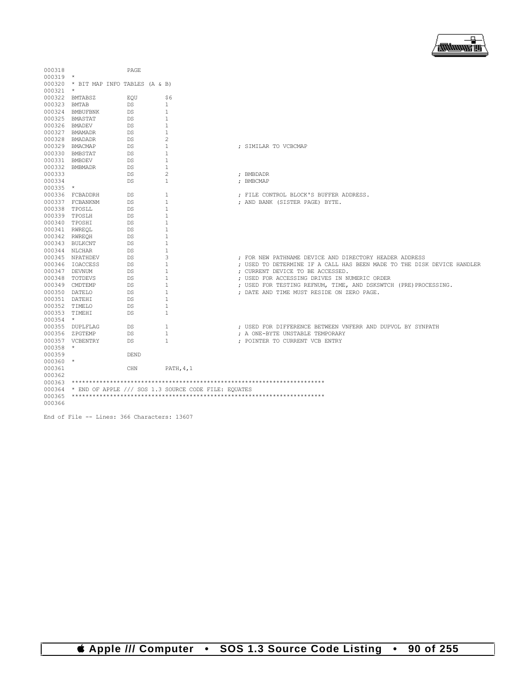

| 000318           |                                      | PAGE        |                                                      |                                                                        |
|------------------|--------------------------------------|-------------|------------------------------------------------------|------------------------------------------------------------------------|
| $000319$ *       |                                      |             |                                                      |                                                                        |
|                  | 000320 * BIT MAP INFO TABLES (A & B) |             |                                                      |                                                                        |
| $000321$ *       |                                      |             |                                                      |                                                                        |
|                  | 000322 BMTABSZ                       | EOU         | \$6                                                  |                                                                        |
| 000323 BMTAB     |                                      | DS          | $\mathbf{1}$                                         |                                                                        |
|                  | 000324 BMBUFBNK                      | DS          | 1                                                    |                                                                        |
|                  | 000325 BMASTAT                       | DS.         | $\mathbf{1}$                                         |                                                                        |
|                  | 000326 BMADEV                        | DS          | 1                                                    |                                                                        |
|                  | 000327 BMAMADR                       | DS          | 1                                                    |                                                                        |
|                  | 000328 BMADADR                       | DS          | 2                                                    |                                                                        |
|                  | 000329 BMACMAP                       | DS          | $\mathbf{1}$                                         | ; SIMILAR TO VCBCMAP                                                   |
|                  | 000330 BMBSTAT                       | DS          | 1                                                    |                                                                        |
|                  | 000331 BMBDEV                        | DS          | 1                                                    |                                                                        |
|                  | 000332 BMBMADR                       | DS          | 1                                                    |                                                                        |
| 000333           |                                      | DS          | 2                                                    | ; BMBDADR                                                              |
| 000334           |                                      | DS          | $\mathbf{1}$                                         | ; BMBCMAP                                                              |
| $000335$ *       |                                      |             |                                                      |                                                                        |
|                  | 000336 FCBADDRH                      | DS          | 1                                                    | ; FILE CONTROL BLOCK'S BUFFER ADDRESS.                                 |
|                  | 000337 FCBANKNM                      | DS          | 1                                                    | ; AND BANK (SISTER PAGE) BYTE.                                         |
|                  | 000338 TPOSLL                        | DS          | $\mathbf{1}$                                         |                                                                        |
|                  | 000339 TPOSLH                        | DS          | 1                                                    |                                                                        |
|                  | 000340 TPOSHI                        | DS          | 1                                                    |                                                                        |
|                  | 000341 RWREOL                        | DS          | 1                                                    |                                                                        |
|                  | 000342 RWREOH                        | DS          | 1                                                    |                                                                        |
|                  | 000343 BULKCNT                       | DS          | 1                                                    |                                                                        |
|                  | 000344 NLCHAR                        | DS          | $\mathbf{1}$                                         |                                                                        |
|                  | 000345 NPATHDEV                      | DS          | 3                                                    | ; FOR NEW PATHNAME DEVICE AND DIRECTORY HEADER ADDRESS                 |
|                  | 000346 IOACCESS                      | DS          | 1                                                    | ; USED TO DETERMINE IF A CALL HAS BEEN MADE TO THE DISK DEVICE HANDLER |
|                  | 000347 DEVNUM                        | DS.         | 1                                                    | ; CURRENT DEVICE TO BE ACCESSED.                                       |
|                  | 000348 TOTDEVS                       | DS          | $\mathbf{1}$                                         | ; USED FOR ACCESSING DRIVES IN NUMERIC ORDER                           |
|                  | 000349 CMDTEMP                       | DS          | 1                                                    | ; USED FOR TESTING REFNUM, TIME, AND DSKSWTCH (PRE) PROCESSING.        |
|                  | 000350 DATELO                        | DS          | 1                                                    | ; DATE AND TIME MUST RESIDE ON ZERO PAGE.                              |
| 000351 DATEHI    |                                      | DS          | 1                                                    |                                                                        |
|                  | 000352 TIMELO                        | DS          | 1                                                    |                                                                        |
| 000353 TIMEHI    |                                      | DS          | 1                                                    |                                                                        |
| $000354$ *       |                                      |             |                                                      |                                                                        |
|                  |                                      |             |                                                      |                                                                        |
|                  | 000355 DUPLFLAG                      | DS          | 1                                                    | ; USED FOR DIFFERENCE BETWEEN VNFERR AND DUPVOL BY SYNPATH             |
|                  | 000356 ZPGTEMP                       | DS.         | 1                                                    | ; A ONE-BYTE UNSTABLE TEMPORARY                                        |
|                  | 000357 VCBENTRY                      | DS          | 1                                                    | ; POINTER TO CURRENT VCB ENTRY                                         |
| 000358 *         |                                      |             |                                                      |                                                                        |
| 000359           |                                      | <b>DEND</b> |                                                      |                                                                        |
| $000360$ *       |                                      |             |                                                      |                                                                        |
| 000361           |                                      | CHN         | PATH, 4, 1                                           |                                                                        |
| 000362           |                                      |             |                                                      |                                                                        |
| 000363           |                                      |             |                                                      |                                                                        |
| 000364           |                                      |             | * END OF APPLE /// SOS 1.3 SOURCE CODE FILE: EQUATES |                                                                        |
| 000365<br>000366 |                                      |             |                                                      |                                                                        |

End of File -- Lines: 366 Characters: 13607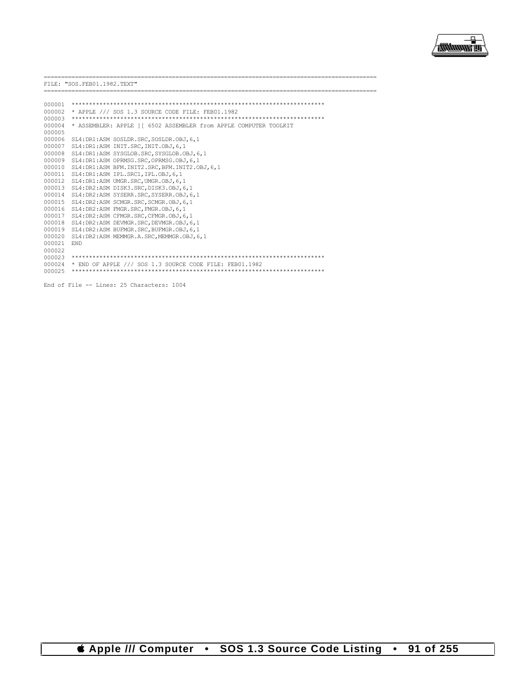

|        | FILE: "SOS.FEB01.1982.TEXT"                                      |
|--------|------------------------------------------------------------------|
|        |                                                                  |
| 000001 |                                                                  |
| 000002 | * APPLE /// SOS 1.3 SOURCE CODE FILE: FEB01.1982                 |
| 000003 |                                                                  |
| 000004 | * ASSEMBLER: APPLE 11 6502 ASSEMBLER from APPLE COMPUTER TOOLKIT |
| 000005 |                                                                  |
| 000006 | SL4: DR1:ASM SOSLDR. SRC, SOSLDR. OBJ, 6, 1                      |
| 000007 | SL4: DR1:ASM INIT. SRC, INIT. OBJ, 6, 1                          |
| 000008 | SL4: DR1:ASM SYSGLOB. SRC, SYSGLOB. OBJ, 6, 1                    |
| 000009 | SL4: DR1:ASM OPRMSG. SRC. OPRMSG. OBJ. 6.1                       |
| 000010 | SL4: DR1:ASM BFM. INIT2. SRC, BFM. INIT2. OBJ, 6, 1              |
| 000011 | SL4: DR1:ASM IPL.SRC1.IPL.OBJ.6.1                                |
| 000012 | SL4: DR1:ASM UMGR. SRC. UMGR. OBJ. 6.1                           |
| 000013 | SL4: DR2:ASM DISK3.SRC. DISK3.OBJ.6.1                            |
| 000014 | SL4: DR2:ASM SYSERR. SRC, SYSERR. OBJ, 6, 1                      |
| 000015 | SL4: DR2:ASM SCMGR. SRC. SCMGR. OBJ. 6.1                         |
| 000016 | SL4:DR2:ASM FMGR.SRC, FMGR.OBJ, 6, 1                             |
| 000017 | SL4: DR2:ASM CFMGR. SRC, CFMGR. OBJ, 6, 1                        |
| 000018 | SL4: DR2:ASM DEVMGR. SRC. DEVMGR. OBJ. 6.1                       |
| 000019 | SL4: DR2:ASM BUFMGR. SRC. BUFMGR. OBJ. 6.1                       |
| 000020 | SL4: DR2: ASM MEMMGR.A.SRC.MEMMGR.OBJ.6.1                        |
| 000021 | <b>END</b>                                                       |
| 000022 |                                                                  |
| 000023 |                                                                  |
| 000024 | * END OF APPLE /// SOS 1.3 SOURCE CODE FILE: FEB01.1982          |
| 000025 |                                                                  |
|        |                                                                  |
|        | End of File -- Lines: 25 Characters: 1004                        |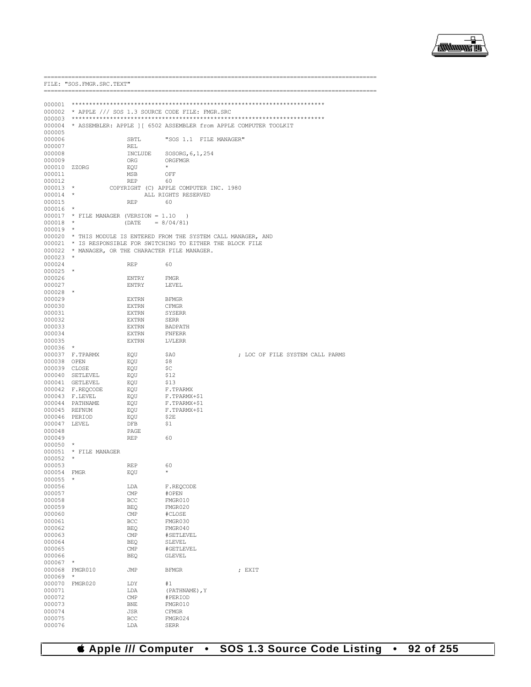

|                        | FILE: "SOS. FMGR. SRC. TEXT"                                   |                    |                                        |                                                                          |  |  |  |
|------------------------|----------------------------------------------------------------|--------------------|----------------------------------------|--------------------------------------------------------------------------|--|--|--|
|                        |                                                                |                    |                                        |                                                                          |  |  |  |
|                        |                                                                |                    |                                        |                                                                          |  |  |  |
|                        | 000002 * APPLE /// SOS 1.3 SOURCE CODE FILE: FMGR.SRC          |                    |                                        |                                                                          |  |  |  |
|                        |                                                                |                    |                                        |                                                                          |  |  |  |
|                        |                                                                |                    |                                        | 000004 * ASSEMBLER: APPLE ] [ 6502 ASSEMBLER from APPLE COMPUTER TOOLKIT |  |  |  |
| 000005                 |                                                                |                    |                                        |                                                                          |  |  |  |
| 000006                 |                                                                | SBTL               | "SOS 1.1 FILE MANAGER"                 |                                                                          |  |  |  |
| 000007<br>000008       |                                                                | REL                |                                        |                                                                          |  |  |  |
| 000009                 |                                                                | INCLUDE<br>ORG     | SOSORG, 6, 1, 254<br>ORGFMGR           |                                                                          |  |  |  |
| 000010 ZZORG           |                                                                | EQU                | $\star$                                |                                                                          |  |  |  |
| 000011                 |                                                                | MSB                | OFF                                    |                                                                          |  |  |  |
| 000012                 |                                                                | REP                | 60                                     |                                                                          |  |  |  |
| $000013$ *             |                                                                |                    | COPYRIGHT (C) APPLE COMPUTER INC. 1980 |                                                                          |  |  |  |
| $000014$ *             |                                                                |                    | ALL RIGHTS RESERVED                    |                                                                          |  |  |  |
| 000015<br>000016       | $\star$                                                        | REP                | 60                                     |                                                                          |  |  |  |
|                        | 000017 * FILE MANAGER (VERSION = 1.10                          |                    | $\lambda$                              |                                                                          |  |  |  |
| 000018                 | $\star$                                                        | $(DATE = 8/04/81)$ |                                        |                                                                          |  |  |  |
| $000019$ *             |                                                                |                    |                                        |                                                                          |  |  |  |
|                        |                                                                |                    |                                        | 000020 * THIS MODULE IS ENTERED FROM THE SYSTEM CALL MANAGER, AND        |  |  |  |
|                        | 000021 * IS RESPONSIBLE FOR SWITCHING TO EITHER THE BLOCK FILE |                    |                                        |                                                                          |  |  |  |
|                        | 000022 * MANAGER, OR THE CHARACTER FILE MANAGER.               |                    |                                        |                                                                          |  |  |  |
| 000023<br>000024       | - *                                                            | REP                | 60                                     |                                                                          |  |  |  |
| $000025$ *             |                                                                |                    |                                        |                                                                          |  |  |  |
| 000026                 |                                                                | ENTRY              | FMGR                                   |                                                                          |  |  |  |
| 000027                 |                                                                | ENTRY              | LEVEL                                  |                                                                          |  |  |  |
| 000028                 |                                                                |                    |                                        |                                                                          |  |  |  |
| 000029                 |                                                                | EXTRN              | BFMGR                                  |                                                                          |  |  |  |
| 000030                 |                                                                | EXTRN              | CFMGR                                  |                                                                          |  |  |  |
| 000031<br>000032       |                                                                | EXTRN<br>EXTRN     | SYSERR<br>SERR                         |                                                                          |  |  |  |
| 000033                 |                                                                | EXTRN              | BADPATH                                |                                                                          |  |  |  |
| 000034                 |                                                                | EXTRN              | FNFERR                                 |                                                                          |  |  |  |
| 000035                 |                                                                | EXTRN              | LVLERR                                 |                                                                          |  |  |  |
| 000036                 | $\star$                                                        |                    |                                        |                                                                          |  |  |  |
|                        | 000037 F.TPARMX                                                | EQU                | \$A0                                   | ; LOC OF FILE SYSTEM CALL PARMS                                          |  |  |  |
| 000038 OPEN            |                                                                | EQU                | \$8                                    |                                                                          |  |  |  |
| 000039 CLOSE           | 000040 SETLEVEL                                                | EQU<br>EQU         | \$C<br>\$12                            |                                                                          |  |  |  |
|                        | 000041 GETLEVEL                                                | EQU                | \$13                                   |                                                                          |  |  |  |
|                        | 000042 F.REQCODE                                               | EQU                | F.TPARMX                               |                                                                          |  |  |  |
|                        | 000043 F.LEVEL                                                 | EQU                | F.TPARMX+\$1                           |                                                                          |  |  |  |
|                        | 000044 PATHNAME                                                | EQU                | F.TPARMX+\$1                           |                                                                          |  |  |  |
| 000045 REFNUM          |                                                                | EOU                | F.TPARMX+\$1                           |                                                                          |  |  |  |
| 000046 PERIOD          |                                                                | EQU                | \$2E                                   |                                                                          |  |  |  |
| 000047 LEVEL<br>000048 |                                                                | DFB<br>PAGE        | Ş1                                     |                                                                          |  |  |  |
| 000049                 |                                                                | REP                | 60                                     |                                                                          |  |  |  |
| $000050$ *             |                                                                |                    |                                        |                                                                          |  |  |  |
|                        | 000051 * FILE MANAGER                                          |                    |                                        |                                                                          |  |  |  |
| $000052$ *             |                                                                |                    |                                        |                                                                          |  |  |  |
| 000053                 |                                                                | <b>REP</b>         | 60                                     |                                                                          |  |  |  |
| 000054<br>000055       | <b>FMGR</b><br>$\star$                                         | EQU                | *                                      |                                                                          |  |  |  |
| 000056                 |                                                                | LDA                | F.REOCODE                              |                                                                          |  |  |  |
| 000057                 |                                                                | CMP                | #OPEN                                  |                                                                          |  |  |  |
| 000058                 |                                                                | BCC                | FMGR010                                |                                                                          |  |  |  |
| 000059                 |                                                                | <b>BEQ</b>         | FMGR020                                |                                                                          |  |  |  |
| 000060                 |                                                                | CMP                | #CLOSE                                 |                                                                          |  |  |  |
| 000061                 |                                                                | BCC                | FMGR030                                |                                                                          |  |  |  |
| 000062<br>000063       |                                                                | <b>BEQ</b><br>CMP  | FMGR040<br>#SETLEVEL                   |                                                                          |  |  |  |
| 000064                 |                                                                | <b>BEQ</b>         | SLEVEL                                 |                                                                          |  |  |  |
| 000065                 |                                                                | CMP                | #GETLEVEL                              |                                                                          |  |  |  |
| 000066                 |                                                                | <b>BEQ</b>         | <b>GLEVEL</b>                          |                                                                          |  |  |  |
| 000067                 |                                                                |                    |                                        |                                                                          |  |  |  |
| 000068                 | FMGR010                                                        | JMP                | <b>BFMGR</b>                           | ; EXIT                                                                   |  |  |  |
| 000069                 |                                                                |                    |                                        |                                                                          |  |  |  |
| 000070<br>000071       | FMGR020                                                        | LDY<br>LDA         | #1<br>(PATHNAME), Y                    |                                                                          |  |  |  |
| 000072                 |                                                                | CMP                | #PERIOD                                |                                                                          |  |  |  |
| 000073                 |                                                                | <b>BNE</b>         | FMGR010                                |                                                                          |  |  |  |
| 000074                 |                                                                | JSR                | CFMGR                                  |                                                                          |  |  |  |
| 000075                 |                                                                | BCC                | FMGR024                                |                                                                          |  |  |  |
| 000076                 |                                                                | LDA                | <b>SERR</b>                            |                                                                          |  |  |  |

*& Apple /// Computer* • SOS 1.3 Source Code Listing • 92 of 255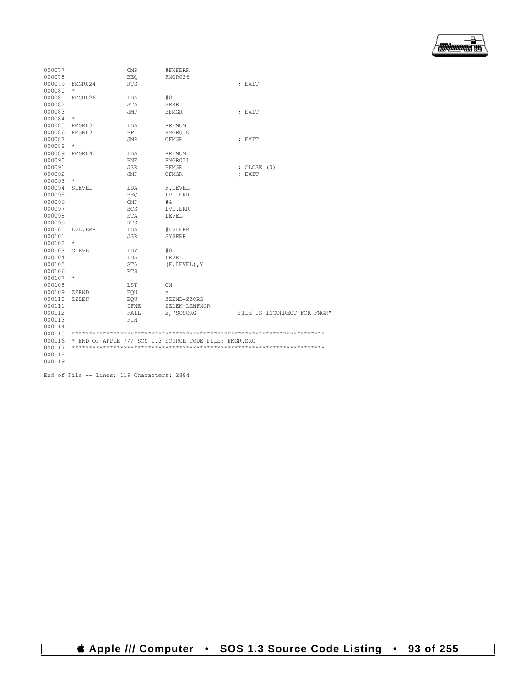

| 000077 |               | CMP        | #FNFERR                                               |                             |
|--------|---------------|------------|-------------------------------------------------------|-----------------------------|
| 000078 |               | <b>BEO</b> | FMGR026                                               |                             |
| 000079 | FMGR024       | <b>RTS</b> |                                                       | : EXIT                      |
| 000080 | $\star$       |            |                                                       |                             |
| 000081 | FMGR026       | LDA        | #0                                                    |                             |
| 000082 |               | <b>STA</b> | <b>SERR</b>                                           |                             |
| 000083 |               | JMP        | <b>BFMGR</b>                                          | ; EXIT                      |
| 000084 | $\star$       |            |                                                       |                             |
| 000085 | FMGR030       | LDA        | <b>REFNUM</b>                                         |                             |
| 000086 | FMGR031       | <b>BPL</b> | FMGR010                                               |                             |
| 000087 |               | <b>JMP</b> | <b>CFMGR</b>                                          | ; EXIT                      |
| 000088 | $\star$       |            |                                                       |                             |
| 000089 | FMGR040       | LDA        | <b>REFNUM</b>                                         |                             |
| 000090 |               | <b>BNE</b> | FMGR031                                               |                             |
| 000091 |               | <b>JSR</b> | <b>BFMGR</b>                                          | ; $CLOSE (0)$               |
| 000092 |               | JMP        | <b>CFMGR</b>                                          | : EXIT                      |
| 000093 | $\star$       |            |                                                       |                             |
| 000094 | <b>SLEVEL</b> | LDA        | F.LEVEL                                               |                             |
| 000095 |               | <b>BEO</b> | LVL.ERR                                               |                             |
| 000096 |               | CMP        | #4                                                    |                             |
| 000097 |               | <b>BCS</b> | LVL.ERR                                               |                             |
| 000098 |               | <b>STA</b> | LEVEL                                                 |                             |
| 000099 |               | <b>RTS</b> |                                                       |                             |
| 000100 | LVL.ERR       | LDA        | #LVLERR                                               |                             |
| 000101 |               | <b>JSR</b> | <b>SYSERR</b>                                         |                             |
| 000102 | $^{\star}$    |            |                                                       |                             |
| 000103 | <b>GLEVEL</b> | LDY        | #0                                                    |                             |
| 000104 |               | LDA        | LEVEL                                                 |                             |
| 000105 |               | STA        | (F.LEVEL), Y                                          |                             |
| 000106 |               | <b>RTS</b> |                                                       |                             |
| 000107 | $^{\star}$    |            |                                                       |                             |
| 000108 |               | LST        | ON                                                    |                             |
| 000109 | ZZEND         | EOU        | $\star$                                               |                             |
| 000110 | ZZLEN         | EOU        | ZZEND-ZZORG                                           |                             |
| 000111 |               | IFNE       | ZZLEN-LENFMGR                                         |                             |
| 000112 |               | FAIL       | 2, "SOSORG                                            | FILE IS INCORRECT FOR FMGR" |
| 000113 |               | FIN        |                                                       |                             |
| 000114 |               |            |                                                       |                             |
| 000115 |               |            |                                                       |                             |
| 000116 |               |            | * END OF APPLE /// SOS 1.3 SOURCE CODE FILE: FMGR.SRC |                             |
| 000117 |               |            |                                                       |                             |
| 000118 |               |            |                                                       |                             |
| 000119 |               |            |                                                       |                             |

End of File -- Lines: 119 Characters: 2884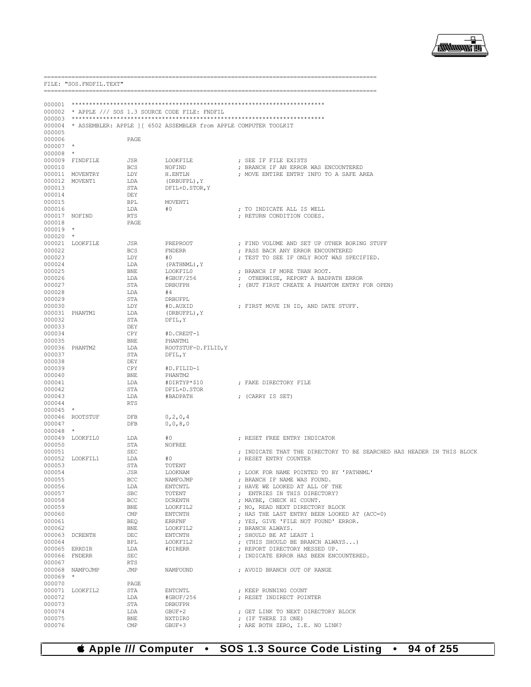

|                      | FILE: "SOS. FNDFIL. TEXT" |                     |                                                                          |                                                                                  |
|----------------------|---------------------------|---------------------|--------------------------------------------------------------------------|----------------------------------------------------------------------------------|
|                      |                           |                     |                                                                          |                                                                                  |
|                      |                           |                     | 000002 * APPLE /// SOS 1.3 SOURCE CODE FILE: FNDFIL                      |                                                                                  |
|                      |                           |                     |                                                                          |                                                                                  |
|                      |                           |                     | 000004 * ASSEMBLER: APPLE ] [ 6502 ASSEMBLER from APPLE COMPUTER TOOLKIT |                                                                                  |
| 000005               |                           |                     |                                                                          |                                                                                  |
| 000006               |                           | PAGE                |                                                                          |                                                                                  |
| $000007$ *           |                           |                     |                                                                          |                                                                                  |
| $000008$ *           |                           |                     |                                                                          | ; SEE IF FILE EXISTS                                                             |
| 000010               | 000009 FINDFILE           | JSR<br>BCS          | LOOKFILE<br>NOFIND                                                       | ; BRANCH IF AN ERROR WAS ENCOUNTERED                                             |
|                      | 000011 MOVENTRY           | LDY                 | H.ENTLN                                                                  | ; MOVE ENTIRE ENTRY INFO TO A SAFE AREA                                          |
|                      | 000012 MOVENT1            | LDA                 | (DRBUFPL), Y                                                             |                                                                                  |
| 000013               |                           | STA                 | DFIL+D.STOR, Y                                                           |                                                                                  |
| 000014               |                           | DEY                 |                                                                          |                                                                                  |
| 000015               |                           | BPL                 | MOVENT1                                                                  |                                                                                  |
| 000016               |                           | LDA                 | #0                                                                       | ; TO INDICATE ALL IS WELL                                                        |
|                      | 000017 NOFIND             | RTS                 |                                                                          | ; RETURN CONDITION CODES.                                                        |
| 000018               |                           | PAGE                |                                                                          |                                                                                  |
| $000019$ *           |                           |                     |                                                                          |                                                                                  |
| $000020$ *           |                           |                     |                                                                          |                                                                                  |
| 000022               | 000021 LOOKFILE           | JSR<br><b>BCS</b>   | PREPROOT<br><b>FNDERR</b>                                                | ; FIND VOLUME AND SET UP OTHER BORING STUFF<br>; PASS BACK ANY ERROR ENCOUNTERED |
| 000023               |                           | LDY                 | #0                                                                       | ; TEST TO SEE IF ONLY ROOT WAS SPECIFIED.                                        |
| 000024               |                           | LDA                 | (PATHNML), Y                                                             |                                                                                  |
| 000025               |                           | BNE                 | LOOKFIL0                                                                 | ; BRANCH IF MORE THAN ROOT.                                                      |
| 000026               |                           | LDA                 | #GBUF/256                                                                | ; OTHERWISE, REPORT A BADPATH ERROR                                              |
| 000027               |                           | STA                 | DRBUFPH                                                                  | ; (BUT FIRST CREATE A PHANTOM ENTRY FOR OPEN)                                    |
| 000028               |                           | LDA                 | #4                                                                       |                                                                                  |
| 000029               |                           | STA                 | DRBUFPL                                                                  |                                                                                  |
| 000030               |                           | LDY                 | #D.AUXID                                                                 | ; FIRST MOVE IN ID, AND DATE STUFF.                                              |
|                      | 000031 PHANTM1            | LDA                 | (DRBUFPL), Y                                                             |                                                                                  |
| 000032               |                           | STA                 | DFIL, Y                                                                  |                                                                                  |
| 000033<br>000034     |                           | DEY<br>CPY          | #D.CREDT-1                                                               |                                                                                  |
| 000035               |                           | BNE                 | PHANTM1                                                                  |                                                                                  |
|                      | 000036 PHANTM2            | LDA                 | ROOTSTUF-D.FILID, Y                                                      |                                                                                  |
| 000037               |                           | STA                 | DFIL, Y                                                                  |                                                                                  |
| 000038               |                           | DEY                 |                                                                          |                                                                                  |
| 000039               |                           | CPY                 | #D.FILID-1                                                               |                                                                                  |
| 000040               |                           | BNE                 | PHANTM2                                                                  |                                                                                  |
| 000041               |                           | LDA                 | #DIRTYP*\$10                                                             | ; FAKE DIRECTORY FILE                                                            |
| 000042               |                           | STA                 | DFIL+D.STOR                                                              |                                                                                  |
| 000043               |                           | LDA                 | #BADPATH                                                                 | ; (CARRY IS SET)                                                                 |
| 000044<br>$000045$ * |                           | <b>RTS</b>          |                                                                          |                                                                                  |
|                      | 000046 ROOTSTUF           | DFB                 | 0, 2, 0, 4                                                               |                                                                                  |
| 000047               |                           | DFB                 | 0, 0, 8, 0                                                               |                                                                                  |
| $000048$ *           |                           |                     |                                                                          |                                                                                  |
|                      | 000049 LOOKFIL0           | LDA                 | #0                                                                       | ; RESET FREE ENTRY INDICATOR                                                     |
| 000050               |                           | STA                 | NOFREE                                                                   |                                                                                  |
| 000051               |                           | <b>SEC</b>          |                                                                          | ; INDICATE THAT THE DIRECTORY TO BE SEARCHED HAS HEADER IN THIS BLOCK            |
|                      | 000052 LOOKFIL1           | LDA                 | #0                                                                       | ; RESET ENTRY COUNTER                                                            |
| 000053               |                           | STA                 | TOTENT                                                                   |                                                                                  |
| 000054               |                           | JSR                 | LOOKNAM                                                                  | ; LOOK FOR NAME POINTED TO BY 'PATHNML'                                          |
| 000055<br>000056     |                           | $_{\rm BCC}$<br>LDA | NAMFOJMP<br>ENTCNTL                                                      | ; BRANCH IF NAME WAS FOUND.<br>; HAVE WE LOOKED AT ALL OF THE                    |
| 000057               |                           | <b>SBC</b>          | TOTENT                                                                   | : ENTRIES IN THIS DIRECTORY?                                                     |
| 000058               |                           | BCC                 | DCRENTH                                                                  | ; MAYBE, CHECK HI COUNT.                                                         |
| 000059               |                           | <b>BNE</b>          | LOOKFIL2                                                                 | ; NO, READ NEXT DIRECTORY BLOCK                                                  |
| 000060               |                           | CMP                 | ENTCNTH                                                                  | ; HAS THE LAST ENTRY BEEN LOOKED AT (ACC=0)                                      |
| 000061               |                           | <b>BEQ</b>          | <b>ERRFNF</b>                                                            | ; YES, GIVE 'FILE NOT FOUND' ERROR.                                              |
| 000062               |                           | <b>BNE</b>          | LOOKFIL2                                                                 | ; BRANCH ALWAYS.                                                                 |
| 000063               | DCRENTH                   | DEC                 | <b>ENTCNTH</b>                                                           | : SHOULD BE AT LEAST 1                                                           |
| 000064               |                           | <b>BPL</b>          | LOOKFIL2                                                                 | ; (THIS SHOULD BE BRANCH ALWAYS)                                                 |
|                      | 000065 ERRDIR             | LDA                 | #DIRERR                                                                  | ; REPORT DIRECTORY MESSED UP.                                                    |
| 000066<br>000067     | <b>FNDERR</b>             | SEC                 |                                                                          | ; INDICATE ERROR HAS BEEN ENCOUNTERED.                                           |
|                      | 000068 NAMFOJMP           | <b>RTS</b><br>JMP   |                                                                          | ; AVOID BRANCH OUT OF RANGE                                                      |
| 000069               | $\star$                   |                     | NAMFOUND                                                                 |                                                                                  |
| 000070               |                           | PAGE                |                                                                          |                                                                                  |
| 000071               | LOOKFIL2                  | STA                 | ENTCNTL                                                                  | ; KEEP RUNNING COUNT                                                             |
| 000072               |                           | LDA                 | #GBUF/256                                                                | ; RESET INDIRECT POINTER                                                         |
| 000073               |                           | STA                 | DRBUFPH                                                                  |                                                                                  |
| 000074               |                           | LDA                 | GBUF+2                                                                   | ; GET LINK TO NEXT DIRECTORY BLOCK                                               |
| 000075               |                           | <b>BNE</b>          | NXTDIR0                                                                  | ; (IF THERE IS ONE)                                                              |
| 000076               |                           | $\text{CMP}$        | GBUF+3                                                                   | ; ARE BOTH ZERO, I.E. NO LINK?                                                   |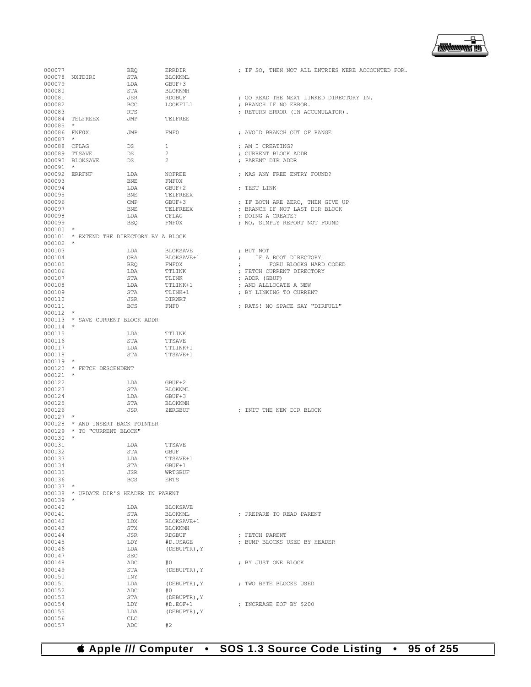

| 000077       |                                          | BEQ          | ERRDIR          | ; IF SO, THEN NOT ALL ENTRIES WERE ACCOUNTED FOR. |
|--------------|------------------------------------------|--------------|-----------------|---------------------------------------------------|
|              | 000078 NXTDIR0                           | STA          | BLOKNML         |                                                   |
|              |                                          |              |                 |                                                   |
| 000079       |                                          | LDA          | GBUF+3          |                                                   |
| 000080       |                                          | STA          | BLOKNMH         |                                                   |
| 000081       |                                          | JSR          | <b>RDGBUF</b>   | ; GO READ THE NEXT LINKED DIRECTORY IN.           |
| 000082       |                                          | <b>BCC</b>   | LOOKFIL1        | ; BRANCH IF NO ERROR.                             |
| 000083       |                                          | RTS          |                 | ; RETURN ERROR (IN ACCUMULATOR).                  |
|              | 000084 TELFREEX                          | JMP          | TELFREE         |                                                   |
| $000085$ *   |                                          |              |                 |                                                   |
| 000086 FNF0X |                                          | <b>JMP</b>   | ${\rm FNFO}$    | ; AVOID BRANCH OUT OF RANGE                       |
| $000087$ *   |                                          |              |                 |                                                   |
|              |                                          |              |                 |                                                   |
|              | 000088 CFLAG                             | DS           | $\mathbf{1}$    | ; AM I CREATING?                                  |
|              | 000089 TTSAVE                            | DS           | $\overline{2}$  | ; CURRENT BLOCK ADDR                              |
|              | 000090 BLOKSAVE                          | DS           | $\overline{2}$  | ; PARENT DIR ADDR                                 |
| 000091 *     |                                          |              |                 |                                                   |
|              | 000092 ERRFNF                            | LDA          | NOFREE          | ; WAS ANY FREE ENTRY FOUND?                       |
| 000093       |                                          | BNE          | FNFOX           |                                                   |
| 000094       |                                          | LDA          | GBUF+2          | ; TEST LINK                                       |
| 000095       |                                          | BNE          | TELFREEX        |                                                   |
|              |                                          |              | GBUF+3          |                                                   |
| 000096       |                                          | $\text{CMP}$ |                 | ; IF BOTH ARE ZERO, THEN GIVE UP                  |
| 000097       |                                          | BNE          | TELFREEX        | ; BRANCH IF NOT LAST DIR BLOCK                    |
| 000098       |                                          | LDA          | CFLAG           | ; DOING A CREATE?                                 |
| 000099       |                                          | BEO          | <b>FNFOX</b>    | ; NO, SIMPLY REPORT NOT FOUND                     |
| $000100$ *   |                                          |              |                 |                                                   |
|              | 000101 * EXTEND THE DIRECTORY BY A BLOCK |              |                 |                                                   |
| $000102$ *   |                                          |              |                 |                                                   |
| 000103       |                                          | LDA          | BLOKSAVE        | : BUT NOT                                         |
| 000104       |                                          |              |                 | ; IF A ROOT DIRECTORY!                            |
|              |                                          | ORA          | BLOKSAVE+1      |                                                   |
| 000105       |                                          | BEO          | <b>FNFOX</b>    | ; FORU BLOCKS HARD CODED                          |
| 000106       |                                          | LDA          | TTLINK          | ; FETCH CURRENT DIRECTORY                         |
| 000107       |                                          | STA          | TLINK           | ; ADDR (GBUF)                                     |
| 000108       |                                          | LDA          | TTLINK+1        | ; AND ALLLOCATE A NEW                             |
| 000109       |                                          | STA          | TLINK+1         | ; BY LINKING TO CURRENT                           |
| 000110       |                                          | JSR          | DIRWRT          |                                                   |
| 000111       |                                          |              | FNF0            | ; RATS! NO SPACE SAY "DIRFULL"                    |
|              |                                          | BCS          |                 |                                                   |
| $000112$ *   |                                          |              |                 |                                                   |
|              | 000113 * SAVE CURRENT BLOCK ADDR         |              |                 |                                                   |
| $000114$ *   |                                          |              |                 |                                                   |
| 000115       |                                          | LDA          | TTLINK          |                                                   |
| 000116       |                                          | STA          | TTSAVE          |                                                   |
| 000117       |                                          | LDA          | TTLINK+1        |                                                   |
| 000118       |                                          | STA          | TTSAVE+1        |                                                   |
| $000119$ *   |                                          |              |                 |                                                   |
|              |                                          |              |                 |                                                   |
|              | 000120 * FETCH DESCENDENT                |              |                 |                                                   |
| $000121$ *   |                                          |              |                 |                                                   |
| 000122       |                                          | LDA          | GBUF+2          |                                                   |
| 000123       |                                          | STA          | BLOKNML         |                                                   |
| 000124       |                                          | LDA          | GBUF+3          |                                                   |
| 000125       |                                          | STA          | BLOKNMH         |                                                   |
| 000126       |                                          | JSR          | ZERGBUF         | ; INIT THE NEW DIR BLOCK                          |
|              |                                          |              |                 |                                                   |
| $000127$ *   |                                          |              |                 |                                                   |
|              | 000128 * AND INSERT BACK POINTER         |              |                 |                                                   |
|              | 000129 * TO "CURRENT BLOCK"              |              |                 |                                                   |
| $000130$ *   |                                          |              |                 |                                                   |
| 000131       |                                          | LDA          | TTSAVE          |                                                   |
| 000132       |                                          | <b>STA</b>   | <b>GBUF</b>     |                                                   |
| 000133       |                                          | LDA          | TTSAVE+1        |                                                   |
| 000134       |                                          | STA          | GBUF+1          |                                                   |
| 000135       |                                          | JSR          | WRTGBUF         |                                                   |
| 000136       |                                          | <b>BCS</b>   | ERTS            |                                                   |
|              |                                          |              |                 |                                                   |
| $000137$ *   |                                          |              |                 |                                                   |
| 000138       | * UPDATE DIR'S HEADER IN PARENT          |              |                 |                                                   |
| 000139       | $\star$                                  |              |                 |                                                   |
| 000140       |                                          | LDA          | <b>BLOKSAVE</b> |                                                   |
| 000141       |                                          | STA          | BLOKNML         | : PREPARE TO READ PARENT                          |
| 000142       |                                          | LDX          | BLOKSAVE+1      |                                                   |
| 000143       |                                          | STX          | BLOKNMH         |                                                   |
|              |                                          |              |                 |                                                   |
| 000144       |                                          | JSR          | RDGBUF          | ; FETCH PARENT                                    |
| 000145       |                                          | LDY          | #D.USAGE        | ; BUMP BLOCKS USED BY HEADER                      |
| 000146       |                                          | LDA          | (DEBUPTR), Y    |                                                   |
| 000147       |                                          | <b>SEC</b>   |                 |                                                   |
| 000148       |                                          | ADC          | #0              | ; BY JUST ONE BLOCK                               |
| 000149       |                                          | STA          | (DEBUPTR), Y    |                                                   |
| 000150       |                                          | INY          |                 |                                                   |
|              |                                          |              |                 |                                                   |
| 000151       |                                          | LDA          | (DEBUPTR), Y    | ; TWO BYTE BLOCKS USED                            |
| 000152       |                                          | ADC          | #0              |                                                   |
| 000153       |                                          | STA          | (DEBUPTR), Y    |                                                   |
| 000154       |                                          | LDY          | $#D.EOF+1$      | ; INCREASE EOF BY \$200                           |
| 000155       |                                          | LDA          | (DEBUPTR), Y    |                                                   |
| 000156       |                                          | CLC          |                 |                                                   |
| 000157       |                                          | ADC          | #2              |                                                   |
|              |                                          |              |                 |                                                   |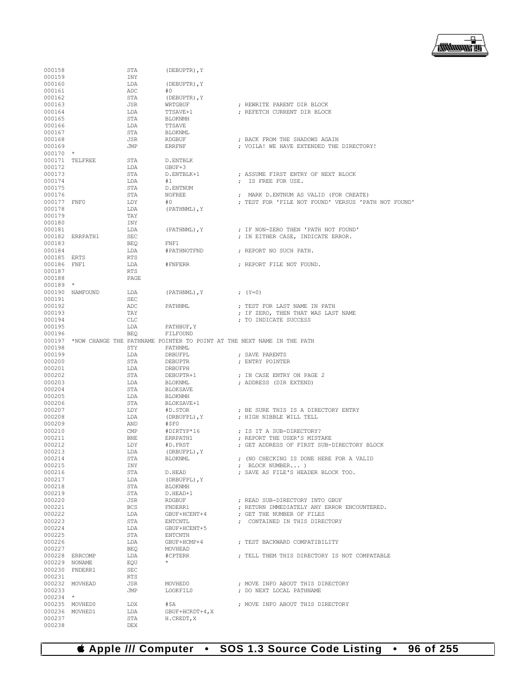

| 000158      |                 |              |                 |                                                                               |
|-------------|-----------------|--------------|-----------------|-------------------------------------------------------------------------------|
|             |                 | STA          | (DEBUPTR), Y    |                                                                               |
| 000159      |                 | INY          |                 |                                                                               |
| 000160      |                 | LDA          | (DEBUPTR), Y    |                                                                               |
| 000161      |                 | ADC          | #0              |                                                                               |
|             |                 | STA          |                 |                                                                               |
| 000162      |                 |              | (DEBUPTR), Y    |                                                                               |
| 000163      |                 | JSR          | WRTGBUF         | ; REWRITE PARENT DIR BLOCK                                                    |
| 000164      |                 | LDA          | TTSAVE+1        | ; REFETCH CURRENT DIR BLOCK                                                   |
| 000165      |                 | STA          | BLOKNMH         |                                                                               |
| 000166      |                 | LDA          | TTSAVE          |                                                                               |
|             |                 |              |                 |                                                                               |
| 000167      |                 | STA          | BLOKNML         |                                                                               |
| 000168      |                 | JSR          | RDGBUF          | ; BACK FROM THE SHADOWS AGAIN                                                 |
| 000169      |                 | JMP          | ERRFNF          | ; VOILA! WE HAVE EXTENDED THE DIRECTORY!                                      |
| $000170$ *  |                 |              |                 |                                                                               |
|             |                 |              |                 |                                                                               |
|             | 000171 TELFREE  | STA          | D.ENTBLK        |                                                                               |
| 000172      |                 | LDA          | GBUF+3          |                                                                               |
| 000173      |                 | STA          | D.ENTBLK+1      | ; ASSUME FIRST ENTRY OF NEXT BLOCK                                            |
|             |                 |              |                 | : IS FREE FOR USE.                                                            |
| 000174      |                 | LDA          | #1              |                                                                               |
| 000175      |                 | STA          | D.ENTNUM        |                                                                               |
| 000176      |                 | STA          | NOFREE          | ; MARK D.ENTNUM AS VALID (FOR CREATE)                                         |
| 000177 FNF0 |                 | LDY          | #O              | ; TEST FOR 'FILE NOT FOUND' VERSUS 'PATH NOT FOUND'                           |
|             |                 |              |                 |                                                                               |
| 000178      |                 | LDA          | (PATHNML), Y    |                                                                               |
| 000179      |                 | TAY          |                 |                                                                               |
| 000180      |                 | INY          |                 |                                                                               |
| 000181      |                 | LDA          | (PATHNML), Y    | ; IF NON-ZERO THEN 'PATH NOT FOUND'                                           |
|             |                 |              |                 |                                                                               |
|             | 000182 ERRPATH1 | SEC          |                 | ; IN EITHER CASE, INDICATE ERROR.                                             |
| 000183      |                 | BEO          | FNF1            |                                                                               |
| 000184      |                 | LDA          | #PATHNOTFND     | ; REPORT NO SUCH PATH.                                                        |
| 000185 ERTS |                 | RTS          |                 |                                                                               |
|             |                 |              |                 |                                                                               |
| 000186 FNF1 |                 | LDA          | #FNFERR         | : REPORT FILE NOT FOUND.                                                      |
| 000187      |                 | <b>RTS</b>   |                 |                                                                               |
| 000188      |                 | PAGE         |                 |                                                                               |
|             |                 |              |                 |                                                                               |
| $000189$ *  |                 |              |                 |                                                                               |
|             | 000190 NAMFOUND | LDA          | (PATHNML), Y    | ; (Y=0)                                                                       |
| 000191      |                 | SEC          |                 |                                                                               |
| 000192      |                 | ADC          | PATHNML         | ; TEST FOR LAST NAME IN PATH                                                  |
| 000193      |                 | TAY          |                 |                                                                               |
|             |                 |              |                 | ; IF ZERO, THEN THAT WAS LAST NAME                                            |
| 000194      |                 | <b>CLC</b>   |                 | ; TO INDICATE SUCCESS                                                         |
| 000195      |                 | LDA          | PATHBUF, Y      |                                                                               |
| 000196      |                 | BEO          | FILFOUND        |                                                                               |
|             |                 |              |                 |                                                                               |
|             |                 |              |                 | 000197 *NOW CHANGE THE PATHNAME POINTER TO POINT AT THE NEXT NAME IN THE PATH |
| 000198      |                 | STY          | PATHNML         |                                                                               |
| 000199      |                 | LDA          | DRBUFPL         | ; SAVE PARENTS                                                                |
| 000200      |                 | STA          | DEBUPTR         | ; ENTRY POINTER                                                               |
|             |                 |              |                 |                                                                               |
| 000201      |                 | LDA          | DRBUFPH         |                                                                               |
| 000202      |                 | STA          | DEBUPTR+1       | ; IN CASE ENTRY ON PAGE 2                                                     |
| 000203      |                 | LDA          | BLOKNML         | ; ADDRESS (DIR EXTEND)                                                        |
| 000204      |                 |              |                 |                                                                               |
|             |                 |              |                 |                                                                               |
|             |                 | STA          | BLOKSAVE        |                                                                               |
| 000205      |                 | LDA          | BLOKNMH         |                                                                               |
| 000206      |                 | STA          | BLOKSAVE+1      |                                                                               |
| 000207      |                 | LDY          | #D.STOR         |                                                                               |
|             |                 |              |                 | ; BE SURE THIS IS A DIRECTORY ENTRY                                           |
| 000208      |                 | LDA          | (DRBUFPL), Y    | ; HIGH NIBBLE WILL TELL                                                       |
| 000209      |                 | AND          | #\$F0           |                                                                               |
| 000210      |                 | $\text{CMP}$ | #DIRTYP*16      | ; IS IT A SUB-DIRECTORY?                                                      |
| 000211      |                 | BNE          | ERRPATH1        | ; REPORT THE USER'S MISTAKE                                                   |
|             |                 |              |                 |                                                                               |
| 000212      |                 | LDY          | #D.FRST         | ; GET ADDRESS OF FIRST SUB-DIRECTORY BLOCK                                    |
| 000213      |                 | LDA          | (DRBUFPL), Y    |                                                                               |
| 000214      |                 | STA          | BLOKNML         | ; (NO CHECKING IS DONE HERE FOR A VALID                                       |
| 000215      |                 | INY          |                 | ; BLOCK NUMBER)                                                               |
|             |                 |              |                 |                                                                               |
| 000216      |                 | STA          | D.HEAD          | ; SAVE AS FILE'S HEADER BLOCK TOO.                                            |
| 000217      |                 | LDA          | (DRBUFPL), Y    |                                                                               |
| 000218      |                 | STA          | BLOKNMH         |                                                                               |
|             |                 |              |                 |                                                                               |
| 000219      |                 | STA          | D.HEAD+1        |                                                                               |
| 000220      |                 | JSR          | RDGBUF          | ; READ SUB-DIRECTORY INTO GBUF                                                |
| 000221      |                 | BCS          | FNDERR1         | ; RETURN IMMEDIATELY ANY ERROR ENCOUNTERED.                                   |
| 000222      |                 | LDA          | GBUF+HCENT+4    | : GET THE NUMBER OF FILES                                                     |
| 000223      |                 | STA          | ENTCNTL         | ; CONTAINED IN THIS DIRECTORY                                                 |
|             |                 |              |                 |                                                                               |
| 000224      |                 | LDA          | GBUF+HCENT+5    |                                                                               |
| 000225      |                 | STA          | ENTCNTH         |                                                                               |
| 000226      |                 | LDA          | GBUF+HCMP+4     | : TEST BACKWARD COMPATIBILITY                                                 |
|             |                 |              |                 |                                                                               |
| 000227      |                 | BEQ          | MOVHEAD         |                                                                               |
|             | 000228 ERRCOMP  | LDA          | #CPTERR         | ; TELL THEM THIS DIRECTORY IS NOT COMPATABLE                                  |
|             | 000229 NONAME   | EOU          | $\star$         |                                                                               |
|             | 000230 FNDERR1  | SEC          |                 |                                                                               |
|             |                 |              |                 |                                                                               |
| 000231      |                 | RTS          |                 |                                                                               |
|             | 000232 MOVHEAD  | JSR          | MOVHED0         | ; MOVE INFO ABOUT THIS DIRECTORY                                              |
| 000233      |                 | JMP          | LOOKFIL0        | ; DO NEXT LOCAL PATHNAME                                                      |
| $000234$ *  |                 |              |                 |                                                                               |
|             |                 |              |                 |                                                                               |
|             | 000235 MOVHED0  | LDX          | #\$A            | ; MOVE INFO ABOUT THIS DIRECTORY                                              |
|             | 000236 MOVHED1  | LDA          | GBUF+HCRDT+4, X |                                                                               |
| 000237      |                 | STA          | H.CREDT, X      |                                                                               |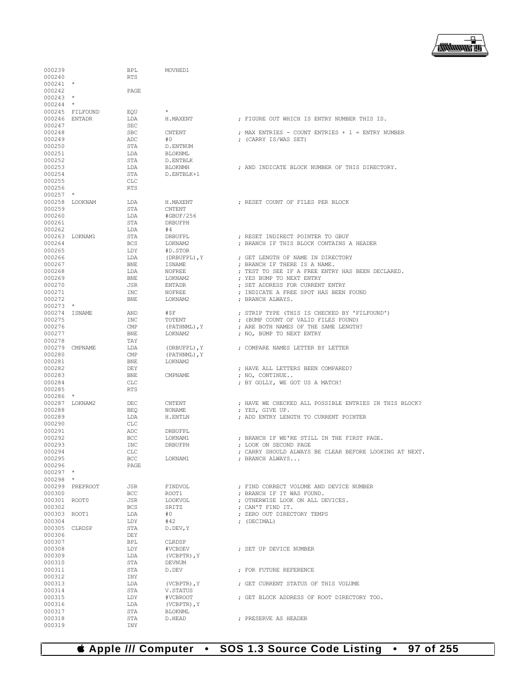

| 000239               |                 | BPL               | MOVHED1                 |                                                                          |  |
|----------------------|-----------------|-------------------|-------------------------|--------------------------------------------------------------------------|--|
| 000240<br>$000241$ * |                 | <b>RTS</b>        |                         |                                                                          |  |
| 000242               |                 | PAGE              |                         |                                                                          |  |
| $000243$ *           |                 |                   |                         |                                                                          |  |
| $000244$ *           |                 |                   |                         |                                                                          |  |
|                      | 000245 FILFOUND | EOU               |                         |                                                                          |  |
| 000246 ENTADR        |                 | LDA               | H.MAXENT                | ; FIGURE OUT WHICH IS ENTRY NUMBER THIS IS.                              |  |
| 000247               |                 | SEC               |                         |                                                                          |  |
| 000248               |                 | <b>SBC</b>        | CNTENT                  | ; MAX ENTRIES - COUNT ENTRIES + $1$ = ENTRY NUMBER                       |  |
| 000249               |                 | ADC               | #0                      | ; (CARRY IS/WAS SET)                                                     |  |
| 000250               |                 | STA               | D.ENTNUM                |                                                                          |  |
| 000251               |                 | LDA               | BLOKNML                 |                                                                          |  |
| 000252               |                 | STA               | D.ENTBLK                |                                                                          |  |
| 000253<br>000254     |                 | LDA<br>STA        | BLOKNMH<br>D.ENTBLK+1   | : AND INDICATE BLOCK NUMBER OF THIS DIRECTORY.                           |  |
| 000255               |                 | <b>CLC</b>        |                         |                                                                          |  |
| 000256               |                 | <b>RTS</b>        |                         |                                                                          |  |
| $000257$ *           |                 |                   |                         |                                                                          |  |
|                      | 000258 LOOKNAM  | LDA               | H.MAXENT                | ; RESET COUNT OF FILES PER BLOCK                                         |  |
| 000259               |                 | STA               | CNTENT                  |                                                                          |  |
| 000260               |                 | LDA               | #GBUF/256               |                                                                          |  |
| 000261               |                 | STA               | DRBUFPH                 |                                                                          |  |
| 000262               |                 | LDA               | #4                      |                                                                          |  |
| 000263 LOKNAM1       |                 | STA               | DRBUFPL                 | ; RESET INDIRECT POINTER TO GBUF                                         |  |
| 000264<br>000265     |                 | <b>BCS</b>        | LOKNAM2                 | ; BRANCH IF THIS BLOCK CONTAINS A HEADER                                 |  |
| 000266               |                 | LDY<br>LDA        | #D.STOR<br>(DRBUFPL), Y | ; GET LENGTH OF NAME IN DIRECTORY                                        |  |
| 000267               |                 | <b>BNE</b>        | ISNAME                  | ; BRANCH IF THERE IS A NAME.                                             |  |
| 000268               |                 | LDA               | NOFREE                  | ; TEST TO SEE IF A FREE ENTRY HAS BEEN DECLARED.                         |  |
| 000269               |                 | <b>BNE</b>        | LOKNAM2                 | ; YES BUMP TO NEXT ENTRY                                                 |  |
| 000270               |                 | JSR               | ENTADR                  | : SET ADDRESS FOR CURRENT ENTRY                                          |  |
| 000271               |                 | INC               | NOFREE                  | ; INDICATE A FREE SPOT HAS BEEN FOUND                                    |  |
| 000272               |                 | <b>BNE</b>        | LOKNAM2                 | : BRANCH ALWAYS.                                                         |  |
| $000273$ *           |                 |                   |                         |                                                                          |  |
| 000274 ISNAME        |                 | AND               | #\$F                    | ; STRIP TYPE (THIS IS CHECKED BY 'FILFOUND')                             |  |
| 000275               |                 | INC               | TOTENT                  | ; (BUMP COUNT OF VALID FILES FOUND)                                      |  |
| 000276               |                 | $\text{CMP}$      | (PATHNML), Y            | ; ARE BOTH NAMES OF THE SAME LENGTH?                                     |  |
| 000277<br>000278     |                 | <b>BNE</b><br>TAY | LOKNAM2                 | ; NO, BUMP TO NEXT ENTRY                                                 |  |
|                      | 000279 CMPNAME  | LDA               | (DRBUFPL), Y            | ; COMPARE NAMES LETTER BY LETTER                                         |  |
| 000280               |                 | CMP               | (PATHNML), Y            |                                                                          |  |
| 000281               |                 | BNE               | LOKNAM2                 |                                                                          |  |
| 000282               |                 | DEY               |                         | ; HAVE ALL LETTERS BEEN COMPARED?                                        |  |
| 000283               |                 | <b>BNE</b>        | CMPNAME                 | ; NO, CONTINUE                                                           |  |
| 000284               |                 | CLC               |                         | ; BY GOLLY, WE GOT US A MATCH!                                           |  |
| 000285               |                 | <b>RTS</b>        |                         |                                                                          |  |
| $000286$ *           |                 |                   |                         |                                                                          |  |
|                      | 000287 LOKNAM2  | DEC               | CNTENT                  | ; HAVE WE CHECKED ALL POSSIBLE ENTRIES IN THIS BLOCK?<br>; YES, GIVE UP. |  |
| 000288<br>000289     |                 | <b>BEQ</b><br>LDA | NONAME<br>H.ENTLN       | ; ADD ENTRY LENGTH TO CURRENT POINTER                                    |  |
| 000290               |                 | CLC               |                         |                                                                          |  |
| 000291               |                 | ADC               | DRBUFPL                 |                                                                          |  |
| 000292               |                 | <b>BCC</b>        | LOKNAM1                 | ; BRANCH IF WE'RE STILL IN THE FIRST PAGE.                               |  |
| 000293               |                 | INC               | DRBUFPH                 | ; LOOK ON SECOND PAGE                                                    |  |
| 000294               |                 | CLC               |                         | ; CARRY SHOULD ALWAYS BE CLEAR BEFORE LOOKING AT NEXT.                   |  |
| 000295               |                 | BCC               | LOKNAM1                 | ; BRANCH ALWAYS                                                          |  |
| 000296               |                 | PAGE              |                         |                                                                          |  |
| $000297$ *           |                 |                   |                         |                                                                          |  |
| $000298$ *           | 000299 PREPROOT | JSR               | FINDVOL                 | ; FIND CORRECT VOLUME AND DEVICE NUMBER                                  |  |
| 000300               |                 | BCC               | ROOT1                   | ; BRANCH IF IT WAS FOUND.                                                |  |
| 000301 ROOT0         |                 | JSR               | LOOKVOL                 | ; OTHERWISE LOOK ON ALL DEVICES.                                         |  |
| 000302               |                 | <b>BCS</b>        | SRITZ                   | ; CAN'T FIND IT.                                                         |  |
| 000303 ROOT1         |                 | LDA               | #0                      | ; ZERO OUT DIRECTORY TEMPS                                               |  |
| 000304               |                 | LDY               | #42                     | ; (DECIMAL)                                                              |  |
| 000305 CLRDSP        |                 | STA               | D.DEV, Y                |                                                                          |  |
| 000306               |                 | DEY               |                         |                                                                          |  |
| 000307               |                 | BPL               | CLRDSP                  |                                                                          |  |
| 000308               |                 | LDY               | #VCBDEV                 | ; SET UP DEVICE NUMBER                                                   |  |
| 000309<br>000310     |                 | LDA<br>STA        | (VCBPTR), Y<br>DEVNUM   |                                                                          |  |
| 000311               |                 | STA               | D.DEV                   | ; FOR FUTURE REFERENCE                                                   |  |
| 000312               |                 | INY               |                         |                                                                          |  |
| 000313               |                 | LDA               | (VCBPTR), Y             | ; GET CURRENT STATUS OF THIS VOLUME                                      |  |
| 000314               |                 | STA               | V.STATUS                |                                                                          |  |
| 000315               |                 | LDY               | #VCBROOT                | ; GET BLOCK ADDRESS OF ROOT DIRECTORY TOO.                               |  |
| 000316               |                 | LDA               | $(VCBPTR)$ , $Y$        |                                                                          |  |
| 000317               |                 | STA               | BLOKNML                 |                                                                          |  |
| 000318               |                 | STA               | D.HEAD                  | ; PRESERVE AS HEADER                                                     |  |
| 000319               |                 | INY               |                         |                                                                          |  |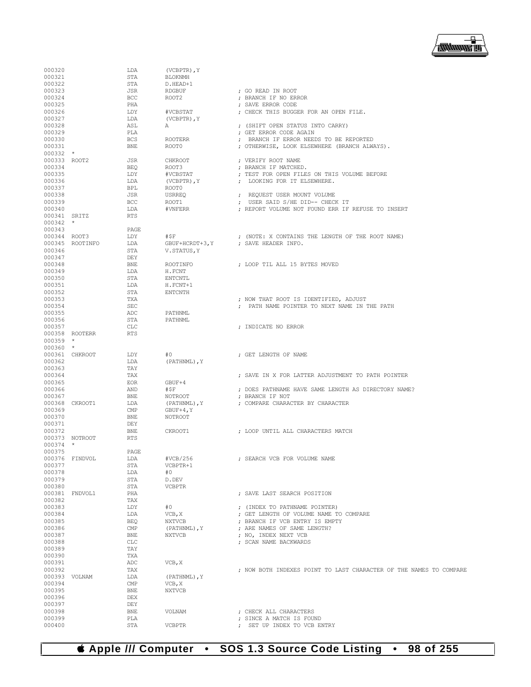# **Apple /// Computer • SOS 1.3 Source Code Listing • 98 of 255**

| 000320           |                 | LDA               | $(VCBPTR)$ , $Y$          |                                                                    |
|------------------|-----------------|-------------------|---------------------------|--------------------------------------------------------------------|
| 000321           |                 | STA               | <b>BLOKNMH</b>            |                                                                    |
| 000322           |                 | STA               | D.HEAD+1                  |                                                                    |
| 000323<br>000324 |                 | JSR<br><b>BCC</b> | <b>RDGBUF</b><br>ROOT2    | ; GO READ IN ROOT<br>; BRANCH IF NO ERROR                          |
| 000325           |                 | PHA               |                           | ; SAVE ERROR CODE                                                  |
| 000326           |                 | LDY               | #VCBSTAT                  | ; CHECK THIS BUGGER FOR AN OPEN FILE.                              |
| 000327           |                 | LDA               | (VCBPTR), Y               |                                                                    |
| 000328           |                 | ASL               | Α                         | ; (SHIFT OPEN STATUS INTO CARRY)                                   |
| 000329           |                 | PLA               |                           | ; GET ERROR CODE AGAIN                                             |
| 000330           |                 | <b>BCS</b>        | <b>ROOTERR</b>            | ; BRANCH IF ERROR NEEDS TO BE REPORTED                             |
| 000331           |                 | <b>BNE</b>        | ROOT0                     | ; OTHERWISE, LOOK ELSEWHERE (BRANCH ALWAYS).                       |
| $000332$ *       |                 |                   |                           |                                                                    |
| 000333 ROOT2     |                 | JSR               | <b>CHKROOT</b>            | ; VERIFY ROOT NAME                                                 |
| 000334           |                 | <b>BEQ</b>        | ROOT3                     | ; BRANCH IF MATCHED.                                               |
| 000335           |                 | LDY<br>LDA        | #VCBSTAT                  | ; TEST FOR OPEN FILES ON THIS VOLUME BEFORE                        |
| 000336<br>000337 |                 | <b>BPL</b>        | $(VCBPTR)$ , $Y$<br>ROOT0 | ; LOOKING FOR IT ELSEWHERE.                                        |
| 000338           |                 | JSR               | <b>USRREQ</b>             | ; REQUEST USER MOUNT VOLUME                                        |
| 000339           |                 | <b>BCC</b>        | ROOT1                     | ; USER SAID S/HE DID-- CHECK IT                                    |
| 000340           |                 | LDA               | #VNFERR                   | ; REPORT VOLUME NOT FOUND ERR IF REFUSE TO INSERT                  |
| 000341 SRITZ     |                 | <b>RTS</b>        |                           |                                                                    |
| $000342$ *       |                 |                   |                           |                                                                    |
| 000343           |                 | PAGE              |                           |                                                                    |
| 000344 ROOT3     |                 | LDY               | #\$F                      | ; (NOTE: X CONTAINS THE LENGTH OF THE ROOT NAME)                   |
|                  | 000345 ROOTINFO | LDA               | GBUF+HCRDT+3, Y           | ; SAVE HEADER INFO.                                                |
| 000346           |                 | STA               | V. STATUS, Y              |                                                                    |
| 000347           |                 | DEY               |                           |                                                                    |
| 000348           |                 | <b>BNE</b>        | ROOTINFO                  | ; LOOP TIL ALL 15 BYTES MOVED                                      |
| 000349<br>000350 |                 | LDA<br>STA        | H.FCNT                    |                                                                    |
| 000351           |                 | LDA               | ENTCNTL<br>H.FCNT+1       |                                                                    |
| 000352           |                 | STA               | <b>ENTCNTH</b>            |                                                                    |
| 000353           |                 | TXA               |                           | ; NOW THAT ROOT IS IDENTIFIED, ADJUST                              |
| 000354           |                 | <b>SEC</b>        |                           | ; PATH NAME POINTER TO NEXT NAME IN THE PATH                       |
| 000355           |                 | ADC               | PATHNML                   |                                                                    |
| 000356           |                 | STA               | PATHNML                   |                                                                    |
| 000357           |                 | <b>CLC</b>        |                           | ; INDICATE NO ERROR                                                |
|                  | 000358 ROOTERR  | <b>RTS</b>        |                           |                                                                    |
| $000359$ *       |                 |                   |                           |                                                                    |
| $000360$ *       |                 |                   |                           |                                                                    |
|                  | 000361 CHKROOT  | LDY               | #0                        | ; GET LENGTH OF NAME                                               |
| 000362<br>000363 |                 | LDA<br>TAY        | (PATHNML), Y              |                                                                    |
| 000364           |                 | TAX               |                           | ; SAVE IN X FOR LATTER ADJUSTMENT TO PATH POINTER                  |
| 000365           |                 | <b>EOR</b>        | GBUF+4                    |                                                                    |
| 000366           |                 | AND               | #\$F                      | ; DOES PATHNAME HAVE SAME LENGTH AS DIRECTORY NAME?                |
| 000367           |                 | <b>BNE</b>        | NOTROOT                   | ; BRANCH IF NOT                                                    |
|                  | 000368 CKROOT1  | LDA               | (PATHNML), Y              | ; COMPARE CHARACTER BY CHARACTER                                   |
| 000369           |                 | CMP               | $GBUF+4, Y$               |                                                                    |
| 000370           |                 | <b>BNE</b>        | NOTROOT                   |                                                                    |
| 000371           |                 | DEY               |                           |                                                                    |
| 000372           |                 | BNE               | CKROOT1                   | ; LOOP UNTIL ALL CHARACTERS MATCH                                  |
|                  | 000373 NOTROOT  | <b>RTS</b>        |                           |                                                                    |
| $000374$ *       |                 |                   |                           |                                                                    |
| 000375           | 000376 FINDVOL  | PAGE              | #VCB/256                  |                                                                    |
| 000377           |                 | LDA<br>STA        | VCBPTR+1                  | ; SEARCH VCB FOR VOLUME NAME                                       |
| 000378           |                 | LDA               | #0                        |                                                                    |
| 000379           |                 | STA               | D.DEV                     |                                                                    |
| 000380           |                 | STA               | <b>VCBPTR</b>             |                                                                    |
| 000381           | FNDVOL1         | PHA               |                           | ; SAVE LAST SEARCH POSITION                                        |
| 000382           |                 |                   |                           |                                                                    |
| 000383           |                 | TAX               |                           |                                                                    |
|                  |                 | LDY               | #0                        | ; (INDEX TO PATHNAME POINTER)                                      |
| 000384           |                 | LDA               | VCB, X                    | ; GET LENGTH OF VOLUME NAME TO COMPARE                             |
| 000385           |                 | <b>BEQ</b>        | <b>NXTVCB</b>             | ; BRANCH IF VCB ENTRY IS EMPTY                                     |
| 000386           |                 | CMP               | (PATHNML), Y              | ; ARE NAMES OF SAME LENGTH?                                        |
| 000387           |                 | <b>BNE</b>        | <b>NXTVCB</b>             | ; NO, INDEX NEXT VCB                                               |
| 000388           |                 | <b>CLC</b>        |                           | ; SCAN NAME BACKWARDS                                              |
| 000389           |                 | TAY               |                           |                                                                    |
| 000390           |                 | TXA               |                           |                                                                    |
| 000391           |                 | ADC<br>TAX        | VCB, X                    |                                                                    |
| 000392<br>000393 | VOLNAM          | LDA               | (PATHNML), Y              | ; NOW BOTH INDEXES POINT TO LAST CHARACTER OF THE NAMES TO COMPARE |
| 000394           |                 | CMP               | VCB, X                    |                                                                    |
| 000395           |                 | <b>BNE</b>        | <b>NXTVCB</b>             |                                                                    |
| 000396           |                 | DEX               |                           |                                                                    |
| 000397           |                 | DEY               |                           |                                                                    |
| 000398           |                 | <b>BNE</b>        | VOLNAM                    | ; CHECK ALL CHARACTERS                                             |
| 000399<br>000400 |                 | PLA<br>STA        | <b>VCBPTR</b>             | ; SINCE A MATCH IS FOUND<br>; SET UP INDEX TO VCB ENTRY            |

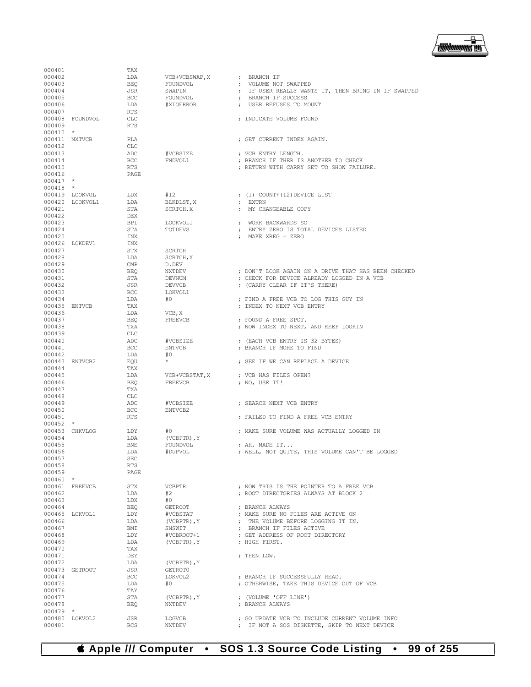

| 000401           |                 | TAX               |                                  |                                                                                                |
|------------------|-----------------|-------------------|----------------------------------|------------------------------------------------------------------------------------------------|
| 000402           |                 | LDA               | VCB+VCBSWAP, X                   | ; BRANCH IF                                                                                    |
| 000403           |                 | BEO               | FOUNDVOL                         | ; VOLUME NOT SWAPPED                                                                           |
| 000404           |                 | JSR               | SWAPIN                           | ; IF USER REALLY WANTS IT, THEN BRING IN IF SWAPPED                                            |
| 000405           |                 | <b>BCC</b>        | FOUNDVOL                         | ; BRANCH IF SUCCESS                                                                            |
| 000406           |                 | LDA               | #XIOERROR                        | ; USER REFUSES TO MOUNT                                                                        |
| 000407           | 000408 FOUNDVOL | RTS               |                                  | : INDICATE VOLUME FOUND                                                                        |
| 000409           |                 | CLC<br>RTS        |                                  |                                                                                                |
| $000410$ *       |                 |                   |                                  |                                                                                                |
| 000411 NXTVCB    |                 | PLA               |                                  | ; GET CURRENT INDEX AGAIN.                                                                     |
| 000412           |                 | CLC               |                                  |                                                                                                |
| 000413           |                 | ADC               | #VCBSIZE                         | ; VCB ENTRY LENGTH.                                                                            |
| 000414           |                 | <b>BCC</b>        | FNDVOL1                          | ; BRANCH IF THER IS ANOTHER TO CHECK                                                           |
| 000415           |                 | RTS               |                                  | ; RETURN WITH CARRY SET TO SHOW FAILURE.                                                       |
| 000416           |                 | PAGE              |                                  |                                                                                                |
| $000417$ *       |                 |                   |                                  |                                                                                                |
| $000418$ *       |                 |                   |                                  |                                                                                                |
|                  | 000419 LOOKVOL  | LDX               | #12                              | $(1)$ COUNT+ $(12)$ DEVICE LIST                                                                |
| 000421           | 000420 LOOKVOL1 | LDA<br>STA        | BLKDLST, X<br>SCRTCH, X          | ; EXTRN<br>; MY CHANGEABLE COPY                                                                |
| 000422           |                 | DEX               |                                  |                                                                                                |
| 000423           |                 | BPL               | LOOKVOL1                         | ; WORK BACKWARDS SO                                                                            |
| 000424           |                 | STA               | TOTDEVS                          | ; ENTRY ZERO IS TOTAL DEVICES LISTED                                                           |
| 000425           |                 | INX               |                                  | ; MAKE XREG = ZERO                                                                             |
|                  | 000426 LOKDEV1  | INX               |                                  |                                                                                                |
| 000427           |                 | STX               | SCRTCH                           |                                                                                                |
| 000428           |                 | LDA               | SCRTCH, X                        |                                                                                                |
| 000429           |                 | CMP               | D.DEV                            |                                                                                                |
| 000430           |                 | BEQ               | NXTDEV                           | ; DON'T LOOK AGAIN ON A DRIVE THAT HAS BEEN CHECKED                                            |
| 000431           |                 | STA               | DEVNUM                           | ; CHECK FOR DEVICE ALREADY LOGGED IN A VCB                                                     |
| 000432<br>000433 |                 | JSR<br><b>BCC</b> | DEVVCB                           | ; (CARRY CLEAR IF IT'S THERE)                                                                  |
| 000434           |                 | LDA               | LOKVOL1<br>#0                    | ; FIND A FREE VCB TO LOG THIS GUY IN                                                           |
| 000435 ENTVCB    |                 | TAX               |                                  | ; INDEX TO NEXT VCB ENTRY                                                                      |
| 000436           |                 | LDA               | VCB, X                           |                                                                                                |
| 000437           |                 | BEQ               | FREEVCB                          | ; FOUND A FREE SPOT.                                                                           |
| 000438           |                 | TXA               |                                  | ; NOW INDEX TO NEXT, AND KEEP LOOKIN                                                           |
| 000439           |                 | CLC               |                                  |                                                                                                |
| 000440           |                 | ADC               | #VCBSIZE                         | ; (EACH VCB ENTRY IS 32 BYTES)                                                                 |
| 000441           |                 | <b>BCC</b>        | <b>ENTVCB</b>                    | ; BRANCH IF MORE TO FIND                                                                       |
| 000442           |                 | LDA               | #0                               |                                                                                                |
|                  | 000443 ENTVCB2  | EQU               | $\star$                          | ; SEE IF WE CAN REPLACE A DEVICE                                                               |
| 000444           |                 | TAX               |                                  |                                                                                                |
| 000445<br>000446 |                 | LDA<br><b>BEQ</b> | VCB+VCBSTAT, X<br><b>FREEVCB</b> | ; VCB HAS FILES OPEN?<br>; NO, USE IT!                                                         |
| 000447           |                 | TXA               |                                  |                                                                                                |
| 000448           |                 | CLC               |                                  |                                                                                                |
| 000449           |                 | ADC               | #VCBSIZE                         | ; SEARCH NEXT VCB ENTRY                                                                        |
| 000450           |                 | <b>BCC</b>        | ENTVCB2                          |                                                                                                |
| 000451           |                 | <b>RTS</b>        |                                  | ; FAILED TO FIND A FREE VCB ENTRY                                                              |
| $000452$ *       |                 |                   |                                  |                                                                                                |
|                  | 000453 CHKVLOG  | LDY               | #0                               | ; MAKE SURE VOLUME WAS ACTUALLY LOGGED IN                                                      |
| 000454           |                 | LDA               | (VCBPTR), Y                      |                                                                                                |
| 000455           |                 | <b>BNE</b>        | FOUNDVOL                         | ; AH, MADE IT                                                                                  |
| 000456           |                 | LDA               | #DUPVOL                          | ; WELL, NOT QUITE, THIS VOLUME CAN'T BE LOGGED                                                 |
| 000457<br>000458 |                 | SEC<br>RTS        |                                  |                                                                                                |
| 000459           |                 | PAGE              |                                  |                                                                                                |
| $000460$ *       |                 |                   |                                  |                                                                                                |
|                  | 000461 FREEVCB  | STX               | VCBPTR                           | ; NOW THIS IS THE POINTER TO A FREE VCB                                                        |
| 000462           |                 | LDA               | #2                               | : ROOT DIRECTORIES ALWAYS AT BLOCK 2                                                           |
| 000463           |                 | LDX               | #0                               |                                                                                                |
| 000464           |                 | <b>BEQ</b>        | <b>GETROOT</b>                   | ; BRANCH ALWAYS                                                                                |
|                  | 000465 LOKVOL1  | LDY               | #VCBSTAT                         | ; MAKE SURE NO FILES ARE ACTIVE ON                                                             |
| 000466           |                 | LDA               | $(VCBPTR)$ , $Y$                 | ; THE VOLUME BEFORE LOGGING IT IN.                                                             |
| 000467           |                 | BMI               | SNSWIT                           | ; BRANCH IF FILES ACTIVE                                                                       |
| 000468           |                 | LDY               | #VCBROOT+1                       | ; GET ADDRESS OF ROOT DIRECTORY                                                                |
| 000469<br>000470 |                 | LDA<br>TAX        | $(VCBPTR)$ , $Y$                 | ; HIGH FIRST.                                                                                  |
| 000471           |                 | DEY               |                                  | : THEN LOW.                                                                                    |
| 000472           |                 | LDA               | (VCBPTR), Y                      |                                                                                                |
|                  | 000473 GETROOT  | JSR               | GETROT0                          |                                                                                                |
| 000474           |                 | <b>BCC</b>        | LOKVOL2                          | ; BRANCH IF SUCCESSFULLY READ.                                                                 |
| 000475           |                 | LDA               | #0                               | ; OTHERWISE, TAKE THIS DEVICE OUT OF VCB                                                       |
| 000476           |                 | TAY               |                                  |                                                                                                |
| 000477           |                 | STA               | $(VCBPTR)$ , $Y$                 | ; (VOLUME 'OFF LINE')                                                                          |
| 000478           |                 | <b>BEQ</b>        | NXTDEV                           | ; BRANCH ALWAYS                                                                                |
| $000479$ *       |                 |                   |                                  |                                                                                                |
| 000481           | 000480 LOKVOL2  | JSR<br><b>BCS</b> | LOGVCB<br>NXTDEV                 | ; GO UPDATE VCB TO INCLUDE CURRENT VOLUME INFO<br>; IF NOT A SOS DISKETTE, SKIP TO NEXT DEVICE |
|                  |                 |                   |                                  |                                                                                                |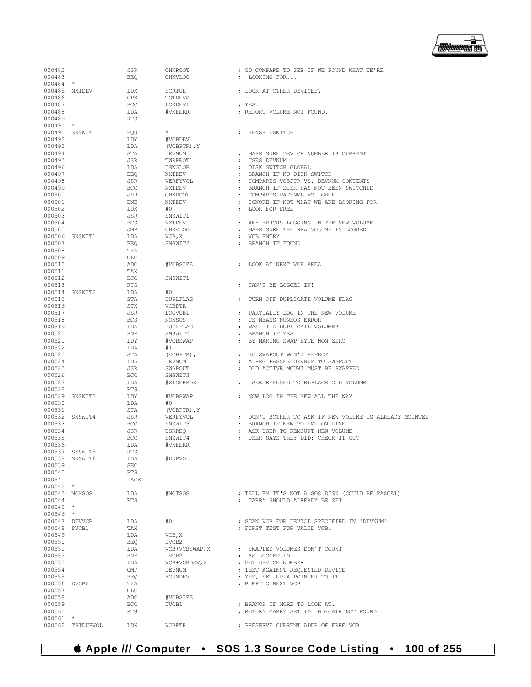

| 000482                  |                  | JSR          | CHKROOT           | ; GO COMPARE TO SEE IF WE FOUND WHAT WE'RE                 |
|-------------------------|------------------|--------------|-------------------|------------------------------------------------------------|
| 000483                  |                  | <b>BEQ</b>   | CHKVLOG           | ; LOOKING FOR                                              |
| 000484 *                |                  |              |                   | : LOOK AT OTHER DEVICES?                                   |
| 000485 NXTDEV<br>000486 |                  | LDX<br>CPX   | SCRTCH<br>TOTDEVS |                                                            |
| 000487                  |                  | <b>BCC</b>   | LOKDEV1           | ; YES.                                                     |
| 000488                  |                  | LDA          | #VNFERR           | ; REPORT VOLUME NOT FOUND.                                 |
| 000489                  |                  | <b>RTS</b>   |                   |                                                            |
| $000490$ *              |                  |              |                   |                                                            |
| 000491 SNSWIT           |                  | EQU          | $\star$           | SENSE DSWITCH                                              |
| 000492                  |                  | LDY          | #VCBDEV           |                                                            |
| 000493                  |                  | LDA          | $(VCBPTR)$ , $Y$  |                                                            |
| 000494                  |                  | STA          | DEVNUM            | MAKE SURE DEVICE NUMBER IS CURRENT                         |
| 000495                  |                  | JSR          | TWRPROT1          | USES DEVNUM                                                |
| 000496                  |                  | LDA          | DSWGLOB           | : DISK SWITCH GLOBAL                                       |
| 000497                  |                  | <b>BEQ</b>   | NXTDEV            | BRANCH IF NO DISK SWITCH<br>$\cdot$                        |
| 000498                  |                  | JSR          | VERFYVOL          | ; COMPARES VCBPTR VS. DEVNUM CONTENTS                      |
| 000499                  |                  | BCC          | NXTDEV            | ; BRANCH IF DISK HAS NOT BEEN SWITCHED                     |
| 000500                  |                  | JSR          | CHKROOT           | ; COMPARES PATHNML VS. GBUF                                |
| 000501                  |                  | <b>BNE</b>   | NXTDEV            | IGNORE IF NOT WHAT WE ARE LOOKING FOR<br>$\cdot$           |
| 000502                  |                  | LDX          | #0                | LOOK FOR FREE<br>$\cdot$                                   |
| 000503                  |                  | JSR          | SNSWIT1           |                                                            |
| 000504                  |                  | <b>BCS</b>   | NXTDEV            | ANY ERRORS LOGGING IN THE NEW VOLUME                       |
| 000505                  |                  | JMP          | CHKVLOG           | ; MAKE SURE THE NEW VOLUME IS LOGGED                       |
|                         |                  |              |                   |                                                            |
|                         | 000506 SNSWIT1   | LDA          | VCB, X            | VCB ENTRY<br>$\cdot$                                       |
| 000507<br>000508        |                  | <b>BEQ</b>   | SNSWIT2           | BRANCH IF FOUND                                            |
|                         |                  | TXA          |                   |                                                            |
| 000509                  |                  | <b>CLC</b>   |                   |                                                            |
| 000510                  |                  | ADC          | #VCBSIZE          | LOOK AT NEXT VCB AREA                                      |
| 000511                  |                  | TAX          |                   |                                                            |
| 000512                  |                  | BCC          | SNSWIT1           |                                                            |
| 000513                  |                  | <b>RTS</b>   |                   | ; CAN'T BE LOGGED IN!                                      |
|                         | 000514 SNSWIT2   | LDA          | #0                |                                                            |
| 000515                  |                  | STA          | DUPLFLAG          | TURN OFF DUPLICATE VOLUME FLAG<br>$\cdot$                  |
| 000516                  |                  | STX          | <b>VCBPTR</b>     |                                                            |
| 000517                  |                  | JSR          | LOGVCB1           | : PARTIALLY LOG IN THE NEW VOLUME                          |
| 000518                  |                  | <b>BCS</b>   | NONSOS            | ; CS MEANS NONSOS ERROR                                    |
| 000519                  |                  | LDA          | DUPLFLAG          | WAS IT A DUPLICATE VOLUME?                                 |
| 000520                  |                  | <b>BNE</b>   | SNSWIT6           | ; BRANCH IF YES                                            |
| 000521                  |                  | LDY          | #VCBSWAP          | BY MAKING SWAP BYTE NON ZERO<br>$\cdot$                    |
| 000522                  |                  | LDA          | #1                |                                                            |
| 000523                  |                  | STA          | $(VCBPTR)$ , $Y$  | ; SO SWAPOUT WON'T AFFECT                                  |
| 000524                  |                  | LDA          | DEVNUM            | A REG PASSES DEVNUM TO SWAPOUT<br>$\cdot$                  |
| 000525                  |                  | JSR          | SWAPOUT           | ; OLD ACTIVE MOUNT MUST BE SWAPPED                         |
| 000526                  |                  | BCC          | SNSWIT3           |                                                            |
| 000527                  |                  | LDA          | #XIOERROR         | USER REFUSED TO REPLACE OLD VOLUME<br>$\ddot{\phantom{0}}$ |
| 000528                  |                  | <b>RTS</b>   |                   |                                                            |
|                         | 000529 SNSWIT3   | LDY          | #VCBSWAP          | ; NOW LOG IN THE NEW ALL THE WAY                           |
| 000530                  |                  | LDA          | #0                |                                                            |
| 000531                  |                  | STA          | $(VCBPTR)$ , $Y$  |                                                            |
|                         | 000532 SNSWIT4   | JSR          | VERFYVOL          | ; DON'T BOTHER TO ASK IF NEW VOLUME IS ALREADY MOUNTED     |
| 000533                  |                  | BCC          | SNSWIT5           | BRANCH IF NEW VOLUME ON LINE                               |
| 000534                  |                  | JSR          | USRREQ            | ASK USER TO REMOUNT NEW VOLUME                             |
| 000535                  |                  | BCC          | SNSWIT4           | USER SAYS THEY DID: CHECK IT OUT                           |
| 000536                  |                  | LDA          | #VNFERR           |                                                            |
|                         | 000537 SNSWIT5   | <b>RTS</b>   |                   |                                                            |
|                         | 000538 SNSWIT6   | LDA          | #DUPVOL           |                                                            |
| 000539                  |                  | SEC          |                   |                                                            |
| 000540                  |                  | RTS          |                   |                                                            |
| 000541                  |                  | PAGE         |                   |                                                            |
| $000542$ *              |                  |              |                   |                                                            |
|                         | 000543 NONSOS    | LDA          | #NOTSOS           | ; TELL EM IT'S NOT A SOS DISK (COULD BE PASCAL)            |
| 000544                  |                  | <b>RTS</b>   |                   | ; CARRY SHOULD ALREADY BE SET                              |
| $000545$ *              |                  |              |                   |                                                            |
| $000546$ *              |                  |              |                   |                                                            |
|                         | 000547 DEVVCB    | LDA          | #0                | ; SCAN VCB FOR DEVICE SPECIFIED IN 'DEVNUM'                |
| 000548 DVCB1            |                  | TAX          |                   | : FIRST TEST FOR VALID VCB.                                |
| 000549                  |                  | LDA          | VCB, X            |                                                            |
| 000550                  |                  | BEQ          | DVCB2             |                                                            |
| 000551                  |                  | LDA          | VCB+VCBSWAP, X    | ; SWAPPED VOLUMES DON'T COUNT                              |
| 000552                  |                  | BNE          | DVCB2             | ; AS LOGGED IN                                             |
| 000553                  |                  | LDA          | VCB+VCBDEV, X     | ; GET DEVICE NUMBER                                        |
| 000554                  |                  | $\text{CMP}$ | DEVNUM            | ; TEST AGAINST REQUESTED DEVICE                            |
| 000555                  |                  | BEQ          | FOUNDEV           | ; YES, SET UP A POINTER TO IT                              |
| 000556 DVCB2            |                  | TXA          |                   | ; BUMP TO NEXT VCB                                         |
| 000557                  |                  | CLC          |                   |                                                            |
| 000558                  |                  | ADC          | #VCBSIZE          |                                                            |
| 000559                  |                  | <b>BCC</b>   | DVCB1             | ; BRANCH IF MORE TO LOOK AT.                               |
| 000560                  |                  | <b>RTS</b>   |                   | ; RETURN CARRY SET TO INDICATE NOT FOUND                   |
| $000561$ *              |                  |              |                   |                                                            |
|                         | 000562 TSTDUPVOL | LDX          | VCBPTR            | ; PRESERVE CURRENT ADDR OF FREE VCB                        |
|                         |                  |              |                   |                                                            |

# **Apple /// Computer • SOS 1.3 Source Code Listing • 100 of 255**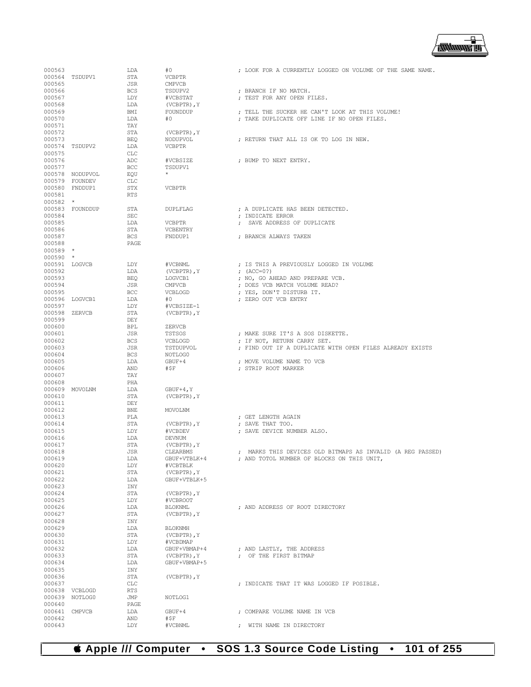

| 000563           |                 | LDA        | #0               | ; LOOK FOR A CURRENTLY LOGGED ON VOLUME OF THE SAME NAME.  |  |
|------------------|-----------------|------------|------------------|------------------------------------------------------------|--|
|                  | 000564 TSDUPV1  | STA        | VCBPTR           |                                                            |  |
| 000565           |                 | JSR        | <b>CMPVCB</b>    |                                                            |  |
| 000566           |                 | <b>BCS</b> | TSDUPV2          | ; BRANCH IF NO MATCH.                                      |  |
| 000567           |                 | LDY        | #VCBSTAT         | ; TEST FOR ANY OPEN FILES.                                 |  |
|                  |                 |            |                  |                                                            |  |
| 000568           |                 | LDA        | $(VCBPTR)$ , $Y$ |                                                            |  |
| 000569           |                 | BMI        | FOUNDDUP         | ; TELL THE SUCKER HE CAN'T LOOK AT THIS VOLUME!            |  |
| 000570           |                 | LDA        | #0               | ; TAKE DUPLICATE OFF LINE IF NO OPEN FILES.                |  |
| 000571           |                 | TAY        |                  |                                                            |  |
| 000572           |                 | STA        | (VCBPTR), Y      |                                                            |  |
| 000573           |                 | <b>BEQ</b> | NODUPVOL         | ; RETURN THAT ALL IS OK TO LOG IN NEW.                     |  |
|                  | 000574 TSDUPV2  | LDA        | <b>VCBPTR</b>    |                                                            |  |
|                  |                 |            |                  |                                                            |  |
| 000575           |                 | CLC        |                  |                                                            |  |
| 000576           |                 | ADC        | #VCBSIZE         | ; BUMP TO NEXT ENTRY.                                      |  |
| 000577           |                 | BCC        | TSDUPV1          |                                                            |  |
|                  | 000578 NODUPVOL | EQU        | $\star$          |                                                            |  |
|                  | 000579 FOUNDEV  | CLC        |                  |                                                            |  |
|                  | 000580 FNDDUP1  | STX        | <b>VCBPTR</b>    |                                                            |  |
|                  |                 |            |                  |                                                            |  |
| 000581           |                 | <b>RTS</b> |                  |                                                            |  |
| $000582$ *       |                 |            |                  |                                                            |  |
|                  | 000583 FOUNDDUP | STA        | <b>DUPLFLAG</b>  | ; A DUPLICATE HAS BEEN DETECTED.                           |  |
| 000584           |                 | <b>SEC</b> |                  | ; INDICATE ERROR                                           |  |
| 000585           |                 | LDA        | <b>VCBPTR</b>    | ; SAVE ADDRESS OF DUPLICATE                                |  |
| 000586           |                 | STA        | VCBENTRY         |                                                            |  |
|                  |                 |            |                  |                                                            |  |
| 000587           |                 | <b>BCS</b> | FNDDUP1          | ; BRANCH ALWAYS TAKEN                                      |  |
| 000588           |                 | PAGE       |                  |                                                            |  |
| $000589$ *       |                 |            |                  |                                                            |  |
| $000590$ *       |                 |            |                  |                                                            |  |
| 000591 LOGVCB    |                 | LDY        | #VCBNML          | ; IS THIS A PREVIOUSLY LOGGED IN VOLUME                    |  |
| 000592           |                 | LDA        |                  | ; $(ACC=0?)$                                               |  |
|                  |                 |            | $(VCBPTR)$ , $Y$ |                                                            |  |
| 000593           |                 | <b>BEO</b> | LOGVCB1          | ; NO, GO AHEAD AND PREPARE VCB.                            |  |
| 000594           |                 | JSR        | <b>CMPVCB</b>    | ; DOES VCB MATCH VOLUME READ?                              |  |
| 000595           |                 | <b>BCC</b> | VCBLOGD          | ; YES, DON'T DISTURB IT.                                   |  |
|                  | 000596 LOGVCB1  | LDA        | #0               | ; ZERO OUT VCB ENTRY                                       |  |
| 000597           |                 | LDY        | #VCBSIZE-1       |                                                            |  |
|                  |                 |            |                  |                                                            |  |
| 000598 ZERVCB    |                 | STA        | (VCBPTR), Y      |                                                            |  |
| 000599           |                 | DEY        |                  |                                                            |  |
| 000600           |                 | <b>BPL</b> | ZERVCB           |                                                            |  |
| 000601           |                 | JSR        | TSTSOS           | ; MAKE SURE IT'S A SOS DISKETTE.                           |  |
| 000602           |                 | <b>BCS</b> | VCBLOGD          | ; IF NOT, RETURN CARRY SET.                                |  |
| 000603           |                 | JSR        | TSTDUPVOL        | ; FIND OUT IF A DUPLICATE WITH OPEN FILES ALREADY EXISTS   |  |
|                  |                 |            |                  |                                                            |  |
| 000604           |                 | <b>BCS</b> | NOTLOG0          |                                                            |  |
| 000605           |                 | LDA        | GBUF+4           | ; MOVE VOLUME NAME TO VCB                                  |  |
| 000606           |                 | AND        | #\$F             | ; STRIP ROOT MARKER                                        |  |
| 000607           |                 | TAY        |                  |                                                            |  |
| 000608           |                 | PHA        |                  |                                                            |  |
|                  |                 | LDA        |                  |                                                            |  |
|                  | 000609 MOVOLNM  |            | $GBUF+4, Y$      |                                                            |  |
| 000610           |                 | STA        | (VCBPTR), Y      |                                                            |  |
| 000611           |                 | DEY        |                  |                                                            |  |
| 000612           |                 | <b>BNE</b> | MOVOLNM          |                                                            |  |
| 000613           |                 | PLA        |                  | ; GET LENGTH AGAIN                                         |  |
| 000614           |                 | STA        | (VCBPTR), Y      | ; SAVE THAT TOO.                                           |  |
| 000615           |                 | LDY        | #VCBDEV          | ; SAVE DEVICE NUMBER ALSO.                                 |  |
|                  |                 |            |                  |                                                            |  |
| 000616           |                 | LDA        | DEVNUM           |                                                            |  |
| 000617           |                 | STA        | $(VCBPTR)$ , $Y$ |                                                            |  |
| 000618           |                 | JSR        | CLEARBMS         | ; MARKS THIS DEVICES OLD BITMAPS AS INVALID (A REG PASSED) |  |
| 000619           |                 | LDA        | GBUF+VTBLK+4     | ; AND TOTOL NUMBER OF BLOCKS ON THIS UNIT,                 |  |
| 000620           |                 | LDY        | #VCBTBLK         |                                                            |  |
| 000621           |                 | STA        | (VCBPTR), Y      |                                                            |  |
|                  |                 |            |                  |                                                            |  |
| 000622           |                 | LDA        | GBUF+VTBLK+5     |                                                            |  |
| 000623           |                 | INY        |                  |                                                            |  |
| 000624           |                 | STA        | (VCBPTR), Y      |                                                            |  |
| 000625           |                 | LDY        | #VCBROOT         |                                                            |  |
| 000626           |                 |            | BLOKNML          | ; AND ADDRESS OF ROOT DIRECTORY                            |  |
| 000627           |                 | LDA        |                  |                                                            |  |
|                  |                 |            |                  |                                                            |  |
|                  |                 | STA        | (VCBPTR), Y      |                                                            |  |
| 000628           |                 | INY        |                  |                                                            |  |
| 000629           |                 | LDA        | <b>BLOKNMH</b>   |                                                            |  |
| 000630           |                 | STA        | (VCBPTR), Y      |                                                            |  |
| 000631           |                 | LDY        | #VCBDMAP         |                                                            |  |
| 000632           |                 | LDA        | GBUF+VBMAP+4     | ; AND LASTLY, THE ADDRESS                                  |  |
|                  |                 |            |                  |                                                            |  |
| 000633           |                 | STA        | (VCBPTR), Y      | ; OF THE FIRST BITMAP                                      |  |
| 000634           |                 | LDA        | GBUF+VBMAP+5     |                                                            |  |
| 000635           |                 | INY        |                  |                                                            |  |
| 000636           |                 | STA        | (VCBPTR), Y      |                                                            |  |
| 000637           |                 | CLC        |                  | ; INDICATE THAT IT WAS LOGGED IF POSIBLE.                  |  |
|                  | 000638 VCBLOGD  | RTS        |                  |                                                            |  |
|                  |                 |            |                  |                                                            |  |
|                  | 000639 NOTLOG0  | JMP        | NOTLOG1          |                                                            |  |
| 000640           |                 | PAGE       |                  |                                                            |  |
|                  | 000641 CMPVCB   | LDA        | GBUF+4           | ; COMPARE VOLUME NAME IN VCB                               |  |
| 000642<br>000643 |                 | AND<br>LDY | #\$F<br>#VCBNML  | ; WITH NAME IN DIRECTORY                                   |  |

 **Apple /// Computer • SOS 1.3 Source Code Listing • 101 of 255**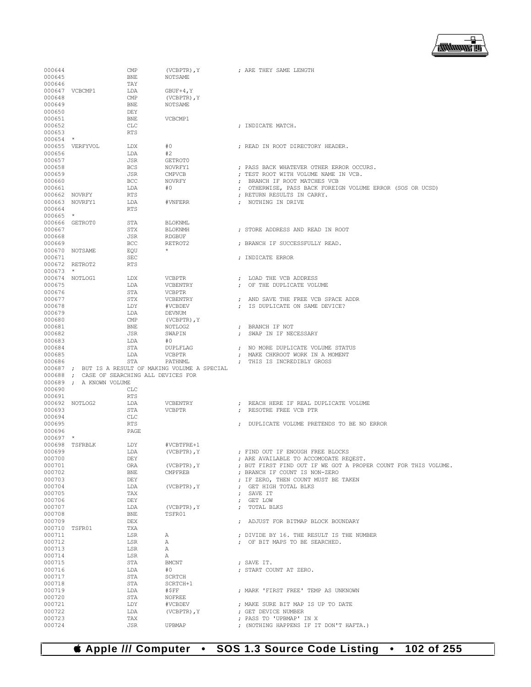#### ₽ **/<del>露睡睡</del> 画**

| 000644           |                                            | CMP        | $(VCBPTR)$ , $Y$                                    |            | ; ARE THEY SAME LENGTH                                         |
|------------------|--------------------------------------------|------------|-----------------------------------------------------|------------|----------------------------------------------------------------|
| 000645           |                                            | <b>BNE</b> | NOTSAME                                             |            |                                                                |
| 000646           |                                            | TAY        |                                                     |            |                                                                |
|                  |                                            |            |                                                     |            |                                                                |
|                  | 000647 VCBCMP1                             | LDA        | $GBUF+4, Y$                                         |            |                                                                |
| 000648           |                                            | CMP        | (VCBPTR), Y                                         |            |                                                                |
| 000649           |                                            | <b>BNE</b> | NOTSAME                                             |            |                                                                |
| 000650           |                                            |            |                                                     |            |                                                                |
|                  |                                            | DEY        |                                                     |            |                                                                |
| 000651           |                                            | <b>BNE</b> | VCBCMP1                                             |            |                                                                |
| 000652           |                                            | <b>CLC</b> |                                                     |            | ; INDICATE MATCH.                                              |
| 000653           |                                            | <b>RTS</b> |                                                     |            |                                                                |
|                  |                                            |            |                                                     |            |                                                                |
| $000654$ *       |                                            |            |                                                     |            |                                                                |
|                  | 000655 VERFYVOL                            | LDX        | #0                                                  |            | ; READ IN ROOT DIRECTORY HEADER.                               |
| 000656           |                                            | LDA        | #2                                                  |            |                                                                |
|                  |                                            |            |                                                     |            |                                                                |
| 000657           |                                            | JSR        | GETROT0                                             |            |                                                                |
| 000658           |                                            | <b>BCS</b> | NOVRFY1                                             |            | ; PASS BACK WHATEVER OTHER ERROR OCCURS.                       |
| 000659           |                                            | JSR        | CMPVCB                                              |            | ; TEST ROOT WITH VOLUME NAME IN VCB.                           |
|                  |                                            |            |                                                     |            |                                                                |
| 000660           |                                            | <b>BCC</b> | NOVRFY                                              |            | ; BRANCH IF ROOT MATCHES VCB                                   |
| 000661           |                                            | LDA        | #0                                                  |            | ; OTHERWISE, PASS BACK FOREIGN VOLUME ERROR (SOS OR UCSD)      |
| 000662 NOVRFY    |                                            | RTS        |                                                     |            | ; RETURN RESULTS IN CARRY.                                     |
|                  |                                            |            |                                                     |            |                                                                |
|                  | 000663 NOVRFY1                             | LDA        | #VNFERR                                             |            | ; NOTHING IN DRIVE                                             |
| 000664           |                                            | <b>RTS</b> |                                                     |            |                                                                |
| $000665$ *       |                                            |            |                                                     |            |                                                                |
|                  | 000666 GETROT0                             | STA        | BLOKNML                                             |            |                                                                |
|                  |                                            |            |                                                     |            |                                                                |
| 000667           |                                            | STX        | BLOKNMH                                             |            | ; STORE ADDRESS AND READ IN ROOT                               |
| 000668           |                                            | JSR        | RDGBUF                                              |            |                                                                |
| 000669           |                                            | BCC        | RETROT2                                             |            | ; BRANCH IF SUCCESSFULLY READ.                                 |
|                  |                                            |            |                                                     |            |                                                                |
|                  | 000670 NOTSAME                             | EQU        |                                                     |            |                                                                |
| 000671           |                                            | SEC        |                                                     |            | ; INDICATE ERROR                                               |
|                  | 000672 RETROT2                             | <b>RTS</b> |                                                     |            |                                                                |
|                  |                                            |            |                                                     |            |                                                                |
| $000673$ *       |                                            |            |                                                     |            |                                                                |
|                  | 000674 NOTLOG1                             | LDX        | VCBPTR                                              |            | ; LOAD THE VCB ADDRESS                                         |
| 000675           |                                            | LDA        | VCBENTRY                                            |            | ; OF THE DUPLICATE VOLUME                                      |
|                  |                                            |            |                                                     |            |                                                                |
| 000676           |                                            | STA        | <b>VCBPTR</b>                                       |            |                                                                |
| 000677           |                                            | STX        | VCBENTRY                                            |            | ; AND SAVE THE FREE VCB SPACE ADDR                             |
| 000678           |                                            | LDY        | #VCBDEV                                             |            | : IS DUPLICATE ON SAME DEVICE?                                 |
| 000679           |                                            |            |                                                     |            |                                                                |
|                  |                                            | LDA        | DEVNUM                                              |            |                                                                |
| 000680           |                                            | CMP        | (VCBPTR), Y                                         |            |                                                                |
| 000681           |                                            | <b>BNE</b> | NOTLOG2                                             |            | ; BRANCH IF NOT                                                |
| 000682           |                                            | JSR        | SWAPIN                                              |            | ; SWAP IN IF NECESSARY                                         |
|                  |                                            |            |                                                     |            |                                                                |
| 000683           |                                            | LDA        | #0                                                  |            |                                                                |
| 000684           |                                            | STA        | DUPLFLAG                                            |            | ; NO MORE DUPLICATE VOLUME STATUS                              |
| 000685           |                                            |            | VCBPTR                                              |            |                                                                |
|                  |                                            |            |                                                     |            |                                                                |
|                  |                                            | LDA        |                                                     |            | ; MAKE CHKROOT WORK IN A MOMENT                                |
| 000686           |                                            | STA        | PATHNML                                             |            | ; THIS IS INCREDIBLY GROSS                                     |
|                  |                                            |            |                                                     |            |                                                                |
|                  |                                            |            | 000687 ; BUT IS A RESULT OF MAKING VOLUME A SPECIAL |            |                                                                |
|                  | 000688 ; CASE OF SEARCHING ALL DEVICES FOR |            |                                                     |            |                                                                |
|                  | 000689 ; A KNOWN VOLUME                    |            |                                                     |            |                                                                |
| 000690           |                                            | CLC        |                                                     |            |                                                                |
|                  |                                            |            |                                                     |            |                                                                |
| 000691           |                                            | <b>RTS</b> |                                                     |            |                                                                |
|                  | 000692 NOTLOG2                             | LDA        | VCBENTRY                                            |            | : REACH HERE IF REAL DUPLICATE VOLUME                          |
| 000693           |                                            | STA        | <b>VCBPTR</b>                                       |            | ; RESOTRE FREE VCB PTR                                         |
|                  |                                            |            |                                                     |            |                                                                |
| 000694           |                                            | <b>CLC</b> |                                                     |            |                                                                |
| 000695           |                                            | <b>RTS</b> |                                                     |            | ; DUPLICATE VOLUME PRETENDS TO BE NO ERROR                     |
| 000696           |                                            | PAGE       |                                                     |            |                                                                |
| $000697$ *       |                                            |            |                                                     |            |                                                                |
|                  |                                            |            |                                                     |            |                                                                |
|                  | 000698 TSFRBLK                             | LDY        | #VCBTFRE+1                                          |            |                                                                |
| 000699           |                                            | LDA        | (VCBPTR), Y                                         |            | ; FIND OUT IF ENOUGH FREE BLOCKS                               |
| 000700           |                                            | DEY        |                                                     |            | ; ARE AVAILABLE TO ACCOMODATE REQEST.                          |
|                  |                                            |            |                                                     |            |                                                                |
| 000701           |                                            | ORA        | $(VCBPTR)$ , $Y$                                    |            | ; BUT FIRST FIND OUT IF WE GOT A PROPER COUNT FOR THIS VOLUME. |
| 000702           |                                            | BNE        | <b>CMPFREB</b>                                      |            | ; BRANCH IF COUNT IS NON-ZERO                                  |
| 000703           |                                            | DEY        |                                                     |            | ; IF ZERO, THEN COUNT MUST BE TAKEN                            |
|                  |                                            |            |                                                     |            |                                                                |
| 000704           |                                            | LDA        | $(VCBPTR)$ , $Y$                                    |            | GET HIGH TOTAL BLKS                                            |
| 000705           |                                            | TAX        |                                                     | $\ddot{ }$ | SAVE IT                                                        |
| 000706           |                                            | DEY        |                                                     |            | GET LOW                                                        |
| 000707           |                                            | LDA        | (VCBPTR), Y                                         | $\ddot{i}$ | TOTAL BLKS                                                     |
|                  |                                            |            |                                                     |            |                                                                |
| 000708           |                                            | BNE        | TSFR01                                              |            |                                                                |
| 000709           |                                            | DEX        |                                                     |            | ; ADJUST FOR BITMAP BLOCK BOUNDARY                             |
| 000710 TSFR01    |                                            | TXA        |                                                     |            |                                                                |
|                  |                                            |            |                                                     |            |                                                                |
| 000711           |                                            | LSR        | Α                                                   |            | ; DIVIDE BY 16. THE RESULT IS THE NUMBER                       |
| 000712           |                                            | LSR        | Α                                                   |            | ; OF BIT MAPS TO BE SEARCHED.                                  |
| 000713           |                                            | LSR        | Α                                                   |            |                                                                |
|                  |                                            |            | Α                                                   |            |                                                                |
| 000714           |                                            | LSR        |                                                     |            |                                                                |
| 000715           |                                            | STA        | <b>BMCNT</b>                                        |            | ; SAVE IT.                                                     |
| 000716           |                                            | LDA        | #0                                                  |            | ; START COUNT AT ZERO.                                         |
| 000717           |                                            | STA        | SCRTCH                                              |            |                                                                |
|                  |                                            |            |                                                     |            |                                                                |
| 000718           |                                            | STA        | SCRTCH+1                                            |            |                                                                |
| 000719           |                                            | LDA        | #ŞFF                                                |            | ; MARK 'FIRST FREE' TEMP AS UNKNOWN                            |
| 000720           |                                            | STA        | NOFREE                                              |            |                                                                |
|                  |                                            |            |                                                     |            |                                                                |
| 000721           |                                            | LDY        | #VCBDEV                                             |            | ; MAKE SURE BIT MAP IS UP TO DATE                              |
| 000722           |                                            | LDA        | (VCBPTR), Y                                         |            | ; GET DEVICE NUMBER                                            |
| 000723<br>000724 |                                            | TAX        | UPBMAP                                              |            | ; PASS TO 'UPBMAP' IN X                                        |

 **Apple /// Computer • SOS 1.3 Source Code Listing • 102 of 255**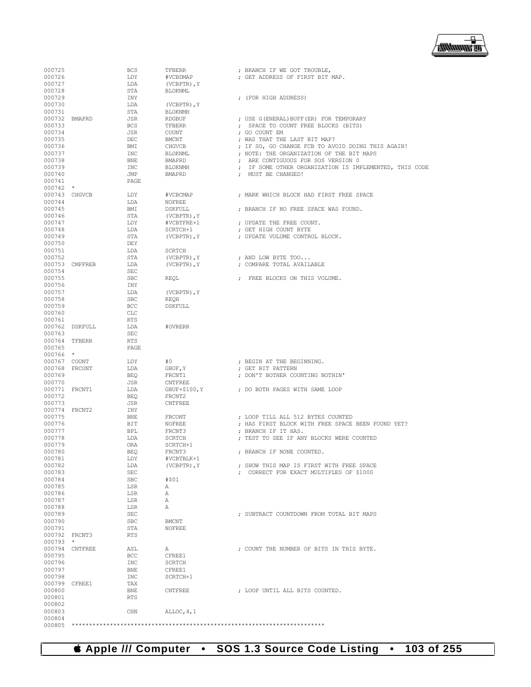

| 000725           |                | BCS        | TFBERR         | ; BRANCH IF WE GOT TROUBLE,                            |
|------------------|----------------|------------|----------------|--------------------------------------------------------|
| 000726           |                | LDY        | #VCBDMAP       | ; GET ADDRESS OF FIRST BIT MAP.                        |
| 000727           |                | LDA        | (VCBPTR), Y    |                                                        |
| 000728           |                | STA        | BLOKNML        |                                                        |
|                  |                |            |                |                                                        |
| 000729           |                | INY        |                | ; (FOR HIGH ADDRESS)                                   |
| 000730           |                | LDA        | (VCBPTR), Y    |                                                        |
| 000731           |                | STA        | BLOKNMH        |                                                        |
|                  | 000732 BMAPRD  | JSR        | RDGBUF         | ; USE G(ENERAL) BUFF(ER) FOR TEMPORARY                 |
|                  |                |            |                |                                                        |
| 000733           |                | BCS        | TFBERR         | ; SPACE TO COUNT FREE BLOCKS (BITS)                    |
| 000734           |                | JSR        | COUNT          | ; GO COUNT EM                                          |
| 000735           |                | DEC        | BMCNT          | ; WAS THAT THE LAST BIT MAP?                           |
| 000736           |                | BMI        | CHGVCB         | ; IF SO, GO CHANGE FCB TO AVOID DOING THIS AGAIN!      |
| 000737           |                | INC        | BLOKNML        | ; NOTE: THE ORGANIZATION OF THE BIT MAPS               |
|                  |                |            |                |                                                        |
| 000738           |                | BNE        | BMAPRD         | ; ARE CONTIGUOUS FOR SOS VERSION 0                     |
| 000739           |                | INC        | BLOKNMH        | ; IF SOME OTHER ORGANIZATION IS IMPLEMENTED, THIS CODE |
| 000740           |                | JMP        | BMAPRD         | ; MUST BE CHANGED!                                     |
| 000741           |                | PAGE       |                |                                                        |
| $000742$ *       |                |            |                |                                                        |
|                  |                |            |                |                                                        |
|                  | 000743 CHGVCB  | LDY        | #VCBCMAP       | ; MARK WHICH BLOCK HAD FIRST FREE SPACE                |
| 000744           |                | LDA        | NOFREE         |                                                        |
| 000745           |                | BMI        | DSKFULL        | ; BRANCH IF NO FREE SPACE WAS FOUND.                   |
| 000746           |                | STA        | (VCBPTR), Y    |                                                        |
|                  |                |            |                |                                                        |
| 000747           |                | LDY        | #VCBTFRE+1     | ; UPDATE THE FREE COUNT.                               |
| 000748           |                | LDA        | SCRTCH+1       | ; GET HIGH COUNT BYTE                                  |
| 000749           |                | STA        | (VCBPTR), Y    | ; UPDATE VOLUME CONTROL BLOCK.                         |
| 000750           |                | DEY        |                |                                                        |
| 000751           |                | LDA        | SCRTCH         |                                                        |
|                  |                |            |                |                                                        |
| 000752           |                | STA        | (VCBPTR), Y    | ; AND LOW BYTE TOO                                     |
|                  | 000753 CMPFREB | LDA        | (VCBPTR), Y    | ; COMPARE TOTAL AVAILABLE                              |
| 000754           |                | SEC        |                |                                                        |
| 000755           |                | SBC        | REOL           | ; FREE BLOCKS ON THIS VOLUME.                          |
|                  |                |            |                |                                                        |
| 000756           |                | INY        |                |                                                        |
| 000757           |                | LDA        | (VCBPTR), Y    |                                                        |
| 000758           |                | SBC        | REOH           |                                                        |
| 000759           |                | <b>BCC</b> | DSKFULL        |                                                        |
| 000760           |                | CLC        |                |                                                        |
|                  |                |            |                |                                                        |
| 000761           |                | RTS        |                |                                                        |
|                  | 000762 DSKFULL | LDA        | #OVRERR        |                                                        |
| 000763           |                | SEC        |                |                                                        |
|                  | 000764 TFBERR  | RTS        |                |                                                        |
|                  |                |            |                |                                                        |
| 000765           |                | PAGE       |                |                                                        |
| 000766 *         |                |            |                |                                                        |
| 000767 COUNT     |                | LDY        | #0             | ; BEGIN AT THE BEGINNING.                              |
|                  | 000768 FRCONT  | LDA        | GBUF, Y        | ; GET BIT PATTERN                                      |
| 000769           |                | BEO        | FRCNT1         |                                                        |
|                  |                |            |                | ; DON'T BOTHER COUNTING NOTHIN'                        |
| 000770           |                | JSR        | CNTFREE        |                                                        |
|                  | 000771 FRCNT1  | LDA        | GBUF+\$100, Y  | ; DO BOTH PAGES WITH SAME LOOP                         |
| 000772           |                | BEQ        | FRCNT2         |                                                        |
| 000773           |                | JSR        | <b>CNTFREE</b> |                                                        |
|                  |                |            |                |                                                        |
|                  | 000774 FRCNT2  | INY        |                |                                                        |
| 000775           |                | BNE        | FRCONT         | ; LOOP TILL ALL 512 BYTES COUNTED                      |
| 000776           |                | BIT        | NOFREE         | ; HAS FIRST BLOCK WITH FREE SPACE BEEN FOUND YET?      |
| 000777           |                | BPL        | FRCNT3         | ; BRANCH IF IT HAS.                                    |
| 000778           |                |            |                |                                                        |
|                  |                | LDA        | SCRTCH         | ; TEST TO SEE IF ANY BLOCKS WERE COUNTED               |
| 000779           |                | ORA        | SCRTCH+1       |                                                        |
| 000780           |                | <b>BEO</b> | FRCNT3         | ; BRANCH IF NONE COUNTED.                              |
| 000781           |                | LDY        | #VCBTBLK+1     |                                                        |
| 000782           |                | LDA        | (VCBPTR), Y    | ; SHOW THIS MAP IS FIRST WITH FREE SPACE               |
|                  |                |            |                |                                                        |
| 000783           |                | <b>SEC</b> |                | ; CORRECT FOR EXACT MULTIPLES OF \$1000                |
| 000784           |                | <b>SBC</b> | #\$01          |                                                        |
| 000785           |                | LSR        | Α              |                                                        |
| 000786           |                | LSR        | Α              |                                                        |
| 000787           |                | LSR        | Α              |                                                        |
|                  |                |            |                |                                                        |
| 000788           |                | LSR        | Α              |                                                        |
| 000789           |                | SEC        |                | ; SUBTRACT COUNTDOWN FROM TOTAL BIT MAPS               |
| 000790           |                | <b>SBC</b> | BMCNT          |                                                        |
| 000791           |                | STA        | NOFREE         |                                                        |
|                  |                |            |                |                                                        |
|                  | 000792 FRCNT3  | RTS        |                |                                                        |
| 000793           | $\star$        |            |                |                                                        |
| 000794           | <b>CNTFREE</b> | ASL        | Α              | ; COUNT THE NUMBER OF BITS IN THIS BYTE.               |
| 000795           |                | <b>BCC</b> | CFREE1         |                                                        |
| 000796           |                |            | <b>SCRTCH</b>  |                                                        |
|                  |                | INC        |                |                                                        |
| 000797           |                | BNE        | CFREE1         |                                                        |
| 000798           |                | INC        | SCRTCH+1       |                                                        |
|                  | 000799 CFREE1  | TAX        |                |                                                        |
| 000800           |                | BNE        | <b>CNTFREE</b> | ; LOOP UNTIL ALL BITS COUNTED.                         |
|                  |                |            |                |                                                        |
| 000801           |                | <b>RTS</b> |                |                                                        |
| 000802           |                |            |                |                                                        |
|                  |                |            |                |                                                        |
| 000803           |                | CHN        | ALLOC, 4, 1    |                                                        |
|                  |                |            |                |                                                        |
| 000804<br>000805 |                |            |                |                                                        |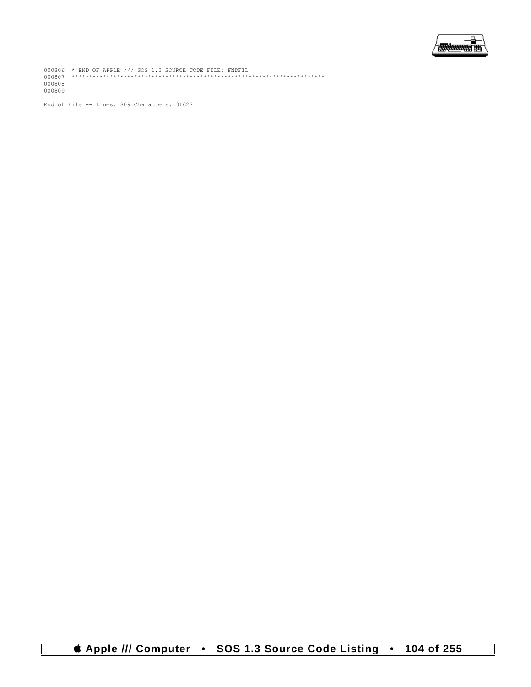

000806 \* END OF APPLE /// SOS 1.3 SOURCE CODE FILE: FNDFIL 000807 \*\*\*\*\*\*\*\*\*\*\*\*\*\*\*\*\*\*\*\*\*\*\*\*\*\*\*\*\*\*\*\*\*\*\*\*\*\*\*\*\*\*\*\*\*\*\*\*\*\*\*\*\*\*\*\*\*\*\*\*\*\*\*\*\*\*\*\*\*\*\*\*\* 000808 000809

End of File -- Lines: 809 Characters: 31627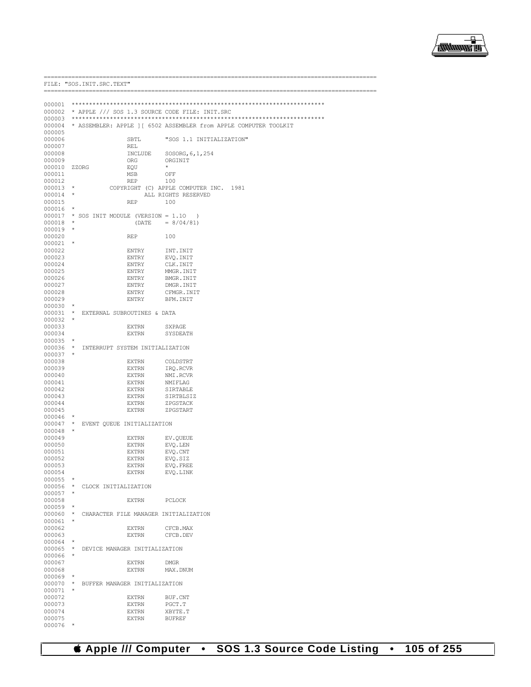

000002 \* APPLE /// SOS 1.3 SOURCE CODE FILE: INIT.SRC  $000003$ 000004 \* ASSEMBLER: APPLE ] [ 6502 ASSEMBLER from APPLE COMPUTER TOOLKIT 000005 000006 SBTL "SOS 1.1 INITIALIZATION" 000007 REL 000008  $\ensuremath{\textsc{INCLUDE}}$ SOSORG, 6, 1, 254 000009 ORG ORGINIT 000010 ZZORG EQU  $\pm$  $OFF$ 000011 MSB 000012 **REP** 100 000013  $\star$ COPYRIGHT (C) APPLE COMPUTER INC. 1981 000014  $\star$ ALL RIGHTS RESERVED 000015 **REP** 100  $000016$  \* \* SOS INIT MODULE (VERSION = 1.10 000017  $\rightarrow$  $\rightarrow$  $= 8/04/81$ 000018 (DATE 000019  $\star$ 000020 **REP** 100 000021  $\star$ INT. INIT 000022 **ENTRY** 000023 **ENTRY** EVQ.INIT 000024 **ENTRY** CLK, INIT 000025 **ENTRY** MMGR TNTT 000026 **ENTRY** BMGR. INIT 000027 **ENTRY** DMGR TNTT 000028 **ENTRY** CEMGR INIT 000029 **ENTRY** BFM. INIT  $000030 \rightarrow$ 000031 \* EXTERNAL SUBROUTINES & DATA  $000032$  \* 000033 **EXTRN** SYPAGE 000034 **EXTRN** SYSDEATH 000035  $\rightarrow$ 000036 \* INTERRUPT SYSTEM INITIALIZATION  $000037$  \* 000038  $\mbox{EXTRN}$ COLDSTRT 000039  $\mbox{EXTRN}$ IRQ.RCVR NMI.RCVR 000040 **EXTRN** 000041  $\mbox{EXTRN}$ NMIFLAG 000042 **EXTRN** SIRTABLE 000043 EXTRN SIRTBLSIZ 000044  $\mbox{EXTRN}$ ZPGSTACK 000045 EXTRN ZPGSTART 000046 000047 EVENT QUEUE INITIALIZATION 000048 000049 EXTRN EV.QUEUE  $\texttt{EVQ.LEN}$ 000050  $\mbox{EXTRN}$ 000051 **EXTRN** EVO.CNT 000052 EXTRN EVO.SIZ 000053 **EXTRN** EVO, FREE 000054 **EXTRN** EVO, LINK  $000055$  \* 000056 \* CLOCK INITIALIZATION 000057 000058 **EXTRN PCLOCK**  $000059$  \* 000060 \* CHARACTER FILE MANAGER INITIALIZATION  $000061$  \* 000062 **EXTRN** CFCB.MAX 000063 **EXTRN** CFCB, DEV  $000064$  \* 000065 \* DEVICE MANAGER INITIALIZATION  $000066$  \* 000067 **EXTRN DMGR** 000068  $\ensuremath{\textsc{EXT}}\xspace\ensuremath{\textsc{RN}}\xspace$ MAX.DNUM 000069 000070 \* BUFFER MANAGER INITIALIZATION 000071  $\star$ 000072 **EXTRN** BUF.CNT 000073 **EXTRN**  $_{\rm PGCT}$  .  $\scriptstyle\rm T$ 000074 EXTRN XBYTE.T 000075 **EXTRN BUFREF**  $000076$  \*

FILE: "SOS. INIT. SRC. TEXT"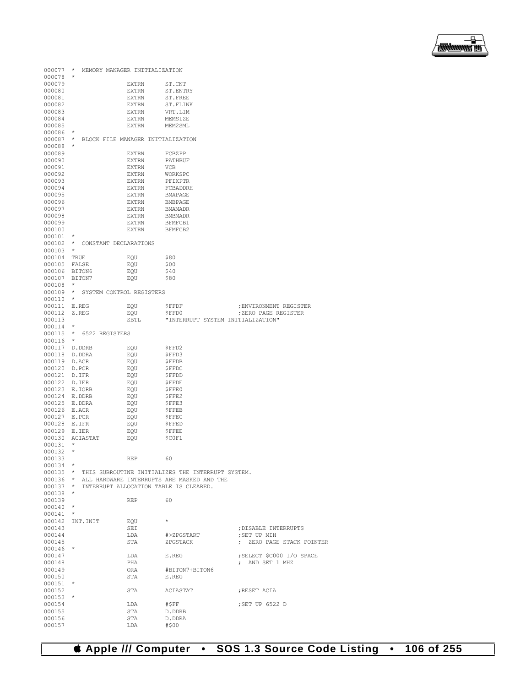

| 000077                       | $\star$                                    | MEMORY MANAGER INITIALIZATION |                                                                                                                   |                           |
|------------------------------|--------------------------------------------|-------------------------------|-------------------------------------------------------------------------------------------------------------------|---------------------------|
| $000078$ *<br>000079         |                                            | EXTRN                         | ST.CNT                                                                                                            |                           |
| 000080                       |                                            | EXTRN                         | ST.ENTRY                                                                                                          |                           |
| 000081                       |                                            | EXTRN                         | ST.FREE                                                                                                           |                           |
| 000082                       |                                            | EXTRN                         | ST.FLINK                                                                                                          |                           |
| 000083                       |                                            | EXTRN                         | VRT.LIM                                                                                                           |                           |
| 000084<br>000085             |                                            | EXTRN                         | MEMSIZE                                                                                                           |                           |
| 000086                       | $\star$                                    | EXTRN                         | MEM2 SML                                                                                                          |                           |
|                              | 000087 * BLOCK FILE MANAGER INITIALIZATION |                               |                                                                                                                   |                           |
| 000088 *                     |                                            |                               |                                                                                                                   |                           |
| 000089                       |                                            | EXTRN                         | FCBZPP                                                                                                            |                           |
| 000090                       |                                            | <b>EXTRN</b>                  | PATHBUF                                                                                                           |                           |
| 000091                       |                                            | EXTRN                         | VCB                                                                                                               |                           |
| 000092<br>000093             |                                            | EXTRN<br>EXTRN                | WORKSPC<br>PFIXPTR                                                                                                |                           |
| 000094                       |                                            | EXTRN                         | FCBADDRH                                                                                                          |                           |
| 000095                       |                                            | EXTRN                         | BMAPAGE                                                                                                           |                           |
| 000096                       |                                            | EXTRN                         | BMBPAGE                                                                                                           |                           |
| 000097                       |                                            | EXTRN                         | BMAMADR                                                                                                           |                           |
| 000098                       |                                            | EXTRN                         | BMBMADR                                                                                                           |                           |
| 000099<br>000100             |                                            | EXTRN                         | BFMFCB1                                                                                                           |                           |
| 000101                       | $\star$                                    | EXTRN                         | BFMFCB2                                                                                                           |                           |
|                              | 000102 * CONSTANT DECLARATIONS             |                               |                                                                                                                   |                           |
| 000103                       | $\star$                                    |                               |                                                                                                                   |                           |
| 000104 TRUE                  |                                            | EQU                           | \$80                                                                                                              |                           |
| 000105 FALSE                 |                                            | EQU                           | \$00                                                                                                              |                           |
| 000106 BITON6                |                                            | EQU                           | \$40                                                                                                              |                           |
| 000107 BITON7<br>$000108$ *  |                                            | EQU                           | \$80                                                                                                              |                           |
| $000109$ *                   |                                            | SYSTEM CONTROL REGISTERS      |                                                                                                                   |                           |
| 000110                       | $\star$                                    |                               |                                                                                                                   |                           |
| 000111 E.REG                 |                                            | EQU                           | \$FFDF                                                                                                            | ; ENVIRONMENT REGISTER    |
| 000112 Z.REG                 |                                            | EOU                           | \$FFD0                                                                                                            | ; ZERO PAGE REGISTER      |
| 000113                       |                                            | SBTL                          | "INTERRUPT SYSTEM INITIALIZATION"                                                                                 |                           |
| $000114$ *                   | 000115 * 6522 REGISTERS                    |                               |                                                                                                                   |                           |
| $000116$ *                   |                                            |                               |                                                                                                                   |                           |
|                              | 000117 D.DDRB                              | EQU                           | \$FFD2                                                                                                            |                           |
|                              | 000118 D.DDRA                              | EQU                           | \$FFD3                                                                                                            |                           |
| 000119 D.ACR                 |                                            | EQU                           | <b>\$FFDB</b>                                                                                                     |                           |
| 000120 D.PCR                 |                                            | EQU                           | <b>\$FFDC</b>                                                                                                     |                           |
| 000121 D.IFR<br>000122 D.IER |                                            | EQU<br>EQU                    | \$FFDD<br><b>\$FFDE</b>                                                                                           |                           |
| 000123 E.IORB                |                                            | EQU                           | \$FFE0                                                                                                            |                           |
| 000124 E.DDRB                |                                            | EQU                           | \$FFE2                                                                                                            |                           |
| 000125 E.DDRA                |                                            | EQU                           | \$FFE3                                                                                                            |                           |
| 000126 E.ACR                 |                                            | EQU                           | <b>\$FFEB</b>                                                                                                     |                           |
| 000127 E.PCR                 |                                            | EQU                           | <b>\$FFEC</b>                                                                                                     |                           |
| 000128 E.IFR<br>000129 E.IER |                                            | EQU<br>EQU                    | <b>\$FFED</b><br><b>\$FFEE</b>                                                                                    |                           |
|                              | 000130 ACIASTAT                            | EQU                           | \$COF1                                                                                                            |                           |
| 000131                       | $\star$                                    |                               |                                                                                                                   |                           |
| 000132                       | $\star$                                    |                               |                                                                                                                   |                           |
| 000133                       |                                            | <b>REP</b>                    | 60                                                                                                                |                           |
| $000134$ *                   |                                            |                               |                                                                                                                   |                           |
|                              |                                            |                               | 000135 * THIS SUBROUTINE INITIALIZES THE INTERRUPT SYSTEM.<br>000136 * ALL HARDWARE INTERRUPTS ARE MASKED AND THE |                           |
| $000137$ *                   |                                            |                               | INTERRUPT ALLOCATION TABLE IS CLEARED.                                                                            |                           |
| $000138$ *                   |                                            |                               |                                                                                                                   |                           |
| 000139                       |                                            | REP                           | 60                                                                                                                |                           |
| $000140$ *                   |                                            |                               |                                                                                                                   |                           |
| $000141$ *                   | 000142 INT.INIT                            |                               | $\star$                                                                                                           |                           |
| 000143                       |                                            | EQU<br>SEI                    |                                                                                                                   | ; DISABLE INTERRUPTS      |
| 000144                       |                                            | LDA                           | #>ZPGSTART                                                                                                        | ; SET UP MIH              |
| 000145                       |                                            | STA                           | ZPGSTACK                                                                                                          | ; ZERO PAGE STACK POINTER |
| $000146$ *                   |                                            |                               |                                                                                                                   |                           |
| 000147                       |                                            | LDA                           | E.REG                                                                                                             | ; SELECT \$C000 I/O SPACE |
| 000148<br>000149             |                                            | PHA<br>ORA                    | #BITON7+BITON6                                                                                                    | ; AND SET 1 MHZ           |
| 000150                       |                                            | STA                           | E.REG                                                                                                             |                           |
| $000151$ *                   |                                            |                               |                                                                                                                   |                           |
| 000152                       |                                            |                               | STA ACIASTAT                                                                                                      | ; RESET ACIA              |
| $000153$ *                   |                                            |                               |                                                                                                                   |                           |
| 000154                       |                                            | LDA                           | #\$FF                                                                                                             | ;SET UP 6522 D            |
|                              |                                            |                               |                                                                                                                   |                           |
| 000155<br>000156             |                                            | STA<br>STA                    | D.DDRB<br>D.DDRA                                                                                                  |                           |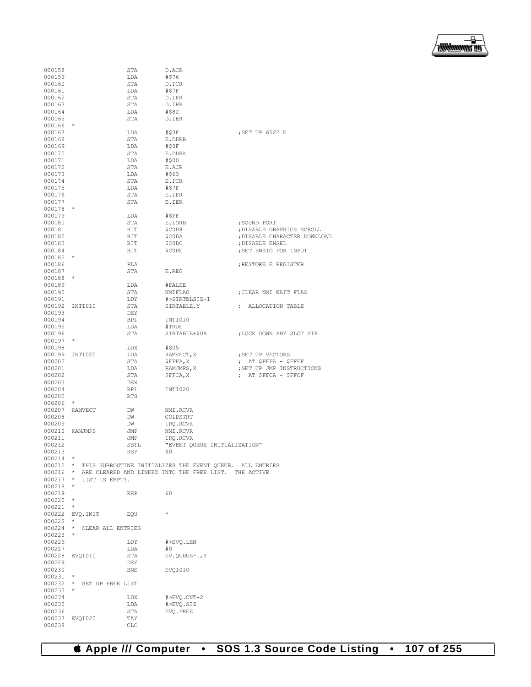

| 000158           |                            | STA         | D.ACR                                                             |                              |
|------------------|----------------------------|-------------|-------------------------------------------------------------------|------------------------------|
| 000159           |                            | LDA         | #\$76                                                             |                              |
| 000160           |                            | <b>STA</b>  | D.PCR                                                             |                              |
| 000161           |                            | LDA         | #\$7F                                                             |                              |
| 000162           |                            | STA         | D.IFR                                                             |                              |
| 000163           |                            | STA         | D.IER                                                             |                              |
| 000164           |                            | LDA         | #\$82                                                             |                              |
| 000165           |                            | STA         | D.IER                                                             |                              |
| 000166           | $\star$                    |             |                                                                   |                              |
| 000167           |                            | LDA         | #\$3F                                                             | ; SET UP 6522 E              |
| 000168           |                            | STA         | E.DDRB                                                            |                              |
| 000169           |                            | LDA         | #\$0F                                                             |                              |
| 000170           |                            | STA         | E.DDRA                                                            |                              |
| 000171           |                            | LDA         | #\$00                                                             |                              |
| 000172           |                            | <b>STA</b>  | E.ACR                                                             |                              |
| 000173           |                            | LDA         | #\$63                                                             |                              |
| 000174           |                            | STA         | E.PCR                                                             |                              |
| 000175           |                            | LDA         | #\$7F                                                             |                              |
| 000176           |                            | STA         | E.IFR                                                             |                              |
| 000177<br>000178 | $\star$                    | STA         | E.IER                                                             |                              |
| 000179           |                            | LDA         | #SFF                                                              |                              |
| 000180           |                            | STA         | E.IORB                                                            | ; SOUND PORT                 |
| 000181           |                            | BIT         | \$C0D8                                                            | ; DISABLE GRAPHICS SCROLL    |
| 000182           |                            | BIT         | \$CODA                                                            | ; DISABLE CHARACTER DOWNLOAD |
| 000183           |                            | BIT         | \$C0DC                                                            | ; DISABLE ENSEL              |
| 000184           |                            | BIT         | \$CODE                                                            | ; SET ENSIO FOR INPUT        |
| 000185           | $\star$                    |             |                                                                   |                              |
| 000186           |                            | PLA         |                                                                   | ; RESTORE E REGISTER         |
| 000187           |                            | STA         | E.REG                                                             |                              |
| 000188           | $\star$                    |             |                                                                   |                              |
| 000189           |                            | LDA         | #FALSE                                                            |                              |
| 000190           |                            | STA         | NMIFLAG                                                           | ; CLEAR NMI WAIT FLAG        |
| 000191           |                            | LDY         | #>SIRTBLSIZ-1                                                     |                              |
| 000192           | INTI010                    | STA         | SIRTABLE, Y                                                       | ; ALLOCATION TABLE           |
| 000193           |                            | DEY         |                                                                   |                              |
| 000194           |                            | BPL         | INTI010                                                           |                              |
| 000195           |                            | LDA         | #TRUE                                                             |                              |
| 000196           |                            | STA         | SIRTABLE+\$0A                                                     | ; LOCK DOWN ANY SLOT SIR     |
| $000197$ *       |                            |             |                                                                   |                              |
| 000198           |                            | LDX         | #\$05                                                             |                              |
| 000199           | INTI020                    | LDA         | RAMVECT, X                                                        | ; SET UP VECTORS             |
| 000200           |                            | STA         | \$FFFA, X                                                         | $\gamma$ AT SFFFA - SFFFF    |
| 000201           |                            | LDA         | RAMJMPS, X                                                        | ; SET UP JMP INSTRUCTIONS    |
| 000202           |                            | STA         | \$FFCA, X                                                         | ; AT \$FFCA - \$FFCF         |
| 000203           |                            | DEX         |                                                                   |                              |
| 000204           |                            | <b>BPL</b>  | INTI020                                                           |                              |
| 000205           |                            | <b>RTS</b>  |                                                                   |                              |
| 000206           | $^{\star}$                 |             |                                                                   |                              |
|                  | 000207 RAMVECT             | DW          | NMI.RCVR                                                          |                              |
| 000208           |                            | DW          | COLDSTRT                                                          |                              |
| 000209           |                            | DW          | IRO.RCVR                                                          |                              |
|                  | 000210 RAMJMPS             | JMP         | NMI.RCVR                                                          |                              |
| 000211           |                            | JMP         | IRQ.RCVR                                                          |                              |
| 000212           |                            | SBTL        | "EVENT OUEUE INITIALIZATION"                                      |                              |
| 000213           |                            | <b>REP</b>  | 6 U                                                               |                              |
| $000214$ *       |                            |             |                                                                   |                              |
|                  |                            |             | 000215 * THIS SUBROUTINE INITIALIZES THE EVENT QUEUE. ALL ENTRIES |                              |
|                  |                            |             | 000216 * ARE CLEARED AND LINKED INTO THE FREE LIST. THE ACTIVE    |                              |
|                  | 000217 * LIST IS EMPTY.    |             |                                                                   |                              |
| $000218$ *       |                            |             |                                                                   |                              |
| 000219           |                            | REP         | 60                                                                |                              |
| $000220$ *       |                            |             |                                                                   |                              |
| 000221           | $^{\star}$                 |             |                                                                   |                              |
|                  | 000222 EVQ.INIT            | EQU         | $\star$                                                           |                              |
| $000223$ *       |                            |             |                                                                   |                              |
|                  | 000224 * CLEAR ALL ENTRIES |             |                                                                   |                              |
| $000225$ *       |                            |             |                                                                   |                              |
| 000226           |                            | LDY         | #>EVQ.LEN                                                         |                              |
| 000227           |                            | LDA         | #0                                                                |                              |
|                  | 000228 EVQI010             | STA         | EV.QUEUE-1, Y                                                     |                              |
| 000229           |                            | DEY         |                                                                   |                              |
| 000230           |                            | BNE         | EVQI010                                                           |                              |
| $000231$ *       |                            |             |                                                                   |                              |
|                  | 000232 * SET UP FREE LIST  |             |                                                                   |                              |
| $000233$ *       |                            |             |                                                                   |                              |
| 000234           |                            | LDX         | #>EVQ.CNT-2                                                       |                              |
| 000235           |                            | LDA         | #>EVQ.SIZ                                                         |                              |
| 000236           |                            | STA         | EVQ. FREE                                                         |                              |
|                  | 000237 EVQI020             | TAY         |                                                                   |                              |
| 000238           |                            | ${\tt CLC}$ |                                                                   |                              |

 **Apple /// Computer • SOS 1.3 Source Code Listing • 107 of 255**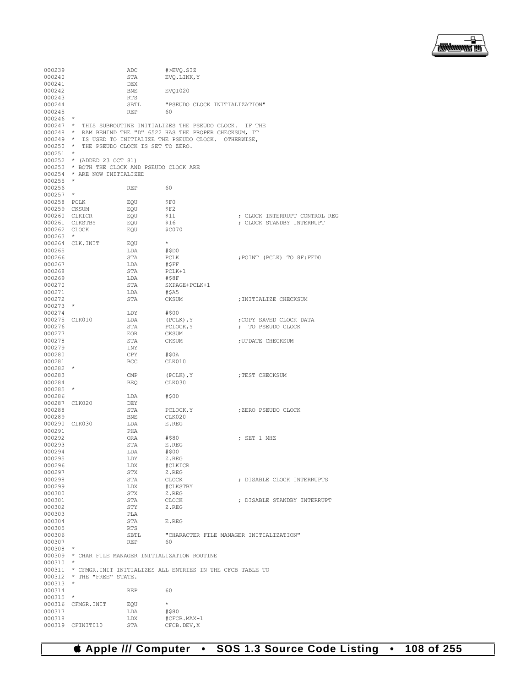

| 000239           |                                           | ADC        | #>EVO.SIZ                                                         |                                         |
|------------------|-------------------------------------------|------------|-------------------------------------------------------------------|-----------------------------------------|
| 000240           |                                           | STA        | EVQ.LINK, Y                                                       |                                         |
| 000241           |                                           | DEX        |                                                                   |                                         |
| 000242           |                                           | BNE        | EVOI020                                                           |                                         |
| 000243           |                                           | RTS        |                                                                   |                                         |
| 000244           |                                           | SBTL       | "PSEUDO CLOCK INITIALIZATION"                                     |                                         |
| 000245           |                                           | REP        | - 60                                                              |                                         |
| $000246$ *       |                                           |            |                                                                   |                                         |
|                  |                                           |            | 000247 * THIS SUBROUTINE INITIALIZES THE PSEUDO CLOCK. IF THE     |                                         |
|                  |                                           |            | 000248 * RAM BEHIND THE "D" 6522 HAS THE PROPER CHECKSUM, IT      |                                         |
| $000249$ *       |                                           |            | IS USED TO INITIALIZE THE PSEUDO CLOCK. OTHERWISE,                |                                         |
| $000251$ *       | 000250 * THE PSEUDO CLOCK IS SET TO ZERO. |            |                                                                   |                                         |
|                  | 000252 * (ADDED 23 OCT 81)                |            |                                                                   |                                         |
|                  |                                           |            | 000253 * BOTH THE CLOCK AND PSEUDO CLOCK ARE                      |                                         |
|                  | 000254 * ARE NOW INITIALIZED              |            |                                                                   |                                         |
| $000255$ *       |                                           |            |                                                                   |                                         |
| 000256           |                                           | <b>REP</b> | - 60                                                              |                                         |
| $000257$ *       |                                           |            |                                                                   |                                         |
|                  | 000258 PCLK                               | EOU        | \$F0                                                              |                                         |
|                  | 000259 CKSUM                              | EQU        | \$F2                                                              |                                         |
|                  | 000260 CLKICR                             | EQU        | <b>\$11</b>                                                       | ; CLOCK INTERRUPT CONTROL REG           |
|                  | 000261 CLKSTBY                            | EOU        | \$16                                                              | ; CLOCK STANDBY INTERRUPT               |
|                  | 000262 CLOCK                              | EQU        | \$C070                                                            |                                         |
| $000263$ *       |                                           |            |                                                                   |                                         |
|                  | 000264 CLK.INIT                           | EOU        | $\star$                                                           |                                         |
| 000265           |                                           | LDA        | #\$D0                                                             |                                         |
| 000266           |                                           | STA        | PCLK                                                              | FOINT (PCLK) TO 8F:FFD0;                |
| 000267           |                                           | LDA        | #\$FF                                                             |                                         |
| 000268           |                                           | STA        | PCLK+1                                                            |                                         |
| 000269           |                                           | LDA        | #\$8F                                                             |                                         |
| 000270           |                                           | STA        | SXPAGE+PCLK+1                                                     |                                         |
| 000271           |                                           | LDA        | #\$A5                                                             |                                         |
| 000272           |                                           | STA        | CKSUM                                                             | ; INITIALIZE CHECKSUM                   |
| $000273$ *       |                                           |            |                                                                   |                                         |
| 000274           |                                           | LDY        | #\$00                                                             |                                         |
|                  | 000275 CLK010                             | LDA        | (PCLK), Y                                                         | COPY SAVED CLOCK DATA;                  |
| 000276           |                                           | STA        | PCLOCK, Y                                                         | ; TO PSEUDO CLOCK                       |
| 000277<br>000278 |                                           | EOR<br>STA | CKSUM<br>CKSUM                                                    |                                         |
| 000279           |                                           |            |                                                                   | ; UPDATE CHECKSUM                       |
| 000280           |                                           | INY<br>CPY | #\$0A                                                             |                                         |
| 000281           |                                           | <b>BCC</b> | CLK010                                                            |                                         |
| $000282$ *       |                                           |            |                                                                   |                                         |
| 000283           |                                           | CMP        | (PCLK), Y                                                         | ; TEST CHECKSUM                         |
| 000284           |                                           | BEQ        | CLK030                                                            |                                         |
| $000285$ *       |                                           |            |                                                                   |                                         |
| 000286           |                                           | LDA        | #\$00                                                             |                                         |
|                  | 000287 CLK020                             | DEY        |                                                                   |                                         |
| 000288           |                                           | STA        | PCLOCK, Y                                                         | ;ZERO PSEUDO CLOCK                      |
| 000289           |                                           | BNE        | CLK020                                                            |                                         |
|                  | 000290 CLK030                             | LDA        | E.REG                                                             |                                         |
| 000291           |                                           | PHA        |                                                                   |                                         |
| 000292           |                                           | ORA        | #\$80                                                             | ; SET 1 MHZ                             |
| 000293           |                                           | STA        | E.REG                                                             |                                         |
| 000294           |                                           | LDA        | #\$00                                                             |                                         |
| 000295           |                                           | LDY        | Z.REG                                                             |                                         |
| 000296           |                                           | LDX        | #CLKICR                                                           |                                         |
| 000297           |                                           | STX        | Z.REG                                                             |                                         |
| 000298           |                                           | STA        | CLOCK                                                             | ; DISABLE CLOCK INTERRUPTS              |
| 000299           |                                           | LDX        | #CLKSTBY                                                          |                                         |
| 000300           |                                           | STX        | Z.REG                                                             |                                         |
| 000301           |                                           | STA        | CLOCK                                                             | ; DISABLE STANDBY INTERRUPT             |
| 000302           |                                           | STY        | Z.REG                                                             |                                         |
| 000303           |                                           | PLA        |                                                                   |                                         |
| 000304           |                                           | STA        | E.REG                                                             |                                         |
| 000305           |                                           | RTS        |                                                                   |                                         |
| 000306           |                                           | SBTL       |                                                                   | "CHARACTER FILE MANAGER INITIALIZATION" |
| 000307           |                                           | REP        | - 60                                                              |                                         |
| $000308$ *       |                                           |            |                                                                   |                                         |
|                  |                                           |            | 000309 * CHAR FILE MANAGER INITIALIZATION ROUTINE                 |                                         |
| $000310$ *       |                                           |            |                                                                   |                                         |
|                  |                                           |            | 000311 * CFMGR. INIT INITIALIZES ALL ENTRIES IN THE CFCB TABLE TO |                                         |
|                  | 000312 * THE "FREE" STATE.                |            |                                                                   |                                         |
| $000313$ *       |                                           |            |                                                                   |                                         |
| 000314           |                                           | REP        | - 60                                                              |                                         |
| 000315           | $\star$                                   |            |                                                                   |                                         |
|                  | 000316 CFMGR.INIT                         | EQU        | $\star$                                                           |                                         |
| 000317           |                                           | LDA        | #\$80                                                             |                                         |
| 000318           |                                           | LDX        | #CFCB.MAX-1                                                       |                                         |
|                  | 000319 CFINIT010                          | STA        | CFCB.DEV, X                                                       |                                         |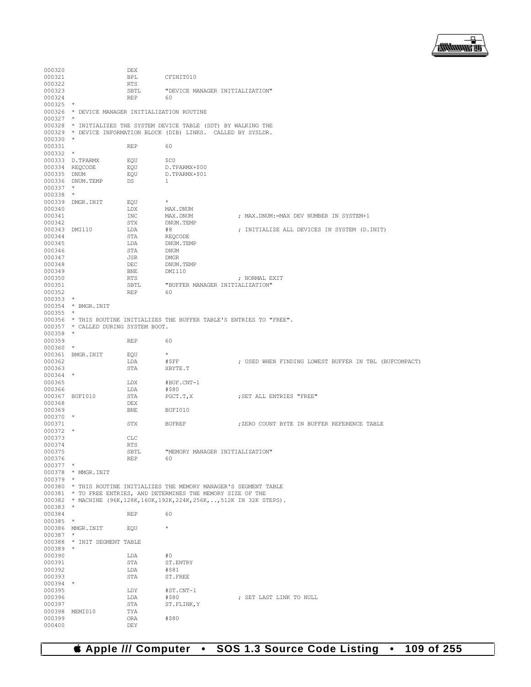

| 000320           |                                                | DEX               |                                                                            |                                                       |
|------------------|------------------------------------------------|-------------------|----------------------------------------------------------------------------|-------------------------------------------------------|
| 000321           |                                                | BPL               | CFINIT010                                                                  |                                                       |
| 000322           |                                                | RTS               |                                                                            |                                                       |
| 000323           |                                                | SBTL              | "DEVICE MANAGER INITIALIZATION"                                            |                                                       |
| 000324           |                                                | REP               | 60                                                                         |                                                       |
| $000325$ *       | 000326 * DEVICE MANAGER INITIALIZATION ROUTINE |                   |                                                                            |                                                       |
| $000327$ *       |                                                |                   |                                                                            |                                                       |
|                  |                                                |                   | 000328 * INITIALIZES THE SYSTEM DEVICE TABLE (SDT) BY WALKING THE          |                                                       |
|                  |                                                |                   | 000329 * DEVICE INFORMATION BLOCK (DIB) LINKS. CALLED BY SYSLDR.           |                                                       |
| $000330$ *       |                                                |                   |                                                                            |                                                       |
| 000331           |                                                | REP               | 60                                                                         |                                                       |
| $000332$ *       |                                                |                   |                                                                            |                                                       |
|                  | 000333 D.TPARMX<br>000334 REQCODE              | EQU<br>EQU        | \$C0<br>D.TPARMX+\$00                                                      |                                                       |
| 000335 DNUM      |                                                | EOU               | D.TPARMX+\$01                                                              |                                                       |
|                  | 000336 DNUM.TEMP                               | DS                | $\mathbf{1}$                                                               |                                                       |
| $000337$ *       |                                                |                   |                                                                            |                                                       |
| $000338$ *       |                                                |                   |                                                                            |                                                       |
| 000340           | 000339 DMGR. INIT                              | EQU               | $\star$                                                                    |                                                       |
| 000341           |                                                | LDX<br>INC        | MAX.DNUM<br>MAX.DNUM                                                       | ; MAX.DNUM:=MAX DEV NUMBER IN SYSTEM+1                |
| 000342           |                                                | STX               | DNUM.TEMP                                                                  |                                                       |
| 000343 DMI110    |                                                | LDA               | #8                                                                         | ; INITIALIZE ALL DEVICES IN SYSTEM (D.INIT)           |
| 000344           |                                                | STA               | REOCODE                                                                    |                                                       |
| 000345           |                                                | LDA               | DNUM.TEMP                                                                  |                                                       |
| 000346           |                                                | STA               | DNUM                                                                       |                                                       |
| 000347<br>000348 |                                                | JSR<br>DEC        | DMGR<br>DNUM.TEMP                                                          |                                                       |
| 000349           |                                                | BNE               | DMI110                                                                     |                                                       |
| 000350           |                                                | RTS               |                                                                            | ; NORMAL EXIT                                         |
| 000351           |                                                | SBTL              | "BUFFER MANAGER INITIALIZATION"                                            |                                                       |
| 000352           |                                                | <b>REP</b>        | 60                                                                         |                                                       |
| $000353$ *       |                                                |                   |                                                                            |                                                       |
| $000355$ *       | 000354 * BMGR. INIT                            |                   |                                                                            |                                                       |
|                  |                                                |                   | 000356 * THIS ROUTINE INITIALIZES THE BUFFER TABLE'S ENTRIES TO "FREE".    |                                                       |
|                  | 000357 * CALLED DURING SYSTEM BOOT.            |                   |                                                                            |                                                       |
| $000358$ *       |                                                |                   |                                                                            |                                                       |
| 000359           |                                                | REP               | 60                                                                         |                                                       |
| $000360$ *       |                                                |                   |                                                                            |                                                       |
| 000362           | 000361 BMGR.INIT                               | EOU<br>LDA        | $\star$<br>#\$FF                                                           | ; USED WHEN FINDING LOWEST BUFFER IN TBL (BUFCOMPACT) |
| 000363           |                                                | STA               | XBYTE.T                                                                    |                                                       |
| 000364 *         |                                                |                   |                                                                            |                                                       |
| 000365           |                                                | LDX               | #BUF.CNT-1                                                                 |                                                       |
| 000366           |                                                | LDA               | #\$80                                                                      |                                                       |
|                  | 000367 BUFI010                                 | STA               | PGCT.T,X                                                                   | SET ALL ENTRIES "FREE",                               |
| 000368<br>000369 |                                                | DEX<br><b>BNE</b> | BUFI010                                                                    |                                                       |
| $000370$ *       |                                                |                   |                                                                            |                                                       |
| 000371           |                                                | STX               | BUFREF                                                                     | ; ZERO COUNT BYTE IN BUFFER REFERENCE TABLE           |
| $000372$ *       |                                                |                   |                                                                            |                                                       |
| 000373           |                                                | <b>CLC</b>        |                                                                            |                                                       |
| 000374           |                                                | <b>RTS</b>        |                                                                            |                                                       |
| 000375<br>000376 |                                                | SBTL<br>REP       | "MEMORY MANAGER INITIALIZATION"<br>60                                      |                                                       |
| $000377$ *       |                                                |                   |                                                                            |                                                       |
|                  | 000378 * MMGR. INIT                            |                   |                                                                            |                                                       |
| $000379$ *       |                                                |                   |                                                                            |                                                       |
|                  |                                                |                   | 000380 * THIS ROUTINE INITIALIZES THE MEMORY MANAGER'S SEGMENT TABLE       |                                                       |
|                  |                                                |                   | 000381 * TO FREE ENTRIES, AND DETERMINES THE MEMORY SIZE OF THE            |                                                       |
| $000383$ *       |                                                |                   | 000382 * MACHINE (96K, 128K, 160K, 192K, 224K, 256K, , 512K IN 32K STEPS). |                                                       |
| 000384           |                                                | REP               | 60                                                                         |                                                       |
| 000385 *         |                                                |                   |                                                                            |                                                       |
|                  | 000386 MMGR.INIT                               | EOU               | $\star$                                                                    |                                                       |
| $000387$ *       |                                                |                   |                                                                            |                                                       |
| $000389$ *       | 000388 * INIT SEGMENT TABLE                    |                   |                                                                            |                                                       |
| 000390           |                                                | LDA               | #0                                                                         |                                                       |
| 000391           |                                                | STA               | ST.ENTRY                                                                   |                                                       |
| 000392           |                                                | LDA               | #\$81                                                                      |                                                       |
| 000393           |                                                | STA               | ST.FREE                                                                    |                                                       |
| $000394$ *       |                                                |                   |                                                                            |                                                       |
| 000395           |                                                |                   |                                                                            |                                                       |
|                  |                                                | LDY               | #ST.CNT-1                                                                  |                                                       |
| 000396           |                                                | LDA               | #\$80                                                                      | ; SET LAST LINK TO NULL                               |
| 000397           | 000398 MEMI010                                 | STA<br>TYA        | ST.FLINK, Y                                                                |                                                       |
| 000399<br>000400 |                                                | ORA               | #\$80                                                                      |                                                       |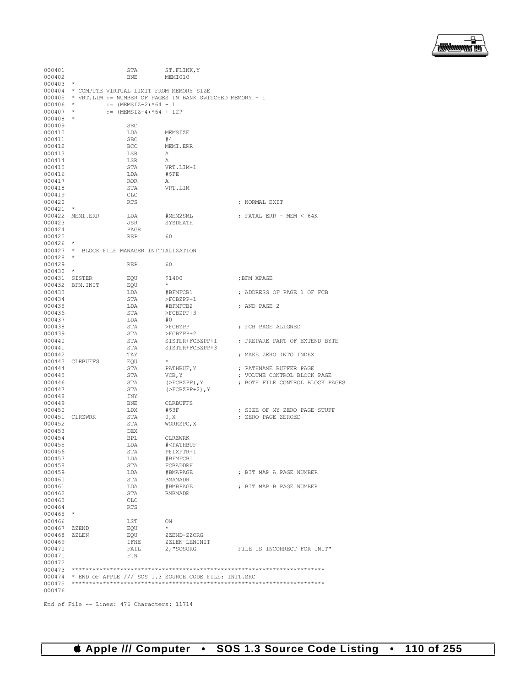End of File -- Lines: 476 Characters: 11714

| 000401<br>000402<br>$000403$ *         |                  | STA<br><b>BNE</b><br>000404 * COMPUTE VIRTUAL LIMIT FROM MEMORY SIZE | ST.FLINK, Y<br>MEMI010                                          |                                                                |
|----------------------------------------|------------------|----------------------------------------------------------------------|-----------------------------------------------------------------|----------------------------------------------------------------|
| $000406$ *<br>$000407$ *<br>$000408$ * |                  | $:=$ (MEMSIZ-2) *64 - 1<br>:= $(MEMSIZ-4)*(64 + 127)$                | 000405 * VRT.LIM := NUMBER OF PAGES IN BANK SWITCHED MEMORY - 1 |                                                                |
| 000409<br>000410                       |                  | SEC<br>LDA                                                           | MEMSIZE                                                         |                                                                |
| 000411                                 |                  | SBC                                                                  | #4                                                              |                                                                |
| 000412                                 |                  | BCC                                                                  | MEMI.ERR                                                        |                                                                |
| 000413                                 |                  | LSR                                                                  | A                                                               |                                                                |
| 000414<br>000415                       |                  | LSR<br>STA                                                           | А<br>VRT.LIM+1                                                  |                                                                |
| 000416                                 |                  | LDA                                                                  | #\$FE                                                           |                                                                |
| 000417                                 |                  | ROR                                                                  | А                                                               |                                                                |
| 000418                                 |                  | STA                                                                  | VRT.LIM                                                         |                                                                |
| 000419                                 |                  | CLC                                                                  |                                                                 |                                                                |
| 000420<br>$000421$ *                   |                  | <b>RTS</b>                                                           |                                                                 | ; NORMAL EXIT                                                  |
|                                        | 000422 MEMI.ERR  | LDA                                                                  | #MEM2SML                                                        | ; FATAL ERR - MEM $< 64K$                                      |
| 000423                                 |                  | JSR                                                                  | SYSDEATH                                                        |                                                                |
| 000424                                 |                  | PAGE                                                                 |                                                                 |                                                                |
| 000425                                 |                  | REP                                                                  | 60                                                              |                                                                |
| $000426$ *                             |                  | 000427 * BLOCK FILE MANAGER INITIALIZATION                           |                                                                 |                                                                |
| $000428$ *                             |                  |                                                                      |                                                                 |                                                                |
| 000429                                 |                  | REP                                                                  | 60                                                              |                                                                |
| $000430$ *                             |                  |                                                                      |                                                                 |                                                                |
| 000431 SISTER                          | 000432 BFM. INIT | EQU                                                                  | \$1400<br>$\star$                                               | ;BFM XPAGE                                                     |
| 000433                                 |                  | EQU<br>LDA                                                           | #BFMFCB1                                                        | ; ADDRESS OF PAGE 1 OF FCB                                     |
| 000434                                 |                  | STA                                                                  | >FCBZPP+1                                                       |                                                                |
| 000435                                 |                  | LDA                                                                  | #BFMFCB2                                                        | ; AND PAGE 2                                                   |
| 000436                                 |                  | STA                                                                  | >FCBZPP+3                                                       |                                                                |
| 000437                                 |                  | LDA                                                                  | #0                                                              |                                                                |
| 000438                                 |                  | STA                                                                  | >FCBZPP                                                         | ; FCB PAGE ALIGNED                                             |
| 000439<br>000440                       |                  | STA<br>STA                                                           | >FCBZPP+2<br>SISTER+FCBZPP+1                                    | ; PREPARE PART OF EXTEND BYTE                                  |
| 000441                                 |                  | STA                                                                  | SISTER+FCBZPP+3                                                 |                                                                |
| 000442                                 |                  | TAY                                                                  |                                                                 | ; MAKE ZERO INTO INDEX                                         |
|                                        | 000443 CLRBUFFS  | EQU                                                                  | $\star$                                                         |                                                                |
| 000444                                 |                  | STA                                                                  | PATHBUF, Y                                                      | ; PATHNAME BUFFER PAGE                                         |
| 000445<br>000446                       |                  | STA<br>STA                                                           | VCB, Y<br>$($ >FCBZPP $)$ , Y                                   | ; VOLUME CONTROL BLOCK PAGE<br>; BOTH FILE CONTROL BLOCK PAGES |
| 000447                                 |                  | STA                                                                  | $(YECBZPP+2)$ , Y                                               |                                                                |
| 000448                                 |                  | INY                                                                  |                                                                 |                                                                |
| 000449                                 |                  | <b>BNE</b>                                                           | CLRBUFFS                                                        |                                                                |
| 000450                                 |                  | LDX                                                                  | #\$3F                                                           | ; SIZE OF MY ZERO PAGE STUFF                                   |
| 000452                                 | 000451 CLRZWRK   | STA<br>STA                                                           | 0, X<br>WORKSPC, X                                              | ; ZERO PAGE ZEROED                                             |
| 000453                                 |                  | DEX                                                                  |                                                                 |                                                                |
| 000454                                 |                  | BPL                                                                  | CLRZWRK                                                         |                                                                |
| 000455                                 |                  | LDA                                                                  | # <pathbuf< td=""><td></td></pathbuf<>                          |                                                                |
| 000456                                 |                  | STA                                                                  | PFIXPTR+1                                                       |                                                                |
| 000457<br>000458                       |                  | LDA<br>STA                                                           | #BFMFCB1<br>FCBADDRH                                            |                                                                |
| 000459                                 |                  | LDA                                                                  | #BMAPAGE                                                        | ; BIT MAP A PAGE NUMBER                                        |
| 000460                                 |                  | STA                                                                  | BMAMADR                                                         |                                                                |
| 000461                                 |                  | LDA                                                                  | #BMBPAGE                                                        | ; BIT MAP B PAGE NUMBER                                        |
| 000462                                 |                  | STA                                                                  | BMBMADR                                                         |                                                                |
| 000463<br>000464                       |                  | CLC                                                                  |                                                                 |                                                                |
| $000465$ *                             |                  | RTS                                                                  |                                                                 |                                                                |
| 000466                                 |                  | LST                                                                  | ON                                                              |                                                                |
| 000467                                 | ZZEND            | EQU                                                                  | $^{\star}$                                                      |                                                                |
| 000468                                 | ZZLEN            | EQU                                                                  | ZZEND-ZZORG                                                     |                                                                |
| 000469                                 |                  | IFNE                                                                 | ZZLEN-LENINIT                                                   |                                                                |
| 000470<br>000471                       |                  | FAIL<br>FIN                                                          | 2, "SOSORG                                                      | FILE IS INCORRECT FOR INIT"                                    |
| 000472                                 |                  |                                                                      |                                                                 |                                                                |
| 000473                                 |                  |                                                                      |                                                                 |                                                                |
|                                        |                  |                                                                      | $000474$ * END OF APPLE /// SOS 1.3 SOURCE CODE FILE: INIT.SRC  |                                                                |
| 000476                                 |                  |                                                                      |                                                                 |                                                                |

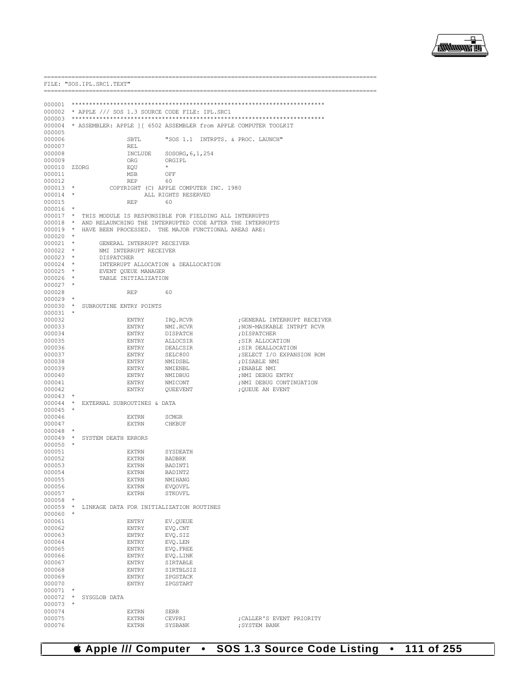

|                          |                                                       | FILE: "SOS. IPL. SRC1. TEXT"                                  |                           |                                                                          |  |  |
|--------------------------|-------------------------------------------------------|---------------------------------------------------------------|---------------------------|--------------------------------------------------------------------------|--|--|
|                          |                                                       | --------------------------                                    |                           |                                                                          |  |  |
|                          |                                                       |                                                               |                           |                                                                          |  |  |
|                          | 000002 * APPLE /// SOS 1.3 SOURCE CODE FILE: IPL.SRC1 |                                                               |                           |                                                                          |  |  |
|                          |                                                       |                                                               |                           | 000004 * ASSEMBLER: APPLE 1 [ 6502 ASSEMBLER from APPLE COMPUTER TOOLKIT |  |  |
| 000005                   |                                                       |                                                               |                           |                                                                          |  |  |
| 000006<br>000007         |                                                       | SBTL<br>REL                                                   |                           | "SOS 1.1 INTRPTS. & PROC. LAUNCH"                                        |  |  |
| 000008                   |                                                       |                                                               | INCLUDE SOSORG, 6, 1, 254 |                                                                          |  |  |
| 000009                   |                                                       | ORG                                                           | ORGIPL                    |                                                                          |  |  |
|                          | 000010 ZZORG                                          | EQU                                                           | $\star$                   |                                                                          |  |  |
| 000011<br>000012         |                                                       | MSB<br>REP                                                    | OFF<br>60                 |                                                                          |  |  |
| $000013$ *               |                                                       | COPYRIGHT (C) APPLE COMPUTER INC. 1980                        |                           |                                                                          |  |  |
| $000014$ *               |                                                       |                                                               | ALL RIGHTS RESERVED       |                                                                          |  |  |
| 000015                   |                                                       | REP                                                           | 60                        |                                                                          |  |  |
| $000016$ *               |                                                       |                                                               |                           | 000017 * THIS MODULE IS RESPONSIBLE FOR FIELDING ALL INTERRUPTS          |  |  |
|                          |                                                       |                                                               |                           | 000018 * AND RELAUNCHING THE INTERRUPTED CODE AFTER THE INTERRUPTS       |  |  |
|                          |                                                       | 000019 * HAVE BEEN PROCESSED. THE MAJOR FUNCTIONAL AREAS ARE: |                           |                                                                          |  |  |
| $000020$ *               |                                                       |                                                               |                           |                                                                          |  |  |
| $000021$ *<br>$000022$ * |                                                       | GENERAL INTERRUPT RECEIVER<br>NMI INTERRUPT RECEIVER          |                           |                                                                          |  |  |
| $000023$ *               |                                                       | DISPATCHER                                                    |                           |                                                                          |  |  |
| $000024$ *               |                                                       | INTERRUPT ALLOCATION & DEALLOCATION                           |                           |                                                                          |  |  |
| $000025$ *               |                                                       | EVENT QUEUE MANAGER                                           |                           |                                                                          |  |  |
| 000026 *<br>$000027$ *   |                                                       | TABLE INITIALIZATION                                          |                           |                                                                          |  |  |
| 000028                   |                                                       | REP                                                           | 60                        |                                                                          |  |  |
| $000029$ *               |                                                       |                                                               |                           |                                                                          |  |  |
|                          |                                                       | 000030 * SUBROUTINE ENTRY POINTS                              |                           |                                                                          |  |  |
| $000031$ *<br>000032     |                                                       | ENTRY                                                         | IRO.RCVR                  | GENERAL INTERRUPT RECEIVER                                               |  |  |
| 000033                   |                                                       | ENTRY                                                         | NMI.RCVR                  | ; NON-MASKABLE INTRPT RCVR                                               |  |  |
| 000034                   |                                                       | ENTRY                                                         | DISPATCH                  | ; DISPATCHER                                                             |  |  |
| 000035<br>000036         |                                                       | ENTRY<br>ENTRY                                                | ALLOCSIR<br>DEALCSIR      | ; SIR ALLOCATION                                                         |  |  |
| 000037                   |                                                       | ENTRY                                                         | SELC800                   | ; SIR DEALLOCATION<br>; SELECT I/O EXPANSION ROM                         |  |  |
| 000038                   |                                                       | ENTRY                                                         | NMIDSBL                   | ; DISABLE NMI                                                            |  |  |
| 000039                   |                                                       | ENTRY                                                         | NMIENBL                   | ; ENABLE NMI                                                             |  |  |
| 000040<br>000041         |                                                       | ENTRY<br>ENTRY                                                | NMIDBUG                   | ; NMI DEBUG ENTRY                                                        |  |  |
| 000042                   |                                                       | ENTRY                                                         | NMICONT<br>QUEEVENT       | ; NMI DEBUG CONTINUATION<br>; QUEUE AN EVENT                             |  |  |
| 000043                   |                                                       |                                                               |                           |                                                                          |  |  |
|                          |                                                       | 000044 * EXTERNAL SUBROUTINES & DATA                          |                           |                                                                          |  |  |
| 000045<br>000046         |                                                       | EXTRN                                                         | SCMGR                     |                                                                          |  |  |
| 000047                   |                                                       | <b>EXTRN</b>                                                  | CHKBUF                    |                                                                          |  |  |
| $000048$ *               |                                                       |                                                               |                           |                                                                          |  |  |
|                          |                                                       | 000049 * SYSTEM DEATH ERRORS                                  |                           |                                                                          |  |  |
| $000050$ *<br>000051     |                                                       | EXTRN                                                         | SYSDEATH                  |                                                                          |  |  |
| 000052                   |                                                       | <b>EXTRN</b>                                                  | <b>BADBRK</b>             |                                                                          |  |  |
| 000053                   |                                                       | EXTRN                                                         | BADINT1                   |                                                                          |  |  |
| 000054                   |                                                       | <b>EXTRN</b>                                                  | BADINT2                   |                                                                          |  |  |
| 000055<br>000056         |                                                       | EXTRN<br>EXTRN                                                | NMIHANG<br><b>EVQOVFL</b> |                                                                          |  |  |
| 000057                   |                                                       | <b>EXTRN</b>                                                  | STKOVFL                   |                                                                          |  |  |
| 000058                   |                                                       |                                                               |                           |                                                                          |  |  |
|                          |                                                       | 000059 * LINKAGE DATA FOR INITIALIZATION ROUTINES             |                           |                                                                          |  |  |
| 000060<br>000061         |                                                       | ENTRY                                                         | EV.QUEUE                  |                                                                          |  |  |
| 000062                   |                                                       | ENTRY                                                         | EVQ.CNT                   |                                                                          |  |  |
| 000063                   |                                                       | ENTRY                                                         | EVQ.SIZ                   |                                                                          |  |  |
| 000064                   |                                                       | ENTRY                                                         | EVQ.LEN                   |                                                                          |  |  |
| 000065<br>000066         |                                                       | ENTRY<br>ENTRY                                                | EVQ. FREE<br>EVO.LINK     |                                                                          |  |  |
| 000067                   |                                                       | ENTRY                                                         | SIRTABLE                  |                                                                          |  |  |
| 000068                   |                                                       | ENTRY                                                         | SIRTBLSIZ                 |                                                                          |  |  |
| 000069                   |                                                       | ENTRY                                                         | ZPGSTACK                  |                                                                          |  |  |
| 000070<br>$000071$ *     |                                                       | ENTRY                                                         | ZPGSTART                  |                                                                          |  |  |
| $000072$ *               |                                                       | SYSGLOB DATA                                                  |                           |                                                                          |  |  |
| 000073                   | $\star$                                               |                                                               |                           |                                                                          |  |  |
| 000074<br>000075         |                                                       | <b>EXTRN</b>                                                  | SERR                      |                                                                          |  |  |
| 000076                   |                                                       | <b>EXTRN</b><br><b>EXTRN</b>                                  | CEVPRI<br>SYSBANK         | ; CALLER'S EVENT PRIORITY<br>: SYSTEM BANK                               |  |  |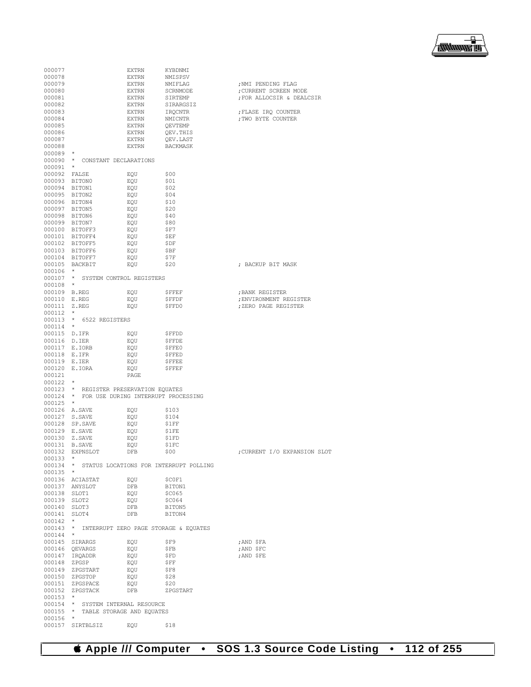| 000077       |                                              | EXTRN | KYBDNMI                                         |                              |
|--------------|----------------------------------------------|-------|-------------------------------------------------|------------------------------|
| 000078       |                                              | EXTRN | NMISPSV                                         |                              |
| 000079       |                                              | EXTRN | NMIFLAG                                         | ; NMI PENDING FLAG           |
|              |                                              |       |                                                 |                              |
| 000080       |                                              | EXTRN | SCRNMODE                                        | ; CURRENT SCREEN MODE        |
| 000081       |                                              | EXTRN | SIRTEMP                                         | ; FOR ALLOCSIR & DEALCSIR    |
| 000082       |                                              | EXTRN | SIRARGSIZ                                       |                              |
|              |                                              |       |                                                 |                              |
| 000083       |                                              | EXTRN | IRQCNTR                                         | ; FLASE IRO COUNTER          |
| 000084       |                                              | EXTRN | NMICNTR                                         | ; TWO BYTE COUNTER           |
| 000085       |                                              | EXTRN |                                                 |                              |
|              |                                              |       | QEVTEMP                                         |                              |
| 000086       |                                              | EXTRN | QEV.THIS                                        |                              |
| 000087       |                                              | EXTRN | QEV.LAST                                        |                              |
|              |                                              |       |                                                 |                              |
| 000088       |                                              | EXTRN | BACKMASK                                        |                              |
| 000089 *     |                                              |       |                                                 |                              |
|              | 000090 * CONSTANT DECLARATIONS               |       |                                                 |                              |
|              |                                              |       |                                                 |                              |
| 000091 *     |                                              |       |                                                 |                              |
| 000092 FALSE |                                              | EQU   | - \$00                                          |                              |
|              |                                              |       |                                                 |                              |
|              | 000093 BITON0                                | EQU   | \$01                                            |                              |
|              | 000094 BITON1                                | EQU   | \$02                                            |                              |
|              | 000095 BITON2                                | EQU   | -\$04                                           |                              |
|              |                                              |       |                                                 |                              |
|              | 000096 BITON4                                | EQU   | \$10                                            |                              |
|              | 000097 BITON5                                | EQU   | \$20                                            |                              |
|              |                                              |       |                                                 |                              |
|              | 000098 BITON6                                | EQU   | \$40                                            |                              |
|              | 000099 BITON7                                | EQU   | \$80                                            |                              |
|              | 000100 BITOFF3                               | EQU   | \$F7                                            |                              |
|              |                                              |       |                                                 |                              |
|              | 000101 BITOFF4                               | EQU   | <b>SEF</b>                                      |                              |
|              | 000102 BITOFF5                               | EQU   | \$DF                                            |                              |
|              |                                              |       |                                                 |                              |
|              | 000103 BITOFF6                               | EQU   | \$BF                                            |                              |
|              | 000104 BITOFF7                               | EQU   | Ş7F                                             |                              |
|              |                                              |       | \$20                                            | ; BACKUP BIT MASK            |
|              | 000105 BACKBIT                               | EQU   |                                                 |                              |
| 000106 *     |                                              |       |                                                 |                              |
|              | 000107 * SYSTEM CONTROL REGISTERS            |       |                                                 |                              |
|              |                                              |       |                                                 |                              |
| 000108 *     |                                              |       |                                                 |                              |
| 000109 B.REG |                                              | EOU   | ŞFFEF                                           | ; BANK REGISTER              |
| 000110 E.REG |                                              | EOU   |                                                 | ; ENVIRONMENT REGISTER       |
|              |                                              |       | ŞFFDF                                           |                              |
| 000111 Z.REG |                                              | EQU   | \$FFD0                                          | ; ZERO PAGE REGISTER         |
| 000112 *     |                                              |       |                                                 |                              |
|              |                                              |       |                                                 |                              |
|              | 000113 * 6522 REGISTERS                      |       |                                                 |                              |
| 000114 *     |                                              |       |                                                 |                              |
| 000115 D.IFR |                                              | EQU   | \$FFDD                                          |                              |
|              |                                              |       |                                                 |                              |
| 000116 D.IER |                                              | EQU   | ŞFFDE                                           |                              |
|              | 000117 E.IORB                                | EQU   | \$FFE0                                          |                              |
|              |                                              |       |                                                 |                              |
| 000118 E.IFR |                                              | EQU   | ŞFFED                                           |                              |
| 000119 E.IER |                                              | EQU   | ŞFFEE                                           |                              |
|              |                                              |       |                                                 |                              |
|              | 000120 E.IORA                                | EQU   | SFFEF                                           |                              |
| 000121       |                                              | PAGE  |                                                 |                              |
| 000122 *     |                                              |       |                                                 |                              |
|              |                                              |       |                                                 |                              |
|              | 000123 * REGISTER PRESERVATION EQUATES       |       |                                                 |                              |
|              | 000124 * FOR USE DURING INTERRUPT PROCESSING |       |                                                 |                              |
|              |                                              |       |                                                 |                              |
| 000125 *     |                                              |       |                                                 |                              |
|              | 000126 A.SAVE                                | EQU   | \$103                                           |                              |
|              | 000127 S.SAVE                                | EOU   | \$104                                           |                              |
|              |                                              |       |                                                 |                              |
|              | 000128 SP.SAVE                               | EQU   | \$1FF                                           |                              |
|              | 000129 E.SAVE                                | EQU   | \$1FE                                           |                              |
|              |                                              |       |                                                 |                              |
|              | 000130 Z.SAVE                                | EQU   | \$1FD                                           |                              |
|              | 000131 B.SAVE                                | EQU   | \$1FC                                           |                              |
|              | 000132 EXPNSLOT                              | DFB   | \$00                                            | ; CURRENT I/O EXPANSION SLOT |
|              |                                              |       |                                                 |                              |
| $000133$ *   |                                              |       |                                                 |                              |
|              |                                              |       | 000134 * STATUS LOCATIONS FOR INTERRUPT POLLING |                              |
| $000135$ *   |                                              |       |                                                 |                              |
|              |                                              |       |                                                 |                              |
|              | 000136 ACIASTAT                              | EOU   | \$COF1                                          |                              |
|              | 000137 ANYSLOT                               | DFB   | BITON1                                          |                              |
|              |                                              |       |                                                 |                              |
| 000138 SLOT1 |                                              | EQU   | <b>\$C065</b>                                   |                              |
| 000139 SLOT2 |                                              | EQU   | <b>\$C064</b>                                   |                              |
| 000140 SLOT3 |                                              | DFB   | BITON5                                          |                              |
|              |                                              |       |                                                 |                              |
| 000141 SLOT4 |                                              | DFB   | BITON4                                          |                              |
| $000142$ *   |                                              |       |                                                 |                              |
|              |                                              |       | 000143 * INTERRUPT ZERO PAGE STORAGE & EQUATES  |                              |
|              |                                              |       |                                                 |                              |
| 000144       | $\star$                                      |       |                                                 |                              |
|              | 000145 SIRARGS                               | EQU   | SF9                                             | ;AND \$FA                    |
|              |                                              |       |                                                 |                              |
|              | 000146 OEVARGS                               | EQU   | ŞFB                                             | ; AND \$FC                   |
|              | 000147 IRQADDR                               | EQU   | ŞFD                                             | ;AND \$FE                    |
| 000148 ZPGSP |                                              | EOU   | \$FF                                            |                              |
|              |                                              |       |                                                 |                              |
|              | 000149 ZPGSTART                              | EQU   | ŞF8                                             |                              |
|              | 000150 ZPGSTOP                               | EQU   | \$28                                            |                              |
|              |                                              |       |                                                 |                              |
|              | 000151 ZPGSPACE                              | EQU   | \$20                                            |                              |
|              | 000152 ZPGSTACK                              | DFB   | ZPGSTART                                        |                              |
| 000153       | $\star$                                      |       |                                                 |                              |
|              |                                              |       |                                                 |                              |
|              | 000154 * SYSTEM INTERNAL RESOURCE            |       |                                                 |                              |
| 000155       | * TABLE STORAGE AND EQUATES                  |       |                                                 |                              |
|              |                                              |       |                                                 |                              |
|              |                                              |       |                                                 |                              |
| 000156       | $\star$<br>000157 SIRTBLSIZ                  | EQU   | \$18                                            |                              |

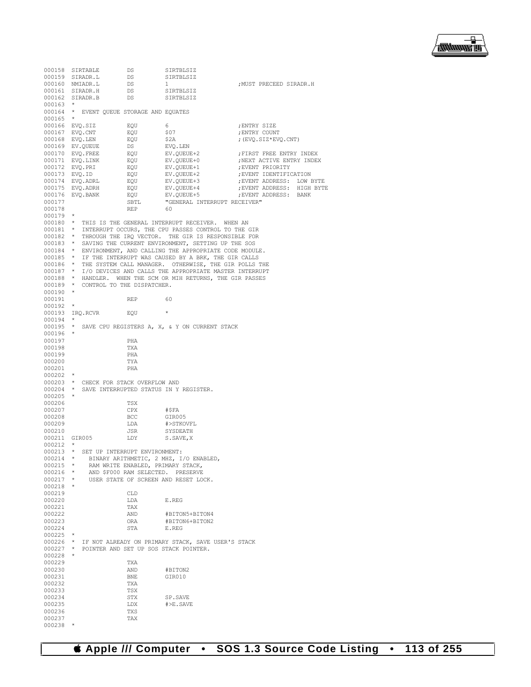

| 000158           | SIRTABLE         | DS                                             | SIRTBLSIZ                                                                                                                      |                            |
|------------------|------------------|------------------------------------------------|--------------------------------------------------------------------------------------------------------------------------------|----------------------------|
|                  | 000159 SIRADR.L  | DS                                             | SIRTBLSIZ                                                                                                                      |                            |
|                  | 000160 NMIADR.L  | DS                                             | 1                                                                                                                              | ; MUST PRECEED SIRADR.H    |
|                  | 000161 SIRADR.H  | DS                                             | SIRTBLSIZ                                                                                                                      |                            |
|                  | 000162 SIRADR.B  | DS                                             | SIRTBLSIZ                                                                                                                      |                            |
| 000163           | *                |                                                |                                                                                                                                |                            |
| 000164           |                  | * EVENT OUEUE STORAGE AND EOUATES              |                                                                                                                                |                            |
| 000165           | $\star$          |                                                |                                                                                                                                |                            |
| 000166           | EVQ.SIZ          | EQU                                            | 6                                                                                                                              | ; ENTRY SIZE               |
|                  | 000167 EVQ.CNT   | EOU                                            | \$07                                                                                                                           | ; ENTRY COUNT              |
|                  | 000168 EVQ.LEN   | EQU                                            | \$2A                                                                                                                           | ; $(EVQ.SIZ*EVQ.CNT)$      |
|                  | 000169 EV.QUEUE  | DS                                             | EVQ.LEN                                                                                                                        |                            |
|                  | 000170 EVO.FREE  | EQU                                            | EV.QUEUE+2                                                                                                                     | FIRST FREE ENTRY INDEX     |
|                  | 000171 EVQ.LINK  | EQU                                            | EV.QUEUE+0                                                                                                                     | ; NEXT ACTIVE ENTRY INDEX  |
|                  | 000172 EVQ.PRI   | EQU                                            | EV.QUEUE+1                                                                                                                     | ; EVENT PRIORITY           |
| 000173 EVQ.ID    |                  | EOU                                            | EV.QUEUE+2                                                                                                                     | ; EVENT IDENTIFICATION     |
|                  | 000174 EVQ.ADRL  | EQU                                            | EV.OUEUE+3                                                                                                                     | ; EVENT ADDRESS: LOW BYTE  |
| 000175           | EVO.ADRH         | EQU                                            | EV.OUEUE+4                                                                                                                     | ; EVENT ADDRESS: HIGH BYTE |
|                  | 000176 EVQ. BANK | EQU                                            | EV.QUEUE+5                                                                                                                     | ; EVENT ADDRESS: BANK      |
| 000177           |                  | SBTL                                           | "GENERAL INTERRUPT RECEIVER"                                                                                                   |                            |
| 000178           |                  | REP                                            | 60                                                                                                                             |                            |
| 000179           | $\star$          |                                                |                                                                                                                                |                            |
|                  |                  |                                                | 000180 * THIS IS THE GENERAL INTERRUPT RECEIVER. WHEN AN                                                                       |                            |
|                  |                  |                                                | 000181 * INTERRUPT OCCURS, THE CPU PASSES CONTROL TO THE GIR                                                                   |                            |
|                  |                  |                                                | 000182 * THROUGH THE IRQ VECTOR. THE GIR IS RESPONSIBLE FOR                                                                    |                            |
|                  |                  |                                                | 000183 * SAVING THE CURRENT ENVIRONMENT, SETTING UP THE SOS                                                                    |                            |
|                  |                  |                                                | 000184 * ENVIRONMENT, AND CALLING THE APPROPRIATE CODE MODULE.                                                                 |                            |
|                  |                  |                                                | 000185 * IF THE INTERRUPT WAS CAUSED BY A BRK, THE GIR CALLS<br>000186 * THE SYSTEM CALL MANAGER. OTHERWISE, THE GIR POLLS THE |                            |
|                  |                  |                                                | 000187 * I/O DEVICES AND CALLS THE APPROPRIATE MASTER INTERRUPT                                                                |                            |
|                  |                  |                                                | 000188 * HANDLER. WHEN THE SCM OR MIH RETURNS, THE GIR PASSES                                                                  |                            |
|                  |                  | 000189 * CONTROL TO THE DISPATCHER.            |                                                                                                                                |                            |
| 000190           | $\rightarrow$    |                                                |                                                                                                                                |                            |
| 000191           |                  | <b>REP</b>                                     | 60                                                                                                                             |                            |
| 000192           | $\star$          |                                                |                                                                                                                                |                            |
| 000193           | IRQ.RCVR         | EQU                                            | $\star$                                                                                                                        |                            |
| 000194           | $\star$          |                                                |                                                                                                                                |                            |
| 000195           |                  |                                                | * SAVE CPU REGISTERS A, X, & Y ON CURRENT STACK                                                                                |                            |
| 000196           | $\star$          |                                                |                                                                                                                                |                            |
| 000197           |                  | PHA                                            |                                                                                                                                |                            |
| 000198           |                  | <b>TXA</b>                                     |                                                                                                                                |                            |
| 000199           |                  | PHA                                            |                                                                                                                                |                            |
| 000200           |                  | TYA                                            |                                                                                                                                |                            |
| 000201           |                  | PHA                                            |                                                                                                                                |                            |
| 000202<br>000203 | $\star$          | * CHECK FOR STACK OVERFLOW AND                 |                                                                                                                                |                            |
| 000204           |                  | * SAVE INTERRUPTED STATUS IN Y REGISTER.       |                                                                                                                                |                            |
| 000205           | $\star$          |                                                |                                                                                                                                |                            |
| 000206           |                  | TSX                                            |                                                                                                                                |                            |
| 000207           |                  | CPX                                            | #\$FA                                                                                                                          |                            |
| 000208           |                  | <b>BCC</b>                                     | GIR005                                                                                                                         |                            |
| 000209           |                  | LDA                                            | #>STKOVFL                                                                                                                      |                            |
| 000210           |                  | JSR                                            | SYSDEATH                                                                                                                       |                            |
| 000211           | GIR005           | LDY                                            | S.SAVE, X                                                                                                                      |                            |
| 000212           | $\star$          |                                                |                                                                                                                                |                            |
|                  |                  | 000213 * SET UP INTERRUPT ENVIRONMENT:         |                                                                                                                                |                            |
| $000214$ *       |                  |                                                | BINARY ARITHMETIC, 2 MHZ, I/O ENABLED,                                                                                         |                            |
| $000215$ *       |                  | RAM WRITE ENABLED, PRIMARY STACK,              |                                                                                                                                |                            |
| $000216$ *       |                  | AND \$F000 RAM SELECTED. PRESERVE              |                                                                                                                                |                            |
|                  |                  | 000217 * USER STATE OF SCREEN AND RESET LOCK.  |                                                                                                                                |                            |
| $000218$ *       |                  |                                                |                                                                                                                                |                            |
| 000219           |                  | CLD                                            |                                                                                                                                |                            |
| 000220<br>000221 |                  | LDA<br>TAX                                     | E.REG                                                                                                                          |                            |
| 000222           |                  | AND                                            | #BITON5+BITON4                                                                                                                 |                            |
| 000223           |                  | ORA                                            | #BITON6+BITON2                                                                                                                 |                            |
| 000224           |                  | STA                                            | E.REG                                                                                                                          |                            |
| $000225$ *       |                  |                                                |                                                                                                                                |                            |
|                  |                  |                                                | 000226 * IF NOT ALREADY ON PRIMARY STACK, SAVE USER'S STACK                                                                    |                            |
|                  |                  | 000227 * POINTER AND SET UP SOS STACK POINTER. |                                                                                                                                |                            |
| $000228$ *       |                  |                                                |                                                                                                                                |                            |
| 000229           |                  | TXA                                            |                                                                                                                                |                            |
| 000230           |                  | AND                                            | #BITON2                                                                                                                        |                            |
| 000231           |                  | BNE                                            | GIR010                                                                                                                         |                            |
| 000232           |                  | TXA                                            |                                                                                                                                |                            |
| 000233           |                  | TSX                                            |                                                                                                                                |                            |
| 000234           |                  | STX                                            | SP.SAVE                                                                                                                        |                            |
| 000235           |                  | LDX                                            | #>E.SAVE                                                                                                                       |                            |
| 000236           |                  | TXS                                            |                                                                                                                                |                            |
| 000237           |                  | TAX                                            |                                                                                                                                |                            |
| 000238           | $\star$          |                                                |                                                                                                                                |                            |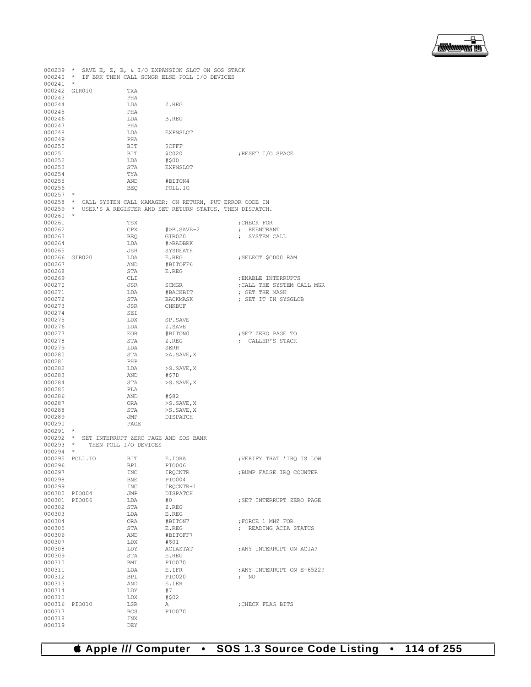

|                  |                                |            | 000239 * SAVE E, Z, B, & I/O EXPANSION SLOT ON SOS STACK         |                              |
|------------------|--------------------------------|------------|------------------------------------------------------------------|------------------------------|
| $000241$ *       |                                |            | 000240 * IF BRK THEN CALL SCMGR ELSE POLL I/O DEVICES            |                              |
|                  | 000242 GIR010                  | TXA        |                                                                  |                              |
| 000243           |                                | PHA        |                                                                  |                              |
| 000244           |                                | LDA        | Z.REG                                                            |                              |
| 000245           |                                | PHA        |                                                                  |                              |
| 000246           |                                | LDA        | B.REG                                                            |                              |
| 000247           |                                | PHA        |                                                                  |                              |
| 000248           |                                | LDA        | EXPNSLOT                                                         |                              |
| 000249           |                                | PHA        |                                                                  |                              |
| 000250           |                                | BIT        | ŞCFFF                                                            |                              |
| 000251           |                                | BIT        | \$C020                                                           | ;RESET I/O SPACE             |
| 000252           |                                | LDA        | #\$00                                                            |                              |
| 000253           |                                | STA        | EXPNSLOT                                                         |                              |
| 000254           |                                | TYA        |                                                                  |                              |
| 000255           |                                | AND        | #BITON4                                                          |                              |
| 000256           |                                | BEQ        | POLL.IO                                                          |                              |
| $000257$ *       |                                |            |                                                                  |                              |
|                  |                                |            | 000258 * CALL SYSTEM CALL MANAGER; ON RETURN, PUT ERROR CODE IN  |                              |
|                  |                                |            | 000259 * USER'S A REGISTER AND SET RETURN STATUS, THEN DISPATCH. |                              |
| $000260$ *       |                                |            |                                                                  |                              |
| 000261<br>000262 |                                | TSX        |                                                                  | ; CHECK FOR                  |
| 000263           |                                | CPX<br>BEQ | #>B.SAVE-2<br>GIR020                                             | ; REENTRANT<br>; SYSTEM CALL |
| 000264           |                                | LDA        | #>BADBRK                                                         |                              |
| 000265           |                                | JSR        | SYSDEATH                                                         |                              |
|                  | 000266 GIR020                  | LDA        | E.REG                                                            | ; SELECT \$C000 RAM          |
| 000267           |                                | AND        | #BITOFF6                                                         |                              |
| 000268           |                                | STA        | E.REG                                                            |                              |
| 000269           |                                | CLI        |                                                                  | ; ENABLE INTERRUPTS          |
| 000270           |                                | JSR        | SCMGR                                                            | ; CALL THE SYSTEM CALL MGR   |
| 000271           |                                | LDA        | #BACKBIT                                                         | ; GET THE MASK               |
| 000272           |                                | STA        | BACKMASK                                                         | ; SET IT IN SYSGLOB          |
| 000273           |                                | JSR        | CHKBUF                                                           |                              |
| 000274           |                                | SEI        |                                                                  |                              |
| 000275           |                                | LDX        | SP.SAVE                                                          |                              |
| 000276           |                                | LDA        | Z.SAVE                                                           |                              |
| 000277           |                                | EOR        | #BITON0                                                          | ; SET ZERO PAGE TO           |
| 000278           |                                | STA        | Z.REG                                                            | ; CALLER'S STACK             |
| 000279           |                                | LDA        | SERR                                                             |                              |
| 000280           |                                | STA        | >A.SAVE, X                                                       |                              |
| 000281           |                                | PHP        |                                                                  |                              |
| 000282           |                                | LDA        | $>$ S.SAVE, X                                                    |                              |
| 000283           |                                | AND        | #\$7D                                                            |                              |
| 000284           |                                | STA        | $>$ S.SAVE, X                                                    |                              |
| 000285           |                                | PLA        |                                                                  |                              |
| 000286           |                                | AND        | #\$82                                                            |                              |
| 000287           |                                | ORA        | $>$ S. SAVE, X                                                   |                              |
| 000288           |                                | STA        | >S.SAVE, X                                                       |                              |
| 000289           |                                | JMP        | DISPATCH                                                         |                              |
| 000290           |                                | PAGE       |                                                                  |                              |
| 000291           | $\star$                        |            |                                                                  |                              |
|                  |                                |            | 000292 * SET INTERRUPT ZERO PAGE AND SOS BANK                    |                              |
|                  | 000293 * THEN POLL I/O DEVICES |            |                                                                  |                              |
| $000294$ *       |                                |            |                                                                  |                              |
|                  | 000295 POLL.IO                 | BIT        | E.IORA                                                           | ; VERIFY THAT 'IRQ IS LOW    |
| 000296           |                                | BPL        | PIO006                                                           |                              |
| 000297           |                                | INC        | IRQCNTR                                                          | ; BUMP FALSE IRQ COUNTER     |
| 000298           |                                | BNE        | PIO004                                                           |                              |
| 000299           |                                | INC        | IRQCNTR+1                                                        |                              |
|                  | 000300 PIO004                  | JMP        | DISPATCH                                                         |                              |
|                  | 000301 PIO006                  | LDA        | #0                                                               | ; SET INTERRUPT ZERO PAGE    |
| 000302           |                                | STA        | Z.REG                                                            |                              |
| 000303           |                                | LDA        | E.REG                                                            |                              |
| 000304           |                                | ORA        | #BITON7                                                          | ; FORCE 1 MHZ FOR            |
| 000305           |                                | STA        | E.REG                                                            | ; READING ACIA STATUS        |
| 000306           |                                | AND        | #BITOFF7                                                         |                              |
| 000307           |                                | LDX        | #\$01                                                            |                              |
| 000308           |                                | LDY        | ACIASTAT                                                         | ; ANY INTERRUPT ON ACIA?     |
| 000309           |                                | STA        | $\mathbb E$ . REG                                                |                              |
| 000310           |                                | BMI        | PI0070                                                           |                              |
| 000311           |                                | LDA        | E.IFR                                                            | ; ANY INTERRUPT ON E-6522?   |
| 000312           |                                | BPL        | PIO020                                                           | $\mathcal{F}$ NO             |
| 000313           |                                | AND        | E.IER                                                            |                              |
| 000314           |                                | LDY        | #7                                                               |                              |
| 000315           |                                | LDX        | #\$02                                                            |                              |
| 000316           | PIO010                         | LSR        | Α                                                                | ; CHECK FLAG BITS            |
| 000317           |                                | <b>BCS</b> | PI0070                                                           |                              |
| 000318           |                                | INX        |                                                                  |                              |
| 000319           |                                | DEY        |                                                                  |                              |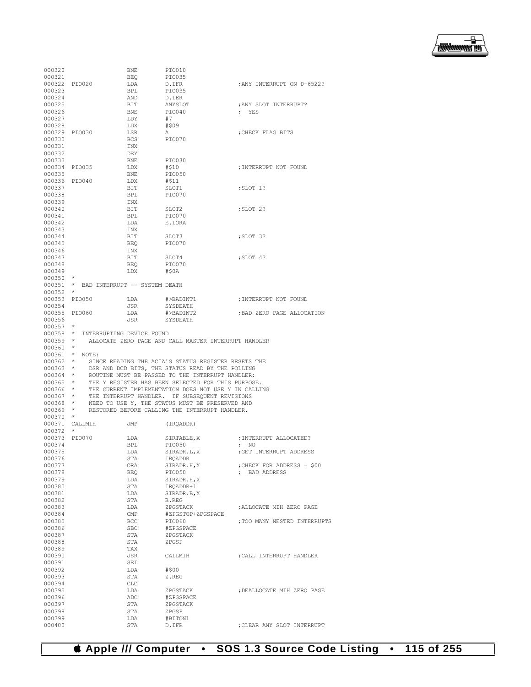| 000320           |                                        | BNE               | <b>PIO010</b>                                                                                                       |                              |
|------------------|----------------------------------------|-------------------|---------------------------------------------------------------------------------------------------------------------|------------------------------|
| 000321           |                                        | BEQ               | PIO035                                                                                                              |                              |
|                  | 000322 PIO020                          | LDA               | D.IFR                                                                                                               | ANY INTERRUPT ON D-6522?     |
| 000323           |                                        | <b>BPL</b>        | PIO035                                                                                                              |                              |
| 000324           |                                        | AND               | D.IER                                                                                                               |                              |
| 000325           |                                        | BIT<br>BNE        | ANYSLOT                                                                                                             | ; ANY SLOT INTERRUPT?        |
| 000326           |                                        |                   | PIO040                                                                                                              | ; YES                        |
| 000327           |                                        | LDY               | #7                                                                                                                  |                              |
| 000328           |                                        | LDX               | #\$09                                                                                                               |                              |
|                  | 000329 PIO030                          | LSR<br>BCS<br>INX | A                                                                                                                   | CHECK FLAG BITS              |
| 000330           |                                        |                   | PI0070                                                                                                              |                              |
| 000331           |                                        |                   |                                                                                                                     |                              |
| 000332           |                                        | DEY               |                                                                                                                     |                              |
| 000333           |                                        | BNE<br>LDX<br>BNE | PIO030                                                                                                              |                              |
|                  | 000334 PIO035                          |                   | #\$10                                                                                                               | : INTERRUPT NOT FOUND        |
| 000335           |                                        |                   | PIO050                                                                                                              |                              |
|                  | 000336 PIO040                          | LDX               | #\$11                                                                                                               |                              |
| 000337           |                                        | BIT<br>BPL        | SLOT1                                                                                                               | ; SLOT 1?                    |
| 000338           |                                        |                   | PIO070                                                                                                              |                              |
| 000339           |                                        | INX               |                                                                                                                     |                              |
| 000340           |                                        | BIT<br>BPL        | SLOT2                                                                                                               | ;SLOT 2?                     |
| 000341           |                                        |                   | PI0070                                                                                                              |                              |
| 000342           |                                        | LDA               | E.IORA                                                                                                              |                              |
| 000343           |                                        | INX<br>BIT        |                                                                                                                     |                              |
| 000344           |                                        |                   | SLOT3                                                                                                               | ; SLOT 3?                    |
| 000345           |                                        | <b>BEQ</b>        | PI0070                                                                                                              |                              |
| 000346           |                                        | INX               |                                                                                                                     |                              |
| 000347           |                                        | BIT               | SLOT4                                                                                                               | SLOT 4?;                     |
| 000348           |                                        | BEQ               | PIO070                                                                                                              |                              |
| 000349           |                                        | LDX               | #\$0A                                                                                                               |                              |
| $000350$ *       |                                        |                   |                                                                                                                     |                              |
|                  | 000351 * BAD INTERRUPT -- SYSTEM DEATH |                   |                                                                                                                     |                              |
| $000352$ *       |                                        |                   |                                                                                                                     |                              |
|                  | 000353 PIO050                          |                   | LDA #>BADINT1                                                                                                       | ; INTERRUPT NOT FOUND        |
| 000354           |                                        | JSR               | SYSDEATH                                                                                                            |                              |
|                  | 000355 PIO060                          | LDA               | #>BADINT2                                                                                                           | ; BAD ZERO PAGE ALLOCATION   |
| 000356           |                                        | JSR               | SYSDEATH                                                                                                            |                              |
| $000357$ *       |                                        |                   |                                                                                                                     |                              |
|                  | 000358 * INTERRUPTING DEVICE FOUND     |                   |                                                                                                                     |                              |
| $000359$ *       |                                        |                   | ALLOCATE ZERO PAGE AND CALL MASTER INTERRUPT HANDLER                                                                |                              |
|                  |                                        |                   |                                                                                                                     |                              |
| 000360 *         |                                        |                   |                                                                                                                     |                              |
|                  | 000361 * NOTE:                         |                   |                                                                                                                     |                              |
|                  |                                        |                   | 000362 * SINCE READING THE ACIA'S STATUS REGISTER RESETS THE                                                        |                              |
|                  |                                        |                   |                                                                                                                     |                              |
|                  |                                        |                   | 000363 * DSR AND DCD BITS, THE STATUS READ BY THE POLLING 000364 * ROUTINE MUST BE PASSED TO THE INTERRUPT HANDLER, |                              |
| $000365$ *       |                                        |                   | THE Y REGISTER HAS BEEN SELECTED FOR THIS PURPOSE.                                                                  |                              |
|                  |                                        |                   |                                                                                                                     |                              |
|                  |                                        |                   |                                                                                                                     |                              |
| 000368 *         |                                        |                   | NEED TO USE Y, THE STATUS MUST BE PRESERVED AND                                                                     |                              |
| $000369$ *       |                                        |                   | RESTORED BEFORE CALLING THE INTERRUPT HANDLER.                                                                      |                              |
| $000370$ *       |                                        |                   |                                                                                                                     |                              |
|                  | 000371 CALLMIH JMP                     |                   | (IROADDR)                                                                                                           |                              |
| 000372 *         |                                        |                   |                                                                                                                     |                              |
|                  | 000373 PIO070                          | LDA               |                                                                                                                     |                              |
| 000374           |                                        | BPL               | PIO050                                                                                                              | ; NO                         |
| 000375           |                                        | LDA<br>STA        | SIRADR.L, X                                                                                                         | ; GET INTERRUPT ADDRESS      |
| 000376           |                                        |                   | IRQADDR<br>SIRADR.H.X                                                                                               |                              |
| 000377           |                                        | ORA               |                                                                                                                     | ; CHECK FOR ADDRESS = $$00$  |
| 000378           |                                        | BEO               | PI0050                                                                                                              | ; BAD ADDRESS                |
| 000379<br>000380 |                                        | LDA               | SIRADR.H, X                                                                                                         |                              |
|                  |                                        | STA               | IRQADDR+1                                                                                                           |                              |
| 000381<br>000382 |                                        | LDA<br>STA        | SIRADR.B, X<br>B.REG                                                                                                |                              |
| 000383           |                                        | LDA               | ZPGSTACK                                                                                                            | ; ALLOCATE MIH ZERO PAGE     |
| 000384           |                                        | $\text{CMP}$      | #ZPGSTOP+ZPGSPACE                                                                                                   |                              |
| 000385           |                                        | BCC               | PIO060                                                                                                              | : TOO MANY NESTED INTERRUPTS |
| 000386           |                                        | SBC               | #ZPGSPACE                                                                                                           |                              |
| 000387           |                                        | STA               | ZPGSTACK                                                                                                            |                              |
| 000388           |                                        | STA               | ZPGSP                                                                                                               |                              |
| 000389           |                                        | TAX               |                                                                                                                     |                              |
| 000390           |                                        | <b>JSR</b>        | CALLMIH                                                                                                             | : CALL INTERRUPT HANDLER     |
| 000391           |                                        | SEI               |                                                                                                                     |                              |
| 000392           |                                        | LDA               | #\$00                                                                                                               |                              |
| 000393           |                                        | STA               | Z.REG                                                                                                               |                              |
| 000394           |                                        | CLC               |                                                                                                                     |                              |
| 000395           |                                        | LDA               | ZPGSTACK                                                                                                            | ; DEALLOCATE MIH ZERO PAGE   |
| 000396           |                                        | ADC               | #ZPGSPACE                                                                                                           |                              |
| 000397           |                                        | STA               | ZPGSTACK                                                                                                            |                              |
| 000398           |                                        | STA               | ZPGSP                                                                                                               |                              |
| 000399<br>000400 |                                        | LDA<br>STA        | #BITON1<br>D.IFR                                                                                                    | ; CLEAR ANY SLOT INTERRUPT   |

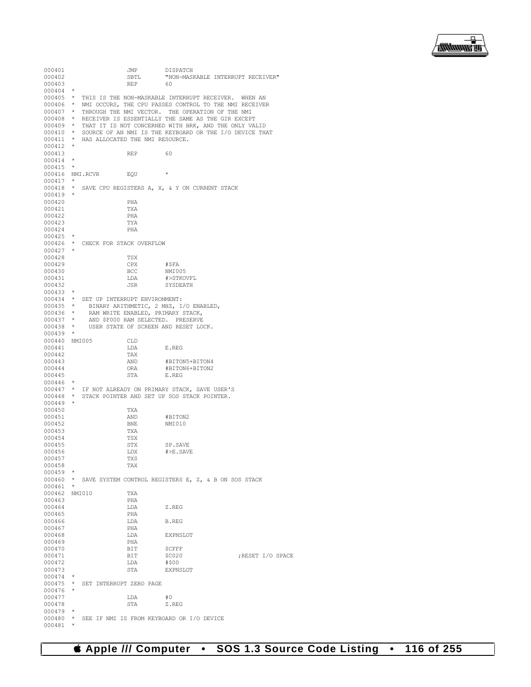

000401 JMP DISPATCH<br>000402 SBTL "NON-MAS SBTL "NON-MASKABLE INTERRUPT RECEIVER"<br>REP 60 000403 000404 000405 \* THIS IS THE NON-MASKABLE INTERRUPT RECEIVER. WHEN AN 000406 \* NMI OCCURS, THE CPU PASSES CONTROL TO THE NMI RECEIVER 000407 \* THROUGH THE NMI VECTOR. THE OPERATION OF THE NMI<br>000408 \* RECEIVER IS ESSENTIALLY THE SAME AS THE GIR EXCEPT 000408 \* RECEIVER IS ESSENTIALLY THE SAME AS THE GIR EXCEPT 000409 \* THAT IT IS NOT CONCERNED WITH BRK, AND THE ONLY VALID 000410 \* SOURCE OF AN NMI IS THE KEYBOARD OR THE I/O DEVICE THE 000410  $\star$  SOURCE OF AN NMI IS THE KEYBOARD OR THE I/O DEVICE THAT 000411  $\star$  HAS ALLOCATED THE NMI RESOURCE. \* HAS ALLOCATED THE NMI RESOURCE. 000412 \* 000413 REP 60  $000414$  \* 000415 \* 000416 NMI.RCVR EQU \*  $000417$ <br> $000418$ \* SAVE CPU REGISTERS A, X, & Y ON CURRENT STACK 000419 \* 000420 PHA<br>000421 TXA 000421 TXA<br>000422 PHA 000422 PHA<br>000423 TYA 000423 TYA<br>000424 PHA 000424 000425 \* 000426 \* CHECK FOR STACK OVERFLOW 000427 \* 000428 TSX<br>000429 CPX 000429 CPX #\$FA<br>000430 RCC NMT005  $000430$ <br> $000431$ 000431 LDA #>STKOVFL SYSDEATH 000433 \* 000434 \* SET UP INTERRUPT ENVIRONMENT:<br>000435 \* RINARY ARITHMETIC 2 MHZ I 000435 \* BINARY ARITHMETIC, 2 MHZ, I/O ENABLED, 000436 \* RAM WRITE ENABLED, PRIMARY STACK. 000436 \* RAM WRITE ENABLED, PRIMARY STACK,<br>000437 \* AND \$F000 RAM SELECTED. PRESERVE 000437 \* AND \$F000 RAM SELECTED. PRESERVE 000438 \* USER STATE OF SCREEN AND RESET LOCK. 000439 \* 000440 NMI005 CLD<br>000441 T.DA 000441 LDA E.REG 000442 TAX<br>000443 AND 000443 AND #BITON5+BITON4 ORA #BITON6+BITON2<br>STA E.REG 000445  $000446$ <br> $000447$ \* IF NOT ALREADY ON PRIMARY STACK, SAVE USER'S 000448 \* STACK POINTER AND SET UP SOS STACK POINTER. 000449 \* 000450 TXA TXA <br/> TXA AND 000451 AND #BITON2 BNE NMI010<br>TXA 000453 TXA<br>000454 TSX 000454 TSX<br>000455 STX 000455 STX SP.SAVE  $\verb|LDX| \qquad \verb|#> E.SAVE \\ \verb|TXS|$ 000457 TXS<br>000458 TAX 000458 000459 000460 \* SAVE SYSTEM CONTROL REGISTERS E, Z, & B ON SOS STACK 000461 000462 NMI010 TXA 000463 000464 LDA Z.REG<br>000465 PHA 000465 PHA<br>000466 T.DA 000466 LDA B.REG 000467 PHA LDA EXPNSLOT<br>PHA 000469 PHA<br>000470 BIT 000470 BIT \$CFFF<br>000471 BIT \$C020 BIT \$C020 ;RESET I/O SPACE LDA #\$00 000472 LDA #\$00 EXPNSLOT 000474 \* 000475  $\star$  SET INTERRUPT ZERO PAGE 000476 000477 LDA #0<br>000478 STA Z.REG 000478 000479<br>000480 \* SEE IF NMI IS FROM KEYBOARD OR I/O DEVICE  $^\ast$ 000481 \*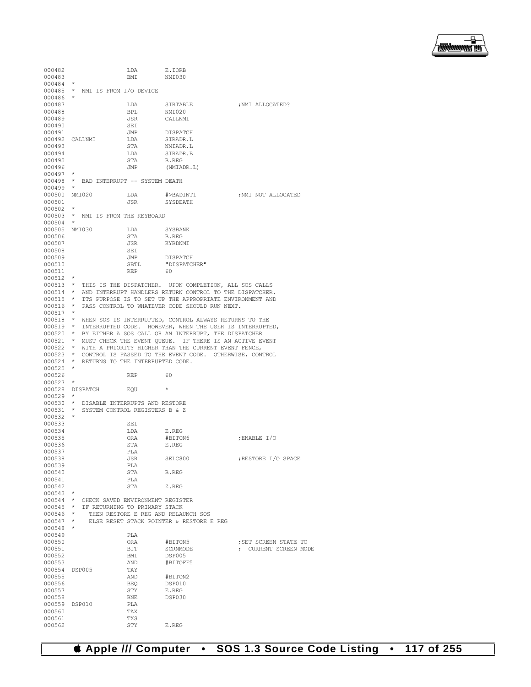

| 000482                   |         |                     | LDA                                       | E.IORB                                                                          |                       |
|--------------------------|---------|---------------------|-------------------------------------------|---------------------------------------------------------------------------------|-----------------------|
| 000483<br>$000484$ *     |         |                     | BMI                                       | NMI030                                                                          |                       |
|                          |         |                     | 000485 * NMI IS FROM I/O DEVICE           |                                                                                 |                       |
| $000486$ *               |         |                     |                                           |                                                                                 |                       |
| 000487                   |         |                     | LDA                                       | SIRTABLE ; NMI ALLOCATED?                                                       |                       |
| 000488                   |         |                     | <b>BPL</b>                                | NMI020                                                                          |                       |
| 000489                   |         |                     | JSR                                       | CALLNMI                                                                         |                       |
| 000490                   |         |                     | SEI                                       |                                                                                 |                       |
| 000491                   |         |                     |                                           | DISPATCH                                                                        |                       |
| 000492 CALLNMI           |         |                     | JMP<br>LDA<br>STA                         | SIRADR.L                                                                        |                       |
| 000493                   |         |                     |                                           | NMIADR.L                                                                        |                       |
| 000494                   |         |                     | LDA                                       | SIRADR.B                                                                        |                       |
| 000495                   |         |                     | STA                                       | B.REG                                                                           |                       |
| 000496                   |         |                     | JMP                                       | (NMIADR.L)                                                                      |                       |
| $000497$ *               |         |                     |                                           |                                                                                 |                       |
|                          |         |                     | 000498 * BAD INTERRUPT -- SYSTEM DEATH    |                                                                                 |                       |
| $000499$ *               |         |                     |                                           |                                                                                 |                       |
|                          |         |                     |                                           | 000500 NMI020 $LDA$ $\#$ >BADINT1 $;$ NMI NOT ALLOCATED                         |                       |
| 000501                   |         |                     | JSR                                       | SYSDEATH                                                                        |                       |
| $000502$ *               |         |                     |                                           |                                                                                 |                       |
|                          |         |                     | 000503 * NMI IS FROM THE KEYBOARD         |                                                                                 |                       |
| $000504$ *               |         |                     |                                           |                                                                                 |                       |
| 000505 NMI030            |         |                     | LDA                                       | SYSBANK                                                                         |                       |
| 000506                   |         |                     | STA                                       | B.REG                                                                           |                       |
| 000507<br>000508         |         |                     | JSR                                       | KYBDNMI                                                                         |                       |
| 000509                   |         |                     | SEI<br><b>JMP</b>                         |                                                                                 |                       |
| 000510                   |         |                     | SBTL                                      | DISPATCH<br>"DISPATCHER"                                                        |                       |
| 000511                   |         |                     | <b>REP</b>                                | - 60                                                                            |                       |
| $000512$ *               |         |                     |                                           |                                                                                 |                       |
|                          |         |                     |                                           | 000513 * THIS IS THE DISPATCHER. UPON COMPLETION, ALL SOS CALLS                 |                       |
|                          |         |                     |                                           | 000514 * AND INTERRUPT HANDLERS RETURN CONTROL TO THE DISPATCHER.               |                       |
|                          |         |                     |                                           | 000515 * ITS PURPOSE IS TO SET UP THE APPROPRIATE ENVIRONMENT AND               |                       |
|                          |         |                     |                                           | 000516 * PASS CONTROL TO WHATEVER CODE SHOULD RUN NEXT.                         |                       |
| $000517$ *               |         |                     |                                           |                                                                                 |                       |
|                          |         |                     |                                           | 000518 * WHEN SOS IS INTERRUPTED, CONTROL ALWAYS RETURNS TO THE                 |                       |
|                          |         |                     |                                           | 000519 * INTERRUPTED CODE. HOWEVER, WHEN THE USER IS INTERRUPTED,               |                       |
|                          |         |                     |                                           | 000520 * BY EITHER A SOS CALL OR AN INTERRUPT, THE DISPATCHER                   |                       |
|                          |         |                     |                                           |                                                                                 |                       |
|                          |         |                     |                                           | 000521 * MUST CHECK THE EVENT QUEUE. IF THERE IS AN ACTIVE EVENT                |                       |
|                          |         |                     |                                           | 000522 * WITH A PRIORITY HIGHER THAN THE CURRENT EVENT FENCE,                   |                       |
|                          |         |                     |                                           | 000523 * CONTROL IS PASSED TO THE EVENT CODE. OTHERWISE, CONTROL                |                       |
|                          |         |                     | 000524 * RETURNS TO THE INTERRUPTED CODE. |                                                                                 |                       |
| $000525$ *               |         |                     |                                           |                                                                                 |                       |
| 000526                   |         |                     | REP                                       | - 60                                                                            |                       |
| $000527$ *               |         |                     |                                           |                                                                                 |                       |
|                          |         | 000528 DISPATCH EQU |                                           | $\star$                                                                         |                       |
| $000529$ *               |         |                     |                                           |                                                                                 |                       |
|                          |         |                     | 000530 * DISABLE INTERRUPTS AND RESTORE   |                                                                                 |                       |
|                          |         |                     | 000531 * SYSTEM CONTROL REGISTERS B & Z   |                                                                                 |                       |
| $000532$ *               |         |                     |                                           |                                                                                 |                       |
| 000533                   |         |                     | SEI                                       |                                                                                 |                       |
| 000534                   |         |                     | LDA                                       | E.REG                                                                           |                       |
| 000535                   |         |                     | ORA                                       | #BITON6                                                                         | ENABLE I/O            |
| 000536                   |         |                     | STA                                       | E.REG                                                                           |                       |
| 000537                   |         |                     | PLA                                       |                                                                                 |                       |
| 000538                   |         |                     | JSR                                       | SELC800                                                                         | ; RESTORE I/O SPACE   |
| 000539                   |         |                     | PLA                                       |                                                                                 |                       |
| 000540<br>000541         |         |                     | STA                                       | B.REG                                                                           |                       |
| 000542                   |         |                     | PLA<br>STA                                |                                                                                 |                       |
|                          |         |                     |                                           | Z.REG                                                                           |                       |
| $000543$ *               |         |                     |                                           |                                                                                 |                       |
|                          |         |                     | 000544 * CHECK SAVED ENVIRONMENT REGISTER |                                                                                 |                       |
| $000545$ *               |         |                     | IF RETURNING TO PRIMARY STACK             |                                                                                 |                       |
| $000546$ *<br>$000547$ * |         |                     |                                           | THEN RESTORE E REG AND RELAUNCH SOS<br>ELSE RESET STACK POINTER & RESTORE E REG |                       |
| 000548                   | $\star$ |                     |                                           |                                                                                 |                       |
| 000549                   |         |                     | PLA                                       |                                                                                 |                       |
| 000550                   |         |                     | ORA                                       | #BITON5                                                                         | ; SET SCREEN STATE TO |
| 000551                   |         |                     | BIT                                       | SCRNMODE                                                                        | ; CURRENT SCREEN MODE |
| 000552                   |         |                     | BMI                                       | DSP005                                                                          |                       |
| 000553                   |         |                     | AND                                       | #BITOFF5                                                                        |                       |
| 000554                   | DSP005  |                     | TAY                                       |                                                                                 |                       |
| 000555                   |         |                     | AND                                       | #BITON2                                                                         |                       |
| 000556                   |         |                     | BEQ                                       | DSP010                                                                          |                       |
| 000557                   |         |                     | STY                                       | E.REG                                                                           |                       |
| 000558                   |         |                     | BNE                                       | DSP030                                                                          |                       |
| 000559                   | DSP010  |                     | PLA                                       |                                                                                 |                       |
| 000560                   |         |                     | TAX                                       |                                                                                 |                       |
| 000561<br>000562         |         |                     | TXS<br>STY                                | E.REG                                                                           |                       |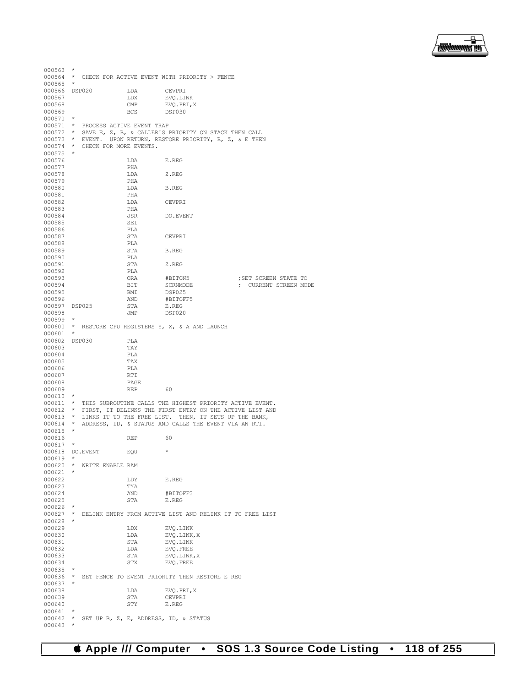

| $000563$ *      |            |                                    |      |                                                                   |                       |
|-----------------|------------|------------------------------------|------|-------------------------------------------------------------------|-----------------------|
|                 |            |                                    |      | 000564 * CHECK FOR ACTIVE EVENT WITH PRIORITY > FENCE             |                       |
| 000565          | $\star$    |                                    |      |                                                                   |                       |
| 000566 DSP020   |            |                                    | LDA  | CEVPRI                                                            |                       |
| 000567          |            |                                    | LDX  | EVO.LINK                                                          |                       |
| 000568          |            |                                    | CMP  | EVQ.PRI, X                                                        |                       |
| 000569          |            |                                    | BCS  | DSP030                                                            |                       |
| $000570$ *      |            |                                    |      |                                                                   |                       |
|                 |            | 000571 * PROCESS ACTIVE EVENT TRAP |      |                                                                   |                       |
|                 |            |                                    |      |                                                                   |                       |
|                 |            |                                    |      | 000572 * SAVE E, Z, B, & CALLER'S PRIORITY ON STACK THEN CALL     |                       |
|                 |            |                                    |      | 000573 * EVENT. UPON RETURN, RESTORE PRIORITY, B, Z, & E THEN     |                       |
|                 |            | 000574 * CHECK FOR MORE EVENTS.    |      |                                                                   |                       |
| $000575$ *      |            |                                    |      |                                                                   |                       |
| 000576          |            |                                    | LDA  | E.REG                                                             |                       |
| 000577          |            |                                    | PHA  |                                                                   |                       |
| 000578          |            |                                    | LDA  | Z.REG                                                             |                       |
| 000579          |            |                                    | PHA  |                                                                   |                       |
| 000580          |            |                                    | LDA  | B.REG                                                             |                       |
|                 |            |                                    |      |                                                                   |                       |
| 000581          |            |                                    | PHA  |                                                                   |                       |
| 000582          |            |                                    | LDA  | CEVPRI                                                            |                       |
| 000583          |            |                                    | PHA  |                                                                   |                       |
| 000584          |            |                                    | JSR  | DO.EVENT                                                          |                       |
| 000585          |            |                                    | SEI  |                                                                   |                       |
| 000586          |            |                                    | PLA  |                                                                   |                       |
| 000587          |            |                                    | STA  | CEVPRI                                                            |                       |
| 000588          |            |                                    | PLA  |                                                                   |                       |
| 000589          |            |                                    | STA  | B.REG                                                             |                       |
|                 |            |                                    | PLA  |                                                                   |                       |
| 000590          |            |                                    |      |                                                                   |                       |
| 000591          |            |                                    | STA  | Z.REG                                                             |                       |
| 000592          |            |                                    | PLA  |                                                                   |                       |
| 000593          |            |                                    | ORA  | #BITON5                                                           | ; SET SCREEN STATE TO |
| 000594          |            |                                    | BIT  | SCRNMODE                                                          | ; CURRENT SCREEN MODE |
| 000595          |            |                                    | BMI  | DSP025                                                            |                       |
| 000596          |            |                                    | AND  | #BITOFF5                                                          |                       |
| 000597 DSP025   |            |                                    | STA  | E.REG                                                             |                       |
| 000598          |            |                                    | JMP  | DSP020                                                            |                       |
| $000599$ *      |            |                                    |      |                                                                   |                       |
|                 |            |                                    |      |                                                                   |                       |
|                 |            |                                    |      | 000600 * RESTORE CPU REGISTERS Y, X, & A AND LAUNCH               |                       |
| 000601          | $\star$    |                                    |      |                                                                   |                       |
| 000602 DSP030   |            |                                    | PLA  |                                                                   |                       |
| 000603          |            |                                    | TAY  |                                                                   |                       |
| 000604          |            |                                    | PLA  |                                                                   |                       |
| 000605          |            |                                    | TAX  |                                                                   |                       |
| 000606          |            |                                    | PLA  |                                                                   |                       |
| 000607          |            |                                    | RTI  |                                                                   |                       |
| 000608          |            |                                    | PAGE |                                                                   |                       |
| 000609          |            |                                    | REP  | 60                                                                |                       |
|                 | $\star$    |                                    |      |                                                                   |                       |
| 000610          |            |                                    |      |                                                                   |                       |
|                 |            |                                    |      | 000611 * THIS SUBROUTINE CALLS THE HIGHEST PRIORITY ACTIVE EVENT. |                       |
|                 |            |                                    |      | 000612 * FIRST, IT DELINKS THE FIRST ENTRY ON THE ACTIVE LIST AND |                       |
|                 |            |                                    |      | 000613 * LINKS IT TO THE FREE LIST. THEN, IT SETS UP THE BANK,    |                       |
|                 |            |                                    |      | 000614 * ADDRESS, ID, & STATUS AND CALLS THE EVENT VIA AN RTI.    |                       |
| $000615$ *      |            |                                    |      |                                                                   |                       |
| 000616          |            |                                    | REP  | 60                                                                |                       |
| 000617          | $\star$    |                                    |      |                                                                   |                       |
| 000618 DO.EVENT |            |                                    | EOU  | $\star$                                                           |                       |
| 000619          | $\star$    |                                    |      |                                                                   |                       |
|                 |            | 000620 * WRITE ENABLE RAM          |      |                                                                   |                       |
| $000621$ *      |            |                                    |      |                                                                   |                       |
|                 |            |                                    |      |                                                                   |                       |
| 000622          |            |                                    | LDY  | E.REG                                                             |                       |
| 000623          |            |                                    | TYA  |                                                                   |                       |
| 000624          |            |                                    | AND  | #BITOFF3                                                          |                       |
| 000625          |            |                                    | STA  | E.REG                                                             |                       |
| 000626          | $\star$    |                                    |      |                                                                   |                       |
|                 |            |                                    |      | 000627 * DELINK ENTRY FROM ACTIVE LIST AND RELINK IT TO FREE LIST |                       |
| 000628          | $\star$    |                                    |      |                                                                   |                       |
| 000629          |            |                                    | LDX  | EVQ.LINK                                                          |                       |
|                 |            |                                    | LDA  |                                                                   |                       |
| 000630          |            |                                    |      | EVQ.LINK, X                                                       |                       |
| 000631          |            |                                    | STA  | EVQ.LINK                                                          |                       |
| 000632          |            |                                    | LDA  | EVQ. FREE                                                         |                       |
| 000633          |            |                                    | STA  | EVQ.LINK, X                                                       |                       |
| 000634          |            |                                    | STX  | EVQ. FREE                                                         |                       |
| 000635          | $\star$    |                                    |      |                                                                   |                       |
|                 |            |                                    |      | 000636 * SET FENCE TO EVENT PRIORITY THEN RESTORE E REG           |                       |
| 000637          | $^\star$   |                                    |      |                                                                   |                       |
| 000638          |            |                                    | LDA  | EVQ.PRI, X                                                        |                       |
| 000639          |            |                                    |      |                                                                   |                       |
|                 |            |                                    | STA  | CEVPRI                                                            |                       |
| 000640          |            |                                    | STY  | E.REG                                                             |                       |
| 000641          | $\star$    |                                    |      |                                                                   |                       |
| $000642$ *      |            |                                    |      | SET UP B, Z, E, ADDRESS, ID, & STATUS                             |                       |
| 000643          | $^{\star}$ |                                    |      |                                                                   |                       |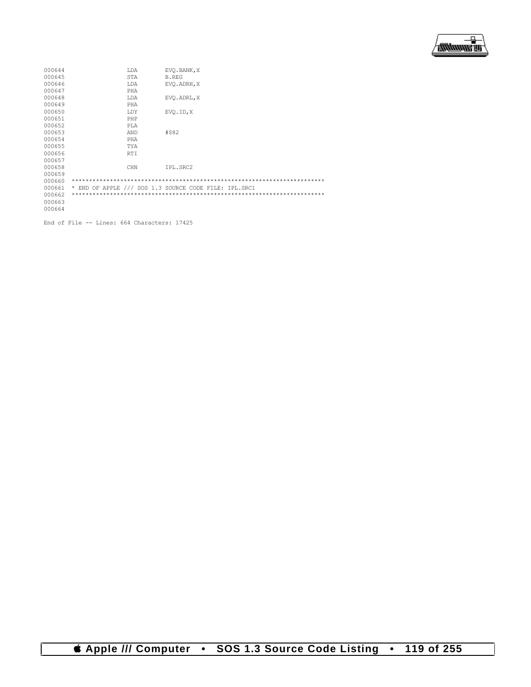

| 000644 | LDA        | EVO.BANK, X                                           |
|--------|------------|-------------------------------------------------------|
| 000645 | STA        | B.REG                                                 |
| 000646 | LDA        | EVO. ADRH, X                                          |
| 000647 | PHA        |                                                       |
| 000648 | LDA        | EVO. ADRL, X                                          |
| 000649 | PHA        |                                                       |
| 000650 | LDY        | EVO.ID, X                                             |
| 000651 | PHP        |                                                       |
| 000652 | <b>PLA</b> |                                                       |
| 000653 | AND        | #\$82                                                 |
| 000654 | PHA        |                                                       |
| 000655 | TYA        |                                                       |
| 000656 | <b>RTI</b> |                                                       |
| 000657 |            |                                                       |
| 000658 | CHN        | IPL.SRC2                                              |
| 000659 |            |                                                       |
| 000660 |            |                                                       |
| 000661 |            | * END OF APPLE /// SOS 1.3 SOURCE CODE FILE: IPL.SRC1 |
| 000662 |            |                                                       |
| 000663 |            |                                                       |
| 000664 |            |                                                       |

End of File -- Lines: 664 Characters: 17425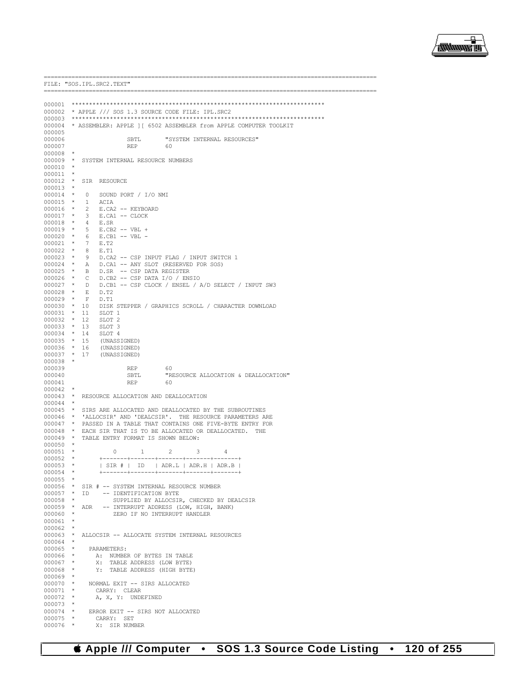

FILE: "SOS. IPL. SRC2. TEXT" 000002 \* APPLE /// SOS 1.3 SOURCE CODE FILE: IPL.SRC2 000004 \* ASSEMBLER: APPLE ] [ 6502 ASSEMBLER from APPLE COMPUTER TOOLKIT 000005 000006 SBTL "SYSTEM INTERNAL RESOURCES" 000007  $\ensuremath{\mathsf{REP}}$ 60  $000008$  \* 000009 \* SYSTEM INTERNAL RESOURCE NUMBERS  $000010$  \* 000011 000012 \* SIR RESOURCE  $000013$  \*  $000014$  \* SOUND PORT / I/O NMI  $\overline{0}$  $\rightarrow$ 000015  $\verb|ACIA|$  $\overline{1}$  $\star$  2 000016 E.CA2 -- KEYBOARD  $\star$ E.CA1 -- CLOCK 000017  $\overline{\mathbf{3}}$ 000018  $\star$  $\overline{4}$ E.SR  $000019$  \*  $E.CB2 -- VBL +$ 5  $000020$  \*  $E.CB1 -- VBL --$ 6 000021  $\star$  $\overline{7}$ E.T2  $000022 * 8$  $E.T1$  $000022$  \* 9<br>000023 \* 9 D.CA2 -- CSP INPUT FLAG / INPUT SWITCH 1 D.CA1 -- ANY SLOT (RESERVED FOR SOS)  $000025 * B$ D.SR -- CSP DATA REGISTER  $000026$  \*  $\overline{C}$ D.CB2 -- CSP DATA I/O / ENSIO  $000026$   $\star$  D<br>000027  $\star$  D<br>000028  $\star$  E D.CB1 -- CSP CLOCK / ENSEL / A/D SELECT / INPUT SW3 D.T2  $000029$  \*  $F$  $D.T1$  $00000030 * 10$ DISK STEPPER / GRAPHICS SCROLL / CHARACTER DOWNLOAD  $000031$  \* 11 SLOT<sub>1</sub>  $\begin{array}{ccccccccc}\n & 0.000032 & * & 12 \\
0.000033 & * & 13 \\
0.00034 & * & 14\n\end{array}$ SLOT<sub>2</sub> SLOT<sub>3</sub> SLOT 4  $000033 + 15$ <br>000035 \* 15<br>000036 \* 16 (UNASSIGNED) (UNASSIGNED) 000037 \* 17 (UNASSIGNED)  $000038$  \* 000039 **REP**  $60$ "RESOURCE ALLOCATION & DEALLOCATION" 000040 SBTL 000041  $REP$ 60 000042 000043 \* RESOURCE ALLOCATION AND DEALLOCATION  $000044$  \* 000045 \* SIRS ARE ALLOCATED AND DEALLOCATED BY THE SUBROUTINES \* 'ALLOCSIR' AND 'DEALCSIR'. THE RESOURCE PARAMETERS ARE 000046 000047 \* PASSED IN A TABLE THAT CONTAINS ONE FIVE-BYTE ENTRY FOR \* EACH SIR THAT IS TO BE ALLOCATED OR DEALLOCATED. 000048 000049 \* TABLE ENTRY FORMAT IS SHOWN BELOW: 000050 000051  $\Omega$  $\overline{1}$  $\mathcal{L}$  $\mathcal{L}$  $\overline{a}$  $000052$  \*  $-+- -+- 000053$  \*  $|$  SIR # | ID | ADR.L | ADR.H | ADR.B | 000054  $000055$  \* 000056 \* SIR # -- SYSTEM INTERNAL RESOURCE NUMBER  $000057$  \* ID -- IDENTIFICATION BYTE  $000058$  \* SUPPLIED BY ALLOCSIR, CHECKED BY DEALCSIR 000059 \* ADR -- INTERRUPT ADDRESS (LOW, HIGH, BANK)  $000060$  \* ZERO IF NO INTERRIPT HANDLER  $000061$  \*  $000062$  \* 000063 \* ALLOCSIR -- ALLOCATE SYSTEM INTERNAL RESOURCES  $000064$  \* 000065  $\star$ PARAMETERS: A: NUMBER OF BYTES IN TABLE 000066  $^{\star}$ 000067  $\rightarrow$ X: TABLE ADDRESS (LOW BYTE)  $000068$  \* Y: TABLE ADDRESS (HIGH BYTE)  $000069$  $\rightarrow$  $000070$  \* NORMAL EXIT -- SIRS ALLOCATED 000071 CARRY: CLEAR  $\star$  $A$ ,  $X$ ,  $Y$ : UNDEFINED 000072  $\rightarrow$ 000073  $\rightarrow$ ERROR EXIT -- SIRS NOT ALLOCATED 000074 000075  $\rightarrow$ CARRY: SET X: SIR NUMBER 000076  $\rightarrow$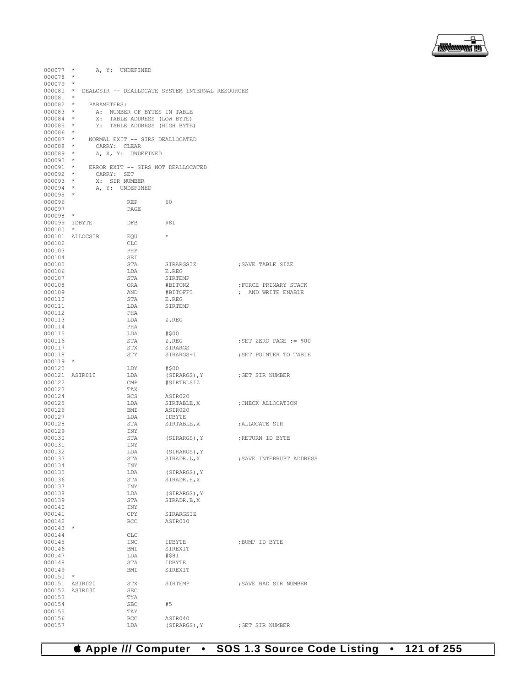

| 000077           | $\star$         | A, Y: UNDEFINED                                  |                  |                           |
|------------------|-----------------|--------------------------------------------------|------------------|---------------------------|
| $000078$ *       |                 |                                                  |                  |                           |
| $000079$ *       |                 |                                                  |                  |                           |
| $000080$ *       |                 | DEALCSIR -- DEALLOCATE SYSTEM INTERNAL RESOURCES |                  |                           |
| $000081$ *       |                 |                                                  |                  |                           |
| $000082$ *       |                 | PARAMETERS:                                      |                  |                           |
| 000083 *         |                 | A: NUMBER OF BYTES IN TABLE                      |                  |                           |
| $000084$ *       |                 | X: TABLE ADDRESS (LOW BYTE)                      |                  |                           |
| $000085$ *       |                 | Y: TABLE ADDRESS (HIGH BYTE)                     |                  |                           |
| 000086 *         |                 |                                                  |                  |                           |
| $000087$ *       |                 | NORMAL EXIT -- SIRS DEALLOCATED                  |                  |                           |
| $000088$ *       |                 | CARRY: CLEAR                                     |                  |                           |
| $000089$ *       |                 | A, X, Y: UNDEFINED                               |                  |                           |
| $000090$ *       |                 |                                                  |                  |                           |
| $000091$ *       |                 | ERROR EXIT -- SIRS NOT DEALLOCATED               |                  |                           |
| 000092 *         |                 | CARRY: SET                                       |                  |                           |
| $000093$ *       |                 | X: SIR NUMBER                                    |                  |                           |
| $000094$ *       |                 | A, Y: UNDEFINED                                  |                  |                           |
| 000095 *         |                 |                                                  |                  |                           |
| 000096           |                 | REP                                              | 60               |                           |
| 000097           | $\star$         | PAGE                                             |                  |                           |
| 000098           |                 |                                                  |                  |                           |
|                  | 000099 IDBYTE   | DFB                                              | \$81             |                           |
| $000100$ *       |                 | EOU                                              | $\star$          |                           |
|                  | 000101 ALLOCSIR |                                                  |                  |                           |
| 000102<br>000103 |                 | CLC                                              |                  |                           |
| 000104           |                 | PHP                                              |                  |                           |
| 000105           |                 | SEI<br>STA                                       | SIRARGSIZ        |                           |
| 000106           |                 | LDA                                              |                  | ; SAVE TABLE SIZE         |
| 000107           |                 | STA                                              | E.REG<br>SIRTEMP |                           |
| 000108           |                 | ORA                                              | #BITON2          | FORCE PRIMARY STACK       |
| 000109           |                 | AND                                              | #BITOFF3         | ; AND WRITE ENABLE        |
| 000110           |                 | STA                                              | E.REG            |                           |
| 000111           |                 | LDA                                              | SIRTEMP          |                           |
| 000112           |                 | PHA                                              |                  |                           |
| 000113           |                 | LDA                                              | Z.REG            |                           |
| 000114           |                 | PHA                                              |                  |                           |
| 000115           |                 | LDA                                              | #\$00            |                           |
| 000116           |                 | STA                                              | Z.REG            | ; SET ZERO PAGE $:=$ \$00 |
| 000117           |                 | STX                                              | SIRARGS          |                           |
| 000118           |                 | STY                                              | SIRARGS+1        | ; SET POINTER TO TABLE    |
| $000119$ *       |                 |                                                  |                  |                           |
| 000120           |                 | LDY                                              | #\$00            |                           |
|                  | 000121 ASIR010  | LDA                                              | (SIRARGS), Y     | ;GET SIR NUMBER           |
| 000122           |                 | CMP                                              | #SIRTBLSIZ       |                           |
| 000123           |                 | TAX                                              |                  |                           |
| 000124           |                 | <b>BCS</b>                                       | ASIR020          |                           |
| 000125           |                 | LDA                                              | SIRTABLE, X      | ; CHECK ALLOCATION        |
| 000126           |                 | BMI                                              | ASIR020          |                           |
| 000127           |                 | LDA                                              | IDBYTE           |                           |
| 000128           |                 | STA                                              | SIRTABLE, X      | ;ALLOCATE SIR             |
| 000129           |                 | INY                                              |                  |                           |
| 000130           |                 | STA                                              | (SIRARGS), Y     | ERETURN ID BYTE,          |
| 000131           |                 | INY                                              |                  |                           |
| 000132           |                 | LDA                                              | (SIRARGS), Y     |                           |
| 000133           |                 | STA                                              | SIRADR.L, X      | ; SAVE INTERRUPT ADDRESS  |
| 000134           |                 | INY                                              |                  |                           |
| 000135           |                 | LDA                                              | (SIRARGS), Y     |                           |
| 000136           |                 | STA                                              | SIRADR.H, X      |                           |
| 000137           |                 | INY                                              |                  |                           |
| 000138           |                 | LDA                                              | (SIRARGS), Y     |                           |
| 000139           |                 | STA                                              | SIRADR.B, X      |                           |
| 000140           |                 | INY                                              |                  |                           |
| 000141           |                 | CPY                                              | SIRARGSIZ        |                           |
| 000142           |                 | BCC                                              | ASIR010          |                           |
| $000143$ *       |                 |                                                  |                  |                           |
| 000144           |                 | CLC                                              |                  |                           |
| 000145           |                 | INC                                              | IDBYTE           | ; BUMP ID BYTE            |
| 000146           |                 | BMI                                              | SIREXIT          |                           |
| 000147           |                 | LDA                                              | #\$81            |                           |
| 000148           |                 | STA                                              | IDBYTE           |                           |
| 000149           |                 | BMI                                              | SIREXIT          |                           |
| 000150           | $\star$         |                                                  |                  |                           |
|                  | 000151 ASIR020  | STX                                              | SIRTEMP          | ; SAVE BAD SIR NUMBER     |
|                  | 000152 ASIR030  | SEC                                              |                  |                           |
| 000153           |                 | TYA                                              |                  |                           |
| 000154           |                 | SBC                                              | #5               |                           |
| 000155           |                 | TAY                                              |                  |                           |
| 000156           |                 | BCC                                              | ASIR040          |                           |
| 000157           |                 | LDA                                              | (SIRARGS), Y     | ; GET SIR NUMBER          |

 **Apple /// Computer • SOS 1.3 Source Code Listing • 121 of 255**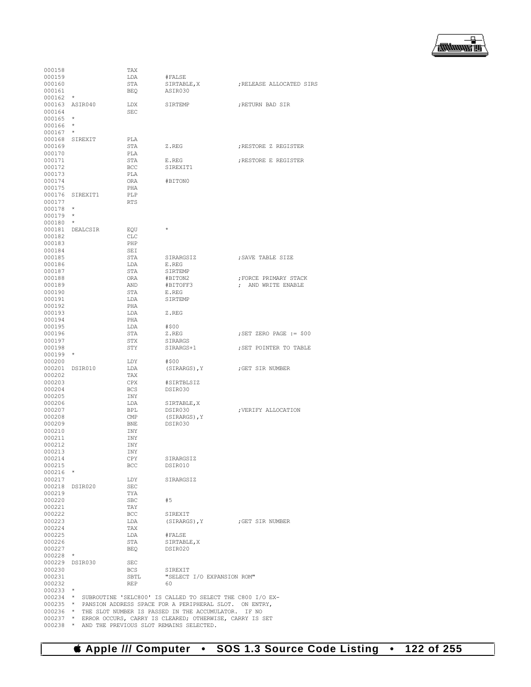

| 000158                   |                   | TAX               |                                                                    |                           |
|--------------------------|-------------------|-------------------|--------------------------------------------------------------------|---------------------------|
| 000159                   |                   | LDA               | #FALSE                                                             |                           |
| 000160                   |                   | STA               | SIRTABLE, X                                                        | ; RELEASE ALLOCATED SIRS  |
| 000161                   | $\star$           | BEQ               | ASIR030                                                            |                           |
| 000162                   |                   |                   |                                                                    |                           |
| 000163 ASIR040<br>000164 |                   | LDX<br><b>SEC</b> | SIRTEMP                                                            | ; RETURN BAD SIR          |
| 000165                   | $\star$           |                   |                                                                    |                           |
| 000166                   | $\star$           |                   |                                                                    |                           |
| 000167                   |                   |                   |                                                                    |                           |
| 000168                   | SIREXIT           | PLA               |                                                                    |                           |
| 000169                   |                   | STA               | Z.REG                                                              | ; RESTORE Z REGISTER      |
| 000170                   |                   | PLA               |                                                                    |                           |
| 000171                   |                   | STA               | E.REG                                                              | ; RESTORE E REGISTER      |
| 000172                   |                   | <b>BCC</b>        | SIREXIT1                                                           |                           |
| 000173                   |                   | PLA               |                                                                    |                           |
| 000174                   |                   | ORA               | #BITON0                                                            |                           |
| 000175                   |                   | PHA               |                                                                    |                           |
| 000176                   | SIREXIT1          | PLP               |                                                                    |                           |
| 000177                   |                   | <b>RTS</b>        |                                                                    |                           |
| 000178                   | $\star$           |                   |                                                                    |                           |
| 000179                   | $^{\star}$        |                   |                                                                    |                           |
| 000180                   | $\star$           |                   |                                                                    |                           |
| 000181                   | DEALCSIR          | EQU               | $\star$                                                            |                           |
| 000182                   |                   | <b>CLC</b>        |                                                                    |                           |
| 000183                   |                   | PHP               |                                                                    |                           |
| 000184                   |                   | SEI               |                                                                    |                           |
| 000185                   |                   | STA               | SIRARGSIZ                                                          | ; SAVE TABLE SIZE         |
| 000186                   |                   | LDA               | E.REG                                                              |                           |
| 000187                   |                   | STA               | SIRTEMP                                                            |                           |
| 000188                   |                   | ORA               | #BITON2                                                            | FORCE PRIMARY STACK,      |
| 000189                   |                   | AND               | #BITOFF3                                                           | : AND WRITE ENABLE        |
| 000190                   |                   | STA               | E.REG                                                              |                           |
| 000191                   |                   | LDA               | SIRTEMP                                                            |                           |
| 000192                   |                   | PHA               |                                                                    |                           |
| 000193                   |                   | LDA               | Z.REG                                                              |                           |
| 000194                   |                   | PHA               |                                                                    |                           |
| 000195                   |                   | LDA               | #\$00                                                              |                           |
| 000196<br>000197         |                   | STA<br>STX        | Z.REG                                                              | ; SET ZERO PAGE $:=$ \$00 |
|                          |                   |                   | SIRARGS                                                            |                           |
| 000198<br>000199         | $\qquad \, \star$ | STY               | SIRARGS+1                                                          | ; SET POINTER TO TABLE    |
| 000200                   |                   | LDY               | #\$00                                                              |                           |
| 000201                   | DSIR010           | LDA               | (SIRARGS), Y                                                       | GET SIR NUMBER;           |
| 000202                   |                   | TAX               |                                                                    |                           |
| 000203                   |                   | CPX               | #SIRTBLSIZ                                                         |                           |
| 000204                   |                   | <b>BCS</b>        | DSIR030                                                            |                           |
| 000205                   |                   | INY               |                                                                    |                           |
| 000206                   |                   | LDA               | SIRTABLE, X                                                        |                           |
| 000207                   |                   | BPL               | DSIR030                                                            | ; VERIFY ALLOCATION       |
| 000208                   |                   | CMP               | (SIRARGS), Y                                                       |                           |
| 000209                   |                   | BNE               | DSIR030                                                            |                           |
| 000210                   |                   | INY               |                                                                    |                           |
| 000211                   |                   | INY               |                                                                    |                           |
| 000212                   |                   | INY               |                                                                    |                           |
| 000213                   |                   | INY               |                                                                    |                           |
| 000214                   |                   | CPY               | SIRARGSIZ                                                          |                           |
| 000215                   |                   | <b>BCC</b>        | DSIR010                                                            |                           |
| $000216$ *               |                   |                   |                                                                    |                           |
| 000217                   |                   | LDY               | SIRARGSIZ                                                          |                           |
|                          | 000218 DSIR020    | SEC               |                                                                    |                           |
| 000219                   |                   | TYA               |                                                                    |                           |
| 000220                   |                   | SBC               | #5                                                                 |                           |
| 000221                   |                   | TAY               |                                                                    |                           |
| 000222                   |                   | <b>BCC</b>        | SIREXIT                                                            |                           |
| 000223                   |                   | LDA               | (SIRARGS), Y (GET SIR NUMBER                                       |                           |
| 000224                   |                   | TAX               |                                                                    |                           |
| 000225                   |                   | LDA               | #FALSE                                                             |                           |
| 000226                   |                   | STA               | SIRTABLE, X                                                        |                           |
| 000227                   |                   | BEQ               | DSIR020                                                            |                           |
| $000228$ *               |                   |                   |                                                                    |                           |
|                          | 000229 DSIR030    | SEC               |                                                                    |                           |
| 000230                   |                   | BCS               | SIREXIT                                                            |                           |
| 000231                   |                   | SBTL              | "SELECT I/O EXPANSION ROM"                                         |                           |
| 000232                   |                   | <b>REP</b>        | 60                                                                 |                           |
| $000233$ *               |                   |                   |                                                                    |                           |
|                          |                   |                   | 000234 * SUBROUTINE 'SELC800' IS CALLED TO SELECT THE C800 I/O EX- |                           |
|                          |                   |                   | 000235 * PANSION ADDRESS SPACE FOR A PERIPHERAL SLOT. ON ENTRY,    |                           |
|                          |                   |                   | 000236 * THE SLOT NUMBER IS PASSED IN THE ACCUMULATOR. IF NO       |                           |
|                          |                   |                   | 000237 * ERROR OCCURS, CARRY IS CLEARED; OTHERWISE, CARRY IS SET   |                           |
|                          |                   |                   | 000238 * AND THE PREVIOUS SLOT REMAINS SELECTED.                   |                           |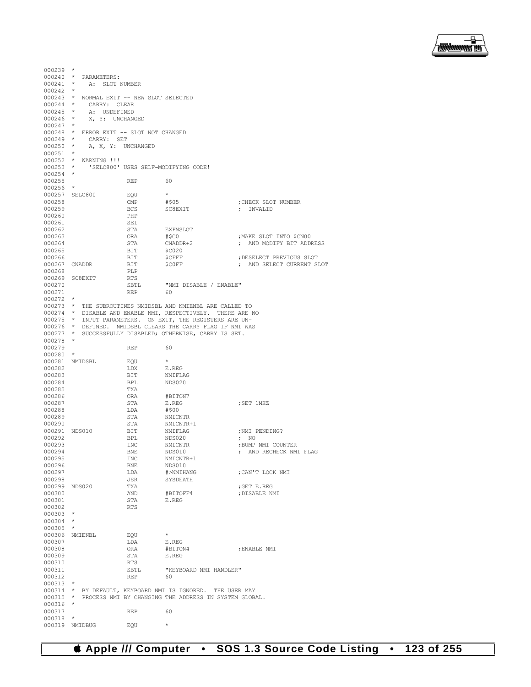

 $000239$  \*  $000240$  \* PARAMETERS:<br> $000241$  \* A: SLOT I A: SLOT NUMBER 000242 \* 000243 \* NORMAL EXIT  $--$  NEW SLOT SELECTED<br>000244 \* CARRY: CLEAR 000244 \* CARRY: CLEAR<br>000245 \* A: UNDEFINED 000245 \* A: UNDEFINED 000246 \* X, Y: UNCHANGED  $\begin{matrix} 000247 & *\\ 000248 & * \end{matrix}$ 000248 \* ERROR EXIT -- SLOT NOT CHANGED 000249 \* CARRY: SET 000249 \* CARRY: SET<br>000250 \* A, X, Y: UN A, X, Y: UNCHANGED 000251<br>000252 000252 \* WARNING !!!<br>000253 \* 'SELC800' 'SELC800' USES SELF-MODIFYING CODE! 000254 000255 REP 60 000256<br>000257 000257 SELC800 EQU \*<br>000258 CMP #\$05 000258 CMP #\$05 ;CHECK SLOT NUMBER  $\begin{tabular}{lllllllll} \bf BCS & & \tt SC8EXIT & & & & & & \\ \bf PHP & & & & & & & \\ \bf PHP & & & & & & \end{tabular}$ 000260 PHP<br>000261 SEI 000261 SEI<br>000262 STA 000262 STA EXPNSLOT<br>000263 ORA #\$C0 000263 ORA #\$C0 ;MAKE SLOT INTO \$CN00 STA  $\begin{array}{ccc} \texttt{CNADDR}+2 & \texttt{c} & \texttt{AND} & \texttt{MODR}+\texttt{D} \\ \texttt{BIT} & \texttt{SC020} & \texttt{SCA} & \texttt{SCA} & \texttt{ODR} & \texttt{SCA} \end{array}$ 000265 BIT \$C020<br>000266 BIT \$CFFF 000266 BIT \$CFFF ;DESELECT PREVIOUS SLOT BIT \$C0FF ; AND SELECT CURRENT SLOT PLP 000268 000269 SC8EXIT RTS<br>000270 SRTL SBTL "NMI DISABLE / ENABLE"<br>REP 60 000271  $000272$  \* 000273 \* THE SUBROUTINES NMIDSBL AND NMIENBL ARE CALLED TO 000274 \* DISABLE AND ENABLE NMI, RESPECTIVELY. THERE ARE NO 000275 \* INPUT PARAMETERS. ON EXIT, THE REGISTERS ARE UN-000276 \* DEFINED. NMIDSBL CLEARS THE CARRY FLAG IF NMI WAS 000277 \* SUCCESSFULLY DISABLED; OTHERWISE, CARRY IS SET.  $000278$  \* 000279 REP 60 000280 \*  $000281$  NMIDSBL  $\overline{EQU}$  \*<br>000282  $\overline{EQU}$  \* E.REG 000282 LDX<br>000283 BIT 000283 BIT NMIFLAG BPL NDS020<br>TXA 000285 TXA<br>000286 ORA 000286 ORA #BITON7 STA E.REG ; SET 1MHZ LDA #\$00 000288 LDA<br>000289 STA % 000289 STA NMICNTR 000290 STA NMICNTR 000290 <br>000291 NDS010 BIT NMIFLAG 000291 NDS010 BIT NMIFLAG ;NMI PENDING? 000292 BPL NDS020 ; NO 000293 INC NMICNTR ;BUMP NMI COUNTER 000294 BNE NDS010 ; AND RECHECK NMI FLAG 000295 INC NMICNTR+1<br>000296 BNE NDS010 000296 BNE NDS010<br>000297 LDA #>NMIHANG 000297 LDA #>NMIHANG ;CAN'T LOCK NMI JSR SYSDEATH<br>TXA 000299 NDS020 TXA ;GET E.REG 000300 AND #BITOFF4 ;DISABLE NMI 000301 STA E.REG 000302 RTS 000303 \* 000304 \* 000305 \* 000306 NMIENBL  $\begin{array}{ccc}\n 0.00306 & \text{MMIENBL} \\
 \text{D1} & \text{LDA} & \text{E.REG}\n \end{array}$ 000307 LDA E.REG <br>000308 ORA #BITON4 ORA #BITON4 ; ENABLE NMI<br>STA F. REG 000309 STA<br>000310 RTS 000310 RTS <br>000311 SBTL 000311 SBTL "KEYBOARD NMI HANDLER" 000312 REP 60 000313 \* 000314 \* BY DEFAULT, KEYBOARD NMI IS IGNORED. THE USER MAY 000315 \* PROCESS NMI BY CHANGING THE ADDRESS IN SYSTEM GLOBAL. 000316 000317 REP 60 000318 \* 000319 NMIDBUG EQU \*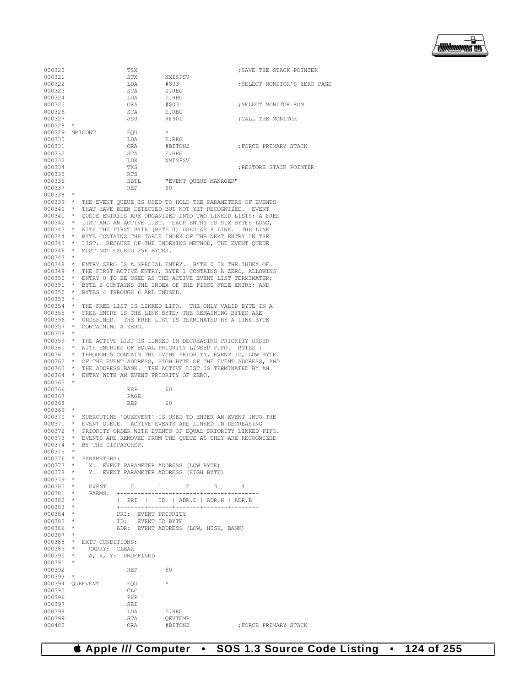

000320 TSX TSX ;SAVE THE STACK POINTER (000321 000321 STX NMISPSV<br>000322 LDA #\$03 000322 LDA #\$03 ;SELECT MONITOR'S ZERO PAGE STA Z.REG<br>LDA E.REG 000324 LDA E.REGOOO325 ORA #\$03 000325 ORA #\$03 ;SELECT MONITOR ROM 000326 STA E.REG<br>000327 JSR SF901 : CALL THE MONITOR 000328 \* 000329 NMICONT EQU<br>000330 1.DA 000330 LDA E.REG <br>000331 ORA #BITON2 000331 ORA #BITON2 ;FORCE PRIMARY STACK 000332 STA<br>000333 LDX 000333 LDX NMISPSV<br>000334 TXS 000334 TXS ;RESTORE STACK POINTER 000335 RTS<br>000336 SBTL SBTL **"EVENT QUEUE MANAGER"**<br>REP 60 000337 000338<br>000339 \* THE EVENT QUEUE IS USED TO HOLD THE PARAMETERS OF EVENTS 000340 \* THAT HAVE BEEN DETECTED BUT NOT YET RECOGNIZED. EVENT 000341 \* QUEUE ENTRIES ARE ORGANIZED INTO TWO LINKED LISTS; A FREE<br>000342 \* LIST AND AN ACTIVE LIST – EACH ENTRY IS SIX BYTES LONG 000342 \* LIST AND AN ACTIVE LIST. EACH ENTRY IS SIX BYTES LONG, 000343 \* WITH THE FIRST BYTE (BYTE 0) USED AS A LINK. THE LINK 000344 \* BYTE CONTAINS THE TABLE INDEX OF THE NEXT ENTRY IN THE 000345 \* LIST. BECAUSE OF THE INDEXING METHOD, THE EVENT QUEUE 000346 \* MUST NOT EXCEED 256 BYTES.  $000347$  \*<br>000348 \* \* ENTRY ZERO IS A SPECIAL ENTRY. BYTE 0 IS THE INDEX OF 000349 \* THE FIRST ACTIVE ENTRY; BYTE 1 CONTAINS A ZERO, ALLOWING 000350 \* ENTRY 0 TO BE USED AS THE ACTIVE EVENT LIST TERMINATER; 000351 \* BYTE 2 CONTAINS THE INDEX OF THE FIRST FREE ENTRY; AND 000352 \* BYTES 4 THROUGH 6 ARE UNUSED.  $000353$  \* 000354 \* THE FREE LIST IS LINKED LIFO. THE ONLY VALID BYTE IN A 000355 \* FREE ENTRY IS THE LINK BYTE; THE REMAINING BYTES ARE 000356 \* UNDEFINED. THE FREE LIST IS TERMINATED BY A LINK BYTE 000357 \* CONTAINING A ZERO. 000358 \* 000359 \* THE ACTIVE LIST IS LINKED IN DECREASING PRIORITY ORDER 000360 \* WITH ENTRIES OF EQUAL PRIORITY LINKED FIFO. BYTES 1 000361 \* THROUGH 5 CONTAIN THE EVENT PRIORITY, EVENT ID, LOW BYTE 000362 \* OF THE EVENT ADDRESS, HIGH BYTE OF THE EVENT ADDRESS, AND 000363 \* THE ADDRESS BANK. THE ACTIVE LIST IS TERMINATED BY AN 000364 \* ENTRY WITH AN EVENT PRIORITY OF ZERO. 000365 \* 000366 REP 60<br>000367 RAGE 000367 PAGE PAGE 000368 REP 60 000369 \* 000370 \* SUBROUTINE 'QUEEVENT' IS USED TO ENTER AN EVENT INTO THE 000371 \* EVENT QUEUE. ACTIVE EVENTS ARE LINKED IN DECREASING 000372 \* PRIORITY ORDER WITH EVENTS OF EQUAL PRIORITY LINKED I 000372 \* PRIORITY ORDER WITH EVENTS OF EQUAL PRIORITY LINKED FIFO. 000373 \* EVENTS ARE REMOVED FROM THE QUEUE AS THEY ARE RECOGNIZED 000374 \* BY THE DISPATCHER. 000375<br>000376 000376 \* PARAMETERS:<br>000377 \* X: EVENT 000377 \* X: EVENT PARAMETER ADDRESS (LOW BYTE)<br>000378 \* Y: EVENT PARAMETER ADDRESS (HIGH BYTE Y: EVENT PARAMETER ADDRESS (HIGH BYTE) 000379 \* 000380 \* EVENT 0 1 2 3 4 000381 \* PARMS: +-------+-------+-------+-------+-<br>000382 \* | PRI | ID | ADR.T. | ADR.H | 000382 \* | PRI | ID | ADR.L | ADR.H | ADR.B |  $0.00383$  \*  $+------++------++------+++------+++------++$ 000384 \* PRI: EVENT PRIORITY<br>000385 \* TD: EVENT ID BYTE 000385 \* ID: EVENT ID BYTE<br>000386 \* ADR: EVENT ADDRESS ADR: EVENT ADDRESS (LOW, HIGH, BANK) 000387 000388 \* EXIT CONDITIONS:<br>000389 \* CARRY: CLEAR 000389 \* CARRY: CLEAR<br>000390 \* A.X.Y: UNDE A, X, Y: UNDEFINED 000391 \* 000392 REP 60 000393 \* 000394 QUEEVENT EQU \* 000395 CLC<br>000396 PHP 000396 PHP<br>000397 SEI 000397 SEI<br>000398 LDA 000398 LDA E.REG<br>000399 STA OEVTEI 000399 STA QEVTEMP<br>000400 ORA #BITON2 ; FORCE PRIMARY STACK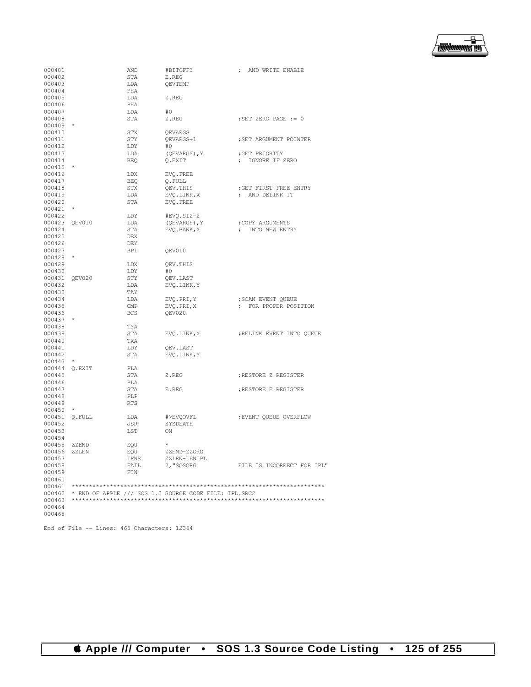

| 000401        |               | AND        | #BITOFF3                                              | ; AND WRITE ENABLE         |
|---------------|---------------|------------|-------------------------------------------------------|----------------------------|
| 000402        |               | STA        | E.REG                                                 |                            |
| 000403        |               | LDA        | QEVTEMP                                               |                            |
| 000404        |               | PHA        |                                                       |                            |
| 000405        |               | LDA        | Z.REG                                                 |                            |
| 000406        |               | PHA        |                                                       |                            |
| 000407        |               | LDA        | #0                                                    |                            |
| 000408        |               | STA        | Z.REG                                                 | ; SET ZERO PAGE := 0       |
| 000409        | $\star$       |            |                                                       |                            |
| 000410        |               | STX        | QEVARGS                                               |                            |
| 000411        |               | STY        | QEVARGS+1                                             | ; SET ARGUMENT POINTER     |
| 000412        |               | LDY        | #0                                                    |                            |
| 000413        |               | LDA        |                                                       | ; GET PRIORITY             |
|               |               |            | (QEVARGS), Y                                          |                            |
| 000414        |               | BEO        | O.EXIT                                                | ; IGNORE IF ZERO           |
| $000415$ *    |               |            |                                                       |                            |
| 000416        |               | LDX        | EVO. FREE                                             |                            |
| 000417        |               | <b>BEO</b> | O.FULL                                                |                            |
| 000418        |               | <b>STX</b> | QEV.THIS                                              | ; GET FIRST FREE ENTRY     |
| 000419        |               | LDA        | EVQ.LINK, X                                           | ; AND DELINK IT            |
| 000420        |               | STA        | EVQ. FREE                                             |                            |
| 000421        | $\star$       |            |                                                       |                            |
| 000422        |               | LDY        | #EVQ.SIZ-2                                            |                            |
| 000423 QEV010 |               | LDA        | (QEVARGS), Y                                          | ; COPY ARGUMENTS           |
| 000424        |               | STA        | EVQ.BANK, X                                           | ; INTO NEW ENTRY           |
| 000425        |               | <b>DEX</b> |                                                       |                            |
| 000426        |               | DEY        |                                                       |                            |
| 000427        |               | <b>BPL</b> | QEV010                                                |                            |
| $000428$ *    |               |            |                                                       |                            |
| 000429        |               | LDX        | QEV.THIS                                              |                            |
| 000430        |               | LDY        | #0                                                    |                            |
|               | 000431 OEV020 | STY        | OEV.LAST                                              |                            |
| 000432        |               | LDA        | EVQ.LINK, Y                                           |                            |
| 000433        |               | TAY        |                                                       |                            |
| 000434        |               | LDA        | EVQ.PRI, Y                                            | ; SCAN EVENT QUEUE         |
| 000435        |               | CMP        | EVQ.PRI, X                                            | ; FOR PROPER POSITION      |
| 000436        |               | <b>BCS</b> | OEV020                                                |                            |
| 000437        |               |            |                                                       |                            |
| 000438        |               | TYA        |                                                       |                            |
| 000439        |               | <b>STA</b> | EVQ.LINK, X                                           | ; RELINK EVENT INTO QUEUE  |
| 000440        |               | TXA        |                                                       |                            |
| 000441        |               | LDY        | OEV.LAST                                              |                            |
| 000442        |               |            |                                                       |                            |
|               | $\star$       | STA        | EVQ.LINK, Y                                           |                            |
| 000443        |               |            |                                                       |                            |
|               | 000444 Q.EXIT | PLA        |                                                       |                            |
| 000445        |               | STA        | Z.REG                                                 | ; RESTORE Z REGISTER       |
| 000446        |               | PLA        |                                                       |                            |
| 000447        |               | <b>STA</b> | E.REG                                                 | ; RESTORE E REGISTER       |
| 000448        |               | PLP        |                                                       |                            |
| 000449        |               | <b>RTS</b> |                                                       |                            |
| 000450        | $\star$       |            |                                                       |                            |
| 000451 Q.FULL |               | LDA        | #>EVOOVFL                                             | ; EVENT QUEUE OVERFLOW     |
| 000452        |               | <b>JSR</b> | SYSDEATH                                              |                            |
| 000453        |               | LST        | ON                                                    |                            |
| 000454        |               |            |                                                       |                            |
| 000455 ZZEND  |               | EOU        | $\star$                                               |                            |
| 000456 ZZLEN  |               | EQU        | ZZEND-ZZORG                                           |                            |
| 000457        |               | IFNE       | ZZLEN-LENIPL                                          |                            |
| 000458        |               | FAIL       | 2, "SOSORG                                            | FILE IS INCORRECT FOR IPL" |
| 000459        |               | <b>FTN</b> |                                                       |                            |
| 000460        |               |            |                                                       |                            |
| 000461        |               |            |                                                       |                            |
| 000462        |               |            | * END OF APPLE /// SOS 1.3 SOURCE CODE FILE: IPL.SRC2 |                            |
| 000463        |               |            |                                                       |                            |
| 000464        |               |            |                                                       |                            |
| 000465        |               |            |                                                       |                            |
|               |               |            |                                                       |                            |

End of File -- Lines: 465 Characters: 12364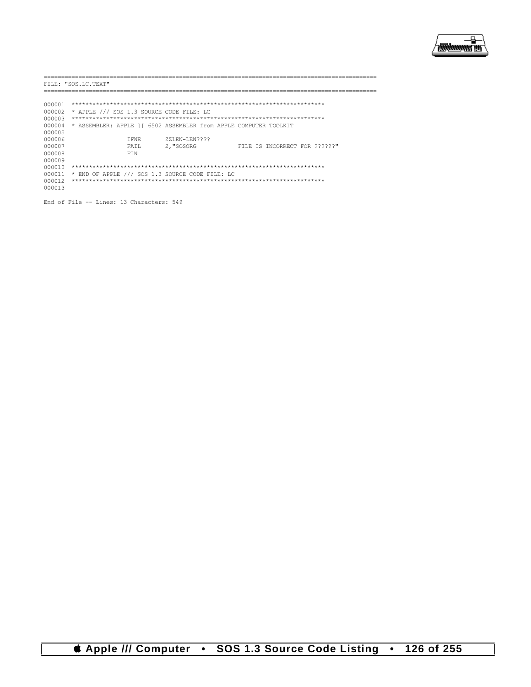

|        | FILE: "SOS.LC.TEXT"                                               |               |                               |
|--------|-------------------------------------------------------------------|---------------|-------------------------------|
|        |                                                                   |               |                               |
| 000001 |                                                                   |               |                               |
| 000002 | * APPLE /// SOS 1.3 SOURCE CODE FILE: LC                          |               |                               |
| 000003 |                                                                   |               |                               |
| 000004 | * ASSEMBLER: APPLE 1   6502 ASSEMBLER from APPLE COMPUTER TOOLKIT |               |                               |
| 000005 |                                                                   |               |                               |
| 000006 | T FNF.                                                            | ZZLEN-LEN???? |                               |
| 000007 | FATT.                                                             | 2, "SOSORG    | FILE IS INCORRECT FOR ??????" |
| 000008 | <b>FTN</b>                                                        |               |                               |
| 000009 |                                                                   |               |                               |
| 000010 |                                                                   |               |                               |
| 000011 | * END OF APPLE /// SOS 1.3 SOURCE CODE FILE: LC                   |               |                               |
| 000012 |                                                                   |               |                               |
| 000013 |                                                                   |               |                               |

End of File -- Lines: 13 Characters: 549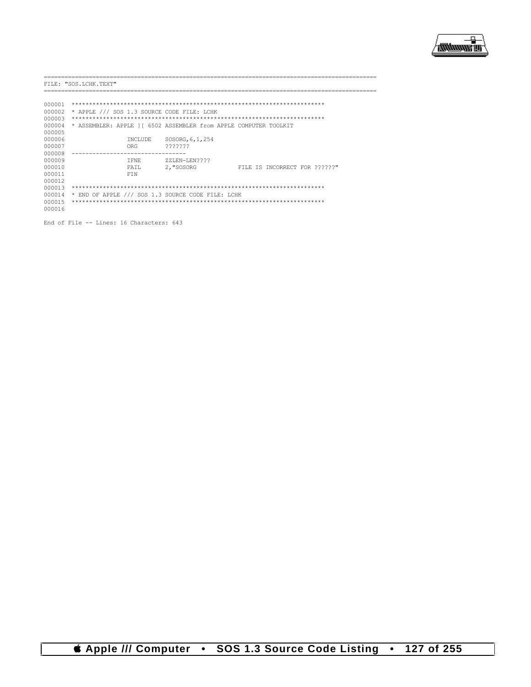

|        | FILE: "SOS.LCHK.TEXT" |            |                                                                  |                               |  |  |  |  |
|--------|-----------------------|------------|------------------------------------------------------------------|-------------------------------|--|--|--|--|
|        |                       |            |                                                                  |                               |  |  |  |  |
|        |                       |            |                                                                  |                               |  |  |  |  |
| 000001 |                       |            |                                                                  |                               |  |  |  |  |
| 000002 |                       |            | * APPLE /// SOS 1.3 SOURCE CODE FILE: LCHK                       |                               |  |  |  |  |
| 000003 |                       |            |                                                                  |                               |  |  |  |  |
| 000004 |                       |            | * ASSEMBLER: APPLE 11 6502 ASSEMBLER from APPLE COMPUTER TOOLKIT |                               |  |  |  |  |
| 000005 |                       |            |                                                                  |                               |  |  |  |  |
| 000006 |                       | INCLUDE    | SOSORG, 6, 1, 254                                                |                               |  |  |  |  |
| 000007 |                       | ORG        | ???????                                                          |                               |  |  |  |  |
| 000008 |                       |            |                                                                  |                               |  |  |  |  |
| 000009 |                       | T FNE.     | ZZLEN-LEN????                                                    |                               |  |  |  |  |
| 000010 |                       | FAIL       | 2, "SOSORG                                                       | FILE IS INCORRECT FOR ??????" |  |  |  |  |
| 000011 |                       | <b>FTN</b> |                                                                  |                               |  |  |  |  |
| 000012 |                       |            |                                                                  |                               |  |  |  |  |
| 000013 |                       |            |                                                                  |                               |  |  |  |  |
| 000014 |                       |            | * END OF APPLE /// SOS 1.3 SOURCE CODE FILE: LCHK                |                               |  |  |  |  |
| 000015 |                       |            |                                                                  |                               |  |  |  |  |
| 000016 |                       |            |                                                                  |                               |  |  |  |  |
|        |                       |            |                                                                  |                               |  |  |  |  |

End of File -- Lines: 16 Characters: 643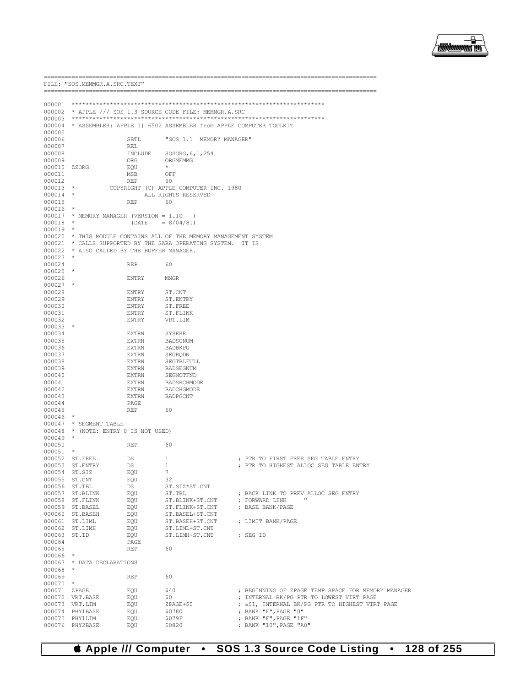

|                      | FILE: "SOS.MEMMGR.A.SRC.TEXT"               |                |                                                                          |                                                    |
|----------------------|---------------------------------------------|----------------|--------------------------------------------------------------------------|----------------------------------------------------|
|                      |                                             |                |                                                                          |                                                    |
|                      |                                             |                |                                                                          |                                                    |
|                      |                                             |                | 000002 * APPLE /// SOS 1.3 SOURCE CODE FILE: MEMMGR.A.SRC                |                                                    |
|                      |                                             |                |                                                                          |                                                    |
|                      |                                             |                | 000004 * ASSEMBLER: APPLE 1 [ 6502 ASSEMBLER from APPLE COMPUTER TOOLKIT |                                                    |
| 000005<br>000006     |                                             | SBTL           | "SOS 1.1 MEMORY MANAGER"                                                 |                                                    |
| 000007               |                                             | REL            |                                                                          |                                                    |
| 000008               |                                             | INCLUDE        | SOSORG, 6, 1, 254                                                        |                                                    |
| 000009               |                                             | ORG            | ORGMEMMG                                                                 |                                                    |
| 000010 ZZORG         |                                             | EQU            | $\star$                                                                  |                                                    |
| 000011               |                                             | MSB            | OFF                                                                      |                                                    |
| 000012               |                                             | REP            | 60                                                                       |                                                    |
| $000013$ *           |                                             |                | COPYRIGHT (C) APPLE COMPUTER INC. 1980                                   |                                                    |
| $000014$ *<br>000015 |                                             | REP            | ALL RIGHTS RESERVED<br>60                                                |                                                    |
| $000016$ *           |                                             |                |                                                                          |                                                    |
|                      | 000017 * MEMORY MANAGER (VERSION = 1.10 )   |                |                                                                          |                                                    |
| $000018$ *           |                                             | (DATE          | $= 8/04/81$                                                              |                                                    |
| $000019$ *           |                                             |                |                                                                          |                                                    |
|                      |                                             |                | 000020 * THIS MODULE CONTAINS ALL OF THE MEMORY MANAGEMENT SYSTEM        |                                                    |
|                      |                                             |                | 000021 * CALLS SUPPORTED BY THE SARA OPERATING SYSTEM. IT IS             |                                                    |
|                      | 000022 * ALSO CALLED BY THE BUFFER MANAGER. |                |                                                                          |                                                    |
| $000023$ *<br>000024 |                                             | REP            | 60                                                                       |                                                    |
| $000025$ *           |                                             |                |                                                                          |                                                    |
| 000026               |                                             | ENTRY          | MMGR                                                                     |                                                    |
| $000027$ *           |                                             |                |                                                                          |                                                    |
| 000028               |                                             | ENTRY          | ST.CNT                                                                   |                                                    |
| 000029               |                                             | ENTRY          | ST.ENTRY                                                                 |                                                    |
| 000030               |                                             | ENTRY          | ST.FREE                                                                  |                                                    |
| 000031               |                                             | ENTRY          | ST.FLINK                                                                 |                                                    |
| 000032<br>$000033$ * |                                             | ENTRY          | VRT.LIM                                                                  |                                                    |
| 000034               |                                             | EXTRN          | SYSERR                                                                   |                                                    |
| 000035               |                                             | EXTRN          | BADSCNUM                                                                 |                                                    |
| 000036               |                                             | EXTRN          | BADBKPG                                                                  |                                                    |
| 000037               |                                             | EXTRN          | SEGRQDN                                                                  |                                                    |
| 000038               |                                             | EXTRN          | SEGTBLFULL                                                               |                                                    |
| 000039               |                                             | EXTRN          | BADSEGNUM                                                                |                                                    |
| 000040               |                                             | EXTRN          | SEGNOTFND                                                                |                                                    |
| 000041               |                                             | EXTRN          | BADSRCHMODE                                                              |                                                    |
| 000042<br>000043     |                                             | EXTRN<br>EXTRN | BADCHGMODE<br>BADPGCNT                                                   |                                                    |
| 000044               |                                             | PAGE           |                                                                          |                                                    |
| 000045               |                                             | REP            | 60                                                                       |                                                    |
| $000046$ *           |                                             |                |                                                                          |                                                    |
|                      | 000047 * SEGMENT TABLE                      |                |                                                                          |                                                    |
|                      | 000048 * (NOTE: ENTRY 0 IS NOT USED)        |                |                                                                          |                                                    |
| $000049$ *           |                                             |                |                                                                          |                                                    |
| 000050               |                                             | REP            | 60                                                                       |                                                    |
| $000051$ *           | 000052 ST.FREE                              | DS             | 1                                                                        | ; PTR TO FIRST FREE SEG TABLE ENTRY                |
|                      | 000053 ST.ENTRY                             | DS             | $\mathbf{1}$                                                             | ; PTR TO HIGHEST ALLOC SEG TABLE ENTRY             |
|                      | 000054 ST.SIZ                               | EQU            | $7\phantom{.0}$                                                          |                                                    |
|                      | 000055 ST.CNT                               | EQU            | 32                                                                       |                                                    |
|                      | 000056 ST.TBL                               | DS             | ST.SIZ*ST.CNT                                                            |                                                    |
|                      | 000057 ST.BLINK                             | EQU            | ST.TBL                                                                   | ; BACK LINK TO PREV ALLOC SEG ENTRY                |
|                      | 000058 ST. FLINK                            | EQU            | ST.BLINK+ST.CNT                                                          | $\mathbf{u}$<br>; FORWARD LINK                     |
|                      | 000059 ST.BASEL                             | EQU            | ST.FLINK+ST.CNT                                                          | ; BASE BANK/PAGE                                   |
|                      | 000060 ST. BASEH<br>000061 ST.LIML          | EQU<br>EQU     | ST.BASEL+ST.CNT<br>ST.BASEH+ST.CNT ; LIMIT BANK/PAGE                     |                                                    |
|                      | 000062 ST.LIMH                              | EQU            | ST.LIML+ST.CNT                                                           |                                                    |
|                      | 000063 ST.ID                                | EQU            | ST.LIMH+ST.CNT                                                           | ; SEG ID                                           |
| 000064               |                                             | PAGE           |                                                                          |                                                    |
| 000065               |                                             | REP            | 60                                                                       |                                                    |
| 000066 *             |                                             |                |                                                                          |                                                    |
|                      | 000067 * DATA DECLARATIONS                  |                |                                                                          |                                                    |
| 000068 *             |                                             |                |                                                                          |                                                    |
| 000069<br>$000070$ * |                                             | REP            | 60                                                                       |                                                    |
|                      | 000071 ZPAGE                                | EQU            | \$40                                                                     | ; BEGINNING OF ZPAGE TEMP SPACE FOR MEMORY MANAGER |
|                      | 000072 VRT.BASE                             | EQU            | \$0                                                                      | ; INTERNAL BK/PG PTR TO LOWEST VIRT PAGE           |
|                      | 000073 VRT.LIM                              | EQU            | ZPAGE+\$0                                                                | ; &\$1, INTERNAL BK/PG PTR TO HIGHEST VIRT PAGE    |
|                      | 000074 PHY1BASE                             | EQU            | \$0780                                                                   | ; BANK "F", PAGE "0"                               |
|                      | 000075 PHY1LIM                              | EQU            | \$079F                                                                   | ; BANK "F", PAGE "1F"                              |
|                      | 000076 PHY2BASE                             | EQU            | \$0820                                                                   | ; BANK "10", PAGE "A0"                             |

SOS 1.3 Source Code Listing . 128 of 255 **S** Apple /// Computer  $\bullet$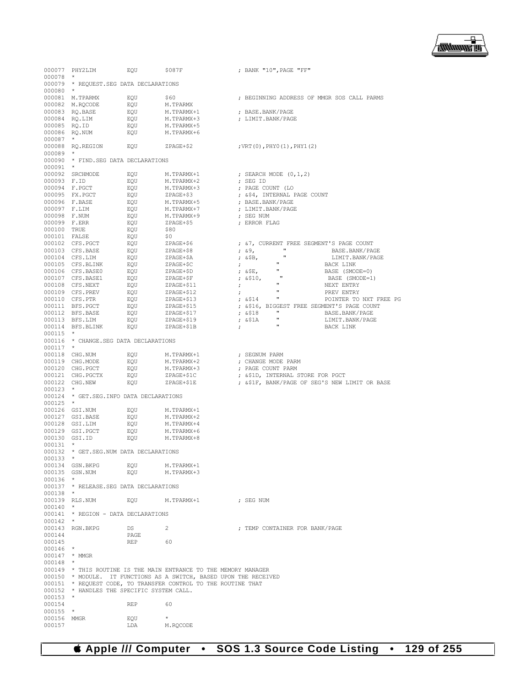

000077 PHY2LIM EQU \$087F ; BANK "10", PAGE "FF" 000078<br>000079 \* REQUEST.SEG DATA DECLARATIONS  $000080$  \*<br>000081 M.TPARMX 000081 M.TPARMX EQU \$60 ; BEGINNING ADDRESS OF MMGR SOS CALL PARMS 000082 M.RQCODE EQU M.TPARMX<br>000083 RQ.BASE EQU M.TPARMX+1 000083 RQ.BASE EQU M.TPARMX+1 ; BASE.BANK/PAGE  ${\small \begin{array}{llll} \tt EQU & M.TPARMX+3 & \tt ; & LIMIT.BANK/PAGE \\ \tt EQU & M.TPARMX+5 & \tt \end{array} }$ 000085 RQ.ID EQU M.TPARMX+5 000086 RQ.NUM 000087 \*<br>000088 RQ.REGION EQU 2PAGE+\$2 ;VRT(0), PHY0(1), PHY1(2) 000089<br>000090 \* FIND.SEG DATA DECLARATIONS 000091 \*<br>000092 SRCHMODE EQU  $M$ .TPARMX+1 ; SEARCH MODE (0,1,2)<br>EQU  $M$ .TPARMX+2 ; SEG ID  $000093$  F.ID  $E\overline{Q}U$  M.TPARMX+2<br>  $000094$  F.PGCT  $E\overline{Q}U$  M.TPARMX+3 000094 F.PGCT EQU M.TPARMX+3 ; PAGE COUNT (LO 000095 FX.PGCT EQU ZPAGE+\$3 ; &\$4, INTERNAL PAGE COUNT 000096 F.BASE EQU M.TPARMX+5 ; BASE.BANK/PAGE 000097 M.TPARMX+7 (DIMIT.BANK/PAGE M.TPARMX+9 ) 000098 F.NUM EQU M.TPARMX+9 ; SEG NUM 000099 F.ERR EQU ZPAGE+\$5 ; ERROR FLAG 000100 TRUE EQU \$80 000101 FALSE EQU \$0 000102 CFS.PGCT  $\overline{p}$  EQU  $\overline{z}$ PAGE+\$6 ;  $\overline{z}$ , CURRENT FREE SEGMENT'S PAGE COUNT 000103 CFS.BASE  $\overline{z}$ 0001020103 CPAGE+\$8 ; 29, "BASE.BANK/PAGE<br>2006 7PAGE+\$A : \$8, " BANK/PAGE 000104 CFS.LIM EQU ZPAGE+\$A ; &\$B, " LIMIT.BANK/PAGE 000105 CFS.BLINK EQU ZPAGE+\$C ; ; "<br>000106 CFS.BASE0 EOU ZPAGE+\$D ; &\$E, " 000001000106 BASE (SMODE=0)<br>BASE (SMODE=1)  $000107$  CFS.BASE1 EQU  $ZPAGE+\$F$  ;  $\&$510$ , "BASE (SMODE=1)<br> $000108$  CFS.NEXT FOU ZPAGE+\$11 : " NEXT ENTRY 000108 CFS.NEXT EQU ZPAGE+\$11 ; " NEXT ENTRY 000109 CFS.PREV EQU ZPAGE+\$12 ; " PREV ENTRY 000110 CFS.PTR EQU ZPAGE+\$13 ; &\$14 " POINTER TO NXT FREE PG  $\begin{array}{lllllll} \texttt{EQU} & \texttt{ZPAGE+} \texttt{15} & \texttt{316}, & \texttt{BIGGEST} \texttt{FREE} & \texttt{SEGMENT} \texttt{'S} \texttt{ PAGE} & \texttt{COUNT} \\ \texttt{EQU} & \texttt{ZPAGE+} \texttt{17} & \texttt{318} & \texttt{''} & \texttt{BASE} \texttt{BANK/PAGE} \end{array}$ 000112 BFS.BASE EQU ZPAGE+\$17 ; &\$18 " BASE.BANK/PAGE 000113 BFS.LIM EQU ZPAGE+\$19 ; &\$1A " LIMIT.BANK/PAGE  $000114$  BFS.BLINK 000115 \* 000116 \* CHANGE.SEG DATA DECLARATIONS 000117 \* 000118 CHG.NUM EQU M.TPARMX+1 ; SEGNUM PARM 000119 CHG.MODE EQU M.TPARMX+2 ; CHANGE MODE PARM 000120 CHG.PGCT EQU M.TPARMX+3 ; PAGE COUNT PARM 000121 CHG.PGCTX EQU ZPAGE+\$1C ; &\$1D, INTERNAL STORE FOR PGCT ; &\$1F, BANK/PAGE OF SEG'S NEW LIMIT OR BASE 000123 \* 000124 \* GET.SEG.INFO DATA DECLARATIONS 000125 \* 000126 GSI.NUM EQU M.TPARMX+1<br>000127 GSI.BASE EQU M.TPARMX+2 000127 GSI.BASE EQU M.TPARMX+2 000128 GSI.LIM EQU M.TPARMX+4<br>000129 GSI.PGCT EQU M.TPARMX+6 000129 GSI.PGCT EQU M.TPARMX+6<br>000130 GSI.ID EQU M.TPARMX+8 000130 GSI.ID 000131<br>000132 \* GET.SEG.NUM DATA DECLARATIONS 000133 \* 000134 GSN.BKPG EQU M.TPARMX+1<br>000135 GSN.NUM FOU M.TPARMX+3  $000135$  GSN.NUM  $000136$   $\frac{1}{000137}$ \* RELEASE.SEG DATA DECLARATIONS 000138 \* 000139 RLS.NUM EQUI M.TPARMX+1 : SEG NUM 000140 \* 000141 \* REGION - DATA DECLARATIONS  $000142$  \*<br>000143 RGN.BKPG  $\begin{array}{ccc} \texttt{DS} & \texttt{2} & \texttt{3} \\ \texttt{PAGE} & \texttt{PAGE} & \texttt{DATER} & \texttt{FOR} & \texttt{BANK/PAGE} \end{array}$ 000144 PAGE<br>000145 REP 000145 REP 60  $000146$  000147 000147 \* MMGR 000148 \* 000149 \* THIS ROUTINE IS THE MAIN ENTRANCE TO THE MEMORY MANAGER 000150 \* MODULE. IT FUNCTIONS AS A SWITCH, BASED UPON THE RECEIVED 000151 \* REQUEST CODE, TO TRANSFER CONTROL TO THE ROUTINE THAT 000152 \* HANDLES THE SPECIFIC SYSTEM CALL. 000153 \* 000154 REP 60<br>000155 \* 000155 \*<br>000156 MMGR 000156 MMGR EQU  $EQU$ <br>000157 LDA M.ROCODE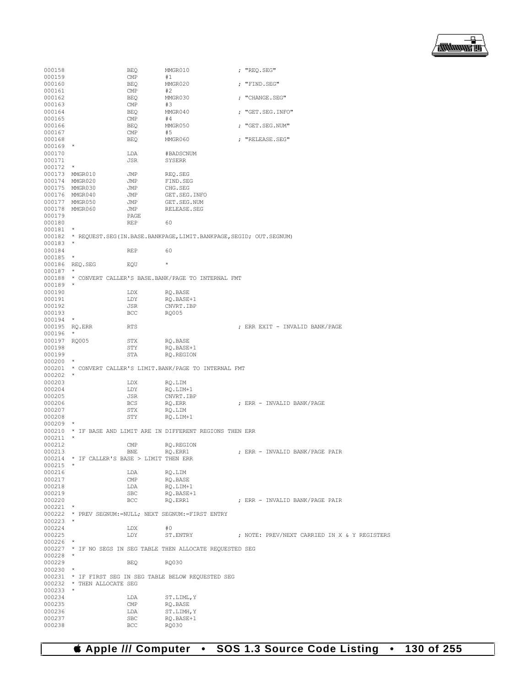

| 000158        |                                            | <b>BEQ</b> | MMGR010                                                                 | ; "REQ.SEG"                                  |
|---------------|--------------------------------------------|------------|-------------------------------------------------------------------------|----------------------------------------------|
| 000159        |                                            | CMP        | #1                                                                      |                                              |
| 000160        |                                            | BEQ        | MMGR020                                                                 | ; "FIND.SEG"                                 |
| 000161        |                                            | CMP        | #2                                                                      |                                              |
| 000162        |                                            | BEQ        | MMGR030                                                                 | ; "CHANGE.SEG"                               |
| 000163        |                                            | CMP        | #3                                                                      |                                              |
| 000164        |                                            | BEQ        | MMGR040                                                                 | ; "GET.SEG.INFO"                             |
| 000165        |                                            | CMP        | #4                                                                      |                                              |
| 000166        |                                            | BEQ        | MMGR050                                                                 | ; "GET.SEG.NUM"                              |
| 000167        |                                            | CMP        | #5                                                                      |                                              |
| 000168        |                                            | BEQ        | MMGR060                                                                 | ; "RELEASE.SEG"                              |
| $000169$ *    |                                            |            |                                                                         |                                              |
| 000170        |                                            | LDA        | #BADSCNUM                                                               |                                              |
| 000171        |                                            | JSR        | SYSERR                                                                  |                                              |
| $000172$ *    |                                            |            |                                                                         |                                              |
|               | 000173 MMGR010                             | JMP        | REQ.SEG                                                                 |                                              |
|               | 000174 MMGR020                             | JMP        | FIND.SEG                                                                |                                              |
|               | 000175 MMGR030                             | JMP        | CHG.SEG                                                                 |                                              |
|               | 000176 MMGR040                             | JMP        | GET.SEG.INFO                                                            |                                              |
|               | 000177 MMGR050                             | JMP        | GET.SEG.NUM                                                             |                                              |
|               | 000178 MMGR060                             | JMP        | RELEASE.SEG                                                             |                                              |
| 000179        |                                            | PAGE       |                                                                         |                                              |
| 000180        |                                            | <b>REP</b> | 60                                                                      |                                              |
| 000181        | $\star$                                    |            |                                                                         |                                              |
|               |                                            |            | 000182 * REQUEST.SEG(IN.BASE.BANKPAGE,LIMIT.BANKPAGE,SEGID; OUT.SEGNUM) |                                              |
| $000183$ *    |                                            |            |                                                                         |                                              |
| 000184        |                                            | REP        | 60                                                                      |                                              |
| 000185        | $\star$                                    |            |                                                                         |                                              |
|               | 000186 REO.SEG                             | EQU        | $^{\star}$                                                              |                                              |
| 000187        | $\star$                                    |            |                                                                         |                                              |
|               |                                            |            | 000188 * CONVERT CALLER'S BASE.BANK/PAGE TO INTERNAL FMT                |                                              |
| $000189$ *    |                                            |            |                                                                         |                                              |
| 000190        |                                            | LDX        | RO.BASE                                                                 |                                              |
| 000191        |                                            | LDY        | RQ.BASE+1                                                               |                                              |
| 000192        |                                            | JSR        | CNVRT.IBP                                                               |                                              |
| 000193        |                                            | BCC        | RQ005                                                                   |                                              |
| $000194$ *    |                                            |            |                                                                         |                                              |
| 000195 RQ.ERR |                                            | RTS        |                                                                         | ; ERR EXIT - INVALID BANK/PAGE               |
| $000196$ *    |                                            |            |                                                                         |                                              |
| 000197 RQ005  |                                            | STX        | RQ.BASE                                                                 |                                              |
| 000198        |                                            | STY        | RQ.BASE+1                                                               |                                              |
| 000199        |                                            | STA        | RQ.REGION                                                               |                                              |
| $000200$ *    |                                            |            |                                                                         |                                              |
|               |                                            |            | 000201 * CONVERT CALLER'S LIMIT. BANK/PAGE TO INTERNAL FMT              |                                              |
| $000202$ *    |                                            |            |                                                                         |                                              |
| 000203        |                                            | LDX        | RQ.LIM                                                                  |                                              |
| 000204        |                                            | LDY        | RQ.LIM+1                                                                |                                              |
| 000205        |                                            | JSR        | CNVRT.IBP                                                               |                                              |
| 000206        |                                            | BCS        | RQ.ERR                                                                  | ; ERR - INVALID BANK/PAGE                    |
| 000207        |                                            | STX        | RQ.LIM                                                                  |                                              |
| 000208        |                                            | STY        | RO.LIM+1                                                                |                                              |
| $000209$ *    |                                            |            |                                                                         |                                              |
|               |                                            |            | 000210 * IF BASE AND LIMIT ARE IN DIFFERENT REGIONS THEN ERR            |                                              |
| $000211$ *    |                                            |            |                                                                         |                                              |
| 000212        |                                            | CMP        | RQ.REGION                                                               |                                              |
| 000213        |                                            | <b>BNE</b> | RO.ERR1                                                                 | ; ERR - INVALID BANK/PAGE PAIR               |
| $000215$ *    | 000214 * IF CALLER'S BASE > LIMIT THEN ERR |            |                                                                         |                                              |
|               |                                            |            |                                                                         |                                              |
| 000216        |                                            | LDA        | RQ.LIM                                                                  |                                              |
| 000217        |                                            | CMP        | RQ.BASE                                                                 |                                              |
| 000218        |                                            | LDA        | RQ.LIM+1                                                                |                                              |
| 000219        |                                            | SBC        | RQ.BASE+1                                                               |                                              |
| 000220        |                                            | BCC        | RQ.ERR1                                                                 | ; ERR - INVALID BANK/PAGE PAIR               |
| $000221$ *    |                                            |            |                                                                         |                                              |
|               |                                            |            | 000222 * PREV SEGNUM:=NULL; NEXT SEGNUM:=FIRST ENTRY                    |                                              |
| $000223$ *    |                                            |            |                                                                         |                                              |
| 000224        |                                            | LDX        | #0                                                                      |                                              |
| 000225        |                                            | LDY        | ST.ENTRY                                                                | ; NOTE: PREV/NEXT CARRIED IN X & Y REGISTERS |
| $000226$ *    |                                            |            |                                                                         |                                              |
|               |                                            |            | 000227 * IF NO SEGS IN SEG TABLE THEN ALLOCATE REQUESTED SEG            |                                              |
| $000228$ *    |                                            |            |                                                                         |                                              |
| 000229        |                                            | BEQ        | RQ030                                                                   |                                              |
| $000230$ *    |                                            |            |                                                                         |                                              |
|               |                                            |            | 000231 * IF FIRST SEG IN SEG TABLE BELOW REQUESTED SEG                  |                                              |
|               | 000232 * THEN ALLOCATE SEG                 |            |                                                                         |                                              |
| 000233        | $\star$                                    |            |                                                                         |                                              |
| 000234        |                                            | LDA        | ST.LIML, Y                                                              |                                              |
| 000235        |                                            | CMP        | RQ.BASE                                                                 |                                              |
| 000236        |                                            | LDA        | ST.LIMH, Y                                                              |                                              |
| 000237        |                                            | SBC        | RQ.BASE+1                                                               |                                              |
| 000238        |                                            | BCC        | RQ030                                                                   |                                              |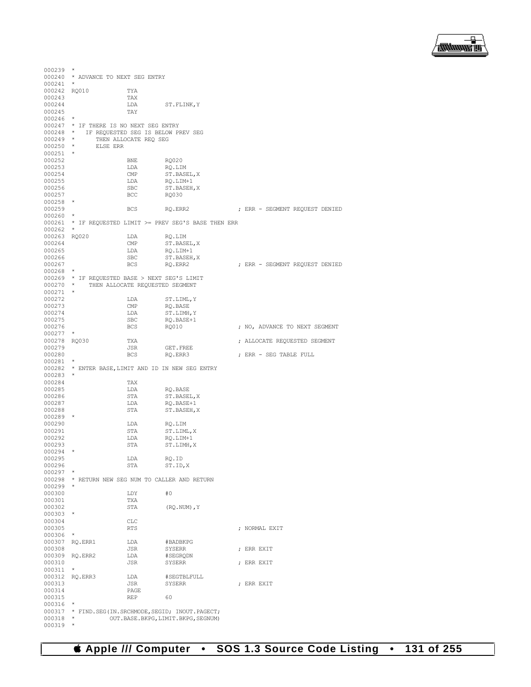

```
000239 *
000240 * ADVANCE TO NEXT SEG ENTRY
000241 *
000242 RQ010 TYA<br>000243 TAX
000243 TAX<br>000244 LDA
                           LDA ST.FLINK,Y
000245000246 *
000247 * IF THERE IS NO NEXT SEG ENTRY<br>000248 * IF REQUESTED SEG IS BELOW PI
000248 * IF REQUESTED SEG IS BELOW PREV SEG 000249 * THEN ALLOCATE REQ SEG
000249 * THEN ALLOCATE REQ SEG 000250 * ELSE ERR
        \star ELSE ERR \star000251 *
000252 BNE RQ020<br>000253 LDA RQ.LII
000253 LDA RQ.LIM<br>000254 CMP ST.BASI
000254 CMP ST.BASEL, X <br/> \begin{array}{ccc} \texttt{CDA} & \texttt{C} & \texttt{S} & \texttt{S} & \texttt{S} & \texttt{S} & \texttt{S} \\ \texttt{D00255} & \texttt{D00255} & \texttt{D01} & \texttt{C} & \texttt{C} & \texttt{D11} & \texttt{C} \\ \end{array}000255 LDA RQ.LIM+1<br>000256 SBC ST.BASEH
                           SBC ST.BASEH, X<br>BCC RQ030
000257
000258<br>000259
                          BCS RQ.ERR2 ; ERR - SEGMENT REQUEST DENIED
000260<br>000261
        000261 * IF REQUESTED LIMIT >= PREV SEG'S BASE THEN ERR
000262 *
000263 RQ020 LDA RQ.LIM<br>000264 CMP ST.BASE
000264 CMP ST.BASEL, X CMP ST.BASEL, X
000265 LDA RQ.LIM+1<br>000266 SBC ST.BASEH.
000266 SBC ST.BASEH, X<br>000267 BCS RO.ERR2
                                       RO.ERR2 : ERR - SEGMENT REQUEST DENIED
000268 *
000269 * IF REQUESTED BASE > NEXT SEG'S LIMIT 000270 * THEN ALLOCATE REQUESTED SEGMENT
              THEN ALLOCATE REQUESTED SEGMENT
000271 *<br>000272
000272 LDA ST.LIML,Y<br>000273 CMP ROBASE
000273 CMP RQ.BASE<br>000274 LDA ST.LIMH
000274 LDA ST.LIMH, Y<br>000275 SBC RO.BASE+1
000275 SBC RQ.BASE+1<br>000276 BCS RO010
                                                               ; NO, ADVANCE TO NEXT SEGMENT
000277 *<br>000278 RQ030
000278 RQ030 TXA ; ALLOCATE REQUESTED SEGMENT
000279 JSR GET.FREE<br>000280 BCS RQ.ERR3
                                                               ; ERR - SEG TABLE FULL
000281 *
000282 * ENTER BASE,LIMIT AND ID IN NEW SEG ENTRY
000283 *
000284 TAX<br>000285 LDA
000285 LDA RQ.BASE 000286 STA ST.BASE
\begin{array}{cccc}\n 000286 & & & \text{STA} & & \text{ST}.\text{BASEL}, \text{X} \\
 000287 & & & \text{LDA} & & \text{RQ}.\text{BASE+1}\n \end{array}000287 LDA RQ.BASE+1<br>000288 STA ST.BASEH.
                                       ST.BASEH, X
000289<br>000290
000290 LDA RQ.LIM <br>000291 STA ST.LIMI
000291 STA ST.LIML, X<br>000292 LDA RQ.LIM+1
000292 LDA RQ.LIM+1 000293 STA ST.LIMH,
                                       ST.LIMH, X
000294
000295 LDA RQ.ID
                                       ST.ID.X
000297
000298 * RETURN NEW SEG NUM TO CALLER AND RETURN
000299 *
000300 LDY #0<br>000301 TXA
000301
000302 STA (RQ.NUM),Y
000303 *
000304 CLC<br>000305 RTS
                                                               ; NORMAL EXIT
000306 *
000307 RQ.ERR1 LDA #BADBKPG
                           JSR SYSERR ; ERR EXIT
000309 RQ.ERR2 LDA #SEGRQI<br>000310 JSR SYSERR
                                                               ; ERR EXIT
000311 *
000312 RQ.ERR3 LDA #SEGTBLFULL 000313 JSR SYSERR
                           JSR SYSERR ; ERR EXIT PAGE
000314 PAGE PAGE
000315 REP 60
000316
000317 * FIND.SEG(IN.SRCHMODE, SEGID; INOUT.PAGECT;<br>000318 * 0UT.BASE.BKPG, LIMIT.BKPG, SEGNUM)
        * OUT.BASE.BKPG, LIMIT.BKPG, SEGNUM)
000319 *
```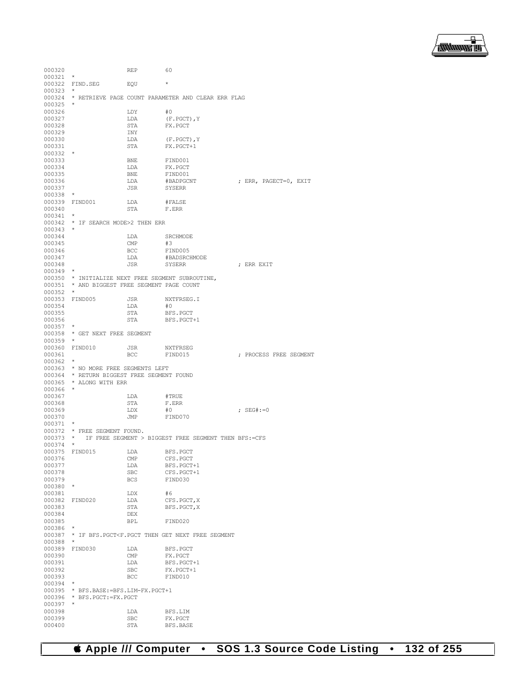

| 000320           |                                                   | REP                     | 60                                                                                         |                        |
|------------------|---------------------------------------------------|-------------------------|--------------------------------------------------------------------------------------------|------------------------|
| 000321           |                                                   |                         |                                                                                            |                        |
|                  | 000322 FIND.SEG                                   | EQU                     | $^{\star}$                                                                                 |                        |
| 000323           |                                                   |                         |                                                                                            |                        |
|                  |                                                   |                         | 000324 * RETRIEVE PAGE COUNT PARAMETER AND CLEAR ERR FLAG                                  |                        |
| $000325$ *       |                                                   |                         |                                                                                            |                        |
| 000326           |                                                   | LDY                     | #0                                                                                         |                        |
| 000327           |                                                   | LDA                     | $(F.FGCT)$ , Y                                                                             |                        |
| 000328           |                                                   | STA                     | FX.PGCT                                                                                    |                        |
| 000329           |                                                   | INY                     |                                                                                            |                        |
| 000330           |                                                   | LDA                     | (F.PGCT), Y                                                                                |                        |
| 000331           |                                                   | STA                     | FX.PGCT+1                                                                                  |                        |
| $000332$ *       |                                                   |                         |                                                                                            |                        |
| 000333           |                                                   | BNE                     | FIND001                                                                                    |                        |
| 000334           |                                                   | LDA                     | FX.PGCT                                                                                    |                        |
| 000335           |                                                   | BNE                     | FIND001                                                                                    |                        |
| 000336           |                                                   | LDA                     | #BADPGCNT                                                                                  | ; ERR, PAGECT=0, EXIT  |
| 000337<br>000338 | $\star$                                           | JSR                     | SYSERR                                                                                     |                        |
|                  | 000339 FIND001                                    | LDA                     | #FALSE                                                                                     |                        |
| 000340           |                                                   | STA                     | F.ERR                                                                                      |                        |
| 000341           | $\star$                                           |                         |                                                                                            |                        |
|                  | 000342 * IF SEARCH MODE>2 THEN ERR                |                         |                                                                                            |                        |
| $000343$ *       |                                                   |                         |                                                                                            |                        |
| 000344           |                                                   | LDA                     | SRCHMODE                                                                                   |                        |
| 000345           |                                                   | $\mathop{\mathrm{CMP}}$ | #3                                                                                         |                        |
| 000346           |                                                   | BCC                     | FIND005                                                                                    |                        |
| 000347           |                                                   | LDA                     | #BADSRCHMODE                                                                               |                        |
| 000348           |                                                   | JSR                     | SYSERR                                                                                     | ; ERR EXIT             |
| $000349$ *       |                                                   |                         |                                                                                            |                        |
|                  | 000350 * INITIALIZE NEXT FREE SEGMENT SUBROUTINE, |                         |                                                                                            |                        |
|                  | 000351 * AND BIGGEST FREE SEGMENT PAGE COUNT      |                         |                                                                                            |                        |
| $000352$ *       |                                                   |                         |                                                                                            |                        |
|                  | 000353 FIND005                                    | JSR                     | NXTFRSEG.I                                                                                 |                        |
| 000354<br>000355 |                                                   | LDA                     | #0                                                                                         |                        |
| 000356           |                                                   | STA<br>STA              | BFS.PGCT<br>BFS.PGCT+1                                                                     |                        |
| $000357$ *       |                                                   |                         |                                                                                            |                        |
|                  | 000358 * GET NEXT FREE SEGMENT                    |                         |                                                                                            |                        |
| $000359$ *       |                                                   |                         |                                                                                            |                        |
|                  | 000360 FIND010                                    | JSR                     | NXTFRSEG                                                                                   |                        |
| 000361           |                                                   | BCC                     | FIND015                                                                                    | ; PROCESS FREE SEGMENT |
| $000362$ *       |                                                   |                         |                                                                                            |                        |
|                  | 000363 * NO MORE FREE SEGMENTS LEFT               |                         |                                                                                            |                        |
|                  | 000364 * RETURN BIGGEST FREE SEGMENT FOUND        |                         |                                                                                            |                        |
|                  | 000365 * ALONG WITH ERR                           |                         |                                                                                            |                        |
| 000366 *         |                                                   |                         |                                                                                            |                        |
| 000367           |                                                   | LDA                     | #TRUE                                                                                      |                        |
| 000368           |                                                   | STA                     | F.ERR                                                                                      |                        |
| 000369           |                                                   | LDX                     | #0                                                                                         | ; $SEG# := 0$          |
| 000370           | $^{\star}$                                        | JMP                     | FIND070                                                                                    |                        |
| 000371           |                                                   |                         |                                                                                            |                        |
|                  | 000372 * FREE SEGMENT FOUND.                      |                         | 000373 * IF FREE SEGMENT > BIGGEST FREE SEGMENT THEN BFS: = CFS                            |                        |
| 000374           | $\star$                                           |                         |                                                                                            |                        |
|                  | 000375 FIND015                                    | LDA                     | BFS.PGCT                                                                                   |                        |
| 000376           |                                                   | CMP                     | CFS.PGCT                                                                                   |                        |
| 000377           |                                                   | LDA                     | BFS.PGCT+1                                                                                 |                        |
| 000378           |                                                   | SBC                     | CFS.PGCT+1                                                                                 |                        |
| 000379           |                                                   | BCS                     | FIND030                                                                                    |                        |
| 000380           | $\star$                                           |                         |                                                                                            |                        |
| 000381           |                                                   | LDX                     | #6                                                                                         |                        |
| 000382           | FIND020                                           | LDA                     | CFS.PGCT, X                                                                                |                        |
| 000383           |                                                   | STA                     | BFS.PGCT, X                                                                                |                        |
| 000384           |                                                   | DEX                     |                                                                                            |                        |
| 000385           |                                                   | BPL                     | FIND020                                                                                    |                        |
| 000386           |                                                   |                         |                                                                                            |                        |
| 000387<br>000388 |                                                   |                         | * IF BFS. PGCT <f. free="" get="" next="" pgct="" segment<="" td="" then=""><td></td></f.> |                        |
| 000389           | FIND030                                           | LDA                     | BFS.PGCT                                                                                   |                        |
| 000390           |                                                   | $\mathop{\mathrm{CMP}}$ | FX.PGCT                                                                                    |                        |
| 000391           |                                                   |                         |                                                                                            |                        |
| 000392           |                                                   | LDA                     | BFS.PGCT+1                                                                                 |                        |
|                  |                                                   | <b>SBC</b>              | FX.PGCT+1                                                                                  |                        |
| 000393           |                                                   | BCC                     | FIND010                                                                                    |                        |
| 000394           | *                                                 |                         |                                                                                            |                        |
| 000395           | * BFS.BASE: = BFS.LIM-FX.PGCT+1                   |                         |                                                                                            |                        |
| 000396           | * BFS.PGCT:=FX.PGCT                               |                         |                                                                                            |                        |
| 000397           | $^{\star}$                                        |                         |                                                                                            |                        |
| 000398           |                                                   | LDA                     | BFS.LIM                                                                                    |                        |
| 000399<br>000400 |                                                   | <b>SBC</b><br>STA       | FX.PGCT<br>BFS.BASE                                                                        |                        |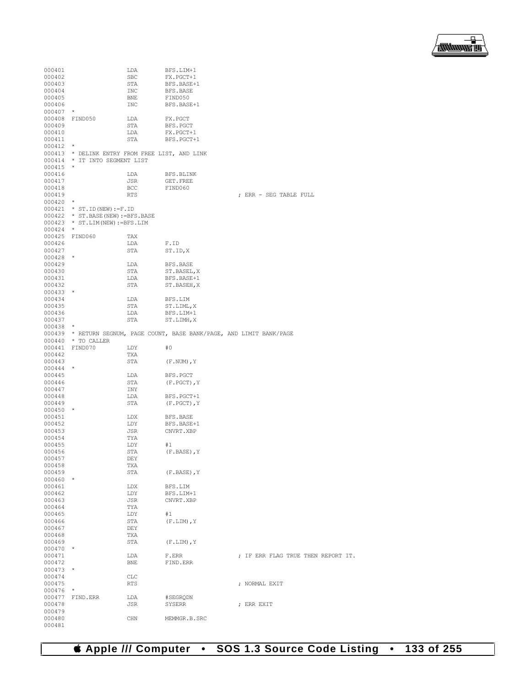

| 000401               |                                                                          | LDA         | BFS.LIM+1                                                               |                                    |
|----------------------|--------------------------------------------------------------------------|-------------|-------------------------------------------------------------------------|------------------------------------|
| 000402               |                                                                          | SBC         | FX.PGCT+1                                                               |                                    |
| 000403               |                                                                          | STA         | BFS.BASE+1                                                              |                                    |
| 000404               |                                                                          | INC         | BFS.BASE                                                                |                                    |
| 000405               |                                                                          | BNE         | FIND050                                                                 |                                    |
| 000406               |                                                                          | INC         | BFS.BASE+1                                                              |                                    |
| 000407               | $^\star$                                                                 |             |                                                                         |                                    |
| 000408               | FIND050                                                                  | LDA         | FX.PGCT                                                                 |                                    |
| 000409<br>000410     |                                                                          | STA<br>LDA  | BFS.PGCT<br>FX.PGCT+1                                                   |                                    |
| 000411               |                                                                          | STA         | BFS.PGCT+1                                                              |                                    |
| $000412$ *           |                                                                          |             |                                                                         |                                    |
|                      | 000413 * DELINK ENTRY FROM FREE LIST, AND LINK                           |             |                                                                         |                                    |
|                      | 000414 * IT INTO SEGMENT LIST                                            |             |                                                                         |                                    |
| 000415               | $\star$                                                                  |             |                                                                         |                                    |
| 000416               |                                                                          | LDA         | BFS.BLINK                                                               |                                    |
| 000417               |                                                                          | JSR         | GET. FREE                                                               |                                    |
| 000418               |                                                                          | BCC         | FIND060                                                                 |                                    |
| 000419               |                                                                          | <b>RTS</b>  |                                                                         | ; ERR - SEG TABLE FULL             |
| $000420$ *           |                                                                          |             |                                                                         |                                    |
|                      | $000421$ * ST. ID (NEW) := F. ID<br>000422 * ST. BASE (NEW) := BFS. BASE |             |                                                                         |                                    |
|                      | $000423$ * ST. LIM (NEW) := BFS. LIM                                     |             |                                                                         |                                    |
| 000424               | $\star$                                                                  |             |                                                                         |                                    |
|                      | 000425 FIND060                                                           | TAX         |                                                                         |                                    |
| 000426               |                                                                          | LDA         | F.ID                                                                    |                                    |
| 000427               |                                                                          | STA         | ST.ID, X                                                                |                                    |
| $000428$ *           |                                                                          |             |                                                                         |                                    |
| 000429               |                                                                          | LDA         | <b>BFS.BASE</b>                                                         |                                    |
| 000430               |                                                                          | STA         | ST.BASEL, X                                                             |                                    |
| 000431               |                                                                          | LDA         | BFS.BASE+1                                                              |                                    |
| 000432               |                                                                          | STA         | ST.BASEH, X                                                             |                                    |
| $000433$ *<br>000434 |                                                                          | LDA         |                                                                         |                                    |
| 000435               |                                                                          | STA         | BFS.LIM<br>ST.LIML, X                                                   |                                    |
| 000436               |                                                                          | LDA         | BFS.LIM+1                                                               |                                    |
| 000437               |                                                                          | STA         | ST.LIMH, X                                                              |                                    |
| 000438               | $\star$                                                                  |             |                                                                         |                                    |
|                      |                                                                          |             | 000439 * RETURN SEGNUM, PAGE COUNT, BASE BANK/PAGE, AND LIMIT BANK/PAGE |                                    |
|                      | 000440 * TO CALLER                                                       |             |                                                                         |                                    |
| 000441               | FIND070                                                                  | LDY         | #0                                                                      |                                    |
| 000442               |                                                                          | TXA         |                                                                         |                                    |
| 000443               |                                                                          | STA         | $(F. NUM)$ , Y                                                          |                                    |
| $000444$ *           |                                                                          |             |                                                                         |                                    |
| 000445<br>000446     |                                                                          | LDA<br>STA  | BFS.PGCT                                                                |                                    |
| 000447               |                                                                          | INY         | $(F.PGCT)$ , Y                                                          |                                    |
| 000448               |                                                                          | LDA         | BFS.PGCT+1                                                              |                                    |
| 000449               |                                                                          | STA         | $(F.PGCT)$ , Y                                                          |                                    |
| $000450$ *           |                                                                          |             |                                                                         |                                    |
| 000451               |                                                                          | LDX         | BFS.BASE                                                                |                                    |
| 000452               |                                                                          | LDY         | BFS.BASE+1                                                              |                                    |
| 000453               |                                                                          | JSR         | CNVRT.XBP                                                               |                                    |
| 000454               |                                                                          | TYA         |                                                                         |                                    |
| 000455               |                                                                          | LDY         | #1                                                                      |                                    |
| 000456               |                                                                          | STA         | $(F.BASE)$ , Y                                                          |                                    |
| 000457<br>000458     |                                                                          | DEY<br>TXA  |                                                                         |                                    |
| 000459               |                                                                          | STA         | $(F.BASE)$ , $Y$                                                        |                                    |
| 000460               | $^\star$                                                                 |             |                                                                         |                                    |
| 000461               |                                                                          | <b>LDX</b>  | BFS.LIM                                                                 |                                    |
| 000462               |                                                                          | LDY         | BFS.LIM+1                                                               |                                    |
| 000463               |                                                                          | JSR         | CNVRT.XBP                                                               |                                    |
| 000464               |                                                                          | TYA         |                                                                         |                                    |
| 000465               |                                                                          | LDY         | #1                                                                      |                                    |
| 000466               |                                                                          | STA         | $(F.LIM)$ , Y                                                           |                                    |
| 000467               |                                                                          | DEY         |                                                                         |                                    |
| 000468<br>000469     |                                                                          | TXA         |                                                                         |                                    |
| 000470               | $\ast$                                                                   | STA         | $(F.LIM)$ , Y                                                           |                                    |
| 000471               |                                                                          | LDA         | F.ERR                                                                   | ; IF ERR FLAG TRUE THEN REPORT IT. |
| 000472               |                                                                          | BNE         | FIND.ERR                                                                |                                    |
| 000473               | $^{\star}$                                                               |             |                                                                         |                                    |
| 000474               |                                                                          | ${\rm CLC}$ |                                                                         |                                    |
| 000475               |                                                                          | RTS         |                                                                         | ; NORMAL EXIT                      |
| 000476               | $\star$                                                                  |             |                                                                         |                                    |
| 000477               |                                                                          |             |                                                                         |                                    |
|                      | FIND.ERR                                                                 | LDA         | #SEGRQDN                                                                |                                    |
| 000478               |                                                                          | JSR         | SYSERR                                                                  | ; ERR EXIT                         |
| 000479               |                                                                          |             |                                                                         |                                    |
| 000480<br>000481     |                                                                          | CHN         | MEMMGR.B.SRC                                                            |                                    |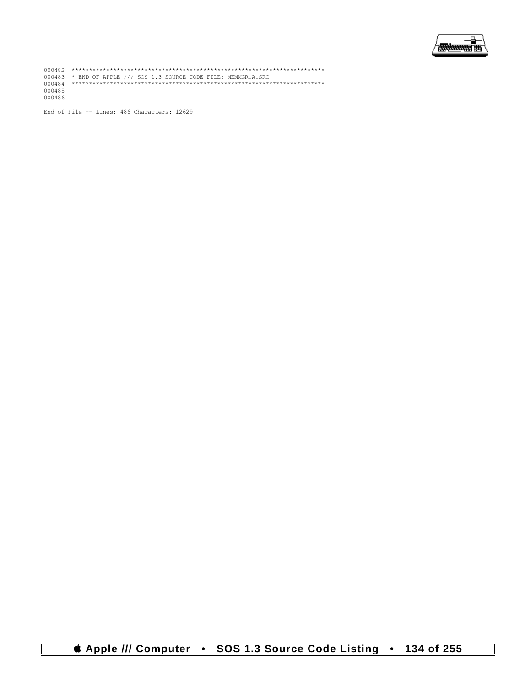

000482 \*\*\*\*\*\*\*\*\*\*\*\*\*\*\*\*\*\*\*\*\*\*\*\*\*\*\*\*\*\*\*\*\*\*\*\*\*\*\*\*\*\*\*\*\*\*\*\*\*\*\*\*\*\*\*\*\*\*\*\*\*\*\*\*\*\*\*\*\*\*\*\*\* 000483 \* END OF APPLE /// SOS 1.3 SOURCE CODE FILE: MEMMGR.A.SRC 000484 \*\*\*\*\*\*\*\*\*\*\*\*\*\*\*\*\*\*\*\*\*\*\*\*\*\*\*\*\*\*\*\*\*\*\*\*\*\*\*\*\*\*\*\*\*\*\*\*\*\*\*\*\*\*\*\*\*\*\*\*\*\*\*\*\*\*\*\*\*\*\*\*\* 000485 000486

End of File -- Lines: 486 Characters: 12629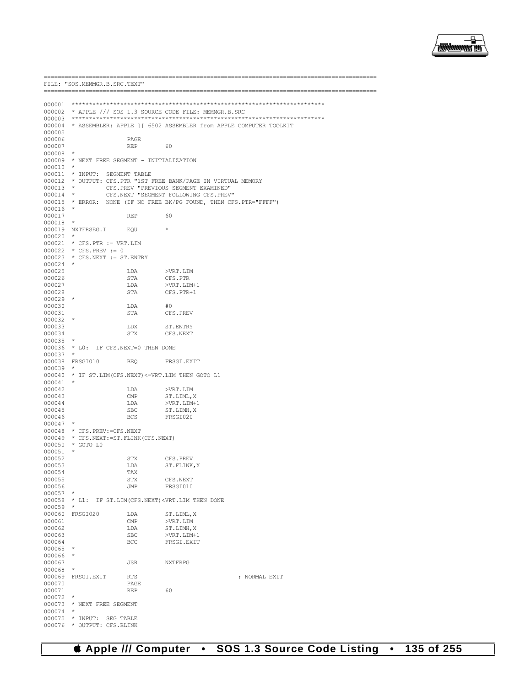

|                      | FILE: "SOS.MEMMGR.B.SRC.TEXT"               |              |                                                                                                        |                                                                          |
|----------------------|---------------------------------------------|--------------|--------------------------------------------------------------------------------------------------------|--------------------------------------------------------------------------|
|                      |                                             |              |                                                                                                        |                                                                          |
|                      |                                             |              |                                                                                                        |                                                                          |
|                      |                                             |              | 000002 * APPLE /// SOS 1.3 SOURCE CODE FILE: MEMMGR.B.SRC                                              |                                                                          |
|                      |                                             |              |                                                                                                        | 000004 * ASSEMBLER: APPLE ] [ 6502 ASSEMBLER from APPLE COMPUTER TOOLKIT |
| 000005               |                                             |              |                                                                                                        |                                                                          |
| 000006               |                                             | PAGE         |                                                                                                        |                                                                          |
| 000007               |                                             | REP          | 60                                                                                                     |                                                                          |
| $000008$ *           |                                             |              |                                                                                                        |                                                                          |
|                      | 000009 * NEXT FREE SEGMENT - INITIALIZATION |              |                                                                                                        |                                                                          |
| $000010$ *           |                                             |              |                                                                                                        |                                                                          |
|                      | 000011 * INPUT: SEGMENT TABLE               |              |                                                                                                        |                                                                          |
| $000013$ *           |                                             |              | 000012 * OUTPUT: CFS.PTR "1ST FREE BANK/PAGE IN VIRTUAL MEMORY<br>CFS.PREV "PREVIOUS SEGMENT EXAMINED" |                                                                          |
| $000014$ *           |                                             |              | CFS.NEXT "SEGMENT FOLLOWING CFS.PREV"                                                                  |                                                                          |
|                      |                                             |              |                                                                                                        | 000015 * ERROR: NONE (IF NO FREE BK/PG FOUND, THEN CFS. PTR="FFFF")      |
| $000016$ *           |                                             |              |                                                                                                        |                                                                          |
| 000017               |                                             | REP          | 60                                                                                                     |                                                                          |
| 000018               | $\star$                                     |              |                                                                                                        |                                                                          |
|                      | 000019 NXTFRSEG.I EQU                       |              |                                                                                                        |                                                                          |
| $000020$ *           | $000021$ * CFS. PTR := VRT. LIM             |              |                                                                                                        |                                                                          |
|                      | $000022 * CFS.PREV := 0$                    |              |                                                                                                        |                                                                          |
|                      | $000023$ * CFS.NEXT := ST.ENTRY             |              |                                                                                                        |                                                                          |
| $000024$ *           |                                             |              |                                                                                                        |                                                                          |
| 000025               |                                             | LDA          | >VRT.LIM                                                                                               |                                                                          |
| 000026               |                                             | STA          | CFS.PTR                                                                                                |                                                                          |
| 000027               |                                             | LDA          | >VRT.LIM+1                                                                                             |                                                                          |
| 000028<br>$000029$ * |                                             | STA          | CFS.PTR+1                                                                                              |                                                                          |
| 000030               |                                             | LDA          | #0                                                                                                     |                                                                          |
| 000031               |                                             | STA          | CFS.PREV                                                                                               |                                                                          |
| $000032$ *           |                                             |              |                                                                                                        |                                                                          |
| 000033               |                                             | LDX          | ST.ENTRY                                                                                               |                                                                          |
| 000034               |                                             | STX          | CFS.NEXT                                                                                               |                                                                          |
| $000035$ *           |                                             |              |                                                                                                        |                                                                          |
| $000037$ *           | 000036 * LO: IF CFS.NEXT=0 THEN DONE        |              |                                                                                                        |                                                                          |
|                      | 000038 FRSGI010                             | <b>BEQ</b>   | FRSGI.EXIT                                                                                             |                                                                          |
| 000039               |                                             |              |                                                                                                        |                                                                          |
|                      |                                             |              | 000040 * IF ST.LIM (CFS.NEXT) <= VRT.LIM THEN GOTO L1                                                  |                                                                          |
| $000041$ *           |                                             |              |                                                                                                        |                                                                          |
| 000042               |                                             | LDA          | >VRT.LIM                                                                                               |                                                                          |
| 000043               |                                             | $\text{CMP}$ | ST.LIML, X                                                                                             |                                                                          |
| 000044<br>000045     |                                             | LDA<br>SBC   | >VRT.LIM+1                                                                                             |                                                                          |
| 000046               |                                             | BCS          | ST.LIMH,X<br>FRSGI020                                                                                  |                                                                          |
| $000047$ *           |                                             |              |                                                                                                        |                                                                          |
|                      | 000048 * CFS. PREV: = CFS. NEXT             |              |                                                                                                        |                                                                          |
|                      | 000049 * CFS.NEXT: = ST. FLINK (CFS.NEXT)   |              |                                                                                                        |                                                                          |
|                      | 000050 * GOTO LO                            |              |                                                                                                        |                                                                          |
| 000051 *             |                                             |              |                                                                                                        |                                                                          |
| 000052<br>000053     |                                             | STX<br>LDA   | CFS.PREV                                                                                               |                                                                          |
| 000054               |                                             | TAX          | ST.FLINK, X                                                                                            |                                                                          |
| 000055               |                                             | STX          | CFS.NEXT                                                                                               |                                                                          |
| 000056               |                                             | JMP          | FRSGI010                                                                                               |                                                                          |
| 000057               |                                             |              |                                                                                                        |                                                                          |
|                      |                                             |              | 000058 * L1: IF ST.LIM (CFS.NEXT) <vrt.lim done<="" td="" then=""><td></td></vrt.lim>                  |                                                                          |
| 000059               | $\star$                                     |              |                                                                                                        |                                                                          |
| 000060<br>000061     | FRSGI020                                    | LDA<br>CMP   | ST.LIML, X<br>>VRT.LIM                                                                                 |                                                                          |
| 000062               |                                             | LDA          | ST.LIMH, X                                                                                             |                                                                          |
| 000063               |                                             | SBC          | $>VRT$ . $LIM+1$                                                                                       |                                                                          |
| 000064               |                                             | BCC          | FRSGI.EXIT                                                                                             |                                                                          |
| 000065               | $\star$                                     |              |                                                                                                        |                                                                          |
| 000066               | $\star$                                     |              |                                                                                                        |                                                                          |
| 000067               |                                             | JSR          | NXTFRPG                                                                                                |                                                                          |
| 000068               | $^{\star}$                                  |              |                                                                                                        |                                                                          |
| 000069<br>000070     | FRSGI.EXIT                                  | RTS<br>PAGE  |                                                                                                        | ; NORMAL EXIT                                                            |
| 000071               |                                             | REP          | 60                                                                                                     |                                                                          |
| 000072               |                                             |              |                                                                                                        |                                                                          |
|                      | 000073 * NEXT FREE SEGMENT                  |              |                                                                                                        |                                                                          |
| 000074               | $\star$                                     |              |                                                                                                        |                                                                          |
| 000075               | $^{\star}$ INPUT:                           | SEG TABLE    |                                                                                                        |                                                                          |
|                      | 000076 * OUTPUT: CFS.BLINK                  |              |                                                                                                        |                                                                          |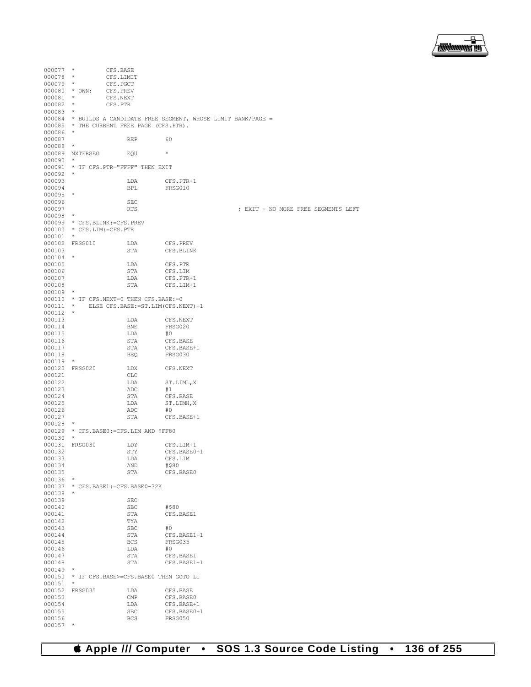

| 000077           | $\star$                   | CFS.BASE                                     |                                                                   |                                     |  |
|------------------|---------------------------|----------------------------------------------|-------------------------------------------------------------------|-------------------------------------|--|
| $000078$ *       |                           | CFS.LIMIT                                    |                                                                   |                                     |  |
| $000079$ *       |                           | CFS.PGCT                                     |                                                                   |                                     |  |
| $000080 * 0$ WN: |                           | CFS.PREV                                     |                                                                   |                                     |  |
|                  |                           |                                              |                                                                   |                                     |  |
| $000081$ *       |                           | CFS.NEXT                                     |                                                                   |                                     |  |
| $000082$ *       |                           | CFS.PTR                                      |                                                                   |                                     |  |
| 000083           | $^{\star}$                |                                              |                                                                   |                                     |  |
|                  |                           |                                              | 000084 * BUILDS A CANDIDATE FREE SEGMENT, WHOSE LIMIT BANK/PAGE = |                                     |  |
|                  |                           | 000085 * THE CURRENT FREE PAGE (CFS.PTR).    |                                                                   |                                     |  |
| 000086           | $\star$                   |                                              |                                                                   |                                     |  |
| 000087           |                           | <b>REP</b>                                   | 60                                                                |                                     |  |
| 000088           | $\star$                   |                                              |                                                                   |                                     |  |
|                  | 000089 NXTFRSEG           | EOU                                          | $\star$                                                           |                                     |  |
|                  |                           |                                              |                                                                   |                                     |  |
| $000090$ *       |                           |                                              |                                                                   |                                     |  |
|                  |                           | 000091 * IF CFS. PTR="FFFF" THEN EXIT        |                                                                   |                                     |  |
| 000092           | $\star$                   |                                              |                                                                   |                                     |  |
| 000093           |                           | LDA                                          | CFS.PTR+1                                                         |                                     |  |
| 000094           |                           | <b>BPL</b>                                   | FRSG010                                                           |                                     |  |
| 000095           | $\star$                   |                                              |                                                                   |                                     |  |
| 000096           |                           | <b>SEC</b>                                   |                                                                   |                                     |  |
| 000097           |                           | <b>RTS</b>                                   |                                                                   | ; EXIT - NO MORE FREE SEGMENTS LEFT |  |
|                  |                           |                                              |                                                                   |                                     |  |
| 000098           | $\star$                   |                                              |                                                                   |                                     |  |
|                  |                           | 000099 * CFS.BLINK: = CFS.PREV               |                                                                   |                                     |  |
|                  | 000100 * CFS.LIM:=CFS.PTR |                                              |                                                                   |                                     |  |
| 000101           | $\star$                   |                                              |                                                                   |                                     |  |
|                  | 000102 FRSG010            | LDA                                          | CFS.PREV                                                          |                                     |  |
| 000103           |                           | STA                                          | CFS.BLINK                                                         |                                     |  |
| $000104$ *       |                           |                                              |                                                                   |                                     |  |
| 000105           |                           | LDA                                          | CFS.PTR                                                           |                                     |  |
|                  |                           |                                              |                                                                   |                                     |  |
| 000106           |                           | STA                                          | CFS.LIM                                                           |                                     |  |
| 000107           |                           | LDA                                          | CFS.PTR+1                                                         |                                     |  |
| 000108           |                           | STA                                          | CFS.LIM+1                                                         |                                     |  |
| 000109           | $\star$                   |                                              |                                                                   |                                     |  |
|                  |                           | 000110 * IF CFS.NEXT=0 THEN CFS.BASE: = 0    |                                                                   |                                     |  |
| $000111$ *       |                           |                                              | ELSE CFS.BASE: = ST.LIM (CFS.NEXT) +1                             |                                     |  |
| $000112$ *       |                           |                                              |                                                                   |                                     |  |
| 000113           |                           | LDA                                          | CFS.NEXT                                                          |                                     |  |
|                  |                           |                                              |                                                                   |                                     |  |
| 000114           |                           | <b>BNE</b>                                   | FRSG020                                                           |                                     |  |
| 000115           |                           | LDA                                          | #0                                                                |                                     |  |
| 000116           |                           | STA                                          | CFS.BASE                                                          |                                     |  |
| 000117           |                           | STA                                          | CFS.BASE+1                                                        |                                     |  |
| 000118           |                           | BEQ                                          | FRSG030                                                           |                                     |  |
| $000119$ *       |                           |                                              |                                                                   |                                     |  |
|                  | 000120 FRSG020            | LDX                                          | CFS.NEXT                                                          |                                     |  |
| 000121           |                           | CLC                                          |                                                                   |                                     |  |
| 000122           |                           | LDA                                          | ST.LIML, X                                                        |                                     |  |
|                  |                           |                                              |                                                                   |                                     |  |
| 000123           |                           | ADC                                          | #1                                                                |                                     |  |
| 000124           |                           | STA                                          | CFS.BASE                                                          |                                     |  |
| 000125           |                           | LDA                                          | ST.LIMH, X                                                        |                                     |  |
| 000126           |                           | ADC                                          | #0                                                                |                                     |  |
| 000127           |                           | STA                                          | CFS.BASE+1                                                        |                                     |  |
| 000128           | $\star$                   |                                              |                                                                   |                                     |  |
|                  |                           | 000129 * CFS.BASE0: = CFS.LIM AND \$FF80     |                                                                   |                                     |  |
| 000130           | $\star$                   |                                              |                                                                   |                                     |  |
| 000131           | FRSG030                   | LDY                                          | CFS.LIM+1                                                         |                                     |  |
| 000132           |                           | STY                                          |                                                                   |                                     |  |
|                  |                           |                                              | CFS.BASE0+1                                                       |                                     |  |
| 000133           |                           | LDA                                          | CFS.LIM                                                           |                                     |  |
| 000134           |                           | AND                                          | #\$80                                                             |                                     |  |
| 000135           |                           | STA                                          | CFS.BASE0                                                         |                                     |  |
| $000136$ *       |                           |                                              |                                                                   |                                     |  |
| 000137           |                           | * CFS.BASE1: = CFS.BASE0-32K                 |                                                                   |                                     |  |
| 000138           | $\star$                   |                                              |                                                                   |                                     |  |
| 000139           |                           | SEC                                          |                                                                   |                                     |  |
| 000140           |                           | SBC                                          | #\$80                                                             |                                     |  |
| 000141           |                           |                                              |                                                                   |                                     |  |
|                  |                           | STA                                          | CFS.BASE1                                                         |                                     |  |
| 000142           |                           | TYA                                          |                                                                   |                                     |  |
| 000143           |                           | SBC                                          | #0                                                                |                                     |  |
| 000144           |                           | STA                                          | CFS.BASE1+1                                                       |                                     |  |
| 000145           |                           | BCS                                          | FRSG035                                                           |                                     |  |
| 000146           |                           | LDA                                          | #0                                                                |                                     |  |
| 000147           |                           | STA                                          | CFS.BASE1                                                         |                                     |  |
| 000148           |                           | STA                                          | CFS.BASE1+1                                                       |                                     |  |
| 000149           | $\star$                   |                                              |                                                                   |                                     |  |
|                  |                           |                                              |                                                                   |                                     |  |
|                  |                           | 000150 * IF CFS.BASE>=CFS.BASE0 THEN GOTO L1 |                                                                   |                                     |  |
| 000151           | $\star$                   |                                              |                                                                   |                                     |  |
|                  | 000152 FRSG035            | LDA                                          | CFS.BASE                                                          |                                     |  |
| 000153           |                           | $\text{CMP}$                                 | CFS.BASE0                                                         |                                     |  |
| 000154           |                           | LDA                                          | CFS.BASE+1                                                        |                                     |  |
| 000155           |                           | SBC                                          | CFS.BASE0+1                                                       |                                     |  |
| 000156           |                           | BCS                                          | FRSG050                                                           |                                     |  |
| 000157 *         |                           |                                              |                                                                   |                                     |  |
|                  |                           |                                              |                                                                   |                                     |  |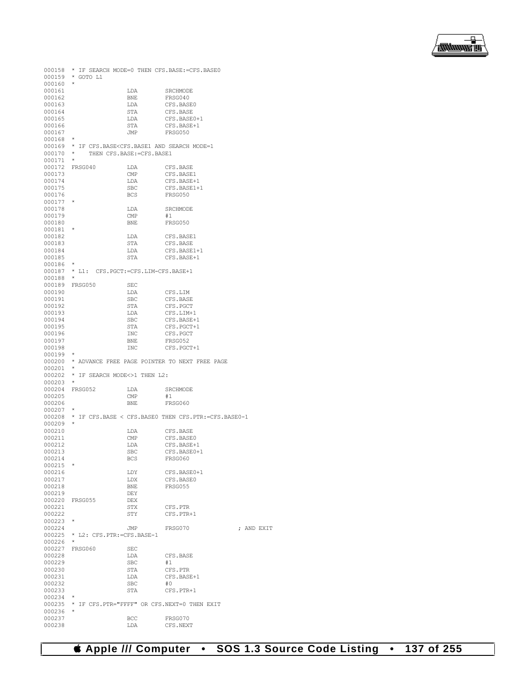```
000158 * IF SEARCH MODE=0 THEN CFS.BASE:=CFS.BASE0
000159 * GOTO L1
000160 *<br>000161
000161 LDA SRCHMODE
000162 BNE FRSG040<br>000163 LDA CFS.BAS
000163 LDA CFS.BASE0<br>000164 STA CFS.BASE
000164 STA CFS.BASE<br>000165 T.DA CFS.BASE
000165 LDA CFS.BASE0+1 <br>000166 STA CFS.BASE+1
000166 STA CFS.BASE+1
       \begin{array}{ccc} \text{JMP} & \text{FRSG050} \end{array}000168<br>000169
000169 * IF CFS.BASE<CFS.BASE1 AND SEARCH MODE=1 000170 * THEN CFS.BASE:=CFS.BASE1
       \star THEN CFS.BASE:=CFS.BASE1
000171 *
000172 FRSG040 LDA CFS.BASE<br>000173 CMP CFS.BASE
000173 CMP CFS.BASE1<br>000174 LDA CFS.BASE+
000174 LDA CFS.BASE+1<br>000175 SBC CFS.BASE1+
000175 SBC CFS.BASE1+1
                                     FRSG050
000177<br>000178
                         \begin{tabular}{ll} \tt LDA & \tt SRCHMODE \\ \tt CMP & \tt \#1 \\ \end{tabular}000179 CMP #1
                                     FRSG050
000181<br>000182
000182 LDA CFS.BASE1<br>000183 STA CFS.BASE
000183 STA CFS.BASE<br>000184 DDA CFS.BASE
000184 LDA CFS.BASE1+1<br>000185 STA CFS.BASE+1
                                     CFS.BASE+1
000186 *
000187 * L1: CFS.PGCT:=CFS.LIM-CFS.BASE+1
000188 *
000189 FRSG050 SEC
000190 LDA CFS.LIM<br>000191 SBC CFS.BASI
000191 SBC CFS.BASE<br>000192 STA CFS.BASE
000192 STA CFS.PGCT<br>000193 LDA CFS.LIM+
000193 LDA CFS.LIM+1<br>000194 SBC CFS.BASE+
000194 SBC CFS.BASE+1<br>000195 STA CFS.PGCT+1
000195 STA CFS.PGCT+1<br>000196 TNC CFS.PGCT
000196 INC CFS.PGCT
000197 BNE FRSG052<br>000198 TNC CFS.PGC
                                     CFS.PGCT+1
000199 *
000200 * ADVANCE FREE PAGE POINTER TO NEXT FREE PAGE
000201 *<br>000202 *
       ^\star IF SEARCH MODE<br><>1 THEN L2: ^\star000203 *
000204 FRSG052 LDA SRCHMODE 000205 (MP #1
000205 CMP<br>000206 BNE
       end the BNE FRSG060 \pm000207<br>000208
       000208 * IF CFS.BASE < CFS.BASE0 THEN CFS.PTR:=CFS.BASE0-1
000209<br>000210
000210 LDA CFS.BASE 000211 CMP CFS.BASE
\begin{tabular}{lllllll} 000211 & & & \texttt{CMP} & & \texttt{CFS.BASE0} \\ 000212 & & & \texttt{LDA} & & \texttt{CFS.BASE+} \end{tabular}000212 LDA CFS.BASE+1<br>000213 SBC CFS.BASE0+
000213 <br>000214 BCS FRSG060
                                     FRSG060
000215 *<br>000216
000216 LDY CFS.BASE0+1<br>000217 LDX CFS.BASE0
000217 LDX CFS.BASE0<br>000218 RNE FRSG055
                                     FRSG055
000219 DEY<br>000220 FRSG055 DEX
000220 FRSG055
000221 STX CFS.PTR
                                     CFS.PTR+1
000223 *<br>000224
000224 JMP FRSG070 ; AND EXIT
000225 * L2: CFS.PTR:=CFS.BASE-1
000226 *
000227 FRSG060 SEC<br>000228 1.DA
                         LDA CFS.BASE<br>SBC #1
000229 SBC<br>000230 STA
000230 STA CFS.PTR<br>000231 TDA CFS.BAS
                         \begin{array}{lll} \texttt{LDA} & \texttt{CFS.BASE+1} \\ \texttt{SBC} & \texttt{\#0} \end{array}000232 SBC<br>000233 STA
       sta STA CFS.PTR+1
000234<br>000235
       000235 * IF CFS.PTR="FFFF" OR CFS.NEXT=0 THEN EXIT
000236 *<br>000237
000237 BCC FRSG070<br>000238 LDA CFS.NEX
                                     CFS.NEXT
```
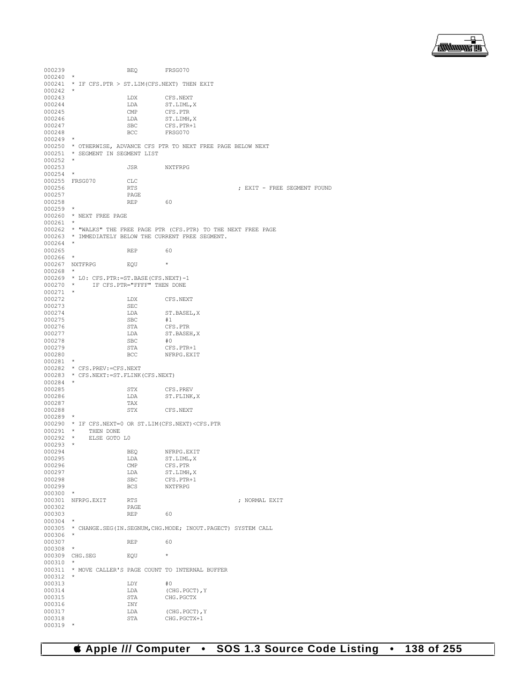

```
000239 BEQ FRSG070
000240 *
000241 * IF CFS.PTR > ST.LIM(CFS.NEXT) THEN EXIT
000242 *<br>000243
000243 LDX CFS.NEXT 000244 LDA ST.LIML.
000244 LDA ST.LIML, X <br/> \begin{array}{ccc} \texttt{LDA} & \texttt{ST.LIML}, \texttt{X} \\ \texttt{000245} & \texttt{CMP} & \texttt{CFS.PTR} \end{array}000245 CMP CFS.PTR
\begin{matrix} 000246 & & & \text{LDA} \\ 000247 & & & \text{SEC} \\ \end{matrix} \quad \begin{matrix} \text{L} \text{DA} & & \text{ST\_LIMH, X} \\ \text{C} \text{FS\_PTR}+1 & & \text{C} \end{matrix}000247 <br>000248 BCC FRSG070
        \begin{array}{ccc} & & \text{BCC} & & \text{FRSG070} \end{array}000249<br>000250
000250 \,\, \, OTHERWISE, ADVANCE CFS PTR TO NEXT FOR PAGE BELOW NEXT 000251 \,\, \,\, \, SEGMENT IN SEGMENT LIST
         * SEGMENT IN SEGMENT LIST
000252<br>000253
                            JSR NXTFRPG
000254
000255 FRSG070 CLC<br>000256 RTS
                            000256 RTS ; EXIT - FREE SEGMENT FOUND
000257 PAGE<br>000258 REP
000258 REP 60
000259 *
000260 * NEXT FREE PAGE
000261
000262 * "WALKS" THE FREE PAGE PTR (CFS.PTR) TO THE NEXT FREE PAGE
000263 * IMMEDIATELY BELOW THE CURRENT FREE SEGMENT.
000264 *
000265 REP 60
000266
000267 NXTFRPG FOU *000268 *
000269 * LO: CFS.PTR:=ST.BASE(CFS.NEXT)-1<br>000270 * IF CFS.PTR="FFFF" THEN DONE
                IF CFS.PTR="FFFF" THEN DONE
000271 *<br>000272
                            LDX CFS.NEXT
000273 SEC<br>000274 LDA
                            \begin{tabular}{ll} \tt LDA & \tt ST.BASEL, X \\ \tt SBC & \tt \#1 \end{tabular}000275 SBC<br>000276 STA
000276 STA CFS.PTR<br>000277 LDA ST.BASE
                            LDA ST.BASEH,X<br>SBC #0
000278 SBC<br>000279 STA
000279 STA CFS.PTR+1 <br/> 00220 STA REC NERPG.EXI
                                          NFRPG.EXIT
000281 *
000282 * CFS.PREV:=CFS.NEXT
000283 * CFS.NEXT:=ST.FLINK(CFS.NEXT)
000284 *<br>000285
% 000285 STX CFS.PREV 000286 STX ST.FLINK
                            \begin{array}{lll} \texttt{LDA} & \texttt{ST.FLINK, X} \\ \texttt{TAX} & \end{array}000287 TAX<br>000288 STX
                                          CFS.NEXT
000289<br>000290
000290 * IF CFS.NEXT=0 OR ST.LIM(CFS.NEXT)<CFS.PTR 000291 * THEN DONE
000291 * THEN DONE<br>000292 * ELSE GOTO
               ELSE GOTO LO
000293<br>000294
000294 BEQ NFRPG.EXIT<br>000295 LDA ST.LIML,X
000295 LDA ST.LIML, X<br>000296 CMP CFS.PTR
000296 CMP CFS.PTR<br>000297 LDA ST.LIMH
000297 LDA ST.LIMH, X<br>000298 SBC CFS.PTR+1
000298 SBC CFS.PTR<sup>+1</sup><br>000299 RCS NXTFRPG
                            BCS NXTFRPG
000300 *
000301 NFRPG.EXIT RTS : NORMAL EXIT
000302 PAGE<br>000303 PRP
000303 REP 60
000304 *
000305 * CHANGE.SEG(IN.SEGNUM,CHG.MODE; INOUT.PAGECT) SYSTEM CALL
000306 *
000307 REP 60
000308 *
000309 CHG.SEG EQU *
000310<br>000311
        * MOVE CALLER'S PAGE COUNT TO INTERNAL BUFFER
000312 *
\begin{array}{ccccccccc} \texttt{OOO313} & & & & \texttt{LDY} & & & \texttt{\#0} \\ \texttt{OOO314} & & & & \texttt{LDA} & & & \texttt{(CI)} \\ \end{array}000314 LDA (CHG.PGCT), Y<br>000315 STA CHG.PGCTX
                            STA CHG.PGCTX<br>INY
000316 INY LDA
000317 LDA (CHG.PGCT), Y<br>000318 STA CHG.PGCTX+1
                                          CHG.PGCTX+1
```
000319 \*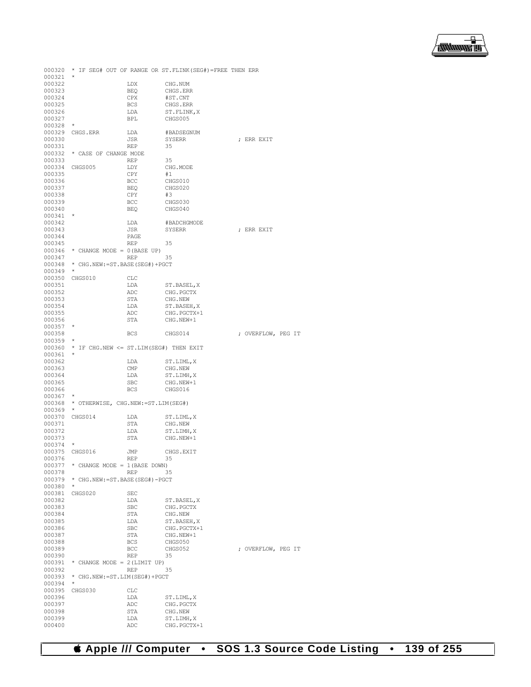

000320 \* IF SEG# OUT OF RANGE OR ST.FLINK(SEG#)=FREE THEN ERR 000321<br>000322 000322 LDX CHG.NUM<br>000323 BEQ CHGS.ER 000323 BEQ CHGS.ERR<br>000324 CPX #ST.CNT 000324 CPX #ST.CNT<br>000325 BCS CHGS.ERI 000325 BCS CHGS.ERR<br>000326 LDA ST.FLINK 000326 **LDA** ST.FLINK, X<br>000327 BPL CHGS005  $\begin{tabular}{lllll} \bf BPL & \bf CHGS005 \\ \bf \star & \end{tabular}$ 000328<br>000329 000329 CHGS.ERR LDA #BADSEGNUM<br>000330 JSR SYSERR JSR SYSERR ; ERR EXIT REP 35 000331<br>000332  $^\star$  CASE OF CHANGE MODE REP 000333 REP 35<br>000334 CHGS005 LDY CH LDY CHG.MODE<br>CPY #1 000335 CPY<br>000336 BCC 000336 BCC CHGS010<br>000337 BEQ CHGS020 BEQ CHGS020<br>CPY #3 000338 CPY<br>000339 BCC 000339 BCC CHGS030<br>000340 BEQ CHGS040  $CHGS040$ 000341<br>000342 000342 LDA #BADCHGMODE 000343 JSR SYSERR JSR SYSERR ; ERR EXIT PAGE 000344 PAGE<br>000345 REP 000345 REP 35<br>000346 \* CHANGE MODE = 0(BASE UP) 000346  $\star$  CHANGE MODE = 0(BASE UP)<br>000347 REP 000347 REP 35 000348 \* CHG.NEW:=ST.BASE(SEG#)+PGCT 000349 \* 000350 CHGS010 CLC<br>000351 LDA 000351 LDA ST.BASEL, X<br>000352 and and the party 000352 ADC CHG.PGCTX<br>000353 STA CHG.NEW 000353 STA CHG.NEW<br>000354 T.DA ST BASEL 000354 LDA ST.BASEH, X<br>000355 ADC CHG.PGCTX+  $\begin{array}{cccc} \texttt{O00355} & \texttt{ADC} & \texttt{CHG.PGCTX+1} \\ \texttt{O00356} & \texttt{STA} & \texttt{CHG.NEW+1} \end{array}$  $\begin{tabular}{lllll} $\star$ & $\texttt{OTA}$ & $\texttt{CHG.NEW+1}$ \\ \star$ & $\star$ & $\star$ \end{tabular}$ 000357<br>000358 BCS CHGS014 ; OVERFLOW, PEG IT 000359<br>000360 000360 \* IF CHG.NEW <= ST.LIM(SEG#) THEN EXIT 000361 \*<br>000362 000362 LDA ST.LIML, X 000363 CMP CHG.NEW 000363 CMP CHG.NEW 000364 LDA ST.LIMH  $\begin{array}{cccc} \texttt{OO0364} & \texttt{LDA} & \texttt{ST.LIMH,X} \\ \texttt{OO0365} & \texttt{SBC} & \texttt{CHG.NEW+1} \end{array}$ 000365 SBC CHG.NEW+1<br>000366 BCS CHGS016 CHGS016 000367<br>000368 \* OTHERWISE, CHG.NEW: = ST.LIM(SEG#) 000369 \*<br>000370 CHGS014 000370 CHGS014 LDA ST.LIML, X 000371 STA CHG.NEW 000371 STA CHG.NEW STOREM CONSTANT CHEMICAL ST.LIMH 000372 LDA ST.LIMH, X 000373 STA CHG.NEW+1  $CHG.$ NEW+1 000374 \*<br>000375 CHGS016 JMP CHGS.EXIT<br>REP 35 000376<br>000377  $000377$  \* CHANGE MODE = 1 (BASE DOWN)<br>000378 REP 35 000378 REP 35 000379 \* CHG.NEW:=ST.BASE(SEG#)-PGCT 000380 \* 000381 CHGS020 SEC<br>000382 T.DA ST. BASEL, X 000383 SBC CHG.PGCTX 000384 STA CHG.NEW STORE ST. BASE 000385 LDA ST.BASEH, X 000386 SBC CHG.PGCTX+ 000386 SBC CHG.PGCTX+1<br>000387 STA CHG.NEW+1 000387 STA CHG.NEW+1<br>000388 BCS CHGS050 000388 BCS CHGS050<br>000389 BCC CHGS052 BCC CHGS052 ; OVERFLOW, PEG IT<br>REP 35 000390<br>000391 000391  $\star$  CHANGE MODE = 2(LIMIT UP)<br>000392 REP 35 000392 REP 35 000393 \* CHG.NEW:=ST.LIM(SEG#)+PGCT 000394 \*<br>000395 C 000395 CHGS030 CLC<br>000396 LDA 000396 LDA ST.LIML, X<br>000397 ADC CHG. PGCTX 000397 ADC CHG.PGCTX 000398 STA CHG.NEW ST.LIMH  $\begin{array}{cccc}\n 000399 & & \text{LDA} & \text{ST.LIMH,X} \\
 000400 & & \text{ADC} & & \text{CHG.PGCTX}\n \end{array}$ CHG.PGCTX+1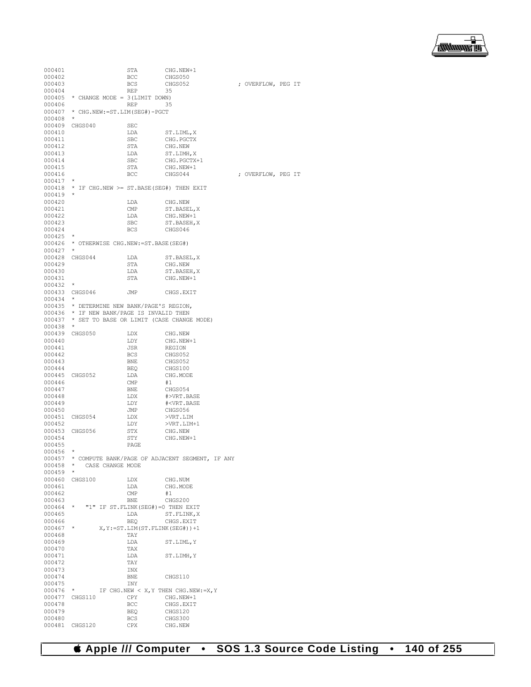| 000401           |                                              | STA                      | CHG.NEW+1                                         |                    |  |
|------------------|----------------------------------------------|--------------------------|---------------------------------------------------|--------------------|--|
| 000402           |                                              | BCC                      | CHGS050                                           |                    |  |
| 000403           |                                              | <b>BCS</b><br><b>REP</b> | CHGS052                                           | ; OVERFLOW, PEG IT |  |
| 000404<br>000405 | * CHANGE MODE = 3 (LIMIT DOWN)               |                          | 35                                                |                    |  |
| 000406           |                                              | <b>REP</b>               | 35                                                |                    |  |
| 000407           | * CHG.NEW:=ST.LIM(SEG#)-PGCT                 |                          |                                                   |                    |  |
| 000408           | $^{\star}$                                   |                          |                                                   |                    |  |
| 000409           | CHGS040                                      | <b>SEC</b>               |                                                   |                    |  |
| 000410           |                                              | LDA                      | ST.LIML, X                                        |                    |  |
| 000411           |                                              | SBC                      | CHG. PGCTX                                        |                    |  |
| 000412           |                                              | STA                      | CHG.NEW                                           |                    |  |
| 000413<br>000414 |                                              | LDA<br>SBC               | ST.LIMH, X<br>CHG. PGCTX+1                        |                    |  |
| 000415           |                                              | STA                      | CHG.NEW+1                                         |                    |  |
| 000416           |                                              | BCC                      | CHGS044                                           | ; OVERFLOW, PEG IT |  |
| 000417           | $\star$                                      |                          |                                                   |                    |  |
| 000418           | * IF CHG.NEW >= ST.BASE(SEG#) THEN EXIT      |                          |                                                   |                    |  |
| 000419           | $\star$                                      |                          |                                                   |                    |  |
| 000420           |                                              | LDA                      | CHG.NEW                                           |                    |  |
| 000421           |                                              | CMP                      | ST.BASEL, X                                       |                    |  |
| 000422<br>000423 |                                              | LDA<br>SBC               | CHG.NEW+1<br>ST.BASEH, X                          |                    |  |
| 000424           |                                              | BCS                      | CHGS046                                           |                    |  |
| 000425           | $\star$                                      |                          |                                                   |                    |  |
| 000426           | * OTHERWISE CHG.NEW: = ST.BASE (SEG#)        |                          |                                                   |                    |  |
| 000427           | $\star$                                      |                          |                                                   |                    |  |
| 000428           | CHGS044                                      | LDA                      | ST.BASEL, X                                       |                    |  |
| 000429           |                                              | STA                      | CHG.NEW                                           |                    |  |
| 000430           |                                              | LDA                      | ST.BASEH, X                                       |                    |  |
| 000431           |                                              | STA                      | CHG.NEW+1                                         |                    |  |
| 000432           |                                              |                          |                                                   |                    |  |
| 000433<br>000434 | CHGS046                                      | JMP                      | CHGS.EXIT                                         |                    |  |
|                  | 000435 * DETERMINE NEW BANK/PAGE'S REGION,   |                          |                                                   |                    |  |
|                  | 000436 * IF NEW BANK/PAGE IS INVALID THEN    |                          |                                                   |                    |  |
| 000437           | * SET TO BASE OR LIMIT (CASE CHANGE MODE)    |                          |                                                   |                    |  |
| 000438           | $\star$                                      |                          |                                                   |                    |  |
| 000439           | CHGS050                                      | LDX                      | CHG.NEW                                           |                    |  |
| 000440           |                                              | LDY                      | CHG.NEW+1                                         |                    |  |
| 000441           |                                              | JSR                      | REGION                                            |                    |  |
| 000442<br>000443 |                                              | BCS<br>BNE               | CHGS052<br>CHGS052                                |                    |  |
| 000444           |                                              | <b>BEQ</b>               | CHGS100                                           |                    |  |
| 000445           | CHGS052                                      | LDA                      | CHG.MODE                                          |                    |  |
| 000446           |                                              | CMP                      | #1                                                |                    |  |
| 000447           |                                              | BNE                      | CHGS054                                           |                    |  |
| 000448           |                                              | LDX                      | #>VRT.BASE                                        |                    |  |
| 000449           |                                              | LDY                      | # <vrt.base< td=""><td></td><td></td></vrt.base<> |                    |  |
| 000450           |                                              | JMP                      | CHGS056                                           |                    |  |
| 000451<br>000452 | CHGS054                                      | LDX<br>LDY               | >VRT.LIM<br>>VRT.LIM+1                            |                    |  |
| 000453           | CHGS056                                      | STX                      | CHG.NEW                                           |                    |  |
| 000454           |                                              | STY                      | CHG.NEW+1                                         |                    |  |
| 000455           |                                              | PAGE                     |                                                   |                    |  |
| 000456           | $^{\star}$                                   |                          |                                                   |                    |  |
| 000457           |                                              |                          | * COMPUTE BANK/PAGE OF ADJACENT SEGMENT, IF ANY   |                    |  |
| 000458           | *<br>CASE CHANGE MODE                        |                          |                                                   |                    |  |
| 000459           | $\star$                                      |                          |                                                   |                    |  |
| 000460<br>000461 | CHGS100                                      | LDX<br>LDA               | CHG.NUM<br>CHG.MODE                               |                    |  |
| 000462           |                                              | CMP                      | #1                                                |                    |  |
| 000463           |                                              | <b>BNE</b>               | CHGS200                                           |                    |  |
| 000464           | $\star$<br>"1" IF ST.FLINK(SEG#)=0 THEN EXIT |                          |                                                   |                    |  |
| 000465           |                                              | LDA                      | ST. FLINK, X                                      |                    |  |
| 000466           |                                              | BEO                      | CHGS.EXIT                                         |                    |  |
| 000467           | $^{\star}$                                   |                          | $X, Y := ST.LIM(ST.FLINK(SEG#)) + 1$              |                    |  |
| 000468           |                                              | TAY                      |                                                   |                    |  |
| 000469<br>000470 |                                              | LDA<br>TAX               | ST.LIML, Y                                        |                    |  |
| 000471           |                                              | LDA                      | ST.LIMH, Y                                        |                    |  |
| 000472           |                                              | TAY                      |                                                   |                    |  |
| 000473           |                                              | INX                      |                                                   |                    |  |
| 000474           |                                              | BNE                      | CHGS110                                           |                    |  |
| 000475           |                                              | INY                      |                                                   |                    |  |
| 000476           | $\star$                                      |                          | IF CHG. NEW $\langle$ X, Y THEN CHG. NEW: = X, Y  |                    |  |
| 000477           | CHGS110                                      | CPY                      | CHG.NEW+1                                         |                    |  |
| 000478<br>000479 |                                              | BCC<br>BEQ               | CHGS.EXIT<br>CHGS120                              |                    |  |
| 000480           |                                              | <b>BCS</b>               | CHGS300                                           |                    |  |
|                  |                                              |                          |                                                   |                    |  |

000481 CHGS120 CPX CHG.NEW

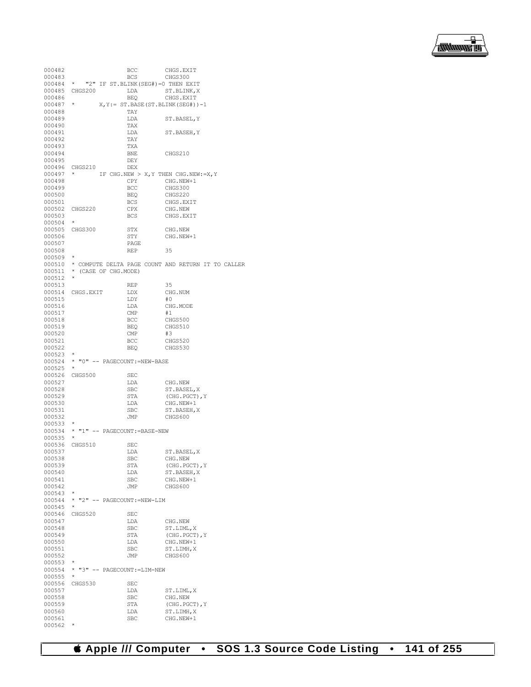| 000482 |                                          | BCC        | CHGS.EXIT                                          |
|--------|------------------------------------------|------------|----------------------------------------------------|
| 000483 |                                          | <b>BCS</b> | CHGS300                                            |
| 000484 | "2" IF ST.BLINK(SEG#)=0 THEN EXIT<br>*   |            |                                                    |
| 000485 | CHGS200                                  | LDA        | ST.BLINK, X                                        |
|        |                                          |            |                                                    |
| 000486 |                                          | BEO        | CHGS.EXIT                                          |
| 000487 | $^{\star}$                               |            | $X, Y := ST.BASE(ST.BLINK(SEG*)) - 1$              |
| 000488 |                                          | TAY        |                                                    |
| 000489 |                                          | LDA        | ST.BASEL, Y                                        |
|        |                                          | TAX        |                                                    |
| 000490 |                                          |            |                                                    |
| 000491 |                                          | LDA        | ST.BASEH, Y                                        |
| 000492 |                                          | TAY        |                                                    |
| 000493 |                                          | TXA        |                                                    |
|        |                                          |            |                                                    |
| 000494 |                                          | BNE        | CHGS210                                            |
| 000495 |                                          | DEY        |                                                    |
| 000496 | CHGS210                                  | DEX        |                                                    |
| 000497 |                                          |            | IF CHG.NEW > X, Y THEN CHG.NEW: = X, Y             |
|        |                                          | CPY        |                                                    |
| 000498 |                                          |            | CHG.NEW+1                                          |
| 000499 |                                          | BCC        | CHGS300                                            |
| 000500 |                                          | BEQ        | CHGS220                                            |
| 000501 |                                          | BCS        | CHGS.EXIT                                          |
|        |                                          |            |                                                    |
| 000502 | CHGS220                                  | CPX        | CHG.NEW                                            |
| 000503 |                                          | BCS        | CHGS.EXIT                                          |
| 000504 | $^{\star}$                               |            |                                                    |
| 000505 | CHGS300                                  | STX        | CHG.NEW                                            |
| 000506 |                                          |            | CHG.NEW+1                                          |
|        |                                          | STY        |                                                    |
| 000507 |                                          | PAGE       |                                                    |
| 000508 |                                          | <b>REP</b> | 35                                                 |
| 000509 | $^{\star}$                               |            |                                                    |
|        |                                          |            |                                                    |
| 000510 |                                          |            | * COMPUTE DELTA PAGE COUNT AND RETURN IT TO CALLER |
| 000511 | *<br>(CASE OF CHG.MODE)                  |            |                                                    |
| 000512 | $^{\star}$                               |            |                                                    |
| 000513 |                                          | REP        | 35                                                 |
|        |                                          |            |                                                    |
|        | 000514 CHGS.EXIT                         | LDX        | CHG.NUM                                            |
| 000515 |                                          | LDY        | #0                                                 |
| 000516 |                                          | LDA        | CHG.MODE                                           |
| 000517 |                                          | CMP        | #1                                                 |
|        |                                          |            |                                                    |
| 000518 |                                          | BCC        | CHGS500                                            |
| 000519 |                                          | <b>BEQ</b> | CHGS510                                            |
| 000520 |                                          | CMP        | #3                                                 |
| 000521 |                                          | BCC        | CHGS520                                            |
|        |                                          |            |                                                    |
| 000522 |                                          | <b>BEQ</b> | CHGS530                                            |
| 000523 |                                          |            |                                                    |
| 000524 | "0" -- PAGECOUNT: = NEW-BASE<br>$^\star$ |            |                                                    |
| 000525 | $^{\star}$                               |            |                                                    |
|        |                                          |            |                                                    |
| 000526 | CHGS500                                  | SEC        |                                                    |
| 000527 |                                          | LDA        | CHG.NEW                                            |
| 000528 |                                          | SBC        | ST.BASEL, X                                        |
| 000529 |                                          | STA        | (CHG.PGCT), Y                                      |
|        |                                          |            |                                                    |
| 000530 |                                          | LDA        | CHG.NEW+1                                          |
| 000531 |                                          | <b>SBC</b> | ST.BASEH, X                                        |
| 000532 |                                          | JMP        | CHGS600                                            |
| 000533 | *                                        |            |                                                    |
|        |                                          |            |                                                    |
| 000534 | "1" -- PAGECOUNT: = BASE-NEW<br>*        |            |                                                    |
| 000535 | $^{\star}$                               |            |                                                    |
| 000536 | CHGS510                                  | <b>SEC</b> |                                                    |
| 000537 |                                          | LDA        |                                                    |
|        |                                          |            | ST.BASEL,X                                         |
| 000538 |                                          | SBC        | CHG.NEW                                            |
| 000539 |                                          | STA        | (CHG. PGCT), Y                                     |
| 000540 |                                          | LDA        | ST.BASEH, X                                        |
| 000541 |                                          | SBC        | CHG.NEW+1                                          |
|        |                                          |            |                                                    |
| 000542 |                                          | JMP        | CHGS600                                            |
| 000543 | *                                        |            |                                                    |
| 000544 | "2" -- PAGECOUNT: = NEW-LIM<br>*         |            |                                                    |
| 000545 | $^{\star}$                               |            |                                                    |
|        |                                          |            |                                                    |
| 000546 | CHGS520                                  | SEC        |                                                    |
| 000547 |                                          | LDA        | CHG.NEW                                            |
| 000548 |                                          | SBC        | ST.LIML, X                                         |
| 000549 |                                          | STA        | (CHG. PGCT), Y                                     |
|        |                                          |            |                                                    |
| 000550 |                                          | LDA        | CHG.NEW+1                                          |
| 000551 |                                          | SBC        | ST.LIMH, X                                         |
| 000552 |                                          | JMP        | CHGS600                                            |
| 000553 | $^{\star}$                               |            |                                                    |
|        |                                          |            |                                                    |
| 000554 | * "3" -- PAGECOUNT: = LIM-NEW            |            |                                                    |
| 000555 | *                                        |            |                                                    |
| 000556 | CHGS530                                  | SEC        |                                                    |
| 000557 |                                          | LDA        | ST.LIML, X                                         |
|        |                                          |            |                                                    |
| 000558 |                                          | SBC        | CHG.NEW                                            |
| 000559 |                                          | STA        | (CHG. PGCT), Y                                     |
| 000560 |                                          | LDA        | ST.LIMH, X                                         |
| 000561 |                                          | SBC        | CHG.NEW+1                                          |
|        | $^{\star}$                               |            |                                                    |
| 000562 |                                          |            |                                                    |

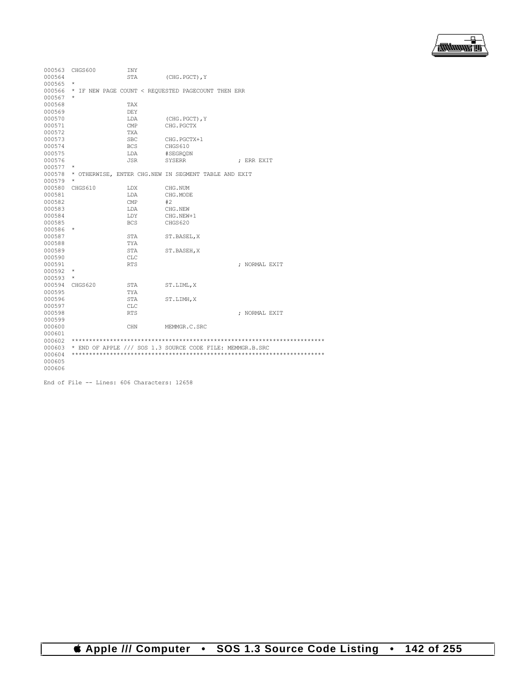

| 000563 | CHGS600    | <b>INY</b> |                                                           |               |
|--------|------------|------------|-----------------------------------------------------------|---------------|
| 000564 |            | <b>STA</b> | (CHG. PGCT), Y                                            |               |
| 000565 | $^{\star}$ |            |                                                           |               |
| 000566 |            |            | * IF NEW PAGE COUNT < REOUESTED PAGECOUNT THEN ERR        |               |
| 000567 | $^{\star}$ |            |                                                           |               |
| 000568 |            | TAX        |                                                           |               |
| 000569 |            | DEY        |                                                           |               |
| 000570 |            | LDA        | (CHG.PGCT), Y                                             |               |
| 000571 |            | CMP        | CHG. PGCTX                                                |               |
| 000572 |            | TXA        |                                                           |               |
| 000573 |            | <b>SBC</b> | CHG. PGCTX+1                                              |               |
| 000574 |            | <b>BCS</b> | CHGS610                                                   |               |
| 000575 |            | LDA        | #SEGRODN                                                  |               |
| 000576 |            | JSR.       | SYSERR                                                    | : ERR EXIT    |
| 000577 | $^{\star}$ |            |                                                           |               |
| 000578 |            |            | * OTHERWISE, ENTER CHG.NEW IN SEGMENT TABLE AND EXIT      |               |
| 000579 | $^{\star}$ |            |                                                           |               |
| 000580 | CHGS610    | LDX        | CHG.NUM                                                   |               |
| 000581 |            | LDA        | CHG.MODE                                                  |               |
| 000582 |            | CMP        | #2                                                        |               |
| 000583 |            | LDA        | CHG.NEW                                                   |               |
| 000584 |            | LDY        | CHG.NEW+1                                                 |               |
| 000585 |            | <b>BCS</b> | CHGS620                                                   |               |
| 000586 | $^{\star}$ |            |                                                           |               |
| 000587 |            | STA        | ST.BASEL, X                                               |               |
| 000588 |            | TYA        |                                                           |               |
| 000589 |            | <b>STA</b> | ST.BASEH, X                                               |               |
| 000590 |            | <b>CLC</b> |                                                           |               |
| 000591 |            | <b>RTS</b> |                                                           | ; NORMAL EXIT |
| 000592 | $^{\star}$ |            |                                                           |               |
| 000593 | $\star$    |            |                                                           |               |
| 000594 | CHGS620    | STA        | ST.LIML, X                                                |               |
| 000595 |            | TYA        |                                                           |               |
| 000596 |            | STA        | ST.LIMH, X                                                |               |
| 000597 |            | <b>CLC</b> |                                                           |               |
| 000598 |            | <b>RTS</b> |                                                           | ; NORMAL EXIT |
| 000599 |            |            |                                                           |               |
| 000600 |            | <b>CHN</b> | MEMMGR.C.SRC                                              |               |
| 000601 |            |            |                                                           |               |
| 000602 |            |            |                                                           |               |
| 000603 |            |            | * END OF APPLE /// SOS 1.3 SOURCE CODE FILE: MEMMGR.B.SRC |               |
| 000604 |            |            |                                                           |               |
| 000605 |            |            |                                                           |               |
| 000606 |            |            |                                                           |               |

End of File -- Lines: 606 Characters: 12658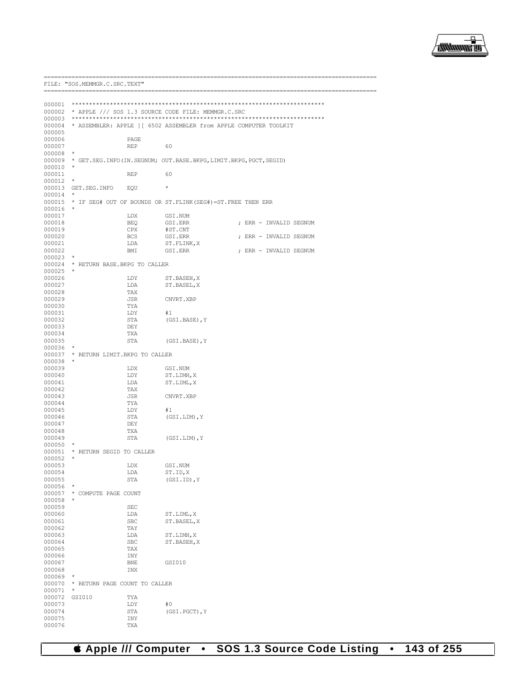

|                  | FILE: "SOS.MEMMGR.C.SRC.TEXT"<br>----------------- |            |                                                            |                                                                          |
|------------------|----------------------------------------------------|------------|------------------------------------------------------------|--------------------------------------------------------------------------|
|                  |                                                    |            |                                                            |                                                                          |
|                  |                                                    |            |                                                            |                                                                          |
|                  |                                                    |            | 000002 * APPLE /// SOS 1.3 SOURCE CODE FILE: MEMMGR.C.SRC  |                                                                          |
|                  |                                                    |            |                                                            |                                                                          |
| 000005           |                                                    |            |                                                            | 000004 * ASSEMBLER: APPLE ] [ 6502 ASSEMBLER from APPLE COMPUTER TOOLKIT |
| 000006           |                                                    | PAGE       |                                                            |                                                                          |
| 000007           |                                                    | <b>REP</b> | 60                                                         |                                                                          |
| 000008           | $\star$                                            |            |                                                            |                                                                          |
| 000009           |                                                    |            |                                                            | * GET. SEG. INFO (IN. SEGNUM; OUT. BASE. BKPG, LIMIT. BKPG, PGCT, SEGID) |
| 000010           | $\star$                                            |            |                                                            |                                                                          |
| 000011           |                                                    | <b>REP</b> | 60                                                         |                                                                          |
| 000012           | $\star$                                            |            |                                                            |                                                                          |
|                  | 000013 GET.SEG.INFO                                | EOU        | $\star$                                                    |                                                                          |
| 000014           | $\ast$                                             |            |                                                            |                                                                          |
| 000015           |                                                    |            | * IF SEG# OUT OF BOUNDS OR ST.FLINK(SEG#)=ST.FREE THEN ERR |                                                                          |
| 000016           | $\star$                                            |            |                                                            |                                                                          |
| 000017           |                                                    | LDX        | GSI.NUM                                                    |                                                                          |
| 000018           |                                                    | BEO        | GSI.ERR                                                    | ; ERR - INVALID SEGNUM                                                   |
| 000019           |                                                    | CPX        | #ST.CNT                                                    |                                                                          |
| 000020           |                                                    | <b>BCS</b> | GSI.ERR                                                    | ; ERR - INVALID SEGNUM                                                   |
| 000021           |                                                    | LDA        | ST.FLINK, X                                                |                                                                          |
| 000022           |                                                    | BMI        | GSI.ERR                                                    | ; ERR - INVALID SEGNUM                                                   |
| 000023           | $\star$                                            |            |                                                            |                                                                          |
| $000025$ *       | 000024 * RETURN BASE.BKPG TO CALLER                |            |                                                            |                                                                          |
| 000026           |                                                    | LDY        |                                                            |                                                                          |
| 000027           |                                                    | LDA        | ST.BASEH, X<br>ST.BASEL, X                                 |                                                                          |
| 000028           |                                                    | TAX        |                                                            |                                                                          |
| 000029           |                                                    | JSR        | CNVRT.XBP                                                  |                                                                          |
| 000030           |                                                    | TYA        |                                                            |                                                                          |
| 000031           |                                                    | LDY        | #1                                                         |                                                                          |
| 000032           |                                                    | STA        | (GSI.BASE), Y                                              |                                                                          |
| 000033           |                                                    | DEY        |                                                            |                                                                          |
| 000034           |                                                    | TXA        |                                                            |                                                                          |
| 000035           |                                                    | STA        | (GSI.BASE), Y                                              |                                                                          |
| 000036           | $\star$                                            |            |                                                            |                                                                          |
|                  | 000037 * RETURN LIMIT. BKPG TO CALLER              |            |                                                            |                                                                          |
| 000038           | $\star$                                            |            |                                                            |                                                                          |
| 000039           |                                                    | LDX        | GSI.NUM                                                    |                                                                          |
| 000040           |                                                    | LDY        | ST.LIMH, X                                                 |                                                                          |
| 000041           |                                                    | LDA        | ST.LIML, X                                                 |                                                                          |
| 000042           |                                                    | TAX        |                                                            |                                                                          |
| 000043           |                                                    | JSR        | CNVRT.XBP                                                  |                                                                          |
| 000044           |                                                    | TYA        |                                                            |                                                                          |
| 000045<br>000046 |                                                    | LDY<br>STA | #1<br>(GSI.LIM), Y                                         |                                                                          |
| 000047           |                                                    | DEY        |                                                            |                                                                          |
| 000048           |                                                    | TXA        |                                                            |                                                                          |
| 000049           |                                                    | STA        | (GSI.LIM), Y                                               |                                                                          |
| 000050           | $\star$                                            |            |                                                            |                                                                          |
| 000051           | * RETURN SEGID TO CALLER                           |            |                                                            |                                                                          |
| 000052           | $\star$                                            |            |                                                            |                                                                          |
| 000053           |                                                    | LDX        | GSI.NUM                                                    |                                                                          |
| 000054           |                                                    | LDA        | ST.ID, X                                                   |                                                                          |
| 000055           |                                                    | STA        | $(GSI.ID)$ , $Y$                                           |                                                                          |
| 000056           | $\star$                                            |            |                                                            |                                                                          |
| 000057           | * COMPUTE PAGE COUNT                               |            |                                                            |                                                                          |
| 000058           | *                                                  |            |                                                            |                                                                          |
| 000059           |                                                    | SEC        |                                                            |                                                                          |
| 000060           |                                                    | LDA        | ST.LIML, X                                                 |                                                                          |
| 000061           |                                                    | <b>SBC</b> | ST.BASEL, X                                                |                                                                          |
| 000062           |                                                    | TAY        |                                                            |                                                                          |
| 000063           |                                                    | LDA        | ST.LIMH, X                                                 |                                                                          |
| 000064           |                                                    | <b>SBC</b> | ST.BASEH, X                                                |                                                                          |
| 000065           |                                                    | TAX        |                                                            |                                                                          |
| 000066           |                                                    | INY        |                                                            |                                                                          |
| 000067           |                                                    | <b>BNE</b> | GSI010                                                     |                                                                          |
| 000068           |                                                    | INX        |                                                            |                                                                          |
| 000069           |                                                    |            |                                                            |                                                                          |
| 000070           | * RETURN PAGE COUNT TO CALLER                      |            |                                                            |                                                                          |
| 000071           | *                                                  |            |                                                            |                                                                          |
| 000072           | GSI010                                             | TYA        |                                                            |                                                                          |
| 000073<br>000074 |                                                    | LDY<br>STA | #0                                                         |                                                                          |
| 000075           |                                                    | INY        | (GSI.PGCT), Y                                              |                                                                          |
| 000076           |                                                    | TXA        |                                                            |                                                                          |
|                  |                                                    |            |                                                            |                                                                          |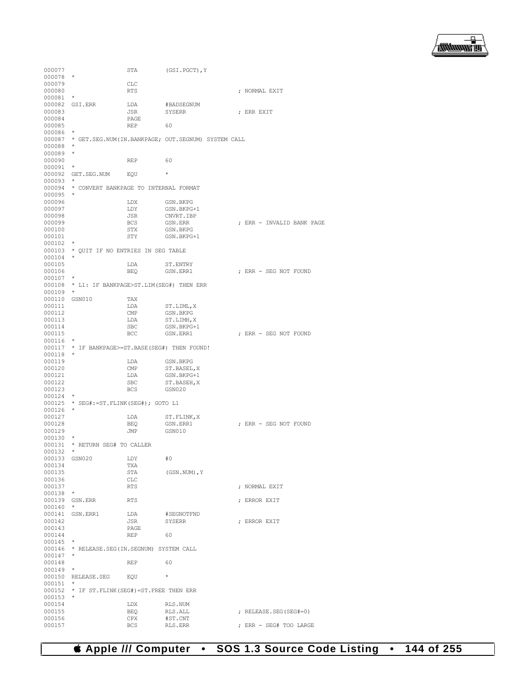

000077 STA (GSI.PGCT),Y 000078 \* 000079 CLC<br>000080 RTS ; NORMAL EXIT 000081 \* 000082 GSI.ERR LDA #BADSEGNUM<br>000083 JSR SYSERR JSR SYSERR ; ERR EXIT PAGE 000084 PAGE 000085 REP 60 000086 000087 \* GET.SEG.NUM(IN.BANKPAGE; OUT.SEGNUM) SYSTEM CALL 000088 \* 000089 \* 000090 REP 60 000091<br>000092 GET.SEG.NUM EQU \* 000093<br>000094 \* CONVERT BANKPAGE TO INTERNAL FORMAT 000095<br>000096 000096 LDX GSN.BKPG<br>000097 LDY GSN.BKPG 000097 LDY GSN.BKPG+1<br>000098 JSR CNVRT.IBP 000098 JSR CNVRT.IBP<br>000099 BCS GSN.ERR 000099 BCS GSN.ERR ; ERR - INVALID BANK PAGE 000100 STX GSN.BKPG<br>000101 STY GSN.BKPG STY GSN.BKPG+1 000102 \* 000103 \* QUIT IF NO ENTRIES IN SEG TABLE  $000104$  \*<br>000105 000105 LDA ST.ENTRY<br>000106 BEO GSN.ERR1 000106 BEQ GSN.ERR1 ; ERR - SEG NOT FOUND 000107 000108 \* L1: IF BANKPAGE>ST.LIM(SEG#) THEN ERR 000109 \* 000110 GSN010 TAX 000111 LDA ST.LIML,X<br>000112 CMP GSN.BKPG 000112 CMP GSN.BKPG 000113 LDA ST.LIMH, X<br>000114 SBC GSN.BKPG+ 000114 SBC GSN.BKPG+1<br>000115 BCC GSN.ERR1  $\star$   $\hfill \textsc{b}$   $\hfill \textsc{b}$   $\hfill \textsc{c}$   $\hfill \textsc{c}$   $\hfill \textsc{d}$   $\hfill \textsc{d}$   $\hfill \textsc{d}$   $\hfill \textsc{d}$   $\hfill \textsc{d}$   $\hfill \textsc{e}$   $\hfill \textsc{d}$   $\hfill \textsc{e}$   $\hfill \textsc{e}$   $\hfill \textsc{f}$  and  $\hfill \textsc{f}$  and  $\hfill \textsc{f}$  and  $\hfill \textsc{f}$  000116 000117 \* IF BANKPAGE>=ST.BASE(SEG#) THEN FOUND! 000118 \*<br>000119 000119 LDA GSN.BKPG<br>000120 CMP ST.BASEL, 000120 CMP ST.BASEL, X 000121 LDA GSN.BKPG+1 000121 LDA GSN.BKPG+1<br>000122 SBC ST.BASEH,X 000122 SBC ST.BASEH, X 000123 BCS GSN020  $\begin{array}{cccccc} \star & & & \text{BCS} & & & \text{GSM020} \end{array}$ 000124<br>000125 \*  $SEG# := ST. FLINK(SEG#)$ ; GOTO L1 000126<br>000127  $\begin{tabular}{llllll} 0.00127 & \multicolumn{1}{l}{{\tt LDA}} & \multicolumn{1}{l}{{\tt ST.FLINK,X}}\\ 0.00128 & \multicolumn{1}{l}{{\tt BEQ}} & \multicolumn{1}{l}{{\tt GSN.ERR1}} \end{tabular}$ 000128 BEQ GSN.ERR1 ; ERR – SEG NOT FOUND 000129 JMP GSN010  $\begin{array}{ccc} \text{JMP} & \text{GSM010} \end{array}$ 000130 \* 000131 \* RETURN SEG# TO CALLER 000132 \* 000133 GSN020 LDY #0<br>000134 TXA 000134 TXA<br>000135 STA STA  $(GSN.NUM)$ , Y CLC 000136<br>000137  $\star$   $\qquad$   $\qquad$   $\qquad$   $\qquad$   $\qquad$   $\qquad$   $\qquad$   $\qquad$   $\qquad$   $\qquad$   $\qquad$   $\qquad$   $\qquad$   $\qquad$   $\qquad$   $\qquad$   $\qquad$   $\qquad$   $\qquad$   $\qquad$   $\qquad$   $\qquad$   $\qquad$   $\qquad$   $\qquad$   $\qquad$   $\qquad$   $\qquad$   $\qquad$   $\qquad$   $\qquad$   $\qquad$   $\qquad$   $\qquad$   $\qquad$   $\qquad$  000138 \* 000139 GSN.ERR RTS ; ERROR EXIT 000140 \* 000141 GSN.ERR1 LDA #SEGNOTFND<br>000142 JSR SYSERR JSR SYSERR **;** ERROR EXIT PAGE 000143 PAGE 000144 REP 60  $\begin{array}{cc} 000145 & * \\ 000146 & * \end{array}$ \* RELEASE.SEG(IN.SEGNUM) SYSTEM CALL 000147 \* 000148 REP 60 000149 \* 000150 RELEASE.SEG EQU \*  $\begin{matrix} 000151 & *\\ 000152 & * \end{matrix}$ 000152 \* IF ST.FLINK(SEG#)=ST.FREE THEN ERR 000153<br>000154 000154 LDX RLS.NUM 000155 BEQ RLS.ALL 000155 BEQ RLS.ALL <br>000156 CPX #ST.CNT ; RELEASE.SEG(SEG#=0) 000156 CPX #ST.CNT 000157 BCS RLS.ERR ;  $ERR - SEG# TOO LARGE$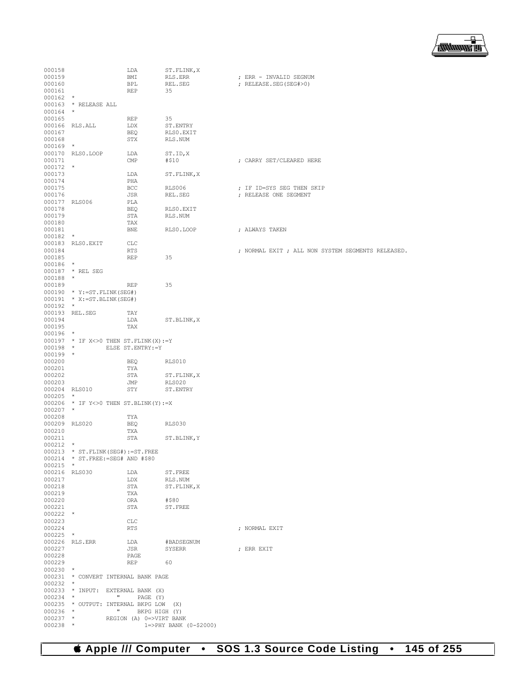

| 000158                   |                                                 | LDA                                      | ST.FLINK, X                 |                                                   |  |
|--------------------------|-------------------------------------------------|------------------------------------------|-----------------------------|---------------------------------------------------|--|
| 000159                   |                                                 | BMI                                      | RLS.ERR                     | ; ERR - INVALID SEGNUM                            |  |
| 000160<br>000161         |                                                 | BPL<br>REP                               | REL.SEG<br>35               | ; RELEASE.SEG(SEG#>0)                             |  |
| $000162$ *               |                                                 |                                          |                             |                                                   |  |
|                          | 000163 * RELEASE ALL                            |                                          |                             |                                                   |  |
| $000164$ *               |                                                 |                                          |                             |                                                   |  |
| 000165                   |                                                 | REP                                      | 35                          |                                                   |  |
| 000167                   | 000166 RLS.ALL                                  | LDX<br>BEQ                               | ST.ENTRY<br>RLSO.EXIT       |                                                   |  |
| 000168                   |                                                 | STX                                      | RLS.NUM                     |                                                   |  |
| $000169$ *               |                                                 |                                          |                             |                                                   |  |
|                          | 000170 RLS0.LOOP                                | LDA                                      | ST.ID, X                    |                                                   |  |
| 000171                   |                                                 | $\text{CMP}$                             | #\$10                       | ; CARRY SET/CLEARED HERE                          |  |
| $000172$ *<br>000173     |                                                 | LDA                                      | ST.FLINK, X                 |                                                   |  |
| 000174                   |                                                 | PHA                                      |                             |                                                   |  |
| 000175                   |                                                 | BCC                                      | RLS006                      | ; IF ID=SYS SEG THEN SKIP                         |  |
| 000176                   |                                                 | JSR                                      | REL.SEG                     | ; RELEASE ONE SEGMENT                             |  |
| 000177 RLS006            |                                                 | PLA                                      |                             |                                                   |  |
| 000178<br>000179         |                                                 | BEQ<br>STA                               | RLS0.EXIT<br>RLS.NUM        |                                                   |  |
| 000180                   |                                                 | TAX                                      |                             |                                                   |  |
| 000181                   |                                                 | <b>BNE</b>                               | RLS0.LOOP                   | ; ALWAYS TAKEN                                    |  |
| $000182$ *               |                                                 |                                          |                             |                                                   |  |
|                          | 000183 RLSO.EXIT                                | CLC                                      |                             |                                                   |  |
| 000184                   |                                                 | RTS                                      |                             | ; NORMAL EXIT ; ALL NON SYSTEM SEGMENTS RELEASED. |  |
| 000185<br>$000186$ *     |                                                 | REP                                      | 35                          |                                                   |  |
|                          | 000187 * REL SEG                                |                                          |                             |                                                   |  |
| $000188$ *               |                                                 |                                          |                             |                                                   |  |
| 000189                   |                                                 | REP                                      | 35                          |                                                   |  |
|                          | $000190 * Y := ST.FLINK(SEG#)$                  |                                          |                             |                                                   |  |
|                          | $000191 * X := ST.BLINK(SEG#)$                  |                                          |                             |                                                   |  |
| $000192$ *               | 000193 REL.SEG                                  | TAY                                      |                             |                                                   |  |
| 000194                   |                                                 | LDA                                      | ST.BLINK, X                 |                                                   |  |
| 000195                   |                                                 | TAX                                      |                             |                                                   |  |
| $000196$ *               |                                                 |                                          |                             |                                                   |  |
|                          | $000197$ * IF X<>0 THEN ST.FLINK(X):=Y          |                                          |                             |                                                   |  |
|                          | 000198 * ELSE ST.ENTRY:=Y                       |                                          |                             |                                                   |  |
| $000199$ *<br>000200     |                                                 | BEQ                                      | RLS010                      |                                                   |  |
| 000201                   |                                                 | TYA                                      |                             |                                                   |  |
| 000202                   |                                                 | STA                                      | ST.FLINK, X                 |                                                   |  |
| 000203                   |                                                 | JMP                                      | <b>RLS020</b>               |                                                   |  |
| 000204 RLS010            |                                                 | STY                                      | ST.ENTRY                    |                                                   |  |
| $000205$ *               | 000206 * IF $Y \le 0$ THEN ST. BLINK $(Y) := X$ |                                          |                             |                                                   |  |
| $000207$ *               |                                                 |                                          |                             |                                                   |  |
| 000208                   |                                                 | TYA                                      |                             |                                                   |  |
| 000209 RLS020            |                                                 | BEQ                                      | <b>RLS030</b>               |                                                   |  |
| 000210                   |                                                 | TXA                                      |                             |                                                   |  |
| 000211<br>$000212$ *     |                                                 | STA                                      | ST.BLINK, Y                 |                                                   |  |
|                          | 000213 * ST. FLINK (SEG#) := ST. FREE           |                                          |                             |                                                   |  |
|                          | 000214 * ST. FREE: = SEG# AND #\$80             |                                          |                             |                                                   |  |
| $000215$ *               |                                                 |                                          |                             |                                                   |  |
|                          | 000216 RLS030                                   | LDA                                      | ST.FREE                     |                                                   |  |
| 000217<br>000218         |                                                 | LDX<br>STA                               | RLS.NUM<br>ST. FLINK, X     |                                                   |  |
| 000219                   |                                                 | TXA                                      |                             |                                                   |  |
| 000220                   |                                                 | ORA                                      | #\$80                       |                                                   |  |
| 000221                   |                                                 | STA                                      | ST.FREE                     |                                                   |  |
| $000222$ *               |                                                 |                                          |                             |                                                   |  |
| 000223                   |                                                 | CLC                                      |                             |                                                   |  |
| 000224<br>$000225$ *     |                                                 | RTS                                      |                             | ; NORMAL EXIT                                     |  |
|                          | 000226 RLS.ERR                                  | LDA                                      | #BADSEGNUM                  |                                                   |  |
| 000227                   |                                                 | JSR                                      | SYSERR                      | ; ERR EXIT                                        |  |
| 000228                   |                                                 | PAGE                                     |                             |                                                   |  |
| 000229                   |                                                 | REP                                      | 60                          |                                                   |  |
| $000230$ *               | 000231 * CONVERT INTERNAL BANK PAGE             |                                          |                             |                                                   |  |
| $000232$ *               |                                                 |                                          |                             |                                                   |  |
|                          | 000233 * INPUT: EXTERNAL BANK (X)               |                                          |                             |                                                   |  |
| $000234$ *               | <b>CONTRACTOR</b>                               | PAGE (Y)                                 |                             |                                                   |  |
|                          | 000235 * OUTPUT: INTERNAL BKPG LOW (X)          |                                          |                             |                                                   |  |
| $000236$ *<br>$000237$ * | $\mathbf{u}$                                    | BKPG HIGH (Y)<br>REGION (A) 0=>VIRT BANK |                             |                                                   |  |
| $000238$ *               |                                                 |                                          | $1 = >$ PHY BANK (0-\$2000) |                                                   |  |
|                          |                                                 |                                          |                             |                                                   |  |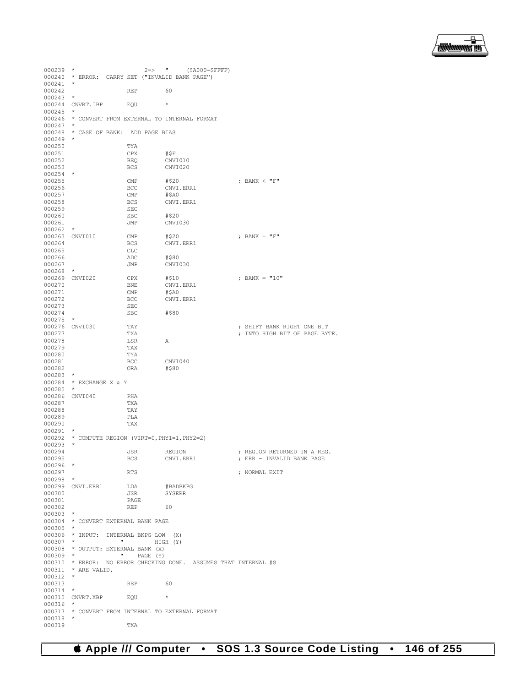

| $000239$ *                   |                         | $2 \Rightarrow$ "                                       | (\$A000-\$FFFF)                                                  |                                                             |
|------------------------------|-------------------------|---------------------------------------------------------|------------------------------------------------------------------|-------------------------------------------------------------|
|                              |                         | 000240 * ERROR: CARRY SET ("INVALID BANK PAGE")         |                                                                  |                                                             |
| 000241                       | $\star$                 |                                                         |                                                                  |                                                             |
| 000242                       |                         | REP                                                     | 60                                                               |                                                             |
| $000243$ *                   |                         |                                                         |                                                                  |                                                             |
|                              | 000244 CNVRT. IBP       | EQU                                                     | $\star$                                                          |                                                             |
| $000245$ *                   |                         |                                                         |                                                                  |                                                             |
|                              |                         | 000246 * CONVERT FROM EXTERNAL TO INTERNAL FORMAT       |                                                                  |                                                             |
| $000247$ *                   |                         | 000248 * CASE OF BANK: ADD PAGE BIAS                    |                                                                  |                                                             |
| $000249$ *                   |                         |                                                         |                                                                  |                                                             |
| 000250                       |                         | TYA                                                     |                                                                  |                                                             |
| 000251                       |                         | CPX                                                     | #ŞF                                                              |                                                             |
| 000252                       |                         | BEQ                                                     | CNVI010                                                          |                                                             |
| 000253                       |                         | <b>BCS</b>                                              | CNVI020                                                          |                                                             |
| $000254$ *                   |                         |                                                         |                                                                  |                                                             |
| 000255                       |                         | CMP                                                     | #\$20                                                            | ; BANK < "F"                                                |
| 000256                       |                         | BCC                                                     | CNVI.ERR1                                                        |                                                             |
| 000257                       |                         | CMP                                                     | #\$A0                                                            |                                                             |
| 000258                       |                         | <b>BCS</b>                                              | CNVI.ERR1                                                        |                                                             |
| 000259                       |                         | SEC                                                     |                                                                  |                                                             |
| 000260                       |                         | SBC                                                     | #\$20                                                            |                                                             |
| 000261                       |                         | JMP                                                     | CNVI030                                                          |                                                             |
| $000262$ *<br>000263 CNVI010 |                         | CMP                                                     | #\$20                                                            | ; BANK = $"F"$                                              |
| 000264                       |                         | <b>BCS</b>                                              | CNVI.ERR1                                                        |                                                             |
| 000265                       |                         | CLC                                                     |                                                                  |                                                             |
| 000266                       |                         | ADC                                                     | #\$80                                                            |                                                             |
| 000267                       |                         | JMP                                                     | CNVI030                                                          |                                                             |
| $000268$ *                   |                         |                                                         |                                                                  |                                                             |
| 000269 CNVI020               |                         | CPX                                                     | #\$10                                                            | ; BANK = $"10"$                                             |
| 000270                       |                         | BNE                                                     | CNVI.ERR1                                                        |                                                             |
| 000271                       |                         | CMP                                                     | #SAO                                                             |                                                             |
| 000272                       |                         | BCC                                                     | CNVI.ERR1                                                        |                                                             |
| 000273                       |                         | SEC                                                     |                                                                  |                                                             |
| 000274                       |                         | SBC                                                     | #\$80                                                            |                                                             |
| $000275$ *                   |                         |                                                         |                                                                  |                                                             |
| 000276 CNVI030<br>000277     |                         | TAY<br>TXA                                              |                                                                  | ; SHIFT BANK RIGHT ONE BIT<br>; INTO HIGH BIT OF PAGE BYTE. |
| 000278                       |                         | LSR                                                     | Α                                                                |                                                             |
|                              |                         |                                                         |                                                                  |                                                             |
|                              |                         |                                                         |                                                                  |                                                             |
| 000279                       |                         | TAX                                                     |                                                                  |                                                             |
| 000280<br>000281             |                         | TYA<br>BCC                                              | CNVI040                                                          |                                                             |
| 000282                       |                         | ORA                                                     | #\$80                                                            |                                                             |
| $000283$ *                   |                         |                                                         |                                                                  |                                                             |
|                              | 000284 * EXCHANGE X & Y |                                                         |                                                                  |                                                             |
| $000285$ *                   |                         |                                                         |                                                                  |                                                             |
|                              | 000286 CNVI040          | PHA                                                     |                                                                  |                                                             |
| 000287                       |                         | TXA                                                     |                                                                  |                                                             |
| 000288                       |                         | TAY                                                     |                                                                  |                                                             |
| 000289                       |                         | PLA                                                     |                                                                  |                                                             |
| 000290                       |                         | TAX                                                     |                                                                  |                                                             |
| 000291                       | $\ast$                  |                                                         |                                                                  |                                                             |
|                              | $\star$                 | 000292 * COMPUTE REGION (VIRT=0, PHY1=1, PHY2=2)        |                                                                  |                                                             |
| 000293<br>000294             |                         | <b>JSR</b>                                              |                                                                  |                                                             |
| 000295                       |                         | BCS                                                     | REGION<br>CNVI.ERR1                                              | ; REGION RETURNED IN A REG.<br>; ERR - INVALID BANK PAGE    |
| $000296$ *                   |                         |                                                         |                                                                  |                                                             |
| 000297                       |                         | RTS                                                     |                                                                  | ; NORMAL EXIT                                               |
| $000298$ *                   |                         |                                                         |                                                                  |                                                             |
|                              | 000299 CNVI.ERR1        | LDA                                                     | #BADBKPG                                                         |                                                             |
| 000300                       |                         | JSR                                                     | SYSERR                                                           |                                                             |
| 000301                       |                         | PAGE                                                    |                                                                  |                                                             |
| 000302                       |                         | REP                                                     | - 60                                                             |                                                             |
| $000303$ *                   |                         |                                                         |                                                                  |                                                             |
|                              |                         | 000304 * CONVERT EXTERNAL BANK PAGE                     |                                                                  |                                                             |
| $000305$ *                   |                         |                                                         |                                                                  |                                                             |
|                              |                         | 000306 * INPUT: INTERNAL BKPG LOW (X)<br>$\mathbf{H}$ . |                                                                  |                                                             |
| $000307$ *                   |                         | 000308 * OUTPUT: EXTERNAL BANK (X)                      | HIGH (Y)                                                         |                                                             |
| $000309$ *                   |                         | $\mathbf{H}$<br>PAGE (Y)                                |                                                                  |                                                             |
|                              |                         |                                                         | 000310 * ERROR: NO ERROR CHECKING DONE. ASSUMES THAT INTERNAL #S |                                                             |
|                              | 000311 * ARE VALID.     |                                                         |                                                                  |                                                             |
| $000312$ *                   |                         |                                                         |                                                                  |                                                             |
| 000313                       |                         | REP 60                                                  |                                                                  |                                                             |
| 000314                       | $^{\star}$              |                                                         |                                                                  |                                                             |
|                              | 000315 CNVRT.XBP EQU    |                                                         | $\star$                                                          |                                                             |
| 000316 *                     |                         |                                                         |                                                                  |                                                             |
| 000318                       | $\star$                 | 000317 * CONVERT FROM INTERNAL TO EXTERNAL FORMAT       |                                                                  |                                                             |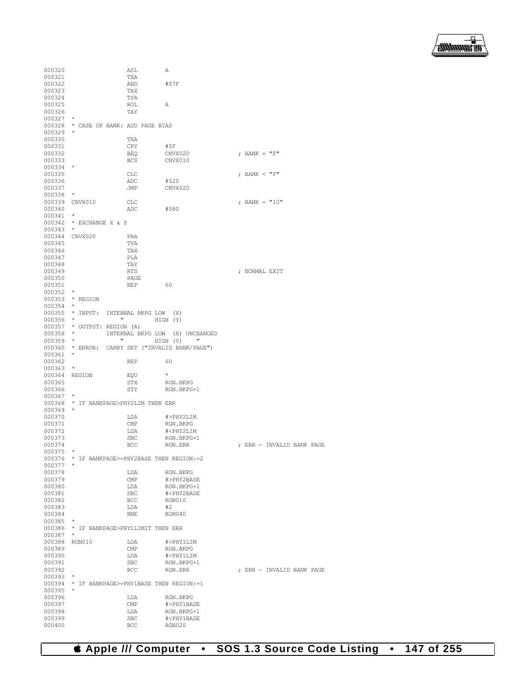

|                  |                                          | ASL                                            | Α                                        |                           |
|------------------|------------------------------------------|------------------------------------------------|------------------------------------------|---------------------------|
| 000320<br>000321 |                                          | TXA                                            |                                          |                           |
| 000322           |                                          | AND                                            | #\$7F                                    |                           |
| 000323           |                                          | TAX                                            |                                          |                           |
| 000324           |                                          | TYA                                            |                                          |                           |
| 000325           |                                          | ROL                                            | Α                                        |                           |
|                  |                                          | TAY                                            |                                          |                           |
| 000326           | $\star$                                  |                                                |                                          |                           |
| 000327           |                                          |                                                |                                          |                           |
| 000328           | * CASE OF BANK: ADD PAGE BIAS<br>$\star$ |                                                |                                          |                           |
| 000329           |                                          |                                                |                                          |                           |
| 000330           |                                          | TXA                                            |                                          |                           |
| 000331           |                                          | CPY                                            | #ŞF                                      | ; BANK = $"F"$            |
| 000332           |                                          | <b>BEQ</b>                                     | CNVX020                                  |                           |
| 000333           | $^\star$                                 | <b>BCS</b>                                     | CNVX010                                  |                           |
| 000334           |                                          |                                                |                                          | ; BANK < "F"              |
| 000335           |                                          | <b>CLC</b>                                     |                                          |                           |
| 000336           |                                          | ADC                                            | #\$20                                    |                           |
| 000337           | $\star$                                  | JMP                                            | CNVX020                                  |                           |
| 000338           |                                          |                                                |                                          |                           |
| 000339           | CNVX010                                  | CLC                                            |                                          | ; BANK = "10"             |
| 000340           | $\star$                                  | ADC                                            | #\$80                                    |                           |
| 000341           |                                          |                                                |                                          |                           |
| 000342           | * EXCHANGE X & Y                         |                                                |                                          |                           |
| 000343           |                                          |                                                |                                          |                           |
| 000344           | CNVX020                                  | PHA                                            |                                          |                           |
| 000345           |                                          | TYA                                            |                                          |                           |
| 000346           |                                          | TAX                                            |                                          |                           |
| 000347           |                                          | PLA                                            |                                          |                           |
| 000348           |                                          | TAY                                            |                                          |                           |
| 000349           |                                          | <b>RTS</b>                                     |                                          | : NORMAL EXIT             |
| 000350           |                                          | PAGE                                           |                                          |                           |
| 000351           |                                          | <b>REP</b>                                     | 60                                       |                           |
| 000352           | $\star$                                  |                                                |                                          |                           |
| 000353           | * REGION                                 |                                                |                                          |                           |
| 000354           | $\star$                                  |                                                |                                          |                           |
| 000355           | $^{\star}$ INPUT:                        | INTERNAL BKPG LOW<br>$\mathbf{H}$              | (X)                                      |                           |
| $000356$ *       |                                          |                                                | HIGH (Y)                                 |                           |
|                  | 000357 * OUTPUT: REGION (A)<br>$\star$   |                                                |                                          |                           |
| 000358           | $\star$                                  | INTERNAL BKPG LOW<br>$\boldsymbol{\mathsf{u}}$ | (X) UNCHANGED<br>$\mathbf{H}$            |                           |
| 000359           |                                          |                                                | HIGH (Y)                                 |                           |
| 000360           | $\star$                                  |                                                | * ERROR: CARRY SET ("INVALID BANK/PAGE") |                           |
| 000361           |                                          | <b>REP</b>                                     | 60                                       |                           |
| 000362           | $\star$                                  |                                                |                                          |                           |
| 000363           |                                          |                                                |                                          |                           |
|                  |                                          |                                                |                                          |                           |
| 000364           | REGION                                   | EQU                                            | $\star$                                  |                           |
| 000365           |                                          | STX                                            | RGN.BKPG                                 |                           |
| 000366           |                                          | STY                                            | RGN.BKPG+1                               |                           |
| 000367           | $^\star$                                 |                                                |                                          |                           |
| 000368           | * IF BANKPAGE>PHY2LIM THEN ERR           |                                                |                                          |                           |
| 000369           | $\star$                                  |                                                |                                          |                           |
| 000370           |                                          | LDA                                            | #>PHY2LIM                                |                           |
| 000371           |                                          | $\text{CMP}$                                   | RGN.BKPG                                 |                           |
| 000372           |                                          | LDA                                            | # <phy2lim< td=""><td></td></phy2lim<>   |                           |
| 000373           |                                          | SBC                                            | RGN.BKPG+1                               |                           |
| 000374           |                                          | BCC                                            | RGN.ERR                                  | ; ERR - INVALID BANK PAGE |
| 000375           | $\star$                                  |                                                |                                          |                           |
| 000376           | * IF BANKPAGE>=PHY2BASE THEN REGION:=2   |                                                |                                          |                           |
| $000377$ *       |                                          |                                                |                                          |                           |
| 000378           |                                          | LDA                                            | RGN.BKPG                                 |                           |
| 000379           |                                          | $\text{CMP}$                                   | #>PHY2BASE                               |                           |
| 000380           |                                          | LDA                                            | RGN.BKPG+1                               |                           |
| 000381           |                                          | SBC                                            | # <phy2base< td=""><td></td></phy2base<> |                           |
| 000382           |                                          | <b>BCC</b>                                     | RGN010                                   |                           |
| 000383           |                                          | LDA                                            | #2                                       |                           |
| 000384           |                                          | BNE                                            | RGN040                                   |                           |
| 000385           | $\star$                                  |                                                |                                          |                           |
|                  | 000386 * IF BANKPAGE>PHY1LIMIT THEN ERR  |                                                |                                          |                           |
| 000387           | $\star$                                  |                                                |                                          |                           |
| 000388           | RGN010                                   | LDA                                            | #>PHY1LIM                                |                           |
| 000389           |                                          | $\mathop{\mathrm{CMP}}$                        | RGN.BKPG                                 |                           |
| 000390           |                                          | LDA                                            | # <phy1lim< td=""><td></td></phy1lim<>   |                           |
| 000391           |                                          | $_{\rm SBC}$                                   | RGN.BKPG+1                               |                           |
| 000392           |                                          | BCC                                            | RGN.ERR                                  | ; ERR - INVALID BANK PAGE |
| 000393           | $\star$                                  |                                                |                                          |                           |
| 000394           | * IF BANKPAGE>=PHY1BASE THEN REGION:=1   |                                                |                                          |                           |
| 000395           |                                          |                                                |                                          |                           |
| 000396           |                                          | LDA                                            | RGN.BKPG                                 |                           |
| 000397           |                                          | $\text{CMP}$                                   | #>PHY1BASE                               |                           |
| 000398           |                                          | LDA                                            | RGN.BKPG+1                               |                           |
| 000399<br>000400 |                                          | SBC<br>BCC                                     | # <phy1base<br>RGN020</phy1base<br>      |                           |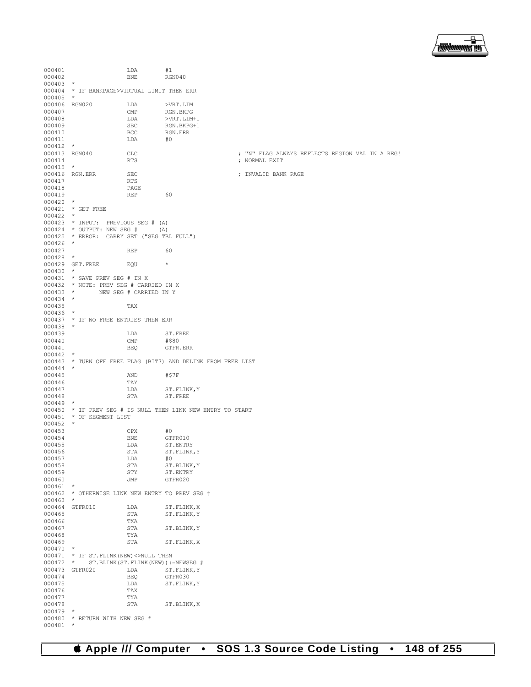

000401 LDA #1<br>000402 RNE RGN040 000402 BNE RGN040 000403<br>000404 000404 \* IF BANKPAGE>VIRTUAL LIMIT THEN ERR 000405 \* 000406 RGN020 LDA >VRT.LIM<br>000407 CMP RGN.BKPG 000407 CMP RGN.BKPG<br>000408 T.DA >VRT.T.TM 000408 LDA >VRT.LIM+1  $\begin{tabular}{llllllll} \multicolumn{2}{l}{{\bf SO} & {\bf SO} & {\bf RGN.BKPG+1} \\ 000410 & & & & & & & \\ & & & & & & & \\ \multicolumn{2}{l}{{\bf SO} & {\bf SO} & {\bf RGN.ERR} } \end{tabular}$ 000410 BCC RGN.ERR 000411 000412 \*<br>000413 RGN040 000413 RGN040 CLC ; "N" FLAG ALWAYS REFLECTS REGION VAL IN A REG! 000415 \*<br>000416 RGN.ERR 000416 RGN.ERR SEC ; INVALID BANK PAGE 000417 RTS<br>000418 PAGE 000418 PAGE PAGE 000419 REP 60<br>000420 \* 000420 \* 000421 \* GET FREE 000422<br>000423 \* INPUT: PREVIOUS SEG # (A)<br>\* OUTPUT: NEW SEG # (A)  $000424$  \* OUTPUT: NEW SEG # 000425 \* ERROR: CARRY SET ("SEG TBL FULL") 000426 \* 000427 REP 60 000428 \* 000429 GET.FREE EQU \* 000430 \* 000431 \* SAVE PREV SEG # IN X 000432  $\star$  NOTE: PREV SEG # CARRIED IN X<br>000433  $\star$  NEW SEG # CARRIED IN Y NEW SEG # CARRIED IN Y 000434 \* 000435 TAX 000436 \* 000437 \* IF NO FREE ENTRIES THEN ERR  $000438$  \*<br>000439 LDA ST.FREE<br>CMP #\$80 000440 CMP #\$80 GTFR.ERR  $000442$  \* 000443 \* TURN OFF FREE FLAG (BIT7) AND DELINK FROM FREE LIST 000444 \*  $000445 \qquad \qquad {\rm AND} \qquad \qquad {\rm \#57F}$   $000446 \qquad \qquad {\rm \,TAY}$ 000446 TAY<br>000447 LDA 000447 LDA ST.FLINK,Y<br>000448 STA ST.FREE ST.FREE 000449 \* 000450  $\star$  IF PREV SEG # IS NULL THEN LINK NEW ENTRY TO START 000451  $\star$  OF SEGMENT LIST  $\star$  OF SEGMENT LIST  $\star$ 000452 \* 000453 CPX #0<br>000454 BNE GT! 000454 BNE GTFR010<br>000455 LDA ST.ENTRY 000455 LDA ST.ENTRY 000456 STA ST.FLINK STA ST.FLINK, Y<br>LDA #0 000457 LDA<br>000458 STA 000458 STA ST.BLINK, Y<br>000459 STY ST. ENTRY 000459 STY ST.ENTRY<br>000460 JMP GTFR020 GTFR020 000461<br>000462 \* OTHERWISE LINK NEW ENTRY TO PREV SEG # 000463 \* 000464 GTFR010 LDA ST.FLINK,X STA ST.FLINK, Y 000466 TXA TXA TXA COO467 STA ST.BLINK, Y 000468 TYA<br>000469 STA ST.FLINK, X 000470 \* 000471 \* IF ST.FLINK(NEW)<>NULL THEN 000472 \* ST.BLINK(ST.FLINK(NEW)):=NEWSEG # 000473 GTFR020 LDA ST.FLINK, Y<br>000474 BEO GTFR030 000474 BEQ GTFR030<br>000475 LDA ST.FLINI  $\begin{array}{lll} \texttt{LDA} & \texttt{ST.FLINK}, \texttt{Y} \\ \texttt{TAX} & \end{array}$ 000476 TAX<br>000477 TYA 000477 TYA TYA STA ST.BLINK, X 000479<br>000480 \* RETURN WITH NEW SEG  $#$ 000481 \*

; NORMAL EXIT

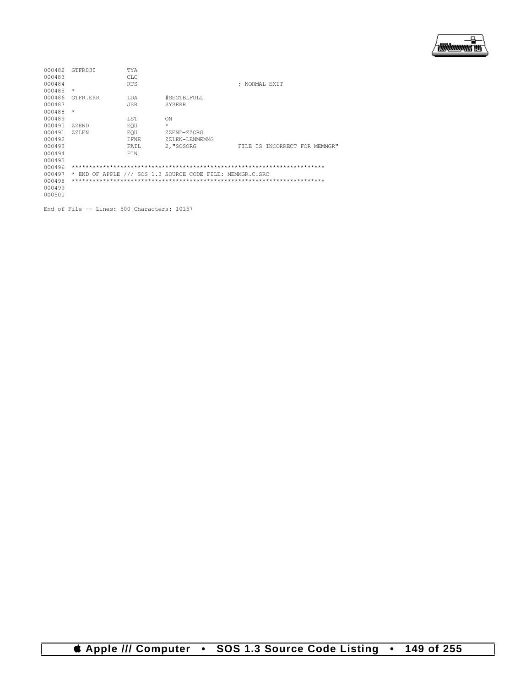

| 000482 | GTFR030  | TYA         |                                                           |                               |  |
|--------|----------|-------------|-----------------------------------------------------------|-------------------------------|--|
| 000483 |          | CLC         |                                                           |                               |  |
| 000484 |          | <b>RTS</b>  |                                                           | : NORMAL EXIT                 |  |
| 000485 | $\star$  |             |                                                           |                               |  |
| 000486 | GTFR.ERR | LDA         | #SEGTBLFULL                                               |                               |  |
| 000487 |          | <b>JSR</b>  | <b>SYSERR</b>                                             |                               |  |
| 000488 | $\star$  |             |                                                           |                               |  |
| 000489 |          | LST         | ON                                                        |                               |  |
| 000490 | ZZEND    | EOU         | $\star$                                                   |                               |  |
| 000491 | ZZLEN    | EOU         | ZZEND-ZZORG                                               |                               |  |
| 000492 |          | <b>IFNE</b> | ZZLEN-LENMEMMG                                            |                               |  |
| 000493 |          | FAIL        | 2, "SOSORG                                                | FILE IS INCORRECT FOR MEMMGR" |  |
| 000494 |          | FTN         |                                                           |                               |  |
| 000495 |          |             |                                                           |                               |  |
| 000496 |          |             |                                                           |                               |  |
| 000497 |          |             | * END OF APPLE /// SOS 1.3 SOURCE CODE FILE: MEMMGR.C.SRC |                               |  |
| 000498 |          |             |                                                           |                               |  |
| 000499 |          |             |                                                           |                               |  |
| 000500 |          |             |                                                           |                               |  |
|        |          |             |                                                           |                               |  |

End of File -- Lines: 500 Characters: 10157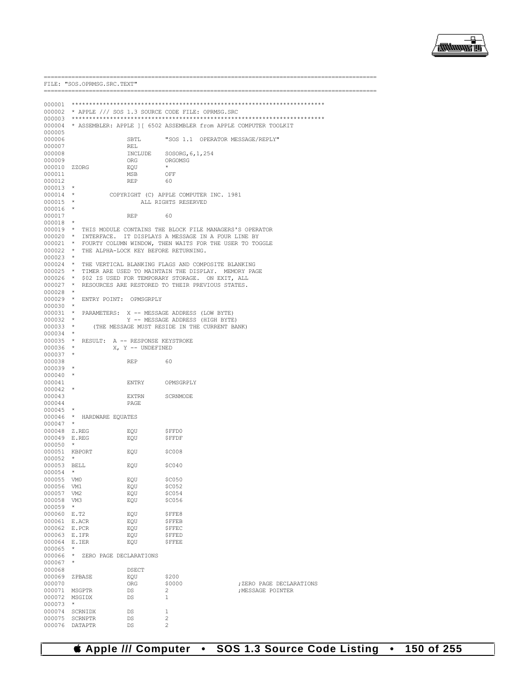

|                            | FILE: "SOS.OPRMSG.SRC.TEXT"<br>========================= |                        |                           |                                                                          |
|----------------------------|----------------------------------------------------------|------------------------|---------------------------|--------------------------------------------------------------------------|
|                            |                                                          |                        |                           |                                                                          |
|                            |                                                          |                        |                           |                                                                          |
|                            | 000002 * APPLE /// SOS 1.3 SOURCE CODE FILE: OPRMSG.SRC  |                        |                           |                                                                          |
|                            |                                                          |                        |                           | 000004 * ASSEMBLER: APPLE 1   6502 ASSEMBLER from APPLE COMPUTER TOOLKIT |
| 000005                     |                                                          |                        |                           |                                                                          |
| 000006                     |                                                          | SBTL                   |                           | "SOS 1.1 OPERATOR MESSAGE/REPLY"                                         |
| 000007                     |                                                          | REL                    |                           |                                                                          |
| 000008                     |                                                          |                        | INCLUDE SOSORG, 6, 1, 254 |                                                                          |
| 000009                     |                                                          | ORG                    | ORGOMSG                   |                                                                          |
| 000010 ZZORG               |                                                          | EQU                    |                           |                                                                          |
| 000011                     |                                                          | MSB                    | OFF                       |                                                                          |
| 000012                     |                                                          | REP                    | 60                        |                                                                          |
| $000013$ *                 |                                                          |                        |                           |                                                                          |
| $000014$ *                 |                                                          |                        |                           | COPYRIGHT (C) APPLE COMPUTER INC. 1981                                   |
| $000015$ *                 |                                                          |                        | ALL RIGHTS RESERVED       |                                                                          |
| 000016 *                   |                                                          |                        |                           |                                                                          |
| 000017                     |                                                          | <b>REP</b>             | 60                        |                                                                          |
| $000018$ *                 |                                                          |                        |                           |                                                                          |
|                            |                                                          |                        |                           | 000019 * THIS MODULE CONTAINS THE BLOCK FILE MANAGERS'S OPERATOR         |
|                            |                                                          |                        |                           | 000020 * INTERFACE. IT DISPLAYS A MESSAGE IN A FOUR LINE BY              |
|                            |                                                          |                        |                           | 000021 * FOURTY COLUMN WINDOW, THEN WAITS FOR THE USER TO TOGGLE         |
|                            | 000022 * THE ALPHA-LOCK KEY BEFORE RETURNING.            |                        |                           |                                                                          |
| $000023$ *                 |                                                          |                        |                           |                                                                          |
|                            |                                                          |                        |                           | 000024 * THE VERTICAL BLANKING FLAGS AND COMPOSITE BLANKING              |
|                            |                                                          |                        |                           | 000025 * TIMER ARE USED TO MAINTAIN THE DISPLAY. MEMORY PAGE             |
|                            |                                                          |                        |                           | 000026 * \$02 IS USED FOR TEMPORARY STORAGE. ON EXIT, ALL                |
| $000027$ *                 |                                                          |                        |                           | RESOURCES ARE RESTORED TO THEIR PREVIOUS STATES.                         |
| $000028$ *                 |                                                          |                        |                           |                                                                          |
|                            | 000029 * ENTRY POINT: OPMSGRPLY                          |                        |                           |                                                                          |
| $000030$ *                 |                                                          |                        |                           |                                                                          |
|                            | 000031 * PARAMETERS: X -- MESSAGE ADDRESS (LOW BYTE)     |                        |                           |                                                                          |
| $000032$ *                 |                                                          |                        |                           | Y -- MESSAGE ADDRESS (HIGH BYTE)                                         |
| $000033$ *                 |                                                          |                        |                           | (THE MESSAGE MUST RESIDE IN THE CURRENT BANK)                            |
| 000034 *                   |                                                          |                        |                           |                                                                          |
|                            | 000035 * RESULT: A -- RESPONSE KEYSTROKE                 |                        |                           |                                                                          |
| $000036$ *                 |                                                          | X, Y -- UNDEFINED      |                           |                                                                          |
| $000037$ *                 |                                                          |                        |                           |                                                                          |
| 000038                     |                                                          | REP                    | 60                        |                                                                          |
| $000039$ *                 |                                                          |                        |                           |                                                                          |
| $000040$ *                 |                                                          |                        |                           |                                                                          |
| 000041                     |                                                          | ENTRY                  | OPMSGRPLY                 |                                                                          |
| $000042$ *                 |                                                          |                        |                           |                                                                          |
| 000043                     |                                                          | EXTRN                  | SCRNMODE                  |                                                                          |
| 000044                     |                                                          | PAGE                   |                           |                                                                          |
| $000045$ *                 |                                                          |                        |                           |                                                                          |
|                            | 000046 * HARDWARE EQUATES                                |                        |                           |                                                                          |
| $000047$ *                 |                                                          |                        |                           |                                                                          |
| 000048 Z.REG               |                                                          | EQU                    | <b>SFFD0</b>              |                                                                          |
| 000049 E.REG<br>$000050$ * |                                                          | EQU                    | <b>SFFDF</b>              |                                                                          |
|                            | 000051 KBPORT                                            |                        | \$C008                    |                                                                          |
| $000052$ *                 |                                                          | EQU                    |                           |                                                                          |
| 000053                     | <b>BELL</b>                                              |                        | \$C040                    |                                                                          |
| 000054                     | $^{\star}$                                               | EQU                    |                           |                                                                          |
| 000055                     | VM0                                                      | EQU                    | \$C050                    |                                                                          |
| 000056 VM1                 |                                                          | EQU                    | \$C052                    |                                                                          |
| 000057                     | VM2                                                      | EQU                    | \$C054                    |                                                                          |
| 000058 VM3                 |                                                          | EQU                    | \$C056                    |                                                                          |
| 000059                     | $^{\star}$                                               |                        |                           |                                                                          |
| 000060 E.T2                |                                                          | EQU                    | \$FFE8                    |                                                                          |
| 000061                     | E.ACR                                                    | EQU                    | <b>\$FFEB</b>             |                                                                          |
| 000062 E.PCR               |                                                          | EQU                    | <b>\$FFEC</b>             |                                                                          |
| 000063 E.IFR               |                                                          | EQU                    | <b>\$FFED</b>             |                                                                          |
| 000064                     | E.IER                                                    | EQU                    | <b>\$FFEE</b>             |                                                                          |
| 000065                     | $^{\star}$                                               |                        |                           |                                                                          |
| 000066                     | $\star$                                                  | ZERO PAGE DECLARATIONS |                           |                                                                          |
| 000067                     |                                                          |                        |                           |                                                                          |
| 000068                     |                                                          | DSECT                  |                           |                                                                          |
|                            | 000069 ZPBASE                                            | EQU                    | \$200                     |                                                                          |
| 000070                     |                                                          | ORG                    | \$0000                    | ; ZERO PAGE DECLARATIONS                                                 |
|                            | 000071 MSGPTR                                            | DS                     | 2                         | ; MESSAGE POINTER                                                        |
|                            | 000072 MSGIDX                                            | DS                     | $\mathbf 1$               |                                                                          |
| 000073                     |                                                          |                        |                           |                                                                          |
| 000074                     | SCRNIDX                                                  | DS                     | $\mathbf 1$               |                                                                          |
| 000075                     | SCRNPTR                                                  | DS                     | $\overline{c}$            |                                                                          |
| 000076                     | DATAPTR                                                  | $DS$                   | 2                         |                                                                          |
|                            |                                                          |                        |                           |                                                                          |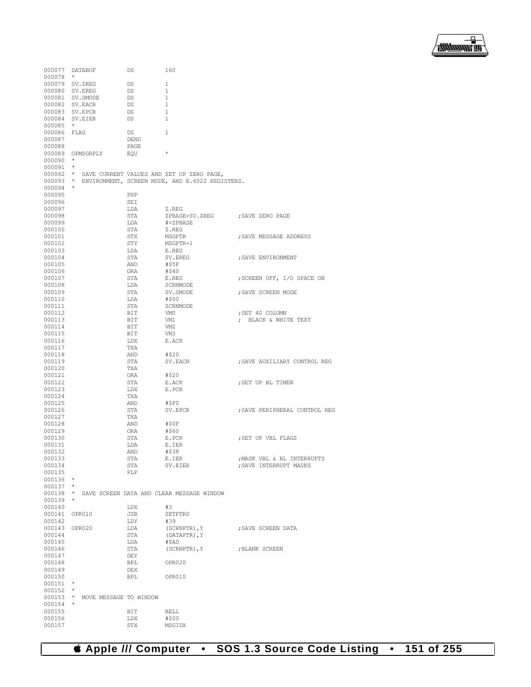

|               | 000077 DATABUF         | DS   | 160                                                |                               |
|---------------|------------------------|------|----------------------------------------------------|-------------------------------|
| $000078$ *    |                        |      |                                                    |                               |
|               | 000079 SV.ZREG         | DS   | 1                                                  |                               |
|               |                        |      |                                                    |                               |
|               | 000080 SV.EREG         | DS   | $\mathbf{1}$                                       |                               |
|               | 000081 SV. SMODE       | DS   | 1                                                  |                               |
|               | 000082 SV. EACR        | DS   | $\mathbf{1}$                                       |                               |
|               | 000083 SV. EPCR        | DS   | 1                                                  |                               |
|               | 000084 SV.EIER         | DS   | $\mathbf{1}$                                       |                               |
| 000085        | $\star$                |      |                                                    |                               |
| 000086 FLAG   |                        | DS   | 1                                                  |                               |
| 000087        |                        | DEND |                                                    |                               |
| 000088        |                        | PAGE |                                                    |                               |
|               | 000089 OPMSGRPLY       | EOU  | $\star$                                            |                               |
|               | $\star$                |      |                                                    |                               |
| 000090        |                        |      |                                                    |                               |
| 000091        | $\star$                |      |                                                    |                               |
|               |                        |      | 000092 * SAVE CURRENT VALUES AND SET UP ZERO PAGE, |                               |
| $000093$ *    |                        |      | ENVIRONMENT, SCREEN MODE, AND E.6522 REGISTERS.    |                               |
| 000094        | $\star$                |      |                                                    |                               |
| 000095        |                        | PHP  |                                                    |                               |
| 000096        |                        | SEI  |                                                    |                               |
| 000097        |                        | LDA  | Z.REG                                              |                               |
| 000098        |                        | STA  | ZPBASE+SV.ZREG ; SAVE ZERO PAGE                    |                               |
|               |                        |      |                                                    |                               |
| 000099        |                        | LDA  | # <zpbase< td=""><td></td></zpbase<>               |                               |
| 000100        |                        | STA  | Z.REG                                              |                               |
| 000101        |                        | STX  | MSGPTR                                             | SAVE MESSAGE ADDRESS,         |
| 000102        |                        | STY  | MSGPTR+1                                           |                               |
| 000103        |                        | LDA  | E.REG                                              |                               |
| 000104        |                        | STA  | SV.EREG                                            | ; SAVE ENVIRONMENT            |
| 000105        |                        | AND  | #\$5F                                              |                               |
| 000106        |                        | ORA  | #\$40                                              |                               |
|               |                        |      |                                                    |                               |
| 000107        |                        | STA  | E.REG                                              | ; SCREEN OFF, I/O SPACE ON    |
| 000108        |                        | LDA  | SCRNMODE                                           |                               |
| 000109        |                        | STA  | SV.SMODE                                           | ; SAVE SCREEN MODE            |
| 000110        |                        | LDA  | #\$00                                              |                               |
| 000111        |                        | STA  | SCRNMODE                                           |                               |
| 000112        |                        | BIT  | VM0                                                | ; SET 40 COLUMN               |
| 000113        |                        | BIT  | VM1                                                | ; BLACK & WHITE TEXT          |
|               |                        | BIT  |                                                    |                               |
| 000114        |                        |      | VM2                                                |                               |
| 000115        |                        | BIT  | VM3                                                |                               |
| 000116        |                        | LDX  | E.ACR                                              |                               |
| 000117        |                        | TXA  |                                                    |                               |
| 000118        |                        | AND  | #\$20                                              |                               |
| 000119        |                        | STA  | SV.EACR                                            | SAVE AUXILIARY CONTROL REG;   |
| 000120        |                        | TXA  |                                                    |                               |
| 000121        |                        | ORA  | #\$20                                              |                               |
| 000122        |                        | STA  | E.ACR                                              | SET UP BL TIMER,              |
|               |                        |      |                                                    |                               |
| 000123        |                        | LDX  | E.PCR                                              |                               |
| 000124        |                        | TXA  |                                                    |                               |
| 000125        |                        | AND  | #\$F0                                              |                               |
| 000126        |                        | STA  | SV.EPCR                                            | ; SAVE PERIPHERAL CONTROL REG |
| 000127        |                        | TXA  |                                                    |                               |
| 000128        |                        | AND  | #SOF                                               |                               |
| 000129        |                        | ORA  | #\$60                                              |                               |
| 000130        |                        | STA  | E.PCR                                              | ; SET UP VBL FLAGS            |
| 000131        |                        | LDA  | E.IER                                              |                               |
|               |                        |      |                                                    |                               |
| 000132        |                        | AND  | #\$38                                              |                               |
| 000133        |                        | STA  | E.IER                                              | ; MASK VBL & BL INTERRUPTS    |
| 000134        |                        | STA  | SV.EIER                                            | ; SAVE INTERRUPT MASKS        |
| 000135        |                        | PLP  |                                                    |                               |
| 000136        | $\star$                |      |                                                    |                               |
| $000137$ *    |                        |      |                                                    |                               |
| $000138$ *    |                        |      | SAVE SCREEN DATA AND CLEAR MESSAGE WINDOW          |                               |
| 000139        | $\star$                |      |                                                    |                               |
| 000140        |                        | LDX  | #3                                                 |                               |
|               |                        |      |                                                    |                               |
| 000141 OPR010 |                        | JSR  | SETPTRS                                            |                               |
| 000142        |                        | LDY  | #39                                                |                               |
| 000143 OPR020 |                        | LDA  | (SCRNPTR), Y                                       | : SAVE SCREEN DATA            |
| 000144        |                        | STA  | (DATAPTR), Y                                       |                               |
| 000145        |                        | LDA  | $#$ \$A0                                           |                               |
| 000146        |                        | STA  | (SCRNPTR), Y                                       | ; BLANK SCREEN                |
| 000147        |                        | DEY  |                                                    |                               |
| 000148        |                        | BPL  | OPR020                                             |                               |
| 000149        |                        | DEX  |                                                    |                               |
|               |                        |      |                                                    |                               |
| 000150        |                        | BPL  | OPR010                                             |                               |
| 000151        | $\star$                |      |                                                    |                               |
| $000152$ *    |                        |      |                                                    |                               |
| $000153$ *    | MOVE MESSAGE TO WINDOW |      |                                                    |                               |
| 000154        | $\star$                |      |                                                    |                               |
| 000155        |                        | BIT  | BELL                                               |                               |
| 000156        |                        | LDX  | #\$00                                              |                               |
| 000157        |                        | STX  | MSGIDX                                             |                               |
|               |                        |      |                                                    |                               |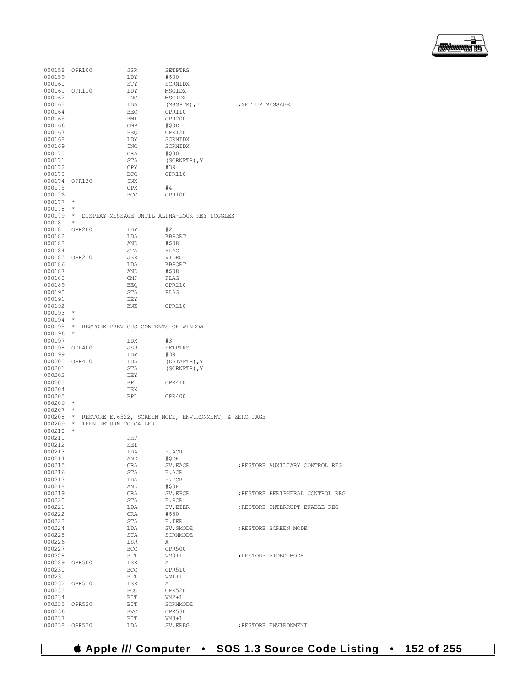# **Apple /// Computer • SOS 1.3 Source Code Listing • 152 of 255**

| 000158 OPR100               |                                              | JSR        | SETPTRS                                                        |                  |                                  |
|-----------------------------|----------------------------------------------|------------|----------------------------------------------------------------|------------------|----------------------------------|
| 000159<br>000160            |                                              | LDY<br>STY | #\$00<br>SCRNIDX                                               |                  |                                  |
| 000161 OPR110               |                                              | LDY        | MSGIDX                                                         |                  |                                  |
| 000162                      |                                              | INC        | MSGIDX                                                         |                  |                                  |
| 000163                      |                                              | LDA        | (MSGPTR), Y                                                    | ; SET UP MESSAGE |                                  |
| 000164                      |                                              | BEQ        | OPR110                                                         |                  |                                  |
| 000165                      |                                              | BMI        | <b>OPR200</b>                                                  |                  |                                  |
| 000166                      |                                              | CMP        | #50D                                                           |                  |                                  |
| 000167<br>000168            |                                              | BEQ<br>LDY | OPR120<br>SCRNIDX                                              |                  |                                  |
| 000169                      |                                              | INC        | SCRNIDX                                                        |                  |                                  |
| 000170                      |                                              | ORA        | #\$80                                                          |                  |                                  |
| 000171                      |                                              | STA        | (SCRNPTR), Y                                                   |                  |                                  |
| 000172                      |                                              | CPY        | #39                                                            |                  |                                  |
| 000173<br>000174 OPR120     |                                              | BCC        | OPR110                                                         |                  |                                  |
| 000175                      |                                              | INX<br>CPX | #4                                                             |                  |                                  |
| 000176                      |                                              | <b>BCC</b> | OPR100                                                         |                  |                                  |
| $000177$ *                  |                                              |            |                                                                |                  |                                  |
| $000178$ *                  |                                              |            |                                                                |                  |                                  |
|                             |                                              |            | 000179 * DISPLAY MESSAGE UNTIL ALPHA-LOCK KEY TOGGLES          |                  |                                  |
| $000180$ *<br>000181 OPR200 |                                              | LDY        | #2                                                             |                  |                                  |
| 000182                      |                                              | LDA        | KBPORT                                                         |                  |                                  |
| 000183                      |                                              | AND        | #\$08                                                          |                  |                                  |
| 000184                      |                                              | STA        | FLAG                                                           |                  |                                  |
| 000185 OPR210               |                                              | JSR        | VIDEO                                                          |                  |                                  |
| 000186                      |                                              | LDA        | KBPORT                                                         |                  |                                  |
| 000187<br>000188            |                                              | AND<br>CMP | #\$08<br>FLAG                                                  |                  |                                  |
| 000189                      |                                              | BEO        | OPR210                                                         |                  |                                  |
| 000190                      |                                              | STA        | FLAG                                                           |                  |                                  |
| 000191                      |                                              | DEY        |                                                                |                  |                                  |
| 000192                      |                                              | BNE        | OPR210                                                         |                  |                                  |
| $000193$ *                  |                                              |            |                                                                |                  |                                  |
| $000194$ *                  | 000195 * RESTORE PREVIOUS CONTENTS OF WINDOW |            |                                                                |                  |                                  |
| $000196$ *                  |                                              |            |                                                                |                  |                                  |
| 000197                      |                                              | LDX        | #3                                                             |                  |                                  |
| 000198 OPR400               |                                              | JSR        | SETPTRS                                                        |                  |                                  |
| 000199                      |                                              | LDY        | #39                                                            |                  |                                  |
| 000200 OPR410<br>000201     |                                              | LDA<br>STA | (DATAPTR), Y<br>(SCRNPTR), Y                                   |                  |                                  |
| 000202                      |                                              | DEY        |                                                                |                  |                                  |
| 000203                      |                                              | BPL        | OPR410                                                         |                  |                                  |
| 000204                      |                                              | DEX        |                                                                |                  |                                  |
| 000205                      |                                              | BPL        | OPR400                                                         |                  |                                  |
| $000206$ *                  |                                              |            |                                                                |                  |                                  |
| $000207$ *                  |                                              |            | 000208 * RESTORE E.6522, SCREEN MODE, ENVIRONMENT, & ZERO PAGE |                  |                                  |
|                             | 000209 * THEN RETURN TO CALLER               |            |                                                                |                  |                                  |
| $000210$ *                  |                                              |            |                                                                |                  |                                  |
| 000211                      |                                              | PHP        |                                                                |                  |                                  |
| 000212<br>000213            |                                              | SEI<br>LDA |                                                                |                  |                                  |
| 000214                      |                                              | AND        | E.ACR<br>#ŞDF                                                  |                  |                                  |
| 000215                      |                                              | ORA        | SV.EACR                                                        |                  | ; RESTORE AUXILIARY CONTROL REG  |
| 000216                      |                                              | STA        | E.ACR                                                          |                  |                                  |
| 000217                      |                                              | LDA        | E.PCR                                                          |                  |                                  |
| 000218                      |                                              | AND        | #\$0F                                                          |                  |                                  |
| 000219<br>000220            |                                              | ORA<br>STA | SV.EPCR<br>E.PCR                                               |                  | ; RESTORE PERIPHERAL CONTROL REG |
| 000221                      |                                              | LDA        | SV.EIER                                                        |                  | ; RESTORE INTERRUPT ENABLE REG   |
| 000222                      |                                              | ORA        | #\$80                                                          |                  |                                  |
| 000223                      |                                              | STA        | E.IER                                                          |                  |                                  |
| 000224                      |                                              | LDA        | SV. SMODE                                                      |                  | ; RESTORE SCREEN MODE            |
| 000225                      |                                              | STA        | SCRNMODE                                                       |                  |                                  |
| 000226<br>000227            |                                              | LSR<br>BCC | Α<br>OPR500                                                    |                  |                                  |
| 000228                      |                                              | BIT        | $VM0+1$                                                        |                  | ; RESTORE VIDEO MODE             |
| 000229 OPR500               |                                              | LSR        | Α                                                              |                  |                                  |
| 000230                      |                                              | BCC        | OPR510                                                         |                  |                                  |
| 000231                      |                                              | BIT        | $VM1+1$                                                        |                  |                                  |
| 000232 OPR510<br>000233     |                                              | LSR<br>BCC | Α<br>OPR520                                                    |                  |                                  |
| 000234                      |                                              | BIT        | $VM2+1$                                                        |                  |                                  |
| 000235 OPR520               |                                              | BIT        | SCRNMODE                                                       |                  |                                  |
| 000236                      |                                              | <b>BVC</b> | OPR530                                                         |                  |                                  |
| 000237                      |                                              | BIT        | $VM3+1$                                                        |                  |                                  |
| 000238 OPR530               |                                              | LDA        | SV.EREG                                                        |                  | ; RESTORE ENVIRONMENT            |

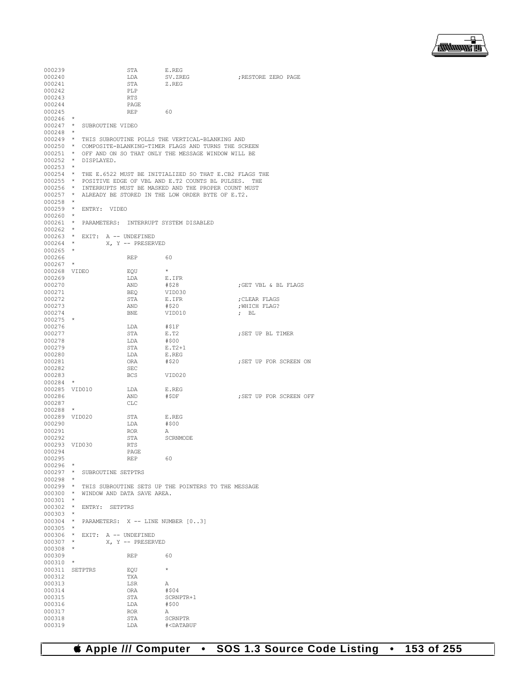▕<del>▓▓▓▓</del>▊

| 000239         |         |                                     | STA               | E.REG                                                           |                         |
|----------------|---------|-------------------------------------|-------------------|-----------------------------------------------------------------|-------------------------|
| 000240         |         |                                     | LDA               | SV.ZREG                                                         | ; RESTORE ZERO PAGE     |
| 000241         |         |                                     | STA               | Z.REG                                                           |                         |
| 000242         |         |                                     | PLP               |                                                                 |                         |
| 000243         |         |                                     | RTS               |                                                                 |                         |
| 000244         |         |                                     | PAGE              |                                                                 |                         |
| 000245         |         |                                     | <b>REP</b>        | 60                                                              |                         |
| 000246         |         |                                     |                   |                                                                 |                         |
| $000247$ *     |         | SUBROUTINE VIDEO                    |                   |                                                                 |                         |
| 000248         | $\star$ |                                     |                   |                                                                 |                         |
|                |         |                                     |                   | 000249 * THIS SUBROUTINE POLLS THE VERTICAL-BLANKING AND        |                         |
|                |         |                                     |                   | 000250 * COMPOSITE-BLANKING-TIMER FLAGS AND TURNS THE SCREEN    |                         |
|                |         |                                     |                   | 000251 * OFF AND ON SO THAT ONLY THE MESSAGE WINDOW WILL BE     |                         |
| $000252$ *     |         | DISPLAYED.                          |                   |                                                                 |                         |
| $000253$ *     |         |                                     |                   |                                                                 |                         |
|                |         |                                     |                   | 000254 * THE E.6522 MUST BE INITIALIZED SO THAT E.CB2 FLAGS THE |                         |
|                |         |                                     |                   | 000255 * POSITIVE EDGE OF VBL AND E.T2 COUNTS BL PULSES. THE    |                         |
|                |         |                                     |                   | 000256 * INTERRUPTS MUST BE MASKED AND THE PROPER COUNT MUST    |                         |
| $000257$ *     |         |                                     |                   | ALREADY BE STORED IN THE LOW ORDER BYTE OF E.T2.                |                         |
| $000258$ *     |         |                                     |                   |                                                                 |                         |
| $000259$ *     |         | ENTRY: VIDEO                        |                   |                                                                 |                         |
| 000260         | $\star$ |                                     |                   |                                                                 |                         |
|                |         |                                     |                   | 000261 * PARAMETERS: INTERRUPT SYSTEM DISABLED                  |                         |
| $000262$ *     |         |                                     |                   |                                                                 |                         |
|                |         | 000263 * EXIT: A -- UNDEFINED       |                   |                                                                 |                         |
| $000264$ *     |         |                                     | X, Y -- PRESERVED |                                                                 |                         |
| $000265$ *     |         |                                     |                   |                                                                 |                         |
| 000266         |         |                                     | REP               | 60                                                              |                         |
| 000267         |         |                                     |                   |                                                                 |                         |
| 000268 VIDEO   |         |                                     | EQU               | $\star$                                                         |                         |
| 000269         |         |                                     | LDA               | E.IFR                                                           |                         |
| 000270         |         |                                     | AND               | #\$28                                                           | ; GET VBL & BL FLAGS    |
| 000271         |         |                                     | BEQ               | VID030                                                          |                         |
| 000272         |         |                                     | STA               | E.IFR                                                           | ; CLEAR FLAGS           |
| 000273         |         |                                     | AND               | #\$20                                                           | ; WHICH FLAG?           |
| 000274         |         |                                     | BNE               | VID010                                                          | $;$ BL                  |
| $000275$ *     |         |                                     |                   |                                                                 |                         |
| 000276         |         |                                     | LDA               | #\$1F                                                           |                         |
| 000277         |         |                                     | STA               | E.T2                                                            | ; SET UP BL TIMER       |
| 000278         |         |                                     | LDA               | #\$00                                                           |                         |
| 000279         |         |                                     | STA               | $E.T2+1$                                                        |                         |
| 000280         |         |                                     | LDA               | E.REG                                                           |                         |
| 000281         |         |                                     | ORA               | #\$20                                                           | ; SET UP FOR SCREEN ON  |
| 000282         |         |                                     | SEC               |                                                                 |                         |
| 000283         |         |                                     | BCS               | VID020                                                          |                         |
| 000284         | $\star$ |                                     |                   |                                                                 |                         |
| 000285 VID010  |         |                                     | LDA               | E.REG                                                           |                         |
| 000286         |         |                                     | AND               | #\$DF                                                           | ; SET UP FOR SCREEN OFF |
| 000287         |         |                                     | CLC               |                                                                 |                         |
| 000288         | $\star$ |                                     |                   |                                                                 |                         |
| 000289 VID020  |         |                                     | STA               | E.REG                                                           |                         |
| 000290         |         |                                     | LDA               | #\$00                                                           |                         |
| 000291         |         |                                     | <b>ROR</b>        | А                                                               |                         |
| 000292         |         |                                     | STA               | SCRNMODE                                                        |                         |
| 000293 VID030  |         |                                     | RTS               |                                                                 |                         |
| 000294         |         |                                     | PAGE              |                                                                 |                         |
| 000295         |         |                                     | REP               | 60                                                              |                         |
| $000296$ *     |         |                                     |                   |                                                                 |                         |
|                |         | 000297 * SUBROUTINE SETPTRS         |                   |                                                                 |                         |
| $000298$ *     |         |                                     |                   |                                                                 |                         |
|                |         |                                     |                   | 000299 * THIS SUBROUTINE SETS UP THE POINTERS TO THE MESSAGE    |                         |
|                |         | 000300 * WINDOW AND DATA SAVE AREA. |                   |                                                                 |                         |
| $000301$ *     |         |                                     |                   |                                                                 |                         |
|                |         | 000302 * ENTRY: SETPTRS             |                   |                                                                 |                         |
| $000303$ *     |         |                                     |                   |                                                                 |                         |
|                |         |                                     |                   | 000304 * PARAMETERS: X -- LINE NUMBER [03]                      |                         |
| $000305$ *     |         |                                     |                   |                                                                 |                         |
|                |         | 000306 * EXIT: A -- UNDEFINED       |                   |                                                                 |                         |
| $000307$ *     |         |                                     | X, Y -- PRESERVED |                                                                 |                         |
| $000308$ *     |         |                                     |                   |                                                                 |                         |
| 000309         |         |                                     | REP               | 60                                                              |                         |
| $000310$ *     |         |                                     |                   |                                                                 |                         |
| 000311 SETPTRS |         |                                     | EQU               | $\star$                                                         |                         |
| 000312         |         |                                     | TXA               |                                                                 |                         |
| 000313         |         |                                     | LSR               | Α                                                               |                         |
| 000314         |         |                                     | ORA               | #\$04                                                           |                         |
| 000315         |         |                                     | STA               | SCRNPTR+1                                                       |                         |
| 000316         |         |                                     | LDA               | #\$00                                                           |                         |
| 000317         |         |                                     | ROR               | Α                                                               |                         |
| 000318         |         |                                     | STA               | SCRNPTR                                                         |                         |
| 000319         |         |                                     | LDA               | # <databuf< td=""><td></td></databuf<>                          |                         |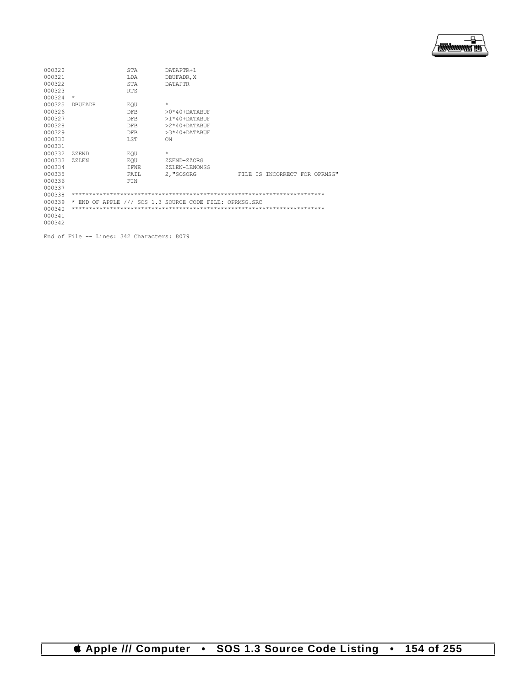

| 000320 |                | <b>STA</b> | DATAPTR+1                                               |  |                               |
|--------|----------------|------------|---------------------------------------------------------|--|-------------------------------|
| 000321 |                | T.DA       | DBUFADR, X                                              |  |                               |
| 000322 |                | STA        | <b>DATAPTR</b>                                          |  |                               |
| 000323 |                | <b>RTS</b> |                                                         |  |                               |
| 000324 | $\star$        |            |                                                         |  |                               |
| 000325 | <b>DBUFADR</b> | EOU        | $\star$                                                 |  |                               |
| 000326 |                | <b>DFB</b> | $>0*40+$ DATABUF                                        |  |                               |
| 000327 |                | <b>DFB</b> | $>1*40+$ DATABUF                                        |  |                               |
| 000328 |                | <b>DFB</b> | $>2*40+$ DATABUF                                        |  |                               |
| 000329 |                | <b>DFB</b> | >3*40+DATABUF                                           |  |                               |
| 000330 |                | LST        | ON                                                      |  |                               |
| 000331 |                |            |                                                         |  |                               |
| 000332 | ZZEND          | EOU        | $\star$                                                 |  |                               |
| 000333 | ZZLEN          | EOU        | ZZEND-ZZORG                                             |  |                               |
| 000334 |                | T FNE.     | ZZLEN-LENOMSG                                           |  |                               |
| 000335 |                | FAIL       | 2, "SOSORG                                              |  | FILE IS INCORRECT FOR OPRMSG" |
| 000336 |                | FIN        |                                                         |  |                               |
| 000337 |                |            |                                                         |  |                               |
| 000338 |                |            |                                                         |  |                               |
| 000339 |                |            | * END OF APPLE /// SOS 1.3 SOURCE CODE FILE: OPRMSG.SRC |  |                               |
| 000340 |                |            |                                                         |  |                               |
| 000341 |                |            |                                                         |  |                               |
| 000342 |                |            |                                                         |  |                               |

End of File -- Lines: 342 Characters: 8079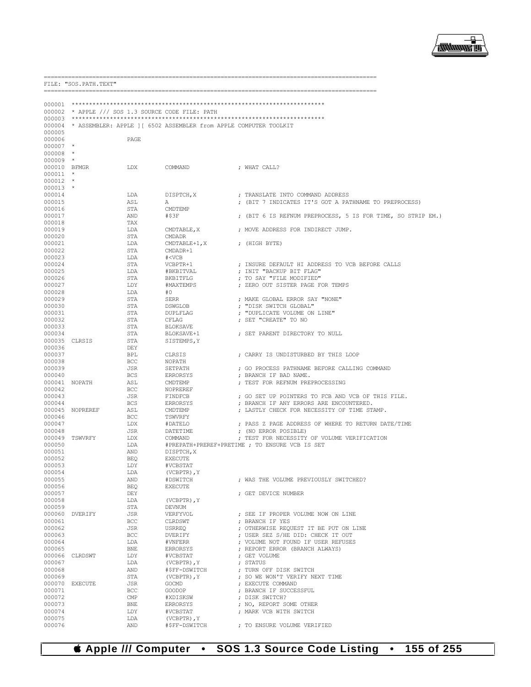## *& Apple /// Computer* • SOS 1.3 Source Code Listing • 155 of 255

|                  |                 |            | 000002 * APPLE /// SOS 1.3 SOURCE CODE FILE: PATH                        |                                                             |
|------------------|-----------------|------------|--------------------------------------------------------------------------|-------------------------------------------------------------|
|                  |                 |            |                                                                          |                                                             |
|                  |                 |            | 000004 * ASSEMBLER: APPLE ] [ 6502 ASSEMBLER from APPLE COMPUTER TOOLKIT |                                                             |
| 000005           |                 |            |                                                                          |                                                             |
| 000006           |                 | PAGE       |                                                                          |                                                             |
| $000007$ *       |                 |            |                                                                          |                                                             |
| $000008$ *       |                 |            |                                                                          |                                                             |
| $000009$ *       |                 |            |                                                                          |                                                             |
| 000010 BFMGR     |                 | LDX        | COMMAND                                                                  | ; WHAT CALL?                                                |
| $000011$ *       |                 |            |                                                                          |                                                             |
| $000012$ *       |                 |            |                                                                          |                                                             |
| $000013$ *       |                 |            |                                                                          |                                                             |
| 000014           |                 | LDA        | DISPTCH, X                                                               | ; TRANSLATE INTO COMMAND ADDRESS                            |
| 000015           |                 | ASL        | A                                                                        | ; (BIT 7 INDICATES IT'S GOT A PATHNAME TO PREPROCESS)       |
| 000016           |                 | STA        | CMDTEMP                                                                  |                                                             |
| 000017           |                 | AND        | #\$3F                                                                    | ; (BIT 6 IS REFNUM PREPROCESS, 5 IS FOR TIME, SO STRIP EM.) |
| 000018           |                 | TAX        |                                                                          |                                                             |
| 000019           |                 | LDA        | CMDTABLE, X                                                              | ; MOVE ADDRESS FOR INDIRECT JUMP.                           |
| 000020           |                 | STA        | <b>CMDADR</b>                                                            |                                                             |
| 000021           |                 | LDA        | CMDTABLE+1, X                                                            | ; (HIGH BYTE)                                               |
| 000022           |                 | STA        | CMDADR+1                                                                 |                                                             |
| 000023           |                 | LDA        | # <vcb< td=""><td></td></vcb<>                                           |                                                             |
| 000024           |                 | STA        | VCBPTR+1                                                                 | ; INSURE DEFAULT HI ADDRESS TO VCB BEFORE CALLS             |
| 000025           |                 | LDA<br>STA | #BKBITVAL                                                                | ; INIT "BACKUP BIT FLAG"<br>; TO SAY "FILE MODIFIED"        |
| 000026<br>000027 |                 |            | BKBITFLG                                                                 |                                                             |
| 000028           |                 | LDY<br>LDA | #MAXTEMPS<br>#0                                                          | ; ZERO OUT SISTER PAGE FOR TEMPS                            |
| 000029           |                 | STA        | SERR                                                                     | ; MAKE GLOBAL ERROR SAY "NONE"                              |
| 000030           |                 | STA        | DSWGLOB                                                                  | ; "DISK SWITCH GLOBAL"                                      |
| 000031           |                 | STA        | DUPLFLAG                                                                 | ; "DUPLICATE VOLUME ON LINE"                                |
| 000032           |                 | STA        | CFLAG                                                                    | ; SET "CREATE" TO NO                                        |
| 000033           |                 | STA        | BLOKSAVE                                                                 |                                                             |
| 000034           |                 | STA        | BLOKSAVE+1                                                               | ; SET PARENT DIRECTORY TO NULL                              |
| 000035 CLRSIS    |                 | STA        | SISTEMPS, Y                                                              |                                                             |
| 000036           |                 | DEY        |                                                                          |                                                             |
| 000037           |                 | BPL        | CLRSIS                                                                   | ; CARRY IS UNDISTURBED BY THIS LOOP                         |
| 000038           |                 | BCC        | NOPATH                                                                   |                                                             |
| 000039           |                 | JSR        | SETPATH                                                                  | ; GO PROCESS PATHNAME BEFORE CALLING COMMAND                |
| 000040           |                 | BCS        | ERRORSYS                                                                 | ; BRANCH IF BAD NAME.                                       |
| 000041 NOPATH    |                 | ASL        | CMDTEMP                                                                  | ; TEST FOR REFNUM PREPROCESSING                             |
| 000042           |                 | BCC        | NOPREREF                                                                 |                                                             |
| 000043           |                 | JSR        | FINDFCB                                                                  | ; GO SET UP POINTERS TO FCB AND VCB OF THIS FILE.           |
| 000044           |                 | BCS        | ERRORSYS                                                                 | ; BRANCH IF ANY ERRORS ARE ENCOUNTERED.                     |
|                  | 000045 NOPREREF | ASL        | CMDTEMP                                                                  | ; LASTLY CHECK FOR NECESSITY OF TIME STAMP.                 |
| 000046           |                 | BCC        | TSWVRFY                                                                  |                                                             |
| 000047           |                 | LDX        | #DATELO                                                                  | ; PASS Z PAGE ADDRESS OF WHERE TO RETURN DATE/TIME          |
| 000048           |                 | JSR        | DATETIME                                                                 | ; (NO ERROR POSIBLE)                                        |
|                  | 000049 TSWVRFY  | LDX        | COMMAND                                                                  | ; TEST FOR NECESSITY OF VOLUME VERIFICATION                 |
| 000050           |                 | LDA        |                                                                          | #PREPATH+PREREF+PRETIME ; TO ENSURE VCB IS SET              |
| 000051           |                 | AND        | DISPTCH, X                                                               |                                                             |
| 000052           |                 | BEQ        | EXECUTE                                                                  |                                                             |
| 000053           |                 | LDY        | #VCBSTAT                                                                 |                                                             |
| 000054           |                 | LDA        | (VCBPTR), Y                                                              |                                                             |
| 000055           |                 | AND        | #DSWITCH                                                                 | ; WAS THE VOLUME PREVIOUSLY SWITCHED?                       |
| 000056           |                 | BEQ        | <b>EXECUTE</b>                                                           |                                                             |
| 000057           |                 | DEY        |                                                                          | ; GET DEVICE NUMBER                                         |
| 000058           |                 | LDA        | (VCBPTR), Y                                                              |                                                             |
| 000059           |                 | STA        | DEVNUM                                                                   |                                                             |
|                  | 000060 DVERIFY  | JSR        | VERFYVOL                                                                 | ; SEE IF PROPER VOLUME NOW ON LINE                          |
| 000061           |                 | BCC        | CLRDSWT                                                                  | ; BRANCH IF YES                                             |
| 000062           |                 | JSR        | USRREQ                                                                   | ; OTHERWISE REQUEST IT BE PUT ON LINE                       |
| 000063           |                 | BCC        | DVERIFY                                                                  | ; USER SEZ S/HE DID: CHECK IT OUT                           |
| 000064           |                 | LDA        | #VNFERR                                                                  | ; VOLUME NOT FOUND IF USER REFUSES                          |
| 000065           |                 | BNE        | ERRORSYS                                                                 | ; REPORT ERROR (BRANCH ALWAYS)                              |
|                  | 000066 CLRDSWT  | LDY        | #VCBSTAT                                                                 | ; GET VOLUME                                                |
| 000067           |                 | LDA        | (VCBPTR), Y                                                              | ; STATUS                                                    |
| 000068           |                 | AND        | #\$FF-DSWITCH                                                            | ; TURN OFF DISK SWITCH                                      |
| 000069           |                 | STA        | $(VCBPTR)$ , $Y$                                                         | ; SO WE WON'T VERIFY NEXT TIME                              |
| 000070           | <b>EXECUTE</b>  | JSR        | GOCMD                                                                    | ; EXECUTE COMMAND                                           |
| 000071           |                 | BCC        | GOODOP                                                                   | ; BRANCH IF SUCCESSFUL                                      |
| 000072           |                 | CMP        | #XDISKSW                                                                 | ; DISK SWITCH?                                              |
| 000073           |                 | BNE        | ERRORSYS                                                                 | ; NO, REPORT SOME OTHER                                     |
| 000074           |                 | LDY        | #VCBSTAT                                                                 | ; MARK VCB WITH SWITCH                                      |
| 000075<br>000076 |                 | LDA<br>AND | $(VCBPTR)$ , $Y$<br>#\$FF-DSWITCH                                        | ; TO ENSURE VOLUME VERIFIED                                 |
|                  |                 |            |                                                                          |                                                             |

FILE: "SOS.PATH.TEXT"



. \_\_\_\_\_\_\_\_\_\_\_\_\_\_\_\_\_\_\_\_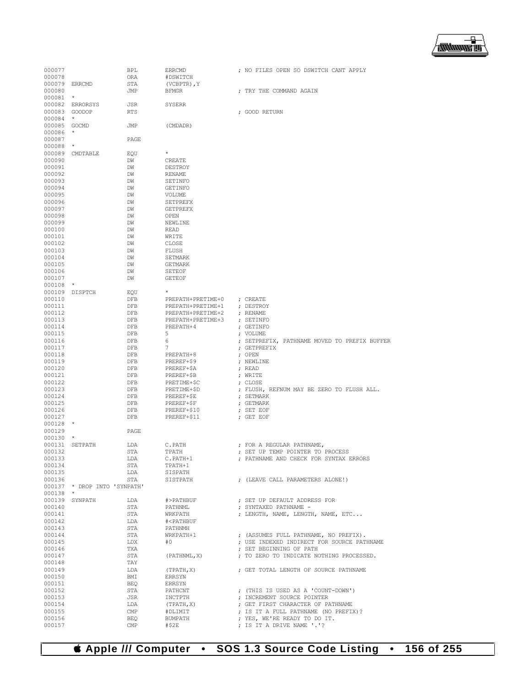# **Apple /// Computer • SOS 1.3 Source Code Listing • 156 of 255**

| 000077           |                              | BPL                     | <b>ERRCMD</b>                          | ; NO FILES OPEN SO DSWITCH CANT APPLY                                               |
|------------------|------------------------------|-------------------------|----------------------------------------|-------------------------------------------------------------------------------------|
| 000078           |                              | ORA                     | #DSWITCH                               |                                                                                     |
| 000079 ERRCMD    |                              | STA                     | $(VCBPTR)$ , $Y$                       |                                                                                     |
| 000080           |                              | JMP                     | <b>BFMGR</b>                           | ; TRY THE COMMAND AGAIN                                                             |
| $000081$ *       |                              |                         |                                        |                                                                                     |
|                  | 000082 ERRORSYS              | <b>JSR</b>              | <b>SYSERR</b>                          |                                                                                     |
| 000083           | GOODOP                       | <b>RTS</b>              |                                        | ; GOOD RETURN                                                                       |
| 000084           | $\star$                      |                         |                                        |                                                                                     |
| 000085 GOCMD     |                              | JMP                     | (CMDADR)                               |                                                                                     |
| 000086           | $^{\star}$                   |                         |                                        |                                                                                     |
| 000087           |                              | PAGE                    |                                        |                                                                                     |
| 000088           | $\star$                      |                         |                                        |                                                                                     |
| 000089           | CMDTABLE                     | EOU                     | $^{\star}$                             |                                                                                     |
| 000090           |                              | DW                      | CREATE                                 |                                                                                     |
| 000091           |                              | DW                      | DESTROY                                |                                                                                     |
| 000092           |                              | DW                      | <b>RENAME</b>                          |                                                                                     |
| 000093           |                              | DW                      | SETINFO                                |                                                                                     |
| 000094           |                              | DW                      | <b>GETINFO</b>                         |                                                                                     |
| 000095           |                              | DW                      | VOLUME                                 |                                                                                     |
| 000096<br>000097 |                              | DW                      | <b>SETPREFX</b>                        |                                                                                     |
| 000098           |                              | DW<br>DW                | <b>GETPREFX</b><br>OPEN                |                                                                                     |
| 000099           |                              | DW                      | NEWLINE                                |                                                                                     |
| 000100           |                              | DW                      | READ                                   |                                                                                     |
| 000101           |                              | DW                      | WRITE                                  |                                                                                     |
| 000102           |                              | DW                      | CLOSE                                  |                                                                                     |
| 000103           |                              | DW                      | FLUSH                                  |                                                                                     |
| 000104           |                              | DW                      | SETMARK                                |                                                                                     |
| 000105           |                              | DW                      | <b>GETMARK</b>                         |                                                                                     |
| 000106           |                              | DW                      | <b>SETEOF</b>                          |                                                                                     |
| 000107           |                              | DW                      | <b>GETEOF</b>                          |                                                                                     |
| 000108           | $\star$                      |                         |                                        |                                                                                     |
| 000109           | DISPTCH                      | EQU                     | $\star$                                |                                                                                     |
| 000110           |                              | DFB                     | PREPATH+PRETIME+0                      | ; CREATE                                                                            |
| 000111           |                              | DFB                     | PREPATH+PRETIME+1                      | ; DESTROY                                                                           |
| 000112           |                              | DFB                     | PREPATH+PRETIME+2                      | ; RENAME                                                                            |
| 000113           |                              | DFB                     | PREPATH+PRETIME+3                      | ; SETINFO                                                                           |
| 000114           |                              | DFB                     | PREPATH+4                              | ; GETINFO                                                                           |
| 000115           |                              | DFB                     | 5                                      | ; VOLUME                                                                            |
| 000116           |                              | DFB                     | 6                                      | ; SETPREFIX, PATHNAME MOVED TO PREFIX BUFFER                                        |
| 000117           |                              | DFB                     | 7                                      | ; GETPREFIX                                                                         |
| 000118           |                              | DFB                     | PREPATH+8                              | ; OPEN                                                                              |
| 000119           |                              | DFB                     | PREREF+\$9                             | ; NEWLINE<br>; READ                                                                 |
| 000120<br>000121 |                              | DFB<br>DFB              | PREREF+\$A<br>PREREF+\$B               | ; WRITE                                                                             |
| 000122           |                              | DFB                     | PRETIME+\$C                            | ; CLOSE                                                                             |
| 000123           |                              | DFB                     | PRETIME+\$D                            | ; FLUSH, REFNUM MAY BE ZERO TO FLUSH ALL.                                           |
| 000124           |                              | DFB                     | PREREF+\$E                             | ; SETMARK                                                                           |
| 000125           |                              | DFB                     | PREREF+\$F                             | ; GETMARK                                                                           |
| 000126           |                              | DFB                     | PREREF+\$10                            | ; SET EOF                                                                           |
| 000127           |                              | DFB                     | PREREF+\$11                            | ; GET EOF                                                                           |
| $000128$ *       |                              |                         |                                        |                                                                                     |
| 000129           |                              | PAGE                    |                                        |                                                                                     |
| 000130           | $\star$                      |                         |                                        |                                                                                     |
| 000131           | SETPATH                      | LDA                     | C.PATH                                 | ; FOR A REGULAR PATHNAME,                                                           |
| 000132           |                              | <b>STA</b>              | TPATH                                  | ; SET UP TEMP POINTER TO PROCESS                                                    |
| 000133           |                              | LDA                     | C.PATH+1                               | ; PATHNAME AND CHECK FOR SYNTAX ERRORS                                              |
| 000134           |                              | STA                     | TPATH+1                                |                                                                                     |
| 000135           |                              | LDA                     | SISPATH                                |                                                                                     |
| 000136           |                              | STA                     | SISTPATH                               | ; (LEAVE CALL PARAMETERS ALONE!)                                                    |
|                  | 000137 * DROP INTO 'SYNPATH' |                         |                                        |                                                                                     |
| 000138 *         |                              |                         |                                        |                                                                                     |
|                  | 000139 SYNPATH               | LDA                     | #>PATHBUF                              | ; SET UP DEFAULT ADDRESS FOR                                                        |
| 000140           |                              | STA                     | PATHNML                                | ; SYNTAXED PATHNAME -                                                               |
| 000141           |                              | STA                     | WRKPATH                                | ; LENGTH, NAME, LENGTH, NAME, ETC                                                   |
| 000142           |                              | LDA                     | # <pathbuf< td=""><td></td></pathbuf<> |                                                                                     |
| 000143           |                              | STA                     | PATHNMH                                |                                                                                     |
| 000144<br>000145 |                              | STA<br>LDX              | WRKPATH+1<br>#0                        | ; (ASSUMES FULL PATHNAME, NO PREFIX).<br>; USE INDEXED INDIRECT FOR SOURCE PATHNAME |
| 000146           |                              | TXA                     |                                        | ; SET BEGINNING OF PATH                                                             |
| 000147           |                              | STA                     | (PATHNML, X)                           | ; TO ZERO TO INDICATE NOTHING PROCESSED.                                            |
| 000148           |                              | TAY                     |                                        |                                                                                     |
| 000149           |                              | LDA                     | (TPATH, X)                             | ; GET TOTAL LENGTH OF SOURCE PATHNAME                                               |
| 000150           |                              | BMI                     | ERRSYN                                 |                                                                                     |
| 000151           |                              | BEQ                     | ERRSYN                                 |                                                                                     |
| 000152           |                              | STA                     | PATHCNT                                | ; (THIS IS USED AS A 'COUNT-DOWN')                                                  |
| 000153           |                              | JSR                     | INCTPTH                                | ; INCREMENT SOURCE POINTER                                                          |
| 000154           |                              | LDA                     | (TPATH, X)                             | ; GET FIRST CHARACTER OF PATHNAME                                                   |
| 000155           |                              | $\mathop{\mathrm{CMP}}$ | #DLIMIT                                | ; IS IT A FULL PATHNAME (NO PREFIX)?                                                |
| 000156           |                              | <b>BEQ</b>              | BUMPATH                                | ; YES, WE'RE READY TO DO IT.                                                        |
| 000157           |                              | $\text{CMP}$            | #\$2E                                  | ; IS IT A DRIVE NAME '.'?                                                           |

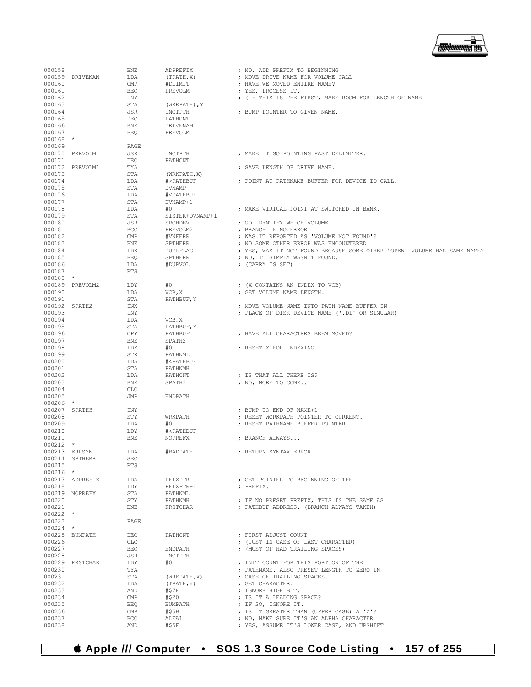

| 000158        |                 | <b>BNE</b>   | ADPREFIX                               | ; NO, ADD PREFIX TO BEGINNING                                           |
|---------------|-----------------|--------------|----------------------------------------|-------------------------------------------------------------------------|
|               | 000159 DRIVENAM | LDA          |                                        | ; MOVE DRIVE NAME FOR VOLUME CALL                                       |
|               |                 |              | (TPATH, X)                             |                                                                         |
| 000160        |                 | $\text{CMP}$ | #DLIMIT                                | ; HAVE WE MOVED ENTIRE NAME?                                            |
| 000161        |                 | BEO          | PREVOLM                                | ; YES, PROCESS IT.                                                      |
| 000162        |                 | INY          |                                        | ; (IF THIS IS THE FIRST, MAKE ROOM FOR LENGTH OF NAME)                  |
| 000163        |                 | STA          | (WRKPATH), Y                           |                                                                         |
| 000164        |                 | JSR          | INCTPTH                                | ; BUMP POINTER TO GIVEN NAME.                                           |
| 000165        |                 | DEC          | PATHCNT                                |                                                                         |
| 000166        |                 | <b>BNE</b>   | DRIVENAM                               |                                                                         |
| 000167        |                 | BEO          | PREVOLM1                               |                                                                         |
| $000168$ *    |                 |              |                                        |                                                                         |
| 000169        |                 | PAGE         |                                        |                                                                         |
|               | 000170 PREVOLM  | JSR          | INCTPTH                                | : MAKE IT SO POINTING PAST DELIMITER.                                   |
| 000171        |                 | DEC          | PATHCNT                                |                                                                         |
|               | 000172 PREVOLM1 | TYA          |                                        | ; SAVE LENGTH OF DRIVE NAME.                                            |
| 000173        |                 | STA          |                                        |                                                                         |
|               |                 |              | (WRKPATH, X)                           |                                                                         |
| 000174        |                 | LDA          | #>PATHBUF                              | ; POINT AT PATHNAME BUFFER FOR DEVICE ID CALL.                          |
| 000175        |                 | STA          | <b>DVNAMP</b>                          |                                                                         |
| 000176        |                 | LDA          | # <pathbuf< td=""><td></td></pathbuf<> |                                                                         |
| 000177        |                 | STA          | DVNAMP+1                               |                                                                         |
| 000178        |                 | LDA          | #0                                     | ; MAKE VIRTUAL POINT AT SWITCHED IN BANK.                               |
| 000179        |                 | STA          | SISTER+DVNAMP+1                        |                                                                         |
| 000180        |                 | JSR          | SRCHDEV                                | ; GO IDENTIFY WHICH VOLUME                                              |
| 000181        |                 | BCC          | PREVOLM2                               | ; BRANCH IF NO ERROR                                                    |
| 000182        |                 | $\text{CMP}$ | #VNFERR                                | ; WAS IT REPORTED AS 'VOLUME NOT FOUND'?                                |
| 000183        |                 | BNE          | SPTHERR                                | ; NO SOME OTHER ERROR WAS ENCOUNTERED.                                  |
| 000184        |                 | LDX          | DUPLFLAG                               | ; YES, WAS IT NOT FOUND BECAUSE SOME OTHER 'OPEN' VOLUME HAS SAME NAME? |
|               |                 |              |                                        |                                                                         |
| 000185        |                 | <b>BEQ</b>   | SPTHERR                                | ; NO, IT SIMPLY WASN'T FOUND.                                           |
| 000186        |                 | LDA          | #DUPVOL                                | ; (CARRY IS SET)                                                        |
| 000187        |                 | RTS          |                                        |                                                                         |
| $000188$ *    |                 |              |                                        |                                                                         |
|               | 000189 PREVOLM2 | LDY          | #0                                     | ; (X CONTAINS AN INDEX TO VCB)                                          |
| 000190        |                 | LDA          | VCB, X                                 | ; GET VOLUME NAME LENGTH.                                               |
| 000191        |                 | STA          | PATHBUF, Y                             |                                                                         |
| 000192 SPATH2 |                 | INX          |                                        | ; MOVE VOLUME NAME INTO PATH NAME BUFFER IN                             |
| 000193        |                 | INY          |                                        | ; PLACE OF DISK DEVICE NAME ('.D1' OR SIMULAR)                          |
| 000194        |                 | LDA          | VCB, X                                 |                                                                         |
| 000195        |                 | STA          | PATHBUF, Y                             |                                                                         |
| 000196        |                 | CPY          | PATHBUF                                | ; HAVE ALL CHARACTERS BEEN MOVED?                                       |
| 000197        |                 | BNE          | SPATH2                                 |                                                                         |
|               |                 |              |                                        |                                                                         |
| 000198        |                 | LDX          | #0                                     | ; RESET X FOR INDEXING                                                  |
| 000199        |                 | STX          | PATHNML                                |                                                                         |
| 000200        |                 | LDA          | # <pathbuf< td=""><td></td></pathbuf<> |                                                                         |
| 000201        |                 | STA          | PATHNMH                                |                                                                         |
| 000202        |                 | LDA          | PATHCNT                                | ; IS THAT ALL THERE IS?                                                 |
| 000203        |                 | BNE          | SPATH3                                 | ; NO, MORE TO COME                                                      |
| 000204        |                 | CLC          |                                        |                                                                         |
| 000205        |                 | JMP          | ENDPATH                                |                                                                         |
| $000206$ *    |                 |              |                                        |                                                                         |
| 000207 SPATH3 |                 | INY          |                                        | ; BUMP TO END OF NAME+1                                                 |
| 000208        |                 | STY          | WRKPATH                                | ; RESET WORKPATH POINTER TO CURRENT.                                    |
| 000209        |                 | LDA          | #0                                     | ; RESET PATHNAME BUFFER POINTER.                                        |
|               |                 |              |                                        |                                                                         |
| 000210        |                 | LDY          | # <pathbuf< td=""><td></td></pathbuf<> |                                                                         |
| 000211        |                 | <b>BNE</b>   | NOPREFX                                | ; BRANCH ALWAYS                                                         |
| $000212$ *    |                 |              |                                        |                                                                         |
| 000213 ERRSYN |                 | LDA          | #BADPATH                               | ; RETURN SYNTAX ERROR                                                   |
|               | 000214 SPTHERR  | <b>SEC</b>   |                                        |                                                                         |
| 000215        |                 | RTS          |                                        |                                                                         |
| $000216$ *    |                 |              |                                        |                                                                         |
|               | 000217 ADPREFIX | LDA          | PFIXPTR                                | ; GET POINTER TO BEGINNING OF THE                                       |
| 000218        |                 | LDY          | PFIXPTR+1                              | ; PREFIX.                                                               |
|               | 000219 NOPREFX  | STA          | PATHNML                                |                                                                         |
| 000220        |                 | STY          | PATHNMH                                | ; IF NO PRESET PREFIX, THIS IS THE SAME AS                              |
| 000221        |                 | BNE          | FRSTCHAR                               | ; PATHBUF ADDRESS, (BRANCH ALWAYS TAKEN)                                |
| $000222$ *    |                 |              |                                        |                                                                         |
| 000223        |                 | PAGE         |                                        |                                                                         |
| $000224$ *    |                 |              |                                        |                                                                         |
|               | 000225 BUMPATH  | DEC          | PATHCNT                                | ; FIRST ADJUST COUNT                                                    |
|               |                 |              |                                        |                                                                         |
| 000226        |                 | CLC          |                                        | ; (JUST IN CASE OF LAST CHARACTER)                                      |
| 000227        |                 | BEQ          | ENDPATH                                | ; (MUST OF HAD TRAILING SPACES)                                         |
| 000228        |                 | JSR          | INCTPTH                                |                                                                         |
|               | 000229 FRSTCHAR | LDY          | #0                                     | ; INIT COUNT FOR THIS PORTION OF THE                                    |
| 000230        |                 | TYA          |                                        | ; PATHNAME, ALSO PRESET LENGTH TO ZERO IN                               |
| 000231        |                 | STA          | (WRKPATH, X)                           | ; CASE OF TRAILING SPACES.                                              |
| 000232        |                 | LDA          | (TPATH, X)                             | ; GET CHARACTER.                                                        |
| 000233        |                 | AND          | #\$7F                                  | ; IGNORE HIGH BIT.                                                      |
| 000234        |                 | $\text{CMP}$ | #\$20                                  | ; IS IT A LEADING SPACE?                                                |
| 000235        |                 | <b>BEQ</b>   | BUMPATH                                | ; IF SO, IGNORE IT.                                                     |
| 000236        |                 | $\text{CMP}$ | #\$5B                                  | ; IS IT GREATER THAN (UPPER CASE) A 'Z'?                                |
| 000237        |                 | <b>BCC</b>   | ALFA1                                  | ; NO, MAKE SURE IT'S AN ALPHA CHARACTER                                 |
| 000238        |                 | AND          | #\$5F                                  | ; YES, ASSUME IT'S LOWER CASE, AND UPSHIFT                              |
|               |                 |              |                                        |                                                                         |

 **Apple /// Computer • SOS 1.3 Source Code Listing • 157 of 255**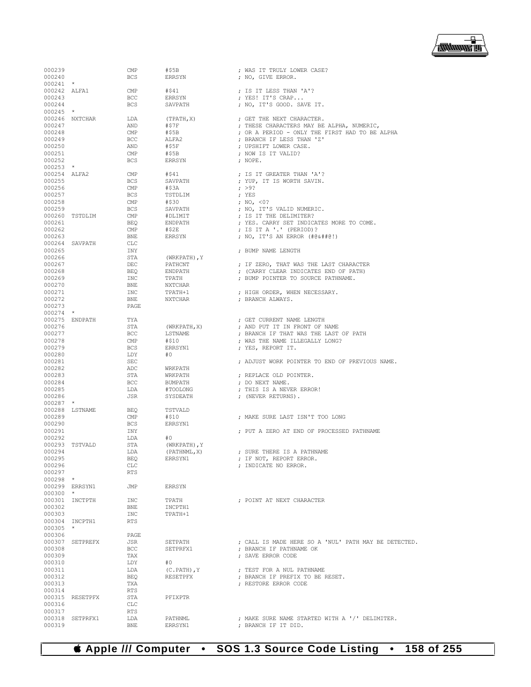

| 000239       |                 | $\ensuremath{\mathrm{CMP}}$   | #\$5B        | ; WAS IT TRULY LOWER CASE?                           |
|--------------|-----------------|-------------------------------|--------------|------------------------------------------------------|
| 000240       |                 | <b>BCS</b>                    |              | ; NO, GIVE ERROR.                                    |
|              |                 |                               | ERRSYN       |                                                      |
| $000241$ *   |                 |                               |              |                                                      |
| 000242 ALFA1 |                 | CMP                           | #\$41        | ; IS IT LESS THAN 'A'?                               |
|              |                 |                               |              | ; YES! IT'S CRAP                                     |
| 000243       |                 | <b>BCC</b>                    | ERRSYN       |                                                      |
| 000244       |                 | BCS                           | SAVPATH      | ; NO, IT'S GOOD. SAVE IT.                            |
| $000245$ *   |                 |                               |              |                                                      |
|              |                 |                               |              |                                                      |
|              | 000246 NXTCHAR  | LDA                           | (TPATH, X)   | ; GET THE NEXT CHARACTER.                            |
| 000247       |                 | AND                           | #\$7F        | ; THESE CHARACTERS MAY BE ALPHA, NUMERIC,            |
| 000248       |                 | CMP                           | #\$5B        |                                                      |
|              |                 |                               |              | ; OR A PERIOD - ONLY THE FIRST HAD TO BE ALPHA       |
| 000249       |                 | <b>BCC</b>                    | ALFA2        | ; BRANCH IF LESS THAN 'Z'                            |
| 000250       |                 | AND                           | #\$5F        | ; UPSHIFT LOWER CASE.                                |
|              |                 |                               |              |                                                      |
| 000251       |                 | CMP                           | #\$5B        | ; NOW IS IT VALID?                                   |
| 000252       |                 | <b>BCS</b>                    | ERRSYN       | ; NOPE.                                              |
| $000253$ *   |                 |                               |              |                                                      |
|              |                 |                               |              |                                                      |
| 000254 ALFA2 |                 | CMP                           | #\$41        | ; IS IT GREATER THAN 'A'?                            |
| 000255       |                 | BCS                           | SAVPATH      | ; YUP, IT IS WORTH SAVIN.                            |
| 000256       |                 | CMP                           | #\$3A        | : >9?                                                |
|              |                 |                               |              |                                                      |
| 000257       |                 | BCS                           | TSTDLIM      | ; YES                                                |
| 000258       |                 | $\mathop{\mathrm{CMP}}$       | #\$30        | ; NO, <0?                                            |
|              |                 |                               |              |                                                      |
| 000259       |                 | BCS                           | SAVPATH      | ; NO, IT'S VALID NUMERIC.                            |
|              | 000260 TSTDLIM  | CMP                           | #DLIMIT      | ; IS IT THE DELIMITER?                               |
| 000261       |                 | BEQ                           | ENDPATH      | ; YES. CARRY SET INDICATES MORE TO COME.             |
|              |                 |                               |              |                                                      |
| 000262       |                 | CMP                           | #\$2E        | ; IS IT A '.' (PERIOD)?                              |
| 000263       |                 | BNE                           | ERRSYN       | ; NO, IT'S AN ERROR (#@&##@!)                        |
|              | 000264 SAVPATH  | CLC                           |              |                                                      |
|              |                 |                               |              |                                                      |
| 000265       |                 | INY                           |              | ; BUMP NAME LENGTH                                   |
| 000266       |                 | STA                           | (WRKPATH), Y |                                                      |
|              |                 |                               |              | ; IF ZERO, THAT WAS THE LAST CHARACTER               |
| 000267       |                 | DEC                           | PATHCNT      |                                                      |
| 000268       |                 | BEQ                           | ENDPATH      | ; (CARRY CLEAR INDICATES END OF PATH)                |
| 000269       |                 | INC                           | TPATH        | ; BUMP POINTER TO SOURCE PATHNAME.                   |
|              |                 |                               |              |                                                      |
| 000270       |                 | BNE                           | NXTCHAR      |                                                      |
| 000271       |                 | INC                           | TPATH+1      | ; HIGH ORDER, WHEN NECESSARY.                        |
| 000272       |                 | BNE                           | NXTCHAR      | ; BRANCH ALWAYS.                                     |
|              |                 |                               |              |                                                      |
| 000273       |                 | PAGE                          |              |                                                      |
| $000274$ *   |                 |                               |              |                                                      |
|              | 000275 ENDPATH  | TYA                           |              | ; GET CURRENT NAME LENGTH                            |
|              |                 |                               |              |                                                      |
| 000276       |                 | STA                           | (WRKPATH, X) | ; AND PUT IT IN FRONT OF NAME                        |
| 000277       |                 | BCC                           | LSTNAME      | ; BRANCH IF THAT WAS THE LAST OF PATH                |
| 000278       |                 | CMP                           | #\$10        | ; WAS THE NAME ILLEGALLY LONG?                       |
|              |                 |                               |              |                                                      |
| 000279       |                 | BCS                           | ERRSYN1      | ; YES, REPORT IT.                                    |
| 000280       |                 | LDY                           | #0           |                                                      |
| 000281       |                 | $\operatorname{\mathsf{SEC}}$ |              | ; ADJUST WORK POINTER TO END OF PREVIOUS NAME.       |
|              |                 |                               |              |                                                      |
| 000282       |                 | ADC                           | WRKPATH      |                                                      |
| 000283       |                 | STA                           | WRKPATH      | ; REPLACE OLD POINTER.                               |
|              |                 |                               |              |                                                      |
| 000284       |                 | BCC                           | BUMPATH      | ; DO NEXT NAME.                                      |
| 000285       |                 | LDA                           | #TOOLONG     | ; THIS IS A NEVER ERROR!                             |
| 000286       |                 | JSR                           | SYSDEATH     | ; (NEVER RETURNS).                                   |
|              |                 |                               |              |                                                      |
| $000287$ *   |                 |                               |              |                                                      |
|              | 000288 LSTNAME  | BEQ                           | TSTVALD      |                                                      |
| 000289       |                 | CMP                           | #S10         | : MAKE SURE LAST ISN'T TOO LONG                      |
|              |                 |                               |              |                                                      |
| 000290       |                 | BCS                           | ERRSYN1      |                                                      |
| 000291       |                 | INY                           |              | ; PUT A ZERO AT END OF PROCESSED PATHNAME            |
| 000292       |                 |                               |              |                                                      |
|              |                 | LDA                           | #0           |                                                      |
|              | 000293 TSTVALD  | STA                           | (WRKPATH), Y |                                                      |
| 000294       |                 | LDA                           | (PATHNML, X) | ; SURE THERE IS A PATHNAME                           |
|              |                 |                               |              |                                                      |
| 000295       |                 | BEQ                           | ERRSYN1      | ; IF NOT, REPORT ERROR.                              |
| 000296       |                 | CLC                           |              | : INDICATE NO ERROR.                                 |
| 000297       |                 | <b>RTS</b>                    |              |                                                      |
|              |                 |                               |              |                                                      |
| $000298$ *   |                 |                               |              |                                                      |
|              | 000299 ERRSYN1  | JMP                           | ERRSYN       |                                                      |
| $000300$ *   |                 |                               |              |                                                      |
|              |                 |                               |              |                                                      |
|              | 000301 INCTPTH  | INC                           | TPATH        | : POINT AT NEXT CHARACTER                            |
| 000302       |                 | BNE                           | INCPTH1      |                                                      |
|              |                 |                               |              |                                                      |
| 000303       |                 | INC                           | TPATH+1      |                                                      |
|              | 000304 INCPTH1  | <b>RTS</b>                    |              |                                                      |
| $000305$ *   |                 |                               |              |                                                      |
|              |                 |                               |              |                                                      |
| 000306       |                 | PAGE                          |              |                                                      |
|              | 000307 SETPREFX | JSR                           | SETPATH      | ; CALL IS MADE HERE SO A 'NUL' PATH MAY BE DETECTED. |
|              |                 |                               | SETPRFX1     | ; BRANCH IF PATHNAME OK                              |
| 000308       |                 | BCC                           |              |                                                      |
| 000309       |                 | TAX                           |              | ; SAVE ERROR CODE                                    |
| 000310       |                 | LDY                           | #O           |                                                      |
|              |                 |                               |              |                                                      |
| 000311       |                 | LDA                           | (C.PATH), Y  | ; TEST FOR A NUL PATHNAME                            |
| 000312       |                 | BEQ                           | RESETPFX     | ; BRANCH IF PREFIX TO BE RESET.                      |
| 000313       |                 | TXA                           |              | ; RESTORE ERROR CODE                                 |
|              |                 |                               |              |                                                      |
| 000314       |                 | RTS                           |              |                                                      |
|              | 000315 RESETPFX | STA                           | PFIXPTR      |                                                      |
|              |                 |                               |              |                                                      |
| 000316       |                 | CLC                           |              |                                                      |
| 000317       |                 | RTS                           |              |                                                      |
|              | 000318 SETPRFX1 | LDA                           | PATHNML      | ; MAKE SURE NAME STARTED WITH A '/' DELIMITER.       |
|              |                 |                               |              |                                                      |
| 000319       |                 | BNE                           | ERRSYN1      | ; BRANCH IF IT DID.                                  |

## **Apple /// Computer • SOS 1.3 Source Code Listing • 158 of 255**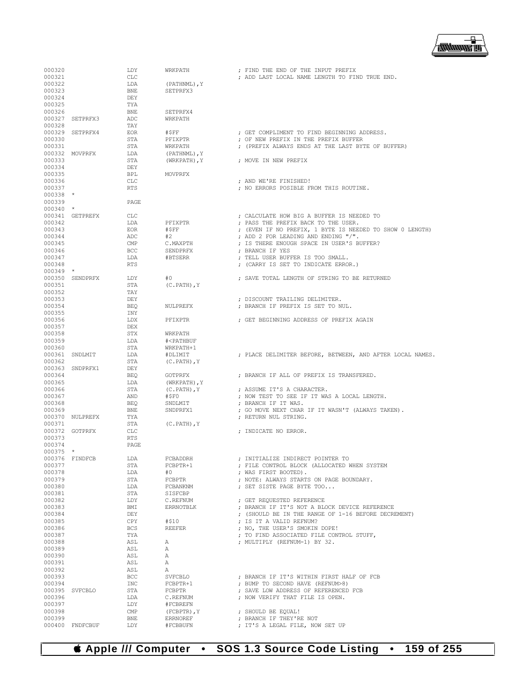

| 000320     |                 | LDY          | WRKPATH                                | ; FIND THE END OF THE INPUT PREFIX                         |
|------------|-----------------|--------------|----------------------------------------|------------------------------------------------------------|
| 000321     |                 | CLC          |                                        | ; ADD LAST LOCAL NAME LENGTH TO FIND TRUE END.             |
| 000322     |                 | LDA          | (PATHNML), Y                           |                                                            |
| 000323     |                 | <b>BNE</b>   | SETPRFX3                               |                                                            |
| 000324     |                 | DEY          |                                        |                                                            |
| 000325     |                 | TYA          |                                        |                                                            |
| 000326     |                 | <b>BNE</b>   | SETPRFX4                               |                                                            |
|            | 000327 SETPRFX3 |              |                                        |                                                            |
|            |                 | ADC          | WRKPATH                                |                                                            |
| 000328     |                 | TAY          |                                        |                                                            |
|            | 000329 SETPRFX4 | <b>EOR</b>   | #\$FF                                  | ; GET COMPLIMENT TO FIND BEGINNING ADDRESS.                |
| 000330     |                 | STA          | PFIXPTR                                | ; OF NEW PREFIX IN THE PREFIX BUFFER                       |
| 000331     |                 | STA          | WRKPATH                                | ; (PREFIX ALWAYS ENDS AT THE LAST BYTE OF BUFFER)          |
|            | 000332 MOVPRFX  | LDA          | (PATHNML), Y                           |                                                            |
| 000333     |                 | STA          | (WRKPATH), Y                           | ; MOVE IN NEW PREFIX                                       |
| 000334     |                 | DEY          |                                        |                                                            |
| 000335     |                 | <b>BPL</b>   | MOVPRFX                                |                                                            |
| 000336     |                 | CLC          |                                        | ; AND WE'RE FINISHED!                                      |
| 000337     |                 | <b>RTS</b>   |                                        | ; NO ERRORS POSIBLE FROM THIS ROUTINE.                     |
|            |                 |              |                                        |                                                            |
| $000338$ * |                 |              |                                        |                                                            |
| 000339     |                 | PAGE         |                                        |                                                            |
| $000340$ * |                 |              |                                        |                                                            |
|            | 000341 GETPREFX | <b>CLC</b>   |                                        | ; CALCULATE HOW BIG A BUFFER IS NEEDED TO                  |
| 000342     |                 | LDA          | PFIXPTR                                | ; PASS THE PREFIX BACK TO THE USER.                        |
| 000343     |                 | <b>EOR</b>   | #SFF                                   | ; (EVEN IF NO PREFIX, 1 BYTE IS NEEDED TO SHOW 0 LENGTH)   |
| 000344     |                 | ADC          | #2                                     | ; ADD 2 FOR LEADING AND ENDING "/".                        |
| 000345     |                 | $\text{CMP}$ | C.MAXPTH                               | : IS THERE ENOUGH SPACE IN USER'S BUFFER?                  |
| 000346     |                 | BCC          | SENDPRFX                               | : BRANCH IF YES                                            |
| 000347     |                 | LDA          | #BTSERR                                | ; TELL USER BUFFER IS TOO SMALL.                           |
|            |                 |              |                                        |                                                            |
| 000348     |                 | <b>RTS</b>   |                                        | ; (CARRY IS SET TO INDICATE ERROR.)                        |
| $000349$ * |                 |              |                                        |                                                            |
|            | 000350 SENDPRFX | LDY          | #0                                     | ; SAVE TOTAL LENGTH OF STRING TO BE RETURNED               |
| 000351     |                 | STA          | $(C.PATH)$ , $Y$                       |                                                            |
| 000352     |                 | TAY          |                                        |                                                            |
| 000353     |                 | DEY          |                                        | ; DISCOUNT TRAILING DELIMITER.                             |
| 000354     |                 | <b>BEQ</b>   | NULPREFX                               | ; BRANCH IF PREFIX IS SET TO NUL.                          |
| 000355     |                 | INY          |                                        |                                                            |
| 000356     |                 | LDX          | PFIXPTR                                | ; GET BEGINNING ADDRESS OF PREFIX AGAIN                    |
|            |                 |              |                                        |                                                            |
| 000357     |                 | DEX          |                                        |                                                            |
| 000358     |                 | STX          | WRKPATH                                |                                                            |
| 000359     |                 | LDA          | # <pathbuf< td=""><td></td></pathbuf<> |                                                            |
|            |                 |              |                                        |                                                            |
| 000360     |                 | STA          | WRKPATH+1                              |                                                            |
|            | 000361 SNDLMIT  | LDA          | #DLIMIT                                | ; PLACE DELIMITER BEFORE, BETWEEN, AND AFTER LOCAL NAMES.  |
| 000362     |                 | STA          | $(C.PATH)$ , Y                         |                                                            |
|            |                 | DEY          |                                        |                                                            |
|            | 000363 SNDPRFX1 |              |                                        |                                                            |
| 000364     |                 | BEO          | <b>GOTPRFX</b>                         | ; BRANCH IF ALL OF PREFIX IS TRANSFERED.                   |
| 000365     |                 | LDA          | (WRKPATH), Y                           |                                                            |
| 000366     |                 | STA          | $(C.PATH)$ , Y                         | ; ASSUME IT'S A CHARACTER.                                 |
| 000367     |                 | AND          | #\$F0                                  | ; NOW TEST TO SEE IF IT WAS A LOCAL LENGTH.                |
| 000368     |                 | <b>BEO</b>   | SNDLMIT                                | ; BRANCH IF IT WAS.                                        |
| 000369     |                 | BNE          | SNDPRFX1                               | ; GO MOVE NEXT CHAR IF IT WASN'T (ALWAYS TAKEN).           |
|            | 000370 NULPREFX | TYA          |                                        | ; RETURN NUL STRING.                                       |
| 000371     |                 | STA          | $(C.PATH)$ , $Y$                       |                                                            |
|            | 000372 GOTPRFX  | CLC          |                                        | ; INDICATE NO ERROR.                                       |
| 000373     |                 | RTS          |                                        |                                                            |
| 000374     |                 | PAGE         |                                        |                                                            |
|            |                 |              |                                        |                                                            |
| $000375$ * |                 |              |                                        |                                                            |
|            | 000376 FINDFCB  | LDA          | FCBADDRH                               | ; INITIALIZE INDIRECT POINTER TO                           |
| 000377     |                 | STA          | FCBPTR+1                               | ; FILE CONTROL BLOCK (ALLOCATED WHEN SYSTEM                |
| 000378     |                 | LDA          | #0                                     | ; WAS FIRST BOOTED).                                       |
| 000379     |                 | STA          | FCBPTR                                 | ; NOTE: ALWAYS STARTS ON PAGE BOUNDARY.                    |
| 000380     |                 | LDA          | FCBANKNM                               | ; SET SISTE PAGE BYTE TOO                                  |
| 000381     |                 | STA          | SISFCBP                                |                                                            |
| 000382     |                 | LDY          | C.REFNUM                               | : GET REOUESTED REFERENCE                                  |
| 000383     |                 | BMI          | ERRNOTBLK                              | ; BRANCH IF IT'S NOT A BLOCK DEVICE REFERENCE              |
| 000384     |                 | DEY          |                                        | ; (SHOULD BE IN THE RANGE OF 1-16 BEFORE DECREMENT)        |
| 000385     |                 | CPY          | #\$10                                  | : IS IT A VALID REFNUM?                                    |
| 000386     |                 | BCS          | REEFER                                 | ; NO, THE USER'S SMOKIN DOPE!                              |
|            |                 |              |                                        |                                                            |
| 000387     |                 | TYA          |                                        | ; TO FIND ASSOCIATED FILE CONTROL STUFF,                   |
| 000388     |                 | ASL          | А                                      | ; MULTIPLY (REFNUM-1) BY 32.                               |
| 000389     |                 | ASL          | Α                                      |                                                            |
| 000390     |                 | ASL          | Α                                      |                                                            |
| 000391     |                 | ASL          | Α                                      |                                                            |
| 000392     |                 | ASL          | Α                                      |                                                            |
| 000393     |                 | BCC          | SVFCBLO                                | ; BRANCH IF IT'S WITHIN FIRST HALF OF FCB                  |
| 000394     |                 | INC          | FCBPTR+1                               | ; BUMP TO SECOND HAVE (REFNUM>8)                           |
|            | 000395 SVFCBLO  | STA          | FCBPTR                                 | ; SAVE LOW ADDRESS OF REFERENCED FCB                       |
| 000396     |                 | LDA          | C.REFNUM                               | ; NOW VERIFY THAT FILE IS OPEN.                            |
| 000397     |                 | LDY          | #FCBREFN                               |                                                            |
|            |                 |              |                                        |                                                            |
| 000398     |                 | $\text{CMP}$ | (FCBPTR), Y                            | ; SHOULD BE EQUAL!                                         |
| 000399     | 000400 FNDFCBUF | BNE<br>LDY   | <b>ERRNOREF</b><br>#FCBBUFN            | ; BRANCH IF THEY'RE NOT<br>; IT'S A LEGAL FILE, NOW SET UP |

 **Apple /// Computer • SOS 1.3 Source Code Listing • 159 of 255**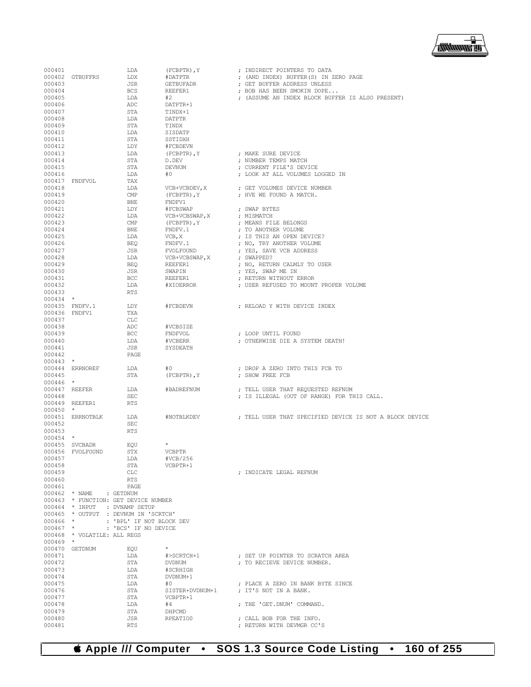

| 000401<br>000403     | 000402 GTBUFFRS             | LDA<br>LDX<br>JSR                                                     | $(FCBPTR)$ , $Y$<br>#DATPTR<br>GETBUFADR | ; INDIRECT POINTERS TO DATA<br>; (AND INDEX) BUFFER (S) IN ZERO PAGE<br>; GET BUFFER ADDRESS UNLESS |
|----------------------|-----------------------------|-----------------------------------------------------------------------|------------------------------------------|-----------------------------------------------------------------------------------------------------|
| 000404               |                             | BCS                                                                   | REEFER1                                  | ; BOB HAS BEEN SMOKIN DOPE                                                                          |
| 000405               |                             | LDA                                                                   | #2                                       | ; (ASSUME AN INDEX BLOCK BUFFER IS ALSO PRESENT)                                                    |
| 000406               |                             | ADC                                                                   | DATPTR+1<br>TINDX+1                      |                                                                                                     |
| 000407<br>000408     |                             | STA<br>LDA                                                            | DATPTR                                   |                                                                                                     |
| 000409               |                             | STA                                                                   | TINDX                                    |                                                                                                     |
| 000410               |                             | LDA                                                                   | SISDATP                                  |                                                                                                     |
| 000411               |                             | STA                                                                   | SSTIDXH                                  |                                                                                                     |
| 000412               |                             | LDY                                                                   | #FCBDEVN                                 |                                                                                                     |
| 000413<br>000414     |                             | LDA<br>STA                                                            | (FCBPTR), Y<br>D.DEV                     | ; MAKE SURE DEVICE<br>: NUMBER TEMPS MATCH                                                          |
| 000415               |                             | STA                                                                   | DEVNUM                                   | ; CURRENT FILE'S DEVICE                                                                             |
| 000416               |                             | LDA                                                                   | #0                                       | ; LOOK AT ALL VOLUMES LOGGED IN                                                                     |
|                      | 000417 FNDFVOL              | TAX                                                                   |                                          |                                                                                                     |
| 000418               |                             | LDA                                                                   | VCB+VCBDEV, X                            | ; GET VOLUMES DEVICE NUMBER                                                                         |
| 000419<br>000420     |                             | $\mathop{\mathrm{CMP}}$<br>BNE                                        | (FCBPTR), Y<br>FNDFV1                    | ; HVE WE FOUND A MATCH.                                                                             |
| 000421               |                             | LDY                                                                   | #FCBSWAP                                 | ; SWAP BYTES                                                                                        |
| 000422               |                             | LDA                                                                   | VCB+VCBSWAP, X                           | ; MISMATCH                                                                                          |
| 000423               |                             | CMP                                                                   | (FCBPTR), Y                              | ; MEANS FILE BELONGS                                                                                |
| 000424               |                             | BNE                                                                   | FNDFV.1                                  | ; TO ANOTHER VOLUME                                                                                 |
| 000425               |                             | LDA                                                                   | VCB, X                                   | ; IS THIS AN OPEN DEVICE?                                                                           |
| 000426<br>000427     |                             | BEO<br>JSR                                                            | FNDFV.1                                  | ; NO, TRY ANOTHER VOLUME                                                                            |
| 000428               |                             | LDA                                                                   | FVOLFOUND<br>VCB+VCBSWAP, X              | ; YES, SAVE VCB ADDRESS<br>; SWAPPED?                                                               |
| 000429               |                             | BEO                                                                   | REEFER1                                  | ; NO, RETURN CALMLY TO USER                                                                         |
| 000430               |                             | JSR                                                                   | SWAPIN                                   | ; YES, SWAP ME IN                                                                                   |
| 000431               |                             | <b>BCC</b>                                                            | REEFER1                                  | ; RETURN WITHOUT ERROR                                                                              |
| 000432               |                             | LDA                                                                   | #XIOERROR                                | ; USER REFUSED TO MOUNT PROPER VOLUME                                                               |
| 000433               |                             | <b>RTS</b>                                                            |                                          |                                                                                                     |
| $000434$ *           | 000435 FNDFV.1              | LDY                                                                   | #FCBDEVN                                 | : RELOAD Y WITH DEVICE INDEX                                                                        |
| 000436 FNDFV1        |                             | TXA                                                                   |                                          |                                                                                                     |
| 000437               |                             | CLC                                                                   |                                          |                                                                                                     |
| 000438               |                             | ADC                                                                   | #VCBSIZE                                 |                                                                                                     |
| 000439               |                             | <b>BCC</b>                                                            | FNDFVOL                                  | ; LOOP UNTIL FOUND                                                                                  |
| 000440               |                             | LDA                                                                   | #VCBERR                                  | ; OTHERWISE DIE A SYSTEM DEATH!                                                                     |
| 000441               |                             | JSR                                                                   | SYSDEATH                                 |                                                                                                     |
| 000442<br>$000443$ * |                             | PAGE                                                                  |                                          |                                                                                                     |
|                      | 000444 ERRNOREF             | LDA                                                                   | #0                                       | ; DROP A ZERO INTO THIS FCB TO                                                                      |
| 000445               |                             | STA                                                                   | $(FCBPTR)$ , $Y$                         | ; SHOW FREE FCB                                                                                     |
| $000446$ *           |                             |                                                                       |                                          |                                                                                                     |
|                      | 000447 REEFER               | LDA                                                                   | #BADREFNUM                               | ; TELL USER THAT REQUESTED REFNUM                                                                   |
| 000448               |                             | <b>SEC</b><br><b>RTS</b>                                              |                                          | ; IS ILLEGAL (OUT OF RANGE) FOR THIS CALL.                                                          |
| $000450$ *           | 000449 REEFER1              |                                                                       |                                          |                                                                                                     |
|                      | 000451 ERRNOTBLK            | LDA                                                                   | #NOTBLKDEV                               | ; TELL USER THAT SPECIFIED DEVICE IS NOT A BLOCK DEVICE                                             |
| 000452               |                             | SEC                                                                   |                                          |                                                                                                     |
| 000453               |                             | <b>RTS</b>                                                            |                                          |                                                                                                     |
| $000454$ *           |                             |                                                                       |                                          |                                                                                                     |
|                      | 000455 SVCBADR              | EQU<br>STX                                                            | $\star$<br><b>VCBPTR</b>                 |                                                                                                     |
| 000457               | 000456 FVOLFOUND            | LDA                                                                   | #VCB/256                                 |                                                                                                     |
| 000458               |                             | STA                                                                   | VCBPTR+1                                 |                                                                                                     |
| 000459               |                             | <b>CLC</b>                                                            |                                          | : INDICATE LEGAL REFNUM                                                                             |
| 000460               |                             | RTS                                                                   |                                          |                                                                                                     |
| 000461               |                             | PAGE                                                                  |                                          |                                                                                                     |
|                      | 000462 * NAME               | : GETDNUM                                                             |                                          |                                                                                                     |
|                      |                             | 000463 * FUNCTION: GET DEVICE NUMBER<br>000464 * INPUT : DVNAMP SETUP |                                          |                                                                                                     |
|                      |                             | 000465 * OUTPUT : DEVNUM IN 'SCRTCH'                                  |                                          |                                                                                                     |
| $000466$ *           |                             | : 'BPL' IF NOT BLOCK DEV                                              |                                          |                                                                                                     |
| $000467$ *           |                             | : 'BCS' IF NO DEVICE                                                  |                                          |                                                                                                     |
|                      | 000468 * VOLATILE: ALL REGS |                                                                       |                                          |                                                                                                     |
| $000469$ *           |                             |                                                                       |                                          |                                                                                                     |
| 000471               | 000470 GETDNUM              | EQU<br>LDA                                                            | #>SCRTCH+1                               | ; SET UP POINTER TO SCRATCH AREA                                                                    |
| 000472               |                             | STA                                                                   | <b>DVDNUM</b>                            | : TO RECIEVE DEVICE NUMBER.                                                                         |
| 000473               |                             | LDA                                                                   | #SCRHIGH                                 |                                                                                                     |
| 000474               |                             | STA                                                                   | DVDNUM+1                                 |                                                                                                     |
| 000475               |                             | LDA                                                                   | #0                                       | ; PLACE A ZERO IN BANK BYTE SINCE                                                                   |
| 000476               |                             | STA                                                                   | SISTER+DVDNUM+1                          | ; IT'S NOT IN A BANK.                                                                               |
| 000477               |                             | STA                                                                   | VCBPTR+1                                 |                                                                                                     |
| 000478<br>000479     |                             | LDA<br>STA                                                            | #4<br>DHPCMD                             | ; THE 'GET.DNUM' COMMAND.                                                                           |
| 000480               |                             | JSR                                                                   | RPEATIO0                                 | ; CALL BOB FOR THE INFO.                                                                            |
| 000481               |                             | <b>RTS</b>                                                            |                                          | ; RETURN WITH DEVMGR CC'S                                                                           |
|                      |                             |                                                                       |                                          |                                                                                                     |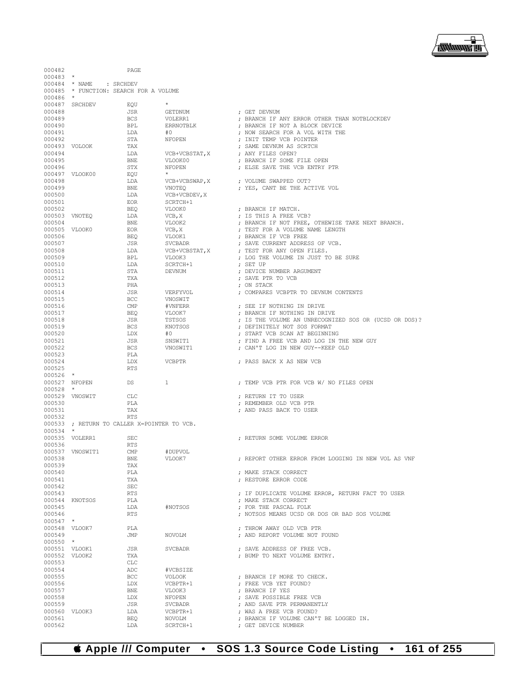

000482 PAGE

000523 PLA<br>000524 LDX

000536 RTS<br>000537 VNOSWIT1 CMP

000539 TAX<br>000540 PLA

000542 SEC<br>000543 RTS

000553 CLC<br>000554 ADC

; RETURN TO CALLER X=POINTER TO VCB.

000537 VNOSWIT1 CMP #DUPVOL<br>000538 BNE VLOOK7

000554 ADC #VCBSIZE

000525

000532<br>000533

000526 \*<br>000527 NFOPEN

000528 \*<br>000529 VNOSWIT

000534 \*<br>000535 VOLERR1

000547 \*<br>000548 VLOOK7

000550 \*<br>000551 VLOOK1

 $000483$  \*<br>000484 \* NAME

000484 \* NAME : SRCHDEV<br>000485 \* FUNCTION: SEARCH I \* FUNCTION: SEARCH FOR A VOLUME

000486<br>000487

- 
- $\begin{array}{lllll} 000487 & \text{SRC} & \text{EC} & \text{RQU} & \star \\ 000488 & & \text{JSR} & & \text{GETDNUM} \end{array}$
- 000489 BCS VOLERR1 ; BRANCH IF ANY ERROR OTHER THAN NOTBLOCKDEV 000490 BPL ERRNOTBLK ; BRANCH IF NOT A BLOCK DEVICE

000488 JSR GETDNUM ; GET DEVNUM

- 000491  $\begin{array}{cccc}\n LDA \\
#0 \\
NFOPEN\n \end{array}$  ; NOW SEARCH FOR A VOL WITH THE 000492 STA NFOPEN ; INIT TEMP VCB POINTER 000493 VOLOOK TAX  $\begin{array}{ccc} TAX \\ CD0494 \end{array}$  ; SAME DEVNUM AS SCRTCH 000494  $\begin{array}{ccc} \text{LDA} \end{array}$  VCB+VCBSTAT, X ; ANY FILES OPEN? 000494 LDA VCB+VCBSTAT,X ; ANY FILES OPEN? 000495 BNE VLOOK00 ; BRANCH IF SOME FILE OPEN 000496 STX NFOPEN ; ELSE SAVE THE VCB ENTRY PTR 000497 VLOOK00 EQU \* 000498 LDA VCB+VCBSWAP,X ; VOLUME SWAPPED OUT? 000499 BNE VNOTEQ ; YES, CANT BE THE ACTIVE VOL 000500 LDA VCB+VCBDEV, X <br/> X <br/> <br/> <br/> <br/> <br/> <br/> <br/> <br/> <br/> <br/> <br/><br/><br/> $\begin{array}{ll}\text{FOR} & \text{SCRTCH+1} \end{array}$  $\begin{array}{cccc}\n 000501 & & & & \text{EOR} & & & \text{SCRTCH}+1 \\
000502 & & & & \text{BEQ} & & & \text{VLOOK0}\n \end{array}$ 000502 BEQ VLOOK0 ; BRANCH IF MATCH. 000503 VNOTEQ LDA VCB,X ; IS THIS A FREE VCB? 000504 BNE VLOOK2 ; BRANCH IF NOT FREE, OTHEWISE TAKE NEXT BRANCH. 000505 VLOOK0 EOR  $VCB$ ,  $X$  ; TEST FOR A VOLUME NAME LENGTH  $O00506$  BECO STATED TRANCH IF VCB FREE. 000506 BEQ VLOOK1 ; BRANCH IF VCB FREE 000507 JSR SVCBADR ; SAVE CURRENT ADDRESS OF VCB. 000508 LDA VCB+VCBSTAT,X ; TEST FOR ANY OPEN FILES. 000509 BPL VLOOK3 ; LOG THE VOLUME IN JUST TO BE SURE 000510 LDA SCRTCH+1 ; SET UP ; DEVICE NUMBER ARGUMENT 000512 TXA TXA ; SAVE PTR TO VCB (000512) TXA (000512) 000513 PHA ; ON STACK 000514 JSR VERFYVOL ; COMPARES VCBPTR TO DEVNUM CONTENTS 000515 BCC VNOSWIT<br>000516 CMP #VNFERR 000516 CMP #VNFERR ; SEE IF NOTHING IN DRIVE 000517 BEQ VLOOK7 ; BRANCH IF NOTHING IN DRIVE 000518 JSR TSTSOS ; IS THE VOLUME AN UNRECOGNIZED SOS OR (UCSD OR DOS)? 000519 BCS KNOTSOS ; DEFINITELY NOT SOS FORMAT 000520 LDX #0 ; START VCB SCAN AT BEGINNING 000521 JSR SNSWIT1 ; FIND A FREE VCB AND LOG IN THE NEW GUY  $\begin{array}{lll} \texttt{BCS} & \texttt{VNOSWIT1} & \texttt{CAN'T LOG IN NEW GUY--KEEP OLD} \\ \texttt{PI.A} & & & \end{array}$ 
	- DEX VCBPTR ; PASS BACK X AS NEW VCB RTS DS 1 3 1 2 2 2 27 NEMP VCB PTR FOR VCB W/ NO FILES OPEN
- 000529 VNOSWIT CLC CLC (CLC ) FRETURN IT TO USER (000530 ) FREMENBER OLD VCB I
- 000530 PLA ; REMEMBER OLD VCB PTR
	- 000531 TAX ; AND PASS BACK TO USER
		-
	- SEC ; RETURN SOME VOLUME ERROR
		- : REPORT OTHER ERROR FROM LOGGING IN NEW VOL AS VNF
			-
- 000540 PLA ; MAKE STACK CORRECT : RESTORE ERROR CODE
	-
- 000543 RTS ; IF DUPLICATE VOLUME ERROR, RETURN FACT TO USER
	- : MAKE STACK CORRECT
- 000545 LDA #NOTSOS ; FOR THE PASCAL FOLK 000546 RTS ; NOTSOS MEANS UCSD OR DOS OR BAD SOS VOLUME
- 000548 VLOOK7 PLA ; THROW AWAY OLD VCB PTR
	- : AND REPORT VOLUME NOT FOUND
- 000551 VLOOK1 JSR SVCBADR ; SAVE ADDRESS OF FREE VCB.
	- $\begin{array}{lll} {\rm FNA} & \hspace{1.5cm} {\rm DUMP} & {\rm TO} & {\rm NEXT} & {\rm VOLUME} & {\rm ENTRY.} \end{array}$  <br> CLC
		-
- 000555 BCC VOLOOK ; BRANCH IF MORE TO CHECK. 000556  $\text{LDX}$  vCBPTR+1 ; FREE VCB YET FOUND?<br>000557 BNE VLOOK3 ; BRANCH IF YES
- 000557 BNE VLOOK3 ; BRANCH IF YES
- 000558 LDX NFOPEN ; SAVE POSSIBLE FREE VCB 000559 JSR SVCBADR ; AND SAVE PTR PERMANENTLY
- 000560 VLOOK3 LDA VCBPTR+1 ; WAS A FREE VCB FOUND?
- 000561 BEQ NOVOLM **;** BRANCH IF VOLUME CAN'T BE LOGGED IN.<br>000562 LDA SCRTCH+1 **;** GET DEVICE NUMBER : GET DEVICE NUMBER
	-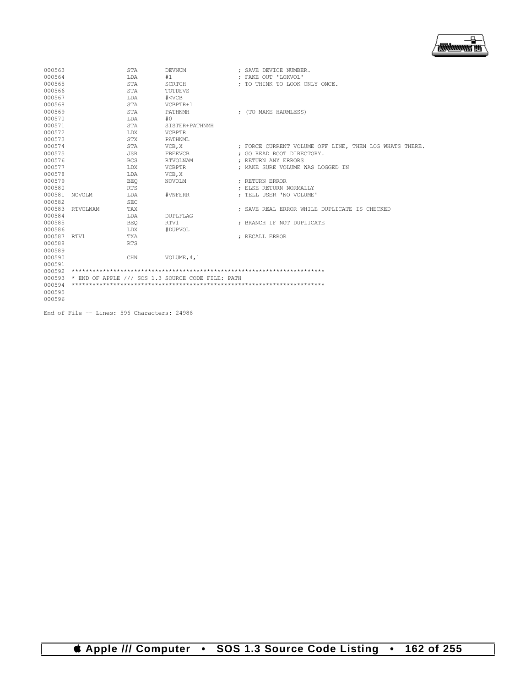

| 000563<br>000564<br>000565<br>000566<br>000567 |                 | STA<br>T.DA<br><b>STA</b><br>STA<br>LDA               | <b>DEVNUM</b><br>#1<br><b>SCRTCH</b><br>TOTDEVS<br># < VCB       | : SAVE DEVICE NUMBER.<br>: FAKE OUT 'LOKVOL'<br>: TO THINK TO LOOK ONLY ONCE.                              |
|------------------------------------------------|-----------------|-------------------------------------------------------|------------------------------------------------------------------|------------------------------------------------------------------------------------------------------------|
| 000568<br>000569<br>000570<br>000571           |                 | <b>STA</b><br><b>STA</b><br>T.DA<br><b>STA</b>        | VCBPTR+1<br>PATHNMH<br>#0<br>SISTER+PATHNMH                      | : (TO MAKE HARMLESS)                                                                                       |
| 000572<br>000573<br>000574<br>000575<br>000576 |                 | LDX<br><b>STX</b><br><b>STA</b><br>JSR.<br><b>BCS</b> | <b>VCBPTR</b><br>PATHNML<br>VCB, X<br><b>FREEVCB</b><br>RTVOLNAM | ; FORCE CURRENT VOLUME OFF LINE, THEN LOG WHATS THERE.<br>: GO READ ROOT DIRECTORY.<br>: RETURN ANY ERRORS |
| 000577<br>000578<br>000579<br>000580<br>000581 | NOVOLM          | LDX<br>LDA<br><b>BEO</b><br><b>RTS</b><br>LDA         | <b>VCBPTR</b><br>VCB, X<br>NOVOLM<br>#VNFERR                     | : MAKE SURE VOLUME WAS LOGGED IN<br>: RETURN ERROR<br>: ELSE RETURN NORMALLY<br>: TELL USER 'NO VOLUME'    |
| 000582<br>000584<br>000585<br>000586           | 000583 RTVOLNAM | <b>SEC</b><br>TAX<br>LDA<br><b>BEO</b><br>LDX         | <b>DUPLFLAG</b><br>RTV1<br>#DUPVOL                               | : SAVE REAL ERROR WHILE DUPLICATE IS CHECKED<br>: BRANCH IF NOT DUPLICATE                                  |
| 000587<br>000588<br>000589<br>000590           | RTV1            | TXA<br><b>RTS</b><br>CHN                              | VOLUME, 4, 1                                                     | : RECALL ERROR                                                                                             |
| 000591<br>000594<br>000595<br>000596           |                 |                                                       | 000593 * END OF APPLE /// SOS 1.3 SOURCE CODE FILE: PATH         |                                                                                                            |

End of File -- Lines: 596 Characters: 24986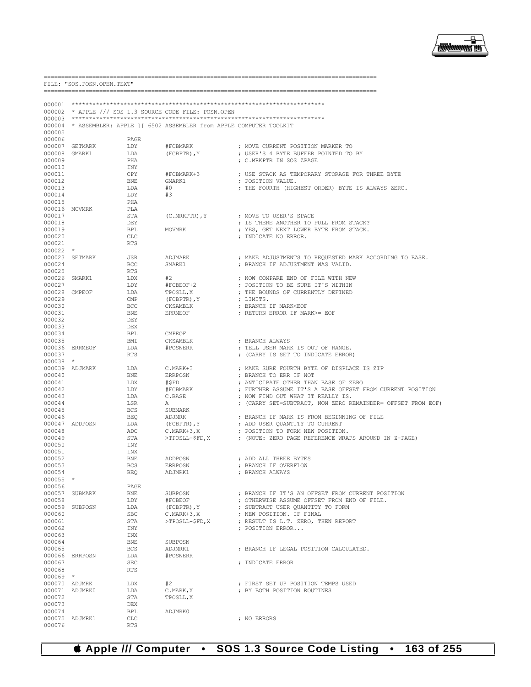

|                  | FILE: "SOS. POSN. OPEN. TEXT" |                             |                                                                          |                                                                  |
|------------------|-------------------------------|-----------------------------|--------------------------------------------------------------------------|------------------------------------------------------------------|
|                  |                               |                             |                                                                          |                                                                  |
|                  |                               |                             | 000002 * APPLE /// SOS 1.3 SOURCE CODE FILE: POSN.OPEN                   |                                                                  |
|                  |                               |                             |                                                                          |                                                                  |
|                  |                               |                             | 000004 * ASSEMBLER: APPLE ] [ 6502 ASSEMBLER from APPLE COMPUTER TOOLKIT |                                                                  |
| 000005           |                               |                             |                                                                          |                                                                  |
| 000006           |                               | PAGE                        |                                                                          |                                                                  |
|                  | 000007 GETMARK                | LDY                         | #FCBMARK                                                                 | ; MOVE CURRENT POSITION MARKER TO                                |
| 000008 GMARK1    |                               | LDA                         | $(FCBPTR)$ , $Y$                                                         | ; USER'S 4 BYTE BUFFER POINTED TO BY                             |
| 000009           |                               | PHA                         |                                                                          | ; C.MRKPTR IN SOS ZPAGE                                          |
| 000010           |                               | INY                         |                                                                          |                                                                  |
| 000011           |                               | CPY                         | #FCBMARK+3                                                               | ; USE STACK AS TEMPORARY STORAGE FOR THREE BYTE                  |
| 000012           |                               | BNE                         | GMARK1                                                                   | ; POSITION VALUE.                                                |
| 000013           |                               | LDA                         | #0                                                                       | ; THE FOURTH (HIGHEST ORDER) BYTE IS ALWAYS ZERO.                |
| 000014           |                               | LDY                         | #3                                                                       |                                                                  |
| 000015           |                               | PHA                         |                                                                          |                                                                  |
|                  | 000016 MOVMRK                 | PLA                         |                                                                          |                                                                  |
| 000017           |                               | STA                         | $(C.MRKPTR)$ , Y                                                         | ; MOVE TO USER'S SPACE<br>; IS THERE ANOTHER TO PULL FROM STACK? |
| 000018<br>000019 |                               | DEY<br>BPL                  | MOVMRK                                                                   | ; YES, GET NEXT LOWER BYTE FROM STACK.                           |
| 000020           |                               | CLC                         |                                                                          | ; INDICATE NO ERROR.                                             |
| 000021           |                               | <b>RTS</b>                  |                                                                          |                                                                  |
| $000022$ *       |                               |                             |                                                                          |                                                                  |
|                  | 000023 SETMARK                | JSR                         | ADJMARK                                                                  | ; MAKE ADJUSTMENTS TO REQUESTED MARK ACCORDING TO BASE.          |
| 000024           |                               | <b>BCC</b>                  | SMARK1                                                                   | ; BRANCH IF ADJUSTMENT WAS VALID.                                |
| 000025           |                               | RTS                         |                                                                          |                                                                  |
| 000026 SMARK1    |                               | LDX                         | #2                                                                       | ; NOW COMPARE END OF FILE WITH NEW                               |
| 000027           |                               | LDY                         | #FCBEOF+2                                                                | : POSITION TO BE SURE IT'S WITHIN                                |
|                  | 000028 CMPEOF                 | LDA                         | TPOSLL, X                                                                | ; THE BOUNDS OF CURRENTLY DEFINED                                |
| 000029           |                               | $\ensuremath{\mathrm{CMP}}$ | (FCBPTR), Y                                                              | ; LIMITS.                                                        |
| 000030           |                               | BCC                         | CKSAMBLK                                                                 | ; BRANCH IF MARK <eof< td=""></eof<>                             |
| 000031           |                               | BNE                         | ERRMEOF                                                                  | ; RETURN ERROR IF MARK>= EOF                                     |
| 000032           |                               | DEY                         |                                                                          |                                                                  |
| 000033           |                               | DEX                         |                                                                          |                                                                  |
| 000034           |                               | BPL                         | CMPEOF                                                                   |                                                                  |
| 000035           |                               | BMI                         | CKSAMBLK                                                                 | ; BRANCH ALWAYS                                                  |
|                  | 000036 ERRMEOF                | LDA                         | #POSNERR                                                                 | ; TELL USER MARK IS OUT OF RANGE.                                |
| 000037           |                               | RTS                         |                                                                          | ; (CARRY IS SET TO INDICATE ERROR)                               |
| $000038$ *       |                               |                             |                                                                          |                                                                  |
|                  | 000039 ADJMARK                | LDA                         | C.MARK+3                                                                 | ; MAKE SURE FOURTH BYTE OF DISPLACE IS ZIP                       |
| 000040           |                               | BNE                         | ERRPOSN                                                                  | ; BRANCH TO ERR IF NOT                                           |
| 000041           |                               | LDX                         | #\$FD                                                                    | ; ANTICIPATE OTHER THAN BASE OF ZERO                             |
| 000042           |                               | LDY                         | #FCBMARK                                                                 | ; FURTHER ASSUME IT'S A BASE OFFSET FROM CURRENT POSITION        |
| 000043           |                               | LDA                         | C.BASE                                                                   | ; NOW FIND OUT WHAT IT REALLY IS.                                |
| 000044           |                               | LSR                         | Α                                                                        | ; (CARRY SET=SUBTRACT, NON ZERO REMAINDER= OFFSET FROM EOF)      |
| 000045           |                               | <b>BCS</b>                  | SUBMARK                                                                  |                                                                  |
| 000046           |                               | BEQ                         | ADJMRK                                                                   | ; BRANCH IF MARK IS FROM BEGINNING OF FILE                       |
|                  | 000047 ADDPOSN                | LDA                         | (FCBPTR), Y                                                              | ; ADD USER QUANTITY TO CURRENT                                   |
| 000048           |                               | ADC                         | C.MARK+3,X                                                               | ; POSITION TO FORM NEW POSITION.                                 |
| 000049           |                               | STA                         | $>$ TPOSLL-\$FD, X                                                       | ; (NOTE: ZERO PAGE REFERENCE WRAPS AROUND IN Z-PAGE)             |
| 000050           |                               | INY                         |                                                                          |                                                                  |
| 000051           |                               | INX                         |                                                                          |                                                                  |
| 000052           |                               | <b>BNE</b>                  | ADDPOSN                                                                  | ; ADD ALL THREE BYTES                                            |
| 000053<br>000054 |                               | BCS                         | ERRPOSN                                                                  | ; BRANCH IF OVERFLOW                                             |
|                  |                               | BEO                         | ADJMRK1                                                                  | ; BRANCH ALWAYS                                                  |
| 000055 *         |                               |                             |                                                                          |                                                                  |
| 000056           | 000057 SUBMARK                | PAGE<br>BNE                 | SUBPOSN                                                                  | ; BRANCH IF IT'S AN OFFSET FROM CURRENT POSITION                 |
| 000058           |                               | LDY                         | #FCBEOF                                                                  | ; OTHERWISE ASSUME OFFSET FROM END OF FILE.                      |
|                  | 000059 SUBPOSN                | LDA                         | (FCBPTR), Y                                                              | ; SUBTRACT USER QUANTITY TO FORM                                 |
| 000060           |                               | <b>SBC</b>                  | $C.MARK+3, X$                                                            | ; NEW POSITION. IF FINAL                                         |
| 000061           |                               | STA                         | >TPOSLL-\$FD, X                                                          | ; RESULT IS L.T. ZERO, THEN REPORT                               |
| 000062           |                               | INY                         |                                                                          | ; POSITION ERROR                                                 |
| 000063           |                               | INX                         |                                                                          |                                                                  |
| 000064           |                               | BNE                         | SUBPOSN                                                                  |                                                                  |
| 000065           |                               | BCS                         | ADJMRK1                                                                  | ; BRANCH IF LEGAL POSITION CALCULATED.                           |
|                  | 000066 ERRPOSN                | LDA                         | #POSNERR                                                                 |                                                                  |
| 000067           |                               | <b>SEC</b>                  |                                                                          | ; INDICATE ERROR                                                 |
| 000068           |                               | <b>RTS</b>                  |                                                                          |                                                                  |
| $000069$ *       |                               |                             |                                                                          |                                                                  |
|                  | 000070 ADJMRK                 | LDX                         | #2                                                                       | ; FIRST SET UP POSITION TEMPS USED                               |
|                  | 000071 ADJMRK0                | LDA                         | C.MARK, X                                                                | ; BY BOTH POSITION ROUTINES                                      |
| 000072           |                               | STA                         | TPOSLL, X                                                                |                                                                  |
| 000073           |                               | DEX                         |                                                                          |                                                                  |
| 000074           |                               | BPL                         | ADJMRK0                                                                  |                                                                  |
|                  | 000075 ADJMRK1                | CLC                         |                                                                          | ; NO ERRORS                                                      |
| 000076           |                               | <b>RTS</b>                  |                                                                          |                                                                  |

SOS 1.3 Source Code Listing . 163 of 255 **S** Apple /// Computer  $\bullet$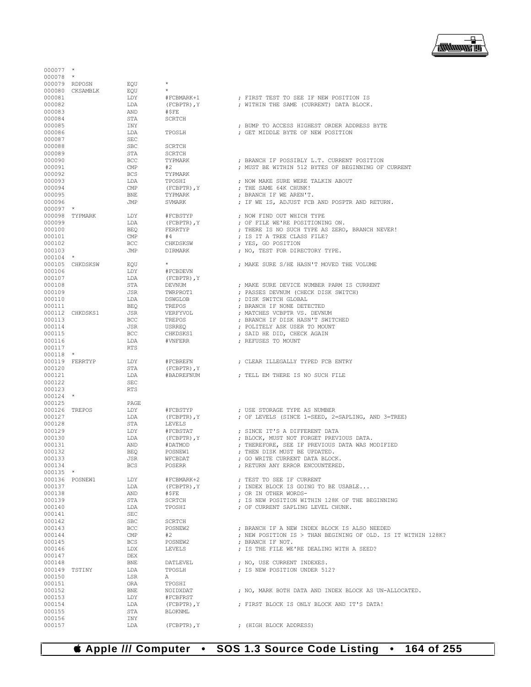

| 000078               | $\star$<br>000079 RDPOSN | EOU                                         | $^{\star}$                   |                                                                                   |
|----------------------|--------------------------|---------------------------------------------|------------------------------|-----------------------------------------------------------------------------------|
|                      | 000080 CKSAMBLK          | EQU                                         | $\star$                      |                                                                                   |
| 000081               |                          | LDY                                         | #FCBMARK+1                   | ; FIRST TEST TO SEE IF NEW POSITION IS                                            |
| 000082               |                          | LDA                                         | (FCBPTR), Y                  | ; WITHIN THE SAME (CURRENT) DATA BLOCK.                                           |
| 000083               |                          | AND                                         | #\$FE                        |                                                                                   |
| 000084               |                          | STA                                         | <b>SCRTCH</b>                |                                                                                   |
| 000085               |                          | INY                                         |                              | ; BUMP TO ACCESS HIGHEST ORDER ADDRESS BYTE                                       |
| 000086               |                          | LDA                                         | TPOSLH                       | ; GET MIDDLE BYTE OF NEW POSITION                                                 |
| 000087<br>000088     |                          | $\operatorname{\mathsf{SEC}}$<br><b>SBC</b> | <b>SCRTCH</b>                |                                                                                   |
| 000089               |                          | STA                                         | <b>SCRTCH</b>                |                                                                                   |
| 000090               |                          | <b>BCC</b>                                  | TYPMARK                      | ; BRANCH IF POSSIBLY L.T. CURRENT POSITION                                        |
| 000091               |                          | CMP                                         | #2                           | ; MUST BE WITHIN 512 BYTES OF BEGINNING OF CURRENT                                |
| 000092               |                          | <b>BCS</b>                                  | TYPMARK                      |                                                                                   |
| 000093               |                          | LDA                                         | TPOSHI                       | ; NOW MAKE SURE WERE TALKIN ABOUT                                                 |
| 000094               |                          | CMP                                         | (FCBPTR), Y                  | ; THE SAME 64K CHUNK!                                                             |
| 000095               |                          | BNE                                         | TYPMARK                      | ; BRANCH IF WE AREN'T.                                                            |
| 000096<br>$000097$ * |                          | JMP                                         | SVMARK                       | ; IF WE IS, ADJUST FCB AND POSPTR AND RETURN.                                     |
|                      | 000098 TYPMARK           | LDY                                         | #FCBSTYP                     | ; NOW FIND OUT WHICH TYPE                                                         |
| 000099               |                          | LDA                                         | (FCBPTR), Y                  | ; OF FILE WE'RE POSITIONING ON.                                                   |
| 000100               |                          | BEO                                         | FERRTYP                      | ; THERE IS NO SUCH TYPE AS ZERO, BRANCH NEVER!                                    |
| 000101               |                          | CMP                                         | #4                           | ; IS IT A TREE CLASS FILE?                                                        |
| 000102               |                          | <b>BCC</b>                                  | CHKDSKSW                     | ; YES, GO POSITION                                                                |
| 000103               |                          | JMP                                         | DIRMARK                      | ; NO, TEST FOR DIRECTORY TYPE.                                                    |
| $000104$ *           |                          |                                             |                              |                                                                                   |
|                      | 000105 CHKDSKSW          | EOU                                         | $\star$                      | ; MAKE SURE S/HE HASN'T MOVED THE VOLUME                                          |
| 000106<br>000107     |                          | LDY<br>LDA                                  | #FCBDEVN<br>$(FCBPTR)$ , $Y$ |                                                                                   |
| 000108               |                          | STA                                         | DEVNUM                       | ; MAKE SURE DEVICE NUMBER PARM IS CURRENT                                         |
| 000109               |                          | JSR                                         | TWRPROT1                     | ; PASSES DEVNUM (CHECK DISK SWITCH)                                               |
| 000110               |                          | LDA                                         | DSWGLOB                      | ; DISK SWITCH GLOBAL                                                              |
| 000111               |                          | BEO                                         | TREPOS                       | ; BRANCH IF NONE DETECTED                                                         |
|                      | 000112 CHKDSKS1          | JSR                                         | VERFYVOL                     | ; MATCHES VCBPTR VS. DEVNUM                                                       |
| 000113               |                          | <b>BCC</b>                                  | TREPOS                       | ; BRANCH IF DISK HASN'T SWITCHED                                                  |
| 000114               |                          | JSR                                         | USRREO                       | ; POLITELY ASK USER TO MOUNT                                                      |
| 000115<br>000116     |                          | <b>BCC</b><br>LDA                           | CHKDSKS1                     | ; SAID HE DID, CHECK AGAIN                                                        |
| 000117               |                          | <b>RTS</b>                                  | #VNFERR                      | ; REFUSES TO MOUNT                                                                |
| $000118$ *           |                          |                                             |                              |                                                                                   |
|                      | 000119 FERRTYP           | LDY                                         | #FCBREFN                     | ; CLEAR ILLEGALLY TYPED FCB ENTRY                                                 |
| 000120               |                          | STA                                         | $(FCBPTR)$ , $Y$             |                                                                                   |
| 000121               |                          | LDA                                         | #BADREFNUM                   | ; TELL EM THERE IS NO SUCH FILE                                                   |
| 000122               |                          | SEC                                         |                              |                                                                                   |
| 000123               |                          | <b>RTS</b>                                  |                              |                                                                                   |
| $000124$ *           |                          |                                             |                              |                                                                                   |
| 000125               |                          | PAGE                                        |                              |                                                                                   |
| 000127               | 000126 TREPOS            | LDY<br>LDA                                  | #FCBSTYP<br>(FCBPTR), Y      | ; USE STORAGE TYPE AS NUMBER<br>; OF LEVELS (SINCE 1=SEED, 2=SAPLING, AND 3=TREE) |
| 000128               |                          | STA                                         | LEVELS                       |                                                                                   |
| 000129               |                          | LDY                                         | #FCBSTAT                     | ; SINCE IT'S A DIFFERENT DATA                                                     |
| 000130               |                          | LDA                                         | (FCBPTR), Y                  | ; BLOCK, MUST NOT FORGET PREVIOUS DATA.                                           |
| 000131               |                          | AND                                         | #DATMOD                      | ; THEREFORE, SEE IF PREVIOUS DATA WAS MODIFIED                                    |
| 000132               |                          | <b>BEO</b>                                  | POSNEW1                      | ; THEN DISK MUST BE UPDATED.                                                      |
| 000133               |                          | JSR                                         | WFCBDAT                      | ; GO WRITE CURRENT DATA BLOCK.                                                    |
| 000134               |                          | BCS                                         | POSERR                       | ; RETURN ANY ERROR ENCOUNTERED.                                                   |
| $000135$ *           |                          |                                             |                              |                                                                                   |
| 000137               | 000136 POSNEW1           | LDY<br>LDA                                  | #FCBMARK+2<br>(FCBPTR), Y    | ; TEST TO SEE IF CURRENT<br>; INDEX BLOCK IS GOING TO BE USABLE                   |
| 000138               |                          | AND                                         | #\$FE                        | ; OR IN OTHER WORDS-                                                              |
| 000139               |                          | STA                                         | SCRTCH                       | ; IS NEW POSITION WITHIN 128K OF THE BEGINNING                                    |
| 000140               |                          | LDA                                         | TPOSHI                       | ; OF CURRENT SAPLING LEVEL CHUNK.                                                 |
| 000141               |                          | SEC                                         |                              |                                                                                   |
| 000142               |                          | SBC                                         | SCRTCH                       |                                                                                   |
| 000143               |                          | <b>BCC</b>                                  | POSNEW2                      | ; BRANCH IF A NEW INDEX BLOCK IS ALSO NEEDED                                      |
| 000144               |                          | CMP                                         | #2                           | ; NEW POSITION IS > THAN BEGINING OF OLD. IS IT WITHIN 128K?                      |
| 000145               |                          | BCS                                         | POSNEW2                      | ; BRANCH IF NOT.<br>; IS THE FILE WE'RE DEALING WITH A SEED?                      |
| 000146<br>000147     |                          | LDX<br>DEX                                  | LEVELS                       |                                                                                   |
| 000148               |                          | BNE                                         | DATLEVEL                     | ; NO, USE CURRENT INDEXES.                                                        |
|                      | 000149 TSTINY            | LDA                                         | TPOSLH                       | ; IS NEW POSITION UNDER 512?                                                      |
| 000150               |                          | LSR                                         | А                            |                                                                                   |
| 000151               |                          | ORA                                         | TPOSHI                       |                                                                                   |
| 000152               |                          | BNE                                         | NOIDXDAT                     | ; NO, MARK BOTH DATA AND INDEX BLOCK AS UN-ALLOCATED.                             |
| 000153               |                          | LDY                                         | #FCBFRST                     |                                                                                   |
| 000154               |                          | LDA                                         | (FCBPTR), Y                  | ; FIRST BLOCK IS ONLY BLOCK AND IT'S DATA!                                        |
| 000155               |                          | STA                                         | BLOKNML                      |                                                                                   |
| 000156<br>000157     |                          | INY<br>LDA                                  | (FCBPTR), Y                  | ; (HIGH BLOCK ADDRESS)                                                            |
|                      |                          |                                             |                              |                                                                                   |

000077 \*

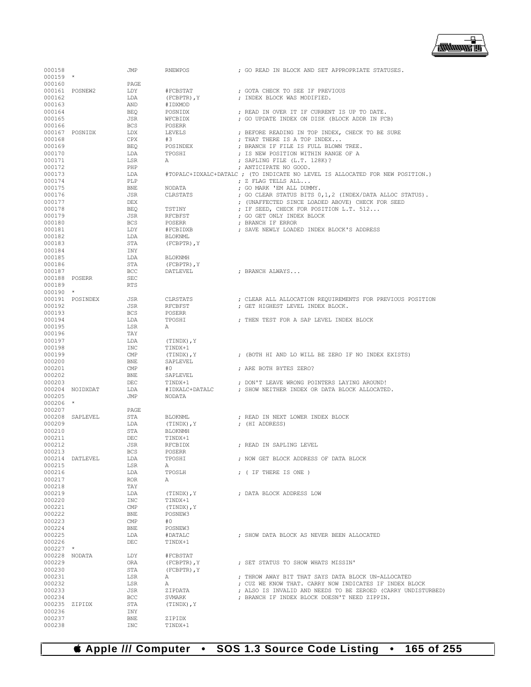

| 000158        |                 | JMP        | RNEWPOS         | ; GO READ IN BLOCK AND SET APPROPRIATE STATUSES.                              |
|---------------|-----------------|------------|-----------------|-------------------------------------------------------------------------------|
| $000159$ *    |                 |            |                 |                                                                               |
|               |                 |            |                 |                                                                               |
| 000160        |                 | PAGE       |                 |                                                                               |
|               | 000161 POSNEW2  | LDY        | #FCBSTAT        | ; GOTA CHECK TO SEE IF PREVIOUS                                               |
| 000162        |                 | LDA        |                 | ; INDEX BLOCK WAS MODIFIED.                                                   |
|               |                 |            | $(FCBPTR)$ , Y  |                                                                               |
| 000163        |                 | AND        | #IDXMOD         |                                                                               |
| 000164        |                 | BEO        | POSNIDX         | ; READ IN OVER IT IF CURRENT IS UP TO DATE.                                   |
| 000165        |                 | <b>JSR</b> | WFCBIDX         | ; GO UPDATE INDEX ON DISK (BLOCK ADDR IN FCB)                                 |
|               |                 |            |                 |                                                                               |
| 000166        |                 | <b>BCS</b> | POSERR          |                                                                               |
|               | 000167 POSNIDX  | LDX        | LEVELS          | ; BEFORE READING IN TOP INDEX, CHECK TO BE SURE                               |
|               |                 |            |                 |                                                                               |
| 000168        |                 | CPX        | #3              | ; THAT THERE IS A TOP INDEX                                                   |
| 000169        |                 | <b>BEQ</b> | POSINDEX        | ; BRANCH IF FILE IS FULL BLOWN TREE.                                          |
| 000170        |                 | LDA        | TPOSHI          | ; IS NEW POSITION WITHIN RANGE OF A                                           |
| 000171        |                 |            |                 |                                                                               |
|               |                 | LSR        | Α               | ; SAPLING FILE (L.T. 128K)?                                                   |
| 000172        |                 | PHP        |                 | ; ANTICIPATE NO GOOD.                                                         |
| 000173        |                 | LDA        |                 | #TOPALC+IDXALC+DATALC ; (TO INDICATE NO LEVEL IS ALLOCATED FOR NEW POSITION.) |
|               |                 |            |                 |                                                                               |
| 000174        |                 | PLP        |                 | ; Z FLAG TELLS ALL                                                            |
| 000175        |                 | <b>BNE</b> | NODATA          | ; GO MARK 'EM ALL DUMMY.                                                      |
| 000176        |                 | JSR        | CLRSTATS        | ; GO CLEAR STATUS BITS 0,1,2 (INDEX/DATA ALLOC STATUS).                       |
|               |                 |            |                 |                                                                               |
| 000177        |                 | <b>DEX</b> |                 | ; (UNAFFECTED SINCE LOADED ABOVE) CHECK FOR SEED                              |
| 000178        |                 | <b>BEO</b> | TSTINY          | ; IF SEED, CHECK FOR POSITION L.T. 512                                        |
| 000179        |                 | JSR        | RFCBFST         | ; GO GET ONLY INDEX BLOCK                                                     |
|               |                 |            |                 |                                                                               |
| 000180        |                 | <b>BCS</b> | POSERR          | ; BRANCH IF ERROR                                                             |
| 000181        |                 | LDY        | #FCBIDXB        | ; SAVE NEWLY LOADED INDEX BLOCK'S ADDRESS                                     |
|               |                 |            |                 |                                                                               |
| 000182        |                 | LDA        | <b>BLOKNML</b>  |                                                                               |
| 000183        |                 | STA        | (FCBPTR), Y     |                                                                               |
| 000184        |                 | INY        |                 |                                                                               |
|               |                 |            |                 |                                                                               |
| 000185        |                 | LDA        | <b>BLOKNMH</b>  |                                                                               |
| 000186        |                 | STA        | (FCBPTR), Y     |                                                                               |
| 000187        |                 | BCC        |                 | ; BRANCH ALWAYS                                                               |
|               |                 |            | DATLEVEL        |                                                                               |
| 000188 POSERR |                 | SEC        |                 |                                                                               |
| 000189        |                 | <b>RTS</b> |                 |                                                                               |
|               |                 |            |                 |                                                                               |
| $000190$ *    |                 |            |                 |                                                                               |
|               | 000191 POSINDEX | JSR        | CLRSTATS        | ; CLEAR ALL ALLOCATION REQUIREMENTS FOR PREVIOUS POSITION                     |
| 000192        |                 | JSR        | RFCBFST         | ; GET HIGHEST LEVEL INDEX BLOCK.                                              |
|               |                 |            |                 |                                                                               |
| 000193        |                 | <b>BCS</b> | POSERR          |                                                                               |
| 000194        |                 | LDA        | TPOSHI          | ; THEN TEST FOR A SAP LEVEL INDEX BLOCK                                       |
| 000195        |                 | LSR        | Α               |                                                                               |
|               |                 |            |                 |                                                                               |
| 000196        |                 | TAY        |                 |                                                                               |
| 000197        |                 | LDA        | $(TINDX)$ , $Y$ |                                                                               |
|               |                 |            |                 |                                                                               |
| 000198        |                 | <b>INC</b> | TINDX+1         |                                                                               |
| 000199        |                 | CMP        | $(TINDX)$ , $Y$ | ; (BOTH HI AND LO WILL BE ZERO IF NO INDEX EXISTS)                            |
| 000200        |                 | <b>BNE</b> | SAPLEVEL        |                                                                               |
|               |                 |            |                 |                                                                               |
| 000201        |                 | CMP        | #0              | ; ARE BOTH BYTES ZERO?                                                        |
| 000202        |                 | <b>BNE</b> | SAPLEVEL        |                                                                               |
| 000203        |                 | DEC        | TINDX+1         |                                                                               |
|               |                 |            |                 | ; DON'T LEAVE WRONG POINTERS LAYING AROUND!                                   |
|               | 000204 NOIDXDAT | LDA        | #IDXALC+DATALC  | ; SHOW NEITHER INDEX OR DATA BLOCK ALLOCATED.                                 |
| 000205        |                 | JMP        | NODATA          |                                                                               |
|               | $\star$         |            |                 |                                                                               |
| 000206        |                 |            |                 |                                                                               |
| 000207        |                 | PAGE       |                 |                                                                               |
|               | 000208 SAPLEVEL | STA        | BLOKNML         | ; READ IN NEXT LOWER INDEX BLOCK                                              |
|               |                 |            |                 |                                                                               |
| 000209        |                 | LDA        | (TINDX), Y      | ; (HI ADDRESS)                                                                |
| 000210        |                 | STA        | <b>BLOKNMH</b>  |                                                                               |
| 000211        |                 | DEC        | TINDX+1         |                                                                               |
|               |                 |            |                 |                                                                               |
| 000212        |                 | JSR        | RFCBIDX         | : READ IN SAPLING LEVEL                                                       |
| 000213        |                 | <b>BCS</b> | POSERR          |                                                                               |
|               | 000214 DATLEVEL |            |                 | ; NOW GET BLOCK ADDRESS OF DATA BLOCK                                         |
|               |                 | LDA        | TPOSHI          |                                                                               |
| 000215        |                 | LSR        | Α               |                                                                               |
| 000216        |                 | LDA        | TPOSLH          | ; ( IF THERE IS ONE )                                                         |
|               |                 |            |                 |                                                                               |
| 000217        |                 | <b>ROR</b> | Α               |                                                                               |
| 000218        |                 | TAY        |                 |                                                                               |
| 000219        |                 | LDA        | (TINDX), Y      | ; DATA BLOCK ADDRESS LOW                                                      |
|               |                 |            |                 |                                                                               |
| 000220        |                 | INC        | TINDX+1         |                                                                               |
| 000221        |                 | CMP        | (TINDX), Y      |                                                                               |
| 000222        |                 | <b>BNE</b> | POSNEW3         |                                                                               |
|               |                 |            |                 |                                                                               |
| 000223        |                 | CMP        | #0              |                                                                               |
| 000224        |                 | BNE        | POSNEW3         |                                                                               |
|               |                 |            |                 |                                                                               |
| 000225        |                 | LDA        | #DATALC         | ; SHOW DATA BLOCK AS NEVER BEEN ALLOCATED                                     |
| 000226        |                 | DEC        | TINDX+1         |                                                                               |
| $000227$ *    |                 |            |                 |                                                                               |
|               |                 |            |                 |                                                                               |
| 000228 NODATA |                 | LDY        | #FCBSTAT        |                                                                               |
| 000229        |                 | ORA        | (FCBPTR), Y     | ; SET STATUS TO SHOW WHATS MISSIN'                                            |
| 000230        |                 | STA        | (FCBPTR), Y     |                                                                               |
|               |                 |            |                 |                                                                               |
| 000231        |                 | LSR        | Α               | ; THROW AWAY BIT THAT SAYS DATA BLOCK UN-ALLOCATED                            |
| 000232        |                 | LSR        | Α               | ; CUZ WE KNOW THAT. CARRY NOW INDICATES IF INDEX BLOCK                        |
|               |                 |            |                 |                                                                               |
| 000233        |                 | JSR        | ZIPDATA         | ; ALSO IS INVALID AND NEEDS TO BE ZEROED (CARRY UNDISTURBED)                  |
| 000234        |                 | <b>BCC</b> | SVMARK          | ; BRANCH IF INDEX BLOCK DOESN'T NEED ZIPPIN.                                  |
| 000235 ZIPIDX |                 | STA        | (TINDX), Y      |                                                                               |
|               |                 |            |                 |                                                                               |
| 000236        |                 | INY        |                 |                                                                               |
| 000237        |                 | <b>BNE</b> | ZIPIDX          |                                                                               |
| 000238        |                 | <b>INC</b> | TINDX+1         |                                                                               |
|               |                 |            |                 |                                                                               |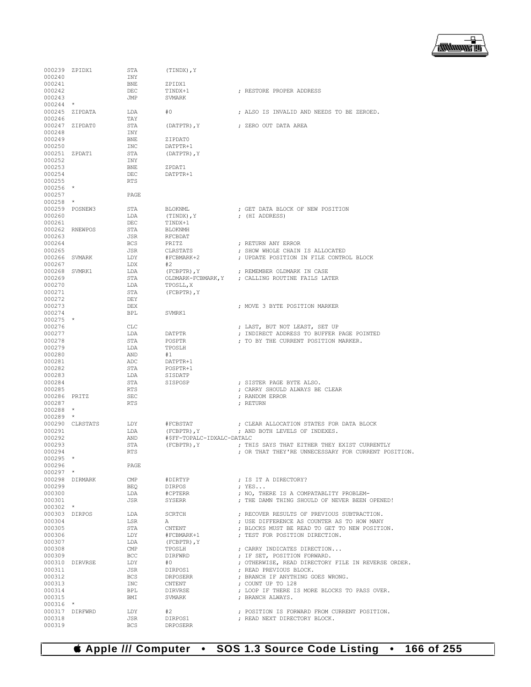

| 000239 ZPIDX1<br>000240 |                 | STA<br>INY            | (TINDX), Y                 |                                                       |
|-------------------------|-----------------|-----------------------|----------------------------|-------------------------------------------------------|
| 000241                  |                 | <b>BNE</b>            | ZPIDX1                     |                                                       |
| 000242                  |                 | DEC                   | TINDX+1                    | : RESTORE PROPER ADDRESS                              |
| 000243                  |                 | JMP                   | SVMARK                     |                                                       |
| $000244$ *              |                 |                       |                            |                                                       |
|                         | 000245 ZIPDATA  | LDA                   | #0                         | ; ALSO IS INVALID AND NEEDS TO BE ZEROED.             |
| 000246                  |                 | TAY                   |                            |                                                       |
| 000248                  | 000247 ZIPDAT0  | STA<br>INY            | (DATPTR), Y                | ; ZERO OUT DATA AREA                                  |
| 000249                  |                 | <b>BNE</b>            | ZIPDAT0                    |                                                       |
| 000250                  |                 | INC                   | DATPTR+1                   |                                                       |
| 000251 ZPDAT1           |                 | STA                   | (DATPTR), Y                |                                                       |
| 000252                  |                 | INY                   |                            |                                                       |
| 000253                  |                 | BNE                   | ZPDAT1                     |                                                       |
| 000254                  |                 | DEC                   | DATPTR+1                   |                                                       |
| 000255<br>$000256$ *    |                 | RTS                   |                            |                                                       |
| 000257                  |                 | PAGE                  |                            |                                                       |
| $000258$ *              |                 |                       |                            |                                                       |
|                         | 000259 POSNEW3  | STA                   | BLOKNML                    | ; GET DATA BLOCK OF NEW POSITION                      |
| 000260                  |                 | LDA                   | (TINDX), Y                 | ; (HI ADDRESS)                                        |
| 000261                  |                 | DEC                   | TINDX+1                    |                                                       |
|                         | 000262 RNEWPOS  | STA                   | BLOKNMH                    |                                                       |
| 000263                  |                 | JSR                   | RFCBDAT                    |                                                       |
| 000264<br>000265        |                 | <b>BCS</b><br>JSR     | PRITZ<br>CLRSTATS          | ; RETURN ANY ERROR<br>; SHOW WHOLE CHAIN IS ALLOCATED |
| 000266 SVMARK           |                 | LDY                   | #FCBMARK+2                 | ; UPDATE POSITION IN FILE CONTROL BLOCK               |
| 000267                  |                 | LDX                   | #2                         |                                                       |
| 000268 SVMRK1           |                 | LDA                   | $(FCBPTR)$ , $Y$           | ; REMEMBER OLDMARK IN CASE                            |
| 000269                  |                 | STA                   | OLDMARK-FCBMARK, Y         | ; CALLING ROUTINE FAILS LATER                         |
| 000270                  |                 | LDA                   | TPOSLL, X                  |                                                       |
| 000271                  |                 | STA                   | (FCBPTR), Y                |                                                       |
| 000272                  |                 | DEY<br>DEX            |                            |                                                       |
| 000273<br>000274        |                 | BPL                   | SVMRK1                     | ; MOVE 3 BYTE POSITION MARKER                         |
| $000275$ *              |                 |                       |                            |                                                       |
| 000276                  |                 | <b>CLC</b>            |                            | ; LAST, BUT NOT LEAST, SET UP                         |
| 000277                  |                 | LDA                   | DATPTR                     | ; INDIRECT ADDRESS TO BUFFER PAGE POINTED             |
| 000278                  |                 | STA                   | POSPTR                     | ; TO BY THE CURRENT POSITION MARKER.                  |
| 000279                  |                 | LDA                   | TPOSLH                     |                                                       |
| 000280                  |                 | AND                   | #1                         |                                                       |
| 000281<br>000282        |                 | ADC<br>STA            | DATPTR+1<br>POSPTR+1       |                                                       |
| 000283                  |                 | LDA                   | SISDATP                    |                                                       |
| 000284                  |                 | STA                   | SISPOSP                    | ; SISTER PAGE BYTE ALSO.                              |
| 000285                  |                 | RTS                   |                            | ; CARRY SHOULD ALWAYS BE CLEAR                        |
| 000286 PRITZ            |                 | SEC                   |                            | ; RANDOM ERROR                                        |
| 000287                  |                 | RTS                   |                            | ; RETURN                                              |
| $000288$ *              |                 |                       |                            |                                                       |
| $000289$ *              | 000290 CLRSTATS | LDY                   | #FCBSTAT                   | ; CLEAR ALLOCATION STATES FOR DATA BLOCK              |
| 000291                  |                 | LDA                   | (FCBPTR), Y                | ; AND BOTH LEVELS OF INDEXES.                         |
| 000292                  |                 | AND                   | #\$FF-TOPALC-IDXALC-DATALC |                                                       |
| 000293                  |                 | STA                   | (FCBPTR), Y                | ; THIS SAYS THAT EITHER THEY EXIST CURRENTLY          |
| 000294                  |                 | <b>RTS</b>            |                            | ; OR THAT THEY'RE UNNECESSARY FOR CURRENT POSITION.   |
| $000295$ *              |                 |                       |                            |                                                       |
| 000296                  |                 | PAGE                  |                            |                                                       |
| $000297$ *              | 000298 DIRMARK  |                       |                            |                                                       |
| 000299                  |                 | CMP<br>BEO            | #DIRTYP<br>DIRPOS          | ; IS IT A DIRECTORY?<br>$;$ YES                       |
| 000300                  |                 | LDA                   | #CPTERR                    | ; NO, THERE IS A COMPATABLITY PROBLEM-                |
| 000301                  |                 | JSR                   | SYSERR                     | ; THE DAMN THING SHOULD OF NEVER BEEN OPENED!         |
| $000302$ *              |                 |                       |                            |                                                       |
|                         | 000303 DIRPOS   | LDA                   | SCRTCH                     | ; RECOVER RESULTS OF PREVIOUS SUBTRACTION.            |
| 000304                  |                 | LSR                   | A                          | ; USE DIFFERENCE AS COUNTER AS TO HOW MANY            |
| 000305                  |                 | STA                   | CNTENT                     | : BLOCKS MUST BE READ TO GET TO NEW POSITION.         |
| 000306<br>000307        |                 | LDY                   | #FCBMARK+1<br>(FCBPTR), Y  | : TEST FOR POSITION DIRECTION.                        |
| 000308                  |                 | LDA<br>$\text{CMP}{}$ | TPOSLH                     | ; CARRY INDICATES DIRECTION                           |
| 000309                  |                 | BCC                   | DIRFWRD                    | ; IF SET, POSITION FORWARD.                           |
|                         | 000310 DIRVRSE  | LDY                   | #O                         | ; OTHERWISE, READ DIRECTORY FILE IN REVERSE ORDER.    |
| 000311                  |                 | JSR                   | DIRPOS1                    | ; READ PREVIOUS BLOCK.                                |
| 000312                  |                 | BCS                   | DRPOSERR                   | ; BRANCH IF ANYTHING GOES WRONG.                      |
| 000313                  |                 | INC                   | CNTENT                     | ; COUNT UP TO 128                                     |
| 000314                  |                 | BPL                   | DIRVRSE                    | ; LOOP IF THERE IS MORE BLOCKS TO PASS OVER.          |
| 000315<br>$000316$ *    |                 | BMI                   | SVMARK                     | ; BRANCH ALWAYS.                                      |
|                         | 000317 DIRFWRD  | LDY                   | #2                         | ; POSITION IS FORWARD FROM CURRENT POSITION.          |
| 000318                  |                 | JSR                   | DIRPOS1                    | ; READ NEXT DIRECTORY BLOCK.                          |
| 000319                  |                 | <b>BCS</b>            | DRPOSERR                   |                                                       |

 **Apple /// Computer • SOS 1.3 Source Code Listing • 166 of 255**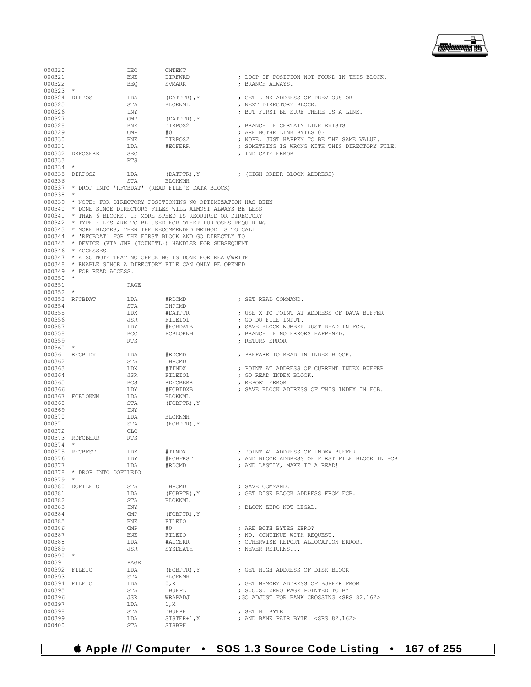

| 000320           |                             | DEC                     | <b>CNTENT</b>                                                     |                                                                        |
|------------------|-----------------------------|-------------------------|-------------------------------------------------------------------|------------------------------------------------------------------------|
| 000321           |                             | BNE                     | DIRFWRD                                                           | ; LOOP IF POSITION NOT FOUND IN THIS BLOCK.                            |
| 000322           |                             | BEO                     | SVMARK                                                            | ; BRANCH ALWAYS.                                                       |
| $000323$ *       |                             |                         |                                                                   |                                                                        |
|                  | 000324 DIRPOS1              | LDA                     | (DATPTR), Y                                                       | ; GET LINK ADDRESS OF PREVIOUS OR                                      |
| 000325           |                             | STA                     | BLOKNML                                                           | ; NEXT DIRECTORY BLOCK.                                                |
| 000326           |                             | INY                     |                                                                   | ; BUT FIRST BE SURE THERE IS A LINK.                                   |
| 000327<br>000328 |                             | $\text{CMP}$            | (DATPTR), Y                                                       | : BRANCH IF CERTAIN LINK EXISTS                                        |
|                  |                             | BNE<br>CMP              | DIRPOS2                                                           |                                                                        |
| 000329<br>000330 |                             | BNE                     | #O<br>DIRPOS2                                                     | ; ARE BOTHE LINK BYTES 0?<br>; NOPE, JUST HAPPEN TO BE THE SAME VALUE. |
| 000331           |                             | LDA                     | #EOFERR                                                           | ; SOMETHING IS WRONG WITH THIS DIRECTORY FILE!                         |
|                  | 000332 DRPOSERR             | SEC                     |                                                                   | ; INDICATE ERROR                                                       |
| 000333           |                             | <b>RTS</b>              |                                                                   |                                                                        |
| $000334$ *       |                             |                         |                                                                   |                                                                        |
|                  | 000335 DIRPOS2              | LDA                     |                                                                   | (DATPTR), Y (HIGH ORDER BLOCK ADDRESS)                                 |
| 000336           |                             | STA                     | BLOKNMH                                                           |                                                                        |
|                  |                             |                         | 000337 * DROP INTO 'RFCBDAT' (READ FILE'S DATA BLOCK)             |                                                                        |
| $000338$ *       |                             |                         |                                                                   |                                                                        |
|                  |                             |                         | 000339 * NOTE: FOR DIRECTORY POSITIONING NO OPTIMIZATION HAS BEEN |                                                                        |
|                  |                             |                         | 000340 * DONE SINCE DIRECTORY FILES WILL ALMOST ALWAYS BE LESS    |                                                                        |
|                  |                             |                         | 000341 * THAN 6 BLOCKS. IF MORE SPEED IS REQUIRED OR DIRECTORY    |                                                                        |
|                  |                             |                         | 000342 * TYPE FILES ARE TO BE USED FOR OTHER PURPOSES REQUIRING   |                                                                        |
|                  |                             |                         | 000343 * MORE BLOCKS, THEN THE RECOMMENDED METHOD IS TO CALL      |                                                                        |
|                  |                             |                         | 000344 * 'RECBDAT' FOR THE FIRST BLOCK AND GO DIRECTLY TO         |                                                                        |
|                  | 000346 * ACCESSES.          |                         | 000345 * DEVICE (VIA JMP (IOUNITL)) HANDLER FOR SUBSEQUENT        |                                                                        |
|                  |                             |                         | 000347 * ALSO NOTE THAT NO CHECKING IS DONE FOR READ/WRITE        |                                                                        |
|                  |                             |                         | 000348 * ENABLE SINCE A DIRECTORY FILE CAN ONLY BE OPENED         |                                                                        |
|                  | 000349 * FOR READ ACCESS.   |                         |                                                                   |                                                                        |
| $000350$ *       |                             |                         |                                                                   |                                                                        |
| 000351           |                             | PAGE                    |                                                                   |                                                                        |
| $000352$ *       |                             |                         |                                                                   |                                                                        |
|                  | 000353 RFCBDAT              | LDA                     | #RDCMD                                                            | ; SET READ COMMAND.                                                    |
| 000354           |                             | STA                     | DHPCMD                                                            |                                                                        |
| 000355           |                             | LDX                     | #DATPTR                                                           | ; USE X TO POINT AT ADDRESS OF DATA BUFFER                             |
| 000356           |                             | JSR                     | FILEIO1                                                           | ; GO DO FILE INPUT.                                                    |
| 000357           |                             | LDY                     | #FCBDATB                                                          | ; SAVE BLOCK NUMBER JUST READ IN FCB.                                  |
| 000358           |                             | BCC                     | FCBLOKNM                                                          | ; BRANCH IF NO ERRORS HAPPENED.                                        |
| 000359           |                             | RTS                     |                                                                   | ; RETURN ERROR                                                         |
| $000360$ *       |                             |                         |                                                                   |                                                                        |
|                  | 000361 RFCBIDX              | LDA                     | #RDCMD                                                            | ; PREPARE TO READ IN INDEX BLOCK.                                      |
| 000362           |                             | STA                     | DHPCMD                                                            |                                                                        |
| 000363           |                             | LDX                     | #TINDX                                                            | ; POINT AT ADDRESS OF CURRENT INDEX BUFFER                             |
| 000364           |                             | JSR                     | FILEIO1                                                           | ; GO READ INDEX BLOCK.                                                 |
| 000365           |                             | BCS                     | RDFCBERR                                                          | ; REPORT ERROR                                                         |
| 000366           | 000367 FCBLOKNM             | LDY<br>LDA              | #FCBIDXB<br>BLOKNML                                               | ; SAVE BLOCK ADDRESS OF THIS INDEX IN FCB.                             |
| 000368           |                             | STA                     | (FCBPTR), Y                                                       |                                                                        |
| 000369           |                             | INY                     |                                                                   |                                                                        |
| 000370           |                             | LDA                     | <b>BLOKNMH</b>                                                    |                                                                        |
| 000371           |                             | STA                     | (FCBPTR), Y                                                       |                                                                        |
| 000372           |                             | <b>CLC</b>              |                                                                   |                                                                        |
|                  | 000373 RDFCBERR             | <b>RTS</b>              |                                                                   |                                                                        |
| $000374$ *       |                             |                         |                                                                   |                                                                        |
|                  | 000375 RFCBFST              | LDX                     | #TINDX                                                            | ; POINT AT ADDRESS OF INDEX BUFFER                                     |
| 000376           |                             | LDY                     | #FCBFRST                                                          | ; AND BLOCK ADDRESS OF FIRST FILE BLOCK IN FCB                         |
| 000377           |                             | LDA                     | #RDCMD                                                            | ; AND LASTLY, MAKE IT A READ!                                          |
|                  | 000378 * DROP INTO DOFILEIO |                         |                                                                   |                                                                        |
| 000379           | $\star$                     |                         |                                                                   |                                                                        |
|                  | 000380 DOFILEIO             | STA                     | DHPCMD                                                            | ; SAVE COMMAND.<br>; GET DISK BLOCK ADDRESS FROM FCB.                  |
| 000381<br>000382 |                             | LDA<br>STA              | (FCBPTR), Y<br><b>BLOKNML</b>                                     |                                                                        |
| 000383           |                             | INY                     |                                                                   | ; BLOCK ZERO NOT LEGAL.                                                |
| 000384           |                             | $\text{CMP}$            | (FCBPTR), Y                                                       |                                                                        |
| 000385           |                             | BNE                     | FILEIO                                                            |                                                                        |
| 000386           |                             | $\mathop{\mathrm{CMP}}$ | #0                                                                | ; ARE BOTH BYTES ZERO?                                                 |
| 000387           |                             | BNE                     | FILEIO                                                            | ; NO, CONTINUE WITH REQUEST.                                           |
| 000388           |                             | LDA                     | #ALCERR                                                           | ; OTHERWISE REPORT ALLOCATION ERROR.                                   |
| 000389           |                             | JSR                     | SYSDEATH                                                          | ; NEVER RETURNS                                                        |
| $000390$ *       |                             |                         |                                                                   |                                                                        |
| 000391           |                             | PAGE.                   |                                                                   |                                                                        |
| 000392 FILEIO    |                             | LDA                     | (FCBPTR), Y                                                       | ; GET HIGH ADDRESS OF DISK BLOCK                                       |
| 000393           |                             | STA                     | <b>BLOKNMH</b>                                                    |                                                                        |
|                  | 000394 FILEIO1              | LDA                     | 0, X                                                              | ; GET MEMORY ADDRESS OF BUFFER FROM                                    |
| 000395           |                             | STA                     | DBUFPL                                                            | ; S.O.S. ZERO PAGE POINTED TO BY                                       |
| 000396           |                             | JSR                     | WRAPADJ                                                           | ; GO ADJUST FOR BANK CROSSING <srs 82.162=""></srs>                    |
| 000397           |                             | LDA                     | 1, X                                                              |                                                                        |
| 000398           |                             | STA                     | DBUFPH                                                            | ; SET HI BYTE                                                          |
| 000399<br>000400 |                             | LDA<br>STA              | SISTER+1, X<br>SISBPH                                             | ; AND BANK PAIR BYTE, <srs 82.162=""></srs>                            |
|                  |                             |                         |                                                                   |                                                                        |

 **Apple /// Computer • SOS 1.3 Source Code Listing • 167 of 255**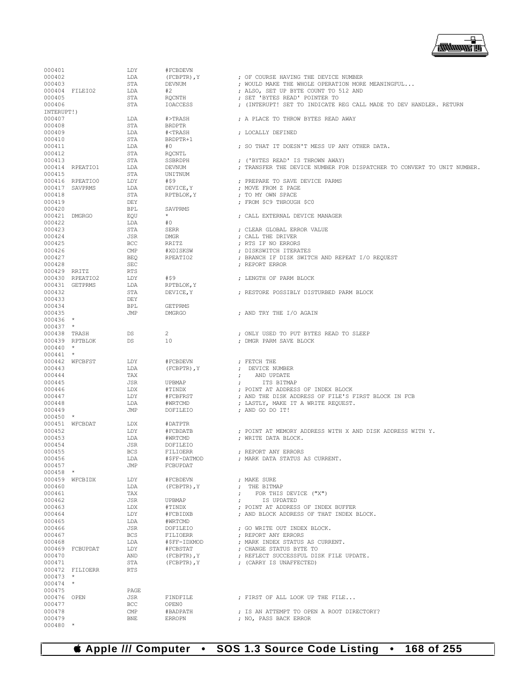| 000401           |                 | LDY          | #FCBDEVN                                            |                                                                        |
|------------------|-----------------|--------------|-----------------------------------------------------|------------------------------------------------------------------------|
| 000402           |                 | LDA          | (FCBPTR), Y                                         | : OF COURSE HAVING THE DEVICE NUMBER                                   |
| 000403           |                 | STA          | <b>DEVNUM</b>                                       | ; WOULD MAKE THE WHOLE OPERATION MORE MEANINGFUL                       |
|                  | 000404 FILEIO2  | LDA          | #2                                                  | ; ALSO, SET UP BYTE COUNT TO 512 AND                                   |
| 000405           |                 | STA          | <b>ROCNTH</b>                                       | ; SET 'BYTES READ' POINTER TO                                          |
| 000406           |                 | STA          | <b>IOACCESS</b>                                     | : (INTERUPT! SET TO INDICATE REG CALL MADE TO DEV HANDLER, RETURN      |
| INTERUPT!)       |                 |              |                                                     |                                                                        |
| 000407           |                 | LDA          | #>TRASH                                             | : A PLACE TO THROW BYTES READ AWAY                                     |
| 000408           |                 | STA          | <b>BRDPTR</b>                                       |                                                                        |
| 000409           |                 | LDA          | # <trash< td=""><td>; LOCALLY DEFINED</td></trash<> | ; LOCALLY DEFINED                                                      |
|                  |                 |              |                                                     |                                                                        |
| 000410           |                 | STA          | BRDPTR+1                                            |                                                                        |
| 000411           |                 | LDA          | #0                                                  | : SO THAT IT DOESN'T MESS UP ANY OTHER DATA.                           |
| 000412           |                 | STA          | RQCNTL                                              |                                                                        |
| 000413           |                 | <b>STA</b>   | SSBRDPH                                             | ; ('BYTES READ' IS THROWN AWAY)                                        |
|                  | 000414 RPEATIO1 | LDA          | DEVNUM                                              | ; TRANSFER THE DEVICE NUMBER FOR DISPATCHER TO CONVERT TO UNIT NUMBER. |
| 000415           |                 | STA          | UNITNUM                                             |                                                                        |
|                  | 000416 RPEATIO0 | LDY          | #\$9                                                | ; PREPARE TO SAVE DEVICE PARMS                                         |
|                  | 000417 SAVPRMS  | LDA          | DEVICE, Y                                           | ; MOVE FROM Z PAGE                                                     |
| 000418           |                 | STA          | RPTBLOK, Y                                          | ; TO MY OWN SPACE                                                      |
| 000419           |                 | DEY          |                                                     | ; FROM \$C9 THROUGH \$C0                                               |
| 000420           |                 | <b>BPL</b>   | SAVPRMS                                             |                                                                        |
| 000421 DMGRGO    |                 | EOU          |                                                     | ; CALL EXTERNAL DEVICE MANAGER                                         |
| 000422           |                 | LDA          | #0                                                  |                                                                        |
| 000423           |                 | STA          | <b>SERR</b>                                         | ; CLEAR GLOBAL ERROR VALUE                                             |
| 000424           |                 | <b>JSR</b>   | <b>DMGR</b>                                         | ; CALL THE DRIVER                                                      |
| 000425           |                 | <b>BCC</b>   | RRITZ                                               | ; RTS IF NO ERRORS                                                     |
|                  |                 |              |                                                     |                                                                        |
| 000426<br>000427 |                 | CMP          | #XDISKSW                                            | ; DISKSWITCH ITERATES                                                  |
|                  |                 | <b>BEO</b>   | RPEATIO2                                            | ; BRANCH IF DISK SWITCH AND REPEAT I/O REQUEST                         |
| 000428           |                 | <b>SEC</b>   |                                                     | : REPORT ERROR                                                         |
| 000429 RRITZ     |                 | <b>RTS</b>   |                                                     |                                                                        |
|                  | 000430 RPEATIO2 | LDY          | #\$9                                                | ; LENGTH OF PARM BLOCK                                                 |
|                  | 000431 GETPRMS  | LDA          | RPTBLOK, Y                                          |                                                                        |
| 000432           |                 | STA          | DEVICE, Y                                           | ; RESTORE POSSIBLY DISTURBED PARM BLOCK                                |
| 000433           |                 | DEY          |                                                     |                                                                        |
| 000434           |                 | <b>BPL</b>   | <b>GETPRMS</b>                                      |                                                                        |
| 000435           |                 | <b>JMP</b>   | <b>DMGRGO</b>                                       | ; AND TRY THE I/O AGAIN                                                |
| 000436 *         |                 |              |                                                     |                                                                        |
| $000437$ *       |                 |              |                                                     |                                                                        |
| 000438 TRASH     |                 | D.S.         | $\mathbf{2}$                                        | ; ONLY USED TO PUT BYTES READ TO SLEEP                                 |
|                  | 000439 RPTBLOK  | DS           | 10                                                  | ; DMGR PARM SAVE BLOCK                                                 |
| 000440           | $\star$         |              |                                                     |                                                                        |
| 000441           | $\star$         |              |                                                     |                                                                        |
|                  | 000442 WFCBFST  | LDY          | #FCBDEVN                                            | ; FETCH THE                                                            |
|                  |                 |              |                                                     |                                                                        |
| 000443           |                 | LDA          | (FCBPTR), Y                                         | ; DEVICE NUMBER                                                        |
| 000444           |                 | TAX          |                                                     | AND UPDATE<br>$\ddot{ }$                                               |
| 000445           |                 | <b>JSR</b>   | <b>UPBMAP</b>                                       | ITS BITMAP                                                             |
| 000446           |                 | LDX          | #TINDX                                              | ; POINT AT ADDRESS OF INDEX BLOCK                                      |
| 000447           |                 | LDY          | #FCBFRST                                            | ; AND THE DISK ADDRESS OF FILE'S FIRST BLOCK IN FCB                    |
| 000448           |                 | LDA          | #WRTCMD                                             | ; LASTLY, MAKE IT A WRITE REQUEST.                                     |
| 000449           |                 | JMP          | DOFILEIO                                            | ; AND GO DO IT!                                                        |
| 000450           | $\star$         |              |                                                     |                                                                        |
|                  | 000451 WFCBDAT  | LDX          | #DATPTR                                             |                                                                        |
| 000452           |                 | LDY          | #FCBDATB                                            | ; POINT AT MEMORY ADDRESS WITH X AND DISK ADDRESS WITH Y.              |
| 000453           |                 | LDA          | #WRTCMD                                             | : WRITE DATA BLOCK.                                                    |
| 000454           |                 | <b>JSR</b>   | <b>DOFILEIO</b>                                     |                                                                        |
| 000455           |                 | BCS          | FILIOERR                                            | ; REPORT ANY ERRORS                                                    |
| 000456           |                 | LDA          | #\$FF-DATMOD                                        | ; MARK DATA STATUS AS CURRENT.                                         |
| 000457           |                 | JMP          | FCBUPDAT                                            |                                                                        |
| $000458$ *       |                 |              |                                                     |                                                                        |
|                  | 000459 WFCBIDX  | LDY          | #FCBDEVN                                            | ; MAKE SURE                                                            |
| 000460           |                 | LDA          | (FCBPTR), Y                                         | : THE BITMAP                                                           |
| 000461           |                 | TAX          |                                                     |                                                                        |
| 000462           |                 |              |                                                     | FOR THIS DEVICE ("X")<br>$\ddot{ }$                                    |
|                  |                 | JSR          | UPBMAP                                              | IS UPDATED<br>$\ddot{ }$                                               |
| 000463           |                 | LDX          | #TINDX                                              | ; POINT AT ADDRESS OF INDEX BUFFER                                     |
| 000464           |                 | LDY          | #FCBIDXB                                            | ; AND BLOCK ADDRESS OF THAT INDEX BLOCK.                               |
| 000465           |                 | LDA          | #WRTCMD                                             |                                                                        |
| 000466           |                 | JSR          | DOFILEIO                                            | ; GO WRITE OUT INDEX BLOCK.                                            |
| 000467           |                 | <b>BCS</b>   | FILIOERR                                            | : REPORT ANY ERRORS                                                    |
| 000468           |                 | LDA          | #\$FF-IDXMOD                                        | ; MARK INDEX STATUS AS CURRENT.                                        |
|                  | 000469 FCBUPDAT | LDY          | #FCBSTAT                                            | ; CHANGE STATUS BYTE TO                                                |
| 000470           |                 | AND          | (FCBPTR), Y                                         | ; REFLECT SUCCESSFUL DISK FILE UPDATE.                                 |
| 000471           |                 | STA          | (FCBPTR), Y                                         | ; (CARRY IS UNAFFECTED)                                                |
|                  | 000472 FILIOERR | <b>RTS</b>   |                                                     |                                                                        |
| $000473$ *       |                 |              |                                                     |                                                                        |
| $000474$ *       |                 |              |                                                     |                                                                        |
| 000475           |                 | PAGE         |                                                     |                                                                        |
| 000476 OPEN      |                 | JSR          | FINDFILE                                            | ; FIRST OF ALL LOOK UP THE FILE                                        |
| 000477           |                 | <b>BCC</b>   | OPEN0                                               |                                                                        |
| 000478           |                 | $\text{CMP}$ | #BADPATH                                            | ; IS AN ATTEMPT TO OPEN A ROOT DIRECTORY?                              |
| 000479           |                 | BNE          | ERROPN                                              | ; NO, PASS BACK ERROR                                                  |
| $000480$ *       |                 |              |                                                     |                                                                        |
|                  |                 |              |                                                     |                                                                        |

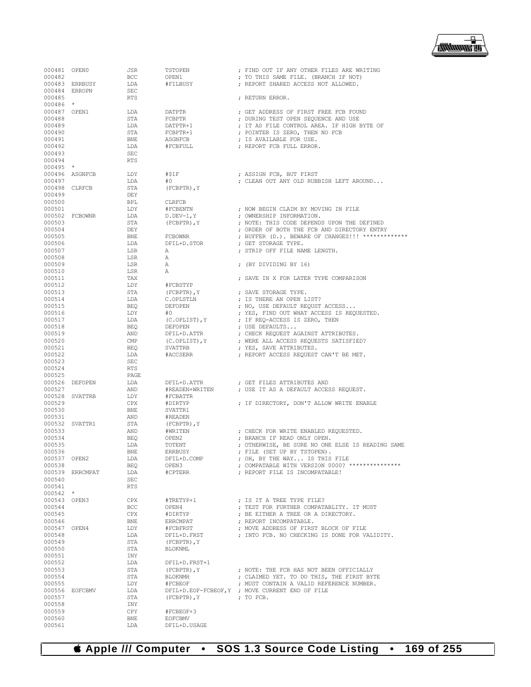

| 000481 OPEN0<br>000482 |                 | JSR               | TSTOPEN                  | ; FIND OUT IF ANY OTHER FILES ARE WRITING                                                         |
|------------------------|-----------------|-------------------|--------------------------|---------------------------------------------------------------------------------------------------|
|                        | 000483 ERRBUSY  | <b>BCC</b><br>LDA | OPEN1<br>#FILBUSY        | ; TO THIS SAME FILE. (BRANCH IF NOT)<br>; REPORT SHARED ACCESS NOT ALLOWED.                       |
|                        | 000484 ERROPN   | SEC               |                          |                                                                                                   |
| 000485                 |                 | RTS               |                          | ; RETURN ERROR.                                                                                   |
| $000486$ *             |                 |                   |                          |                                                                                                   |
| 000487 OPEN1           |                 | LDA               | DATPTR                   | ; GET ADDRESS OF FIRST FREE FCB FOUND                                                             |
| 000488<br>000489       |                 | STA<br>LDA        | FCBPTR<br>DATPTR+1       | ; DURING TEST OPEN SEQUENCE AND USE<br>; IT AS FILE CONTROL AREA. IF HIGH BYTE OF                 |
| 000490                 |                 | STA               | FCBPTR+1                 | ; POINTER IS ZERO, THEN NO FCB                                                                    |
| 000491                 |                 | BNE               | ASGNFCB                  | ; IS AVAILABLE FOR USE.                                                                           |
| 000492                 |                 | LDA               | #FCBFULL                 | ; REPORT FCB FULL ERROR.                                                                          |
| 000493                 |                 | SEC               |                          |                                                                                                   |
| 000494                 |                 | RTS               |                          |                                                                                                   |
| $000495$ *             |                 |                   |                          |                                                                                                   |
|                        | 000496 ASGNFCB  | LDY<br>LDA        | #S1F<br>#0               | ; ASSIGN FCB, BUT FIRST<br>; CLEAN OUT ANY OLD RUBBISH LEFT AROUND                                |
| 000497                 | 000498 CLRFCB   | STA               | (FCBPTR), Y              |                                                                                                   |
| 000499                 |                 | DEY               |                          |                                                                                                   |
| 000500                 |                 | BPL               | CLRFCB                   |                                                                                                   |
| 000501                 |                 | LDY               | #FCBENTN                 | ; NOW BEGIN CLAIM BY MOVING IN FILE                                                               |
|                        | 000502 FCBOWNR  | LDA               | $D.DEV-1, Y$             | ; OWNERSHIP INFORMATION.                                                                          |
| 000503                 |                 | STA               | (FCBPTR), Y              | ; NOTE: THIS CODE DEPENDS UPON THE DEFINED                                                        |
| 000504                 |                 | DEY               |                          | ; ORDER OF BOTH THE FCB AND DIRECTORY ENTRY<br>; BUFFER (D.). BEWARE OF CHANGES!!! ************** |
| 000505<br>000506       |                 | BNE<br>LDA        | FCBOWNR<br>DFIL+D.STOR   | ; GET STORAGE TYPE.                                                                               |
| 000507                 |                 | LSR               | Α                        | ; STRIP OFF FILE NAME LENGTH.                                                                     |
| 000508                 |                 | LSR               | Α                        |                                                                                                   |
| 000509                 |                 | LSR               | А                        | ; (BY DIVIDING BY 16)                                                                             |
| 000510                 |                 | LSR               | Α                        |                                                                                                   |
| 000511                 |                 | TAX               |                          | ; SAVE IN X FOR LATER TYPE COMPARISON                                                             |
| 000512                 |                 | LDY               | #FCBSTYP                 |                                                                                                   |
| 000513<br>000514       |                 | STA<br>LDA        | (FCBPTR), Y<br>C.OPLSTLN | ; SAVE STORAGE TYPE.<br>; IS THERE AN OPEN LIST?                                                  |
| 000515                 |                 | BEQ               | DEFOPEN                  | ; NO, USE DEFAULT REQUST ACCESS                                                                   |
| 000516                 |                 | LDY               | #0                       | ; YES, FIND OUT WHAT ACCESS IS REQUESTED.                                                         |
| 000517                 |                 | LDA               | (C.OPLIST), Y            | ; IF REQ-ACCESS IS ZERO, THEN                                                                     |
| 000518                 |                 | BEQ               | DEFOPEN                  | ; USE DEFAULTS                                                                                    |
| 000519                 |                 | AND               | DFIL+D.ATTR              | ; CHECK REQUEST AGAINST ATTRIBUTES.                                                               |
| 000520                 |                 | CMP               | (C.OPLIST), Y            | ; WERE ALL ACCESS REQUESTS SATISFIED?                                                             |
| 000521<br>000522       |                 | BEQ<br>LDA        | SVATTRB<br>#ACCSERR      | ; YES, SAVE ATTRIBUTES.<br>; REPORT ACCESS REQUEST CAN'T BE MET.                                  |
| 000523                 |                 | SEC               |                          |                                                                                                   |
| 000524                 |                 | <b>RTS</b>        |                          |                                                                                                   |
| 000525                 |                 | PAGE              |                          |                                                                                                   |
|                        | 000526 DEFOPEN  | LDA               | DFIL+D.ATTR              | ; GET FILES ATTRIBUTES AND                                                                        |
| 000527                 |                 | AND               | #READEN+WRITEN           | ; USE IT AS A DEFAULT ACCESS REQUEST.                                                             |
| 000529                 | 000528 SVATTRB  | LDY               | #FCBATTR<br>#DIRTYP      | ; IF DIRECTORY, DON'T ALLOW WRITE ENABLE                                                          |
| 000530                 |                 | CPX               | SVATTR1                  |                                                                                                   |
| 000531                 |                 |                   |                          |                                                                                                   |
|                        |                 | BNE               | #READEN                  |                                                                                                   |
|                        | 000532 SVATTR1  | AND<br>STA        | (FCBPTR), Y              |                                                                                                   |
| 000533                 |                 | AND               | #WRITEN                  | ; CHECK FOR WRITE ENABLED REQUESTED.                                                              |
| 000534                 |                 | BEQ               | OPEN2                    | ; BRANCH IF READ ONLY OPEN.                                                                       |
| 000535                 |                 | LDA               | TOTENT                   | ; OTHERWISE, BE SURE NO ONE ELSE IS READING SAME                                                  |
| 000536                 |                 | BNE               | ERRBUSY                  | ; FILE (SET UP BY TSTOPEN).                                                                       |
| 000537 OPEN2           |                 | LDA               | DFIL+D.COMP              | ; OH, BY THE WAY IS THIS FILE                                                                     |
| 000538                 |                 | BEO               | OPEN3                    | ; COMPATABLE WITH VERSION 0000? ***************                                                   |
| 000540                 | 000539 ERRCMPAT | LDA<br>SEC        | #CPTERR                  | ; REPORT FILE IS INCOMPATABLE!                                                                    |
| 000541                 |                 | RTS               |                          |                                                                                                   |
| $000542$ *             |                 |                   |                          |                                                                                                   |
| 000543 OPEN3           |                 | CPX               | #TRETYP+1                | ; IS IT A TREE TYPE FILE?                                                                         |
| 000544                 |                 | <b>BCC</b>        | OPEN4                    | ; TEST FOR FURTHER COMPATABLITY. IT MUST                                                          |
| 000545                 |                 | CPX               | #DIRTYP                  | ; BE EITHER A TREE OR A DIRECTORY.                                                                |
| 000546                 |                 | BNE<br>LDY        | ERRCMPAT<br>#FCBFRST     | ; REPORT INCOMPATABLE.                                                                            |
| 000547 OPEN4<br>000548 |                 | LDA               | DFIL+D.FRST              | ; MOVE ADDRESS OF FIRST BLOCK OF FILE<br>; INTO FCB. NO CHECKING IS DONE FOR VALIDITY.            |
| 000549                 |                 | STA               | (FCBPTR), Y              |                                                                                                   |
| 000550                 |                 | STA               | BLOKNML                  |                                                                                                   |
| 000551                 |                 | INY               |                          |                                                                                                   |
| 000552                 |                 | LDA               | DFIL+D.FRST+1            |                                                                                                   |
| 000553                 |                 | STA               | (FCBPTR), Y              | ; NOTE: THE FCB HAS NOT BEEN OFFICIALLY                                                           |
| 000554<br>000555       |                 | STA<br>LDY        | BLOKNMH<br>#FCBEOF       | ; CLAIMED YET. TO DO THIS, THE FIRST BYTE<br>; MUST CONTAIN A VALID REFERENCE NUMBER.             |
|                        | 000556 EOFCBMV  | LDA               |                          | DFIL+D.EOF-FCBEOF, Y ; MOVE CURRENT END OF FILE                                                   |
| 000557                 |                 | STA               | (FCBPTR), Y              | $;$ TO FCB.                                                                                       |
| 000558                 |                 | INY               |                          |                                                                                                   |
| 000559                 |                 | CPY               | #FCBEOF+3                |                                                                                                   |
| 000560<br>000561       |                 | BNE<br>LDA        | EOFCBMV<br>DFIL+D.USAGE  |                                                                                                   |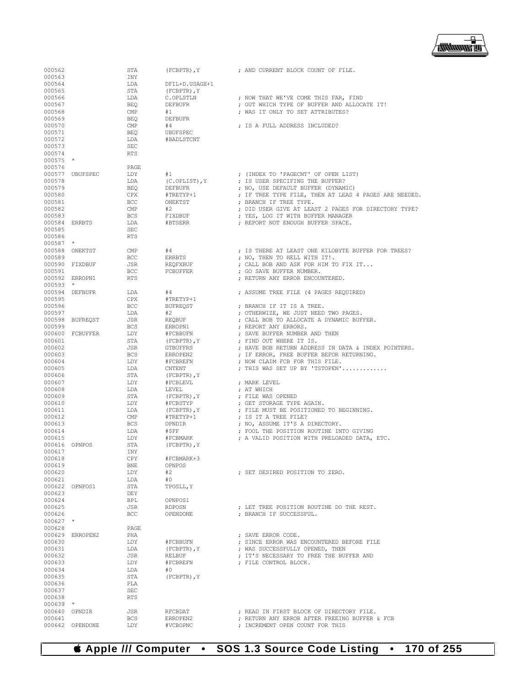

| 000562           |                 | STA        | (FCBPTR), Y             | ; AND CURRENT BLOCK COUNT OF FILE.                                                          |
|------------------|-----------------|------------|-------------------------|---------------------------------------------------------------------------------------------|
| 000563           |                 | INY        |                         |                                                                                             |
| 000564           |                 | LDA        | DFIL+D.USAGE+1          |                                                                                             |
| 000565           |                 | STA        | $(FCBPTR)$ , $Y$        |                                                                                             |
| 000566           |                 | LDA        | C.OPLSTLN               | ; NOW THAT WE'VE COME THIS FAR, FIND                                                        |
| 000567           |                 | BEO        | DEFBUFR                 | ; OUT WHICH TYPE OF BUFFER AND ALLOCATE IT!                                                 |
| 000568           |                 | CMP        | #1                      | ; WAS IT ONLY TO SET ATTRIBUTES?                                                            |
| 000569           |                 | <b>BEO</b> | <b>DEFBUFR</b>          |                                                                                             |
| 000570           |                 | CMP        | #4                      | ; IS A FULL ADDRESS INCLUDED?                                                               |
| 000571           |                 | <b>BEQ</b> | UBUFSPEC                |                                                                                             |
| 000572           |                 | LDA        | #BADLSTCNT              |                                                                                             |
| 000573           |                 | SEC        |                         |                                                                                             |
| 000574           |                 | <b>RTS</b> |                         |                                                                                             |
| $000575$ *       |                 |            |                         |                                                                                             |
| 000576           |                 | PAGE       |                         |                                                                                             |
|                  | 000577 UBUFSPEC | LDY        | #1                      | ; (INDEX TO 'PAGECNT' OF OPEN LIST)                                                         |
| 000578           |                 | LDA        | (C.OPLIST), Y           | ; IS USER SPECIFING THE BUFFER?                                                             |
| 000579<br>000580 |                 | BEQ<br>CPX | DEFBUFR<br>#TRETYP+1    | ; NO, USE DEFAULT BUFFER (DYNAMIC)<br>; IF TREE TYPE FILE, THEN AT LEAS 4 PAGES ARE NEEDED. |
| 000581           |                 | <b>BCC</b> | ONEKTST                 | ; BRANCH IF TREE TYPE.                                                                      |
| 000582           |                 | CMP        | #2                      | ; DID USER GIVE AT LEAST 2 PAGES FOR DIRECTORY TYPE?                                        |
| 000583           |                 | BCS        | FIXDBUF                 | ; YES, LOG IT WITH BUFFER MANAGER                                                           |
| 000584 ERRBTS    |                 | LDA        | #BTSERR                 | ; REPORT NOT ENOUGH BUFFER SPACE.                                                           |
| 000585           |                 | SEC        |                         |                                                                                             |
| 000586           |                 | <b>RTS</b> |                         |                                                                                             |
| $000587$ *       |                 |            |                         |                                                                                             |
|                  | 000588 ONEKTST  | CMP        | #4                      | ; IS THERE AT LEAST ONE KILOBYTE BUFFER FOR TREES?                                          |
| 000589           |                 | <b>BCC</b> | ERRBTS                  | ; NO, THEN TO HELL WITH IT!.                                                                |
|                  | 000590 FIXDBUF  | JSR        | REOFXBUF                | ; CALL BOB AND ASK FOR HIM TO FIX IT                                                        |
| 000591           |                 | <b>BCC</b> | FCBUFFER                | ; GO SAVE BUFFER NUMBER.                                                                    |
|                  | 000592 ERROPN1  | RTS        |                         | ; RETURN ANY ERROR ENCOUNTERED.                                                             |
| $000593$ *       |                 |            |                         |                                                                                             |
|                  | 000594 DEFBUFR  | LDA        | #4                      | ; ASSUME TREE FILE (4 PAGES REQUIRED)                                                       |
| 000595           |                 | CPX        | #TRETYP+1               |                                                                                             |
| 000596           |                 | <b>BCC</b> | <b>BUFREOST</b>         | ; BRANCH IF IT IS A TREE.                                                                   |
| 000597           |                 | LDA        | #2                      | ; OTHERWIZE, WE JUST NEED TWO PAGES.                                                        |
|                  | 000598 BUFREQST | JSR        | REQBUF                  | ; CALL BOB TO ALLOCATE A DYNAMIC BUFFER.                                                    |
| 000599           |                 | <b>BCS</b> | ERROPN1                 | ; REPORT ANY ERRORS.                                                                        |
|                  | 000600 FCBUFFER | LDY        | #FCBBUFN                | ; SAVE BUFFER NUMBER AND THEN                                                               |
| 000601           |                 | STA        | (FCBPTR), Y             | ; FIND OUT WHERE IT IS.                                                                     |
| 000602           |                 | JSR        | GTBUFFRS                | ; HAVE BOB RETURN ADDRESS IN DATA & INDEX POINTERS.                                         |
| 000603           |                 | <b>BCS</b> | ERROPEN2                | ; IF ERROR, FREE BUFFER BEFOR RETURNING.                                                    |
| 000604           |                 | LDY        | #FCBREFN                | ; NOW CLAIM FCB FOR THIS FILE.                                                              |
| 000605           |                 | LDA        | CNTENT                  | ; THIS WAS SET UP BY 'TSTOPEN'                                                              |
| 000606           |                 | STA        | (FCBPTR), Y             |                                                                                             |
| 000607           |                 | LDY        | #FCBLEVL                | ; MARK LEVEL                                                                                |
| 000608           |                 | LDA<br>STA | LEVEL                   | ; AT WHICH<br>; FILE WAS OPENED                                                             |
| 000609<br>000610 |                 | LDY        | (FCBPTR), Y<br>#FCBSTYP | ; GET STORAGE TYPE AGAIN.                                                                   |
| 000611           |                 | LDA        | (FCBPTR), Y             | ; FILE MUST BE POSITIONED TO BEGINNING.                                                     |
| 000612           |                 | CMP        | #TRETYP+1               | ; IS IT A TREE FILE?                                                                        |
| 000613           |                 | <b>BCS</b> | OPNDIR                  | ; NO, ASSUME IT'S A DIRECTORY.                                                              |
| 000614           |                 | LDA        | #SFF                    | ; FOOL THE POSITION ROUTINE INTO GIVING                                                     |
| 000615           |                 | LDY        | #FCBMARK                | ; A VALID POSITION WITH PRELOADED DATA, ETC.                                                |
| 000616 OPNPOS    |                 | STA        | (FCBPTR), Y             |                                                                                             |
| 000617           |                 | INY        |                         |                                                                                             |
| 000618           |                 | CPY        | #FCBMARK+3              |                                                                                             |
| 000619           |                 | BNE        | OPNPOS                  |                                                                                             |
| 000620           |                 | LDY        | #2                      | ; SET DESIRED POSITION TO ZERO.                                                             |
| 000621           |                 | LDA        | #0                      |                                                                                             |
|                  | 000622 OPNPOS1  | STA        | TPOSLL, Y               |                                                                                             |
| 000623           |                 | DEY        |                         |                                                                                             |
| 000624           |                 | BPL        | OPNPOS1                 |                                                                                             |
| 000625           |                 | JSR        | RDPOSN                  | ; LET TREE POSITION ROUTINE DO THE REST.                                                    |
| 000626           |                 | <b>BCC</b> | OPENDONE                | ; BRANCH IF SUCCESSFUL.                                                                     |
| $000627$ *       |                 |            |                         |                                                                                             |
| 000628           |                 | PAGE       |                         |                                                                                             |
|                  | 000629 ERROPEN2 | PHA        |                         | ; SAVE ERROR CODE.                                                                          |
| 000630           |                 | LDY        | #FCBBUFN                | ; SINCE ERROR WAS ENCOUNTERED BEFORE FILE                                                   |
| 000631           |                 | LDA        | $(FCBPTR)$ , $Y$        | ; WAS SUCCESSFULLY OPENED, THEN                                                             |
| 000632           |                 | JSR        | RELBUF                  | ; IT'S NECESSARY TO FREE THE BUFFER AND                                                     |
| 000633           |                 | LDY        | #FCBREFN                | ; FILE CONTROL BLOCK.                                                                       |
| 000634           |                 | LDA        | #0                      |                                                                                             |
| 000635           |                 | STA        | (FCBPTR), Y             |                                                                                             |
| 000636<br>000637 |                 | PLA<br>SEC |                         |                                                                                             |
| 000638           |                 | <b>RTS</b> |                         |                                                                                             |
| $000639$ *       |                 |            |                         |                                                                                             |
|                  | 000640 OPNDIR   | JSR        | RFCBDAT                 | ; READ IN FIRST BLOCK OF DIRECTORY FILE.                                                    |
| 000641           |                 | <b>BCS</b> | ERROPEN2                | ; RETURN ANY ERROR AFTER FREEING BUFFER & FCB                                               |
|                  | 000642 OPENDONE | LDY        | #VCBOPNC                | ; INCREMENT OPEN COUNT FOR THIS                                                             |
|                  |                 |            |                         |                                                                                             |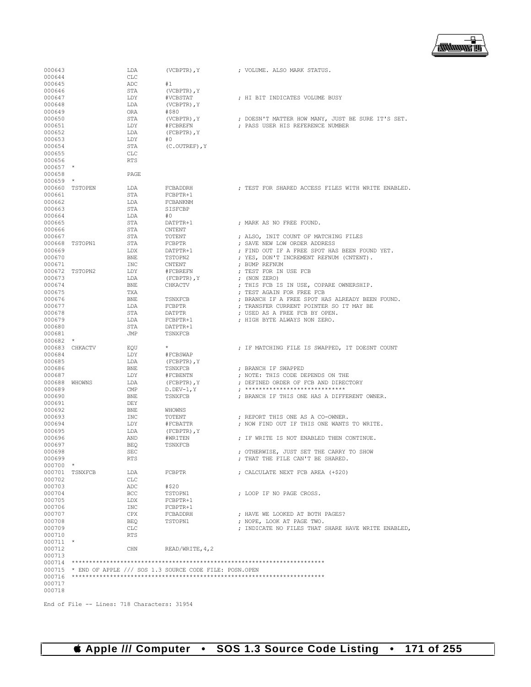

| 000643     |                | LDA        | $(VCBPTR)$ , $Y$                                              | ; VOLUME. ALSO MARK STATUS.                        |
|------------|----------------|------------|---------------------------------------------------------------|----------------------------------------------------|
| 000644     |                | <b>CLC</b> |                                                               |                                                    |
| 000645     |                | ADC        | #1                                                            |                                                    |
| 000646     |                |            |                                                               |                                                    |
|            |                | STA        | (VCBPTR), Y                                                   |                                                    |
| 000647     |                | LDY        | #VCBSTAT                                                      | ; HI BIT INDICATES VOLUME BUSY                     |
| 000648     |                | LDA        | $(VCBPTR)$ , $Y$                                              |                                                    |
| 000649     |                | ORA        | #\$80                                                         |                                                    |
| 000650     |                | STA        | (VCBPTR), Y                                                   | ; DOESN'T MATTER HOW MANY, JUST BE SURE IT'S SET.  |
| 000651     |                | LDY        | #FCBREFN                                                      | ; PASS USER HIS REFERENCE NUMBER                   |
| 000652     |                | LDA        | $(FCBPTR)$ , $Y$                                              |                                                    |
| 000653     |                | LDY        | #0                                                            |                                                    |
| 000654     |                | STA        | $(C. OUTREF)$ , Y                                             |                                                    |
| 000655     |                | CLC        |                                                               |                                                    |
| 000656     |                | <b>RTS</b> |                                                               |                                                    |
| 000657     | $\star$        |            |                                                               |                                                    |
| 000658     |                | PAGE       |                                                               |                                                    |
| 000659     | $\star$        |            |                                                               |                                                    |
| 000660     | TSTOPEN        | LDA        | FCBADDRH                                                      | ; TEST FOR SHARED ACCESS FILES WITH WRITE ENABLED. |
| 000661     |                | STA        | FCBPTR+1                                                      |                                                    |
| 000662     |                | LDA        | FCBANKNM                                                      |                                                    |
|            |                | STA        |                                                               |                                                    |
| 000663     |                |            | SISFCBP                                                       |                                                    |
| 000664     |                | LDA        | #0                                                            |                                                    |
| 000665     |                | STA        | DATPTR+1                                                      | ; MARK AS NO FREE FOUND.                           |
| 000666     |                | STA        | CNTENT                                                        |                                                    |
| 000667     |                | STA        | TOTENT                                                        | ; ALSO, INIT COUNT OF MATCHING FILES               |
| 000668     | TSTOPN1        | STA        | FCBPTR                                                        | ; SAVE NEW LOW ORDER ADDRESS                       |
| 000669     |                | LDX        | DATPTR+1                                                      | ; FIND OUT IF A FREE SPOT HAS BEEN FOUND YET.      |
| 000670     |                | <b>BNE</b> | TSTOPN2                                                       | ; YES, DON'T INCREMENT REFNUM (CNTENT).            |
| 000671     |                | INC        | CNTENT                                                        | ; BUMP REFNUM                                      |
| 000672     | TSTOPN2        | LDY        | #FCBREFN                                                      | ; TEST FOR IN USE FCB                              |
| 000673     |                | LDA        | $(FCBPTR)$ , $Y$                                              | $;$ (NON ZERO)                                     |
| 000674     |                | <b>BNE</b> | CHKACTV                                                       | ; THIS FCB IS IN USE, COPARE OWNERSHIP.            |
| 000675     |                | TXA        |                                                               | : TEST AGAIN FOR FREE FCB                          |
| 000676     |                | <b>BNE</b> | TSNXFCB                                                       | ; BRANCH IF A FREE SPOT HAS ALREADY BEEN FOUND.    |
| 000677     |                | LDA        | FCBPTR                                                        | ; TRANSFER CURRENT POINTER SO IT MAY BE            |
| 000678     |                | STA        | DATPTR                                                        | ; USED AS A FREE FCB BY OPEN.                      |
|            |                |            |                                                               |                                                    |
| 000679     |                | LDA        | FCBPTR+1                                                      | ; HIGH BYTE ALWAYS NON ZERO.                       |
| 000680     |                | STA        | DATPTR+1                                                      |                                                    |
| 000681     |                | JMP        | TSNXFCB                                                       |                                                    |
| $000682$ * |                |            |                                                               |                                                    |
|            | 000683 CHKACTV | EOU        | $\star$                                                       | ; IF MATCHING FILE IS SWAPPED, IT DOESNT COUNT     |
| 000684     |                | LDY        | #FCBSWAP                                                      |                                                    |
| 000685     |                | LDA        | $(FCBPTR)$ , $Y$                                              |                                                    |
| 000686     |                | <b>BNE</b> | TSNXFCB                                                       | ; BRANCH IF SWAPPED                                |
| 000687     |                | LDY        | #FCBENTN                                                      | ; NOTE: THIS CODE DEPENDS ON THE                   |
| 000688     | WHOWNS         | LDA        | (FCBPTR), Y                                                   | ; DEFINED ORDER OF FCB AND DIRECTORY               |
| 000689     |                | CMP        | $D.DEV-1,Y$                                                   | , *****************************                    |
| 000690     |                | <b>BNE</b> | TSNXFCB                                                       | ; BRANCH IF THIS ONE HAS A DIFFERENT OWNER.        |
| 000691     |                | DEY        |                                                               |                                                    |
| 000692     |                | <b>BNE</b> | WHOWNS                                                        |                                                    |
| 000693     |                | INC        | TOTENT                                                        | ; REPORT THIS ONE AS A CO-OWNER.                   |
| 000694     |                | LDY        | #FCBATTR                                                      | ; NOW FIND OUT IF THIS ONE WANTS TO WRITE.         |
| 000695     |                | LDA        | $(FCBPTR)$ , $Y$                                              |                                                    |
| 000696     |                | AND        | #WRITEN                                                       | ; IF WRITE IS NOT ENABLED THEN CONTINUE.           |
| 000697     |                | <b>BEQ</b> | TSNXFCB                                                       |                                                    |
|            |                |            |                                                               |                                                    |
| 000698     |                | <b>SEC</b> |                                                               | ; OTHERWISE, JUST SET THE CARRY TO SHOW            |
| 000699     |                | RTS        |                                                               | ; THAT THE FILE CAN'T BE SHARED.                   |
| $000700$ * |                |            |                                                               |                                                    |
| 000701     | TSNXFCB        | LDA        | FCBPTR                                                        | ; CALCULATE NEXT FCB AREA (+\$20)                  |
| 000702     |                | CLC        |                                                               |                                                    |
| 000703     |                | ADC        | #\$20                                                         |                                                    |
| 000704     |                | BCC        | TSTOPN1                                                       | ; LOOP IF NO PAGE CROSS.                           |
| 000705     |                | LDX        | FCBPTR+1                                                      |                                                    |
| 000706     |                | INC        | FCBPTR+1                                                      |                                                    |
| 000707     |                | CPX        | FCBADDRH                                                      | ; HAVE WE LOOKED AT BOTH PAGES?                    |
| 000708     |                | <b>BEQ</b> | TSTOPN1                                                       | ; NOPE, LOOK AT PAGE TWO.                          |
| 000709     |                | CLC        |                                                               | ; INDICATE NO FILES THAT SHARE HAVE WRITE ENABLED, |
| 000710     |                | <b>RTS</b> |                                                               |                                                    |
| $000711$ * |                |            |                                                               |                                                    |
| 000712     |                | CHN        | READ/WRITE, 4, 2                                              |                                                    |
| 000713     |                |            |                                                               |                                                    |
|            |                |            |                                                               |                                                    |
|            |                |            |                                                               |                                                    |
|            |                |            | 000715 * END OF APPLE /// SOS 1.3 SOURCE CODE FILE: POSN.OPEN |                                                    |
| 000716     |                |            |                                                               |                                                    |
| 000717     |                |            |                                                               |                                                    |
| 000718     |                |            |                                                               |                                                    |
|            |                |            |                                                               |                                                    |

End of File -- Lines: 718 Characters: 31954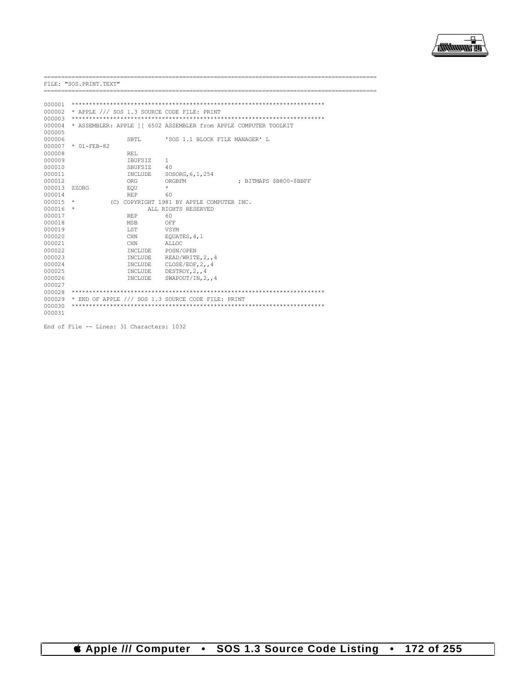

==================

FILE: "SOS. PRINT. TEXT"

| 000001 |                                             |                |                                                                  |                         |  |  |  |  |  |
|--------|---------------------------------------------|----------------|------------------------------------------------------------------|-------------------------|--|--|--|--|--|
| 000002 | * APPLE /// SOS 1.3 SOURCE CODE FILE: PRINT |                |                                                                  |                         |  |  |  |  |  |
| 000003 |                                             |                |                                                                  |                         |  |  |  |  |  |
| 000004 |                                             |                | * ASSEMBLER: APPLE 11 6502 ASSEMBLER from APPLE COMPUTER TOOLKIT |                         |  |  |  |  |  |
| 000005 |                                             |                |                                                                  |                         |  |  |  |  |  |
| 000006 |                                             | SBTL           | 'SOS 1.1 BLOCK FILE MANAGER' L                                   |                         |  |  |  |  |  |
| 000007 | $* 01 - FER - 82$                           |                |                                                                  |                         |  |  |  |  |  |
| 000008 |                                             | RET.           |                                                                  |                         |  |  |  |  |  |
| 000009 |                                             | TBUFSTZ        | $\mathbf{1}$                                                     |                         |  |  |  |  |  |
| 000010 |                                             | SBUFSIZ        | 40                                                               |                         |  |  |  |  |  |
| 000011 |                                             | INCLUDE        | SOSORG, 6, 1, 254                                                |                         |  |  |  |  |  |
| 000012 |                                             | ORG            | ORGBFM                                                           | : BITMAPS \$B800-\$BBFF |  |  |  |  |  |
| 000013 | <b>7.7.ORG</b>                              | EOU            | $\star$                                                          |                         |  |  |  |  |  |
| 000014 |                                             | <b>REP</b>     | 60                                                               |                         |  |  |  |  |  |
| 000015 | $\star$                                     |                | (C) COPYRIGHT 1981 BY APPLE COMPUTER INC.                        |                         |  |  |  |  |  |
| 000016 | $\star$                                     |                | ALL RIGHTS RESERVED                                              |                         |  |  |  |  |  |
| 000017 |                                             | <b>REP</b>     | 60                                                               |                         |  |  |  |  |  |
| 000018 |                                             | <b>MSB</b>     | OFF                                                              |                         |  |  |  |  |  |
| 000019 |                                             | LST.           | <b>VSYM</b>                                                      |                         |  |  |  |  |  |
| 000020 |                                             | <b>CHN</b>     | EQUATES, 4, 1                                                    |                         |  |  |  |  |  |
| 000021 |                                             | <b>CHN</b>     | ALLOC.                                                           |                         |  |  |  |  |  |
| 000022 |                                             | <b>TNCLUDE</b> | POSN/OPEN                                                        |                         |  |  |  |  |  |
| 000023 |                                             | INCLUDE        | READ/WRITE, 2,, 4                                                |                         |  |  |  |  |  |
| 000024 |                                             | INCLUDE        | CLOSE/EOF.24                                                     |                         |  |  |  |  |  |
| 000025 |                                             | <b>TNCLUDE</b> | DESTROY, 2,, 4                                                   |                         |  |  |  |  |  |
| 000026 |                                             | INCLUDE        | SWAPOUT/IN, $2, 4$                                               |                         |  |  |  |  |  |
| 000027 |                                             |                |                                                                  |                         |  |  |  |  |  |
| 000028 |                                             |                |                                                                  |                         |  |  |  |  |  |
| 000029 |                                             |                | * END OF APPLE /// SOS 1.3 SOURCE CODE FILE: PRINT               |                         |  |  |  |  |  |
| 000030 |                                             |                |                                                                  |                         |  |  |  |  |  |
| 000031 |                                             |                |                                                                  |                         |  |  |  |  |  |

End of File -- Lines: 31 Characters: 1032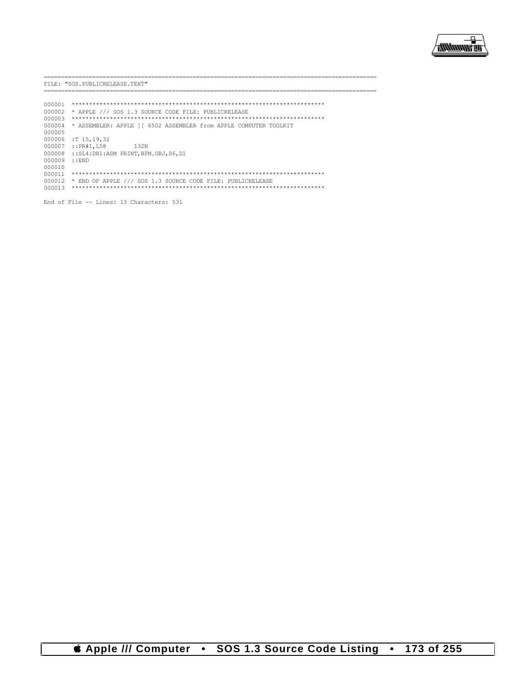

.\_\_\_\_\_\_\_\_\_\_\_\_\_\_\_\_\_\_\_\_\_\_\_\_\_\_

FILE: "SOS. PUBLICRELEASE. TEXT"

----------------------

| 000001 |                                                                  |
|--------|------------------------------------------------------------------|
| 000002 | * APPLE /// SOS 1.3 SOURCE CODE FILE: PUBLICRELEASE              |
| 000003 |                                                                  |
| 000004 | * ASSEMBLER: APPLE 11 6502 ASSEMBLER from APPLE COMPUTER TOOLKIT |
| 000005 |                                                                  |
| 000006 | :T 15.19.32                                                      |
| 000007 | $:$ : PR#1, L58<br>1.32N                                         |
| 000008 | ::SL4:DR1:ASM PRINT.BFM.OBJ.S6.D1                                |
| 000009 | $\cdot$ : END                                                    |
| 000010 |                                                                  |
| 000011 |                                                                  |
| 000012 | * END OF APPLE /// SOS 1.3 SOURCE CODE FILE: PUBLICRELEASE       |
| 000013 |                                                                  |
|        |                                                                  |

End of File -- Lines: 13 Characters: 531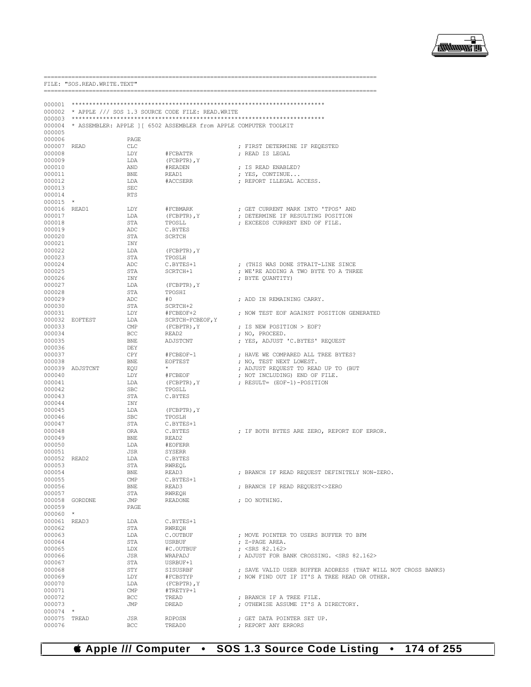

|                       | FILE: "SOS.READ.WRITE.TEXT" |                   |                                                                          |                                                                            |
|-----------------------|-----------------------------|-------------------|--------------------------------------------------------------------------|----------------------------------------------------------------------------|
|                       |                             |                   |                                                                          |                                                                            |
|                       |                             |                   | 000002 * APPLE /// SOS 1.3 SOURCE CODE FILE: READ.WRITE                  |                                                                            |
|                       |                             |                   |                                                                          |                                                                            |
|                       |                             |                   | 000004 * ASSEMBLER: APPLE ] [ 6502 ASSEMBLER from APPLE COMPUTER TOOLKIT |                                                                            |
| 000005                |                             |                   |                                                                          |                                                                            |
| 000006                |                             | PAGE              |                                                                          |                                                                            |
| 000007 READ<br>000008 |                             | CLC<br>LDY        | #FCBATTR                                                                 | ; FIRST DETERMINE IF REQESTED<br>; READ IS LEGAL                           |
| 000009                |                             | LDA               | (FCBPTR), Y                                                              |                                                                            |
| 000010                |                             | AND               | #READEN                                                                  | ; IS READ ENABLED?                                                         |
| 000011                |                             | BNE               | READ1                                                                    | ; YES, CONTINUE                                                            |
| 000012                |                             | LDA               | #ACCSERR                                                                 | ; REPORT ILLEGAL ACCESS.                                                   |
| 000013<br>000014      |                             | SEC<br>RTS        |                                                                          |                                                                            |
| $000015$ *            |                             |                   |                                                                          |                                                                            |
| 000016 READ1          |                             | LDY               | #FCBMARK                                                                 | ; GET CURRENT MARK INTO 'TPOS' AND                                         |
| 000017                |                             | LDA               | (FCBPTR), Y                                                              | ; DETERMINE IF RESULTING POSITION                                          |
| 000018                |                             | STA               | TPOSLL                                                                   | ; EXCEEDS CURRENT END OF FILE.                                             |
| 000019<br>000020      |                             | ADC<br>STA        | C.BYTES<br>SCRTCH                                                        |                                                                            |
| 000021                |                             | INY               |                                                                          |                                                                            |
| 000022                |                             | LDA               | (FCBPTR), Y                                                              |                                                                            |
| 000023                |                             | STA               | TPOSLH                                                                   |                                                                            |
| 000024<br>000025      |                             | ADC<br>STA        | C.BYTES+1<br>SCRTCH+1                                                    | ; (THIS WAS DONE STRAIT-LINE SINCE<br>; WE'RE ADDING A TWO BYTE TO A THREE |
| 000026                |                             | INY               |                                                                          | ; BYTE QUANTITY)                                                           |
| 000027                |                             | LDA               | $(FCBPTR)$ , $Y$                                                         |                                                                            |
| 000028                |                             | STA               | TPOSHI                                                                   |                                                                            |
| 000029                |                             | ADC               | #0                                                                       | ; ADD IN REMAINING CARRY.                                                  |
| 000030<br>000031      |                             | STA<br>LDY        | SCRTCH+2<br>#FCBEOF+2                                                    | ; NOW TEST EOF AGAINST POSITION GENERATED                                  |
|                       | 000032 EOFTEST              | LDA               | SCRTCH-FCBEOF, Y                                                         |                                                                            |
| 000033                |                             | $\text{CMP}$      | $(FCBPTR)$ , $Y$                                                         | ; IS NEW POSITION > EOF?                                                   |
| 000034                |                             | <b>BCC</b>        | READ2                                                                    | ; NO, PROCEED.                                                             |
| 000035                |                             | BNE               | ADJSTCNT                                                                 | ; YES, ADJUST 'C.BYTES' REQUEST                                            |
| 000036<br>000037      |                             | DEY<br>CPY        | #FCBEOF-1                                                                | ; HAVE WE COMPARED ALL TREE BYTES?                                         |
| 000038                |                             | BNE               | EOFTEST                                                                  | ; NO, TEST NEXT LOWEST.                                                    |
|                       | 000039 ADJSTCNT             | EOU               | $\star$                                                                  | ; ADJUST REQUEST TO READ UP TO (BUT                                        |
| 000040                |                             | LDY               | #FCBEOF                                                                  | ; NOT INCLUDING) END OF FILE.                                              |
| 000041<br>000042      |                             | LDA<br><b>SBC</b> | (FCBPTR), Y                                                              | ; RESULT= (EOF-1)-POSITION                                                 |
| 000043                |                             | STA               | TPOSLL<br>C.BYTES                                                        |                                                                            |
| 000044                |                             | INY               |                                                                          |                                                                            |
| 000045                |                             | LDA               | (FCBPTR), Y                                                              |                                                                            |
| 000046                |                             | <b>SBC</b>        | TPOSLH                                                                   |                                                                            |
| 000047<br>000048      |                             | STA<br>ORA        | C.BYTES+1<br>C.BYTES                                                     | ; IF BOTH BYTES ARE ZERO, REPORT EOF ERROR.                                |
| 000049                |                             | BNE               | READ2                                                                    |                                                                            |
| 000050                |                             | LDA               | #EOFERR                                                                  |                                                                            |
| 000051                |                             | JSR               | SYSERR                                                                   |                                                                            |
| 000052 READ2          |                             | LDA               | C.BYTES                                                                  |                                                                            |
| 000053<br>000054      |                             | STA<br><b>BNE</b> | RWREQL<br>READ3                                                          | ; BRANCH IF READ REQUEST DEFINITELY NON-ZERO.                              |
| 000055                |                             | CMP               | C.BYTES+1                                                                |                                                                            |
| 000056                |                             | BNE               | READ3                                                                    | ; BRANCH IF READ REQUEST<>ZERO                                             |
| 000057                |                             | STA               | RWREOH                                                                   |                                                                            |
| 000058<br>000059      | GORDDNE                     | JMP<br>PAGE       | <b>READONE</b>                                                           | : DO NOTHING.                                                              |
| $000060$ *            |                             |                   |                                                                          |                                                                            |
| 000061 READ3          |                             | LDA               | C.BYTES+1                                                                |                                                                            |
| 000062                |                             | STA               | RWREQH                                                                   |                                                                            |
| 000063                |                             | LDA               | C.OUTBUF                                                                 | ; MOVE POINTER TO USERS BUFFER TO BFM                                      |
| 000064<br>000065      |                             | STA<br>LDX        | <b>USRBUF</b><br>#C.OUTBUF                                               | : Z-PAGE AREA.<br>; $<$ SRS 82.162>                                        |
| 000066                |                             | JSR               | WRAPADJ                                                                  | ; ADJUST FOR BANK CROSSING. < SRS 82.162>                                  |
| 000067                |                             | STA               | USRBUF+1                                                                 |                                                                            |
| 000068                |                             | STY               | SISUSRBF                                                                 | ; SAVE VALID USER BUFFER ADDRESS (THAT WILL NOT CROSS BANKS)               |
| 000069                |                             | LDY               | #FCBSTYP                                                                 | ; NOW FIND OUT IF IT'S A TREE READ OR OTHER.                               |
| 000070<br>000071      |                             | LDA<br>CMP        | $(FCBPTR)$ , $Y$<br>#TRETYP+1                                            |                                                                            |
| 000072                |                             | <b>BCC</b>        | TREAD                                                                    | ; BRANCH IF A TREE FILE.                                                   |
| 000073                |                             | JMP               | DREAD                                                                    | ; OTHEWISE ASSUME IT'S A DIRECTORY.                                        |
| 000074 *              |                             |                   |                                                                          |                                                                            |
| 000075<br>000076      | TREAD                       | JSR<br>BCC        | RDPOSN<br>TREAD0                                                         | ; GET DATA POINTER SET UP.<br>; REPORT ANY ERRORS                          |
|                       |                             |                   |                                                                          |                                                                            |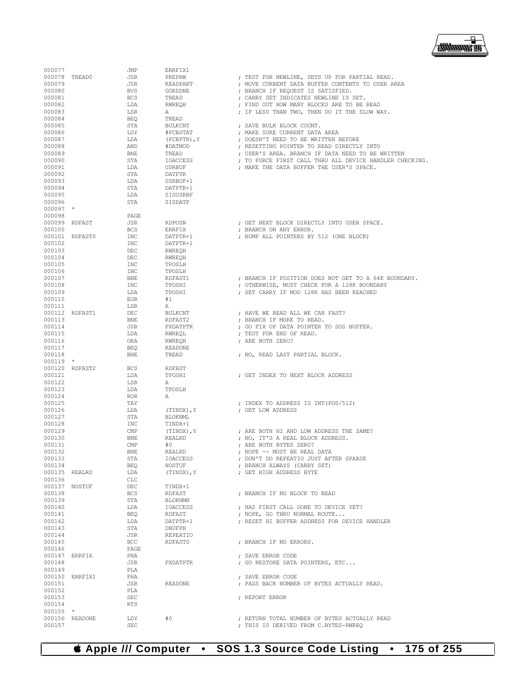

| 000077        |                | JMP        | ERRFIX1          |                                                         |
|---------------|----------------|------------|------------------|---------------------------------------------------------|
| 000078 TREAD0 |                | JSR        | PREPRW           | ; TEST FOR NEWLINE, SETS UP FOR PARTIAL READ.           |
| 000079        |                | JSR        | READPART         | ; MOVE CURRENT DATA BUFFER CONTENTS TO USER AREA        |
| 000080        |                | BVS        | GORDDNE          | ; BRANCH IF REQUEST IS SATISFIED.                       |
|               |                |            |                  |                                                         |
| 000081        |                | <b>BCS</b> | TREAD            | ; CARRY SET INDICATES NEWLINE IS SET.                   |
| 000082        |                | LDA        | RWREOH           | ; FIND OUT HOW MANY BLOCKS ARE TO BE READ               |
| 000083        |                | LSR        | Α                | ; IF LESS THAN TWO, THEN DO IT THE SLOW WAY.            |
| 000084        |                | <b>BEQ</b> | TREAD            |                                                         |
| 000085        |                | STA        | BULKCNT          | ; SAVE BULK BLOCK COUNT.                                |
| 000086        |                | LDY        | #FCBSTAT         | ; MAKE SURE CURRENT DATA AREA                           |
| 000087        |                | LDA        | $(FCBPTR)$ , $Y$ | ; DOESN'T NEED TO BE WRITTEN BEFORE                     |
| 000088        |                | AND        | #DATMOD          | ; RESETTING POINTER TO READ DIRECTLY INTO               |
| 000089        |                | <b>BNE</b> | TREAD            | ; USER'S AREA. BRANCH IF DATA NEED TO BE WRITTEN        |
| 000090        |                | STA        | <b>IOACCESS</b>  | ; TO FORCE FIRST CALL THRU ALL DEVICE HANDLER CHECKING. |
| 000091        |                | LDA        | USRBUF           | ; MAKE THE DATA BUFFER THE USER'S SPACE.                |
| 000092        |                | STA        | DATPTR           |                                                         |
| 000093        |                | LDA        | USRBUF+1         |                                                         |
| 000094        |                | STA        | DATPTR+1         |                                                         |
| 000095        |                | LDA        | SISUSRBF         |                                                         |
| 000096        |                | STA        | SISDATP          |                                                         |
| $000097$ *    |                |            |                  |                                                         |
| 000098        |                | PAGE       |                  |                                                         |
|               |                |            |                  |                                                         |
| 000099 RDFAST |                | JSR        | RDPOSN           | ; GET NEXT BLOCK DIRECTLY INTO USER SPACE.              |
| 000100        |                | <b>BCS</b> | ERRFIX           | ; BRANCH ON ANY ERROR.                                  |
|               | 000101 RDFAST0 | INC        | DATPTR+1         | ; BUMP ALL POINTERS BY 512 (ONE BLOCK)                  |
| 000102        |                | INC        | DATPTR+1         |                                                         |
| 000103        |                | DEC        | RWREQH           |                                                         |
| 000104        |                | DEC        | RWREQH           |                                                         |
| 000105        |                | INC        | TPOSLH           |                                                         |
| 000106        |                | INC        | TPOSLH           |                                                         |
| 000107        |                | BNE        | RDFAST1          | ; BRANCH IF POSITION DOES NOT GET TO A 64K BOUNDARY.    |
| 000108        |                | <b>INC</b> | TPOSHI           | ; OTHERWISE, MUST CHECK FOR A 128K BOUNDARY             |
| 000109        |                | LDA        | TPOSHI           | ; SET CARRY IF MOD 128K HAS BEEN REACHED                |
| 000110        |                | <b>EOR</b> | #1               |                                                         |
| 000111        |                | LSR        | Α                |                                                         |
|               | 000112 RDFAST1 | DEC        | <b>BULKCNT</b>   | ; HAVE WE READ ALL WE CAN FAST?                         |
| 000113        |                | BNE        | RDFAST2          | ; BRANCH IF MORE TO READ.                               |
| 000114        |                | JSR        | FXDATPTR         | ; GO FIX UP DATA POINTER TO SOS BUFFER.                 |
| 000115        |                | LDA        | RWREQL           | ; TEST FOR END OF READ.                                 |
| 000116        |                | ORA        | RWREQH           | ; ARE BOTH ZERO?                                        |
| 000117        |                | <b>BEQ</b> | <b>READONE</b>   |                                                         |
| 000118        |                | BNE        | TREAD            |                                                         |
| $000119$ *    |                |            |                  | ; NO, READ LAST PARTIAL BLOCK.                          |
|               |                |            |                  |                                                         |
|               | 000120 RDFAST2 | <b>BCS</b> | RDFAST           |                                                         |
| 000121        |                | LDA        | TPOSHI           | ; GET INDEX TO NEXT BLOCK ADDRESS                       |
| 000122        |                | LSR        | Α                |                                                         |
| 000123        |                | LDA        | TPOSLH           |                                                         |
| 000124        |                | <b>ROR</b> | Α                |                                                         |
| 000125        |                | TAY        |                  | ; INDEX TO ADDRESS IS INT(POS/512)                      |
| 000126        |                | LDA        | (TINDX), Y       | ; GET LOW ADDRESS                                       |
| 000127        |                | STA        | BLOKNML          |                                                         |
| 000128        |                | INC        | TINDX+1          |                                                         |
| 000129        |                | CMP        | (TINDX), Y       | ; ARE BOTH HI AND LOW ADDRESS THE SAME?                 |
| 000130        |                | <b>BNE</b> | REALRD           | ; NO, IT'S A REAL BLOCK ADDRESS.                        |
| 000131        |                | CMP        | #0               | ; ARE BOTH BYTES ZERO?                                  |
| 000132        |                | BNE        | REALRD           | ; NOPE -- MUST BE REAL DATA                             |
| 000133        |                | STA        | IOACCESS         | ; DON'T DO REPEATIO JUST AFTER SPARSE                   |
| 000134        |                | BEQ        | NOSTUF           | ; BRANCH ALWAYS (CARRY SET)                             |
| 000135 REALRD |                | LDA        | (TINDX), Y       | ; GET HIGH ADDRESS BYTE                                 |
| 000136        |                | CLC        |                  |                                                         |
|               | 000137 NOSTUF  | DEC        | TINDX+1          |                                                         |
| 000138        |                | BCS        | RDFAST           | ; BRANCH IF NO BLOCK TO READ                            |
| 000139        |                | STA        | BLOKNMH          |                                                         |
| 000140        |                |            |                  | ; HAS FIRST CALL GONE TO DEVICE YET?                    |
|               |                | LDA        | IOACCESS         |                                                         |
| 000141        |                | BEQ        | RDFAST           | ; NOPE, GO THRU NORMAL ROUTE                            |
| 000142        |                | LDA        | DATPTR+1         | ; RESET HI BUFFER ADDRESS FOR DEVICE HANDLER            |
| 000143        |                | STA        | DBUFPH           |                                                         |
| 000144        |                | JSR        | REPEATIO         |                                                         |
| 000145        |                | BCC        | RDFAST0          | ; BRANCH IF NO ERRORS.                                  |
| 000146        |                | PAGE       |                  |                                                         |
|               | 000147 ERRFIX  | PHA        |                  | ; SAVE ERROR CODE                                       |
| 000148        |                | JSR        | FXDATPTR         | ; GO RESTORE DATA POINTERS, ETC                         |
| 000149        |                | PLA        |                  |                                                         |
|               | 000150 ERRFIX1 | PHA        |                  | ; SAVE ERROR CODE                                       |
| 000151        |                | JSR        | READONE          | ; PASS BACK NUMBER OF BYTES ACTUALLY READ.              |
| 000152        |                | PLA        |                  |                                                         |
| 000153        |                | SEC        |                  | ; REPORT ERROR                                          |
| 000154        |                | <b>RTS</b> |                  |                                                         |
| $000155$ *    |                |            |                  |                                                         |
|               |                |            |                  |                                                         |
|               | 000156 READONE | LDY        | #0               | ; RETURN TOTAL NUMBER OF BYTES ACTUALLY READ            |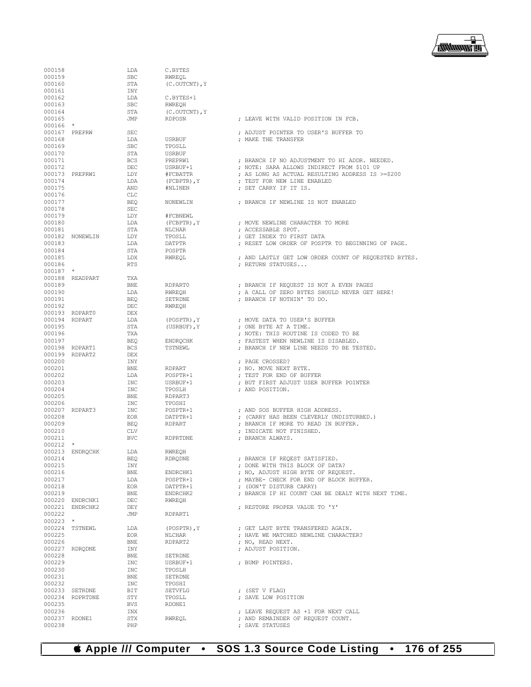

| 000158                  |                 | LDA               | C.BYTES              |                                                                                 |
|-------------------------|-----------------|-------------------|----------------------|---------------------------------------------------------------------------------|
| 000159<br>000160        |                 | <b>SBC</b>        | RWREQL               |                                                                                 |
| 000161                  |                 | STA<br>INY        | (C.OUTCNT), Y        |                                                                                 |
| 000162                  |                 | LDA               | C.BYTES+1            |                                                                                 |
| 000163                  |                 | <b>SBC</b>        | RWREQH               |                                                                                 |
| 000164                  |                 | STA               | (C.OUTCNT), Y        |                                                                                 |
| 000165                  |                 | JMP               | <b>RDPOSN</b>        | ; LEAVE WITH VALID POSITION IN FCB.                                             |
| $000166$ *              |                 |                   |                      |                                                                                 |
| 000167 PREPRW           |                 | SEC               |                      | ; ADJUST POINTER TO USER'S BUFFER TO                                            |
| 000168                  |                 | LDA               | USRBUF               | ; MAKE THE TRANSFER                                                             |
| 000169                  |                 | <b>SBC</b>        | TPOSLL               |                                                                                 |
| 000170                  |                 | STA               | USRBUF               |                                                                                 |
| 000171                  |                 | <b>BCS</b>        | PREPRW1              | ; BRANCH IF NO ADJUSTMENT TO HI ADDR. NEEDED.                                   |
| 000172                  | 000173 PREPRW1  | DEC               | USRBUF+1<br>#FCBATTR | ; NOTE: SARA ALLOWS INDIRECT FROM \$101 UP                                      |
| 000174                  |                 | LDY<br>LDA        | $(FCBPTR)$ , $Y$     | ; AS LONG AS ACTUAL RESULTING ADDRESS IS >=\$200<br>; TEST FOR NEW LINE ENABLED |
| 000175                  |                 | AND               | #NLINEN              | ; SET CARRY IF IT IS.                                                           |
| 000176                  |                 | CLC               |                      |                                                                                 |
| 000177                  |                 | <b>BEQ</b>        | NONEWLIN             | ; BRANCH IF NEWLINE IS NOT ENABLED                                              |
| 000178                  |                 | <b>SEC</b>        |                      |                                                                                 |
| 000179                  |                 | LDY               | #FCBNEWL             |                                                                                 |
| 000180                  |                 | LDA               | (FCBPTR), Y          | ; MOVE NEWLINE CHARACTER TO MORE                                                |
| 000181                  |                 | STA               | NLCHAR               | ; ACCESSABLE SPOT.                                                              |
|                         | 000182 NONEWLIN | LDY               | TPOSLL               | ; GET INDEX TO FIRST DATA                                                       |
| 000183                  |                 | LDA               | <b>DATPTR</b>        | ; RESET LOW ORDER OF POSPTR TO BEGINNING OF PAGE.                               |
| 000184                  |                 | STA               | POSPTR               |                                                                                 |
| 000185<br>000186        |                 | LDX               | RWREOL               | ; AND LASTLY GET LOW ORDER COUNT OF REQUESTED BYTES.                            |
| $000187$ *              |                 | RTS               |                      | ; RETURN STATUSES                                                               |
|                         | 000188 READPART | TXA               |                      |                                                                                 |
| 000189                  |                 | BNE               | RDPART0              | ; BRANCH IF REQUEST IS NOT A EVEN PAGES                                         |
| 000190                  |                 | LDA               | RWREOH               | ; A CALL OF ZERO BYTES SHOULD NEVER GET HERE!                                   |
| 000191                  |                 | BEO               | SETRDNE              | ; BRANCH IF NOTHIN' TO DO.                                                      |
| 000192                  |                 | DEC               | RWREQH               |                                                                                 |
|                         | 000193 RDPART0  | DEX               |                      |                                                                                 |
| 000194 RDPART           |                 | LDA               | $(POSPTR)$ , $Y$     | ; MOVE DATA TO USER'S BUFFER                                                    |
| 000195                  |                 | STA               | (USRBUF), Y          | ; ONE BYTE AT A TIME.                                                           |
| 000196                  |                 | TXA               |                      | ; NOTE: THIS ROUTINE IS CODED TO BE                                             |
| 000197                  |                 | BEO               | ENDRQCHK             | ; FASTEST WHEN NEWLINE IS DISABLED.                                             |
|                         | 000198 RDPART1  | <b>BCS</b>        | TSTNEWL              | ; BRANCH IF NEW LINE NEEDS TO BE TESTED.                                        |
| 000200                  | 000199 RDPART2  | DEX               |                      |                                                                                 |
| 000201                  |                 | INY<br><b>BNE</b> | RDPART               | ; PAGE CROSSED?<br>; NO. MOVE NEXT BYTE.                                        |
| 000202                  |                 | LDA               | POSPTR+1             | ; TEST FOR END OF BUFFER                                                        |
| 000203                  |                 | INC               | USRBUF+1             | ; BUT FIRST ADJUST USER BUFFER POINTER                                          |
| 000204                  |                 | INC               | TPOSLH               | ; AND POSITION.                                                                 |
| 000205                  |                 | BNE               | RDPART3              |                                                                                 |
| 000206                  |                 | INC               | TPOSHI               |                                                                                 |
|                         | 000207 RDPART3  | INC               | POSPTR+1             | ; AND SOS BUFFER HIGH ADDRESS.                                                  |
| 000208                  |                 | EOR               | DATPTR+1             | ; (CARRY HAS BEEN CLEVERLY UNDISTURBED.)                                        |
| 000209                  |                 | BEQ               | RDPART               | ; BRANCH IF MORE TO READ IN BUFFER.                                             |
| 000210                  |                 | <b>CLV</b>        |                      | ; INDICATE NOT FINISHED.                                                        |
| 000211<br>$000212$ *    |                 | <b>BVC</b>        | RDPRTDNE             | ; BRANCH ALWAYS.                                                                |
|                         | 000213 ENDROCHK | LDA               | RWREQH               |                                                                                 |
| 000214                  |                 | BEQ               | RDRQDNE              | ; BRANCH IF REQEST SATISFIED.                                                   |
| 000215                  |                 | INY               |                      | ; DONE WITH THIS BLOCK OF DATA?                                                 |
| 000216                  |                 | BNE               | ENDRCHK1             | ; NO, ADJUST HIGH BYTE OF REQUEST.                                              |
| 000217                  |                 | LDA               | POSPTR+1             | ; MAYBE- CHECK FOR END OF BLOCK BUFFER.                                         |
| 000218                  |                 | EOR               | DATPTR+1             | ; (DON'T DISTURB CARRY)                                                         |
| 000219                  |                 | BNE               | ENDRCHK2             | ; BRANCH IF HI COUNT CAN BE DEALT WITH NEXT TIME.                               |
|                         | 000220 ENDRCHK1 | DEC               | RWREQH               |                                                                                 |
|                         | 000221 ENDRCHK2 | DEY               |                      | : RESTORE PROPER VALUE TO 'Y'                                                   |
| 000222                  |                 | JMP               | RDPART1              |                                                                                 |
| $000223$ *              |                 |                   |                      |                                                                                 |
| 000225                  | 000224 TSTNEWL  | LDA               | (POSPTR), Y          | ; GET LAST BYTE TRANSFERED AGAIN.                                               |
| 000226                  |                 | EOR<br>BNE        | NLCHAR<br>RDPART2    | ; HAVE WE MATCHED NEWLINE CHARACTER?<br>; NO, READ NEXT.                        |
|                         | 000227 RDRQDNE  | INY               |                      | ; ADJUST POSITION.                                                              |
| 000228                  |                 | BNE               | SETRDNE              |                                                                                 |
| 000229                  |                 | INC               | USRBUF+1             | ; BUMP POINTERS.                                                                |
| 000230                  |                 | INC               | TPOSLH               |                                                                                 |
| 000231                  |                 | BNE               | SETRDNE              |                                                                                 |
| 000232                  |                 | INC               | TPOSHI               |                                                                                 |
|                         | 000233 SETRDNE  | BIT               | SETVFLG              | ; (SET V FLAG)                                                                  |
|                         | 000234 RDPRTDNE | STY               | TPOSLL               | ; SAVE LOW POSITION                                                             |
| 000235                  |                 | BVS               | RDONE1               |                                                                                 |
| 000236                  |                 | INX               |                      | ; LEAVE REQUEST AS +1 FOR NEXT CALL                                             |
| 000237 RDONE1<br>000238 |                 | STX<br>PHP        | RWREQL               | ; AND REMAINDER OF REQUEST COUNT.<br>; SAVE STATUSES                            |
|                         |                 |                   |                      |                                                                                 |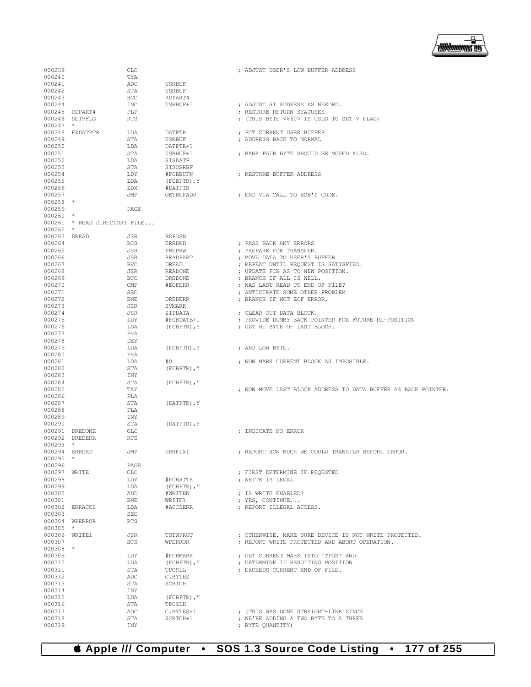▕<del>▓▓▓▓</del>▊

| 000239           |                       | CLC        |                  | ; ADJUST USER'S LOW BUFFER ADDRESS                            |
|------------------|-----------------------|------------|------------------|---------------------------------------------------------------|
| 000240           |                       | TYA        |                  |                                                               |
| 000241           |                       | ADC        | <b>USRBUF</b>    |                                                               |
| 000242           |                       | STA        | <b>USRBUF</b>    |                                                               |
| 000243           |                       | BCC        | RDPART4          |                                                               |
| 000244           |                       | INC        | USRBUF+1         | ; ADJUST HI ADDRESS AS NEEDED.                                |
| 000245           | RDPART4               | PLP        |                  | ; RESTORE RETURN STATUSES                                     |
| 000246           | SETVFLG               | <b>RTS</b> |                  | ; (THIS BYTE <\$60> IS USED TO SET V FLAG)                    |
| 000247           | $\star$               |            |                  |                                                               |
|                  | 000248 FXDATPTR       | LDA        | DATPTR           |                                                               |
|                  |                       |            |                  | ; PUT CURRENT USER BUFFER                                     |
| 000249           |                       | STA        | <b>USRBUF</b>    | ; ADDRESS BACK TO NORMAL                                      |
| 000250           |                       | LDA        | DATPTR+1         |                                                               |
| 000251           |                       | STA        | USRBUF+1         | ; BANK PAIR BYTE SHOULD BE MOVED ALSO.                        |
| 000252           |                       | LDA        | SISDATP          |                                                               |
| 000253           |                       | STA        | SISUSRBF         |                                                               |
| 000254           |                       | LDY        | #FCBBUFN         | ; RESTORE BUFFER ADDRESS                                      |
| 000255           |                       | LDA        | (FCBPTR), Y      |                                                               |
| 000256           |                       | LDX        | #DATPTR          |                                                               |
| 000257           |                       | JMP        | <b>GETBUFADR</b> | ; END VIA CALL TO BOB'S CODE.                                 |
| 000258           | $\star$               |            |                  |                                                               |
| 000259           |                       | PAGE       |                  |                                                               |
| 000260           | $\star$               |            |                  |                                                               |
|                  |                       |            |                  |                                                               |
| 000261           | * READ DIRECTORY FILE |            |                  |                                                               |
| 000262           | $\star$               |            |                  |                                                               |
| 000263           | DREAD                 | JSR        | <b>RDPOSN</b>    |                                                               |
| 000264           |                       | <b>BCS</b> | <b>ERRDRD</b>    | ; PASS BACK ANY ERRORS                                        |
| 000265           |                       | JSR        | PREPRW           | ; PREPARE FOR TRANSFER.                                       |
| 000266           |                       | JSR        | READPART         | ; MOVE DATA TO USER'S BUFFER                                  |
| 000267           |                       | <b>BVC</b> | DREAD            | ; REPEAT UNTIL REQUEST IS SATISFIED.                          |
| 000268           |                       | JSR        | <b>READONE</b>   | ; UPDATE FCB AS TO NEW POSITION.                              |
| 000269           |                       | BCC        | <b>DREDONE</b>   | ; BRANCH IF ALL IS WELL.                                      |
| 000270           |                       | CMP        | #EOFERR          | ; WAS LAST READ TO END OF FILE?                               |
| 000271           |                       | <b>SEC</b> |                  | ; ANTICIPATE SOME OTHER PROBLEM                               |
|                  |                       |            |                  |                                                               |
| 000272           |                       | BNE        | <b>DREDERR</b>   | ; BRANCH IF NOT EOF ERROR.                                    |
| 000273           |                       | JSR        | SVMARK           |                                                               |
| 000274           |                       | JSR        | ZIPDATA          | ; CLEAR OUT DATA BLOCK.                                       |
| 000275           |                       | LDY        | #FCBDATB+1       | ; PROVIDE DUMMY BACK POINTER FOR FUTURE RE-POSITION           |
| 000276           |                       | LDA        | $(FCBPTR)$ , $Y$ | ; GET HI BYTE OF LAST BLOCK.                                  |
| 000277           |                       | PHA        |                  |                                                               |
| 000278           |                       | DEY        |                  |                                                               |
| 000279           |                       | LDA        | (FCBPTR), Y      | ; AND LOW BYTE.                                               |
| 000280           |                       | PHA        |                  |                                                               |
| 000281           |                       | LDA        | #0               | ; NOW MARK CURRENT BLOCK AS IMPOSIBLE.                        |
| 000282           |                       | STA        | (FCBPTR), Y      |                                                               |
|                  |                       |            |                  |                                                               |
| 000283           |                       | INY        |                  |                                                               |
| 000284           |                       | STA        | (FCBPTR), Y      |                                                               |
| 000285           |                       | TAY        |                  | ; NOW MOVE LAST BLOCK ADDRESS TO DATA BUFFER AS BACK POINTER. |
| 000286           |                       | PLA        |                  |                                                               |
| 000287           |                       | STA        | (DATPTR), Y      |                                                               |
| 000288           |                       |            |                  |                                                               |
|                  |                       | PLA        |                  |                                                               |
| 000289           |                       | INY        |                  |                                                               |
| 000290           |                       | STA        |                  |                                                               |
|                  | DREDONE               | <b>CLC</b> | (DATPTR), Y      |                                                               |
| 000291           |                       |            |                  | ; INDICATE NO ERROR                                           |
| 000292           | DREDERR               | RTS        |                  |                                                               |
| 000293           | $\star$               |            |                  |                                                               |
| 000294           | ERRDRD                | JMP        | ERRFIX1          | ; REPORT HOW MUCH WE COULD TRANSFER BEFORE ERROR.             |
| 000295           |                       |            |                  |                                                               |
| 000296           |                       | PAGE       |                  |                                                               |
| 000297 WRITE     |                       | CLC        |                  | ; FIRST DETERMINE IF REOESTED                                 |
| 000298           |                       | LDY        | #FCBATTR         | ; WRITE IS LEGAL                                              |
| 000299           |                       | LDA        | $(FCBPTR)$ , $Y$ |                                                               |
| 000300           |                       | AND        | #WRITEN          | ; IS WRITE ENABLED?                                           |
| 000301           |                       | <b>BNE</b> | WRITE1           | ; YES, CONTINUE                                               |
| 000302 ERRACCS   |                       | LDA        | #ACCSERR         | ; REPORT ILLEGAL ACCESS.                                      |
| 000303           |                       | <b>SEC</b> |                  |                                                               |
| 000304 WPERROR   |                       | <b>RTS</b> |                  |                                                               |
| 000305           | $\star$               |            |                  |                                                               |
|                  |                       |            |                  | ; OTHERWISE, MAKE SURE DEVICE IS NOT WRITE PROTECTED.         |
| 000306 WRITE1    |                       | JSR        | TSTWPROT         |                                                               |
| 000307           |                       | <b>BCS</b> | <b>WPERROR</b>   | ; REPORT WRITE PROTECTED AND ABORT OPERATION.                 |
| $000308$ *       |                       |            |                  |                                                               |
| 000309           |                       | LDY        | #FCBMARK         | ; GET CURRENT MARK INTO 'TPOS' AND                            |
| 000310           |                       | LDA        | $(FCBPTR)$ , $Y$ | ; DETERMINE IF RESULTING POSITION                             |
| 000311           |                       | STA        | TPOSLL           | ; EXCEEDS CURRENT END OF FILE.                                |
| 000312           |                       | ADC        | C.BYTES          |                                                               |
| 000313           |                       | STA        | SCRTCH           |                                                               |
| 000314           |                       | INY        |                  |                                                               |
| 000315           |                       | LDA        | (FCBPTR), Y      |                                                               |
| 000316           |                       | STA        | TPOSLH           |                                                               |
| 000317           |                       | ADC        | C.BYTES+1        | ; (THIS WAS DONE STRAIGHT-LINE SINCE                          |
|                  |                       |            |                  |                                                               |
| 000318<br>000319 |                       | STA<br>INY | SCRTCH+1         | ; WE'RE ADDING A TWO BYTE TO A THREE<br>; BYTE QUANTITY)      |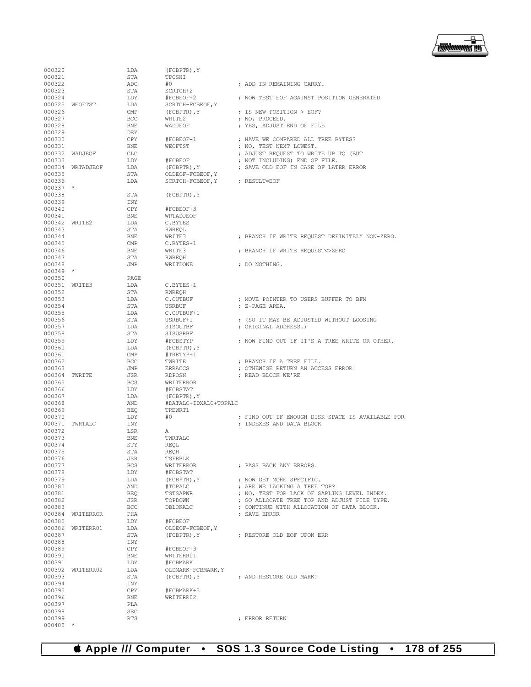

| 000320           |                  | LDA               | $(FCBPTR)$ , $Y$        |                                                                       |
|------------------|------------------|-------------------|-------------------------|-----------------------------------------------------------------------|
| 000321           |                  | STA               | TPOSHI                  |                                                                       |
| 000322           |                  | ADC               | #0                      | ; ADD IN REMAINING CARRY.                                             |
| 000323           |                  | STA               | SCRTCH+2                |                                                                       |
| 000324           |                  | LDY               | #FCBEOF+2               | ; NOW TEST EOF AGAINST POSITION GENERATED                             |
|                  | 000325 WEOFTST   | LDA               | SCRTCH-FCBEOF, Y        |                                                                       |
| 000326           |                  | CMP               | $(FCBPTR)$ , $Y$        | ; IS NEW POSITION > EOF?                                              |
| 000327           |                  | <b>BCC</b>        | WRITE2                  | ; NO, PROCEED.                                                        |
| 000328           |                  | BNE               | WADJEOF                 | ; YES, ADJUST END OF FILE                                             |
| 000329           |                  | DEY               |                         |                                                                       |
| 000330           |                  | CPY               | #FCBEOF-1               | ; HAVE WE COMPARED ALL TREE BYTES?                                    |
| 000331           | 000332 WADJEOF   | BNE<br><b>CLC</b> | WEOFTST                 | ; NO, TEST NEXT LOWEST.                                               |
| 000333           |                  | LDY               | #FCBEOF                 | ; ADJUST REQUEST TO WRITE UP TO (BUT<br>; NOT INCLUDING) END OF FILE. |
|                  | 000334 WRTADJEOF | LDA               | $(FCBPTR)$ , $Y$        | ; SAVE OLD EOF IN CASE OF LATER ERROR                                 |
| 000335           |                  | STA               | OLDEOF-FCBEOF, Y        |                                                                       |
| 000336           |                  | LDA               | SCRTCH-FCBEOF, Y        | ; RESULT=EOF                                                          |
| $000337$ *       |                  |                   |                         |                                                                       |
| 000338           |                  | STA               | $(FCBPTR)$ , $Y$        |                                                                       |
| 000339           |                  | INY               |                         |                                                                       |
| 000340           |                  | CPY               | #FCBEOF+3               |                                                                       |
| 000341           |                  | BNE               | WRTADJEOF               |                                                                       |
| 000342 WRITE2    |                  | LDA               | C.BYTES                 |                                                                       |
| 000343           |                  | STA               | RWREOL                  |                                                                       |
| 000344           |                  | BNE               | WRITE3                  | ; BRANCH IF WRITE REQUEST DEFINITELY NON-ZERO.                        |
| 000345           |                  | CMP               | C.BYTES+1               |                                                                       |
| 000346           |                  | BNE               | WRITE3                  | ; BRANCH IF WRITE REQUEST<>ZERO                                       |
| 000347           |                  | STA               | RWREQH                  |                                                                       |
| 000348           |                  | JMP               | WRITDONE                | ; DO NOTHING.                                                         |
| $000349$ *       |                  |                   |                         |                                                                       |
| 000350           |                  | PAGE              |                         |                                                                       |
| 000351 WRITE3    |                  | LDA               | C.BYTES+1               |                                                                       |
| 000352           |                  | STA               | RWREOH                  |                                                                       |
| 000353           |                  | LDA               | C.OUTBUF                | ; MOVE POINTER TO USERS BUFFER TO BFM                                 |
| 000354           |                  | STA               | <b>USRBUF</b>           | ; Z-PAGE AREA.                                                        |
| 000355           |                  | LDA               | C.OUTBUF+1              |                                                                       |
| 000356           |                  | STA               | USRBUF+1                | ; (SO IT MAY BE ADJUSTED WITHOUT LOOSING                              |
| 000357           |                  | LDA               | SISOUTBF                | ; ORIGINAL ADDRESS.)                                                  |
| 000358           |                  | STA               | SISUSRBF                |                                                                       |
| 000359           |                  | LDY               | #FCBSTYP                | ; NOW FIND OUT IF IT'S A TREE WRITE OR OTHER.                         |
| 000360           |                  | LDA               | $(FCBPTR)$ , $Y$        |                                                                       |
| 000361<br>000362 |                  | CMP               | #TRETYP+1               |                                                                       |
| 000363           |                  | BCC<br>JMP        | TWRITE                  | ; BRANCH IF A TREE FILE.                                              |
| 000364 TWRITE    |                  | JSR               | ERRACCS<br>RDPOSN       | ; OTHEWISE RETURN AN ACCESS ERROR!<br>; READ BLOCK WE'RE              |
| 000365           |                  | <b>BCS</b>        | WRITERROR               |                                                                       |
| 000366           |                  | LDY               | #FCBSTAT                |                                                                       |
| 000367           |                  | LDA               | $(FCBPTR)$ , $Y$        |                                                                       |
| 000368           |                  | AND               | #DATALC+IDXALC+TOPALC   |                                                                       |
| 000369           |                  | <b>BEQ</b>        | TREWRT1                 |                                                                       |
| 000370           |                  | LDY               | #0                      | ; FIND OUT IF ENOUGH DISK SPACE IS AVAILABLE FOR                      |
| 000371           | TWRTALC          | INY               |                         | : INDEXES AND DATA BLOCK                                              |
| 000372           |                  | LSR               | Α                       |                                                                       |
| 000373           |                  | BNE               | TWRTALC                 |                                                                       |
| 000374           |                  | STY               | REOL                    |                                                                       |
| 000375           |                  | STA               | <b>REOH</b>             |                                                                       |
| 000376           |                  | JSR               | TSFRBLK                 |                                                                       |
| 000377           |                  | <b>BCS</b>        | WRITERROR               | ; PASS BACK ANY ERRORS.                                               |
| 000378           |                  | LDY               | #FCBSTAT                |                                                                       |
| 000379           |                  | LDA               | (FCBPTR), Y             | ; NOW GET MORE SPECIFIC.                                              |
| 000380           |                  | AND               | #TOPALC                 | ; ARE WE LACKING A TREE TOP?                                          |
| 000381           |                  | <b>BEQ</b>        | TSTSAPWR                | ; NO, TEST FOR LACK OF SAPLING LEVEL INDEX.                           |
| 000382           |                  | JSR               | TOPDOWN                 | ; GO ALLOCATE TREE TOP AND ADJUST FILE TYPE.                          |
| 000383           |                  | <b>BCC</b>        | DBLOKALC                | ; CONTINUE WITH ALLOCATION OF DATA BLOCK.                             |
| 000384           | WRITERROR        | PHA               |                         | : SAVE ERROR                                                          |
| 000385           |                  | LDY               | #FCBEOF                 |                                                                       |
|                  | 000386 WRITERR01 | LDA               | OLDEOF-FCBEOF, Y        |                                                                       |
| 000387           |                  | STA               | $(FCBPTR)$ , $Y$        | : RESTORE OLD EOF UPON ERR                                            |
| 000388           |                  | INY               |                         |                                                                       |
| 000389           |                  | CPY               | #FCBEOF+3               |                                                                       |
| 000390           |                  | BNE               | WRITERR01               |                                                                       |
| 000391           |                  | LDY               | #FCBMARK                |                                                                       |
|                  | 000392 WRITERR02 | LDA               | OLDMARK-FCBMARK, Y      |                                                                       |
| 000393           |                  | STA               | $(FCBPTR)$ , $Y$        | ; AND RESTORE OLD MARK!                                               |
| 000394           |                  | INY               |                         |                                                                       |
| 000395<br>000396 |                  | CPY<br>BNE        | #FCBMARK+3<br>WRITERR02 |                                                                       |
| 000397           |                  | PLA               |                         |                                                                       |
| 000398           |                  | <b>SEC</b>        |                         |                                                                       |
| 000399           |                  | <b>RTS</b>        |                         | ; ERROR RETURN                                                        |
| $000400$ *       |                  |                   |                         |                                                                       |
|                  |                  |                   |                         |                                                                       |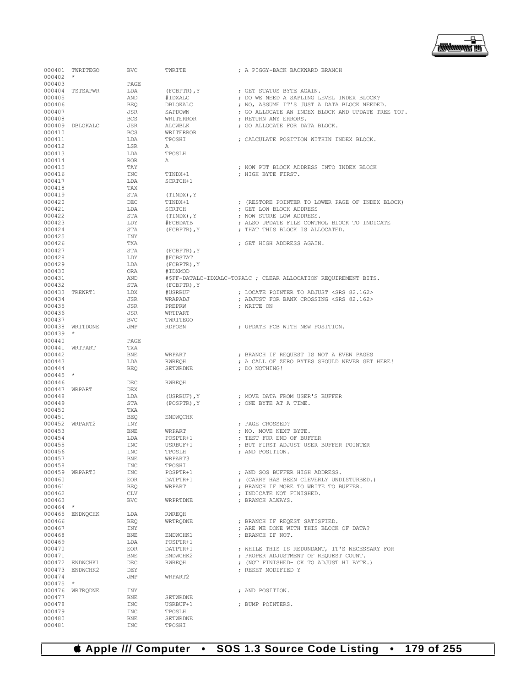

| 000401               | TWRITEGO                           | BVC               | TWRITE               | ; A PIGGY-BACK BACKWARD BRANCH                                  |
|----------------------|------------------------------------|-------------------|----------------------|-----------------------------------------------------------------|
| $000402$ *<br>000403 |                                    | PAGE.             |                      |                                                                 |
| 000404               | TSTSAPWR                           | LDA               | $(FCBPTR)$ , $Y$     | : GET STATUS BYTE AGAIN.                                        |
| 000405               |                                    | AND               | #IDXALC              | ; DO WE NEED A SAPLING LEVEL INDEX BLOCK?                       |
| 000406               |                                    | BEO               | DBLOKALC             | ; NO, ASSUME IT'S JUST A DATA BLOCK NEEDED.                     |
| 000407               |                                    | JSR               | SAPDOWN              | ; GO ALLOCATE AN INDEX BLOCK AND UPDATE TREE TOP.               |
| 000408               |                                    | <b>BCS</b>        | WRITERROR            | : RETURN ANY ERRORS.                                            |
| 000409<br>000410     | DBLOKALC                           | JSR<br><b>BCS</b> | ALCWBLK<br>WRITERROR | ; GO ALLOCATE FOR DATA BLOCK.                                   |
| 000411               |                                    | LDA               | TPOSHI               | ; CALCULATE POSITION WITHIN INDEX BLOCK.                        |
| 000412               |                                    | LSR               | A                    |                                                                 |
| 000413               |                                    | LDA               | TPOSLH               |                                                                 |
| 000414               |                                    | <b>ROR</b>        | A                    |                                                                 |
| 000415               |                                    | TAY               |                      | ; NOW PUT BLOCK ADDRESS INTO INDEX BLOCK                        |
| 000416               |                                    | INC               | TINDX+1              | : HIGH BYTE FIRST.                                              |
| 000417<br>000418     |                                    | LDA<br>TAX        | SCRTCH+1             |                                                                 |
| 000419               |                                    | STA               | (TINDX), Y           |                                                                 |
| 000420               |                                    | DEC               | TINDX+1              | ; (RESTORE POINTER TO LOWER PAGE OF INDEX BLOCK)                |
| 000421               |                                    | LDA               | SCRTCH               | ; GET LOW BLOCK ADDRESS                                         |
| 000422               |                                    | STA               | (TINDX), Y           | ; NOW STORE LOW ADDRESS.                                        |
| 000423               |                                    | LDY               | #FCBDATB             | ; ALSO UPDATE FILE CONTROL BLOCK TO INDICATE                    |
| 000424               |                                    | STA               | (FCBPTR), Y          | ; THAT THIS BLOCK IS ALLOCATED.                                 |
| 000425<br>000426     |                                    | INY<br>TXA        |                      | ; GET HIGH ADDRESS AGAIN.                                       |
| 000427               |                                    | STA               | $(FCBPTR)$ , $Y$     |                                                                 |
| 000428               |                                    | LDY               | #FCBSTAT             |                                                                 |
| 000429               |                                    | LDA               | (FCBPTR), Y          |                                                                 |
| 000430               |                                    | ORA               | #IDXMOD              |                                                                 |
| 000431               |                                    | AND               |                      | #\$FF-DATALC-IDXALC-TOPALC ; CLEAR ALLOCATION REOUIREMENT BITS. |
| 000432               |                                    | STA               | (FCBPTR), Y          |                                                                 |
| 000433               | TREWRT1                            | LDX               | #USRBUF              | ; LOCATE POINTER TO ADJUST <srs 82.162=""></srs>                |
| 000434<br>000435     |                                    | JSR<br>JSR        | WRAPADJ<br>PREPRW    | ; ADJUST FOR BANK CROSSING <srs 82.162=""><br/>; WRITE ON</srs> |
| 000436               |                                    | JSR               | WRTPART              |                                                                 |
| 000437               |                                    | BVC               | TWRITEGO             |                                                                 |
|                      | 000438 WRITDONE                    | JMP               | RDPOSN               | ; UPDATE FCB WITH NEW POSITION.                                 |
| $000439$ *           |                                    |                   |                      |                                                                 |
| 000440               |                                    | PAGE              |                      |                                                                 |
| 000442               | 000441 WRTPART                     | TXA<br>BNE        | WRPART               | ; BRANCH IF REQUEST IS NOT A EVEN PAGES                         |
| 000443               |                                    | LDA               | RWREOH               | ; A CALL OF ZERO BYTES SHOULD NEVER GET HERE!                   |
| 000444               |                                    | BEQ               | SETWRDNE             | ; DO NOTHING!                                                   |
| $000445$ *           |                                    |                   |                      |                                                                 |
| 000446               |                                    | DEC               | RWREOH               |                                                                 |
| 000447               | WRPART                             | DEX               |                      |                                                                 |
| 000448<br>000449     |                                    | LDA<br>STA        | (USRBUF), Y          | ; MOVE DATA FROM USER'S BUFFER<br>; ONE BYTE AT A TIME.         |
| 000450               |                                    | TXA               | (POSPTR), Y          |                                                                 |
| 000451               |                                    | BEO               | ENDWQCHK             |                                                                 |
|                      | 000452 WRPART2                     | INY               |                      | ; PAGE CROSSED?                                                 |
| 000453               |                                    | <b>BNE</b>        | WRPART               | ; NO. MOVE NEXT BYTE.                                           |
| 000454               |                                    | LDA               | POSPTR+1             | ; TEST FOR END OF BUFFER                                        |
| 000455               |                                    | INC               | USRBUF+1             | ; BUT FIRST ADJUST USER BUFFER POINTER                          |
| 000456<br>000457     |                                    | <b>INC</b>        | TPOSLH<br>WRPART3    | ; AND POSITION.                                                 |
| 000458               |                                    | BNE<br>INC        | TPOSHI               |                                                                 |
|                      | 000459 WRPART3                     | INC               | POSPTR+1             | ; AND SOS BUFFER HIGH ADDRESS.                                  |
| 000460               |                                    | EOR               | DATPTR+1             | ; (CARRY HAS BEEN CLEVERLY UNDISTURBED.)                        |
| 000461               |                                    | <b>BEO</b>        | WRPART               | ; BRANCH IF MORE TO WRITE TO BUFFER.                            |
| 000462               |                                    | CLV               |                      | ; INDICATE NOT FINISHED.                                        |
| 000463               |                                    | <b>BVC</b>        | WRPRTDNE             | ; BRANCH ALWAYS.                                                |
| $000464$ *           | 000465 ENDWQCHK                    | LDA               | RWREQH               |                                                                 |
| 000466               |                                    | BEQ               | WRTRQDNE             | ; BRANCH IF REQEST SATISFIED.                                   |
| 000467               |                                    | INY               |                      | ; ARE WE DONE WITH THIS BLOCK OF DATA?                          |
| 000468               |                                    | BNE               | ENDWCHK1             | : BRANCH IF NOT.                                                |
| 000469               |                                    | LDA               | POSPTR+1             |                                                                 |
| 000470               |                                    | EOR.              | DATPTR+1             | ; WHILE THIS IS REDUNDANT, IT'S NECESSARY FOR                   |
| 000471               |                                    | <b>BNE</b>        | ENDWCHK2             | ; PROPER ADJUSTMENT OF REQUEST COUNT.                           |
|                      | 000472 ENDWCHK1<br>000473 ENDWCHK2 | DEC<br>DEY        | RWREQH               | ; (NOT FINISHED- OK TO ADJUST HI BYTE.)<br>; RESET MODIFIED Y   |
| 000474               |                                    | JMP               | WRPART2              |                                                                 |
| $000475$ *           |                                    |                   |                      |                                                                 |
|                      | 000476 WRTRODNE                    | INY               |                      | ; AND POSITION.                                                 |
| 000477               |                                    | <b>BNE</b>        | SETWRDNE             |                                                                 |
| 000478               |                                    | INC               | USRBUF+1             | ; BUMP POINTERS.                                                |
| 000479               |                                    | INC               | TPOSLH               |                                                                 |
| 000480<br>000481     |                                    | BNE<br>INC        | SETWRDNE<br>TPOSHI   |                                                                 |
|                      |                                    |                   |                      |                                                                 |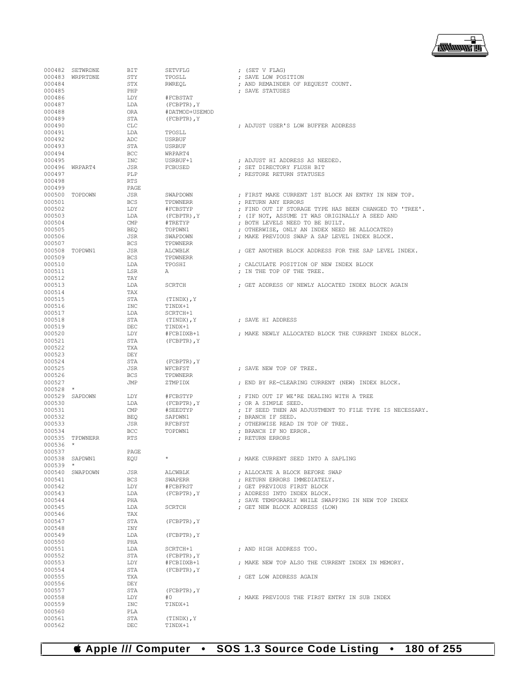### **Apple /// Computer • SOS 1.3 Source Code Listing • 180 of 255**

|            | 000482 SETWRDNE | BIT        | SETVFLG          | ; (SET V FLAG)                                          |
|------------|-----------------|------------|------------------|---------------------------------------------------------|
|            | 000483 WRPRTDNE | STY        | TPOSLL           | ; SAVE LOW POSITION                                     |
| 000484     |                 | <b>STX</b> | RWREQL           | ; AND REMAINDER OF REQUEST COUNT.                       |
| 000485     |                 | PHP        |                  | ; SAVE STATUSES                                         |
| 000486     |                 | LDY        | #FCBSTAT         |                                                         |
|            |                 |            |                  |                                                         |
| 000487     |                 | LDA        | (FCBPTR), Y      |                                                         |
| 000488     |                 | ORA        | #DATMOD+USEMOD   |                                                         |
| 000489     |                 | STA        | $(FCBPTR)$ , $Y$ |                                                         |
| 000490     |                 | <b>CLC</b> |                  | ; ADJUST USER'S LOW BUFFER ADDRESS                      |
| 000491     |                 | LDA        | TPOSLL           |                                                         |
| 000492     |                 | ADC        | USRBUF           |                                                         |
| 000493     |                 | STA        | USRBUF           |                                                         |
| 000494     |                 | BCC        | WRPART4          |                                                         |
|            |                 |            |                  |                                                         |
| 000495     |                 | <b>INC</b> | USRBUF+1         | : ADJUST HI ADDRESS AS NEEDED.                          |
|            | 000496 WRPART4  | JSR        | FCBUSED          | ; SET DIRECTORY FLUSH BIT                               |
| 000497     |                 | PLP        |                  | ; RESTORE RETURN STATUSES                               |
| 000498     |                 | <b>RTS</b> |                  |                                                         |
| 000499     |                 | PAGE       |                  |                                                         |
|            | 000500 TOPDOWN  | <b>JSR</b> | SWAPDOWN         | ; FIRST MAKE CURRENT 1ST BLOCK AN ENTRY IN NEW TOP.     |
| 000501     |                 | <b>BCS</b> | TPDWNERR         | ; RETURN ANY ERRORS                                     |
| 000502     |                 | LDY        | #FCBSTYP         | ; FIND OUT IF STORAGE TYPE HAS BEEN CHANGED TO 'TREE'.  |
|            |                 |            |                  |                                                         |
| 000503     |                 | LDA        | $(FCBPTR)$ , $Y$ | ; (IF NOT, ASSUME IT WAS ORIGINALLY A SEED AND          |
| 000504     |                 | <b>CMP</b> | #TRETYP          | ; BOTH LEVELS NEED TO BE BUILT.                         |
| 000505     |                 | <b>BEQ</b> | TOPDWN1          | ; OTHERWISE, ONLY AN INDEX NEED BE ALLOCATED)           |
| 000506     |                 | JSR        | SWAPDOWN         | ; MAKE PREVIOUS SWAP A SAP LEVEL INDEX BLOCK.           |
| 000507     |                 | <b>BCS</b> | TPDWNERR         |                                                         |
|            | 000508 TOPDWN1  | JSR        | ALCWBLK          | ; GET ANOTHER BLOCK ADDRESS FOR THE SAP LEVEL INDEX.    |
| 000509     |                 | <b>BCS</b> | TPDWNERR         |                                                         |
|            |                 |            | TPOSHI           |                                                         |
| 000510     |                 | LDA        |                  | ; CALCULATE POSITION OF NEW INDEX BLOCK                 |
| 000511     |                 | LSR        | Α                | ; IN THE TOP OF THE TREE.                               |
| 000512     |                 | TAY        |                  |                                                         |
| 000513     |                 | LDA        | <b>SCRTCH</b>    | : GET ADDRESS OF NEWLY ALOCATED INDEX BLOCK AGAIN       |
| 000514     |                 | TAX        |                  |                                                         |
| 000515     |                 | STA        | (TINDX), Y       |                                                         |
| 000516     |                 | <b>INC</b> | TINDX+1          |                                                         |
| 000517     |                 | LDA        | SCRTCH+1         |                                                         |
|            |                 |            |                  |                                                         |
| 000518     |                 | STA        | (TINDX), Y       | ; SAVE HI ADDRESS                                       |
| 000519     |                 | DEC        | TINDX+1          |                                                         |
| 000520     |                 | LDY        | #FCBIDXB+1       | ; MAKE NEWLY ALLOCATED BLOCK THE CURRENT INDEX BLOCK.   |
| 000521     |                 | STA        | $(FCBPTR)$ , $Y$ |                                                         |
| 000522     |                 | <b>TXA</b> |                  |                                                         |
| 000523     |                 | DEY        |                  |                                                         |
| 000524     |                 | STA        | (FCBPTR), Y      |                                                         |
|            |                 |            |                  |                                                         |
| 000525     |                 | <b>JSR</b> | WFCBFST          | ; SAVE NEW TOP OF TREE.                                 |
| 000526     |                 | <b>BCS</b> | TPDWNERR         |                                                         |
| 000527     |                 | JMP        | ZTMPIDX          | ; END BY RE-CLEARING CURRENT (NEW) INDEX BLOCK.         |
| 000528     | $\star$         |            |                  |                                                         |
|            | 000529 SAPDOWN  | LDY        | #FCBSTYP         | ; FIND OUT IF WE'RE DEALING WITH A TREE                 |
| 000530     |                 | LDA        | (FCBPTR), Y      | ; OR A SIMPLE SEED.                                     |
| 000531     |                 | <b>CMP</b> | #SEEDTYP         | ; IF SEED THEN AN ADJUSTMENT TO FILE TYPE IS NECESSARY. |
| 000532     |                 | <b>BEQ</b> | SAPDWN1          | ; BRANCH IF SEED.                                       |
|            |                 |            |                  |                                                         |
| 000533     |                 | JSR        | RFCBFST          | ; OTHERWISE READ IN TOP OF TREE.                        |
| 000534     |                 | BCC        | TOPDWN1          | ; BRANCH IF NO ERROR.                                   |
| 000535     | TPDWNERR        | <b>RTS</b> |                  | ; RETURN ERRORS                                         |
| 000536     | $\star$         |            |                  |                                                         |
| 000537     |                 | PAGE       |                  |                                                         |
| 000538     | SAPDWN1         | EQU        |                  | ; MAKE CURRENT SEED INTO A SAPLING                      |
| $000539$ * |                 |            |                  |                                                         |
|            | 000540 SWAPDOWN | JSR        | ALCWBLK          | : ALLOCATE A BLOCK BEFORE SWAP                          |
|            |                 | <b>BCS</b> |                  |                                                         |
| 000541     |                 |            | SWAPERR          | ; RETURN ERRORS IMMEDIATELY.                            |
| 000542     |                 | LDY        | #FCBFRST         | ; GET PREVIOUS FIRST BLOCK                              |
| 000543     |                 | LDA        | (FCBPTR), Y      | : ADDRESS INTO INDEX BLOCK.                             |
| 000544     |                 | PHA        |                  | ; SAVE TEMPORARLY WHILE SWAPPING IN NEW TOP INDEX       |
| 000545     |                 | LDA        | SCRTCH           | ; GET NEW BLOCK ADDRESS (LOW)                           |
| 000546     |                 | TAX        |                  |                                                         |
| 000547     |                 | STA        | (FCBPTR), Y      |                                                         |
| 000548     |                 | INY        |                  |                                                         |
| 000549     |                 |            |                  |                                                         |
|            |                 | LDA        | (FCBPTR), Y      |                                                         |
| 000550     |                 | PHA        |                  |                                                         |
| 000551     |                 | LDA        | SCRTCH+1         | ; AND HIGH ADDRESS TOO.                                 |
| 000552     |                 | STA        | (FCBPTR), Y      |                                                         |
| 000553     |                 | LDY        | #FCBIDXB+1       | ; MAKE NEW TOP ALSO THE CURRENT INDEX IN MEMORY.        |
| 000554     |                 | STA        | $(FCBPTR)$ , $Y$ |                                                         |
| 000555     |                 | TXA        |                  | ; GET LOW ADDRESS AGAIN                                 |
| 000556     |                 | DEY        |                  |                                                         |
|            |                 |            |                  |                                                         |
| 000557     |                 | STA        | $(FCBPTR)$ , $Y$ |                                                         |
| 000558     |                 | LDY        | #0               | ; MAKE PREVIOUS THE FIRST ENTRY IN SUB INDEX            |
| 000559     |                 | INC        | TINDX+1          |                                                         |
| 000560     |                 | PLA        |                  |                                                         |
| 000561     |                 | STA        | (TINDX), Y       |                                                         |
| 000562     |                 | DEC        | TINDX+1          |                                                         |
|            |                 |            |                  |                                                         |

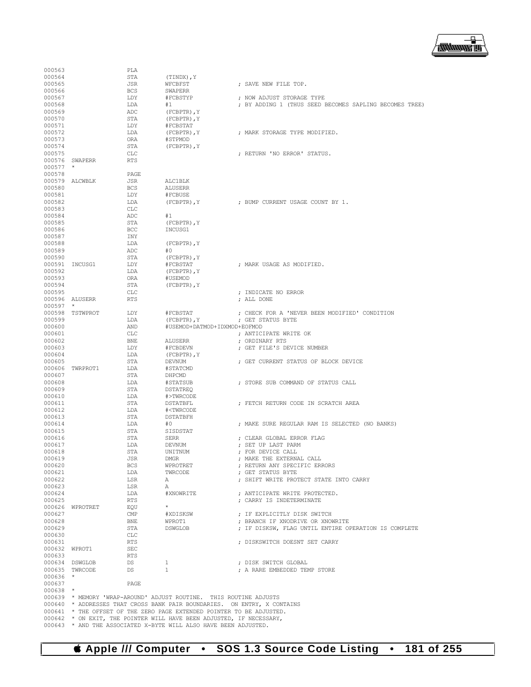

| 000563     |                 | PLA         |                                                                                                                                               |                                                        |
|------------|-----------------|-------------|-----------------------------------------------------------------------------------------------------------------------------------------------|--------------------------------------------------------|
| 000564     |                 | STA         | (TINDX), Y                                                                                                                                    |                                                        |
| 000565     |                 | JSR         | WFCBFST                                                                                                                                       | ; SAVE NEW FILE TOP.                                   |
| 000566     |                 | <b>BCS</b>  | <b>SWAPERR</b>                                                                                                                                |                                                        |
| 000567     |                 | LDY         | #FCBSTYP                                                                                                                                      | ; NOW ADJUST STORAGE TYPE                              |
| 000568     |                 | LDA         | #1                                                                                                                                            | ; BY ADDING 1 (THUS SEED BECOMES SAPLING BECOMES TREE) |
| 000569     |                 | ADC         | (FCBPTR), Y                                                                                                                                   |                                                        |
| 000570     |                 | STA         | $(FCBPTR)$ , $Y$                                                                                                                              |                                                        |
| 000571     |                 | LDY         | #FCBSTAT                                                                                                                                      |                                                        |
| 000572     |                 | LDA         | $(FCBPTR)$ , $Y$                                                                                                                              | ; MARK STORAGE TYPE MODIFIED.                          |
| 000573     |                 | ORA         | #STPMOD                                                                                                                                       |                                                        |
| 000574     |                 | STA         | $(FCBPTR)$ , $Y$                                                                                                                              |                                                        |
| 000575     |                 | CLC         |                                                                                                                                               | ; RETURN 'NO ERROR' STATUS.                            |
|            | 000576 SWAPERR  | <b>RTS</b>  |                                                                                                                                               |                                                        |
| $000577$ * |                 |             |                                                                                                                                               |                                                        |
| 000578     |                 | <b>PAGE</b> |                                                                                                                                               |                                                        |
|            | 000579 ALCWBLK  | JSR         | ALCIBLK                                                                                                                                       |                                                        |
| 000580     |                 | <b>BCS</b>  | ALUSERR                                                                                                                                       |                                                        |
| 000581     |                 | LDY         | #FCBUSE                                                                                                                                       |                                                        |
| 000582     |                 | LDA         | (FCBPTR), Y                                                                                                                                   | ; BUMP CURRENT USAGE COUNT BY 1.                       |
| 000583     |                 | CLC         |                                                                                                                                               |                                                        |
| 000584     |                 | ADC         | #1                                                                                                                                            |                                                        |
| 000585     |                 | STA         | $(FCBPTR)$ , $Y$                                                                                                                              |                                                        |
| 000586     |                 | BCC         | INCUSG1                                                                                                                                       |                                                        |
| 000587     |                 | INY         |                                                                                                                                               |                                                        |
| 000588     |                 | LDA         | (FCBPTR), Y                                                                                                                                   |                                                        |
| 000589     |                 | ADC         | #0                                                                                                                                            |                                                        |
| 000590     |                 | STA         | $(FCBPTR)$ , $Y$                                                                                                                              |                                                        |
|            | 000591 INCUSG1  | LDY         | #FCBSTAT                                                                                                                                      | ; MARK USAGE AS MODIFIED.                              |
| 000592     |                 | LDA         | (FCBPTR), Y                                                                                                                                   |                                                        |
| 000593     |                 | ORA         | #USEMOD                                                                                                                                       |                                                        |
| 000594     |                 | STA         | $(FCBPTR)$ , $Y$                                                                                                                              |                                                        |
| 000595     |                 | CLC.        |                                                                                                                                               | ; INDICATE NO ERROR                                    |
|            | 000596 ALUSERR  | RTS         |                                                                                                                                               | ; ALL DONE                                             |
| $000597$ * |                 |             |                                                                                                                                               |                                                        |
|            | 000598 TSTWPROT | LDY         | #FCBSTAT                                                                                                                                      | ; CHECK FOR A 'NEVER BEEN MODIFIED' CONDITION          |
| 000599     |                 | LDA         | (FCBPTR), Y                                                                                                                                   | ; GET STATUS BYTE                                      |
| 000600     |                 | AND         | #USEMOD+DATMOD+IDXMOD+EOFMOD                                                                                                                  |                                                        |
| 000601     |                 | CLC.        |                                                                                                                                               | ; ANTICIPATE WRITE OK                                  |
| 000602     |                 | BNE         | ALUSERR                                                                                                                                       | ; ORDINARY RTS                                         |
| 000603     |                 | LDY         | #FCBDEVN                                                                                                                                      | ; GET FILE'S DEVICE NUMBER                             |
| 000604     |                 | LDA         | (FCBPTR), Y                                                                                                                                   |                                                        |
| 000605     |                 | STA         | DEVNUM                                                                                                                                        | ; GET CURRENT STATUS OF BLOCK DEVICE                   |
|            | 000606 TWRPROT1 | LDA         | #STATCMD                                                                                                                                      |                                                        |
| 000607     |                 | STA         | DHPCMD                                                                                                                                        |                                                        |
| 000608     |                 | LDA         | #STATSUB                                                                                                                                      | ; STORE SUB COMMAND OF STATUS CALL                     |
| 000609     |                 | STA         | DSTATREO                                                                                                                                      |                                                        |
| 000610     |                 | LDA         | #>TWRCODE                                                                                                                                     |                                                        |
| 000611     |                 | STA         | DSTATBFL                                                                                                                                      | ; FETCH RETURN CODE IN SCRATCH AREA                    |
| 000612     |                 | LDA         | # <twrcode< td=""><td></td></twrcode<>                                                                                                        |                                                        |
| 000613     |                 | STA         | DSTATBFH                                                                                                                                      |                                                        |
| 000614     |                 | LDA         | #0                                                                                                                                            | ; MAKE SURE REGULAR RAM IS SELECTED (NO BANKS)         |
| 000615     |                 | STA         | SISDSTAT                                                                                                                                      |                                                        |
| 000616     |                 | STA         | SERR                                                                                                                                          | ; CLEAR GLOBAL ERROR FLAG                              |
| 000617     |                 | LDA         | DEVNUM                                                                                                                                        | ; SET UP LAST PARM                                     |
| 000618     |                 | <b>STA</b>  | UNITNUM                                                                                                                                       | ; FOR DEVICE CALL                                      |
| 000619     |                 | JSR         | DMGR                                                                                                                                          | ; MAKE THE EXTERNAL CALL                               |
| 000620     |                 | BCS         | WPROTRET                                                                                                                                      | ; RETURN ANY SPECIFIC ERRORS                           |
| 000621     |                 | LDA         | TWRCODE                                                                                                                                       | ; GET STATUS BYTE                                      |
| 000622     |                 | LSR         | A                                                                                                                                             | ; SHIFT WRITE PROTECT STATE INTO CARRY                 |
| 000623     |                 | LSR         | A                                                                                                                                             |                                                        |
| 000624     |                 | LDA         |                                                                                                                                               |                                                        |
| 000625     |                 | RTS         |                                                                                                                                               | ; CARRY IS INDETERMINATE                               |
|            | 000626 WPROTRET | EQU         |                                                                                                                                               |                                                        |
| 000627     |                 | CMP         | #XDISKSW                                                                                                                                      | ; IF EXPLICITLY DISK SWITCH                            |
| 000628     |                 | BNE         | WPROT1                                                                                                                                        | ; BRANCH IF XNODRIVE OR XNOWRITE                       |
| 000629     |                 | STA         | DSWGLOB                                                                                                                                       | ; IF DISKSW, FLAG UNTIL ENTIRE OPERATION IS COMPLETE   |
| 000630     |                 | CLC         |                                                                                                                                               |                                                        |
| 000631     |                 | RTS         |                                                                                                                                               | ; DISKSWITCH DOESNT SET CARRY                          |
|            | 000632 WPROT1   | SEC         |                                                                                                                                               |                                                        |
| 000633     |                 | RTS         |                                                                                                                                               |                                                        |
|            | 000634 DSWGLOB  | DS          | 1                                                                                                                                             | ; DISK SWITCH GLOBAL                                   |
|            | 000635 TWRCODE  | DS —        | $1 \quad$                                                                                                                                     | ; A RARE EMBEDDED TEMP STORE                           |
| 000636 *   |                 |             |                                                                                                                                               |                                                        |
| 000637     |                 | PAGE        |                                                                                                                                               |                                                        |
| $000638$ * |                 |             |                                                                                                                                               |                                                        |
|            |                 |             | 000639 * MEMORY 'WRAP-AROUND' ADJUST ROUTINE. THIS ROUTINE ADJUSTS                                                                            |                                                        |
|            |                 |             | 000640 * ADDRESSES THAT CROSS BANK PAIR BOUNDARIES. ON ENTRY, X CONTAINS                                                                      |                                                        |
|            |                 |             | 000641 * THE OFFSET OF THE ZERO PAGE EXTENDED POINTER TO BE ADJUSTED.<br>000642 * ON EXIT, THE POINTER WILL HAVE BEEN ADJUSTED, IF NECESSARY, |                                                        |
|            |                 |             | 000643 * AND THE ASSOCIATED X-BYTE WILL ALSO HAVE BEEN ADJUSTED.                                                                              |                                                        |
|            |                 |             |                                                                                                                                               |                                                        |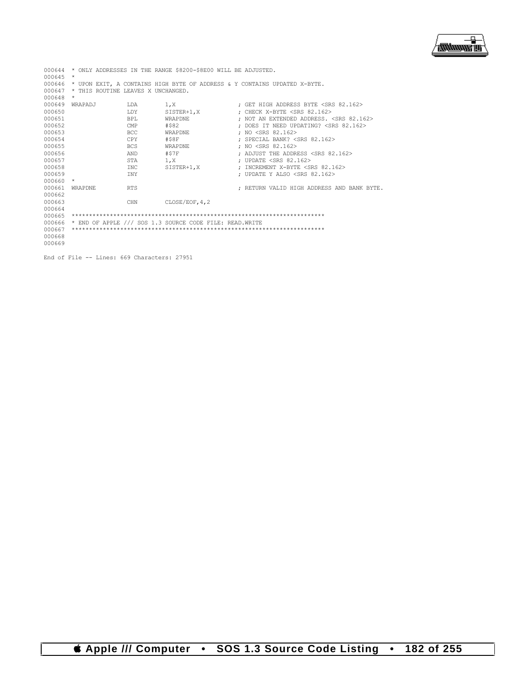$\overline{\phantom{a}}$ **/<del>露睡睡</del>雷** 

|            |                                    |            | 000644 * ONLY ADDRESSES IN THE RANGE \$8200-\$8E00 WILL BE ADJUSTED. |                                                                           |
|------------|------------------------------------|------------|----------------------------------------------------------------------|---------------------------------------------------------------------------|
| 000645     | $\star$                            |            |                                                                      |                                                                           |
| 000646     |                                    |            |                                                                      | * UPON EXIT, A CONTAINS HIGH BYTE OF ADDRESS & Y CONTAINS UPDATED X-BYTE. |
| 000647     | * THIS ROUTINE LEAVES X UNCHANGED. |            |                                                                      |                                                                           |
| 000648     | $^{\star}$                         |            |                                                                      |                                                                           |
| 000649     | WRAPADJ                            | LDA        | 1.X                                                                  | ; GET HIGH ADDRESS BYTE <srs 82.162=""></srs>                             |
| 000650     |                                    | LDY        |                                                                      | SISTER+1, X ; CHECK X-BYTE <srs 82.162=""></srs>                          |
| 000651     |                                    | <b>BPL</b> | WRAPDNE                                                              | ; NOT AN EXTENDED ADDRESS. <srs 82.162=""></srs>                          |
| 000652     |                                    | CMP        | #\$82                                                                | : DOES IT NEED UPDATING? <srs 82.162=""></srs>                            |
| 000653     |                                    | <b>BCC</b> | WRAPDNE                                                              | : NO <srs 82.162=""></srs>                                                |
| 000654     |                                    | CPY        | #\$8F                                                                | : SPECIAL BANK? <srs 82.162=""></srs>                                     |
| 000655     |                                    | <b>BCS</b> | WRAPDNE                                                              | : NO <srs 82.162=""></srs>                                                |
| 000656     |                                    | AND        | #\$7F                                                                | : ADJUST THE ADDRESS <srs 82.162=""></srs>                                |
| 000657     |                                    | STA        | 1, X                                                                 | ; UPDATE <srs 82.162=""></srs>                                            |
| 000658     |                                    | INC        | SISTER+1,X                                                           | : INCREMENT X-BYTE <srs 82.162=""></srs>                                  |
| 000659     |                                    | TNY        |                                                                      | : UPDATE Y ALSO <srs 82.162=""></srs>                                     |
| $000660$ * |                                    |            |                                                                      |                                                                           |
| 000661     | WRAPDNE                            | <b>RTS</b> |                                                                      | ; RETURN VALID HIGH ADDRESS AND BANK BYTE.                                |
| 000662     |                                    |            |                                                                      |                                                                           |
| 000663     |                                    | CHN        | CLOSE/EOF, 4, 2                                                      |                                                                           |
| 000664     |                                    |            |                                                                      |                                                                           |
| 000665     |                                    |            |                                                                      |                                                                           |
| 000666     |                                    |            | * END OF APPLE /// SOS 1.3 SOURCE CODE FILE: READ.WRITE              |                                                                           |
| 000667     |                                    |            |                                                                      |                                                                           |
| 000668     |                                    |            |                                                                      |                                                                           |
| 000669     |                                    |            |                                                                      |                                                                           |
|            |                                    |            |                                                                      |                                                                           |

End of File -- Lines: 669 Characters: 27951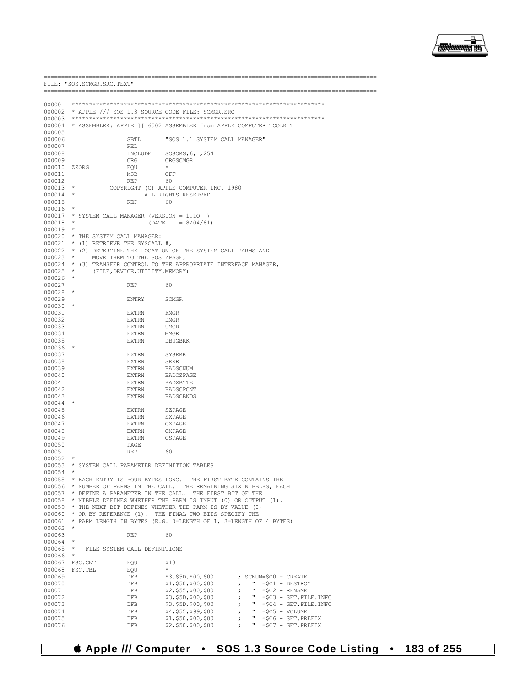

FILE: "SOS. SCMGR. SRC. TEXT" 000002 \* APPLE /// SOS 1.3 SOURCE CODE FILE: SCMGR.SRC  $000003$ 000004 \* ASSEMBLER: APPLE ] [ 6502 ASSEMBLER from APPLE COMPUTER TOOLKIT 000005 000006 SBTL "SOS 1.1 SYSTEM CALL MANAGER" 000007 REL 000008 INCLUDE SOSORG, 6, 1, 254 000009 ORG ORGSCMGR 000010 ZZORG EOU  $\pm$ 000011 MSB OFF 000012 **REP** 60  $000013$  \* COPYRIGHT (C) APPLE COMPUTER INC. 1980 000014  $\star$ ALL RIGHTS RESERVED **REP** 000015 60  $000016$  \* \* SYSTEM CALL MANAGER (VERSION = 1.10) 000017  $(DATE = 8/04/81)$ 000018  $000019$  \* 000020 \* THE SYSTEM CALL MANAGER: 000021 \* (1) RETRIEVE THE SYSCALL  $#$ , \* (2) DETERMINE THE LOCATION OF THE SYSTEM CALL PARMS AND 000022 MOVE THEM TO THE SOS ZPAGE, 000023 \* (3) TRANSFER CONTROL TO THE APPROPRIATE INTERFACE MANAGER, 000024  $\star$ 000025 (FILE, DEVICE, UTILITY, MEMORY) 000026 000027 **REP**  $60$  $000028$  \* 000029 **ENTRY** SCMGR  $000030$  \* 000031 **EXTRN FMGR** 000032 **EXTRN DMGR** 000033 **EXTRN IIMGR** 000034 **EXTRN MMGR** 000035  $\ensuremath{\textsc{EXT}}\xspace\ensuremath{\textsc{RN}}\xspace$ DBUGBRK  $000036$  \* 000037 **EXTRN** SYSERR 000038  $\mbox{EXTRN}$ **SERR** 000039  $\mbox{EXTRN}$ **BADSCNUM** 000040 **EXTRN** BADCZPAGE 000041  $\textsc{EXT}\textsc{RN}$ BADXBYTE 000042 **EXTRN** BADSCPCNT 000043  $\textsc{EXTRN}$ **BADSCBNDS** 000044 000045 EXTRN SZPAGE 000046 **EXTRN** SXPAGE 000047  $\mbox{EXTRN}$ CZPAGE 000048 **EXTRN** CXPAGE 000049 **EXTRN** CSPAGE 000050 PAGE 000051 **REP**  $60$ 000052 000053 \* SYSTEM CALL PARAMETER DEFINITION TABLES 000054 000055 \* EACH ENTRY IS FOUR BYTES LONG. THE FIRST BYTE CONTAINS THE 000056 \* NUMBER OF PARMS IN THE CALL. THE REMAINING SIX NIBBLES, EACH 000056 \* NUMBER OF PARMS IN THE CALL. THE REMAINING SIX NIBBLES, EACH 000058 \* NIBBLE DEFINES WHETHER THE PARM IS INPUT (0) OR OUTPUT (1). 000059 \* THE NEXT BIT DEFINES WHETHER THE PARM IS BY VALUE (0) 000055 THE NEW STATE OF SERIES WILLIES .<br>000060 \* OR BY REFERENCE (1). THE FINAL TWO BITS SPECIFY THE 000061 \* PARM LENGTH IN BYTES (E.G. 0-LENGTH OF 1, 3-LENGTH OF 4 BYTES) 000062 \* 000063 **REP**  $60$  $000064$  \* 000065 FILE SYSTEM CALL DEFINITIONS 000066 000067 FSC.CNT EOU  $$13$ 000068 FSC.TBL EQU ; SCNUM=\$C0 - CREATE  $000069$ DFB \$3,\$5D,\$00,\$00 000070  $_{\rm{DFB}}$ \$1,\$50,\$00,\$00  $" = $C1 -$  DESTROY  $\mathcal{F}$ " = $$C2$  - RENAME<br>" = $$C3$  - SET.FILE.INFO 000071  $_{\rm{DFB}}$ \$2, \$55, \$00, \$00  $\cdot$ 000072  $_{\rm{DFB}}$ \$3,\$5D,\$00,\$00  $\cdot$ 000073  $_{\rm{DFB}}$ \$3,\$5D,\$00,\$00  $" = $C4 - GET.FILE.ID$  $\cdot$ 000074 \$4, \$55, \$99, \$00  $" = $C5 - VOLUME$ DFB  $\ddot{i}$ 000075 DFB \$1,\$50,\$00,\$00  $" = $C6 - SET.PREFIX$  $\cdot$ 

 $$2, $50, $00, $00$ 

DFB

000076

**Computer** SOS 1.3 Source Code Listing 183 of 255  $\bullet$  $\bullet$ 

 $\cdot$ 

 $" = $C7 - GET.PREFIX$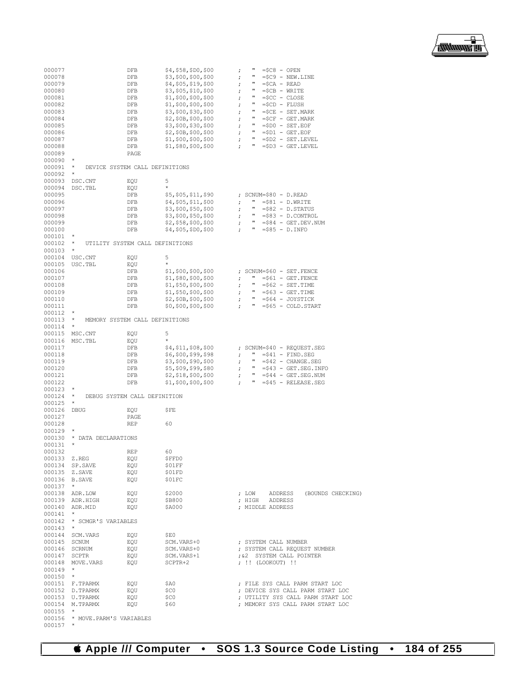

| 000077       |                                 | DFB                             | \$4,\$58,\$D0,\$00    | п<br>$=\frac{6}{5}C8 - OPEN$<br>$\ddot{ }$               |
|--------------|---------------------------------|---------------------------------|-----------------------|----------------------------------------------------------|
| 000078       |                                 | DFB                             | \$3,\$00,\$00,\$00    | п<br>$=\frac{5}{9}$ - NEW. LINE<br>;                     |
| 000079       |                                 | DFB                             | \$4,\$05,\$19,\$00    | п<br>$\ddot{ }$<br>$=\frac{6}{2}CA - READ$               |
| 000080       |                                 | DFB                             | \$3,\$05,\$10,\$00    | π<br>$=\frac{5}{C}B - WRTTE$<br>$\ddot{ }$               |
|              |                                 |                                 |                       | Ħ                                                        |
| 000081       |                                 | DFB                             | \$1, \$00, \$00, \$00 | $=\frac{5}{3}CC$ - $CLOSE$<br>$\ddot{ }$                 |
| 000082       |                                 | DFB                             | \$1,\$00,\$00,\$00    | $\ddot{ }$<br>$=\frac{5}{2}CD - FLUSH$                   |
| 000083       |                                 | DFB                             | \$3,\$00,\$30,\$00    | π<br>$=\frac{5}{2}CE - SET$ . MARK<br>$\ddot{ }$         |
| 000084       |                                 | DFB                             | \$2,\$0B,\$00,\$00    | $\pmb{\pi}$<br>$=\frac{1}{2}CF - GET.MARK$<br>$\ddot{ }$ |
|              |                                 |                                 |                       | $\mathbf{u}$                                             |
| 000085       |                                 | DFB                             | \$3,\$00,\$30,\$00    | ;<br>$= $D0 - SET. EOF$                                  |
| 000086       |                                 | DFB                             | \$2,\$0B,\$00,\$00    | π<br>;<br>$= $D1 - GET.EOF$                              |
| 000087       |                                 | DFB                             | \$1, \$00, \$00, \$00 | Ħ<br>$=\$D2 - SET. LEVEL$<br>$\ddot{ }$                  |
| 000088       |                                 | DFB                             | \$1,\$80,\$00,\$00    | п<br>$\mathbf{r}$<br>$=\$D3 - GET. LEVEL$                |
|              |                                 |                                 |                       |                                                          |
| 000089       |                                 | PAGE                            |                       |                                                          |
| 000090       | *                               |                                 |                       |                                                          |
| 000091       | *                               | DEVICE SYSTEM CALL DEFINITIONS  |                       |                                                          |
| 000092       | $^{\star}$                      |                                 |                       |                                                          |
|              |                                 |                                 |                       |                                                          |
| 000093       | DSC.CNT                         | EQU                             | 5                     |                                                          |
| 000094       | DSC.TBL                         | EQU                             | $\star$               |                                                          |
| 000095       |                                 | DFB                             | \$5,\$05,\$11,\$90    | ; SCNUM=\$80 - D.READ                                    |
| 000096       |                                 | DFB                             | \$4,\$05,\$11,\$00    | п.<br>$= $81 - D.WRITE$<br>$\ddot{ }$                    |
|              |                                 |                                 |                       |                                                          |
| 000097       |                                 | DFB                             | \$3,\$00,\$50,\$00    | л.<br>$= $82 - D.STATUS$<br>;                            |
| 000098       |                                 | DFB                             | \$3,\$00,\$50,\$00    | л.<br>=\$83 - D.CONTROL<br>;                             |
| 000099       |                                 | DFB                             | \$2, \$58, \$00, \$00 | $\mathbf{H}$<br>$= $84 - GET.DEV.NUM$<br>;               |
| 000100       |                                 | DFB                             | \$4,\$05,\$D0,\$00    | $\mathbf{u}$<br>$= $85 - D.INFO$<br>$\mathbf{r}$         |
|              |                                 |                                 |                       |                                                          |
| 000101       | *                               |                                 |                       |                                                          |
| 000102       | $^{\star}$                      | UTILITY SYSTEM CALL DEFINITIONS |                       |                                                          |
| 000103       | $^{\star}$                      |                                 |                       |                                                          |
| 000104       | USC.CNT                         | EQU                             | 5                     |                                                          |
|              |                                 |                                 |                       |                                                          |
| 000105       | USC.TBL                         | EQU                             | $\star$               |                                                          |
| 000106       |                                 | DFB                             | \$1,\$00,\$00,\$00    | ; SCNUM=\$60 - SET.FENCE                                 |
| 000107       |                                 | DFB                             | \$1, \$80, \$00, \$00 | п.<br>$= $61 - GET.FENCE$<br>;                           |
|              |                                 |                                 | \$1, \$50, \$00, \$00 | п                                                        |
| 000108       |                                 | DFB                             |                       | $= $62 - SET. TIME$<br>;                                 |
| 000109       |                                 | DFB                             | \$1,\$50,\$00,\$00    | п.<br>$= $63 - GET.TIME$<br>;                            |
| 000110       |                                 | DFB                             | \$2,\$0B,\$00,\$00    | $\mathbf{u}$<br>$= $64 - JOYSTICK$<br>;                  |
| 000111       |                                 | DFB                             | \$0, \$00, \$00, \$00 | п<br>$= $65 - COLD.START$<br>$\ddot{ }$                  |
| 000112       | $^{\star}$                      |                                 |                       |                                                          |
|              |                                 |                                 |                       |                                                          |
| 000113       | $^\star$                        | MEMORY SYSTEM CALL DEFINITIONS  |                       |                                                          |
| 000114       | $\star$                         |                                 |                       |                                                          |
| 000115       | MSC.CNT                         | EQU                             | 5                     |                                                          |
| 000116       | MSC.TBL                         | EQU                             | $\star$               |                                                          |
|              |                                 |                                 |                       |                                                          |
| 000117       |                                 | DFB                             | \$4,\$11,\$08,\$00    | ; SCNUM=\$40 - REQUEST.SEG                               |
| 000118       |                                 | DFB                             | \$6,\$00,\$99,\$98    | п.<br>$=\frac{241}{}$ - FIND. SEG<br>;                   |
| 000119       |                                 | DFB                             | \$3,\$00,\$90,\$00    | п.<br>$= $42$ - CHANGE.SEG<br>ï                          |
|              |                                 |                                 | \$5,\$09,\$99,\$80    | п.                                                       |
| 000120       |                                 | DFB                             |                       | $=\frac{243}{}$ - GET. SEG. INFO<br>;                    |
| 000121       |                                 | DFB                             | \$2,\$18,\$00,\$00    | $\mathbf{u}$<br>$= $44 - GET . SEG . NUM$<br>ï           |
| 000122       |                                 | DFB                             | \$1,\$00,\$00,\$00    | п.<br>$= $45 - RELEASE.SEG$                              |
| 000123       | *                               |                                 |                       |                                                          |
|              | *                               |                                 |                       |                                                          |
| 000124       |                                 | DEBUG SYSTEM CALL DEFINITION    |                       |                                                          |
| 000125       | $^{\star}$                      |                                 |                       |                                                          |
| 000126       | <b>DBUG</b>                     | EQU                             | ŞFE                   |                                                          |
| 000127       |                                 | PAGE                            |                       |                                                          |
|              |                                 |                                 |                       |                                                          |
| 000128       |                                 | <b>REP</b>                      | 60                    |                                                          |
| 000129       | $^{\star}$                      |                                 |                       |                                                          |
| 000130       | * DATA DECLARATIONS             |                                 |                       |                                                          |
| 000131       | *                               |                                 |                       |                                                          |
|              |                                 |                                 |                       |                                                          |
| 000132       |                                 | <b>REP</b>                      | 60                    |                                                          |
| 000133 Z.REG |                                 | EQU                             | \$FFD0                |                                                          |
|              | 000134 SP. SAVE                 | EQU                             | \$01FF                |                                                          |
|              | 000135 Z.SAVE                   | EOU                             | \$01FD                |                                                          |
|              | 000136 B.SAVE                   |                                 | \$01FC                |                                                          |
|              |                                 | EQU                             |                       |                                                          |
| $000137$ *   |                                 |                                 |                       |                                                          |
|              | 000138 ADR.LOW                  | EQU                             | \$2000                | ; LOW ADDRESS (BOUNDS CHECKING)                          |
|              | 000139 ADR.HIGH                 | EOU                             | \$B800                | ; HIGH ADDRESS                                           |
|              |                                 |                                 |                       |                                                          |
|              | 000140 ADR.MID                  | EQU                             | \$A000                | ; MIDDLE ADDRESS                                         |
| $000141$ *   |                                 |                                 |                       |                                                          |
|              | 000142 * SCMGR'S VARIABLES      |                                 |                       |                                                          |
| $000143$ *   |                                 |                                 |                       |                                                          |
|              |                                 |                                 |                       |                                                          |
|              | 000144 SCM. VARS                | EQU                             | \$E0                  |                                                          |
|              | 000145 SCNUM                    | EQU                             | SCM.VARS+0            | ; SYSTEM CALL NUMBER                                     |
|              | 000146 SCRNUM                   | EQU                             | SCM.VARS+0            | ; SYSTEM CALL REQUEST NUMBER                             |
| 000147 SCPTR |                                 | EOU                             | SCM.VARS+1            | ; &2 SYSTEM CALL POINTER                                 |
|              |                                 |                                 |                       |                                                          |
|              | 000148 MOVE.VARS                | EOU                             | SCPTR+2               | ; !! (LOOKOUT) !!                                        |
| $000149$ *   |                                 |                                 |                       |                                                          |
| $000150$ *   |                                 |                                 |                       |                                                          |
|              | 000151 F.TPARMX                 | EOU                             | \$A0                  | ; FILE SYS CALL PARM START LOC                           |
|              |                                 |                                 |                       |                                                          |
|              | 000152 D.TPARMX                 | EQU                             | \$C0                  | ; DEVICE SYS CALL PARM START LOC                         |
|              | 000153 U.TPARMX                 | EQU                             | \$C0                  | ; UTILITY SYS CALL PARM START LOC                        |
|              | 000154 M.TPARMX                 | EOU                             | \$60                  | ; MEMORY SYS CALL PARM START LOC                         |
| $000155$ *   |                                 |                                 |                       |                                                          |
|              |                                 |                                 |                       |                                                          |
|              | 000156 * MOVE. PARM'S VARIABLES |                                 |                       |                                                          |
| $000157$ *   |                                 |                                 |                       |                                                          |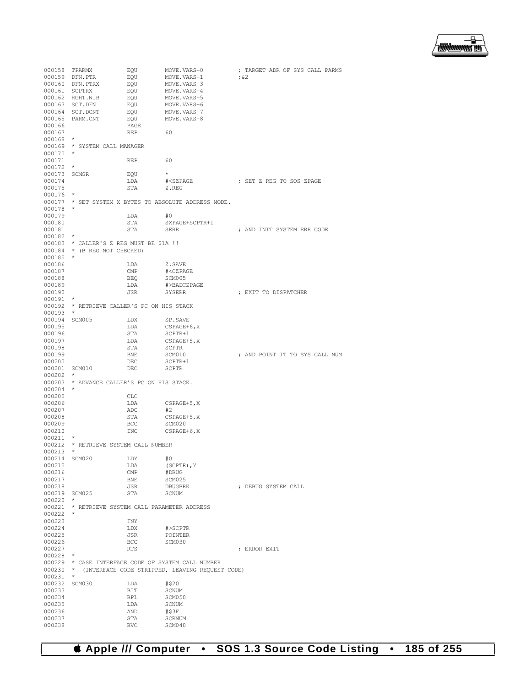₽ 

000158 TPARMX EQU MOVE.VARS+0 ; TARGET ADR OF SYS CALL PARMS 000159 DEN.PTR EQU MOVE.VARS+1<br>000160 DEN.PTRX EQU MOVE.VARS+3 000160 DFN.PTRX EQU MOVE.VARS+3<br>000161 SCPTRX EQU MOVE.VARS+4 000161 SCPTRX BQU MOVE.VARS+4<br>000162 RGHT.NIB BOU MOVE.VARS+5 000162 RGHT.NIB EQU MOVE.VARS+5<br>000163 SCT.DFN EQU MOVE.VARS+6 000163 SCT.DFN EQU MOVE.VARS+6<br>000164 SCT.DCNT EQU MOVE.VARS+7 000164 SCT.DCNT EQU MOVE.VARS+7 000165 PARM.CNT EQU MOVE.VARS+8 000166 PAGE PAGE 000167 REP 60 000168 \* 000169 \* SYSTEM CALL MANAGER 000170 \* 000171 REP 60  $000172$  \*  $000173$  SCMGR EQU  $\star$ <br> $000174$   $\text{LDA}$   $\text{*}<$ SZPAGE  $\begin{tabular}{lllllllllll} \texttt{LDA} & & & \texttt{\#$ 000175 000176<br>000177  $\star$  SET SYSTEM X BYTES TO ABSOLUTE ADDRESS MODE.  $\star$ 000178 \* 000179 LDA #0<br>000180 STA SX:  $\begin{tabular}{llllll} 000180 & \multicolumn{2}{c}{\textbf{STA}} & \multicolumn{2}{c}{\textbf{SY}PAGE+SCPTR+1} \\ 000181 & \multicolumn{2}{c}{\textbf{STA}} & \multicolumn{2}{c}{\textbf{SER}} \\ \end{tabular}$ ; AND INIT SYSTEM ERR CODE 000182 \* 000183 \* CALLER'S Z REG MUST BE \$1A !! 000184 \* (B REG NOT CHECKED)  $000185$  \*<br>000186 000186 LDA Z.SAVE<br>000187 CMP #<CZPA 000187 CMP #<CZPAGE 000188 BEQ SCM005<br>000189 1.DA #>BADC 000189 LDA #>BADCZPAGE : EXIT TO DISPATCHER  $000191$  \* \* RETRIEVE CALLER'S PC ON HIS STACK 000193 \* 000194 SCM005 LDX SP.SAVE<br>000195 LDA CSPAGE+ 000195 LDA CSPAGE+6, X<br>000196 STA SCPTR+1  $\begin{array}{cccc}\n 000196 & & & \text{STA} & & \text{SCPTR+1} \\
000197 & & & \text{LDA} & & \text{CSPAGE+}\n \end{array}$ LDA CSPAGE+5, X<br>STA SCPTR 000198 <br>000199 BNE SCM010 000199 BNE SCM010 ; AND POINT IT TO SYS CALL NUM 000200 DEC SCPTR+1 000201 000202<br>000203 \* ADVANCE CALLER'S PC ON HIS STACK. 000204 \* 000205 CLC<br>000206 LDA LDA CSPAGE+5, X<br>ADC #2 000207 ADC<br>000208 STA 000208 STA CSPAGE+5, X 000209 BCC SCM020 000209 BCC SCM020<br>000210 INC CSPAGE  $\begin{array}{ccccc} & & & \text{INC} & & & \text{CSPAGE}+6\textit{,}\times\end{array}$ 000211 \* 000212  $\star$  RETRIEVE SYSTEM CALL NUMBER 000213  $\star$ 000213 \* 000214 SCM020 LDY #0<br>000215 1.DA (S) LDA (SCPTR), Y<br>CMP #DBUG 000216 CMP<br>000217 BNE 000217 BNE SCM025<br>000218 JSR DBUGBRK JSR DBUGBRK ; DEBUG SYSTEM CALL STA SCNUM 000219 SCM025 STA 000220 \* 000221 \* RETRIEVE SYSTEM CALL PARAMETER ADDRESS  $000222$  \* 000223 INY<br>000224 IDX 000224 LDX #>SCPTR 000225 JSR POINTER 000226 BCC SCM030<br>000227 RTS ; ERROR EXIT 000228 \* 000229 \* CASE INTERFACE CODE OF SYSTEM CALL NUMBER 000230 \* (INTERFACE CODE STRIPPED, LEAVING REQUEST CODE)  $0.00231$  \* 000231 \* 000232 SCM030 LDA #\$20<br>000233 BIT SCNUM 000233 BIT<br>000234 BPL BPL SCM050<br>LDA SCNUM 000235 LDA SCNUI (1992)<br>000236 AND #\$3F 000236 AND<br>000237 STA 000237 STA SCRNUM<br>000238 BVC SCM040 SCM040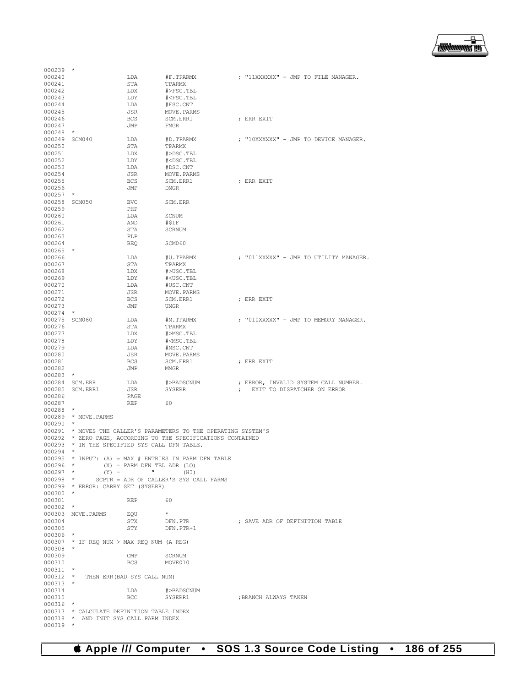

| 000240        |                                               | LDA                           | #F.TPARMX                                                 | ; "11XXXXXX" - JMP TO FILE MANAGER.    |
|---------------|-----------------------------------------------|-------------------------------|-----------------------------------------------------------|----------------------------------------|
| 000241        |                                               | STA                           | TPARMX                                                    |                                        |
| 000242        |                                               | LDX                           | #>FSC.TBL                                                 |                                        |
| 000243        |                                               | LDY                           | # <fsc.tbl< td=""><td></td></fsc.tbl<>                    |                                        |
| 000244        |                                               | LDA                           | #FSC.CNT                                                  |                                        |
| 000245        |                                               | JSR                           | MOVE.PARMS                                                |                                        |
| 000246        |                                               | <b>BCS</b>                    | SCM.ERR1                                                  | ; ERR EXIT                             |
| 000247        |                                               | JMP                           | <b>FMGR</b>                                               |                                        |
| 000248        | $\ast$                                        |                               |                                                           |                                        |
| 000249        | SCM040                                        | LDA                           | #D.TPARMX                                                 | ; "10XXXXXX" - JMP TO DEVICE MANAGER.  |
| 000250        |                                               | STA                           | TPARMX                                                    |                                        |
| 000251        |                                               | LDX                           | #>DSC.TBL                                                 |                                        |
| 000252        |                                               | LDY                           | # <dsc.tbl< td=""><td></td></dsc.tbl<>                    |                                        |
| 000253        |                                               | LDA                           | #DSC.CNT                                                  |                                        |
| 000254        |                                               | JSR                           | MOVE.PARMS                                                |                                        |
| 000255        |                                               | <b>BCS</b>                    | SCM.ERR1                                                  | ; ERR EXIT                             |
| 000256        |                                               | JMP                           | DMGR                                                      |                                        |
| 000257        | $\star$                                       |                               |                                                           |                                        |
| 000258        | SCM050                                        | BVC                           | SCM.ERR                                                   |                                        |
| 000259        |                                               | PHP                           |                                                           |                                        |
| 000260        |                                               | LDA                           | SCNUM                                                     |                                        |
| 000261        |                                               | AND                           | #S1F                                                      |                                        |
| 000262        |                                               | STA                           | <b>SCRNUM</b>                                             |                                        |
| 000263        |                                               | PLP                           |                                                           |                                        |
| 000264        |                                               |                               |                                                           |                                        |
| 000265        | $\star$                                       | <b>BEQ</b>                    | SCM060                                                    |                                        |
| 000266        |                                               | LDA                           |                                                           | ; "011XXXXX" - JMP TO UTILITY MANAGER. |
|               |                                               |                               | #U.TPARMX                                                 |                                        |
| 000267        |                                               | STA                           | TPARMX                                                    |                                        |
| 000268        |                                               | LDX                           | #>USC.TBL                                                 |                                        |
| 000269        |                                               | LDY                           | # <usc.tbl< td=""><td></td></usc.tbl<>                    |                                        |
| 000270        |                                               | LDA                           | #USC.CNT                                                  |                                        |
| 000271        |                                               | JSR                           | MOVE.PARMS                                                |                                        |
| 000272        |                                               | BCS                           | SCM.ERR1                                                  | ; ERR EXIT                             |
| 000273        |                                               | JMP                           | <b>UMGR</b>                                               |                                        |
| 000274        | $\star$                                       |                               |                                                           |                                        |
| 000275 SCM060 |                                               | LDA                           | #M.TPARMX                                                 | ; "010XXXXX" - JMP TO MEMORY MANAGER.  |
| 000276        |                                               | STA                           | TPARMX                                                    |                                        |
| 000277        |                                               | LDX                           | #>MSC.TBL                                                 |                                        |
| 000278        |                                               | LDY                           | # <msc.tbl< td=""><td></td></msc.tbl<>                    |                                        |
| 000279        |                                               | LDA                           | #MSC.CNT                                                  |                                        |
| 000280        |                                               | JSR                           | MOVE.PARMS                                                |                                        |
| 000281        |                                               | BCS                           | SCM.ERR1                                                  | ; ERR EXIT                             |
| 000282        |                                               | JMP                           | MMGR                                                      |                                        |
| 000283        | $\star$                                       |                               |                                                           |                                        |
|               | 000284 SCM.ERR                                | LDA                           | #>BADSCNUM                                                | ; ERROR, INVALID SYSTEM CALL NUMBER.   |
| 000285        | SCM.ERR1                                      | JSR                           | <b>SYSERR</b>                                             | EXIT TO DISPATCHER ON ERROR            |
| 000286        |                                               | PAGE                          |                                                           |                                        |
| 000287        |                                               | REP                           | 60                                                        |                                        |
| 000288        | $\star$                                       |                               |                                                           |                                        |
| 000289        | * MOVE.PARMS                                  |                               |                                                           |                                        |
| 000290        |                                               |                               |                                                           |                                        |
| 000291        |                                               |                               | * MOVES THE CALLER'S PARAMETERS TO THE OPERATING SYSTEM'S |                                        |
| 000292        |                                               |                               | * ZERO PAGE, ACCORDING TO THE SPECIFICATIONS CONTAINED    |                                        |
|               | 000293 * IN THE SPECIFIED SYS CALL DFN TABLE. |                               |                                                           |                                        |
| 000294        | $^\star$                                      |                               |                                                           |                                        |
| 000295        |                                               |                               | * INPUT: (A) = MAX # ENTRIES IN PARM DFN TABLE            |                                        |
| $000296$ *    |                                               | $(X) = PARM DFN TBL ADR (LO)$ |                                                           |                                        |
| $000297$ *    | $(Y) =$                                       | $\mathbf{u}$                  | (HI)                                                      |                                        |
| $000298$ *    |                                               |                               | SCPTR = ADR OF CALLER'S SYS CALL PARMS                    |                                        |
|               | 000299 * ERROR: CARRY SET (SYSERR)            |                               |                                                           |                                        |
| $000300$ *    |                                               |                               |                                                           |                                        |
| 000301        |                                               | REP 60                        |                                                           |                                        |
| $000302$ *    |                                               |                               |                                                           |                                        |
|               | 000303 MOVE.PARMS EQU                         |                               | $\star$                                                   |                                        |
| 000304        |                                               | STX                           | DFN.PTR                                                   | ; SAVE ADR OF DEFINITION TABLE         |
| 000305        |                                               | STY                           | DFN.PTR+1                                                 |                                        |
| $000306$ *    |                                               |                               |                                                           |                                        |
|               | $000307$ * IF REQ NUM > MAX REQ NUM (A REG)   |                               |                                                           |                                        |
| $000308$ *    |                                               |                               |                                                           |                                        |
| 000309        |                                               | $\mathsf{CMP}$                |                                                           |                                        |
|               |                                               |                               | SCRNUM                                                    |                                        |
| 000310        |                                               | BCS                           | MOVE010                                                   |                                        |
| $000311$ *    |                                               |                               |                                                           |                                        |
|               |                                               |                               |                                                           |                                        |
|               | 000312 * THEN ERR (BAD SYS CALL NUM)          |                               |                                                           |                                        |
| $000313$ *    |                                               |                               |                                                           |                                        |
| 000314        |                                               | LDA                           | #>BADSCNUM                                                |                                        |
| 000315        |                                               | BCC                           | SYSERR1                                                   | ; BRANCH ALWAYS TAKEN                  |
| $000316$ *    |                                               |                               |                                                           |                                        |
|               | 000317 * CALCULATE DEFINITION TABLE INDEX     |                               |                                                           |                                        |
| $000319$ *    | 000318 * AND INIT SYS CALL PARM INDEX         |                               |                                                           |                                        |

000239 \*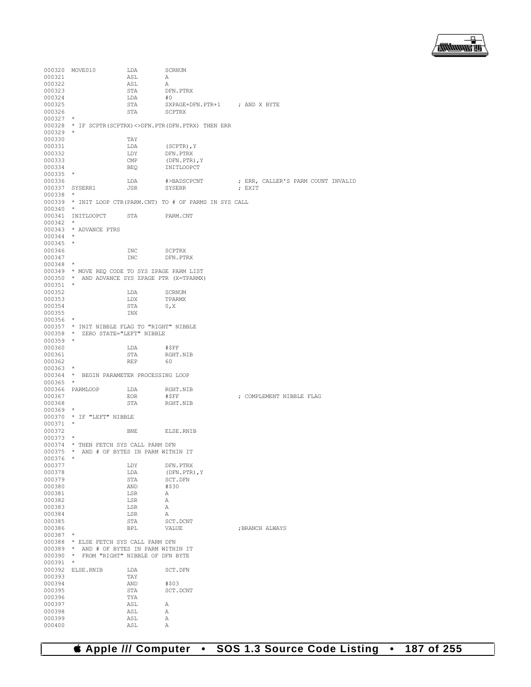

000320 MOVE010 LDA SCRNUM<br>000321 ASL A 000321 ASL A 000322 ASL A<br>000323 STA DI STA DFN.PTRX<br>LDA #0 000324 LDA<br>000325 STA 000325 STA SXPAGE+DFN.PTR+1 ; AND X BYTE 000326 STA SCPTRX SCPTRX 000327 \* 000328 \* IF SCPTR(SCPTRX)<>DFN.PTR(DFN.PTRX) THEN ERR 000329 \* 000330 TAY<br>000331 LDA 000331 LDA (SCPTR),Y 000332 LDY DFN.PTRX<br>000333 CMP (DFN.PTR) 000333 CMP (DFN.PTR), Y<br>000334 BEQ INITLOOPCT INITLOOPCT 000335<br>000336  $\begin{array}{lllllll} \texttt{LDA} & \texttt{\#}\texttt{PABSCPCNT} & \texttt{\#} & \texttt{\#FRA} & \texttt{\#} \\ \texttt{JSR} & \texttt{SYSERR} & \texttt{\#} & \texttt{\#} & \texttt{\#} \\ \texttt{SMSERR} & \texttt{\#} & \texttt{\#} & \texttt{\#} & \texttt{\#} \\ \end{array}$ 000337 SYSERR1 000338<br>000339 000339 \* INIT LOOP CTR(PARM.CNT) TO # OF PARMS IN SYS CALL 000340 \* 000341 INITLOOPCT STA PARM.CNT 000342 \* 000343 \* ADVANCE PTRS 000344 \* 000345<br>000346 000346 INC SCPTRX<br>000347 INC DEN PTI  $\begin{picture}(180,175) \put(0,0){\line(1,0){10}} \put(15,0){\line(1,0){10}} \put(15,0){\line(1,0){10}} \put(15,0){\line(1,0){10}} \put(15,0){\line(1,0){10}} \put(15,0){\line(1,0){10}} \put(15,0){\line(1,0){10}} \put(15,0){\line(1,0){10}} \put(15,0){\line(1,0){10}} \put(15,0){\line(1,0){10}} \put(15,0){\line(1,0){10}} \put(15,0){\line$ 000348 \* 000349 \* MOVE REQ CODE TO SYS ZPAGE PARM LIST 000350 \* AND ADVANCE SYS ZPAGE PTR (X=TPARMX)  $000351$  \*<br>000352 000352 LDA SCRNUM 000353 LDX TPARMX<br>000354 STA 0.X 000354 STA 0, X 000355 INX 000356 \* 000357 \* INIT NIBBLE FLAG TO "RIGHT" NIBBLE 000358 \* ZERO STATE="LEFT" NIBBLE 000359 \* 000360 LDA #\$FF STA RGHT.NIB<br>REP 60 000362 000363 \* 000364 \* BEGIN PARAMETER PROCESSING LOOP  $000365$  \* 000366 PARMLOOP LDA RGHT.NIB 000367 EOR #\$FF ; COMPLEMENT NIBBLE FLAG  $\begin{matrix} \texttt{STA} & \texttt{RGHT. NIB} \end{matrix}$ 000369<br>000370  $\star$  IF "LEFT" NIBBLE 000371<br>000372 000372 BNE ELSE.RNIB 000373 \* 000374  $\star$  THEN FETCH SYS CALL PARM DFN 000375  $\star$  AND # OF BYTES IN PARM WITH  $\star$  AND # OF BYTES IN PARM WITHIN IT  $\star$ 000376<br>000377 000377 LDY DFN.PTRX 000378 LDA (DFN.PTR), Y<br>000379 STA SCT.DFN 000379 STA SCT.DFN<br>000380 AND #\$30 000380 AND #\$30 000381 LSR A<br>000382 LSR A 000382  $000383$  LSR  $A$ <br> $000384$   $ISP$   $A$ 000384 LSR A 000385 STA SCT.DCNT <br>000386 BPL VALUE : BRANCH ALWAYS 000387 \* 000388  $\star$  ELSE FETCH SYS CALL PARM DFN 000389  $\star$  AND # OF BYTES IN PARM WITHI 000389 \* AND # OF BYTES IN PARM WITHIN IT 000390 \* FROM "RIGHT" NIBBLE OF DFN BYTE 000391 \* 000392 ELSE.RNIB LDA SCT.DFN<br>000393 TAY 000393 TAY<br>000394 AND 000394 AND #\$03<br>000395 STA SCT.1 STA SCT.DCNT<br>TYA 000396 TYA<br>000397 ASL 000397 <br>000398 ASL A 000398 ASL A<br>000399 ASL A 000399 <br>000400 <br>ASL A 000400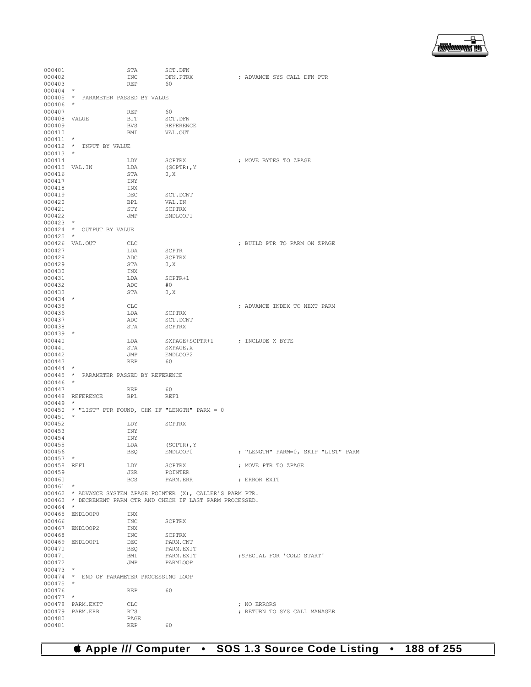▔▔<br>▓▓▓▓▓▊

| 000401       |                                           | STA        | SCT.DFN                                                       |                                     |
|--------------|-------------------------------------------|------------|---------------------------------------------------------------|-------------------------------------|
| 000402       |                                           | INC        | DFN.PTRX                                                      | ; ADVANCE SYS CALL DFN PTR          |
| 000403       |                                           | <b>REP</b> | 60                                                            |                                     |
| $000404$ *   |                                           |            |                                                               |                                     |
|              | 000405 * PARAMETER PASSED BY VALUE        |            |                                                               |                                     |
| $000406$ *   |                                           |            |                                                               |                                     |
| 000407       |                                           | REP        | 60                                                            |                                     |
| 000408 VALUE |                                           | BIT        | SCT.DFN                                                       |                                     |
| 000409       |                                           | <b>BVS</b> | REFERENCE                                                     |                                     |
| 000410       |                                           | BMI        | VAL.OUT                                                       |                                     |
| $000411$ *   |                                           |            |                                                               |                                     |
|              | 000412 * INPUT BY VALUE                   |            |                                                               |                                     |
| $000413$ *   |                                           |            |                                                               |                                     |
| 000414       |                                           |            |                                                               |                                     |
|              |                                           | LDY        | SCPTRX                                                        | ; MOVE BYTES TO ZPAGE               |
|              | 000415 VAL.IN                             | LDA        | $(SCPTR)$ , $Y$                                               |                                     |
| 000416       |                                           | STA        | 0, X                                                          |                                     |
| 000417       |                                           | INY        |                                                               |                                     |
| 000418       |                                           | INX        |                                                               |                                     |
| 000419       |                                           | DEC        | SCT.DCNT                                                      |                                     |
| 000420       |                                           | BPL        | VAL.IN                                                        |                                     |
| 000421       |                                           | STY        | <b>SCPTRX</b>                                                 |                                     |
| 000422       |                                           | JMP        | ENDLOOP1                                                      |                                     |
| $000423$ *   |                                           |            |                                                               |                                     |
|              | 000424 * OUTPUT BY VALUE                  |            |                                                               |                                     |
| 000425       | $\star$                                   |            |                                                               |                                     |
|              | 000426 VAL.OUT                            | <b>CLC</b> |                                                               | ; BUILD PTR TO PARM ON ZPAGE        |
| 000427       |                                           | LDA        | SCPTR                                                         |                                     |
| 000428       |                                           | ADC        | SCPTRX                                                        |                                     |
| 000429       |                                           | STA        | 0, X                                                          |                                     |
| 000430       |                                           | INX        |                                                               |                                     |
| 000431       |                                           | LDA        | SCPTR+1                                                       |                                     |
| 000432       |                                           | ADC        | #0                                                            |                                     |
| 000433       |                                           | STA        |                                                               |                                     |
| $000434$ *   |                                           |            | 0, X                                                          |                                     |
|              |                                           |            |                                                               |                                     |
| 000435       |                                           | <b>CLC</b> |                                                               | ; ADVANCE INDEX TO NEXT PARM        |
| 000436       |                                           | LDA        | SCPTRX                                                        |                                     |
| 000437       |                                           | ADC        | SCT.DCNT                                                      |                                     |
| 000438       |                                           | STA        | SCPTRX                                                        |                                     |
| $000439$ *   |                                           |            |                                                               |                                     |
| 000440       |                                           | LDA        | SXPAGE+SCPTR+1                                                | ; INCLUDE X BYTE                    |
| 000441       |                                           | STA        | SXPAGE, X                                                     |                                     |
| 000442       |                                           | JMP        | ENDLOOP2                                                      |                                     |
| 000443       |                                           | REP        | 60                                                            |                                     |
| $000444$ *   |                                           |            |                                                               |                                     |
|              | 000445 * PARAMETER PASSED BY REFERENCE    |            |                                                               |                                     |
| $000446$ *   |                                           |            |                                                               |                                     |
| 000447       |                                           | <b>REP</b> | 60                                                            |                                     |
|              | 000448 REFERENCE                          | BPL        | REF1                                                          |                                     |
| 000449       | $\star$                                   |            |                                                               |                                     |
|              |                                           |            | 000450 * "LIST" PTR FOUND, CHK IF "LENGTH" PARM = 0           |                                     |
| 000451       | $\star$                                   |            |                                                               |                                     |
| 000452       |                                           | LDY        | <b>SCPTRX</b>                                                 |                                     |
|              |                                           |            |                                                               |                                     |
| 000453       |                                           | INY        |                                                               |                                     |
| 000454       |                                           | INY        |                                                               |                                     |
| 000455       |                                           | LDA        | (SCPTR), Y                                                    |                                     |
| 000456       |                                           | <b>BEQ</b> | ENDLOOP0                                                      | ; "LENGTH" PARM=0, SKIP "LIST" PARM |
| $000457$ *   |                                           |            |                                                               |                                     |
| 000458 REF1  |                                           | LDY        | SCPTRX                                                        | ; MOVE PTR TO ZPAGE                 |
| 000459       |                                           | JSR        | POINTER                                                       |                                     |
| 000460       |                                           | BCS        | PARM.ERR                                                      | ; ERROR EXIT                        |
| $000461$ *   |                                           |            |                                                               |                                     |
|              |                                           |            | 000462 * ADVANCE SYSTEM ZPAGE POINTER (X), CALLER'S PARM PTR. |                                     |
|              |                                           |            | 000463 * DECREMENT PARM CTR AND CHECK IF LAST PARM PROCESSED. |                                     |
| $000464$ *   |                                           |            |                                                               |                                     |
|              | 000465 ENDLOOP0                           | INX        |                                                               |                                     |
| 000466       |                                           | INC        | SCPTRX                                                        |                                     |
|              | 000467 ENDLOOP2                           | INX        |                                                               |                                     |
| 000468       |                                           | INC        | SCPTRX                                                        |                                     |
|              | 000469 ENDLOOP1                           | DEC        | PARM.CNT                                                      |                                     |
| 000470       |                                           | BEQ        | PARM.EXIT                                                     |                                     |
|              |                                           |            |                                                               |                                     |
| 000471       |                                           | BMI        | PARM.EXIT                                                     | ; SPECIAL FOR 'COLD START'          |
| 000472       |                                           | JMP        | PARMLOOP                                                      |                                     |
| $000473$ *   |                                           |            |                                                               |                                     |
|              | 000474 * END OF PARAMETER PROCESSING LOOP |            |                                                               |                                     |
| $000475$ *   |                                           |            |                                                               |                                     |
| 000476       |                                           | REP        | 60                                                            |                                     |
| $000477$ *   |                                           |            |                                                               |                                     |
|              | 000478 PARM.EXIT                          | CLC        |                                                               | ; NO ERRORS                         |
|              | 000479 PARM.ERR                           | RTS        |                                                               | ; RETURN TO SYS CALL MANAGER        |
| 000480       |                                           | PAGE       |                                                               |                                     |
| 000481       |                                           | REP        | 60                                                            |                                     |
|              |                                           |            |                                                               |                                     |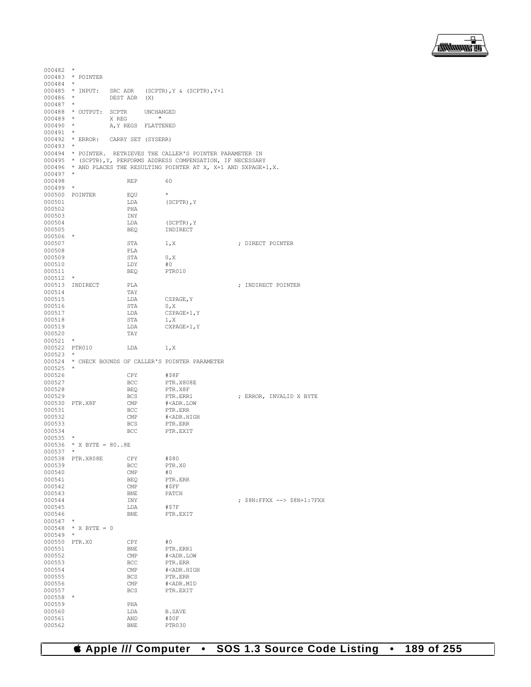

| 000482                      | $\star$                            |                     |                                                                      |
|-----------------------------|------------------------------------|---------------------|----------------------------------------------------------------------|
|                             | 000483 * POINTER                   |                     |                                                                      |
| 000484 *                    |                                    |                     |                                                                      |
| $000486$ *                  | 000485 * INPUT:                    | DEST ADR (X)        | SRC ADR (SCPTR), $Y & (SCPTR)$ , $Y+1$                               |
| $000487$ *                  |                                    |                     |                                                                      |
|                             | 000488 * OUTPUT: SCPTR             |                     | UNCHANGED                                                            |
| $000489$ *                  |                                    | X REG               | $\mathbf{H}$                                                         |
| $000490$ *                  |                                    | A, Y REGS FLATTENED |                                                                      |
| $000491$ *                  |                                    |                     |                                                                      |
| $000493$ *                  | 000492 * ERROR: CARRY SET (SYSERR) |                     |                                                                      |
|                             |                                    |                     | 000494 * POINTER. RETRIEVES THE CALLER'S POINTER PARAMETER IN        |
|                             |                                    |                     | 000495 * (SCPTR), Y, PERFORMS ADDRESS COMPENSATION, IF NECESSARY     |
|                             |                                    |                     | 000496 * AND PLACES THE RESULTING POINTER AT X, X+1 AND SXPAGE+1, X. |
| $000497$ *                  |                                    |                     |                                                                      |
| 000498                      |                                    | REP                 | 60                                                                   |
| 000499                      | $\star$                            |                     | $\star$                                                              |
| 000501                      | 000500 POINTER                     | EQU<br>LDA          | $(SCPTR)$ , $Y$                                                      |
| 000502                      |                                    | PHA                 |                                                                      |
| 000503                      |                                    | INY                 |                                                                      |
| 000504                      |                                    | LDA                 | (SCPTR), Y                                                           |
| 000505                      |                                    | BEQ                 | INDIRECT                                                             |
| 000506 *                    |                                    |                     |                                                                      |
| 000507<br>000508            |                                    | STA<br>PLA          | 1, X<br>; DIRECT POINTER                                             |
| 000509                      |                                    | STA                 | 0, X                                                                 |
| 000510                      |                                    | LDY                 | #0                                                                   |
| 000511                      |                                    | BEO                 | PTR010                                                               |
| $000512$ *                  |                                    |                     |                                                                      |
|                             | 000513 INDIRECT                    | PLA                 | ; INDIRECT POINTER                                                   |
| 000514                      |                                    | TAY                 |                                                                      |
| 000515<br>000516            |                                    | LDA<br>STA          | CZPAGE, Y<br>0, X                                                    |
| 000517                      |                                    | LDA                 | CZPAGE+1, Y                                                          |
| 000518                      |                                    | STA                 | 1, X                                                                 |
| 000519                      |                                    | LDA                 | CXPAGE+1, Y                                                          |
| 000520                      |                                    | TAY                 |                                                                      |
| $000521$ *                  |                                    |                     |                                                                      |
| 000522 PTR010<br>$000523$ * |                                    | LDA                 | 1, X                                                                 |
|                             |                                    |                     | 000524 * CHECK BOUNDS OF CALLER'S POINTER PARAMETER                  |
| $000525$ *                  |                                    |                     |                                                                      |
| 000526                      |                                    | CPY                 | #\$8F                                                                |
| 000527                      |                                    | BCC                 | PTR.X808E                                                            |
| 000528                      |                                    | BEQ                 | PTR.X8F                                                              |
| 000529<br>000530 PTR.X8F    |                                    | BCS<br>CMP          | ; ERROR, INVALID X BYTE<br>PTR.ERR1<br># <adr.low< td=""></adr.low<> |
| 000531                      |                                    | BCC                 | PTR.ERR                                                              |
| 000532                      |                                    | CMP                 | # <adr.high< td=""></adr.high<>                                      |
| 000533                      |                                    | BCS                 | PTR.ERR                                                              |
| 000534                      |                                    | BCC                 | PTR.EXIT                                                             |
| 000535                      | $\star$                            |                     |                                                                      |
| $000537$ *                  | $000536$ * X BYTE = 808E           |                     |                                                                      |
| 000538                      | PTR.X808E                          | CPY                 | #\$80                                                                |
| 000539                      |                                    | BCC                 | PTR.X0                                                               |
| 000540                      |                                    | CMP                 | #0                                                                   |
| 000541                      |                                    |                     | PTR.ERR                                                              |
| 000542                      |                                    | <b>BEQ</b>          |                                                                      |
|                             |                                    | CMP                 | #SFF                                                                 |
| 000543                      |                                    | <b>BNE</b>          | PATCH                                                                |
| 000544                      |                                    | INY                 | ; \$8N:FFXX --> \$8N+1:7FXX                                          |
| 000545<br>000546            |                                    | LDA<br><b>BNE</b>   | #\$7F<br>PTR.EXIT                                                    |
| 000547                      |                                    |                     |                                                                      |
| 000548                      | * X BYTE = $0$                     |                     |                                                                      |
| 000549                      | *                                  |                     |                                                                      |
| 000550                      | PTR.X0                             | CPY                 | #0                                                                   |
| 000551                      |                                    | <b>BNE</b>          | PTR.ERR1                                                             |
| 000552<br>000553            |                                    | CMP<br>BCC          | # <adr.low<br>PTR.ERR</adr.low<br>                                   |
| 000554                      |                                    | CMP                 | # <adr.high< td=""></adr.high<>                                      |
| 000555                      |                                    | <b>BCS</b>          | PTR.ERR                                                              |
| 000556                      |                                    | CMP                 | # <adr.mid< td=""></adr.mid<>                                        |
| 000557                      |                                    | <b>BCS</b>          | PTR.EXIT                                                             |
| 000558                      | $^{\star}$                         |                     |                                                                      |
| 000559<br>000560            |                                    | PHA<br>LDA          | <b>B.SAVE</b>                                                        |
| 000561<br>000562            |                                    | AND<br><b>BNE</b>   | #\$0F<br>PTR030                                                      |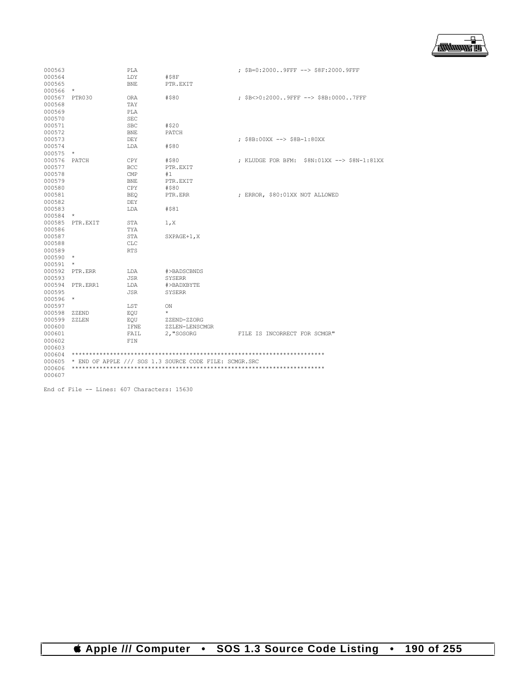

| 000563 |          | PLA         |                                                        | ; \$B=0:20009FFF --> \$8F:2000.9FFF         |
|--------|----------|-------------|--------------------------------------------------------|---------------------------------------------|
| 000564 |          | LDY         | #S8F                                                   |                                             |
| 000565 |          | <b>BNE</b>  | PTR.EXIT                                               |                                             |
| 000566 | $\star$  |             |                                                        |                                             |
| 000567 | PTR030   | <b>ORA</b>  | #\$80                                                  | ; \$B<>0:20009FFF --> \$8B:00007FFF         |
| 000568 |          | <b>TAY</b>  |                                                        |                                             |
| 000569 |          | PLA         |                                                        |                                             |
| 000570 |          | <b>SEC</b>  |                                                        |                                             |
| 000571 |          | <b>SBC</b>  | #\$20                                                  |                                             |
| 000572 |          | BNE         | PATCH                                                  |                                             |
| 000573 |          | DEY         |                                                        | ; \$8B:00XX --> \$8B-1:80XX                 |
| 000574 |          | LDA         | #\$80                                                  |                                             |
| 000575 | $\star$  |             |                                                        |                                             |
| 000576 | PATCH    | CPY         | #\$80                                                  | ; KLUDGE FOR BFM: \$8N:01XX --> \$8N-1:81XX |
| 000577 |          | <b>BCC</b>  | PTR.EXIT                                               |                                             |
| 000578 |          | CMP         | #1                                                     |                                             |
| 000579 |          | <b>BNE</b>  | PTR.EXIT                                               |                                             |
| 000580 |          | CPY         | #\$80                                                  |                                             |
| 000581 |          | <b>BEO</b>  | PTR.ERR                                                | ; ERROR, \$80:01XX NOT ALLOWED              |
| 000582 |          | <b>DEY</b>  |                                                        |                                             |
| 000583 |          | LDA         | #\$81                                                  |                                             |
| 000584 | $\star$  |             |                                                        |                                             |
| 000585 | PTR.EXIT | STA         | 1, x                                                   |                                             |
| 000586 |          | TYA         |                                                        |                                             |
| 000587 |          | STA         | SXPAGE+1, X                                            |                                             |
| 000588 |          | <b>CLC</b>  |                                                        |                                             |
| 000589 |          | <b>RTS</b>  |                                                        |                                             |
| 000590 | $\star$  |             |                                                        |                                             |
| 000591 | $\star$  |             |                                                        |                                             |
| 000592 | PTR.ERR  | LDA         | #>BADSCBNDS                                            |                                             |
| 000593 |          | <b>JSR</b>  | SYSERR                                                 |                                             |
| 000594 | PTR.ERR1 | LDA         | #>BADXBYTE                                             |                                             |
| 000595 |          | JSR         | SYSERR                                                 |                                             |
| 000596 | $\star$  |             |                                                        |                                             |
| 000597 |          | LST         | ON                                                     |                                             |
| 000598 | ZZEND    | EOU         | $\star$                                                |                                             |
| 000599 | ZZLEN    | EOU         | ZZEND-ZZORG                                            |                                             |
| 000600 |          | <b>IFNE</b> | ZZLEN-LENSCMGR                                         |                                             |
| 000601 |          | FAIL        | 2, "SOSORG                                             | FILE IS INCORRECT FOR SCMGR"                |
| 000602 |          | FIN         |                                                        |                                             |
| 000603 |          |             |                                                        |                                             |
| 000604 |          |             |                                                        |                                             |
| 000605 |          |             | * END OF APPLE /// SOS 1.3 SOURCE CODE FILE: SCMGR.SRC |                                             |
| 000606 |          |             |                                                        |                                             |
| 000607 |          |             |                                                        |                                             |

End of File -- Lines: 607 Characters: 15630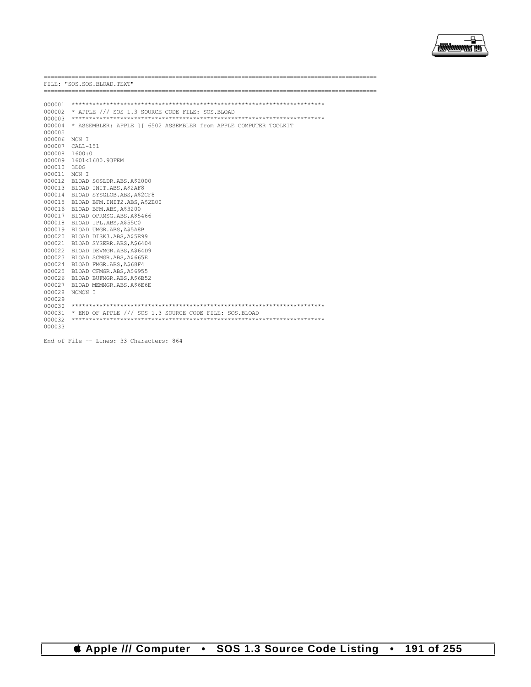

\_\_\_\_\_\_\_\_\_\_\_\_\_\_\_ FILE: "SOS.SOS.BLOAD.TEXT" 000004 \* ASSEMBLER: APPLE ] [ 6502 ASSEMBLER from APPLE COMPUTER TOOLKIT 000005 000006 MON I 000007 CALL-151  $000008$  1600:0 000009 1601<1600.93FEM 000010 3D0G 000011 MON I 000012 BLOAD SOSLDR.ABS, A\$2000 000013 BLOAD INIT.ABS, A\$2AF8 000014 BLOAD SYSGLOB.ABS, A\$2CF8 000015 BLOAD BFM. INIT2.ABS, A\$2E00 000016 BLOAD BFM.ABS, A\$3200 000017 BLOAD OPRMSG.ABS, A\$5466 000018 BLOAD IPL.ABS, A\$55C0 000019 BLOAD UMGR.ABS, A\$5A8B 000020 BLOAD DISK3.ABS.A\$5E99 000021 BLOAD SYSERR. ABS. A\$6404 000022 BLOAD DEVMGR.ABS, A\$64D9 000023 BLOAD SCMGR.ABS, A\$665E 000024 BLOAD FMGR.ABS.AS68F4 000025 BLOAD CFMGR.ABS, A\$6955 000026 BLOAD BUFMGR.ABS, A\$6B52 000027 BLOAD MEMMGR.ABS, A\$6E6E 000028 NOMON I 000029 000031 \* END OF APPLE /// SOS 1.3 SOURCE CODE FILE: SOS.BLOAD 000033

End of File -- Lines: 33 Characters: 864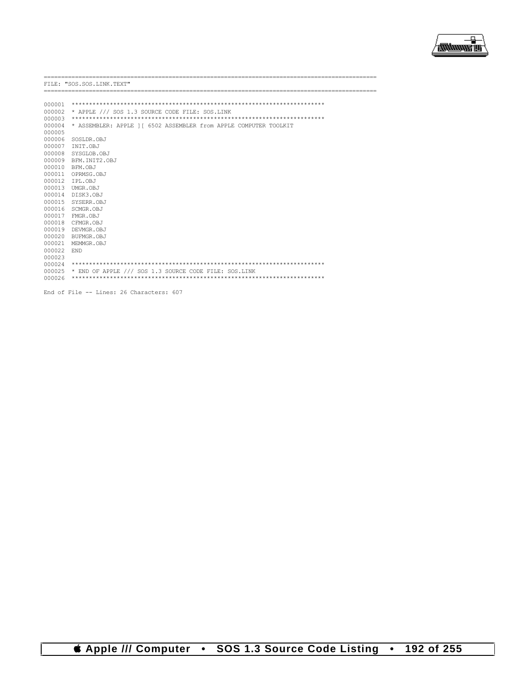

|        | FILE: "SOS.SOS.LINK.TEXT"                                        |
|--------|------------------------------------------------------------------|
|        |                                                                  |
|        |                                                                  |
| 000001 |                                                                  |
| 000002 | * APPLE /// SOS 1.3 SOURCE CODE FILE: SOS.LINK                   |
| 000003 |                                                                  |
| 000004 | * ASSEMBLER: APPLE 11 6502 ASSEMBLER from APPLE COMPUTER TOOLKIT |
| 000005 |                                                                  |
| 000006 | SOSLDR.OBJ                                                       |
| 000007 | TNTT.OBJ                                                         |
| 000008 | SYSGLOB.OBJ                                                      |
| 000009 | BFM. INTT2. OBJ                                                  |
| 000010 | BFM.OBJ                                                          |
| 000011 | OPRMSG.OBJ                                                       |
| 000012 | IPL.OBJ                                                          |
| 000013 | UMGR.OBJ                                                         |
| 000014 | DISK3.OBJ                                                        |
| 000015 | SYSERR.OBJ                                                       |
|        | 000016 SCMGR.OBJ                                                 |
| 000017 | FMGR.OBJ                                                         |
| 000018 | CFMGR.OBJ                                                        |
|        | 000019 DEVMGR.OBJ                                                |
| 000020 | BUFMGR.OBJ                                                       |
| 000021 | MEMMGR.OBJ                                                       |
| 000022 | END.                                                             |
| 000023 |                                                                  |
| 000024 |                                                                  |
| 000025 | * END OF APPLE /// SOS 1.3 SOURCE CODE FILE: SOS.LINK            |
| 000026 |                                                                  |
|        |                                                                  |
|        | End of File -- Lines: 26 Characters: 607                         |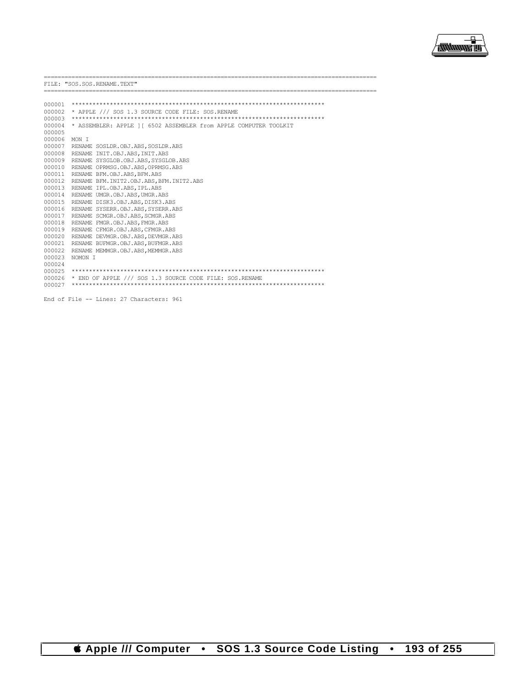

 $\overline{a}$ 

|        | FILE: "SOS.SOS.RENAME.TEXT"                                       |
|--------|-------------------------------------------------------------------|
|        |                                                                   |
|        |                                                                   |
| 000002 | * APPLE /// SOS 1.3 SOURCE CODE FILE: SOS.RENAME                  |
| 000003 |                                                                   |
| 000004 | * ASSEMBLER: APPLE 1 [ 6502 ASSEMBLER from APPLE COMPUTER TOOLKIT |
| 000005 |                                                                   |
| 000006 | MON T                                                             |
|        | 000007 RENAME SOSLDR.OBJ.ABS, SOSLDR.ABS                          |
| 000008 | RENAME INIT.OBJ.ABS, INIT.ABS                                     |
| 000009 | RENAME SYSGLOB.OBJ.ABS.SYSGLOB.ABS                                |
|        | 000010 RENAME OPRMSG.OBJ.ABS, OPRMSG.ABS                          |
|        | 000011 RENAME BFM.OBJ.ABS, BFM.ABS                                |
|        | 000012 RENAME BFM. INIT2. OBJ. ABS, BFM. INIT2. ABS               |
|        | 000013 RENAME IPL.OBJ.ABS, IPL.ABS                                |
| 000014 | RENAME UMGR.OBJ.ABS, UMGR.ABS                                     |
|        | 000015 RENAME DISK3.OBJ.ABS, DISK3.ABS                            |
|        | 000016 RENAME SYSERR.OBJ.ABS, SYSERR.ABS                          |
|        | 000017 RENAME SCMGR.OBJ.ABS, SCMGR.ABS                            |
| 000018 | RENAME FMGR.OBJ.ABS, FMGR.ABS                                     |
| 000019 | RENAME CFMGR.OBJ.ABS, CFMGR.ABS                                   |
| 000020 | RENAME DEVMGR.OBJ.ABS.DEVMGR.ABS                                  |
| 000021 | RENAME BUFMGR.OBJ.ABS.BUFMGR.ABS                                  |
| 000022 | RENAME MEMMGR.OBJ.ABS.MEMMGR.ABS                                  |
| 000023 | NOMON T                                                           |
| 000024 |                                                                   |
| 000025 |                                                                   |
| 000026 | * END OF APPLE /// SOS 1.3 SOURCE CODE FILE: SOS.RENAME           |
| 000027 |                                                                   |
|        |                                                                   |

End of File -- Lines: 27 Characters: 961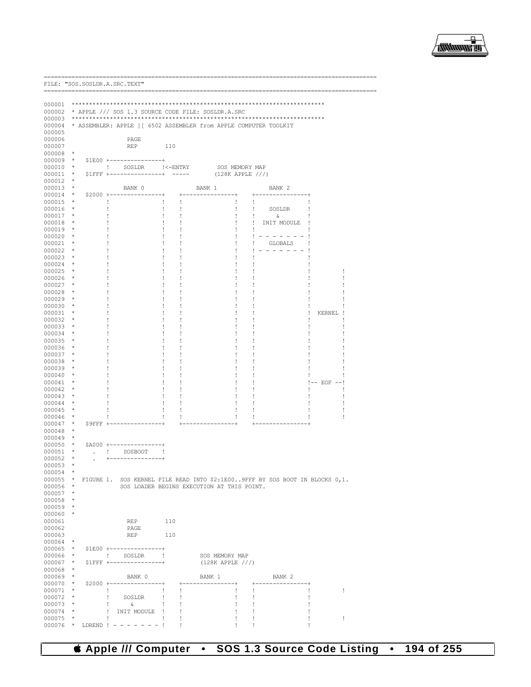

\_\_\_\_\_\_\_\_\_\_\_\_\_\_\_\_\_\_\_\_\_\_\_\_\_\_ FILE: "SOS. SOSLDR.A. SRC. TEXT" 000002 \* APPLE /// SOS 1.3 SOURCE CODE FILE: SOSLDR.A.SRC 000004 \* ASSEMBLER: APPLE ] [ 6502 ASSEMBLER from APPLE COMPUTER TOOLKIT 000005 000006 **PAGE** 000007  $REP$ 110  $000008$  \*  $000010$  \* ! SOSLDR !<-ENTRY SOS MEMORY MAP  $(128K APPLE / // )$ 000011 \* \$1FFF +-------------+ ----- $000012$  \*  $000013$  \* BANK 0 BANK 1 BANK 2 000014  $*$  \$2000 +  $\star$ 000015 000016 SOSLDR 000017 ିଧ 000018 ! INIT MODULE 000019  $\pm$  $\overline{\phantom{a}}$  $\,$   $\,$  $\frac{1}{2}$  ,  $\frac{1}{2}$  ,  $\frac{1}{2}$  ,  $\frac{1}{2}$  ,  $\frac{1}{2}$  ,  $\frac{1}{2}$  ,  $\frac{1}{2}$ 000020  $\mathbf{I}$ 000021 GLOBALS  $\overline{\phantom{a}}$  $\mathbf{I}$  $\mathbf{L}$  $\frac{1}{2} \left( \frac{1}{2} \right) \left( \frac{1}{2} \right) \left( \frac{1}{2} \right) \left( \frac{1}{2} \right) \left( \frac{1}{2} \right) \left( \frac{1}{2} \right) \left( \frac{1}{2} \right) \left( \frac{1}{2} \right) \left( \frac{1}{2} \right) \left( \frac{1}{2} \right) \left( \frac{1}{2} \right) \left( \frac{1}{2} \right) \left( \frac{1}{2} \right) \left( \frac{1}{2} \right) \left( \frac{1}{2} \right) \left( \frac{1}{2} \right) \left( \frac$ 000022  $\mathsf I$  $\mathbb T$  $\,$   $\,$ 000023 000024  $\star$ 000025  $\overline{\phantom{a}}$  $\mathbf{I}$  $\blacksquare$ 000026  $\overline{\phantom{a}}$ J.  $\star$ 000027  $\overline{\phantom{a}}$  $\blacksquare$  $\star$ 000028  $\overline{\phantom{a}}$  $\mathbf{I}$ 000029  $^{\star}$  $\mathbf{I}$  $\mathbf{I}$ 000030  $000031$  \* ! KERNEL !  $\mathbf{I}$  $\mathbb T$ 000032  $\star$  $^{\star}$ 000033  $\overline{\phantom{a}}$ 000034  $\overline{\phantom{a}}$ 000035  $\star$ 000036  $\star$ 000037  $\star$ 000038 000039  $\star$ 000040 000041  $!--$  EOF  $--!$ 000042 000043  $\ddot{}$ 000044 000045 000046  $\mathbf{I}$  $\mathbf{I}$  $\mathbf{I}$  $\mathbf{I}$ 000047  $\star$  $$9$ FFF  $+$  $\star$ 000048  $000049$  \*  $000050$  \* \$A000 +--------- $\cdot$  :  $\cdot$  SOSBOOT : 000051  $\rightarrow$ 000052  $+ - - - - - - - - - - 000053$  \*  $000054$  \* 000055 \* FIGURE 1. SOS KERNEL FILE READ INTO \$2:1E00..9FFF BY SOS BOOT IN BLOCKS 0,1.  $000056$  \* SOS LOADER BEGINS EXECUTION AT THIS POINT. 000057  $000058$  \* 000059 \*  $000060$  \* 110 **REP** 000061 000062 **PAGE**  $110$ 000063 **REP**  $000064$  \*  $000065$  \*  $$1E00$  +--SOS MEMORY MAP  $000066$  \* ! SOSLDR  $\mathbf{I}$  $000067$  \*  $S1FFF + (128K APPLE / // )$ -------- $000068$  \* 000069  $\star$ BANK 0 BANK 1 BANK<sub>2</sub> 000070 \* \$2000 +---------- $000071$  \*  $\frac{1}{2}$ SOSLDR 000072  $\star$  $\pm$  $\sim1$ 000073  $\star$  $\mathbf{I}$  $\delta$  $\blacksquare$  $\mathbf{I}$ 000074  $\rightarrow$ ! INIT MODULE !  $\mathbf{I}$  $\overline{\phantom{a}}$ 000075  $\pm$  $\mathbf{I}$  $\mathbf{I}$ J. 000076 \* LDREND ! - - - - - - - !  $\mathbf{I}$ 

**4 Apple /// Computer**  $\bullet$ SOS 1.3 Source Code Listing 194 of 255  $\bullet$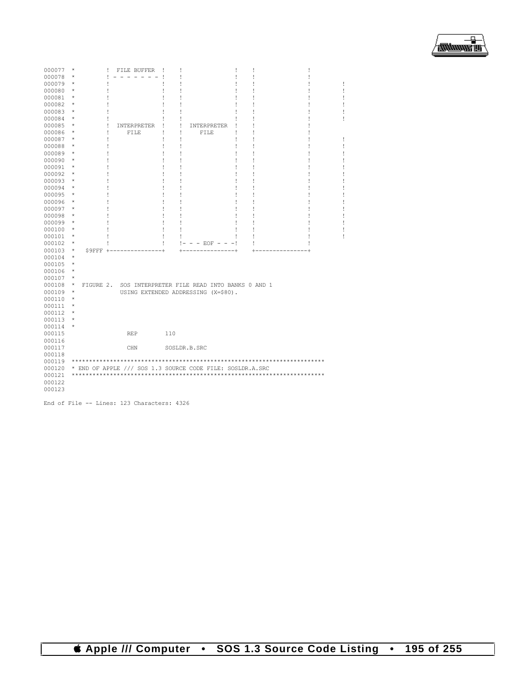| 000077 | $^{\star}$ |           | Ţ<br>FILE BUFFER | Ţ   | ı                                                         | ı<br>I |  |  |
|--------|------------|-----------|------------------|-----|-----------------------------------------------------------|--------|--|--|
| 000078 | $^{\star}$ |           |                  |     |                                                           |        |  |  |
| 000079 | $^{\star}$ |           |                  |     |                                                           |        |  |  |
| 000080 | $^{\star}$ |           |                  |     |                                                           |        |  |  |
| 000081 | $^{\star}$ |           |                  |     |                                                           |        |  |  |
| 000082 | $^{\star}$ |           |                  |     |                                                           |        |  |  |
| 000083 | $^{\star}$ |           |                  |     |                                                           |        |  |  |
| 000084 | $\star$    |           | ı                |     | ı                                                         |        |  |  |
| 000085 | $\star$    |           | Ţ<br>INTERPRETER |     | Ţ<br>INTERPRETER                                          |        |  |  |
| 000086 | $\star$    |           | Ţ<br>FILE        | ı   | Ţ<br>FILE                                                 |        |  |  |
| 000087 | $^{\star}$ |           | ı                | Ţ   | Ţ                                                         |        |  |  |
| 000088 | $^{\star}$ |           | ı                |     | Ţ                                                         |        |  |  |
| 000089 | $^{\star}$ |           | ı                |     | ı                                                         |        |  |  |
| 000090 | $^{\star}$ |           |                  |     |                                                           |        |  |  |
| 000091 | $^{\star}$ |           |                  |     |                                                           |        |  |  |
| 000092 | $\star$    |           |                  |     |                                                           |        |  |  |
| 000093 | $^{\star}$ |           |                  |     |                                                           |        |  |  |
| 000094 | $\star$    |           |                  |     |                                                           |        |  |  |
| 000095 | $^{\star}$ |           |                  |     |                                                           |        |  |  |
| 000096 | $\star$    |           |                  |     |                                                           |        |  |  |
| 000097 | $\star$    |           |                  | I   |                                                           |        |  |  |
| 000098 | $^{\star}$ |           |                  |     |                                                           |        |  |  |
| 000099 | $\star$    |           |                  | ı   |                                                           |        |  |  |
|        | $^{\star}$ |           |                  | I   |                                                           |        |  |  |
| 000100 | $^{\star}$ |           |                  | Ţ   |                                                           |        |  |  |
| 000101 | $\star$    |           |                  |     |                                                           |        |  |  |
| 000102 | $^{\star}$ |           |                  | Ţ   | $- - EOF - - -!$                                          |        |  |  |
| 000103 | $\star$    |           | $S9$ FFF $+----$ |     |                                                           | +      |  |  |
| 000104 | $\star$    |           |                  |     |                                                           |        |  |  |
| 000105 | $^{\star}$ |           |                  |     |                                                           |        |  |  |
| 000106 | $\star$    |           |                  |     |                                                           |        |  |  |
| 000107 | $\star$    |           |                  |     |                                                           |        |  |  |
| 000108 | $\star$    | FIGURE 2. |                  |     | SOS INTERPRETER FILE READ INTO BANKS 0 AND 1              |        |  |  |
| 000109 | $^{\star}$ |           |                  |     | USING EXTENDED ADDRESSING (X=\$80).                       |        |  |  |
| 000110 |            |           |                  |     |                                                           |        |  |  |
| 000111 | $^{\star}$ |           |                  |     |                                                           |        |  |  |
| 000112 | $^{\star}$ |           |                  |     |                                                           |        |  |  |
| 000113 | $\star$    |           |                  |     |                                                           |        |  |  |
| 000114 |            |           |                  |     |                                                           |        |  |  |
| 000115 |            |           | <b>REP</b>       | 110 |                                                           |        |  |  |
| 000116 |            |           |                  |     |                                                           |        |  |  |
| 000117 |            |           | CHN              |     | SOSLDR.B.SRC                                              |        |  |  |
| 000118 |            |           |                  |     |                                                           |        |  |  |
| 000119 |            |           |                  |     |                                                           |        |  |  |
| 000120 |            |           |                  |     | * END OF APPLE /// SOS 1.3 SOURCE CODE FILE: SOSLDR.A.SRC |        |  |  |
| 000121 |            |           |                  |     |                                                           |        |  |  |
| 000122 |            |           |                  |     |                                                           |        |  |  |
| 000123 |            |           |                  |     |                                                           |        |  |  |

End of File -- Lines: 123 Characters: 4326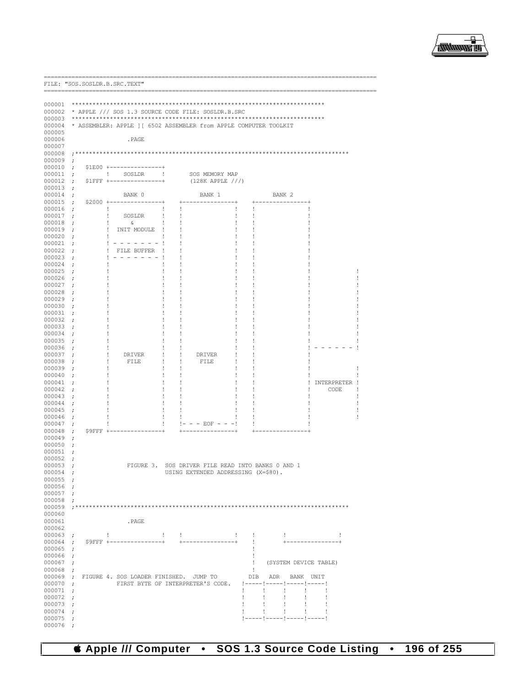

|                          | FILE: "SOS.SOSLDR.B.SRC.TEXT"      |                                                                   |                                         |                    |                                         |               |                       |   |
|--------------------------|------------------------------------|-------------------------------------------------------------------|-----------------------------------------|--------------------|-----------------------------------------|---------------|-----------------------|---|
|                          |                                    |                                                                   |                                         |                    |                                         |               |                       |   |
| 000001<br>000002         |                                    |                                                                   |                                         |                    |                                         |               |                       |   |
| 000003                   |                                    | * APPLE /// SOS 1.3 SOURCE CODE FILE: SOSLDR.B.SRC                |                                         |                    |                                         |               |                       |   |
| 000004                   |                                    | * ASSEMBLER: APPLE ] [ 6502 ASSEMBLER from APPLE COMPUTER TOOLKIT |                                         |                    |                                         |               |                       |   |
| 000005                   |                                    |                                                                   |                                         |                    |                                         |               |                       |   |
| 000006<br>000007         |                                    | . PAGE                                                            |                                         |                    |                                         |               |                       |   |
| 000008                   |                                    |                                                                   |                                         |                    |                                         |               |                       |   |
| 000009<br>000010         | $\ddot{ }$                         | \$1E00 +-------                                                   |                                         |                    |                                         |               |                       |   |
| 000011                   | $\ddot{ }$<br>$\cdot$              | $\mathbf{I}$<br>SOSLDR                                            |                                         | SOS MEMORY MAP     |                                         |               |                       |   |
| 000012                   | $\cdot$                            | $S1FFF + --- --- --- --- --- --- $                                |                                         | $(128K$ APPLE $//$ |                                         |               |                       |   |
| 000013<br>000014         | $\cdot$<br>$\ddot{\phantom{0}}$    | BANK 0                                                            | BANK 1                                  |                    | BANK <sub>2</sub>                       |               |                       |   |
| 000015                   | $\cdot$                            | $$2000$ +---------------+                                         |                                         | ------------+      |                                         | ------------+ |                       |   |
| 000016                   | $\ddot{\phantom{0}}$               | Ţ                                                                 |                                         |                    | Ţ                                       |               |                       |   |
| 000017<br>000018         | $\ddot{ }$<br>$\ddot{\phantom{0}}$ | Ţ<br>SOSLDR<br>Ţ<br>ିଧ                                            | T<br>Ţ<br>Ţ<br>Ţ                        | Ţ<br>Ţ             | Ţ<br>Ţ                                  |               |                       |   |
| 000019                   | T<br>$\cdot$                       | INIT MODULE                                                       | 1                                       |                    | Ţ                                       |               |                       |   |
| 000020<br>000021         | T<br>$\ddot{ }$                    | $- - - - - - - 1$<br>Ţ.                                           | 1<br>J.                                 | ı<br>Ţ             | Ţ<br>Ţ                                  |               |                       |   |
| 000022                   | $\cdot$<br>$\cdot$                 | FILE BUFFER                                                       |                                         |                    | Ţ                                       |               |                       |   |
| 000023                   | $\cdot$                            |                                                                   | 1<br>Ţ                                  | ı                  | Ţ                                       |               |                       |   |
| 000024<br>000025         | $\cdot$<br>$\cdot$                 |                                                                   | Ţ<br>Ţ                                  | Ţ<br>Ţ             | Ţ<br>Ţ                                  |               |                       |   |
| 000026                   | Ţ<br>$\cdot$                       |                                                                   | 1<br>Ţ                                  | Ţ                  | Ţ                                       |               |                       |   |
| 000027<br>000028         | ţ.<br>$\ddot{ }$<br>$\cdot$        |                                                                   | Ţ<br>Ţ                                  | Ţ                  | Ţ<br>Ţ                                  |               |                       |   |
| 000029                   | $\ddot{ }$                         |                                                                   | 1<br>Ţ                                  | Ţ                  | Ţ                                       |               |                       |   |
| 000030                   | ţ.<br>$\cdot$                      |                                                                   | Ţ<br>Ţ                                  | Ţ                  | Ţ                                       |               |                       |   |
| 000031<br>000032         | $\cdot$<br>$\cdot$                 |                                                                   | 1<br>Ţ                                  | Ţ                  | Ţ<br>Ţ                                  |               |                       |   |
| 000033                   | ţ.<br>$\cdot$                      |                                                                   | ï<br>Ţ                                  | Ţ                  | Ţ                                       |               |                       |   |
| 000034<br>000035         | $\cdot$<br>ı<br>$\ddot{ }$         |                                                                   | 1<br>T                                  | Ţ                  | Ţ<br>Ţ                                  |               |                       |   |
| 000036                   | Ţ<br>$\cdot$                       |                                                                   | 1<br>Ţ                                  | Ţ                  | Ţ                                       |               |                       |   |
| 000037                   | Ţ<br>$\ddot{ }$                    | <b>DRIVER</b>                                                     | T<br>DRIVER                             |                    | Ţ                                       |               |                       |   |
| 000038<br>000039         | Ţ<br>$\cdot$<br>Ţ<br>$\ddot{ }$    | FILE                                                              | FILE<br>Ţ<br>Ţ<br>1<br>Ţ                | Ţ<br>Ţ             | Ţ<br>Ţ                                  |               |                       | J |
| 000040                   | $\cdot$                            |                                                                   | Ţ                                       |                    | Ţ                                       |               |                       |   |
| 000041<br>000042         | $\cdot$<br>ţ.<br>$\ddot{ }$        |                                                                   | Ţ<br>T<br>Ţ<br>Ţ                        | ı<br>Ţ             | Ţ<br>Ţ                                  |               | INTERPRETER !<br>CODE |   |
| 000043                   | $\cdot$                            |                                                                   |                                         |                    | Ţ                                       |               |                       |   |
| 000044<br>000045         | $\cdot$<br>ţ.                      |                                                                   | 1<br>ı<br>Ţ<br>Ţ                        | ı<br>Ţ             | Ţ<br>Ţ                                  |               |                       |   |
| 000046                   | $\ddot{\phantom{0}}$<br>$\cdot$    |                                                                   | Ţ                                       |                    | ţ.                                      |               |                       |   |
| 000047                   | ;                                  |                                                                   | Ţ<br><u>   –</u>                        | $- - EOF - - -!$   | Ţ                                       |               |                       |   |
| 000048<br>000049         | $S9$ FFF +<br>$\cdot$<br>$\cdot$   |                                                                   |                                         |                    |                                         |               |                       |   |
| 000050                   | ;                                  |                                                                   |                                         |                    |                                         |               |                       |   |
| 000051<br>000052         | $\ddot{ }$                         |                                                                   |                                         |                    |                                         |               |                       |   |
| $000053$ ;               |                                    | FIGURE 3.                                                         | SOS DRIVER FILE READ INTO BANKS 0 AND 1 |                    |                                         |               |                       |   |
| 000054 ;                 |                                    |                                                                   | USING EXTENDED ADDRESSING (X=\$80).     |                    |                                         |               |                       |   |
| 000055<br>$000056$ ;     | $\cdot$                            |                                                                   |                                         |                    |                                         |               |                       |   |
| 000057 :                 |                                    |                                                                   |                                         |                    |                                         |               |                       |   |
| 000058                   | $\cdot$                            |                                                                   |                                         |                    |                                         |               |                       |   |
| 000060                   |                                    |                                                                   |                                         |                    |                                         |               |                       |   |
| 000061<br>000062         |                                    | . PAGE                                                            |                                         |                    |                                         |               |                       |   |
| 000063                   | $\mathbf{L}$<br>$\cdot$            |                                                                   | $\mathbf{1}$<br>$\mathbf{L}$            | $\mathbf{1}$       | $\mathbf{L}$<br>÷                       |               | 1                     |   |
| 000064                   | $\cdot$                            | \$9FFF +---------------+                                          | $+ - -$                                 | ------------+      | $\mathbf{L}$                            |               |                       |   |
| 000065<br>000066         | $\cdot$<br>$\cdot$                 |                                                                   |                                         |                    | Ţ<br>$\mathbf{I}$                       |               |                       |   |
| 000067                   | $\cdot$                            |                                                                   |                                         |                    | ! (SYSTEM DEVICE TABLE)                 |               |                       |   |
| 000068 ;                 |                                    |                                                                   |                                         |                    | ÷                                       |               |                       |   |
| $000069$ ;<br>$000070$ ; |                                    | FIGURE 4. SOS LOADER FINISHED. JUMP TO                            | FIRST BYTE OF INTERPRETER'S CODE.       |                    | DIB ADR BANK UNIT                       |               |                       |   |
| $000071$ ;               |                                    |                                                                   |                                         | Ŧ                  | $\mathbf{I}$<br>$\mathbf{I}$            | $\mathbf{I}$  | 1                     |   |
| 000072<br>000073         | $\cdot$<br>$\cdot$                 |                                                                   |                                         | Ţ<br>Ţ             | $\mathbf{I}$<br>$\mathbf{I}$<br>Ţ<br>Ţ. | Ţ.<br>Ţ.      | 1<br>1                |   |
| $000074$ ;               |                                    |                                                                   |                                         | Ţ                  | Ţ.<br>÷                                 | ÷             | Ţ                     |   |
| 000075<br>000076         |                                    |                                                                   |                                         |                    | !-----!-----!-----!-----!               |               |                       |   |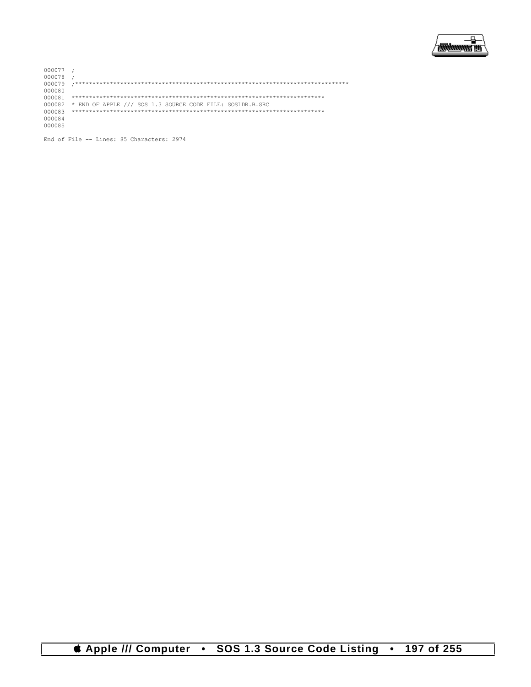

 $000077$  ;<br>000078 ; 000080 000082 \* END OF APPLE /// SOS 1.3 SOURCE CODE FILE: SOSLDR.B.SRC 000084 000085

End of File -- Lines: 85 Characters: 2974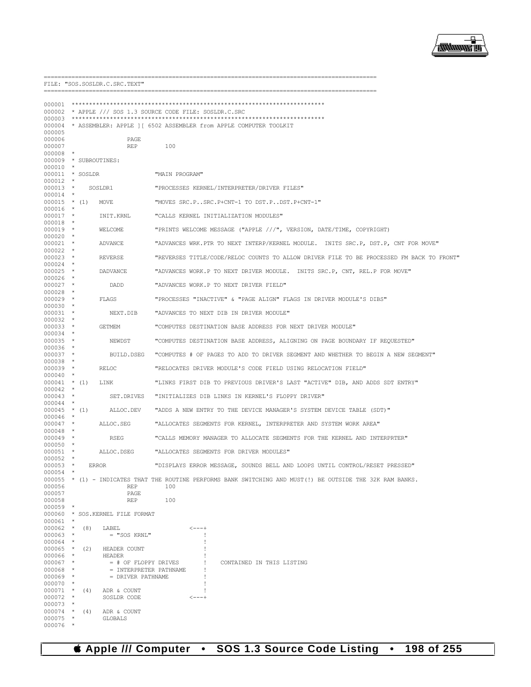

\_\_\_\_\_\_\_\_\_\_\_\_\_

 $---$ 

FILE: "SOS.SOSLDR.C.SRC.TEXT"

| 000001<br>000003           |                     |     |                                             | 000002 * APPLE /// SOS 1.3 SOURCE CODE FILE: SOSLDR.C.SRC<br>000004 * ASSEMBLER: APPLE ] [ 6502 ASSEMBLER from APPLE COMPUTER TOOLKIT |
|----------------------------|---------------------|-----|---------------------------------------------|---------------------------------------------------------------------------------------------------------------------------------------|
| 000005<br>000006           |                     |     | PAGE                                        |                                                                                                                                       |
| 000007<br>000008           | $\star$             |     | REP                                         | 100                                                                                                                                   |
| $000010$ *                 |                     |     | 000009 * SUBROUTINES:                       |                                                                                                                                       |
| 000011 * SOSLDR<br>000012  | $\star$             |     |                                             | "MAIN PROGRAM"                                                                                                                        |
| $000013$ *<br>$000014$ *   |                     |     | SOSLDR1                                     | "PROCESSES KERNEL/INTERPRETER/DRIVER FILES"                                                                                           |
| $000015$ * (1)<br>000016 * |                     |     | MOVE                                        | "MOVES SRC.PSRC.P+CNT-1 TO DST.PDST.P+CNT-1"                                                                                          |
| $000017$ *                 | $\star$             |     | INIT.KRNL                                   | "CALLS KERNEL INITIALIZATION MODULES"                                                                                                 |
| 000018<br>$000019$ *       |                     |     | WELCOME                                     | "PRINTS WELCOME MESSAGE ("APPLE ///", VERSION, DATE/TIME, COPYRIGHT)                                                                  |
| $000020$ *<br>$000021$ *   |                     |     | ADVANCE                                     | "ADVANCES WRK.PTR TO NEXT INTERP/KERNEL MODULE. INITS SRC.P, DST.P, CNT FOR MOVE"                                                     |
| 000022<br>$000023$ *       | $\star$             |     | REVERSE                                     | "REVERSES TITLE/CODE/RELOC COUNTS TO ALLOW DRIVER FILE TO BE PROCESSED FM BACK TO FRONT"                                              |
| 000024<br>$000025$ *       | $\star$             |     | DADVANCE                                    | "ADVANCES WORK.P TO NEXT DRIVER MODULE. INITS SRC.P, CNT, REL.P FOR MOVE"                                                             |
| $000026$ *<br>$000027$ *   |                     |     | DADD                                        | "ADVANCES WORK.P TO NEXT DRIVER FIELD"                                                                                                |
| 000028<br>$000029$ *       | *                   |     | FLAGS                                       | "PROCESSES "INACTIVE" & "PAGE ALIGN" FLAGS IN DRIVER MODULE'S DIBS"                                                                   |
| $000030$ *<br>000031       | $\star$             |     | NEXT.DIB                                    | "ADVANCES TO NEXT DIB IN DRIVER MODULE"                                                                                               |
| $000032$ *<br>$000033$ *   |                     |     | GETMEM                                      | "COMPUTES DESTINATION BASE ADDRESS FOR NEXT DRIVER MODULE"                                                                            |
| $000034$ *<br>000035 *     |                     |     | NEWDST                                      | "COMPUTES DESTINATION BASE ADDRESS, ALIGNING ON PAGE BOUNDARY IF REQUESTED"                                                           |
| 000036<br>000037           | $\star$<br>- *      |     | BUILD.DSEG                                  | "COMPUTES # OF PAGES TO ADD TO DRIVER SEGMENT AND WHETHER TO BEGIN A NEW SEGMENT"                                                     |
| 000038 *<br>$000039$ *     |                     |     | RELOC                                       | "RELOCATES DRIVER MODULE'S CODE FIELD USING RELOCATION FIELD"                                                                         |
| 000040<br>$000041$ * (1)   | *                   |     | LINK                                        | "LINKS FIRST DIB TO PREVIOUS DRIVER'S LAST "ACTIVE" DIB, AND ADDS SDT ENTRY"                                                          |
| 000042<br>000043           | $\star$<br>$\star$  |     | SET.DRIVES                                  | "INITIALIZES DIB LINKS IN KERNEL'S FLOPPY DRIVER"                                                                                     |
| 000044<br>$000045$ * (1)   | $\star$             |     | ALLOC.DEV                                   | "ADDS A NEW ENTRY TO THE DEVICE MANAGER'S SYSTEM DEVICE TABLE (SDT)"                                                                  |
| $000046$ *                 |                     |     |                                             |                                                                                                                                       |
| $000047$ *<br>000048       | $\star$             |     | ALLOC.SEG                                   | "ALLOCATES SEGMENTS FOR KERNEL, INTERPRETER AND SYSTEM WORK AREA"                                                                     |
| $000049$ *<br>$000050$ *   |                     |     | RSEG                                        | "CALLS MEMORY MANAGER TO ALLOCATE SEGMENTS FOR THE KERNEL AND INTERPRTER"                                                             |
| 000051<br>000052           | $\star$<br>$\star$  |     | ALLOC.DSEG                                  | "ALLOCATES SEGMENTS FOR DRIVER MODULES"                                                                                               |
| $000053$ *<br>000054       | $\star$             |     | ERROR                                       | "DISPLAYS ERROR MESSAGE, SOUNDS BELL AND LOOPS UNTIL CONTROL/RESET PRESSED"                                                           |
| 000056                     |                     |     | REP                                         | 000055 * (1) - INDICATES THAT THE ROUTINE PERFORMS BANK SWITCHING AND MUST(!) BE OUTSIDE THE 32K RAM BANKS.<br>100                    |
| 000057<br>000058           |                     |     | PAGE<br><b>REP</b>                          | 100                                                                                                                                   |
| 000059<br>000060           | $\star$             |     | * SOS. KERNEL FILE FORMAT                   |                                                                                                                                       |
| 000061<br>$000062$ *       |                     | (8) | LABEL                                       | <---+                                                                                                                                 |
| 000063<br>000064           | $\star$             |     | $=$ "SOS KRNL"                              |                                                                                                                                       |
| 000065<br>000066           | $\star$<br>$\star$  | (2) | HEADER COUNT<br>HEADER                      |                                                                                                                                       |
| 000067                     |                     |     | $=$ # OF FLOPPY DRIVES                      | CONTAINED IN THIS LISTING                                                                                                             |
| 000068<br>000069           | $\star$<br>$\star$  |     | = INTERPRETER PATHNAME<br>= DRIVER PATHNAME |                                                                                                                                       |
| 000070<br>000071           | $\star$             | (4) | ADR & COUNT                                 |                                                                                                                                       |
| 000072<br>000073           | $^\star$            |     | SOSLDR CODE                                 | ----+                                                                                                                                 |
| 000074                     | $\star$             | (4) | ADR & COUNT                                 |                                                                                                                                       |
| 000075<br>000076           | $^\star$<br>$\star$ |     | <b>GLOBALS</b>                              |                                                                                                                                       |

*& Apple /// Computer* • SOS 1.3 Source Code Listing • 198 of 255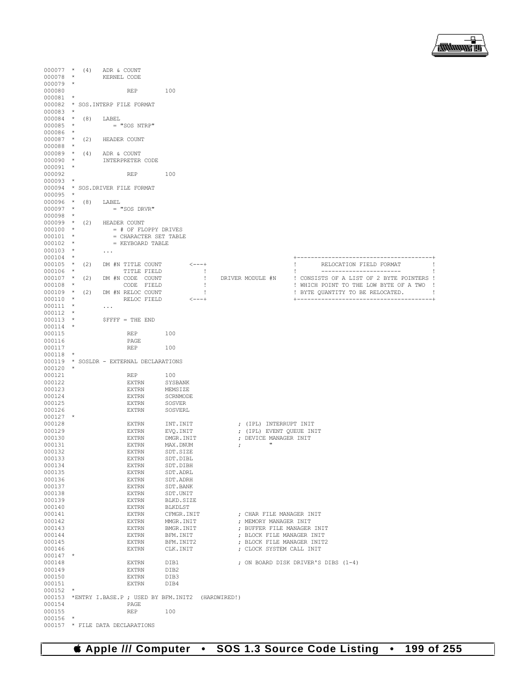

| $000077$ * (4)<br>$000078$ * |          |     | ADR & COUNT<br>KERNEL CODE |                                               |                                                  |                              |            |                                                         |                                                                                       |  |
|------------------------------|----------|-----|----------------------------|-----------------------------------------------|--------------------------------------------------|------------------------------|------------|---------------------------------------------------------|---------------------------------------------------------------------------------------|--|
| $000079$ *<br>000080         |          |     |                            | REP                                           | 100                                              |                              |            |                                                         |                                                                                       |  |
| 000081                       | $\star$  |     |                            |                                               |                                                  |                              |            |                                                         |                                                                                       |  |
| 000083                       | $\star$  |     |                            | 000082 * SOS. INTERP FILE FORMAT              |                                                  |                              |            |                                                         |                                                                                       |  |
| $000084$ * (8)               |          |     | LABEL                      |                                               |                                                  |                              |            |                                                         |                                                                                       |  |
| 000085 *<br>000086 *         |          |     |                            | = "SOS NTRP"                                  |                                                  |                              |            |                                                         |                                                                                       |  |
|                              |          |     | 000087 * (2) HEADER COUNT  |                                               |                                                  |                              |            |                                                         |                                                                                       |  |
| $000088$ *<br>$000089$ * (4) |          |     | ADR & COUNT                |                                               |                                                  |                              |            |                                                         |                                                                                       |  |
| $000090$ *                   |          |     |                            | INTERPRETER CODE                              |                                                  |                              |            |                                                         |                                                                                       |  |
| 000091 *<br>000092           |          |     |                            | REP                                           | 100                                              |                              |            |                                                         |                                                                                       |  |
| 000093                       | $\star$  |     |                            |                                               |                                                  |                              |            |                                                         |                                                                                       |  |
| $000095$ *                   |          |     |                            | 000094 * SOS. DRIVER FILE FORMAT              |                                                  |                              |            |                                                         |                                                                                       |  |
| 000096 * (8) LABEL           |          |     |                            |                                               |                                                  |                              |            |                                                         |                                                                                       |  |
| $000097$ *<br>$000098$ *     |          |     |                            | = "SOS DRVR"                                  |                                                  |                              |            |                                                         |                                                                                       |  |
|                              |          |     | 000099 * (2) HEADER COUNT  |                                               |                                                  |                              |            |                                                         |                                                                                       |  |
| $000100$ *<br>$000101$ *     |          |     |                            | = # OF FLOPPY DRIVES<br>= CHARACTER SET TABLE |                                                  |                              |            |                                                         |                                                                                       |  |
| $000102$ *                   |          |     |                            | = KEYBOARD TABLE                              |                                                  |                              |            |                                                         |                                                                                       |  |
| $000103$ *                   |          |     | $\sim$ $\sim$ $\sim$       |                                               |                                                  |                              |            |                                                         |                                                                                       |  |
| $000104$ *<br>$000105$ *     |          | (2) |                            | DM #N TITLE COUNT                             | -<---+                                           |                              |            |                                                         | RELOCATION FIELD FORMAT                                                               |  |
| 000106 *                     |          |     |                            | TITLE FIELD                                   |                                                  | $\blacksquare$               |            |                                                         |                                                                                       |  |
| $000108$ *                   |          |     |                            | $000107$ * (2) DM #N CODE COUNT<br>CODE FIELD |                                                  | $\mathbf{I}$<br>$\mathbf{I}$ |            | DRIVER MODULE #N                                        | ! CONSISTS OF A LIST OF 2 BYTE POINTERS !<br>! WHICH POINT TO THE LOW BYTE OF A TWO ! |  |
| $000109$ *                   |          |     |                            | (2) DM #N RELOC COUNT                         |                                                  | $\sim$ 1                     |            |                                                         | ! BYTE QUANTITY TO BE RELOCATED.                                                      |  |
| $000110$ *<br>$000111$ *     |          |     |                            | RELOC FIELD                                   | $< - - - +$                                      |                              |            |                                                         |                                                                                       |  |
| $000112$ *                   |          |     | $\sim$ $\sim$ $\sim$       |                                               |                                                  |                              |            |                                                         |                                                                                       |  |
| $000113$ *<br>$000114$ *     |          |     |                            | $S$ FFFF = THE END                            |                                                  |                              |            |                                                         |                                                                                       |  |
| 000115                       |          |     |                            | REP                                           | 100                                              |                              |            |                                                         |                                                                                       |  |
| 000116<br>000117             |          |     |                            | PAGE<br><b>REP</b>                            | 100                                              |                              |            |                                                         |                                                                                       |  |
| 000118                       | $\ast$   |     |                            |                                               |                                                  |                              |            |                                                         |                                                                                       |  |
| $000120$ *                   |          |     |                            | 000119 * SOSLDR - EXTERNAL DECLARATIONS       |                                                  |                              |            |                                                         |                                                                                       |  |
| 000121                       |          |     |                            | REP                                           | 100                                              |                              |            |                                                         |                                                                                       |  |
| 000122<br>000123             |          |     |                            | EXTRN<br>EXTRN                                | SYSBANK<br>MEMSIZE                               |                              |            |                                                         |                                                                                       |  |
| 000124                       |          |     |                            | EXTRN                                         | SCRNMODE                                         |                              |            |                                                         |                                                                                       |  |
| 000125<br>000126             |          |     |                            | EXTRN<br><b>EXTRN</b>                         | SOSVER<br>SOSVERL                                |                              |            |                                                         |                                                                                       |  |
| $000127$ *                   |          |     |                            |                                               |                                                  |                              |            |                                                         |                                                                                       |  |
| 000128                       |          |     |                            | EXTRN                                         | INT. INIT                                        |                              |            | ; (IPL) INTERRUPT INIT                                  |                                                                                       |  |
| 000129<br>000130             |          |     |                            | EXTRN<br><b>EXTRN</b>                         | EVQ.INIT<br>DMGR. INIT                           |                              |            | ; (IPL) EVENT QUEUE INIT<br>; DEVICE MANAGER INIT       |                                                                                       |  |
| 000131                       |          |     |                            | EXTRN                                         | MAX.DNUM                                         |                              | $\ddot{ }$ | $\mathbf{H}$                                            |                                                                                       |  |
| 000132<br>000133             |          |     |                            | <b>EXTRN</b><br><b>EXTRN</b>                  | SDT.SIZE<br>SDT.DIBL                             |                              |            |                                                         |                                                                                       |  |
| 000134                       |          |     |                            | <b>EXTRN</b>                                  | SDT.DIBH                                         |                              |            |                                                         |                                                                                       |  |
| 000135<br>000136             |          |     |                            | <b>EXTRN</b><br><b>EXTRN</b>                  | SDT.ADRL<br>SDT.ADRH                             |                              |            |                                                         |                                                                                       |  |
| 000137                       |          |     |                            | <b>EXTRN</b>                                  | SDT.BANK                                         |                              |            |                                                         |                                                                                       |  |
| 000138<br>000139             |          |     |                            | <b>EXTRN</b><br><b>EXTRN</b>                  | SDT.UNIT<br>BLKD.SIZE                            |                              |            |                                                         |                                                                                       |  |
| 000140                       |          |     |                            | <b>EXTRN</b>                                  | <b>BLKDLST</b>                                   |                              |            |                                                         |                                                                                       |  |
| 000141<br>000142             |          |     |                            | <b>EXTRN</b><br><b>EXTRN</b>                  | CFMGR. INIT<br>MMGR. INIT                        |                              |            | : CHAR FILE MANAGER INIT<br>; MEMORY MANAGER INIT       |                                                                                       |  |
| 000143                       |          |     |                            | <b>EXTRN</b>                                  | BMGR. INIT                                       |                              |            | ; BUFFER FILE MANAGER INIT                              |                                                                                       |  |
| 000144<br>000145             |          |     |                            | <b>EXTRN</b><br><b>EXTRN</b>                  | BFM. INIT<br>BFM. INIT2                          |                              |            | ; BLOCK FILE MANAGER INIT<br>: BLOCK FILE MANAGER INIT2 |                                                                                       |  |
| 000146                       |          |     |                            | <b>EXTRN</b>                                  | CLK.INIT                                         |                              |            | ; CLOCK SYSTEM CALL INIT                                |                                                                                       |  |
| $000147$ *                   |          |     |                            |                                               |                                                  |                              |            |                                                         |                                                                                       |  |
| 000148<br>000149             |          |     |                            | <b>EXTRN</b><br><b>EXTRN</b>                  | DIB1<br>DIB2                                     |                              |            |                                                         | ; ON BOARD DISK DRIVER'S DIBS (1-4)                                                   |  |
| 000150                       |          |     |                            | <b>EXTRN</b>                                  | DIB3                                             |                              |            |                                                         |                                                                                       |  |
| 000151<br>000152             | $\star$  |     |                            | <b>EXTRN</b>                                  | DIB4                                             |                              |            |                                                         |                                                                                       |  |
| 000153                       |          |     |                            |                                               | *ENTRY I.BASE.P ; USED BY BFM.INIT2 (HARDWIRED!) |                              |            |                                                         |                                                                                       |  |
| 000154<br>000155             |          |     |                            | PAGE<br><b>REP</b>                            | 100                                              |                              |            |                                                         |                                                                                       |  |
| 000156                       | $^\star$ |     |                            |                                               |                                                  |                              |            |                                                         |                                                                                       |  |
| 000157                       |          |     |                            | * FILE DATA DECLARATIONS                      |                                                  |                              |            |                                                         |                                                                                       |  |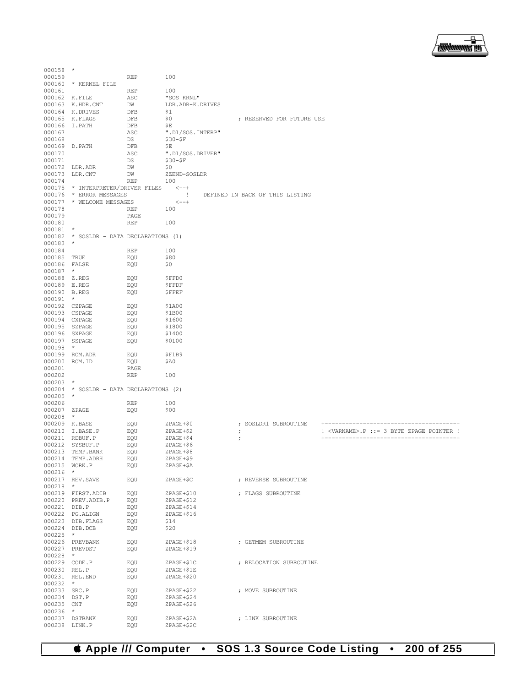

| $000158$ *                     |                                         |                    |                                    |            |                                 |                                                                                |
|--------------------------------|-----------------------------------------|--------------------|------------------------------------|------------|---------------------------------|--------------------------------------------------------------------------------|
| 000159                         |                                         | REP                | 100                                |            |                                 |                                                                                |
| 000161                         | 000160 * KERNEL FILE                    | REP                | 100                                |            |                                 |                                                                                |
| 000162 K.FILE                  |                                         | ASC                | "SOS KRNL"                         |            |                                 |                                                                                |
|                                | 000163 K.HDR.CNT                        | DW                 | LDR.ADR-K.DRIVES                   |            |                                 |                                                                                |
|                                | 000164 K.DRIVES                         | DFB                | Ş1                                 |            |                                 |                                                                                |
| 000166 I.PATH                  | 000165 K.FLAGS                          | DFB<br>DFB         | \$0<br>\$E.                        |            | : RESERVED FOR FUTURE USE       |                                                                                |
| 000167                         |                                         | ASC                | ".D1/SOS.INTERP"                   |            |                                 |                                                                                |
| 000168                         |                                         | DS                 | $$30-$F$                           |            |                                 |                                                                                |
| 000170                         | 000169 D.PATH                           | DFB<br>ASC         | ŞЕ<br>".D1/SOS.DRIVER"             |            |                                 |                                                                                |
| 000171                         |                                         | DS                 | $$30-SF$                           |            |                                 |                                                                                |
|                                | 000172 LDR.ADR                          | DW                 | \$0                                |            |                                 |                                                                                |
|                                | 000173 LDR.CNT                          | DW                 | ZZEND-SOSLDR                       |            |                                 |                                                                                |
| 000174                         | 000175 * INTERPRETER/DRIVER FILES <--+  | <b>REP</b>         | 100                                |            |                                 |                                                                                |
|                                | 000176 * ERROR MESSAGES                 |                    | $\sim$ $\sim$ $\sim$ $\sim$ $\sim$ |            | DEFINED IN BACK OF THIS LISTING |                                                                                |
|                                | 000177 * WELCOME MESSAGES               |                    | $\leftarrow$ $ +$                  |            |                                 |                                                                                |
| 000178                         |                                         | REP                | 100                                |            |                                 |                                                                                |
| 000179<br>000180               |                                         | PAGE<br><b>REP</b> | 100                                |            |                                 |                                                                                |
| $000181$ *                     |                                         |                    |                                    |            |                                 |                                                                                |
|                                | 000182 * SOSLDR - DATA DECLARATIONS (1) |                    |                                    |            |                                 |                                                                                |
| $000183$ *                     |                                         |                    |                                    |            |                                 |                                                                                |
| 000184<br>000185 TRUE          |                                         | REP<br>EQU         | 100<br>\$80                        |            |                                 |                                                                                |
| 000186 FALSE                   |                                         | EOU                | Ş0                                 |            |                                 |                                                                                |
| $000187$ *                     |                                         |                    |                                    |            |                                 |                                                                                |
| 000188 Z.REG<br>000189 E.REG   |                                         | EQU                | \$FFD0                             |            |                                 |                                                                                |
| 000190 B.REG                   |                                         | EQU<br>EQU         | <b>\$FFDF</b><br><b>SFFEF</b>      |            |                                 |                                                                                |
| $000191$ *                     |                                         |                    |                                    |            |                                 |                                                                                |
| 000192 CZPAGE                  |                                         | EQU                | \$1A00                             |            |                                 |                                                                                |
| 000193 CSPAGE<br>000194 CXPAGE |                                         | EQU<br>EQU         | \$1B00<br>\$1600                   |            |                                 |                                                                                |
| 000195 SZPAGE                  |                                         | EQU                | \$1800                             |            |                                 |                                                                                |
| 000196 SXPAGE                  |                                         | EQU                | \$1400                             |            |                                 |                                                                                |
| 000197 SSPAGE                  |                                         | EQU                | \$0100                             |            |                                 |                                                                                |
| $000198$ *                     | 000199 ROM.ADR                          | EQU                | \$F1B9                             |            |                                 |                                                                                |
| 000200 ROM.ID                  |                                         | EQU                | \$A0                               |            |                                 |                                                                                |
| 000201                         |                                         | PAGE               |                                    |            |                                 |                                                                                |
| 000202<br>$000203$ *           |                                         | REP                | 100                                |            |                                 |                                                                                |
|                                | 000204 * SOSLDR - DATA DECLARATIONS (2) |                    |                                    |            |                                 |                                                                                |
| $000205$ *                     |                                         |                    |                                    |            |                                 |                                                                                |
| 000206                         |                                         | REP                | 100                                |            |                                 |                                                                                |
| 000207 ZPAGE<br>$000208$ *     |                                         | EQU                | \$00                               |            |                                 |                                                                                |
| 000209 K.BASE                  |                                         | EQU                | ZPAGE+\$0                          |            | ; SOSLDR1 SUBROUTINE            |                                                                                |
|                                | 000210 I.BASE.P                         | EQU                | ZPAGE+\$2                          | $\ddot{ }$ |                                 | $!$ <varname>.P <math>::=</math> 3 BYTE ZPAGE POINTER <math>!</math></varname> |
|                                | 000211 RDBUF.P                          | EQU                | ZPAGE+\$4<br>ZPAGE+\$6             | $\ddot{ }$ |                                 |                                                                                |
|                                | 000212 SYSBUF.P<br>000213 TEMP.BANK     | EQU<br>EOU         | ZPAGE+\$8                          |            |                                 |                                                                                |
|                                | 000214 TEMP.ADRH                        | EQU                | ZPAGE+\$9                          |            |                                 |                                                                                |
| 000215 WORK.P                  |                                         | EQU                | ZPAGE+\$A                          |            |                                 |                                                                                |
| $000216$ *                     | 000217 REV. SAVE                        | EQU                | ZPAGE+\$C                          |            | : REVERSE SUBROUTINE            |                                                                                |
| $000218$ *                     |                                         |                    |                                    |            |                                 |                                                                                |
|                                | 000219 FIRST.ADIB                       | EQU                | ZPAGE+\$10                         |            | ; FLAGS SUBROUTINE              |                                                                                |
|                                | 000220 PREV.ADIB.P                      | EQU                | ZPAGE+\$12                         |            |                                 |                                                                                |
| 000221 DIB.P                   | 000222 PG.ALIGN                         | EQU<br>EQU         | ZPAGE+\$14<br>ZPAGE+\$16           |            |                                 |                                                                                |
|                                | 000223 DIB.FLAGS                        | EQU                | \$14                               |            |                                 |                                                                                |
|                                | 000224 DIB.DCB                          | EQU                | \$20                               |            |                                 |                                                                                |
| $000225$ *                     |                                         |                    |                                    |            | ; GETMEM SUBROUTINE             |                                                                                |
|                                | 000226 PREVBANK<br>000227 PREVDST       | EQU<br>EQU         | ZPAGE+\$18<br>ZPAGE+\$19           |            |                                 |                                                                                |
| $000228$ *                     |                                         |                    |                                    |            |                                 |                                                                                |
| 000229 CODE.P                  |                                         | EQU                | ZPAGE+\$1C                         |            | ; RELOCATION SUBROUTINE         |                                                                                |
| 000230 REL.P                   | 000231 REL.END                          | EQU<br>EQU         | ZPAGE+\$1E<br>ZPAGE+\$20           |            |                                 |                                                                                |
| $000232$ *                     |                                         |                    |                                    |            |                                 |                                                                                |
| 000233 SRC.P                   |                                         | EQU                | ZPAGE+\$22                         |            | ; MOVE SUBROUTINE               |                                                                                |
| 000234 DST.P                   |                                         | EOU                | ZPAGE+\$24                         |            |                                 |                                                                                |
| 000235 CNT<br>$000236$ *       |                                         | EQU                | ZPAGE+\$26                         |            |                                 |                                                                                |
|                                | 000237 DSTBANK                          | EQU                | ZPAGE+\$2A                         |            | ; LINK SUBROUTINE               |                                                                                |
| 000238 LINK.P                  |                                         | EQU                | ZPAGE+\$2C                         |            |                                 |                                                                                |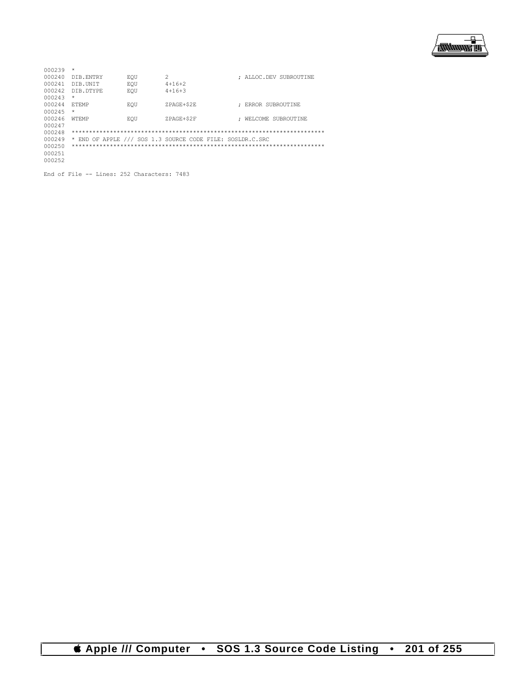

| 000239 | $\star$       |     |                                                           |                        |
|--------|---------------|-----|-----------------------------------------------------------|------------------------|
| 000240 | DIB. ENTRY    | EOU | 2                                                         | : ALLOC.DEV SUBROUTINE |
| 000241 | DIB.UNIT      | EOU | $4 + 16 + 2$                                              |                        |
| 000242 | DIB. DTYPE    | EOU | $4+16+3$                                                  |                        |
| 000243 | $\star$       |     |                                                           |                        |
| 000244 | <b>F.TEMP</b> | EOU | ZPAGE+\$2E                                                | ERROR SUBROUTINE       |
| 000245 | $\star$       |     |                                                           |                        |
| 000246 | <b>WTEMP</b>  | EOU | ZPAGE+\$2F                                                | WELCOME SUBROUTINE     |
| 000247 |               |     |                                                           |                        |
| 000248 |               |     |                                                           |                        |
| 000249 |               |     | * END OF APPLE /// SOS 1.3 SOURCE CODE FILE: SOSLDR.C.SRC |                        |
| 000250 |               |     |                                                           |                        |
| 000251 |               |     |                                                           |                        |
| 000252 |               |     |                                                           |                        |

End of File -- Lines: 252 Characters: 7483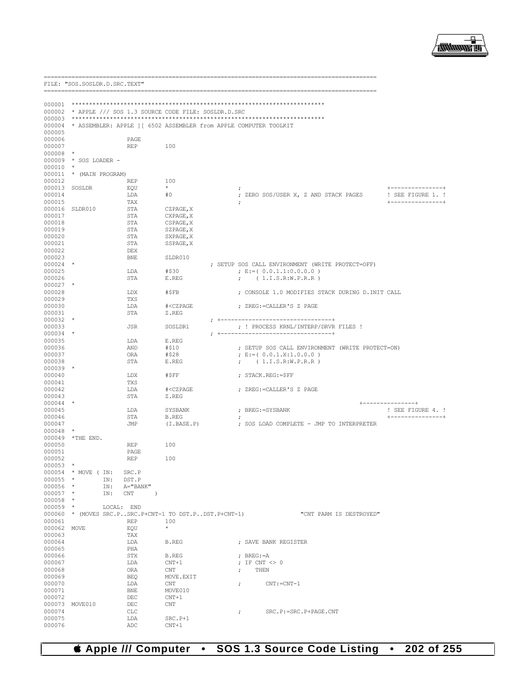

FILE: "SOS. SOSLDR. D. SRC. TEXT" 000002 \* APPLE /// SOS 1.3 SOURCE CODE FILE: SOSLDR.D.SRC 000004 \* ASSEMBLER: APPLE ] [ 6502 ASSEMBLER from APPLE COMPUTER TOOLKIT 000005 000006 **PAGE** 000007  $REP$ 100 000008  $\rightarrow$ 000009 \* SOS LOADER - $000010$  \* 000011 \* (MAIN PROGRAM) 000012 .<br>REP 100 000013 SOSLDR EQU 000014 ; ZERO SOS/USER X, Z AND STACK PAGES ! SEE FIGURE 1. !  $#0$ LDA 000015 TAX 000016 SLDR010 CZPAGE, X STA 000017 CXPAGE, X STA 000018 STA CSPAGE, X 000019 STA SZPAGE.X 000020 SXPAGE.X STA 000021 SSPAGE.X **STA** 000022 DEX 000023 SLDR010 **BNE** ; SETUP SOS CALL ENVIRONMENT (WRITE PROTECT=OFF)  $000024$  \*  $E := (0.0.1.1:0.0.0.0)$ T.DA  $#S30$ 000025 000026 STA E.REG ;  $(1.I.S.R.W.P.R.R)$  $000027$  \* ; CONSOLE 1.0 MODIFIES STACK DURING D. INIT CALL 000028 T.DX  $#SFB$ 000029 **TXS** 000030 T.DA  $\# <$ CZPAGE ; ZREG:=CALLER'S Z PAGE 000031 STA Z.REG  $000032$  \*  $; +$ 000033 **JSR** SOSLDR1 ; ! PROCESS KRNL/INTERP/DRVR FILES !  $000034$  \*  $; + - - - - - -$ --------------------------000035 LDA E.REG 000036 **AND**  $#S10$ ; SETUP SOS CALL ENVIRONMENT (WRITE PROTECT=ON) 000037 ORA #\$28 ;  $E := (0.0.1.X:1.0.0.0)$ 000038  $_{\footnotesize{\texttt{STA}}}$ ;  $(1.I.S.R.W.P.R.R)$  $\mathbb E$  .  $\mathsf{REG}$ 000039 \* 000040 LDX  $\verb|#SFF|$ ; STACK.REG: = \$FF 000041 TXS 000042 LDA #<CZPAGE ; ZREG:=CALLER'S Z PAGE 000043  $_{\footnotesize{\texttt{STA}}}$  $\mathbb Z$  . REG 000044 000045 LDA SYSBANK ; BREG: = SYSBANK ! SEE FIGURE 4. ! 000046 STA **B.REG**  $\cdot$  $(I.BASE.P)$ ; SOS LOAD COMPLETE - JMP TO INTERPRETER 000047 JMP 000048  $\Delta \phi$ 000049 \*THE END. 000050  $\ensuremath{\mathop{\mathrm{REP}}\nolimits}$ 100 000051 **PAGE** 100 000052 **REP**  $000053$  \*  $000054$  \* MOVE (IN: SRC.P IN: DST.P  $000055$  \*  $\star$ IN: A="BANK"<br>IN: CNT 000056 000057  $\rightarrow$  $000058$  \*  $\texttt{LOCAL: } \quad \texttt{END}$ 000059 000060 \* (MOVES SRC.P..SRC.P+CNT-1 TO DST.P..DST.P+CNT-1) "CNT PARM IS DESTROYED" 100 000061 **REP** 000062 MOVE EOU 000063 TAY 000064 LDA B.REG ; SAVE BANK REGISTER 000065  $\rm PHA$ 000066 **STX** B.REG ;  $BREG := A$ 000067 LDA  $CNT+1$ ; IF CNT  $\langle \rangle$  0 000068 ORA  $\ensuremath{\mathrm{CNT}}$  $\dot{ }$ , THEN 000069 **BEO** MOVE, EXTT 000070 LDA  $\ensuremath{\mathrm{CNT}}$  $CNT := CNT - 1$  $\mathcal{L}$ 000071  ${\tt BNE}$ MOVE010 000072  $\rm DEC$  $CNT+1$ 000073 MOVE010  $DEC$  $\ensuremath{\textup{CNT}}$ 000074  $CLC$ SRC.P:=SRC.P+PAGE.CNT  $\mathcal{F}$ 000075 LDA SRC.P+1

## **Computer** SOS 1.3 Source Code Listing  $\bullet$  202 of 255  $\bullet$

 $CNT+1$ 

ADC

000076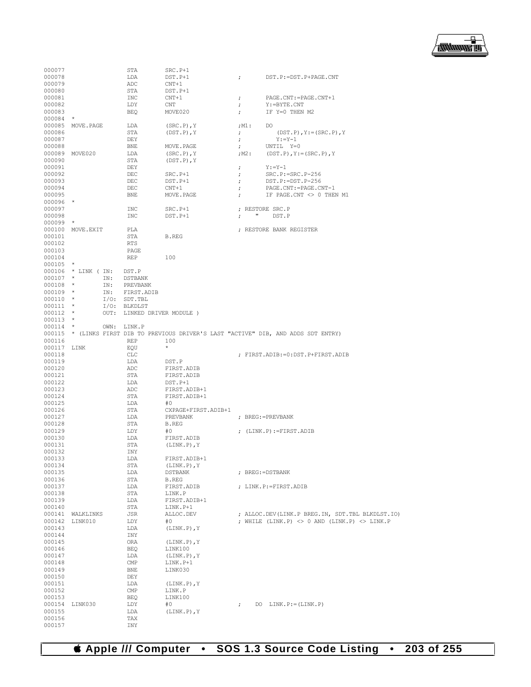

| 000077           |                     |     | STA                         | $SRC.P+1$           |                      |                                                                                       |
|------------------|---------------------|-----|-----------------------------|---------------------|----------------------|---------------------------------------------------------------------------------------|
| 000078           |                     |     | LDA                         | DST.P+1             | $\ddot{ }$           | DST.P:=DST.P+PAGE.CNT                                                                 |
| 000079           |                     |     | ADC                         | $CNT+1$             |                      |                                                                                       |
| 000080           |                     |     | STA                         | DST.P+1             |                      |                                                                                       |
|                  |                     |     |                             |                     |                      |                                                                                       |
| 000081           |                     |     | INC                         | $CNT+1$             | $\ddot{ }$           | PAGE.CNT: = PAGE.CNT+1                                                                |
| 000082           |                     |     | LDY                         | CNT                 | ÷                    | Y: = BYTE.CNT                                                                         |
| 000083           |                     |     | BEQ                         | MOVE020             | $\ddot{ }$           | IF Y=0 THEN M2                                                                        |
| 000084           | $\star$             |     |                             |                     |                      |                                                                                       |
|                  | 000085 MOVE.PAGE    |     | LDA                         | $(SRC.P)$ , Y       | ;M1:                 | DO                                                                                    |
| 000086           |                     |     | STA                         | $(DST.P)$ , $Y$     | $\ddot{ }$           | $(DST.P)$ , $Y := (SRC.P)$ , $Y$                                                      |
|                  |                     |     |                             |                     |                      |                                                                                       |
| 000087           |                     |     | DEY                         |                     | $\ddot{\phantom{0}}$ | $Y := Y - 1$                                                                          |
| 000088           |                     |     | <b>BNE</b>                  | MOVE.PAGE           | $\ddot{ }$           | UNTIL Y=0                                                                             |
|                  | 000089 MOVE020      |     | LDA                         | $(SRC.P)$ , $Y$     | ;M2 :                | $(DST.P)$ , $Y := (SRC.P)$ , $Y$                                                      |
| 000090           |                     |     | STA                         | $(DST.P)$ , $Y$     |                      |                                                                                       |
| 000091           |                     |     | DEY                         |                     | $\ddot{ }$           | $Y: =Y-1$                                                                             |
| 000092           |                     |     |                             |                     |                      | $SRC.P:=SRC.P-256$                                                                    |
|                  |                     |     | DEC                         | $SRC.P+1$           | $\ddot{\phantom{0}}$ |                                                                                       |
| 000093           |                     |     | DEC                         | DST.P+1             | $\ddot{ }$           | DST.P: = DST.P-256                                                                    |
| 000094           |                     |     | DEC                         | $CNT+1$             | $\ddot{ }$           | PAGE.CNT:=PAGE.CNT-1                                                                  |
| 000095           |                     |     | BNE                         | MOVE.PAGE           | $\ddot{ }$           | IF PAGE.CNT <> 0 THEN M1                                                              |
| $000096$ *       |                     |     |                             |                     |                      |                                                                                       |
| 000097           |                     |     | INC                         | SRC.P+1             |                      | ; RESTORE SRC.P                                                                       |
| 000098           |                     |     |                             |                     | $\mathbf{u}$         |                                                                                       |
|                  |                     |     | INC                         | $DST.P+1$           | $\ddot{ }$           | DST.P                                                                                 |
| $000099$ *       |                     |     |                             |                     |                      |                                                                                       |
|                  | 000100 MOVE.EXIT    |     | PLA                         |                     |                      | ; RESTORE BANK REGISTER                                                               |
| 000101           |                     |     | STA                         | B.REG               |                      |                                                                                       |
| 000102           |                     |     | <b>RTS</b>                  |                     |                      |                                                                                       |
| 000103           |                     |     | PAGE                        |                     |                      |                                                                                       |
|                  |                     |     |                             |                     |                      |                                                                                       |
| 000104           |                     |     | REP                         | 100                 |                      |                                                                                       |
| 000105           | $\star$             |     |                             |                     |                      |                                                                                       |
|                  | 000106 * LINK ( IN: |     | DST.P                       |                     |                      |                                                                                       |
| $000107$ *       |                     | IN: | DSTBANK                     |                     |                      |                                                                                       |
| $000108$ *       |                     | IN: | PREVBANK                    |                     |                      |                                                                                       |
| $000109$ *       |                     | IN: | FIRST.ADIB                  |                     |                      |                                                                                       |
|                  |                     |     |                             |                     |                      |                                                                                       |
| $000110$ *       |                     |     | $I/O:$ SDT.TBL              |                     |                      |                                                                                       |
| $000111$ *       |                     |     | I/O: BLKDLST                |                     |                      |                                                                                       |
| $000112$ *       |                     |     | OUT: LINKED DRIVER MODULE ) |                     |                      |                                                                                       |
| $000113$ *       |                     |     |                             |                     |                      |                                                                                       |
| $000114$ *       |                     |     | OWN: LINK.P                 |                     |                      |                                                                                       |
|                  |                     |     |                             |                     |                      | 000115 * (LINKS FIRST DIB TO PREVIOUS DRIVER'S LAST "ACTIVE" DIB, AND ADDS SDT ENTRY) |
|                  |                     |     |                             |                     |                      |                                                                                       |
|                  |                     |     |                             |                     |                      |                                                                                       |
| 000116           |                     |     | REP                         | 100                 |                      |                                                                                       |
| 000117           | LINK                |     | EQU                         | *                   |                      |                                                                                       |
| 000118           |                     |     | CLC                         |                     |                      | ; FIRST.ADIB:=0:DST.P+FIRST.ADIB                                                      |
| 000119           |                     |     | LDA                         | DST.P               |                      |                                                                                       |
|                  |                     |     |                             |                     |                      |                                                                                       |
| 000120           |                     |     | ADC                         | FIRST.ADIB          |                      |                                                                                       |
| 000121           |                     |     | STA                         | FIRST.ADIB          |                      |                                                                                       |
| 000122           |                     |     | LDA                         | DST.P+1             |                      |                                                                                       |
| 000123           |                     |     | ADC                         | FIRST.ADIB+1        |                      |                                                                                       |
| 000124           |                     |     | STA                         | FIRST.ADIB+1        |                      |                                                                                       |
| 000125           |                     |     | LDA                         | #0                  |                      |                                                                                       |
|                  |                     |     |                             |                     |                      |                                                                                       |
| 000126           |                     |     | STA                         | CXPAGE+FIRST.ADIB+1 |                      |                                                                                       |
| 000127           |                     |     | LDA                         | PREVBANK            |                      | ; BREG: = PREVBANK                                                                    |
| 000128           |                     |     | STA                         | B.REG               |                      |                                                                                       |
| 000129           |                     |     | LDY                         | #0                  |                      | ; $(LINK.P) := FIRST.ADIB$                                                            |
| 000130           |                     |     | LDA                         | FIRST. ADIB         |                      |                                                                                       |
| 000131           |                     |     | STA                         | $(LINK.P)$ , $Y$    |                      |                                                                                       |
| 000132           |                     |     | INY                         |                     |                      |                                                                                       |
|                  |                     |     |                             | FIRST.ADIB+1        |                      |                                                                                       |
| 000133           |                     |     | LDA                         |                     |                      |                                                                                       |
| 000134           |                     |     | STA                         | $(LINK.P)$ , $Y$    |                      |                                                                                       |
| 000135           |                     |     | LDA                         | DSTBANK             |                      | ; BREG: = DSTBANK                                                                     |
| 000136           |                     |     | STA                         | B.REG               |                      |                                                                                       |
| 000137           |                     |     | LDA                         | FIRST.ADIB          |                      | ; LINK.P:=FIRST.ADIB                                                                  |
| 000138           |                     |     | STA                         | LINK.P              |                      |                                                                                       |
|                  |                     |     |                             |                     |                      |                                                                                       |
| 000139           |                     |     | LDA                         | FIRST.ADIB+1        |                      |                                                                                       |
| 000140           |                     |     | STA                         | LINK.P+1            |                      |                                                                                       |
| 000141           | WALKLINKS           |     | JSR                         | ALLOC.DEV           |                      | ; ALLOC.DEV(LINK.P BREG.IN, SDT.TBL BLKDLST.IO)                                       |
| 000142           | LINK010             |     | LDY                         | #0                  |                      | ; WHILE (LINK.P) $\langle$ > 0 AND (LINK.P) $\langle$ > LINK.P                        |
| 000143           |                     |     | LDA                         | $(LINK.P)$ , $Y$    |                      |                                                                                       |
| 000144           |                     |     | INY                         |                     |                      |                                                                                       |
| 000145           |                     |     | ORA                         | $(LINK.P)$ , $Y$    |                      |                                                                                       |
|                  |                     |     |                             |                     |                      |                                                                                       |
| 000146           |                     |     | BEQ                         | LINK100             |                      |                                                                                       |
| 000147           |                     |     | LDA                         | $(LINK.P)$ , $Y$    |                      |                                                                                       |
| 000148           |                     |     | $\mathsf{CMP}$              | LINK.P+1            |                      |                                                                                       |
| 000149           |                     |     | BNE                         | LINK030             |                      |                                                                                       |
| 000150           |                     |     | DEY                         |                     |                      |                                                                                       |
| 000151           |                     |     | LDA                         | $(LINK.P)$ , Y      |                      |                                                                                       |
|                  |                     |     |                             |                     |                      |                                                                                       |
| 000152           |                     |     | CMP                         | LINK.P              |                      |                                                                                       |
| 000153           |                     |     | BEQ                         | LINK100             |                      |                                                                                       |
|                  | 000154 LINK030      |     | LDY                         | #0                  | $\ddot{ }$           | DO $LINK.P:=(LINK.P)$                                                                 |
| 000155           |                     |     | LDA                         | $(LINK.P)$ , $Y$    |                      |                                                                                       |
| 000156<br>000157 |                     |     | TAX<br>INY                  |                     |                      |                                                                                       |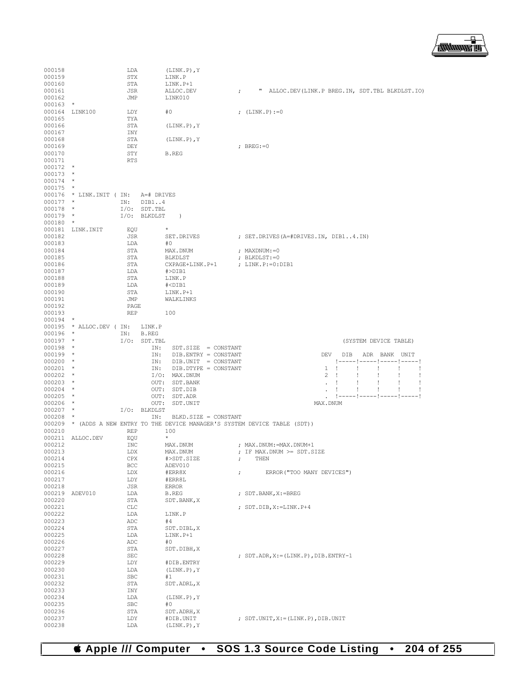

| 000158                   |                                      | LDA        | $(LINK.P)$ , $Y$                                                                                           |                                                                                                                         |
|--------------------------|--------------------------------------|------------|------------------------------------------------------------------------------------------------------------|-------------------------------------------------------------------------------------------------------------------------|
| 000159<br>000160         |                                      | STX<br>STA | LINK.P<br>LINK.P+1                                                                                         |                                                                                                                         |
| 000161                   |                                      | JSR        | ALLOC.DEV                                                                                                  | " ALLOC.DEV(LINK.P BREG.IN, SDT.TBL BLKDLST.IO)<br>$\ddot{ }$                                                           |
| 000162                   |                                      | JMP        | LINK010                                                                                                    |                                                                                                                         |
| $000163$ *               |                                      |            |                                                                                                            |                                                                                                                         |
|                          | 000164 LINK100                       | LDY        | #0                                                                                                         | ; $(LINK.P) := 0$                                                                                                       |
| 000165<br>000166         |                                      | TYA<br>STA | $(LINK.P)$ , $Y$                                                                                           |                                                                                                                         |
| 000167                   |                                      | INY        |                                                                                                            |                                                                                                                         |
| 000168                   |                                      | STA        | $(LINK.P)$ , $Y$                                                                                           |                                                                                                                         |
| 000169                   |                                      | DEY        |                                                                                                            | $;$ BREG:=0                                                                                                             |
| 000170                   |                                      | STY        | B.REG                                                                                                      |                                                                                                                         |
| 000171                   |                                      | <b>RTS</b> |                                                                                                            |                                                                                                                         |
| $000172$ *<br>$000173$ * |                                      |            |                                                                                                            |                                                                                                                         |
| $000174$ *               |                                      |            |                                                                                                            |                                                                                                                         |
| $000175$ *               |                                      |            |                                                                                                            |                                                                                                                         |
|                          | 000176 * LINK. INIT ( IN: A=# DRIVES |            |                                                                                                            |                                                                                                                         |
| $000177$ *               |                                      |            | IN: DIB14                                                                                                  |                                                                                                                         |
| $000178$ *               |                                      |            | $I/O$ : SDT.TBL                                                                                            |                                                                                                                         |
| $000179$ *<br>$000180$ * |                                      |            | I/O: BLKDLST<br>$\rightarrow$                                                                              |                                                                                                                         |
|                          | 000181 LINK. INIT                    | EOU        | $\star$                                                                                                    |                                                                                                                         |
| 000182                   |                                      | JSR        | SET.DRIVES                                                                                                 | ; SET. DRIVES (A=#DRIVES. IN, DIB14. IN)                                                                                |
| 000183                   |                                      | LDA        | #0                                                                                                         |                                                                                                                         |
| 000184                   |                                      | STA        | MAX.DNUM                                                                                                   | ; MAXDNUM:=0                                                                                                            |
| 000185                   |                                      | STA        | BLKDLST                                                                                                    | ; BLKDLST:=0                                                                                                            |
| 000186<br>000187         |                                      | STA        | CXPAGE+LINK.P+1                                                                                            | ; LINK.P:=0:DIB1                                                                                                        |
| 000188                   |                                      | LDA<br>STA | #>DIB1<br>LINK.P                                                                                           |                                                                                                                         |
| 000189                   |                                      | LDA        | $# <$ DIB1                                                                                                 |                                                                                                                         |
| 000190                   |                                      | STA        | LINK.P+1                                                                                                   |                                                                                                                         |
| 000191                   |                                      | JMP        | WALKLINKS                                                                                                  |                                                                                                                         |
| 000192                   |                                      | PAGE       |                                                                                                            |                                                                                                                         |
| 000193<br>$000194$ *     |                                      | REP        | 100                                                                                                        |                                                                                                                         |
|                          | 000195 * ALLOC.DEV ( IN: LINK.P      |            |                                                                                                            |                                                                                                                         |
| $000196$ *               |                                      |            | IN: B.REG                                                                                                  |                                                                                                                         |
|                          |                                      |            |                                                                                                            | (SYSTEM DEVICE TABLE)                                                                                                   |
| $000197$ *               |                                      |            | $I/O:$ SDT. TBL                                                                                            |                                                                                                                         |
| $000198$ *               |                                      |            | IN:<br>$SDT.SIZE = CONSTANT$                                                                               |                                                                                                                         |
| $000199$ *               |                                      |            | IN: DIB.ENTRY = CONSTANT                                                                                   | DEV<br>DIB ADR BANK UNIT                                                                                                |
| $000200$ *               |                                      |            | IN: DIB.UNIT = CONSTANT                                                                                    | !-----!-----!-----!-----!                                                                                               |
| $000201$ *               |                                      |            | IN: DIB. DTYPE = CONSTANT                                                                                  | $1 \quad !$<br>÷<br>÷<br>$\mathbf{I}$<br>$\mathbf{I}$                                                                   |
| $000202$ *<br>$000203$ * |                                      |            | I/O: MAX.DNUM<br>OUT: SDT. BANK                                                                            | $\overline{2}$<br>$\mathbf{I}$<br>÷<br>÷<br>÷<br>$\mathbf{I}$<br>Ţ<br>$\mathbf{I}$<br>$\mathbf{I}$<br>÷<br>$\mathbf{r}$ |
| $000204$ *               |                                      |            | OUT: SDT.DIB                                                                                               | $\mathbf{I}$<br>$\mathbf{I}$<br>÷<br>$\mathbf{I}$<br>$\mathbf{I}$                                                       |
| $000205$ *               |                                      |            | OUT: SDT.ADR                                                                                               |                                                                                                                         |
| $000206$ *               |                                      |            | OUT: SDT.UNIT                                                                                              | MAX. DNUM                                                                                                               |
| $000207$ *               |                                      |            | I/O: BLKDLST                                                                                               |                                                                                                                         |
| $000208$ *               |                                      |            | IN: BLKD. SIZE = CONSTANT<br>000209 * (ADDS A NEW ENTRY TO THE DEVICE MANAGER'S SYSTEM DEVICE TABLE (SDT)) |                                                                                                                         |
| 000210                   |                                      | REP        | 100                                                                                                        |                                                                                                                         |
|                          | 000211 ALLOC.DEV                     | EQU        | $\star$                                                                                                    |                                                                                                                         |
| 000212                   |                                      | INC        | MAX.DNUM                                                                                                   | ; MAX.DNUM:=MAX.DNUM+1                                                                                                  |
| 000213                   |                                      | LDX        | MAX.DNUM                                                                                                   | ; IF MAX.DNUM >= SDT.SIZE                                                                                               |
| 000214<br>000215         |                                      | CPX<br>BCC | #>SDT.SIZE<br>ADEV010                                                                                      | $\ddot{ }$<br>THEN                                                                                                      |
| 000216                   |                                      | LDX        | #ERR8X                                                                                                     | ERROR ("TOO MANY DEVICES")<br>$\ddot{ }$                                                                                |
| 000217                   |                                      | LDY        | #ERR8L                                                                                                     |                                                                                                                         |
| 000218                   |                                      | JSR        | <b>ERROR</b>                                                                                               |                                                                                                                         |
| 000219                   | ADEV010                              | LDA        | <b>B.REG</b>                                                                                               | ; SDT.BANK, X:=BREG                                                                                                     |
| 000220                   |                                      | STA        | SDT.BANK, X                                                                                                |                                                                                                                         |
| 000221                   |                                      | CLC        |                                                                                                            | ; SDT.DIB, X:=LINK.P+4                                                                                                  |
| 000222<br>000223         |                                      | LDA<br>ADC | LINK.P<br>#4                                                                                               |                                                                                                                         |
| 000224                   |                                      | STA        | SDT.DIBL, X                                                                                                |                                                                                                                         |
| 000225                   |                                      | LDA        | LINK.P+1                                                                                                   |                                                                                                                         |
| 000226                   |                                      | ADC        | #0                                                                                                         |                                                                                                                         |
| 000227                   |                                      | STA        | SDT.DIBH, X                                                                                                |                                                                                                                         |
| 000228<br>000229         |                                      | SEC<br>LDY | #DIB.ENTRY                                                                                                 | ; SDT.ADR, X:=(LINK.P), DIB.ENTRY-1                                                                                     |
| 000230                   |                                      | LDA        | $(LINK.P)$ , Y                                                                                             |                                                                                                                         |
| 000231                   |                                      | SBC        | #1                                                                                                         |                                                                                                                         |
| 000232                   |                                      | STA        | SDT.ADRL, X                                                                                                |                                                                                                                         |
| 000233                   |                                      | INY        |                                                                                                            |                                                                                                                         |
| 000234                   |                                      | LDA        | $(LINK.P)$ , $Y$                                                                                           |                                                                                                                         |
| 000235<br>000236         |                                      | SBC<br>STA | #0<br>SDT.ADRH, X                                                                                          |                                                                                                                         |
| 000237<br>000238         |                                      | LDY<br>LDA | #DIB.UNIT<br>$(LINK.P)$ , $Y$                                                                              | ; SDT. UNIT, X:= (LINK. P), DIB. UNIT                                                                                   |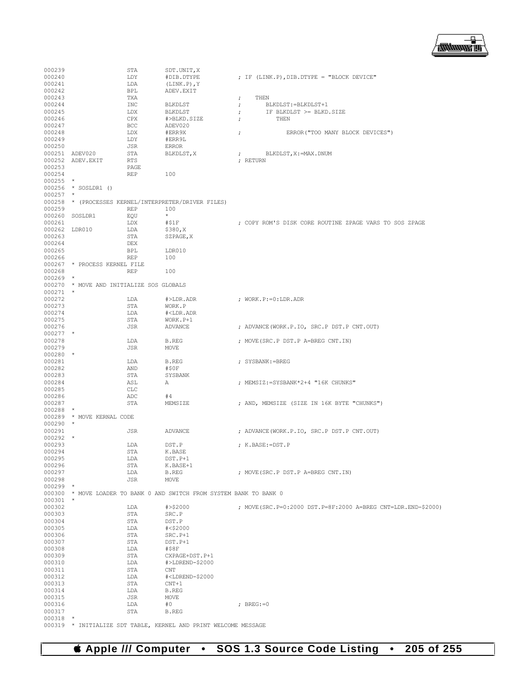

| 000239     |                                          | STA        | SDT.UNIT, X                                                          |                                                              |
|------------|------------------------------------------|------------|----------------------------------------------------------------------|--------------------------------------------------------------|
| 000240     |                                          | LDY        | #DIB.DTYPE                                                           | ; IF (LINK.P), DIB. DTYPE = "BLOCK DEVICE"                   |
| 000241     |                                          | LDA        | $(LINK.P)$ , $Y$                                                     |                                                              |
| 000242     |                                          | <b>BPL</b> | ADEV. EXIT                                                           |                                                              |
| 000243     |                                          | TXA        |                                                                      | THEN<br>$\ddot{ }$                                           |
| 000244     |                                          | <b>INC</b> | BLKDLST                                                              | BLKDLST: = BLKDLST+1<br>$\ddot{ }$                           |
| 000245     |                                          | LDX        | BLKDLST                                                              | IF BLKDLST >= BLKD.SIZE<br>$\ddot{ }$                        |
| 000246     |                                          | CPX        | #>BLKD.SIZE                                                          | THEN<br>$\ddot{ }$                                           |
| 000247     |                                          | <b>BCC</b> | ADEV020                                                              |                                                              |
| 000248     |                                          | LDX        | #ERR9X                                                               | ERROR ("TOO MANY BLOCK DEVICES")<br>$\ddot{ }$               |
| 000249     |                                          | LDY        | #ERR9L                                                               |                                                              |
| 000250     |                                          | JSR        | ERROR                                                                |                                                              |
|            | 000251 ADEV020                           | STA        | BLKDLST, X                                                           | BLKDLST, X: = MAX, DNUM<br>÷.                                |
|            | 000252 ADEV.EXIT                         | <b>RTS</b> |                                                                      | : RETURN                                                     |
| 000253     |                                          | PAGE       |                                                                      |                                                              |
| 000254     |                                          | REP        | 100                                                                  |                                                              |
| $000255$ * |                                          |            |                                                                      |                                                              |
|            | 000256 * SOSLDR1 ()                      |            |                                                                      |                                                              |
| $000257$ * |                                          |            |                                                                      |                                                              |
|            |                                          |            | 000258 * (PROCESSES KERNEL/INTERPRETER/DRIVER FILES)                 |                                                              |
| 000259     |                                          | <b>REP</b> | 100                                                                  |                                                              |
|            | 000260 SOSLDR1                           | EQU        | $\star$                                                              |                                                              |
| 000261     |                                          | LDX        | #S1F                                                                 | ; COPY ROM'S DISK CORE ROUTINE ZPAGE VARS TO SOS ZPAGE       |
|            | 000262 LDR010                            | LDA        | \$380, X                                                             |                                                              |
| 000263     |                                          | STA        | SZPAGE, X                                                            |                                                              |
| 000264     |                                          | DEX        |                                                                      |                                                              |
| 000265     |                                          | <b>BPL</b> | LDR010                                                               |                                                              |
| 000266     |                                          | REP        | 100                                                                  |                                                              |
|            | 000267 * PROCESS KERNEL FILE             |            |                                                                      |                                                              |
| 000268     |                                          | <b>REP</b> | 100                                                                  |                                                              |
| $000269$ * |                                          |            |                                                                      |                                                              |
|            | 000270 * MOVE AND INITIALIZE SOS GLOBALS |            |                                                                      |                                                              |
| $000271$ * |                                          |            |                                                                      |                                                              |
| 000272     |                                          | LDA        | $\#$ >LDR.ADR                                                        | ; WORK. $P := 0:LDR$ . ADR                                   |
| 000273     |                                          | STA        | WORK.P                                                               |                                                              |
| 000274     |                                          | LDA        | # <ldr.adr< td=""><td></td></ldr.adr<>                               |                                                              |
| 000275     |                                          | STA        | WORK.P+1                                                             |                                                              |
| 000276     |                                          | JSR        | ADVANCE                                                              | ; ADVANCE (WORK.P.IO, SRC.P DST.P CNT.OUT)                   |
| $000277$ * |                                          |            |                                                                      |                                                              |
| 000278     |                                          | LDA        | <b>B.REG</b>                                                         | ; MOVE (SRC.P DST.P A=BREG CNT.IN)                           |
| 000279     |                                          | JSR        | MOVE                                                                 |                                                              |
| $000280$ * |                                          |            |                                                                      |                                                              |
| 000281     |                                          | LDA        | <b>B.REG</b>                                                         | ; SYSBANK:=BREG                                              |
| 000282     |                                          | AND        | #\$0F                                                                |                                                              |
| 000283     |                                          | STA        | SYSBANK                                                              |                                                              |
| 000284     |                                          | ASL        | Α                                                                    | ; MEMSIZ: = SYSBANK * 2+4 "16K CHUNKS"                       |
| 000285     |                                          | CLC        |                                                                      |                                                              |
| 000286     |                                          | ADC        | #4                                                                   |                                                              |
| 000287     |                                          | STA        | MEMSIZE                                                              | ; AND, MEMSIZE (SIZE IN 16K BYTE "CHUNKS")                   |
| $000288$ * |                                          |            |                                                                      |                                                              |
|            | 000289 * MOVE KERNAL CODE                |            |                                                                      |                                                              |
| $000290$ * |                                          |            |                                                                      |                                                              |
| 000291     |                                          | <b>JSR</b> | <b>ADVANCE</b>                                                       | ; ADVANCE (WORK.P.IO, SRC.P DST.P CNT.OUT)                   |
| $000292$ * |                                          |            |                                                                      |                                                              |
| 000293     |                                          | LDA        | DST.P                                                                | ; K.BASE:=DST.P                                              |
| 000294     |                                          | STA        | K.BASE                                                               |                                                              |
| 000295     |                                          | LDA        | DST.P+1                                                              |                                                              |
| 000296     |                                          | STA        | K.BASE+1                                                             |                                                              |
| 000297     |                                          | LDA        | B.REG                                                                | ; MOVE (SRC.P DST.P A=BREG CNT.IN)                           |
| 000298     |                                          | JSR        | MOVE                                                                 |                                                              |
| $000299$ * |                                          |            |                                                                      |                                                              |
|            |                                          |            | 000300 * MOVE LOADER TO BANK 0 AND SWITCH FROM SYSTEM BANK TO BANK 0 |                                                              |
| 000301     | $\star$                                  |            |                                                                      |                                                              |
| 000302     |                                          | LDA        | # > \$2000                                                           | ; MOVE(SRC.P=0:2000 DST.P=8F:2000 A=BREG CNT=LDR.END-\$2000) |
| 000303     |                                          | STA        | SRC.P                                                                |                                                              |
| 000304     |                                          | STA        | DST.P                                                                |                                                              |
| 000305     |                                          | LDA        | #<\$2000                                                             |                                                              |
| 000306     |                                          | STA        | SRC.P+1                                                              |                                                              |
| 000307     |                                          | STA        | DST.P+1                                                              |                                                              |
| 000308     |                                          | LDA        | #\$8F                                                                |                                                              |
| 000309     |                                          | STA        | CXPAGE+DST.P+1                                                       |                                                              |
| 000310     |                                          | LDA        | #>LDREND-\$2000                                                      |                                                              |
| 000311     |                                          | STA        | CNT                                                                  |                                                              |
| 000312     |                                          | LDA        | # <ldrend-\$2000< td=""><td></td></ldrend-\$2000<>                   |                                                              |
| 000313     |                                          | STA        | $CNT+1$                                                              |                                                              |
| 000314     |                                          | LDA        | B.REG                                                                |                                                              |
| 000315     |                                          | JSR        | MOVE                                                                 |                                                              |
| 000316     |                                          | LDA        | #0                                                                   | ; BREG:= $0$                                                 |
| 000317     |                                          | STA        | B.REG                                                                |                                                              |
| 000318     | $\star$                                  |            |                                                                      |                                                              |
|            |                                          |            | 000319 * INITIALIZE SDT TABLE, KERNEL AND PRINT WELCOME MESSAGE      |                                                              |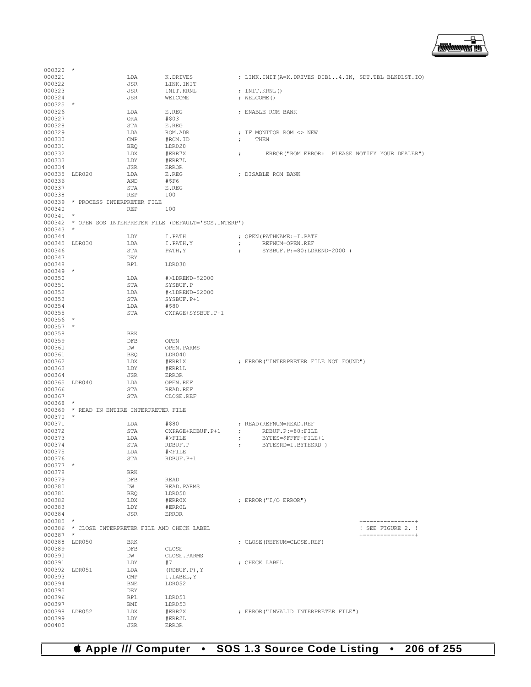

| 000321<br>000322        |                                                 | LDA<br>JSR   | K.DRIVES<br>LINK. INIT                                    | ; LINK. INIT (A=K. DRIVES DIB14. IN, SDT. TBL BLKDLST. IO)             |
|-------------------------|-------------------------------------------------|--------------|-----------------------------------------------------------|------------------------------------------------------------------------|
| 000323                  |                                                 | JSR          | INIT.KRNL                                                 | ; INIT.KRNL()                                                          |
| 000324                  |                                                 | JSR          | WELCOME                                                   | ; WELCOME ()                                                           |
| $000325$ *              |                                                 |              |                                                           |                                                                        |
| 000326                  |                                                 | LDA          | E.REG                                                     | ; ENABLE ROM BANK                                                      |
| 000327<br>000328        |                                                 | ORA<br>STA   | #\$03<br>E.REG                                            |                                                                        |
| 000329                  |                                                 | LDA          | ROM.ADR                                                   | ; IF MONITOR ROM <> NEW                                                |
| 000330                  |                                                 | CMP          | #ROM.ID                                                   | THEN<br>$\ddot{ }$                                                     |
| 000331                  |                                                 | BEQ          | LDR020                                                    |                                                                        |
| 000332                  |                                                 | LDX          | #ERR7X                                                    | ERROR ("ROM ERROR: PLEASE NOTIFY YOUR DEALER")<br>$\ddot{ }$           |
| 000333<br>000334        |                                                 | LDY<br>JSR   | #ERR7L<br>ERROR                                           |                                                                        |
| 000335 LDR020           |                                                 | LDA          | E.REG                                                     | ; DISABLE ROM BANK                                                     |
| 000336                  |                                                 | AND          | #\$F6                                                     |                                                                        |
| 000337                  |                                                 | STA          | E.REG                                                     |                                                                        |
| 000338                  | 000339 * PROCESS INTERPRETER FILE               | REP          | 100                                                       |                                                                        |
| 000340                  |                                                 | 100<br>REP   |                                                           |                                                                        |
| $000341$ *              |                                                 |              |                                                           |                                                                        |
|                         |                                                 |              | 000342 * OPEN SOS INTERPRETER FILE (DEFAULT='SOS.INTERP') |                                                                        |
| $000343$ *              |                                                 |              |                                                           |                                                                        |
| 000344<br>000345 LDR030 |                                                 | LDY<br>LDA   | I.PATH<br>I.PATH, Y                                       | ; OPEN (PATHNAME: = I. PATH<br>$\mathcal{F}$<br>REFNUM=OPEN.REF        |
| 000346                  |                                                 | STA          | PATH, Y                                                   | SYSBUF.P:=80:LDREND-2000)<br>$\ddot{i}$                                |
| 000347                  |                                                 | DEY          |                                                           |                                                                        |
| 000348                  |                                                 | BPL          | LDR030                                                    |                                                                        |
| $000349$ *              |                                                 |              |                                                           |                                                                        |
| 000350<br>000351        |                                                 | LDA<br>STA   | #>LDREND-\$2000<br>SYSBUF.P                               |                                                                        |
| 000352                  |                                                 | LDA          | # <ldrend-\$2000< td=""><td></td></ldrend-\$2000<>        |                                                                        |
| 000353                  |                                                 | STA          | SYSBUF.P+1                                                |                                                                        |
| 000354                  |                                                 | LDA          | #\$80                                                     |                                                                        |
| 000355<br>$000356$ *    |                                                 | STA          | CXPAGE+SYSBUF.P+1                                         |                                                                        |
| $000357$ *              |                                                 |              |                                                           |                                                                        |
| 000358                  |                                                 | <b>BRK</b>   |                                                           |                                                                        |
| 000359                  |                                                 | DFB          | OPEN                                                      |                                                                        |
| 000360                  |                                                 | DW           | OPEN. PARMS                                               |                                                                        |
| 000361<br>000362        |                                                 | BEQ<br>LDX   | LDR040<br>#ERR1X                                          | ; ERROR ("INTERPRETER FILE NOT FOUND")                                 |
| 000363                  |                                                 | LDY          | #ERR1L                                                    |                                                                        |
| 000364                  |                                                 | JSR          | <b>ERROR</b>                                              |                                                                        |
| 000365 LDR040           |                                                 | LDA          | OPEN.REF                                                  |                                                                        |
| 000366                  |                                                 | STA          | READ.REF                                                  |                                                                        |
| 000367<br>$000368$ *    |                                                 | STA          | CLOSE.REF                                                 |                                                                        |
|                         | 000369 * READ IN ENTIRE INTERPRETER FILE        |              |                                                           |                                                                        |
| $000370$ *              |                                                 |              |                                                           |                                                                        |
| 000371                  |                                                 | LDA          | #\$80                                                     | ; READ (REFNUM=READ.REF                                                |
| 000372<br>000373        |                                                 | STA<br>LDA   | CXPAGE+RDBUF.P+1<br>#>FILE                                | $\mathcal{L}$<br>RDBUF.P:=80:FILE<br>BYTES=\$FFFF-FILE+1<br>$\ddot{ }$ |
| 000374                  |                                                 | STA          | RDBUF.P                                                   | BYTESRD=I.BYTESRD)<br>$\ddot{ }$                                       |
| 000375                  |                                                 | LDA          | $\# { <\hspace{-1.5pt}{\rm FILE}}$                        |                                                                        |
| 000376                  |                                                 | STA          | RDBUF.P+1                                                 |                                                                        |
| $000377$ *<br>000378    |                                                 | BRK          |                                                           |                                                                        |
| 000379                  |                                                 | DFB          | <b>READ</b>                                               |                                                                        |
| 000380                  |                                                 | DW           | READ. PARMS                                               |                                                                        |
| 000381                  |                                                 | BEQ          | LDR050                                                    |                                                                        |
| 000382                  |                                                 | LDX          | #ERROX                                                    | ; ERROR ("I/O ERROR")                                                  |
| 000383<br>000384        |                                                 | LDY<br>JSR   | #ERROL<br><b>ERROR</b>                                    |                                                                        |
| 000385 *                |                                                 |              |                                                           | +---------------+                                                      |
|                         | 000386 * CLOSE INTERPRETER FILE AND CHECK LABEL |              |                                                           | ! SEE FIGURE 2. !                                                      |
| $000387$ *              |                                                 |              |                                                           | +---------------+                                                      |
|                         | 000388 LDR050                                   | BRK          |                                                           | ; CLOSE (REFNUM=CLOSE, REF)                                            |
| 000389<br>000390        |                                                 | DFB<br>DW    | CLOSE<br>CLOSE. PARMS                                     |                                                                        |
| 000391                  |                                                 | LDY          | #7                                                        | ; CHECK LABEL                                                          |
| 000392 LDR051           |                                                 | LDA          | $(RDBUF.P)$ , Y                                           |                                                                        |
| 000393                  |                                                 | $\text{CMP}$ | I.LABEL, Y                                                |                                                                        |
| 000394<br>000395        |                                                 | BNE<br>DEY   | LDR052                                                    |                                                                        |
| 000396                  |                                                 | BPL          | LDR051                                                    |                                                                        |
| 000397                  |                                                 | BMI          | LDR053                                                    |                                                                        |
| 000398 LDR052           |                                                 | LDX          | #ERR2X                                                    | ; ERROR ("INVALID INTERPRETER FILE")                                   |
| 000399<br>000400        |                                                 | LDY          | #ERR2L                                                    |                                                                        |
|                         |                                                 | JSR          | <b>ERROR</b>                                              |                                                                        |

000320 \*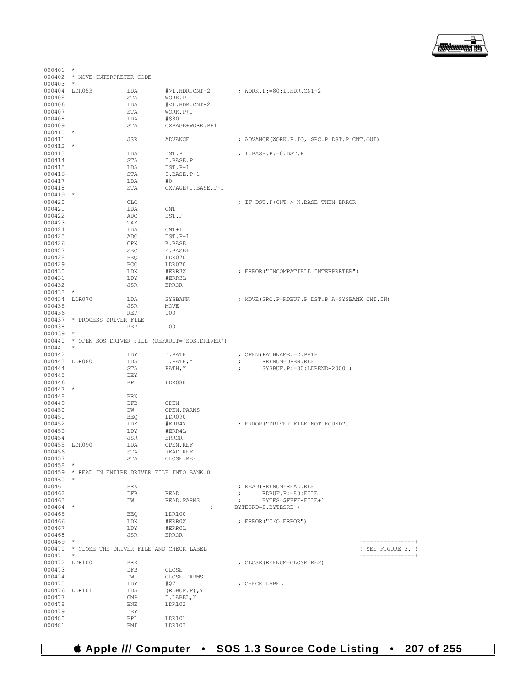

|               | 000402 * MOVE INTERPRETER CODE                  |            |                                                         |                                                     |                               |
|---------------|-------------------------------------------------|------------|---------------------------------------------------------|-----------------------------------------------------|-------------------------------|
| $000403$ *    |                                                 |            |                                                         |                                                     |                               |
| 000404 LDR053 |                                                 | LDA        | #>I.HDR.CNT-2                                           | ; WORK.P:=80:I.HDR.CNT-2                            |                               |
| 000405        |                                                 | STA        | WORK.P                                                  |                                                     |                               |
| 000406        |                                                 | LDA        | # <i.hdr.cnt-2< td=""><td></td><td></td></i.hdr.cnt-2<> |                                                     |                               |
| 000407        |                                                 | STA        | WORK.P+1                                                |                                                     |                               |
| 000408        |                                                 | LDA        | #\$80                                                   |                                                     |                               |
| 000409        |                                                 | STA        | CXPAGE+WORK.P+1                                         |                                                     |                               |
| $000410$ *    |                                                 |            |                                                         |                                                     |                               |
| 000411        |                                                 | JSR        | ADVANCE                                                 | ; ADVANCE(WORK.P.IO, SRC.P DST.P CNT.OUT)           |                               |
| $000412$ *    |                                                 |            |                                                         |                                                     |                               |
| 000413        |                                                 | LDA        | DST.P                                                   | ; I.BASE.P:=0:DST.P                                 |                               |
| 000414        |                                                 | STA        | I.BASE.P                                                |                                                     |                               |
| 000415        |                                                 | LDA        | DST.P+1                                                 |                                                     |                               |
| 000416        |                                                 | STA        | I.BASE.P+1                                              |                                                     |                               |
| 000417        |                                                 |            | #0                                                      |                                                     |                               |
|               |                                                 | LDA        |                                                         |                                                     |                               |
| 000418        |                                                 | STA        | CXPAGE+I.BASE.P+1                                       |                                                     |                               |
| $000419$ *    |                                                 |            |                                                         |                                                     |                               |
| 000420        |                                                 | CLC        |                                                         | ; IF DST. P+CNT > K. BASE THEN ERROR                |                               |
| 000421        |                                                 | LDA        | CNT                                                     |                                                     |                               |
| 000422        |                                                 | ADC        | DST.P                                                   |                                                     |                               |
| 000423        |                                                 | TAX        |                                                         |                                                     |                               |
| 000424        |                                                 | LDA        | $CNT+1$                                                 |                                                     |                               |
| 000425        |                                                 | ADC        | DST.P+1                                                 |                                                     |                               |
| 000426        |                                                 | CPX        | K.BASE                                                  |                                                     |                               |
| 000427        |                                                 | SBC        | K.BASE+1                                                |                                                     |                               |
| 000428        |                                                 | BEQ        | LDR070                                                  |                                                     |                               |
| 000429        |                                                 | BCC        | LDR070                                                  |                                                     |                               |
| 000430        |                                                 | LDX        | #ERR3X                                                  | ; ERROR ("INCOMPATIBLE INTERPRETER")                |                               |
| 000431        |                                                 | LDY        | #ERR3L                                                  |                                                     |                               |
| 000432        |                                                 | JSR        | <b>ERROR</b>                                            |                                                     |                               |
| $000433$ *    |                                                 |            |                                                         |                                                     |                               |
| 000434 LDR070 |                                                 | LDA        | SYSBANK                                                 | ; MOVE (SRC. P=RDBUF. P DST. P A=SYSBANK CNT. IN)   |                               |
| 000435        |                                                 | JSR        | MOVE                                                    |                                                     |                               |
| 000436        |                                                 | <b>REP</b> | 100                                                     |                                                     |                               |
|               | 000437 * PROCESS DRIVER FILE                    |            |                                                         |                                                     |                               |
| 000438        |                                                 | REP        | 100                                                     |                                                     |                               |
| 000439        | $\star$                                         |            |                                                         |                                                     |                               |
|               |                                                 |            | 000440 * OPEN SOS DRIVER FILE (DEFAULT='SOS.DRIVER')    |                                                     |                               |
| $000441$ *    |                                                 |            |                                                         |                                                     |                               |
| 000442        |                                                 | LDY        | D.PATH                                                  | ; OPEN (PATHNAME: = D. PATH                         |                               |
|               |                                                 |            |                                                         |                                                     |                               |
| 000443 LDR080 |                                                 | LDA        | D.PATH, Y                                               | REFNUM=OPEN.REF<br>$\ddot{ }$                       |                               |
| 000444        |                                                 | STA        | PATH, Y                                                 | $SYSBUF.P:=80:LDREND-2000)$<br>$\ddot{\phantom{0}}$ |                               |
| 000445        |                                                 | DEY        |                                                         |                                                     |                               |
| 000446        |                                                 | BPL        | LDR080                                                  |                                                     |                               |
| $000447$ *    |                                                 |            |                                                         |                                                     |                               |
| 000448        |                                                 | BRK        |                                                         |                                                     |                               |
| 000449        |                                                 | DFB        | OPEN                                                    |                                                     |                               |
| 000450        |                                                 | DW         | OPEN.PARMS                                              |                                                     |                               |
| 000451        |                                                 | BEQ        | LDR090                                                  |                                                     |                               |
| 000452        |                                                 | LDX        | #ERR4X                                                  | ; ERROR ("DRIVER FILE NOT FOUND")                   |                               |
| 000453        |                                                 | LDY        | #ERR4L                                                  |                                                     |                               |
| 000454        |                                                 | JSR        | ERROR                                                   |                                                     |                               |
| 000455 LDR090 |                                                 | LDA        | OPEN.REF                                                |                                                     |                               |
| 000456        |                                                 | STA        | READ.REF                                                |                                                     |                               |
| 000457        |                                                 | STA        | CLOSE.REF                                               |                                                     |                               |
| $000458$ *    |                                                 |            |                                                         |                                                     |                               |
|               | 000459 * READ IN ENTIRE DRIVER FILE INTO BANK 0 |            |                                                         |                                                     |                               |
| $000460$ *    |                                                 |            |                                                         |                                                     |                               |
| 000461        |                                                 | BRK        |                                                         | ; READ (REFNUM=READ.REF                             |                               |
| 000462        |                                                 | DFB        | READ                                                    | $\mathcal{F}$<br>RDBUF.P: = 80: FILE                |                               |
| 000463        |                                                 | DW         | READ.PARMS                                              | BYTES=\$FFFF-FILE+1<br>$\ddot{\phantom{0}}$         |                               |
| 000464 *      |                                                 |            | $\ddot{ }$                                              | BYTESRD=D.BYTESRD )                                 |                               |
| 000465        |                                                 | BEQ        | LDR100                                                  |                                                     |                               |
| 000466        |                                                 | LDX        | #ERROX                                                  | ; ERROR("I/O ERROR")                                |                               |
|               |                                                 |            |                                                         |                                                     |                               |
| 000467        |                                                 | LDY        | #ERROL                                                  |                                                     |                               |
| 000468        |                                                 | JSR        | ERROR                                                   |                                                     |                               |
| $000469$ *    |                                                 |            |                                                         |                                                     | $+ - - - - - - - - - - - - +$ |
|               | 000470 * CLOSE THE DRIVER FILE AND CHECK LABEL  |            |                                                         |                                                     | ! SEE FIGURE 3. !             |
| $000471$ *    |                                                 |            |                                                         |                                                     | +---------------+             |
| 000472 LDR100 |                                                 | BRK        |                                                         | ; CLOSE (REFNUM=CLOSE.REF)                          |                               |
| 000473        |                                                 | DFB        | CLOSE                                                   |                                                     |                               |
| 000474        |                                                 | DM         | CLOSE.PARMS                                             |                                                     |                               |
| 000475        |                                                 | LDY        | #\$7                                                    | ; CHECK LABEL                                       |                               |
| 000476 LDR101 |                                                 | LDA        | (RDBUF.P), Y                                            |                                                     |                               |
| 000477        |                                                 | CMP        | D.LABEL, Y                                              |                                                     |                               |
| 000478        |                                                 | BNE        | LDR102                                                  |                                                     |                               |
| 000479        |                                                 | DEY        |                                                         |                                                     |                               |
| 000480        |                                                 | BPL        | LDR101                                                  |                                                     |                               |
|               |                                                 | BMI        | LDR103                                                  |                                                     |                               |

 $000401$  \*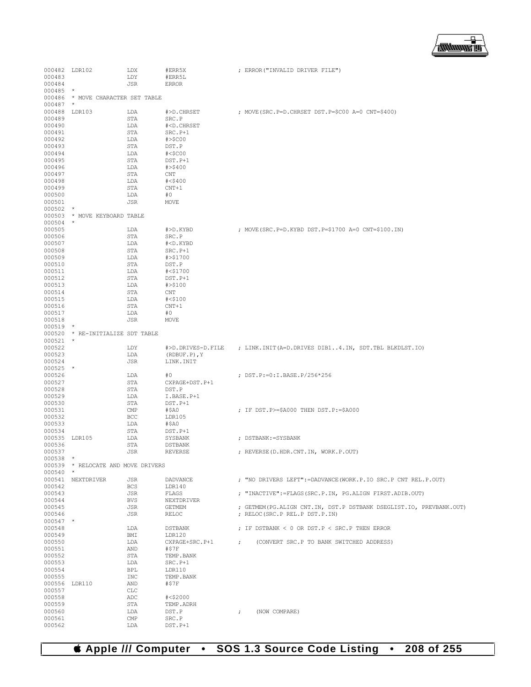▕<del>▓▓▓▓</del>▊

| 000482           | LDR102                             | <b>LDX</b> | #ERR5X                                            |            | ; ERROR("INVALID DRIVER FILE")                                      |
|------------------|------------------------------------|------------|---------------------------------------------------|------------|---------------------------------------------------------------------|
|                  |                                    |            |                                                   |            |                                                                     |
| 000483           |                                    | LDY        | #ERR5L                                            |            |                                                                     |
| 000484           |                                    | <b>JSR</b> | <b>ERROR</b>                                      |            |                                                                     |
| 000485           | $^\star$                           |            |                                                   |            |                                                                     |
| 000486           | * MOVE CHARACTER SET TABLE         |            |                                                   |            |                                                                     |
|                  |                                    |            |                                                   |            |                                                                     |
| 000487           | $^{\star}$                         |            |                                                   |            |                                                                     |
| 000488           | LDR103                             | LDA        | #>D.CHRSET                                        |            | ; MOVE(SRC.P=D.CHRSET DST.P=\$C00 A=0 CNT=\$400)                    |
| 000489           |                                    | STA        | SRC.P                                             |            |                                                                     |
| 000490           |                                    | LDA        | # <d.chrset< td=""><td></td><td></td></d.chrset<> |            |                                                                     |
|                  |                                    |            |                                                   |            |                                                                     |
| 000491           |                                    | STA        | $SRC.P+1$                                         |            |                                                                     |
| 000492           |                                    | LDA        | # > \$COO                                         |            |                                                                     |
| 000493           |                                    | STA        | DST.P                                             |            |                                                                     |
| 000494           |                                    | LDA        | $#<$ \$C00                                        |            |                                                                     |
|                  |                                    |            |                                                   |            |                                                                     |
| 000495           |                                    | <b>STA</b> | DST.P+1                                           |            |                                                                     |
| 000496           |                                    | LDA        | # > \$400                                         |            |                                                                     |
| 000497           |                                    | STA        | CNT                                               |            |                                                                     |
| 000498           |                                    | LDA        | # < \$400                                         |            |                                                                     |
|                  |                                    |            |                                                   |            |                                                                     |
| 000499           |                                    | STA        | $CNT+1$                                           |            |                                                                     |
| 000500           |                                    | LDA        | #0                                                |            |                                                                     |
| 000501           |                                    | JSR        | MOVE                                              |            |                                                                     |
| 000502           | $^\star$                           |            |                                                   |            |                                                                     |
|                  |                                    |            |                                                   |            |                                                                     |
| 000503           | * MOVE KEYBOARD TABLE              |            |                                                   |            |                                                                     |
| 000504           | $\star$                            |            |                                                   |            |                                                                     |
| 000505           |                                    | LDA        | #>D.KYBD                                          |            | ; MOVE(SRC.P=D.KYBD DST.P=\$1700 A=0 CNT=\$100.IN)                  |
|                  |                                    |            |                                                   |            |                                                                     |
| 000506           |                                    | STA        | SRC.P                                             |            |                                                                     |
| 000507           |                                    | LDA        | # <d.kybd< td=""><td></td><td></td></d.kybd<>     |            |                                                                     |
| 000508           |                                    | STA        | SRC.P+1                                           |            |                                                                     |
| 000509           |                                    | LDA        | #>\$1700                                          |            |                                                                     |
|                  |                                    |            |                                                   |            |                                                                     |
| 000510           |                                    | STA        | DST.P                                             |            |                                                                     |
| 000511           |                                    | LDA        | #<\$1700                                          |            |                                                                     |
| 000512           |                                    | STA        | DST.P+1                                           |            |                                                                     |
| 000513           |                                    | LDA        | # > \$100                                         |            |                                                                     |
|                  |                                    |            |                                                   |            |                                                                     |
| 000514           |                                    | STA        | CNT                                               |            |                                                                     |
| 000515           |                                    | LDA        | # < \$100                                         |            |                                                                     |
| 000516           |                                    | <b>STA</b> | $CNT+1$                                           |            |                                                                     |
| 000517           |                                    | LDA        | #0                                                |            |                                                                     |
|                  |                                    |            |                                                   |            |                                                                     |
| 000518           |                                    | JSR        | MOVE                                              |            |                                                                     |
| 000519           | $\star$                            |            |                                                   |            |                                                                     |
| 000520           | * RE-INITIALIZE SDT TABLE          |            |                                                   |            |                                                                     |
| 000521           | $\star$                            |            |                                                   |            |                                                                     |
|                  |                                    |            |                                                   |            |                                                                     |
| 000522           |                                    | LDY        | #>D.DRIVES-D.FILE                                 |            | ; LINK.INIT(A=D.DRIVES DIB14.IN, SDT.TBL BLKDLST.IO)                |
| 000523           |                                    | LDA        | $(RDBUF.P)$ , Y                                   |            |                                                                     |
| 000524           |                                    | JSR        | LINK.INIT                                         |            |                                                                     |
| 000525           | $\star$                            |            |                                                   |            |                                                                     |
|                  |                                    |            |                                                   |            |                                                                     |
| 000526           |                                    | LDA        | #0                                                |            | ; DST.P:=0:I.BASE.P/256*256                                         |
| 000527           |                                    | STA        | CXPAGE+DST.P+1                                    |            |                                                                     |
| 000528           |                                    | <b>STA</b> | DST.P                                             |            |                                                                     |
|                  |                                    |            |                                                   |            |                                                                     |
| 000529           |                                    | LDA        | I.BASE.P+1                                        |            |                                                                     |
| 000530           |                                    | STA        | DST.P+1                                           |            |                                                                     |
| 000531           |                                    | CMP        | #\$A0                                             |            | ; IF DST. P>=\$A000 THEN DST. P:=\$A000                             |
| 000532           |                                    | BCC        | LDR105                                            |            |                                                                     |
|                  |                                    |            |                                                   |            |                                                                     |
| 000533           |                                    | LDA        | #\$A0                                             |            |                                                                     |
| 000534           |                                    | STA        | DST.P+1                                           |            |                                                                     |
| 000535           | LDR105                             | LDA        | SYSBANK                                           |            | ; DSTBANK: = SYSBANK                                                |
| 000536           |                                    | STA        | <b>DSTBANK</b>                                    |            |                                                                     |
|                  |                                    |            |                                                   |            |                                                                     |
| 000537           |                                    | JSR        | <b>REVERSE</b>                                    |            | ; REVERSE (D.HDR.CNT.IN, WORK.P.OUT)                                |
| 000538           | $\star$                            |            |                                                   |            |                                                                     |
|                  | 000539 * RELOCATE AND MOVE DRIVERS |            |                                                   |            |                                                                     |
| $000540$ *       |                                    |            |                                                   |            |                                                                     |
|                  |                                    |            |                                                   |            |                                                                     |
|                  | 000541 NEXTDRIVER                  | JSR        | DADVANCE                                          |            | ; "NO DRIVERS LEFT":=DADVANCE(WORK.P.IO SRC.P CNT REL.P.OUT)        |
| 000542           |                                    | <b>BCS</b> | LDR140                                            |            |                                                                     |
| 000543           |                                    | JSR        | FLAGS                                             |            | ; "INACTIVE":=FLAGS(SRC.P.IN, PG.ALIGN FIRST.ADIB.OUT)              |
| 000544           |                                    | <b>BVS</b> | NEXTDRIVER                                        |            |                                                                     |
|                  |                                    |            |                                                   |            |                                                                     |
| 000545           |                                    | JSR        | GETMEM                                            |            | ; GETMEM (PG.ALIGN CNT.IN, DST.P DSTBANK DSEGLIST.IO, PREVBANK.OUT) |
| 000546           |                                    | JSR        | RELOC                                             |            | ; RELOC (SRC.P REL.P DST.P.IN)                                      |
| 000547 *         |                                    |            |                                                   |            |                                                                     |
| 000548           |                                    | LDA        |                                                   |            | ; IF DSTBANK < 0 OR DST. P < SRC. P THEN ERROR                      |
|                  |                                    |            | DSTBANK                                           |            |                                                                     |
| 000549           |                                    | BMI        | LDR120                                            |            |                                                                     |
| 000550           |                                    | LDA        | CXPAGE+SRC.P+1                                    | $\ddot{r}$ | (CONVERT SRC.P TO BANK SWITCHED ADDRESS)                            |
| 000551           |                                    | AND        | #\$7F                                             |            |                                                                     |
|                  |                                    |            |                                                   |            |                                                                     |
| 000552           |                                    | STA        | TEMP.BANK                                         |            |                                                                     |
| 000553           |                                    | LDA        | SRC.P+1                                           |            |                                                                     |
| 000554           |                                    | BPL        | LDR110                                            |            |                                                                     |
| 000555           |                                    | INC        | TEMP. BANK                                        |            |                                                                     |
|                  |                                    |            |                                                   |            |                                                                     |
| 000556 LDR110    |                                    | AND        | #\$7F                                             |            |                                                                     |
| 000557           |                                    | CLC        |                                                   |            |                                                                     |
| 000558           |                                    | ADC        | #<\$2000                                          |            |                                                                     |
| 000559           |                                    | STA        | TEMP.ADRH                                         |            |                                                                     |
|                  |                                    |            |                                                   |            |                                                                     |
| 000560           |                                    | LDA        | DST.P                                             | $\ddot{ }$ | (NOW COMPARE)                                                       |
|                  |                                    |            |                                                   |            |                                                                     |
| 000561<br>000562 |                                    | CMP        | SRC.P<br>$DST.P+1$                                |            |                                                                     |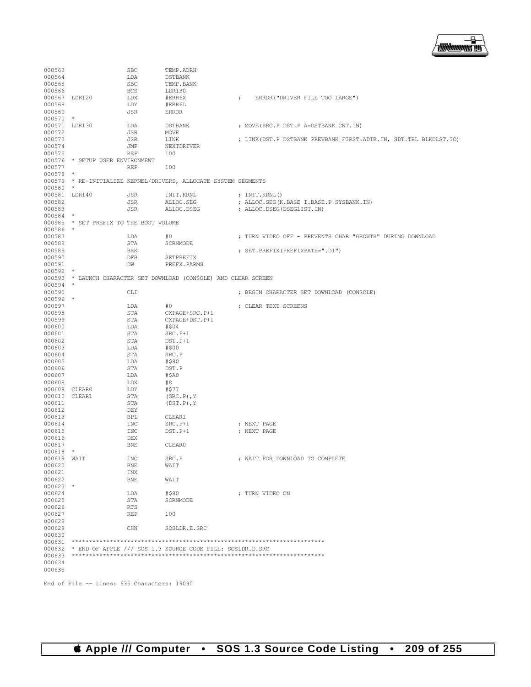

| <b>DSTBANK</b><br>000565<br><b>SBC</b><br>TEMP.BANK<br><b>BCS</b><br>000566<br>LDR130<br>000567 LDR120<br>LDX<br>#ERR6X<br>ERROR ("DRIVER FILE TOO LARGE")<br>$\ddot{ }$<br>000568<br>LDY<br>#ERR6L<br>000569<br>JSR<br><b>ERROR</b><br>$000570$ *<br>000571 LDR130<br>LDA<br>; MOVE (SRC.P DST.P A=DSTBANK CNT.IN)<br>DSTBANK<br>000572<br>JSR<br>MOVE<br>000573<br>JSR<br>LINK<br>; LINK (DST.P DSTBANK PREVBANK FIRST.ADIB.IN, SDT.TBL BLKDLST.IO)<br>000574<br>JMP<br>NEXTDRIVER<br>000575<br><b>REP</b><br>100<br>000576 * SETUP USER ENVIRONMENT<br>000577<br><b>REP</b><br>100<br>$000578$ *<br>000579 * RE-INITIALIZE KERNEL/DRIVERS, ALLOCATE SYSTEM SEGMENTS<br>$000580$ *<br>000581 LDR140<br>JSR<br>INIT.KRNL<br>; $INT.KRNL()$<br>000582<br>JSR<br>ALLOC.SEG<br>; ALLOC. SEG (K. BASE I. BASE. P SYSBANK. IN)<br>000583<br>JSR<br>ALLOC.DSEG<br>; ALLOC.DSEG(DSEGLIST.IN)<br>$000584$ *<br>000585 * SET PREFIX TO THE BOOT VOLUME<br>000586 *<br>000587<br>#0<br>LDA<br>000588<br>STA<br>SCRNMODE<br>000589<br><b>BRK</b><br>; SET. PREFIX (PREFIXPATH=".D1")<br>000590<br>DFB<br>SETPREFIX<br>000591<br>DW<br>PREFX.PARMS<br>$000592$ *<br>000593 * LAUNCH CHARACTER SET DOWNLOAD (CONSOLE) AND CLEAR SCREEN<br>000594 *<br>000595<br>CLI<br>; BEGIN CHARACTER SET DOWNLOAD (CONSOLE)<br>$000596$ *<br>000597<br>LDA<br>#0<br>; CLEAR TEXT SCREENS<br>000598<br>STA<br>CXPAGE+SRC.P+1<br>000599<br>STA<br>CXPAGE+DST.P+1<br>000600<br>LDA<br>#\$04<br>000601<br>STA<br>SRC.P+1<br>000602<br>STA<br>DST.P+1<br>000603<br>LDA<br>#\$00<br>000604<br>STA<br>SRC.P<br>000605<br>#\$80<br>LDA<br>000606<br>STA<br>DST.P<br>000607<br>LDA<br>#\$A0<br>000608<br>LDX<br>#8<br>000609 CLEAR0<br>LDY<br>#\$77<br>000610 CLEAR1<br>STA<br>$(SRC.P)$ , Y<br>000611<br>STA<br>$(DST.P)$ , $Y$<br>000612<br>DEY<br><b>BPL</b><br>000613<br>CLEAR1<br>000614<br>INC<br>; NEXT PAGE<br>$SRC.P+1$<br>000615<br>INC<br>DST.P+1<br>; NEXT PAGE<br>000616<br>DEX<br>000617<br><b>BNE</b><br>CLEAR0<br>$000618$ *<br>000619 WAIT<br><b>INC</b><br>SRC.P<br>; WAIT FOR DOWNLOAD TO COMPLETE<br>000620<br>BNE<br>WAIT<br>000621<br>INX<br>000622<br>${\tt BNE}$<br>WAIT<br>$000623$ *<br>000624<br>LDA<br>#\$80<br>; TURN VIDEO ON<br>000625<br>STA<br>SCRNMODE<br>000626<br>RTS<br>000627<br>REP<br>100<br>000628<br>000629<br>CHN<br>SOSLDR.E.SRC<br>000630<br>000632 * END OF APPLE /// SOS 1.3 SOURCE CODE FILE: SOSLDR.D.SRC<br>000634<br>000635 | 000563 | SBC | TEMP.ADRH |                                                           |
|-----------------------------------------------------------------------------------------------------------------------------------------------------------------------------------------------------------------------------------------------------------------------------------------------------------------------------------------------------------------------------------------------------------------------------------------------------------------------------------------------------------------------------------------------------------------------------------------------------------------------------------------------------------------------------------------------------------------------------------------------------------------------------------------------------------------------------------------------------------------------------------------------------------------------------------------------------------------------------------------------------------------------------------------------------------------------------------------------------------------------------------------------------------------------------------------------------------------------------------------------------------------------------------------------------------------------------------------------------------------------------------------------------------------------------------------------------------------------------------------------------------------------------------------------------------------------------------------------------------------------------------------------------------------------------------------------------------------------------------------------------------------------------------------------------------------------------------------------------------------------------------------------------------------------------------------------------------------------------------------------------------------------------------------------------------------------------------------------------------------------------------------------------------------------------------------------------------------------------------------------------------------------------------------------------------------------------------------------------------------------------------------------------------------------------------------------|--------|-----|-----------|-----------------------------------------------------------|
|                                                                                                                                                                                                                                                                                                                                                                                                                                                                                                                                                                                                                                                                                                                                                                                                                                                                                                                                                                                                                                                                                                                                                                                                                                                                                                                                                                                                                                                                                                                                                                                                                                                                                                                                                                                                                                                                                                                                                                                                                                                                                                                                                                                                                                                                                                                                                                                                                                               | 000564 | LDA |           |                                                           |
|                                                                                                                                                                                                                                                                                                                                                                                                                                                                                                                                                                                                                                                                                                                                                                                                                                                                                                                                                                                                                                                                                                                                                                                                                                                                                                                                                                                                                                                                                                                                                                                                                                                                                                                                                                                                                                                                                                                                                                                                                                                                                                                                                                                                                                                                                                                                                                                                                                               |        |     |           |                                                           |
|                                                                                                                                                                                                                                                                                                                                                                                                                                                                                                                                                                                                                                                                                                                                                                                                                                                                                                                                                                                                                                                                                                                                                                                                                                                                                                                                                                                                                                                                                                                                                                                                                                                                                                                                                                                                                                                                                                                                                                                                                                                                                                                                                                                                                                                                                                                                                                                                                                               |        |     |           |                                                           |
|                                                                                                                                                                                                                                                                                                                                                                                                                                                                                                                                                                                                                                                                                                                                                                                                                                                                                                                                                                                                                                                                                                                                                                                                                                                                                                                                                                                                                                                                                                                                                                                                                                                                                                                                                                                                                                                                                                                                                                                                                                                                                                                                                                                                                                                                                                                                                                                                                                               |        |     |           |                                                           |
|                                                                                                                                                                                                                                                                                                                                                                                                                                                                                                                                                                                                                                                                                                                                                                                                                                                                                                                                                                                                                                                                                                                                                                                                                                                                                                                                                                                                                                                                                                                                                                                                                                                                                                                                                                                                                                                                                                                                                                                                                                                                                                                                                                                                                                                                                                                                                                                                                                               |        |     |           |                                                           |
|                                                                                                                                                                                                                                                                                                                                                                                                                                                                                                                                                                                                                                                                                                                                                                                                                                                                                                                                                                                                                                                                                                                                                                                                                                                                                                                                                                                                                                                                                                                                                                                                                                                                                                                                                                                                                                                                                                                                                                                                                                                                                                                                                                                                                                                                                                                                                                                                                                               |        |     |           |                                                           |
|                                                                                                                                                                                                                                                                                                                                                                                                                                                                                                                                                                                                                                                                                                                                                                                                                                                                                                                                                                                                                                                                                                                                                                                                                                                                                                                                                                                                                                                                                                                                                                                                                                                                                                                                                                                                                                                                                                                                                                                                                                                                                                                                                                                                                                                                                                                                                                                                                                               |        |     |           |                                                           |
|                                                                                                                                                                                                                                                                                                                                                                                                                                                                                                                                                                                                                                                                                                                                                                                                                                                                                                                                                                                                                                                                                                                                                                                                                                                                                                                                                                                                                                                                                                                                                                                                                                                                                                                                                                                                                                                                                                                                                                                                                                                                                                                                                                                                                                                                                                                                                                                                                                               |        |     |           |                                                           |
|                                                                                                                                                                                                                                                                                                                                                                                                                                                                                                                                                                                                                                                                                                                                                                                                                                                                                                                                                                                                                                                                                                                                                                                                                                                                                                                                                                                                                                                                                                                                                                                                                                                                                                                                                                                                                                                                                                                                                                                                                                                                                                                                                                                                                                                                                                                                                                                                                                               |        |     |           |                                                           |
|                                                                                                                                                                                                                                                                                                                                                                                                                                                                                                                                                                                                                                                                                                                                                                                                                                                                                                                                                                                                                                                                                                                                                                                                                                                                                                                                                                                                                                                                                                                                                                                                                                                                                                                                                                                                                                                                                                                                                                                                                                                                                                                                                                                                                                                                                                                                                                                                                                               |        |     |           |                                                           |
|                                                                                                                                                                                                                                                                                                                                                                                                                                                                                                                                                                                                                                                                                                                                                                                                                                                                                                                                                                                                                                                                                                                                                                                                                                                                                                                                                                                                                                                                                                                                                                                                                                                                                                                                                                                                                                                                                                                                                                                                                                                                                                                                                                                                                                                                                                                                                                                                                                               |        |     |           |                                                           |
|                                                                                                                                                                                                                                                                                                                                                                                                                                                                                                                                                                                                                                                                                                                                                                                                                                                                                                                                                                                                                                                                                                                                                                                                                                                                                                                                                                                                                                                                                                                                                                                                                                                                                                                                                                                                                                                                                                                                                                                                                                                                                                                                                                                                                                                                                                                                                                                                                                               |        |     |           |                                                           |
|                                                                                                                                                                                                                                                                                                                                                                                                                                                                                                                                                                                                                                                                                                                                                                                                                                                                                                                                                                                                                                                                                                                                                                                                                                                                                                                                                                                                                                                                                                                                                                                                                                                                                                                                                                                                                                                                                                                                                                                                                                                                                                                                                                                                                                                                                                                                                                                                                                               |        |     |           |                                                           |
|                                                                                                                                                                                                                                                                                                                                                                                                                                                                                                                                                                                                                                                                                                                                                                                                                                                                                                                                                                                                                                                                                                                                                                                                                                                                                                                                                                                                                                                                                                                                                                                                                                                                                                                                                                                                                                                                                                                                                                                                                                                                                                                                                                                                                                                                                                                                                                                                                                               |        |     |           |                                                           |
|                                                                                                                                                                                                                                                                                                                                                                                                                                                                                                                                                                                                                                                                                                                                                                                                                                                                                                                                                                                                                                                                                                                                                                                                                                                                                                                                                                                                                                                                                                                                                                                                                                                                                                                                                                                                                                                                                                                                                                                                                                                                                                                                                                                                                                                                                                                                                                                                                                               |        |     |           |                                                           |
|                                                                                                                                                                                                                                                                                                                                                                                                                                                                                                                                                                                                                                                                                                                                                                                                                                                                                                                                                                                                                                                                                                                                                                                                                                                                                                                                                                                                                                                                                                                                                                                                                                                                                                                                                                                                                                                                                                                                                                                                                                                                                                                                                                                                                                                                                                                                                                                                                                               |        |     |           |                                                           |
|                                                                                                                                                                                                                                                                                                                                                                                                                                                                                                                                                                                                                                                                                                                                                                                                                                                                                                                                                                                                                                                                                                                                                                                                                                                                                                                                                                                                                                                                                                                                                                                                                                                                                                                                                                                                                                                                                                                                                                                                                                                                                                                                                                                                                                                                                                                                                                                                                                               |        |     |           |                                                           |
|                                                                                                                                                                                                                                                                                                                                                                                                                                                                                                                                                                                                                                                                                                                                                                                                                                                                                                                                                                                                                                                                                                                                                                                                                                                                                                                                                                                                                                                                                                                                                                                                                                                                                                                                                                                                                                                                                                                                                                                                                                                                                                                                                                                                                                                                                                                                                                                                                                               |        |     |           |                                                           |
|                                                                                                                                                                                                                                                                                                                                                                                                                                                                                                                                                                                                                                                                                                                                                                                                                                                                                                                                                                                                                                                                                                                                                                                                                                                                                                                                                                                                                                                                                                                                                                                                                                                                                                                                                                                                                                                                                                                                                                                                                                                                                                                                                                                                                                                                                                                                                                                                                                               |        |     |           |                                                           |
|                                                                                                                                                                                                                                                                                                                                                                                                                                                                                                                                                                                                                                                                                                                                                                                                                                                                                                                                                                                                                                                                                                                                                                                                                                                                                                                                                                                                                                                                                                                                                                                                                                                                                                                                                                                                                                                                                                                                                                                                                                                                                                                                                                                                                                                                                                                                                                                                                                               |        |     |           |                                                           |
|                                                                                                                                                                                                                                                                                                                                                                                                                                                                                                                                                                                                                                                                                                                                                                                                                                                                                                                                                                                                                                                                                                                                                                                                                                                                                                                                                                                                                                                                                                                                                                                                                                                                                                                                                                                                                                                                                                                                                                                                                                                                                                                                                                                                                                                                                                                                                                                                                                               |        |     |           |                                                           |
|                                                                                                                                                                                                                                                                                                                                                                                                                                                                                                                                                                                                                                                                                                                                                                                                                                                                                                                                                                                                                                                                                                                                                                                                                                                                                                                                                                                                                                                                                                                                                                                                                                                                                                                                                                                                                                                                                                                                                                                                                                                                                                                                                                                                                                                                                                                                                                                                                                               |        |     |           |                                                           |
|                                                                                                                                                                                                                                                                                                                                                                                                                                                                                                                                                                                                                                                                                                                                                                                                                                                                                                                                                                                                                                                                                                                                                                                                                                                                                                                                                                                                                                                                                                                                                                                                                                                                                                                                                                                                                                                                                                                                                                                                                                                                                                                                                                                                                                                                                                                                                                                                                                               |        |     |           |                                                           |
|                                                                                                                                                                                                                                                                                                                                                                                                                                                                                                                                                                                                                                                                                                                                                                                                                                                                                                                                                                                                                                                                                                                                                                                                                                                                                                                                                                                                                                                                                                                                                                                                                                                                                                                                                                                                                                                                                                                                                                                                                                                                                                                                                                                                                                                                                                                                                                                                                                               |        |     |           |                                                           |
|                                                                                                                                                                                                                                                                                                                                                                                                                                                                                                                                                                                                                                                                                                                                                                                                                                                                                                                                                                                                                                                                                                                                                                                                                                                                                                                                                                                                                                                                                                                                                                                                                                                                                                                                                                                                                                                                                                                                                                                                                                                                                                                                                                                                                                                                                                                                                                                                                                               |        |     |           | ; TURN VIDEO OFF - PREVENTS CHAR "GROWTH" DURING DOWNLOAD |
|                                                                                                                                                                                                                                                                                                                                                                                                                                                                                                                                                                                                                                                                                                                                                                                                                                                                                                                                                                                                                                                                                                                                                                                                                                                                                                                                                                                                                                                                                                                                                                                                                                                                                                                                                                                                                                                                                                                                                                                                                                                                                                                                                                                                                                                                                                                                                                                                                                               |        |     |           |                                                           |
|                                                                                                                                                                                                                                                                                                                                                                                                                                                                                                                                                                                                                                                                                                                                                                                                                                                                                                                                                                                                                                                                                                                                                                                                                                                                                                                                                                                                                                                                                                                                                                                                                                                                                                                                                                                                                                                                                                                                                                                                                                                                                                                                                                                                                                                                                                                                                                                                                                               |        |     |           |                                                           |
|                                                                                                                                                                                                                                                                                                                                                                                                                                                                                                                                                                                                                                                                                                                                                                                                                                                                                                                                                                                                                                                                                                                                                                                                                                                                                                                                                                                                                                                                                                                                                                                                                                                                                                                                                                                                                                                                                                                                                                                                                                                                                                                                                                                                                                                                                                                                                                                                                                               |        |     |           |                                                           |
|                                                                                                                                                                                                                                                                                                                                                                                                                                                                                                                                                                                                                                                                                                                                                                                                                                                                                                                                                                                                                                                                                                                                                                                                                                                                                                                                                                                                                                                                                                                                                                                                                                                                                                                                                                                                                                                                                                                                                                                                                                                                                                                                                                                                                                                                                                                                                                                                                                               |        |     |           |                                                           |
|                                                                                                                                                                                                                                                                                                                                                                                                                                                                                                                                                                                                                                                                                                                                                                                                                                                                                                                                                                                                                                                                                                                                                                                                                                                                                                                                                                                                                                                                                                                                                                                                                                                                                                                                                                                                                                                                                                                                                                                                                                                                                                                                                                                                                                                                                                                                                                                                                                               |        |     |           |                                                           |
|                                                                                                                                                                                                                                                                                                                                                                                                                                                                                                                                                                                                                                                                                                                                                                                                                                                                                                                                                                                                                                                                                                                                                                                                                                                                                                                                                                                                                                                                                                                                                                                                                                                                                                                                                                                                                                                                                                                                                                                                                                                                                                                                                                                                                                                                                                                                                                                                                                               |        |     |           |                                                           |
|                                                                                                                                                                                                                                                                                                                                                                                                                                                                                                                                                                                                                                                                                                                                                                                                                                                                                                                                                                                                                                                                                                                                                                                                                                                                                                                                                                                                                                                                                                                                                                                                                                                                                                                                                                                                                                                                                                                                                                                                                                                                                                                                                                                                                                                                                                                                                                                                                                               |        |     |           |                                                           |
|                                                                                                                                                                                                                                                                                                                                                                                                                                                                                                                                                                                                                                                                                                                                                                                                                                                                                                                                                                                                                                                                                                                                                                                                                                                                                                                                                                                                                                                                                                                                                                                                                                                                                                                                                                                                                                                                                                                                                                                                                                                                                                                                                                                                                                                                                                                                                                                                                                               |        |     |           |                                                           |
|                                                                                                                                                                                                                                                                                                                                                                                                                                                                                                                                                                                                                                                                                                                                                                                                                                                                                                                                                                                                                                                                                                                                                                                                                                                                                                                                                                                                                                                                                                                                                                                                                                                                                                                                                                                                                                                                                                                                                                                                                                                                                                                                                                                                                                                                                                                                                                                                                                               |        |     |           |                                                           |
|                                                                                                                                                                                                                                                                                                                                                                                                                                                                                                                                                                                                                                                                                                                                                                                                                                                                                                                                                                                                                                                                                                                                                                                                                                                                                                                                                                                                                                                                                                                                                                                                                                                                                                                                                                                                                                                                                                                                                                                                                                                                                                                                                                                                                                                                                                                                                                                                                                               |        |     |           |                                                           |
|                                                                                                                                                                                                                                                                                                                                                                                                                                                                                                                                                                                                                                                                                                                                                                                                                                                                                                                                                                                                                                                                                                                                                                                                                                                                                                                                                                                                                                                                                                                                                                                                                                                                                                                                                                                                                                                                                                                                                                                                                                                                                                                                                                                                                                                                                                                                                                                                                                               |        |     |           |                                                           |
|                                                                                                                                                                                                                                                                                                                                                                                                                                                                                                                                                                                                                                                                                                                                                                                                                                                                                                                                                                                                                                                                                                                                                                                                                                                                                                                                                                                                                                                                                                                                                                                                                                                                                                                                                                                                                                                                                                                                                                                                                                                                                                                                                                                                                                                                                                                                                                                                                                               |        |     |           |                                                           |
|                                                                                                                                                                                                                                                                                                                                                                                                                                                                                                                                                                                                                                                                                                                                                                                                                                                                                                                                                                                                                                                                                                                                                                                                                                                                                                                                                                                                                                                                                                                                                                                                                                                                                                                                                                                                                                                                                                                                                                                                                                                                                                                                                                                                                                                                                                                                                                                                                                               |        |     |           |                                                           |
|                                                                                                                                                                                                                                                                                                                                                                                                                                                                                                                                                                                                                                                                                                                                                                                                                                                                                                                                                                                                                                                                                                                                                                                                                                                                                                                                                                                                                                                                                                                                                                                                                                                                                                                                                                                                                                                                                                                                                                                                                                                                                                                                                                                                                                                                                                                                                                                                                                               |        |     |           |                                                           |
|                                                                                                                                                                                                                                                                                                                                                                                                                                                                                                                                                                                                                                                                                                                                                                                                                                                                                                                                                                                                                                                                                                                                                                                                                                                                                                                                                                                                                                                                                                                                                                                                                                                                                                                                                                                                                                                                                                                                                                                                                                                                                                                                                                                                                                                                                                                                                                                                                                               |        |     |           |                                                           |
|                                                                                                                                                                                                                                                                                                                                                                                                                                                                                                                                                                                                                                                                                                                                                                                                                                                                                                                                                                                                                                                                                                                                                                                                                                                                                                                                                                                                                                                                                                                                                                                                                                                                                                                                                                                                                                                                                                                                                                                                                                                                                                                                                                                                                                                                                                                                                                                                                                               |        |     |           |                                                           |
|                                                                                                                                                                                                                                                                                                                                                                                                                                                                                                                                                                                                                                                                                                                                                                                                                                                                                                                                                                                                                                                                                                                                                                                                                                                                                                                                                                                                                                                                                                                                                                                                                                                                                                                                                                                                                                                                                                                                                                                                                                                                                                                                                                                                                                                                                                                                                                                                                                               |        |     |           |                                                           |
|                                                                                                                                                                                                                                                                                                                                                                                                                                                                                                                                                                                                                                                                                                                                                                                                                                                                                                                                                                                                                                                                                                                                                                                                                                                                                                                                                                                                                                                                                                                                                                                                                                                                                                                                                                                                                                                                                                                                                                                                                                                                                                                                                                                                                                                                                                                                                                                                                                               |        |     |           |                                                           |
|                                                                                                                                                                                                                                                                                                                                                                                                                                                                                                                                                                                                                                                                                                                                                                                                                                                                                                                                                                                                                                                                                                                                                                                                                                                                                                                                                                                                                                                                                                                                                                                                                                                                                                                                                                                                                                                                                                                                                                                                                                                                                                                                                                                                                                                                                                                                                                                                                                               |        |     |           |                                                           |
|                                                                                                                                                                                                                                                                                                                                                                                                                                                                                                                                                                                                                                                                                                                                                                                                                                                                                                                                                                                                                                                                                                                                                                                                                                                                                                                                                                                                                                                                                                                                                                                                                                                                                                                                                                                                                                                                                                                                                                                                                                                                                                                                                                                                                                                                                                                                                                                                                                               |        |     |           |                                                           |
|                                                                                                                                                                                                                                                                                                                                                                                                                                                                                                                                                                                                                                                                                                                                                                                                                                                                                                                                                                                                                                                                                                                                                                                                                                                                                                                                                                                                                                                                                                                                                                                                                                                                                                                                                                                                                                                                                                                                                                                                                                                                                                                                                                                                                                                                                                                                                                                                                                               |        |     |           |                                                           |
|                                                                                                                                                                                                                                                                                                                                                                                                                                                                                                                                                                                                                                                                                                                                                                                                                                                                                                                                                                                                                                                                                                                                                                                                                                                                                                                                                                                                                                                                                                                                                                                                                                                                                                                                                                                                                                                                                                                                                                                                                                                                                                                                                                                                                                                                                                                                                                                                                                               |        |     |           |                                                           |
|                                                                                                                                                                                                                                                                                                                                                                                                                                                                                                                                                                                                                                                                                                                                                                                                                                                                                                                                                                                                                                                                                                                                                                                                                                                                                                                                                                                                                                                                                                                                                                                                                                                                                                                                                                                                                                                                                                                                                                                                                                                                                                                                                                                                                                                                                                                                                                                                                                               |        |     |           |                                                           |
|                                                                                                                                                                                                                                                                                                                                                                                                                                                                                                                                                                                                                                                                                                                                                                                                                                                                                                                                                                                                                                                                                                                                                                                                                                                                                                                                                                                                                                                                                                                                                                                                                                                                                                                                                                                                                                                                                                                                                                                                                                                                                                                                                                                                                                                                                                                                                                                                                                               |        |     |           |                                                           |
|                                                                                                                                                                                                                                                                                                                                                                                                                                                                                                                                                                                                                                                                                                                                                                                                                                                                                                                                                                                                                                                                                                                                                                                                                                                                                                                                                                                                                                                                                                                                                                                                                                                                                                                                                                                                                                                                                                                                                                                                                                                                                                                                                                                                                                                                                                                                                                                                                                               |        |     |           |                                                           |
|                                                                                                                                                                                                                                                                                                                                                                                                                                                                                                                                                                                                                                                                                                                                                                                                                                                                                                                                                                                                                                                                                                                                                                                                                                                                                                                                                                                                                                                                                                                                                                                                                                                                                                                                                                                                                                                                                                                                                                                                                                                                                                                                                                                                                                                                                                                                                                                                                                               |        |     |           |                                                           |
|                                                                                                                                                                                                                                                                                                                                                                                                                                                                                                                                                                                                                                                                                                                                                                                                                                                                                                                                                                                                                                                                                                                                                                                                                                                                                                                                                                                                                                                                                                                                                                                                                                                                                                                                                                                                                                                                                                                                                                                                                                                                                                                                                                                                                                                                                                                                                                                                                                               |        |     |           |                                                           |
|                                                                                                                                                                                                                                                                                                                                                                                                                                                                                                                                                                                                                                                                                                                                                                                                                                                                                                                                                                                                                                                                                                                                                                                                                                                                                                                                                                                                                                                                                                                                                                                                                                                                                                                                                                                                                                                                                                                                                                                                                                                                                                                                                                                                                                                                                                                                                                                                                                               |        |     |           |                                                           |
|                                                                                                                                                                                                                                                                                                                                                                                                                                                                                                                                                                                                                                                                                                                                                                                                                                                                                                                                                                                                                                                                                                                                                                                                                                                                                                                                                                                                                                                                                                                                                                                                                                                                                                                                                                                                                                                                                                                                                                                                                                                                                                                                                                                                                                                                                                                                                                                                                                               |        |     |           |                                                           |
|                                                                                                                                                                                                                                                                                                                                                                                                                                                                                                                                                                                                                                                                                                                                                                                                                                                                                                                                                                                                                                                                                                                                                                                                                                                                                                                                                                                                                                                                                                                                                                                                                                                                                                                                                                                                                                                                                                                                                                                                                                                                                                                                                                                                                                                                                                                                                                                                                                               |        |     |           |                                                           |
|                                                                                                                                                                                                                                                                                                                                                                                                                                                                                                                                                                                                                                                                                                                                                                                                                                                                                                                                                                                                                                                                                                                                                                                                                                                                                                                                                                                                                                                                                                                                                                                                                                                                                                                                                                                                                                                                                                                                                                                                                                                                                                                                                                                                                                                                                                                                                                                                                                               |        |     |           |                                                           |
|                                                                                                                                                                                                                                                                                                                                                                                                                                                                                                                                                                                                                                                                                                                                                                                                                                                                                                                                                                                                                                                                                                                                                                                                                                                                                                                                                                                                                                                                                                                                                                                                                                                                                                                                                                                                                                                                                                                                                                                                                                                                                                                                                                                                                                                                                                                                                                                                                                               |        |     |           |                                                           |
|                                                                                                                                                                                                                                                                                                                                                                                                                                                                                                                                                                                                                                                                                                                                                                                                                                                                                                                                                                                                                                                                                                                                                                                                                                                                                                                                                                                                                                                                                                                                                                                                                                                                                                                                                                                                                                                                                                                                                                                                                                                                                                                                                                                                                                                                                                                                                                                                                                               |        |     |           |                                                           |
|                                                                                                                                                                                                                                                                                                                                                                                                                                                                                                                                                                                                                                                                                                                                                                                                                                                                                                                                                                                                                                                                                                                                                                                                                                                                                                                                                                                                                                                                                                                                                                                                                                                                                                                                                                                                                                                                                                                                                                                                                                                                                                                                                                                                                                                                                                                                                                                                                                               |        |     |           |                                                           |
|                                                                                                                                                                                                                                                                                                                                                                                                                                                                                                                                                                                                                                                                                                                                                                                                                                                                                                                                                                                                                                                                                                                                                                                                                                                                                                                                                                                                                                                                                                                                                                                                                                                                                                                                                                                                                                                                                                                                                                                                                                                                                                                                                                                                                                                                                                                                                                                                                                               |        |     |           |                                                           |
|                                                                                                                                                                                                                                                                                                                                                                                                                                                                                                                                                                                                                                                                                                                                                                                                                                                                                                                                                                                                                                                                                                                                                                                                                                                                                                                                                                                                                                                                                                                                                                                                                                                                                                                                                                                                                                                                                                                                                                                                                                                                                                                                                                                                                                                                                                                                                                                                                                               |        |     |           |                                                           |
|                                                                                                                                                                                                                                                                                                                                                                                                                                                                                                                                                                                                                                                                                                                                                                                                                                                                                                                                                                                                                                                                                                                                                                                                                                                                                                                                                                                                                                                                                                                                                                                                                                                                                                                                                                                                                                                                                                                                                                                                                                                                                                                                                                                                                                                                                                                                                                                                                                               |        |     |           |                                                           |
|                                                                                                                                                                                                                                                                                                                                                                                                                                                                                                                                                                                                                                                                                                                                                                                                                                                                                                                                                                                                                                                                                                                                                                                                                                                                                                                                                                                                                                                                                                                                                                                                                                                                                                                                                                                                                                                                                                                                                                                                                                                                                                                                                                                                                                                                                                                                                                                                                                               |        |     |           |                                                           |
|                                                                                                                                                                                                                                                                                                                                                                                                                                                                                                                                                                                                                                                                                                                                                                                                                                                                                                                                                                                                                                                                                                                                                                                                                                                                                                                                                                                                                                                                                                                                                                                                                                                                                                                                                                                                                                                                                                                                                                                                                                                                                                                                                                                                                                                                                                                                                                                                                                               |        |     |           |                                                           |
|                                                                                                                                                                                                                                                                                                                                                                                                                                                                                                                                                                                                                                                                                                                                                                                                                                                                                                                                                                                                                                                                                                                                                                                                                                                                                                                                                                                                                                                                                                                                                                                                                                                                                                                                                                                                                                                                                                                                                                                                                                                                                                                                                                                                                                                                                                                                                                                                                                               |        |     |           |                                                           |
|                                                                                                                                                                                                                                                                                                                                                                                                                                                                                                                                                                                                                                                                                                                                                                                                                                                                                                                                                                                                                                                                                                                                                                                                                                                                                                                                                                                                                                                                                                                                                                                                                                                                                                                                                                                                                                                                                                                                                                                                                                                                                                                                                                                                                                                                                                                                                                                                                                               |        |     |           |                                                           |
|                                                                                                                                                                                                                                                                                                                                                                                                                                                                                                                                                                                                                                                                                                                                                                                                                                                                                                                                                                                                                                                                                                                                                                                                                                                                                                                                                                                                                                                                                                                                                                                                                                                                                                                                                                                                                                                                                                                                                                                                                                                                                                                                                                                                                                                                                                                                                                                                                                               |        |     |           |                                                           |
|                                                                                                                                                                                                                                                                                                                                                                                                                                                                                                                                                                                                                                                                                                                                                                                                                                                                                                                                                                                                                                                                                                                                                                                                                                                                                                                                                                                                                                                                                                                                                                                                                                                                                                                                                                                                                                                                                                                                                                                                                                                                                                                                                                                                                                                                                                                                                                                                                                               |        |     |           |                                                           |
|                                                                                                                                                                                                                                                                                                                                                                                                                                                                                                                                                                                                                                                                                                                                                                                                                                                                                                                                                                                                                                                                                                                                                                                                                                                                                                                                                                                                                                                                                                                                                                                                                                                                                                                                                                                                                                                                                                                                                                                                                                                                                                                                                                                                                                                                                                                                                                                                                                               |        |     |           |                                                           |
|                                                                                                                                                                                                                                                                                                                                                                                                                                                                                                                                                                                                                                                                                                                                                                                                                                                                                                                                                                                                                                                                                                                                                                                                                                                                                                                                                                                                                                                                                                                                                                                                                                                                                                                                                                                                                                                                                                                                                                                                                                                                                                                                                                                                                                                                                                                                                                                                                                               |        |     |           |                                                           |
|                                                                                                                                                                                                                                                                                                                                                                                                                                                                                                                                                                                                                                                                                                                                                                                                                                                                                                                                                                                                                                                                                                                                                                                                                                                                                                                                                                                                                                                                                                                                                                                                                                                                                                                                                                                                                                                                                                                                                                                                                                                                                                                                                                                                                                                                                                                                                                                                                                               |        |     |           |                                                           |
|                                                                                                                                                                                                                                                                                                                                                                                                                                                                                                                                                                                                                                                                                                                                                                                                                                                                                                                                                                                                                                                                                                                                                                                                                                                                                                                                                                                                                                                                                                                                                                                                                                                                                                                                                                                                                                                                                                                                                                                                                                                                                                                                                                                                                                                                                                                                                                                                                                               |        |     |           |                                                           |
|                                                                                                                                                                                                                                                                                                                                                                                                                                                                                                                                                                                                                                                                                                                                                                                                                                                                                                                                                                                                                                                                                                                                                                                                                                                                                                                                                                                                                                                                                                                                                                                                                                                                                                                                                                                                                                                                                                                                                                                                                                                                                                                                                                                                                                                                                                                                                                                                                                               |        |     |           |                                                           |
|                                                                                                                                                                                                                                                                                                                                                                                                                                                                                                                                                                                                                                                                                                                                                                                                                                                                                                                                                                                                                                                                                                                                                                                                                                                                                                                                                                                                                                                                                                                                                                                                                                                                                                                                                                                                                                                                                                                                                                                                                                                                                                                                                                                                                                                                                                                                                                                                                                               |        |     |           |                                                           |
|                                                                                                                                                                                                                                                                                                                                                                                                                                                                                                                                                                                                                                                                                                                                                                                                                                                                                                                                                                                                                                                                                                                                                                                                                                                                                                                                                                                                                                                                                                                                                                                                                                                                                                                                                                                                                                                                                                                                                                                                                                                                                                                                                                                                                                                                                                                                                                                                                                               |        |     |           |                                                           |

End of File -- Lines: 635 Characters: 19090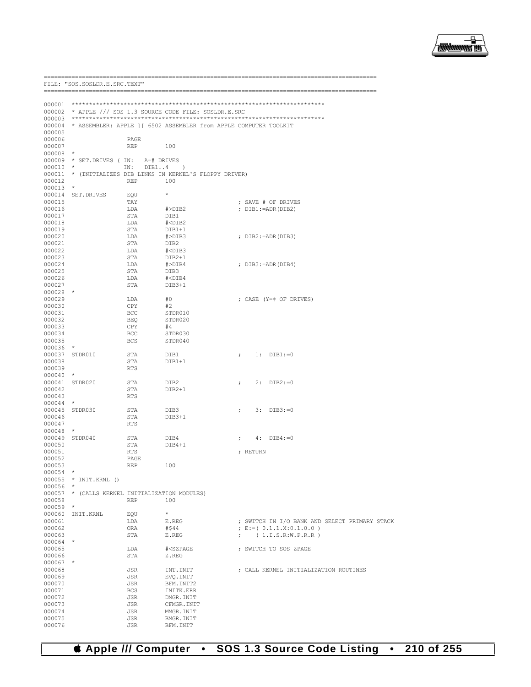

----------------------

|                  | FILE: "SOS.SOSLDR.E.SRC.TEXT"                       |              |                                                           |                                                                   |
|------------------|-----------------------------------------------------|--------------|-----------------------------------------------------------|-------------------------------------------------------------------|
|                  |                                                     |              |                                                           |                                                                   |
| 000001           |                                                     |              |                                                           |                                                                   |
| 000002           | * APPLE /// SOS 1.3 SOURCE CODE FILE: SOSLDR.E.SRC  |              |                                                           |                                                                   |
| 000003           |                                                     |              |                                                           |                                                                   |
| 000004           |                                                     |              |                                                           | * ASSEMBLER: APPLE ] [ 6502 ASSEMBLER from APPLE COMPUTER TOOLKIT |
| 000005           |                                                     |              |                                                           |                                                                   |
| 000006           |                                                     | PAGE         |                                                           |                                                                   |
| 000007           |                                                     | REP          | 100                                                       |                                                                   |
| 000008           | *                                                   |              |                                                           |                                                                   |
| 000009<br>000010 | * SET.DRIVES (IN:<br>$^\star$                       | A=# DRIVES   |                                                           |                                                                   |
| 000011           | * (INITIALIZES DIB LINKS IN KERNEL'S FLOPPY DRIVER) | DIB14<br>IN: | $\rightarrow$                                             |                                                                   |
| 000012           |                                                     | <b>REP</b>   | 100                                                       |                                                                   |
| 000013           | $\star$                                             |              |                                                           |                                                                   |
| 000014           | SET.DRIVES                                          | EOU          | $\star$                                                   |                                                                   |
| 000015           |                                                     | TAY          |                                                           | ; SAVE # OF DRIVES                                                |
| 000016           |                                                     | LDA          | #>DIB2                                                    | ; DIB1:=ADR(DIB2)                                                 |
| 000017           |                                                     | STA          | DIB1                                                      |                                                                   |
| 000018           |                                                     | LDA          | $# <$ DIB $2$                                             |                                                                   |
| 000019<br>000020 |                                                     | STA<br>LDA   | DIB1+1<br>#>DIB3                                          | ; $DIB2 := ADR(DIB3)$                                             |
| 000021           |                                                     | STA          | DIB <sub>2</sub>                                          |                                                                   |
| 000022           |                                                     | LDA          | $#<$ DIB3                                                 |                                                                   |
| 000023           |                                                     | STA          | $DIB2+1$                                                  |                                                                   |
| 000024           |                                                     | LDA          | $#$ >DIB4                                                 | ; DIB3:=ADR(DIB4)                                                 |
| 000025           |                                                     | STA          | DIB3                                                      |                                                                   |
| 000026           |                                                     | LDA          | $# <$ DIB4                                                |                                                                   |
| 000027           |                                                     | STA          | DIB3+1                                                    |                                                                   |
| 000028<br>000029 | $\star$                                             | LDA          | #0                                                        | ; CASE (Y=# OF DRIVES)                                            |
| 000030           |                                                     | CPY          | #2                                                        |                                                                   |
| 000031           |                                                     | <b>BCC</b>   | STDR010                                                   |                                                                   |
| 000032           |                                                     | <b>BEQ</b>   | STDR020                                                   |                                                                   |
| 000033           |                                                     | CPY          | #4                                                        |                                                                   |
| 000034           |                                                     | BCC          | STDR030                                                   |                                                                   |
| 000035           |                                                     | <b>BCS</b>   | STDR040                                                   |                                                                   |
| 000036           | $\star$                                             |              |                                                           |                                                                   |
| 000037<br>000038 | STDR010                                             | STA<br>STA   | DIB1<br>DIB1+1                                            | $1:$ DIB1:=0<br>$\ddot{ }$                                        |
| 000039           |                                                     | <b>RTS</b>   |                                                           |                                                                   |
| 000040           | $^\star$                                            |              |                                                           |                                                                   |
| 000041           | STDR020                                             | STA          | DIB2                                                      | $2:$ DIB2:=0<br>$\ddot{ }$                                        |
| 000042           |                                                     | STA          | $DIB2+1$                                                  |                                                                   |
| 000043           |                                                     | <b>RTS</b>   |                                                           |                                                                   |
| 000044           | $^\star$                                            |              |                                                           |                                                                   |
| 000045           | STDR030                                             | STA          | DIB3                                                      | $3:$ $DIB3: = 0$<br>$\ddot{ }$                                    |
| 000046<br>000047 |                                                     | STA<br>RTS   | DIB3+1                                                    |                                                                   |
| 000048           | $\star$                                             |              |                                                           |                                                                   |
| 000049           | STDR040                                             | STA          | DIB4                                                      | $4:$ DIB4:=0<br>$\ddot{ }$                                        |
| 000050           |                                                     | STA          | DIB4+1                                                    |                                                                   |
| 000051           |                                                     | <b>RTS</b>   |                                                           | ; RETURN                                                          |
| 000052           |                                                     | PAGE         |                                                           |                                                                   |
| 000053           |                                                     | REP          | 100                                                       |                                                                   |
| 000054           | $\star$                                             |              |                                                           |                                                                   |
| 000056           | 000055 * INIT.KRNL ()<br>$\star$                    |              |                                                           |                                                                   |
| 000057           | * (CALLS KERNEL INITIALIZATION MODULES)             |              |                                                           |                                                                   |
| 000058           |                                                     | <b>REP</b>   | 100                                                       |                                                                   |
| 000059           | $\star$                                             |              |                                                           |                                                                   |
| 000060           | INIT.KRNL                                           | EQU          | $\star$                                                   |                                                                   |
| 000061           |                                                     | LDA          | E.REG                                                     | ; SWITCH IN I/O BANK AND SELECT PRIMARY STACK                     |
| 000062           |                                                     | ORA          | #\$44                                                     | ; $E := (0.1.1.X:0.1.0.0)$                                        |
| 000063           |                                                     | STA          | E.REG                                                     | (1.I.S.R.W.P.R.R)<br>$\mathcal{L}$                                |
| 000064<br>000065 | $^{\star}$                                          | LDA          | # <szpage< td=""><td>; SWITCH TO SOS ZPAGE</td></szpage<> | ; SWITCH TO SOS ZPAGE                                             |
| 000066           |                                                     | STA          | Z.REG                                                     |                                                                   |
| 000067           | $\star$                                             |              |                                                           |                                                                   |
| 000068           |                                                     | JSR          | INT. INIT                                                 | ; CALL KERNEL INITIALIZATION ROUTINES                             |
| 000069           |                                                     | JSR          | EVQ. INIT                                                 |                                                                   |
| 000070           |                                                     | JSR          | BFM. INIT2                                                |                                                                   |
| 000071           |                                                     | <b>BCS</b>   | INITK.ERR                                                 |                                                                   |
| 000072           |                                                     | JSR          | DMGR. INIT                                                |                                                                   |
| 000073           |                                                     | JSR          | CFMGR. INIT                                               |                                                                   |
| 000074<br>000075 |                                                     | JSR<br>JSR   | MMGR. INIT<br>BMGR. INIT                                  |                                                                   |
| 000076           |                                                     | JSR          | BFM. INIT                                                 |                                                                   |

*& Apple /// Computer* • SOS 1.3 Source Code Listing • 210 of 255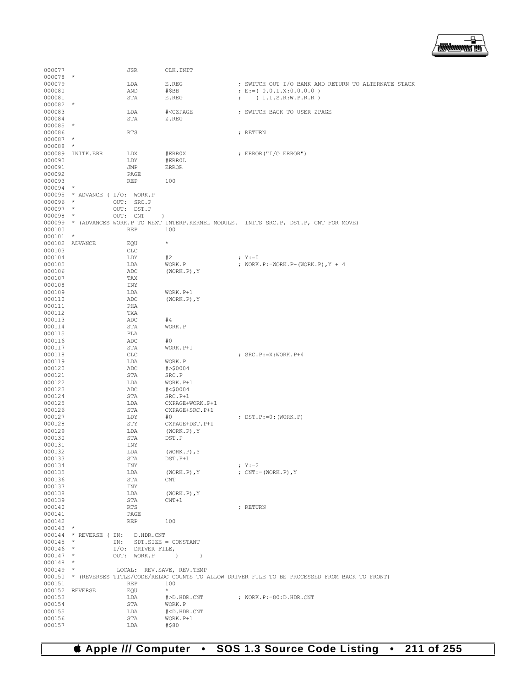

| 000077               |                    | JSR                              | CLK. INIT                                                       |                                                                                                     |
|----------------------|--------------------|----------------------------------|-----------------------------------------------------------------|-----------------------------------------------------------------------------------------------------|
| 000078               | $\ast$             |                                  |                                                                 |                                                                                                     |
| 000079               |                    | LDA                              | E.REG                                                           | ; SWITCH OUT I/O BANK AND RETURN TO ALTERNATE STACK                                                 |
| 000080               |                    | AND                              | #\$BB<br>E.REG                                                  | ; $E := (0.0.1.X:0.0.0.0)$<br>(1.I.S.R.W.P.R.R)                                                     |
| 000081<br>000082     | $\star$            | STA                              |                                                                 | $\mathcal{V}$                                                                                       |
| 000083               |                    | LDA                              | # <czpage< td=""><td>; SWITCH BACK TO USER ZPAGE</td></czpage<> | ; SWITCH BACK TO USER ZPAGE                                                                         |
| 000084               |                    | STA                              | Z.REG                                                           |                                                                                                     |
| 000085               | $^\star$           |                                  |                                                                 |                                                                                                     |
| 000086               |                    | <b>RTS</b>                       |                                                                 | ; RETURN                                                                                            |
| 000087               | $^\star$           |                                  |                                                                 |                                                                                                     |
| 000088               | $\star$            |                                  |                                                                 |                                                                                                     |
| 000089<br>000090     | INITK.ERR          | LDX<br>LDY                       | #ERR0X<br>#ERROL                                                | ; ERROR ("I/O ERROR")                                                                               |
| 000091               |                    | JMP                              | <b>ERROR</b>                                                    |                                                                                                     |
| 000092               |                    | PAGE                             |                                                                 |                                                                                                     |
| 000093               |                    | <b>REP</b>                       | 100                                                             |                                                                                                     |
| 000094               | $\star$            |                                  |                                                                 |                                                                                                     |
|                      |                    | 000095 * ADVANCE ( I/O: WORK.P   |                                                                 |                                                                                                     |
| 000096               | $\star$            | OUT:<br>SRC.P                    |                                                                 |                                                                                                     |
| 000097               | $\star$<br>$\star$ | OUT: DST.P                       |                                                                 |                                                                                                     |
| 000098               |                    | OUT:<br>CNT                      | $\lambda$                                                       | 000099 * (ADVANCES WORK.P TO NEXT INTERP.KERNEL MODULE. INITS SRC.P, DST.P, CNT FOR MOVE)           |
| 000100               |                    | <b>REP</b>                       | 100                                                             |                                                                                                     |
| $000101$ *           |                    |                                  |                                                                 |                                                                                                     |
|                      | 000102 ADVANCE     | EQU                              | $^\star$                                                        |                                                                                                     |
| 000103               |                    | <b>CLC</b>                       |                                                                 |                                                                                                     |
| 000104               |                    | LDY                              | #2                                                              | $; Y := 0$                                                                                          |
| 000105               |                    | LDA                              | WORK.P                                                          | ; WORK.P:=WORK.P+(WORK.P), Y + 4                                                                    |
| 000106               |                    | ADC                              | $(WORK.P)$ , $Y$                                                |                                                                                                     |
| 000107<br>000108     |                    | TAX<br>INY                       |                                                                 |                                                                                                     |
| 000109               |                    | LDA                              | WORK.P+1                                                        |                                                                                                     |
| 000110               |                    | ADC                              | $(WORK, P)$ , Y                                                 |                                                                                                     |
| 000111               |                    | PHA                              |                                                                 |                                                                                                     |
| 000112               |                    | TXA                              |                                                                 |                                                                                                     |
| 000113               |                    | ADC                              | #4                                                              |                                                                                                     |
| 000114               |                    | STA                              | WORK.P                                                          |                                                                                                     |
| 000115               |                    | PLA                              |                                                                 |                                                                                                     |
| 000116<br>000117     |                    | ADC<br>STA                       | #0<br>WORK.P+1                                                  |                                                                                                     |
| 000118               |                    | CLC                              |                                                                 | ; SRC.P: = X: WORK.P+4                                                                              |
| 000119               |                    | LDA                              | WORK.P                                                          |                                                                                                     |
| 000120               |                    | ADC                              | # > \$0004                                                      |                                                                                                     |
| 000121               |                    | STA                              | SRC.P                                                           |                                                                                                     |
| 000122               |                    | LDA                              | WORK.P+1                                                        |                                                                                                     |
| 000123               |                    | ADC                              | # < \$0004                                                      |                                                                                                     |
| 000124               |                    | STA                              | SRC.P+1                                                         |                                                                                                     |
| 000125<br>000126     |                    | LDA<br>STA                       | CXPAGE+WORK.P+1<br>CXPAGE+SRC.P+1                               |                                                                                                     |
| 000127               |                    | LDY                              | #0                                                              | ; DST.P:=0:(WORK.P)                                                                                 |
| 000128               |                    | STY                              | CXPAGE+DST.P+1                                                  |                                                                                                     |
| 000129               |                    | LDA                              | $(WORK.P)$ , $Y$                                                |                                                                                                     |
| 000130               |                    | STA                              | DST.P                                                           |                                                                                                     |
| 000131               |                    | INY                              |                                                                 |                                                                                                     |
| 000132               |                    | LDA                              | $(WORK.P)$ , Y                                                  |                                                                                                     |
| 000133               |                    | STA                              | $DST.P+1$                                                       |                                                                                                     |
| 000134<br>000135     |                    | INY<br>LDA                       | $(WORK.P)$ , $Y$                                                | ; $Y := 2$<br>; $CNT:=(WORK.P)$ , Y                                                                 |
| 000136               |                    | STA                              | CNT                                                             |                                                                                                     |
| 000137               |                    | INY                              |                                                                 |                                                                                                     |
| 000138               |                    | LDA                              | $(WORK.P)$ , $Y$                                                |                                                                                                     |
| 000139               |                    | STA                              | $CNT+1$                                                         |                                                                                                     |
| 000140               |                    | <b>RTS</b>                       |                                                                 | ; RETURN                                                                                            |
| 000141               |                    | PAGE                             |                                                                 |                                                                                                     |
| 000142<br>$000143$ * |                    | <b>REP</b>                       | 100                                                             |                                                                                                     |
|                      |                    | 000144 * REVERSE ( IN: D.HDR.CNT |                                                                 |                                                                                                     |
| $000145$ *           |                    | IN:                              | $SDT.SIZE = CONSTANT$                                           |                                                                                                     |
| 000146 *             |                    | $I/O$ : DRIVER FILE,             |                                                                 |                                                                                                     |
| $000147$ *           |                    | OUT: WORK.P )                    | $\rightarrow$                                                   |                                                                                                     |
| $000148$ *           |                    |                                  |                                                                 |                                                                                                     |
| $000149$ *           |                    | LOCAL: REV. SAVE, REV. TEMP      |                                                                 |                                                                                                     |
|                      |                    |                                  |                                                                 | 000150 * (REVERSES TITLE/CODE/RELOC COUNTS TO ALLOW DRIVER FILE TO BE PROCESSED FROM BACK TO FRONT) |
| 000151               | 000152 REVERSE     | <b>REP</b><br>EQU                | 100<br>$\star$                                                  |                                                                                                     |
| 000153               |                    | LDA                              | #>D.HDR.CNT                                                     | ; WORK.P: = 80:D.HDR.CNT                                                                            |
| 000154               |                    | STA                              | WORK.P                                                          |                                                                                                     |
| 000155               |                    | LDA                              | # <d.hdr.cnt< td=""><td></td></d.hdr.cnt<>                      |                                                                                                     |
| 000156               |                    | STA                              | WORK.P+1                                                        |                                                                                                     |
| 000157               |                    | LDA                              | #\$80                                                           |                                                                                                     |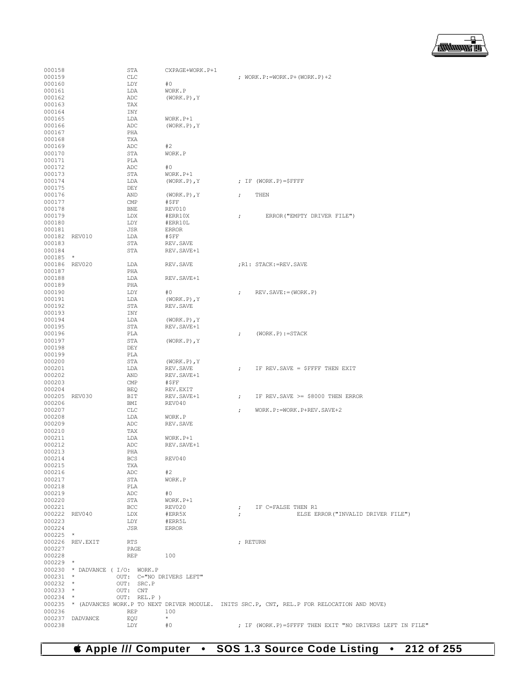▕<del>▓▓▓▓</del>▊

| 000158                   |                 | STA                            | CXPAGE+WORK.P+1              |                                                                                                   |
|--------------------------|-----------------|--------------------------------|------------------------------|---------------------------------------------------------------------------------------------------|
| 000159                   |                 | <b>CLC</b>                     |                              | ; WORK.P:=WORK.P+(WORK.P)+2                                                                       |
| 000160                   |                 | LDY                            | #0                           |                                                                                                   |
| 000161                   |                 | LDA                            | WORK.P                       |                                                                                                   |
| 000162<br>000163         |                 | ADC<br>TAX                     | $(WORK.P)$ , Y               |                                                                                                   |
| 000164                   |                 | INY                            |                              |                                                                                                   |
| 000165                   |                 | LDA                            | WORK.P+1                     |                                                                                                   |
| 000166                   |                 | ADC                            | $(WORK, P)$ , Y              |                                                                                                   |
| 000167<br>000168         |                 | PHA<br>TXA                     |                              |                                                                                                   |
| 000169                   |                 | ADC                            | #2                           |                                                                                                   |
| 000170                   |                 | STA                            | WORK.P                       |                                                                                                   |
| 000171                   |                 | PLA                            |                              |                                                                                                   |
| 000172                   |                 | ADC                            | #0                           |                                                                                                   |
| 000173<br>000174         |                 | STA<br>LDA                     | WORK.P+1<br>$(WORK.P)$ , $Y$ | ; IF $(WORK.P)=$ \$FFFF                                                                           |
| 000175                   |                 | DEY                            |                              |                                                                                                   |
| 000176                   |                 | AND                            | $(WORK.P)$ , $Y$             | THEN<br>$\ddot{ }$                                                                                |
| 000177                   |                 | CMP                            | #SFF                         |                                                                                                   |
| 000178<br>000179         |                 | <b>BNE</b><br>LDX              | REV010<br>#ERR10X            | ERROR ("EMPTY DRIVER FILE")                                                                       |
| 000180                   |                 | LDY                            | #ERR10L                      | $\ddot{ }$                                                                                        |
| 000181                   |                 | JSR                            | <b>ERROR</b>                 |                                                                                                   |
|                          | 000182 REV010   | LDA                            | #SFF                         |                                                                                                   |
| 000183                   |                 | STA                            | REV. SAVE                    |                                                                                                   |
| 000184<br>000185 *       |                 | STA                            | REV. SAVE+1                  |                                                                                                   |
|                          | 000186 REV020   | LDA                            | REV. SAVE                    | : R1: STACK:=REV. SAVE                                                                            |
| 000187                   |                 | PHA                            |                              |                                                                                                   |
| 000188                   |                 | LDA                            | REV. SAVE+1                  |                                                                                                   |
| 000189                   |                 | PHA                            |                              |                                                                                                   |
| 000190<br>000191         |                 | LDY<br>LDA                     | #0<br>$(WORK.P)$ , Y         | $REV.SAVE := (WORK.P)$<br>$\ddot{ }$                                                              |
| 000192                   |                 | STA                            | REV. SAVE                    |                                                                                                   |
| 000193                   |                 | INY                            |                              |                                                                                                   |
| 000194                   |                 | LDA                            | $(WORK.P)$ , Y               |                                                                                                   |
| 000195<br>000196         |                 | STA<br>PLA                     | REV. SAVE+1                  | $(WORK, P) := STACK$<br>$\ddot{ }$                                                                |
| 000197                   |                 | STA                            | $(WORK.P)$ , $Y$             |                                                                                                   |
| 000198                   |                 | DEY                            |                              |                                                                                                   |
| 000199                   |                 | PLA                            |                              |                                                                                                   |
| 000200                   |                 | STA                            | $(WORK.P)$ , Y               |                                                                                                   |
| 000201<br>000202         |                 | LDA<br>AND                     | REV. SAVE<br>REV. SAVE+1     | IF REV. SAVE = \$FFFF THEN EXIT<br>$\ddot{ }$                                                     |
| 000203                   |                 | CMP                            | #\$FF                        |                                                                                                   |
| 000204                   |                 | BEQ                            | REV.EXIT                     |                                                                                                   |
|                          | 000205 REV030   | BIT                            | REV. SAVE+1                  | IF REV. SAVE >= \$8000 THEN ERROR<br>$\ddot{ }$                                                   |
| 000206<br>000207         |                 | BMI<br>CLC                     | REV040                       | WORK.P: = WORK.P+REV.SAVE+2<br>$\ddot{ }$                                                         |
| 000208                   |                 | LDA                            | WORK.P                       |                                                                                                   |
| 000209                   |                 | ADC                            | REV. SAVE                    |                                                                                                   |
| 000210                   |                 | TAX                            |                              |                                                                                                   |
| 000211<br>000212         |                 | LDA<br>ADC                     | WORK.P+1                     |                                                                                                   |
| 000213                   |                 | PHA                            | REV. SAVE+1                  |                                                                                                   |
| 000214                   |                 | BCS                            | REV040                       |                                                                                                   |
| 000215                   |                 | TXA                            |                              |                                                                                                   |
| 000216                   |                 | ADC                            | #2                           |                                                                                                   |
| 000217<br>000218         |                 | STA<br>PLA                     | WORK.P                       |                                                                                                   |
| 000219                   |                 | ADC                            | #O                           |                                                                                                   |
| 000220                   |                 | STA                            | WORK.P+1                     |                                                                                                   |
| 000221                   |                 | BCC                            | REV020                       | ; IF C=FALSE THEN R1                                                                              |
| 000223                   | 000222 REV040   | LDX<br>LDY                     | #ERR5X<br>#ERR5L             | ELSE ERROR ("INVALID DRIVER FILE")<br>$\ddot{i}$                                                  |
| 000224                   |                 | JSR                            | ERROR                        |                                                                                                   |
| $000225$ *               |                 |                                |                              |                                                                                                   |
|                          | 000226 REV.EXIT | RTS                            |                              | ; RETURN                                                                                          |
| 000227                   |                 | PAGE                           |                              |                                                                                                   |
| 000228<br>$000229$ *     |                 | REP                            | 100                          |                                                                                                   |
|                          |                 | 000230 * DADVANCE (I/O: WORK.P |                              |                                                                                                   |
| $000231$ *               |                 | OUT: C="NO DRIVERS LEFT"       |                              |                                                                                                   |
| $000232$ *               |                 | OUT: SRC.P                     |                              |                                                                                                   |
| $000233$ *<br>$000234$ * |                 | OUT: CNT<br>OUT: REL.P)        |                              |                                                                                                   |
|                          |                 |                                |                              | 000235 * (ADVANCES WORK.P TO NEXT DRIVER MODULE. INITS SRC.P, CNT, REL.P FOR RELOCATION AND MOVE) |
| 000236                   |                 | REP                            | 100                          |                                                                                                   |
|                          | 000237 DADVANCE | EOU                            | $\star$                      |                                                                                                   |
| 000238                   |                 | LDY                            | #0                           | ; IF (WORK.P)=\$FFFF THEN EXIT "NO DRIVERS LEFT IN FILE"                                          |

 **Apple /// Computer • SOS 1.3 Source Code Listing • 212 of 255**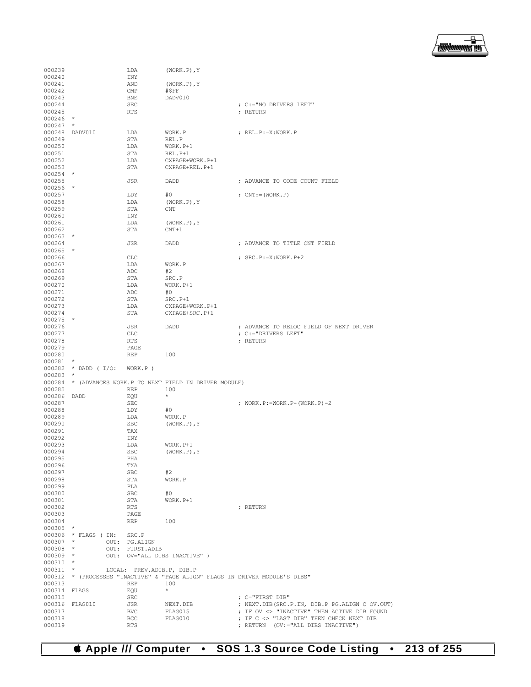

| 000239                   |                     | LDA                       | $(WORK.P)$ , Y                                                               |                                                                                |
|--------------------------|---------------------|---------------------------|------------------------------------------------------------------------------|--------------------------------------------------------------------------------|
| 000240                   |                     | INY                       |                                                                              |                                                                                |
| 000241                   |                     | AND                       | $(WORK.P)$ , $Y$                                                             |                                                                                |
| 000242                   |                     | $\text{CMP}$              | #\$FF                                                                        |                                                                                |
| 000243                   |                     | BNE                       | DADV010                                                                      |                                                                                |
| 000244<br>000245         |                     | <b>SEC</b><br><b>RTS</b>  |                                                                              | ; C:="NO DRIVERS LEFT"<br>; RETURN                                             |
| $000246$ *               |                     |                           |                                                                              |                                                                                |
| 000247                   | $\star$             |                           |                                                                              |                                                                                |
|                          | 000248 DADV010      | LDA                       | WORK.P                                                                       | ; REL.P:=X:WORK.P                                                              |
| 000249                   |                     | STA                       | REL.P                                                                        |                                                                                |
| 000250                   |                     | LDA                       | WORK.P+1                                                                     |                                                                                |
| 000251                   |                     | STA                       | REL.P+1                                                                      |                                                                                |
| 000252                   |                     | LDA                       | CXPAGE+WORK.P+1                                                              |                                                                                |
| 000253                   |                     | STA                       | CXPAGE+REL.P+1                                                               |                                                                                |
| $000254$ *<br>000255     |                     | JSR                       | DADD                                                                         | ; ADVANCE TO CODE COUNT FIELD                                                  |
| $000256$ *               |                     |                           |                                                                              |                                                                                |
| 000257                   |                     | LDY                       | #0                                                                           | ; $CNT:=(WORK, P)$                                                             |
| 000258                   |                     | LDA                       | $(WORK.P)$ , $Y$                                                             |                                                                                |
| 000259                   |                     | STA                       | CNT                                                                          |                                                                                |
| 000260                   |                     | INY                       |                                                                              |                                                                                |
| 000261                   |                     | LDA                       | $(WORK.P)$ , Y                                                               |                                                                                |
| 000262                   |                     | STA                       | $CNT+1$                                                                      |                                                                                |
| $000263$ *               |                     |                           |                                                                              |                                                                                |
| 000264<br>$000265$ *     |                     | JSR                       | DADD                                                                         | ; ADVANCE TO TITLE CNT FIELD                                                   |
| 000266                   |                     | <b>CLC</b>                |                                                                              | ; SRC.P: = X: WORK.P+2                                                         |
| 000267                   |                     | LDA                       | WORK.P                                                                       |                                                                                |
| 000268                   |                     | ADC                       | #2                                                                           |                                                                                |
| 000269                   |                     | STA                       | SRC.P                                                                        |                                                                                |
| 000270                   |                     | LDA                       | WORK.P+1                                                                     |                                                                                |
| 000271                   |                     | ADC                       | #0                                                                           |                                                                                |
| 000272                   |                     | STA                       | SRC.P+1                                                                      |                                                                                |
| 000273                   |                     | LDA                       | CXPAGE+WORK.P+1                                                              |                                                                                |
| 000274<br>$000275$ *     |                     | STA                       | CXPAGE+SRC.P+1                                                               |                                                                                |
| 000276                   |                     | JSR                       | DADD                                                                         | ; ADVANCE TO RELOC FIELD OF NEXT DRIVER                                        |
| 000277                   |                     | CLC                       |                                                                              | ; C:="DRIVERS LEFT"                                                            |
| 000278                   |                     | RTS                       |                                                                              | ; RETURN                                                                       |
| 000279                   |                     | PAGE                      |                                                                              |                                                                                |
| 000280                   |                     | REP                       | 100                                                                          |                                                                                |
| 000281                   | $\star$             |                           |                                                                              |                                                                                |
| 000282<br>$000283$ *     | $\star$ DADD ( I/O: | WORK.P)                   |                                                                              |                                                                                |
|                          |                     |                           | 000284 * (ADVANCES WORK.P TO NEXT FIELD IN DRIVER MODULE)                    |                                                                                |
| 000285                   |                     | <b>REP</b>                | 100                                                                          |                                                                                |
| 000286 DADD              |                     | EQU                       | $\star$                                                                      |                                                                                |
| 000287                   |                     | SEC                       |                                                                              | ; WORK.P:=WORK.P-(WORK.P)-2                                                    |
| 000288                   |                     | LDY                       | #0                                                                           |                                                                                |
| 000289                   |                     | LDA                       | WORK.P                                                                       |                                                                                |
| 000290                   |                     | SBC                       | $(WORK.P)$ , $Y$                                                             |                                                                                |
| 000291<br>000292         |                     | TAX<br>INY                |                                                                              |                                                                                |
| 000293                   |                     | LDA                       | WORK.P+1                                                                     |                                                                                |
| 000294                   |                     | <b>SBC</b>                | $(WORK.P)$ , Y                                                               |                                                                                |
| 000295                   |                     | PHA                       |                                                                              |                                                                                |
| 000296                   |                     | TXA                       |                                                                              |                                                                                |
| 000297                   |                     | SBC                       | #2                                                                           |                                                                                |
| 000298                   |                     | STA                       | WORK.P                                                                       |                                                                                |
| 000299                   |                     | PLA                       |                                                                              |                                                                                |
| 000300<br>000301         |                     | SBC                       | #0                                                                           |                                                                                |
| 000302                   |                     | STA<br>RTS                | WORK.P+1                                                                     | ; RETURN                                                                       |
| 000303                   |                     | PAGE                      |                                                                              |                                                                                |
| 000304                   |                     | REP                       | 100                                                                          |                                                                                |
| 000305 *                 |                     |                           |                                                                              |                                                                                |
|                          | 000306 * FLAGS (IN: | SRC.P                     |                                                                              |                                                                                |
| $000307$ *               |                     | OUT: PG.ALIGN             |                                                                              |                                                                                |
| $000308$ *               |                     | OUT: FIRST.ADIB           |                                                                              |                                                                                |
| $000309$ *               |                     |                           | OUT: OV="ALL DIBS INACTIVE" )                                                |                                                                                |
| $000310$ *<br>$000311$ * |                     | LOCAL: PREV.ADIB.P, DIB.P |                                                                              |                                                                                |
|                          |                     |                           | 000312 * (PROCESSES "INACTIVE" & "PAGE ALIGN" FLAGS IN DRIVER MODULE'S DIBS" |                                                                                |
| 000313                   |                     | <b>REP</b>                | 100                                                                          |                                                                                |
| 000314 FLAGS             |                     | EQU                       | $\star$                                                                      |                                                                                |
| 000315                   |                     | <b>SEC</b>                |                                                                              | ; C="FIRST DIB"                                                                |
|                          | 000316 FLAG010      | JSR                       | NEXT.DIB                                                                     | ; NEXT.DIB(SRC.P.IN, DIB.P PG.ALIGN C OV.OUT)                                  |
| 000317                   |                     | BVC                       | FLAG015                                                                      | ; IF OV <> "INACTIVE" THEN ACTIVE DIB FOUND                                    |
| 000318<br>000319         |                     | BCC<br>RTS                | FLAG010                                                                      | ; IF C <> "LAST DIB" THEN CHECK NEXT DIB<br>; RETURN (OV:="ALL DIBS INACTIVE") |
|                          |                     |                           |                                                                              |                                                                                |

 **Apple /// Computer • SOS 1.3 Source Code Listing • 213 of 255**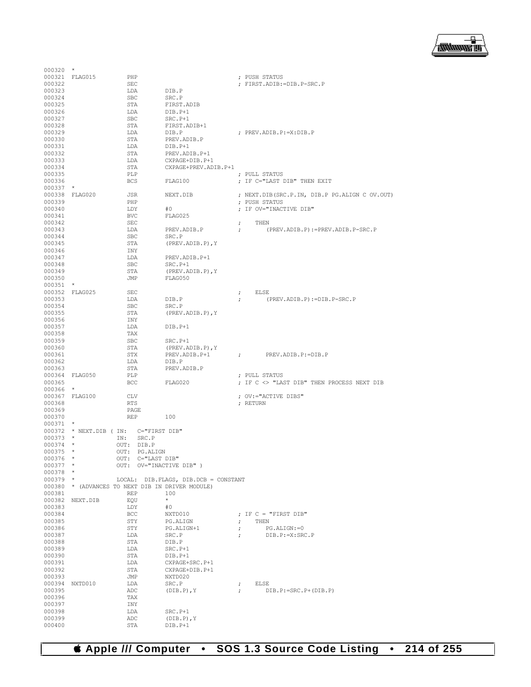

| $000320$ *               |                 |                                       |                                                                                            |                      |                                                           |
|--------------------------|-----------------|---------------------------------------|--------------------------------------------------------------------------------------------|----------------------|-----------------------------------------------------------|
|                          | 000321 FLAG015  | PHP                                   |                                                                                            |                      | ; PUSH STATUS                                             |
| 000322                   |                 | <b>SEC</b>                            |                                                                                            |                      | ; FIRST.ADIB:=DIB.P-SRC.P                                 |
| 000323                   |                 | LDA                                   | DIB.P                                                                                      |                      |                                                           |
| 000324                   |                 | <b>SBC</b>                            | SRC.P                                                                                      |                      |                                                           |
| 000325<br>000326         |                 | STA<br>LDA                            | FIRST.ADIB<br>DIB.P+1                                                                      |                      |                                                           |
| 000327                   |                 | <b>SBC</b>                            | $SRC.P+1$                                                                                  |                      |                                                           |
| 000328                   |                 | STA                                   | FIRST.ADIB+1                                                                               |                      |                                                           |
| 000329                   |                 | LDA                                   | DIB.P                                                                                      |                      | ; PREV.ADIB.P:=X:DIB.P                                    |
| 000330                   |                 | STA                                   | PREV.ADIB.P                                                                                |                      |                                                           |
| 000331                   |                 | LDA                                   | DIB.P+1                                                                                    |                      |                                                           |
| 000332                   |                 | STA                                   | PREV.ADIB.P+1                                                                              |                      |                                                           |
| 000333                   |                 | LDA                                   | CXPAGE+DIB.P+1                                                                             |                      |                                                           |
| 000334                   |                 | STA                                   | CXPAGE+PREV.ADIB.P+1                                                                       |                      |                                                           |
| 000335                   |                 | PLP                                   |                                                                                            |                      | ; PULL STATUS                                             |
| 000336                   |                 | <b>BCS</b>                            | FLAG100                                                                                    |                      | ; IF C="LAST DIB" THEN EXIT                               |
| 000337                   | $\star$         |                                       |                                                                                            |                      |                                                           |
|                          | 000338 FLAG020  | JSR                                   | NEXT.DIB                                                                                   |                      | ; NEXT.DIB(SRC.P.IN, DIB.P PG.ALIGN C OV.OUT)             |
| 000339                   |                 | PHP                                   |                                                                                            |                      | ; PUSH STATUS                                             |
| 000340                   |                 | LDY                                   | #0                                                                                         |                      | ; IF OV="INACTIVE DIB"                                    |
| 000341                   |                 | <b>BVC</b>                            | FLAG025                                                                                    |                      |                                                           |
| 000342                   |                 | <b>SEC</b>                            |                                                                                            | $\ddot{ }$           | THEN                                                      |
| 000343<br>000344         |                 | LDA<br><b>SBC</b>                     | PREV.ADIB.P                                                                                | $\ddot{ }$           | (PREV.ADIB.P):=PREV.ADIB.P-SRC.P                          |
| 000345                   |                 | STA                                   | SRC.P<br>(PREV.ADIB.P), Y                                                                  |                      |                                                           |
| 000346                   |                 | INY                                   |                                                                                            |                      |                                                           |
| 000347                   |                 | LDA                                   | PREV.ADIB.P+1                                                                              |                      |                                                           |
| 000348                   |                 | <b>SBC</b>                            | SRC.P+1                                                                                    |                      |                                                           |
| 000349                   |                 | STA                                   | (PREV.ADIB.P), Y                                                                           |                      |                                                           |
| 000350                   |                 | JMP                                   | FLAG050                                                                                    |                      |                                                           |
| 000351                   | $\star$         |                                       |                                                                                            |                      |                                                           |
|                          | 000352 FLAG025  | <b>SEC</b>                            |                                                                                            | ÷                    | ELSE                                                      |
| 000353                   |                 | LDA                                   | DIB.P                                                                                      | $\ddot{\phantom{0}}$ | $(PREV.DIB.P):=DIB.P-SRC.P$                               |
| 000354                   |                 | <b>SBC</b>                            | SRC.P                                                                                      |                      |                                                           |
| 000355                   |                 | STA                                   | (PREV.ADIB.P), Y                                                                           |                      |                                                           |
| 000356                   |                 | INY                                   |                                                                                            |                      |                                                           |
| 000357                   |                 | LDA                                   | DIB.P+1                                                                                    |                      |                                                           |
| 000358                   |                 | TAX                                   |                                                                                            |                      |                                                           |
| 000359                   |                 | <b>SBC</b>                            | SRC.P+1                                                                                    |                      |                                                           |
| 000360                   |                 | STA                                   | (PREV.ADIB.P), Y                                                                           |                      |                                                           |
| 000361                   |                 | STX                                   | PREV.ADIB.P+1                                                                              |                      | PREV.ADIB.P:=DIB.P<br>$\mathcal{V}$                       |
| 000362                   |                 | LDA                                   | DIB.P                                                                                      |                      |                                                           |
| 000363                   | 000364 FLAG050  | STA<br>PLP                            | PREV.ADIB.P                                                                                |                      | ; PULL STATUS                                             |
| 000365                   |                 | <b>BCC</b>                            | FLAG020                                                                                    |                      | ; IF $C \Leftrightarrow$ "LAST DIB" THEN PROCESS NEXT DIB |
| 000366                   | $\star$         |                                       |                                                                                            |                      |                                                           |
|                          | 000367 FLAG100  | <b>CLV</b>                            |                                                                                            |                      | ; OV:="ACTIVE DIBS"                                       |
| 000368                   |                 | <b>RTS</b>                            |                                                                                            |                      | ; RETURN                                                  |
| 000369                   |                 | PAGE                                  |                                                                                            |                      |                                                           |
| 000370                   |                 | REP                                   | 100                                                                                        |                      |                                                           |
| $000371$ *               |                 |                                       |                                                                                            |                      |                                                           |
|                          |                 | 000372 * NEXT.DIB ( IN: C="FIRST DIB" |                                                                                            |                      |                                                           |
| $000373$ *               |                 | IN:<br>SRC.P                          |                                                                                            |                      |                                                           |
| 000374                   | $\star$         | OUT: DIB.P                            |                                                                                            |                      |                                                           |
| 000375                   | $\star$         | PG.ALIGN<br>OUT:                      |                                                                                            |                      |                                                           |
| $000376$ *               |                 | OUT: C="LAST DIB"                     |                                                                                            |                      |                                                           |
| $000377$ *               |                 | OUT: OV="INACTIVE DIB" )              |                                                                                            |                      |                                                           |
| $000378$ *<br>$000379$ * |                 |                                       |                                                                                            |                      |                                                           |
|                          |                 |                                       | LOCAL: DIB. FLAGS, DIB. DCB = CONSTANT<br>000380 * (ADVANCES TO NEXT DIB IN DRIVER MODULE) |                      |                                                           |
| 000381                   |                 | <b>REP</b>                            | 100                                                                                        |                      |                                                           |
|                          | 000382 NEXT.DIB | EQU                                   | $\star$                                                                                    |                      |                                                           |
| 000383                   |                 | LDY                                   | #0                                                                                         |                      |                                                           |
| 000384                   |                 | <b>BCC</b>                            | NXTD010                                                                                    |                      | ; IF C = "FIRST DIB"                                      |
| 000385                   |                 | STY                                   | PG.ALIGN                                                                                   |                      | ; THEN                                                    |
| 000386                   |                 | STY                                   | PG.ALIGN+1                                                                                 | $\mathcal{F}$        | $PG. ALIGN: = 0$                                          |
| 000387                   |                 | LDA                                   | SRC.P                                                                                      | $\ddot{ }$           | $DIB.P:=X:SRC.P$                                          |
| 000388                   |                 | STA                                   | DIB.P                                                                                      |                      |                                                           |
| 000389                   |                 | LDA                                   | SRC.P+1                                                                                    |                      |                                                           |
| 000390                   |                 | STA                                   | $DIB.P+1$                                                                                  |                      |                                                           |
| 000391                   |                 | LDA                                   | CXPAGE+SRC.P+1                                                                             |                      |                                                           |
| 000392                   |                 | STA                                   | CXPAGE+DIB.P+1                                                                             |                      |                                                           |
| 000393                   |                 | JMP                                   | NXTD020                                                                                    |                      |                                                           |
|                          | 000394 NXTD010  | LDA                                   | SRC.P                                                                                      |                      | ELSE<br>$\mathcal{F}$                                     |
| 000395                   |                 | ADC                                   | $(DIB.P)$ , $Y$                                                                            | $\ddot{ }$           | DIB.P:=SRC.P+(DIB.P)                                      |
| 000396<br>000397         |                 | TAX<br>INY                            |                                                                                            |                      |                                                           |
| 000398                   |                 | LDA                                   | SRC.P+1                                                                                    |                      |                                                           |
| 000399                   |                 | ADC                                   | $(DIB.P)$ , $Y$                                                                            |                      |                                                           |
| 000400                   |                 | STA                                   | DIB.P+1                                                                                    |                      |                                                           |
|                          |                 |                                       |                                                                                            |                      |                                                           |

 **Apple /// Computer • SOS 1.3 Source Code Listing • 214 of 255**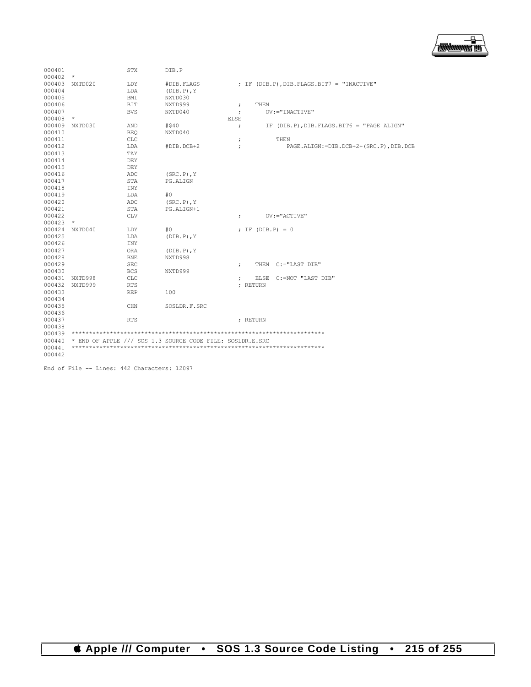

| 000401 |            | <b>STX</b> | DIB.P                                                     |                                                                  |  |  |
|--------|------------|------------|-----------------------------------------------------------|------------------------------------------------------------------|--|--|
| 000402 | $\star$    |            |                                                           |                                                                  |  |  |
| 000403 | NXTD020    | LDY        | #DIB.FLAGS                                                | ; IF (DIB.P), DIB. FLAGS. BIT7 = "INACTIVE"                      |  |  |
| 000404 |            | LDA        | $(DIB.P)$ , $Y$                                           |                                                                  |  |  |
| 000405 |            | BMI        | NXTD030                                                   |                                                                  |  |  |
| 000406 |            | <b>BIT</b> | NXTD999                                                   | THEN<br>$\ddot{ }$                                               |  |  |
| 000407 |            | <b>BVS</b> | NXTD040                                                   | $OV := "INACTIVE"$                                               |  |  |
| 000408 | $\star$    |            |                                                           | <b>ELSE</b>                                                      |  |  |
| 000409 | NXTD030    | AND        | #540                                                      | IF (DIB.P), DIB. FLAGS. BIT6 = "PAGE ALIGN"<br>$\ddot{ }$        |  |  |
| 000410 |            | <b>BEO</b> | NXTD040                                                   |                                                                  |  |  |
| 000411 |            | <b>CLC</b> |                                                           | THEN<br>÷                                                        |  |  |
| 000412 |            | LDA        | #DIB.DCB+2                                                | PAGE.ALIGN: = DIB.DCB+2+(SRC.P), DIB.DCB<br>$\ddot{\phantom{0}}$ |  |  |
| 000413 |            | TAY        |                                                           |                                                                  |  |  |
| 000414 |            | DEY        |                                                           |                                                                  |  |  |
| 000415 |            | DEY        |                                                           |                                                                  |  |  |
| 000416 |            | ADC        | $(SRC.P)$ , $Y$                                           |                                                                  |  |  |
| 000417 |            | <b>STA</b> | PG.ALIGN                                                  |                                                                  |  |  |
| 000418 |            | <b>INY</b> |                                                           |                                                                  |  |  |
| 000419 |            | LDA        | #0                                                        |                                                                  |  |  |
| 000420 |            | ADC        | $(SRC.P)$ , Y                                             |                                                                  |  |  |
| 000421 |            | STA        | PG.ALIGN+1                                                |                                                                  |  |  |
| 000422 |            | <b>CLV</b> |                                                           | $OV := "ACTIVE"$<br>$\ddot{ }$                                   |  |  |
| 000423 | $^{\star}$ |            |                                                           |                                                                  |  |  |
| 000424 | NXTD040    | LDY        | #0                                                        | $: IF (DIB.P) = 0$                                               |  |  |
| 000425 |            | LDA        | $(DIB.P)$ , $Y$                                           |                                                                  |  |  |
| 000426 |            | INY        |                                                           |                                                                  |  |  |
| 000427 |            | <b>ORA</b> | $(DIB.P)$ , $Y$                                           |                                                                  |  |  |
| 000428 |            | <b>BNE</b> | NXTD998                                                   |                                                                  |  |  |
| 000429 |            | <b>SEC</b> |                                                           | THEN C:="LAST DIB"<br>$\ddot{ }$                                 |  |  |
| 000430 |            | <b>BCS</b> | NXTD999                                                   |                                                                  |  |  |
| 000431 | NXTD998    | <b>CLC</b> |                                                           | ELSE C:=NOT "LAST DIB"<br>÷                                      |  |  |
| 000432 | NXTD999    | <b>RTS</b> |                                                           | : RETURN                                                         |  |  |
| 000433 |            | <b>REP</b> | 100                                                       |                                                                  |  |  |
| 000434 |            |            |                                                           |                                                                  |  |  |
| 000435 |            | CHN        | SOSLDR.F.SRC                                              |                                                                  |  |  |
| 000436 |            |            |                                                           |                                                                  |  |  |
| 000437 |            | <b>RTS</b> |                                                           | ; RETURN                                                         |  |  |
| 000438 |            |            |                                                           |                                                                  |  |  |
| 000439 |            |            |                                                           |                                                                  |  |  |
| 000440 |            |            | * END OF APPLE /// SOS 1.3 SOURCE CODE FILE: SOSLDR.E.SRC |                                                                  |  |  |
| 000441 |            |            |                                                           |                                                                  |  |  |
| 000442 |            |            |                                                           |                                                                  |  |  |

End of File -- Lines: 442 Characters: 12097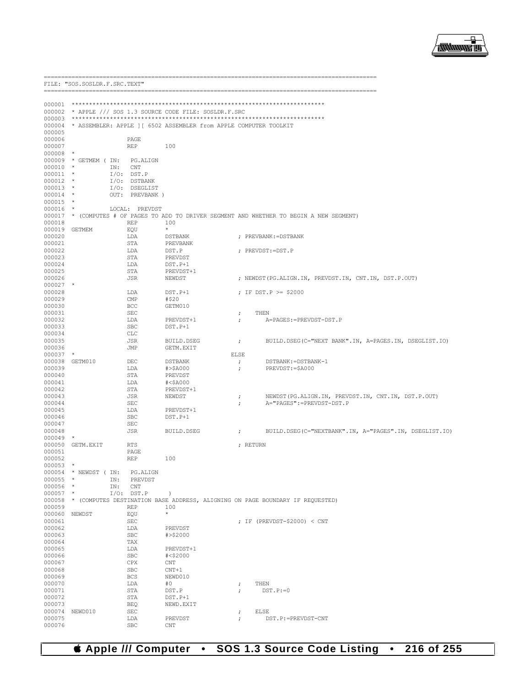

| ======================<br>FILE: "SOS. SOSLDR. F. SRC. TEXT"<br>==================== |                              |                     |                                                                          |                                    |                                                                                      |  |
|-------------------------------------------------------------------------------------|------------------------------|---------------------|--------------------------------------------------------------------------|------------------------------------|--------------------------------------------------------------------------------------|--|
| 000001                                                                              |                              |                     |                                                                          |                                    |                                                                                      |  |
| 000002                                                                              |                              |                     | * APPLE /// SOS 1.3 SOURCE CODE FILE: SOSLDR.F.SRC                       |                                    |                                                                                      |  |
| 000003                                                                              |                              |                     |                                                                          |                                    |                                                                                      |  |
|                                                                                     |                              |                     | 000004 * ASSEMBLER: APPLE ] [ 6502 ASSEMBLER from APPLE COMPUTER TOOLKIT |                                    |                                                                                      |  |
| 000005                                                                              |                              |                     |                                                                          |                                    |                                                                                      |  |
| 000006                                                                              |                              | PAGE                |                                                                          |                                    |                                                                                      |  |
| 000007<br>000008                                                                    | $\star$                      | <b>REP</b>          | 100                                                                      |                                    |                                                                                      |  |
|                                                                                     | 000009 * GETMEM ( IN:        | PG.ALIGN            |                                                                          |                                    |                                                                                      |  |
| 000010                                                                              | $\star$<br>IN:               | CNT                 |                                                                          |                                    |                                                                                      |  |
| 000011                                                                              | $\star$                      | $I/O:$ DST.P        |                                                                          |                                    |                                                                                      |  |
| 000012                                                                              | $\star$                      | I/O: DSTBANK        |                                                                          |                                    |                                                                                      |  |
| 000013<br>000014                                                                    | $\star$<br>$\star$           | I/O: DSEGLIST       |                                                                          |                                    |                                                                                      |  |
| 000015                                                                              | $\star$                      | OUT: PREVBANK )     |                                                                          |                                    |                                                                                      |  |
| 000016                                                                              | $\star$                      | LOCAL: PREVDST      |                                                                          |                                    |                                                                                      |  |
| 000017                                                                              |                              |                     |                                                                          |                                    | * (COMPUTES # OF PAGES TO ADD TO DRIVER SEGMENT AND WHETHER TO BEGIN A NEW SEGMENT)  |  |
| 000018                                                                              |                              | <b>REP</b>          | 100                                                                      |                                    |                                                                                      |  |
|                                                                                     | 000019 GETMEM                | EQU                 | $\star$                                                                  |                                    |                                                                                      |  |
| 000020                                                                              |                              | LDA                 | DSTBANK                                                                  |                                    | ; PREVBANK: = DSTBANK                                                                |  |
| 000021<br>000022                                                                    |                              | STA<br>LDA          | PREVBANK<br>DST.P                                                        |                                    | ; PREVDST: = DST. P                                                                  |  |
| 000023                                                                              |                              | STA                 | PREVDST                                                                  |                                    |                                                                                      |  |
| 000024                                                                              |                              | LDA                 | DST.P+1                                                                  |                                    |                                                                                      |  |
| 000025                                                                              |                              | STA                 | PREVDST+1                                                                |                                    |                                                                                      |  |
| 000026                                                                              |                              | JSR                 | NEWDST                                                                   |                                    | ; NEWDST (PG.ALIGN.IN, PREVDST.IN, CNT.IN, DST.P.OUT)                                |  |
| $000027$ *                                                                          |                              |                     |                                                                          |                                    |                                                                                      |  |
| 000028<br>000029                                                                    |                              | LDA<br>CMP          | $DST.P+1$<br>#\$20                                                       |                                    | ; IF $DST.P > = $2000$                                                               |  |
| 000030                                                                              |                              | <b>BCC</b>          | GETM010                                                                  |                                    |                                                                                      |  |
| 000031                                                                              |                              | <b>SEC</b>          |                                                                          | $\ddot{ }$                         | THEN                                                                                 |  |
| 000032                                                                              |                              | LDA                 | PREVDST+1                                                                | $\ddot{ }$                         | A=PAGES: = PREVDST-DST.P                                                             |  |
| 000033                                                                              |                              | <b>SBC</b>          | DST.P+1                                                                  |                                    |                                                                                      |  |
| 000034<br>000035                                                                    |                              | CLC<br>JSR          | BUILD.DSEG                                                               |                                    |                                                                                      |  |
| 000036                                                                              |                              | JMP                 | GETM.EXIT                                                                | $\ddot{ }$                         | BUILD. DSEG (C="NEXT BANK". IN, A=PAGES. IN, DSEGLIST. IO)                           |  |
| 000037                                                                              | $\star$                      |                     |                                                                          | <b>ELSE</b>                        |                                                                                      |  |
| 000038                                                                              | GETM010                      | DEC                 | DSTBANK                                                                  | $\ddot{ }$                         | DSTBANK: = DSTBANK-1                                                                 |  |
| 000039                                                                              |                              | LDA                 | #>\$A000                                                                 | $\ddot{ }$                         | PREVDST: = \$A000                                                                    |  |
| 000040                                                                              |                              | STA                 | PREVDST                                                                  |                                    |                                                                                      |  |
| 000041<br>000042                                                                    |                              | LDA<br>STA          | #<\$A000                                                                 |                                    |                                                                                      |  |
| 000043                                                                              |                              | JSR                 | PREVDST+1<br>NEWDST                                                      | $\ddot{ }$                         | NEWDST (PG.ALIGN.IN, PREVDST.IN, CNT.IN, DST.P.OUT)                                  |  |
| 000044                                                                              |                              | SEC                 |                                                                          | $\ddot{ }$                         | A="PAGES":=PREVDST-DST.P                                                             |  |
| 000045                                                                              |                              | LDA                 | PREVDST+1                                                                |                                    |                                                                                      |  |
| 000046                                                                              |                              | <b>SBC</b>          | DST.P+1                                                                  |                                    |                                                                                      |  |
| 000047                                                                              |                              | <b>SEC</b>          |                                                                          |                                    |                                                                                      |  |
| 000048<br>000049                                                                    | $\star$                      | JSR                 | BUILD.DSEG                                                               | $\ddot{ }$                         | BUILD. DSEG(C="NEXTBANK".IN, A="PAGES".IN, DSEGLIST.IO)                              |  |
| 000050                                                                              | GETM.EXIT                    | RTS                 |                                                                          |                                    | ; RETURN                                                                             |  |
| 000051                                                                              |                              | PAGE                |                                                                          |                                    |                                                                                      |  |
| 000052                                                                              |                              | <b>REP</b>          | 100                                                                      |                                    |                                                                                      |  |
| $000053$ *                                                                          |                              |                     |                                                                          |                                    |                                                                                      |  |
| 000055 *                                                                            | 000054 * NEWDST ( IN:<br>IN: | PG.ALIGN<br>PREVDST |                                                                          |                                    |                                                                                      |  |
| 000056 *                                                                            | IN:                          | CNT                 |                                                                          |                                    |                                                                                      |  |
| $000057$ *                                                                          |                              | $I/O:$ DST.P        | $\rightarrow$                                                            |                                    |                                                                                      |  |
|                                                                                     |                              |                     |                                                                          |                                    | 000058 * (COMPUTES DESTINATION BASE ADDRESS, ALIGNING ON PAGE BOUNDARY IF REQUESTED) |  |
| 000059                                                                              |                              | <b>REP</b>          | 100                                                                      |                                    |                                                                                      |  |
|                                                                                     | 000060 NEWDST                | EQU                 | *                                                                        |                                    |                                                                                      |  |
| 000061<br>000062                                                                    |                              | <b>SEC</b><br>LDA   | PREVDST                                                                  |                                    | ; IF (PREVDST-\$2000) < CNT                                                          |  |
| 000063                                                                              |                              | <b>SBC</b>          | #>\$2000                                                                 |                                    |                                                                                      |  |
| 000064                                                                              |                              | TAX                 |                                                                          |                                    |                                                                                      |  |
| 000065                                                                              |                              | LDA                 | PREVDST+1                                                                |                                    |                                                                                      |  |
| 000066                                                                              |                              | <b>SBC</b>          | $#<$ \$2000                                                              |                                    |                                                                                      |  |
| 000067                                                                              |                              | CPX                 | CNT                                                                      |                                    |                                                                                      |  |
| 000068                                                                              |                              | <b>SBC</b>          | $CNT+1$                                                                  |                                    |                                                                                      |  |
| 000069                                                                              |                              | <b>BCS</b>          | NEWD010                                                                  |                                    |                                                                                      |  |
| 000070<br>000071                                                                    |                              | LDA<br>STA          | #0<br>DST.P                                                              | $\ddot{\phantom{0}}$<br>$\ddot{ }$ | THEN<br>$DST.P:=0$                                                                   |  |
| 000072                                                                              |                              | STA                 | $DST.P+1$                                                                |                                    |                                                                                      |  |
| 000073                                                                              |                              | <b>BEQ</b>          | NEWD.EXIT                                                                |                                    |                                                                                      |  |
|                                                                                     | 000074 NEWD010               | SEC                 |                                                                          | $\ddot{ }$                         | ELSE                                                                                 |  |
| 000075                                                                              |                              | LDA                 | PREVDST                                                                  | $\ddot{ }$                         | DST.P:=PREVDST-CNT                                                                   |  |

000076

SBC CNT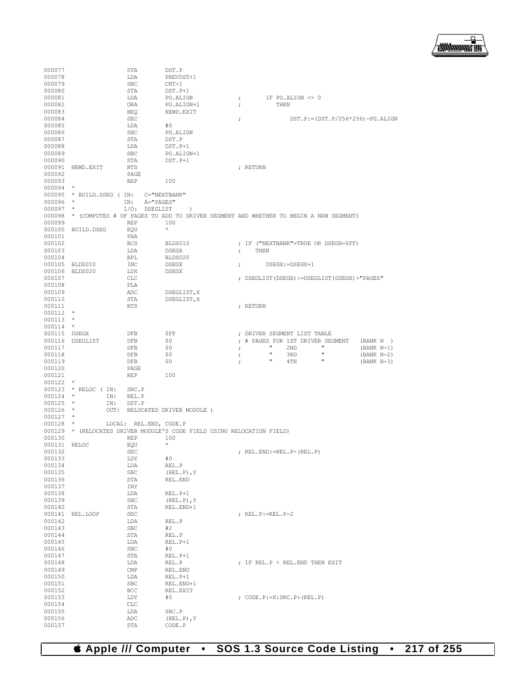

| 000077       |                            | STA                    | DST.P                                                                               |                      |                             |                                                  |              |
|--------------|----------------------------|------------------------|-------------------------------------------------------------------------------------|----------------------|-----------------------------|--------------------------------------------------|--------------|
| 000078       |                            | LDA                    | PREVDST+1                                                                           |                      |                             |                                                  |              |
| 000079       |                            | <b>SBC</b>             | $CNT+1$                                                                             |                      |                             |                                                  |              |
| 000080       |                            | STA                    | DST.P+1                                                                             |                      |                             |                                                  |              |
| 000081       |                            | LDA                    | PG.ALIGN                                                                            | $\ddot{\phantom{0}}$ | IF PG.ALIGN <> 0            |                                                  |              |
| 000082       |                            | ORA                    | PG.ALIGN+1                                                                          | $\ddot{ }$           | THEN                        |                                                  |              |
| 000083       |                            | BEQ                    | NEWD.EXIT                                                                           |                      |                             |                                                  |              |
| 000084       |                            | <b>SEC</b>             |                                                                                     | $\ddot{\phantom{0}}$ |                             | $DST.P := (DST.P/256*256) - PG. ALIGN$           |              |
| 000085       |                            | LDA                    | #0                                                                                  |                      |                             |                                                  |              |
| 000086       |                            | <b>SBC</b>             | PG.ALIGN                                                                            |                      |                             |                                                  |              |
| 000087       |                            | STA                    | DST.P                                                                               |                      |                             |                                                  |              |
| 000088       |                            | LDA                    | DST.P+1                                                                             |                      |                             |                                                  |              |
| 000089       |                            | SBC                    | PG.ALIGN+1                                                                          |                      |                             |                                                  |              |
| 000090       |                            | STA                    | DST.P+1                                                                             |                      |                             |                                                  |              |
| 000091       | NEWD.EXIT                  | <b>RTS</b>             |                                                                                     | ; RETURN             |                             |                                                  |              |
| 000092       |                            | PAGE                   |                                                                                     |                      |                             |                                                  |              |
| 000093       |                            | <b>REP</b>             | 100                                                                                 |                      |                             |                                                  |              |
| 000094       | $\star$                    |                        |                                                                                     |                      |                             |                                                  |              |
|              |                            |                        | C="NEXTBANK"                                                                        |                      |                             |                                                  |              |
|              | 000095 * BUILD. DSEG ( IN: |                        |                                                                                     |                      |                             |                                                  |              |
| 000096       | $\star$<br>$\star$         | IN:<br>A="PAGES"       |                                                                                     |                      |                             |                                                  |              |
| 000097       |                            | I/O: DSEGLIST          | $\lambda$                                                                           |                      |                             |                                                  |              |
| 000098       |                            |                        | * (COMPUTES # OF PAGES TO ADD TO DRIVER SEGMENT AND WHETHER TO BEGIN A NEW SEGMENT) |                      |                             |                                                  |              |
| 000099       |                            | <b>REP</b>             | 100                                                                                 |                      |                             |                                                  |              |
| 000100       | BUILD.DSEG                 | EQU                    | $\star$                                                                             |                      |                             |                                                  |              |
| 000101       |                            | PHA                    |                                                                                     |                      |                             |                                                  |              |
| 000102       |                            | <b>BCS</b>             | BLDS010                                                                             |                      |                             | ; IF ("NEXTBANK"=TRUE OR DSEGX=\$FF)             |              |
| 000103       |                            | LDA                    | <b>DSEGX</b>                                                                        | $\ddot{ }$           | THEN                        |                                                  |              |
| 000104       |                            | BPL                    | BLDS020                                                                             |                      |                             |                                                  |              |
|              | 000105 BLDS010             | INC                    | <b>DSEGX</b>                                                                        | $\ddot{ }$           | $DSEGX$ : = $DSEGX+1$       |                                                  |              |
| 000106       | BLDS020                    | LDX                    | DSEGX                                                                               |                      |                             |                                                  |              |
| 000107       |                            | CLC                    |                                                                                     |                      |                             | ; DSEGLIST (DSEGX) := DSEGLIST (DSEGX) + "PAGES" |              |
| 000108       |                            | PLA                    |                                                                                     |                      |                             |                                                  |              |
| 000109       |                            | ADC                    | DSEGLIST, X                                                                         |                      |                             |                                                  |              |
| 000110       |                            | STA                    | DSEGLIST, X                                                                         |                      |                             |                                                  |              |
| 000111       |                            | <b>RTS</b>             |                                                                                     | ; RETURN             |                             |                                                  |              |
| 000112       | $\star$                    |                        |                                                                                     |                      |                             |                                                  |              |
| $000113$ *   |                            |                        |                                                                                     |                      |                             |                                                  |              |
| 000114       | $\star$                    |                        |                                                                                     |                      |                             |                                                  |              |
| 000115 DSEGX |                            | DFB                    | \$FF                                                                                |                      |                             |                                                  |              |
|              |                            |                        | \$0                                                                                 | $\ddot{ }$           | DRIVER SEGMENT LIST TABLE   | # PAGES FOR 1ST DRIVER SEGMENT                   |              |
| 000116       | DSEGLIST                   | DFB                    |                                                                                     | $\ddot{ }$           |                             | π                                                | (BANK N)     |
| 000117       |                            | DFB                    | \$0                                                                                 | ;                    | 2ND<br>$\pmb{\pi}$          | Ħ                                                | $(BANK N-1)$ |
| 000118       |                            | DFB                    | \$0                                                                                 | $\ddot{\phantom{0}}$ | 3RD<br>$\pmb{\mathfrak{m}}$ | π                                                | $(BANK N-2)$ |
| 000119       |                            | DFB                    | \$0                                                                                 | ÷                    | 4TH                         |                                                  | $(BANK N-3)$ |
| 000120       |                            | PAGE                   |                                                                                     |                      |                             |                                                  |              |
| 000121       |                            | <b>REP</b>             | 100                                                                                 |                      |                             |                                                  |              |
| 000122       | $^\star$                   |                        |                                                                                     |                      |                             |                                                  |              |
| 000123       | * RELOC ( IN:              | SRC.P                  |                                                                                     |                      |                             |                                                  |              |
| 000124       | $\star$<br>IN:             | REL.P                  |                                                                                     |                      |                             |                                                  |              |
| 000125       | $\star$<br>IN:             | DST.P                  |                                                                                     |                      |                             |                                                  |              |
| $000126$ *   | OUT:                       |                        | RELOCATED DRIVER MODULE )                                                           |                      |                             |                                                  |              |
| 000127       | $\star$                    |                        |                                                                                     |                      |                             |                                                  |              |
| $000128$ *   |                            | LOCAL: REL.END, CODE.P |                                                                                     |                      |                             |                                                  |              |
|              |                            |                        | 000129 * (RELOCATES DRIVER MODULE'S CODE FIELD USING RELOCATION FIELD)              |                      |                             |                                                  |              |
| 000130       |                            | <b>REP</b>             | 100                                                                                 |                      |                             |                                                  |              |
| 000131       | RELOC                      | EQU                    | $\star$                                                                             |                      |                             |                                                  |              |
| 000132       |                            | SEC                    |                                                                                     |                      | ; REL.END:=REL.P-(REL.P)    |                                                  |              |
| 000133       |                            | LDY                    | #0                                                                                  |                      |                             |                                                  |              |
| 000134       |                            | LDA                    | REL.P                                                                               |                      |                             |                                                  |              |
| 000135       |                            | <b>SBC</b>             | $(REL.P)$ , Y                                                                       |                      |                             |                                                  |              |
| 000136       |                            | STA                    | REL.END                                                                             |                      |                             |                                                  |              |
| 000137       |                            | INY                    |                                                                                     |                      |                             |                                                  |              |
| 000138       |                            | LDA                    | REL.P+1                                                                             |                      |                             |                                                  |              |
| 000139       |                            | SBC                    | $(REL.P)$ , $Y$                                                                     |                      |                             |                                                  |              |
|              |                            |                        | REL.END+1                                                                           |                      |                             |                                                  |              |
| 000140       |                            | STA                    |                                                                                     |                      |                             |                                                  |              |
| 000141       | REL.LOOP                   | SEC                    |                                                                                     |                      | ; REL.P:=REL.P-2            |                                                  |              |
| 000142       |                            | LDA                    | REL.P                                                                               |                      |                             |                                                  |              |
| 000143       |                            | SBC                    | #2                                                                                  |                      |                             |                                                  |              |
| 000144       |                            | STA                    | REL.P                                                                               |                      |                             |                                                  |              |
| 000145       |                            | LDA                    | REL.P+1                                                                             |                      |                             |                                                  |              |
| 000146       |                            | SBC                    | #0                                                                                  |                      |                             |                                                  |              |
| 000147       |                            | STA                    | REL.P+1                                                                             |                      |                             |                                                  |              |
| 000148       |                            | LDA                    | REL.P                                                                               |                      |                             | ; IF REL.P $<$ REL.END THEN EXIT                 |              |
| 000149       |                            | CMP                    | REL.END                                                                             |                      |                             |                                                  |              |
| 000150       |                            | LDA                    | $REL.P+1$                                                                           |                      |                             |                                                  |              |
| 000151       |                            | SBC                    | REL.END+1                                                                           |                      |                             |                                                  |              |
| 000152       |                            | BCC                    | REL.EXIT                                                                            |                      |                             |                                                  |              |
| 000153       |                            | LDY                    | #0                                                                                  |                      | ; CODE.P:=X:SRC.P+(REL.P)   |                                                  |              |
| 000154       |                            | CLC                    |                                                                                     |                      |                             |                                                  |              |
| 000155       |                            | LDA                    | SRC.P                                                                               |                      |                             |                                                  |              |
| 000156       |                            | ADC                    | $(REL.P)$ , Y                                                                       |                      |                             |                                                  |              |
| 000157       |                            | STA                    | CODE.P                                                                              |                      |                             |                                                  |              |
|              |                            |                        |                                                                                     |                      |                             |                                                  |              |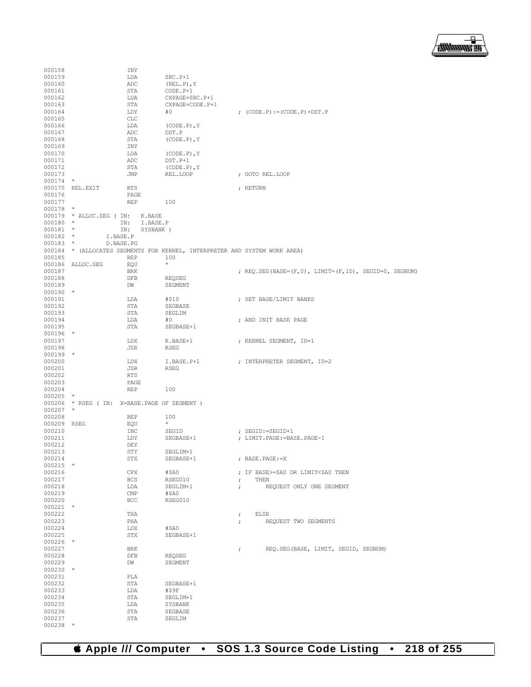

| 000158           | INY                                                                 |                             |                                                       |
|------------------|---------------------------------------------------------------------|-----------------------------|-------------------------------------------------------|
| 000159           | LDA                                                                 | $SRC.P+1$                   |                                                       |
| 000160           | ADC                                                                 | $(REL.P)$ , Y               |                                                       |
| 000161<br>000162 | STA<br>LDA                                                          | CODE.P+1<br>CXPAGE+SRC.P+1  |                                                       |
| 000163           | STA                                                                 | CXPAGE+CODE.P+1             |                                                       |
| 000164           | LDY                                                                 | #0                          | ; $(CODE.P) := (CODE.P) + DST.P$                      |
| 000165           | <b>CLC</b>                                                          |                             |                                                       |
| 000166           | LDA                                                                 | $(CODE.P)$ , Y              |                                                       |
| 000167           | ADC                                                                 | DST.P                       |                                                       |
| 000168           | STA                                                                 | $(CODE.P)$ , $Y$            |                                                       |
| 000169<br>000170 | INY<br>LDA                                                          |                             |                                                       |
| 000171           | ADC                                                                 | $(CODE.P)$ , Y<br>$DST.P+1$ |                                                       |
| 000172           | STA                                                                 | $(CODE.P)$ , $Y$            |                                                       |
| 000173           | JMP                                                                 | REL.LOOP                    | ; GOTO REL.LOOP                                       |
| $000174$ *       |                                                                     |                             |                                                       |
| 000175           | REL.EXIT<br>RTS                                                     |                             | ; RETURN                                              |
| 000176           | PAGE                                                                |                             |                                                       |
| 000177<br>000178 | REP<br>$\star$                                                      | 100                         |                                                       |
|                  | 000179 * ALLOC.SEG (IN:<br>K.BASE                                   |                             |                                                       |
| 000180           | $\star$<br>IN:                                                      | I.BASE.P                    |                                                       |
| 000181           | $\star$<br>IN:                                                      | SYSBANK )                   |                                                       |
| $000182$ *       | I.BASE.P                                                            |                             |                                                       |
| 000183           | $\star$<br>D.BASE.PG                                                |                             |                                                       |
| 000184           | * (ALLOCATES SEGMENTS FOR KERNEL, INTERPRETER AND SYSTEM WORK AREA) |                             |                                                       |
| 000185           | <b>REP</b>                                                          | 100<br>$\star$              |                                                       |
| 000187           | 000186 ALLOC.SEG<br>EQU<br><b>BRK</b>                               |                             | ; REQ. SEG(BASE=(F,0), LIMIT=(F,1D), SEGID=0, SEGNUM) |
| 000188           | DFB                                                                 | REQSEG                      |                                                       |
| 000189           | DW                                                                  | SEGMENT                     |                                                       |
| $000190$ *       |                                                                     |                             |                                                       |
| 000191           | LDA                                                                 | #\$10                       | ; SET BASE/LIMIT BANKS                                |
| 000192           | STA                                                                 | SEGBASE                     |                                                       |
| 000193           | STA                                                                 | SEGLIM                      |                                                       |
| 000194<br>000195 | LDA<br>STA                                                          | #0<br>SEGBASE+1             | ; AND INIT BASE PAGE                                  |
| $000196$ *       |                                                                     |                             |                                                       |
| 000197           | LDX                                                                 | K.BASE+1                    | ; KERNEL SEGMENT, ID=1                                |
| 000198           | JSR                                                                 | RSEG                        |                                                       |
| $000199$ *       |                                                                     |                             |                                                       |
| 000200           | LDX                                                                 | I.BASE.P+1                  | ; INTERPRETER SEGMENT, ID=2                           |
| 000201           | JSR                                                                 | <b>RSEG</b>                 |                                                       |
| 000202           | RTS                                                                 |                             |                                                       |
| 000203<br>000204 | PAGE<br><b>REP</b>                                                  | 100                         |                                                       |
| 000205           | $\star$                                                             |                             |                                                       |
|                  | 000206 * RSEG ( IN: X=BASE. PAGE OF SEGMENT )                       |                             |                                                       |
| 000207           | $\star$                                                             |                             |                                                       |
| 000208           | REP                                                                 | 100                         |                                                       |
| 000209 RSEG      | EQU                                                                 | $^{\star}$                  |                                                       |
| 000210           | INC                                                                 | SEGID<br>SEGBASE+1          | ; SEGID:=SEGID+1                                      |
| 000211<br>000212 | LDY<br>DEY                                                          |                             | ; LIMIT.PAGE:=BASE.PAGE-1                             |
| 000213           | STY                                                                 | SEGLIM+1                    |                                                       |
| 000214           | STX                                                                 | SEGBASE+1                   | ; BASE.PAGE:=X                                        |
| $000215$ *       |                                                                     |                             |                                                       |
| 000216           | CPX                                                                 | #\$A0                       | ; IF BASE>=\$A0 OR LIMIT<\$A0 THEN                    |
| 000217           | <b>BCS</b>                                                          | RSEG010                     | THEN<br>$\ddot{ }$                                    |
| 000218           | LDA                                                                 | SEGLIM+1                    | REQUEST ONLY ONE SEGMENT<br>$\ddot{ }$                |
| 000219<br>000220 | CMP<br>BCC                                                          | #\$A0<br>RSEG010            |                                                       |
| $000221$ *       |                                                                     |                             |                                                       |
| 000222           | TXA                                                                 |                             | ELSE<br>$\ddot{ }$                                    |
| 000223           | PHA                                                                 |                             | REQUEST TWO SEGMENTS<br>$\ddot{ }$                    |
| 000224           | LDX                                                                 | #\$A0                       |                                                       |
| 000225           | STX                                                                 | SEGBASE+1                   |                                                       |
| $000226$ *       | <b>BRK</b>                                                          |                             | REO.SEG(BASE, LIMIT, SEGID, SEGNUM)                   |
| 000227<br>000228 | DFB                                                                 | REQSEG                      | ÷                                                     |
| 000229           | DW                                                                  | SEGMENT                     |                                                       |
| $000230$ *       |                                                                     |                             |                                                       |
| 000231           | PLA                                                                 |                             |                                                       |
| 000232           | STA                                                                 | SEGBASE+1                   |                                                       |
| 000233           | LDA                                                                 | #\$9F                       |                                                       |
| 000234<br>000235 | STA<br>LDA                                                          | SEGLIM+1<br>SYSBANK         |                                                       |
| 000236           | STA                                                                 | SEGBASE                     |                                                       |
| 000237           | STA                                                                 | SEGLIM                      |                                                       |
| $000238$ *       |                                                                     |                             |                                                       |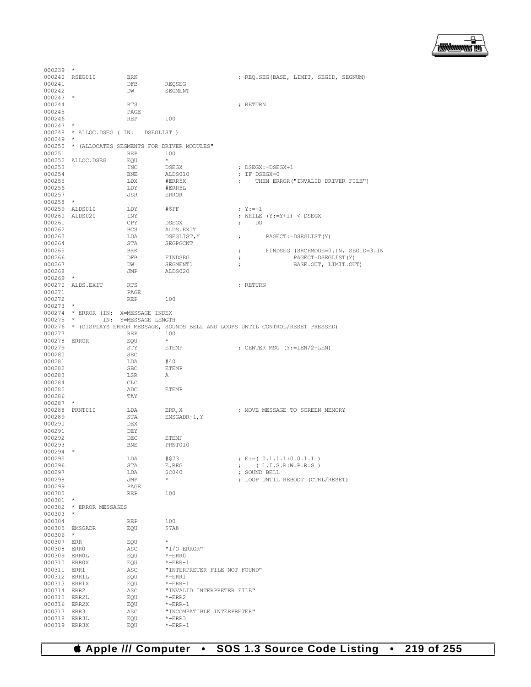

| 000239       | $\star$                              |                      |                                                  |                      |                                                                                      |
|--------------|--------------------------------------|----------------------|--------------------------------------------------|----------------------|--------------------------------------------------------------------------------------|
|              | 000240 RSEG010                       | <b>BRK</b>           |                                                  |                      | ; REQ. SEG (BASE, LIMIT, SEGID, SEGNUM)                                              |
| 000241       |                                      | DFB                  | REQSEG                                           |                      |                                                                                      |
| 000242       |                                      | DW                   | SEGMENT                                          |                      |                                                                                      |
|              |                                      |                      |                                                  |                      |                                                                                      |
| $000243$ *   |                                      |                      |                                                  |                      |                                                                                      |
| 000244       |                                      | <b>RTS</b>           |                                                  |                      | ; RETURN                                                                             |
| 000245       |                                      | PAGE                 |                                                  |                      |                                                                                      |
| 000246       |                                      | REP                  | 100                                              |                      |                                                                                      |
| 000247       | $\star$                              |                      |                                                  |                      |                                                                                      |
|              | 000248 * ALLOC.DSEG ( IN: DSEGLIST ) |                      |                                                  |                      |                                                                                      |
|              |                                      |                      |                                                  |                      |                                                                                      |
| $000249$ *   |                                      |                      |                                                  |                      |                                                                                      |
|              |                                      |                      | 000250 * (ALLOCATES SEGMENTS FOR DRIVER MODULES" |                      |                                                                                      |
| 000251       |                                      | REP                  | 100                                              |                      |                                                                                      |
|              | 000252 ALLOC.DSEG                    | EQU                  | $\star$                                          |                      |                                                                                      |
| 000253       |                                      | INC                  | DSEGX                                            |                      | ; DSEGX: = DSEGX+1                                                                   |
| 000254       |                                      | BNE                  | ALDS010                                          |                      |                                                                                      |
|              |                                      |                      |                                                  |                      | ; IF DSEGX=0                                                                         |
| 000255       |                                      | LDX                  | #ERR5X                                           |                      | ; THEN ERROR ("INVALID DRIVER FILE")                                                 |
| 000256       |                                      | LDY                  | #ERR5L                                           |                      |                                                                                      |
| 000257       |                                      | JSR                  | <b>ERROR</b>                                     |                      |                                                                                      |
| $000258$ *   |                                      |                      |                                                  |                      |                                                                                      |
|              | 000259 ALDS010                       | LDY                  | #\$FF                                            |                      | ; $Y := -1$                                                                          |
|              | 000260 ALDS020                       | INY                  |                                                  |                      | ; WHILE $(Y:=Y+1) <$ DSEGX                                                           |
|              |                                      |                      |                                                  |                      |                                                                                      |
| 000261       |                                      | <b>CPY</b>           | DSEGX                                            |                      | DO<br>$\mathcal{V}$                                                                  |
| 000262       |                                      | <b>BCS</b>           | ALDS.EXIT                                        |                      |                                                                                      |
| 000263       |                                      | LDA                  | DSEGLIST, Y                                      | $\ddot{ }$           | PAGECT: = DSEGLIST(Y)                                                                |
| 000264       |                                      | STA                  | SEGPGCNT                                         |                      |                                                                                      |
| 000265       |                                      | BRK                  |                                                  | $\ddot{ }$           | FINDSEG (SRCHMODE=0.IN, SEGID=3.IN                                                   |
| 000266       |                                      | DFB                  | FINDSEG                                          |                      | PAGECT=DSEGLIST(Y)                                                                   |
|              |                                      |                      |                                                  | $\ddot{\phantom{0}}$ |                                                                                      |
| 000267       |                                      | DW                   | SEGMENT1                                         | $\ddot{ }$           | BASE.OUT, LIMIT.OUT)                                                                 |
| 000268       |                                      | JMP                  | ALDS020                                          |                      |                                                                                      |
| $000269$ *   |                                      |                      |                                                  |                      |                                                                                      |
|              | 000270 ALDS.EXIT                     | RTS                  |                                                  |                      | ; RETURN                                                                             |
| 000271       |                                      | PAGE                 |                                                  |                      |                                                                                      |
|              |                                      |                      |                                                  |                      |                                                                                      |
| 000272       |                                      | <b>REP</b>           | 100                                              |                      |                                                                                      |
| $000273$ *   |                                      |                      |                                                  |                      |                                                                                      |
|              | 000274 * ERROR (IN: X=MESSAGE INDEX  |                      |                                                  |                      |                                                                                      |
| $000275$ *   |                                      | IN: Y=MESSAGE LENGTH |                                                  |                      |                                                                                      |
|              |                                      |                      |                                                  |                      | 000276 * (DISPLAYS ERROR MESSAGE, SOUNDS BELL AND LOOPS UNTIL CONTROL/RESET PRESSED) |
| 000277       |                                      | REP                  | 100                                              |                      |                                                                                      |
| 000278 ERROR |                                      |                      | $\star$                                          |                      |                                                                                      |
|              |                                      | EOU                  |                                                  |                      |                                                                                      |
| 000279       |                                      | STY                  | <b>ETEMP</b>                                     |                      | ; CENTER MSG (Y:=LEN/2+LEN)                                                          |
| 000280       |                                      | <b>SEC</b>           |                                                  |                      |                                                                                      |
| 000281       |                                      | LDA                  | #40                                              |                      |                                                                                      |
| 000282       |                                      | <b>SBC</b>           | <b>ETEMP</b>                                     |                      |                                                                                      |
| 000283       |                                      | LSR                  | А                                                |                      |                                                                                      |
|              |                                      |                      |                                                  |                      |                                                                                      |
| 000284       |                                      | CLC                  |                                                  |                      |                                                                                      |
| 000285       |                                      | ADC                  | <b>ETEMP</b>                                     |                      |                                                                                      |
| 000286       |                                      | TAY                  |                                                  |                      |                                                                                      |
| 000287       | – *                                  |                      |                                                  |                      |                                                                                      |
|              | 000288 PRNT010                       | LDA                  | ERR, X                                           |                      | ; MOVE MESSAGE TO SCREEN MEMORY                                                      |
| 000289       |                                      | STA                  | $ENSGADR-1, Y$                                   |                      |                                                                                      |
| 000290       |                                      | DEX                  |                                                  |                      |                                                                                      |
|              |                                      |                      |                                                  |                      |                                                                                      |
| 000291       |                                      | DEY                  |                                                  |                      |                                                                                      |
| 000292       |                                      | DEC                  | <b>ETEMP</b>                                     |                      |                                                                                      |
| 000293       |                                      | BNE                  | PRNT010                                          |                      |                                                                                      |
| $000294$ *   |                                      |                      |                                                  |                      |                                                                                      |
| 000295       |                                      | LDA                  | #\$73                                            |                      | ; $E := (0.1.1.1:0.0.1.1)$                                                           |
| 000296       |                                      | STA                  | E.REG                                            |                      | $\mathcal{F}^{\mathcal{F}}$ .<br>(1.I.S.R.W.P.R.S)                                   |
| 000297       |                                      | LDA                  | \$C040                                           |                      | ; SOUND BELL                                                                         |
|              |                                      |                      | $\star$                                          |                      |                                                                                      |
| 000298       |                                      | JMP                  |                                                  |                      | ; LOOP UNTIL REBOOT (CTRL/RESET)                                                     |
| 000299       |                                      | PAGE                 |                                                  |                      |                                                                                      |
| 000300       |                                      | REP                  | 100                                              |                      |                                                                                      |
| $000301$ *   |                                      |                      |                                                  |                      |                                                                                      |
|              | 000302 * ERROR MESSAGES              |                      |                                                  |                      |                                                                                      |
| $000303$ *   |                                      |                      |                                                  |                      |                                                                                      |
| 000304       |                                      | REP                  | 100                                              |                      |                                                                                      |
|              |                                      |                      |                                                  |                      |                                                                                      |
|              | 000305 EMSGADR                       | EQU                  | \$7A8                                            |                      |                                                                                      |
| $000306$ *   |                                      |                      |                                                  |                      |                                                                                      |
| 000307 ERR   |                                      | EQU                  | $\star$                                          |                      |                                                                                      |
| 000308 ERR0  |                                      | ASC                  | "I/O ERROR"                                      |                      |                                                                                      |
| 000309 ERROL |                                      | EQU                  | *-ERRO                                           |                      |                                                                                      |
| 000310 ERR0X |                                      | EQU                  | $*$ -ERR-1                                       |                      |                                                                                      |
|              |                                      |                      |                                                  |                      |                                                                                      |
| 000311 ERR1  |                                      | ASC                  | "INTERPRETER FILE NOT FOUND"                     |                      |                                                                                      |
| 000312 ERR1L |                                      | EQU                  | *-ERR1                                           |                      |                                                                                      |
| 000313 ERR1X |                                      | EQU                  | $*$ -ERR-1                                       |                      |                                                                                      |
| 000314 ERR2  |                                      | ASC                  | "INVALID INTERPRETER FILE"                       |                      |                                                                                      |
| 000315 ERR2L |                                      | EQU                  | $*$ -ERR2                                        |                      |                                                                                      |
| 000316 ERR2X |                                      | EQU                  | $*$ -ERR-1                                       |                      |                                                                                      |
|              |                                      |                      |                                                  |                      |                                                                                      |
| 000317 ERR3  |                                      | ASC                  | "INCOMPATIBLE INTERPRETER"                       |                      |                                                                                      |
| 000318 ERR3L |                                      | EQU                  | $*$ -ERR3                                        |                      |                                                                                      |
| 000319 ERR3X |                                      | EQU                  | $*$ -ERR-1                                       |                      |                                                                                      |
|              |                                      |                      |                                                  |                      |                                                                                      |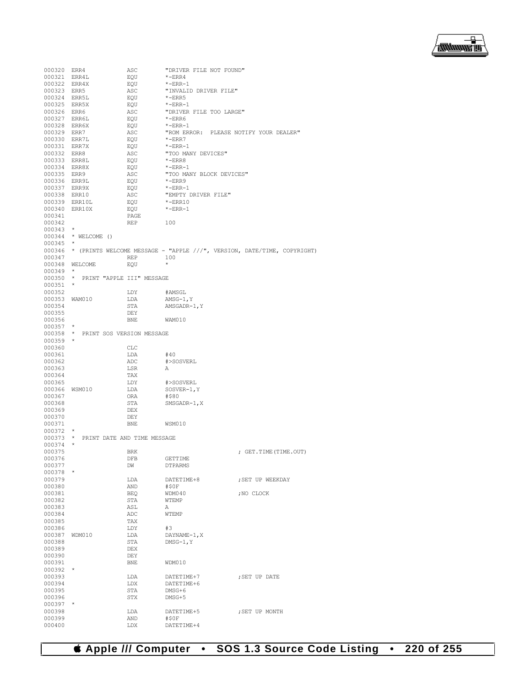

| 000320 ERR4      |                                    | ASC        | "DRIVER FILE NOT FOUND"                |                                                                                |
|------------------|------------------------------------|------------|----------------------------------------|--------------------------------------------------------------------------------|
| 000321 ERR4L     |                                    | EQU        | *-ERR4                                 |                                                                                |
| 000322 ERR4X     |                                    | EQU        | $*$ -ERR-1                             |                                                                                |
| 000323 ERR5      |                                    | ASC        | "INVALID DRIVER FILE"                  |                                                                                |
| 000324 ERR5L     |                                    | EQU        | $*$ -ERR5                              |                                                                                |
|                  |                                    |            |                                        |                                                                                |
| 000325 ERR5X     |                                    | EQU        | $*$ -ERR-1                             |                                                                                |
| 000326 ERR6      |                                    | ASC        | "DRIVER FILE TOO LARGE"                |                                                                                |
| 000327 ERR6L     |                                    | EQU        | *-ERR6                                 |                                                                                |
| 000328 ERR6X     |                                    | EQU        | $*$ -ERR-1                             |                                                                                |
| 000329 ERR7      |                                    | ASC        | "ROM ERROR: PLEASE NOTIFY YOUR DEALER" |                                                                                |
| 000330 ERR7L     |                                    | EQU        | $*$ -ERR7                              |                                                                                |
| 000331 ERR7X     |                                    | EQU        | $*$ -ERR-1                             |                                                                                |
|                  |                                    | ASC        | "TOO MANY DEVICES"                     |                                                                                |
| 000332 ERR8      |                                    |            |                                        |                                                                                |
| 000333 ERR8L     |                                    | EQU        | $*$ -ERR8                              |                                                                                |
| 000334 ERR8X     |                                    | EQU        | $*$ -ERR-1                             |                                                                                |
| 000335 ERR9      |                                    | ASC        | "TOO MANY BLOCK DEVICES"               |                                                                                |
| 000336 ERR9L     |                                    | EQU        | $*$ -ERR9                              |                                                                                |
| 000337 ERR9X     |                                    | EQU        | $*$ -ERR-1                             |                                                                                |
| 000338 ERR10     |                                    | ASC        | "EMPTY DRIVER FILE"                    |                                                                                |
| 000339 ERR10L    |                                    |            | $*$ -ERR10                             |                                                                                |
|                  |                                    | EQU        |                                        |                                                                                |
| 000340 ERR10X    |                                    | EQU        | $*$ -ERR-1                             |                                                                                |
| 000341           |                                    | PAGE       |                                        |                                                                                |
| 000342           |                                    | REP        | 100                                    |                                                                                |
| $000343$ *       |                                    |            |                                        |                                                                                |
|                  | 000344 * WELCOME ()                |            |                                        |                                                                                |
| $000345$ *       |                                    |            |                                        |                                                                                |
|                  |                                    |            |                                        | 000346 * (PRINTS WELCOME MESSAGE - "APPLE ///", VERSION, DATE/TIME, COPYRIGHT) |
|                  |                                    |            |                                        |                                                                                |
| 000347           |                                    | <b>REP</b> | 100                                    |                                                                                |
|                  | 000348 WELCOME                     | EQU        | $\star$                                |                                                                                |
| $000349$ *       |                                    |            |                                        |                                                                                |
|                  | 000350 * PRINT "APPLE III" MESSAGE |            |                                        |                                                                                |
| 000351           | $\star$                            |            |                                        |                                                                                |
| 000352           |                                    | LDY        | #AMSGL                                 |                                                                                |
|                  |                                    |            |                                        |                                                                                |
| 000353 WAM010    |                                    | LDA        | $AMSG-1, Y$                            |                                                                                |
| 000354           |                                    | STA        | AMSGADR-1, Y                           |                                                                                |
| 000355           |                                    | DEY        |                                        |                                                                                |
| 000356           |                                    | <b>BNE</b> | WAM010                                 |                                                                                |
| 000357           | $\star$                            |            |                                        |                                                                                |
|                  | 000358 * PRINT SOS VERSION MESSAGE |            |                                        |                                                                                |
| 000359           | $\star$                            |            |                                        |                                                                                |
| 000360           |                                    |            |                                        |                                                                                |
|                  |                                    | CLC        |                                        |                                                                                |
| 000361           |                                    | LDA        | #40                                    |                                                                                |
| 000362           |                                    | ADC        | #>SOSVERL                              |                                                                                |
| 000363           |                                    | LSR        | Α                                      |                                                                                |
| 000364           |                                    | TAX        |                                        |                                                                                |
| 000365           |                                    | LDY        | #>SOSVERL                              |                                                                                |
| 000366           | WSM010                             | LDA        | $SOSVER-1, Y$                          |                                                                                |
|                  |                                    |            |                                        |                                                                                |
| 000367           |                                    | ORA        | #\$80                                  |                                                                                |
| 000368           |                                    | STA        | SMSGADR-1, X                           |                                                                                |
| 000369           |                                    | DEX        |                                        |                                                                                |
| 000370           |                                    | DEY        |                                        |                                                                                |
| 000371           |                                    | BNE.       | WSM010                                 |                                                                                |
| 000372           | $^{\star}$                         |            |                                        |                                                                                |
| 000373           | * PRINT DATE AND TIME MESSAGE      |            |                                        |                                                                                |
|                  | $\star$                            |            |                                        |                                                                                |
| 000374           |                                    |            |                                        |                                                                                |
| 000375           |                                    | <b>BRK</b> |                                        | ; GET. TIME (TIME. OUT)                                                        |
| 000376           |                                    | DFB        | GETTIME                                |                                                                                |
| 000377           |                                    | DW         | DTPARMS                                |                                                                                |
| $000378$ *       |                                    |            |                                        |                                                                                |
| 000379           |                                    | LDA        | DATETIME+8                             | ; SET UP WEEKDAY                                                               |
| 000380           |                                    | AND        | #50F                                   |                                                                                |
|                  |                                    |            |                                        |                                                                                |
| 000381           |                                    | BEQ        | WDM040                                 | ; NO CLOCK                                                                     |
| 000382           |                                    | STA        | <b>WTEMP</b>                           |                                                                                |
| 000383           |                                    | ASL        | Α                                      |                                                                                |
| 000384           |                                    | ADC        | WTEMP                                  |                                                                                |
| 000385           |                                    | TAX        |                                        |                                                                                |
| 000386           |                                    | LDY        | #3                                     |                                                                                |
| 000387           |                                    |            |                                        |                                                                                |
|                  | WDM010                             | LDA        | $DAYNAME-1, X$                         |                                                                                |
| 000388           |                                    | STA        | DMSG-1.Y                               |                                                                                |
| 000389           |                                    | <b>DEX</b> |                                        |                                                                                |
| 000390           |                                    | DEY        |                                        |                                                                                |
| 000391           |                                    | BNE        | WDM010                                 |                                                                                |
| 000392           |                                    |            |                                        |                                                                                |
| 000393           |                                    | LDA        | DATETIME+7                             | ; SET UP DATE                                                                  |
|                  |                                    |            |                                        |                                                                                |
| 000394           |                                    | LDX        | DATETIME+6                             |                                                                                |
| 000395           |                                    | STA        | $DNSG+6$                               |                                                                                |
| 000396           |                                    | STX        | DMSG+5                                 |                                                                                |
| 000397           | $\star$                            |            |                                        |                                                                                |
|                  |                                    |            |                                        |                                                                                |
| 000398           |                                    | LDA        | DATETIME+5                             | ; SET UP MONTH                                                                 |
|                  |                                    |            |                                        |                                                                                |
| 000399<br>000400 |                                    | AND<br>LDX | #\$0F<br>DATETIME+4                    |                                                                                |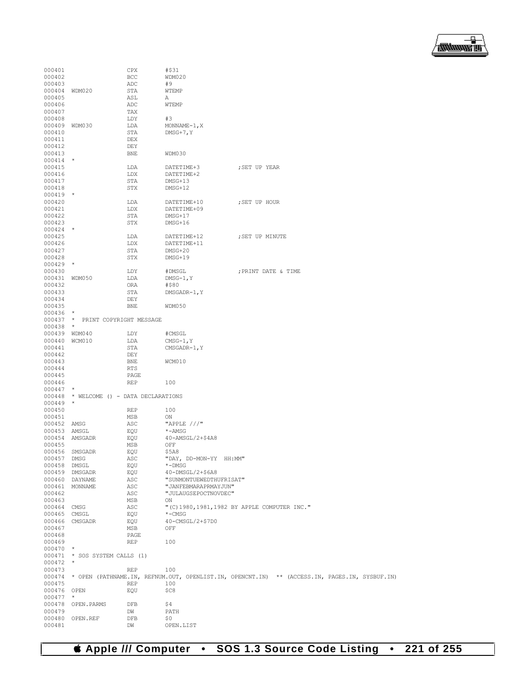

| 000401       |                                  | CPX        | #\$31                   |                                                                                                      |
|--------------|----------------------------------|------------|-------------------------|------------------------------------------------------------------------------------------------------|
| 000402       |                                  | BCC        | WDM020                  |                                                                                                      |
| 000403       |                                  | ADC        | #9                      |                                                                                                      |
| 000404       | WDM020                           | STA        | WTEMP                   |                                                                                                      |
| 000405       |                                  | ASL        | Α                       |                                                                                                      |
| 000406       |                                  | ADC        | WTEMP                   |                                                                                                      |
| 000407       |                                  | TAX        |                         |                                                                                                      |
| 000408       |                                  | LDY        | #3                      |                                                                                                      |
| 000409       | WDM030                           | LDA        | $MONNAME-1, X$          |                                                                                                      |
| 000410       |                                  | STA        | $DMSG+7$ , Y            |                                                                                                      |
|              |                                  |            |                         |                                                                                                      |
| 000411       |                                  | DEX        |                         |                                                                                                      |
| 000412       |                                  | DEY        |                         |                                                                                                      |
| 000413       |                                  | <b>BNE</b> | WDM030                  |                                                                                                      |
| 000414       | $\star$                          |            |                         |                                                                                                      |
| 000415       |                                  | LDA        | DATETIME+3              | ; SET UP YEAR                                                                                        |
| 000416       |                                  | LDX        | DATETIME+2              |                                                                                                      |
| 000417       |                                  | STA        | DMSG+13                 |                                                                                                      |
| 000418       |                                  | STX        | DMSG+12                 |                                                                                                      |
| $000419$ *   |                                  |            |                         |                                                                                                      |
| 000420       |                                  | LDA        | DATETIME+10             | ; SET UP HOUR                                                                                        |
| 000421       |                                  | LDX        | DATETIME+09             |                                                                                                      |
| 000422       |                                  | STA        | DMSG+17                 |                                                                                                      |
| 000423       |                                  | <b>STX</b> | DMSG+16                 |                                                                                                      |
| $000424$ *   |                                  |            |                         |                                                                                                      |
| 000425       |                                  | LDA        | DATETIME+12             | ; SET UP MINUTE                                                                                      |
| 000426       |                                  | LDX        | DATETIME+11             |                                                                                                      |
| 000427       |                                  | STA        | $DMSG+20$               |                                                                                                      |
| 000428       |                                  | STX        |                         |                                                                                                      |
|              | $\star$                          |            | DMSG+19                 |                                                                                                      |
| 000429       |                                  |            |                         |                                                                                                      |
| 000430       |                                  | LDY        | #DMSGL                  | ; PRINT DATE & TIME                                                                                  |
| 000431       | WDM050                           | LDA        | $DMSG-1, Y$             |                                                                                                      |
| 000432       |                                  | ORA        | #\$80                   |                                                                                                      |
| 000433       |                                  | STA        | DMSGADR-1, Y            |                                                                                                      |
| 000434       |                                  | DEY        |                         |                                                                                                      |
| 000435       |                                  | <b>BNE</b> | WDM050                  |                                                                                                      |
| 000436       | $\star$                          |            |                         |                                                                                                      |
| 000437       | * PRINT COPYRIGHT MESSAGE        |            |                         |                                                                                                      |
| 000438       | $\star$                          |            |                         |                                                                                                      |
| 000439       | WDM040                           | LDY        | #CMSGL                  |                                                                                                      |
| 000440       | WCM010                           | LDA        | $CMSG-1, Y$             |                                                                                                      |
| 000441       |                                  | STA        | CMSGADR-1, Y            |                                                                                                      |
| 000442       |                                  | DEY        |                         |                                                                                                      |
| 000443       |                                  | <b>BNE</b> | WCM010                  |                                                                                                      |
| 000444       |                                  | <b>RTS</b> |                         |                                                                                                      |
| 000445       |                                  | PAGE       |                         |                                                                                                      |
| 000446       |                                  | <b>REP</b> | 100                     |                                                                                                      |
| 000447       | $\star$                          |            |                         |                                                                                                      |
| 000448       | * WELCOME () - DATA DECLARATIONS |            |                         |                                                                                                      |
| 000449       | $\star$                          |            |                         |                                                                                                      |
| 000450       |                                  | REP        | 100                     |                                                                                                      |
| 000451       |                                  | MSB        | ON                      |                                                                                                      |
| 000452       |                                  |            | "APPLE $//$ "           |                                                                                                      |
|              | AMSG                             | ASC        |                         |                                                                                                      |
| 000453       | AMSGL                            | EQU        | *-AMSG                  |                                                                                                      |
| 000454       | AMSGADR                          | EQU        | 40-AMSGL/2+\$4A8        |                                                                                                      |
| 000455       |                                  | MSB        | OFF                     |                                                                                                      |
| 000456       | SMSGADR                          | EQU        | \$5A8                   |                                                                                                      |
| 000457 DMSG  |                                  | ASC        | "DAY, DD-MON-YY HH:MM"  |                                                                                                      |
| 000458 DMSGL |                                  | EQU        | $*$ -DMSG               |                                                                                                      |
|              | 000459 DMSGADR                   | EQU        | 40-DMSGL/2+\$6A8        |                                                                                                      |
|              | 000460 DAYNAME                   | ASC        | "SUNMONTUEWEDTHUFRISAT" |                                                                                                      |
|              | 000461 MONNAME                   | ASC        | "JANFEBMARAPRMAYJUN"    |                                                                                                      |
| 000462       |                                  | ASC        | "JULAUGSEPOCTNOVDEC"    |                                                                                                      |
| 000463       |                                  | MSB        | ON                      |                                                                                                      |
| 000464 CMSG  |                                  | ASC        |                         | "(C) 1980, 1981, 1982 BY APPLE COMPUTER INC."                                                        |
| 000465 CMSGL |                                  | EQU        | $*$ -CMSG               |                                                                                                      |
|              | 000466 CMSGADR                   | EQU        | 40-CMSGL/2+\$7D0        |                                                                                                      |
| 000467       |                                  | MSB        | OFF                     |                                                                                                      |
| 000468       |                                  | PAGE       |                         |                                                                                                      |
| 000469       |                                  | REP        | 100                     |                                                                                                      |
| $000470$ *   |                                  |            |                         |                                                                                                      |
|              | 000471 * SOS SYSTEM CALLS (1)    |            |                         |                                                                                                      |
| $000472$ *   |                                  |            |                         |                                                                                                      |
| 000473       |                                  | REP        | 100                     |                                                                                                      |
|              |                                  |            |                         |                                                                                                      |
|              |                                  |            |                         | 000474 * OPEN (PATHNAME.IN, REFNUM.OUT, OPENLIST.IN, OPENCNT.IN) ** (ACCESS.IN, PAGES.IN, SYSBUF.IN) |
| 000475       |                                  | REP        | 100                     |                                                                                                      |
| 000476 OPEN  |                                  | EQU        | \$C8                    |                                                                                                      |
| 000477       | $\star$                          |            |                         |                                                                                                      |
|              | 000478 OPEN. PARMS               | DFB        | \$4                     |                                                                                                      |
| 000479       |                                  | DW         | PATH                    |                                                                                                      |
|              | 000480 OPEN.REF                  | DFB        | \$0                     |                                                                                                      |
| 000481       |                                  | DW         | OPEN.LIST               |                                                                                                      |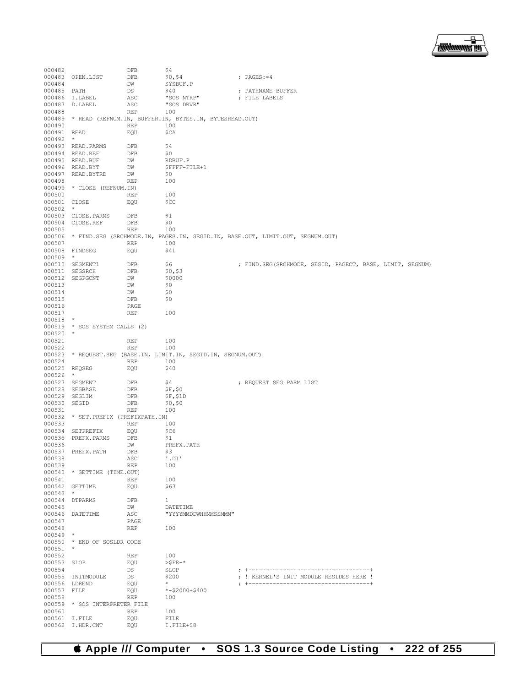

| 000482        |                               | DFB        | \$4                                                           |                                                                                      |
|---------------|-------------------------------|------------|---------------------------------------------------------------|--------------------------------------------------------------------------------------|
| 000483        | OPEN.LIST                     | DFB        | \$0, \$4                                                      | ; PAGES: $=4$                                                                        |
| 000484        |                               | DW         | SYSBUF.P                                                      |                                                                                      |
| 000485 PATH   |                               | DS         | \$40                                                          | ; PATHNAME BUFFER                                                                    |
| 000486        | I.LABEL                       | ASC        | "SOS NTRP"                                                    | ; FILE LABELS                                                                        |
| 000487        | D.LABEL                       | ASC        | "SOS DRVR"                                                    |                                                                                      |
| 000488        |                               | <b>REP</b> | 100                                                           |                                                                                      |
|               |                               |            | 000489 * READ (REFNUM.IN, BUFFER.IN, BYTES.IN, BYTESREAD.OUT) |                                                                                      |
| 000490        |                               | <b>REP</b> | 100                                                           |                                                                                      |
| 000491 READ   |                               | EQU        | \$CA                                                          |                                                                                      |
| $000492$ *    |                               |            |                                                               |                                                                                      |
|               | 000493 READ. PARMS            | DFB        | \$4                                                           |                                                                                      |
|               | 000494 READ.REF               | DFB        | \$0                                                           |                                                                                      |
|               | 000495 READ.BUF               | DW         | RDBUF.P                                                       |                                                                                      |
|               | 000496 READ.BYT               | DW         |                                                               |                                                                                      |
|               |                               |            | \$FFFF-FILE+1<br>\$0                                          |                                                                                      |
| 000497        | READ.BYTRD                    | DW         |                                                               |                                                                                      |
| 000498        |                               | <b>REP</b> | 100                                                           |                                                                                      |
|               | 000499 * CLOSE (REFNUM.IN)    |            |                                                               |                                                                                      |
| 000500        |                               | REP        | 100                                                           |                                                                                      |
| 000501 CLOSE  |                               | EQU        | \$CC                                                          |                                                                                      |
| 000502        | $\star$                       |            |                                                               |                                                                                      |
|               | 000503 CLOSE. PARMS           | DFB        | \$1                                                           |                                                                                      |
| 000504        | CLOSE.REF                     | DFB        | \$0                                                           |                                                                                      |
| 000505        |                               | REP        | 100                                                           |                                                                                      |
|               |                               |            |                                                               | 000506 * FIND.SEG (SRCHMODE.IN, PAGES.IN, SEGID.IN, BASE.OUT, LIMIT.OUT, SEGNUM.OUT) |
| 000507        |                               | <b>REP</b> | 100                                                           |                                                                                      |
|               | 000508 FINDSEG                | EQU        | \$41                                                          |                                                                                      |
| $000509$ *    |                               |            |                                                               |                                                                                      |
|               | 000510 SEGMENT1               | DFB        | \$6                                                           | ; FIND.SEG(SRCHMODE, SEGID, PAGECT, BASE, LIMIT, SEGNUM)                             |
| 000511        | SEGSRCH                       | DFB        | \$0, \$3                                                      |                                                                                      |
| 000512        | SEGPGCNT                      | DW         | \$0000                                                        |                                                                                      |
| 000513        |                               | DW         | \$0                                                           |                                                                                      |
| 000514        |                               | DW         | \$0                                                           |                                                                                      |
| 000515        |                               | DFB        | \$0                                                           |                                                                                      |
| 000516        |                               | PAGE       |                                                               |                                                                                      |
| 000517        |                               | REP        | 100                                                           |                                                                                      |
| $000518$ *    |                               |            |                                                               |                                                                                      |
|               | 000519 * SOS SYSTEM CALLS (2) |            |                                                               |                                                                                      |
| $000520$ *    |                               |            |                                                               |                                                                                      |
|               |                               |            |                                                               |                                                                                      |
|               |                               |            |                                                               |                                                                                      |
| 000521        |                               | REP        | 100                                                           |                                                                                      |
| 000522        |                               | <b>REP</b> | 100                                                           |                                                                                      |
| 000523        |                               |            | * REQUEST.SEG (BASE.IN, LIMIT.IN, SEGID.IN, SEGNUM.OUT)       |                                                                                      |
| 000524        |                               | <b>REP</b> | 100                                                           |                                                                                      |
| 000525 REQSEG |                               | EQU        | \$40                                                          |                                                                                      |
| 000526        | $\star$                       |            |                                                               |                                                                                      |
| 000527        | SEGMENT                       | DFB        | \$4                                                           | ; REQUEST SEG PARM LIST                                                              |
| 000528        | SEGBASE                       | DFB        | SF, \$0                                                       |                                                                                      |
| 000529        | SEGLIM                        | DFB        | SF, S1D                                                       |                                                                                      |
| 000530        | SEGID                         | DFB        | \$0, \$0                                                      |                                                                                      |
| 000531        |                               | <b>REP</b> | 100                                                           |                                                                                      |
| 000532        | * SET. PREFIX (PREFIXPATH.IN) |            |                                                               |                                                                                      |
| 000533        |                               | REP        | 100                                                           |                                                                                      |
| 000534        | SETPREFIX                     | EQU        | \$C6                                                          |                                                                                      |
| 000535        | PREFX.PARMS                   | DFB        | \$1                                                           |                                                                                      |
| 000536        |                               | DW         | PREFX.PATH                                                    |                                                                                      |
|               | 000537 PREFX.PATH             | DFB        | \$3                                                           |                                                                                      |
| 000538        |                               | ASC        | $'$ . D $1'$                                                  |                                                                                      |
| 000539        |                               | REP        | 100                                                           |                                                                                      |
|               | 000540 * GETTIME (TIME.OUT)   |            |                                                               |                                                                                      |
| 000541        |                               | <b>REP</b> | 100                                                           |                                                                                      |
|               | 000542 GETTIME                | EQU        | \$63                                                          |                                                                                      |
| $000543$ *    |                               |            |                                                               |                                                                                      |
|               | 000544 DTPARMS                | DFB        | $\mathbf{1}$                                                  |                                                                                      |
| 000545        |                               | DW         | DATETIME                                                      |                                                                                      |
|               | 000546 DATETIME               | ASC        | "YYYYMMDDWHHMMSSMMM"                                          |                                                                                      |
| 000547        |                               | PAGE       |                                                               |                                                                                      |
| 000548        |                               | REP        | 100                                                           |                                                                                      |
| $000549$ *    |                               |            |                                                               |                                                                                      |
|               | 000550 * END OF SOSLDR CODE   |            |                                                               |                                                                                      |
| $000551$ *    |                               |            |                                                               |                                                                                      |
|               |                               |            |                                                               |                                                                                      |
| 000552        |                               | <b>REP</b> | 100                                                           |                                                                                      |
| 000553 SLOP   |                               | EQU        | $>$ $SF8-$ *                                                  |                                                                                      |
| 000554        |                               | DS         | SLOP                                                          |                                                                                      |
|               | 000555 INITMODULE             | DS         | \$200<br>$\star$                                              | ; ! KERNEL'S INIT MODULE RESIDES HERE !                                              |
| 000556 LDREND |                               | EQU        |                                                               |                                                                                      |
| 000557 FILE   |                               | EQU        | $* - $2000 + $400$                                            |                                                                                      |
| 000558        |                               | <b>REP</b> | 100                                                           |                                                                                      |
|               | 000559 * SOS INTERPRETER FILE |            |                                                               |                                                                                      |
| 000560        |                               | <b>REP</b> | 100                                                           |                                                                                      |
| 000561 I.FILE | 000562 I.HDR.CNT              | EQU<br>EOU | FILE<br>I.FILE+\$8                                            |                                                                                      |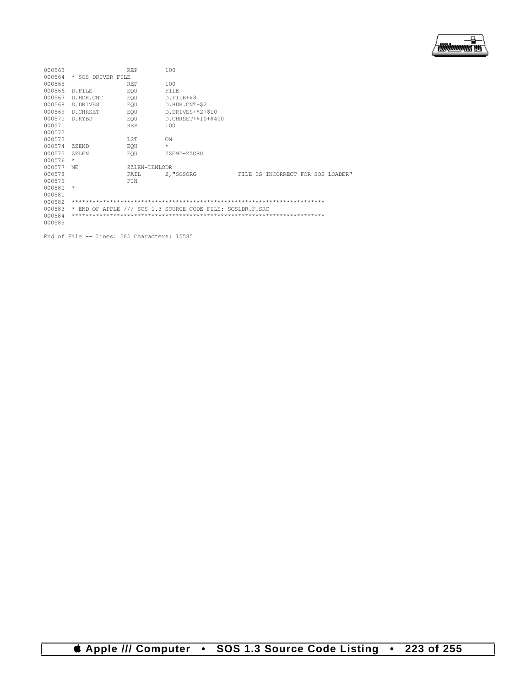

| 000563 |                   | <b>REP</b>    | 100                                                       |  |                                   |  |  |
|--------|-------------------|---------------|-----------------------------------------------------------|--|-----------------------------------|--|--|
| 000564 | * SOS DRIVER FILE |               |                                                           |  |                                   |  |  |
| 000565 |                   | <b>REP</b>    | 100                                                       |  |                                   |  |  |
| 000566 | D.FILE            | EOU           | <b>FILE</b>                                               |  |                                   |  |  |
| 000567 | D.HDR.CNT         | EOU           | D.FILE+\$8                                                |  |                                   |  |  |
| 000568 | D. DRIVES         | EOU           | D.HDR.CNT+\$2                                             |  |                                   |  |  |
| 000569 | D. CHRSET         | EOU           | D.DRIVES+\$2+\$10                                         |  |                                   |  |  |
| 000570 | D.KYBD            | EOU           | D. CHRSET+\$10+\$400                                      |  |                                   |  |  |
| 000571 |                   | <b>REP</b>    | 100                                                       |  |                                   |  |  |
| 000572 |                   |               |                                                           |  |                                   |  |  |
| 000573 |                   | <b>LST</b>    | ON                                                        |  |                                   |  |  |
| 000574 | ZZEND             | EOU           | $\star$                                                   |  |                                   |  |  |
| 000575 | $ZZ$ LEN          | EOU           | ZZEND-ZZORG                                               |  |                                   |  |  |
| 000576 | $\star$           |               |                                                           |  |                                   |  |  |
| 000577 | NF.               | ZZLEN-LENLODR |                                                           |  |                                   |  |  |
| 000578 |                   | FAIL          | 2, "SOSORG                                                |  | FILE IS INCORRECT FOR SOS LOADER" |  |  |
| 000579 |                   | FIN           |                                                           |  |                                   |  |  |
| 000580 | $\star$           |               |                                                           |  |                                   |  |  |
| 000581 |                   |               |                                                           |  |                                   |  |  |
| 000582 |                   |               |                                                           |  |                                   |  |  |
| 000583 |                   |               | * END OF APPLE /// SOS 1.3 SOURCE CODE FILE: SOSLDR.F.SRC |  |                                   |  |  |
| 000584 |                   |               |                                                           |  |                                   |  |  |
| 000585 |                   |               |                                                           |  |                                   |  |  |

End of File -- Lines: 585 Characters: 15585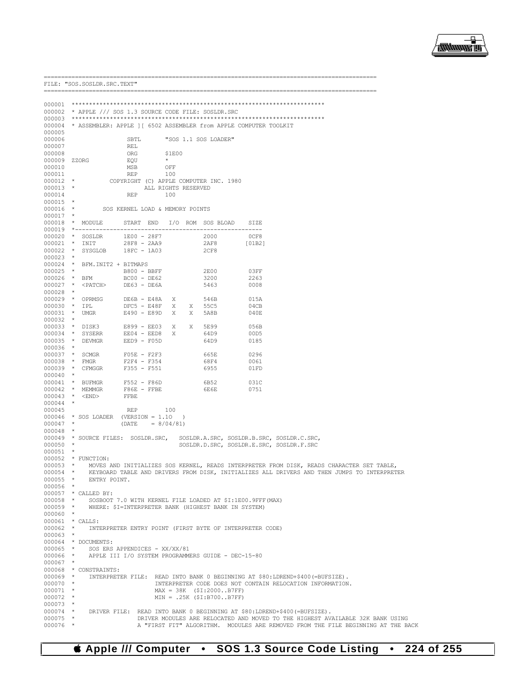

|                            |         | FILE: "SOS. SOSLDR. SRC. TEXT"                            |                                 |                     |                   |   |                                                           |                                                                                                    |
|----------------------------|---------|-----------------------------------------------------------|---------------------------------|---------------------|-------------------|---|-----------------------------------------------------------|----------------------------------------------------------------------------------------------------|
|                            |         | =====================================                     |                                 |                     |                   |   |                                                           |                                                                                                    |
|                            |         |                                                           |                                 |                     |                   |   |                                                           |                                                                                                    |
|                            |         | 000002 * APPLE /// SOS 1.3 SOURCE CODE FILE: SOSLDR.SRC   |                                 |                     |                   |   |                                                           |                                                                                                    |
|                            |         |                                                           |                                 |                     |                   |   |                                                           |                                                                                                    |
|                            |         |                                                           |                                 |                     |                   |   |                                                           | 000004 * ASSEMBLER: APPLE ] [ 6502 ASSEMBLER from APPLE COMPUTER TOOLKIT                           |
| 000005                     |         |                                                           |                                 |                     |                   |   |                                                           |                                                                                                    |
| 000006                     |         |                                                           | SBTL.                           |                     |                   |   | "SOS 1.1 SOS LOADER"                                      |                                                                                                    |
| 000007                     |         |                                                           | REL                             |                     |                   |   |                                                           |                                                                                                    |
| 000008                     |         | 000009 ZZORG                                              | ORG<br>EQU                      |                     | \$1E00<br>$\star$ |   |                                                           |                                                                                                    |
| 000010                     |         |                                                           | MSB                             |                     | OFF               |   |                                                           |                                                                                                    |
| 000011                     |         |                                                           | REP                             |                     | 100               |   |                                                           |                                                                                                    |
| $000012$ *                 |         |                                                           |                                 |                     |                   |   | COPYRIGHT (C) APPLE COMPUTER INC. 1980                    |                                                                                                    |
| $000013$ *                 |         |                                                           |                                 | ALL RIGHTS RESERVED |                   |   |                                                           |                                                                                                    |
| 000014                     |         |                                                           | REP                             |                     | 100               |   |                                                           |                                                                                                    |
| $000015$ *                 |         |                                                           |                                 |                     |                   |   |                                                           |                                                                                                    |
| $000016$ *                 |         |                                                           | SOS KERNEL LOAD & MEMORY POINTS |                     |                   |   |                                                           |                                                                                                    |
| $000017$ *                 |         |                                                           |                                 |                     |                   |   | 000018 * MODULE START END I/O ROM SOS BLOAD SIZE          |                                                                                                    |
|                            |         |                                                           |                                 |                     |                   |   |                                                           |                                                                                                    |
|                            |         | 000020 * SOSLDR                                           | 1E00 - 28F7                     |                     |                   |   |                                                           | 0CF8                                                                                               |
|                            |         | 000021 * INIT 28F8 - 2AA9<br>000022 * SYSGLOB 18FC - 1A03 |                                 |                     |                   |   | 2000<br>2AF8                                              | [01B2]                                                                                             |
|                            |         |                                                           |                                 |                     |                   |   | 2CF8                                                      |                                                                                                    |
| $000023$ *                 |         |                                                           |                                 |                     |                   |   |                                                           |                                                                                                    |
| $000024$ *                 |         | BFM. INIT2 + BITMAPS                                      |                                 |                     |                   |   |                                                           |                                                                                                    |
| 000025                     | $\star$ |                                                           | B800 - BBFF                     |                     |                   |   | 2E00                                                      | 03FF                                                                                               |
| 000026 * BFM<br>$000027$ * |         | <patch> DE63 - DE6A</patch>                               | $BC00 - DE62$                   |                     |                   |   | 3200<br>5463                                              | 2263<br>0008                                                                                       |
| 000028                     | $\star$ |                                                           |                                 |                     |                   |   |                                                           |                                                                                                    |
|                            |         | 000029 * OPRMSG                                           | $DE6B - E48A$                   |                     | X                 |   | 546B                                                      | 015A                                                                                               |
| $000030 * IPL$             |         |                                                           | $DFC5 - E48F$                   |                     |                   |   | X X 55C5                                                  | 04CB                                                                                               |
| $000031$ *                 |         | UMGR                                                      | E490 - E89D                     |                     | X                 | X | 5A8B                                                      | 040E                                                                                               |
| 000032                     | $\star$ |                                                           |                                 |                     |                   |   |                                                           |                                                                                                    |
|                            |         | 000033 * DISK3                                            | E899 - EE03                     |                     | X —               | X | 5E99                                                      | 056B                                                                                               |
| $000034$ *                 |         | SYSERR                                                    | $EE04 - EED8$                   |                     | X                 |   | 64D9                                                      | 00D5                                                                                               |
| $000035$ *<br>000036       | $\star$ | DEVMGR                                                    | EED9 - F05D                     |                     |                   |   | 64D9                                                      | 0185                                                                                               |
|                            |         | 000037 * SCMGR                                            | $F05E - F2F3$                   |                     |                   |   | 665E                                                      | 0296                                                                                               |
| $000038$ *                 |         | FMGR                                                      | F2F4 - F354                     |                     |                   |   | 68F4                                                      | 0061                                                                                               |
| $000039$ *                 |         | CFMGGR                                                    | $F355 - F551$                   |                     |                   |   | 6955                                                      | 01FD                                                                                               |
| $000040$ *                 |         |                                                           |                                 |                     |                   |   |                                                           |                                                                                                    |
|                            |         | 000041 * BUFMGR                                           | F552 - F86D                     |                     |                   |   | 6B52                                                      | 031C                                                                                               |
|                            |         | 000042 * MEMMGR                                           | F86E - FFBE                     |                     |                   |   | 6E 6E                                                     | 0751                                                                                               |
|                            |         | 000043 * <end></end>                                      | FFBE                            |                     |                   |   |                                                           |                                                                                                    |
| $000044$ *<br>000045       |         |                                                           | <b>REP</b>                      |                     | 100               |   |                                                           |                                                                                                    |
|                            |         | $000046$ * SOS LOADER (VERSION = 1.10                     |                                 |                     | $\rightarrow$     |   |                                                           |                                                                                                    |
| $000047$ *                 |         |                                                           | $(DATE = 8/04/81)$              |                     |                   |   |                                                           |                                                                                                    |
| $000048$ *                 |         |                                                           |                                 |                     |                   |   |                                                           |                                                                                                    |
|                            |         | 000049 * SOURCE FILES: SOSLDR.SRC,                        |                                 |                     |                   |   |                                                           | SOSLDR.A.SRC, SOSLDR.B.SRC, SOSLDR.C.SRC,                                                          |
| $000050$ *                 |         |                                                           |                                 |                     |                   |   |                                                           | SOSLDR.D.SRC, SOSLDR.E.SRC, SOSLDR.F.SRC                                                           |
| 000051                     |         |                                                           |                                 |                     |                   |   |                                                           |                                                                                                    |
|                            |         | 000052 * FUNCTION:                                        |                                 |                     |                   |   |                                                           | 000053 * MOVES AND INITIALIZES SOS KERNEL, READS INTERPRETER FROM DISK, READS CHARACTER SET TABLE, |
| $000054$ *                 |         |                                                           |                                 |                     |                   |   |                                                           | KEYBOARD TABLE AND DRIVERS FROM DISK, INITIALIZES ALL DRIVERS AND THEN JUMPS TO INTERPRETER        |
| $000055$ *                 |         | ENTRY POINT.                                              |                                 |                     |                   |   |                                                           |                                                                                                    |
| 000056 *                   |         |                                                           |                                 |                     |                   |   |                                                           |                                                                                                    |
|                            |         | 000057 * CALLED BY:                                       |                                 |                     |                   |   |                                                           |                                                                                                    |
| $000058$ *                 |         |                                                           |                                 |                     |                   |   | SOSBOOT 7.0 WITH KERNEL FILE LOADED AT \$I:1E00.9FFF(MAX) |                                                                                                    |
| $000059$ *                 |         |                                                           |                                 |                     |                   |   | WHERE: \$I=INTERPRETER BANK (HIGHEST BANK IN SYSTEM)      |                                                                                                    |
| $000060$ *                 |         |                                                           |                                 |                     |                   |   |                                                           |                                                                                                    |
| $000062$ *                 |         | 000061 * CALLS:                                           |                                 |                     |                   |   |                                                           |                                                                                                    |
| $000063$ *                 |         |                                                           |                                 |                     |                   |   | INTERPRETER ENTRY POINT (FIRST BYTE OF INTERPRETER CODE)  |                                                                                                    |
|                            |         | 000064 * DOCUMENTS:                                       |                                 |                     |                   |   |                                                           |                                                                                                    |
| $000065$ *                 |         |                                                           | SOS ERS APPENDICES - XX/XX/81   |                     |                   |   |                                                           |                                                                                                    |
| 000066 *                   |         |                                                           |                                 |                     |                   |   | APPLE III I/O SYSTEM PROGRAMMERS GUIDE - DEC-15-80        |                                                                                                    |
| $000067$ *                 |         |                                                           |                                 |                     |                   |   |                                                           |                                                                                                    |
|                            |         | 000068 * CONSTRAINTS:                                     |                                 |                     |                   |   |                                                           |                                                                                                    |
| $000069$ *                 |         |                                                           |                                 |                     |                   |   |                                                           | INTERPRETER FILE: READ INTO BANK 0 BEGINNING AT \$80:LDREND+\$400 (=BUFSIZE).                      |
| $000070$ *                 |         |                                                           |                                 |                     |                   |   |                                                           | INTERPRETER CODE DOES NOT CONTAIN RELOCATION INFORMATION.                                          |
| $000071$ *<br>$000072$ *   |         |                                                           |                                 |                     |                   |   | $MAX = 38K ( $I:2000B7FF)$                                |                                                                                                    |
| $000073$ *                 |         |                                                           |                                 |                     |                   |   | $MIN = .25K ($I:B700. .B7FF)$                             |                                                                                                    |
| $000074$ *                 |         |                                                           |                                 |                     |                   |   |                                                           | DRIVER FILE: READ INTO BANK 0 BEGINNING AT \$80:LDREND+\$400 (=BUFSIZE).                           |
| 000075 *                   |         |                                                           |                                 |                     |                   |   |                                                           | DRIVER MODULES ARE RELOCATED AND MOVED TO THE HIGHEST AVAILABLE 32K BANK USING                     |
| 000076 *                   |         |                                                           |                                 |                     |                   |   |                                                           | A "FIRST FIT" ALGORITHM. MODULES ARE REMOVED FROM THE FILE BEGINNING AT THE BACK                   |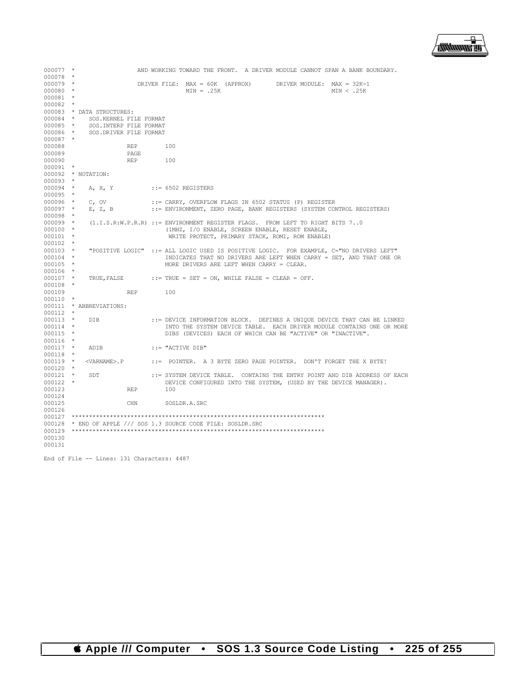

| $000077$ * |            |                                                                                         |            |     |                      |  |  |                                                                       |  |            | AND WORKING TOWARD THE FRONT. A DRIVER MODULE CANNOT SPAN A BANK BOUNDARY. |  |
|------------|------------|-----------------------------------------------------------------------------------------|------------|-----|----------------------|--|--|-----------------------------------------------------------------------|--|------------|----------------------------------------------------------------------------|--|
| 000078 *   |            |                                                                                         |            |     |                      |  |  |                                                                       |  |            |                                                                            |  |
| $000079$ * |            |                                                                                         |            |     |                      |  |  | DRIVER FILE: MAX = 60K (APPROX) DRIVER MODULE: MAX = 32K-1            |  |            |                                                                            |  |
| $000080$ * |            |                                                                                         |            |     | $MIN = .25K$         |  |  |                                                                       |  | MIN < .25K |                                                                            |  |
| 000081     | $\star$    |                                                                                         |            |     |                      |  |  |                                                                       |  |            |                                                                            |  |
| 000082     | $\star$    |                                                                                         |            |     |                      |  |  |                                                                       |  |            |                                                                            |  |
|            |            | 000083 * DATA STRUCTURES:                                                               |            |     |                      |  |  |                                                                       |  |            |                                                                            |  |
| 000084 *   |            | SOS.KERNEL FILE FORMAT                                                                  |            |     |                      |  |  |                                                                       |  |            |                                                                            |  |
| $000085$ * |            | SOS.INTERP FILE FORMAT                                                                  |            |     |                      |  |  |                                                                       |  |            |                                                                            |  |
| 000086 *   |            | SOS. DRIVER FILE FORMAT                                                                 |            |     |                      |  |  |                                                                       |  |            |                                                                            |  |
| $000087$ * |            |                                                                                         |            |     |                      |  |  |                                                                       |  |            |                                                                            |  |
| 000088     |            |                                                                                         | <b>REP</b> | 100 |                      |  |  |                                                                       |  |            |                                                                            |  |
| 000089     |            |                                                                                         | PAGE       |     |                      |  |  |                                                                       |  |            |                                                                            |  |
| 000090     |            |                                                                                         | <b>REP</b> | 100 |                      |  |  |                                                                       |  |            |                                                                            |  |
| 000091     | $\star$    |                                                                                         |            |     |                      |  |  |                                                                       |  |            |                                                                            |  |
| 000092     |            | * NOTATION:                                                                             |            |     |                      |  |  |                                                                       |  |            |                                                                            |  |
| 000093     | $^{\star}$ |                                                                                         |            |     |                      |  |  |                                                                       |  |            |                                                                            |  |
| $000094$ * |            | A, X, Y                                                                                 |            |     | $::= 6502$ REGISTERS |  |  |                                                                       |  |            |                                                                            |  |
| $000095$ * |            |                                                                                         |            |     |                      |  |  |                                                                       |  |            |                                                                            |  |
| $000096$ * |            | $C$ , OV                                                                                |            |     |                      |  |  | ::= CARRY, OVERFLOW FLAGS IN 6502 STATUS (P) REGISTER                 |  |            |                                                                            |  |
| $000097$ * |            | E, Z, B                                                                                 |            |     |                      |  |  | ::= ENVIRONMENT, ZERO PAGE, BANK REGISTERS (SYSTEM CONTROL REGISTERS) |  |            |                                                                            |  |
| 000098 *   |            |                                                                                         |            |     |                      |  |  |                                                                       |  |            |                                                                            |  |
| $000099$ * |            | (1.I.S.R:W.P.R.R) ::= ENVIRONMENT REGISTER FLAGS. FROM LEFT TO RIGHT BITS 70            |            |     |                      |  |  |                                                                       |  |            |                                                                            |  |
| $000100$ * |            |                                                                                         |            |     |                      |  |  | (1MHZ, I/O ENABLE, SCREEN ENABLE, RESET ENABLE,                       |  |            |                                                                            |  |
| $000101$ * |            |                                                                                         |            |     |                      |  |  | WRITE PROTECT, PRIMARY STACK, ROM1, ROM ENABLE)                       |  |            |                                                                            |  |
| $000102$ * |            |                                                                                         |            |     |                      |  |  |                                                                       |  |            |                                                                            |  |
| $000103$ * |            | "POSITIVE LOGIC" ::= ALL LOGIC USED IS POSITIVE LOGIC. FOR EXAMPLE, C="NO DRIVERS LEFT" |            |     |                      |  |  |                                                                       |  |            |                                                                            |  |
| $000104$ * |            |                                                                                         |            |     |                      |  |  |                                                                       |  |            | INDICATES THAT NO DRIVERS ARE LEFT WHEN CARRY = SET, AND THAT ONE OR       |  |
| $000105$ * |            |                                                                                         |            |     |                      |  |  | MORE DRIVERS ARE LEFT WHEN CARRY = CLEAR.                             |  |            |                                                                            |  |
| $000106$ * |            |                                                                                         |            |     |                      |  |  |                                                                       |  |            |                                                                            |  |
| $000107$ * |            | TRUE, FALSE ::= TRUE = SET = ON, WHILE FALSE = CLEAR = OFF.                             |            |     |                      |  |  |                                                                       |  |            |                                                                            |  |
| $000108$ * |            |                                                                                         |            |     |                      |  |  |                                                                       |  |            |                                                                            |  |
| 000109     |            |                                                                                         | <b>REP</b> | 100 |                      |  |  |                                                                       |  |            |                                                                            |  |
| $000110$ * |            |                                                                                         |            |     |                      |  |  |                                                                       |  |            |                                                                            |  |
|            |            | 000111 * ABBREVIATIONS:                                                                 |            |     |                      |  |  |                                                                       |  |            |                                                                            |  |
| 000112     | $\star$    |                                                                                         |            |     |                      |  |  |                                                                       |  |            |                                                                            |  |
| $000113$ * |            | DIB.                                                                                    |            |     |                      |  |  |                                                                       |  |            | ::= DEVICE INFORMATION BLOCK. DEFINES A UNIQUE DEVICE THAT CAN BE LINKED   |  |
| 000114 *   |            |                                                                                         |            |     |                      |  |  |                                                                       |  |            | INTO THE SYSTEM DEVICE TABLE. EACH DRIVER MODULE CONTAINS ONE OR MORE      |  |
| $000115$ * |            |                                                                                         |            |     |                      |  |  | DIBS (DEVICES) EACH OF WHICH CAN BE "ACTIVE" OR "INACTIVE".           |  |            |                                                                            |  |
| $000116$ * |            |                                                                                         |            |     |                      |  |  |                                                                       |  |            |                                                                            |  |
| $000117$ * |            |                                                                                         |            |     |                      |  |  |                                                                       |  |            |                                                                            |  |
| 000118     | $\star$    | ADIB                                                                                    |            |     | ::= "ACTIVE DIB"     |  |  |                                                                       |  |            |                                                                            |  |
|            |            |                                                                                         |            |     |                      |  |  |                                                                       |  |            |                                                                            |  |
| $000119$ * |            | <varname>.P</varname>                                                                   |            |     |                      |  |  | ::= POINTER. A 3 BYTE ZERO PAGE POINTER. DON'T FORGET THE X BYTE!     |  |            |                                                                            |  |
| $000120$ * |            |                                                                                         |            |     |                      |  |  |                                                                       |  |            |                                                                            |  |
| $000121$ * |            | SDT                                                                                     |            |     |                      |  |  |                                                                       |  |            | ::= SYSTEM DEVICE TABLE. CONTAINS THE ENTRY POINT AND DIB ADDRESS OF EACH  |  |
| $000122$ * |            |                                                                                         |            |     |                      |  |  | DEVICE CONFIGURED INTO THE SYSTEM, (USED BY THE DEVICE MANAGER).      |  |            |                                                                            |  |
| 000123     |            |                                                                                         | <b>REP</b> | 100 |                      |  |  |                                                                       |  |            |                                                                            |  |
| 000124     |            |                                                                                         |            |     |                      |  |  |                                                                       |  |            |                                                                            |  |
| 000125     |            |                                                                                         | CHN        |     | SOSLDR.A.SRC         |  |  |                                                                       |  |            |                                                                            |  |
| 000126     |            |                                                                                         |            |     |                      |  |  |                                                                       |  |            |                                                                            |  |
|            |            |                                                                                         |            |     |                      |  |  |                                                                       |  |            |                                                                            |  |
|            |            | $000128$ * END OF APPLE /// SOS 1.3 SOURCE CODE FILE: SOSLDR.SRC                        |            |     |                      |  |  |                                                                       |  |            |                                                                            |  |
| 000129     |            |                                                                                         |            |     |                      |  |  |                                                                       |  |            |                                                                            |  |
| 000130     |            |                                                                                         |            |     |                      |  |  |                                                                       |  |            |                                                                            |  |
| 000131     |            |                                                                                         |            |     |                      |  |  |                                                                       |  |            |                                                                            |  |

End of File -- Lines: 131 Characters: 4487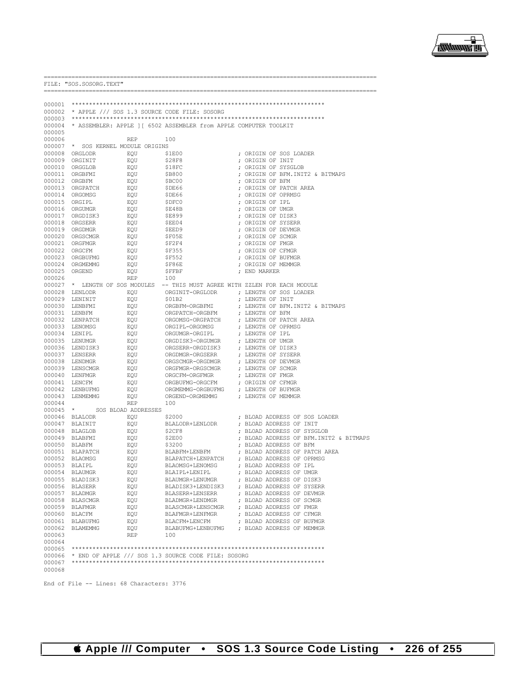

----------------------

|                  | FILE: "SOS. SOSORG. TEXT"                     |                     |                                                                          |                                                                              |
|------------------|-----------------------------------------------|---------------------|--------------------------------------------------------------------------|------------------------------------------------------------------------------|
| 000001           |                                               |                     |                                                                          |                                                                              |
| 000002           |                                               |                     | * APPLE /// SOS 1.3 SOURCE CODE FILE: SOSORG                             |                                                                              |
|                  |                                               |                     |                                                                          |                                                                              |
|                  |                                               |                     | 000004 * ASSEMBLER: APPLE ] [ 6502 ASSEMBLER from APPLE COMPUTER TOOLKIT |                                                                              |
| 000005           |                                               |                     |                                                                          |                                                                              |
| 000006           |                                               | <b>REP</b>          | 100                                                                      |                                                                              |
| 000008           | 000007 * SOS KERNEL MODULE ORIGINS<br>ORGLODR | EOU                 | \$1E00                                                                   | ; ORIGIN OF SOS LOADER                                                       |
|                  | 000009 ORGINIT                                | EQU                 | \$28F8                                                                   | ; ORIGIN OF INIT                                                             |
|                  | 000010 ORGGLOB                                | EQU                 | \$18FC                                                                   | ; ORIGIN OF SYSGLOB                                                          |
|                  | 000011 ORGBFMI                                | EQU                 | \$B800                                                                   | ; ORIGIN OF BFM. INIT2 & BITMAPS                                             |
|                  | 000012 ORGBFM                                 | EQU                 | \$BC00                                                                   | ; ORIGIN OF BFM                                                              |
|                  | 000013 ORGPATCH                               | EQU<br>EOU          | \$DE66                                                                   | ; ORIGIN OF PATCH AREA                                                       |
|                  | 000014 ORGOMSG<br>000015 ORGIPL               | EQU                 | SDE66<br>\$DFC0                                                          | ; ORIGIN OF OPRMSG<br>; ORIGIN OF IPL                                        |
|                  | 000016 ORGUMGR                                | EQU                 | \$E48B                                                                   | ; ORIGIN OF UMGR                                                             |
|                  | 000017 ORGDISK3                               | EOU                 | \$E899                                                                   | ; ORIGIN OF DISK3                                                            |
|                  | 000018 ORGSERR                                | EQU                 | \$EE04                                                                   | ; ORIGIN OF SYSERR                                                           |
|                  | 000019 ORGDMGR                                | EQU                 | \$EED9                                                                   | ; ORIGIN OF DEVMGR                                                           |
|                  | 000020 ORGSCMGR                               | EQU                 | \$F05E                                                                   | ; ORIGIN OF SCMGR                                                            |
|                  | 000021 ORGFMGR<br>000022 ORGCFM               | EQU<br>EQU          | \$F2F4<br>\$F355                                                         | ; ORIGIN OF FMGR<br>; ORIGIN OF CFMGR                                        |
|                  | 000023 ORGBUFMG                               | EOU                 | <b>\$F552</b>                                                            | ; ORIGIN OF BUFMGR                                                           |
|                  | 000024 ORGMEMMG                               | EQU                 | \$F86E                                                                   | ; ORIGIN OF MEMMGR                                                           |
| 000025 ORGEND    |                                               | EQU                 | SFFBF                                                                    | ; END MARKER                                                                 |
| 000026           |                                               | <b>REP</b>          | 100                                                                      |                                                                              |
|                  |                                               |                     |                                                                          | 000027 * LENGTH OF SOS MODULES -- THIS MUST AGREE WITH ZZLEN FOR EACH MODULE |
|                  | 000028 LENLODR<br>000029 LENINIT              | EQU<br>EOU          | ORGINIT-ORGLODR<br>\$01B2                                                | ; LENGTH OF SOS LOADER<br>; LENGTH OF INIT                                   |
|                  | 000030 LENBFMI                                | EQU                 | ORGBFM-ORGBFMI                                                           | ; LENGTH OF BFM. INIT2 & BITMAPS                                             |
|                  | 000031 LENBFM                                 | EQU                 | ORGPATCH-ORGBFM                                                          | ; LENGTH OF BFM                                                              |
|                  | 000032 LENPATCH                               | EOU                 | ORGOMSG-ORGPATCH                                                         | ; LENGTH OF PATCH AREA                                                       |
|                  | 000033 LENOMSG                                | EQU                 | ORGIPL-ORGOMSG                                                           | ; LENGTH OF OPRMSG                                                           |
|                  | 000034 LENIPL                                 | EQU                 | ORGUMGR-ORGIPL                                                           | ; LENGTH OF IPL                                                              |
|                  | 000035 LENUMGR<br>000036 LENDISK3             | EOU<br>EQU          | ORGDISK3-ORGUMGR<br>ORGSERR-ORGDISK3                                     | ; LENGTH OF UMGR<br>; LENGTH OF DISK3                                        |
|                  | 000037 LENSERR                                | EQU                 | ORGDMGR-ORGSERR                                                          | ; LENGTH OF SYSERR                                                           |
|                  | 000038 LENDMGR                                | EOU                 | ORGSCMGR-ORGDMGR                                                         | ; LENGTH OF DEVMGR                                                           |
|                  | 000039 LENSCMGR                               | EQU                 | ORGFMGR-ORGSCMGR                                                         | ; LENGTH OF SCMGR                                                            |
|                  | 000040 LENFMGR                                | EQU                 | ORGCFM-ORGFMGR                                                           | ; LENGTH OF FMGR                                                             |
| 000041           | LENCFM                                        | EQU                 | ORGBUFMG-ORGCFM                                                          | ; ORIGIN OF CFMGR                                                            |
|                  | 000042 LENBUFMG<br>000043 LENMEMMG            | EQU<br>EQU          | ORGMEMMG-ORGBUFMG<br>ORGEND-ORGMEMMG                                     | ; LENGTH OF BUFMGR<br>; LENGTH OF MEMMGR                                     |
| 000044           |                                               | REP                 | 100                                                                      |                                                                              |
| $000045$ *       |                                               | SOS BLOAD ADDRESSES |                                                                          |                                                                              |
|                  | 000046 BLALODR                                | EQU                 | \$2000                                                                   | ; BLOAD ADDRESS OF SOS LOADER                                                |
|                  | 000047 BLAINIT                                | EQU                 | BLALODR+LENLODR                                                          | ; BLOAD ADDRESS OF INIT                                                      |
|                  | 000048 BLAGLOB                                | EQU                 | \$2CF8                                                                   | ; BLOAD ADDRESS OF SYSGLOB                                                   |
|                  | 000049 BLABFMI<br>000050 BLABFM               | EQU<br>EQU          | \$2E00<br>\$3200                                                         | ; BLOAD ADDRESS OF BFM. INIT2 & BITMAPS<br>; BLOAD ADDRESS OF BFM            |
|                  | 000051 BLAPATCH                               | EQU                 | BLABFM+LENBFM                                                            | ; BLOAD ADDRESS OF PATCH AREA                                                |
|                  | 000052 BLAOMSG                                | EQU                 | BLAPATCH+LENPATCH                                                        | ; BLOAD ADDRESS OF OPRMSG                                                    |
| 000053           | BLAIPL                                        | EOU                 | BLAOMSG+LENOMSG                                                          | ; BLOAD ADDRESS OF IPL                                                       |
|                  | 000054 BLAUMGR                                | EQU                 | BLAIPL+LENIPL                                                            | ; BLOAD ADDRESS OF UMGR                                                      |
|                  | 000055 BLADISK3                               | EQU                 | BLAUMGR+LENUMGR                                                          | ; BLOAD ADDRESS OF DISK3                                                     |
|                  | 000056 BLASERR<br>000057 BLADMGR              | EQU<br>EQU          | BLADISK3+LENDISK3<br>BLASERR+LENSERR                                     | ; BLOAD ADDRESS OF SYSERR<br>; BLOAD ADDRESS OF DEVMGR                       |
|                  | 000058 BLASCMGR                               | EQU                 | BLADMGR+LENDMGR                                                          | ; BLOAD ADDRESS OF SCMGR                                                     |
|                  | 000059 BLAFMGR                                | EQU                 | BLASCMGR+LENSCMGR                                                        | ; BLOAD ADDRESS OF FMGR                                                      |
|                  | 000060 BLACFM                                 | EQU                 | BLAFMGR+LENFMGR                                                          | ; BLOAD ADDRESS OF CFMGR                                                     |
|                  | 000061 BLABUFMG                               | EQU                 | BLACFM+LENCFM                                                            | ; BLOAD ADDRESS OF BUFMGR                                                    |
|                  | 000062 BLAMEMMG                               | EQU                 | BLABUFMG+LENBUFMG                                                        | ; BLOAD ADDRESS OF MEMMGR                                                    |
| 000063<br>000064 |                                               | REP                 | 100                                                                      |                                                                              |
| 000065           |                                               |                     |                                                                          |                                                                              |
|                  |                                               |                     | 000066 * END OF APPLE /// SOS 1.3 SOURCE CODE FILE: SOSORG               |                                                                              |
| 000067           |                                               |                     |                                                                          |                                                                              |
| 000068           |                                               |                     |                                                                          |                                                                              |

End of File -- Lines: 68 Characters: 3776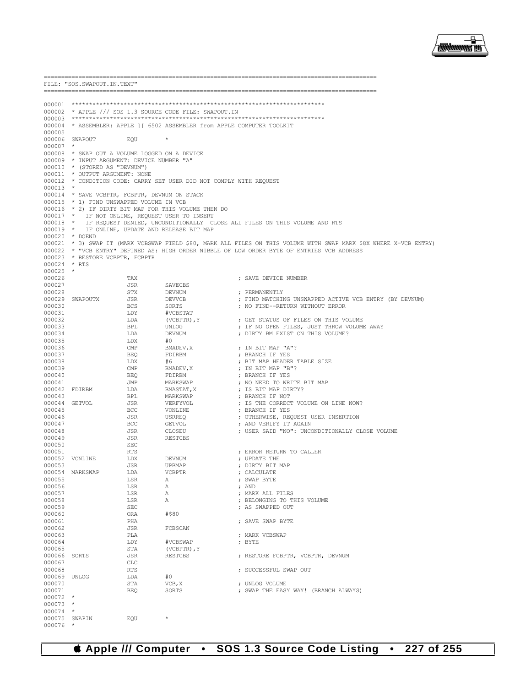|                            | FILE: "SOS.SWAPOUT.IN.TEXT"                   |                   |                                                         |                                                                                                                    |  |  |  |  |  |  |  |
|----------------------------|-----------------------------------------------|-------------------|---------------------------------------------------------|--------------------------------------------------------------------------------------------------------------------|--|--|--|--|--|--|--|
|                            | _____________________________                 |                   |                                                         |                                                                                                                    |  |  |  |  |  |  |  |
|                            |                                               |                   |                                                         |                                                                                                                    |  |  |  |  |  |  |  |
|                            |                                               |                   | 000002 * APPLE /// SOS 1.3 SOURCE CODE FILE: SWAPOUT.IN |                                                                                                                    |  |  |  |  |  |  |  |
|                            |                                               |                   |                                                         |                                                                                                                    |  |  |  |  |  |  |  |
|                            |                                               |                   |                                                         | 000004 * ASSEMBLER: APPLE 11 6502 ASSEMBLER from APPLE COMPUTER TOOLKIT                                            |  |  |  |  |  |  |  |
| 000005                     | 000006 SWAPOUT                                | EOU               | $\star$                                                 |                                                                                                                    |  |  |  |  |  |  |  |
| 000007                     | *                                             |                   |                                                         |                                                                                                                    |  |  |  |  |  |  |  |
|                            | 000008 * SWAP OUT A VOLUME LOGGED ON A DEVICE |                   |                                                         |                                                                                                                    |  |  |  |  |  |  |  |
|                            | 000009 * INPUT ARGUMENT: DEVICE NUMBER "A"    |                   |                                                         |                                                                                                                    |  |  |  |  |  |  |  |
|                            | 000010 * (STORED AS "DEVNUM")                 |                   |                                                         |                                                                                                                    |  |  |  |  |  |  |  |
|                            | 000011 * OUTPUT ARGUMENT: NONE                |                   |                                                         |                                                                                                                    |  |  |  |  |  |  |  |
| $000013$ *                 |                                               |                   |                                                         | 000012 * CONDITION CODE: CARRY SET USER DID NOT COMPLY WITH REQUEST                                                |  |  |  |  |  |  |  |
|                            |                                               |                   | 000014 * SAVE VCBPTR, FCBPTR, DEVNUM ON STACK           |                                                                                                                    |  |  |  |  |  |  |  |
|                            | 000015 * 1) FIND UNSWAPPED VOLUME IN VCB      |                   |                                                         |                                                                                                                    |  |  |  |  |  |  |  |
|                            |                                               |                   | 000016 * 2) IF DIRTY BIT MAP FOR THIS VOLUME THEN DO    |                                                                                                                    |  |  |  |  |  |  |  |
|                            |                                               |                   | 000017 * IF NOT ONLINE, REQUEST USER TO INSERT          |                                                                                                                    |  |  |  |  |  |  |  |
| $000018$ *<br>$000019$ *   |                                               |                   | IF ONLINE, UPDATE AND RELEASE BIT MAP                   | IF REQUEST DENIED, UNCONDITIONALLY CLOSE ALL FILES ON THIS VOLUME AND RTS                                          |  |  |  |  |  |  |  |
|                            | 000020 * DOEND                                |                   |                                                         |                                                                                                                    |  |  |  |  |  |  |  |
|                            |                                               |                   |                                                         | 000021 * 3) SWAP IT (MARK VCBSWAP FIELD \$80, MARK ALL FILES ON THIS VOLUME WITH SWAP MARK \$8X WHERE X=VCB ENTRY) |  |  |  |  |  |  |  |
|                            |                                               |                   |                                                         | 000022 * "VCB ENTRY" DEFINED AS: HIGH ORDER NIBBLE OF LOW ORDER BYTE OF ENTRIES VCB ADDRESS                        |  |  |  |  |  |  |  |
|                            | 000023 * RESTORE VCBPTR, FCBPTR               |                   |                                                         |                                                                                                                    |  |  |  |  |  |  |  |
| 000024 * RTS<br>$000025$ * |                                               |                   |                                                         |                                                                                                                    |  |  |  |  |  |  |  |
| 000026                     |                                               | TAX               |                                                         | ; SAVE DEVICE NUMBER                                                                                               |  |  |  |  |  |  |  |
| 000027                     |                                               | JSR               | SAVECBS                                                 |                                                                                                                    |  |  |  |  |  |  |  |
| 000028                     |                                               | STX               | DEVNUM                                                  | : PERMANENTLY                                                                                                      |  |  |  |  |  |  |  |
| 000029                     | SWAPOUTX                                      | JSR               | <b>DEVVCB</b>                                           | ; FIND MATCHING UNSWAPPED ACTIVE VCB ENTRY (BY DEVNUM)                                                             |  |  |  |  |  |  |  |
| 000030                     |                                               | <b>BCS</b>        | SORTS                                                   | ; NO FIND--RETURN WITHOUT ERROR                                                                                    |  |  |  |  |  |  |  |
| 000031<br>000032           |                                               | LDY<br>LDA        | #VCBSTAT<br>(VCBPTR), Y                                 | ; GET STATUS OF FILES ON THIS VOLUME                                                                               |  |  |  |  |  |  |  |
| 000033                     |                                               | BPL               | UNLOG                                                   | ; IF NO OPEN FILES, JUST THROW VOLUME AWAY                                                                         |  |  |  |  |  |  |  |
| 000034                     |                                               | LDA               | DEVNUM                                                  | ; DIRTY BM EXIST ON THIS VOLUME?                                                                                   |  |  |  |  |  |  |  |
| 000035                     |                                               | LDX               | #0                                                      |                                                                                                                    |  |  |  |  |  |  |  |
| 000036                     |                                               | CMP               | BMADEV, X                                               | ; IN BIT MAP "A"?                                                                                                  |  |  |  |  |  |  |  |
| 000037<br>000038           |                                               | <b>BEO</b><br>LDX | FDIRBM<br>#6                                            | ; BRANCH IF YES<br>; BIT MAP HEADER TABLE SIZE                                                                     |  |  |  |  |  |  |  |
| 000039                     |                                               | CMP               | BMADEV, X                                               | ; IN BIT MAP "B"?                                                                                                  |  |  |  |  |  |  |  |
| 000040                     |                                               | <b>BEQ</b>        | FDIRBM                                                  | ; BRANCH IF YES                                                                                                    |  |  |  |  |  |  |  |
| 000041                     |                                               | JMP               | MARKSWAP                                                | ; NO NEED TO WRITE BIT MAP                                                                                         |  |  |  |  |  |  |  |
|                            | 000042 FDIRBM                                 | LDA               | BMASTAT, X                                              | ; IS BIT MAP DIRTY?                                                                                                |  |  |  |  |  |  |  |
| 000043<br>000044           | GETVOL                                        | <b>BPL</b><br>JSR | MARKSWAP                                                | ; BRANCH IF NOT<br>; IS THE CORRECT VOLUME ON LINE NOW?                                                            |  |  |  |  |  |  |  |
| 000045                     |                                               | BCC               | VERFYVOL<br>VONLINE                                     | ; BRANCH IF YES                                                                                                    |  |  |  |  |  |  |  |
| 000046                     |                                               | JSR               | <b>USRREO</b>                                           | ; OTHERWISE, REQUEST USER INSERTION                                                                                |  |  |  |  |  |  |  |
| 000047                     |                                               | BCC               | GETVOL                                                  | ; AND VERIFY IT AGAIN                                                                                              |  |  |  |  |  |  |  |
| 000048                     |                                               | JSR               | CLOSEU                                                  | ; USER SAID "NO": UNCONDITIONALLY CLOSE VOLUME                                                                     |  |  |  |  |  |  |  |
| 000049                     |                                               | JSR               | RESTCBS                                                 |                                                                                                                    |  |  |  |  |  |  |  |
| 000050<br>000051           |                                               | SEC<br>RTS        |                                                         | ; ERROR RETURN TO CALLER                                                                                           |  |  |  |  |  |  |  |
| 000052                     | VONLINE                                       | LDX               | DEVNUM                                                  | ; UPDATE THE                                                                                                       |  |  |  |  |  |  |  |
| 000053                     |                                               | <b>JSR</b>        | UPBMAP                                                  | ; DIRTY BIT MAP                                                                                                    |  |  |  |  |  |  |  |
|                            | 000054 MARKSWAP                               | LDA               | <b>VCBPTR</b>                                           | ; CALCULATE                                                                                                        |  |  |  |  |  |  |  |
| 000055                     |                                               | LSR               | Α                                                       | ; SWAP BYTE                                                                                                        |  |  |  |  |  |  |  |
| 000056<br>000057           |                                               | LSR<br>LSR        | Α<br>Α                                                  | ; AND<br>; MARK ALL FILES                                                                                          |  |  |  |  |  |  |  |
| 000058                     |                                               | LSR               | Α                                                       | ; BELONGING TO THIS VOLUME                                                                                         |  |  |  |  |  |  |  |
| 000059                     |                                               | SEC               |                                                         | ; AS SWAPPED OUT                                                                                                   |  |  |  |  |  |  |  |
| 000060                     |                                               | ORA               | #\$80                                                   |                                                                                                                    |  |  |  |  |  |  |  |
| 000061                     |                                               | PHA               |                                                         | ; SAVE SWAP BYTE                                                                                                   |  |  |  |  |  |  |  |
| 000062<br>000063           |                                               | JSR               | FCBSCAN                                                 |                                                                                                                    |  |  |  |  |  |  |  |
| 000064                     |                                               | PLA<br>LDY        | #VCBSWAP                                                | ; MARK VCBSWAP<br>; BYTE                                                                                           |  |  |  |  |  |  |  |
| 000065                     |                                               | STA               | $(VCBPTR)$ , $Y$                                        |                                                                                                                    |  |  |  |  |  |  |  |
| 000066                     | SORTS                                         | JSR               | <b>RESTCBS</b>                                          | ; RESTORE FCBPTR, VCBPTR, DEVNUM                                                                                   |  |  |  |  |  |  |  |
| 000067                     |                                               | CLC               |                                                         |                                                                                                                    |  |  |  |  |  |  |  |
| 000068                     |                                               | RTS               |                                                         | ; SUCCESSFUL SWAP OUT                                                                                              |  |  |  |  |  |  |  |
| 000069<br>000070           | UNLOG                                         | LDA<br>STA        | #0<br>VCB, X                                            | ; UNLOG VOLUME                                                                                                     |  |  |  |  |  |  |  |
| 000071                     |                                               | <b>BEQ</b>        | SORTS                                                   | ; SWAP THE EASY WAY! (BRANCH ALWAYS)                                                                               |  |  |  |  |  |  |  |
| $000072$ *                 |                                               |                   |                                                         |                                                                                                                    |  |  |  |  |  |  |  |
| 000073                     | $\star$                                       |                   |                                                         |                                                                                                                    |  |  |  |  |  |  |  |
| 000074<br>000075           | $\star$                                       |                   | $\star$                                                 |                                                                                                                    |  |  |  |  |  |  |  |
| 000076                     | SWAPIN                                        | EQU               |                                                         |                                                                                                                    |  |  |  |  |  |  |  |



. \_\_\_\_\_\_\_\_\_\_\_\_\_\_\_\_\_\_\_\_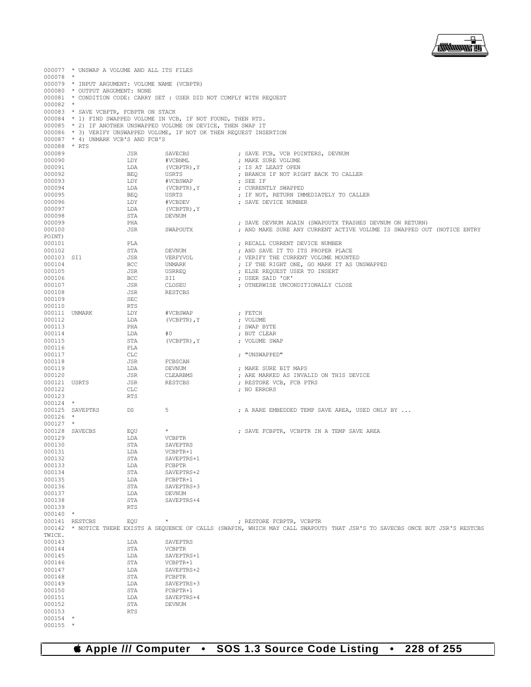

|                        | 000077 * UNSWAP A VOLUME AND ALL ITS FILES    |                   |                                                                                                                                    |  |                                                                                                                                |  |  |  |  |
|------------------------|-----------------------------------------------|-------------------|------------------------------------------------------------------------------------------------------------------------------------|--|--------------------------------------------------------------------------------------------------------------------------------|--|--|--|--|
| $000078$ *             | 000079 * INPUT ARGUMENT: VOLUME NAME (VCBPTR) |                   |                                                                                                                                    |  |                                                                                                                                |  |  |  |  |
|                        | 000080 * OUTPUT ARGUMENT: NONE                |                   |                                                                                                                                    |  |                                                                                                                                |  |  |  |  |
|                        |                                               |                   | 000081 * CONDITION CODE: CARRY SET : USER DID NOT COMPLY WITH REQUEST                                                              |  |                                                                                                                                |  |  |  |  |
| $000082$ *             |                                               |                   |                                                                                                                                    |  |                                                                                                                                |  |  |  |  |
|                        | 000083 * SAVE VCBPTR, FCBPTR ON STACK         |                   |                                                                                                                                    |  |                                                                                                                                |  |  |  |  |
|                        |                                               |                   | 000084 * 1) FIND SWAPPED VOLUME IN VCB, IF NOT FOUND, THEN RTS.<br>000085 * 2) IF ANOTHER UNSWAPPED VOLUME ON DEVICE, THEN SWAP IT |  |                                                                                                                                |  |  |  |  |
|                        |                                               |                   | 000086 * 3) VERIFY UNSWAPPED VOLUME, IF NOT OK THEN REQUEST INSERTION                                                              |  |                                                                                                                                |  |  |  |  |
|                        | 000087 * 4) UNMARK VCB'S AND FCB'S            |                   |                                                                                                                                    |  |                                                                                                                                |  |  |  |  |
| 000088 * RTS           |                                               |                   |                                                                                                                                    |  |                                                                                                                                |  |  |  |  |
| 000089                 |                                               | JSR               | SAVECBS                                                                                                                            |  | ; SAVE FCB, VCB POINTERS, DEVNUM                                                                                               |  |  |  |  |
| 000090<br>000091       |                                               | LDY<br>LDA        | #VCBNML<br>(VCBPTR), Y                                                                                                             |  | ; MAKE SURE VOLUME<br>; IS AT LEAST OPEN                                                                                       |  |  |  |  |
| 000092                 |                                               | <b>BEQ</b>        | USRTS                                                                                                                              |  | ; BRANCH IF NOT RIGHT BACK TO CALLER                                                                                           |  |  |  |  |
| 000093                 |                                               | LDY               | #VCBSWAP                                                                                                                           |  | ; SEE IF                                                                                                                       |  |  |  |  |
| 000094                 |                                               | LDA               | (VCBPTR), Y                                                                                                                        |  | ; CURRENTLY SWAPPED                                                                                                            |  |  |  |  |
| 000095<br>000096       |                                               | <b>BEQ</b><br>LDY | USRTS<br>#VCBDEV                                                                                                                   |  | ; IF NOT, RETURN IMMEDIATELY TO CALLER<br>; SAVE DEVICE NUMBER                                                                 |  |  |  |  |
| 000097                 |                                               | LDA               | (VCBPTR), Y                                                                                                                        |  |                                                                                                                                |  |  |  |  |
| 000098                 |                                               | STA               | DEVNUM                                                                                                                             |  |                                                                                                                                |  |  |  |  |
| 000099                 |                                               | PHA               |                                                                                                                                    |  | ; SAVE DEVNUM AGAIN (SWAPOUTX TRASHES DEVNUM ON RETURN)                                                                        |  |  |  |  |
| 000100<br>POINT)       |                                               | JSR               | SWAPOUTX                                                                                                                           |  | ; AND MAKE SURE ANY CURRENT ACTIVE VOLUME IS SWAPPED OUT (NOTICE ENTRY                                                         |  |  |  |  |
| 000101                 |                                               | PLA               |                                                                                                                                    |  | ; RECALL CURRENT DEVICE NUMBER                                                                                                 |  |  |  |  |
| 000102                 |                                               | STA               | DEVNUM                                                                                                                             |  | ; AND SAVE IT TO ITS PROPER PLACE                                                                                              |  |  |  |  |
| 000103 SI1             |                                               | JSR               | VERFYVOL                                                                                                                           |  | ; VERIFY THE CURRENT VOLUME MOUNTED                                                                                            |  |  |  |  |
| 000104<br>000105       |                                               | BCC<br>JSR        | UNMARK<br><b>USRREQ</b>                                                                                                            |  | ; IF THE RIGHT ONE, GO MARK IT AS UNSWAPPED<br>; ELSE REQUEST USER TO INSERT                                                   |  |  |  |  |
| 000106                 |                                               | $_{\mathrm{BCC}}$ | SI1                                                                                                                                |  | ; USER SAID 'OK'                                                                                                               |  |  |  |  |
| 000107                 |                                               | JSR               | CLOSEU                                                                                                                             |  | ; OTHERWISE UNCONDITIONALLY CLOSE                                                                                              |  |  |  |  |
| 000108                 |                                               | JSR               | RESTCBS                                                                                                                            |  |                                                                                                                                |  |  |  |  |
| 000109<br>000110       |                                               | SEC<br><b>RTS</b> |                                                                                                                                    |  |                                                                                                                                |  |  |  |  |
| 000111 UNMARK          |                                               | LDY               | #VCBSWAP                                                                                                                           |  | ; FETCH                                                                                                                        |  |  |  |  |
| 000112                 |                                               | LDA               | $(VCBPTR)$ , $Y$                                                                                                                   |  | ; VOLUME                                                                                                                       |  |  |  |  |
| 000113                 |                                               | PHA               |                                                                                                                                    |  | ; SWAP BYTE                                                                                                                    |  |  |  |  |
| 000114<br>000115       |                                               | LDA<br>STA        | #0<br>$(VCBPTR)$ , $Y$                                                                                                             |  | ; BUT CLEAR                                                                                                                    |  |  |  |  |
| 000116                 |                                               | PLA               |                                                                                                                                    |  | ; VOLUME SWAP                                                                                                                  |  |  |  |  |
| 000117                 |                                               | <b>CLC</b>        |                                                                                                                                    |  | ; "UNSWAPPED"                                                                                                                  |  |  |  |  |
| 000118                 |                                               | JSR               | FCBSCAN                                                                                                                            |  |                                                                                                                                |  |  |  |  |
| 000119                 |                                               | LDA               | DEVNUM                                                                                                                             |  | ; MAKE SURE BIT MAPS                                                                                                           |  |  |  |  |
| 000120<br>000121 USRTS |                                               | JSR<br>JSR        | CLEARBMS<br><b>RESTCBS</b>                                                                                                         |  | ; ARE MARKED AS INVALID ON THIS DEVICE<br>; RESTORE VCB, FCB PTRS                                                              |  |  |  |  |
| 000122                 |                                               | CLC               |                                                                                                                                    |  | ; NO ERRORS                                                                                                                    |  |  |  |  |
| 000123                 |                                               | <b>RTS</b>        |                                                                                                                                    |  |                                                                                                                                |  |  |  |  |
| $000124$ *             |                                               |                   |                                                                                                                                    |  |                                                                                                                                |  |  |  |  |
| $000126$ *             | 000125 SAVEPTRS                               | DS                | 5                                                                                                                                  |  | ; A RARE EMBEDDED TEMP SAVE AREA, USED ONLY BY                                                                                 |  |  |  |  |
| $000127$ *             |                                               |                   |                                                                                                                                    |  |                                                                                                                                |  |  |  |  |
| 000128 SAVECBS         |                                               | EOU               | $\star$                                                                                                                            |  | ; SAVE FCBPTR, VCBPTR IN A TEMP SAVE AREA                                                                                      |  |  |  |  |
| 000129<br>000130       |                                               | LDA<br>STA        | <b>VCBPTR</b><br>SAVEPTRS                                                                                                          |  |                                                                                                                                |  |  |  |  |
| 000131                 |                                               | LDA               | VCBPTR+1                                                                                                                           |  |                                                                                                                                |  |  |  |  |
| 000132                 |                                               | STA               | SAVEPTRS+1                                                                                                                         |  |                                                                                                                                |  |  |  |  |
| 000133                 |                                               | LDA               | <b>FCBPTR</b>                                                                                                                      |  |                                                                                                                                |  |  |  |  |
| 000134<br>000135       |                                               | STA<br>LDA        | SAVEPTRS+2<br>FCBPTR+1                                                                                                             |  |                                                                                                                                |  |  |  |  |
| 000136                 |                                               | STA               | SAVEPTRS+3                                                                                                                         |  |                                                                                                                                |  |  |  |  |
| 000137                 |                                               | LDA               | DEVNUM                                                                                                                             |  |                                                                                                                                |  |  |  |  |
| 000138                 |                                               | STA               | SAVEPTRS+4                                                                                                                         |  |                                                                                                                                |  |  |  |  |
| 000139<br>000140       | $\star$                                       | <b>RTS</b>        |                                                                                                                                    |  |                                                                                                                                |  |  |  |  |
|                        | 000141 RESTCBS                                | EQU               | $\star$                                                                                                                            |  | ; RESTORE FCBPTR, VCBPTR                                                                                                       |  |  |  |  |
|                        |                                               |                   |                                                                                                                                    |  | 000142 * NOTICE THERE EXISTS A SEQUENCE OF CALLS (SWAPIN, WHICH MAY CALL SWAPOUT) THAT JSR'S TO SAVECBS ONCE BUT JSR'S RESTCBS |  |  |  |  |
| TWICE.                 |                                               |                   |                                                                                                                                    |  |                                                                                                                                |  |  |  |  |
| 000143<br>000144       |                                               | LDA<br>STA        | SAVEPTRS<br><b>VCBPTR</b>                                                                                                          |  |                                                                                                                                |  |  |  |  |
| 000145                 |                                               | LDA               | SAVEPTRS+1                                                                                                                         |  |                                                                                                                                |  |  |  |  |
| 000146                 |                                               | STA               | VCBPTR+1                                                                                                                           |  |                                                                                                                                |  |  |  |  |
| 000147                 |                                               | LDA               | SAVEPTRS+2                                                                                                                         |  |                                                                                                                                |  |  |  |  |
| 000148<br>000149       |                                               | STA<br>LDA        | FCBPTR<br>SAVEPTRS+3                                                                                                               |  |                                                                                                                                |  |  |  |  |
| 000150                 |                                               | STA               | FCBPTR+1                                                                                                                           |  |                                                                                                                                |  |  |  |  |
| 000151                 |                                               | LDA               | SAVEPTRS+4                                                                                                                         |  |                                                                                                                                |  |  |  |  |
| 000152                 |                                               | STA               | DEVNUM                                                                                                                             |  |                                                                                                                                |  |  |  |  |
| 000153<br>$000154$ *   |                                               | <b>RTS</b>        |                                                                                                                                    |  |                                                                                                                                |  |  |  |  |
|                        |                                               |                   |                                                                                                                                    |  |                                                                                                                                |  |  |  |  |

000155 \*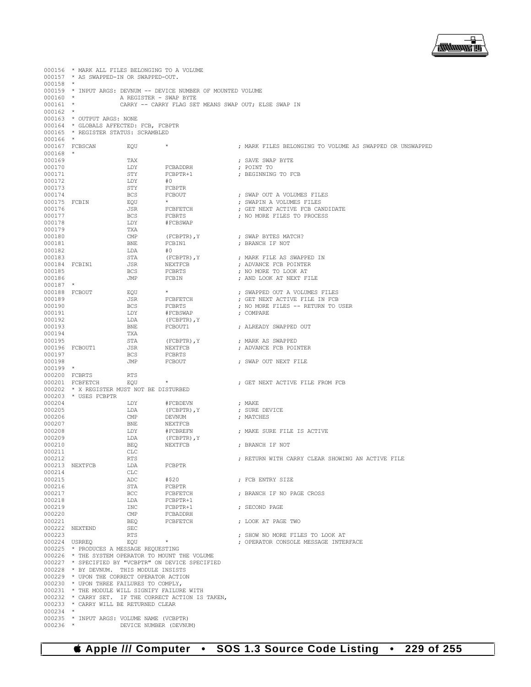

000156 \* MARK ALL FILES BELONGING TO A VOLUME 000157 \* AS SWAPPED-IN OR SWAPPED-OUT.  $000158$  \*<br>000159 \* 000159  $*$  INPUT ARGS: DEVNUM -- DEVICE NUMBER OF MOUNTED VOLUME 000160  $*$ <br>000160  $*$ 000160 \* A REGISTER - SWAP BYTE CARRY -- CARRY FLAG SET MEANS SWAP OUT; ELSE SWAP IN  $000162$  \* \* OUTPUT ARGS: NONE 000164 \* GLOBALS AFFECTED: FCB, FCBPTR 000165 \* REGISTER STATUS: SCRAMBLED \* REGISTER STATUS: SCRAMBLED 000166 \*<br>000167 FCBSCAN 000167 FCBSCAN EQU \* ; MARK FILES BELONGING TO VOLUME AS SWAPPED OR UNSWAPPED 000168<br>000169 000169 TAX ; SAVE SWAP BYTE 000170 LDY FCBADDRH ; POINT TO  $\begin{array}{lll}\n\texttt{STY} & \texttt{FCBPTR+1} \\
\texttt{IDY} & \texttt{\#0}\n\end{array}\n\quad \texttt{PCBPTR+1} \quad \texttt{PDC} \quad \texttt{PCGINNING TO FCB}$ 000172 LDY<br>000173 STY % 000173 STY FCBPTR 000174 BCS FCBOUT 000174 BCS FCBOUT ; SWAP OUT A VOLUMES FILES 000175 FCBIN EQU \* ; SWAPIN A VOLUMES FILES 000176 JSR FCBFETCH ; GET NEXT ACTIVE FCB CANDIDATE 000177 BCS FCBRTS ; NO MORE FILES TO PROCESS LDY #FCBSWAP<br>TXA 000179 TXA<br>000180 CMP 000180  $\begin{array}{ccc}\n 0.0180 & \text{CMP} \\
 \text{CMP} & \text{FCBPTR} & \text{Y} \\
 \text{DO0181} & \text{BNTE} & \text{ROT} \\
 \end{array}$ 000181 BNE FCBIN1 ; BRANCH IF NOT  $\begin{array}{ccccccccc} 000182 &&&&&\text{LDA}&&\text{\#0} \\ 000183 &&&&\text{STA} &&\text{(FCBPTR) , Y} \end{array}$ 000183 STA (FCBPTR),Y ; MARK FILE AS SWAPPED IN 000184 FCBIN1 JSR NEXTFCB ; ADVANCE FCB POINTER ; NO MORE TO LOOK AT 000186 JMP FCBIN ; AND LOOK AT NEXT FILE 000187 \*<br>000188 FCBOUT 000188 FCBOUT EQU \* ; SWAPPED OUT A VOLUMES FILES 000189 JSR FCBFETCH ; GET NEXT ACTIVE FILE IN FCB 000190 BCS FCBRTS ; NO MORE FILES -- RETURN TO USER 000191 LDY #FCBSWAP ; COMPARE 000192 LDA (FCBPTR), Y<br>000193 RNF. FCBOUT1 BNE FCBOUT1 ; ALREADY SWAPPED OUT TXA 000194 TXA<br>000195 STA 000195 STA (FCBPTR),Y ; MARK AS SWAPPED 000196 FCBOUT1 JSR NEXTFCB ; ADVANCE FCB POINTER 000197 BCS FCBRTS ; SWAP OUT NEXT FILE 000199 \* 000200 FCBRTS RTS<br>000201 FCBFETCH EQU 000201 FCBFETCH EQU \*  $\downarrow$  ; GET NEXT ACTIVE FILE FROM FCB 000202 \* X REGISTER MUST NOT BE DISTURBED 000202  $\star$  X REGISTER MUST NOT BE DISTURBED 000203  $\star$  USES FCBPTR 000203 \* USES FCBPTR<br>000204 000204 LDY #FCBDEVN ; MAKE <br>000205 LDA (FCBPTR), Y; SURE 000205 LDA (FCBPTR), Y ; SURE DEVICE 000206 (MP DEVINUM) research to the DEVICE 000206 CMP DEVNUM ; MATCHES 000207 BNE NEXTFCB<br>000208 LDY #FCBREFN 000208  $LDY$  #FCBREFN ; MAKE SURE FILE IS ACTIVE 000209  $LDA$  (FCBPTR),  $Y$ 000209 LDA (FCBPTR), Y<br>000210 BEQ NEXTFCB 000210 BEQ NEXTFCB ; BRANCH IF NOT 000211 CLC<br>000212 RTS 000212 RTS ; RETURN WITH CARRY CLEAR SHOWING AN ACTIVE FILE 000213 NEXTFCB LDA<br>000214 CLC 000214 CLC<br>000215 ADC 000215 ADC #\$20 ; FCB ENTRY SIZE 000216 STA FCBPTR 000217 BCC FCBFETCH ; BRANCH IF NO PAGE CROSS  $FCBPTR+1$ 000219 INC FCBPTR+1 ; SECOND PAGE 000220 CMP FCBADDRH<br>000221 BEO FCBFETCH 000221 BEQ FCBFETCH ; LOOK AT PAGE TWO 000222 NEXTEND SEC 000223 RTS ; SHOW NO MORE FILES TO LOOK AT : OPERATOR CONSOLE MESSAGE INTERFACE 000225 \* PRODUCES A MESSAGE REQUESTING 000226 \* THE SYSTEM OPERATOR TO MOUNT THE VOLUME 000227 \* SPECIFIED BY "VCBPTR" ON DEVICE SPECIFIED 000228 \* BY DEVNUM. THIS MODULE INSISTS<br>000229 \* UPON THE CORRECT OPERATOR ACTION \* UPON THE CORRECT OPERATOR ACTION 000230 \* UPON THREE FAILURES TO COMPLY,<br>000231 \* THE MODULE WILL SIGNIFY FAILUR 000231 \* THE MODULE WILL SIGNIFY FAILURE WITH 000232 \* CARRY SET. IF THE CORRECT ACTION IS 000232 \* CARRY SET. IF THE CORRECT ACTION IS TAKEN,<br>000233 \* CARRY WILL BE RETURNED CLEAR \* CARRY WILL BE RETURNED CLEAR 000234<br>000235 000235 \* INPUT ARGS: VOLUME NAME (VCBPTR)<br>000236 \* DEVICE NUMBER (DEVNU DEVICE NUMBER (DEVNUM)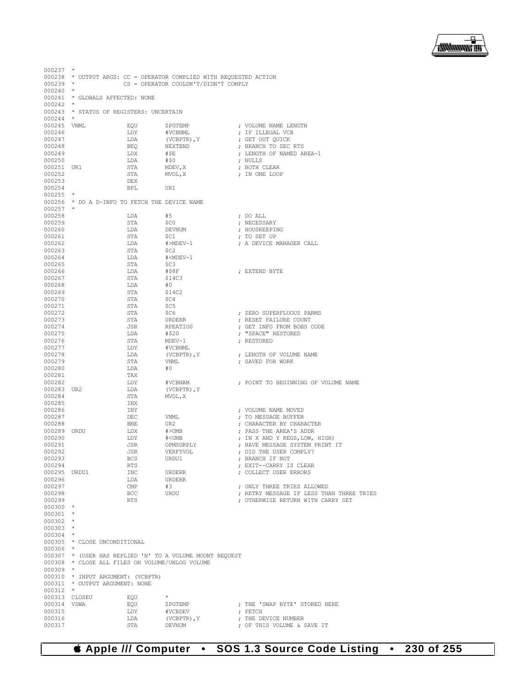## **Apple /// Computer • SOS 1.3 Source Code Listing • 230 of 255**

| $000237$ *            |                                                                    |                          |                                                                        |  |                                                                        |  |  |
|-----------------------|--------------------------------------------------------------------|--------------------------|------------------------------------------------------------------------|--|------------------------------------------------------------------------|--|--|
|                       | 000238 * OUTPUT ARGS: CC = OPERATOR COMPLIED WITH REQUESTED ACTION |                          |                                                                        |  |                                                                        |  |  |
| $000239$ *            | CS = OPERATOR COULDN'T/DIDN'T COMPLY                               |                          |                                                                        |  |                                                                        |  |  |
| $000240$ *            |                                                                    |                          |                                                                        |  |                                                                        |  |  |
|                       | 000241 * GLOBALS AFFECTED: NONE                                    |                          |                                                                        |  |                                                                        |  |  |
| $000242$ *            |                                                                    |                          |                                                                        |  |                                                                        |  |  |
|                       | 000243 * STATUS OF REGISTERS: UNCERTAIN                            |                          |                                                                        |  |                                                                        |  |  |
| $000244$ *            |                                                                    |                          |                                                                        |  |                                                                        |  |  |
| 000245 VNML           |                                                                    | EOU                      | ZPGTEMP                                                                |  | ; VOLUME NAME LENGTH                                                   |  |  |
| 000246                |                                                                    | LDY                      | #VCBNML                                                                |  | ; IF ILLEGAL VCB                                                       |  |  |
| 000247                |                                                                    | LDA                      | (VCBPTR), Y                                                            |  | ; GET OUT QUICK                                                        |  |  |
| 000248                |                                                                    | BEO                      | NEXTEND                                                                |  | ; BRANCH TO SEC RTS                                                    |  |  |
| 000249                |                                                                    | LDX                      | #\$E                                                                   |  | ; LENGTH OF NAMED AREA-1                                               |  |  |
| 000250                |                                                                    | LDA                      | #50                                                                    |  | ; NULLS                                                                |  |  |
| 000251 UR1            |                                                                    | STA                      | MDEV, X                                                                |  | ; BOTH CLEAR                                                           |  |  |
| 000252                |                                                                    | STA                      | MVOL, X                                                                |  | ; IN ONE LOOP                                                          |  |  |
| 000253                |                                                                    | DEX                      |                                                                        |  |                                                                        |  |  |
| 000254                |                                                                    | <b>BPL</b>               | UR1                                                                    |  |                                                                        |  |  |
| $000255$ *            |                                                                    |                          |                                                                        |  |                                                                        |  |  |
|                       | 000256 * DO A D-INFO TO FETCH THE DEVICE NAME                      |                          |                                                                        |  |                                                                        |  |  |
| $000257$ *            |                                                                    |                          |                                                                        |  |                                                                        |  |  |
| 000258                |                                                                    | LDA                      | #5<br>\$CO                                                             |  | ; DO ALL                                                               |  |  |
| 000259                |                                                                    | STA                      |                                                                        |  | ; NECESSARY                                                            |  |  |
| 000260<br>000261      |                                                                    | LDA<br>STA               | DEVNUM<br>\$C1                                                         |  | ; HOUSKEEPING<br>; TO SET UP                                           |  |  |
| 000262                |                                                                    | LDA                      | #>MDEV-1                                                               |  | ; A DEVICE MANAGER CALL                                                |  |  |
| 000263                |                                                                    | STA                      | - \$C2                                                                 |  |                                                                        |  |  |
| 000264                |                                                                    | LDA                      | # <mdev-1< td=""><td></td><td></td></mdev-1<>                          |  |                                                                        |  |  |
| 000265                |                                                                    | STA                      | SC3                                                                    |  |                                                                        |  |  |
| 000266                |                                                                    | LDA                      | #S8F                                                                   |  | ; EXTEND BYTE                                                          |  |  |
| 000267                |                                                                    | STA                      | \$14C3                                                                 |  |                                                                        |  |  |
| 000268                |                                                                    | LDA                      | #0                                                                     |  |                                                                        |  |  |
| 000269                |                                                                    | STA                      | \$14C2                                                                 |  |                                                                        |  |  |
| 000270                |                                                                    | STA                      | - \$C4                                                                 |  |                                                                        |  |  |
| 000271                |                                                                    | STA                      | \$C5                                                                   |  |                                                                        |  |  |
| 000272                |                                                                    | STA                      | SC6                                                                    |  | ; ZERO SUPERFLUOUS PARMS                                               |  |  |
| 000273                |                                                                    | STA                      | URDERR                                                                 |  | ; RESET FAILURE COUNT                                                  |  |  |
| 000274                |                                                                    | JSR                      | RPEATIO0                                                               |  | ; GET INFO FROM BOBS CODE                                              |  |  |
| 000275                |                                                                    | LDA                      | #\$20                                                                  |  | ; "SPACE" RESTORED                                                     |  |  |
| 000276                |                                                                    | STA                      | $MDEV-1$                                                               |  | ; RESTORED                                                             |  |  |
| 000277                |                                                                    | LDY                      | #VCBNML                                                                |  |                                                                        |  |  |
| 000278                |                                                                    | LDA                      | (VCBPTR), Y                                                            |  | ; LENGTH OF VOLUME NAME                                                |  |  |
| 000279<br>000280      |                                                                    | STA<br>LDA               | VNML<br>#0                                                             |  | ; SAVED FOR WORK                                                       |  |  |
| 000281                |                                                                    | TAX                      |                                                                        |  |                                                                        |  |  |
| 000282                |                                                                    | LDY                      | #VCBNAM                                                                |  | ; POINT TO BEGINNING OF VOLUME NAME                                    |  |  |
| 000283 UR2            |                                                                    | LDA                      | (VCBPTR), Y                                                            |  |                                                                        |  |  |
| 000284                |                                                                    | STA                      | MVOL, X                                                                |  |                                                                        |  |  |
| 000285                |                                                                    | INX                      |                                                                        |  |                                                                        |  |  |
| 000286                |                                                                    | INY                      |                                                                        |  | ; VOLUME NAME MOVED                                                    |  |  |
| 000287                |                                                                    | DEC                      | VNML                                                                   |  | : TO MESSAGE BUFFER                                                    |  |  |
| 000288                |                                                                    | BNE                      | UR2                                                                    |  | ; CHARACTER BY CHARACTER                                               |  |  |
| 000289 URDU           |                                                                    | LDX                      | #>UMB<br># <umb< td=""><td></td><td>; PASS THE AREA'S ADDR</td></umb<> |  | ; PASS THE AREA'S ADDR                                                 |  |  |
| 000290                |                                                                    | LDY                      |                                                                        |  | ; IN X AND Y REGS, LOW, HIGH)                                          |  |  |
| 000291                |                                                                    | JSR                      | OPMSGRPLY                                                              |  | ; HAVE MESSAGE SYSTEM PRINT IT                                         |  |  |
| 000292                |                                                                    | JSR                      | VERFYVOL                                                               |  | ; DID THE USER COMPLY?                                                 |  |  |
| 000293                |                                                                    | BCS                      | URDU1                                                                  |  | ; BRANCH IF NOT                                                        |  |  |
| 000294                |                                                                    | RTS                      |                                                                        |  | ; EXIT--CARRY IS CLEAR                                                 |  |  |
| 000295 URDU1          |                                                                    | INC                      | URDERR                                                                 |  | ; COLLECT USER ERRORS                                                  |  |  |
| 000296                |                                                                    | LDA                      | URDERR                                                                 |  |                                                                        |  |  |
| 000297<br>000298      |                                                                    | $\mathop{\mathrm{CMP}}$  | #3<br>URDU                                                             |  | ; ONLY THREE TRIES ALLOWED<br>; RETRY MESSAGE IF LESS THAN THREE TRIES |  |  |
| 000299                |                                                                    | <b>BCC</b><br><b>RTS</b> |                                                                        |  | : OTHERWISE RETURN WITH CARRY SET                                      |  |  |
| $000300$ *            |                                                                    |                          |                                                                        |  |                                                                        |  |  |
| $000301$ *            |                                                                    |                          |                                                                        |  |                                                                        |  |  |
| $000302$ *            |                                                                    |                          |                                                                        |  |                                                                        |  |  |
| $000303$ *            |                                                                    |                          |                                                                        |  |                                                                        |  |  |
| $000304$ *            |                                                                    |                          |                                                                        |  |                                                                        |  |  |
|                       | 000305 * CLOSE UNCONDITIONAL                                       |                          |                                                                        |  |                                                                        |  |  |
| $000306$ *            |                                                                    |                          |                                                                        |  |                                                                        |  |  |
|                       |                                                                    |                          | 000307 * (USER HAS REPLIED 'N' TO A VOLUME MOUNT REQUEST               |  |                                                                        |  |  |
|                       | 000308 * CLOSE ALL FILES ON VOLUME/UNLOG VOLUME                    |                          |                                                                        |  |                                                                        |  |  |
| $000309$ *            |                                                                    |                          |                                                                        |  |                                                                        |  |  |
|                       | 000310 * INPUT ARGUMENT: (VCBPTR)                                  |                          |                                                                        |  |                                                                        |  |  |
|                       | 000311 * OUTPUT ARGUMENT: NONE                                     |                          |                                                                        |  |                                                                        |  |  |
| $000312$ *            |                                                                    |                          |                                                                        |  |                                                                        |  |  |
|                       | 000313 CLOSEU                                                      | EOU                      | $\star$                                                                |  |                                                                        |  |  |
| 000314 VSWA<br>000315 |                                                                    | EQU<br>LDY               | ZPGTEMP<br>#VCBDEV                                                     |  | ; THE 'SWAP BYTE' STORED HERE<br>; FETCH                               |  |  |
| 000316                |                                                                    | LDA                      | (VCBPTR), Y                                                            |  | ; THE DEVICE NUMBER                                                    |  |  |
| 000317                |                                                                    | STA                      | DEVNUM                                                                 |  | ; OF THIS VOLUME & SAVE IT                                             |  |  |
|                       |                                                                    |                          |                                                                        |  |                                                                        |  |  |

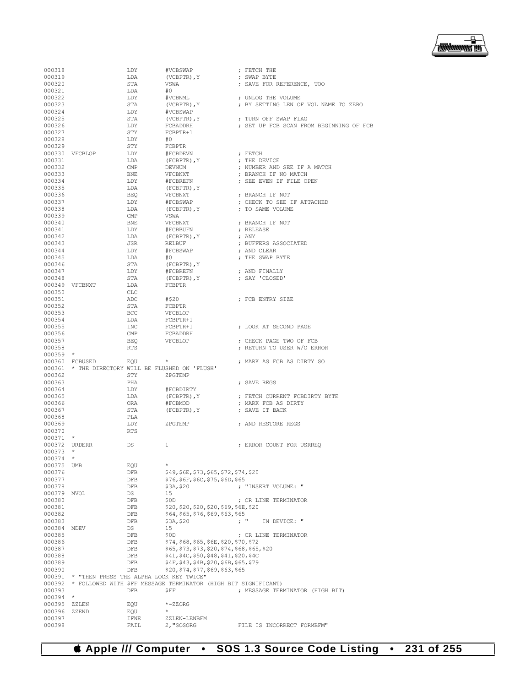

| 000318     |                                                   | LDY        | #VCBSWAP                                                       | ; FETCH THE                                      |
|------------|---------------------------------------------------|------------|----------------------------------------------------------------|--------------------------------------------------|
| 000319     |                                                   | LDA        | (VCBPTR), Y                                                    | ; SWAP BYTE                                      |
| 000320     |                                                   | STA        | VSWA                                                           | ; SAVE FOR REFERENCE, TOO                        |
| 000321     |                                                   | LDA        | #0                                                             |                                                  |
| 000322     |                                                   | LDY        | #VCBNML                                                        | ; UNLOG THE VOLUME                               |
| 000323     |                                                   | STA        | (VCBPTR), Y                                                    | ; BY SETTING LEN OF VOL NAME TO ZERO             |
| 000324     |                                                   | LDY        | #VCBSWAP                                                       |                                                  |
| 000325     |                                                   | STA        | (VCBPTR), Y                                                    | ; TURN OFF SWAP FLAG                             |
| 000326     |                                                   | LDY        | FCBADDRH                                                       | ; SET UP FCB SCAN FROM BEGINNING OF FCB          |
| 000327     |                                                   | STY        | FCBPTR+1                                                       |                                                  |
| 000328     |                                                   | LDY        | #0                                                             |                                                  |
| 000329     |                                                   | STY        | FCBPTR                                                         |                                                  |
|            | 000330 VFCBLOP                                    | LDY        | #FCBDEVN                                                       | ; FETCH                                          |
|            |                                                   |            |                                                                |                                                  |
| 000331     |                                                   | LDA        | (FCBPTR), Y                                                    | ; THE DEVICE                                     |
| 000332     |                                                   | CMP        | DEVNUM                                                         | ; NUMBER AND SEE IF A MATCH                      |
| 000333     |                                                   | BNE        | VFCBNXT                                                        | ; BRANCH IF NO MATCH                             |
| 000334     |                                                   | LDY        | #FCBREFN                                                       | ; SEE EVEN IF FILE OPEN                          |
| 000335     |                                                   | LDA        | (FCBPTR), Y                                                    |                                                  |
| 000336     |                                                   | BEO        | VFCBNXT                                                        | ; BRANCH IF NOT                                  |
| 000337     |                                                   | LDY        | #FCBSWAP                                                       | ; CHECK TO SEE IF ATTACHED                       |
| 000338     |                                                   | LDA        | (FCBPTR), Y                                                    | ; TO SAME VOLUME                                 |
| 000339     |                                                   | CMP        | VSWA                                                           |                                                  |
| 000340     |                                                   | BNE        | VFCBNXT                                                        | ; BRANCH IF NOT                                  |
| 000341     |                                                   | LDY        | #FCBBUFN                                                       | ; RELEASE                                        |
| 000342     |                                                   | LDA        | (FCBPTR), Y                                                    | ; ANY                                            |
| 000343     |                                                   | JSR        | RELBUF                                                         | ; BUFFERS ASSOCIATED                             |
| 000344     |                                                   | LDY        | #FCBSWAP                                                       | ; AND CLEAR                                      |
| 000345     |                                                   | LDA        | #O                                                             | ; THE SWAP BYTE                                  |
| 000346     |                                                   | STA        | (FCBPTR), Y                                                    |                                                  |
| 000347     |                                                   | LDY        | #FCBREFN                                                       | ; AND FINALLY                                    |
| 000348     |                                                   | STA        | (FCBPTR), Y                                                    | ; SAY 'CLOSED'                                   |
|            | 000349 VFCBNXT                                    | LDA        | FCBPTR                                                         |                                                  |
| 000350     |                                                   | CLC        |                                                                |                                                  |
| 000351     |                                                   | ADC        | #\$20                                                          | : FCB ENTRY SIZE                                 |
| 000352     |                                                   | STA        | FCBPTR                                                         |                                                  |
| 000353     |                                                   | BCC        | VFCBLOP                                                        |                                                  |
| 000354     |                                                   | LDA        | FCBPTR+1                                                       |                                                  |
|            |                                                   |            |                                                                |                                                  |
| 000355     |                                                   | INC        | FCBPTR+1                                                       | ; LOOK AT SECOND PAGE                            |
| 000356     |                                                   | CMP        | FCBADDRH                                                       |                                                  |
| 000357     |                                                   | BEO        | VFCBLOP                                                        | ; CHECK PAGE TWO OF FCB                          |
| 000358     | $\star$                                           | <b>RTS</b> |                                                                | ; RETURN TO USER W/O ERROR                       |
| 000359     |                                                   |            |                                                                |                                                  |
|            | 000360 FCBUSED                                    | EOU        | $\star$                                                        | ; MARK AS FCB AS DIRTY SO                        |
|            | 000361 * THE DIRECTORY WILL BE FLUSHED ON 'FLUSH' |            |                                                                |                                                  |
| 000362     |                                                   | STY        | ZPGTEMP                                                        |                                                  |
| 000363     |                                                   | PHA        |                                                                | ; SAVE REGS                                      |
| 000364     |                                                   | LDY        | #FCBDIRTY                                                      |                                                  |
| 000365     |                                                   | LDA        | (FCBPTR), Y                                                    | ; FETCH CURRENT FCBDIRTY BYTE                    |
| 000366     |                                                   | ORA        | #FCBMOD                                                        | ; MARK FCB AS DIRTY                              |
| 000367     |                                                   | STA        | (FCBPTR), Y                                                    | ; SAVE IT BACK                                   |
| 000368     |                                                   | PLA        |                                                                |                                                  |
| 000369     |                                                   | LDY        | ZPGTEMP                                                        | ; AND RESTORE REGS                               |
| 000370     |                                                   | RTS        |                                                                |                                                  |
| 000371     | $\star$                                           |            |                                                                |                                                  |
|            | 000372 URDERR                                     | DS         | 1                                                              | ; ERROR COUNT FOR USRREQ                         |
| $000373$ * |                                                   |            |                                                                |                                                  |
| 000374     |                                                   |            |                                                                |                                                  |
| 000375     | UMB                                               | EQU        | $\star$                                                        |                                                  |
| 000376     |                                                   | DFB        | \$49, \$6E, \$73, \$65, \$72, \$74, \$20                       |                                                  |
| 000377     |                                                   | DFB        | \$76, \$6F, \$6C, \$75, \$6D, \$65                             |                                                  |
| 000378     |                                                   | DFB        | \$3A, \$20                                                     | ; "INSERT VOLUME: "                              |
| 000379     |                                                   | DS         | 15                                                             |                                                  |
|            | MVOL                                              |            |                                                                |                                                  |
| 000380     |                                                   | DFB        | \$0D                                                           | ; CR LINE TERMINATOR                             |
| 000381     |                                                   | DFB        | \$20,\$20,\$20,\$20,\$69,\$6E,\$20                             |                                                  |
| 000382     |                                                   | DFB        | \$64,\$65,\$76,\$69,\$63,\$65                                  |                                                  |
| 000383     |                                                   | DFB        | \$3A, \$20                                                     | $\mathfrak{z}$ $^{\prime\prime}$<br>IN DEVICE: " |
| 000384     | MDEV                                              | DS         | 15                                                             |                                                  |
| 000385     |                                                   | DFB        | \$0D                                                           | ; CR LINE TERMINATOR                             |
| 000386     |                                                   | DFB        | \$74,\$68,\$65,\$6E,\$20,\$70,\$72                             |                                                  |
| 000387     |                                                   | DFB        | \$65,\$73,\$73,\$20,\$74,\$68,\$65,\$20                        |                                                  |
| 000388     |                                                   | DFB        | \$41, \$4C, \$50, \$48, \$41, \$20, \$4C                       |                                                  |
| 000389     |                                                   | DFB        | \$4F, \$43, \$4B, \$20, \$6B, \$65, \$79                       |                                                  |
| 000390     |                                                   | DFB        | \$20,\$74,\$77,\$69,\$63,\$65                                  |                                                  |
| 000391     | * "THEN PRESS THE ALPHA LOCK KEY TWICE"           |            |                                                                |                                                  |
| 000392     |                                                   |            | * FOLLOWED WITH \$FF MESSAGE TERMINATOR (HIGH BIT SIGNIFICANT) |                                                  |
| 000393     |                                                   | DFB        | ŞFF                                                            | ; MESSAGE TERMINATOR (HIGH BIT)                  |
| 000394     | $\star$                                           |            |                                                                |                                                  |
| 000395     | ZZLEN                                             | EQU        | $*-$ z $ZORG$                                                  |                                                  |
| 000396     | ZZEND                                             | EQU        | $^{\star}$                                                     |                                                  |
| 000397     |                                                   | IFNE       | ZZLEN-LENBFM                                                   |                                                  |
| 000398     |                                                   |            | 2, "SOSORG                                                     |                                                  |
|            |                                                   | FAIL       |                                                                | FILE IS INCORRECT FORMBFM"                       |

 **Apple /// Computer • SOS 1.3 Source Code Listing • 231 of 255**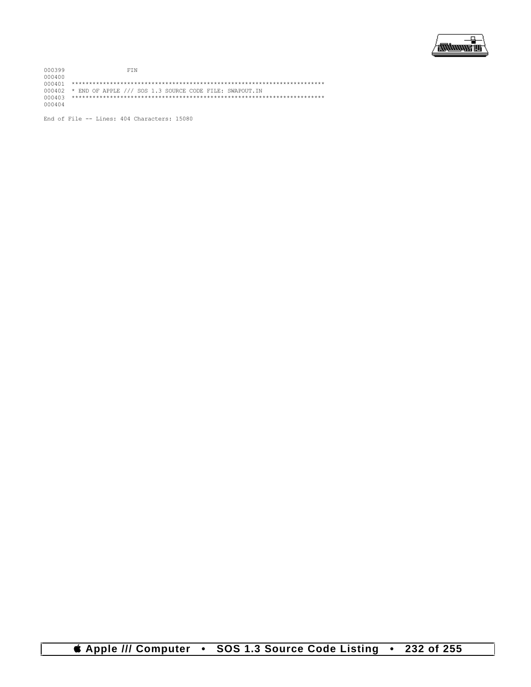

000399 FIN 000400 000401 \*\*\*\*\*\*\*\*\*\*\*\*\*\*\*\*\*\*\*\*\*\*\*\*\*\*\*\*\*\*\*\*\*\*\*\*\*\*\*\*\*\*\*\*\*\*\*\*\*\*\*\*\*\*\*\*\*\*\*\*\*\*\*\*\*\*\*\*\*\*\*\*\* 000402 \* END OF APPLE /// SOS 1.3 SOURCE CODE FILE: SWAPOUT.IN 000403 \*\*\*\*\*\*\*\*\*\*\*\*\*\*\*\*\*\*\*\*\*\*\*\*\*\*\*\*\*\*\*\*\*\*\*\*\*\*\*\*\*\*\*\*\*\*\*\*\*\*\*\*\*\*\*\*\*\*\*\*\*\*\*\*\*\*\*\*\*\*\*\*\* 000404

End of File -- Lines: 404 Characters: 15080

 **Apple /// Computer • SOS 1.3 Source Code Listing • 232 of 255**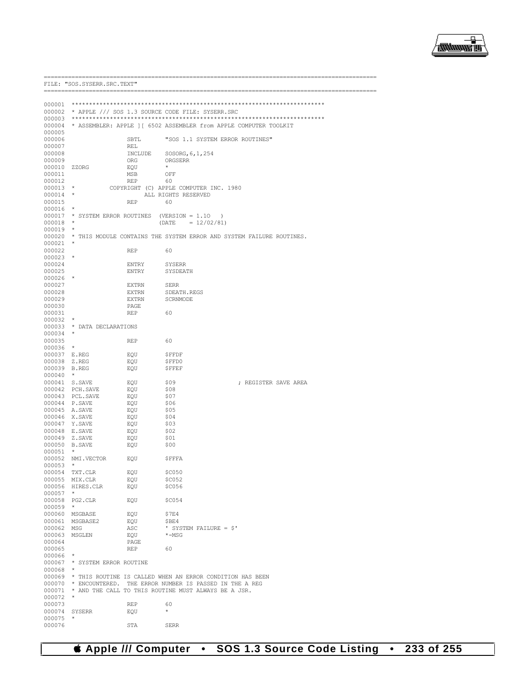

|                      | FILE: "SOS.SYSERR.SRC.TEXT"                    |              |                                                                                                                              |
|----------------------|------------------------------------------------|--------------|------------------------------------------------------------------------------------------------------------------------------|
|                      | =========================                      |              |                                                                                                                              |
|                      |                                                |              |                                                                                                                              |
|                      |                                                |              | 000002 * APPLE /// SOS 1.3 SOURCE CODE FILE: SYSERR.SRC                                                                      |
|                      |                                                |              | 000004 * ASSEMBLER: APPLE 1 [ 6502 ASSEMBLER from APPLE COMPUTER TOOLKIT                                                     |
| 000005               |                                                |              |                                                                                                                              |
| 000006               |                                                | SBTL         | "SOS 1.1 SYSTEM ERROR ROUTINES"                                                                                              |
| 000007               |                                                | REL          |                                                                                                                              |
| 000008               |                                                | INCLUDE      | SOSORG, 6, 1, 254                                                                                                            |
| 000009               |                                                | ORG          | ORGSERR                                                                                                                      |
| 000010 ZZORG         |                                                | EQU          | $\star$                                                                                                                      |
| 000011               |                                                | MSB          | OFF                                                                                                                          |
| 000012               |                                                | <b>REP</b>   | 60                                                                                                                           |
| $000013$ *<br>000014 | $\star$                                        |              | COPYRIGHT (C) APPLE COMPUTER INC. 1980<br>ALL RIGHTS RESERVED                                                                |
| 000015               |                                                | REP          | 60                                                                                                                           |
| $000016$ *           |                                                |              |                                                                                                                              |
|                      | 000017 * SYSTEM ERROR ROUTINES (VERSION = 1.10 |              | $\lambda$                                                                                                                    |
| 000018               | $\star$                                        |              | (DATE<br>$= 12/02/81$                                                                                                        |
| 000019               | $\star$                                        |              |                                                                                                                              |
| 000020               |                                                |              | * THIS MODULE CONTAINS THE SYSTEM ERROR AND SYSTEM FAILURE ROUTINES.                                                         |
| 000021               | $\star$                                        |              |                                                                                                                              |
| 000022               |                                                | REP          | 60                                                                                                                           |
| 000023               | $^{\star}$                                     |              |                                                                                                                              |
| 000024<br>000025     |                                                | ENTRY        | <b>SYSERR</b>                                                                                                                |
| 000026               |                                                | ENTRY        | SYSDEATH                                                                                                                     |
| 000027               |                                                | <b>EXTRN</b> | <b>SERR</b>                                                                                                                  |
| 000028               |                                                | EXTRN        | SDEATH.REGS                                                                                                                  |
| 000029               |                                                | <b>EXTRN</b> | SCRNMODE                                                                                                                     |
| 000030               |                                                | PAGE         |                                                                                                                              |
| 000031               |                                                | REP          | 60                                                                                                                           |
| 000032               |                                                |              |                                                                                                                              |
|                      | 000033 * DATA DECLARATIONS                     |              |                                                                                                                              |
| 000034               | $\star$                                        |              |                                                                                                                              |
| 000035<br>000036     | $\star$                                        | REP          | 60                                                                                                                           |
| 000037 E.REG         |                                                | EQU          | <b>SFFDF</b>                                                                                                                 |
| 000038 Z.REG         |                                                | EOU          | \$FFD0                                                                                                                       |
| 000039 B.REG         |                                                | EQU          | <b>\$FFEF</b>                                                                                                                |
| $000040$ *           |                                                |              |                                                                                                                              |
|                      | 000041 S.SAVE                                  | EQU          | \$09<br>; REGISTER SAVE AREA                                                                                                 |
|                      | 000042 PCH.SAVE                                | EQU          | \$08                                                                                                                         |
|                      | 000043 PCL.SAVE                                | EQU          | \$07                                                                                                                         |
|                      | 000044 P.SAVE                                  | EQU          | \$06                                                                                                                         |
|                      | 000045 A.SAVE                                  | EQU          | \$05                                                                                                                         |
|                      | 000046 X.SAVE<br>000047 Y.SAVE                 | EQU<br>EQU   | \$04<br>\$03                                                                                                                 |
|                      | 000048 E.SAVE                                  | EQU          | \$02                                                                                                                         |
|                      | 000049 Z.SAVE                                  | EQU          | \$01                                                                                                                         |
|                      | 000050 B.SAVE                                  | EQU          | \$00                                                                                                                         |
| 000051               | $\star$                                        |              |                                                                                                                              |
|                      | 000052 NMI.VECTOR                              | EQU          | <b>SFFFA</b>                                                                                                                 |
| $000053$ *           |                                                |              |                                                                                                                              |
|                      | 000054 TXT.CLR                                 | EQU          | \$C <sub>050</sub>                                                                                                           |
|                      | 000055 MIX.CLR                                 | EQU          | \$C052                                                                                                                       |
|                      | 000056 HIRES.CLR                               | EQU          | \$C056                                                                                                                       |
| $000057$ *           |                                                |              |                                                                                                                              |
| $000059$ *           | 000058 PG2.CLR                                 | EQU          | \$C054                                                                                                                       |
|                      | 000060 MSGBASE                                 | EQU          | \$7E4                                                                                                                        |
|                      | 000061 MSGBASE2                                | EQU          | \$BE4                                                                                                                        |
| 000062 MSG           |                                                | ASC          | ' SYSTEM FAILURE = $$'$                                                                                                      |
|                      | 000063 MSGLEN                                  | EQU          | $*$ -MSG                                                                                                                     |
| 000064               |                                                | PAGE         |                                                                                                                              |
| 000065               |                                                | REP          | 60                                                                                                                           |
| 000066 *             |                                                |              |                                                                                                                              |
|                      | 000067 * SYSTEM ERROR ROUTINE                  |              |                                                                                                                              |
| $000068$ *           |                                                |              |                                                                                                                              |
|                      |                                                |              | 000069 * THIS ROUTINE IS CALLED WHEN AN ERROR CONDITION HAS BEEN                                                             |
|                      |                                                |              | 000070 * ENCOUNTERED. THE ERROR NUMBER IS PASSED IN THE A REG<br>000071 * AND THE CALL TO THIS ROUTINE MUST ALWAYS BE A JSR. |
| 000072               | $\star$                                        |              |                                                                                                                              |
| 000073               |                                                | REP          | 60                                                                                                                           |
|                      | 000074 SYSERR                                  | EQU          | $\star$                                                                                                                      |
| 000075               | $\star$                                        |              |                                                                                                                              |
| 000076               |                                                | STA          | <b>SERR</b>                                                                                                                  |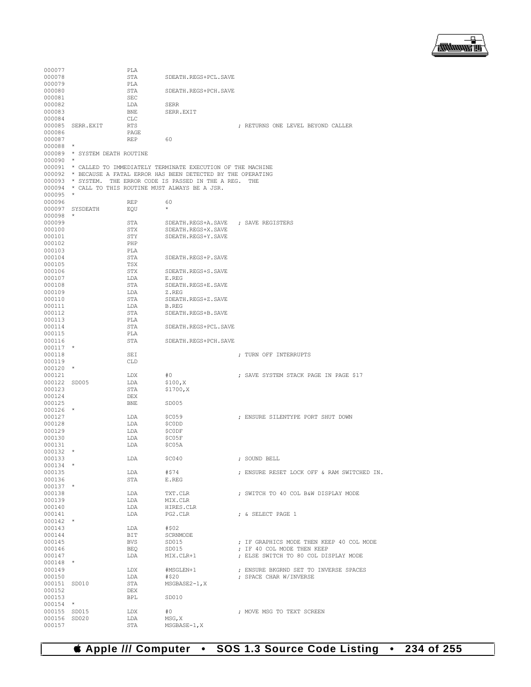

| 000077       |                               | PLA        |                                                                   |                                            |
|--------------|-------------------------------|------------|-------------------------------------------------------------------|--------------------------------------------|
| 000078       |                               | STA        | SDEATH.REGS+PCL.SAVE                                              |                                            |
| 000079       |                               | PLA        |                                                                   |                                            |
| 000080       |                               | STA        | SDEATH.REGS+PCH.SAVE                                              |                                            |
| 000081       |                               | <b>SEC</b> |                                                                   |                                            |
| 000082       |                               | LDA        | SERR                                                              |                                            |
| 000083       |                               | BNE        | SERR.EXIT                                                         |                                            |
| 000084       |                               | <b>CLC</b> |                                                                   |                                            |
| 000085       | SERR.EXIT                     | <b>RTS</b> |                                                                   | ; RETURNS ONE LEVEL BEYOND CALLER          |
| 000086       |                               | PAGE       |                                                                   |                                            |
| 000087       |                               | REP        | 60                                                                |                                            |
| 000088       | $\star$                       |            |                                                                   |                                            |
|              |                               |            |                                                                   |                                            |
|              | 000089 * SYSTEM DEATH ROUTINE |            |                                                                   |                                            |
| $000090$ *   |                               |            |                                                                   |                                            |
|              |                               |            | 000091 * CALLED TO IMMEDIATELY TERMINATE EXECUTION OF THE MACHINE |                                            |
|              |                               |            | 000092 * BECAUSE A FATAL ERROR HAS BEEN DETECTED BY THE OPERATING |                                            |
|              |                               |            | 000093 * SYSTEM. THE ERROR CODE IS PASSED IN THE A REG. THE       |                                            |
|              |                               |            | 000094 * CALL TO THIS ROUTINE MUST ALWAYS BE A JSR.               |                                            |
| 000095       | $\star$                       |            |                                                                   |                                            |
| 000096       |                               | REP        | 60                                                                |                                            |
|              | 000097 SYSDEATH               | EQU        | $\star$                                                           |                                            |
| 000098       | $\star$                       |            |                                                                   |                                            |
| 000099       |                               | STA        | SDEATH.REGS+A.SAVE                                                | ; SAVE REGISTERS                           |
| 000100       |                               | STX        | SDEATH.REGS+X.SAVE                                                |                                            |
| 000101       |                               | STY        | SDEATH.REGS+Y.SAVE                                                |                                            |
| 000102       |                               | PHP        |                                                                   |                                            |
| 000103       |                               | PLA        |                                                                   |                                            |
|              |                               |            |                                                                   |                                            |
| 000104       |                               | STA        | SDEATH.REGS+P.SAVE                                                |                                            |
| 000105       |                               | TSX        |                                                                   |                                            |
| 000106       |                               | STX        | SDEATH.REGS+S.SAVE                                                |                                            |
| 000107       |                               | LDA        | E.REG                                                             |                                            |
| 000108       |                               | STA        | SDEATH.REGS+E.SAVE                                                |                                            |
| 000109       |                               | LDA        | Z.REG                                                             |                                            |
| 000110       |                               | STA        | SDEATH.REGS+Z.SAVE                                                |                                            |
| 000111       |                               | LDA        | <b>B.REG</b>                                                      |                                            |
| 000112       |                               | STA        | SDEATH.REGS+B.SAVE                                                |                                            |
| 000113       |                               | PLA        |                                                                   |                                            |
| 000114       |                               | STA        | SDEATH.REGS+PCL.SAVE                                              |                                            |
| 000115       |                               | PLA        |                                                                   |                                            |
| 000116       |                               | STA        | SDEATH.REGS+PCH.SAVE                                              |                                            |
| $000117$ *   |                               |            |                                                                   |                                            |
| 000118       |                               | SEI        |                                                                   | ; TURN OFF INTERRUPTS                      |
| 000119       |                               | <b>CLD</b> |                                                                   |                                            |
| $000120$ *   |                               |            |                                                                   |                                            |
| 000121       |                               | LDX        | #0                                                                | ; SAVE SYSTEM STACK PAGE IN PAGE \$17      |
| 000122 SD005 |                               | LDA        | \$100, X                                                          |                                            |
| 000123       |                               | STA        |                                                                   |                                            |
|              |                               |            | \$1700, X                                                         |                                            |
| 000124       |                               | DEX        |                                                                   |                                            |
| 000125       |                               | <b>BNE</b> | SD005                                                             |                                            |
| $000126$ *   |                               |            |                                                                   |                                            |
| 000127       |                               | LDA        | <b>\$C059</b>                                                     | ; ENSURE SILENTYPE PORT SHUT DOWN          |
| 000128       |                               | LDA        | \$CODD                                                            |                                            |
| 000129       |                               | LDA        | \$C0DF                                                            |                                            |
| 000130       |                               | LDA        | \$C05F                                                            |                                            |
| 000131       |                               | LDA        | \$C05A                                                            |                                            |
| 000132       |                               |            |                                                                   |                                            |
| 000133       |                               | LDA        | \$C040                                                            | ; SOUND BELL                               |
| $000134$ *   |                               |            |                                                                   |                                            |
| 000135       |                               | LDA        | #\$74                                                             | ; ENSURE RESET LOCK OFF & RAM SWITCHED IN. |
| 000136       |                               | STA        | E.REG                                                             |                                            |
| $000137$ *   |                               |            |                                                                   |                                            |
| 000138       |                               | LDA        | TXT.CLR                                                           | ; SWITCH TO 40 COL B&W DISPLAY MODE        |
| 000139       |                               | LDA        | MIX.CLR                                                           |                                            |
| 000140       |                               | LDA        | HIRES.CLR                                                         |                                            |
| 000141       |                               |            |                                                                   |                                            |
| $000142$ *   |                               | LDA        | PG2.CLR                                                           | ; & SELECT PAGE 1                          |
|              |                               |            | #\$02                                                             |                                            |
| 000143       |                               | LDA        |                                                                   |                                            |
| 000144       |                               | BIT        | SCRNMODE                                                          |                                            |
| 000145       |                               | BVS        | SD015                                                             | ; IF GRAPHICS MODE THEN KEEP 40 COL MODE   |
| 000146       |                               | BEQ        | SD015                                                             | ; IF 40 COL MODE THEN KEEP                 |
| 000147       |                               | LDA        | MIX.CLR+1                                                         | ; ELSE SWITCH TO 80 COL DISPLAY MODE       |
| $000148$ *   |                               |            |                                                                   |                                            |
| 000149       |                               | LDX        | #MSGLEN+1                                                         | ; ENSURE BKGRND SET TO INVERSE SPACES      |
| 000150       |                               | LDA        | #\$20                                                             | ; SPACE CHAR W/INVERSE                     |
| 000151 SD010 |                               | STA        | $MSGBASE2-1, X$                                                   |                                            |
| 000152       |                               | DEX        |                                                                   |                                            |
| 000153       |                               | BPL        | SD010                                                             |                                            |
| $000154$ *   |                               |            |                                                                   |                                            |
| 000155 SD015 |                               | LDX        | #0                                                                | ; MOVE MSG TO TEXT SCREEN                  |
| 000156 SD020 |                               | LDA        | MSG, X                                                            |                                            |
| 000157       |                               | STA        | $MSGBASE-1, X$                                                    |                                            |
|              |                               |            |                                                                   |                                            |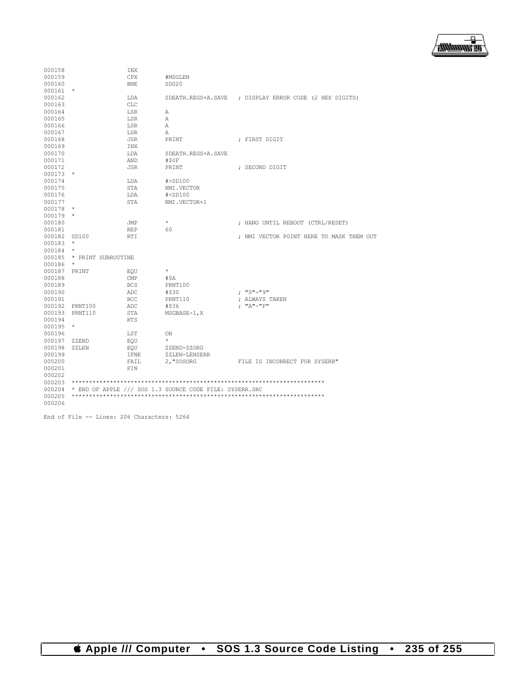

| 000158 |                    | <b>INX</b>  |                                                         |                                                        |
|--------|--------------------|-------------|---------------------------------------------------------|--------------------------------------------------------|
| 000159 |                    | CPX         | #MSGLEN                                                 |                                                        |
| 000160 |                    | <b>BNE</b>  | SD020                                                   |                                                        |
| 000161 | $\star$            |             |                                                         |                                                        |
| 000162 |                    | LDA         |                                                         | SDEATH.REGS+A.SAVE ; DISPLAY ERROR CODE (2 HEX DIGITS) |
| 000163 |                    | <b>CLC</b>  |                                                         |                                                        |
| 000164 |                    | LSR         | Α                                                       |                                                        |
| 000165 |                    | LSR         | Α                                                       |                                                        |
| 000166 |                    | LSR         | Α                                                       |                                                        |
| 000167 |                    | LSR         | Α                                                       |                                                        |
| 000168 |                    | <b>JSR</b>  | PRINT                                                   | ; FIRST DIGIT                                          |
| 000169 |                    | INX         |                                                         |                                                        |
| 000170 |                    | LDA         | SDEATH.REGS+A.SAVE                                      |                                                        |
| 000171 |                    | AND         | #SOF                                                    |                                                        |
| 000172 |                    | <b>JSR</b>  | PRINT                                                   | ; SECOND DIGIT                                         |
| 000173 | $\star$            |             |                                                         |                                                        |
| 000174 |                    | LDA         | #>SD100                                                 |                                                        |
| 000175 |                    | <b>STA</b>  | NMI.VECTOR                                              |                                                        |
| 000176 |                    | LDA         | $#<$ SD $100$                                           |                                                        |
| 000177 |                    | STA         | NMI.VECTOR+1                                            |                                                        |
| 000178 | $\star$            |             |                                                         |                                                        |
| 000179 | $\star$            |             |                                                         |                                                        |
| 000180 |                    | JMP         | $\star$                                                 | ; HANG UNTIL REBOOT (CTRL/RESET)                       |
| 000181 |                    | <b>REP</b>  | 60                                                      |                                                        |
| 000182 | SD100              | <b>RTI</b>  |                                                         | ; NMI VECTOR POINT HERE TO MASK THEM OUT               |
| 000183 | $\star$            |             |                                                         |                                                        |
| 000184 | $\star$            |             |                                                         |                                                        |
| 000185 | * PRINT SUBROUTINE |             |                                                         |                                                        |
| 000186 | $\star$            |             |                                                         |                                                        |
| 000187 | PRINT              | EOU         | $\star$                                                 |                                                        |
| 000188 |                    | CMP         | #\$A                                                    |                                                        |
| 000189 |                    | <b>BCS</b>  | PRNT100                                                 |                                                        |
| 000190 |                    | ADC         | #\$30                                                   | : "0"-"9"                                              |
| 000191 |                    | BCC         | PRNT110                                                 | ; ALWAYS TAKEN                                         |
| 000192 | PRNT100            | ADC         | #\$36                                                   | $; "A" - "F"$                                          |
| 000193 | PRNT110            | <b>STA</b>  | MSGBASE-1, X                                            |                                                        |
| 000194 |                    | <b>RTS</b>  |                                                         |                                                        |
| 000195 | $\star$            |             |                                                         |                                                        |
| 000196 |                    | LST         | ON                                                      |                                                        |
| 000197 | ZZEND              | EOU         | $\star$                                                 |                                                        |
| 000198 | $ZZ$ LEN           | EOU         | ZZEND-ZZORG                                             |                                                        |
| 000199 |                    | <b>IFNE</b> | ZZLEN-LENSERR                                           |                                                        |
| 000200 |                    | FAIL        | 2, "SOSORG                                              | FILE IS INCORRECT FOR SYSERR"                          |
| 000201 |                    | FIN         |                                                         |                                                        |
| 000202 |                    |             |                                                         |                                                        |
| 000203 |                    |             |                                                         |                                                        |
| 000204 |                    |             |                                                         |                                                        |
| 000205 |                    |             | * END OF APPLE /// SOS 1.3 SOURCE CODE FILE: SYSERR.SRC |                                                        |
| 000206 |                    |             |                                                         |                                                        |
|        |                    |             |                                                         |                                                        |

End of File -- Lines: 206 Characters: 5264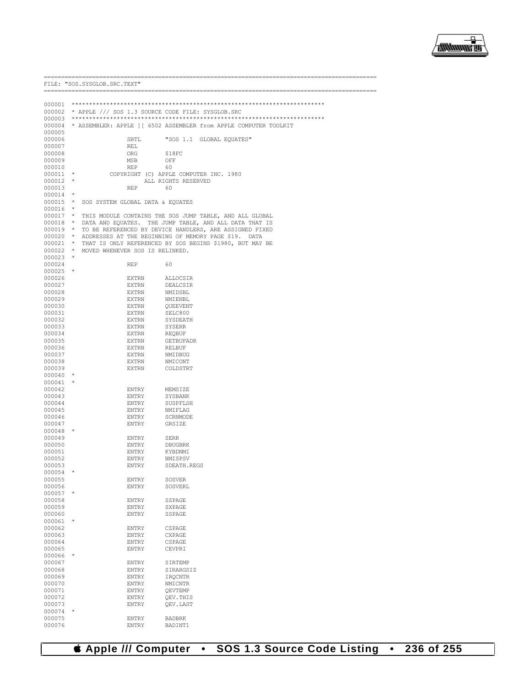

|            | FILE: "SOS. SYSGLOB. SRC. TEXT"<br>----------------------- |                                           |                                                                          |
|------------|------------------------------------------------------------|-------------------------------------------|--------------------------------------------------------------------------|
|            |                                                            |                                           |                                                                          |
|            |                                                            |                                           |                                                                          |
|            |                                                            |                                           | 000002 * APPLE /// SOS 1.3 SOURCE CODE FILE: SYSGLOB.SRC                 |
|            |                                                            |                                           |                                                                          |
|            |                                                            |                                           | 000004 * ASSEMBLER: APPLE ] [ 6502 ASSEMBLER from APPLE COMPUTER TOOLKIT |
| 000005     |                                                            |                                           |                                                                          |
| 000006     |                                                            | SBTL                                      | "SOS 1.1 GLOBAL EQUATES"                                                 |
| 000007     |                                                            | REL                                       |                                                                          |
| 000008     |                                                            | ORG                                       | \$18FC                                                                   |
| 000009     |                                                            | MSB                                       | OFF                                                                      |
| 000010     |                                                            | REP                                       | 60                                                                       |
| 000011     | $\star$                                                    |                                           | COPYRIGHT (C) APPLE COMPUTER INC. 1980                                   |
| $000012$ * |                                                            |                                           | ALL RIGHTS RESERVED                                                      |
| 000013     |                                                            | REP                                       | 60                                                                       |
| $000014$ * |                                                            |                                           |                                                                          |
|            |                                                            | 000015 * SOS SYSTEM GLOBAL DATA & EQUATES |                                                                          |
| $000016$ * |                                                            |                                           |                                                                          |
|            |                                                            |                                           | 000017 * THIS MODULE CONTAINS THE SOS JUMP TABLE, AND ALL GLOBAL         |
|            |                                                            |                                           | 000018 * DATA AND EQUATES. THE JUMP TABLE, AND ALL DATA THAT IS          |
|            |                                                            |                                           |                                                                          |
|            |                                                            |                                           | 000019 * TO BE REFERENCED BY DEVICE HANDLERS, ARE ASSIGNED FIXED         |
|            |                                                            |                                           | 000020 * ADDRESSES AT THE BEGINNING OF MEMORY PAGE \$19. DATA            |
|            |                                                            |                                           | 000021 * THAT IS ONLY REFERENCED BY SOS BEGINS \$1980, BUT MAY BE        |
|            |                                                            | 000022 * MOVED WHENEVER SOS IS RELINKED.  |                                                                          |
| $000023$ * |                                                            |                                           |                                                                          |
| 000024     |                                                            | REP                                       | 60                                                                       |
| $000025$ * |                                                            |                                           |                                                                          |
| 000026     |                                                            | EXTRN                                     | ALLOCSIR                                                                 |
| 000027     |                                                            | EXTRN                                     | DEALCSIR                                                                 |
| 000028     |                                                            | EXTRN                                     | NMIDSBL                                                                  |
| 000029     |                                                            | EXTRN                                     | NMIENBL                                                                  |
| 000030     |                                                            | EXTRN                                     | QUEEVENT                                                                 |
| 000031     |                                                            | EXTRN                                     | SELC800                                                                  |
| 000032     |                                                            | EXTRN                                     | SYSDEATH                                                                 |
| 000033     |                                                            | EXTRN                                     | SYSERR                                                                   |
| 000034     |                                                            | EXTRN                                     | REQBUF                                                                   |
| 000035     |                                                            | EXTRN                                     | <b>GETBUFADR</b>                                                         |
|            |                                                            |                                           |                                                                          |
| 000036     |                                                            | EXTRN                                     | RELBUF                                                                   |
| 000037     |                                                            | EXTRN                                     | NMIDBUG                                                                  |
| 000038     |                                                            | EXTRN                                     | NMICONT                                                                  |
| 000039     |                                                            | EXTRN                                     | COLDSTRT                                                                 |
| 000040     | $\star$                                                    |                                           |                                                                          |
| 000041     |                                                            |                                           |                                                                          |
| 000042     |                                                            | ENTRY                                     | MEMSIZE                                                                  |
| 000043     |                                                            | ENTRY                                     | SYSBANK                                                                  |
| 000044     |                                                            | ENTRY                                     | SUSPFLSH                                                                 |
| 000045     |                                                            | ENTRY                                     | NMIFLAG                                                                  |
| 000046     |                                                            | ENTRY                                     | SCRNMODE                                                                 |
| 000047     |                                                            | ENTRY                                     | GRSIZE                                                                   |
| 000048     | $\star$                                                    |                                           |                                                                          |
| 000049     |                                                            | ENTRY                                     | <b>SERR</b>                                                              |
| 000050     |                                                            | ENTRY                                     | DBUGBRK                                                                  |
|            |                                                            |                                           |                                                                          |
| 000051     |                                                            | ENTRY                                     | KYBDNMI                                                                  |
| 000052     |                                                            | <b>ENTRY</b>                              | NMISPSV                                                                  |
| 000053     |                                                            | ENTRY                                     | SDEATH.REGS                                                              |
| 000054     | $^\star$                                                   |                                           |                                                                          |
| 000055     |                                                            | <b>ENTRY</b>                              | <b>SOSVER</b>                                                            |
| 000056     |                                                            | <b>ENTRY</b>                              | SOSVERL                                                                  |
| 000057     | $\star$                                                    |                                           |                                                                          |
| 000058     |                                                            | <b>ENTRY</b>                              | SZPAGE                                                                   |
| 000059     |                                                            | <b>ENTRY</b>                              | SXPAGE                                                                   |
| 000060     |                                                            | <b>ENTRY</b>                              | SSPAGE                                                                   |
| 000061     | $\star$                                                    |                                           |                                                                          |
|            |                                                            |                                           |                                                                          |
| 000062     |                                                            | ENTRY                                     | CZPAGE                                                                   |
| 000063     |                                                            | <b>ENTRY</b>                              | <b>CXPAGE</b>                                                            |
| 000064     |                                                            | <b>ENTRY</b>                              | CSPAGE                                                                   |
| 000065     |                                                            | <b>ENTRY</b>                              | CEVPRI                                                                   |
| 000066     |                                                            |                                           |                                                                          |
| 000067     |                                                            | <b>ENTRY</b>                              | SIRTEMP                                                                  |
| 000068     |                                                            | <b>ENTRY</b>                              | SIRARGSIZ                                                                |
| 000069     |                                                            | <b>ENTRY</b>                              | <b>IROCNTR</b>                                                           |
| 000070     |                                                            | ENTRY                                     | <b>NMICNTR</b>                                                           |
| 000071     |                                                            | ENTRY                                     | QEVTEMP                                                                  |
| 000072     |                                                            | ENTRY                                     | OEV. THIS                                                                |
|            |                                                            |                                           |                                                                          |
| 000073     |                                                            | ENTRY                                     | QEV.LAST                                                                 |
| 000074     | $^\star$                                                   |                                           |                                                                          |
| 000075     |                                                            | ENTRY                                     | <b>BADBRK</b>                                                            |
| 000076     |                                                            | ENTRY                                     | BADINT1                                                                  |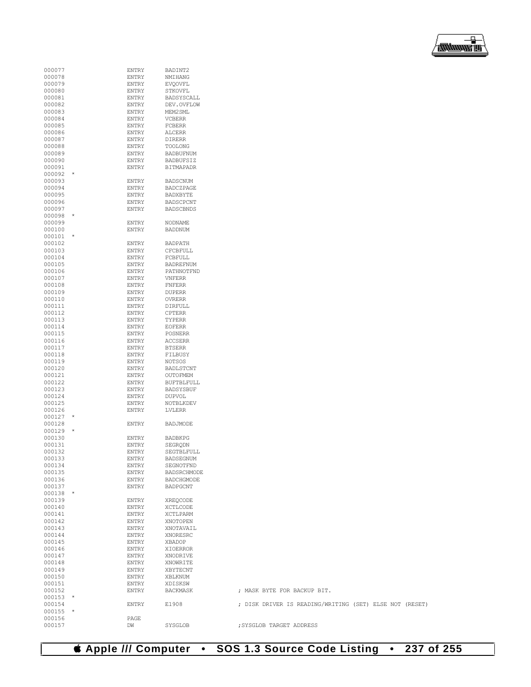## **Apple /// Computer • SOS 1.3 Source Code Listing • 237 of 255**

| 000077               | <b>ENTRY</b> | BADINT2           |                                                         |
|----------------------|--------------|-------------------|---------------------------------------------------------|
| 000078               | <b>ENTRY</b> | NMIHANG           |                                                         |
|                      |              |                   |                                                         |
| 000079               | ENTRY        | <b>EVQOVFL</b>    |                                                         |
| 000080               | <b>ENTRY</b> | STKOVFL           |                                                         |
| 000081               | <b>ENTRY</b> | BADSYSCALL        |                                                         |
| 000082               | ENTRY        | DEV.OVFLOW        |                                                         |
|                      |              |                   |                                                         |
| 000083               | ENTRY        | MEM2SML           |                                                         |
| 000084               | <b>ENTRY</b> | <b>VCBERR</b>     |                                                         |
| 000085               | ENTRY        | FCBERR            |                                                         |
| 000086               | ENTRY        | ALCERR            |                                                         |
|                      |              |                   |                                                         |
| 000087               | ENTRY        | DIRERR            |                                                         |
| 000088               | ENTRY        | TOOLONG           |                                                         |
| 000089               | <b>ENTRY</b> | <b>BADBUFNUM</b>  |                                                         |
| 000090               | <b>ENTRY</b> | <b>BADBUFSIZ</b>  |                                                         |
|                      |              |                   |                                                         |
| 000091               | ENTRY        | <b>BITMAPADR</b>  |                                                         |
| 000092<br>$^\star$   |              |                   |                                                         |
| 000093               | <b>ENTRY</b> | <b>BADSCNUM</b>   |                                                         |
| 000094               | ENTRY        | BADCZPAGE         |                                                         |
|                      |              | BADXBYTE          |                                                         |
| 000095               | <b>ENTRY</b> |                   |                                                         |
| 000096               | <b>ENTRY</b> | BADSCPCNT         |                                                         |
| 000097               | ENTRY        | <b>BADSCBNDS</b>  |                                                         |
| 000098<br>$\ast$     |              |                   |                                                         |
|                      |              |                   |                                                         |
| 000099               | <b>ENTRY</b> | NODNAME           |                                                         |
| 000100               | ENTRY        | <b>BADDNUM</b>    |                                                         |
| 000101<br>$^\star$   |              |                   |                                                         |
| 000102               | <b>ENTRY</b> | <b>BADPATH</b>    |                                                         |
| 000103               | ENTRY        | CFCBFULL          |                                                         |
|                      |              |                   |                                                         |
| 000104               | ENTRY        | FCBFULL           |                                                         |
| 000105               | <b>ENTRY</b> | BADREFNUM         |                                                         |
| 000106               | ENTRY        | PATHNOTFND        |                                                         |
| 000107               | <b>ENTRY</b> | <b>VNFERR</b>     |                                                         |
|                      |              |                   |                                                         |
| 000108               | <b>ENTRY</b> | <b>FNFERR</b>     |                                                         |
| 000109               | ENTRY        | <b>DUPERR</b>     |                                                         |
| 000110               | <b>ENTRY</b> | <b>OVRERR</b>     |                                                         |
| 000111               | <b>ENTRY</b> | DIRFULL           |                                                         |
|                      |              |                   |                                                         |
| 000112               | ENTRY        | CPTERR            |                                                         |
| 000113               | <b>ENTRY</b> | TYPERR            |                                                         |
| 000114               | <b>ENTRY</b> | <b>EOFERR</b>     |                                                         |
| 000115               | ENTRY        | POSNERR           |                                                         |
| 000116               | ENTRY        |                   |                                                         |
|                      |              | <b>ACCSERR</b>    |                                                         |
| 000117               | <b>ENTRY</b> | <b>BTSERR</b>     |                                                         |
| 000118               | ENTRY        | FILBUSY           |                                                         |
| 000119               | ENTRY        | NOTSOS            |                                                         |
|                      |              |                   |                                                         |
| 000120               | <b>ENTRY</b> | BADLSTCNT         |                                                         |
| 000121               | ENTRY        | OUTOFMEM          |                                                         |
| 000122               | ENTRY        | <b>BUFTBLFULL</b> |                                                         |
| 000123               | <b>ENTRY</b> | <b>BADSYSBUF</b>  |                                                         |
| 000124               | ENTRY        | <b>DUPVOL</b>     |                                                         |
|                      |              |                   |                                                         |
| 000125               | ENTRY        | NOTBLKDEV         |                                                         |
| 000126               | <b>ENTRY</b> | LVLERR            |                                                         |
| 000127<br>$^{\star}$ |              |                   |                                                         |
| 000128               | <b>ENTRY</b> | BADJMODE          |                                                         |
|                      |              |                   |                                                         |
| 000129<br>$^\star$   |              |                   |                                                         |
| 000130               | ENTRY        | <b>BADBKPG</b>    |                                                         |
| 000131               | <b>ENTRY</b> | SEGRODN           |                                                         |
| 000132               | ENTRY        | SEGTBLFULL        |                                                         |
|                      |              |                   |                                                         |
| 000133               | ENTRY        | BADSEGNUM         |                                                         |
| 000134               | ENTRY        | SEGNOTFND         |                                                         |
| 000135               | ENTRY        | BADSRCHMODE       |                                                         |
| 000136               | ENTRY        | BADCHGMODE        |                                                         |
| 000137               | ENTRY        | <b>BADPGCNT</b>   |                                                         |
|                      |              |                   |                                                         |
| 000138<br>$\star$    |              |                   |                                                         |
| 000139               | ENTRY        | XREQCODE          |                                                         |
| 000140               | ENTRY        | XCTLCODE          |                                                         |
| 000141               | ENTRY        | XCTLPARM          |                                                         |
| 000142               | ENTRY        | XNOTOPEN          |                                                         |
|                      |              |                   |                                                         |
| 000143               | ENTRY        | XNOTAVAIL         |                                                         |
| 000144               | <b>ENTRY</b> | XNORESRC          |                                                         |
| 000145               | ENTRY        | XBADOP            |                                                         |
| 000146               | ENTRY        | XIOERROR          |                                                         |
|                      |              |                   |                                                         |
| 000147               | ENTRY        | XNODRIVE          |                                                         |
| 000148               | ENTRY        | XNOWRITE          |                                                         |
| 000149               | ENTRY        | XBYTECNT          |                                                         |
| 000150               | ENTRY        | XBLKNUM           |                                                         |
| 000151               |              |                   |                                                         |
|                      | ENTRY        | XDISKSW           |                                                         |
| 000152               | ENTRY        | BACKMASK          | ; MASK BYTE FOR BACKUP BIT.                             |
| 000153<br>$\star$    |              |                   |                                                         |
| 000154               | <b>ENTRY</b> | E1908             | ; DISK DRIVER IS READING/WRITING (SET) ELSE NOT (RESET) |
| 000155<br>$\star$    |              |                   |                                                         |
|                      |              |                   |                                                         |
| 000156               | PAGE         |                   |                                                         |
| 000157               | DW           | SYSGLOB           | ; SYSGLOB TARGET ADDRESS                                |

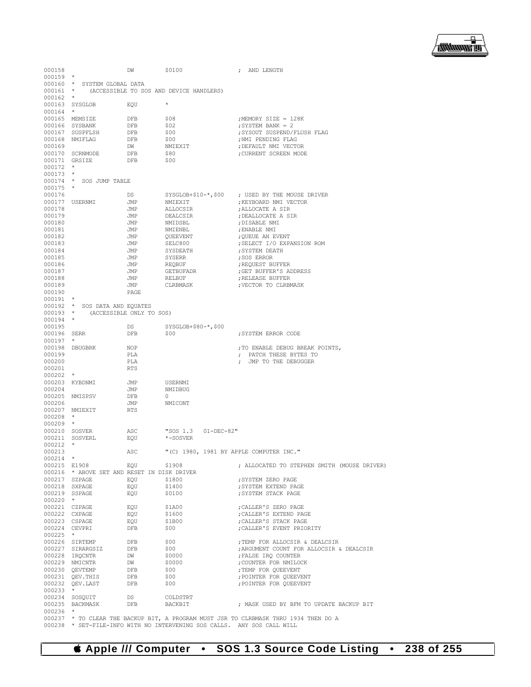▔▔<br>▓▓▓▓▓▊

| 000158                         |                                             | DW         | \$0100                                           | ; AND LENGTH                                                                         |
|--------------------------------|---------------------------------------------|------------|--------------------------------------------------|--------------------------------------------------------------------------------------|
| $000159$ *                     |                                             |            |                                                  |                                                                                      |
|                                | 000160 * SYSTEM GLOBAL DATA                 |            | 000161 * (ACCESSIBLE TO SOS AND DEVICE HANDLERS) |                                                                                      |
| $000162$ *                     |                                             |            |                                                  |                                                                                      |
|                                | 000163 SYSGLOB                              | EQU        | $\star$                                          |                                                                                      |
| $000164$ *                     |                                             |            |                                                  |                                                                                      |
|                                | 000165 MEMSIZE                              | DFB        | \$08                                             | ; MEMORY SIZE = 128K                                                                 |
|                                | 000166 SYSBANK                              | DFB        | \$02                                             | ; SYSTEM BANK = 2                                                                    |
|                                | 000167 SUSPFLSH                             | DFB        | \$00                                             | ; SYSOUT SUSPEND/FLUSH FLAG                                                          |
|                                | 000168 NMIFLAG                              | DFB        | \$00                                             | ; NMI PENDING FLAG                                                                   |
| 000169                         | 000170 SCRNMODE                             | DW<br>DFB  | NMIEXIT<br>\$80                                  | ; DEFAULT NMI VECTOR<br>; CURRENT SCREEN MODE                                        |
| 000171 GRSIZE                  |                                             | DFB        | \$00                                             |                                                                                      |
| $000172$ *                     |                                             |            |                                                  |                                                                                      |
| $000173$ *                     |                                             |            |                                                  |                                                                                      |
|                                | 000174 * SOS JUMP TABLE                     |            |                                                  |                                                                                      |
| $000175$ *                     |                                             |            |                                                  |                                                                                      |
| 000176                         |                                             | DS         | ${\tt SYSGLOB+}10-*$ , \$00                      | ; USED BY THE MOUSE DRIVER                                                           |
|                                | 000177 USERNMI                              | JMP        | NMIEXIT                                          | ; KEYBOARD NMI VECTOR                                                                |
| 000178<br>000179               |                                             | JMP<br>JMP | ALLOCSIR<br>DEALCSIR                             | ; ALLOCATE A SIR<br>; DEALLOCATE A SIR                                               |
| 000180                         |                                             | JMP        | NMIDSBL                                          | ; DISABLE NMI                                                                        |
| 000181                         |                                             | JMP        | NMIENBL                                          | ; ENABLE NMI                                                                         |
| 000182                         |                                             | JMP        | QUEEVENT                                         | ; QUEUE AN EVENT                                                                     |
| 000183                         |                                             | JMP        | SELC800                                          | ; SELECT I/O EXPANSION ROM                                                           |
| 000184                         |                                             | JMP        | SYSDEATH                                         | ; SYSTEM DEATH                                                                       |
| 000185                         |                                             | JMP        | SYSERR                                           | ; SOS ERROR                                                                          |
| 000186                         |                                             | JMP        | REQBUF                                           | ; REQUEST BUFFER                                                                     |
| 000187<br>000188               |                                             | JMP<br>JMP | GETBUFADR                                        | GET BUFFER'S ADDRESS<br>; RELEASE BUFFER                                             |
| 000189                         |                                             | JMP        | RELBUF<br>CLRBMASK                               | ;VECTOR TO CLRBMASK                                                                  |
| 000190                         |                                             | PAGE       |                                                  |                                                                                      |
| $000191$ *                     |                                             |            |                                                  |                                                                                      |
|                                | 000192 * SOS DATA AND EQUATES               |            |                                                  |                                                                                      |
|                                | 000193 * (ACCESSIBLE ONLY TO SOS)           |            |                                                  |                                                                                      |
| $000194$ *                     |                                             |            |                                                  |                                                                                      |
| 000195                         |                                             | DS         | $SYSGLOB+$80-*$ , \$00                           |                                                                                      |
| 000196 SERR<br>$000197$ *      |                                             | DFB        | \$00                                             | ; SYSTEM ERROR CODE                                                                  |
|                                | 000198 DBUGBRK                              | NOP        |                                                  | ; TO ENABLE DEBUG BREAK POINTS,                                                      |
| 000199                         |                                             | PLA        |                                                  | ; PATCH THESE BYTES TO                                                               |
| 000200                         |                                             | PLA        |                                                  | ; JMP TO THE DEBUGGER                                                                |
| 000201                         |                                             | <b>RTS</b> |                                                  |                                                                                      |
| $000202$ *                     |                                             |            |                                                  |                                                                                      |
|                                | 000203 KYBDNMI                              | JMP        | USERNMI                                          |                                                                                      |
| 000204                         | 000205 NMISPSV                              | JMP<br>DFB | NMIDBUG<br>$\circ$                               |                                                                                      |
| 000206                         |                                             | JMP        | NMICONT                                          |                                                                                      |
|                                | 000207 NMIEXIT                              | <b>RTS</b> |                                                  |                                                                                      |
| $000208$ *                     |                                             |            |                                                  |                                                                                      |
| $000209$ *                     |                                             |            |                                                  |                                                                                      |
| 000210 SOSVER                  |                                             | ASC        | "SOS 1.3<br>$01 - DEC - 82$ "                    |                                                                                      |
|                                | 000211 SOSVERL                              | EQU        | *-SOSVER                                         |                                                                                      |
| $000212$ *                     |                                             |            |                                                  |                                                                                      |
| 000213<br>000214               | $\star$                                     | ASC        | "(C) 1980, 1981 BY APPLE COMPUTER INC."          |                                                                                      |
| 000215 E1908                   |                                             | EQU        | \$1908                                           | ; ALLOCATED TO STEPHEN SMITH (MOUSE DRIVER)                                          |
|                                | 000216 * ABOVE SET AND RESET IN DISK DRIVER |            |                                                  |                                                                                      |
| 000217 SZPAGE                  |                                             | EOU        | \$1800                                           | ; SYSTEM ZERO PAGE                                                                   |
| 000218 SXPAGE                  |                                             | EQU        | \$1400                                           | ; SYSTEM EXTEND PAGE                                                                 |
|                                | 000219 SSPAGE                               | EOU        | \$0100                                           | ; SYSTEM STACK PAGE                                                                  |
| $000220$ *                     |                                             |            |                                                  |                                                                                      |
| 000221 CZPAGE                  |                                             | EQU        | \$1A00                                           | ; CALLER'S ZERO PAGE                                                                 |
| 000222 CXPAGE<br>000223 CSPAGE |                                             | EOU<br>EQU | \$1600<br>\$1B00                                 | : CALLER'S EXTEND PAGE<br>; CALLER'S STACK PAGE                                      |
| 000224 CEVPRI                  |                                             | DFB        | \$00                                             | ; CALLER'S EVENT PRIORITY                                                            |
| $000225$ *                     |                                             |            |                                                  |                                                                                      |
|                                | 000226 SIRTEMP                              | DFB        | \$00                                             | ; TEMP FOR ALLOCSIR & DEALCSIR                                                       |
|                                | 000227 SIRARGSIZ                            | DFB        | \$00                                             | ; ARGUMENT COUNT FOR ALLOCSIR & DEALCSIR                                             |
|                                | 000228 IRQCNTR                              | DW         | \$0000                                           | : FALSE IRO COUNTER                                                                  |
|                                | 000229 NMICNTR                              | DW         | \$0000                                           | ; COUNTER FOR NMILOCK                                                                |
|                                | 000230 QEVTEMP                              | DFB        | \$00                                             | ; TEMP FOR QUEEVENT                                                                  |
|                                | 000231 QEV.THIS<br>000232 QEV.LAST          | DFB<br>DFB | \$00<br>\$00                                     | ; POINTER FOR OUEEVENT<br>; POINTER FOR OUEEVENT                                     |
| $000233$ *                     |                                             |            |                                                  |                                                                                      |
|                                | 000234 SOSQUIT                              | DS         | COLDSTRT                                         |                                                                                      |
|                                | 000235 BACKMASK                             | DFB        | BACKBIT                                          | ; MASK USED BY BFM TO UPDATE BACKUP BIT                                              |
| $000236$ *                     |                                             |            |                                                  |                                                                                      |
|                                |                                             |            |                                                  | 000237 * TO CLEAR THE BACKUP BIT, A PROGRAM MUST JSR TO CLRBMASK THRU 1934 THEN DO A |

000238 \* SET-FILE-INFO WITH NO INTERVENING SOS CALLS. ANY SOS CALL WILL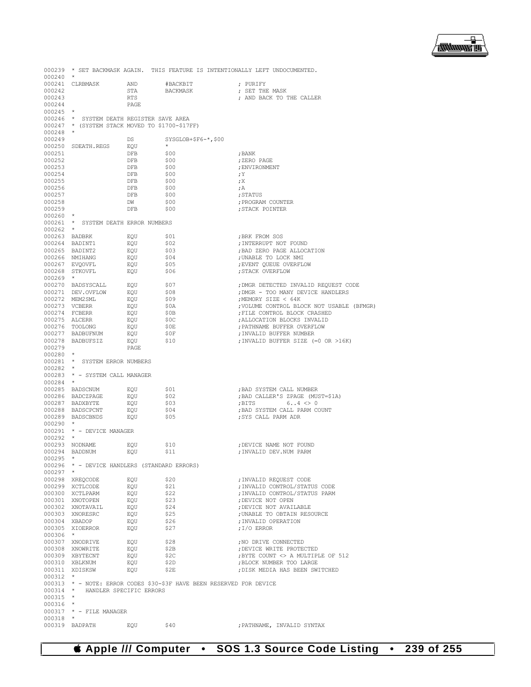▕<del>▓▓▓▓</del>▊

| 000239<br>$000240$ *     |                                                |            |                                                                      | * SET BACKMASK AGAIN. THIS FEATURE IS INTENTIONALLY LEFT UNDOCUMENTED. |
|--------------------------|------------------------------------------------|------------|----------------------------------------------------------------------|------------------------------------------------------------------------|
|                          | 000241 CLRBMASK AND                            |            | #BACKBIT                                                             | ; PURIFY                                                               |
| 000242                   |                                                | STA        | BACKMASK                                                             | ; SET THE MASK                                                         |
| 000243                   |                                                | RTS        |                                                                      | ; AND BACK TO THE CALLER                                               |
| 000244<br>$000245$ *     |                                                | PAGE       |                                                                      |                                                                        |
|                          | 000246 * SYSTEM DEATH REGISTER SAVE AREA       |            |                                                                      |                                                                        |
|                          | 000247 * (SYSTEM STACK MOVED TO \$1700-\$17FF) |            |                                                                      |                                                                        |
| $000248$ *               |                                                |            |                                                                      |                                                                        |
| 000249                   |                                                | DS         | $SYSGLOB+$F6-*$ ,\$00<br>$\star$                                     |                                                                        |
| 000251                   | 000250 SDEATH.REGS                             | EQU<br>DFB | \$00                                                                 | ; BANK                                                                 |
| 000252                   |                                                | DFB        | \$00                                                                 | ; ZERO PAGE                                                            |
| 000253                   |                                                | DFB        | \$00                                                                 | ; ENVIRONMENT                                                          |
| 000254                   |                                                | DFB        | \$00                                                                 | ; Y                                                                    |
| 000255<br>000256         |                                                | DFB<br>DFB | \$00<br>\$00                                                         | ; X<br>; A                                                             |
| 000257                   |                                                | DFB        | \$00                                                                 | ; STATUS                                                               |
| 000258                   |                                                | <b>DW</b>  | \$00                                                                 | ; PROGRAM COUNTER                                                      |
| 000259                   |                                                | DFB        | \$00                                                                 | ; STACK POINTER                                                        |
| $000260$ *               |                                                |            |                                                                      |                                                                        |
| $000262$ *               | 000261 * SYSTEM DEATH ERROR NUMBERS            |            |                                                                      |                                                                        |
|                          | 000263 BADBRK                                  | EOU        | \$01                                                                 | ; BRK FROM SOS                                                         |
|                          | 000264 BADINT1                                 | EQU        | \$02                                                                 | ; INTERRUPT NOT FOUND                                                  |
|                          | 000265 BADINT2                                 | EQU        | \$03                                                                 | ; BAD ZERO PAGE ALLOCATION                                             |
|                          | 000266 NMIHANG<br>000267 EVQOVFL               | EOU<br>EQU | \$04<br>\$05                                                         | ; UNABLE TO LOCK NMI<br>; EVENT QUEUE OVERFLOW                         |
|                          | 000268 STKOVFL EQU                             |            | \$06                                                                 | ; STACK OVERFLOW                                                       |
| $000269$ *               |                                                |            |                                                                      |                                                                        |
|                          | 000270 BADSYSCALL                              | EOU        | \$07                                                                 | ; DMGR DETECTED INVALID REQUEST CODE                                   |
|                          | 000271 DEV.OVFLOW                              | EQU        | \$08                                                                 | ; DMGR - TOO MANY DEVICE HANDLERS<br>:MEMORY SIZE < 64K                |
|                          | 000272 MEM2SML<br>000273 VCBERR                | EOU<br>EQU | \$09<br>\$0A                                                         | ; VOLUME CONTROL BLOCK NOT USABLE (BFMGR)                              |
|                          | 000274 FCBERR                                  | EQU        | \$0B                                                                 | ; FILE CONTROL BLOCK CRASHED                                           |
|                          | 000275 ALCERR                                  | EOU        | \$0c                                                                 | ; ALLOCATION BLOCKS INVALID                                            |
|                          | 000276 TOOLONG                                 | EQU        | \$0E                                                                 | ; PATHNAME BUFFER OVERFLOW                                             |
|                          | 000277 BADBUFNUM<br>000278 BADBUFSIZ           | EQU<br>EOU | \$0F<br>\$10                                                         | ; INVALID BUFFER NUMBER<br>; INVALID BUFFER SIZE (=0 OR >16K)          |
| 000279                   |                                                | PAGE       |                                                                      |                                                                        |
| $000280$ *               |                                                |            |                                                                      |                                                                        |
|                          | 000281 * SYSTEM ERROR NUMBERS                  |            |                                                                      |                                                                        |
| $000282$ *               | 000283 * - SYSTEM CALL MANAGER                 |            |                                                                      |                                                                        |
| $000284$ *               |                                                |            |                                                                      |                                                                        |
|                          | 000285 BADSCNUM                                | EQU        | \$01                                                                 | ; BAD SYSTEM CALL NUMBER                                               |
|                          | 000286 BADCZPAGE                               | EQU        | \$02                                                                 | ; BAD CALLER'S ZPAGE (MUST=\$1A)                                       |
|                          | 000287 BADXBYTE<br>000288 BADSCPCNT            | EOU<br>EQU | \$03<br>\$04                                                         | ; BITS $6.14 < 0$<br>; BAD SYSTEM CALL PARM COUNT                      |
|                          | 000289 BADSCBNDS EQU                           |            | \$05                                                                 | ; SYS CALL PARM ADR                                                    |
| $000290$ *               |                                                |            |                                                                      |                                                                        |
|                          | 000291 * - DEVICE MANAGER                      |            |                                                                      |                                                                        |
| $000292$ *               | 000293 NODNAME                                 | EOU        | \$10                                                                 |                                                                        |
|                          | 000294 BADDNUM                                 | EQU        | \$11                                                                 | ; DEVICE NAME NOT FOUND<br>; INVALID DEV.NUM PARM                      |
| 000295                   | $\star$                                        |            |                                                                      |                                                                        |
|                          | 000296 * - DEVICE HANDLERS (STANDARD ERRORS)   |            |                                                                      |                                                                        |
| $000297$ *               |                                                |            |                                                                      |                                                                        |
|                          | 000298 XREQCODE<br>000299 XCTLCODE             | EQU<br>EOU | \$20<br>\$21                                                         | ; INVALID REQUEST CODE<br>; INVALID CONTROL/STATUS CODE                |
|                          | 000300 XCTLPARM                                | EQU        | \$22                                                                 | ; INVALID CONTROL/STATUS PARM                                          |
|                          | 000301 XNOTOPEN                                | EQU        | \$23                                                                 | ; DEVICE NOT OPEN                                                      |
|                          | 000302 XNOTAVAIL                               | EOU        | \$24                                                                 | ; DEVICE NOT AVAILABLE                                                 |
|                          | 000303 XNORESRC<br>000304 XBADOP               | EQU<br>EQU | \$25<br>\$26                                                         | ; UNABLE TO OBTAIN RESOURCE<br>; INVALID OPERATION                     |
|                          | 000305 XIOERROR                                | EOU        | \$27                                                                 | ; I/O ERROR                                                            |
| 000306 *                 |                                                |            |                                                                      |                                                                        |
|                          | 000307 XNODRIVE                                | EQU        | \$28                                                                 | ; NO DRIVE CONNECTED                                                   |
|                          | 000308 XNOWRITE                                | EOU        | \$2B                                                                 | ; DEVICE WRITE PROTECTED                                               |
|                          | 000309 XBYTECNT<br>000310 XBLKNUM              | EQU<br>EQU | \$2C<br>\$2D                                                         | ;BYTE COUNT <> A MULTIPLE OF 512<br>; BLOCK NUMBER TOO LARGE           |
|                          | 000311 XDISKSW                                 | EQU        | \$2E                                                                 | ; DISK MEDIA HAS BEEN SWITCHED                                         |
| $000312$ *               |                                                |            |                                                                      |                                                                        |
|                          |                                                |            | 000313 * - NOTE: ERROR CODES \$30-\$3F HAVE BEEN RESERVED FOR DEVICE |                                                                        |
|                          | 000314 * HANDLER SPECIFIC ERRORS               |            |                                                                      |                                                                        |
| $000315$ *<br>$000316$ * |                                                |            |                                                                      |                                                                        |
|                          | 000317 * - FILE MANAGER                        |            |                                                                      |                                                                        |
| $000318$ *               |                                                |            |                                                                      |                                                                        |
|                          | 000319 BADPATH                                 | EQU        | \$40                                                                 | ; PATHNAME, INVALID SYNTAX                                             |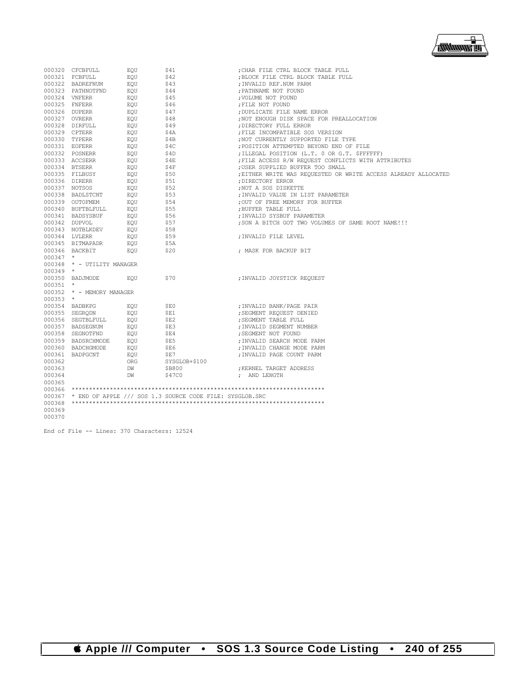

|            | 000320 CFCBFULL                                 | EQU                  | \$41                                                            | ; CHAR FILE CTRL BLOCK TABLE FULL                              |
|------------|-------------------------------------------------|----------------------|-----------------------------------------------------------------|----------------------------------------------------------------|
|            | 000321 FCBFULL                                  | EOU                  | \$42                                                            | ; BLOCK FILE CTRL BLOCK TABLE FULL                             |
|            | 000322 BADREFNUM $EQU$                          |                      | \$43                                                            | ; INVALID REF.NUM PARM                                         |
|            | 000323 PATHNOTFND                               | EOU                  | \$44                                                            | ; PATHNAME NOT FOUND                                           |
|            | 000324 VNFERR                                   | EOU                  | $$45$                                                           | : VOLUME NOT FOUND                                             |
|            | 000325 FNFERR                                   | EOU                  | \$46                                                            | ; FILE NOT FOUND                                               |
|            | 000326 DUPERR                                   | EOU                  | \$47                                                            | ; DUPLICATE FILE NAME ERROR                                    |
|            | 000327 OVRERR                                   | EOU                  | \$48                                                            | ; NOT ENOUGH DISK SPACE FOR PREALLOCATION                      |
|            | 000328 DIRFULL                                  | EOU                  |                                                                 | ; DIRECTORY FULL ERROR                                         |
|            | 000329 CPTERR                                   | EOU                  | \$49<br>\$4A                                                    | ; FILE INCOMPATIBLE SOS VERSION                                |
|            | 000330 TYPERR                                   | EOU                  | \$4B                                                            | ; NOT CURRENTLY SUPPORTED FILE TYPE                            |
|            | 000331 EOFERR                                   | EOU                  | \$4C                                                            | ; POSITION ATTEMPTED BEYOND END OF FILE                        |
|            | 000332 POSNERR                                  | EOU                  | \$4D                                                            | ; ILLEGAL POSITION (L.T. 0 OR G.T. \$FFFFFF)                   |
|            | 000333 ACCSERR                                  | EQU                  | S4E                                                             | ; FILE ACCESS R/W REQUEST CONFLICTS WITH ATTRIBUTES            |
|            | 000334 BTSERR                                   | EOU                  | \$4F                                                            | ; USER SUPPLIED BUFFER TOO SMALL                               |
|            | 000335 FILBUSY EQU                              |                      |                                                                 | ; EITHER WRITE WAS REQUESTED OR WRITE ACCESS ALREADY ALLOCATED |
|            | 000336 DIRERR                                   | EOU                  | \$50<br>\$51                                                    | : DIRECTORY ERROR                                              |
|            | 000337 NOTSOS                                   | EOU                  | \$52                                                            | ; NOT A SOS DISKETTE                                           |
|            | 000338 BADLSTCNT EQU                            |                      | \$53                                                            | : INVALID VALUE IN LIST PARAMETER                              |
|            |                                                 |                      |                                                                 |                                                                |
|            | 000339 OUTOFMEM EQU<br>000340 BUFTBLFULL EQU    |                      | \$54<br>\$55                                                    | : OUT OF FREE MEMORY FOR BUFFER                                |
|            |                                                 |                      |                                                                 | ; BUFFER TABLE FULL                                            |
|            | 000341 BADSYSBUF                                | EOU                  | \$56<br>\$57                                                    | ; INVALID SYSBUF PARAMETER                                     |
|            | 000342 DUPVOL                                   | UF<br>EQU<br>IEV EQU |                                                                 | : SON A BITCH GOT TWO VOLUMES OF SAME ROOT NAME !!!            |
|            | 000343 NOTBLKDEV                                |                      | \$58                                                            |                                                                |
|            | 000344 LVLERR                                   | EOU                  | \$59                                                            | ; INVALID FILE LEVEL                                           |
|            | 000345 BITMAPADR                                | EOU                  | \$5A                                                            |                                                                |
|            | 000346 BACKBIT                                  | EOU                  | \$20                                                            | ; MASK FOR BACKUP BIT                                          |
| $000347$ * |                                                 |                      |                                                                 |                                                                |
|            | 000348 * - UTILITY MANAGER                      |                      |                                                                 |                                                                |
| $000349$ * |                                                 |                      |                                                                 |                                                                |
|            | 000350 BADJMODE EQU                             |                      | \$70                                                            | ;INVALID JOYSTICK REQUEST                                      |
| $000351$ * |                                                 |                      |                                                                 |                                                                |
|            | 000352 * - MEMORY MANAGER                       |                      |                                                                 |                                                                |
| $000353$ * |                                                 |                      |                                                                 |                                                                |
|            | 000354 BADBKPG                                  | EOU                  | \$E0                                                            | ; INVALID BANK/PAGE PAIR                                       |
|            | 000355 SEGRQDN                                  | EOU                  | SE1                                                             | ; SEGMENT REQUEST DENIED                                       |
|            | 000356 SEGTBLFULL                               | EOU                  | \$E2                                                            | ; SEGMENT TABLE FULL                                           |
|            | 000357 BADSEGNUM EQU                            |                      | \$E3                                                            | : INVALID SEGMENT NUMBER                                       |
|            | 000358 SEGNOTFND                                | EOU                  | SE4                                                             | ; SEGMENT NOT FOUND                                            |
|            | 000359 BADSRCHMODE EQU<br>000360 BADCHGMODE EQU |                      | \$E5                                                            | ; INVALID SEARCH MODE PARM                                     |
|            |                                                 |                      | SE6                                                             | ; INVALID CHANGE MODE PARM                                     |
|            | 000361 BADPGCNT                                 | EOU                  | SE7                                                             | ; INVALID PAGE COUNT PARM                                      |
| 000362     |                                                 | ORG                  | SYSGLOB+\$100                                                   |                                                                |
| 000363     |                                                 | DW                   | \$B800                                                          | ; KERNEL TARGET ADDRESS                                        |
| 000364     |                                                 | DW                   | S47C0                                                           | ; AND LENGTH                                                   |
| 000365     |                                                 |                      |                                                                 |                                                                |
|            |                                                 |                      |                                                                 |                                                                |
|            |                                                 |                      | 000367 * END OF APPLE /// SOS 1.3 SOURCE CODE FILE: SYSGLOB.SRC |                                                                |
| 000368     |                                                 |                      |                                                                 |                                                                |
| 000369     |                                                 |                      |                                                                 |                                                                |
| 000370     |                                                 |                      |                                                                 |                                                                |
|            |                                                 |                      |                                                                 |                                                                |

End of File -- Lines: 370 Characters: 12524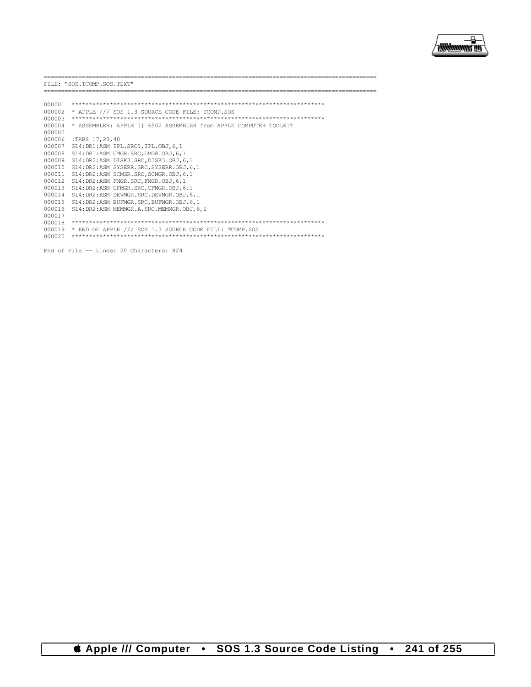

|        | FILE: "SOS.TCOMP.SOS.TEXT"                                        |
|--------|-------------------------------------------------------------------|
|        |                                                                   |
| 000001 |                                                                   |
| 000002 | * APPLE /// SOS 1.3 SOURCE CODE FILE: TCOMP.SOS                   |
| 000003 |                                                                   |
| 000004 | * ASSEMBLER: APPLE 1 [ 6502 ASSEMBLER from APPLE COMPUTER TOOLKIT |
| 000005 |                                                                   |
| 000006 | :TABS 17,23,40                                                    |
| 000007 | SL4: DR1:ASM IPL.SRC1, IPL.OBJ, 6, 1                              |
| 000008 | SL4: DR1:ASM UMGR. SRC, UMGR. OBJ, 6, 1                           |
| 000009 | SL4: DR2:ASM DISK3.SRC, DISK3.OBJ, 6, 1                           |
| 000010 | SL4: DR2:ASM SYSERR. SRC, SYSERR. OBJ, 6, 1                       |
| 000011 | SL4: DR2:ASM SCMGR. SRC, SCMGR. OBJ, 6, 1                         |
| 000012 | SL4: DR2:ASM FMGR. SRC. FMGR. OBJ. 6.1                            |
| 000013 | SL4: DR2:ASM CFMGR. SRC. CFMGR. OBJ. 6.1                          |
| 000014 | SL4: DR2:ASM DEVMGR. SRC, DEVMGR. OBJ, 6, 1                       |
| 000015 | SL4: DR2:ASM BUFMGR. SRC, BUFMGR. OBJ, 6, 1                       |
| 000016 | SL4: DR2:ASM MEMMGR.A.SRC.MEMMGR.OBJ.6.1                          |
| 000017 |                                                                   |
| 000018 |                                                                   |
| 000019 | * END OF APPLE /// SOS 1.3 SOURCE CODE FILE: TCOMP.SOS            |
| 000020 |                                                                   |
|        |                                                                   |

End of File -- Lines: 20 Characters: 824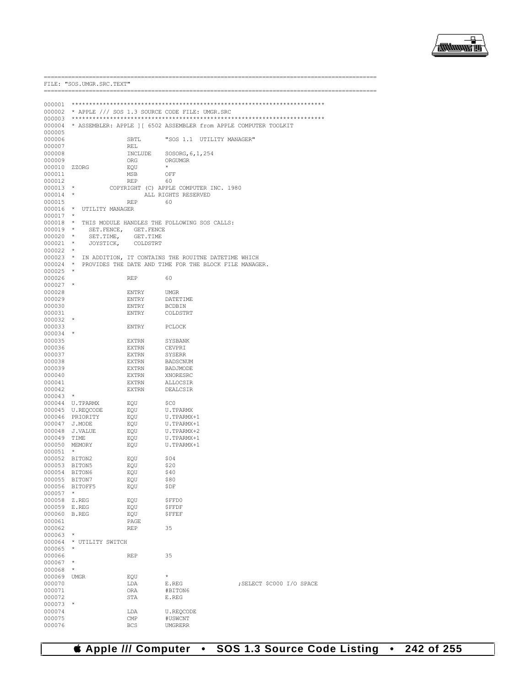

.===============

|                       | FILE: "SOS.UMGR.SRC.TEXT"                      |                       |                                                                   |                           |  |  |  |
|-----------------------|------------------------------------------------|-----------------------|-------------------------------------------------------------------|---------------------------|--|--|--|
|                       |                                                |                       |                                                                   |                           |  |  |  |
| 000001<br>000002      | * APPLE /// SOS 1.3 SOURCE CODE FILE: UMGR.SRC |                       |                                                                   |                           |  |  |  |
| 000003                |                                                |                       |                                                                   |                           |  |  |  |
| 000004                |                                                |                       | * ASSEMBLER: APPLE ] [ 6502 ASSEMBLER from APPLE COMPUTER TOOLKIT |                           |  |  |  |
| 000005                |                                                |                       |                                                                   |                           |  |  |  |
| 000006<br>000007      |                                                | SBTL                  | "SOS 1.1 UTILITY MANAGER"                                         |                           |  |  |  |
| 000008                |                                                | REL<br>INCLUDE        | SOSORG, 6, 1, 254                                                 |                           |  |  |  |
| 000009                |                                                | ORG                   | ORGUMGR                                                           |                           |  |  |  |
| 000010 ZZORG          |                                                | EQU                   | $\star$                                                           |                           |  |  |  |
| 000011                |                                                | MSB                   | OFF                                                               |                           |  |  |  |
| 000012                |                                                | <b>REP</b>            | 60                                                                |                           |  |  |  |
| $000013$ *<br>000014  | $\star$                                        |                       | COPYRIGHT (C) APPLE COMPUTER INC. 1980<br>ALL RIGHTS RESERVED     |                           |  |  |  |
| 000015                |                                                | <b>REP</b>            | 60                                                                |                           |  |  |  |
| 000016                | $\star$<br>UTILITY MANAGER                     |                       |                                                                   |                           |  |  |  |
| 000017                | $\star$                                        |                       |                                                                   |                           |  |  |  |
| 000018<br>$000019$ *  | $\star$                                        |                       | THIS MODULE HANDLES THE FOLLOWING SOS CALLS:                      |                           |  |  |  |
| $000020$ *            | SET.FENCE,<br>SET.TIME,                        | GET.FENCE<br>GET.TIME |                                                                   |                           |  |  |  |
| 000021                | $\star$<br>JOYSTICK,                           | COLDSTRT              |                                                                   |                           |  |  |  |
| 000022                | $\star$                                        |                       |                                                                   |                           |  |  |  |
| $000023$ *            |                                                |                       | IN ADDITION, IT CONTAINS THE ROUITNE DATETIME WHICH               |                           |  |  |  |
| 000024<br>000025      | $\star$<br>$\star$                             |                       | PROVIDES THE DATE AND TIME FOR THE BLOCK FILE MANAGER.            |                           |  |  |  |
| 000026                |                                                | <b>REP</b>            | 60                                                                |                           |  |  |  |
| 000027                |                                                |                       |                                                                   |                           |  |  |  |
| 000028                |                                                | ENTRY                 | <b>UMGR</b>                                                       |                           |  |  |  |
| 000029                |                                                | ENTRY                 | DATETIME                                                          |                           |  |  |  |
| 000030<br>000031      |                                                | ENTRY<br>ENTRY        | <b>BCDBIN</b><br>COLDSTRT                                         |                           |  |  |  |
| 000032                | $\star$                                        |                       |                                                                   |                           |  |  |  |
| 000033                |                                                | ENTRY                 | <b>PCLOCK</b>                                                     |                           |  |  |  |
| $000034$ *            |                                                |                       |                                                                   |                           |  |  |  |
| 000035                |                                                | <b>EXTRN</b>          | SYSBANK                                                           |                           |  |  |  |
| 000036<br>000037      |                                                | <b>EXTRN</b><br>EXTRN | CEVPRI<br><b>SYSERR</b>                                           |                           |  |  |  |
| 000038                |                                                | EXTRN                 | <b>BADSCNUM</b>                                                   |                           |  |  |  |
| 000039                |                                                | <b>EXTRN</b>          | BADJMODE                                                          |                           |  |  |  |
| 000040                |                                                | EXTRN                 | XNORESRC                                                          |                           |  |  |  |
| 000041                |                                                | EXTRN                 | ALLOCSIR                                                          |                           |  |  |  |
| 000042<br>000043      | $\star$                                        | <b>EXTRN</b>          | DEALCSIR                                                          |                           |  |  |  |
|                       | 000044 U.TPARMX                                | EQU                   | \$C0                                                              |                           |  |  |  |
|                       | 000045 U.REQCODE                               | EQU                   | <b>U.TPARMX</b>                                                   |                           |  |  |  |
| 000046                | PRIORITY                                       | EQU                   | U.TPARMX+1                                                        |                           |  |  |  |
| 000047                | J.MODE                                         | EQU                   | U.TPARMX+1                                                        |                           |  |  |  |
| 000048<br>000049 TIME | J.VALUE                                        | EQU<br>EQU            | U.TPARMX+2<br>U.TPARMX+1                                          |                           |  |  |  |
| 000050 MEMORY         |                                                | EQU                   | U.TPARMX+1                                                        |                           |  |  |  |
| 000051                | $\star$                                        |                       |                                                                   |                           |  |  |  |
| 000052 BITON2         |                                                | EQU                   | \$04                                                              |                           |  |  |  |
| 000053                | BITON5                                         | EOU                   | \$20                                                              |                           |  |  |  |
| 000054<br>000055      | BITON6<br>BITON7                               | EQU<br>EQU            | \$40<br>\$80                                                      |                           |  |  |  |
| 000056                | BITOFF5                                        | EQU                   | \$DF                                                              |                           |  |  |  |
| 000057                | $\star$                                        |                       |                                                                   |                           |  |  |  |
| 000058                | Z.REG                                          | EQU                   | \$FFD0                                                            |                           |  |  |  |
| 000059                | E.REG                                          | EQU                   | <b>\$FFDF</b>                                                     |                           |  |  |  |
| 000060<br>000061      | B.REG                                          | EQU<br>PAGE           | <b>\$FFEF</b>                                                     |                           |  |  |  |
| 000062                |                                                | <b>REP</b>            | 35                                                                |                           |  |  |  |
| 000063                | $\star$                                        |                       |                                                                   |                           |  |  |  |
| 000064                | * UTILITY SWITCH                               |                       |                                                                   |                           |  |  |  |
| 000065                | *                                              |                       |                                                                   |                           |  |  |  |
| 000066<br>000067      | $^\star$                                       | <b>REP</b>            | 35                                                                |                           |  |  |  |
| 000068                | *                                              |                       |                                                                   |                           |  |  |  |
| 000069                | <b>UMGR</b>                                    | EQU                   | $\star$                                                           |                           |  |  |  |
| 000070                |                                                | LDA                   | E.REG                                                             | ; SELECT \$C000 I/O SPACE |  |  |  |
| 000071                |                                                | ORA                   | #BITON6                                                           |                           |  |  |  |
| 000072<br>000073      | $^\star$                                       | STA                   | E.REG                                                             |                           |  |  |  |
| 000074                |                                                | LDA                   | U.REQCODE                                                         |                           |  |  |  |
| 000075                |                                                | CMP                   | #USWCNT                                                           |                           |  |  |  |
| 000076                |                                                | <b>BCS</b>            | <b>UMGRERR</b>                                                    |                           |  |  |  |

## SOS 1.3 Source Code Listing . 242 of 255 **4 Apple /// Computer**  $\bullet$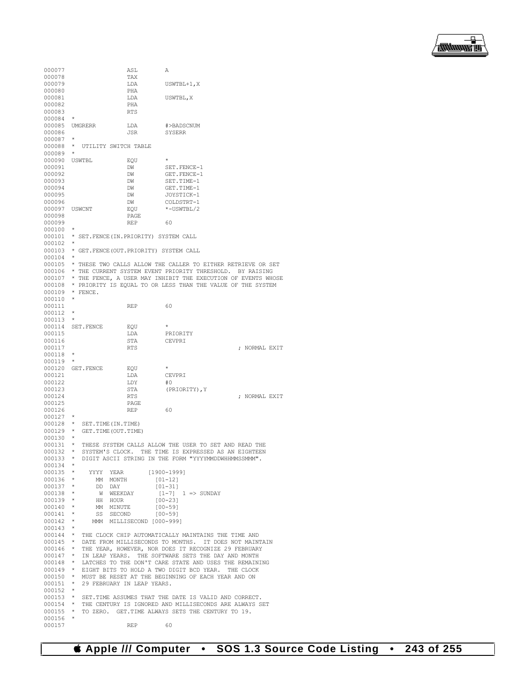

```
000077 ASL A<br>000078 Tax
000078 TAX<br>000079 LDA
                                 LDA USWTBL+1, X<br>PHA
000080 PHA<br>000081 1.DA
                                 LDA USWTBL, X<br>PHA
000082
000083 RTS
000084 *
000085 UMGRERR LDA #>BADSCNUM
                                                SYSERR
000087<br>000088
          * UTILITY SWITCH TABLE
000089 *
000090 USWTBL EQU <br>000091 DW
000091 DW SET.FENCE-1<br>000092 DW GET.FENCE-1
000092 DW GET.FENCE-1<br>000093 DW SET.TIME-1
000093 DW SET.TIME-1<br>000094 DW GET.TIME-1
000094 DW GET.TIME-1<br>000095 DW JOYSTICK-1
000095 DW JOYSTICK-1
000096 DW COLDSTRT-1<br>000097 USWCNT EQU *-USWTBL/2
                                 \begin{array}{lll} \texttt{EQU} & \hspace{1.5mm} \star\texttt{-USWTBL/2} \\ \texttt{PAGE} & \end{array}000098 PAGE
000099 REP 60
000100 *
000101 * SET.FENCE(IN.PRIORITY) SYSTEM CALL
000102<br>000103
         000103 * GET.FENCE(OUT.PRIORITY) SYSTEM CALL
000104 *<br>000105 *
000105 \star THESE TWO CALLS ALLOW THE CALLER TO EITHER RETRIEVE OR SET 000106 \star THE CURRENT SYSTEM EVENT PRIORITY THERSHOLD. BY RAISING
          000106 * THE CURRENT SYSTEM EVENT PRIORITY THRESHOLD. BY RAISING
000107 * THE FENCE, A USER MAY INHIBIT THE EXECUTION OF EVENTS WHOSE 000108 * PRIORITY IS EQUAL TO OR LESS THAN THE VALUE OF THE SYSTEM
000108 * PRIORITY IS EQUAL TO OR LESS THAN THE VALUE OF THE SYSTEM 000109 * FENCE
         * FENCE.
000110 *
000111 REP 60
000112 *
000113 *
000114 SET.FENCE EQU<br>000115 LDA
000115 LDA PRIORITY<br>000116 STA CEVPRI
000116 STA CEVPRI<br>000117 RTS
                                                                             : NORMAL EXIT
000118 *
000119 *
000120 GET.FENCE EQU<br>000121 LDA
                                 LDA CEVPRI<br>LDY #0
000122 LDY<br>000123 STA
000123 STA (PRIORITY), Y
000124 RTS
                                 \begin{array}{lllllllll} \text{RTS} & & \text{.} & \text{.} & \text{.} & \text{.} & \text{.} & \text{.} & \text{.} & \text{.} & \text{.} & \text{.} & \text{.} & \text{.} & \text{.} & \text{.} & \text{.} & \text{.} & \text{.} & \text{.} & \text{.} & \text{.} & \text{.} & \text{.} & \text{.} & \text{.} & \text{.} & \text{.} & \text{.} & \text{.} & \text{.} & \text{.} & \text{.} & \text{.} & \text{.} & \text{000125 PAGE<br>000126 REP
000126 REP 60
000127 *
000128 * SET.TIME(IN.TIME)<br>000129 * GET.TIME(OUT.TIME)
         * GET.TIME(OUT.TIME)
000130<br>000131
000131 * THESE SYSTEM CALLS ALLOW THE USER TO SET AND READ THE
000132 * SYSTEM'S CLOCK. THE TIME IS EXPRESSED AS AN EIGHTEEN
000133 * DIGIT ASCII STRING IN THE FORM "YYYYMMDDWHHMMSSMMM".
000134<br>000135
000135 * YYYY YEAR [1900-1999]<br>000136 * MM MONTH [01-12]
000136 * MM MONTH 000137 * DD DAY
000137 * DD DAY [01-31]
000138 * W WEEKDAY [1-7] 1 => SUNDAY<br>000139 * HH HOUR [00-23]HH HOIIR000140 * MM MINUTE [00-59]
000141 * SS SECOND<br>000142 * MMM MILLISE
                  MMM MILLISECOND [000-999]
000143 *
         000144 * THE CLOCK CHIP AUTOMATICALLY MAINTAINS THE TIME AND
000145 * DATE FROM MILLISECONDS TO MONTHS. IT DOES NOT MAINTAIN<br>000146 * THE YEAR, HOWEVER, NOR DOES IT RECOGNIZE 29 FEBRUARY
000146 * THE YEAR, HOWEVER, NOR DOES IT RECOGNIZE 29 FEBRUARY<br>000147 * IN LEAP YEARS. THE SOFTWARE SETS THE DAY AND MONTH
000147 * IN LEAP YEARS. THE SOFTWARE SETS THE DAY AND MONTH<br>000148 * LATCHES TO THE DON'T CARE STATE AND USES THE REMAIN
000148 * LATCHES TO THE DON'T CARE STATE AND USES THE REMAINING 000149 * EIGHT BITS TO HOLD A TWO DIGIT BCD YEAR. THE CLOCK
000149 * EIGHT BITS TO HOLD A TWO DIGIT BCD YEAR. THE CLOCK<br>000150 * MUST BE RESET AT THE BEGINNING OF EACH YEAR AND ON
000150 \star MUST BE RESET AT THE BEGINNING OF EACH YEAR AND ON 000151 \star 29 FEBRUARY IN LEAP YEARS.
          * 29 FEBRUARY IN LEAP YEARS.
000152<br>000153000153 * SET.TIME ASSUMES THAT THE DATE IS VALID AND CORRECT. 000154 * THE CENTURY IS IGNORED AND MILLISECONDS ARE ALWAYS S
000154 \star THE CENTURY IS IGNORED AND MILLISECONDS ARE ALWAYS SET 000155 \star TO ZERO. GET. TIME ALWAYS SETS THE CENTURY TO 19.
          * TO ZERO. GET. TIME ALWAYS SETS THE CENTURY TO 19.
000156
000157 REP 60
```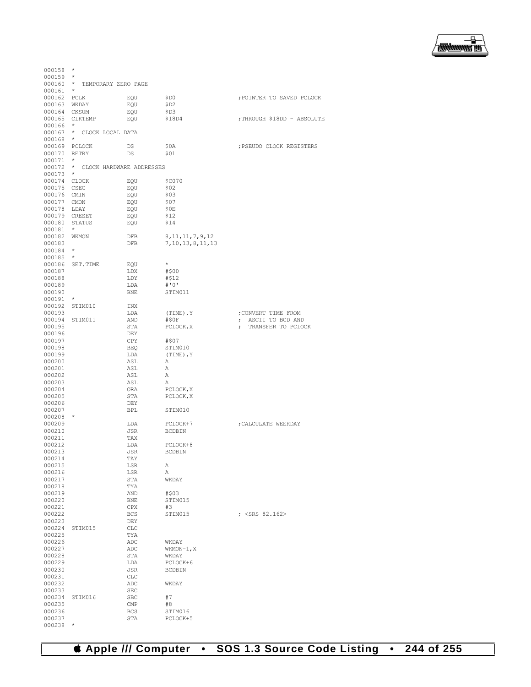

| 000158        | $\star$         |                                   |                      |                                  |
|---------------|-----------------|-----------------------------------|----------------------|----------------------------------|
| $000159$ *    |                 |                                   |                      |                                  |
| $000160$ *    |                 | TEMPORARY ZERO PAGE               |                      |                                  |
| 000161        | $\star$         |                                   |                      |                                  |
|               |                 |                                   |                      |                                  |
| 000162 PCLK   |                 | EQU                               | \$D0                 | ; POINTER TO SAVED PCLOCK        |
| 000163 WKDAY  |                 | EQU                               | \$D2                 |                                  |
| 000164 CKSUM  |                 | EQU                               | \$D3                 |                                  |
|               | 000165 CLKTEMP  | EQU                               | \$18D4               | ; THROUGH \$18DD - ABSOLUTE      |
| $000166$ *    |                 |                                   |                      |                                  |
|               |                 | 000167 * CLOCK LOCAL DATA         |                      |                                  |
| 000168        | $\star$         |                                   |                      |                                  |
|               | 000169 PCLOCK   | DS                                | \$0A                 | ; PSEUDO CLOCK REGISTERS         |
| 000170 RETRY  |                 | DS                                | \$01                 |                                  |
| 000171        | $\star$         |                                   |                      |                                  |
|               |                 |                                   |                      |                                  |
|               |                 | 000172 * CLOCK HARDWARE ADDRESSES |                      |                                  |
| 000173        | $\star$         |                                   |                      |                                  |
| 000174 CLOCK  |                 | EQU                               | \$C070               |                                  |
| 000175 CSEC   |                 | EQU                               | \$02                 |                                  |
| 000176 CMIN   |                 | EQU                               | \$03                 |                                  |
| 000177 CMON   |                 | EQU                               | \$07                 |                                  |
| 000178 LDAY   |                 | EQU                               | \$0E                 |                                  |
| 000179 CRESET |                 | EQU                               | \$12                 |                                  |
| 000180 STATUS |                 | EQU                               | \$14                 |                                  |
|               | $\star$         |                                   |                      |                                  |
| 000181        |                 |                                   |                      |                                  |
| 000182 WKMON  |                 | DFB                               | 8, 11, 11, 7, 9, 12  |                                  |
| 000183        |                 | DFB                               | 7, 10, 13, 8, 11, 13 |                                  |
| 000184        | $\star$         |                                   |                      |                                  |
| 000185        | $\star$         |                                   |                      |                                  |
|               | 000186 SET.TIME | EQU                               | $\star$              |                                  |
| 000187        |                 | LDX                               | #\$00                |                                  |
| 000188        |                 | LDY                               | #\$12                |                                  |
| 000189        |                 | LDA                               | $# 0$ '              |                                  |
| 000190        |                 | BNE                               | STIM011              |                                  |
| 000191        | $\star$         |                                   |                      |                                  |
|               |                 |                                   |                      |                                  |
|               | 000192 STIM010  | <b>INX</b>                        |                      |                                  |
| 000193        |                 | LDA                               | $(TIME)$ , $Y$       | ; CONVERT TIME FROM              |
|               | 000194 STIM011  | AND                               | #\$0F                | ; ASCII TO BCD AND               |
| 000195        |                 | STA                               | PCLOCK, X            | TRANSFER TO PCLOCK<br>$\ddot{i}$ |
| 000196        |                 | DEY                               |                      |                                  |
| 000197        |                 | CPY                               | #\$07                |                                  |
| 000198        |                 | BEO                               | STIM010              |                                  |
| 000199        |                 | LDA                               | $(TIME)$ , Y         |                                  |
| 000200        |                 | ASL                               | Α                    |                                  |
|               |                 |                                   |                      |                                  |
| 000201        |                 | ASL                               | Α                    |                                  |
| 000202        |                 | ASL                               | Α                    |                                  |
| 000203        |                 | ASL                               | Α                    |                                  |
| 000204        |                 | ORA                               | PCLOCK, X            |                                  |
| 000205        |                 | STA                               | PCLOCK, X            |                                  |
| 000206        |                 | DEY                               |                      |                                  |
| 000207        |                 | <b>BPL</b>                        | STIM010              |                                  |
| 000208        | $\star$         |                                   |                      |                                  |
| 000209        |                 | LDA                               | PCLOCK+7             | ; CALCULATE WEEKDAY              |
| 000210        |                 | JSR                               | <b>BCDBIN</b>        |                                  |
| 000211        |                 | TAX                               |                      |                                  |
| 000212        |                 | LDA                               | PCLOCK+8             |                                  |
|               |                 |                                   |                      |                                  |
| 000213        |                 | <b>JSR</b>                        | <b>BCDBIN</b>        |                                  |
| 000214        |                 | TAY                               |                      |                                  |
| 000215        |                 | LSR                               | Α                    |                                  |
| 000216        |                 | LSR                               | Α                    |                                  |
| 000217        |                 | STA                               | WKDAY                |                                  |
| 000218        |                 | TYA                               |                      |                                  |
| 000219        |                 | AND                               | #\$03                |                                  |
| 000220        |                 | BNE                               | STIM015              |                                  |
| 000221        |                 | CPX                               | #3                   |                                  |
| 000222        |                 | <b>BCS</b>                        | STIM015              | ; <srs 82.162=""></srs>          |
| 000223        |                 | DEY                               |                      |                                  |
|               |                 |                                   |                      |                                  |
|               | 000224 STIM015  | CLC                               |                      |                                  |
| 000225        |                 | TYA                               |                      |                                  |
| 000226        |                 | ADC                               | WKDAY                |                                  |
| 000227        |                 | ADC                               | WKMON-1, X           |                                  |
| 000228        |                 | STA                               | WKDAY                |                                  |
| 000229        |                 | LDA                               | PCLOCK+6             |                                  |
| 000230        |                 | JSR                               | <b>BCDBIN</b>        |                                  |
| 000231        |                 | CLC                               |                      |                                  |
| 000232        |                 | ADC                               | WKDAY                |                                  |
| 000233        |                 | SEC                               |                      |                                  |
| 000234        | STIM016         | <b>SBC</b>                        | #7                   |                                  |
| 000235        |                 | $\mathop{\mathrm{CMP}}$           | #8                   |                                  |
|               |                 |                                   |                      |                                  |
| 000236        |                 | BCS                               | STIM016              |                                  |
| 000237        |                 | STA                               | PCLOCK+5             |                                  |
| 000238        | $^{\star}$      |                                   |                      |                                  |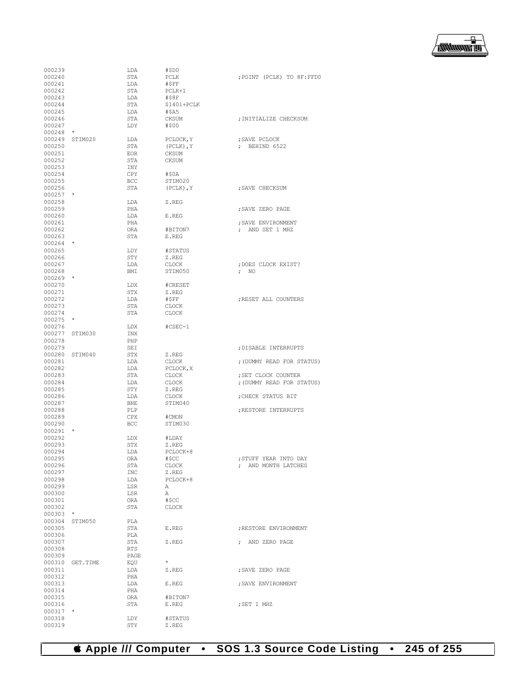

| 000239           |                 | LDA        | #SDO             |                            |
|------------------|-----------------|------------|------------------|----------------------------|
| 000240           |                 | STA        | PCLK             | ; POINT (PCLK) TO 8F: FFD0 |
|                  |                 |            |                  |                            |
| 000241           |                 | LDA        | #SFF             |                            |
| 000242           |                 | STA        | PCLK+1           |                            |
| 000243           |                 | LDA        | #\$8F            |                            |
| 000244           |                 | STA        | $$1401+PCLK$     |                            |
| 000245           |                 | LDA        | #SAS             |                            |
| 000246           |                 | STA        | CKSUM            | ; INITIALIZE CHECKSUM      |
| 000247           |                 | LDY        | #\$00            |                            |
| 000248           | $\star$         |            |                  |                            |
|                  |                 |            |                  |                            |
|                  | 000249 STIM020  | LDA        | PCLOCK, Y        | ; SAVE PCLOCK              |
| 000250           |                 | STA        | $(PCLK)$ , $Y$   | $:$ BEHIND 6522            |
| 000251           |                 | <b>EOR</b> | CKSUM            |                            |
| 000252           |                 | STA        | <b>CKSUM</b>     |                            |
| 000253           |                 | INY        |                  |                            |
| 000254           |                 | CPY        | #\$0A            |                            |
| 000255           |                 |            |                  |                            |
|                  |                 | BCC        | STIM020          |                            |
| 000256           |                 | STA        | $(PCLK)$ , $Y$   | : SAVE CHECKSUM            |
| $000257$ *       |                 |            |                  |                            |
| 000258           |                 | LDA        | Z.REG            |                            |
| 000259           |                 | PHA        |                  | ; SAVE ZERO PAGE           |
| 000260           |                 | LDA        | E.REG            |                            |
| 000261           |                 | PHA        |                  | ; SAVE ENVIRONMENT         |
|                  |                 |            |                  |                            |
| 000262           |                 | ORA        | #BITON7          | ; AND SET 1 MHZ            |
| 000263           |                 | STA        | E.REG            |                            |
| $000264$ *       |                 |            |                  |                            |
| 000265           |                 | LDY        | #STATUS          |                            |
| 000266           |                 | STY        | Z.REG            |                            |
| 000267           |                 | LDA        | CLOCK            | : DOES CLOCK EXIST?        |
| 000268           |                 | BMI        | STIM050          | $;$ NO                     |
|                  |                 |            |                  |                            |
| $000269$ *       |                 |            |                  |                            |
| 000270           |                 | LDX        | #CRESET          |                            |
| 000271           |                 | STX        | Z.REG            |                            |
| 000272           |                 | LDA        | #SFF             | ; RESET ALL COUNTERS       |
| 000273           |                 | STA        | CLOCK            |                            |
| 000274           |                 | STA        | <b>CLOCK</b>     |                            |
| 000275           | $\star$         |            |                  |                            |
|                  |                 |            |                  |                            |
| 000276           |                 | LDX        | $#CSEC-1$        |                            |
| 000277           | STIM030         | INX        |                  |                            |
| 000278           |                 | PHP        |                  |                            |
| 000279           |                 | SEI        |                  | ; DISABLE INTERRUPTS       |
|                  | 000280 STIM040  | STX        | Z.REG            |                            |
| 000281           |                 | LDA        | CLOCK            | ; (DUMMY READ FOR STATUS)  |
| 000282           |                 | LDA        | PCLOCK, X        |                            |
| 000283           |                 |            |                  |                            |
|                  |                 | STA        | CLOCK            | ; SET CLOCK COUNTER        |
| 000284           |                 | LDA        | <b>CLOCK</b>     | ; (DUMMY READ FOR STATUS)  |
| 000285           |                 | STY        | Z.REG            |                            |
| 000286           |                 | LDA        | <b>CLOCK</b>     | ; CHECK STATUS BIT         |
| 000287           |                 | BNE        | STIM040          |                            |
| 000288           |                 | PLP        |                  | ; RESTORE INTERRUPTS       |
| 000289           |                 | <b>CPX</b> | #CMON            |                            |
| 000290           |                 | BCC        | STIM030          |                            |
|                  | $\star$         |            |                  |                            |
| 000291           |                 |            |                  |                            |
| 000292           |                 | LDX        | #LDAY            |                            |
| 000293           |                 | STX        | Z.REG            |                            |
| 000294           |                 | LDA        | PCLOCK+8         |                            |
| 000295           |                 | ORA        | #\$CC            | ; STUFF YEAR INTO DAY      |
| 000296           |                 | STA        | CLOCK            | ; AND MONTH LATCHES        |
| 000297           |                 | INC        | Z.REG            |                            |
| 000298           |                 |            | PCLOCK+8         |                            |
|                  |                 | LDA        |                  |                            |
| 000299           |                 | LSR        | Α                |                            |
| 000300           |                 | LSR        | Α                |                            |
| 000301           |                 | ORA        | #SCC             |                            |
| 000302           |                 | STA        | <b>CLOCK</b>     |                            |
| 000303           | $\star$         |            |                  |                            |
| 000304           | STIM050         | PLA        |                  |                            |
| 000305           |                 |            | E.REG            |                            |
|                  |                 | STA        |                  | ; RESTORE ENVIRONMENT      |
| 000306           |                 | PLA        |                  |                            |
| 000307           |                 | STA        | Z.REG            | ; AND ZERO PAGE            |
| 000308           |                 | RTS        |                  |                            |
| 000309           |                 | PAGE       |                  |                            |
|                  | 000310 GET.TIME | EQU        | $\star$          |                            |
| 000311           |                 | LDA        | Z.REG            | ; SAVE ZERO PAGE           |
|                  |                 |            |                  |                            |
| 000312           |                 | PHA        |                  |                            |
| 000313           |                 | LDA        | E.REG            | ; SAVE ENVIRONMENT         |
| 000314           |                 | PHA        |                  |                            |
| 000315           |                 |            | #BITON7          |                            |
|                  |                 | ORA        |                  |                            |
| 000316           |                 | STA        | E.REG            | ; SET 1 MHZ                |
|                  | $\star$         |            |                  |                            |
| 000317           |                 |            |                  |                            |
| 000318<br>000319 |                 | LDY<br>STY | #STATUS<br>Z.REG |                            |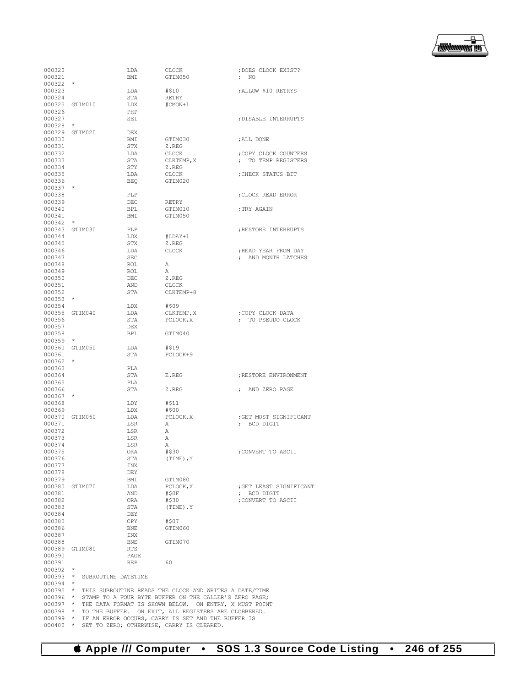

| 000320                   |                     | LDA               | <b>CLOCK</b>                                                                                    | ; DOES CLOCK EXIST?                                  |
|--------------------------|---------------------|-------------------|-------------------------------------------------------------------------------------------------|------------------------------------------------------|
| 000321                   |                     | <b>BMT</b>        | GTIM050                                                                                         | $\mathfrak{g}$ NO                                    |
| 000322<br>000323         |                     | LDA               | #\$10                                                                                           | ; ALLOW \$10 RETRYS                                  |
| 000324                   |                     | STA               | RETRY                                                                                           |                                                      |
|                          | 000325 GTIM010      | LDX               | #CMON+1                                                                                         |                                                      |
| 000326                   |                     | PHP               |                                                                                                 |                                                      |
| 000327<br>000328         |                     | <b>SET</b>        |                                                                                                 | : DISABLE INTERRUPTS                                 |
|                          | 000329 GTIM020      | DEX               |                                                                                                 |                                                      |
| 000330                   |                     | BMI               | GTIM030                                                                                         | ; ALL DONE                                           |
| 000331                   |                     | STX               | Z.REG                                                                                           |                                                      |
| 000332                   |                     | LDA               | CLOCK                                                                                           | ; COPY CLOCK COUNTERS                                |
| 000333<br>000334         |                     | STA<br>STY        | CLKTEMP, X                                                                                      | ; TO TEMP REGISTERS                                  |
| 000335                   |                     | LDA               | Z.REG<br><b>CLOCK</b>                                                                           | ; CHECK STATUS BIT                                   |
| 000336                   |                     | <b>BEO</b>        | GTIM020                                                                                         |                                                      |
| 000337                   |                     |                   |                                                                                                 |                                                      |
| 000338                   |                     | PLP               |                                                                                                 | ; CLOCK READ ERROR                                   |
| 000339                   |                     | DEC               | RETRY                                                                                           |                                                      |
| 000340<br>000341         |                     | <b>BPL</b><br>BMI | GTIM010<br>GTIM050                                                                              | ; TRY AGAIN                                          |
| 000342                   | $\star$             |                   |                                                                                                 |                                                      |
|                          | 000343 GTIM030      | PLP               |                                                                                                 | ; RESTORE INTERRUPTS                                 |
| 000344                   |                     | LDX               | #LDAY+1                                                                                         |                                                      |
| 000345                   |                     | STX               | Z.REG                                                                                           |                                                      |
| 000346                   |                     | LDA               | <b>CLOCK</b>                                                                                    | ; READ YEAR FROM DAY                                 |
| 000347                   |                     | <b>SEC</b>        |                                                                                                 | ; AND MONTH LATCHES                                  |
| 000348<br>000349         |                     | ROL<br>ROL        | Α<br>Α                                                                                          |                                                      |
| 000350                   |                     | DEC               | Z.REG                                                                                           |                                                      |
| 000351                   |                     | AND               | <b>CLOCK</b>                                                                                    |                                                      |
| 000352                   |                     | STA               | CLKTEMP+8                                                                                       |                                                      |
| 000353                   | $\star$             |                   |                                                                                                 |                                                      |
| 000354                   |                     | LDX               | #\$09                                                                                           |                                                      |
| 000356                   | 000355 GTIM040      | LDA               | CLKTEMP, X                                                                                      | ; COPY CLOCK DATA                                    |
| 000357                   |                     | STA<br><b>DEX</b> | PCLOCK, X                                                                                       | ; TO PSEUDO CLOCK                                    |
| 000358                   |                     | <b>BPL</b>        | GTIM040                                                                                         |                                                      |
| 000359                   | $\star$             |                   |                                                                                                 |                                                      |
|                          | 000360 GTIM050      | LDA               | #\$19                                                                                           |                                                      |
| 000361                   |                     | STA               | PCLOCK+9                                                                                        |                                                      |
| 000362                   | $\star$             |                   |                                                                                                 |                                                      |
| 000363<br>000364         |                     | PLA<br>STA        | E.REG                                                                                           | ; RESTORE ENVIRONMENT                                |
| 000365                   |                     | PLA               |                                                                                                 |                                                      |
| 000366                   |                     | STA               | Z.REG                                                                                           | AND ZERO PAGE<br>$\ddot{ }$                          |
| 000367                   |                     |                   |                                                                                                 |                                                      |
| 000368                   |                     | LDY               | #\$11                                                                                           |                                                      |
| 000369                   |                     | LDX               | #\$00                                                                                           |                                                      |
| 000371                   | 000370 GTIM060      | LDA<br>LSR        | PCLOCK, X<br>Α                                                                                  | ; GET MOST SIGNIFICANT<br>BCD DIGIT<br>$\mathcal{L}$ |
| 000372                   |                     | LSR               | Α                                                                                               |                                                      |
| 000373                   |                     | LSR               | Α                                                                                               |                                                      |
| 000374                   |                     | LSR               | Α                                                                                               |                                                      |
| 000375                   |                     | ORA               | #\$30                                                                                           | ; CONVERT TO ASCII                                   |
| 000376                   |                     | STA               | $(TIME)$ , Y                                                                                    |                                                      |
| 000377                   |                     | INX               |                                                                                                 |                                                      |
| 000378<br>000379         |                     | DEY<br>BMI        | GTIM080                                                                                         |                                                      |
|                          | 000380 GTIM070      | LDA               | PCLOCK, X                                                                                       | ; GET LEAST SIGNIFICANT                              |
| 000381                   |                     | AND               | #\$0F                                                                                           | ; BCD DIGIT                                          |
| 000382                   |                     | ORA               | #\$30                                                                                           | ; CONVERT TO ASCII                                   |
| 000383                   |                     | STA               | $(TIME)$ , $Y$                                                                                  |                                                      |
| 000384                   |                     | DEY               |                                                                                                 |                                                      |
| 000385<br>000386         |                     | CPY<br>BNE        | #\$07<br>GTIM060                                                                                |                                                      |
| 000387                   |                     | INX               |                                                                                                 |                                                      |
| 000388                   |                     | BNE               | GTIM070                                                                                         |                                                      |
|                          | 000389 GTIM080      | RTS               |                                                                                                 |                                                      |
| 000390                   |                     | PAGE              |                                                                                                 |                                                      |
| 000391                   |                     | REP               | - 60                                                                                            |                                                      |
| $000392$ *<br>$000393$ * | SUBROUTINE DATETIME |                   |                                                                                                 |                                                      |
| $000394$ *               |                     |                   |                                                                                                 |                                                      |
|                          |                     |                   | 000395 * THIS SUBROUTINE READS THE CLOCK AND WRITES A DATE/TIME                                 |                                                      |
| $000396$ *               |                     |                   | STAMP TO A FOUR BYTE BUFFER ON THE CALLER'S ZERO PAGE;                                          |                                                      |
| $000397$ *               |                     |                   | THE DATA FORMAT IS SHOWN BELOW. ON ENTRY, X MUST POINT                                          |                                                      |
| $000398$ *               |                     |                   | TO THE BUFFER. ON EXIT, ALL REGISTERS ARE CLOBBERED.                                            |                                                      |
| $000399$ *<br>$000400$ * |                     |                   | IF AN ERROR OCCURS, CARRY IS SET AND THE BUFFER IS<br>SET TO ZERO; OTHERWISE, CARRY IS CLEARED. |                                                      |
|                          |                     |                   |                                                                                                 |                                                      |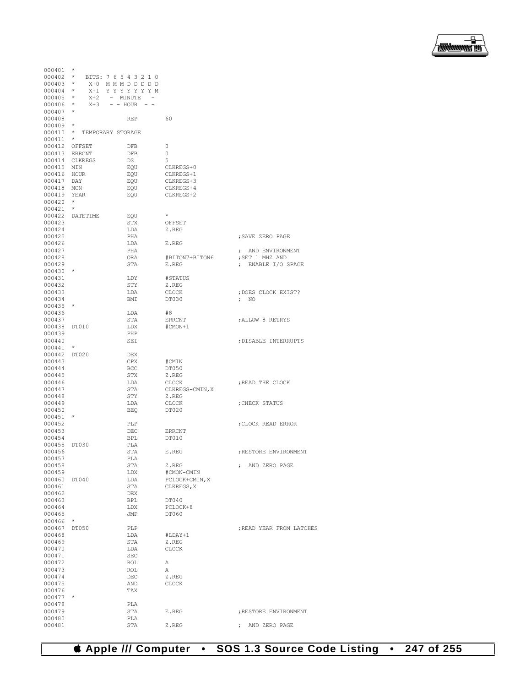

| $000401$ *             |                 |                            |                              |                          |
|------------------------|-----------------|----------------------------|------------------------------|--------------------------|
| $000402$ *             |                 | BITS: 7 6 5 4 3 2 1 0      |                              |                          |
| $000403$ *             |                 | X+0 MMMDDDDD               |                              |                          |
| $000404$ *             |                 | X+1 YYYYYYYM               |                              |                          |
| $000405$ *             |                 | X+2 - MINUTE -             |                              |                          |
| 000406 *<br>$000407$ * |                 | $X + 3 - - HOUR - -$       |                              |                          |
| 000408                 |                 | <b>REP</b>                 | 60                           |                          |
| $000409$ *             |                 |                            |                              |                          |
|                        |                 | 000410 * TEMPORARY STORAGE |                              |                          |
| $000411$ *             |                 |                            |                              |                          |
| 000412 OFFSET          |                 | <b>DFB</b>                 | $\circ$                      |                          |
| 000413 ERRCNT          |                 | DFB                        | $\circ$                      |                          |
|                        | 000414 CLKREGS  | DS                         | 5                            |                          |
| 000415 MIN             |                 | EQU                        | CLKREGS+0                    |                          |
| 000416 HOUR            |                 | EQU                        | CLKREGS+1                    |                          |
| 000417 DAY             |                 | EOU                        | CLKREGS+3                    |                          |
| 000418 MON             |                 | EQU                        | CLKREGS+4                    |                          |
| 000419 YEAR            |                 | EQU                        | CLKREGS+2                    |                          |
| $000420$ *             |                 |                            |                              |                          |
| $000421$ *             |                 |                            |                              |                          |
|                        | 000422 DATETIME | EQU                        | $\star$                      |                          |
| 000423                 |                 | STX                        | OFFSET                       |                          |
| 000424                 |                 | LDA                        | Z.REG                        |                          |
| 000425                 |                 | PHA                        |                              | ; SAVE ZERO PAGE         |
| 000426                 |                 | LDA                        | E.REG                        |                          |
| 000427                 |                 | PHA                        |                              | ; AND ENVIRONMENT        |
| 000428                 |                 | ORA                        | #BITON7+BITON6               | ; SET 1 MHZ AND          |
| 000429                 |                 | STA                        | E.REG                        | ; ENABLE I/O SPACE       |
| $000430$ *<br>000431   |                 | LDY                        | #STATUS                      |                          |
| 000432                 |                 | STY                        | Z.REG                        |                          |
| 000433                 |                 | LDA                        | CLOCK                        | ; DOES CLOCK EXIST?      |
| 000434                 |                 | BMI                        | DT030                        | $\mathfrak{p}$ NO        |
| $000435$ *             |                 |                            |                              |                          |
| 000436                 |                 | LDA                        | #8                           |                          |
| 000437                 |                 | STA                        | ERRCNT                       | ; ALLOW 8 RETRYS         |
| 000438 DT010           |                 | LDX                        | #CMON+1                      |                          |
| 000439                 |                 | PHP                        |                              |                          |
| 000440                 |                 | SEI                        |                              | ; DISABLE INTERRUPTS     |
| $000441$ *             |                 |                            |                              |                          |
| 000442 DT020           |                 | <b>DEX</b>                 |                              |                          |
| 000443                 |                 | CPX                        | #CMIN                        |                          |
| 000444                 |                 | <b>BCC</b>                 | DT050                        |                          |
| 000445                 |                 | STX                        | Z.REG                        |                          |
| 000446                 |                 | LDA                        | CLOCK                        | ; READ THE CLOCK         |
| 000447                 |                 | STA                        | CLKREGS-CMIN, X              |                          |
| 000448                 |                 | STY                        | Z.REG                        |                          |
| 000449                 |                 | LDA                        | CLOCK                        | ; CHECK STATUS           |
| 000450                 |                 | <b>BEO</b>                 | <b>DT020</b>                 |                          |
| 000451                 | $\star$         |                            |                              |                          |
| 000452                 |                 | PLP                        |                              | ; CLOCK READ ERROR       |
| 000453                 |                 | DEC                        | ERRCNT                       |                          |
| 000454                 |                 | <b>BPL</b>                 | DT010                        |                          |
| 000455 DT030           |                 | PLA                        |                              |                          |
| 000456                 |                 | <b>STA</b>                 | E.REG                        | : RESTORE ENVIRONMENT    |
| 000457                 |                 | PLA                        |                              |                          |
| 000458                 |                 | STA                        | Z.REG                        | ; AND ZERO PAGE          |
| 000459                 |                 | LDX                        | #CMON-CMIN                   |                          |
| 000460<br>000461       | DT040           | LDA<br>STA                 | PCLOCK+CMIN, X<br>CLKREGS, X |                          |
| 000462                 |                 | DEX                        |                              |                          |
| 000463                 |                 | <b>BPL</b>                 | DT040                        |                          |
| 000464                 |                 | LDX                        | PCLOCK+8                     |                          |
| 000465                 |                 | JMP                        | DT060                        |                          |
| 000466                 | $^{\star}$      |                            |                              |                          |
| 000467                 | DT050           | PLP                        |                              | ; READ YEAR FROM LATCHES |
| 000468                 |                 | LDA                        | $#LDAY+1$                    |                          |
| 000469                 |                 | STA                        | Z.REG                        |                          |
| 000470                 |                 | LDA                        | <b>CLOCK</b>                 |                          |
| 000471                 |                 | <b>SEC</b>                 |                              |                          |
| 000472                 |                 | ROL                        | Α                            |                          |
| 000473                 |                 | ROL                        | Α                            |                          |
| 000474                 |                 | DEC                        | Z.REG                        |                          |
| 000475                 |                 | AND                        | <b>CLOCK</b>                 |                          |
| 000476                 |                 | TAX                        |                              |                          |
| 000477                 | $\star$         |                            |                              |                          |
| 000478                 |                 | PLA                        |                              |                          |
| 000479                 |                 | STA                        | E.REG                        | ; RESTORE ENVIRONMENT    |
| 000480                 |                 | PLA                        |                              |                          |
| 000481                 |                 | STA                        | Z.REG                        | ; AND ZERO PAGE          |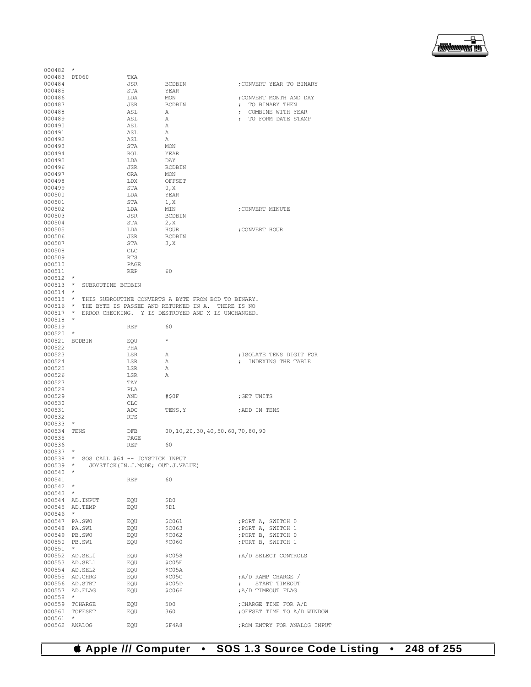| 000482           | $\star$                              |                                  |                                                      |                                  |
|------------------|--------------------------------------|----------------------------------|------------------------------------------------------|----------------------------------|
| 000483           | DT060                                | TXA                              |                                                      |                                  |
| 000484           |                                      | JSR                              | <b>BCDBIN</b>                                        | ; CONVERT YEAR TO BINARY         |
| 000485           |                                      | STA                              | YEAR                                                 |                                  |
| 000486           |                                      | LDA                              | MON                                                  | ; CONVERT MONTH AND DAY          |
| 000487           |                                      | JSR                              | <b>BCDBIN</b>                                        | TO BINARY THEN                   |
| 000488           |                                      | ASL                              | Α                                                    | COMBINE WITH YEAR<br>$\ddot{ }$  |
| 000489           |                                      | ASL                              | Α                                                    | TO FORM DATE STAMP<br>$\ddot{ }$ |
| 000490           |                                      | ASL                              | Α                                                    |                                  |
| 000491           |                                      | ASL                              | Α                                                    |                                  |
| 000492           |                                      | ASL                              | Α                                                    |                                  |
| 000493           |                                      | STA                              | MON                                                  |                                  |
| 000494           |                                      | ROL                              | YEAR                                                 |                                  |
| 000495           |                                      | LDA                              | DAY                                                  |                                  |
| 000496           |                                      | JSR                              | <b>BCDBIN</b>                                        |                                  |
| 000497           |                                      | ORA                              | MON                                                  |                                  |
| 000498           |                                      | LDX                              | OFFSET                                               |                                  |
| 000499           |                                      | STA                              |                                                      |                                  |
|                  |                                      |                                  | 0, X                                                 |                                  |
| 000500           |                                      | LDA                              | YEAR                                                 |                                  |
| 000501           |                                      | STA                              | 1, X                                                 |                                  |
| 000502           |                                      | LDA                              | MIN                                                  | ; CONVERT MINUTE                 |
| 000503           |                                      | JSR                              | <b>BCDBIN</b>                                        |                                  |
| 000504           |                                      | STA                              | 2, x                                                 |                                  |
| 000505           |                                      | LDA                              | HOUR                                                 | ; CONVERT HOUR                   |
| 000506           |                                      | <b>JSR</b>                       | <b>BCDBIN</b>                                        |                                  |
| 000507           |                                      | STA                              | 3, X                                                 |                                  |
| 000508           |                                      | <b>CLC</b>                       |                                                      |                                  |
| 000509           |                                      | <b>RTS</b>                       |                                                      |                                  |
| 000510           |                                      | PAGE                             |                                                      |                                  |
| 000511           |                                      | <b>REP</b>                       | 60                                                   |                                  |
| 000512           | $\star$                              |                                  |                                                      |                                  |
| 000513           | $^\star$<br>SUBROUTINE BCDBIN        |                                  |                                                      |                                  |
| 000514           | $\star$                              |                                  |                                                      |                                  |
| 000515           | $\star$                              |                                  | THIS SUBROUTINE CONVERTS A BYTE FROM BCD TO BINARY.  |                                  |
| 000516           | $\star$                              |                                  | THE BYTE IS PASSED AND RETURNED IN A.<br>THERE IS NO |                                  |
| 000517           | $^{\star}$                           |                                  | ERROR CHECKING. Y IS DESTROYED AND X IS UNCHANGED.   |                                  |
| 000518           | *                                    |                                  |                                                      |                                  |
| 000519           |                                      | REP                              | 60                                                   |                                  |
| 000520           | *                                    |                                  |                                                      |                                  |
| 000521           | BCDBIN                               | EOU                              | $\star$                                              |                                  |
| 000522           |                                      | PHA                              |                                                      |                                  |
| 000523           |                                      | LSR                              | Α                                                    | ; ISOLATE TENS DIGIT FOR         |
| 000524           |                                      | LSR                              | Α                                                    | INDEXING THE TABLE               |
| 000525           |                                      | LSR                              | Α                                                    |                                  |
|                  |                                      | LSR                              | Α                                                    |                                  |
|                  |                                      |                                  |                                                      |                                  |
| 000526           |                                      |                                  |                                                      |                                  |
| 000527           |                                      | TAY                              |                                                      |                                  |
| 000528           |                                      | PLA                              |                                                      |                                  |
| 000529           |                                      | AND                              | #\$0F                                                | ;GET UNITS                       |
| 000530           |                                      | CLC                              |                                                      |                                  |
| 000531           |                                      | ADC                              | TENS, Y                                              | ; ADD IN TENS                    |
| 000532           |                                      | <b>RTS</b>                       |                                                      |                                  |
| 000533           | $^{\star}$                           |                                  |                                                      |                                  |
| 000534           | TENS                                 | DFB                              | 00, 10, 20, 30, 40, 50, 60, 70, 80, 90               |                                  |
| 000535           |                                      | PAGE                             |                                                      |                                  |
| 000536           |                                      | REP                              | 60                                                   |                                  |
| 000537           |                                      |                                  |                                                      |                                  |
| 000538           | SOS CALL \$64 -- JOYSTICK INPUT<br>* |                                  |                                                      |                                  |
| 000539           | *                                    | JOYSTICK(IN.J.MODE; OUT.J.VALUE) |                                                      |                                  |
| 000540           | $\star$                              |                                  |                                                      |                                  |
| 000541           |                                      | REP                              | 60                                                   |                                  |
| 000542           | $\star$                              |                                  |                                                      |                                  |
| 000543           | $\star$                              |                                  |                                                      |                                  |
| 000544           | AD. INPUT                            | EQU                              | \$D0                                                 |                                  |
| 000545           | AD.TEMP                              | EQU                              | \$D1                                                 |                                  |
|                  | $\star$                              |                                  |                                                      |                                  |
| 000546           |                                      |                                  |                                                      |                                  |
| 000547           | PA.SWO                               | EQU                              | \$C061                                               | ; PORT A, SWITCH 0               |
| 000548           | PA.SW1                               | EQU                              | \$C063                                               | ; PORT A, SWITCH 1               |
| 000549           | PB.SWO                               | EQU                              | \$C062                                               | ; PORT B, SWITCH 0               |
| 000550           | PB.SW1<br>$\star$                    | EQU                              | \$C060                                               | ; PORT B, SWITCH 1               |
| 000551           |                                      |                                  |                                                      |                                  |
| 000552           | AD.SEL0                              | EQU                              | \$C058                                               | A/D SELECT CONTROLS              |
| 000553           | AD.SEL1                              | EQU                              | \$C05E                                               |                                  |
|                  | 000554 AD. SEL2                      | EQU                              | \$C05A                                               |                                  |
| 000555           | AD.CHRG                              | EQU                              | \$C05C                                               | ; A/D RAMP CHARGE /              |
| 000556           | AD.STRT                              | EQU                              | \$C05D                                               | START TIMEOUT<br>$\mathcal{F}$   |
| 000557           | AD.FLAG                              | EQU                              | \$C066                                               | A/D TIMEOUT FLAG                 |
| 000558           | $\star$                              |                                  |                                                      |                                  |
| 000559           | TCHARGE                              | EQU                              | 500                                                  | ; CHARGE TIME FOR A/D            |
| 000560           | TOFFSET                              | EQU                              | 360                                                  | OFFSET TIME TO A/D WINDOW;       |
| 000561<br>000562 | $^{\star}$<br>ANALOG                 | EQU                              | \$F4A8                                               | ; ROM ENTRY FOR ANALOG INPUT     |

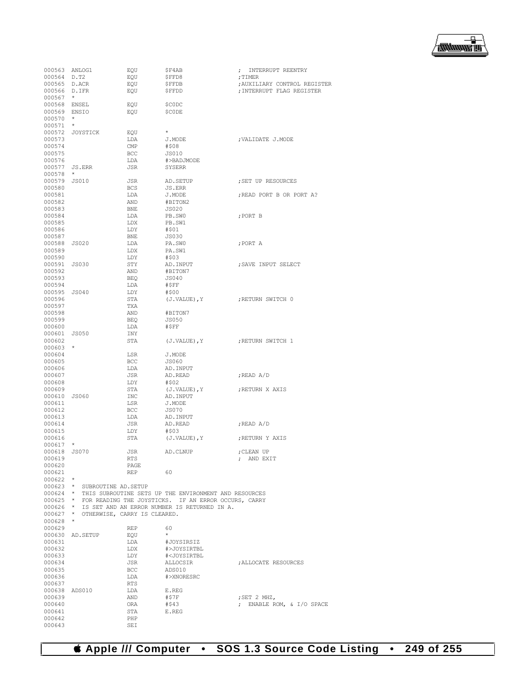

| 000563 ANLOG1 |                              | EQU        | \$F4AB                                                | ; INTERRUPT REENTRY          |
|---------------|------------------------------|------------|-------------------------------------------------------|------------------------------|
| 000564 D.T2   |                              | EQU        | \$FFD8                                                | ; TIMER                      |
| 000565 D.ACR  |                              | EQU        | ŞFFDB                                                 | ; AUXILIARY CONTROL REGISTER |
| 000566 D.IFR  |                              | EQU        | \$FFDD                                                | ; INTERRUPT FLAG REGISTER    |
| $000567$ *    |                              |            |                                                       |                              |
| 000568 ENSEL  |                              | EQU        | \$C0DC                                                |                              |
| 000569 ENSIO  |                              | EQU        | \$CODE                                                |                              |
|               |                              |            |                                                       |                              |
| $000570$ *    |                              |            |                                                       |                              |
| 000571        | $\star$                      |            |                                                       |                              |
|               | 000572 JOYSTICK              | EQU        | $\star$                                               |                              |
| 000573        |                              | LDA        | J.MODE                                                | ; VALIDATE J.MODE            |
| 000574        |                              | CMP        | #\$08                                                 |                              |
| 000575        |                              | <b>BCC</b> | JS010                                                 |                              |
| 000576        |                              | LDA        | #>BADJMODE                                            |                              |
| 000577 JS.ERR |                              | JSR        | SYSERR                                                |                              |
| 000578        | $\star$                      |            |                                                       |                              |
| 000579 JS010  |                              | JSR        | AD. SETUP                                             | ; SET UP RESOURCES           |
| 000580        |                              | <b>BCS</b> | JS.ERR                                                |                              |
| 000581        |                              | LDA        | J.MODE                                                | ; READ PORT B OR PORT A?     |
|               |                              |            |                                                       |                              |
| 000582        |                              | AND        | #BITON2                                               |                              |
| 000583        |                              | BNE        | <b>JS020</b>                                          |                              |
| 000584        |                              | LDA        | PB.SWO                                                | ; PORT B                     |
| 000585        |                              | LDX        | PB.SW1                                                |                              |
| 000586        |                              | LDY        | #\$01                                                 |                              |
| 000587        |                              | <b>BNE</b> | JS030                                                 |                              |
| 000588 JS020  |                              | LDA        | PA.SWO                                                | ; PORT A                     |
| 000589        |                              | LDX        | PA.SW1                                                |                              |
| 000590        |                              | LDY        | #\$03                                                 |                              |
| 000591 JS030  |                              | STY        | AD. INPUT                                             | ; SAVE INPUT SELECT          |
| 000592        |                              | AND        | #BITON7                                               |                              |
| 000593        |                              | BEQ        | JS040                                                 |                              |
| 000594        |                              | LDA        | #SFF                                                  |                              |
|               |                              |            |                                                       |                              |
| 000595 JS040  |                              | LDY        | #\$00                                                 |                              |
| 000596        |                              | STA        | (J.VALUE), Y                                          | ERETURN SWITCH 0             |
| 000597        |                              | TXA        |                                                       |                              |
| 000598        |                              | AND        | #BITON7                                               |                              |
| 000599        |                              | BEQ        | <b>JS050</b>                                          |                              |
| 000600        |                              | LDA        | #\$FF                                                 |                              |
| 000601        | JS050                        | INY        |                                                       |                              |
| 000602        |                              | STA        | (J.VALUE), Y                                          | ERETURN SWITCH 1             |
| $000603$ *    |                              |            |                                                       |                              |
| 000604        |                              | LSR        | J.MODE                                                |                              |
| 000605        |                              | BCC        | JS060                                                 |                              |
| 000606        |                              | LDA        | AD. INPUT                                             |                              |
| 000607        |                              | JSR        | AD.READ                                               | ;READ A/D                    |
| 000608        |                              | LDY        | #\$02                                                 |                              |
|               |                              |            |                                                       |                              |
| 000609        |                              | STA        | $(J.VALUE)$ , $Y$                                     | ; RETURN X AXIS              |
| 000610 JS060  |                              | INC        | AD. INPUT                                             |                              |
| 000611        |                              | LSR        | J.MODE                                                |                              |
| 000612        |                              | BCC        | <b>JS070</b>                                          |                              |
| 000613        |                              | LDA        | AD. INPUT                                             |                              |
| 000614        |                              | JSR        | AD.READ                                               | ;READ A/D                    |
| 000615        |                              | LDY        | #\$03                                                 |                              |
| 000616        |                              | STA        | (J.VALUE), Y                                          | ; RETURN Y AXIS              |
| 000617        | $\star$                      |            |                                                       |                              |
| 000618        | <b>JS070</b>                 | <b>JSR</b> | AD.CLNUP                                              | ; CLEAN UP                   |
| 000619        |                              | RTS        |                                                       | AND EXIT<br>$\ddot{ }$       |
| 000620        |                              | PAGE       |                                                       |                              |
| 000621        |                              | REP        | 60                                                    |                              |
| $000622$ *    |                              |            |                                                       |                              |
| $000623$ *    | SUBROUTINE AD. SETUP         |            |                                                       |                              |
| $000624$ *    |                              |            | THIS SUBROUTINE SETS UP THE ENVIRONMENT AND RESOURCES |                              |
| $000625$ *    |                              |            | FOR READING THE JOYSTICKS. IF AN ERROR OCCURS, CARRY  |                              |
|               |                              |            |                                                       |                              |
| 000626        | $\star$                      |            | IS SET AND AN ERROR NUMBER IS RETURNED IN A.          |                              |
| $000627$ *    | OTHERWISE, CARRY IS CLEARED. |            |                                                       |                              |
| 000628        | $\star$                      |            |                                                       |                              |
| 000629        |                              | <b>REP</b> | 60                                                    |                              |
|               | 000630 AD. SETUP             | EQU        | $\star$                                               |                              |
| 000631        |                              | LDA        | #JOYSIRSIZ                                            |                              |
| 000632        |                              | LDX        | #>JOYSIRTBL                                           |                              |
| 000633        |                              | LDY        | # <joysirtbl< td=""><td></td></joysirtbl<>            |                              |
| 000634        |                              | JSR        | ALLOCSIR                                              | ; ALLOCATE RESOURCES         |
| 000635        |                              | BCC        | ADS010                                                |                              |
| 000636        |                              | LDA        | #>XNORESRC                                            |                              |
| 000637        |                              | RTS        |                                                       |                              |
| 000638 ADS010 |                              | LDA        | E.REG                                                 |                              |
| 000639        |                              | AND        | #STF                                                  | ; SET 2 MHZ,                 |
| 000640        |                              | ORA        | #\$43                                                 | ; ENABLE ROM, & I/O SPACE    |
| 000641        |                              | STA        | E.REG                                                 |                              |
|               |                              |            |                                                       |                              |
| 000642        |                              | PHP        |                                                       |                              |
| 000643        |                              | SEI        |                                                       |                              |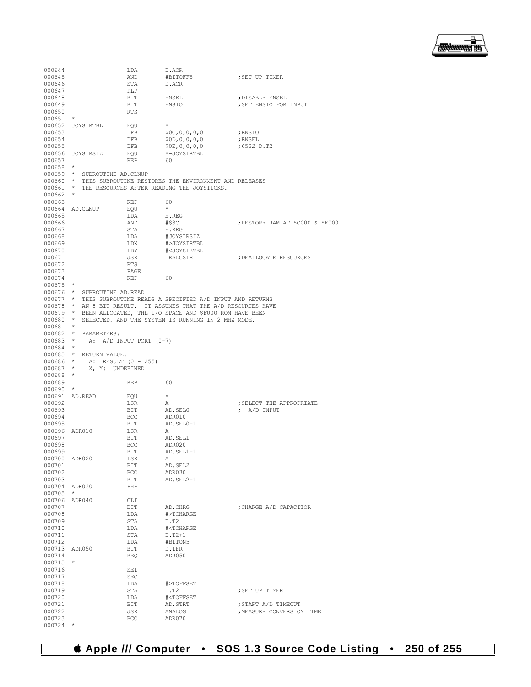

| 000644               |                               | LDA                         | D.ACR                                                     |                                 |
|----------------------|-------------------------------|-----------------------------|-----------------------------------------------------------|---------------------------------|
| 000645               |                               | AND                         | #BITOFF5                                                  | ; SET UP TIMER                  |
| 000646               |                               | STA                         | D.ACR                                                     |                                 |
| 000647               |                               | PLP                         |                                                           |                                 |
| 000648               |                               | BIT                         | ENSEL                                                     | ; DISABLE ENSEL                 |
| 000649               |                               | BIT                         | ENSIO                                                     | ; SET ENSIO FOR INPUT           |
| 000650<br>000651     | $^{\star}$                    | <b>RTS</b>                  |                                                           |                                 |
| 000652               | JOYSIRTBL                     | EQU                         | $\star$                                                   |                                 |
| 000653               |                               | DFB                         | \$0C, 0, 0, 0, 0                                          | ; ENSIO                         |
| 000654               |                               | DFB                         | \$0D,0,0,0,0                                              | ; ENSEL                         |
| 000655               |                               | DFB                         | \$0E, 0, 0, 0, 0                                          | ;6522 D.T2                      |
| 000656               | JOYSIRSIZ                     | EQU                         | *-JOYSIRTBL                                               |                                 |
| 000657               |                               | <b>REP</b>                  | 60                                                        |                                 |
| 000658               | $\star$                       |                             |                                                           |                                 |
| $000659$ *           | SUBROUTINE AD. CLNUP          |                             |                                                           |                                 |
| 000660 *             |                               |                             | THIS SUBROUTINE RESTORES THE ENVIRONMENT AND RELEASES     |                                 |
| 000661               | $\star$                       |                             | THE RESOURCES AFTER READING THE JOYSTICKS.                |                                 |
| 000662               | $\star$                       |                             |                                                           |                                 |
| 000663               | 000664 AD.CLNUP               | <b>REP</b><br>EQU           | 60<br>$\star$                                             |                                 |
| 000665               |                               | LDA                         | E.REG                                                     |                                 |
| 000666               |                               | AND                         | #\$3C                                                     | RESTORE RAM AT \$C000 & \$F000; |
| 000667               |                               | STA                         | E.REG                                                     |                                 |
| 000668               |                               | LDA                         | #JOYSIRSIZ                                                |                                 |
| 000669               |                               | LDX                         | #>JOYSIRTBL                                               |                                 |
| 000670               |                               | LDY                         | # <joysirtbl< td=""><td></td></joysirtbl<>                |                                 |
| 000671               |                               | JSR                         | DEALCSIR                                                  | ; DEALLOCATE RESOURCES          |
| 000672               |                               | RTS                         |                                                           |                                 |
| 000673               |                               | PAGE                        |                                                           |                                 |
| 000674               |                               | REP                         | 60                                                        |                                 |
| $000675$ *           |                               |                             |                                                           |                                 |
| $000676$ *<br>000677 | SUBROUTINE AD.READ<br>$\star$ |                             | THIS SUBROUTINE READS A SPECIFIED A/D INPUT AND RETURNS   |                                 |
| 000678               |                               |                             | * AN 8 BIT RESULT. IT ASSUMES THAT THE A/D RESOURCES HAVE |                                 |
| 000679               | $\star$                       |                             | BEEN ALLOCATED, THE I/O SPACE AND \$F000 ROM HAVE BEEN    |                                 |
| 000680               | $\star$                       |                             | SELECTED, AND THE SYSTEM IS RUNNING IN 2 MHZ MODE.        |                                 |
| 000681               | $\star$                       |                             |                                                           |                                 |
| 000682               | $\star$<br>PARAMETERS:        |                             |                                                           |                                 |
| 000683               | $\star$                       | A: $A/D$ INPUT PORT $(0-7)$ |                                                           |                                 |
| 000684               | $\star$                       |                             |                                                           |                                 |
| 000685               | RETURN VALUE:<br>$\star$      |                             |                                                           |                                 |
| 000686               | $\star$                       | A: RESULT (0 - 255)         |                                                           |                                 |
| 000687               | $\star$<br>X, Y: UNDEFINED    |                             |                                                           |                                 |
| 000688               | $\star$                       |                             |                                                           |                                 |
| 000689               | $\star$                       | REP                         | 60                                                        |                                 |
| 000690<br>000691     | AD.READ                       | EQU                         | $\star$                                                   |                                 |
| 000692               |                               | LSR                         | Α                                                         | ; SELECT THE APPROPRIATE        |
| 000693               |                               | BIT                         | AD.SEL0                                                   | ; $A/D$ INPUT                   |
| 000694               |                               | BCC                         | ADR010                                                    |                                 |
| 000695               |                               | BIT                         | AD.SEL0+1                                                 |                                 |
| 000696               | ADR010                        | LSR                         | Α                                                         |                                 |
| 000697               |                               | BIT                         | AD.SEL1                                                   |                                 |
| 000698               |                               | <b>BCC</b>                  | ADR020                                                    |                                 |
| 000699               |                               | BIT                         | AD.SEL1+1                                                 |                                 |
| 000700               | ADR020                        | LSR                         | Α                                                         |                                 |
| 000701<br>000702     |                               | <b>BIT</b><br>BCC           | AD.SEL2<br>ADR030                                         |                                 |
| 000703               |                               | BIT                         | AD. SEL2+1                                                |                                 |
| 000704               | ADR030                        | PHP                         |                                                           |                                 |
| 000705               | $\star$                       |                             |                                                           |                                 |
| 000706               | ADR040                        | CLI                         |                                                           |                                 |
| 000707               |                               | BIT                         | AD.CHRG                                                   | ; CHARGE A/D CAPACITOR          |
| 000708               |                               | LDA                         | #>TCHARGE                                                 |                                 |
| 000709               |                               | STA                         | D.T2                                                      |                                 |
| 000710               |                               | LDA                         | # <tcharge< td=""><td></td></tcharge<>                    |                                 |
| 000711               |                               | STA                         | $D.T2+1$                                                  |                                 |
| 000712               |                               | LDA                         | #BITON5                                                   |                                 |
| 000713<br>000714     | ADR050                        | BIT                         | D.IFR<br>ADR050                                           |                                 |
| 000715               | $\star$                       | <b>BEQ</b>                  |                                                           |                                 |
| 000716               |                               | SEI                         |                                                           |                                 |
| 000717               |                               | SEC                         |                                                           |                                 |
| 000718               |                               | LDA                         | #>TOFFSET                                                 |                                 |
| 000719               |                               | STA                         | D.T2                                                      | ; SET UP TIMER                  |
| 000720               |                               | LDA                         | # <toffset< td=""><td></td></toffset<>                    |                                 |
| 000721               |                               | BIT                         | AD.STRT                                                   | ; START A/D TIMEOUT             |
| 000722               |                               | JSR                         | ANALOG                                                    | ; MEASURE CONVERSION TIME       |
| 000723               | $\star$                       | BCC                         | ADR070                                                    |                                 |
| 000724               |                               |                             |                                                           |                                 |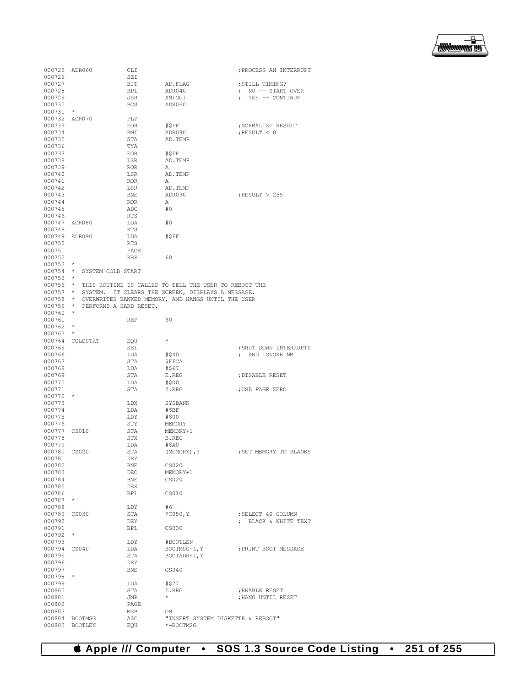

|                      | 000725 ADR060                   | CLI         |                                                                | ; PROCESS AN INTERRUPT |
|----------------------|---------------------------------|-------------|----------------------------------------------------------------|------------------------|
| 000726               |                                 | SEI         |                                                                |                        |
| 000727               |                                 | BIT         | AD.FLAG                                                        | ; STILL TIMING?        |
| 000728               |                                 | BPL         | ADR040                                                         | ; NO -- START OVER     |
| 000729               |                                 | JSR         | ANLOG1                                                         | ; YES -- CONTINUE      |
| 000730<br>000731     | $\star$                         | BCS         | ADR060                                                         |                        |
| 000732 ADR070        |                                 | PLP         |                                                                |                        |
| 000733               |                                 | EOR         | #SFF                                                           | ; NORMALIZE RESULT     |
| 000734               |                                 | BMI         | ADR080                                                         | ; RESULT $< 0$         |
| 000735               |                                 | STA         | AD.TEMP                                                        |                        |
| 000736               |                                 | TYA         |                                                                |                        |
| 000737               |                                 | EOR         | #SFF                                                           |                        |
| 000738               |                                 | LSR         | AD.TEMP                                                        |                        |
| 000739               |                                 | ROR         | Α                                                              |                        |
| 000740<br>000741     |                                 | LSR         | AD.TEMP<br>Α                                                   |                        |
| 000742               |                                 | ROR<br>LSR  | AD.TEMP                                                        |                        |
| 000743               |                                 | BNE         | ADR090                                                         | ; RESULT $>255$        |
| 000744               |                                 | ROR         | Α                                                              |                        |
| 000745               |                                 | ADC         | #0                                                             |                        |
| 000746               |                                 | RTS         |                                                                |                        |
| 000747 ADR080        |                                 | LDA         | #0                                                             |                        |
| 000748               |                                 | RTS         |                                                                |                        |
| 000749 ADR090        |                                 | LDA         | #\$FF                                                          |                        |
| 000750<br>000751     |                                 | RTS         |                                                                |                        |
| 000752               |                                 | PAGE<br>REP | 60                                                             |                        |
| $000753$ *           |                                 |             |                                                                |                        |
|                      | 000754 * SYSTEM COLD START      |             |                                                                |                        |
| $000755$ *           |                                 |             |                                                                |                        |
|                      |                                 |             | 000756 * THIS ROUTINE IS CALLED TO TELL THE USER TO REBOOT THE |                        |
|                      |                                 |             | 000757 * SYSTEM. IT CLEARS THE SCREEN, DISPLAYS A MESSAGE,     |                        |
|                      |                                 |             | 000758 * OVERWRITES BANKED MEMORY, AND HANGS UNTIL THE USER    |                        |
|                      | 000759 * PERFORMS A HARD RESET. |             |                                                                |                        |
| $000760$ *<br>000761 |                                 | <b>REP</b>  | 60                                                             |                        |
| $000762$ *           |                                 |             |                                                                |                        |
| $000763$ *           |                                 |             |                                                                |                        |
|                      | 000764 COLDSTRT                 | EQU         | $\star$                                                        |                        |
| 000765               |                                 | SEI         |                                                                | ; SHUT DOWN INTERRUPTS |
| 000766               |                                 | LDA         | #\$40                                                          | ; AND IGNORE NMI       |
| 000767               |                                 | STA         | \$FFCA                                                         |                        |
| 000768               |                                 | LDA         | #\$67                                                          |                        |
| 000769<br>000770     |                                 | STA         | E.REG                                                          | ; DISABLE RESET        |
| 000771               |                                 | LDA<br>STA  | #\$00<br>Z.REG                                                 | ; USE PAGE ZERO        |
| $000772$ *           |                                 |             |                                                                |                        |
| 000773               |                                 | LDX         | SYSBANK                                                        |                        |
| 000774               |                                 | LDA         | #\$BF                                                          |                        |
| 000775               |                                 |             |                                                                |                        |
| 000776               |                                 | LDY         | #\$00                                                          |                        |
| 000777 CS010         |                                 | STY         | MEMORY                                                         |                        |
|                      |                                 | STA         | MEMORY+1                                                       |                        |
| 000778               |                                 | STX         | <b>B.REG</b>                                                   |                        |
| 000779               |                                 | LDA         | #SAO                                                           |                        |
| 000780 CS020         |                                 | STA         | (MEMORY) , $\mathbb {Y}$                                       | ; SET MEMORY TO BLANKS |
| 000781               |                                 | DEY         |                                                                |                        |
| 000782               |                                 | BNE         | CS020<br>MEMORY+1                                              |                        |
| 000783<br>000784     |                                 | DEC<br>BNE  | CS <sub>020</sub>                                              |                        |
| 000785               |                                 | DEX         |                                                                |                        |
| 000786               |                                 | BPL         | CS010                                                          |                        |
| 000787               | $\star$                         |             |                                                                |                        |
| 000788               |                                 | LDY         | #6                                                             |                        |
| 000789 CS030         |                                 | STA         | \$C050, Y                                                      | ; SELECT 40 COLUMN     |
| 000790               |                                 | DEY         |                                                                | : BLACK & WHITE TEXT   |
| 000791               | $\star$                         | <b>BPL</b>  | CS030                                                          |                        |
| 000792<br>000793     |                                 | LDY         | #BOOTLEN                                                       |                        |
| 000794               | CS040                           | LDA         | BOOTMSG-1, Y                                                   | ; PRINT BOOT MESSAGE   |
| 000795               |                                 | STA         | $BOOTADR-1, Y$                                                 |                        |
| 000796               |                                 | DEY         |                                                                |                        |
| 000797               |                                 | BNE         | CS040                                                          |                        |
| $000798$ *           |                                 |             |                                                                |                        |
| 000799               |                                 | LDA         | #\$77                                                          |                        |
| 000800               |                                 | STA         | E.REG<br>$\star$                                               | ; ENABLE RESET         |
| 000801<br>000802     |                                 | JMP<br>PAGE |                                                                | ; HANG UNTIL RESET     |
| 000803               |                                 | MSB         | ON                                                             |                        |
| 000804               | <b>BOOTMSG</b>                  | ASC         | "INSERT SYSTEM DISKETTE & REBOOT"                              |                        |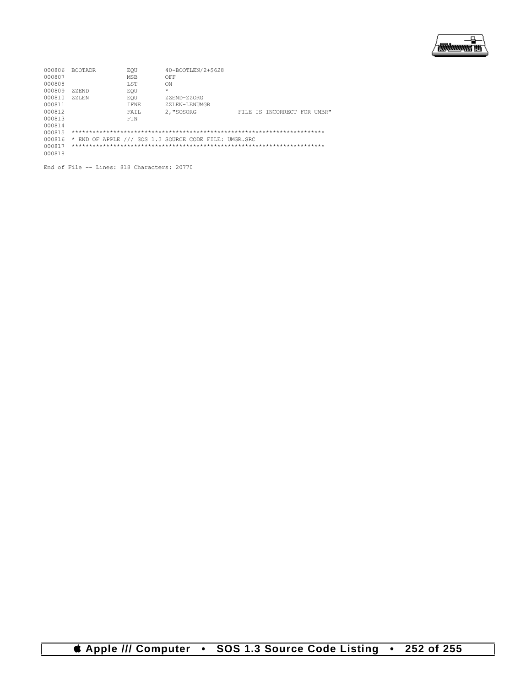

| 000806 | <b>BOOTADR</b> | EOU         | 40-BOOTLEN/2+\$628                                    |  |                             |  |
|--------|----------------|-------------|-------------------------------------------------------|--|-----------------------------|--|
| 000807 |                | MSB         | OFF                                                   |  |                             |  |
| 000808 |                | <b>T.ST</b> | ON                                                    |  |                             |  |
| 000809 | ZZEND          | EOU         | $\star$                                               |  |                             |  |
| 000810 | <b>ZZLEN</b>   | EOU         | ZZEND-ZZORG                                           |  |                             |  |
| 000811 |                | T FNE       | 7.7.J.EN-LENUMGR                                      |  |                             |  |
| 000812 |                | FAIL        | 2. "SOSORG                                            |  | FILE IS INCORRECT FOR UMBR" |  |
| 000813 |                | FTN         |                                                       |  |                             |  |
| 000814 |                |             |                                                       |  |                             |  |
| 000815 |                |             |                                                       |  |                             |  |
| 000816 |                |             | * END OF APPLE /// SOS 1.3 SOURCE CODE FILE: UMGR.SRC |  |                             |  |
| 000817 |                |             |                                                       |  |                             |  |
| 000818 |                |             |                                                       |  |                             |  |
|        |                |             |                                                       |  |                             |  |

End of File -- Lines: 818 Characters: 20770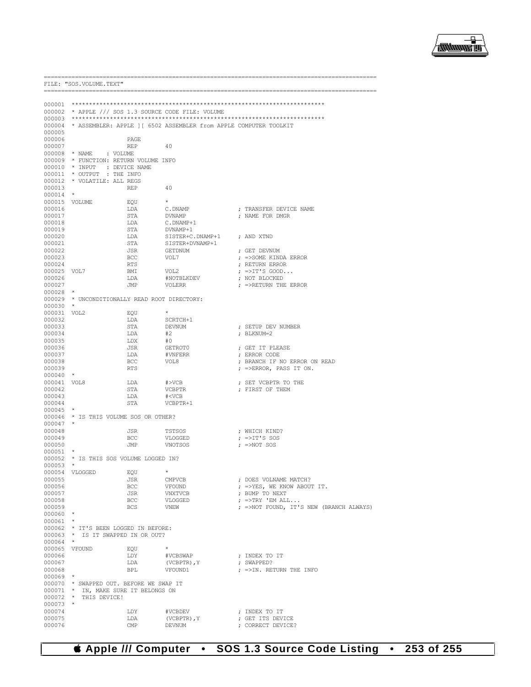

FILE: "SOS. VOLUME. TEXT" 000002 \* APPLE /// SOS 1.3 SOURCE CODE FILE: VOLUME  $000003$ 000004 \* ASSEMBLER: APPLE ] [ 6502 ASSEMBLER from APPLE COMPUTER TOOLKIT 000005 000006 PAGE. 000007  $\ensuremath{\mathsf{REP}}$ 40 000008  $*$  NAME : VOLUME 000009 \* FUNCTION: RETURN VOLUME INFO \* INPUT : DEVICE NAME<br>\* INPUT : DEVICE NAME<br>\* OUTPUT : THE INFO 000010 000011 000012 \* VOLATILE: ALL REGS 000013 **REP** 40 000014 000015 VOLUME EQU 000016 LDA C.DNAMP ; TRANSFER DEVICE NAME  $_{\footnotesize{\texttt{STA}}}$ 000017 **DVNAMP** ; NAME FOR DMGR 000018 LDA C.DNAMP+1 STA DVNAMP+1 000019 000020 T.DA STSTER+C.DNAMP+1 : AND XTND 000021 STA SISTER+DVNAMP+1 ; GET DEVNUM 000022 **JSR** GETDNUM 000023 VOL7 BCC. ; =>SOME KINDA ERROR 000024 **RTS** : RETURN ERROR  $VOT.2$  $;$  =>IT'S GOOD.. 000025 VOL7 **RMT** 000026 T.DA #NOTBLKDEV ; NOT BLOCKED 000027 .TMP VOLERR  $:$  =>RETURN THE ERROR  $000028$  \* 000029 \* UNCONDITIONALLY READ ROOT DIRECTORY: 000030 000031 VOL2 EOU 000032 LDA SCRTCH+1 000033  $STA$ **DEVNUM** ; SETUP DEV NUMBER 000034 T.DA  $#2$ : BLKNUM=2 000035 LDX  $#0$ 000036 **JSR** GETROTO ; GET IT PLEASE 000037 LDA  $\# \textsc{VNFERR}$ ; ERROR CODE 000038  $_{\rm BCC}$ VOL8 ; BRANCH IF NO ERROR ON READ 000039 **RTS** ; =>ERROR, PASS IT ON. 000040  $\rightarrow$ 000041 VOL8  ${\rm LDA}$  $\# \verb|VCB|$ ; SET VCBPTR TO THE 000042 STA VCBPTR ; FIRST OF THEM 000043 LDA  $# < VCB$ 000044  $\operatorname{STA}$ VCBPTR+1 000045  $\rightarrow$ \* IS THIS VOLUME SOS OR OTHER? 000046 000047 000048 **JSR TSTSOS** ; WHICH KIND? 000049 BCC VLOGGED  $;$  =>IT'S SOS 000050 JMP VNOTSOS  $;$  =>NOT SOS 000051 \* IS THIS SOS VOLUME LOGGED IN? 000052 000053 000054 VLOGGED EOU : DOES VOLNAME MATCH? CMPVCB 000055 **JSR** 000056 BCC. **VFOUND** ; =>YES, WE KNOW ABOUT IT. 000057 **JSR VNXTVCB** : BUMP TO NEXT 000058 VLOGGED ; =>TRY 'EM ALL... **BCC**  $\,$  =>NOT FOUND, IT'S NEW (BRANCH ALWAYS) 000059 **BCS** VNEW  $\star$  $0.00060$  $000061$  \* \* IT'S BEEN LOGGED IN BEFORE: 000062 \* IS IT SWAPPED IN OR OUT? 000063  $000064$  \* 000065 VFOUND EQU 000066 T.DY #VCBSWAP ; INDEX TO IT 000067 LDA (VCBPTR),  $\Upsilon$ ; SWAPPED? 000068 **BPL** VFOUND1  $;$  =>IN. RETURN THE INFO 000069 000070 \* SWAPPED OUT. BEFORE WE SWAP IT 000071 \* IN, MAKE SURE IT BELONGS ON  $*$  THIS DEVICE! 000072 000073 000074 LDY #VCBDEV ; INDEX TO IT 000075 LDA (VCBPTR), Y ; GET ITS DEVICE 000076 ; CORRECT DEVICE?

## **Computer** SOS 1.3 Source Code Listing 253 of 255  $\bullet$  $\bullet$

CMP

**DEVNUM**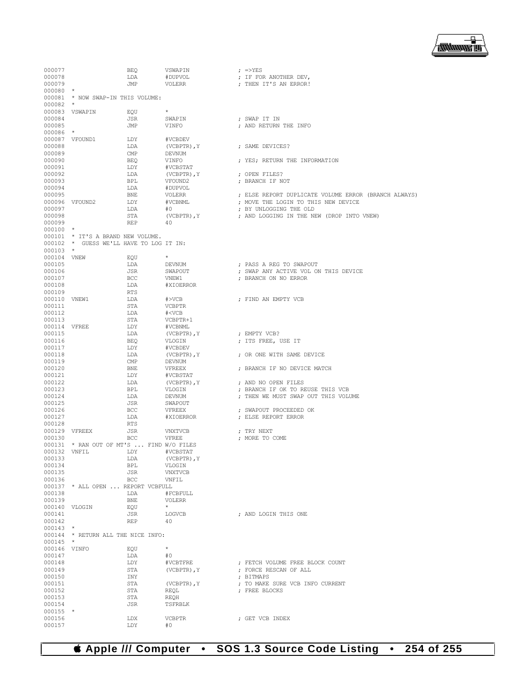## **Apple /// Computer • SOS 1.3 Source Code Listing • 254 of 255**

| 000077                 |                                                                              | BEQ        | VSWAPIN                                 |  | $;$ =>YES                                            |  |  |  |
|------------------------|------------------------------------------------------------------------------|------------|-----------------------------------------|--|------------------------------------------------------|--|--|--|
| 000078                 |                                                                              | LDA        | #DUPVOL                                 |  | ; IF FOR ANOTHER DEV,                                |  |  |  |
| 000079                 |                                                                              | JMP        | VOLERR                                  |  | ; THEN IT'S AN ERROR!                                |  |  |  |
| $000080$ *             |                                                                              |            |                                         |  |                                                      |  |  |  |
| $000082$ *             | 000081 * NOW SWAP-IN THIS VOLUME:                                            |            |                                         |  |                                                      |  |  |  |
|                        | 000083 VSWAPIN                                                               | EQU        | $\star$                                 |  |                                                      |  |  |  |
| 000084                 |                                                                              | JSR        | SWAPIN                                  |  | ; SWAP IT IN                                         |  |  |  |
| 000085                 |                                                                              | JMP        | VINFO                                   |  | ; AND RETURN THE INFO                                |  |  |  |
| 000086 *               |                                                                              |            |                                         |  |                                                      |  |  |  |
|                        | 000087 VFOUND1                                                               | LDY        | #VCBDEV                                 |  |                                                      |  |  |  |
| 000088                 |                                                                              | LDA        | (VCBPTR), Y                             |  | ; SAME DEVICES?                                      |  |  |  |
| 000089                 |                                                                              | CMP        | DEVNUM                                  |  |                                                      |  |  |  |
| 000090                 |                                                                              | BEO        | VINFO                                   |  | : YES: RETURN THE INFORMATION                        |  |  |  |
| 000091<br>000092       |                                                                              | LDY<br>LDA | #VCBSTAT                                |  |                                                      |  |  |  |
| 000093                 |                                                                              | BPL        | (VCBPTR), Y<br>VFOUND2                  |  | ; OPEN FILES?<br>; BRANCH IF NOT                     |  |  |  |
| 000094                 |                                                                              | LDA        | #DUPVOL                                 |  |                                                      |  |  |  |
| 000095                 |                                                                              | BNE        | VOLERR                                  |  | ; ELSE REPORT DUPLICATE VOLUME ERROR (BRANCH ALWAYS) |  |  |  |
|                        | 000096 VFOUND2                                                               | LDY        | #VCBNML                                 |  | ; MOVE THE LOGIN TO THIS NEW DEVICE                  |  |  |  |
| 000097                 |                                                                              | LDA        | #O                                      |  | ; BY UNLOGGING THE OLD                               |  |  |  |
| 000098                 |                                                                              | STA        | (VCBPTR), Y                             |  | ; AND LOGGING IN THE NEW (DROP INTO VNEW)            |  |  |  |
| 000099                 |                                                                              | REP        | 40                                      |  |                                                      |  |  |  |
| $000100$ *             |                                                                              |            |                                         |  |                                                      |  |  |  |
|                        | 000101 * IT'S A BRAND NEW VOLUME.<br>000102 * GUESS WE'LL HAVE TO LOG IT IN: |            |                                         |  |                                                      |  |  |  |
| $000103$ *             |                                                                              |            |                                         |  |                                                      |  |  |  |
| 000104 VNEW            |                                                                              | EQU        | $\star$                                 |  |                                                      |  |  |  |
| 000105                 |                                                                              | LDA        | DEVNUM                                  |  | ; PASS A REG TO SWAPOUT                              |  |  |  |
| 000106                 |                                                                              | JSR        | SWAPOUT                                 |  | ; SWAP ANY ACTIVE VOL ON THIS DEVICE                 |  |  |  |
| 000107                 |                                                                              | BCC        | VNEW1                                   |  | ; BRANCH ON NO ERROR                                 |  |  |  |
| 000108                 |                                                                              | LDA        | #XIOERROR                               |  |                                                      |  |  |  |
| 000109<br>000110 VNEW1 |                                                                              | RTS<br>LDA | #>VCB                                   |  | ; FIND AN EMPTY VCB                                  |  |  |  |
| 000111                 |                                                                              | STA        | VCBPTR                                  |  |                                                      |  |  |  |
| 000112                 |                                                                              | LDA        | # <vcb< td=""><td></td><td></td></vcb<> |  |                                                      |  |  |  |
| 000113                 |                                                                              | STA        | VCBPTR+1                                |  |                                                      |  |  |  |
| 000114 VFREE           |                                                                              | LDY        | #VCBNML                                 |  |                                                      |  |  |  |
| 000115                 |                                                                              | LDA        | (VCBPTR), Y                             |  | ; EMPTY VCB?                                         |  |  |  |
| 000116                 |                                                                              | BEQ        | VLOGIN                                  |  | ; ITS FREE, USE IT                                   |  |  |  |
| 000117<br>000118       |                                                                              | LDY<br>LDA | #VCBDEV                                 |  |                                                      |  |  |  |
| 000119                 |                                                                              | CMP        | (VCBPTR), Y<br>DEVNUM                   |  | ; OR ONE WITH SAME DEVICE                            |  |  |  |
| 000120                 |                                                                              | BNE        | VFREEX                                  |  | ; BRANCH IF NO DEVICE MATCH                          |  |  |  |
| 000121                 |                                                                              | LDY        | #VCBSTAT                                |  |                                                      |  |  |  |
| 000122                 |                                                                              | LDA        | (VCBPTR), Y                             |  | ; AND NO OPEN FILES                                  |  |  |  |
| 000123                 |                                                                              | BPL        | VLOGIN                                  |  | ; BRANCH IF OK TO REUSE THIS VCB                     |  |  |  |
| 000124                 |                                                                              | LDA        | DEVNUM                                  |  | ; THEN WE MUST SWAP OUT THIS VOLUME                  |  |  |  |
| 000125                 |                                                                              | JSR        | SWAPOUT                                 |  |                                                      |  |  |  |
| 000126<br>000127       |                                                                              | BCC<br>LDA | VFREEX<br>#XIOERROR                     |  | ; SWAPOUT PROCEEDED OK<br>; ELSE REPORT ERROR        |  |  |  |
| 000128                 |                                                                              | RTS        |                                         |  |                                                      |  |  |  |
|                        | 000129 VFREEX                                                                | JSR        | VNXTVCB                                 |  | ; TRY NEXT                                           |  |  |  |
| 000130                 |                                                                              | <b>BCC</b> | VFREE                                   |  | ; MORE TO COME                                       |  |  |  |
|                        | 000131 * RAN OUT OF MT'S  FIND W/O FILES                                     |            |                                         |  |                                                      |  |  |  |
| 000132 VNFIL           |                                                                              | LDY        | #VCBSTAT                                |  |                                                      |  |  |  |
| 000133                 |                                                                              | LDA        | (VCBPTR), Y                             |  |                                                      |  |  |  |
| 000134<br>000135       |                                                                              | BPL<br>JSR | VLOGIN<br><b>VNXTVCB</b>                |  |                                                      |  |  |  |
| 000136                 |                                                                              | <b>BCC</b> | VNFIL                                   |  |                                                      |  |  |  |
|                        | 000137 * ALL OPEN  REPORT VCBFULL                                            |            |                                         |  |                                                      |  |  |  |
| 000138                 |                                                                              | LDA        | #FCBFULL                                |  |                                                      |  |  |  |
| 000139                 |                                                                              | BNE        | <b>VOLERR</b>                           |  |                                                      |  |  |  |
|                        | 000140 VLOGIN                                                                | EQU        | $\star$                                 |  |                                                      |  |  |  |
| 000141                 |                                                                              | JSR        | LOGVCB                                  |  | ; AND LOGIN THIS ONE                                 |  |  |  |
| 000142<br>$000143$ *   |                                                                              | <b>REP</b> | 40                                      |  |                                                      |  |  |  |
|                        | 000144 * RETURN ALL THE NICE INFO:                                           |            |                                         |  |                                                      |  |  |  |
| $000145$ *             |                                                                              |            |                                         |  |                                                      |  |  |  |
| 000146 VINFO           |                                                                              | EQU        | $\star$                                 |  |                                                      |  |  |  |
| 000147                 |                                                                              | LDA        | #0                                      |  |                                                      |  |  |  |
| 000148                 |                                                                              | LDY        | #VCBTFRE                                |  | ; FETCH VOLUME FREE BLOCK COUNT                      |  |  |  |
| 000149                 |                                                                              | STA        | (VCBPTR), Y                             |  | ; FORCE RESCAN OF ALL                                |  |  |  |
| 000150<br>000151       |                                                                              | INY<br>STA | (VCBPTR), Y                             |  | ; BITMAPS<br>; TO MAKE SURE VCB INFO CURRENT         |  |  |  |
| 000152                 |                                                                              | STA        | REQL                                    |  | ; FREE BLOCKS                                        |  |  |  |
| 000153                 |                                                                              | STA        | REOH                                    |  |                                                      |  |  |  |
| 000154                 |                                                                              | JSR        | TSFRBLK                                 |  |                                                      |  |  |  |
| $000155$ *             |                                                                              |            |                                         |  |                                                      |  |  |  |
| 000156                 |                                                                              | LDX        | <b>VCBPTR</b>                           |  | ; GET VCB INDEX                                      |  |  |  |
| 000157                 |                                                                              | LDY        | #0                                      |  |                                                      |  |  |  |